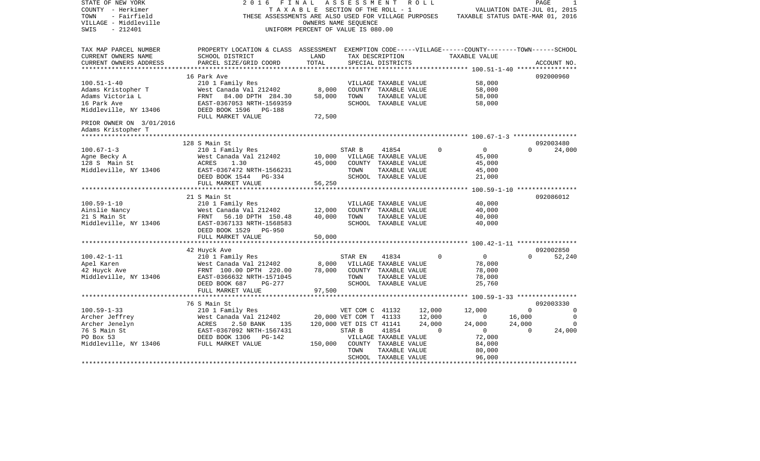| STATE OF NEW YORK<br>COUNTY - Herkimer<br>- Fairfield<br>TOWN<br>VILLAGE - Middleville<br>$-212401$<br>SWIS                                                                                         | 2016<br>FINAL                                                                                                                                   | TAXABLE SECTION OF THE ROLL - 1<br>OWNERS NAME SEQUENCE<br>UNIFORM PERCENT OF VALUE IS 080.00 | A S S E S S M E N T      |                                               | R O L L | VALUATION DATE-JUL 01, 2015<br>THESE ASSESSMENTS ARE ALSO USED FOR VILLAGE PURPOSES TAXABLE STATUS DATE-MAR 01, 2016 |          | PAGE        |             |
|-----------------------------------------------------------------------------------------------------------------------------------------------------------------------------------------------------|-------------------------------------------------------------------------------------------------------------------------------------------------|-----------------------------------------------------------------------------------------------|--------------------------|-----------------------------------------------|---------|----------------------------------------------------------------------------------------------------------------------|----------|-------------|-------------|
| TAX MAP PARCEL NUMBER<br>CURRENT OWNERS NAME<br>CURRENT OWNERS ADDRESS                                                                                                                              | PROPERTY LOCATION & CLASS ASSESSMENT EXEMPTION CODE-----VILLAGE------COUNTY-------TOWN------SCHOOL<br>SCHOOL DISTRICT<br>PARCEL SIZE/GRID COORD | LAND<br>TOTAL                                                                                 |                          | TAX DESCRIPTION<br>SPECIAL DISTRICTS          |         | TAXABLE VALUE                                                                                                        |          | ACCOUNT NO. |             |
|                                                                                                                                                                                                     |                                                                                                                                                 |                                                                                               |                          |                                               |         |                                                                                                                      |          |             |             |
| $100.51 - 1 - 40$                                                                                                                                                                                   | 16 Park Ave                                                                                                                                     |                                                                                               |                          |                                               |         | 58,000                                                                                                               |          | 092000960   |             |
| Adams Kristopher T                                                                                                                                                                                  | 210 1 Family Res<br>West Canada Val 212402                                                                                                      | 8,000                                                                                         |                          | VILLAGE TAXABLE VALUE<br>COUNTY TAXABLE VALUE |         | 58,000                                                                                                               |          |             |             |
| Adams Victoria L                                                                                                                                                                                    | 84.00 DPTH 284.30<br>FRNT                                                                                                                       | 58,000                                                                                        | TOWN                     | TAXABLE VALUE                                 |         | 58,000                                                                                                               |          |             |             |
| 16 Park Ave                                                                                                                                                                                         | EAST-0367053 NRTH-1569359                                                                                                                       |                                                                                               |                          | SCHOOL TAXABLE VALUE                          |         | 58,000                                                                                                               |          |             |             |
| Middleville, NY 13406                                                                                                                                                                               | DEED BOOK 1596 PG-188                                                                                                                           |                                                                                               |                          |                                               |         |                                                                                                                      |          |             |             |
|                                                                                                                                                                                                     | FULL MARKET VALUE                                                                                                                               | 72,500                                                                                        |                          |                                               |         |                                                                                                                      |          |             |             |
| PRIOR OWNER ON 3/01/2016                                                                                                                                                                            |                                                                                                                                                 |                                                                                               |                          |                                               |         |                                                                                                                      |          |             |             |
| Adams Kristopher T                                                                                                                                                                                  |                                                                                                                                                 |                                                                                               |                          |                                               |         |                                                                                                                      |          |             |             |
|                                                                                                                                                                                                     |                                                                                                                                                 |                                                                                               |                          |                                               |         |                                                                                                                      |          |             |             |
| $100.67 - 1 - 3$                                                                                                                                                                                    | 128 S Main St<br>210 1 Family Res                                                                                                               |                                                                                               |                          | 41854                                         |         | $\circ$<br>$\overline{0}$                                                                                            | $\Omega$ | 092003480   |             |
| Agne Becky A                                                                                                                                                                                        | West Canada Val 212402 10,000 VILLAGE TAXABLE VALUE                                                                                             |                                                                                               | STAR B                   |                                               |         | 45,000                                                                                                               |          |             | 24,000      |
| 128 S Main St                                                                                                                                                                                       | 1.30<br>ACRES                                                                                                                                   | 45,000                                                                                        |                          | COUNTY TAXABLE VALUE                          |         | 45,000                                                                                                               |          |             |             |
| Middleville, NY 13406                                                                                                                                                                               | EAST-0367472 NRTH-1566231                                                                                                                       |                                                                                               | TOWN                     | TAXABLE VALUE                                 |         | 45,000                                                                                                               |          |             |             |
|                                                                                                                                                                                                     | DEED BOOK 1544 PG-334                                                                                                                           |                                                                                               |                          | SCHOOL TAXABLE VALUE                          |         | 21,000                                                                                                               |          |             |             |
|                                                                                                                                                                                                     | FULL MARKET VALUE                                                                                                                               | 56,250                                                                                        |                          |                                               |         |                                                                                                                      |          |             |             |
|                                                                                                                                                                                                     |                                                                                                                                                 |                                                                                               |                          |                                               |         |                                                                                                                      |          |             |             |
|                                                                                                                                                                                                     |                                                                                                                                                 |                                                                                               |                          |                                               |         |                                                                                                                      |          | 092086012   |             |
| $100.59 - 1 - 10$                                                                                                                                                                                   |                                                                                                                                                 |                                                                                               |                          | VILLAGE TAXABLE VALUE                         |         | 40,000                                                                                                               |          |             |             |
| Ainslie Nancy                                                                                                                                                                                       |                                                                                                                                                 | 12,000                                                                                        |                          | COUNTY TAXABLE VALUE                          |         | 40,000                                                                                                               |          |             |             |
| 21 S Main St<br>Middleville, NY 13406                                                                                                                                                               | 210 1 Family Res<br>West Canada Val 212402<br>FRNT 56.10 DPTH 150.48<br>EAST-0367133 NPTH 150.48                                                | 40,000                                                                                        | TOWN                     | TAXABLE VALUE<br>SCHOOL TAXABLE VALUE         |         | 40,000<br>40,000                                                                                                     |          |             |             |
|                                                                                                                                                                                                     | DEED BOOK 1529 PG-950                                                                                                                           |                                                                                               |                          |                                               |         |                                                                                                                      |          |             |             |
|                                                                                                                                                                                                     | FULL MARKET VALUE                                                                                                                               | 50,000                                                                                        |                          |                                               |         |                                                                                                                      |          |             |             |
|                                                                                                                                                                                                     | ***************************                                                                                                                     |                                                                                               |                          |                                               |         |                                                                                                                      |          |             |             |
|                                                                                                                                                                                                     | 42 Huyck Ave                                                                                                                                    |                                                                                               |                          |                                               |         |                                                                                                                      |          | 092002850   |             |
| $100.42 - 1 - 11$                                                                                                                                                                                   | 210 1 Family Res                                                                                                                                |                                                                                               | STAR EN                  | 41834                                         |         | $\mathbf{0}$<br>$\overline{0}$                                                                                       | $\Omega$ |             | 52,240      |
| Apel Karen                                                                                                                                                                                          | West Canada Val 212402                                                                                                                          | 8,000                                                                                         | VILLAGE TAXABLE VALUE    |                                               |         | 78,000                                                                                                               |          |             |             |
| 42 Huyck Ave                                                                                                                                                                                        | FRNT 100.00 DPTH 220.00                                                                                                                         | 78,000                                                                                        |                          | COUNTY TAXABLE VALUE                          |         | 78,000                                                                                                               |          |             |             |
| Middleville, NY 13406                                                                                                                                                                               | EAST-0366632 NRTH-1571045<br>DEED BOOK 687<br>PG-277                                                                                            |                                                                                               | TOWN                     | TAXABLE VALUE<br>SCHOOL TAXABLE VALUE         |         | 78,000<br>25,760                                                                                                     |          |             |             |
|                                                                                                                                                                                                     | FULL MARKET VALUE                                                                                                                               | 97,500                                                                                        |                          |                                               |         |                                                                                                                      |          |             |             |
|                                                                                                                                                                                                     |                                                                                                                                                 |                                                                                               |                          |                                               |         |                                                                                                                      |          |             |             |
|                                                                                                                                                                                                     | 76 S Main St                                                                                                                                    |                                                                                               |                          |                                               |         |                                                                                                                      |          | 092003330   |             |
| $100.59 - 1 - 33$                                                                                                                                                                                   | 210 1 Family Res                                                                                                                                |                                                                                               | VET COM C 41132          |                                               | 12,000  | 12,000                                                                                                               | $\Omega$ |             | $\Omega$    |
|                                                                                                                                                                                                     |                                                                                                                                                 |                                                                                               | 20,000 VET COM T 41133   |                                               | 12,000  | $\overline{0}$                                                                                                       | 16,000   |             | $\mathbf 0$ |
|                                                                                                                                                                                                     |                                                                                                                                                 |                                                                                               | 120,000 VET DIS CT 41141 |                                               | 24,000  | 24,000                                                                                                               | 24,000   |             | $\Omega$    |
| Archer Jeffrey Mest Canada Val 212402<br>Archer Jenelyn ACRES 2.50 BANK 135<br>76 S Main St EAST-0367092 NRTH-1567431<br>PO Box 53 DEED BOOK 1306 PG-142<br>Middleville, NY 13406 FULL MARKET VALUE |                                                                                                                                                 |                                                                                               | STAR B                   | 41854                                         |         | $\Omega$<br>$\sim$ 0                                                                                                 | $\Omega$ |             | 24,000      |
|                                                                                                                                                                                                     |                                                                                                                                                 |                                                                                               |                          | VILLAGE TAXABLE VALUE                         |         | 72,000                                                                                                               |          |             |             |
|                                                                                                                                                                                                     |                                                                                                                                                 | 150,000                                                                                       |                          | COUNTY TAXABLE VALUE                          |         | 84,000                                                                                                               |          |             |             |
|                                                                                                                                                                                                     |                                                                                                                                                 |                                                                                               | TOWN                     | TAXABLE VALUE<br>SCHOOL TAXABLE VALUE         |         | 80,000<br>96,000                                                                                                     |          |             |             |
|                                                                                                                                                                                                     |                                                                                                                                                 |                                                                                               |                          |                                               |         |                                                                                                                      |          |             |             |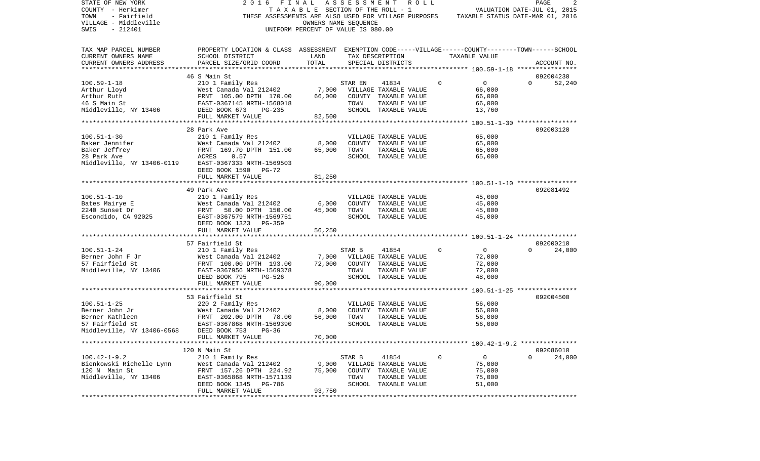| STATE OF NEW YORK<br>COUNTY - Herkimer<br>TOWN<br>- Fairfield<br>VILLAGE - Middleville<br>$-212401$<br>SWIS | FINAL<br>2016<br>THESE ASSESSMENTS ARE ALSO USED FOR VILLAGE PURPOSES                              | TAXABLE SECTION OF THE ROLL - 1<br>OWNERS NAME SEQUENCE<br>UNIFORM PERCENT OF VALUE IS 080.00 |         | ASSESSMENT ROLL                               |             | VALUATION DATE-JUL 01, 2015<br>TAXABLE STATUS DATE-MAR 01, 2016 |              | 2<br>PAGE   |
|-------------------------------------------------------------------------------------------------------------|----------------------------------------------------------------------------------------------------|-----------------------------------------------------------------------------------------------|---------|-----------------------------------------------|-------------|-----------------------------------------------------------------|--------------|-------------|
| TAX MAP PARCEL NUMBER                                                                                       | PROPERTY LOCATION & CLASS ASSESSMENT EXEMPTION CODE-----VILLAGE------COUNTY-------TOWN------SCHOOL |                                                                                               |         |                                               |             |                                                                 |              |             |
| CURRENT OWNERS NAME                                                                                         | SCHOOL DISTRICT                                                                                    | LAND                                                                                          |         | TAX DESCRIPTION                               |             | TAXABLE VALUE                                                   |              |             |
| CURRENT OWNERS ADDRESS                                                                                      | PARCEL SIZE/GRID COORD                                                                             | TOTAL                                                                                         |         | SPECIAL DISTRICTS                             |             |                                                                 |              | ACCOUNT NO. |
|                                                                                                             |                                                                                                    |                                                                                               |         |                                               |             |                                                                 |              |             |
|                                                                                                             | 46 S Main St                                                                                       |                                                                                               |         |                                               |             |                                                                 |              | 092004230   |
| $100.59 - 1 - 18$                                                                                           | 210 1 Family Res                                                                                   |                                                                                               | STAR EN | 41834                                         | $\Omega$    | $\mathbf{0}$                                                    | $\Omega$     | 52,240      |
| Arthur Lloyd<br>Arthur Ruth                                                                                 | West Canada Val 212402<br>FRNT 105.00 DPTH 170.00                                                  | 7,000<br>66,000                                                                               |         | VILLAGE TAXABLE VALUE<br>COUNTY TAXABLE VALUE |             | 66,000<br>66,000                                                |              |             |
| 46 S Main St                                                                                                | FRNT 105.00 DPIH 170.00<br>EAST-0367145 NRTH-1568018                                               |                                                                                               | TOWN    | TAXABLE VALUE                                 |             | 66,000                                                          |              |             |
| Middleville, NY 13406 DEED BOOK 673                                                                         | PG-235                                                                                             |                                                                                               |         | SCHOOL TAXABLE VALUE                          |             | 13,760                                                          |              |             |
|                                                                                                             | FULL MARKET VALUE                                                                                  | 82,500                                                                                        |         |                                               |             |                                                                 |              |             |
|                                                                                                             |                                                                                                    |                                                                                               |         |                                               |             |                                                                 |              |             |
|                                                                                                             | 28 Park Ave                                                                                        |                                                                                               |         |                                               |             |                                                                 |              | 092003120   |
| $100.51 - 1 - 30$                                                                                           | 210 1 Family Res                                                                                   |                                                                                               |         | VILLAGE TAXABLE VALUE                         |             | 65,000                                                          |              |             |
| Baker Jennifer                                                                                              | West Canada Val 212402                                                                             | 8,000                                                                                         |         | COUNTY TAXABLE VALUE                          |             | 65,000                                                          |              |             |
| Baker Jeffrey                                                                                               | FRNT 169.70 DPTH 151.00<br>FRNT<br>ACRES                                                           | 65,000                                                                                        | TOWN    | TAXABLE VALUE                                 |             | 65,000                                                          |              |             |
| 28 Park Ave                                                                                                 | 0.57                                                                                               |                                                                                               |         | SCHOOL TAXABLE VALUE                          |             | 65,000                                                          |              |             |
| Middleville, NY 13406-0119                                                                                  | EAST-0367333 NRTH-1569503                                                                          |                                                                                               |         |                                               |             |                                                                 |              |             |
|                                                                                                             | DEED BOOK 1590<br>PG-72                                                                            |                                                                                               |         |                                               |             |                                                                 |              |             |
|                                                                                                             | FULL MARKET VALUE                                                                                  | 81,250                                                                                        |         |                                               |             |                                                                 |              |             |
|                                                                                                             | 49 Park Ave                                                                                        |                                                                                               |         |                                               |             |                                                                 |              | 092081492   |
| $100.51 - 1 - 10$                                                                                           | 210 1 Family Res                                                                                   |                                                                                               |         | VILLAGE TAXABLE VALUE                         |             | 45,000                                                          |              |             |
| Bates Mairye E                                                                                              | West Canada Val 212402                                                                             | 6,000                                                                                         |         | COUNTY TAXABLE VALUE                          |             | 45,000                                                          |              |             |
| 2240 Sunset Dr                                                                                              | 50.00 DPTH 150.00                                                                                  | 45,000                                                                                        | TOWN    | TAXABLE VALUE                                 |             | 45,000                                                          |              |             |
| Escondido, CA 92025                                                                                         | West<br>FRNT<br>EAST-<br>EAST-0367579 NRTH-1569751                                                 |                                                                                               |         | SCHOOL TAXABLE VALUE                          |             | 45,000                                                          |              |             |
|                                                                                                             | DEED BOOK 1323 PG-359                                                                              |                                                                                               |         |                                               |             |                                                                 |              |             |
|                                                                                                             | FULL MARKET VALUE                                                                                  | 56,250                                                                                        |         |                                               |             |                                                                 |              |             |
|                                                                                                             |                                                                                                    |                                                                                               |         |                                               |             |                                                                 |              |             |
|                                                                                                             | 57 Fairfield St                                                                                    |                                                                                               |         |                                               |             |                                                                 |              | 092000210   |
| $100.51 - 1 - 24$                                                                                           | 210 1 Family Res                                                                                   |                                                                                               | STAR B  | 41854                                         | $\Omega$    | $\overline{0}$                                                  | $\Omega$     | 24,000      |
| Berner John F Jr                                                                                            | West Canada Val 212402                                                                             | 7,000                                                                                         |         | VILLAGE TAXABLE VALUE                         |             | 72,000                                                          |              |             |
| 57 Fairfield St                                                                                             | FRNT 100.00 DPTH 193.00                                                                            | 72,000                                                                                        |         | COUNTY TAXABLE VALUE                          |             | 72,000                                                          |              |             |
| Middleville, NY 13406                                                                                       | EAST-0367956 NRTH-1569378                                                                          |                                                                                               | TOWN    | TAXABLE VALUE<br>SCHOOL TAXABLE VALUE         |             | 72,000                                                          |              |             |
|                                                                                                             | DEED BOOK 795<br>PG-526<br>FULL MARKET VALUE                                                       | 90,000                                                                                        |         |                                               |             | 48,000                                                          |              |             |
|                                                                                                             |                                                                                                    |                                                                                               |         |                                               |             |                                                                 |              |             |
|                                                                                                             | 53 Fairfield St                                                                                    |                                                                                               |         |                                               |             |                                                                 |              | 092004500   |
| $100.51 - 1 - 25$                                                                                           | 220 2 Family Res                                                                                   |                                                                                               |         | VILLAGE TAXABLE VALUE                         |             | 56,000                                                          |              |             |
| Berner John Jr                                                                                              | West Canada Val 212402                                                                             | 8,000                                                                                         |         | COUNTY TAXABLE VALUE                          |             | 56,000                                                          |              |             |
| Berner Kathleen                                                                                             | FRNT 202.00 DPTH<br>78.00                                                                          | 56,000                                                                                        | TOWN    | TAXABLE VALUE                                 |             | 56,000                                                          |              |             |
| 57 Fairfield St                                                                                             | EAST-0367868 NRTH-1569390                                                                          |                                                                                               |         | SCHOOL TAXABLE VALUE                          |             | 56,000                                                          |              |             |
| Middleville, NY 13406-0568                                                                                  | DEED BOOK 753<br>$PG-36$                                                                           |                                                                                               |         |                                               |             |                                                                 |              |             |
|                                                                                                             | FULL MARKET VALUE                                                                                  | 70,000                                                                                        |         |                                               |             |                                                                 |              |             |
|                                                                                                             |                                                                                                    |                                                                                               |         |                                               |             |                                                                 |              |             |
|                                                                                                             | 120 N Main St                                                                                      |                                                                                               |         |                                               |             |                                                                 |              | 092086010   |
| $100.42 - 1 - 9.2$                                                                                          | 210 1 Family Res                                                                                   |                                                                                               | STAR B  | 41854                                         | $\mathbf 0$ | $\overline{0}$                                                  | $\mathbf{0}$ | 24,000      |
| Bienkowski Richelle Lynn<br>120 N Main St                                                                   | West Canada Val 212402<br>FRNT 157.26 DPTH 224.92                                                  | 9,000<br>75,000                                                                               |         | VILLAGE TAXABLE VALUE<br>COUNTY TAXABLE VALUE |             | 75,000<br>75,000                                                |              |             |
| Middleville, NY 13406                                                                                       | EAST-0365868 NRTH-1571139                                                                          |                                                                                               | TOWN    | TAXABLE VALUE                                 |             | 75,000                                                          |              |             |
|                                                                                                             | DEED BOOK 1345 PG-786                                                                              |                                                                                               |         | SCHOOL TAXABLE VALUE                          |             | 51,000                                                          |              |             |
|                                                                                                             | FULL MARKET VALUE                                                                                  | 93,750                                                                                        |         |                                               |             |                                                                 |              |             |
|                                                                                                             |                                                                                                    |                                                                                               |         |                                               |             |                                                                 |              |             |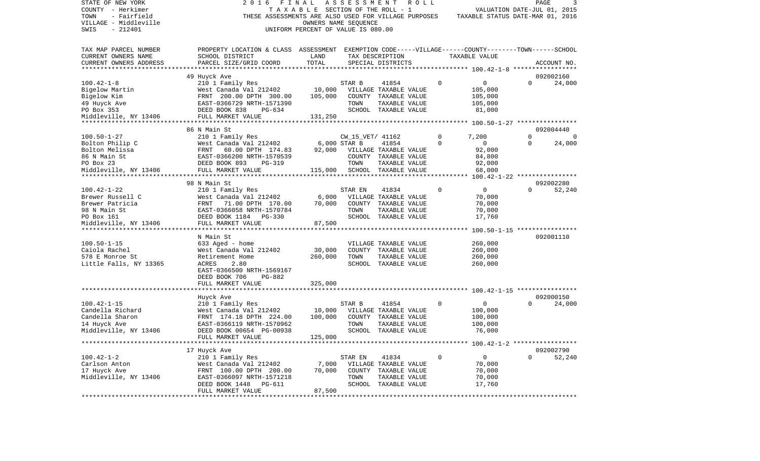| STATE OF NEW YORK<br>COUNTY - Herkimer<br>TOWN<br>- Fairfield<br>VILLAGE - Middleville | 2 0 1 6<br>THESE ASSESSMENTS ARE ALSO USED FOR VILLAGE PURPOSES                                                       | FINAL<br>T A X A B L E SECTION OF THE ROLL - 1<br>OWNERS NAME SEQUENCE | ASSESSMENT                       | R O L L                               |               | VALUATION DATE-JUL 01, 2015<br>TAXABLE STATUS DATE-MAR 01, 2016 | PAGE     | 3                   |
|----------------------------------------------------------------------------------------|-----------------------------------------------------------------------------------------------------------------------|------------------------------------------------------------------------|----------------------------------|---------------------------------------|---------------|-----------------------------------------------------------------|----------|---------------------|
| SWIS<br>$-212401$                                                                      |                                                                                                                       | UNIFORM PERCENT OF VALUE IS 080.00                                     |                                  |                                       |               |                                                                 |          |                     |
| TAX MAP PARCEL NUMBER<br>CURRENT OWNERS NAME                                           | PROPERTY LOCATION & CLASS ASSESSMENT EXEMPTION CODE-----VILLAGE------COUNTY-------TOWN------SCHOOL<br>SCHOOL DISTRICT | LAND                                                                   |                                  | TAX DESCRIPTION                       |               | TAXABLE VALUE                                                   |          |                     |
| CURRENT OWNERS ADDRESS                                                                 | PARCEL SIZE/GRID COORD                                                                                                | TOTAL                                                                  |                                  | SPECIAL DISTRICTS                     |               |                                                                 |          | ACCOUNT NO.         |
| ***********************                                                                |                                                                                                                       |                                                                        |                                  |                                       |               |                                                                 |          |                     |
| $100.42 - 1 - 8$                                                                       | 49 Huyck Ave<br>210 1 Family Res                                                                                      |                                                                        | STAR B                           | 41854                                 | 0             | 0                                                               | $\Omega$ | 092002160<br>24,000 |
| Bigelow Martin                                                                         | West Canada Val 212402                                                                                                | 10,000                                                                 |                                  | VILLAGE TAXABLE VALUE                 |               | 105,000                                                         |          |                     |
| Bigelow Kim                                                                            | FRNT 200.00 DPTH 300.00                                                                                               | 105,000                                                                |                                  | COUNTY TAXABLE VALUE                  |               | 105,000                                                         |          |                     |
| 49 Huyck Ave                                                                           | EAST-0366729 NRTH-1571390                                                                                             |                                                                        | TOWN                             | TAXABLE VALUE                         |               | 105,000                                                         |          |                     |
| PO Box 353                                                                             | DEED BOOK 838<br>PG-634                                                                                               |                                                                        |                                  | SCHOOL TAXABLE VALUE                  |               | 81,000                                                          |          |                     |
| Middleville, NY 13406                                                                  | FULL MARKET VALUE                                                                                                     | 131,250                                                                |                                  |                                       |               |                                                                 |          |                     |
|                                                                                        |                                                                                                                       |                                                                        |                                  |                                       |               |                                                                 |          |                     |
|                                                                                        | 86 N Main St                                                                                                          |                                                                        |                                  |                                       |               |                                                                 | $\Omega$ | 092004440           |
| $100.50 - 1 - 27$<br>Bolton Philip C                                                   | 210 1 Family Res<br>West Canada Val 212402                                                                            |                                                                        | CW_15_VET/ 41162<br>6,000 STAR B | 41854                                 | 0<br>$\Omega$ | 7,200<br>$\mathbf 0$                                            | $\Omega$ | 0<br>24,000         |
| Bolton Melissa                                                                         | 60.00 DPTH 174.83<br>FRNT                                                                                             | 92,000                                                                 |                                  | VILLAGE TAXABLE VALUE                 |               | 92,000                                                          |          |                     |
| 86 N Main St                                                                           | EAST-0366200 NRTH-1570539                                                                                             |                                                                        |                                  | COUNTY TAXABLE VALUE                  |               | 84,800                                                          |          |                     |
| PO Box 23                                                                              | DEED BOOK 893<br>PG-319                                                                                               |                                                                        | TOWN                             | TAXABLE VALUE                         |               | 92,000                                                          |          |                     |
| Middleville, NY 13406                                                                  | FULL MARKET VALUE                                                                                                     | 115,000                                                                |                                  | SCHOOL TAXABLE VALUE                  |               | 68,000                                                          |          |                     |
|                                                                                        |                                                                                                                       |                                                                        |                                  | ***********************************   |               | 100.42-1-22 *****************                                   |          |                     |
|                                                                                        | 98 N Main St                                                                                                          |                                                                        |                                  |                                       |               |                                                                 |          | 092002280           |
| $100.42 - 1 - 22$                                                                      | 210 1 Family Res                                                                                                      |                                                                        | STAR EN                          | 41834                                 | 0             | 0                                                               | $\Omega$ | 52,240              |
| Brewer Russell C                                                                       | West Canada Val 212402                                                                                                | 6,000                                                                  |                                  | VILLAGE TAXABLE VALUE                 |               | 70,000                                                          |          |                     |
| Brewer Patricia                                                                        | FRNT<br>71.00 DPTH 170.00                                                                                             | 70,000                                                                 |                                  | COUNTY TAXABLE VALUE                  |               | 70,000                                                          |          |                     |
| 98 N Main St<br>PO Box 161                                                             | EAST-0366058 NRTH-1570784<br>DEED BOOK 1184 PG-330                                                                    |                                                                        | TOWN                             | TAXABLE VALUE<br>SCHOOL TAXABLE VALUE |               | 70,000<br>17,760                                                |          |                     |
| Middleville, NY 13406                                                                  | FULL MARKET VALUE                                                                                                     | 87,500                                                                 |                                  |                                       |               |                                                                 |          |                     |
|                                                                                        |                                                                                                                       |                                                                        |                                  |                                       |               |                                                                 |          |                     |
|                                                                                        | N Main St                                                                                                             |                                                                        |                                  |                                       |               |                                                                 |          | 092001110           |
| $100.50 - 1 - 15$                                                                      | 633 Aged - home                                                                                                       |                                                                        |                                  | VILLAGE TAXABLE VALUE                 |               | 260,000                                                         |          |                     |
| Caiola Rachel                                                                          | West Canada Val 212402                                                                                                | 30,000                                                                 |                                  | COUNTY TAXABLE VALUE                  |               | 260,000                                                         |          |                     |
| 578 E Monroe St                                                                        | Retirement Home                                                                                                       | 260,000                                                                | TOWN                             | TAXABLE VALUE                         |               | 260,000                                                         |          |                     |
| Little Falls, NY 13365                                                                 | ACRES<br>2.80                                                                                                         |                                                                        |                                  | SCHOOL TAXABLE VALUE                  |               | 260,000                                                         |          |                     |
|                                                                                        | EAST-0366500 NRTH-1569167<br>DEED BOOK 706<br>PG-882                                                                  |                                                                        |                                  |                                       |               |                                                                 |          |                     |
|                                                                                        | FULL MARKET VALUE                                                                                                     | 325,000                                                                |                                  |                                       |               |                                                                 |          |                     |
|                                                                                        |                                                                                                                       |                                                                        |                                  |                                       |               |                                                                 |          |                     |
|                                                                                        | Huyck Ave                                                                                                             |                                                                        |                                  |                                       |               |                                                                 |          | 092000150           |
| $100.42 - 1 - 15$                                                                      | 210 1 Family Res                                                                                                      |                                                                        | STAR B                           | 41854                                 | 0             | $\mathbf 0$                                                     | $\Omega$ | 24,000              |
| Candella Richard                                                                       | West Canada Val 212402                                                                                                | 10,000                                                                 |                                  | VILLAGE TAXABLE VALUE                 |               | 100,000                                                         |          |                     |
| Candella Sharon                                                                        | FRNT 174.18 DPTH 224.00                                                                                               | 100,000                                                                |                                  | COUNTY TAXABLE VALUE                  |               | 100,000                                                         |          |                     |
| 14 Huyck Ave<br>Middleville, NY 13406                                                  | EAST-0366119 NRTH-1570962<br>DEED BOOK 00654 PG-00938                                                                 |                                                                        | TOWN                             | TAXABLE VALUE<br>SCHOOL TAXABLE VALUE |               | 100,000<br>76,000                                               |          |                     |
|                                                                                        | FULL MARKET VALUE                                                                                                     | 125,000                                                                |                                  |                                       |               |                                                                 |          |                     |
|                                                                                        |                                                                                                                       |                                                                        |                                  |                                       |               |                                                                 |          |                     |
|                                                                                        | 17 Huyck Ave                                                                                                          |                                                                        |                                  |                                       |               |                                                                 |          | 092002790           |
| $100.42 - 1 - 2$                                                                       | 210 1 Family Res                                                                                                      |                                                                        | STAR EN                          | 41834                                 | $\mathbf 0$   | $\mathbf 0$                                                     | $\Omega$ | 52,240              |
| Carlson Anton                                                                          | West Canada Val 212402                                                                                                | 7,000                                                                  |                                  | VILLAGE TAXABLE VALUE                 |               | 70,000                                                          |          |                     |
| 17 Huyck Ave                                                                           | FRNT 100.00 DPTH 200.00                                                                                               | 70,000                                                                 |                                  | COUNTY TAXABLE VALUE                  |               | 70,000                                                          |          |                     |
| Middleville, NY 13406                                                                  | EAST-0366097 NRTH-1571218                                                                                             |                                                                        | TOWN                             | TAXABLE VALUE                         |               | 70,000                                                          |          |                     |
|                                                                                        | DEED BOOK 1448 PG-611<br>FULL MARKET VALUE                                                                            | 87,500                                                                 |                                  | SCHOOL TAXABLE VALUE                  |               | 17,760                                                          |          |                     |
|                                                                                        |                                                                                                                       |                                                                        |                                  |                                       |               |                                                                 |          |                     |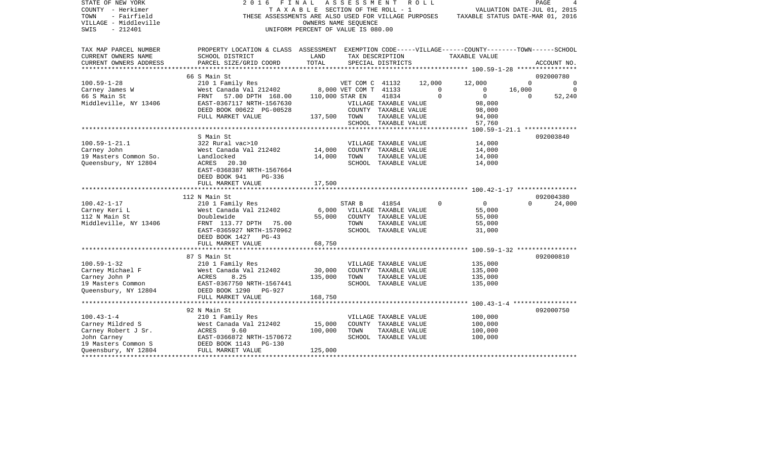| STATE OF NEW YORK<br>COUNTY - Herkimer<br>TOWN<br>- Fairfield<br>VILLAGE - Middleville<br>$-212401$<br>SWIS | 2 0 1 6<br>FINAL<br>THESE ASSESSMENTS ARE ALSO USED FOR VILLAGE PURPOSES                                              | TAXABLE SECTION OF THE ROLL - 1<br>UNIFORM PERCENT OF VALUE IS 080.00 | A S S E S S M E N T<br>OWNERS NAME SEQUENCE |                                               | R O L L |             |                  | PAGE<br>VALUATION DATE-JUL 01, 2015<br>TAXABLE STATUS DATE-MAR 01, 2016 |             |
|-------------------------------------------------------------------------------------------------------------|-----------------------------------------------------------------------------------------------------------------------|-----------------------------------------------------------------------|---------------------------------------------|-----------------------------------------------|---------|-------------|------------------|-------------------------------------------------------------------------|-------------|
| TAX MAP PARCEL NUMBER<br>CURRENT OWNERS NAME                                                                | PROPERTY LOCATION & CLASS ASSESSMENT EXEMPTION CODE-----VILLAGE------COUNTY-------TOWN------SCHOOL<br>SCHOOL DISTRICT | LAND                                                                  |                                             | TAX DESCRIPTION                               |         |             | TAXABLE VALUE    |                                                                         |             |
| CURRENT OWNERS ADDRESS                                                                                      | PARCEL SIZE/GRID COORD                                                                                                | TOTAL                                                                 |                                             | SPECIAL DISTRICTS                             |         |             |                  |                                                                         | ACCOUNT NO. |
|                                                                                                             |                                                                                                                       |                                                                       |                                             |                                               |         |             |                  |                                                                         |             |
|                                                                                                             | 66 S Main St                                                                                                          |                                                                       |                                             |                                               |         |             |                  |                                                                         | 092000780   |
| $100.59 - 1 - 28$                                                                                           | 210 1 Family Res                                                                                                      |                                                                       | VET COM C 41132                             |                                               | 12,000  |             | 12,000           | $\mathbf 0$                                                             | $\mathbf 0$ |
| Carney James W                                                                                              | West Canada Val 212402                                                                                                |                                                                       | 8,000 VET COM T 41133                       |                                               |         | $\mathbf 0$ | $\mathbf 0$      | 16,000                                                                  | 0           |
| 66 S Main St                                                                                                | FRNT 57.00 DPTH 168.00                                                                                                |                                                                       | 110,000 STAR EN                             | 41834                                         |         | $\Omega$    | $\overline{0}$   | $\Omega$                                                                | 52,240      |
| Middleville, NY 13406                                                                                       | EAST-0367117 NRTH-1567630<br>DEED BOOK 00622 PG-00528                                                                 |                                                                       |                                             | VILLAGE TAXABLE VALUE<br>COUNTY TAXABLE VALUE |         |             | 98,000<br>98,000 |                                                                         |             |
|                                                                                                             | FULL MARKET VALUE                                                                                                     | 137,500                                                               | TOWN                                        | TAXABLE VALUE                                 |         |             | 94,000           |                                                                         |             |
|                                                                                                             |                                                                                                                       |                                                                       |                                             | SCHOOL TAXABLE VALUE                          |         |             | 57,760           |                                                                         |             |
|                                                                                                             |                                                                                                                       |                                                                       |                                             |                                               |         |             |                  |                                                                         |             |
|                                                                                                             | S Main St                                                                                                             |                                                                       |                                             |                                               |         |             |                  |                                                                         | 092003840   |
| $100.59 - 1 - 21.1$                                                                                         | 322 Rural vac>10                                                                                                      |                                                                       |                                             | VILLAGE TAXABLE VALUE                         |         |             | 14,000           |                                                                         |             |
| Carney John                                                                                                 | West Canada Val 212402                                                                                                | 14,000                                                                |                                             | COUNTY TAXABLE VALUE                          |         |             | 14,000           |                                                                         |             |
| 19 Masters Common So.                                                                                       | Landlocked                                                                                                            | 14,000                                                                | TOWN                                        | TAXABLE VALUE                                 |         |             | 14,000           |                                                                         |             |
| Queensbury, NY 12804                                                                                        | ACRES 20.30                                                                                                           |                                                                       |                                             | SCHOOL TAXABLE VALUE                          |         |             | 14,000           |                                                                         |             |
|                                                                                                             | EAST-0368387 NRTH-1567664<br>DEED BOOK 941<br>PG-336                                                                  |                                                                       |                                             |                                               |         |             |                  |                                                                         |             |
|                                                                                                             | FULL MARKET VALUE                                                                                                     | 17,500                                                                |                                             |                                               |         |             |                  |                                                                         |             |
|                                                                                                             |                                                                                                                       |                                                                       |                                             |                                               |         |             |                  |                                                                         |             |
|                                                                                                             | 112 N Main St                                                                                                         |                                                                       |                                             |                                               |         |             |                  |                                                                         | 092004380   |
| $100.42 - 1 - 17$                                                                                           | 210 1 Family Res                                                                                                      |                                                                       | STAR B                                      | 41854                                         |         | $\Omega$    | $\overline{0}$   | $\Omega$                                                                | 24,000      |
| Carney Keri L<br>112 N Main St                                                                              | West Canada Val 212402<br>Doublewide                                                                                  | 6,000<br>55,000                                                       |                                             | VILLAGE TAXABLE VALUE<br>COUNTY TAXABLE VALUE |         |             | 55,000<br>55,000 |                                                                         |             |
| Middleville, NY 13406                                                                                       | FRNT 113.77 DPTH 75.00                                                                                                |                                                                       | TOWN                                        | TAXABLE VALUE                                 |         |             | 55,000           |                                                                         |             |
|                                                                                                             | EAST-0365927 NRTH-1570962                                                                                             |                                                                       |                                             | SCHOOL TAXABLE VALUE                          |         |             | 31,000           |                                                                         |             |
|                                                                                                             | DEED BOOK 1427 PG-43                                                                                                  |                                                                       |                                             |                                               |         |             |                  |                                                                         |             |
|                                                                                                             | FULL MARKET VALUE                                                                                                     | 68,750                                                                |                                             |                                               |         |             |                  |                                                                         |             |
|                                                                                                             |                                                                                                                       |                                                                       |                                             |                                               |         |             |                  |                                                                         |             |
|                                                                                                             | 87 S Main St                                                                                                          |                                                                       |                                             |                                               |         |             |                  |                                                                         | 092000810   |
| $100.59 - 1 - 32$                                                                                           | 210 1 Family Res                                                                                                      |                                                                       |                                             | VILLAGE TAXABLE VALUE                         |         |             | 135,000          |                                                                         |             |
| Carney Michael F                                                                                            | West Canada Val 212402                                                                                                | 30,000                                                                |                                             | COUNTY TAXABLE VALUE                          |         |             | 135,000          |                                                                         |             |
| Carney John P                                                                                               | ACRES<br>8.25                                                                                                         | 135,000                                                               | TOWN                                        | TAXABLE VALUE                                 |         |             | 135,000          |                                                                         |             |
| 19 Masters Common                                                                                           | EAST-0367750 NRTH-1567441                                                                                             |                                                                       |                                             | SCHOOL TAXABLE VALUE                          |         |             | 135,000          |                                                                         |             |
| Queensbury, NY 12804                                                                                        | DEED BOOK 1290<br>$PG-927$                                                                                            |                                                                       |                                             |                                               |         |             |                  |                                                                         |             |
|                                                                                                             | FULL MARKET VALUE<br>***********************                                                                          | 168,750                                                               |                                             |                                               |         |             |                  |                                                                         |             |
|                                                                                                             | 92 N Main St                                                                                                          |                                                                       |                                             |                                               |         |             |                  |                                                                         | 092000750   |
| $100.43 - 1 - 4$                                                                                            | 210 1 Family Res                                                                                                      |                                                                       |                                             | VILLAGE TAXABLE VALUE                         |         |             | 100,000          |                                                                         |             |
| Carney Mildred S                                                                                            | West Canada Val 212402                                                                                                | 15,000                                                                |                                             | COUNTY TAXABLE VALUE                          |         |             | 100,000          |                                                                         |             |
| Carney Robert J Sr.                                                                                         | ACRES<br>9.60                                                                                                         | 100,000                                                               | TOWN                                        | TAXABLE VALUE                                 |         |             | 100,000          |                                                                         |             |
| John Carney                                                                                                 | EAST-0366872 NRTH-1570672                                                                                             |                                                                       |                                             | SCHOOL TAXABLE VALUE                          |         |             | 100,000          |                                                                         |             |
| 19 Masters Common S                                                                                         | DEED BOOK 1143<br>PG-130                                                                                              |                                                                       |                                             |                                               |         |             |                  |                                                                         |             |
| Queensbury, NY 12804                                                                                        | FULL MARKET VALUE                                                                                                     | 125,000                                                               |                                             |                                               |         |             |                  |                                                                         |             |
|                                                                                                             |                                                                                                                       |                                                                       |                                             |                                               |         |             |                  |                                                                         |             |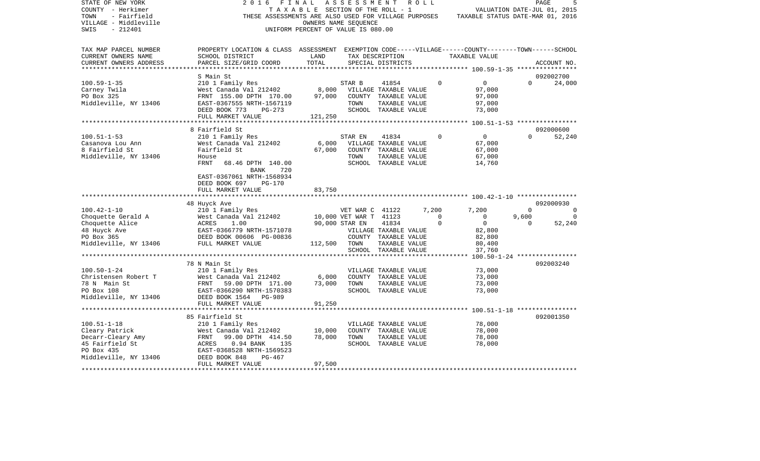| STATE OF NEW YORK<br>COUNTY - Herkimer<br>- Fairfield<br>TOWN<br>VILLAGE - Middleville<br>$-212401$<br>SWIS        | 2016<br>FINAL<br>THESE ASSESSMENTS ARE ALSO USED FOR VILLAGE PURPOSES                                                                                                               | TAXABLE SECTION OF THE ROLL - 1<br>OWNERS NAME SEOUENCE<br>UNIFORM PERCENT OF VALUE IS 080.00 | ASSESSMENT                               |                                                                                                 | R O L L |                      | TAXABLE STATUS DATE-MAR 01, 2016                |                   | PAGE<br>VALUATION DATE-JUL 01, 2015 |
|--------------------------------------------------------------------------------------------------------------------|-------------------------------------------------------------------------------------------------------------------------------------------------------------------------------------|-----------------------------------------------------------------------------------------------|------------------------------------------|-------------------------------------------------------------------------------------------------|---------|----------------------|-------------------------------------------------|-------------------|-------------------------------------|
| TAX MAP PARCEL NUMBER<br>CURRENT OWNERS NAME<br>CURRENT OWNERS ADDRESS                                             | PROPERTY LOCATION & CLASS ASSESSMENT EXEMPTION CODE-----VILLAGE------COUNTY-------TOWN------SCHOOL<br>SCHOOL DISTRICT<br>PARCEL SIZE/GRID COORD                                     | LAND<br>TOTAL                                                                                 |                                          | TAX DESCRIPTION<br>SPECIAL DISTRICTS                                                            |         |                      | TAXABLE VALUE                                   |                   | ACCOUNT NO.                         |
|                                                                                                                    | S Main St                                                                                                                                                                           |                                                                                               |                                          |                                                                                                 |         |                      |                                                 |                   | 092002700                           |
| $100.59 - 1 - 35$<br>Carney Twila<br>PO Box 325<br>Middleville, NY 13406                                           | 210 1 Family Res<br>West Canada Val 212402<br>FRNT 155.00 DPTH 170.00<br>EAST-0367555 NRTH-1567119<br>DEED BOOK 773<br>PG-273<br>FULL MARKET VALUE                                  | 8,000<br>97,000<br>121,250                                                                    | STAR B<br>TOWN                           | 41854<br>VILLAGE TAXABLE VALUE<br>COUNTY TAXABLE VALUE<br>TAXABLE VALUE<br>SCHOOL TAXABLE VALUE |         | $\Omega$             | 0<br>97,000<br>97,000<br>97,000<br>73,000       | $\Omega$          | 24,000                              |
|                                                                                                                    |                                                                                                                                                                                     |                                                                                               |                                          |                                                                                                 |         |                      |                                                 |                   |                                     |
| $100.51 - 1 - 53$<br>Casanova Lou Ann<br>8 Fairfield St<br>Middleville, NY 13406                                   | 8 Fairfield St<br>210 1 Family Res<br>West Canada Val 212402<br>Fairfield St<br>House<br><b>FRNT</b><br>68.46 DPTH 140.00<br>720<br><b>BANK</b><br>EAST-0367061 NRTH-1568934        | 6,000<br>67,000                                                                               | STAR EN<br>TOWN                          | 41834<br>VILLAGE TAXABLE VALUE<br>COUNTY TAXABLE VALUE<br>TAXABLE VALUE<br>SCHOOL TAXABLE VALUE |         | $\mathbf 0$          | $\circ$<br>67,000<br>67,000<br>67,000<br>14,760 | $\Omega$          | 092000600<br>52,240                 |
|                                                                                                                    | DEED BOOK 697<br><b>PG-170</b><br>FULL MARKET VALUE                                                                                                                                 | 83,750                                                                                        |                                          |                                                                                                 |         |                      |                                                 |                   | 092000930                           |
| $100.42 - 1 - 10$                                                                                                  | 48 Huyck Ave<br>210 1 Family Res                                                                                                                                                    |                                                                                               | VET WAR C 41122                          |                                                                                                 |         | 7,200                | 7,200                                           | $\Omega$          | $\Omega$                            |
| Choquette Gerald A<br>Choquette Alice<br>48 Huyck Ave<br>PO Box 365                                                | West Canada Val 212402<br>ACRES<br>1.00<br>EAST-0366779 NRTH-1571078<br>DEED BOOK 00606 PG-00836                                                                                    |                                                                                               | 10,000 VET WAR T 41123<br>90,000 STAR EN | 41834<br>VILLAGE TAXABLE VALUE<br>COUNTY TAXABLE VALUE                                          |         | $\Omega$<br>$\Omega$ | $\Omega$<br>$\mathbf 0$<br>82,800<br>82,800     | 9,600<br>$\Omega$ | $\mathbf 0$<br>52,240               |
| Middleville, NY 13406                                                                                              | FULL MARKET VALUE                                                                                                                                                                   | 112,500                                                                                       | TOWN                                     | TAXABLE VALUE<br>SCHOOL TAXABLE VALUE                                                           |         |                      | 80,400<br>37,760                                |                   |                                     |
|                                                                                                                    |                                                                                                                                                                                     |                                                                                               |                                          |                                                                                                 |         |                      |                                                 |                   | $100.50 - 1 - 24$ ***************** |
|                                                                                                                    | 78 N Main St                                                                                                                                                                        |                                                                                               |                                          |                                                                                                 |         |                      |                                                 |                   | 092003240                           |
| $100.50 - 1 - 24$<br>Christensen Robert T<br>78 N Main St<br>PO Box 108<br>Middleville, NY 13406                   | 210 1 Family Res<br>West Canada Val 212402<br>FRNT<br>59.00 DPTH 171.00<br>EAST-0366290 NRTH-1570383<br>DEED BOOK 1564 PG-989                                                       | 6,000<br>73,000                                                                               | TOWN                                     | VILLAGE TAXABLE VALUE<br>COUNTY TAXABLE VALUE<br>TAXABLE VALUE<br>SCHOOL TAXABLE VALUE          |         |                      | 73,000<br>73,000<br>73,000<br>73,000            |                   |                                     |
|                                                                                                                    | FULL MARKET VALUE                                                                                                                                                                   | 91,250                                                                                        |                                          |                                                                                                 |         |                      |                                                 |                   |                                     |
|                                                                                                                    |                                                                                                                                                                                     |                                                                                               |                                          |                                                                                                 |         |                      |                                                 |                   |                                     |
| $100.51 - 1 - 18$<br>Cleary Patrick<br>Decarr-Cleary Amy<br>45 Fairfield St<br>PO Box 435<br>Middleville, NY 13406 | 85 Fairfield St<br>210 1 Family Res<br>West Canada Val 212402<br>FRNT<br>99.00 DPTH 414.50<br>ACRES<br>$0.94$ BANK<br>135<br>EAST-0368528 NRTH-1569523<br>DEED BOOK 848<br>$PG-467$ | 10,000<br>78,000                                                                              | TOWN                                     | VILLAGE TAXABLE VALUE<br>COUNTY TAXABLE VALUE<br>TAXABLE VALUE<br>SCHOOL TAXABLE VALUE          |         |                      | 78,000<br>78,000<br>78,000<br>78,000            |                   | 092001350                           |
|                                                                                                                    | FULL MARKET VALUE                                                                                                                                                                   | 97,500                                                                                        |                                          |                                                                                                 |         |                      |                                                 |                   |                                     |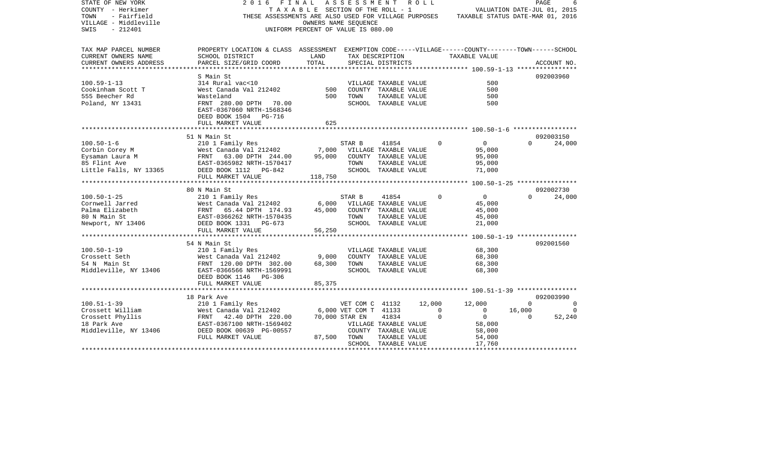| STATE OF NEW YORK<br>COUNTY - Herkimer<br>TOWN<br>- Fairfield<br>VILLAGE - Middleville<br>$-212401$<br>SWIS | 2016<br>FINAL<br>THESE ASSESSMENTS ARE ALSO USED FOR VILLAGE PURPOSES TAXABLE STATUS DATE-MAR 01, 2016 | TAXABLE SECTION OF THE ROLL - 1<br>OWNERS NAME SEOUENCE<br>UNIFORM PERCENT OF VALUE IS 080.00 | A S S E S S M E N T   |                                       | R O L L |             |                  | PAGE<br>VALUATION DATE-JUL 01, 2015 |             |
|-------------------------------------------------------------------------------------------------------------|--------------------------------------------------------------------------------------------------------|-----------------------------------------------------------------------------------------------|-----------------------|---------------------------------------|---------|-------------|------------------|-------------------------------------|-------------|
|                                                                                                             |                                                                                                        |                                                                                               |                       |                                       |         |             |                  |                                     |             |
| TAX MAP PARCEL NUMBER                                                                                       | PROPERTY LOCATION & CLASS ASSESSMENT EXEMPTION CODE-----VILLAGE------COUNTY-------TOWN------SCHOOL     |                                                                                               |                       |                                       |         |             |                  |                                     |             |
| CURRENT OWNERS NAME                                                                                         | SCHOOL DISTRICT                                                                                        | LAND<br>TOTAL                                                                                 |                       | TAX DESCRIPTION                       |         |             | TAXABLE VALUE    |                                     |             |
| CURRENT OWNERS ADDRESS                                                                                      | PARCEL SIZE/GRID COORD                                                                                 |                                                                                               |                       | SPECIAL DISTRICTS                     |         |             |                  |                                     | ACCOUNT NO. |
|                                                                                                             | S Main St                                                                                              |                                                                                               |                       |                                       |         |             |                  |                                     | 092003960   |
| $100.59 - 1 - 13$                                                                                           | 314 Rural vac<10                                                                                       |                                                                                               |                       | VILLAGE TAXABLE VALUE                 |         |             | 500              |                                     |             |
| Cookinham Scott T                                                                                           | West Canada Val 212402                                                                                 | 500                                                                                           |                       | COUNTY TAXABLE VALUE                  |         |             | 500              |                                     |             |
| 555 Beecher Rd                                                                                              | Wasteland                                                                                              | 500                                                                                           | TOWN                  | TAXABLE VALUE                         |         |             | 500              |                                     |             |
| Poland, NY 13431                                                                                            | FRNT 280.00 DPTH 70.00                                                                                 |                                                                                               |                       | SCHOOL TAXABLE VALUE                  |         |             | 500              |                                     |             |
|                                                                                                             | EAST-0367060 NRTH-1568346                                                                              |                                                                                               |                       |                                       |         |             |                  |                                     |             |
|                                                                                                             | DEED BOOK 1504 PG-716                                                                                  |                                                                                               |                       |                                       |         |             |                  |                                     |             |
|                                                                                                             | FULL MARKET VALUE                                                                                      | 625                                                                                           |                       |                                       |         |             |                  |                                     |             |
|                                                                                                             |                                                                                                        |                                                                                               |                       |                                       |         |             |                  |                                     |             |
|                                                                                                             | 51 N Main St                                                                                           |                                                                                               |                       |                                       |         |             |                  |                                     | 092003150   |
| $100.50 - 1 - 6$                                                                                            | 210 1 Family Res                                                                                       |                                                                                               | STAR B                | 41854                                 |         | $\Omega$    | $\mathbf{0}$     | $\Omega$                            | 24,000      |
| Corbin Corey M                                                                                              | West Canada Val 212402                                                                                 | 7,000                                                                                         |                       | VILLAGE TAXABLE VALUE                 |         |             | 95,000           |                                     |             |
| Eysaman Laura M                                                                                             | FRNT<br>63.00 DPTH 244.00                                                                              | 95,000                                                                                        |                       | COUNTY TAXABLE VALUE                  |         |             | 95,000           |                                     |             |
| 85 Flint Ave                                                                                                | EAST-0365982 NRTH-1570417                                                                              |                                                                                               | TOWN                  | TAXABLE VALUE                         |         |             | 95,000           |                                     |             |
| Little Falls, NY 13365                                                                                      | DEED BOOK 1112 PG-842                                                                                  |                                                                                               |                       | SCHOOL TAXABLE VALUE                  |         |             | 71,000           |                                     |             |
|                                                                                                             | FULL MARKET VALUE                                                                                      | 118,750                                                                                       |                       |                                       |         |             |                  |                                     |             |
|                                                                                                             | 80 N Main St                                                                                           |                                                                                               |                       |                                       |         |             |                  |                                     | 092002730   |
| $100.50 - 1 - 25$                                                                                           | 210 1 Family Res                                                                                       |                                                                                               | STAR B                | 41854                                 |         | $\Omega$    | $\mathbf{0}$     | $\Omega$                            | 24,000      |
| Cornwell Jarred                                                                                             | West Canada Val 212402                                                                                 | 6,000                                                                                         |                       | VILLAGE TAXABLE VALUE                 |         |             | 45,000           |                                     |             |
| Palma Elizabeth                                                                                             | FRNT 65.44 DPTH 174.93                                                                                 | 45,000                                                                                        |                       | COUNTY TAXABLE VALUE                  |         |             | 45,000           |                                     |             |
| 80 N Main St                                                                                                | EAST-0366262 NRTH-1570435                                                                              |                                                                                               | TOWN                  | TAXABLE VALUE                         |         |             | 45,000           |                                     |             |
| Newport, NY 13406                                                                                           | DEED BOOK 1331 PG-673                                                                                  |                                                                                               |                       | SCHOOL TAXABLE VALUE                  |         |             | 21,000           |                                     |             |
|                                                                                                             | FULL MARKET VALUE                                                                                      | 56,250                                                                                        |                       |                                       |         |             |                  |                                     |             |
|                                                                                                             |                                                                                                        |                                                                                               |                       |                                       |         |             |                  |                                     |             |
|                                                                                                             | 54 N Main St                                                                                           |                                                                                               |                       |                                       |         |             |                  |                                     | 092001560   |
| $100.50 - 1 - 19$                                                                                           | 210 1 Family Res                                                                                       |                                                                                               |                       | VILLAGE TAXABLE VALUE                 |         |             | 68,300           |                                     |             |
| Crossett Seth                                                                                               | West Canada Val 212402                                                                                 | 9,000                                                                                         |                       | COUNTY TAXABLE VALUE                  |         |             | 68,300           |                                     |             |
| 54 N Main St                                                                                                | FRNT 120.00 DPTH 302.00                                                                                | 68,300                                                                                        | TOWN                  | TAXABLE VALUE                         |         |             | 68,300           |                                     |             |
| Middleville, NY 13406                                                                                       | EAST-0366566 NRTH-1569991                                                                              |                                                                                               |                       | SCHOOL TAXABLE VALUE                  |         |             | 68,300           |                                     |             |
|                                                                                                             | DEED BOOK 1146 PG-306                                                                                  |                                                                                               |                       |                                       |         |             |                  |                                     |             |
|                                                                                                             | FULL MARKET VALUE                                                                                      | 85,375                                                                                        |                       |                                       |         |             |                  |                                     |             |
|                                                                                                             |                                                                                                        |                                                                                               |                       |                                       |         |             |                  |                                     |             |
|                                                                                                             | 18 Park Ave                                                                                            |                                                                                               |                       |                                       |         |             |                  |                                     | 092003990   |
| $100.51 - 1 - 39$                                                                                           | 210 1 Family Res                                                                                       |                                                                                               | VET COM C 41132       |                                       | 12,000  |             | 12,000           | $\Omega$                            | $\Omega$    |
| Crossett William                                                                                            | West Canada Val 212402                                                                                 |                                                                                               | 6,000 VET COM T 41133 |                                       |         | $\mathbf 0$ | $\overline{0}$   | 16,000                              | $\Omega$    |
| Crossett Phyllis                                                                                            | FRNT 42.40 DPTH 220.00                                                                                 |                                                                                               | 70,000 STAR EN        | 41834                                 |         | $\Omega$    | $\overline{0}$   | $\Omega$                            | 52,240      |
| 18 Park Ave                                                                                                 | EAST-0367100 NRTH-1569402                                                                              |                                                                                               |                       | VILLAGE TAXABLE VALUE                 |         |             | 58,000           |                                     |             |
| Middleville, NY 13406                                                                                       | DEED BOOK 00639 PG-00557                                                                               |                                                                                               |                       | COUNTY TAXABLE VALUE                  |         |             | 58,000           |                                     |             |
|                                                                                                             | FULL MARKET VALUE                                                                                      | 87,500                                                                                        | TOWN                  | TAXABLE VALUE<br>SCHOOL TAXABLE VALUE |         |             | 54,000<br>17,760 |                                     |             |
| *********************                                                                                       |                                                                                                        |                                                                                               |                       |                                       |         |             |                  |                                     |             |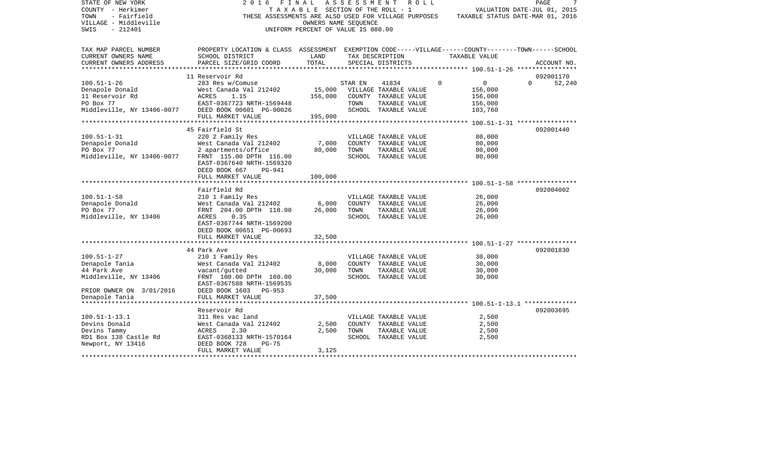| STATE OF NEW YORK<br>COUNTY - Herkimer<br>- Fairfield<br>TOWN<br>VILLAGE - Middleville<br>$-212401$<br>SWIS | 2 0 1 6<br>FINAL<br>THESE ASSESSMENTS ARE ALSO USED FOR VILLAGE PURPOSES                                              | TAXABLE SECTION OF THE ROLL - 1<br>OWNERS NAME SEQUENCE<br>UNIFORM PERCENT OF VALUE IS 080.00 | ASSESSMENT |                                       | R O L L |          | VALUATION DATE-JUL 01, 2015<br>TAXABLE STATUS DATE-MAR 01, 2016 | PAGE     | 7           |
|-------------------------------------------------------------------------------------------------------------|-----------------------------------------------------------------------------------------------------------------------|-----------------------------------------------------------------------------------------------|------------|---------------------------------------|---------|----------|-----------------------------------------------------------------|----------|-------------|
|                                                                                                             |                                                                                                                       |                                                                                               |            |                                       |         |          |                                                                 |          |             |
| TAX MAP PARCEL NUMBER<br>CURRENT OWNERS NAME<br>CURRENT OWNERS ADDRESS                                      | PROPERTY LOCATION & CLASS ASSESSMENT EXEMPTION CODE-----VILLAGE------COUNTY-------TOWN------SCHOOL<br>SCHOOL DISTRICT | LAND<br>TOTAL                                                                                 |            | TAX DESCRIPTION<br>SPECIAL DISTRICTS  |         |          | TAXABLE VALUE                                                   |          |             |
| ******************                                                                                          | PARCEL SIZE/GRID COORD                                                                                                |                                                                                               |            |                                       |         |          |                                                                 |          | ACCOUNT NO. |
|                                                                                                             | 11 Reservoir Rd                                                                                                       |                                                                                               |            |                                       |         |          |                                                                 |          | 092001170   |
| $100.51 - 1 - 26$                                                                                           | 283 Res w/Comuse                                                                                                      |                                                                                               | STAR EN    | 41834                                 |         | $\Omega$ | $\overline{0}$                                                  | $\Omega$ | 52,240      |
| Denapole Donald                                                                                             | West Canada Val 212402                                                                                                | 15,000                                                                                        |            | VILLAGE TAXABLE VALUE                 |         |          | 156,000                                                         |          |             |
| 11 Reservoir Rd                                                                                             | 1.15<br>ACRES                                                                                                         | 156,000                                                                                       |            | COUNTY TAXABLE VALUE                  |         |          | 156,000                                                         |          |             |
| PO Box 77<br>Middleville, NY 13406-0077                                                                     | EAST-0367723 NRTH-1569448<br>DEED BOOK 00601 PG-00026                                                                 |                                                                                               | TOWN       | TAXABLE VALUE<br>SCHOOL TAXABLE VALUE |         |          | 156,000<br>103,760                                              |          |             |
|                                                                                                             | FULL MARKET VALUE                                                                                                     | 195,000                                                                                       |            |                                       |         |          |                                                                 |          |             |
|                                                                                                             |                                                                                                                       |                                                                                               |            |                                       |         |          |                                                                 |          |             |
|                                                                                                             | 45 Fairfield St                                                                                                       |                                                                                               |            |                                       |         |          |                                                                 |          | 092001440   |
| $100.51 - 1 - 31$                                                                                           | 220 2 Family Res                                                                                                      |                                                                                               |            | VILLAGE TAXABLE VALUE                 |         |          | 80,000                                                          |          |             |
| Denapole Donald                                                                                             | West Canada Val 212402                                                                                                | 7,000                                                                                         |            | COUNTY TAXABLE VALUE                  |         |          | 80,000                                                          |          |             |
| PO Box 77<br>Middleville, NY 13406-0077                                                                     | 2 apartments/office<br>FRNT 115.00 DPTH 116.00                                                                        | 80,000                                                                                        | TOWN       | TAXABLE VALUE                         |         |          | 80,000<br>80,000                                                |          |             |
|                                                                                                             | EAST-0367640 NRTH-1569320                                                                                             |                                                                                               |            | SCHOOL TAXABLE VALUE                  |         |          |                                                                 |          |             |
|                                                                                                             | DEED BOOK 667<br><b>PG-941</b>                                                                                        |                                                                                               |            |                                       |         |          |                                                                 |          |             |
|                                                                                                             | FULL MARKET VALUE                                                                                                     | 100,000                                                                                       |            |                                       |         |          |                                                                 |          |             |
|                                                                                                             |                                                                                                                       |                                                                                               |            |                                       |         |          |                                                                 |          |             |
|                                                                                                             | Fairfield Rd                                                                                                          |                                                                                               |            |                                       |         |          |                                                                 |          | 092004002   |
| $100.51 - 1 - 58$                                                                                           | 210 1 Family Res                                                                                                      |                                                                                               |            | VILLAGE TAXABLE VALUE                 |         |          | 26,000                                                          |          |             |
| Denapole Donald<br>PO Box 77                                                                                | West Canada Val 212402<br>FRNT 204.00 DPTH 118.00                                                                     | 6,000<br>26,000                                                                               | TOWN       | COUNTY TAXABLE VALUE<br>TAXABLE VALUE |         |          | 26,000<br>26,000                                                |          |             |
| Middleville, NY 13406                                                                                       | ACRES<br>0.35                                                                                                         |                                                                                               |            | SCHOOL TAXABLE VALUE                  |         |          | 26,000                                                          |          |             |
|                                                                                                             | EAST-0367744 NRTH-1569200                                                                                             |                                                                                               |            |                                       |         |          |                                                                 |          |             |
|                                                                                                             | DEED BOOK 00651 PG-00693                                                                                              |                                                                                               |            |                                       |         |          |                                                                 |          |             |
|                                                                                                             | FULL MARKET VALUE                                                                                                     | 32,500                                                                                        |            |                                       |         |          |                                                                 |          |             |
|                                                                                                             |                                                                                                                       |                                                                                               |            |                                       |         |          |                                                                 |          |             |
| $100.51 - 1 - 27$                                                                                           | 44 Park Ave<br>210 1 Family Res                                                                                       |                                                                                               |            | VILLAGE TAXABLE VALUE                 |         |          | 30,000                                                          |          | 092001830   |
| Denapole Tania                                                                                              | West Canada Val 212402                                                                                                | 8,000                                                                                         |            | COUNTY TAXABLE VALUE                  |         |          | 30,000                                                          |          |             |
| 44 Park Ave                                                                                                 | vacant/gutted                                                                                                         | 30,000                                                                                        | TOWN       | TAXABLE VALUE                         |         |          | 30,000                                                          |          |             |
| Middleville, NY 13406                                                                                       | FRNT 100.00 DPTH 160.00                                                                                               |                                                                                               |            | SCHOOL TAXABLE VALUE                  |         |          | 30,000                                                          |          |             |
|                                                                                                             | EAST-0367588 NRTH-1569535                                                                                             |                                                                                               |            |                                       |         |          |                                                                 |          |             |
| PRIOR OWNER ON 3/01/2016                                                                                    | DEED BOOK 1603 PG-953                                                                                                 |                                                                                               |            |                                       |         |          |                                                                 |          |             |
| Denapole Tania<br>********************                                                                      | FULL MARKET VALUE<br>******************************                                                                   | 37,500                                                                                        |            |                                       |         |          |                                                                 |          |             |
|                                                                                                             | Reservoir Rd                                                                                                          |                                                                                               |            |                                       |         |          |                                                                 |          | 092003695   |
| $100.51 - 1 - 13.1$                                                                                         | 311 Res vac land                                                                                                      |                                                                                               |            | VILLAGE TAXABLE VALUE                 |         |          | 2,500                                                           |          |             |
| Devins Donald                                                                                               | West Canada Val 212402                                                                                                | 2,500                                                                                         |            | COUNTY TAXABLE VALUE                  |         |          | 2,500                                                           |          |             |
| Devins Tammy                                                                                                | ACRES<br>2.30                                                                                                         | 2,500                                                                                         | TOWN       | TAXABLE VALUE                         |         |          | 2,500                                                           |          |             |
| RD1 Box 138 Castle Rd                                                                                       | EAST-0368133 NRTH-1570164                                                                                             |                                                                                               |            | SCHOOL TAXABLE VALUE                  |         |          | 2,500                                                           |          |             |
| Newport, NY 13416                                                                                           | DEED BOOK 728<br>$PG-75$                                                                                              |                                                                                               |            |                                       |         |          |                                                                 |          |             |
|                                                                                                             | FULL MARKET VALUE                                                                                                     | 3,125                                                                                         |            |                                       |         |          |                                                                 |          |             |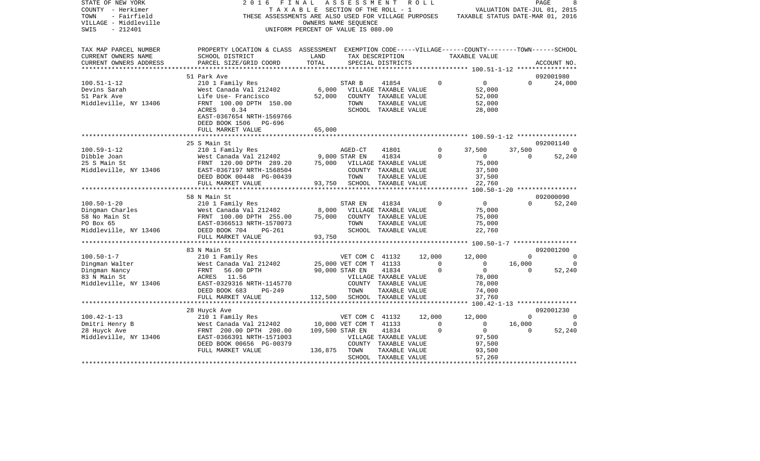| PROPERTY LOCATION & CLASS ASSESSMENT EXEMPTION CODE-----VILLAGE------COUNTY-------TOWN------SCHOOL<br>SCHOOL DISTRICT<br>LAND<br>TAX DESCRIPTION<br>TAXABLE VALUE<br>TOTAL<br>CURRENT OWNERS ADDRESS<br>PARCEL SIZE/GRID COORD<br>SPECIAL DISTRICTS<br>ACCOUNT NO.<br>********************* 100.51-1-12 *****************<br>092001980<br>51 Park Ave<br>$\overline{0}$<br>$100.51 - 1 - 12$<br>210 1 Family Res<br>STAR B<br>41854<br>$\Omega$<br>$\Omega$<br>24,000<br>West Canada Val 212402<br>6,000<br>VILLAGE TAXABLE VALUE<br>52,000<br>Devins Sarah<br>Life Use- Francisco<br>52,000<br>51 Park Ave<br>COUNTY TAXABLE VALUE<br>52,000<br>FRNT 100.00 DPTH 150.00<br>TAXABLE VALUE<br>52,000<br>TOWN<br>0.34<br>SCHOOL TAXABLE VALUE<br>ACRES<br>28,000<br>EAST-0367654 NRTH-1569766<br>DEED BOOK 1506 PG-696<br>65,000<br>FULL MARKET VALUE<br>25 S Main St<br>092001140<br>210 1 Family Res<br>41801<br>$\circ$<br>37,500<br>37,500<br>AGED-CT<br>210 1 Family Res<br>West Canada Val 212402 9,000 STAR EN<br>FRATT 120.00 DPTH 289.20 75,000 VILLAG<br>41834<br>$\mathbf 0$<br>$\Omega$<br>52,240<br>Dibble Joan<br>$\overline{0}$<br>75,000 VILLAGE TAXABLE VALUE<br>75,000<br>25 S Main St<br>Middleville, NY 13406<br>EAST-0367197 NRTH-1568504<br>COUNTY TAXABLE VALUE<br>37,500<br>37,500<br>DEED BOOK 00448 PG-00439<br>TOWN<br>TAXABLE VALUE<br>93,750 SCHOOL TAXABLE VALUE<br>22,760<br>FULL MARKET VALUE<br>***************************<br>092000090<br>58 N Main St<br>$100.50 - 1 - 20$<br>$\overline{0}$<br>$\Omega$<br>52,240<br>210 1 Family Res<br>41834<br>$\Omega$<br>STAR EN<br>8,000<br>Division Charles<br>58 No Main St<br>58 No Main St<br>West Canada Val 212402<br>FRNT 100.00 DPTH 255.00<br>EAST-0366513 NRTH-1570073<br>VILLAGE TAXABLE VALUE<br>75,000<br>75,000<br>75,000<br>COUNTY TAXABLE VALUE<br>75,000<br>TOWN<br>TAXABLE VALUE<br>Middleville, NY 13406 DEED BOOK 704<br>SCHOOL TAXABLE VALUE<br>22,760<br>PG-261<br>93,750<br>FULL MARKET VALUE<br>***************************<br>092001200<br>83 N Main St<br>210 1 Family Res<br>$100.50 - 1 - 7$<br>VET COM C 41132 12,000<br>12,000<br>$\mathbf 0$<br>$\sim$ 0<br>Dingman Walter<br>25,000 VET COM T 41133<br>90,000 STAR EN 41834<br>$\overline{0}$<br>16,000<br>West Canada Val 212402<br>$\overline{0}$<br>0<br>$\Omega$<br>$\overline{0}$<br>Dingman Nancy<br>FRNT<br>56.00 DPTH<br>$\Omega$<br>52,240<br>83 N Main St<br>ACRES 11.56<br>VILLAGE TAXABLE VALUE<br>78,000<br>Middleville, NY 13406<br>EAST-0329316 NRTH-1145770<br>78,000<br>COUNTY TAXABLE VALUE<br>DEED BOOK 683<br>PG-249<br>TOWN<br>74,000<br>TAXABLE VALUE<br>FULL MARKET VALUE<br>112,500 SCHOOL TAXABLE VALUE<br>37,760<br>********************<br>28 Huyck Ave<br>092001230<br>$100.42 - 1 - 13$<br>210 1 Family Res<br>12,000<br>12,000<br>VET COM C 41132<br>$\Omega$<br>$\Omega$<br>Dmitri Henry B<br>West Canada Val 212402<br>10,000 VET COM T 41133<br>$\Omega$<br>$\overline{0}$<br>16,000<br>$\overline{0}$<br>109,500 STAR EN<br>41834<br>$\Omega$<br>$\Omega$<br>52,240<br>FRNT 200.00 DPTH 200.00<br>$\overline{0}$<br>EAST-0366391 NRTH-1571003<br>VILLAGE TAXABLE VALUE<br>97,500<br>DEED BOOK 00656 PG-00379<br>COUNTY TAXABLE VALUE<br>97,500<br>FULL MARKET VALUE<br>136,875 TOWN<br>TAXABLE VALUE<br>93,500<br>SCHOOL TAXABLE VALUE<br>57,260 | STATE OF NEW YORK<br>COUNTY - Herkimer<br>TOWN<br>- Fairfield<br>VILLAGE - Middleville<br>SWIS<br>$-212401$ | 2 0 1 6<br>FINAL<br>THESE ASSESSMENTS ARE ALSO USED FOR VILLAGE PURPOSES TAXABLE STATUS DATE-MAR 01, 2016 | TAXABLE SECTION OF THE ROLL - 1<br>OWNERS NAME SEQUENCE<br>UNIFORM PERCENT OF VALUE IS 080.00 | ASSESSMENT | R O L L | VALUATION DATE-JUL 01, 2015 | PAGE |
|---------------------------------------------------------------------------------------------------------------------------------------------------------------------------------------------------------------------------------------------------------------------------------------------------------------------------------------------------------------------------------------------------------------------------------------------------------------------------------------------------------------------------------------------------------------------------------------------------------------------------------------------------------------------------------------------------------------------------------------------------------------------------------------------------------------------------------------------------------------------------------------------------------------------------------------------------------------------------------------------------------------------------------------------------------------------------------------------------------------------------------------------------------------------------------------------------------------------------------------------------------------------------------------------------------------------------------------------------------------------------------------------------------------------------------------------------------------------------------------------------------------------------------------------------------------------------------------------------------------------------------------------------------------------------------------------------------------------------------------------------------------------------------------------------------------------------------------------------------------------------------------------------------------------------------------------------------------------------------------------------------------------------------------------------------------------------------------------------------------------------------------------------------------------------------------------------------------------------------------------------------------------------------------------------------------------------------------------------------------------------------------------------------------------------------------------------------------------------------------------------------------------------------------------------------------------------------------------------------------------------------------------------------------------------------------------------------------------------------------------------------------------------------------------------------------------------------------------------------------------------------------------------------------------------------------------------------------------------------------------------------------------------------------------------------------------------------------------------------------------------------------------------------------------------------------------------------------------------------------------------------------------------------------------------------------------------------------------|-------------------------------------------------------------------------------------------------------------|-----------------------------------------------------------------------------------------------------------|-----------------------------------------------------------------------------------------------|------------|---------|-----------------------------|------|
|                                                                                                                                                                                                                                                                                                                                                                                                                                                                                                                                                                                                                                                                                                                                                                                                                                                                                                                                                                                                                                                                                                                                                                                                                                                                                                                                                                                                                                                                                                                                                                                                                                                                                                                                                                                                                                                                                                                                                                                                                                                                                                                                                                                                                                                                                                                                                                                                                                                                                                                                                                                                                                                                                                                                                                                                                                                                                                                                                                                                                                                                                                                                                                                                                                                                                                                                             | TAX MAP PARCEL NUMBER<br>CURRENT OWNERS NAME                                                                |                                                                                                           |                                                                                               |            |         |                             |      |
|                                                                                                                                                                                                                                                                                                                                                                                                                                                                                                                                                                                                                                                                                                                                                                                                                                                                                                                                                                                                                                                                                                                                                                                                                                                                                                                                                                                                                                                                                                                                                                                                                                                                                                                                                                                                                                                                                                                                                                                                                                                                                                                                                                                                                                                                                                                                                                                                                                                                                                                                                                                                                                                                                                                                                                                                                                                                                                                                                                                                                                                                                                                                                                                                                                                                                                                                             |                                                                                                             |                                                                                                           |                                                                                               |            |         |                             |      |
|                                                                                                                                                                                                                                                                                                                                                                                                                                                                                                                                                                                                                                                                                                                                                                                                                                                                                                                                                                                                                                                                                                                                                                                                                                                                                                                                                                                                                                                                                                                                                                                                                                                                                                                                                                                                                                                                                                                                                                                                                                                                                                                                                                                                                                                                                                                                                                                                                                                                                                                                                                                                                                                                                                                                                                                                                                                                                                                                                                                                                                                                                                                                                                                                                                                                                                                                             |                                                                                                             |                                                                                                           |                                                                                               |            |         |                             |      |
|                                                                                                                                                                                                                                                                                                                                                                                                                                                                                                                                                                                                                                                                                                                                                                                                                                                                                                                                                                                                                                                                                                                                                                                                                                                                                                                                                                                                                                                                                                                                                                                                                                                                                                                                                                                                                                                                                                                                                                                                                                                                                                                                                                                                                                                                                                                                                                                                                                                                                                                                                                                                                                                                                                                                                                                                                                                                                                                                                                                                                                                                                                                                                                                                                                                                                                                                             |                                                                                                             |                                                                                                           |                                                                                               |            |         |                             |      |
|                                                                                                                                                                                                                                                                                                                                                                                                                                                                                                                                                                                                                                                                                                                                                                                                                                                                                                                                                                                                                                                                                                                                                                                                                                                                                                                                                                                                                                                                                                                                                                                                                                                                                                                                                                                                                                                                                                                                                                                                                                                                                                                                                                                                                                                                                                                                                                                                                                                                                                                                                                                                                                                                                                                                                                                                                                                                                                                                                                                                                                                                                                                                                                                                                                                                                                                                             |                                                                                                             |                                                                                                           |                                                                                               |            |         |                             |      |
|                                                                                                                                                                                                                                                                                                                                                                                                                                                                                                                                                                                                                                                                                                                                                                                                                                                                                                                                                                                                                                                                                                                                                                                                                                                                                                                                                                                                                                                                                                                                                                                                                                                                                                                                                                                                                                                                                                                                                                                                                                                                                                                                                                                                                                                                                                                                                                                                                                                                                                                                                                                                                                                                                                                                                                                                                                                                                                                                                                                                                                                                                                                                                                                                                                                                                                                                             | Middleville, NY 13406                                                                                       |                                                                                                           |                                                                                               |            |         |                             |      |
|                                                                                                                                                                                                                                                                                                                                                                                                                                                                                                                                                                                                                                                                                                                                                                                                                                                                                                                                                                                                                                                                                                                                                                                                                                                                                                                                                                                                                                                                                                                                                                                                                                                                                                                                                                                                                                                                                                                                                                                                                                                                                                                                                                                                                                                                                                                                                                                                                                                                                                                                                                                                                                                                                                                                                                                                                                                                                                                                                                                                                                                                                                                                                                                                                                                                                                                                             |                                                                                                             |                                                                                                           |                                                                                               |            |         |                             |      |
|                                                                                                                                                                                                                                                                                                                                                                                                                                                                                                                                                                                                                                                                                                                                                                                                                                                                                                                                                                                                                                                                                                                                                                                                                                                                                                                                                                                                                                                                                                                                                                                                                                                                                                                                                                                                                                                                                                                                                                                                                                                                                                                                                                                                                                                                                                                                                                                                                                                                                                                                                                                                                                                                                                                                                                                                                                                                                                                                                                                                                                                                                                                                                                                                                                                                                                                                             |                                                                                                             |                                                                                                           |                                                                                               |            |         |                             |      |
|                                                                                                                                                                                                                                                                                                                                                                                                                                                                                                                                                                                                                                                                                                                                                                                                                                                                                                                                                                                                                                                                                                                                                                                                                                                                                                                                                                                                                                                                                                                                                                                                                                                                                                                                                                                                                                                                                                                                                                                                                                                                                                                                                                                                                                                                                                                                                                                                                                                                                                                                                                                                                                                                                                                                                                                                                                                                                                                                                                                                                                                                                                                                                                                                                                                                                                                                             |                                                                                                             |                                                                                                           |                                                                                               |            |         |                             |      |
|                                                                                                                                                                                                                                                                                                                                                                                                                                                                                                                                                                                                                                                                                                                                                                                                                                                                                                                                                                                                                                                                                                                                                                                                                                                                                                                                                                                                                                                                                                                                                                                                                                                                                                                                                                                                                                                                                                                                                                                                                                                                                                                                                                                                                                                                                                                                                                                                                                                                                                                                                                                                                                                                                                                                                                                                                                                                                                                                                                                                                                                                                                                                                                                                                                                                                                                                             |                                                                                                             |                                                                                                           |                                                                                               |            |         |                             |      |
|                                                                                                                                                                                                                                                                                                                                                                                                                                                                                                                                                                                                                                                                                                                                                                                                                                                                                                                                                                                                                                                                                                                                                                                                                                                                                                                                                                                                                                                                                                                                                                                                                                                                                                                                                                                                                                                                                                                                                                                                                                                                                                                                                                                                                                                                                                                                                                                                                                                                                                                                                                                                                                                                                                                                                                                                                                                                                                                                                                                                                                                                                                                                                                                                                                                                                                                                             | $100.59 - 1 - 12$                                                                                           |                                                                                                           |                                                                                               |            |         |                             |      |
|                                                                                                                                                                                                                                                                                                                                                                                                                                                                                                                                                                                                                                                                                                                                                                                                                                                                                                                                                                                                                                                                                                                                                                                                                                                                                                                                                                                                                                                                                                                                                                                                                                                                                                                                                                                                                                                                                                                                                                                                                                                                                                                                                                                                                                                                                                                                                                                                                                                                                                                                                                                                                                                                                                                                                                                                                                                                                                                                                                                                                                                                                                                                                                                                                                                                                                                                             |                                                                                                             |                                                                                                           |                                                                                               |            |         |                             |      |
|                                                                                                                                                                                                                                                                                                                                                                                                                                                                                                                                                                                                                                                                                                                                                                                                                                                                                                                                                                                                                                                                                                                                                                                                                                                                                                                                                                                                                                                                                                                                                                                                                                                                                                                                                                                                                                                                                                                                                                                                                                                                                                                                                                                                                                                                                                                                                                                                                                                                                                                                                                                                                                                                                                                                                                                                                                                                                                                                                                                                                                                                                                                                                                                                                                                                                                                                             |                                                                                                             |                                                                                                           |                                                                                               |            |         |                             |      |
|                                                                                                                                                                                                                                                                                                                                                                                                                                                                                                                                                                                                                                                                                                                                                                                                                                                                                                                                                                                                                                                                                                                                                                                                                                                                                                                                                                                                                                                                                                                                                                                                                                                                                                                                                                                                                                                                                                                                                                                                                                                                                                                                                                                                                                                                                                                                                                                                                                                                                                                                                                                                                                                                                                                                                                                                                                                                                                                                                                                                                                                                                                                                                                                                                                                                                                                                             |                                                                                                             |                                                                                                           |                                                                                               |            |         |                             |      |
|                                                                                                                                                                                                                                                                                                                                                                                                                                                                                                                                                                                                                                                                                                                                                                                                                                                                                                                                                                                                                                                                                                                                                                                                                                                                                                                                                                                                                                                                                                                                                                                                                                                                                                                                                                                                                                                                                                                                                                                                                                                                                                                                                                                                                                                                                                                                                                                                                                                                                                                                                                                                                                                                                                                                                                                                                                                                                                                                                                                                                                                                                                                                                                                                                                                                                                                                             |                                                                                                             |                                                                                                           |                                                                                               |            |         |                             |      |
|                                                                                                                                                                                                                                                                                                                                                                                                                                                                                                                                                                                                                                                                                                                                                                                                                                                                                                                                                                                                                                                                                                                                                                                                                                                                                                                                                                                                                                                                                                                                                                                                                                                                                                                                                                                                                                                                                                                                                                                                                                                                                                                                                                                                                                                                                                                                                                                                                                                                                                                                                                                                                                                                                                                                                                                                                                                                                                                                                                                                                                                                                                                                                                                                                                                                                                                                             |                                                                                                             |                                                                                                           |                                                                                               |            |         |                             |      |
|                                                                                                                                                                                                                                                                                                                                                                                                                                                                                                                                                                                                                                                                                                                                                                                                                                                                                                                                                                                                                                                                                                                                                                                                                                                                                                                                                                                                                                                                                                                                                                                                                                                                                                                                                                                                                                                                                                                                                                                                                                                                                                                                                                                                                                                                                                                                                                                                                                                                                                                                                                                                                                                                                                                                                                                                                                                                                                                                                                                                                                                                                                                                                                                                                                                                                                                                             |                                                                                                             |                                                                                                           |                                                                                               |            |         |                             |      |
|                                                                                                                                                                                                                                                                                                                                                                                                                                                                                                                                                                                                                                                                                                                                                                                                                                                                                                                                                                                                                                                                                                                                                                                                                                                                                                                                                                                                                                                                                                                                                                                                                                                                                                                                                                                                                                                                                                                                                                                                                                                                                                                                                                                                                                                                                                                                                                                                                                                                                                                                                                                                                                                                                                                                                                                                                                                                                                                                                                                                                                                                                                                                                                                                                                                                                                                                             |                                                                                                             |                                                                                                           |                                                                                               |            |         |                             |      |
|                                                                                                                                                                                                                                                                                                                                                                                                                                                                                                                                                                                                                                                                                                                                                                                                                                                                                                                                                                                                                                                                                                                                                                                                                                                                                                                                                                                                                                                                                                                                                                                                                                                                                                                                                                                                                                                                                                                                                                                                                                                                                                                                                                                                                                                                                                                                                                                                                                                                                                                                                                                                                                                                                                                                                                                                                                                                                                                                                                                                                                                                                                                                                                                                                                                                                                                                             |                                                                                                             |                                                                                                           |                                                                                               |            |         |                             |      |
|                                                                                                                                                                                                                                                                                                                                                                                                                                                                                                                                                                                                                                                                                                                                                                                                                                                                                                                                                                                                                                                                                                                                                                                                                                                                                                                                                                                                                                                                                                                                                                                                                                                                                                                                                                                                                                                                                                                                                                                                                                                                                                                                                                                                                                                                                                                                                                                                                                                                                                                                                                                                                                                                                                                                                                                                                                                                                                                                                                                                                                                                                                                                                                                                                                                                                                                                             |                                                                                                             |                                                                                                           |                                                                                               |            |         |                             |      |
|                                                                                                                                                                                                                                                                                                                                                                                                                                                                                                                                                                                                                                                                                                                                                                                                                                                                                                                                                                                                                                                                                                                                                                                                                                                                                                                                                                                                                                                                                                                                                                                                                                                                                                                                                                                                                                                                                                                                                                                                                                                                                                                                                                                                                                                                                                                                                                                                                                                                                                                                                                                                                                                                                                                                                                                                                                                                                                                                                                                                                                                                                                                                                                                                                                                                                                                                             |                                                                                                             |                                                                                                           |                                                                                               |            |         |                             |      |
|                                                                                                                                                                                                                                                                                                                                                                                                                                                                                                                                                                                                                                                                                                                                                                                                                                                                                                                                                                                                                                                                                                                                                                                                                                                                                                                                                                                                                                                                                                                                                                                                                                                                                                                                                                                                                                                                                                                                                                                                                                                                                                                                                                                                                                                                                                                                                                                                                                                                                                                                                                                                                                                                                                                                                                                                                                                                                                                                                                                                                                                                                                                                                                                                                                                                                                                                             |                                                                                                             |                                                                                                           |                                                                                               |            |         |                             |      |
|                                                                                                                                                                                                                                                                                                                                                                                                                                                                                                                                                                                                                                                                                                                                                                                                                                                                                                                                                                                                                                                                                                                                                                                                                                                                                                                                                                                                                                                                                                                                                                                                                                                                                                                                                                                                                                                                                                                                                                                                                                                                                                                                                                                                                                                                                                                                                                                                                                                                                                                                                                                                                                                                                                                                                                                                                                                                                                                                                                                                                                                                                                                                                                                                                                                                                                                                             |                                                                                                             |                                                                                                           |                                                                                               |            |         |                             |      |
|                                                                                                                                                                                                                                                                                                                                                                                                                                                                                                                                                                                                                                                                                                                                                                                                                                                                                                                                                                                                                                                                                                                                                                                                                                                                                                                                                                                                                                                                                                                                                                                                                                                                                                                                                                                                                                                                                                                                                                                                                                                                                                                                                                                                                                                                                                                                                                                                                                                                                                                                                                                                                                                                                                                                                                                                                                                                                                                                                                                                                                                                                                                                                                                                                                                                                                                                             |                                                                                                             |                                                                                                           |                                                                                               |            |         |                             |      |
|                                                                                                                                                                                                                                                                                                                                                                                                                                                                                                                                                                                                                                                                                                                                                                                                                                                                                                                                                                                                                                                                                                                                                                                                                                                                                                                                                                                                                                                                                                                                                                                                                                                                                                                                                                                                                                                                                                                                                                                                                                                                                                                                                                                                                                                                                                                                                                                                                                                                                                                                                                                                                                                                                                                                                                                                                                                                                                                                                                                                                                                                                                                                                                                                                                                                                                                                             |                                                                                                             |                                                                                                           |                                                                                               |            |         |                             |      |
|                                                                                                                                                                                                                                                                                                                                                                                                                                                                                                                                                                                                                                                                                                                                                                                                                                                                                                                                                                                                                                                                                                                                                                                                                                                                                                                                                                                                                                                                                                                                                                                                                                                                                                                                                                                                                                                                                                                                                                                                                                                                                                                                                                                                                                                                                                                                                                                                                                                                                                                                                                                                                                                                                                                                                                                                                                                                                                                                                                                                                                                                                                                                                                                                                                                                                                                                             |                                                                                                             |                                                                                                           |                                                                                               |            |         |                             |      |
|                                                                                                                                                                                                                                                                                                                                                                                                                                                                                                                                                                                                                                                                                                                                                                                                                                                                                                                                                                                                                                                                                                                                                                                                                                                                                                                                                                                                                                                                                                                                                                                                                                                                                                                                                                                                                                                                                                                                                                                                                                                                                                                                                                                                                                                                                                                                                                                                                                                                                                                                                                                                                                                                                                                                                                                                                                                                                                                                                                                                                                                                                                                                                                                                                                                                                                                                             |                                                                                                             |                                                                                                           |                                                                                               |            |         |                             |      |
|                                                                                                                                                                                                                                                                                                                                                                                                                                                                                                                                                                                                                                                                                                                                                                                                                                                                                                                                                                                                                                                                                                                                                                                                                                                                                                                                                                                                                                                                                                                                                                                                                                                                                                                                                                                                                                                                                                                                                                                                                                                                                                                                                                                                                                                                                                                                                                                                                                                                                                                                                                                                                                                                                                                                                                                                                                                                                                                                                                                                                                                                                                                                                                                                                                                                                                                                             |                                                                                                             |                                                                                                           |                                                                                               |            |         |                             |      |
|                                                                                                                                                                                                                                                                                                                                                                                                                                                                                                                                                                                                                                                                                                                                                                                                                                                                                                                                                                                                                                                                                                                                                                                                                                                                                                                                                                                                                                                                                                                                                                                                                                                                                                                                                                                                                                                                                                                                                                                                                                                                                                                                                                                                                                                                                                                                                                                                                                                                                                                                                                                                                                                                                                                                                                                                                                                                                                                                                                                                                                                                                                                                                                                                                                                                                                                                             |                                                                                                             |                                                                                                           |                                                                                               |            |         |                             |      |
|                                                                                                                                                                                                                                                                                                                                                                                                                                                                                                                                                                                                                                                                                                                                                                                                                                                                                                                                                                                                                                                                                                                                                                                                                                                                                                                                                                                                                                                                                                                                                                                                                                                                                                                                                                                                                                                                                                                                                                                                                                                                                                                                                                                                                                                                                                                                                                                                                                                                                                                                                                                                                                                                                                                                                                                                                                                                                                                                                                                                                                                                                                                                                                                                                                                                                                                                             |                                                                                                             |                                                                                                           |                                                                                               |            |         |                             |      |
|                                                                                                                                                                                                                                                                                                                                                                                                                                                                                                                                                                                                                                                                                                                                                                                                                                                                                                                                                                                                                                                                                                                                                                                                                                                                                                                                                                                                                                                                                                                                                                                                                                                                                                                                                                                                                                                                                                                                                                                                                                                                                                                                                                                                                                                                                                                                                                                                                                                                                                                                                                                                                                                                                                                                                                                                                                                                                                                                                                                                                                                                                                                                                                                                                                                                                                                                             |                                                                                                             |                                                                                                           |                                                                                               |            |         |                             |      |
|                                                                                                                                                                                                                                                                                                                                                                                                                                                                                                                                                                                                                                                                                                                                                                                                                                                                                                                                                                                                                                                                                                                                                                                                                                                                                                                                                                                                                                                                                                                                                                                                                                                                                                                                                                                                                                                                                                                                                                                                                                                                                                                                                                                                                                                                                                                                                                                                                                                                                                                                                                                                                                                                                                                                                                                                                                                                                                                                                                                                                                                                                                                                                                                                                                                                                                                                             |                                                                                                             |                                                                                                           |                                                                                               |            |         |                             |      |
|                                                                                                                                                                                                                                                                                                                                                                                                                                                                                                                                                                                                                                                                                                                                                                                                                                                                                                                                                                                                                                                                                                                                                                                                                                                                                                                                                                                                                                                                                                                                                                                                                                                                                                                                                                                                                                                                                                                                                                                                                                                                                                                                                                                                                                                                                                                                                                                                                                                                                                                                                                                                                                                                                                                                                                                                                                                                                                                                                                                                                                                                                                                                                                                                                                                                                                                                             |                                                                                                             |                                                                                                           |                                                                                               |            |         |                             |      |
|                                                                                                                                                                                                                                                                                                                                                                                                                                                                                                                                                                                                                                                                                                                                                                                                                                                                                                                                                                                                                                                                                                                                                                                                                                                                                                                                                                                                                                                                                                                                                                                                                                                                                                                                                                                                                                                                                                                                                                                                                                                                                                                                                                                                                                                                                                                                                                                                                                                                                                                                                                                                                                                                                                                                                                                                                                                                                                                                                                                                                                                                                                                                                                                                                                                                                                                                             |                                                                                                             |                                                                                                           |                                                                                               |            |         |                             |      |
|                                                                                                                                                                                                                                                                                                                                                                                                                                                                                                                                                                                                                                                                                                                                                                                                                                                                                                                                                                                                                                                                                                                                                                                                                                                                                                                                                                                                                                                                                                                                                                                                                                                                                                                                                                                                                                                                                                                                                                                                                                                                                                                                                                                                                                                                                                                                                                                                                                                                                                                                                                                                                                                                                                                                                                                                                                                                                                                                                                                                                                                                                                                                                                                                                                                                                                                                             |                                                                                                             |                                                                                                           |                                                                                               |            |         |                             |      |
|                                                                                                                                                                                                                                                                                                                                                                                                                                                                                                                                                                                                                                                                                                                                                                                                                                                                                                                                                                                                                                                                                                                                                                                                                                                                                                                                                                                                                                                                                                                                                                                                                                                                                                                                                                                                                                                                                                                                                                                                                                                                                                                                                                                                                                                                                                                                                                                                                                                                                                                                                                                                                                                                                                                                                                                                                                                                                                                                                                                                                                                                                                                                                                                                                                                                                                                                             | 28 Huyck Ave                                                                                                |                                                                                                           |                                                                                               |            |         |                             |      |
|                                                                                                                                                                                                                                                                                                                                                                                                                                                                                                                                                                                                                                                                                                                                                                                                                                                                                                                                                                                                                                                                                                                                                                                                                                                                                                                                                                                                                                                                                                                                                                                                                                                                                                                                                                                                                                                                                                                                                                                                                                                                                                                                                                                                                                                                                                                                                                                                                                                                                                                                                                                                                                                                                                                                                                                                                                                                                                                                                                                                                                                                                                                                                                                                                                                                                                                                             | Middleville, NY 13406                                                                                       |                                                                                                           |                                                                                               |            |         |                             |      |
|                                                                                                                                                                                                                                                                                                                                                                                                                                                                                                                                                                                                                                                                                                                                                                                                                                                                                                                                                                                                                                                                                                                                                                                                                                                                                                                                                                                                                                                                                                                                                                                                                                                                                                                                                                                                                                                                                                                                                                                                                                                                                                                                                                                                                                                                                                                                                                                                                                                                                                                                                                                                                                                                                                                                                                                                                                                                                                                                                                                                                                                                                                                                                                                                                                                                                                                                             |                                                                                                             |                                                                                                           |                                                                                               |            |         |                             |      |
|                                                                                                                                                                                                                                                                                                                                                                                                                                                                                                                                                                                                                                                                                                                                                                                                                                                                                                                                                                                                                                                                                                                                                                                                                                                                                                                                                                                                                                                                                                                                                                                                                                                                                                                                                                                                                                                                                                                                                                                                                                                                                                                                                                                                                                                                                                                                                                                                                                                                                                                                                                                                                                                                                                                                                                                                                                                                                                                                                                                                                                                                                                                                                                                                                                                                                                                                             |                                                                                                             |                                                                                                           |                                                                                               |            |         |                             |      |
|                                                                                                                                                                                                                                                                                                                                                                                                                                                                                                                                                                                                                                                                                                                                                                                                                                                                                                                                                                                                                                                                                                                                                                                                                                                                                                                                                                                                                                                                                                                                                                                                                                                                                                                                                                                                                                                                                                                                                                                                                                                                                                                                                                                                                                                                                                                                                                                                                                                                                                                                                                                                                                                                                                                                                                                                                                                                                                                                                                                                                                                                                                                                                                                                                                                                                                                                             |                                                                                                             |                                                                                                           |                                                                                               |            |         |                             |      |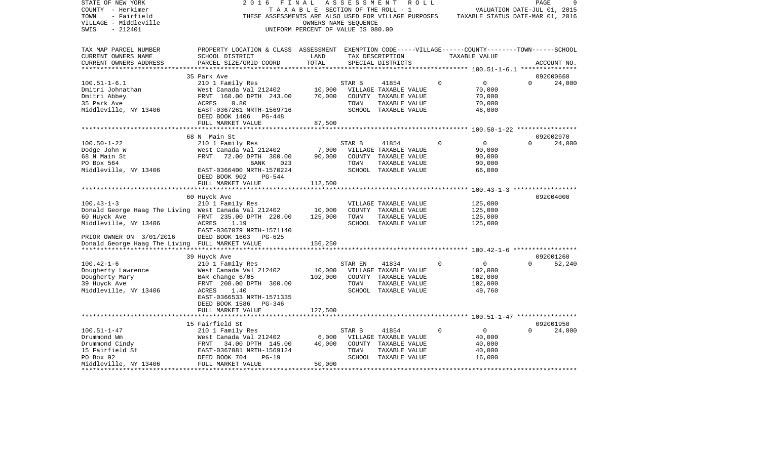| STATE OF NEW YORK<br>COUNTY - Herkimer<br>TOWN<br>- Fairfield<br>VILLAGE - Middleville<br>SWIS<br>$-212401$                                                                                                                                                                                                                                                                                              | 2 0 1 6<br>FINAL                                                                                                                                | TAXABLE SECTION OF THE ROLL - 1<br>OWNERS NAME SEQUENCE<br>UNIFORM PERCENT OF VALUE IS 080.00 |         | ASSESSMENT ROLL<br>THESE ASSESSMENTS ARE ALSO USED FOR VILLAGE PURPOSES TAXABLE STATUS DATE-MAR 01, 2016 |             | VALUATION DATE-JUL 01, 2015 | PAGE     | 9           |
|----------------------------------------------------------------------------------------------------------------------------------------------------------------------------------------------------------------------------------------------------------------------------------------------------------------------------------------------------------------------------------------------------------|-------------------------------------------------------------------------------------------------------------------------------------------------|-----------------------------------------------------------------------------------------------|---------|----------------------------------------------------------------------------------------------------------|-------------|-----------------------------|----------|-------------|
| TAX MAP PARCEL NUMBER<br>CURRENT OWNERS NAME<br>CURRENT OWNERS ADDRESS                                                                                                                                                                                                                                                                                                                                   | PROPERTY LOCATION & CLASS ASSESSMENT EXEMPTION CODE-----VILLAGE------COUNTY-------TOWN------SCHOOL<br>SCHOOL DISTRICT<br>PARCEL SIZE/GRID COORD | LAND<br>TOTAL                                                                                 |         | TAX DESCRIPTION<br>SPECIAL DISTRICTS                                                                     |             | TAXABLE VALUE               |          | ACCOUNT NO. |
|                                                                                                                                                                                                                                                                                                                                                                                                          |                                                                                                                                                 |                                                                                               |         |                                                                                                          |             |                             |          |             |
|                                                                                                                                                                                                                                                                                                                                                                                                          | 35 Park Ave                                                                                                                                     |                                                                                               |         |                                                                                                          | $\Omega$    |                             |          | 092000660   |
| $100.51 - 1 - 6.1$<br>Dmitri Johnathan                                                                                                                                                                                                                                                                                                                                                                   | 210 1 Family Res                                                                                                                                |                                                                                               | STAR B  | 41854                                                                                                    |             | $\overline{0}$<br>70,000    | $\Omega$ | 24,000      |
| Dmitri Abbey                                                                                                                                                                                                                                                                                                                                                                                             | West Canada Val 212402 10,000 VILLAGE TAXABLE VALUE<br>FRNT 160.00 DPTH 243.00 70,000 COUNTY TAXABLE VALUE                                      |                                                                                               |         |                                                                                                          |             | 70,000                      |          |             |
| 35 Park Ave                                                                                                                                                                                                                                                                                                                                                                                              | ACRES<br>0.80                                                                                                                                   |                                                                                               | TOWN    | TAXABLE VALUE                                                                                            |             | 70,000                      |          |             |
| Middleville, NY 13406                                                                                                                                                                                                                                                                                                                                                                                    | EAST-0367261 NRTH-1569716                                                                                                                       |                                                                                               |         | SCHOOL TAXABLE VALUE                                                                                     |             | 46,000                      |          |             |
|                                                                                                                                                                                                                                                                                                                                                                                                          | DEED BOOK 1406 PG-448                                                                                                                           |                                                                                               |         |                                                                                                          |             |                             |          |             |
|                                                                                                                                                                                                                                                                                                                                                                                                          | FULL MARKET VALUE                                                                                                                               | 87,500                                                                                        |         |                                                                                                          |             |                             |          |             |
|                                                                                                                                                                                                                                                                                                                                                                                                          |                                                                                                                                                 |                                                                                               |         |                                                                                                          |             |                             |          |             |
|                                                                                                                                                                                                                                                                                                                                                                                                          | 68 N Main St                                                                                                                                    |                                                                                               |         |                                                                                                          |             |                             |          | 092002970   |
| $100.50 - 1 - 22$                                                                                                                                                                                                                                                                                                                                                                                        | 210 1 Family Res                                                                                                                                |                                                                                               | STAR B  | 41854                                                                                                    | $\Omega$    | $\overline{0}$              | $\Omega$ | 24,000      |
| Dodge John W                                                                                                                                                                                                                                                                                                                                                                                             | 210 1 ramily Nes<br>West Canada Val 212402 7,000<br>FRNT 72.00 DPTH 300.00 90,000                                                               |                                                                                               |         | VILLAGE TAXABLE VALUE                                                                                    |             | 90,000                      |          |             |
| 68 N Main St<br>PO Box 564                                                                                                                                                                                                                                                                                                                                                                               |                                                                                                                                                 |                                                                                               | TOWN    | COUNTY TAXABLE VALUE                                                                                     |             | 90,000                      |          |             |
| Middleville, NY 13406                                                                                                                                                                                                                                                                                                                                                                                    | BANK<br>023<br>EAST-0366400 NRTH-1570224                                                                                                        |                                                                                               |         | TAXABLE VALUE<br>SCHOOL TAXABLE VALUE                                                                    |             | 90,000<br>66,000            |          |             |
|                                                                                                                                                                                                                                                                                                                                                                                                          | $PG-544$<br>DEED BOOK 902                                                                                                                       |                                                                                               |         |                                                                                                          |             |                             |          |             |
|                                                                                                                                                                                                                                                                                                                                                                                                          | FULL MARKET VALUE                                                                                                                               | 112,500                                                                                       |         |                                                                                                          |             |                             |          |             |
|                                                                                                                                                                                                                                                                                                                                                                                                          |                                                                                                                                                 |                                                                                               |         |                                                                                                          |             |                             |          |             |
|                                                                                                                                                                                                                                                                                                                                                                                                          | 60 Huyck Ave                                                                                                                                    |                                                                                               |         |                                                                                                          |             |                             |          | 092004000   |
| $100.43 - 1 - 3$                                                                                                                                                                                                                                                                                                                                                                                         | 210 1 Family Res                                                                                                                                |                                                                                               |         | VILLAGE TAXABLE VALUE                                                                                    |             | 125,000                     |          |             |
| Donald George Haag The Living West Canada Val 212402 10,000<br>60 Huyck Ave FRNT 235.00 DPTH 220.00 125,000                                                                                                                                                                                                                                                                                              |                                                                                                                                                 |                                                                                               |         | COUNTY TAXABLE VALUE                                                                                     |             | 125,000                     |          |             |
|                                                                                                                                                                                                                                                                                                                                                                                                          |                                                                                                                                                 |                                                                                               | TOWN    | TAXABLE VALUE                                                                                            |             | 125,000                     |          |             |
| Middleville, NY 13406                                                                                                                                                                                                                                                                                                                                                                                    | 1.19<br>ACRES                                                                                                                                   |                                                                                               |         | SCHOOL TAXABLE VALUE                                                                                     |             | 125,000                     |          |             |
| PRIOR OWNER ON 3/01/2016                                                                                                                                                                                                                                                                                                                                                                                 | EAST-0367079 NRTH-1571140                                                                                                                       |                                                                                               |         |                                                                                                          |             |                             |          |             |
| Donald George Haag The Living FULL MARKET VALUE                                                                                                                                                                                                                                                                                                                                                          | DEED BOOK 1603 PG-625                                                                                                                           | 156,250                                                                                       |         |                                                                                                          |             |                             |          |             |
|                                                                                                                                                                                                                                                                                                                                                                                                          |                                                                                                                                                 |                                                                                               |         |                                                                                                          |             |                             |          |             |
|                                                                                                                                                                                                                                                                                                                                                                                                          | 39 Huyck Ave                                                                                                                                    |                                                                                               |         |                                                                                                          |             |                             |          | 092001260   |
| $100.42 - 1 - 6$                                                                                                                                                                                                                                                                                                                                                                                         | 210 1 Family Res                                                                                                                                |                                                                                               | STAR EN | 41834                                                                                                    | $\Omega$    | $\overline{0}$              | $\Omega$ | 52,240      |
| Dougherty Lawrence                                                                                                                                                                                                                                                                                                                                                                                       |                                                                                                                                                 |                                                                                               |         |                                                                                                          |             | 102,000                     |          |             |
| Dougherty Mary                                                                                                                                                                                                                                                                                                                                                                                           | West Canada Val 212402 10,000 VILLAGE TAXABLE VALUE<br>BAR change 6/05 102,000 COUNTY TAXABLE VALUE                                             |                                                                                               |         |                                                                                                          |             | 102,000                     |          |             |
| 39 Huyck Ave                                                                                                                                                                                                                                                                                                                                                                                             | FRNT 200.00 DPTH 300.00                                                                                                                         |                                                                                               | TOWN    | TAXABLE VALUE                                                                                            |             | 102,000                     |          |             |
| Middleville, NY 13406                                                                                                                                                                                                                                                                                                                                                                                    | ACRES<br>1.40                                                                                                                                   |                                                                                               |         | SCHOOL TAXABLE VALUE                                                                                     |             | 49,760                      |          |             |
|                                                                                                                                                                                                                                                                                                                                                                                                          | EAST-0366533 NRTH-1571335                                                                                                                       |                                                                                               |         |                                                                                                          |             |                             |          |             |
|                                                                                                                                                                                                                                                                                                                                                                                                          | DEED BOOK 1586 PG-346                                                                                                                           |                                                                                               |         |                                                                                                          |             |                             |          |             |
|                                                                                                                                                                                                                                                                                                                                                                                                          | FULL MARKET VALUE                                                                                                                               | 127,500                                                                                       |         |                                                                                                          |             |                             |          |             |
|                                                                                                                                                                                                                                                                                                                                                                                                          | 15 Fairfield St                                                                                                                                 |                                                                                               |         |                                                                                                          |             |                             |          | 092001950   |
| $100.51 - 1 - 47$                                                                                                                                                                                                                                                                                                                                                                                        | 210 1 Family Res                                                                                                                                |                                                                                               | STAR B  | 41854                                                                                                    | $\mathbf 0$ | $\overline{0}$              | $\Omega$ | 24,000      |
|                                                                                                                                                                                                                                                                                                                                                                                                          |                                                                                                                                                 | 6,000                                                                                         |         | VILLAGE TAXABLE VALUE                                                                                    |             | 40,000                      |          |             |
|                                                                                                                                                                                                                                                                                                                                                                                                          |                                                                                                                                                 |                                                                                               |         | COUNTY TAXABLE VALUE                                                                                     |             | 40,000                      |          |             |
|                                                                                                                                                                                                                                                                                                                                                                                                          |                                                                                                                                                 |                                                                                               | TOWN    | TAXABLE VALUE                                                                                            |             | 40,000                      |          |             |
| Drummond Wm $\begin{array}{l} \text{Drummond Wm} \\ \text{Drummond Cindy} \\ \text{Dfummond Cindy} \\ \text{15 Fairfield St} \\ \text{PO Box 92} \\ \text{PO Box 92} \\ \text{DED BOK 704} \\ \text{DED BOK 704} \\ \text{DED BOK 704} \\ \text{DCED BOK 704} \\ \text{DCED BOK 704} \\ \text{DCED BOK 704} \\ \text{DCED BOK 704} \\ \text{DCED BOK 704} \\ \text{DCED BOK 704} \\ \text{DCED BOK 704}$ |                                                                                                                                                 |                                                                                               |         | SCHOOL TAXABLE VALUE                                                                                     |             | 16,000                      |          |             |
| Middleville, NY 13406 FULL MARKET VALUE                                                                                                                                                                                                                                                                                                                                                                  |                                                                                                                                                 | 50,000                                                                                        |         |                                                                                                          |             |                             |          |             |
|                                                                                                                                                                                                                                                                                                                                                                                                          |                                                                                                                                                 |                                                                                               |         |                                                                                                          |             |                             |          |             |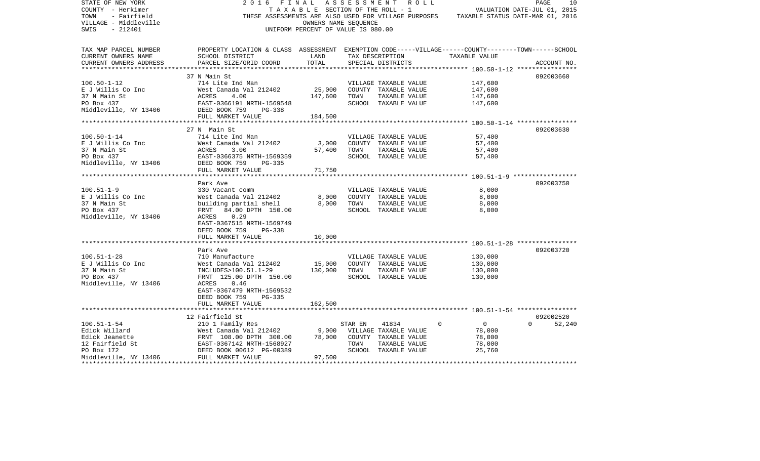| STATE OF NEW YORK<br>COUNTY - Herkimer       | 2016<br>FINAL                                                                                                                                                                                                            | TAXABLE SECTION OF THE ROLL - 1    |         | A S S E S S M E N T A O L L                   |                                                                                       | 10<br>PAGE<br>VALUATION DATE-JUL 01, 2015 |
|----------------------------------------------|--------------------------------------------------------------------------------------------------------------------------------------------------------------------------------------------------------------------------|------------------------------------|---------|-----------------------------------------------|---------------------------------------------------------------------------------------|-------------------------------------------|
| TOWN<br>- Fairfield<br>VILLAGE - Middleville |                                                                                                                                                                                                                          | OWNERS NAME SEOUENCE               |         |                                               | THESE ASSESSMENTS ARE ALSO USED FOR VILLAGE PURPOSES TAXABLE STATUS DATE-MAR 01, 2016 |                                           |
| SWIS<br>- 212401                             |                                                                                                                                                                                                                          | UNIFORM PERCENT OF VALUE IS 080.00 |         |                                               |                                                                                       |                                           |
| TAX MAP PARCEL NUMBER                        | PROPERTY LOCATION & CLASS ASSESSMENT EXEMPTION CODE-----VILLAGE------COUNTY-------TOWN------SCHOOL                                                                                                                       |                                    |         |                                               |                                                                                       |                                           |
| CURRENT OWNERS NAME                          | SCHOOL DISTRICT                                                                                                                                                                                                          | LAND                               |         | TAX DESCRIPTION                               | TAXABLE VALUE                                                                         |                                           |
| CURRENT OWNERS ADDRESS                       | PARCEL SIZE/GRID COORD                                                                                                                                                                                                   | TOTAL                              |         | SPECIAL DISTRICTS                             |                                                                                       | ACCOUNT NO.                               |
|                                              |                                                                                                                                                                                                                          |                                    |         |                                               |                                                                                       |                                           |
|                                              | 37 N Main St                                                                                                                                                                                                             |                                    |         |                                               |                                                                                       | 092003660                                 |
| $100.50 - 1 - 12$<br>E J Willis Co Inc       | 714 Lite Ind Man<br>West Canada Val 212402                                                                                                                                                                               |                                    |         | VILLAGE TAXABLE VALUE                         | 147,600                                                                               |                                           |
| 37 N Main St                                 | 4.00                                                                                                                                                                                                                     | 25,000<br>147,600                  | TOWN    | COUNTY TAXABLE VALUE<br>TAXABLE VALUE         | 147,600<br>147,600                                                                    |                                           |
| PO Box 437                                   | ACRES<br>EAST-0<br>EAST-0366191 NRTH-1569548                                                                                                                                                                             |                                    |         | SCHOOL TAXABLE VALUE                          | 147,600                                                                               |                                           |
| Middleville, NY 13406 DEED BOOK 759          | PG-338                                                                                                                                                                                                                   |                                    |         |                                               |                                                                                       |                                           |
|                                              | FULL MARKET VALUE                                                                                                                                                                                                        | 184,500                            |         |                                               |                                                                                       |                                           |
|                                              |                                                                                                                                                                                                                          |                                    |         |                                               |                                                                                       |                                           |
|                                              | 27 N Main St                                                                                                                                                                                                             |                                    |         |                                               |                                                                                       | 092003630                                 |
| $100.50 - 1 - 14$                            | 714 Lite Ind Man                                                                                                                                                                                                         |                                    |         | VILLAGE TAXABLE VALUE                         | 57,400                                                                                |                                           |
| E J Willis Co Inc                            | West Canada Val 212402 3,000                                                                                                                                                                                             |                                    |         | COUNTY TAXABLE VALUE                          | 57,400                                                                                |                                           |
|                                              |                                                                                                                                                                                                                          | 57,400                             | TOWN    | TAXABLE VALUE                                 | 57,400                                                                                |                                           |
|                                              | EAST-0366375 NRTH-1569359                                                                                                                                                                                                |                                    |         | SCHOOL TAXABLE VALUE                          | 57,400                                                                                |                                           |
|                                              | PG-335                                                                                                                                                                                                                   |                                    |         |                                               |                                                                                       |                                           |
|                                              | FULL MARKET VALUE                                                                                                                                                                                                        | 71,750                             |         |                                               |                                                                                       |                                           |
|                                              |                                                                                                                                                                                                                          |                                    |         |                                               |                                                                                       |                                           |
|                                              | Park Ave                                                                                                                                                                                                                 |                                    |         |                                               |                                                                                       | 092003750                                 |
| $100.51 - 1 - 9$                             | 330 Vacant comm                                                                                                                                                                                                          |                                    |         | VILLAGE TAXABLE VALUE                         | 8,000                                                                                 |                                           |
| E J Willis Co Inc                            | West Canada Val 212402                                                                                                                                                                                                   | 8,000                              |         | COUNTY TAXABLE VALUE                          | 8,000                                                                                 |                                           |
| 37 N Main St<br>PO Box 437                   | building partial shell                                                                                                                                                                                                   | 8,000                              | TOWN    | TAXABLE VALUE                                 | 8,000                                                                                 |                                           |
| Middleville, NY 13406                        | FRNT 84.00 DPTH 150.00<br>ACRES<br>0.29                                                                                                                                                                                  |                                    |         | SCHOOL TAXABLE VALUE                          | 8,000                                                                                 |                                           |
|                                              | EAST-0367515 NRTH-1569749                                                                                                                                                                                                |                                    |         |                                               |                                                                                       |                                           |
|                                              | DEED BOOK 759<br>PG-338                                                                                                                                                                                                  |                                    |         |                                               |                                                                                       |                                           |
|                                              | FULL MARKET VALUE                                                                                                                                                                                                        | 10,000                             |         |                                               |                                                                                       |                                           |
|                                              |                                                                                                                                                                                                                          |                                    |         |                                               |                                                                                       |                                           |
|                                              | Park Ave                                                                                                                                                                                                                 |                                    |         |                                               |                                                                                       | 092003720                                 |
| $100.51 - 1 - 28$                            | 710 Manufacture                                                                                                                                                                                                          |                                    |         | VILLAGE TAXABLE VALUE                         | 130,000                                                                               |                                           |
| E J Willis Co Inc                            | West Canada Val 212402                                                                                                                                                                                                   | 15,000                             |         | COUNTY TAXABLE VALUE                          | 130,000                                                                               |                                           |
| 37 N Main St                                 | INCLUDES>100.51.1-29                                                                                                                                                                                                     | 130,000                            | TOWN    | TAXABLE VALUE                                 | 130,000                                                                               |                                           |
| PO Box 437                                   | FRNT 125.00 DPTH 156.00                                                                                                                                                                                                  |                                    |         | SCHOOL TAXABLE VALUE                          | 130,000                                                                               |                                           |
| Middleville, NY 13406                        | ACRES<br>0.46                                                                                                                                                                                                            |                                    |         |                                               |                                                                                       |                                           |
|                                              | EAST-0367479 NRTH-1569532                                                                                                                                                                                                |                                    |         |                                               |                                                                                       |                                           |
|                                              | DEED BOOK 759<br>PG-335                                                                                                                                                                                                  |                                    |         |                                               |                                                                                       |                                           |
|                                              | FULL MARKET VALUE                                                                                                                                                                                                        | 162,500                            |         |                                               |                                                                                       |                                           |
|                                              |                                                                                                                                                                                                                          |                                    |         |                                               |                                                                                       |                                           |
|                                              | 12 Fairfield St<br>210 1 Family Res                                                                                                                                                                                      |                                    |         |                                               | $\Omega$<br>$\overline{0}$                                                            | 092002520<br>$\Omega$                     |
| $100.51 - 1 - 54$                            |                                                                                                                                                                                                                          |                                    | STAR EN | 41834                                         |                                                                                       | 52,240                                    |
|                                              | West Canada Val 212402                                                                                                                                                                                                   | 9,000<br>78,000                    |         | VILLAGE TAXABLE VALUE<br>COUNTY TAXABLE VALUE | 78,000<br>78,000                                                                      |                                           |
|                                              |                                                                                                                                                                                                                          |                                    | TOWN    | TAXABLE VALUE                                 | 78,000                                                                                |                                           |
|                                              | Edick Willard Mest Canada <sup>val</sup> 212402<br>Edick Jeanette FRNT 108.00 DPTH 300.00<br>12 Fairfield St EAST-0367142 NRTH-1568927<br>PO Box 172 DEED BOOK 00612 PG-00389<br>Middleville, NY 13406 FULL MARKET VALUE |                                    |         | SCHOOL TAXABLE VALUE                          | 25,760                                                                                |                                           |
|                                              |                                                                                                                                                                                                                          | 97,500                             |         |                                               |                                                                                       |                                           |
|                                              |                                                                                                                                                                                                                          |                                    |         |                                               |                                                                                       |                                           |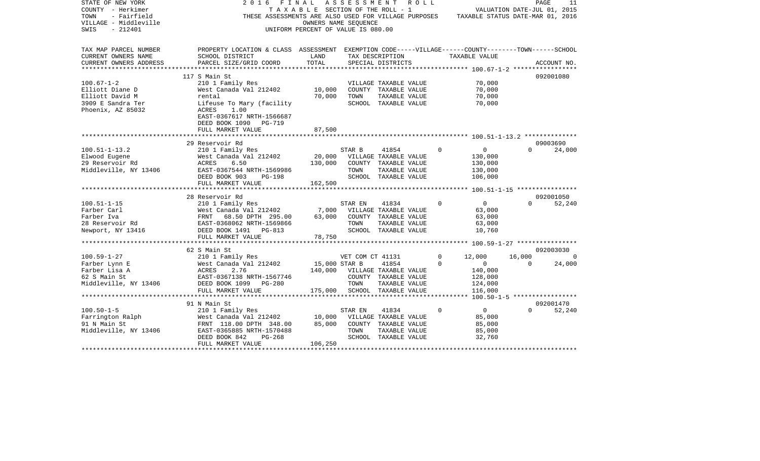| STATE OF NEW YORK<br>COUNTY - Herkimer<br>- Fairfield<br>TOWN<br>VILLAGE - Middleville<br>SWIS<br>$-212401$ | 2016<br>FINAL<br>THESE ASSESSMENTS ARE ALSO USED FOR VILLAGE PURPOSES                                                 | T A X A B L E SECTION OF THE ROLL - 1<br>OWNERS NAME SEQUENCE<br>UNIFORM PERCENT OF VALUE IS 080.00 | ASSESSMENT       | R O L L                        |             | TAXABLE STATUS DATE-MAR 01, 2016           | PAGE<br>VALUATION DATE-JUL 01, 2015 | 11                    |
|-------------------------------------------------------------------------------------------------------------|-----------------------------------------------------------------------------------------------------------------------|-----------------------------------------------------------------------------------------------------|------------------|--------------------------------|-------------|--------------------------------------------|-------------------------------------|-----------------------|
| TAX MAP PARCEL NUMBER<br>CURRENT OWNERS NAME                                                                | PROPERTY LOCATION & CLASS ASSESSMENT EXEMPTION CODE-----VILLAGE------COUNTY-------TOWN------SCHOOL<br>SCHOOL DISTRICT | LAND                                                                                                |                  | TAX DESCRIPTION                |             | TAXABLE VALUE                              |                                     |                       |
| CURRENT OWNERS ADDRESS                                                                                      | PARCEL SIZE/GRID COORD                                                                                                | TOTAL                                                                                               |                  | SPECIAL DISTRICTS              |             |                                            |                                     | ACCOUNT NO.           |
| *************                                                                                               | ***************************                                                                                           | ************************                                                                            |                  |                                |             | ************ 100.67-1-2 ****************** |                                     |                       |
|                                                                                                             | 117 S Main St                                                                                                         |                                                                                                     |                  |                                |             |                                            |                                     | 092001080             |
| $100.67 - 1 - 2$                                                                                            | 210 1 Family Res                                                                                                      |                                                                                                     |                  | VILLAGE TAXABLE VALUE          |             | 70,000                                     |                                     |                       |
| Elliott Diane D                                                                                             | West Canada Val 212402                                                                                                | 10,000                                                                                              |                  | COUNTY TAXABLE VALUE           |             | 70,000                                     |                                     |                       |
| Elliott David M                                                                                             | rental                                                                                                                | 70,000                                                                                              | TOWN             | TAXABLE VALUE                  |             | 70,000                                     |                                     |                       |
| 3909 E Sandra Ter<br>Phoenix, AZ 85032                                                                      | Lifeuse To Mary (facility<br>ACRES<br>1.00                                                                            |                                                                                                     |                  | SCHOOL TAXABLE VALUE           |             | 70,000                                     |                                     |                       |
|                                                                                                             | EAST-0367617 NRTH-1566687                                                                                             |                                                                                                     |                  |                                |             |                                            |                                     |                       |
|                                                                                                             | DEED BOOK 1090<br><b>PG-719</b>                                                                                       |                                                                                                     |                  |                                |             |                                            |                                     |                       |
|                                                                                                             | FULL MARKET VALUE                                                                                                     | 87,500                                                                                              |                  |                                |             |                                            |                                     |                       |
|                                                                                                             |                                                                                                                       |                                                                                                     |                  |                                |             |                                            |                                     |                       |
|                                                                                                             | 29 Reservoir Rd                                                                                                       |                                                                                                     |                  |                                |             |                                            |                                     | 09003690              |
| $100.51 - 1 - 13.2$                                                                                         | 210 1 Family Res                                                                                                      |                                                                                                     | STAR B           | 41854                          | $\Omega$    | $\mathbf 0$                                | $\Omega$                            | 24,000                |
| Elwood Eugene                                                                                               | West Canada Val 212402                                                                                                | 20,000                                                                                              |                  | VILLAGE TAXABLE VALUE          |             | 130,000                                    |                                     |                       |
| 29 Reservoir Rd                                                                                             | ACRES<br>6.50                                                                                                         | 130,000                                                                                             |                  | COUNTY TAXABLE VALUE           |             | 130,000                                    |                                     |                       |
| Middleville, NY 13406                                                                                       | EAST-0367544 NRTH-1569986                                                                                             |                                                                                                     | TOWN             | TAXABLE VALUE                  |             | 130,000                                    |                                     |                       |
|                                                                                                             | DEED BOOK 903<br><b>PG-198</b><br>FULL MARKET VALUE                                                                   | 162,500                                                                                             |                  | SCHOOL TAXABLE VALUE           |             | 106,000                                    |                                     |                       |
|                                                                                                             |                                                                                                                       |                                                                                                     |                  |                                |             |                                            |                                     |                       |
|                                                                                                             | 28 Reservoir Rd                                                                                                       |                                                                                                     |                  |                                |             |                                            |                                     | 092001050             |
| $100.51 - 1 - 15$                                                                                           | 210 1 Family Res                                                                                                      |                                                                                                     | STAR EN          | 41834                          | $\mathbf 0$ | $\overline{0}$                             | $\Omega$                            | 52,240                |
| Farber Carl                                                                                                 | West Canada Val 212402                                                                                                | 7,000                                                                                               |                  | VILLAGE TAXABLE VALUE          |             | 63,000                                     |                                     |                       |
| Farber Iva                                                                                                  | FRNT 68.50 DPTH 295.00                                                                                                | 63,000                                                                                              |                  | COUNTY TAXABLE VALUE           |             | 63,000                                     |                                     |                       |
| 28 Reservoir Rd                                                                                             | EAST-0368062 NRTH-1569866                                                                                             |                                                                                                     | TOWN             | TAXABLE VALUE                  |             | 63,000                                     |                                     |                       |
| Newport, NY 13416                                                                                           | DEED BOOK 1491 PG-813                                                                                                 |                                                                                                     |                  | SCHOOL TAXABLE VALUE           |             | 10,760                                     |                                     |                       |
|                                                                                                             | FULL MARKET VALUE<br>***********************                                                                          | 78,750                                                                                              |                  |                                |             |                                            |                                     |                       |
|                                                                                                             |                                                                                                                       |                                                                                                     |                  | ****************************** |             | ************ 100.59-1-27 ***************** |                                     |                       |
| $100.59 - 1 - 27$                                                                                           | 62 S Main St                                                                                                          |                                                                                                     |                  |                                | $\mathbf 0$ | 12,000                                     | 16,000                              | 092003030<br>$\Omega$ |
| Farber Lynn E                                                                                               | 210 1 Family Res<br>West Canada Val 212402                                                                            | 15,000 STAR B                                                                                       | VET COM CT 41131 | 41854                          | 0           | $\mathbf 0$                                | $\Omega$                            | 24,000                |
| Farber Lisa A                                                                                               | ACRES<br>2.76                                                                                                         | 140,000                                                                                             |                  | VILLAGE TAXABLE VALUE          |             | 140,000                                    |                                     |                       |
| 62 S Main St                                                                                                | EAST-0367138 NRTH-1567746                                                                                             |                                                                                                     |                  | COUNTY TAXABLE VALUE           |             | 128,000                                    |                                     |                       |
| Middleville, NY 13406                                                                                       | DEED BOOK 1099<br>PG-280                                                                                              |                                                                                                     | TOWN             | TAXABLE VALUE                  |             | 124,000                                    |                                     |                       |
|                                                                                                             | FULL MARKET VALUE                                                                                                     | 175,000                                                                                             |                  | SCHOOL TAXABLE VALUE           |             | 116,000                                    |                                     |                       |
|                                                                                                             |                                                                                                                       |                                                                                                     |                  |                                |             | ******** 100.50-1-5 ******************     |                                     |                       |
|                                                                                                             | 91 N Main St                                                                                                          |                                                                                                     |                  |                                |             |                                            |                                     | 092001470             |
| $100.50 - 1 - 5$                                                                                            | 210 1 Family Res                                                                                                      |                                                                                                     | STAR EN          | 41834                          | $\mathbf 0$ | $\mathbf{0}$                               | $\Omega$                            | 52,240                |
| Farrington Ralph                                                                                            | West Canada Val 212402                                                                                                | 10,000                                                                                              |                  | VILLAGE TAXABLE VALUE          |             | 85,000                                     |                                     |                       |
| 91 N Main St                                                                                                | FRNT 118.00 DPTH 348.00                                                                                               | 85,000                                                                                              |                  | COUNTY TAXABLE VALUE           |             | 85,000                                     |                                     |                       |
| Middleville, NY 13406                                                                                       | EAST-0365885 NRTH-1570488                                                                                             |                                                                                                     | TOWN             | TAXABLE VALUE                  |             | 85,000                                     |                                     |                       |
|                                                                                                             | DEED BOOK 842<br>$PG-268$                                                                                             | 106,250                                                                                             |                  | SCHOOL TAXABLE VALUE           |             | 32,760                                     |                                     |                       |
|                                                                                                             | FULL MARKET VALUE                                                                                                     |                                                                                                     |                  |                                |             |                                            |                                     |                       |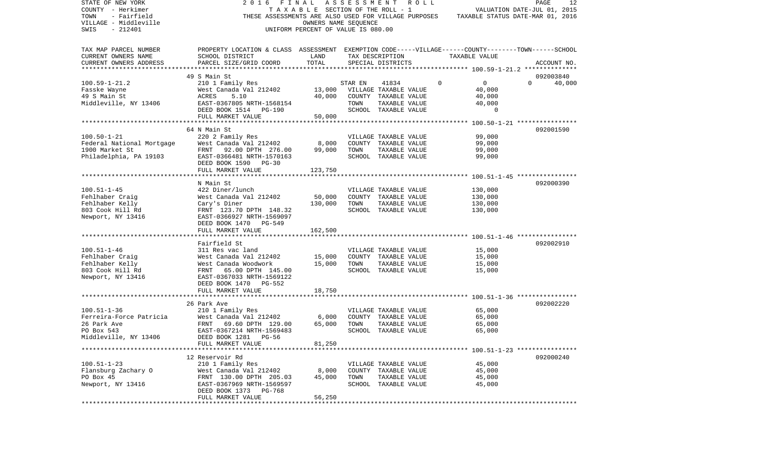| STATE OF NEW YORK         | 2016                                                                                               | FINAL                              | ASSESSMENT | R O L L                                              |               |             | PAGE                             | 12 |
|---------------------------|----------------------------------------------------------------------------------------------------|------------------------------------|------------|------------------------------------------------------|---------------|-------------|----------------------------------|----|
| COUNTY - Herkimer         |                                                                                                    | TAXABLE SECTION OF THE ROLL - 1    |            |                                                      |               |             | VALUATION DATE-JUL 01, 2015      |    |
| TOWN<br>- Fairfield       |                                                                                                    |                                    |            | THESE ASSESSMENTS ARE ALSO USED FOR VILLAGE PURPOSES |               |             | TAXABLE STATUS DATE-MAR 01, 2016 |    |
| VILLAGE - Middleville     |                                                                                                    | OWNERS NAME SEQUENCE               |            |                                                      |               |             |                                  |    |
| $-212401$<br>SWIS         |                                                                                                    | UNIFORM PERCENT OF VALUE IS 080.00 |            |                                                      |               |             |                                  |    |
|                           |                                                                                                    |                                    |            |                                                      |               |             |                                  |    |
| TAX MAP PARCEL NUMBER     | PROPERTY LOCATION & CLASS ASSESSMENT EXEMPTION CODE-----VILLAGE------COUNTY-------TOWN------SCHOOL |                                    |            |                                                      |               |             |                                  |    |
| CURRENT OWNERS NAME       | SCHOOL DISTRICT                                                                                    | LAND                               |            | TAX DESCRIPTION                                      | TAXABLE VALUE |             |                                  |    |
| CURRENT OWNERS ADDRESS    | PARCEL SIZE/GRID COORD                                                                             | TOTAL                              |            | SPECIAL DISTRICTS                                    |               |             | ACCOUNT NO.                      |    |
| ************************* |                                                                                                    |                                    |            |                                                      |               |             |                                  |    |
|                           | 49 S Main St                                                                                       |                                    |            |                                                      |               |             | 092003840                        |    |
| $100.59 - 1 - 21.2$       | 210 1 Family Res                                                                                   |                                    | STAR EN    | 41834                                                | $\Omega$      | $\mathbf 0$ | $\Omega$<br>40,000               |    |
| Fasske Wayne              | West Canada Val 212402                                                                             | 13,000                             |            | VILLAGE TAXABLE VALUE                                |               | 40,000      |                                  |    |
| 49 S Main St              | ACRES<br>5.10                                                                                      | 40,000                             |            | COUNTY TAXABLE VALUE                                 |               | 40,000      |                                  |    |
| Middleville, NY 13406     | EAST-0367805 NRTH-1568154                                                                          |                                    | TOWN       | TAXABLE VALUE                                        |               | 40,000      |                                  |    |
|                           | DEED BOOK 1514 PG-190                                                                              |                                    |            | SCHOOL TAXABLE VALUE                                 |               | 0           |                                  |    |
|                           | FULL MARKET VALUE                                                                                  | 50,000                             |            |                                                      |               |             |                                  |    |
|                           |                                                                                                    |                                    |            |                                                      |               |             |                                  |    |
|                           | 64 N Main St                                                                                       |                                    |            |                                                      |               |             | 092001590                        |    |
| $100.50 - 1 - 21$         | 220 2 Family Res                                                                                   |                                    |            | VILLAGE TAXABLE VALUE                                |               | 99,000      |                                  |    |
| Federal National Mortgage | West Canada Val 212402                                                                             | 8,000                              |            | COUNTY TAXABLE VALUE                                 |               | 99,000      |                                  |    |
| 1900 Market St            | FRNT 92.00 DPTH 276.00                                                                             | 99,000                             | TOWN       | TAXABLE VALUE                                        |               | 99,000      |                                  |    |
| Philadelphia, PA 19103    | EAST-0366481 NRTH-1570163                                                                          |                                    |            | SCHOOL TAXABLE VALUE                                 |               | 99,000      |                                  |    |
|                           | DEED BOOK 1590<br>$PG-30$                                                                          |                                    |            |                                                      |               |             |                                  |    |
|                           | FULL MARKET VALUE                                                                                  | 123,750                            |            |                                                      |               |             |                                  |    |
|                           |                                                                                                    |                                    |            |                                                      |               |             |                                  |    |
|                           | N Main St                                                                                          |                                    |            |                                                      |               |             | 092000390                        |    |
| $100.51 - 1 - 45$         | 422 Diner/lunch                                                                                    |                                    |            | VILLAGE TAXABLE VALUE                                |               | 130,000     |                                  |    |
| Fehlhaber Craig           | West Canada Val 212402                                                                             | 50,000                             |            | COUNTY TAXABLE VALUE                                 |               | 130,000     |                                  |    |
| Fehlhaber Kelly           | Cary's Diner                                                                                       | 130,000                            | TOWN       | TAXABLE VALUE                                        |               | 130,000     |                                  |    |
| 803 Cook Hill Rd          | FRNT 123.70 DPTH 148.32                                                                            |                                    |            | SCHOOL TAXABLE VALUE                                 |               | 130,000     |                                  |    |
| Newport, NY 13416         | EAST-0366927 NRTH-1569097                                                                          |                                    |            |                                                      |               |             |                                  |    |
|                           | DEED BOOK 1470 PG-549                                                                              |                                    |            |                                                      |               |             |                                  |    |
|                           | FULL MARKET VALUE                                                                                  | 162,500                            |            |                                                      |               |             |                                  |    |
|                           |                                                                                                    |                                    |            |                                                      |               |             |                                  |    |
|                           | Fairfield St                                                                                       |                                    |            |                                                      |               |             | 092002910                        |    |
| $100.51 - 1 - 46$         | 311 Res vac land                                                                                   |                                    |            | VILLAGE TAXABLE VALUE                                |               | 15,000      |                                  |    |
| Fehlhaber Craig           | West Canada Val 212402                                                                             | 15,000                             |            | COUNTY TAXABLE VALUE                                 |               | 15,000      |                                  |    |
| Fehlhaber Kelly           | West Canada Woodwork                                                                               | 15,000                             | TOWN       | TAXABLE VALUE                                        |               | 15,000      |                                  |    |
| 803 Cook Hill Rd          | FRNT 65.00 DPTH 145.00                                                                             |                                    |            | SCHOOL TAXABLE VALUE                                 |               | 15,000      |                                  |    |
| Newport, NY 13416         | EAST-0367033 NRTH-1569122                                                                          |                                    |            |                                                      |               |             |                                  |    |
|                           | DEED BOOK 1470 PG-552                                                                              |                                    |            |                                                      |               |             |                                  |    |
|                           | FULL MARKET VALUE                                                                                  | 18,750                             |            |                                                      |               |             |                                  |    |
|                           |                                                                                                    |                                    |            |                                                      |               |             |                                  |    |
|                           | 26 Park Ave                                                                                        |                                    |            |                                                      |               |             | 092002220                        |    |
| $100.51 - 1 - 36$         | 210 1 Family Res                                                                                   |                                    |            | VILLAGE TAXABLE VALUE                                |               | 65,000      |                                  |    |
| Ferreira-Force Patricia   | West Canada Val 212402                                                                             | 6,000                              |            | COUNTY TAXABLE VALUE                                 |               | 65,000      |                                  |    |
| 26 Park Ave               | FRNT<br>69.60 DPTH 129.00                                                                          | 65,000                             | TOWN       | TAXABLE VALUE                                        |               | 65,000      |                                  |    |
| PO Box 543                | EAST-0367214 NRTH-1569483                                                                          |                                    |            | SCHOOL TAXABLE VALUE                                 |               | 65,000      |                                  |    |
| Middleville, NY 13406     | DEED BOOK 1281 PG-56                                                                               |                                    |            |                                                      |               |             |                                  |    |
|                           | FULL MARKET VALUE                                                                                  | 81,250                             |            |                                                      |               |             |                                  |    |
|                           |                                                                                                    |                                    |            |                                                      |               |             |                                  |    |
|                           | 12 Reservoir Rd                                                                                    |                                    |            |                                                      |               |             | 092000240                        |    |
| $100.51 - 1 - 23$         | 210 1 Family Res                                                                                   |                                    |            | VILLAGE TAXABLE VALUE                                |               | 45,000      |                                  |    |
| Flansburg Zachary O       | West Canada Val 212402                                                                             | 8,000                              |            | COUNTY TAXABLE VALUE                                 |               | 45,000      |                                  |    |
| PO Box 45                 | FRNT 130.00 DPTH 205.03                                                                            | 45,000                             | TOWN       | TAXABLE VALUE                                        |               | 45,000      |                                  |    |
| Newport, NY 13416         | EAST-0367969 NRTH-1569597                                                                          |                                    |            | SCHOOL TAXABLE VALUE                                 |               | 45,000      |                                  |    |
|                           | DEED BOOK 1373 PG-768                                                                              |                                    |            |                                                      |               |             |                                  |    |
|                           | FULL MARKET VALUE                                                                                  | 56,250                             |            |                                                      |               |             |                                  |    |
|                           |                                                                                                    |                                    |            |                                                      |               |             |                                  |    |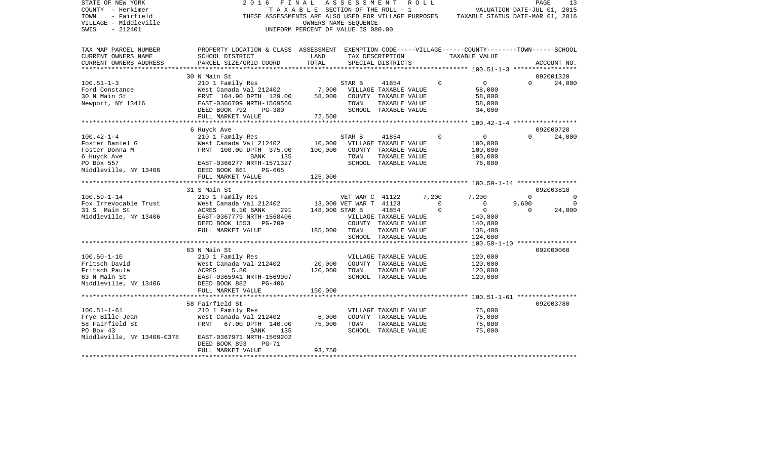| STATE OF NEW YORK<br>COUNTY - Herkimer<br>TOWN<br>- Fairfield<br>VILLAGE - Middleville<br>SWIS<br>$-212401$ | 2016<br>FINAL                                                                                                                                                        | TAXABLE SECTION OF THE ROLL - 1<br>UNIFORM PERCENT OF VALUE IS 080.00 | A S S E S S M E N T A O L L<br>OWNERS NAME SEQUENCE |                                       |                      | VALUATION DATE-JUL 01, 2015<br>THESE ASSESSMENTS ARE ALSO USED FOR VILLAGE PURPOSES TAXABLE STATUS DATE-MAR 01, 2016 |          | PAGE<br>13    |
|-------------------------------------------------------------------------------------------------------------|----------------------------------------------------------------------------------------------------------------------------------------------------------------------|-----------------------------------------------------------------------|-----------------------------------------------------|---------------------------------------|----------------------|----------------------------------------------------------------------------------------------------------------------|----------|---------------|
| TAX MAP PARCEL NUMBER                                                                                       | PROPERTY LOCATION & CLASS ASSESSMENT EXEMPTION CODE-----VILLAGE------COUNTY-------TOWN------SCHOOL                                                                   |                                                                       |                                                     |                                       |                      |                                                                                                                      |          |               |
| CURRENT OWNERS NAME                                                                                         | SCHOOL DISTRICT                                                                                                                                                      | LAND                                                                  | TAX DESCRIPTION                                     |                                       |                      | TAXABLE VALUE                                                                                                        |          |               |
| CURRENT OWNERS ADDRESS<br>**********************                                                            | PARCEL SIZE/GRID COORD                                                                                                                                               | TOTAL                                                                 |                                                     | SPECIAL DISTRICTS                     |                      |                                                                                                                      |          | ACCOUNT NO.   |
|                                                                                                             | 30 N Main St                                                                                                                                                         |                                                                       |                                                     |                                       |                      |                                                                                                                      |          | 092001320     |
| $100.51 - 1 - 3$                                                                                            | 210 1 Family Res                                                                                                                                                     |                                                                       | STAR B                                              | 41854                                 | $\Omega$             | $\overline{0}$                                                                                                       | $\Omega$ | 24,000        |
| Ford Constance                                                                                              | $T_{\text{test}}$ $T_{\text{count}}$ , $T_{\text{test}}$ $T_{\text{test}}$ $T_{\text{test}}$ $T_{\text{test}}$ $T_{\text{test}}$ $T_{\text{test}}$ $T_{\text{test}}$ |                                                                       | VILLAGE TAXABLE VALUE                               |                                       |                      | 58,000                                                                                                               |          |               |
| 30 N Main St                                                                                                | FRNT 104.90 DPTH 129.00                                                                                                                                              | 58,000                                                                | COUNTY TAXABLE VALUE                                |                                       |                      | 58,000                                                                                                               |          |               |
| Newport, NY 13416                                                                                           | EAST-0366709 NRTH-1569566                                                                                                                                            |                                                                       | TOWN                                                | TAXABLE VALUE                         |                      | 58,000                                                                                                               |          |               |
|                                                                                                             | DEED BOOK 792<br>PG-380                                                                                                                                              |                                                                       |                                                     | SCHOOL TAXABLE VALUE                  |                      | 34,000                                                                                                               |          |               |
|                                                                                                             | FULL MARKET VALUE                                                                                                                                                    | 72,500                                                                |                                                     |                                       |                      |                                                                                                                      |          |               |
|                                                                                                             | 6 Huyck Ave                                                                                                                                                          |                                                                       |                                                     |                                       |                      |                                                                                                                      |          | 092000720     |
| $100.42 - 1 - 4$                                                                                            | 210 1 Family Res                                                                                                                                                     |                                                                       | STAR B                                              | 41854                                 | $\Omega$             | 0                                                                                                                    | $\Omega$ | 24,000        |
| Foster Daniel G                                                                                             | West Canada Val 212402                                                                                                                                               | 10,000                                                                | VILLAGE TAXABLE VALUE                               |                                       |                      | 100,000                                                                                                              |          |               |
| Foster Donna M                                                                                              | FRNT 100.00 DPTH 375.00                                                                                                                                              | 100,000                                                               |                                                     | COUNTY TAXABLE VALUE                  |                      | 100,000                                                                                                              |          |               |
| 6 Huyck Ave                                                                                                 | BANK<br>135                                                                                                                                                          |                                                                       | TOWN                                                | TAXABLE VALUE                         |                      | 100,000                                                                                                              |          |               |
| PO Box 557                                                                                                  | EAST-0366277 NRTH-1571327                                                                                                                                            |                                                                       |                                                     | SCHOOL TAXABLE VALUE                  |                      | 76,000                                                                                                               |          |               |
| Middleville, NY 13406                                                                                       | DEED BOOK 861<br>PG-665                                                                                                                                              |                                                                       |                                                     |                                       |                      |                                                                                                                      |          |               |
|                                                                                                             | FULL MARKET VALUE                                                                                                                                                    | 125,000                                                               |                                                     |                                       |                      |                                                                                                                      |          |               |
|                                                                                                             |                                                                                                                                                                      |                                                                       |                                                     |                                       |                      |                                                                                                                      |          |               |
|                                                                                                             | 31 S Main St                                                                                                                                                         |                                                                       |                                                     |                                       |                      |                                                                                                                      | $\Omega$ | 092003810     |
| $100.59 - 1 - 14$<br>Fox Irrevocable Trust                                                                  | 210 1 Family Res                                                                                                                                                     |                                                                       | VET WAR C 41122                                     |                                       | 7,200<br>$\mathbf 0$ | 7,200<br>$\overline{0}$                                                                                              | 9,600    | $\Omega$<br>0 |
| 31 S Main St                                                                                                | West Canada Val 212402 13,000 VET WAR T 41123<br>6.10 BANK 291<br>ACRES                                                                                              | 148,000 STAR B                                                        |                                                     | 41854                                 | $\mathbf 0$          | $\overline{0}$                                                                                                       | $\Omega$ | 24,000        |
| Middleville, NY 13406                                                                                       | EAST-0367779 NRTH-1568406                                                                                                                                            |                                                                       | VILLAGE TAXABLE VALUE                               |                                       |                      | 140,800                                                                                                              |          |               |
|                                                                                                             | DEED BOOK 1553 PG-709                                                                                                                                                |                                                                       | COUNTY TAXABLE VALUE                                |                                       |                      | 140,800                                                                                                              |          |               |
|                                                                                                             | FULL MARKET VALUE                                                                                                                                                    | 185,000                                                               | TOWN                                                | TAXABLE VALUE                         |                      | 138,400                                                                                                              |          |               |
|                                                                                                             |                                                                                                                                                                      |                                                                       |                                                     | SCHOOL TAXABLE VALUE                  |                      | 124,000                                                                                                              |          |               |
|                                                                                                             |                                                                                                                                                                      |                                                                       |                                                     |                                       |                      |                                                                                                                      |          |               |
|                                                                                                             | 63 N Main St                                                                                                                                                         |                                                                       |                                                     |                                       |                      |                                                                                                                      |          | 092000060     |
| $100.50 - 1 - 10$                                                                                           | 210 1 Family Res                                                                                                                                                     |                                                                       | VILLAGE TAXABLE VALUE                               |                                       |                      | 120,000                                                                                                              |          |               |
| Fritsch David                                                                                               | West Canada Val 212402                                                                                                                                               | 20,000                                                                | COUNTY TAXABLE VALUE                                |                                       |                      | 120,000                                                                                                              |          |               |
| Fritsch Paula<br>63 N Main St                                                                               | 5.80<br>ACRES<br>EAST-0365941 NRTH-1569907                                                                                                                           | 120,000                                                               | TOWN                                                | TAXABLE VALUE<br>SCHOOL TAXABLE VALUE |                      | 120,000<br>120,000                                                                                                   |          |               |
| Middleville, NY 13406                                                                                       | DEED BOOK 882<br>PG-406                                                                                                                                              |                                                                       |                                                     |                                       |                      |                                                                                                                      |          |               |
|                                                                                                             | FULL MARKET VALUE                                                                                                                                                    | 150,000                                                               |                                                     |                                       |                      |                                                                                                                      |          |               |
|                                                                                                             |                                                                                                                                                                      |                                                                       |                                                     |                                       |                      |                                                                                                                      |          |               |
|                                                                                                             | 58 Fairfield St                                                                                                                                                      |                                                                       |                                                     |                                       |                      |                                                                                                                      |          | 092003780     |
| $100.51 - 1 - 61$                                                                                           | 210 1 Family Res                                                                                                                                                     |                                                                       |                                                     | VILLAGE TAXABLE VALUE                 |                      | 75,000                                                                                                               |          |               |
| Frye Bille Jean                                                                                             | West Canada Val 212402 6,000<br>FRNT 67.00 DPTH 140.00 75,000                                                                                                        |                                                                       |                                                     | COUNTY TAXABLE VALUE                  |                      | 75,000                                                                                                               |          |               |
| 58 Fairfield St                                                                                             |                                                                                                                                                                      |                                                                       | TOWN                                                | TAXABLE VALUE                         |                      | 75,000                                                                                                               |          |               |
| PO Box 43                                                                                                   | BANK<br>135                                                                                                                                                          |                                                                       |                                                     | SCHOOL TAXABLE VALUE                  |                      | 75,000                                                                                                               |          |               |
| Middleville, NY 13406-0378                                                                                  |                                                                                                                                                                      |                                                                       |                                                     |                                       |                      |                                                                                                                      |          |               |
|                                                                                                             | EAST-0367971 NRTH-1569202                                                                                                                                            |                                                                       |                                                     |                                       |                      |                                                                                                                      |          |               |
|                                                                                                             | DEED BOOK 893<br>$PG-71$<br>FULL MARKET VALUE                                                                                                                        | 93,750                                                                |                                                     |                                       |                      |                                                                                                                      |          |               |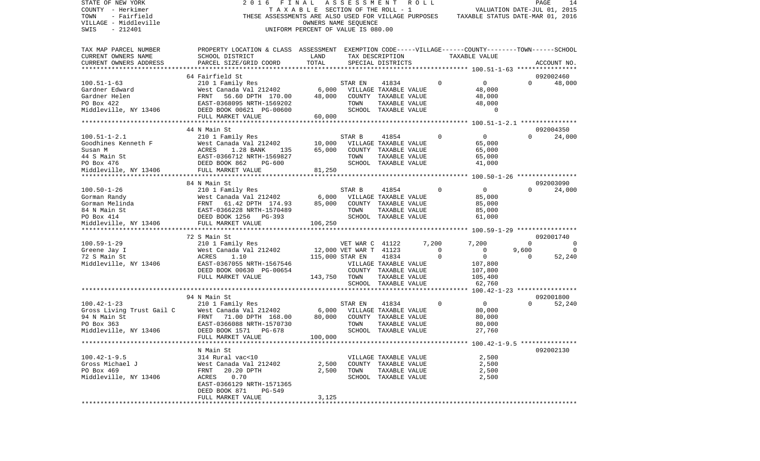| STATE OF NEW YORK                                | 2016                                                                                               | FINAL                              | ASSESSMENT                       |                       | R O L L |             |                                             |          | PAGE<br>14                  |
|--------------------------------------------------|----------------------------------------------------------------------------------------------------|------------------------------------|----------------------------------|-----------------------|---------|-------------|---------------------------------------------|----------|-----------------------------|
| COUNTY - Herkimer                                |                                                                                                    | TAXABLE SECTION OF THE ROLL - 1    |                                  |                       |         |             |                                             |          | VALUATION DATE-JUL 01, 2015 |
| TOWN<br>- Fairfield                              | THESE ASSESSMENTS ARE ALSO USED FOR VILLAGE PURPOSES                                               |                                    |                                  |                       |         |             | TAXABLE STATUS DATE-MAR 01, 2016            |          |                             |
| VILLAGE - Middleville                            |                                                                                                    |                                    | OWNERS NAME SEQUENCE             |                       |         |             |                                             |          |                             |
| SWIS<br>$-212401$                                |                                                                                                    | UNIFORM PERCENT OF VALUE IS 080.00 |                                  |                       |         |             |                                             |          |                             |
|                                                  |                                                                                                    |                                    |                                  |                       |         |             |                                             |          |                             |
|                                                  | PROPERTY LOCATION & CLASS ASSESSMENT EXEMPTION CODE-----VILLAGE------COUNTY-------TOWN------SCHOOL |                                    |                                  |                       |         |             |                                             |          |                             |
| TAX MAP PARCEL NUMBER                            |                                                                                                    |                                    |                                  |                       |         |             |                                             |          |                             |
| CURRENT OWNERS NAME                              | SCHOOL DISTRICT                                                                                    | LAND                               |                                  | TAX DESCRIPTION       |         |             | TAXABLE VALUE                               |          |                             |
| CURRENT OWNERS ADDRESS<br>********************** | PARCEL SIZE/GRID COORD                                                                             | TOTAL                              |                                  | SPECIAL DISTRICTS     |         |             |                                             |          | ACCOUNT NO.                 |
|                                                  |                                                                                                    |                                    |                                  |                       |         |             |                                             |          | 092002460                   |
|                                                  | 64 Fairfield St                                                                                    |                                    |                                  |                       |         |             |                                             |          |                             |
| $100.51 - 1 - 63$                                | 210 1 Family Res                                                                                   |                                    | STAR EN                          | 41834                 |         | 0           | 0                                           | $\Omega$ | 48,000                      |
| Gardner Edward                                   | West Canada Val 212402                                                                             | 6,000                              |                                  | VILLAGE TAXABLE VALUE |         |             | 48,000                                      |          |                             |
| Gardner Helen                                    | FRNT<br>56.60 DPTH 170.00                                                                          | 48,000                             |                                  | COUNTY TAXABLE VALUE  |         |             | 48,000                                      |          |                             |
| PO Box 422                                       | EAST-0368095 NRTH-1569202                                                                          |                                    | TOWN                             | TAXABLE VALUE         |         |             | 48,000                                      |          |                             |
| Middleville, NY 13406                            | DEED BOOK 00621 PG-00600                                                                           |                                    |                                  | SCHOOL TAXABLE VALUE  |         |             | 0                                           |          |                             |
|                                                  | FULL MARKET VALUE                                                                                  | 60,000                             |                                  |                       |         |             |                                             |          |                             |
|                                                  | *********************                                                                              |                                    | *******************              |                       |         |             | ************* 100.51-1-2.1 **************** |          |                             |
|                                                  | 44 N Main St                                                                                       |                                    |                                  |                       |         |             |                                             |          | 092004350                   |
| $100.51 - 1 - 2.1$                               | 210 1 Family Res                                                                                   |                                    | STAR B                           | 41854                 |         | 0           | 0                                           | $\Omega$ | 24,000                      |
| Goodhines Kenneth F                              | West Canada Val 212402                                                                             | 10,000                             |                                  | VILLAGE TAXABLE VALUE |         |             | 65,000                                      |          |                             |
| Susan M                                          | ACRES<br>1.28 BANK<br>135                                                                          | 65,000                             |                                  | COUNTY TAXABLE VALUE  |         |             | 65,000                                      |          |                             |
| 44 S Main St                                     | EAST-0366712 NRTH-1569827                                                                          |                                    | TOWN                             | TAXABLE VALUE         |         |             | 65,000                                      |          |                             |
| PO Box 476                                       | DEED BOOK 862<br>PG-600                                                                            |                                    |                                  | SCHOOL TAXABLE VALUE  |         |             | 41,000                                      |          |                             |
| Middleville, NY 13406                            | FULL MARKET VALUE                                                                                  | 81,250                             |                                  |                       |         |             |                                             |          |                             |
|                                                  |                                                                                                    |                                    | ******************************** |                       |         |             | ************* 100.50-1-26 ***************** |          |                             |
|                                                  | 84 N Main St                                                                                       |                                    |                                  |                       |         |             |                                             |          | 092003090                   |
| $100.50 - 1 - 26$                                | 210 1 Family Res                                                                                   |                                    | STAR B                           | 41854                 |         | 0           | 0                                           | $\Omega$ | 24,000                      |
| Gorman Randy                                     | West Canada Val 212402                                                                             | 6,000                              |                                  | VILLAGE TAXABLE VALUE |         |             | 85,000                                      |          |                             |
| Gorman Melinda                                   | 61.42 DPTH 174.93<br>FRNT                                                                          | 85,000                             |                                  | COUNTY TAXABLE VALUE  |         |             | 85,000                                      |          |                             |
| 84 N Main St                                     | EAST-0366228 NRTH-1570489                                                                          |                                    | TOWN                             | TAXABLE VALUE         |         |             | 85,000                                      |          |                             |
| PO Box 414                                       | DEED BOOK 1256<br>PG-393                                                                           |                                    |                                  | SCHOOL TAXABLE VALUE  |         |             | 61,000                                      |          |                             |
| Middleville, NY 13406                            | FULL MARKET VALUE                                                                                  | 106,250                            |                                  |                       |         |             |                                             |          |                             |
|                                                  |                                                                                                    |                                    |                                  |                       |         |             |                                             |          |                             |
|                                                  | 72 S Main St                                                                                       |                                    |                                  |                       |         |             |                                             |          | 092001740                   |
| $100.59 - 1 - 29$                                | 210 1 Family Res                                                                                   |                                    | VET WAR C 41122                  |                       |         | 7,200       | 7,200                                       | $\Omega$ | 0                           |
| Greene Jay I                                     | West Canada Val 212402                                                                             |                                    | 12,000 VET WAR T 41123           |                       |         | 0           | 0                                           | 9,600    |                             |
| 72 S Main St                                     | ACRES<br>1.10                                                                                      |                                    | 115,000 STAR EN                  | 41834                 |         | 0           | 0                                           | $\Omega$ | 52,240                      |
| Middleville, NY 13406                            | EAST-0367055 NRTH-1567546                                                                          |                                    |                                  | VILLAGE TAXABLE VALUE |         |             | 107,800                                     |          |                             |
|                                                  | DEED BOOK 00630 PG-00654                                                                           |                                    |                                  | COUNTY TAXABLE VALUE  |         |             | 107,800                                     |          |                             |
|                                                  | FULL MARKET VALUE                                                                                  | 143,750                            | TOWN                             | TAXABLE VALUE         |         |             | 105,400                                     |          |                             |
|                                                  |                                                                                                    |                                    |                                  | SCHOOL TAXABLE VALUE  |         |             | 62,760                                      |          |                             |
|                                                  | ***********                                                                                        |                                    | ****************************     |                       |         |             | *** 100.42-1-23 *****************           |          |                             |
|                                                  | 94 N Main St                                                                                       |                                    |                                  |                       |         |             |                                             |          | 092001800                   |
| $100.42 - 1 - 23$                                | 210 1 Family Res                                                                                   |                                    | STAR EN                          | 41834                 |         | $\mathbf 0$ | $\overline{0}$                              | $\Omega$ | 52,240                      |
| Gross Living Trust Gail C                        | West Canada Val 212402                                                                             | 6,000                              |                                  | VILLAGE TAXABLE VALUE |         |             | 80,000                                      |          |                             |
| 94 N Main St                                     | 71.00 DPTH 168.00<br>FRNT                                                                          | 80,000                             |                                  | COUNTY TAXABLE VALUE  |         |             | 80,000                                      |          |                             |
| PO Box 363                                       | EAST-0366088 NRTH-1570730                                                                          |                                    | TOWN                             | TAXABLE VALUE         |         |             | 80,000                                      |          |                             |
|                                                  | DEED BOOK 1571<br>PG-678                                                                           |                                    |                                  | SCHOOL TAXABLE VALUE  |         |             | 27,760                                      |          |                             |
| Middleville, NY 13406                            | FULL MARKET VALUE                                                                                  | 100,000                            |                                  |                       |         |             |                                             |          |                             |
|                                                  |                                                                                                    |                                    |                                  |                       |         |             |                                             |          |                             |
|                                                  | N Main St                                                                                          |                                    |                                  |                       |         |             |                                             |          | 092002130                   |
| $100.42 - 1 - 9.5$                               | 314 Rural vac<10                                                                                   |                                    |                                  | VILLAGE TAXABLE VALUE |         |             | 2,500                                       |          |                             |
| Gross Michael J                                  | West Canada Val 212402                                                                             | 2,500                              |                                  | COUNTY TAXABLE VALUE  |         |             | 2,500                                       |          |                             |
| PO Box 469                                       | FRNT 20.20 DPTH                                                                                    | 2,500                              | TOWN                             | TAXABLE VALUE         |         |             | 2,500                                       |          |                             |
|                                                  | 0.70                                                                                               |                                    |                                  | SCHOOL TAXABLE VALUE  |         |             |                                             |          |                             |
| Middleville, NY 13406                            | ACRES                                                                                              |                                    |                                  |                       |         |             | 2,500                                       |          |                             |
|                                                  | EAST-0366129 NRTH-1571365                                                                          |                                    |                                  |                       |         |             |                                             |          |                             |
|                                                  | DEED BOOK 871<br>PG-549                                                                            |                                    |                                  |                       |         |             |                                             |          |                             |
| *************                                    | FULL MARKET VALUE                                                                                  | 3,125                              |                                  |                       |         |             |                                             |          |                             |
|                                                  |                                                                                                    |                                    |                                  |                       |         |             |                                             |          |                             |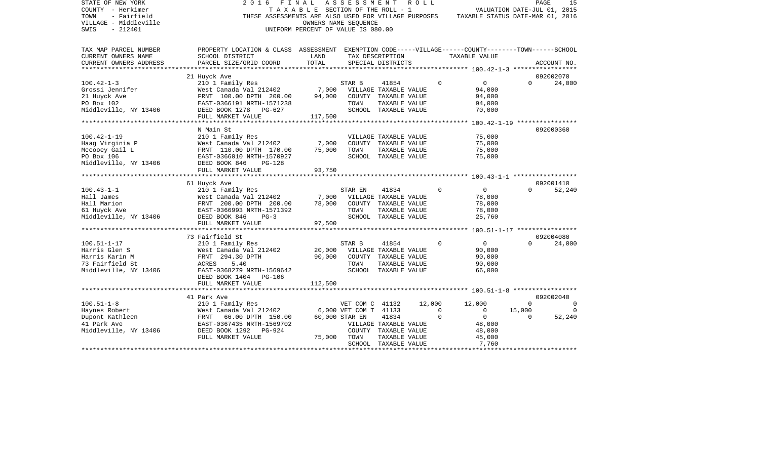| STATE OF NEW YORK<br>COUNTY - Herkimer<br>TOWN<br>- Fairfield<br>VILLAGE - Middleville<br>$-212401$<br>SWIS | FINAL<br>2016<br>THESE ASSESSMENTS ARE ALSO USED FOR VILLAGE PURPOSES                                                 | TAXABLE SECTION OF THE ROLL - 1<br>OWNERS NAME SEQUENCE<br>UNIFORM PERCENT OF VALUE IS 080.00 | ASSESSMENT                            |                                               | R O L L     | TAXABLE STATUS DATE-MAR 01, 2016 | VALUATION DATE-JUL 01, 2015 | PAGE<br>15  |
|-------------------------------------------------------------------------------------------------------------|-----------------------------------------------------------------------------------------------------------------------|-----------------------------------------------------------------------------------------------|---------------------------------------|-----------------------------------------------|-------------|----------------------------------|-----------------------------|-------------|
| TAX MAP PARCEL NUMBER<br>CURRENT OWNERS NAME                                                                | PROPERTY LOCATION & CLASS ASSESSMENT EXEMPTION CODE-----VILLAGE------COUNTY-------TOWN------SCHOOL<br>SCHOOL DISTRICT | LAND                                                                                          |                                       | TAX DESCRIPTION                               |             | TAXABLE VALUE                    |                             |             |
| CURRENT OWNERS ADDRESS                                                                                      | PARCEL SIZE/GRID COORD                                                                                                | TOTAL                                                                                         |                                       | SPECIAL DISTRICTS                             |             |                                  |                             | ACCOUNT NO. |
| ****************                                                                                            |                                                                                                                       |                                                                                               |                                       |                                               |             |                                  |                             |             |
|                                                                                                             | 21 Huyck Ave                                                                                                          |                                                                                               |                                       |                                               |             |                                  |                             | 092002070   |
| $100.42 - 1 - 3$                                                                                            | 210 1 Family Res                                                                                                      |                                                                                               | STAR B                                | 41854                                         | $\Omega$    | $\overline{0}$                   | $\Omega$                    | 24,000      |
| Grossi Jennifer                                                                                             | West Canada Val 212402                                                                                                | 7,000                                                                                         |                                       | VILLAGE TAXABLE VALUE                         |             | 94,000                           |                             |             |
| 21 Huyck Ave                                                                                                | FRNT 100.00 DPTH 200.00                                                                                               | 94,000                                                                                        |                                       | COUNTY TAXABLE VALUE                          |             | 94,000                           |                             |             |
| PO Box 102                                                                                                  | EAST-0366191 NRTH-1571238                                                                                             |                                                                                               | TOWN                                  | TAXABLE VALUE                                 |             | 94,000                           |                             |             |
| Middleville, NY 13406                                                                                       | DEED BOOK 1278<br>PG-627<br>FULL MARKET VALUE                                                                         | 117,500                                                                                       |                                       | SCHOOL TAXABLE VALUE                          |             | 70,000                           |                             |             |
|                                                                                                             | ***********************                                                                                               | *********                                                                                     |                                       |                                               |             |                                  |                             |             |
|                                                                                                             | N Main St                                                                                                             |                                                                                               |                                       |                                               |             |                                  |                             | 092000360   |
| $100.42 - 1 - 19$                                                                                           | 210 1 Family Res                                                                                                      |                                                                                               |                                       | VILLAGE TAXABLE VALUE                         |             | 75,000                           |                             |             |
| Haag Virginia P                                                                                             | West Canada Val 212402                                                                                                | 7,000                                                                                         |                                       | COUNTY TAXABLE VALUE                          |             | 75,000                           |                             |             |
| Mccooey Gail L                                                                                              | FRNT 110.00 DPTH 170.00                                                                                               | 75,000                                                                                        | TOWN                                  | TAXABLE VALUE                                 |             | 75,000                           |                             |             |
| PO Box 106                                                                                                  | EAST-0366010 NRTH-1570927                                                                                             |                                                                                               |                                       | SCHOOL TAXABLE VALUE                          |             | 75,000                           |                             |             |
| Middleville, NY 13406                                                                                       | DEED BOOK 846<br>$PG-128$                                                                                             |                                                                                               |                                       |                                               |             |                                  |                             |             |
|                                                                                                             | FULL MARKET VALUE                                                                                                     | 93,750                                                                                        |                                       |                                               |             |                                  |                             |             |
|                                                                                                             | 61 Huyck Ave                                                                                                          |                                                                                               |                                       |                                               |             |                                  |                             | 092001410   |
| $100.43 - 1 - 1$                                                                                            | 210 1 Family Res                                                                                                      |                                                                                               | STAR EN                               | 41834                                         | $\Omega$    | $\overline{0}$                   | $\Omega$                    | 52,240      |
| Hall James                                                                                                  | West Canada Val 212402                                                                                                | 7,000                                                                                         |                                       | VILLAGE TAXABLE VALUE                         |             | 78,000                           |                             |             |
| Hall Marion                                                                                                 | FRNT 200.00 DPTH 200.00                                                                                               | 78,000                                                                                        |                                       | COUNTY TAXABLE VALUE                          |             | 78,000                           |                             |             |
| 61 Huyck Ave                                                                                                | EAST-0366993 NRTH-1571392                                                                                             |                                                                                               | TOWN                                  | TAXABLE VALUE                                 |             | 78,000                           |                             |             |
| Middleville, NY 13406                                                                                       | DEED BOOK 846<br>$PG-3$                                                                                               |                                                                                               |                                       | SCHOOL TAXABLE VALUE                          |             | 25,760                           |                             |             |
|                                                                                                             | FULL MARKET VALUE                                                                                                     | 97,500                                                                                        |                                       |                                               |             |                                  |                             |             |
|                                                                                                             |                                                                                                                       |                                                                                               |                                       |                                               |             |                                  |                             |             |
|                                                                                                             | 73 Fairfield St                                                                                                       |                                                                                               |                                       |                                               |             |                                  |                             | 092004080   |
| $100.51 - 1 - 17$                                                                                           | 210 1 Family Res                                                                                                      |                                                                                               | STAR B                                | 41854                                         | $\mathbf 0$ | $\overline{0}$                   | $\Omega$                    | 24,000      |
| Harris Glen S<br>Harris Karin M                                                                             | West Canada Val 212402                                                                                                | 20,000<br>90,000                                                                              |                                       | VILLAGE TAXABLE VALUE<br>COUNTY TAXABLE VALUE |             | 90,000                           |                             |             |
| 73 Fairfield St                                                                                             | FRNT 294.30 DPTH<br>ACRES<br>5.40                                                                                     |                                                                                               | TOWN                                  | TAXABLE VALUE                                 |             | 90,000<br>90,000                 |                             |             |
| Middleville, NY 13406                                                                                       | EAST-0368279 NRTH-1569642                                                                                             |                                                                                               |                                       | SCHOOL TAXABLE VALUE                          |             | 66,000                           |                             |             |
|                                                                                                             | DEED BOOK 1404<br><b>PG-106</b>                                                                                       |                                                                                               |                                       |                                               |             |                                  |                             |             |
|                                                                                                             | FULL MARKET VALUE                                                                                                     | 112,500                                                                                       |                                       |                                               |             |                                  |                             |             |
|                                                                                                             |                                                                                                                       |                                                                                               |                                       |                                               |             |                                  |                             |             |
|                                                                                                             | 41 Park Ave                                                                                                           |                                                                                               |                                       |                                               |             |                                  |                             | 092002040   |
| $100.51 - 1 - 8$                                                                                            | 210 1 Family Res                                                                                                      |                                                                                               | VET COM C 41132                       |                                               | 12,000      | 12,000                           | $\mathbf 0$                 | $\Omega$    |
| Haynes Robert                                                                                               | West Canada Val 212402                                                                                                |                                                                                               | 6,000 VET COM T 41133                 |                                               | $\mathbf 0$ | $\mathbf 0$                      | 15,000                      | $\Omega$    |
| Dupont Kathleen                                                                                             | 66.00 DPTH 150.00<br>FRNT                                                                                             |                                                                                               | 60,000 STAR EN                        | 41834                                         | $\mathbf 0$ | $\overline{0}$                   | 0                           | 52,240      |
| 41 Park Ave                                                                                                 | EAST-0367435 NRTH-1569702                                                                                             |                                                                                               |                                       | VILLAGE TAXABLE VALUE                         |             | 48,000                           |                             |             |
| Middleville, NY 13406                                                                                       | DEED BOOK 1292<br>PG-924                                                                                              |                                                                                               |                                       | COUNTY TAXABLE VALUE                          |             | 48,000                           |                             |             |
|                                                                                                             | FULL MARKET VALUE                                                                                                     | 75,000                                                                                        | TOWN                                  | TAXABLE VALUE                                 |             | 45,000                           |                             |             |
|                                                                                                             |                                                                                                                       |                                                                                               | ************************************* | SCHOOL TAXABLE VALUE                          |             | 7,760                            |                             |             |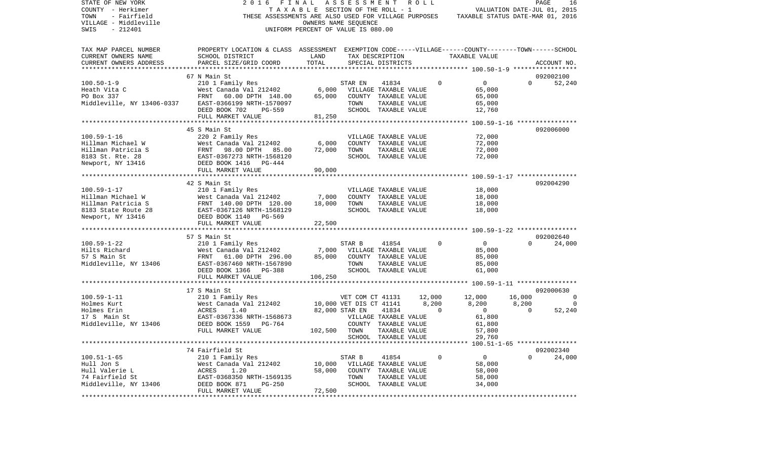| STATE OF NEW YORK<br>COUNTY - Herkimer<br>- Fairfield<br>TOWN<br>VILLAGE - Middleville<br>$-212401$<br>SWIS | 2 0 1 6<br>FINAL<br>THESE ASSESSMENTS ARE ALSO USED FOR VILLAGE PURPOSES                                          | TAXABLE SECTION OF THE ROLL - 1<br>OWNERS NAME SEQUENCE<br>UNIFORM PERCENT OF VALUE IS 080.00 | ASSESSMENT ROLL  |                                       |        |             | VALUATION DATE-JUL 01, 2015<br>TAXABLE STATUS DATE-MAR 01, 2016 |          | PAGE<br>16     |
|-------------------------------------------------------------------------------------------------------------|-------------------------------------------------------------------------------------------------------------------|-----------------------------------------------------------------------------------------------|------------------|---------------------------------------|--------|-------------|-----------------------------------------------------------------|----------|----------------|
| TAX MAP PARCEL NUMBER                                                                                       | PROPERTY LOCATION & CLASS ASSESSMENT EXEMPTION CODE-----VILLAGE------COUNTY-------TOWN------SCHOOL                |                                                                                               |                  |                                       |        |             |                                                                 |          |                |
| CURRENT OWNERS NAME                                                                                         | SCHOOL DISTRICT                                                                                                   | LAND                                                                                          |                  | TAX DESCRIPTION                       |        |             | TAXABLE VALUE                                                   |          |                |
| CURRENT OWNERS ADDRESS                                                                                      | PARCEL SIZE/GRID COORD                                                                                            | TOTAL                                                                                         |                  | SPECIAL DISTRICTS                     |        |             |                                                                 |          | ACCOUNT NO.    |
|                                                                                                             |                                                                                                                   |                                                                                               |                  |                                       |        |             |                                                                 |          |                |
|                                                                                                             | 67 N Main St                                                                                                      |                                                                                               |                  |                                       |        |             |                                                                 |          | 092002100      |
| $100.50 - 1 - 9$                                                                                            | 210 1 Family Res                                                                                                  |                                                                                               | STAR EN          | 41834                                 |        | $\mathbf 0$ | $\mathbf 0$                                                     | $\Omega$ | 52,240         |
| Heath Vita C                                                                                                | West Canada Val 212402                                                                                            | 6,000                                                                                         |                  | VILLAGE TAXABLE VALUE                 |        |             | 65,000                                                          |          |                |
| PO Box 337                                                                                                  | FRNT<br>60.00 DPTH 148.00                                                                                         | 65,000                                                                                        |                  | COUNTY TAXABLE VALUE                  |        |             | 65,000                                                          |          |                |
|                                                                                                             | Middleville, NY 13406-0337 EAST-0366199 NRTH-1570097                                                              |                                                                                               | TOWN             | TAXABLE VALUE                         |        |             | 65,000                                                          |          |                |
|                                                                                                             | DEED BOOK 702<br>PG-559                                                                                           |                                                                                               |                  | SCHOOL TAXABLE VALUE                  |        |             | 12,760                                                          |          |                |
|                                                                                                             | FULL MARKET VALUE                                                                                                 | 81,250                                                                                        |                  |                                       |        |             |                                                                 |          |                |
|                                                                                                             |                                                                                                                   |                                                                                               |                  |                                       |        |             |                                                                 |          |                |
|                                                                                                             | 45 S Main St                                                                                                      |                                                                                               |                  |                                       |        |             |                                                                 |          | 092006000      |
| $100.59 - 1 - 16$                                                                                           | 220 2 Family Res                                                                                                  |                                                                                               |                  | VILLAGE TAXABLE VALUE                 |        |             | 72,000                                                          |          |                |
| Hillman Michael W                                                                                           | West Canada Val 212402                                                                                            | 6,000<br>72,000                                                                               |                  | COUNTY TAXABLE VALUE                  |        |             | 72,000                                                          |          |                |
| Hillman Patricia S<br>8183 St. Rte. 28                                                                      | FRNT 98.00 DPTH 85.00<br>EAST-0367273 NRTH-1568120<br>FRNT 98.00 DPTH 85.00                                       |                                                                                               | TOWN             | TAXABLE VALUE<br>SCHOOL TAXABLE VALUE |        |             | 72,000<br>72,000                                                |          |                |
| Newport, NY 13416                                                                                           | DEED BOOK 1416 PG-444                                                                                             |                                                                                               |                  |                                       |        |             |                                                                 |          |                |
|                                                                                                             | FULL MARKET VALUE                                                                                                 | 90,000                                                                                        |                  |                                       |        |             |                                                                 |          |                |
|                                                                                                             |                                                                                                                   |                                                                                               |                  |                                       |        |             |                                                                 |          |                |
|                                                                                                             | 42 S Main St                                                                                                      |                                                                                               |                  |                                       |        |             |                                                                 |          | 092004290      |
| $100.59 - 1 - 17$                                                                                           | 210 1 Family Res                                                                                                  |                                                                                               |                  | VILLAGE TAXABLE VALUE                 |        |             | 18,000                                                          |          |                |
| Hillman Michael W                                                                                           | West Canada Val 212402                                                                                            | 7,000                                                                                         |                  | COUNTY TAXABLE VALUE                  |        |             | 18,000                                                          |          |                |
| Hillman Patricia S                                                                                          |                                                                                                                   | 18,000                                                                                        | TOWN             | TAXABLE VALUE                         |        |             | 18,000                                                          |          |                |
| 8183 State Route 28                                                                                         |                                                                                                                   |                                                                                               |                  | SCHOOL TAXABLE VALUE                  |        |             | 18,000                                                          |          |                |
| Newport, NY 13416                                                                                           |                                                                                                                   |                                                                                               |                  |                                       |        |             |                                                                 |          |                |
|                                                                                                             | West Canaud<br>FRNT 140.00 DPTH 120.00<br>EAST-0367126 NRTH-1568129<br>DEED BOOK 1140 PG-569<br>FILL MARKET VALUE | 22,500                                                                                        |                  |                                       |        |             |                                                                 |          |                |
|                                                                                                             |                                                                                                                   |                                                                                               |                  |                                       |        |             |                                                                 |          |                |
|                                                                                                             | 57 S Main St                                                                                                      |                                                                                               |                  |                                       |        |             |                                                                 |          | 092002640      |
| $100.59 - 1 - 22$                                                                                           | 210 1 Family Res                                                                                                  |                                                                                               | STAR B           | 41854                                 |        | $\Omega$    | $\mathbf 0$                                                     | $\Omega$ | 24,000         |
| Hilts Richard                                                                                               | West Canada Val 212402                                                                                            | 7,000                                                                                         |                  | VILLAGE TAXABLE VALUE                 |        |             | 85,000                                                          |          |                |
| 57 S Main St                                                                                                | FRNT 61.00 DPTH 296.00                                                                                            | 85,000                                                                                        |                  | COUNTY TAXABLE VALUE                  |        |             | 85,000                                                          |          |                |
| Middleville, NY 13406                                                                                       | EAST-0367460 NRTH-1567890                                                                                         |                                                                                               | TOWN             | TAXABLE VALUE                         |        |             | 85,000                                                          |          |                |
|                                                                                                             | DEED BOOK 1366 PG-388                                                                                             |                                                                                               |                  | SCHOOL TAXABLE VALUE                  |        |             | 61,000                                                          |          |                |
|                                                                                                             | FULL MARKET VALUE                                                                                                 | 106,250                                                                                       |                  |                                       |        |             |                                                                 |          |                |
|                                                                                                             | 17 S Main St                                                                                                      |                                                                                               |                  |                                       |        |             |                                                                 |          | 092000630      |
| $100.59 - 1 - 11$                                                                                           | 210 1 Family Res                                                                                                  |                                                                                               | VET COM CT 41131 |                                       | 12,000 |             | 12,000                                                          | 16,000   | $\overline{0}$ |
| Holmes Kurt                                                                                                 | West Canada Val 212402                                                                                            | 10,000 VET DIS CT 41141                                                                       |                  |                                       |        | 8,200       | 8,200                                                           | 8,200    | 0              |
| Holmes Erin                                                                                                 | 1.40<br>ACRES                                                                                                     |                                                                                               | 82,000 STAR EN   | 41834                                 |        | $\Omega$    | $\overline{0}$                                                  | $\Omega$ | 52,240         |
| 17 S Main St                                                                                                | EAST-0367336 NRTH-1568673                                                                                         |                                                                                               |                  | VILLAGE TAXABLE VALUE                 |        |             | 61,800                                                          |          |                |
| Middleville, NY 13406                                                                                       | DEED BOOK 1559<br>PG-764                                                                                          |                                                                                               |                  | COUNTY TAXABLE VALUE                  |        |             | 61,800                                                          |          |                |
|                                                                                                             | FULL MARKET VALUE                                                                                                 | 102,500                                                                                       | TOWN             | TAXABLE VALUE                         |        |             | 57,800                                                          |          |                |
|                                                                                                             |                                                                                                                   |                                                                                               |                  | SCHOOL TAXABLE VALUE                  |        |             | 29,760                                                          |          |                |
|                                                                                                             |                                                                                                                   |                                                                                               |                  |                                       |        |             |                                                                 |          |                |
|                                                                                                             | 74 Fairfield St                                                                                                   |                                                                                               |                  |                                       |        |             |                                                                 |          | 092002340      |
| $100.51 - 1 - 65$                                                                                           | 210 1 Family Res                                                                                                  |                                                                                               | STAR B           | 41854                                 |        | $\mathbf 0$ | $\mathbf 0$                                                     | $\Omega$ | 24,000         |
| Hull Jon S                                                                                                  | West Canada Val 212402                                                                                            | 10,000                                                                                        |                  | VILLAGE TAXABLE VALUE                 |        |             | 58,000                                                          |          |                |
| Hull Valerie L                                                                                              | ACRES<br>1.20                                                                                                     | 58,000                                                                                        |                  | COUNTY TAXABLE VALUE                  |        |             | 58,000                                                          |          |                |
| 74 Fairfield St                                                                                             | EAST-0368350 NRTH-1569135                                                                                         |                                                                                               | TOWN             | TAXABLE VALUE                         |        |             | 58,000                                                          |          |                |
| Middleville, NY 13406                                                                                       | DEED BOOK 871<br>$PG-250$                                                                                         |                                                                                               |                  | SCHOOL TAXABLE VALUE                  |        |             | 34,000                                                          |          |                |
|                                                                                                             | FULL MARKET VALUE                                                                                                 | 72,500                                                                                        |                  |                                       |        |             |                                                                 |          |                |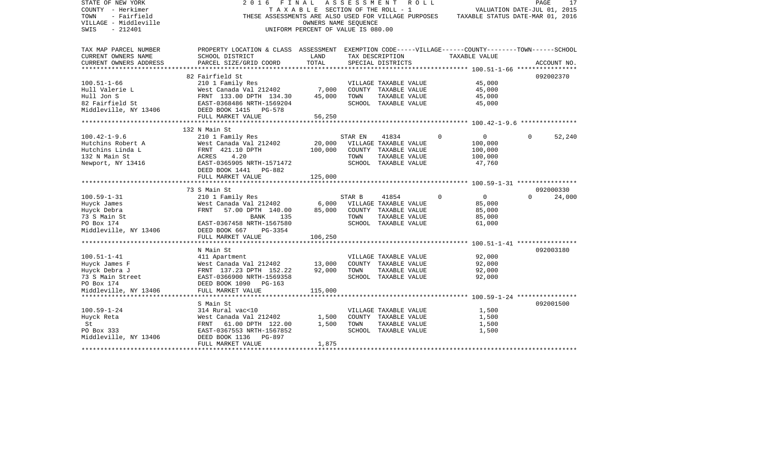| STATE OF NEW YORK<br>COUNTY - Herkimer<br>TOWN<br>- Fairfield<br>VILLAGE - Middleville<br>$-212401$<br>SWIS | 2016<br>FINAL                                                                                      | T A X A B L E SECTION OF THE ROLL - 1<br>OWNERS NAME SEOUENCE<br>UNIFORM PERCENT OF VALUE IS 080.00 | A S S E S S M E N T | R O L L               |          | VALUATION DATE-JUL 01, 2015<br>THESE ASSESSMENTS ARE ALSO USED FOR VILLAGE PURPOSES TAXABLE STATUS DATE-MAR 01, 2016 | PAGE     | 17          |
|-------------------------------------------------------------------------------------------------------------|----------------------------------------------------------------------------------------------------|-----------------------------------------------------------------------------------------------------|---------------------|-----------------------|----------|----------------------------------------------------------------------------------------------------------------------|----------|-------------|
| TAX MAP PARCEL NUMBER                                                                                       | PROPERTY LOCATION & CLASS ASSESSMENT EXEMPTION CODE-----VILLAGE------COUNTY-------TOWN------SCHOOL |                                                                                                     |                     |                       |          |                                                                                                                      |          |             |
| CURRENT OWNERS NAME                                                                                         | SCHOOL DISTRICT                                                                                    | LAND                                                                                                |                     | TAX DESCRIPTION       |          | TAXABLE VALUE                                                                                                        |          |             |
| CURRENT OWNERS ADDRESS                                                                                      | PARCEL SIZE/GRID COORD                                                                             | TOTAL                                                                                               |                     | SPECIAL DISTRICTS     |          |                                                                                                                      |          | ACCOUNT NO. |
|                                                                                                             |                                                                                                    |                                                                                                     |                     |                       |          |                                                                                                                      |          |             |
|                                                                                                             | 82 Fairfield St                                                                                    |                                                                                                     |                     |                       |          |                                                                                                                      |          | 092002370   |
| $100.51 - 1 - 66$                                                                                           | 210 1 Family Res                                                                                   |                                                                                                     |                     | VILLAGE TAXABLE VALUE |          | 45,000                                                                                                               |          |             |
| Hull Valerie L                                                                                              | West Canada Val 212402                                                                             | 7,000                                                                                               |                     | COUNTY TAXABLE VALUE  |          | 45,000                                                                                                               |          |             |
| Hull Jon S                                                                                                  | FRNT 133.00 DPTH 134.30                                                                            | 45,000                                                                                              | TOWN                | TAXABLE VALUE         |          | 45,000                                                                                                               |          |             |
| 82 Fairfield St                                                                                             | EAST-0368486 NRTH-1569204                                                                          |                                                                                                     |                     | SCHOOL TAXABLE VALUE  |          | 45,000                                                                                                               |          |             |
| Middleville, NY 13406                                                                                       | DEED BOOK 1415 PG-578                                                                              | 56,250                                                                                              |                     |                       |          |                                                                                                                      |          |             |
|                                                                                                             | FULL MARKET VALUE                                                                                  |                                                                                                     |                     |                       |          |                                                                                                                      |          |             |
|                                                                                                             | 132 N Main St                                                                                      |                                                                                                     |                     |                       |          |                                                                                                                      |          |             |
| $100.42 - 1 - 9.6$                                                                                          | 210 1 Family Res                                                                                   |                                                                                                     | STAR EN             | 41834                 | $\Omega$ | $\overline{0}$                                                                                                       | $\Omega$ | 52,240      |
| Hutchins Robert A                                                                                           | West Canada Val 212402                                                                             | 20,000                                                                                              |                     | VILLAGE TAXABLE VALUE |          | 100,000                                                                                                              |          |             |
| Hutchins Linda L                                                                                            | FRNT 421.10 DPTH                                                                                   | 100,000                                                                                             |                     | COUNTY TAXABLE VALUE  |          | 100,000                                                                                                              |          |             |
| 132 N Main St                                                                                               | ACRES<br>4.20                                                                                      |                                                                                                     | TOWN                | TAXABLE VALUE         |          | 100,000                                                                                                              |          |             |
| Newport, NY 13416                                                                                           | EAST-0365905 NRTH-1571472                                                                          |                                                                                                     |                     | SCHOOL TAXABLE VALUE  |          | 47,760                                                                                                               |          |             |
|                                                                                                             | DEED BOOK 1441<br>PG-882                                                                           |                                                                                                     |                     |                       |          |                                                                                                                      |          |             |
|                                                                                                             | FULL MARKET VALUE                                                                                  | 125,000                                                                                             |                     |                       |          |                                                                                                                      |          |             |
|                                                                                                             | 73 S Main St                                                                                       |                                                                                                     |                     |                       |          |                                                                                                                      |          | 092000330   |
| $100.59 - 1 - 31$                                                                                           | 210 1 Family Res                                                                                   |                                                                                                     | STAR B              | 41854                 | $\Omega$ | $\overline{0}$                                                                                                       | $\Omega$ | 24,000      |
| Huyck James                                                                                                 | West Canada Val 212402                                                                             | 6,000                                                                                               |                     | VILLAGE TAXABLE VALUE |          | 85,000                                                                                                               |          |             |
| Huyck Debra                                                                                                 | 57.00 DPTH 140.00<br>FRNT                                                                          | 85,000                                                                                              |                     | COUNTY TAXABLE VALUE  |          | 85,000                                                                                                               |          |             |
| 73 S Main St                                                                                                | BANK<br>135                                                                                        |                                                                                                     | TOWN                | TAXABLE VALUE         |          | 85,000                                                                                                               |          |             |
| PO Box 174                                                                                                  | EAST-0367458 NRTH-1567580                                                                          |                                                                                                     |                     | SCHOOL TAXABLE VALUE  |          | 61,000                                                                                                               |          |             |
| Middleville, NY 13406                                                                                       | DEED BOOK 667<br>PG-3354                                                                           |                                                                                                     |                     |                       |          |                                                                                                                      |          |             |
|                                                                                                             | FULL MARKET VALUE                                                                                  | 106,250                                                                                             |                     |                       |          |                                                                                                                      |          |             |
|                                                                                                             | ************************                                                                           |                                                                                                     |                     |                       |          | ***************** 100.51-1-41 *****************                                                                      |          |             |
|                                                                                                             | N Main St                                                                                          |                                                                                                     |                     |                       |          |                                                                                                                      |          | 092003180   |
| $100.51 - 1 - 41$                                                                                           | 411 Apartment                                                                                      |                                                                                                     |                     | VILLAGE TAXABLE VALUE |          | 92,000                                                                                                               |          |             |
| Huyck James F                                                                                               | West Canada Val 212402                                                                             | 13,000                                                                                              |                     | COUNTY TAXABLE VALUE  |          | 92,000                                                                                                               |          |             |
| Huyck Debra J                                                                                               | FRNT 137.23 DPTH 152.22                                                                            | 92,000                                                                                              | TOWN                | TAXABLE VALUE         |          | 92,000                                                                                                               |          |             |
| 73 S Main Street                                                                                            | EAST-0366900 NRTH-1569358                                                                          |                                                                                                     |                     | SCHOOL TAXABLE VALUE  |          | 92,000                                                                                                               |          |             |
| PO Box 174                                                                                                  | DEED BOOK 1090 PG-163                                                                              |                                                                                                     |                     |                       |          |                                                                                                                      |          |             |
| Middleville, NY 13406                                                                                       | FULL MARKET VALUE                                                                                  | 115,000<br>***********                                                                              |                     |                       |          |                                                                                                                      |          |             |
|                                                                                                             | S Main St                                                                                          |                                                                                                     |                     |                       |          |                                                                                                                      |          | 092001500   |
| $100.59 - 1 - 24$                                                                                           | 314 Rural vac<10                                                                                   |                                                                                                     |                     | VILLAGE TAXABLE VALUE |          | 1,500                                                                                                                |          |             |
| Huyck Reta                                                                                                  | West Canada Val 212402                                                                             | 1,500                                                                                               |                     | COUNTY TAXABLE VALUE  |          | 1,500                                                                                                                |          |             |
| St                                                                                                          | FRNT<br>61.00 DPTH 122.00                                                                          | 1,500                                                                                               | TOWN                | TAXABLE VALUE         |          | 1,500                                                                                                                |          |             |
| PO Box 333                                                                                                  | EAST-0367553 NRTH-1567852                                                                          |                                                                                                     |                     | SCHOOL TAXABLE VALUE  |          | 1,500                                                                                                                |          |             |
| Middleville, NY 13406                                                                                       | DEED BOOK 1136<br>PG-897                                                                           |                                                                                                     |                     |                       |          |                                                                                                                      |          |             |
|                                                                                                             | FULL MARKET VALUE                                                                                  | 1,875                                                                                               |                     |                       |          |                                                                                                                      |          |             |
|                                                                                                             |                                                                                                    |                                                                                                     |                     |                       |          |                                                                                                                      |          |             |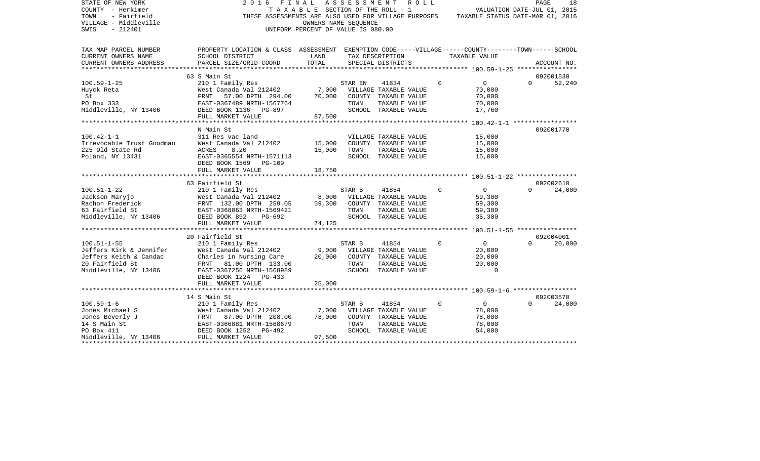| TAX MAP PARCEL NUMBER<br>PROPERTY LOCATION & CLASS ASSESSMENT EXEMPTION CODE-----VILLAGE------COUNTY-------TOWN------SCHOOL<br>CURRENT OWNERS NAME<br>SCHOOL DISTRICT<br>LAND<br>TAX DESCRIPTION<br>TAXABLE VALUE<br>TOTAL<br>PARCEL SIZE/GRID COORD<br>CURRENT OWNERS ADDRESS<br>SPECIAL DISTRICTS<br>63 S Main St<br>092001530<br>$100.59 - 1 - 25$<br>210 1 Family Res<br>$\Omega$<br>$\overline{0}$<br>$\Omega$<br>STAR EN<br>41834<br>West Canada Val 212402<br>7,000<br>VILLAGE TAXABLE VALUE<br>70,000<br>Huyck Reta<br>57.00 DPTH 294.00<br>70,000<br>COUNTY TAXABLE VALUE<br>70,000<br>St<br>FRNT<br>PO Box 333<br>70,000<br>EAST-0367489 NRTH-1567764<br>TOWN<br>TAXABLE VALUE<br>17,760<br>Middleville, NY 13406<br>DEED BOOK 1136 PG-897<br>SCHOOL TAXABLE VALUE<br>FULL MARKET VALUE<br>87,500<br>************ 100.42-1-1 ******************<br>N Main St<br>$100.42 - 1 - 1$<br>311 Res vac land<br>15,000<br>VILLAGE TAXABLE VALUE<br>Irrevocable Trust Goodman<br>West Canada Val 212402<br>15,000<br>COUNTY TAXABLE VALUE<br>15,000<br>225 Old State Rd<br>ACRES<br>8.20<br>15,000<br>TOWN<br>TAXABLE VALUE<br>15,000<br>Poland, NY 13431<br>EAST-0365554 NRTH-1571113<br>SCHOOL TAXABLE VALUE<br>15,000<br>DEED BOOK 1569<br>PG-109<br>FULL MARKET VALUE<br>18,750<br>63 Fairfield St<br>092002610<br>$100.51 - 1 - 22$<br>$\Omega$<br>$\overline{0}$<br>210 1 Family Res<br>STAR B<br>41854<br>$\Omega$<br>West Canada Val 212402<br>Jackson Maryjo<br>8,000<br>VILLAGE TAXABLE VALUE<br>59,300<br>Rachon Frederick<br>FRNT 132.00 DPTH 259.05<br>59,300<br>COUNTY TAXABLE VALUE<br>59,300<br>63 Fairfield St<br>EAST-0368063 NRTH-1569421<br>TOWN<br>59,300<br>TAXABLE VALUE<br>SCHOOL TAXABLE VALUE<br>Middleville, NY 13406<br>DEED BOOK 892<br>$PG-692$<br>35,300<br>FULL MARKET VALUE<br>74,125<br>20 Fairfield St<br>092004001<br>$\Omega$<br>$100.51 - 1 - 55$<br>210 1 Family Res<br>STAR B<br>41854<br>$\Omega$<br>$\Omega$<br>Jeffers Kirk & Jennifer<br>West Canada Val 212402<br>9,000<br>VILLAGE TAXABLE VALUE<br>20,000<br>Jeffers Keith & Candac<br>Charles in Nursing Care<br>20,000<br>20,000<br>COUNTY TAXABLE VALUE<br>20 Fairfield St<br>FRNT 81.00 DPTH 133.00<br>TOWN<br>TAXABLE VALUE<br>20,000<br>Middleville, NY 13406<br>$\Omega$<br>EAST-0367256 NRTH-1568989<br>SCHOOL TAXABLE VALUE<br>DEED BOOK 1224 PG-433<br>25,000<br>FULL MARKET VALUE<br>092003570<br>14 S Main St<br>$100.59 - 1 - 6$<br>$\Omega$<br>$\overline{0}$<br>$\Omega$<br>210 1 Family Res<br>STAR B<br>41854<br>Jones Michael S<br>West Canada Val 212402<br>7,000<br>VILLAGE TAXABLE VALUE<br>78,000<br>78,000<br>COUNTY TAXABLE VALUE<br>78,000<br>Jones Beverly J<br>FRNT<br>87.00 DPTH 208.00<br>14 S Main St<br>EAST-0366881 NRTH-1568679<br>TOWN<br>TAXABLE VALUE<br>78,000<br>54,000<br>PO Box 411<br>DEED BOOK 1252<br>PG-492<br>SCHOOL TAXABLE VALUE | STATE OF NEW YORK<br>COUNTY - Herkimer<br>- Fairfield<br>TOWN<br>VILLAGE - Middleville<br>$-212401$<br>SWIS | F I N A L<br>2016<br>THESE ASSESSMENTS ARE ALSO USED FOR VILLAGE PURPOSES | OWNERS NAME SEQUENCE<br>UNIFORM PERCENT OF VALUE IS 080.00 | A S S E S S M E N T R O L L<br>TAXABLE SECTION OF THE ROLL - 1 | VALUATION DATE-JUL 01, 2015<br>TAXABLE STATUS DATE-MAR 01, 2016 | PAGE<br>18  |
|--------------------------------------------------------------------------------------------------------------------------------------------------------------------------------------------------------------------------------------------------------------------------------------------------------------------------------------------------------------------------------------------------------------------------------------------------------------------------------------------------------------------------------------------------------------------------------------------------------------------------------------------------------------------------------------------------------------------------------------------------------------------------------------------------------------------------------------------------------------------------------------------------------------------------------------------------------------------------------------------------------------------------------------------------------------------------------------------------------------------------------------------------------------------------------------------------------------------------------------------------------------------------------------------------------------------------------------------------------------------------------------------------------------------------------------------------------------------------------------------------------------------------------------------------------------------------------------------------------------------------------------------------------------------------------------------------------------------------------------------------------------------------------------------------------------------------------------------------------------------------------------------------------------------------------------------------------------------------------------------------------------------------------------------------------------------------------------------------------------------------------------------------------------------------------------------------------------------------------------------------------------------------------------------------------------------------------------------------------------------------------------------------------------------------------------------------------------------------------------------------------------------------------------------------------------------------------------------------------------------------------------------------------------------------------------------------------------------------------------------------------------------------------------------------------------------------------------------------------------------------------|-------------------------------------------------------------------------------------------------------------|---------------------------------------------------------------------------|------------------------------------------------------------|----------------------------------------------------------------|-----------------------------------------------------------------|-------------|
|                                                                                                                                                                                                                                                                                                                                                                                                                                                                                                                                                                                                                                                                                                                                                                                                                                                                                                                                                                                                                                                                                                                                                                                                                                                                                                                                                                                                                                                                                                                                                                                                                                                                                                                                                                                                                                                                                                                                                                                                                                                                                                                                                                                                                                                                                                                                                                                                                                                                                                                                                                                                                                                                                                                                                                                                                                                                                |                                                                                                             |                                                                           |                                                            |                                                                |                                                                 |             |
|                                                                                                                                                                                                                                                                                                                                                                                                                                                                                                                                                                                                                                                                                                                                                                                                                                                                                                                                                                                                                                                                                                                                                                                                                                                                                                                                                                                                                                                                                                                                                                                                                                                                                                                                                                                                                                                                                                                                                                                                                                                                                                                                                                                                                                                                                                                                                                                                                                                                                                                                                                                                                                                                                                                                                                                                                                                                                |                                                                                                             |                                                                           |                                                            |                                                                |                                                                 | ACCOUNT NO. |
|                                                                                                                                                                                                                                                                                                                                                                                                                                                                                                                                                                                                                                                                                                                                                                                                                                                                                                                                                                                                                                                                                                                                                                                                                                                                                                                                                                                                                                                                                                                                                                                                                                                                                                                                                                                                                                                                                                                                                                                                                                                                                                                                                                                                                                                                                                                                                                                                                                                                                                                                                                                                                                                                                                                                                                                                                                                                                |                                                                                                             |                                                                           |                                                            |                                                                |                                                                 |             |
|                                                                                                                                                                                                                                                                                                                                                                                                                                                                                                                                                                                                                                                                                                                                                                                                                                                                                                                                                                                                                                                                                                                                                                                                                                                                                                                                                                                                                                                                                                                                                                                                                                                                                                                                                                                                                                                                                                                                                                                                                                                                                                                                                                                                                                                                                                                                                                                                                                                                                                                                                                                                                                                                                                                                                                                                                                                                                |                                                                                                             |                                                                           |                                                            |                                                                |                                                                 | 52,240      |
|                                                                                                                                                                                                                                                                                                                                                                                                                                                                                                                                                                                                                                                                                                                                                                                                                                                                                                                                                                                                                                                                                                                                                                                                                                                                                                                                                                                                                                                                                                                                                                                                                                                                                                                                                                                                                                                                                                                                                                                                                                                                                                                                                                                                                                                                                                                                                                                                                                                                                                                                                                                                                                                                                                                                                                                                                                                                                |                                                                                                             |                                                                           |                                                            |                                                                |                                                                 |             |
|                                                                                                                                                                                                                                                                                                                                                                                                                                                                                                                                                                                                                                                                                                                                                                                                                                                                                                                                                                                                                                                                                                                                                                                                                                                                                                                                                                                                                                                                                                                                                                                                                                                                                                                                                                                                                                                                                                                                                                                                                                                                                                                                                                                                                                                                                                                                                                                                                                                                                                                                                                                                                                                                                                                                                                                                                                                                                |                                                                                                             |                                                                           |                                                            |                                                                |                                                                 | 092001770   |
|                                                                                                                                                                                                                                                                                                                                                                                                                                                                                                                                                                                                                                                                                                                                                                                                                                                                                                                                                                                                                                                                                                                                                                                                                                                                                                                                                                                                                                                                                                                                                                                                                                                                                                                                                                                                                                                                                                                                                                                                                                                                                                                                                                                                                                                                                                                                                                                                                                                                                                                                                                                                                                                                                                                                                                                                                                                                                |                                                                                                             |                                                                           |                                                            |                                                                |                                                                 |             |
|                                                                                                                                                                                                                                                                                                                                                                                                                                                                                                                                                                                                                                                                                                                                                                                                                                                                                                                                                                                                                                                                                                                                                                                                                                                                                                                                                                                                                                                                                                                                                                                                                                                                                                                                                                                                                                                                                                                                                                                                                                                                                                                                                                                                                                                                                                                                                                                                                                                                                                                                                                                                                                                                                                                                                                                                                                                                                |                                                                                                             |                                                                           |                                                            |                                                                |                                                                 |             |
|                                                                                                                                                                                                                                                                                                                                                                                                                                                                                                                                                                                                                                                                                                                                                                                                                                                                                                                                                                                                                                                                                                                                                                                                                                                                                                                                                                                                                                                                                                                                                                                                                                                                                                                                                                                                                                                                                                                                                                                                                                                                                                                                                                                                                                                                                                                                                                                                                                                                                                                                                                                                                                                                                                                                                                                                                                                                                |                                                                                                             |                                                                           |                                                            |                                                                |                                                                 | 24,000      |
|                                                                                                                                                                                                                                                                                                                                                                                                                                                                                                                                                                                                                                                                                                                                                                                                                                                                                                                                                                                                                                                                                                                                                                                                                                                                                                                                                                                                                                                                                                                                                                                                                                                                                                                                                                                                                                                                                                                                                                                                                                                                                                                                                                                                                                                                                                                                                                                                                                                                                                                                                                                                                                                                                                                                                                                                                                                                                |                                                                                                             |                                                                           |                                                            |                                                                |                                                                 |             |
|                                                                                                                                                                                                                                                                                                                                                                                                                                                                                                                                                                                                                                                                                                                                                                                                                                                                                                                                                                                                                                                                                                                                                                                                                                                                                                                                                                                                                                                                                                                                                                                                                                                                                                                                                                                                                                                                                                                                                                                                                                                                                                                                                                                                                                                                                                                                                                                                                                                                                                                                                                                                                                                                                                                                                                                                                                                                                |                                                                                                             |                                                                           |                                                            |                                                                |                                                                 |             |
|                                                                                                                                                                                                                                                                                                                                                                                                                                                                                                                                                                                                                                                                                                                                                                                                                                                                                                                                                                                                                                                                                                                                                                                                                                                                                                                                                                                                                                                                                                                                                                                                                                                                                                                                                                                                                                                                                                                                                                                                                                                                                                                                                                                                                                                                                                                                                                                                                                                                                                                                                                                                                                                                                                                                                                                                                                                                                |                                                                                                             |                                                                           |                                                            |                                                                |                                                                 | 20,000      |
|                                                                                                                                                                                                                                                                                                                                                                                                                                                                                                                                                                                                                                                                                                                                                                                                                                                                                                                                                                                                                                                                                                                                                                                                                                                                                                                                                                                                                                                                                                                                                                                                                                                                                                                                                                                                                                                                                                                                                                                                                                                                                                                                                                                                                                                                                                                                                                                                                                                                                                                                                                                                                                                                                                                                                                                                                                                                                |                                                                                                             |                                                                           |                                                            |                                                                |                                                                 |             |
|                                                                                                                                                                                                                                                                                                                                                                                                                                                                                                                                                                                                                                                                                                                                                                                                                                                                                                                                                                                                                                                                                                                                                                                                                                                                                                                                                                                                                                                                                                                                                                                                                                                                                                                                                                                                                                                                                                                                                                                                                                                                                                                                                                                                                                                                                                                                                                                                                                                                                                                                                                                                                                                                                                                                                                                                                                                                                |                                                                                                             |                                                                           |                                                            |                                                                |                                                                 |             |
|                                                                                                                                                                                                                                                                                                                                                                                                                                                                                                                                                                                                                                                                                                                                                                                                                                                                                                                                                                                                                                                                                                                                                                                                                                                                                                                                                                                                                                                                                                                                                                                                                                                                                                                                                                                                                                                                                                                                                                                                                                                                                                                                                                                                                                                                                                                                                                                                                                                                                                                                                                                                                                                                                                                                                                                                                                                                                |                                                                                                             |                                                                           |                                                            |                                                                |                                                                 | 24,000      |
| FULL MARKET VALUE<br>97,500<br>Middleville, NY 13406                                                                                                                                                                                                                                                                                                                                                                                                                                                                                                                                                                                                                                                                                                                                                                                                                                                                                                                                                                                                                                                                                                                                                                                                                                                                                                                                                                                                                                                                                                                                                                                                                                                                                                                                                                                                                                                                                                                                                                                                                                                                                                                                                                                                                                                                                                                                                                                                                                                                                                                                                                                                                                                                                                                                                                                                                           |                                                                                                             |                                                                           |                                                            |                                                                |                                                                 |             |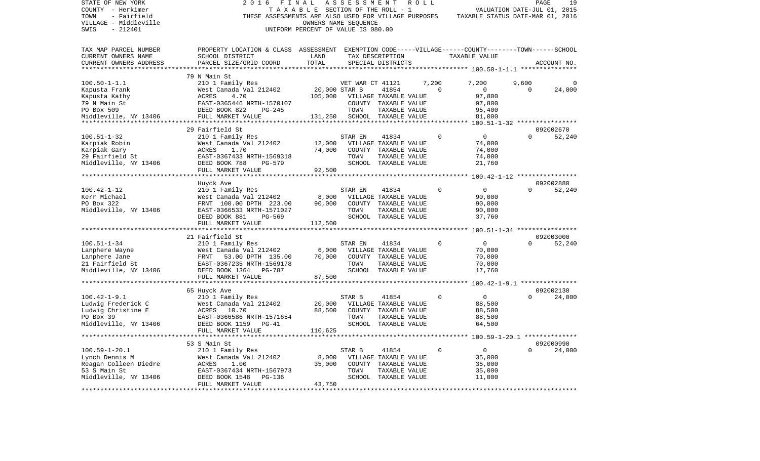| STATE OF NEW YORK<br>COUNTY - Herkimer<br>- Fairfield<br>TOWN<br>VILLAGE - Middleville<br>$-212401$<br>SWIS | 2 0 1 6<br>FINAL<br>TAXABLE<br>THESE ASSESSMENTS ARE ALSO USED FOR VILLAGE PURPOSES                | UNIFORM PERCENT OF VALUE IS 080.00 | ASSESSMENT<br>SECTION OF THE ROLL - 1<br>OWNERS NAME SEQUENCE |                                       | ROLL  |             |                            | VALUATION DATE-JUL 01, 2015<br>TAXABLE STATUS DATE-MAR 01, 2016 | 19<br>PAGE          |
|-------------------------------------------------------------------------------------------------------------|----------------------------------------------------------------------------------------------------|------------------------------------|---------------------------------------------------------------|---------------------------------------|-------|-------------|----------------------------|-----------------------------------------------------------------|---------------------|
| TAX MAP PARCEL NUMBER                                                                                       | PROPERTY LOCATION & CLASS ASSESSMENT EXEMPTION CODE-----VILLAGE------COUNTY-------TOWN------SCHOOL |                                    |                                                               |                                       |       |             |                            |                                                                 |                     |
| CURRENT OWNERS NAME                                                                                         | SCHOOL DISTRICT                                                                                    | LAND                               |                                                               | TAX DESCRIPTION                       |       |             | TAXABLE VALUE              |                                                                 |                     |
| CURRENT OWNERS ADDRESS                                                                                      | PARCEL SIZE/GRID COORD                                                                             | TOTAL                              |                                                               | SPECIAL DISTRICTS                     |       |             |                            |                                                                 | ACCOUNT NO.         |
|                                                                                                             |                                                                                                    |                                    |                                                               |                                       |       |             | ********* 100.50-1-1.1 *** |                                                                 |                     |
|                                                                                                             | 79 N Main St                                                                                       |                                    |                                                               |                                       |       |             |                            |                                                                 |                     |
| $100.50 - 1 - 1.1$                                                                                          | 210 1 Family Res<br>West Canada Val 212402                                                         | 20,000 STAR B                      | VET WAR CT 41121                                              | 41854                                 | 7,200 | $\Omega$    | 7,200<br>$\mathbf{0}$      | 9,600<br>$\Omega$                                               | 24,000              |
| Kapusta Frank<br>Kapusta Kathy                                                                              | ACRES<br>4.70                                                                                      | 105,000                            |                                                               | VILLAGE TAXABLE VALUE                 |       |             | 97,800                     |                                                                 |                     |
| 79 N Main St                                                                                                | EAST-0365446 NRTH-1570107                                                                          |                                    |                                                               | COUNTY TAXABLE VALUE                  |       |             | 97,800                     |                                                                 |                     |
| PO Box 509                                                                                                  | DEED BOOK 822<br>$PG-245$                                                                          |                                    | TOWN                                                          | TAXABLE VALUE                         |       |             | 95,400                     |                                                                 |                     |
| Middleville, NY 13406                                                                                       | FULL MARKET VALUE                                                                                  | 131,250                            |                                                               | SCHOOL TAXABLE VALUE                  |       |             | 81,000                     |                                                                 |                     |
|                                                                                                             |                                                                                                    |                                    |                                                               |                                       |       |             |                            |                                                                 |                     |
|                                                                                                             | 29 Fairfield St                                                                                    |                                    |                                                               |                                       |       |             |                            |                                                                 | 092002670           |
| $100.51 - 1 - 32$                                                                                           | 210 1 Family Res                                                                                   |                                    | STAR EN                                                       | 41834                                 |       | 0           | $\mathbf 0$                | $\Omega$                                                        | 52,240              |
| Karpiak Robin                                                                                               | West Canada Val 212402                                                                             | 12,000                             |                                                               | VILLAGE TAXABLE VALUE                 |       |             | 74,000                     |                                                                 |                     |
| Karpiak Gary                                                                                                | <b>ACRES</b><br>1.70                                                                               | 74,000                             | COUNTY                                                        | TAXABLE VALUE                         |       |             | 74,000                     |                                                                 |                     |
| 29 Fairfield St                                                                                             | EAST-0367433 NRTH-1569318                                                                          |                                    | TOWN                                                          | TAXABLE VALUE                         |       |             | 74,000                     |                                                                 |                     |
| Middleville, NY 13406                                                                                       | DEED BOOK 788<br>PG-579                                                                            |                                    |                                                               | SCHOOL TAXABLE VALUE                  |       |             | 21,760                     |                                                                 |                     |
|                                                                                                             | FULL MARKET VALUE                                                                                  | 92,500                             |                                                               |                                       |       |             |                            |                                                                 |                     |
|                                                                                                             |                                                                                                    |                                    |                                                               |                                       |       |             |                            | $100.42 - 1 - 12$ *****************                             |                     |
|                                                                                                             | Huyck Ave                                                                                          |                                    |                                                               |                                       |       |             |                            |                                                                 | 092002880           |
| $100.42 - 1 - 12$                                                                                           | 210 1 Family Res                                                                                   |                                    | STAR EN                                                       | 41834                                 |       | $\Omega$    | $\overline{0}$             | $\Omega$                                                        | 52,240              |
| Kerr Michael                                                                                                | West Canada Val 212402                                                                             | 8,000                              |                                                               | VILLAGE TAXABLE VALUE                 |       |             | 90,000                     |                                                                 |                     |
| PO Box 322                                                                                                  | FRNT 100.00 DPTH 223.00                                                                            | 90,000                             |                                                               | COUNTY TAXABLE VALUE                  |       |             | 90,000                     |                                                                 |                     |
| Middleville, NY 13406                                                                                       | EAST-0366533 NRTH-1571027                                                                          |                                    | TOWN                                                          | TAXABLE VALUE                         |       |             | 90,000                     |                                                                 |                     |
|                                                                                                             | DEED BOOK 881<br>PG-569                                                                            |                                    |                                                               | SCHOOL TAXABLE VALUE                  |       |             | 37,760                     |                                                                 |                     |
|                                                                                                             | FULL MARKET VALUE<br>*********************                                                         | 112,500                            |                                                               |                                       |       |             |                            |                                                                 |                     |
|                                                                                                             |                                                                                                    |                                    |                                                               |                                       |       |             |                            |                                                                 |                     |
| $100.51 - 1 - 34$                                                                                           | 21 Fairfield St                                                                                    |                                    | STAR EN                                                       | 41834                                 |       | $\mathbf 0$ | 0                          | $\Omega$                                                        | 092003000<br>52,240 |
| Lanphere Wayne                                                                                              | 210 1 Family Res<br>West Canada Val 212402                                                         | 6,000                              |                                                               | VILLAGE TAXABLE VALUE                 |       |             | 70,000                     |                                                                 |                     |
| Lanphere Jane                                                                                               | FRNT<br>53.00 DPTH 135.00                                                                          | 70,000                             |                                                               | COUNTY TAXABLE VALUE                  |       |             | 70,000                     |                                                                 |                     |
| 21 Fairfield St                                                                                             | EAST-0367235 NRTH-1569178                                                                          |                                    | TOWN                                                          | TAXABLE VALUE                         |       |             | 70,000                     |                                                                 |                     |
| Middleville, NY 13406                                                                                       | DEED BOOK 1364 PG-787                                                                              |                                    |                                                               | SCHOOL TAXABLE VALUE                  |       |             | 17,760                     |                                                                 |                     |
|                                                                                                             | FULL MARKET VALUE                                                                                  | 87,500                             |                                                               |                                       |       |             |                            |                                                                 |                     |
|                                                                                                             |                                                                                                    |                                    |                                                               |                                       |       |             |                            | $100.42 - 1 - 9.1$ ***************                              |                     |
|                                                                                                             | 65 Huyck Ave                                                                                       |                                    |                                                               |                                       |       |             |                            |                                                                 | 092002130           |
| $100.42 - 1 - 9.1$                                                                                          | 210 1 Family Res                                                                                   |                                    | STAR B                                                        | 41854                                 |       | $\Omega$    | $\overline{0}$             | $\Omega$                                                        | 24,000              |
| Ludwig Frederick C                                                                                          | West Canada Val 212402                                                                             | 20,000                             |                                                               | VILLAGE TAXABLE VALUE                 |       |             | 88,500                     |                                                                 |                     |
| Ludwig Christine E                                                                                          | ACRES<br>10.70                                                                                     | 88,500                             | COUNTY                                                        | TAXABLE VALUE                         |       |             | 88,500                     |                                                                 |                     |
| PO Box 39                                                                                                   | EAST-0366586 NRTH-1571654                                                                          |                                    | TOWN                                                          | TAXABLE VALUE                         |       |             | 88,500                     |                                                                 |                     |
| Middleville, NY 13406                                                                                       | DEED BOOK 1159 PG-41                                                                               |                                    |                                                               | SCHOOL TAXABLE VALUE                  |       |             | 64,500                     |                                                                 |                     |
|                                                                                                             | FULL MARKET VALUE                                                                                  | 110,625                            |                                                               |                                       |       |             |                            |                                                                 |                     |
|                                                                                                             |                                                                                                    |                                    |                                                               |                                       |       |             |                            |                                                                 |                     |
|                                                                                                             | 53 S Main St                                                                                       |                                    |                                                               |                                       |       |             |                            |                                                                 | 092000990           |
| $100.59 - 1 - 20.1$                                                                                         | 210 1 Family Res                                                                                   |                                    | STAR B                                                        | 41854                                 |       | $\mathbf 0$ | $\overline{0}$             | $\Omega$                                                        | 24,000              |
| Lynch Dennis M                                                                                              | West Canada Val 212402                                                                             | 8,000                              |                                                               | VILLAGE TAXABLE VALUE                 |       |             | 35,000                     |                                                                 |                     |
| Reagan Colleen Diedre                                                                                       | ACRES<br>1.00                                                                                      | 35,000                             |                                                               | COUNTY TAXABLE VALUE                  |       |             | 35,000                     |                                                                 |                     |
| 53 S Main St<br>Middleville, NY 13406                                                                       | EAST-0367434 NRTH-1567973<br>PG-136                                                                |                                    | TOWN                                                          | TAXABLE VALUE<br>SCHOOL TAXABLE VALUE |       |             | 35,000<br>11,000           |                                                                 |                     |
|                                                                                                             | DEED BOOK 1548<br>FULL MARKET VALUE                                                                | 43,750                             |                                                               |                                       |       |             |                            |                                                                 |                     |
|                                                                                                             | ************************                                                                           | ********************               |                                                               |                                       |       |             |                            |                                                                 |                     |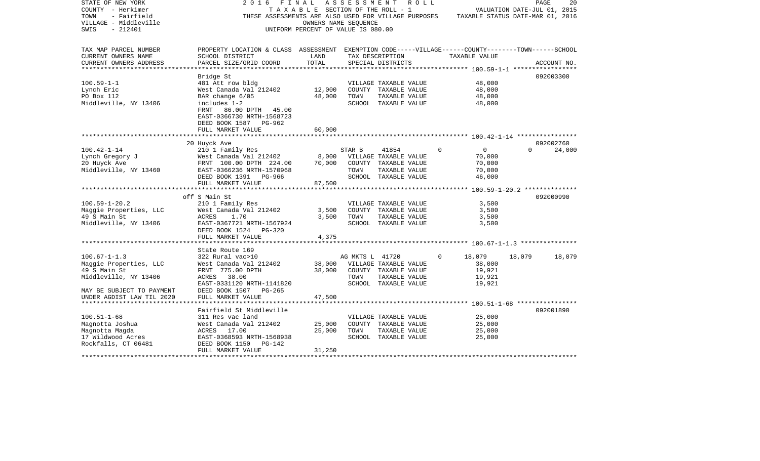| STATE OF NEW YORK<br>COUNTY - Herkimer<br>- Fairfield<br>TOWN<br>VILLAGE - Middleville | 2016<br>FINAL<br>THESE ASSESSMENTS ARE ALSO USED FOR VILLAGE PURPOSES                                                 | TAXABLE SECTION OF THE ROLL - 1                            | A S S E S S M E N T | R O L L                        |          | TAXABLE STATUS DATE-MAR 01, 2016 | VALUATION DATE-JUL 01, 2015 | 20<br>PAGE  |
|----------------------------------------------------------------------------------------|-----------------------------------------------------------------------------------------------------------------------|------------------------------------------------------------|---------------------|--------------------------------|----------|----------------------------------|-----------------------------|-------------|
| $-212401$<br>SWIS                                                                      |                                                                                                                       | OWNERS NAME SEQUENCE<br>UNIFORM PERCENT OF VALUE IS 080.00 |                     |                                |          |                                  |                             |             |
| TAX MAP PARCEL NUMBER<br>CURRENT OWNERS NAME                                           | PROPERTY LOCATION & CLASS ASSESSMENT EXEMPTION CODE-----VILLAGE------COUNTY-------TOWN------SCHOOL<br>SCHOOL DISTRICT | LAND                                                       |                     | TAX DESCRIPTION                |          | TAXABLE VALUE                    |                             |             |
| CURRENT OWNERS ADDRESS<br>*********************                                        | PARCEL SIZE/GRID COORD                                                                                                | TOTAL<br>***************                                   |                     | SPECIAL DISTRICTS              |          |                                  |                             | ACCOUNT NO. |
|                                                                                        | Bridge St                                                                                                             |                                                            |                     |                                |          |                                  |                             | 092003300   |
| $100.59 - 1 - 1$                                                                       | 481 Att row bldg                                                                                                      |                                                            |                     | VILLAGE TAXABLE VALUE          |          | 48,000                           |                             |             |
| Lynch Eric                                                                             | West Canada Val 212402                                                                                                | 12,000                                                     |                     | COUNTY TAXABLE VALUE           |          | 48,000                           |                             |             |
| PO Box 112                                                                             | BAR change 6/05                                                                                                       | 48,000                                                     | TOWN                | TAXABLE VALUE                  |          | 48,000                           |                             |             |
| Middleville, NY 13406                                                                  | includes 1-2<br>FRNT 86.00 DPTH 45.00<br>EAST-0366730 NRTH-1568723<br>DEED BOOK 1587 PG-962                           |                                                            |                     | SCHOOL TAXABLE VALUE           |          | 48,000                           |                             |             |
|                                                                                        | FULL MARKET VALUE                                                                                                     | 60,000                                                     |                     |                                |          |                                  |                             |             |
|                                                                                        |                                                                                                                       |                                                            |                     |                                |          |                                  |                             |             |
| $100.42 - 1 - 14$                                                                      | 20 Huyck Ave                                                                                                          |                                                            |                     |                                | $\Omega$ | $\overline{0}$                   | $\Omega$                    | 092002760   |
| Lynch Gregory J                                                                        | 210 1 Family Res<br>West Canada Val 212402                                                                            | 8,000                                                      | STAR B              | 41854<br>VILLAGE TAXABLE VALUE |          | 70,000                           |                             | 24,000      |
| 20 Huyck Ave                                                                           | FRNT 100.00 DPTH 224.00                                                                                               | 70,000                                                     |                     | COUNTY TAXABLE VALUE           |          | 70,000                           |                             |             |
| Middleville, NY 13460                                                                  | EAST-0366236 NRTH-1570968                                                                                             |                                                            | TOWN                | TAXABLE VALUE                  |          | 70,000                           |                             |             |
|                                                                                        | DEED BOOK 1391 PG-966                                                                                                 |                                                            |                     | SCHOOL TAXABLE VALUE           |          | 46,000                           |                             |             |
|                                                                                        | FULL MARKET VALUE<br>******************************                                                                   | 87,500                                                     |                     |                                |          |                                  |                             |             |
|                                                                                        | off S Main St                                                                                                         |                                                            |                     |                                |          |                                  |                             | 092000990   |
| $100.59 - 1 - 20.2$                                                                    | 210 1 Family Res                                                                                                      |                                                            |                     | VILLAGE TAXABLE VALUE          |          | 3,500                            |                             |             |
| Maggie Properties, LLC                                                                 | West Canada Val 212402                                                                                                | 3,500                                                      |                     | COUNTY TAXABLE VALUE           |          | 3,500                            |                             |             |
| 49 S Main St                                                                           | ACRES<br>1.70                                                                                                         | 3,500                                                      | TOWN                | TAXABLE VALUE                  |          | 3,500                            |                             |             |
| Middleville, NY 13406                                                                  | EAST-0367721 NRTH-1567924                                                                                             |                                                            |                     | SCHOOL TAXABLE VALUE           |          | 3,500                            |                             |             |
|                                                                                        | DEED BOOK 1524<br>PG-320                                                                                              |                                                            |                     |                                |          |                                  |                             |             |
|                                                                                        | FULL MARKET VALUE                                                                                                     | 4,375                                                      |                     |                                |          |                                  |                             |             |
|                                                                                        |                                                                                                                       |                                                            |                     |                                |          |                                  |                             |             |
|                                                                                        | State Route 169                                                                                                       |                                                            |                     |                                |          |                                  |                             |             |
| $100.67 - 1 - 1.3$                                                                     | 322 Rural vac>10                                                                                                      |                                                            | AG MKTS L 41720     |                                | $\Omega$ | 18,079                           | 18,079                      | 18,079      |
| Maggie Properties, LLC                                                                 | West Canada Val 212402                                                                                                | 38,000                                                     |                     | VILLAGE TAXABLE VALUE          |          | 38,000                           |                             |             |
| 49 S Main St                                                                           | FRNT 775.00 DPTH                                                                                                      | 38,000                                                     |                     | COUNTY TAXABLE VALUE           |          | 19,921                           |                             |             |
| Middleville, NY 13406                                                                  | ACRES 38.00                                                                                                           |                                                            | TOWN                | TAXABLE VALUE                  |          | 19,921                           |                             |             |
| MAY BE SUBJECT TO PAYMENT                                                              | EAST-0331120 NRTH-1141820<br>DEED BOOK 1507<br>$PG-265$                                                               |                                                            |                     | SCHOOL TAXABLE VALUE           |          | 19,921                           |                             |             |
| UNDER AGDIST LAW TIL 2020                                                              | FULL MARKET VALUE                                                                                                     | 47,500                                                     |                     |                                |          |                                  |                             |             |
|                                                                                        |                                                                                                                       |                                                            |                     |                                |          |                                  |                             |             |
|                                                                                        | Fairfield St Middleville                                                                                              |                                                            |                     |                                |          |                                  |                             | 092001890   |
| $100.51 - 1 - 68$                                                                      | 311 Res vac land                                                                                                      |                                                            |                     | VILLAGE TAXABLE VALUE          |          | 25,000                           |                             |             |
| Magnotta Joshua                                                                        | West Canada Val 212402                                                                                                | 25,000                                                     |                     | COUNTY TAXABLE VALUE           |          | 25,000                           |                             |             |
| Magnotta Magda                                                                         | ACRES 17.00                                                                                                           | 25,000                                                     | TOWN                | TAXABLE VALUE                  |          | 25,000                           |                             |             |
| 17 Wildwood Acres                                                                      | EAST-0368593 NRTH-1568938                                                                                             |                                                            |                     | SCHOOL TAXABLE VALUE           |          | 25,000                           |                             |             |
| Rockfalls, CT 06481                                                                    | DEED BOOK 1150<br>PG-142                                                                                              |                                                            |                     |                                |          |                                  |                             |             |
|                                                                                        | FULL MARKET VALUE                                                                                                     | 31,250                                                     |                     |                                |          |                                  |                             |             |
|                                                                                        |                                                                                                                       |                                                            |                     |                                |          |                                  |                             |             |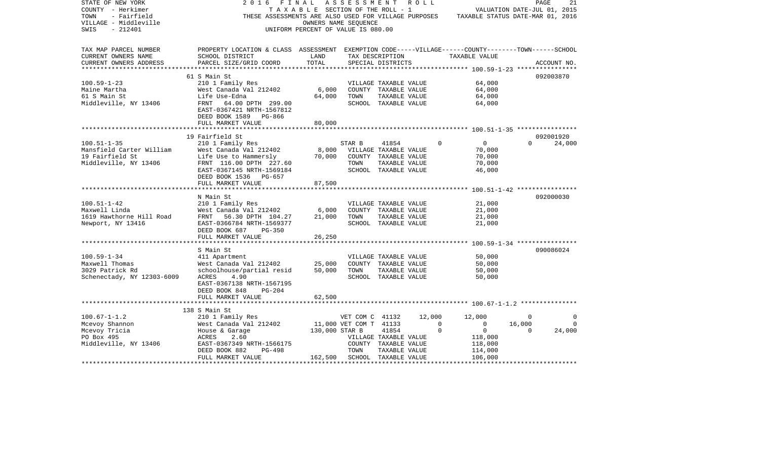| TAX MAP PARCEL NUMBER<br>PROPERTY LOCATION & CLASS ASSESSMENT EXEMPTION CODE-----VILLAGE------COUNTY-------TOWN------SCHOOL<br>CURRENT OWNERS NAME<br>SCHOOL DISTRICT<br>LAND<br>TAX DESCRIPTION<br>TAXABLE VALUE<br>TOTAL<br>CURRENT OWNERS ADDRESS<br>PARCEL SIZE/GRID COORD<br>SPECIAL DISTRICTS<br>ACCOUNT NO.<br>092003870<br>61 S Main St<br>$100.59 - 1 - 23$<br>210 1 Family Res<br>64,000<br>VILLAGE TAXABLE VALUE<br>6,000<br>64,000<br>Maine Martha<br>West Canada Val 212402<br>COUNTY TAXABLE VALUE<br>61 S Main St<br>Life Use-Edna<br>64,000<br>TAXABLE VALUE<br>64,000<br>TOWN<br>Middleville, NY 13406<br>FRNT 64.00 DPTH 299.00<br>SCHOOL TAXABLE VALUE<br>64,000<br>EAST-0367421 NRTH-1567812<br>DEED BOOK 1589 PG-866<br>FULL MARKET VALUE<br>80,000<br>19 Fairfield St<br>092001920<br>$100.51 - 1 - 35$<br>$\Omega$<br>$\overline{0}$<br>24,000<br>210 1 Family Res<br>STAR B<br>41854<br>$\Omega$<br>Mansfield Carter William<br>West Canada Val 212402<br>8,000<br>VILLAGE TAXABLE VALUE<br>70,000<br>19 Fairfield St<br>70,000<br>Life Use to Hammersly<br>COUNTY TAXABLE VALUE<br>70,000<br>70,000<br>Middleville, NY 13406<br>FRNT 116.00 DPTH 227.60<br>TOWN<br>TAXABLE VALUE<br>EAST-0367145 NRTH-1569184<br>SCHOOL TAXABLE VALUE<br>46,000<br>DEED BOOK 1536 PG-657<br>FULL MARKET VALUE<br>87,500<br>092000030<br>N Main St<br>$100.51 - 1 - 42$<br>210 1 Family Res<br>21,000<br>VILLAGE TAXABLE VALUE<br>Maxwell Linda<br>West Canada Val 212402<br>6,000<br>COUNTY TAXABLE VALUE<br>21,000<br>1619 Hawthorne Hill Road<br>21,000<br>TOWN<br>TAXABLE VALUE<br>21,000<br>FRNT 56.30 DPTH 104.27<br>Newport, NY 13416<br>EAST-0366784 NRTH-1569377<br>SCHOOL TAXABLE VALUE<br>21,000<br>DEED BOOK 687<br>PG-350<br>26,250<br>FULL MARKET VALUE<br>090086024<br>S Main St<br>$100.59 - 1 - 34$<br>50,000<br>411 Apartment<br>VILLAGE TAXABLE VALUE<br>Maxwell Thomas<br>25,000<br>50,000<br>West Canada Val 212402<br>COUNTY TAXABLE VALUE<br>3029 Patrick Rd<br>schoolhouse/partial resid<br>50,000<br>TOWN<br>TAXABLE VALUE<br>50,000<br>Schenectady, NY 12303-6009<br>ACRES<br>4.90<br>SCHOOL TAXABLE VALUE<br>50,000<br>EAST-0367138 NRTH-1567195<br>DEED BOOK 848<br>$PG-204$<br>FULL MARKET VALUE<br>62,500<br>138 S Main St<br>$100.67 - 1 - 1.2$<br>210 1 Family Res<br>VET COM C 41132<br>12,000<br>12,000<br>$\overline{0}$<br>0<br>Mcevoy Shannon<br>West Canada Val 212402<br>11,000 VET COM T 41133<br>$\Omega$<br>$\mathbf 0$<br>16,000<br>$\Omega$<br>130,000 STAR B<br>Mcevoy Tricia<br>41854<br>$\mathbf 0$<br>$\overline{0}$<br>$\Omega$<br>24,000<br>House & Garage<br>PO Box 495<br>ACRES<br>2.60<br>VILLAGE TAXABLE VALUE<br>118,000<br>Middleville, NY 13406<br>EAST-0367349 NRTH-1566175<br>COUNTY TAXABLE VALUE<br>118,000<br>DEED BOOK 882<br>PG-498<br>TOWN<br>TAXABLE VALUE<br>114,000<br>FULL MARKET VALUE<br>162,500 SCHOOL TAXABLE VALUE<br>106,000 | STATE OF NEW YORK<br>COUNTY - Herkimer<br>- Fairfield<br>TOWN<br>VILLAGE - Middleville<br>$-212401$<br>SWIS | 2016 | FINAL<br>TAXABLE SECTION OF THE ROLL - 1<br>OWNERS NAME SEQUENCE<br>UNIFORM PERCENT OF VALUE IS 080.00 | A S S E S S M E N T | R O L L | THESE ASSESSMENTS ARE ALSO USED FOR VILLAGE PURPOSES TAXABLE STATUS DATE-MAR 01, 2016 | PAGE<br>VALUATION DATE-JUL 01, 2015 | 21 |
|-----------------------------------------------------------------------------------------------------------------------------------------------------------------------------------------------------------------------------------------------------------------------------------------------------------------------------------------------------------------------------------------------------------------------------------------------------------------------------------------------------------------------------------------------------------------------------------------------------------------------------------------------------------------------------------------------------------------------------------------------------------------------------------------------------------------------------------------------------------------------------------------------------------------------------------------------------------------------------------------------------------------------------------------------------------------------------------------------------------------------------------------------------------------------------------------------------------------------------------------------------------------------------------------------------------------------------------------------------------------------------------------------------------------------------------------------------------------------------------------------------------------------------------------------------------------------------------------------------------------------------------------------------------------------------------------------------------------------------------------------------------------------------------------------------------------------------------------------------------------------------------------------------------------------------------------------------------------------------------------------------------------------------------------------------------------------------------------------------------------------------------------------------------------------------------------------------------------------------------------------------------------------------------------------------------------------------------------------------------------------------------------------------------------------------------------------------------------------------------------------------------------------------------------------------------------------------------------------------------------------------------------------------------------------------------------------------------------------------------------------------------------------------------------------------------------------------------------------------------------------------------------------------------------|-------------------------------------------------------------------------------------------------------------|------|--------------------------------------------------------------------------------------------------------|---------------------|---------|---------------------------------------------------------------------------------------|-------------------------------------|----|
|                                                                                                                                                                                                                                                                                                                                                                                                                                                                                                                                                                                                                                                                                                                                                                                                                                                                                                                                                                                                                                                                                                                                                                                                                                                                                                                                                                                                                                                                                                                                                                                                                                                                                                                                                                                                                                                                                                                                                                                                                                                                                                                                                                                                                                                                                                                                                                                                                                                                                                                                                                                                                                                                                                                                                                                                                                                                                                                 |                                                                                                             |      |                                                                                                        |                     |         |                                                                                       |                                     |    |
|                                                                                                                                                                                                                                                                                                                                                                                                                                                                                                                                                                                                                                                                                                                                                                                                                                                                                                                                                                                                                                                                                                                                                                                                                                                                                                                                                                                                                                                                                                                                                                                                                                                                                                                                                                                                                                                                                                                                                                                                                                                                                                                                                                                                                                                                                                                                                                                                                                                                                                                                                                                                                                                                                                                                                                                                                                                                                                                 |                                                                                                             |      |                                                                                                        |                     |         |                                                                                       |                                     |    |
|                                                                                                                                                                                                                                                                                                                                                                                                                                                                                                                                                                                                                                                                                                                                                                                                                                                                                                                                                                                                                                                                                                                                                                                                                                                                                                                                                                                                                                                                                                                                                                                                                                                                                                                                                                                                                                                                                                                                                                                                                                                                                                                                                                                                                                                                                                                                                                                                                                                                                                                                                                                                                                                                                                                                                                                                                                                                                                                 |                                                                                                             |      |                                                                                                        |                     |         |                                                                                       |                                     |    |
|                                                                                                                                                                                                                                                                                                                                                                                                                                                                                                                                                                                                                                                                                                                                                                                                                                                                                                                                                                                                                                                                                                                                                                                                                                                                                                                                                                                                                                                                                                                                                                                                                                                                                                                                                                                                                                                                                                                                                                                                                                                                                                                                                                                                                                                                                                                                                                                                                                                                                                                                                                                                                                                                                                                                                                                                                                                                                                                 |                                                                                                             |      |                                                                                                        |                     |         |                                                                                       |                                     |    |
|                                                                                                                                                                                                                                                                                                                                                                                                                                                                                                                                                                                                                                                                                                                                                                                                                                                                                                                                                                                                                                                                                                                                                                                                                                                                                                                                                                                                                                                                                                                                                                                                                                                                                                                                                                                                                                                                                                                                                                                                                                                                                                                                                                                                                                                                                                                                                                                                                                                                                                                                                                                                                                                                                                                                                                                                                                                                                                                 |                                                                                                             |      |                                                                                                        |                     |         |                                                                                       |                                     |    |
|                                                                                                                                                                                                                                                                                                                                                                                                                                                                                                                                                                                                                                                                                                                                                                                                                                                                                                                                                                                                                                                                                                                                                                                                                                                                                                                                                                                                                                                                                                                                                                                                                                                                                                                                                                                                                                                                                                                                                                                                                                                                                                                                                                                                                                                                                                                                                                                                                                                                                                                                                                                                                                                                                                                                                                                                                                                                                                                 |                                                                                                             |      |                                                                                                        |                     |         |                                                                                       |                                     |    |
|                                                                                                                                                                                                                                                                                                                                                                                                                                                                                                                                                                                                                                                                                                                                                                                                                                                                                                                                                                                                                                                                                                                                                                                                                                                                                                                                                                                                                                                                                                                                                                                                                                                                                                                                                                                                                                                                                                                                                                                                                                                                                                                                                                                                                                                                                                                                                                                                                                                                                                                                                                                                                                                                                                                                                                                                                                                                                                                 |                                                                                                             |      |                                                                                                        |                     |         |                                                                                       |                                     |    |
|                                                                                                                                                                                                                                                                                                                                                                                                                                                                                                                                                                                                                                                                                                                                                                                                                                                                                                                                                                                                                                                                                                                                                                                                                                                                                                                                                                                                                                                                                                                                                                                                                                                                                                                                                                                                                                                                                                                                                                                                                                                                                                                                                                                                                                                                                                                                                                                                                                                                                                                                                                                                                                                                                                                                                                                                                                                                                                                 |                                                                                                             |      |                                                                                                        |                     |         |                                                                                       |                                     |    |
|                                                                                                                                                                                                                                                                                                                                                                                                                                                                                                                                                                                                                                                                                                                                                                                                                                                                                                                                                                                                                                                                                                                                                                                                                                                                                                                                                                                                                                                                                                                                                                                                                                                                                                                                                                                                                                                                                                                                                                                                                                                                                                                                                                                                                                                                                                                                                                                                                                                                                                                                                                                                                                                                                                                                                                                                                                                                                                                 |                                                                                                             |      |                                                                                                        |                     |         |                                                                                       |                                     |    |
|                                                                                                                                                                                                                                                                                                                                                                                                                                                                                                                                                                                                                                                                                                                                                                                                                                                                                                                                                                                                                                                                                                                                                                                                                                                                                                                                                                                                                                                                                                                                                                                                                                                                                                                                                                                                                                                                                                                                                                                                                                                                                                                                                                                                                                                                                                                                                                                                                                                                                                                                                                                                                                                                                                                                                                                                                                                                                                                 |                                                                                                             |      |                                                                                                        |                     |         |                                                                                       |                                     |    |
|                                                                                                                                                                                                                                                                                                                                                                                                                                                                                                                                                                                                                                                                                                                                                                                                                                                                                                                                                                                                                                                                                                                                                                                                                                                                                                                                                                                                                                                                                                                                                                                                                                                                                                                                                                                                                                                                                                                                                                                                                                                                                                                                                                                                                                                                                                                                                                                                                                                                                                                                                                                                                                                                                                                                                                                                                                                                                                                 |                                                                                                             |      |                                                                                                        |                     |         |                                                                                       |                                     |    |
|                                                                                                                                                                                                                                                                                                                                                                                                                                                                                                                                                                                                                                                                                                                                                                                                                                                                                                                                                                                                                                                                                                                                                                                                                                                                                                                                                                                                                                                                                                                                                                                                                                                                                                                                                                                                                                                                                                                                                                                                                                                                                                                                                                                                                                                                                                                                                                                                                                                                                                                                                                                                                                                                                                                                                                                                                                                                                                                 |                                                                                                             |      |                                                                                                        |                     |         |                                                                                       |                                     |    |
|                                                                                                                                                                                                                                                                                                                                                                                                                                                                                                                                                                                                                                                                                                                                                                                                                                                                                                                                                                                                                                                                                                                                                                                                                                                                                                                                                                                                                                                                                                                                                                                                                                                                                                                                                                                                                                                                                                                                                                                                                                                                                                                                                                                                                                                                                                                                                                                                                                                                                                                                                                                                                                                                                                                                                                                                                                                                                                                 |                                                                                                             |      |                                                                                                        |                     |         |                                                                                       |                                     |    |
|                                                                                                                                                                                                                                                                                                                                                                                                                                                                                                                                                                                                                                                                                                                                                                                                                                                                                                                                                                                                                                                                                                                                                                                                                                                                                                                                                                                                                                                                                                                                                                                                                                                                                                                                                                                                                                                                                                                                                                                                                                                                                                                                                                                                                                                                                                                                                                                                                                                                                                                                                                                                                                                                                                                                                                                                                                                                                                                 |                                                                                                             |      |                                                                                                        |                     |         |                                                                                       |                                     |    |
|                                                                                                                                                                                                                                                                                                                                                                                                                                                                                                                                                                                                                                                                                                                                                                                                                                                                                                                                                                                                                                                                                                                                                                                                                                                                                                                                                                                                                                                                                                                                                                                                                                                                                                                                                                                                                                                                                                                                                                                                                                                                                                                                                                                                                                                                                                                                                                                                                                                                                                                                                                                                                                                                                                                                                                                                                                                                                                                 |                                                                                                             |      |                                                                                                        |                     |         |                                                                                       |                                     |    |
|                                                                                                                                                                                                                                                                                                                                                                                                                                                                                                                                                                                                                                                                                                                                                                                                                                                                                                                                                                                                                                                                                                                                                                                                                                                                                                                                                                                                                                                                                                                                                                                                                                                                                                                                                                                                                                                                                                                                                                                                                                                                                                                                                                                                                                                                                                                                                                                                                                                                                                                                                                                                                                                                                                                                                                                                                                                                                                                 |                                                                                                             |      |                                                                                                        |                     |         |                                                                                       |                                     |    |
|                                                                                                                                                                                                                                                                                                                                                                                                                                                                                                                                                                                                                                                                                                                                                                                                                                                                                                                                                                                                                                                                                                                                                                                                                                                                                                                                                                                                                                                                                                                                                                                                                                                                                                                                                                                                                                                                                                                                                                                                                                                                                                                                                                                                                                                                                                                                                                                                                                                                                                                                                                                                                                                                                                                                                                                                                                                                                                                 |                                                                                                             |      |                                                                                                        |                     |         |                                                                                       |                                     |    |
|                                                                                                                                                                                                                                                                                                                                                                                                                                                                                                                                                                                                                                                                                                                                                                                                                                                                                                                                                                                                                                                                                                                                                                                                                                                                                                                                                                                                                                                                                                                                                                                                                                                                                                                                                                                                                                                                                                                                                                                                                                                                                                                                                                                                                                                                                                                                                                                                                                                                                                                                                                                                                                                                                                                                                                                                                                                                                                                 |                                                                                                             |      |                                                                                                        |                     |         |                                                                                       |                                     |    |
|                                                                                                                                                                                                                                                                                                                                                                                                                                                                                                                                                                                                                                                                                                                                                                                                                                                                                                                                                                                                                                                                                                                                                                                                                                                                                                                                                                                                                                                                                                                                                                                                                                                                                                                                                                                                                                                                                                                                                                                                                                                                                                                                                                                                                                                                                                                                                                                                                                                                                                                                                                                                                                                                                                                                                                                                                                                                                                                 |                                                                                                             |      |                                                                                                        |                     |         |                                                                                       |                                     |    |
|                                                                                                                                                                                                                                                                                                                                                                                                                                                                                                                                                                                                                                                                                                                                                                                                                                                                                                                                                                                                                                                                                                                                                                                                                                                                                                                                                                                                                                                                                                                                                                                                                                                                                                                                                                                                                                                                                                                                                                                                                                                                                                                                                                                                                                                                                                                                                                                                                                                                                                                                                                                                                                                                                                                                                                                                                                                                                                                 |                                                                                                             |      |                                                                                                        |                     |         |                                                                                       |                                     |    |
|                                                                                                                                                                                                                                                                                                                                                                                                                                                                                                                                                                                                                                                                                                                                                                                                                                                                                                                                                                                                                                                                                                                                                                                                                                                                                                                                                                                                                                                                                                                                                                                                                                                                                                                                                                                                                                                                                                                                                                                                                                                                                                                                                                                                                                                                                                                                                                                                                                                                                                                                                                                                                                                                                                                                                                                                                                                                                                                 |                                                                                                             |      |                                                                                                        |                     |         |                                                                                       |                                     |    |
|                                                                                                                                                                                                                                                                                                                                                                                                                                                                                                                                                                                                                                                                                                                                                                                                                                                                                                                                                                                                                                                                                                                                                                                                                                                                                                                                                                                                                                                                                                                                                                                                                                                                                                                                                                                                                                                                                                                                                                                                                                                                                                                                                                                                                                                                                                                                                                                                                                                                                                                                                                                                                                                                                                                                                                                                                                                                                                                 |                                                                                                             |      |                                                                                                        |                     |         |                                                                                       |                                     |    |
|                                                                                                                                                                                                                                                                                                                                                                                                                                                                                                                                                                                                                                                                                                                                                                                                                                                                                                                                                                                                                                                                                                                                                                                                                                                                                                                                                                                                                                                                                                                                                                                                                                                                                                                                                                                                                                                                                                                                                                                                                                                                                                                                                                                                                                                                                                                                                                                                                                                                                                                                                                                                                                                                                                                                                                                                                                                                                                                 |                                                                                                             |      |                                                                                                        |                     |         |                                                                                       |                                     |    |
|                                                                                                                                                                                                                                                                                                                                                                                                                                                                                                                                                                                                                                                                                                                                                                                                                                                                                                                                                                                                                                                                                                                                                                                                                                                                                                                                                                                                                                                                                                                                                                                                                                                                                                                                                                                                                                                                                                                                                                                                                                                                                                                                                                                                                                                                                                                                                                                                                                                                                                                                                                                                                                                                                                                                                                                                                                                                                                                 |                                                                                                             |      |                                                                                                        |                     |         |                                                                                       |                                     |    |
|                                                                                                                                                                                                                                                                                                                                                                                                                                                                                                                                                                                                                                                                                                                                                                                                                                                                                                                                                                                                                                                                                                                                                                                                                                                                                                                                                                                                                                                                                                                                                                                                                                                                                                                                                                                                                                                                                                                                                                                                                                                                                                                                                                                                                                                                                                                                                                                                                                                                                                                                                                                                                                                                                                                                                                                                                                                                                                                 |                                                                                                             |      |                                                                                                        |                     |         |                                                                                       |                                     |    |
|                                                                                                                                                                                                                                                                                                                                                                                                                                                                                                                                                                                                                                                                                                                                                                                                                                                                                                                                                                                                                                                                                                                                                                                                                                                                                                                                                                                                                                                                                                                                                                                                                                                                                                                                                                                                                                                                                                                                                                                                                                                                                                                                                                                                                                                                                                                                                                                                                                                                                                                                                                                                                                                                                                                                                                                                                                                                                                                 |                                                                                                             |      |                                                                                                        |                     |         |                                                                                       |                                     |    |
|                                                                                                                                                                                                                                                                                                                                                                                                                                                                                                                                                                                                                                                                                                                                                                                                                                                                                                                                                                                                                                                                                                                                                                                                                                                                                                                                                                                                                                                                                                                                                                                                                                                                                                                                                                                                                                                                                                                                                                                                                                                                                                                                                                                                                                                                                                                                                                                                                                                                                                                                                                                                                                                                                                                                                                                                                                                                                                                 |                                                                                                             |      |                                                                                                        |                     |         |                                                                                       |                                     |    |
|                                                                                                                                                                                                                                                                                                                                                                                                                                                                                                                                                                                                                                                                                                                                                                                                                                                                                                                                                                                                                                                                                                                                                                                                                                                                                                                                                                                                                                                                                                                                                                                                                                                                                                                                                                                                                                                                                                                                                                                                                                                                                                                                                                                                                                                                                                                                                                                                                                                                                                                                                                                                                                                                                                                                                                                                                                                                                                                 |                                                                                                             |      |                                                                                                        |                     |         |                                                                                       |                                     |    |
|                                                                                                                                                                                                                                                                                                                                                                                                                                                                                                                                                                                                                                                                                                                                                                                                                                                                                                                                                                                                                                                                                                                                                                                                                                                                                                                                                                                                                                                                                                                                                                                                                                                                                                                                                                                                                                                                                                                                                                                                                                                                                                                                                                                                                                                                                                                                                                                                                                                                                                                                                                                                                                                                                                                                                                                                                                                                                                                 |                                                                                                             |      |                                                                                                        |                     |         |                                                                                       |                                     |    |
|                                                                                                                                                                                                                                                                                                                                                                                                                                                                                                                                                                                                                                                                                                                                                                                                                                                                                                                                                                                                                                                                                                                                                                                                                                                                                                                                                                                                                                                                                                                                                                                                                                                                                                                                                                                                                                                                                                                                                                                                                                                                                                                                                                                                                                                                                                                                                                                                                                                                                                                                                                                                                                                                                                                                                                                                                                                                                                                 |                                                                                                             |      |                                                                                                        |                     |         |                                                                                       |                                     |    |
|                                                                                                                                                                                                                                                                                                                                                                                                                                                                                                                                                                                                                                                                                                                                                                                                                                                                                                                                                                                                                                                                                                                                                                                                                                                                                                                                                                                                                                                                                                                                                                                                                                                                                                                                                                                                                                                                                                                                                                                                                                                                                                                                                                                                                                                                                                                                                                                                                                                                                                                                                                                                                                                                                                                                                                                                                                                                                                                 |                                                                                                             |      |                                                                                                        |                     |         |                                                                                       |                                     |    |
|                                                                                                                                                                                                                                                                                                                                                                                                                                                                                                                                                                                                                                                                                                                                                                                                                                                                                                                                                                                                                                                                                                                                                                                                                                                                                                                                                                                                                                                                                                                                                                                                                                                                                                                                                                                                                                                                                                                                                                                                                                                                                                                                                                                                                                                                                                                                                                                                                                                                                                                                                                                                                                                                                                                                                                                                                                                                                                                 |                                                                                                             |      |                                                                                                        |                     |         |                                                                                       |                                     |    |
|                                                                                                                                                                                                                                                                                                                                                                                                                                                                                                                                                                                                                                                                                                                                                                                                                                                                                                                                                                                                                                                                                                                                                                                                                                                                                                                                                                                                                                                                                                                                                                                                                                                                                                                                                                                                                                                                                                                                                                                                                                                                                                                                                                                                                                                                                                                                                                                                                                                                                                                                                                                                                                                                                                                                                                                                                                                                                                                 |                                                                                                             |      |                                                                                                        |                     |         |                                                                                       |                                     |    |
|                                                                                                                                                                                                                                                                                                                                                                                                                                                                                                                                                                                                                                                                                                                                                                                                                                                                                                                                                                                                                                                                                                                                                                                                                                                                                                                                                                                                                                                                                                                                                                                                                                                                                                                                                                                                                                                                                                                                                                                                                                                                                                                                                                                                                                                                                                                                                                                                                                                                                                                                                                                                                                                                                                                                                                                                                                                                                                                 |                                                                                                             |      |                                                                                                        |                     |         |                                                                                       |                                     |    |
|                                                                                                                                                                                                                                                                                                                                                                                                                                                                                                                                                                                                                                                                                                                                                                                                                                                                                                                                                                                                                                                                                                                                                                                                                                                                                                                                                                                                                                                                                                                                                                                                                                                                                                                                                                                                                                                                                                                                                                                                                                                                                                                                                                                                                                                                                                                                                                                                                                                                                                                                                                                                                                                                                                                                                                                                                                                                                                                 |                                                                                                             |      |                                                                                                        |                     |         |                                                                                       |                                     |    |
|                                                                                                                                                                                                                                                                                                                                                                                                                                                                                                                                                                                                                                                                                                                                                                                                                                                                                                                                                                                                                                                                                                                                                                                                                                                                                                                                                                                                                                                                                                                                                                                                                                                                                                                                                                                                                                                                                                                                                                                                                                                                                                                                                                                                                                                                                                                                                                                                                                                                                                                                                                                                                                                                                                                                                                                                                                                                                                                 |                                                                                                             |      |                                                                                                        |                     |         |                                                                                       |                                     |    |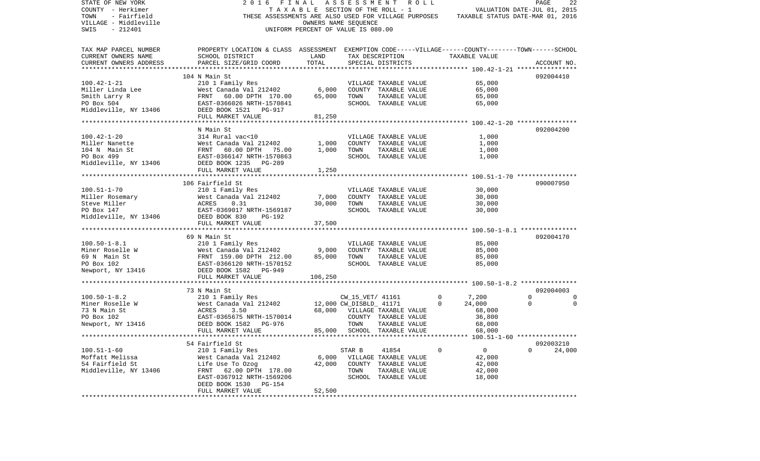| STATE OF NEW YORK<br>COUNTY - Herkimer<br>- Fairfield<br>TOWN<br>VILLAGE - Middleville | 2 0 1 6<br>F I N A L                                                                                                                                                                                           | OWNERS NAME SEQUENCE | ASSESSMENT ROLL<br>TAXABLE SECTION OF THE ROLL - 1 |               | VALUATION DATE-JUL 01, 2015<br>THESE ASSESSMENTS ARE ALSO USED FOR VILLAGE PURPOSES TAXABLE STATUS DATE-MAR 01, 2016 | PAGE           | 22          |
|----------------------------------------------------------------------------------------|----------------------------------------------------------------------------------------------------------------------------------------------------------------------------------------------------------------|----------------------|----------------------------------------------------|---------------|----------------------------------------------------------------------------------------------------------------------|----------------|-------------|
| $-212401$<br>SWIS                                                                      |                                                                                                                                                                                                                |                      | UNIFORM PERCENT OF VALUE IS 080.00                 |               |                                                                                                                      |                |             |
| TAX MAP PARCEL NUMBER                                                                  | PROPERTY LOCATION & CLASS ASSESSMENT EXEMPTION CODE-----VILLAGE------COUNTY-------TOWN-----SCHOOL                                                                                                              |                      |                                                    |               |                                                                                                                      |                |             |
| CURRENT OWNERS NAME<br>CURRENT OWNERS ADDRESS                                          | SCHOOL DISTRICT<br>PARCEL SIZE/GRID COORD                                                                                                                                                                      | LAND<br>TOTAL        | TAX DESCRIPTION<br>SPECIAL DISTRICTS               |               | TAXABLE VALUE                                                                                                        |                | ACCOUNT NO. |
|                                                                                        |                                                                                                                                                                                                                |                      |                                                    |               |                                                                                                                      |                |             |
|                                                                                        | 104 N Main St                                                                                                                                                                                                  |                      |                                                    |               |                                                                                                                      | 092004410      |             |
| $100.42 - 1 - 21$                                                                      | 210 1 Family Res                                                                                                                                                                                               |                      | VILLAGE TAXABLE VALUE                              |               | 65,000                                                                                                               |                |             |
|                                                                                        | West Canada Val 212402                                                                                                                                                                                         | 6,000                | COUNTY TAXABLE VALUE                               |               | 65,000                                                                                                               |                |             |
|                                                                                        |                                                                                                                                                                                                                | 65,000               | TOWN<br>TAXABLE VALUE                              |               | 65,000                                                                                                               |                |             |
| PO BOX 504<br>Middleville, NY 13406                                                    | Miller Linda Lee 6 Mest Canada Val 212402<br>Smith Larry R FRNT 60.00 DPTH 170.00<br>PO Box 504 EAST-0366026 NRTH-1570841                                                                                      |                      | SCHOOL TAXABLE VALUE                               |               | 65,000                                                                                                               |                |             |
|                                                                                        | DEED BOOK 1521 PG-917                                                                                                                                                                                          |                      |                                                    |               |                                                                                                                      |                |             |
|                                                                                        | FULL MARKET VALUE                                                                                                                                                                                              | 81,250               |                                                    |               |                                                                                                                      |                |             |
|                                                                                        | N Main St                                                                                                                                                                                                      |                      |                                                    |               |                                                                                                                      | 092004200      |             |
| $100.42 - 1 - 20$                                                                      | 314 Rural vac<10                                                                                                                                                                                               |                      | VILLAGE TAXABLE VALUE                              |               | 1,000                                                                                                                |                |             |
| Miller Nanette                                                                         | West Canada Val 212402                                                                                                                                                                                         | 1,000                | COUNTY TAXABLE VALUE                               |               | 1,000                                                                                                                |                |             |
| 104 N Main St                                                                          | FRNT 60.00 DPTH 75.00                                                                                                                                                                                          | 1,000                | TOWN                                               | TAXABLE VALUE | 1,000                                                                                                                |                |             |
| PO Box 499                                                                             | EAST-0366147 NRTH-1570863                                                                                                                                                                                      |                      | SCHOOL TAXABLE VALUE                               |               | 1,000                                                                                                                |                |             |
| Middleville, NY 13406                                                                  | DEED BOOK 1235 PG-289                                                                                                                                                                                          |                      |                                                    |               |                                                                                                                      |                |             |
|                                                                                        | FULL MARKET VALUE                                                                                                                                                                                              | 1,250                |                                                    |               |                                                                                                                      |                |             |
|                                                                                        |                                                                                                                                                                                                                |                      |                                                    |               |                                                                                                                      |                |             |
| $100.51 - 1 - 70$                                                                      | 106 Fairfield St                                                                                                                                                                                               |                      |                                                    |               | 30,000                                                                                                               | 090007950      |             |
|                                                                                        | 210 1 Family Res<br>West Canada Val 212402 7,000                                                                                                                                                               |                      | VILLAGE TAXABLE VALUE<br>COUNTY TAXABLE VALUE      |               | 30,000                                                                                                               |                |             |
|                                                                                        |                                                                                                                                                                                                                | 30,000               | TAXABLE VALUE<br>TOWN                              |               | 30,000                                                                                                               |                |             |
|                                                                                        |                                                                                                                                                                                                                |                      | SCHOOL TAXABLE VALUE                               |               | 30,000                                                                                                               |                |             |
|                                                                                        | Miller Rosemary<br>Miller Rosemary<br>Steve Miller ACRES 0.31<br>PO Box 147<br>Middleville, NY 13406<br>DEED BOX DEED BOX 200 PG-192<br>EAST-0369017 NRTH-1569187<br>DEED BOX 230 PG-192<br>PETIT MARKET VALUE |                      |                                                    |               |                                                                                                                      |                |             |
|                                                                                        | FULL MARKET VALUE                                                                                                                                                                                              | 37,500               |                                                    |               |                                                                                                                      |                |             |
|                                                                                        |                                                                                                                                                                                                                |                      |                                                    |               |                                                                                                                      |                |             |
|                                                                                        | 69 N Main St                                                                                                                                                                                                   |                      |                                                    |               |                                                                                                                      | 092004170      |             |
| $100.50 - 1 - 8.1$                                                                     | 210 1 Family Res<br>West Canada Val 212402                                                                                                                                                                     |                      | VILLAGE TAXABLE VALUE                              |               | 85,000                                                                                                               |                |             |
| Miner Roselle W<br>69 N Main St                                                        | FRNT 159.00 DPTH 212.00                                                                                                                                                                                        | 9,000<br>85,000      | COUNTY TAXABLE VALUE<br>TOWN<br>TAXABLE VALUE      |               | 85,000<br>85,000                                                                                                     |                |             |
| PO Box 102                                                                             |                                                                                                                                                                                                                |                      | SCHOOL TAXABLE VALUE                               |               | 85,000                                                                                                               |                |             |
| Newport, NY 13416                                                                      |                                                                                                                                                                                                                |                      |                                                    |               |                                                                                                                      |                |             |
|                                                                                        | West Canada Val 212402<br>FRNT 159.00 DPTH 212.00<br>EAST-0366120 NRTH-1570152<br>DEED BOOK 1582 PG-949<br>TILE NARKET VALUE                                                                                   | 106,250              |                                                    |               |                                                                                                                      |                |             |
|                                                                                        |                                                                                                                                                                                                                |                      |                                                    |               |                                                                                                                      |                |             |
|                                                                                        | 73 N Main St                                                                                                                                                                                                   |                      |                                                    |               |                                                                                                                      | 092004003      |             |
| $100.50 - 1 - 8.2$                                                                     | 210 1 Family Res                                                                                                                                                                                               |                      | CW_15_VET/ 41161                                   | $\circ$       | 7,200<br>24,000                                                                                                      | $\overline{0}$ | 0           |
|                                                                                        | West Canada Val 212402 12,000 CW_DISBLD_ 41171                                                                                                                                                                 |                      |                                                    | $\mathbf{0}$  |                                                                                                                      | $\Omega$       | $\Omega$    |
|                                                                                        |                                                                                                                                                                                                                |                      | 68,000 VILLAGE TAXABLE VALUE                       |               | 68,000                                                                                                               |                |             |
|                                                                                        | Miner Roselle W West Canada Val 212402<br>73 N Main St ACRES 3.50<br>PO Box 102 EAST-0365675 NRTH-1570014<br>Newport, NY 13416 DEED BOOK 1582 PG-976<br>EAST-0365675 NRTH-1570014                              |                      | COUNTY TAXABLE VALUE<br>TOWN<br>TAXABLE VALUE      |               | 36,800<br>68,000                                                                                                     |                |             |
|                                                                                        | FULL MARKET VALUE                                                                                                                                                                                              |                      | 85,000 SCHOOL TAXABLE VALUE                        |               | 68,000                                                                                                               |                |             |
|                                                                                        |                                                                                                                                                                                                                |                      |                                                    |               |                                                                                                                      |                |             |
|                                                                                        | 54 Fairfield St                                                                                                                                                                                                |                      |                                                    |               |                                                                                                                      | 092003210      |             |
| $100.51 - 1 - 60$                                                                      | 210 1 Family Res                                                                                                                                                                                               |                      | STAR B<br>41854                                    | 0             | 0                                                                                                                    | 0              | 24,000      |
| Moffatt Melissa                                                                        | West Canada Val 212402                                                                                                                                                                                         | 6,000                | VILLAGE TAXABLE VALUE                              |               | 42,000                                                                                                               |                |             |
| 54 Fairfield St                                                                        | Life Use To Ozog                                                                                                                                                                                               | 42,000               | COUNTY<br>TAXABLE VALUE                            |               | 42,000                                                                                                               |                |             |
| Middleville, NY 13406                                                                  | 62.00 DPTH 178.00<br>FRNT                                                                                                                                                                                      |                      | TOWN<br>TAXABLE VALUE                              |               | 42,000                                                                                                               |                |             |
|                                                                                        | EAST-0367912 NRTH-1569206                                                                                                                                                                                      |                      | TAXABLE VALUE<br>SCHOOL                            |               | 18,000                                                                                                               |                |             |
|                                                                                        | DEED BOOK 1530<br><b>PG-154</b>                                                                                                                                                                                |                      |                                                    |               |                                                                                                                      |                |             |
|                                                                                        | FULL MARKET VALUE                                                                                                                                                                                              | 52,500               |                                                    |               |                                                                                                                      |                |             |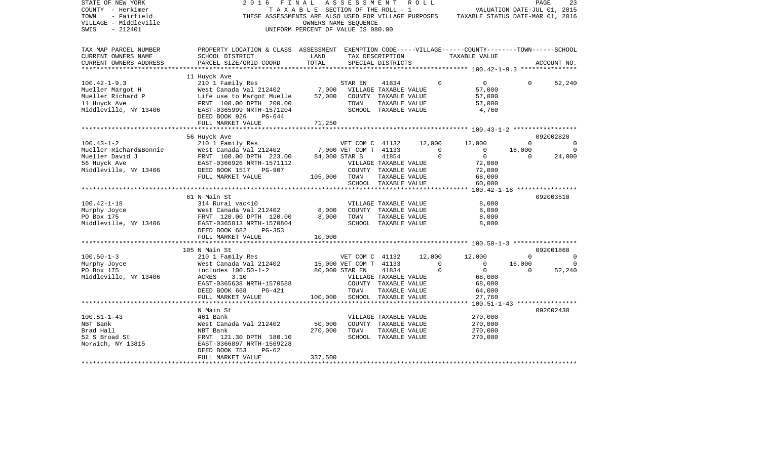| STATE OF NEW YORK<br>COUNTY - Herkimer<br>- Fairfield<br>TOWN<br>VILLAGE - Middleville<br>$-212401$<br>SWIS | 2016<br>F I N A L                                                                                                                                                                       | T A X A B L E SECTION OF THE ROLL - 1<br>UNIFORM PERCENT OF VALUE IS 080.00 | ASSESSMENT<br>OWNERS NAME SEQUENCE |                                                                                                 | R O L L                  | THESE ASSESSMENTS ARE ALSO USED FOR VILLAGE PURPOSES TAXABLE STATUS DATE-MAR 01, 2016 |                        | 23<br>PAGE<br>VALUATION DATE-JUL 01, 2015     |
|-------------------------------------------------------------------------------------------------------------|-----------------------------------------------------------------------------------------------------------------------------------------------------------------------------------------|-----------------------------------------------------------------------------|------------------------------------|-------------------------------------------------------------------------------------------------|--------------------------|---------------------------------------------------------------------------------------|------------------------|-----------------------------------------------|
| TAX MAP PARCEL NUMBER<br>CURRENT OWNERS NAME<br>CURRENT OWNERS ADDRESS                                      | PROPERTY LOCATION & CLASS ASSESSMENT EXEMPTION CODE-----VILLAGE------COUNTY-------TOWN------SCHOOL<br>SCHOOL DISTRICT<br>PARCEL SIZE/GRID COORD                                         | LAND<br>TOTAL                                                               |                                    | TAX DESCRIPTION<br>SPECIAL DISTRICTS                                                            |                          | TAXABLE VALUE                                                                         |                        | ACCOUNT NO.                                   |
| $100.42 - 1 - 9.3$<br>Mueller Margot H<br>Mueller Richard P<br>11 Huyck Ave<br>Middleville, NY 13406        | 11 Huyck Ave<br>210 1 Family Res<br>West Canada Val 212402 7,000<br>Life use to Margot Muelle 57,000<br>FRNT 100.00 DPTH 200.00<br>EAST-0365999 NRTH-1571204<br>DEED BOOK 926<br>PG-644 |                                                                             | STAR EN<br>TOWN                    | 41834<br>VILLAGE TAXABLE VALUE<br>COUNTY TAXABLE VALUE<br>TAXABLE VALUE<br>SCHOOL TAXABLE VALUE |                          | $\Omega$<br>$\overline{0}$<br>57,000<br>57,000<br>57,000<br>4,760                     | $\overline{0}$         | 52,240                                        |
|                                                                                                             | FULL MARKET VALUE                                                                                                                                                                       | 71,250                                                                      |                                    |                                                                                                 |                          |                                                                                       |                        |                                               |
| $100.43 - 1 - 2$<br>Mueller Richard&Bonnie                                                                  | 56 Huyck Ave<br>210 1 Family Res<br>WET COM C 41132<br>West Canada Val 212402 7,000 VET COM T 41133                                                                                     |                                                                             |                                    |                                                                                                 | 12,000<br>$\overline{0}$ | 12,000<br>$\overline{0}$                                                              | $\mathbf{0}$<br>16,000 | 092002820<br>$\overline{0}$<br>$\overline{0}$ |
| Mueller David J<br>56 Huyck Ave<br>Middleville, NY 13406                                                    | FRNT 100.00 DPTH 223.00<br>EAST-0366926 NRTH-1571112<br>DEED BOOK 1517 PG-907<br>FULL MARKET VALUE                                                                                      | 105,000 TOWN                                                                | 84,000 STAR B                      | 41854<br>VILLAGE TAXABLE VALUE<br>COUNTY TAXABLE VALUE<br>TAXABLE VALUE                         |                          | $\Omega$<br>$\overline{0}$<br>72,000<br>72,000<br>68,000                              | $\Omega$               | 24,000                                        |
|                                                                                                             |                                                                                                                                                                                         |                                                                             |                                    | SCHOOL TAXABLE VALUE                                                                            |                          | 60,000                                                                                |                        |                                               |
|                                                                                                             |                                                                                                                                                                                         |                                                                             |                                    |                                                                                                 |                          |                                                                                       |                        |                                               |
|                                                                                                             | 61 N Main St                                                                                                                                                                            |                                                                             |                                    |                                                                                                 |                          |                                                                                       |                        | 092003510                                     |
| $100.42 - 1 - 18$                                                                                           | 314 Rural vac<10                                                                                                                                                                        |                                                                             |                                    | VILLAGE TAXABLE VALUE                                                                           |                          | 8,000                                                                                 |                        |                                               |
| Murphy Joyce                                                                                                |                                                                                                                                                                                         | 8,000                                                                       |                                    | COUNTY TAXABLE VALUE                                                                            |                          | 8,000                                                                                 |                        |                                               |
| PO Box 175<br>Middleville, NY 13406                                                                         | West Canada Val 212402<br>FRNT 120.00 DPTH 120.00<br>EAST-0365813 NRTH-1570804<br>DEED BOOK 682<br>PG-353                                                                               | 8,000                                                                       | TOWN                               | TAXABLE VALUE<br>SCHOOL TAXABLE VALUE                                                           |                          | 8,000<br>8,000                                                                        |                        |                                               |
|                                                                                                             | FULL MARKET VALUE                                                                                                                                                                       | 10,000                                                                      |                                    |                                                                                                 |                          |                                                                                       |                        |                                               |
|                                                                                                             |                                                                                                                                                                                         |                                                                             |                                    |                                                                                                 |                          |                                                                                       |                        |                                               |
|                                                                                                             | 105 N Main St<br>210 1 Family Res                                                                                                                                                       |                                                                             |                                    |                                                                                                 |                          |                                                                                       |                        | 092001860                                     |
| $100.50 - 1 - 3$                                                                                            |                                                                                                                                                                                         |                                                                             | VET COM C 41132 12,000             |                                                                                                 |                          | 12,000                                                                                | $\Omega$               | $\overline{0}$                                |
| Murphy Joyce                                                                                                | West Canada Val 212402 15,000 VET COM T 41133<br>includes 100.50-1-2 80,000 STAR EN 41834                                                                                               |                                                                             |                                    |                                                                                                 |                          | $\overline{0}$<br>$\overline{0}$<br>$\Omega$<br>$\overline{0}$                        | 16,000<br>$\Omega$     | $\overline{0}$<br>52,240                      |
| PO Box 175<br>Middleville, NY 13406                                                                         | ACRES<br>3.10                                                                                                                                                                           |                                                                             |                                    | VILLAGE TAXABLE VALUE                                                                           |                          | 68,000                                                                                |                        |                                               |
|                                                                                                             | EAST-0365638 NRTH-1570588                                                                                                                                                               |                                                                             |                                    | COUNTY TAXABLE VALUE                                                                            |                          | 68,000                                                                                |                        |                                               |
|                                                                                                             | DEED BOOK 668<br>PG-421                                                                                                                                                                 |                                                                             | TOWN                               | TAXABLE VALUE                                                                                   |                          | 64,000                                                                                |                        |                                               |
|                                                                                                             | FULL MARKET VALUE                                                                                                                                                                       | 100,000                                                                     |                                    | SCHOOL TAXABLE VALUE                                                                            |                          | 27,760                                                                                |                        |                                               |
|                                                                                                             |                                                                                                                                                                                         |                                                                             |                                    |                                                                                                 |                          |                                                                                       |                        |                                               |
|                                                                                                             | N Main St                                                                                                                                                                               |                                                                             |                                    |                                                                                                 |                          |                                                                                       |                        | 092002430                                     |
| $100.51 - 1 - 43$                                                                                           | 461 Bank                                                                                                                                                                                |                                                                             |                                    | VILLAGE TAXABLE VALUE                                                                           |                          | 270,000                                                                               |                        |                                               |
| NBT Bank                                                                                                    | West Canada Val 212402                                                                                                                                                                  | 50,000                                                                      |                                    | COUNTY TAXABLE VALUE                                                                            |                          | 270,000                                                                               |                        |                                               |
| Brad Hall                                                                                                   | NBT Bank                                                                                                                                                                                | 270,000                                                                     | TOWN                               | TAXABLE VALUE                                                                                   |                          | 270,000                                                                               |                        |                                               |
| 52 S Broad St<br>Norwich, NY 13815                                                                          | FRNT 121.30 DPTH 180.10<br>EAST-0366897 NRTH-1569228<br>$PG-62$<br>DEED BOOK 753                                                                                                        |                                                                             |                                    | SCHOOL TAXABLE VALUE                                                                            |                          | 270,000                                                                               |                        |                                               |
|                                                                                                             | FULL MARKET VALUE                                                                                                                                                                       | 337,500                                                                     |                                    |                                                                                                 |                          |                                                                                       |                        |                                               |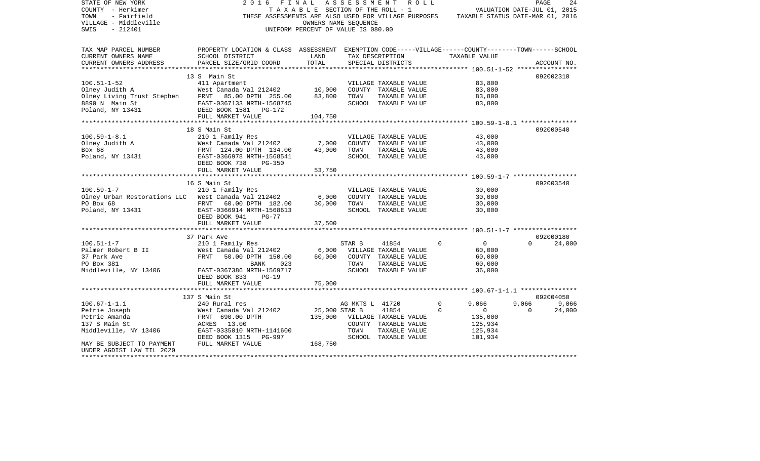| STATE OF NEW YORK<br>COUNTY - Herkimer                                                                                                                                                | F I N A L<br>2016                                                                                 |                                    |                 | ASSESSMENT ROLL<br>TAXABLE SECTION OF THE ROLL - 1 |                                                                                       | VALUATION DATE-JUL 01, 2015 | PAGE<br>24  |
|---------------------------------------------------------------------------------------------------------------------------------------------------------------------------------------|---------------------------------------------------------------------------------------------------|------------------------------------|-----------------|----------------------------------------------------|---------------------------------------------------------------------------------------|-----------------------------|-------------|
| TOWN<br>- Fairfield                                                                                                                                                                   |                                                                                                   |                                    |                 |                                                    | THESE ASSESSMENTS ARE ALSO USED FOR VILLAGE PURPOSES TAXABLE STATUS DATE-MAR 01, 2016 |                             |             |
| VILLAGE - Middleville                                                                                                                                                                 |                                                                                                   | OWNERS NAME SEOUENCE               |                 |                                                    |                                                                                       |                             |             |
| SWIS<br>$-212401$                                                                                                                                                                     |                                                                                                   | UNIFORM PERCENT OF VALUE IS 080.00 |                 |                                                    |                                                                                       |                             |             |
|                                                                                                                                                                                       |                                                                                                   |                                    |                 |                                                    |                                                                                       |                             |             |
| TAX MAP PARCEL NUMBER                                                                                                                                                                 | PROPERTY LOCATION & CLASS ASSESSMENT EXEMPTION CODE-----VILLAGE------COUNTY-------TOWN-----SCHOOL |                                    |                 |                                                    |                                                                                       |                             |             |
| CURRENT OWNERS NAME                                                                                                                                                                   | SCHOOL DISTRICT                                                                                   | LAND                               |                 | TAX DESCRIPTION                                    | TAXABLE VALUE                                                                         |                             |             |
| CURRENT OWNERS ADDRESS                                                                                                                                                                | PARCEL SIZE/GRID COORD                                                                            | TOTAL                              |                 | SPECIAL DISTRICTS                                  |                                                                                       |                             | ACCOUNT NO. |
|                                                                                                                                                                                       | 13 S Main St                                                                                      |                                    |                 |                                                    |                                                                                       |                             | 092002310   |
| $100.51 - 1 - 52$                                                                                                                                                                     | 411 Apartment                                                                                     |                                    |                 | VILLAGE TAXABLE VALUE                              | 83,800                                                                                |                             |             |
| Next Limbary Judith A<br>Mest Canada Val 212402<br>Olney Juving Trust Stephen<br>FRNT 85.00 DPTH 255.00<br>8890 N Main St<br>Poland, NY 13431<br>Poland, NY 13431<br>Poland, NY 13431 | West Canada Val 212402                                                                            | 10,000                             |                 | COUNTY TAXABLE VALUE                               | 83,800                                                                                |                             |             |
|                                                                                                                                                                                       |                                                                                                   | 83,800                             | TOWN            | TAXABLE VALUE                                      | 83,800                                                                                |                             |             |
|                                                                                                                                                                                       |                                                                                                   |                                    |                 | SCHOOL TAXABLE VALUE                               | 83,800                                                                                |                             |             |
|                                                                                                                                                                                       |                                                                                                   |                                    |                 |                                                    |                                                                                       |                             |             |
|                                                                                                                                                                                       | FULL MARKET VALUE                                                                                 | 104,750                            |                 |                                                    |                                                                                       |                             |             |
|                                                                                                                                                                                       |                                                                                                   |                                    |                 |                                                    |                                                                                       |                             |             |
|                                                                                                                                                                                       | 18 S Main St                                                                                      |                                    |                 |                                                    |                                                                                       |                             | 092000540   |
| $100.59 - 1 - 8.1$                                                                                                                                                                    | 210 1 Family Res                                                                                  |                                    |                 | VILLAGE TAXABLE VALUE                              | 43,000                                                                                |                             |             |
|                                                                                                                                                                                       | West Canada Val 212402                                                                            | 7,000                              |                 | COUNTY TAXABLE VALUE                               | 43,000                                                                                |                             |             |
|                                                                                                                                                                                       |                                                                                                   | 43,000                             | TOWN            | TAXABLE VALUE                                      | 43,000                                                                                |                             |             |
| Olney Judith A<br>Box 68<br>Poland, NY 13431                                                                                                                                          | West Canada Val 212402<br>FRNT 124.00 DPTH 134.00<br>EAST-0366978 NRTH-1568541                    |                                    |                 | SCHOOL TAXABLE VALUE                               | 43,000                                                                                |                             |             |
|                                                                                                                                                                                       | DEED BOOK 738<br><b>PG-350</b>                                                                    |                                    |                 |                                                    |                                                                                       |                             |             |
|                                                                                                                                                                                       | FULL MARKET VALUE                                                                                 | 53,750                             |                 |                                                    |                                                                                       |                             |             |
|                                                                                                                                                                                       |                                                                                                   |                                    |                 |                                                    |                                                                                       |                             |             |
|                                                                                                                                                                                       | 16 S Main St                                                                                      |                                    |                 |                                                    |                                                                                       |                             | 092003540   |
| $100.59 - 1 - 7$                                                                                                                                                                      | 210 1 Family Res                                                                                  |                                    |                 | VILLAGE TAXABLE VALUE                              | 30,000                                                                                |                             |             |
| Olney Urban Restorations LLC West Canada Val 212402                                                                                                                                   |                                                                                                   | 6,000                              |                 | COUNTY TAXABLE VALUE                               | 30,000                                                                                |                             |             |
| PO Box 68                                                                                                                                                                             | FRNT 60.00 DPTH 182.00                                                                            | 30,000                             | TOWN            | TAXABLE VALUE                                      | 30,000                                                                                |                             |             |
| Poland, NY 13431                                                                                                                                                                      | EAST-0366914 NRTH-1568613                                                                         |                                    |                 | SCHOOL TAXABLE VALUE                               | 30,000                                                                                |                             |             |
|                                                                                                                                                                                       | DEED BOOK 941<br>$PG-77$                                                                          |                                    |                 |                                                    |                                                                                       |                             |             |
|                                                                                                                                                                                       | FULL MARKET VALUE                                                                                 | 37,500                             |                 |                                                    |                                                                                       |                             |             |
|                                                                                                                                                                                       | 37 Park Ave                                                                                       |                                    |                 |                                                    |                                                                                       |                             | 092000180   |
| $100.51 - 1 - 7$                                                                                                                                                                      | 210 1 Family Res                                                                                  |                                    | STAR B          | 41854                                              | $\overline{0}$<br>$\Omega$                                                            | $\Omega$                    | 24,000      |
| Palmer Robert B II                                                                                                                                                                    | West Canada Val 212402 6,000                                                                      |                                    |                 | VILLAGE TAXABLE VALUE                              | 60,000                                                                                |                             |             |
| 37 Park Ave                                                                                                                                                                           | West Canada Val 212402<br>FRNT   50.00 DPTH  150.00                                               | 60,000                             |                 | COUNTY TAXABLE VALUE                               | 60,000                                                                                |                             |             |
| PO Box 381                                                                                                                                                                            | 023<br>BANK                                                                                       |                                    | TOWN            | TAXABLE VALUE                                      | 60,000                                                                                |                             |             |
| Middleville, NY 13406 EAST-0367386 NRTH-1569717                                                                                                                                       |                                                                                                   |                                    |                 | SCHOOL TAXABLE VALUE                               | 36,000                                                                                |                             |             |
|                                                                                                                                                                                       | DEED BOOK 833 PG-19                                                                               |                                    |                 |                                                    |                                                                                       |                             |             |
|                                                                                                                                                                                       | FULL MARKET VALUE                                                                                 | 75,000                             |                 |                                                    |                                                                                       |                             |             |
|                                                                                                                                                                                       | *******************************                                                                   |                                    |                 |                                                    |                                                                                       |                             |             |
|                                                                                                                                                                                       | 137 S Main St                                                                                     |                                    |                 |                                                    |                                                                                       |                             | 092004050   |
| $100.67 - 1 - 1.1$                                                                                                                                                                    | 240 Rural res                                                                                     |                                    | AG MKTS L 41720 |                                                    | $\mathbf 0$<br>9,066                                                                  | 9,066                       | 9,066       |
| Petrie Joseph                                                                                                                                                                         | West Canada Val 212402                                                                            | 25,000 STAR B                      |                 | 41854                                              | $\Omega$<br>$\overline{0}$                                                            | $\Omega$                    | 24,000      |
| Petrie Amanda                                                                                                                                                                         |                                                                                                   |                                    |                 | 135,000 VILLAGE TAXABLE VALUE                      | 135,000                                                                               |                             |             |
| 137 S Main St                                                                                                                                                                         | West Canaua vul<br>FRNT 690.00 DPTH<br>ACRES 13.00<br>- 2225010 NRTH                              |                                    |                 | COUNTY TAXABLE VALUE                               | 125,934                                                                               |                             |             |
|                                                                                                                                                                                       |                                                                                                   |                                    | TOWN            | TAXABLE VALUE                                      | 125,934                                                                               |                             |             |
| Middleville, NY 13406 EAST-0335010 NRTH-1141600<br>DEED BOOK 1315 PG-997                                                                                                              |                                                                                                   |                                    |                 | SCHOOL TAXABLE VALUE                               | 101,934                                                                               |                             |             |
| MAY BE SUBJECT TO PAYMENT FULL MARKET VALUE                                                                                                                                           |                                                                                                   | 168,750                            |                 |                                                    |                                                                                       |                             |             |
| UNDER AGDIST LAW TIL 2020                                                                                                                                                             |                                                                                                   |                                    |                 |                                                    |                                                                                       |                             |             |
|                                                                                                                                                                                       |                                                                                                   |                                    |                 |                                                    |                                                                                       |                             |             |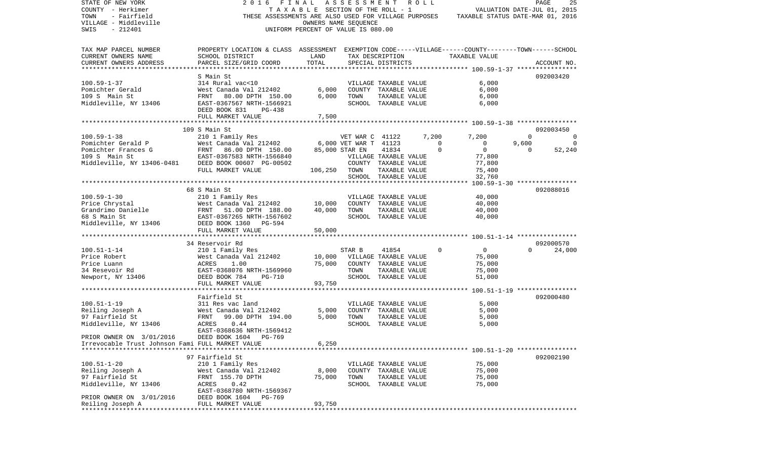| STATE OF NEW YORK                                | FINAL<br>2016                                                                                      |                                    | ASSESSMENT ROLL       |                       |       |                                  |          | PAGE        | 25       |
|--------------------------------------------------|----------------------------------------------------------------------------------------------------|------------------------------------|-----------------------|-----------------------|-------|----------------------------------|----------|-------------|----------|
| COUNTY - Herkimer                                |                                                                                                    | TAXABLE SECTION OF THE ROLL - 1    |                       |                       |       | VALUATION DATE-JUL 01, 2015      |          |             |          |
| - Fairfield<br>TOWN                              | THESE ASSESSMENTS ARE ALSO USED FOR VILLAGE PURPOSES                                               |                                    |                       |                       |       | TAXABLE STATUS DATE-MAR 01, 2016 |          |             |          |
| VILLAGE - Middleville                            |                                                                                                    |                                    | OWNERS NAME SEQUENCE  |                       |       |                                  |          |             |          |
| $-212401$<br>SWIS                                |                                                                                                    | UNIFORM PERCENT OF VALUE IS 080.00 |                       |                       |       |                                  |          |             |          |
|                                                  |                                                                                                    |                                    |                       |                       |       |                                  |          |             |          |
|                                                  |                                                                                                    |                                    |                       |                       |       |                                  |          |             |          |
| TAX MAP PARCEL NUMBER                            | PROPERTY LOCATION & CLASS ASSESSMENT EXEMPTION CODE-----VILLAGE------COUNTY-------TOWN------SCHOOL |                                    |                       |                       |       |                                  |          |             |          |
| CURRENT OWNERS NAME                              | SCHOOL DISTRICT                                                                                    | LAND                               |                       | TAX DESCRIPTION       |       | TAXABLE VALUE                    |          |             |          |
| CURRENT OWNERS ADDRESS                           | PARCEL SIZE/GRID COORD                                                                             | TOTAL                              |                       | SPECIAL DISTRICTS     |       |                                  |          | ACCOUNT NO. |          |
| *************************                        |                                                                                                    |                                    |                       |                       |       |                                  |          |             |          |
|                                                  | S Main St                                                                                          |                                    |                       |                       |       |                                  |          | 092003420   |          |
| $100.59 - 1 - 37$                                | 314 Rural vac<10                                                                                   |                                    |                       | VILLAGE TAXABLE VALUE |       | 6,000                            |          |             |          |
| Pomichter Gerald                                 | West Canada Val 212402                                                                             | 6,000                              |                       | COUNTY TAXABLE VALUE  |       | 6,000                            |          |             |          |
| 109 S Main St                                    | FRNT 80.00 DPTH 150.00                                                                             | 6,000                              | TOWN                  | TAXABLE VALUE         |       | 6,000                            |          |             |          |
| Middleville, NY 13406                            | EAST-0367567 NRTH-1566921                                                                          |                                    |                       | SCHOOL TAXABLE VALUE  |       | 6,000                            |          |             |          |
|                                                  | DEED BOOK 831<br>PG-438                                                                            |                                    |                       |                       |       |                                  |          |             |          |
|                                                  | FULL MARKET VALUE                                                                                  | 7,500                              |                       |                       |       |                                  |          |             |          |
|                                                  |                                                                                                    |                                    |                       |                       |       |                                  |          |             |          |
|                                                  | 109 S Main St                                                                                      |                                    |                       |                       |       |                                  |          | 092003450   |          |
| $100.59 - 1 - 38$                                | 210 1 Family Res                                                                                   |                                    | VET WAR C 41122       |                       | 7,200 | 7,200                            | $\Omega$ |             | 0        |
| Pomichter Gerald P                               | West Canada Val 212402                                                                             |                                    | 6,000 VET WAR T 41123 |                       |       | $\Omega$<br>$\overline{0}$       | 9,600    |             | $\Omega$ |
| Pomichter Frances G                              | FRNT 86.00 DPTH 150.00                                                                             |                                    | 85,000 STAR EN        | 41834                 |       | $\overline{0}$<br>$\Omega$       | $\Omega$ |             | 52,240   |
| 109 S Main St                                    | EAST-0367583 NRTH-1566840                                                                          |                                    |                       | VILLAGE TAXABLE VALUE |       | 77,800                           |          |             |          |
| Middleville, NY 13406-0481                       | DEED BOOK 00607 PG-00502                                                                           |                                    |                       | COUNTY TAXABLE VALUE  |       | 77,800                           |          |             |          |
|                                                  | FULL MARKET VALUE                                                                                  |                                    |                       |                       |       |                                  |          |             |          |
|                                                  |                                                                                                    | 106,250                            | TOWN                  | TAXABLE VALUE         |       | 75,400                           |          |             |          |
|                                                  |                                                                                                    |                                    |                       | SCHOOL TAXABLE VALUE  |       | 32,760                           |          |             |          |
|                                                  |                                                                                                    |                                    |                       |                       |       |                                  |          |             |          |
|                                                  | 68 S Main St                                                                                       |                                    |                       |                       |       |                                  |          | 092088016   |          |
| $100.59 - 1 - 30$                                | 210 1 Family Res                                                                                   |                                    |                       | VILLAGE TAXABLE VALUE |       | 40,000                           |          |             |          |
| Price Chrystal                                   | West Canada Val 212402                                                                             | 10,000                             |                       | COUNTY TAXABLE VALUE  |       | 40,000                           |          |             |          |
| Grandrimo Danielle                               | FRNT<br>51.00 DPTH 188.00                                                                          | 40,000                             | TOWN                  | TAXABLE VALUE         |       | 40,000                           |          |             |          |
| 68 S Main St                                     | EAST-0367265 NRTH-1567602                                                                          |                                    |                       | SCHOOL TAXABLE VALUE  |       | 40,000                           |          |             |          |
| Middleville, NY 13406                            | DEED BOOK 1360 PG-594                                                                              |                                    |                       |                       |       |                                  |          |             |          |
|                                                  | FULL MARKET VALUE                                                                                  | 50,000                             |                       |                       |       |                                  |          |             |          |
|                                                  |                                                                                                    |                                    |                       |                       |       |                                  |          |             |          |
|                                                  | 34 Reservoir Rd                                                                                    |                                    |                       |                       |       |                                  |          | 092000570   |          |
| $100.51 - 1 - 14$                                | 210 1 Family Res                                                                                   |                                    | STAR B                | 41854                 |       | $\Omega$<br>$\overline{0}$       | $\Omega$ |             | 24,000   |
| Price Robert                                     | West Canada Val 212402                                                                             | 10,000                             |                       | VILLAGE TAXABLE VALUE |       | 75,000                           |          |             |          |
| Price Luann                                      | ACRES<br>1.00                                                                                      | 75,000                             |                       | COUNTY TAXABLE VALUE  |       | 75,000                           |          |             |          |
| 34 Resevoir Rd                                   | EAST-0368076 NRTH-1569960                                                                          |                                    | TOWN                  | TAXABLE VALUE         |       | 75,000                           |          |             |          |
| Newport, NY 13406                                | DEED BOOK 784<br>PG-710                                                                            |                                    |                       | SCHOOL TAXABLE VALUE  |       | 51,000                           |          |             |          |
|                                                  | FULL MARKET VALUE                                                                                  | 93,750                             |                       |                       |       |                                  |          |             |          |
|                                                  |                                                                                                    |                                    |                       |                       |       |                                  |          |             |          |
|                                                  | Fairfield St                                                                                       |                                    |                       |                       |       |                                  |          | 092000480   |          |
| $100.51 - 1 - 19$                                | 311 Res vac land                                                                                   |                                    |                       | VILLAGE TAXABLE VALUE |       | 5,000                            |          |             |          |
| Reiling Joseph A                                 | West Canada Val 212402                                                                             | 5,000                              |                       | COUNTY TAXABLE VALUE  |       | 5,000                            |          |             |          |
| 97 Fairfield St                                  | FRNT<br>99.00 DPTH 194.00                                                                          | 5,000                              | TOWN                  | TAXABLE VALUE         |       | 5,000                            |          |             |          |
| Middleville, NY 13406                            | 0.44<br>ACRES                                                                                      |                                    |                       | SCHOOL TAXABLE VALUE  |       | 5,000                            |          |             |          |
|                                                  | EAST-0368636 NRTH-1569412                                                                          |                                    |                       |                       |       |                                  |          |             |          |
| PRIOR OWNER ON 3/01/2016                         | DEED BOOK 1604 PG-769                                                                              |                                    |                       |                       |       |                                  |          |             |          |
| Irrevocable Trust Johnson Fami FULL MARKET VALUE |                                                                                                    | 6,250                              |                       |                       |       |                                  |          |             |          |
|                                                  |                                                                                                    |                                    |                       |                       |       |                                  |          |             |          |
|                                                  | 97 Fairfield St                                                                                    |                                    |                       |                       |       |                                  |          | 092002190   |          |
| $100.51 - 1 - 20$                                | 210 1 Family Res                                                                                   |                                    |                       | VILLAGE TAXABLE VALUE |       | 75,000                           |          |             |          |
| Reiling Joseph A                                 | West Canada Val 212402                                                                             | 8,000                              |                       | COUNTY TAXABLE VALUE  |       | 75,000                           |          |             |          |
| 97 Fairfield St                                  | FRNT 155.70 DPTH                                                                                   | 75,000                             |                       | TAXABLE VALUE         |       | 75,000                           |          |             |          |
| Middleville, NY 13406                            |                                                                                                    |                                    | TOWN                  | SCHOOL TAXABLE VALUE  |       | 75,000                           |          |             |          |
|                                                  | ACRES<br>0.42                                                                                      |                                    |                       |                       |       |                                  |          |             |          |
|                                                  | EAST-0368780 NRTH-1569367                                                                          |                                    |                       |                       |       |                                  |          |             |          |
| PRIOR OWNER ON 3/01/2016                         | DEED BOOK 1604<br>PG-769                                                                           |                                    |                       |                       |       |                                  |          |             |          |
| Reiling Joseph A                                 | FULL MARKET VALUE                                                                                  | 93,750                             |                       |                       |       |                                  |          |             |          |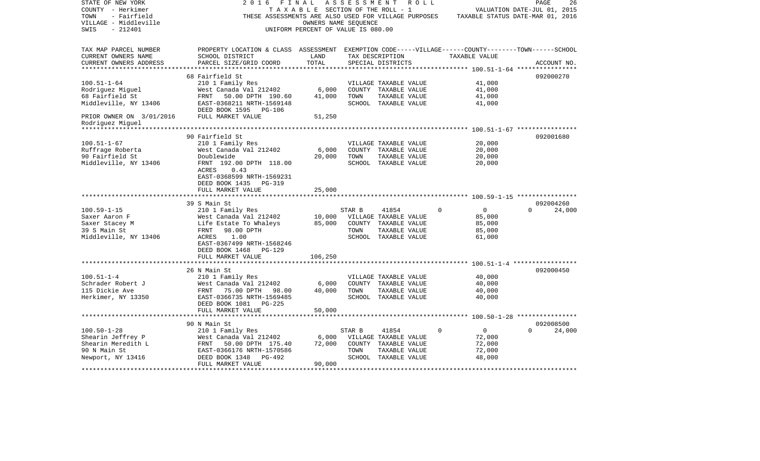| STATE OF NEW YORK<br>COUNTY - Herkimer | 2 0 1 6<br>FINAL                                                                                   | TAXABLE SECTION OF THE ROLL - 1              |        | ASSESSMENT ROLL       |             |                                  | PAGE<br>VALUATION DATE-JUL 01, 2015 | 26     |
|----------------------------------------|----------------------------------------------------------------------------------------------------|----------------------------------------------|--------|-----------------------|-------------|----------------------------------|-------------------------------------|--------|
| TOWN<br>- Fairfield                    | THESE ASSESSMENTS ARE ALSO USED FOR VILLAGE PURPOSES                                               |                                              |        |                       |             | TAXABLE STATUS DATE-MAR 01, 2016 |                                     |        |
| VILLAGE - Middleville                  |                                                                                                    | OWNERS NAME SEOUENCE                         |        |                       |             |                                  |                                     |        |
| SWIS<br>$-212401$                      |                                                                                                    | UNIFORM PERCENT OF VALUE IS 080.00           |        |                       |             |                                  |                                     |        |
|                                        |                                                                                                    |                                              |        |                       |             |                                  |                                     |        |
| TAX MAP PARCEL NUMBER                  | PROPERTY LOCATION & CLASS ASSESSMENT EXEMPTION CODE-----VILLAGE------COUNTY-------TOWN------SCHOOL |                                              |        |                       |             |                                  |                                     |        |
| CURRENT OWNERS NAME                    | SCHOOL DISTRICT                                                                                    | LAND                                         |        | TAX DESCRIPTION       |             | TAXABLE VALUE                    |                                     |        |
| CURRENT OWNERS ADDRESS                 | PARCEL SIZE/GRID COORD                                                                             | TOTAL                                        |        | SPECIAL DISTRICTS     |             |                                  | ACCOUNT NO.                         |        |
|                                        |                                                                                                    |                                              |        |                       |             |                                  |                                     |        |
|                                        | 68 Fairfield St                                                                                    |                                              |        |                       |             |                                  | 092000270                           |        |
| $100.51 - 1 - 64$                      | 210 1 Family Res                                                                                   |                                              |        | VILLAGE TAXABLE VALUE |             | 41,000                           |                                     |        |
| Rodriguez Miguel                       | West Canada Val 212402                                                                             | 6,000                                        |        | COUNTY TAXABLE VALUE  |             | 41,000                           |                                     |        |
| 68 Fairfield St                        | FRNT<br>50.00 DPTH 190.60                                                                          | 41,000                                       | TOWN   | TAXABLE VALUE         |             | 41,000                           |                                     |        |
| Middleville, NY 13406                  | EAST-0368211 NRTH-1569148                                                                          |                                              |        | SCHOOL TAXABLE VALUE  |             | 41,000                           |                                     |        |
|                                        | DEED BOOK 1595<br>PG-106                                                                           |                                              |        |                       |             |                                  |                                     |        |
| PRIOR OWNER ON 3/01/2016               | FULL MARKET VALUE                                                                                  | 51,250                                       |        |                       |             |                                  |                                     |        |
| Rodriquez Miquel                       |                                                                                                    |                                              |        |                       |             |                                  |                                     |        |
|                                        |                                                                                                    |                                              |        |                       |             |                                  |                                     |        |
|                                        | 90 Fairfield St                                                                                    |                                              |        |                       |             |                                  | 092001680                           |        |
| $100.51 - 1 - 67$                      | 210 1 Family Res                                                                                   |                                              |        | VILLAGE TAXABLE VALUE |             | 20,000                           |                                     |        |
| Ruffrage Roberta                       | West Canada Val 212402                                                                             | 6,000                                        |        | COUNTY TAXABLE VALUE  |             | 20,000                           |                                     |        |
| 90 Fairfield St                        | Doublewide                                                                                         | 20,000                                       | TOWN   | TAXABLE VALUE         |             | 20,000                           |                                     |        |
| Middleville, NY 13406                  | FRNT 192.00 DPTH 118.00                                                                            |                                              |        | SCHOOL TAXABLE VALUE  |             | 20,000                           |                                     |        |
|                                        | 0.43<br>ACRES                                                                                      |                                              |        |                       |             |                                  |                                     |        |
|                                        | EAST-0368599 NRTH-1569231                                                                          |                                              |        |                       |             |                                  |                                     |        |
|                                        | DEED BOOK 1435<br><b>PG-319</b>                                                                    |                                              |        |                       |             |                                  |                                     |        |
|                                        | FULL MARKET VALUE                                                                                  | 25,000                                       |        |                       |             |                                  |                                     |        |
|                                        |                                                                                                    |                                              |        |                       |             |                                  |                                     |        |
|                                        | 39 S Main St                                                                                       |                                              |        |                       |             |                                  | 092004260                           |        |
| $100.59 - 1 - 15$                      | 210 1 Family Res                                                                                   |                                              | STAR B | 41854                 | $\Omega$    | $\overline{0}$                   | $\Omega$                            | 24,000 |
| Saxer Aaron F                          | West Canada Val 212402                                                                             | 10,000                                       |        | VILLAGE TAXABLE VALUE |             | 85,000                           |                                     |        |
| Saxer Stacey M                         | Life Estate To Whaleys                                                                             | 85,000                                       |        | COUNTY TAXABLE VALUE  |             | 85,000                           |                                     |        |
| 39 S Main St                           | FRNT<br>98.00 DPTH                                                                                 |                                              | TOWN   | TAXABLE VALUE         |             | 85,000                           |                                     |        |
| Middleville, NY 13406                  | ACRES<br>1.00                                                                                      |                                              |        | SCHOOL TAXABLE VALUE  |             | 61,000                           |                                     |        |
|                                        | EAST-0367499 NRTH-1568246                                                                          |                                              |        |                       |             |                                  |                                     |        |
|                                        | DEED BOOK 1468<br>PG-129                                                                           |                                              |        |                       |             |                                  |                                     |        |
|                                        | FULL MARKET VALUE                                                                                  | 106,250                                      |        |                       |             |                                  |                                     |        |
|                                        | **********************                                                                             | **********                                   |        |                       |             |                                  |                                     |        |
|                                        | 26 N Main St                                                                                       |                                              |        |                       |             |                                  | 092000450                           |        |
| $100.51 - 1 - 4$                       | 210 1 Family Res                                                                                   |                                              |        | VILLAGE TAXABLE VALUE |             | 40,000                           |                                     |        |
| Schrader Robert J                      | West Canada Val 212402                                                                             | 6,000                                        |        | COUNTY TAXABLE VALUE  |             | 40,000                           |                                     |        |
| 115 Dickie Ave                         | FRNT<br>75.00 DPTH 98.00                                                                           | 40,000                                       | TOWN   | TAXABLE VALUE         |             | 40,000                           |                                     |        |
| Herkimer, NY 13350                     | EAST-0366735 NRTH-1569485                                                                          |                                              |        | SCHOOL TAXABLE VALUE  |             | 40,000                           |                                     |        |
|                                        | DEED BOOK 1081 PG-225                                                                              |                                              |        |                       |             |                                  |                                     |        |
|                                        | FULL MARKET VALUE                                                                                  | 50,000                                       |        |                       |             |                                  |                                     |        |
|                                        |                                                                                                    |                                              |        |                       |             |                                  |                                     |        |
|                                        | 90 N Main St                                                                                       |                                              |        |                       |             |                                  | 092008500                           |        |
| $100.50 - 1 - 28$                      | 210 1 Family Res                                                                                   |                                              | STAR B | 41854                 | $\mathbf 0$ | $\overline{0}$                   | $\Omega$                            | 24,000 |
| Shearin Jeffrey P                      | West Canada Val 212402                                                                             | 6,000                                        |        | VILLAGE TAXABLE VALUE |             | 72,000                           |                                     |        |
| Shearin Meredith L                     | 50.00 DPTH 175.40<br>FRNT                                                                          | 72,000                                       |        | COUNTY TAXABLE VALUE  |             | 72,000                           |                                     |        |
| 90 N Main St                           | EAST-0366176 NRTH-1570586                                                                          |                                              | TOWN   | TAXABLE VALUE         |             | 72,000                           |                                     |        |
| Newport, NY 13416                      | DEED BOOK 1348<br>PG-492                                                                           |                                              |        | SCHOOL TAXABLE VALUE  |             | 48,000                           |                                     |        |
|                                        | FULL MARKET VALUE                                                                                  | 90,000<br>********************************** |        |                       |             |                                  |                                     |        |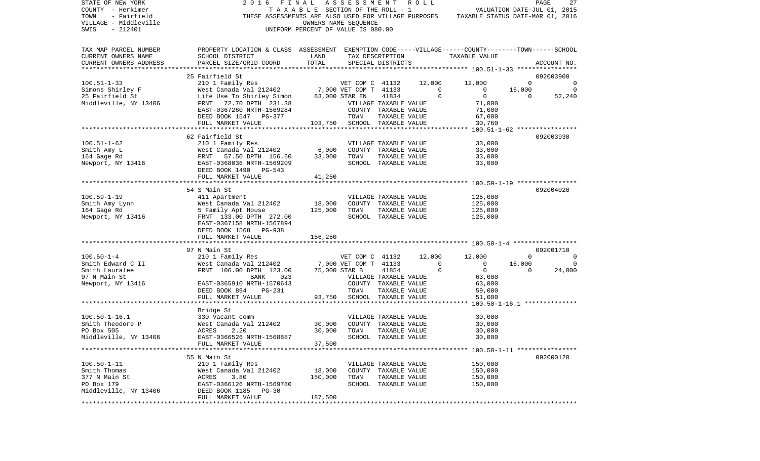| STATE OF NEW YORK                                    | 2016                                                                                               | FINAL                              | ASSESSMENT                               |                       | R O L L     |                                  |                             | PAGE<br>27     |
|------------------------------------------------------|----------------------------------------------------------------------------------------------------|------------------------------------|------------------------------------------|-----------------------|-------------|----------------------------------|-----------------------------|----------------|
| COUNTY - Herkimer                                    |                                                                                                    | TAXABLE SECTION OF THE ROLL - 1    |                                          |                       |             |                                  | VALUATION DATE-JUL 01, 2015 |                |
| TOWN<br>- Fairfield                                  | THESE ASSESSMENTS ARE ALSO USED FOR VILLAGE PURPOSES                                               |                                    |                                          |                       |             | TAXABLE STATUS DATE-MAR 01, 2016 |                             |                |
| VILLAGE - Middleville                                |                                                                                                    |                                    | OWNERS NAME SEQUENCE                     |                       |             |                                  |                             |                |
| $-212401$<br>SWIS                                    |                                                                                                    | UNIFORM PERCENT OF VALUE IS 080.00 |                                          |                       |             |                                  |                             |                |
|                                                      |                                                                                                    |                                    |                                          |                       |             |                                  |                             |                |
|                                                      | PROPERTY LOCATION & CLASS ASSESSMENT EXEMPTION CODE-----VILLAGE------COUNTY-------TOWN------SCHOOL |                                    |                                          |                       |             |                                  |                             |                |
| TAX MAP PARCEL NUMBER                                |                                                                                                    |                                    |                                          |                       |             |                                  |                             |                |
| CURRENT OWNERS NAME                                  | SCHOOL DISTRICT                                                                                    | LAND                               | TAX DESCRIPTION                          |                       |             | TAXABLE VALUE                    |                             |                |
| CURRENT OWNERS ADDRESS<br>************************** | PARCEL SIZE/GRID COORD                                                                             | TOTAL                              |                                          | SPECIAL DISTRICTS     |             |                                  |                             | ACCOUNT NO.    |
|                                                      |                                                                                                    |                                    |                                          |                       |             |                                  |                             |                |
|                                                      | 25 Fairfield St                                                                                    |                                    |                                          |                       |             |                                  |                             | 092003900      |
| $100.51 - 1 - 33$                                    | 210 1 Family Res                                                                                   |                                    | VET COM C 41132<br>7,000 VET COM T 41133 |                       | 12,000      | 12,000                           | $\Omega$                    | 0              |
| Simons Shirley F                                     | West Canada Val 212402                                                                             |                                    |                                          |                       | $\circ$     | $\overline{0}$                   | 16,000                      | $\circ$        |
| 25 Fairfield St                                      | Life Use To Shirley Simon                                                                          | 83,000 STAR EN                     |                                          | 41834                 | $\mathbf 0$ | $\overline{0}$                   | $\Omega$                    | 52,240         |
| Middleville, NY 13406                                | FRNT 72.70 DPTH 231.38                                                                             |                                    | VILLAGE TAXABLE VALUE                    |                       |             | 71,000                           |                             |                |
|                                                      | EAST-0367260 NRTH-1569284                                                                          |                                    |                                          | COUNTY TAXABLE VALUE  |             | 71,000                           |                             |                |
|                                                      | DEED BOOK 1547 PG-377                                                                              |                                    | TOWN                                     | TAXABLE VALUE         |             | 67,000                           |                             |                |
|                                                      | FULL MARKET VALUE                                                                                  |                                    | 103,750 SCHOOL TAXABLE VALUE             |                       |             | 30,760                           |                             |                |
|                                                      |                                                                                                    |                                    |                                          |                       |             |                                  |                             |                |
|                                                      | 62 Fairfield St                                                                                    |                                    |                                          |                       |             |                                  |                             | 092003930      |
| $100.51 - 1 - 62$                                    | 210 1 Family Res                                                                                   |                                    |                                          | VILLAGE TAXABLE VALUE |             | 33,000                           |                             |                |
| Smith Amy L                                          | West Canada Val 212402                                                                             | 6,000                              |                                          | COUNTY TAXABLE VALUE  |             | 33,000                           |                             |                |
| 164 Gage Rd                                          | FRNT<br>57.50 DPTH 156.60                                                                          | 33,000                             | TOWN                                     | TAXABLE VALUE         |             | 33,000                           |                             |                |
| Newport, NY 13416                                    | EAST-0368036 NRTH-1569209                                                                          |                                    |                                          | SCHOOL TAXABLE VALUE  |             | 33,000                           |                             |                |
|                                                      | DEED BOOK 1490 PG-543                                                                              |                                    |                                          |                       |             |                                  |                             |                |
|                                                      | FULL MARKET VALUE                                                                                  | 41,250                             |                                          |                       |             |                                  |                             |                |
|                                                      |                                                                                                    |                                    |                                          |                       |             |                                  |                             |                |
|                                                      | 54 S Main St                                                                                       |                                    |                                          |                       |             |                                  |                             | 092004020      |
| $100.59 - 1 - 19$                                    | 411 Apartment                                                                                      |                                    |                                          | VILLAGE TAXABLE VALUE |             | 125,000                          |                             |                |
| Smith Amy Lynn                                       | West Canada Val 212402                                                                             | 18,000                             |                                          | COUNTY TAXABLE VALUE  |             | 125,000                          |                             |                |
| 164 Gage Rd                                          | 5 Family Apt House                                                                                 | 125,000                            | TOWN                                     | TAXABLE VALUE         |             | 125,000                          |                             |                |
| Newport, NY 13416                                    | FRNT 133.00 DPTH 272.00                                                                            |                                    |                                          | SCHOOL TAXABLE VALUE  |             | 125,000                          |                             |                |
|                                                      | EAST-0367158 NRTH-1567894                                                                          |                                    |                                          |                       |             |                                  |                             |                |
|                                                      | DEED BOOK 1568 PG-938                                                                              |                                    |                                          |                       |             |                                  |                             |                |
|                                                      | FULL MARKET VALUE                                                                                  | 156,250                            |                                          |                       |             |                                  |                             |                |
|                                                      |                                                                                                    |                                    |                                          |                       |             |                                  |                             |                |
|                                                      | 97 N Main St                                                                                       |                                    |                                          |                       |             |                                  |                             | 092001710      |
| $100.50 - 1 - 4$                                     | 210 1 Family Res                                                                                   |                                    | VET COM C 41132                          |                       | 12,000      | 12,000                           | $\overline{0}$              | $\overline{0}$ |
| Smith Edward C II                                    | West Canada Val 212402                                                                             |                                    | 7,000 VET COM T 41133                    |                       | $\mathbf 0$ | $\overline{0}$                   | 16,000                      | $\overline{0}$ |
| Smith Lauralee                                       | FRNT 106.00 DPTH 123.00                                                                            |                                    | 75,000 STAR B                            | 41854                 | $\mathbf 0$ | $\overline{0}$                   | $\Omega$                    | 24,000         |
| 97 N Main St                                         | BANK<br>023                                                                                        |                                    | VILLAGE TAXABLE VALUE                    |                       |             | 63,000                           |                             |                |
| Newport, NY 13416                                    | EAST-0365910 NRTH-1570643                                                                          |                                    |                                          | COUNTY TAXABLE VALUE  |             | 63,000                           |                             |                |
|                                                      | DEED BOOK 894<br>PG-231                                                                            |                                    | TOWN                                     | TAXABLE VALUE         |             | 59,000                           |                             |                |
|                                                      | FULL MARKET VALUE                                                                                  | 93,750                             |                                          |                       |             | 51,000                           |                             |                |
|                                                      |                                                                                                    |                                    |                                          | SCHOOL TAXABLE VALUE  |             |                                  |                             |                |
|                                                      |                                                                                                    |                                    |                                          |                       |             |                                  |                             |                |
|                                                      | Bridge St                                                                                          |                                    |                                          |                       |             |                                  |                             |                |
| $100.50 - 1 - 16.1$                                  | 330 Vacant comm                                                                                    |                                    |                                          | VILLAGE TAXABLE VALUE |             | 30,000                           |                             |                |
| Smith Theodore P                                     | West Canada Val 212402                                                                             | 30,000                             |                                          | COUNTY TAXABLE VALUE  |             | 30,000                           |                             |                |
| PO Box 505                                           | ACRES<br>2.20                                                                                      | 30,000                             | TOWN                                     | TAXABLE VALUE         |             | 30,000                           |                             |                |
| Middleville, NY 13406                                | EAST-0366526 NRTH-1568887                                                                          |                                    |                                          | SCHOOL TAXABLE VALUE  |             | 30,000                           |                             |                |
|                                                      | FULL MARKET VALUE                                                                                  | 37,500                             |                                          |                       |             |                                  |                             |                |
|                                                      |                                                                                                    |                                    |                                          |                       |             |                                  |                             |                |
|                                                      | 55 N Main St                                                                                       |                                    |                                          |                       |             |                                  |                             | 092000120      |
| $100.50 - 1 - 11$                                    | 210 1 Family Res                                                                                   |                                    |                                          | VILLAGE TAXABLE VALUE |             | 150,000                          |                             |                |
| Smith Thomas                                         | West Canada Val 212402                                                                             | 18,000                             |                                          | COUNTY TAXABLE VALUE  |             | 150,000                          |                             |                |
| 377 N Main St                                        | ACRES<br>3.80                                                                                      | 150,000                            | TOWN                                     | TAXABLE VALUE         |             | 150,000                          |                             |                |
| PO Box 179                                           | EAST-0366126 NRTH-1569780                                                                          |                                    |                                          | SCHOOL TAXABLE VALUE  |             | 150,000                          |                             |                |
| Middleville, NY 13406                                | DEED BOOK 1185<br>PG-30                                                                            |                                    |                                          |                       |             |                                  |                             |                |
|                                                      | FULL MARKET VALUE                                                                                  | 187,500                            |                                          |                       |             |                                  |                             |                |
|                                                      |                                                                                                    |                                    |                                          |                       |             |                                  |                             |                |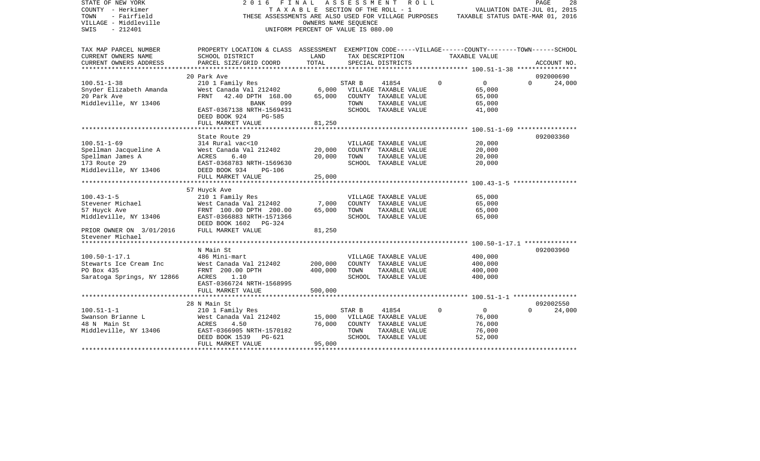| STATE OF NEW YORK<br>COUNTY - Herkimer<br>- Fairfield<br>TOWN<br>VILLAGE - Middleville<br>$-212401$<br>SWIS | 2016<br>THESE ASSESSMENTS ARE ALSO USED FOR VILLAGE PURPOSES                                                          | FINAL<br>T A X A B L E SECTION OF THE ROLL - 1<br>OWNERS NAME SEQUENCE<br>UNIFORM PERCENT OF VALUE IS 080.00 | ASSESSMENT | ROLL                                  |          | VALUATION DATE-JUL 01, 2015<br>TAXABLE STATUS DATE-MAR 01, 2016 | PAGE     | 28          |
|-------------------------------------------------------------------------------------------------------------|-----------------------------------------------------------------------------------------------------------------------|--------------------------------------------------------------------------------------------------------------|------------|---------------------------------------|----------|-----------------------------------------------------------------|----------|-------------|
| TAX MAP PARCEL NUMBER<br>CURRENT OWNERS NAME                                                                | PROPERTY LOCATION & CLASS ASSESSMENT EXEMPTION CODE-----VILLAGE------COUNTY-------TOWN------SCHOOL<br>SCHOOL DISTRICT | LAND                                                                                                         |            | TAX DESCRIPTION                       |          | TAXABLE VALUE                                                   |          |             |
| CURRENT OWNERS ADDRESS                                                                                      | PARCEL SIZE/GRID COORD                                                                                                | TOTAL                                                                                                        |            | SPECIAL DISTRICTS                     |          |                                                                 |          | ACCOUNT NO. |
| ******************                                                                                          |                                                                                                                       |                                                                                                              |            |                                       |          |                                                                 |          |             |
|                                                                                                             | 20 Park Ave                                                                                                           |                                                                                                              |            |                                       |          |                                                                 |          | 092000690   |
| $100.51 - 1 - 38$                                                                                           | 210 1 Family Res                                                                                                      |                                                                                                              | STAR B     | 41854                                 | $\Omega$ | $\overline{0}$                                                  | $\Omega$ | 24,000      |
| Snyder Elizabeth Amanda                                                                                     | West Canada Val 212402                                                                                                | 6,000                                                                                                        |            | VILLAGE TAXABLE VALUE                 |          | 65,000                                                          |          |             |
| 20 Park Ave                                                                                                 | 42.40 DPTH 168.00<br>FRNT                                                                                             | 65,000                                                                                                       |            | COUNTY TAXABLE VALUE                  |          | 65,000                                                          |          |             |
| Middleville, NY 13406                                                                                       | BANK<br>099                                                                                                           |                                                                                                              | TOWN       | TAXABLE VALUE                         |          | 65,000                                                          |          |             |
|                                                                                                             | EAST-0367138 NRTH-1569431                                                                                             |                                                                                                              |            | SCHOOL TAXABLE VALUE                  |          | 41,000                                                          |          |             |
|                                                                                                             | DEED BOOK 924<br><b>PG-585</b>                                                                                        |                                                                                                              |            |                                       |          |                                                                 |          |             |
|                                                                                                             | FULL MARKET VALUE                                                                                                     | 81,250                                                                                                       |            |                                       |          |                                                                 |          |             |
|                                                                                                             | State Route 29                                                                                                        |                                                                                                              |            |                                       |          |                                                                 |          | 092003360   |
| $100.51 - 1 - 69$                                                                                           | 314 Rural vac<10                                                                                                      |                                                                                                              |            | VILLAGE TAXABLE VALUE                 |          | 20,000                                                          |          |             |
| Spellman Jacqueline A                                                                                       | West Canada Val 212402                                                                                                | 20,000                                                                                                       |            | COUNTY TAXABLE VALUE                  |          | 20,000                                                          |          |             |
| Spellman James A                                                                                            | ACRES<br>6.40                                                                                                         | 20,000                                                                                                       | TOWN       | TAXABLE VALUE                         |          | 20,000                                                          |          |             |
| 173 Route 29                                                                                                | EAST-0368783 NRTH-1569630                                                                                             |                                                                                                              |            | SCHOOL TAXABLE VALUE                  |          | 20,000                                                          |          |             |
| Middleville, NY 13406                                                                                       | DEED BOOK 934<br>PG-106                                                                                               |                                                                                                              |            |                                       |          |                                                                 |          |             |
|                                                                                                             | FULL MARKET VALUE                                                                                                     | 25,000                                                                                                       |            |                                       |          |                                                                 |          |             |
|                                                                                                             |                                                                                                                       |                                                                                                              |            |                                       |          |                                                                 |          |             |
|                                                                                                             | 57 Huyck Ave                                                                                                          |                                                                                                              |            |                                       |          |                                                                 |          |             |
| $100.43 - 1 - 5$                                                                                            | 210 1 Family Res                                                                                                      |                                                                                                              |            | VILLAGE TAXABLE VALUE                 |          | 65,000                                                          |          |             |
| Stevener Michael                                                                                            | West Canada Val 212402                                                                                                | 7,000                                                                                                        |            | COUNTY TAXABLE VALUE                  |          | 65,000                                                          |          |             |
| 57 Huyck Ave<br>Middleville, NY 13406                                                                       | FRNT 100.00 DPTH 200.00<br>EAST-0366883 NRTH-1571366                                                                  | 65,000                                                                                                       | TOWN       | TAXABLE VALUE<br>SCHOOL TAXABLE VALUE |          | 65,000<br>65,000                                                |          |             |
|                                                                                                             | DEED BOOK 1602 PG-324                                                                                                 |                                                                                                              |            |                                       |          |                                                                 |          |             |
| PRIOR OWNER ON 3/01/2016                                                                                    | FULL MARKET VALUE                                                                                                     | 81,250                                                                                                       |            |                                       |          |                                                                 |          |             |
| Stevener Michael                                                                                            |                                                                                                                       |                                                                                                              |            |                                       |          |                                                                 |          |             |
|                                                                                                             |                                                                                                                       |                                                                                                              |            |                                       |          |                                                                 |          |             |
|                                                                                                             | N Main St                                                                                                             |                                                                                                              |            |                                       |          |                                                                 |          | 092003960   |
| $100.50 - 1 - 17.1$                                                                                         | 486 Mini-mart                                                                                                         |                                                                                                              |            | VILLAGE TAXABLE VALUE                 |          | 400,000                                                         |          |             |
| Stewarts Ice Cream Inc                                                                                      | West Canada Val 212402                                                                                                | 200,000                                                                                                      |            | COUNTY TAXABLE VALUE                  |          | 400,000                                                         |          |             |
| PO Box 435                                                                                                  | FRNT 200.00 DPTH                                                                                                      | 400,000                                                                                                      | TOWN       | TAXABLE VALUE                         |          | 400,000                                                         |          |             |
| Saratoga Springs, NY 12866                                                                                  | ACRES<br>1.10                                                                                                         |                                                                                                              |            | SCHOOL TAXABLE VALUE                  |          | 400,000                                                         |          |             |
|                                                                                                             | EAST-0366724 NRTH-1568995                                                                                             |                                                                                                              |            |                                       |          |                                                                 |          |             |
|                                                                                                             | FULL MARKET VALUE                                                                                                     | 500,000                                                                                                      |            |                                       |          |                                                                 |          |             |
|                                                                                                             | ********************                                                                                                  |                                                                                                              |            |                                       |          | ********* 100.51-1-1 ******************                         |          |             |
|                                                                                                             | 28 N Main St                                                                                                          |                                                                                                              |            |                                       |          |                                                                 |          | 092002550   |
| $100.51 - 1 - 1$<br>Swanson Brianne L                                                                       | 210 1 Family Res<br>West Canada Val 212402                                                                            | 15,000                                                                                                       | STAR B     | 41854<br>VILLAGE TAXABLE VALUE        | $\Omega$ | $\circ$<br>76,000                                               | $\Omega$ | 24,000      |
| 48 N Main St                                                                                                | ACRES<br>4.50                                                                                                         | 76,000                                                                                                       |            | COUNTY TAXABLE VALUE                  |          | 76,000                                                          |          |             |
| Middleville, NY 13406                                                                                       | EAST-0366905 NRTH-1570182                                                                                             |                                                                                                              | TOWN       | TAXABLE VALUE                         |          | 76,000                                                          |          |             |
|                                                                                                             | DEED BOOK 1539<br>$PG-621$                                                                                            |                                                                                                              |            | SCHOOL TAXABLE VALUE                  |          | 52,000                                                          |          |             |
|                                                                                                             | FULL MARKET VALUE                                                                                                     | 95,000                                                                                                       |            |                                       |          |                                                                 |          |             |
|                                                                                                             |                                                                                                                       |                                                                                                              |            |                                       |          |                                                                 |          |             |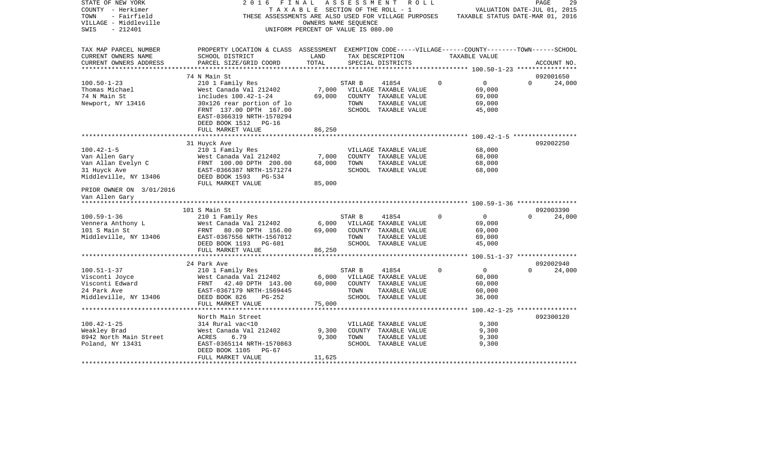| STATE OF NEW YORK<br>COUNTY - Herkimer<br>TOWN<br>- Fairfield<br>VILLAGE - Middleville<br>$-212401$<br>SWIS | 2016<br>FINAL<br>THESE ASSESSMENTS ARE ALSO USED FOR VILLAGE PURPOSES TAXABLE STATUS DATE-MAR 01, 2016                | TAXABLE SECTION OF THE ROLL - 1<br>OWNERS NAME SEQUENCE<br>UNIFORM PERCENT OF VALUE IS 080.00 | A S S E S S M E N T | R O L L                               |          | VALUATION DATE-JUL 01, 2015 | PAGE     | 29          |
|-------------------------------------------------------------------------------------------------------------|-----------------------------------------------------------------------------------------------------------------------|-----------------------------------------------------------------------------------------------|---------------------|---------------------------------------|----------|-----------------------------|----------|-------------|
|                                                                                                             |                                                                                                                       |                                                                                               |                     |                                       |          |                             |          |             |
| TAX MAP PARCEL NUMBER<br>CURRENT OWNERS NAME                                                                | PROPERTY LOCATION & CLASS ASSESSMENT EXEMPTION CODE-----VILLAGE------COUNTY-------TOWN------SCHOOL<br>SCHOOL DISTRICT | LAND                                                                                          |                     | TAX DESCRIPTION                       |          | TAXABLE VALUE               |          |             |
| CURRENT OWNERS ADDRESS                                                                                      | PARCEL SIZE/GRID COORD                                                                                                | TOTAL                                                                                         |                     | SPECIAL DISTRICTS                     |          |                             |          | ACCOUNT NO. |
|                                                                                                             |                                                                                                                       |                                                                                               |                     |                                       |          |                             |          |             |
|                                                                                                             | 74 N Main St                                                                                                          |                                                                                               |                     |                                       | $\Omega$ | $\overline{0}$              | $\Omega$ | 092001650   |
| $100.50 - 1 - 23$<br>Thomas Michael                                                                         | 210 1 Family Res<br>West Canada Val 212402                                                                            | 7,000                                                                                         | STAR B              | 41854<br>VILLAGE TAXABLE VALUE        |          | 69,000                      |          | 24,000      |
| 74 N Main St                                                                                                | includes 100.42-1-24                                                                                                  | 69,000                                                                                        |                     | COUNTY TAXABLE VALUE                  |          | 69,000                      |          |             |
| Newport, NY 13416                                                                                           | 30x126 rear portion of lo                                                                                             |                                                                                               | TOWN                | TAXABLE VALUE                         |          | 69,000                      |          |             |
|                                                                                                             | FRNT 137.00 DPTH 167.00                                                                                               |                                                                                               |                     | SCHOOL TAXABLE VALUE                  |          | 45,000                      |          |             |
|                                                                                                             | EAST-0366319 NRTH-1570294                                                                                             |                                                                                               |                     |                                       |          |                             |          |             |
|                                                                                                             | DEED BOOK 1512 PG-16                                                                                                  |                                                                                               |                     |                                       |          |                             |          |             |
|                                                                                                             | FULL MARKET VALUE                                                                                                     | 86,250                                                                                        |                     |                                       |          |                             |          |             |
|                                                                                                             |                                                                                                                       |                                                                                               |                     |                                       |          |                             |          |             |
|                                                                                                             | 31 Huyck Ave                                                                                                          |                                                                                               |                     |                                       |          |                             |          | 092002250   |
| $100.42 - 1 - 5$                                                                                            | 210 1 Family Res                                                                                                      |                                                                                               |                     | VILLAGE TAXABLE VALUE                 |          | 68,000                      |          |             |
| Van Allen Gary                                                                                              | West Canada Val 212402                                                                                                | 7,000                                                                                         |                     | COUNTY TAXABLE VALUE                  |          | 68,000                      |          |             |
| Van Allan Evelyn C<br>31 Huyck Ave                                                                          | FRNT 100.00 DPTH 200.00<br>EAST-0366387 NRTH-1571274                                                                  | 68,000                                                                                        | TOWN                | TAXABLE VALUE<br>SCHOOL TAXABLE VALUE |          | 68,000<br>68,000            |          |             |
| Middleville, NY 13406                                                                                       | DEED BOOK 1593 PG-534                                                                                                 |                                                                                               |                     |                                       |          |                             |          |             |
|                                                                                                             | FULL MARKET VALUE                                                                                                     | 85,000                                                                                        |                     |                                       |          |                             |          |             |
| PRIOR OWNER ON 3/01/2016                                                                                    |                                                                                                                       |                                                                                               |                     |                                       |          |                             |          |             |
| Van Allen Gary                                                                                              |                                                                                                                       |                                                                                               |                     |                                       |          |                             |          |             |
|                                                                                                             |                                                                                                                       |                                                                                               |                     |                                       |          |                             |          |             |
|                                                                                                             | 101 S Main St                                                                                                         |                                                                                               |                     |                                       |          |                             |          | 092003390   |
| $100.59 - 1 - 36$                                                                                           | 210 1 Family Res                                                                                                      |                                                                                               | STAR B              | 41854                                 | $\Omega$ | $\overline{0}$              | $\cap$   | 24,000      |
| Vennera Anthony L<br>101 S Main St                                                                          | West Canada Val 212402                                                                                                | 6,000                                                                                         |                     | VILLAGE TAXABLE VALUE                 |          | 69,000                      |          |             |
|                                                                                                             | FRNT 80.00 DPTH 156.00                                                                                                | 69,000                                                                                        | TOWN                | COUNTY TAXABLE VALUE                  |          | 69,000                      |          |             |
| Middleville, NY 13406                                                                                       | EAST-0367556 NRTH-1567012<br>DEED BOOK 1193 PG-601                                                                    |                                                                                               |                     | TAXABLE VALUE<br>SCHOOL TAXABLE VALUE |          | 69,000<br>45,000            |          |             |
|                                                                                                             | FULL MARKET VALUE                                                                                                     | 86,250                                                                                        |                     |                                       |          |                             |          |             |
|                                                                                                             |                                                                                                                       |                                                                                               |                     |                                       |          |                             |          |             |
|                                                                                                             | 24 Park Ave                                                                                                           |                                                                                               |                     |                                       |          |                             |          | 092002940   |
| $100.51 - 1 - 37$                                                                                           | 210 1 Family Res                                                                                                      |                                                                                               | STAR B              | 41854                                 | $\Omega$ | $\overline{0}$              | $\Omega$ | 24,000      |
| Visconti Joyce                                                                                              | West Canada Val 212402                                                                                                | $6,000$                                                                                       |                     | VILLAGE TAXABLE VALUE                 |          | 60,000                      |          |             |
| Visconti Edward                                                                                             | FRNT 42.40 DPTH 143.00                                                                                                | 60,000                                                                                        |                     | COUNTY TAXABLE VALUE                  |          | 60,000                      |          |             |
| 24 Park Ave                                                                                                 | EAST-0367179 NRTH-1569445                                                                                             |                                                                                               | TOWN                | TAXABLE VALUE                         |          | 60,000                      |          |             |
| Middleville, NY 13406                                                                                       | DEED BOOK 826<br>$PG-252$                                                                                             |                                                                                               |                     | SCHOOL TAXABLE VALUE                  |          | 36,000                      |          |             |
|                                                                                                             | FULL MARKET VALUE<br>*****************************                                                                    | 75,000                                                                                        |                     |                                       |          |                             |          |             |
|                                                                                                             |                                                                                                                       |                                                                                               |                     |                                       |          |                             |          |             |
| $100.42 - 1 - 25$                                                                                           | North Main Street<br>314 Rural vac<10                                                                                 |                                                                                               |                     | VILLAGE TAXABLE VALUE                 |          | 9,300                       |          | 092300120   |
| Weakley Brad                                                                                                | West Canada Val 212402                                                                                                | 9,300                                                                                         |                     | COUNTY TAXABLE VALUE                  |          | 9,300                       |          |             |
| 8942 North Main Street                                                                                      | ACRES<br>6.79                                                                                                         | 9,300                                                                                         | TOWN                | TAXABLE VALUE                         |          | 9,300                       |          |             |
| Poland, NY 13431                                                                                            | EAST-0365114 NRTH-1570863                                                                                             |                                                                                               |                     | SCHOOL TAXABLE VALUE                  |          | 9,300                       |          |             |
|                                                                                                             | PG-67<br>DEED BOOK 1105                                                                                               |                                                                                               |                     |                                       |          |                             |          |             |
|                                                                                                             | FULL MARKET VALUE                                                                                                     | 11,625                                                                                        |                     |                                       |          |                             |          |             |
|                                                                                                             |                                                                                                                       |                                                                                               |                     |                                       |          |                             |          |             |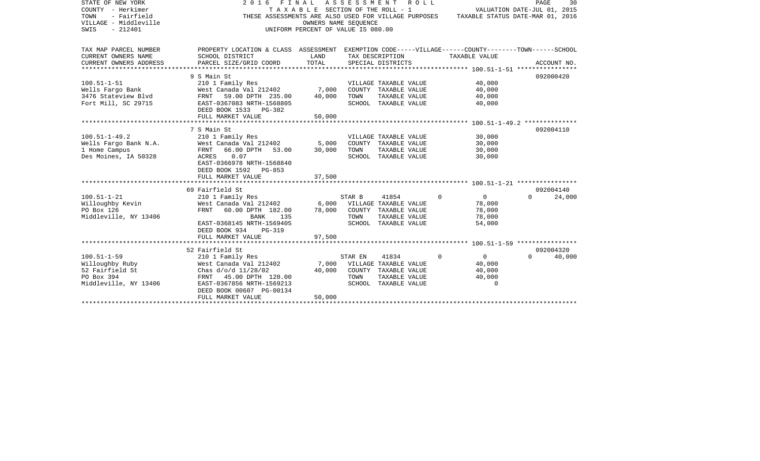| STATE OF NEW YORK                   | 2016                                                                                               | FINAL ASSESSMENT                      |                             |                                       | R O L L     |                                  | PAGE     | 30          |
|-------------------------------------|----------------------------------------------------------------------------------------------------|---------------------------------------|-----------------------------|---------------------------------------|-------------|----------------------------------|----------|-------------|
| COUNTY - Herkimer                   |                                                                                                    | T A X A B L E SECTION OF THE ROLL - 1 |                             |                                       |             | VALUATION DATE-JUL 01, 2015      |          |             |
| - Fairfield<br>TOWN                 | THESE ASSESSMENTS ARE ALSO USED FOR VILLAGE PURPOSES                                               |                                       |                             |                                       |             | TAXABLE STATUS DATE-MAR 01, 2016 |          |             |
| VILLAGE - Middleville<br>SWIS       |                                                                                                    |                                       | OWNERS NAME SEOUENCE        |                                       |             |                                  |          |             |
| $-212401$                           |                                                                                                    | UNIFORM PERCENT OF VALUE IS 080.00    |                             |                                       |             |                                  |          |             |
|                                     |                                                                                                    |                                       |                             |                                       |             |                                  |          |             |
| TAX MAP PARCEL NUMBER               | PROPERTY LOCATION & CLASS ASSESSMENT EXEMPTION CODE-----VILLAGE------COUNTY-------TOWN------SCHOOL |                                       |                             |                                       |             |                                  |          |             |
| CURRENT OWNERS NAME                 | SCHOOL DISTRICT                                                                                    | LAND                                  | TAX DESCRIPTION             |                                       |             | TAXABLE VALUE                    |          |             |
| CURRENT OWNERS ADDRESS              | PARCEL SIZE/GRID COORD                                                                             | TOTAL                                 |                             | SPECIAL DISTRICTS                     |             |                                  |          | ACCOUNT NO. |
|                                     |                                                                                                    |                                       |                             |                                       |             |                                  |          |             |
|                                     | 9 S Main St                                                                                        |                                       |                             |                                       |             |                                  |          | 092000420   |
| $100.51 - 1 - 51$                   | 210 1 Family Res                                                                                   |                                       |                             | VILLAGE TAXABLE VALUE                 |             | 40,000                           |          |             |
| Wells Fargo Bank                    | West Canada Val 212402                                                                             | 7,000                                 |                             | COUNTY TAXABLE VALUE                  |             | 40,000                           |          |             |
| 3476 Stateview Blvd                 | 59.00 DPTH 235.00<br>FRNT                                                                          | 40,000                                | TOWN                        | TAXABLE VALUE                         |             | 40,000                           |          |             |
| Fort Mill, SC 29715                 | EAST-0367083 NRTH-1568805                                                                          |                                       |                             | SCHOOL TAXABLE VALUE                  |             | 40,000                           |          |             |
|                                     | DEED BOOK 1533 PG-382                                                                              |                                       |                             |                                       |             |                                  |          |             |
|                                     | FULL MARKET VALUE                                                                                  | 50,000                                |                             |                                       |             |                                  |          |             |
|                                     |                                                                                                    |                                       |                             |                                       |             |                                  |          | 092004110   |
| $100.51 - 1 - 49.2$                 | 7 S Main St<br>210 1 Family Res                                                                    |                                       |                             | VILLAGE TAXABLE VALUE                 |             | 30,000                           |          |             |
| Wells Fargo Bank N.A.               | West Canada Val 212402                                                                             | 5,000                                 |                             | COUNTY TAXABLE VALUE                  |             | 30,000                           |          |             |
| 1 Home Campus                       | 66.00 DPTH<br>FRNT<br>53.00                                                                        | 30,000                                | TOWN                        | TAXABLE VALUE                         |             | 30,000                           |          |             |
| Des Moines, IA 50328                | ACRES<br>0.07                                                                                      |                                       |                             | SCHOOL TAXABLE VALUE                  |             | 30,000                           |          |             |
|                                     | EAST-0366978 NRTH-1568840                                                                          |                                       |                             |                                       |             |                                  |          |             |
|                                     | DEED BOOK 1592 PG-853                                                                              |                                       |                             |                                       |             |                                  |          |             |
|                                     | FULL MARKET VALUE                                                                                  | 37,500                                |                             |                                       |             |                                  |          |             |
|                                     |                                                                                                    |                                       |                             |                                       |             |                                  |          |             |
|                                     | 69 Fairfield St                                                                                    |                                       |                             |                                       |             |                                  |          | 092004140   |
| $100.51 - 1 - 21$                   | 210 1 Family Res                                                                                   |                                       | STAR B                      | 41854                                 | $\Omega$    | $\mathbf 0$                      | $\Omega$ | 24,000      |
| Willoughby Kevin                    | West Canada Val 212402                                                                             |                                       | 6,000 VILLAGE TAXABLE VALUE |                                       |             | 78,000                           |          |             |
| PO Box 126                          | <b>FRNT</b><br>60.00 DPTH 182.00                                                                   | 78,000                                |                             | COUNTY TAXABLE VALUE                  |             | 78,000                           |          |             |
| Middleville, NY 13406               | BANK<br>135                                                                                        |                                       | TOWN                        | TAXABLE VALUE                         |             | 78,000                           |          |             |
|                                     | EAST-0368145 NRTH-1569405                                                                          |                                       |                             | SCHOOL TAXABLE VALUE                  |             | 54,000                           |          |             |
|                                     | DEED BOOK 934<br><b>PG-319</b>                                                                     |                                       |                             |                                       |             |                                  |          |             |
|                                     | FULL MARKET VALUE                                                                                  | 97,500                                |                             |                                       |             |                                  |          |             |
|                                     |                                                                                                    |                                       |                             |                                       |             |                                  |          |             |
|                                     | 52 Fairfield St                                                                                    |                                       |                             |                                       |             |                                  |          | 092004320   |
| $100.51 - 1 - 59$                   | 210 1 Family Res                                                                                   |                                       | STAR EN                     | 41834                                 | $\mathbf 0$ | $\overline{0}$                   | $\Omega$ | 40,000      |
| Willoughby Ruby                     | West Canada Val 212402                                                                             | 7,000                                 |                             | VILLAGE TAXABLE VALUE                 |             | 40,000                           |          |             |
| 52 Fairfield St                     | Chas d/o/d 11/28/02                                                                                | 40,000                                |                             | COUNTY TAXABLE VALUE                  |             | 40,000                           |          |             |
| PO Box 394<br>Middleville, NY 13406 | FRNT 45.00 DPTH 120.00<br>EAST-0367856 NRTH-1569213                                                |                                       | TOWN                        | TAXABLE VALUE<br>SCHOOL TAXABLE VALUE |             | 40,000<br>$\Omega$               |          |             |
|                                     | DEED BOOK 00607 PG-00134                                                                           |                                       |                             |                                       |             |                                  |          |             |
|                                     | FULL MARKET VALUE                                                                                  | 50,000                                |                             |                                       |             |                                  |          |             |
|                                     |                                                                                                    |                                       |                             |                                       |             |                                  |          |             |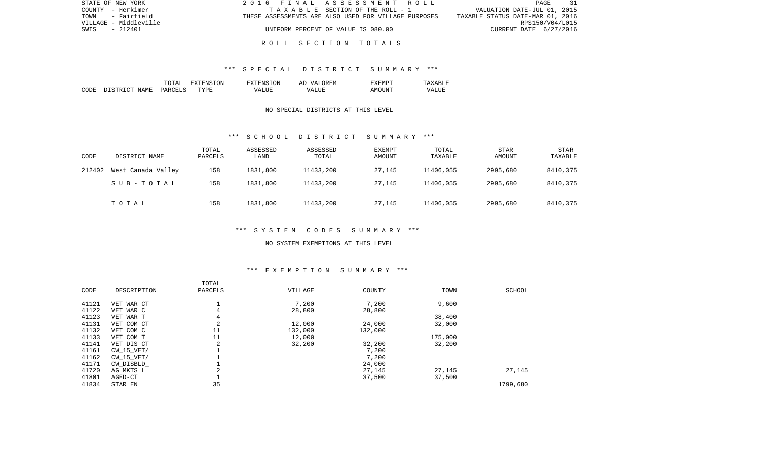| STATE OF NEW YORK     | 2016 FINAL ASSESSMENT ROLL                           |                                  | PAGE 31         |  |
|-----------------------|------------------------------------------------------|----------------------------------|-----------------|--|
| COUNTY - Herkimer     | TAXABLE SECTION OF THE ROLL - 1                      | VALUATION DATE-JUL 01, 2015      |                 |  |
| - Fairfield<br>TOWN   | THESE ASSESSMENTS ARE ALSO USED FOR VILLAGE PURPOSES | TAXABLE STATUS DATE-MAR 01, 2016 |                 |  |
| VILLAGE - Middleville |                                                      |                                  | RPS150/V04/L015 |  |
| SWIS<br>- 212401      | UNIFORM PERCENT OF VALUE IS 080.00                   | CURRENT DATE 6/27/2016           |                 |  |
|                       |                                                      |                                  |                 |  |

### R O L L S E C T I O N T O T A L S

### \*\*\* S P E C I A L D I S T R I C T S U M M A R Y \*\*\*

|      |                             | $m \wedge m \wedge r$<br>∆יויי | <b>TON</b><br>H: N | EXTENSION    | <b>OREM</b><br>'د77<br>$\wedge$ $\vdots$<br>n. | ≤MΡ                     | .               |
|------|-----------------------------|--------------------------------|--------------------|--------------|------------------------------------------------|-------------------------|-----------------|
| CODE | $ \sim$<br>NAME.<br>, CTR T | PARCELS                        | TYPF               | - ---<br>MΔ. | TTT.<br>WΔ<br>.                                | 1N<br>$\mathsf{A}$ IVII | - 17 A L<br>LUP |

### NO SPECIAL DISTRICTS AT THIS LEVEL

#### \*\*\* S C H O O L D I S T R I C T S U M M A R Y \*\*\*

| CODE   | DISTRICT NAME      | TOTAL<br>PARCELS | ASSESSED<br>LAND | ASSESSED<br>TOTAL | EXEMPT<br>AMOUNT | TOTAL<br>TAXABLE | <b>STAR</b><br>AMOUNT | STAR<br>TAXABLE |
|--------|--------------------|------------------|------------------|-------------------|------------------|------------------|-----------------------|-----------------|
| 212402 | West Canada Valley | 158              | 1831,800         | 11433,200         | 27,145           | 11406,055        | 2995,680              | 8410,375        |
|        | SUB-TOTAL          | 158              | 1831,800         | 11433,200         | 27,145           | 11406,055        | 2995,680              | 8410,375        |
|        | TOTAL              | 158              | 1831,800         | 11433,200         | 27,145           | 11406,055        | 2995,680              | 8410,375        |

# \*\*\* S Y S T E M C O D E S S U M M A R Y \*\*\*

#### NO SYSTEM EXEMPTIONS AT THIS LEVEL

# \*\*\* E X E M P T I O N S U M M A R Y \*\*\*

| CODE  | DESCRIPTION | TOTAL<br>PARCELS | VILLAGE | COUNTY  | TOWN    | SCHOOL   |
|-------|-------------|------------------|---------|---------|---------|----------|
| 41121 | VET WAR CT  |                  | 7,200   | 7,200   | 9,600   |          |
| 41122 | VET WAR C   | 4                | 28,800  | 28,800  |         |          |
| 41123 | VET WAR T   | 4                |         |         | 38,400  |          |
| 41131 | VET COM CT  | 2                | 12,000  | 24,000  | 32,000  |          |
| 41132 | VET COM C   | 11               | 132,000 | 132,000 |         |          |
| 41133 | VET COM T   | 11               | 12,000  |         | 175,000 |          |
| 41141 | VET DIS CT  | 2                | 32,200  | 32,200  | 32,200  |          |
| 41161 | CW 15 VET/  |                  |         | 7,200   |         |          |
| 41162 | CW 15 VET/  |                  |         | 7,200   |         |          |
| 41171 | CW DISBLD   |                  |         | 24,000  |         |          |
| 41720 | AG MKTS L   | $\overline{2}$   |         | 27,145  | 27,145  | 27,145   |
| 41801 | AGED-CT     |                  |         | 37,500  | 37,500  |          |
| 41834 | STAR EN     | 35               |         |         |         | 1799,680 |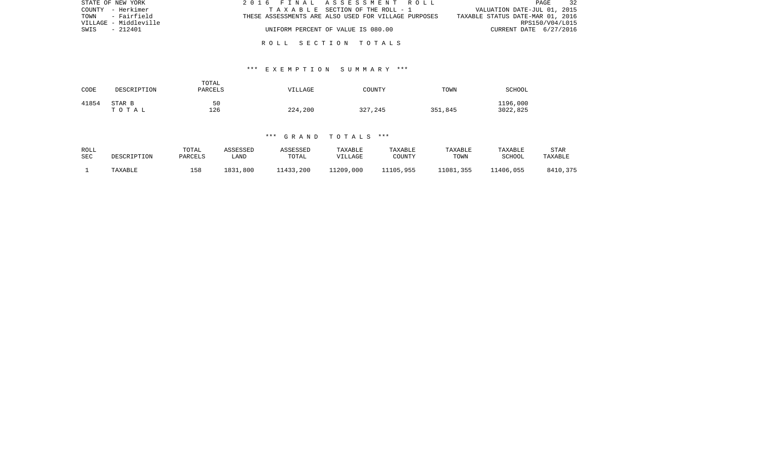| STATE OF NEW YORK     | 2016 FINAL ASSESSMENT ROLL                           | 32<br>PAGE                       |
|-----------------------|------------------------------------------------------|----------------------------------|
| COUNTY - Herkimer     | TAXABLE SECTION OF THE ROLL - 1                      | VALUATION DATE-JUL 01, 2015      |
| TOWN - Fairfield      | THESE ASSESSMENTS ARE ALSO USED FOR VILLAGE PURPOSES | TAXABLE STATUS DATE-MAR 01, 2016 |
| VILLAGE - Middleville |                                                      | RPS150/V04/L015                  |
| - 212401<br>SWIS      | UNIFORM PERCENT OF VALUE IS 080.00                   | CURRENT DATE 6/27/2016           |
|                       |                                                      |                                  |

R O L L S E C T I O N T O T A L S

## \*\*\* E X E M P T I O N S U M M A R Y \*\*\*

| CODE  | DESCRIPTION     | TOTAL<br>PARCELS | VILLAGE | COUNTY  | TOWN    | <b>SCHOOL</b>        |
|-------|-----------------|------------------|---------|---------|---------|----------------------|
| 41854 | STAR B<br>TOTAL | 50<br>126        | 224,200 | 327,245 | 351,845 | 1196,000<br>3022,825 |

### \*\*\* G R A N D T O T A L S \*\*\*

| ROLL | DESCRIPTION | TOTAL   | ASSESSED | ASSESSED  | TAXABLE   | TAXABLE   | TAXABLE   | TAXABLE   | <b>STAR</b> |
|------|-------------|---------|----------|-----------|-----------|-----------|-----------|-----------|-------------|
| SEC  |             | PARCELS | LAND     | TOTAL     | VILLAGE   | COUNTY    | TOWN      | SCHOOL    | TAXABLE     |
|      | TAXABLE     | 158     | 1831,800 | 11433,200 | 11209,000 | 11105,955 | 11081,355 | 11406,055 | 8410,375    |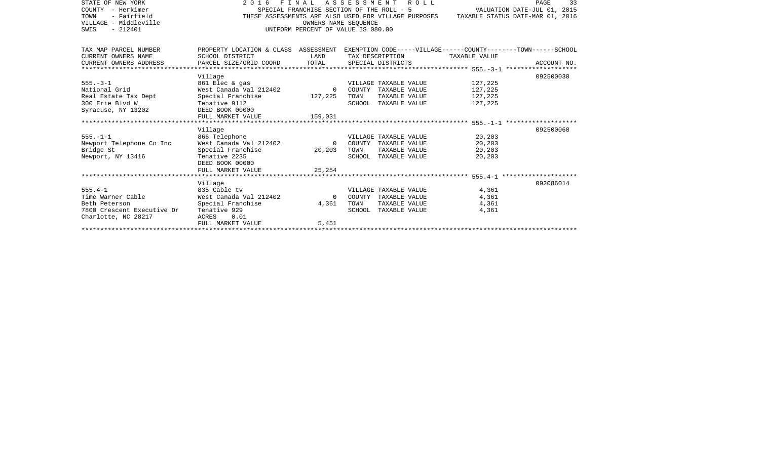| STATE OF NEW YORK<br>COUNTY - Herkimer<br>- Fairfield<br>TOWN<br>VILLAGE - Middleville<br>SWIS<br>$-212401$ | 2016 FINAL<br>SPECIAL FRANCHISE SECTION OF THE ROLL - 5<br>THESE ASSESSMENTS ARE ALSO USED FOR VILLAGE PURPOSES<br>UNIFORM PERCENT OF VALUE IS 080.00 | VALUATION DATE-JUL 01, 2015    | PAGE<br>33<br>TAXABLE STATUS DATE-MAR 01, 2016                                                                                             |                                          |             |
|-------------------------------------------------------------------------------------------------------------|-------------------------------------------------------------------------------------------------------------------------------------------------------|--------------------------------|--------------------------------------------------------------------------------------------------------------------------------------------|------------------------------------------|-------------|
| TAX MAP PARCEL NUMBER<br>CURRENT OWNERS NAME<br>CURRENT OWNERS ADDRESS                                      | SCHOOL DISTRICT<br>PARCEL SIZE/GRID COORD                                                                                                             | LAND<br>TOTAL                  | PROPERTY LOCATION & CLASS ASSESSMENT EXEMPTION CODE-----VILLAGE------COUNTY-------TOWN------SCHOOL<br>TAX DESCRIPTION<br>SPECIAL DISTRICTS | TAXABLE VALUE                            | ACCOUNT NO. |
| $555. - 3 - 1$<br>National Grid<br>Real Estate Tax Dept<br>300 Erie Blyd W<br>Syracuse, NY 13202            | Village<br>861 Elec & gas<br>West Canada Val 212402<br>Special Franchise<br>Tenative 9112<br>DEED BOOK 00000<br>FULL MARKET VALUE                     | $\Omega$<br>127,225<br>159,031 | VILLAGE TAXABLE VALUE<br>COUNTY TAXABLE VALUE<br>TAXABLE VALUE<br>TOWN<br>SCHOOL TAXABLE VALUE                                             | 127,225<br>127,225<br>127,225<br>127,225 | 092500030   |
| $555. - 1 - 1$<br>Newport Telephone Co Inc<br>Bridge St<br>Newport, NY 13416                                | Village<br>866 Telephone<br>West Canada Val 212402<br>Special Franchise<br>Tenative 2235<br>DEED BOOK 00000<br>FULL MARKET VALUE                      | $\Omega$<br>20,203<br>25,254   | VILLAGE TAXABLE VALUE<br>COUNTY TAXABLE VALUE<br>TOWN<br>TAXABLE VALUE<br>SCHOOL TAXABLE VALUE                                             | 20,203<br>20,203<br>20,203<br>20,203     | 092500060   |
| $555.4 - 1$<br>Time Warner Cable<br>Beth Peterson<br>7800 Crescent Executive Dr<br>Charlotte, NC 28217      | Village<br>835 Cable tv<br>West Canada Val 212402<br>Special Franchise<br>Tenative 929<br>0.01<br>ACRES<br>FULL MARKET VALUE                          | $\Omega$<br>4,361<br>5.451     | VILLAGE TAXABLE VALUE<br>COUNTY TAXABLE VALUE<br>TOWN<br>TAXABLE VALUE<br>SCHOOL TAXABLE VALUE                                             | 4,361<br>4,361<br>4,361<br>4,361         | 092086014   |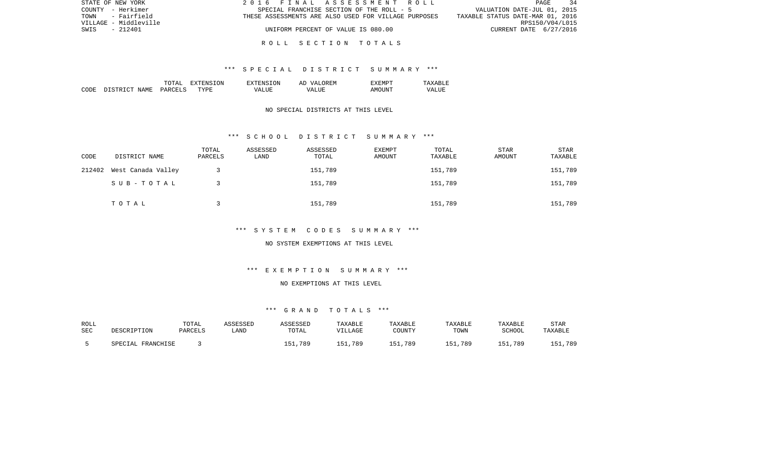| STATE OF NEW YORK     | 2016 FINAL ASSESSMENT ROLL                           |                                  | $\overline{34}$<br>PAGE |
|-----------------------|------------------------------------------------------|----------------------------------|-------------------------|
| COUNTY - Herkimer     | SPECIAL FRANCHISE SECTION OF THE ROLL - 5            | VALUATION DATE-JUL 01, 2015      |                         |
| - Fairfield<br>TOWN   | THESE ASSESSMENTS ARE ALSO USED FOR VILLAGE PURPOSES | TAXABLE STATUS DATE-MAR 01, 2016 |                         |
| VILLAGE - Middleville |                                                      |                                  | RPS150/V04/L015         |
| SWIS<br>- 212401      | UNIFORM PERCENT OF VALUE IS 080.00                   |                                  | CURRENT DATE 6/27/2016  |
|                       |                                                      |                                  |                         |

### R O L L S E C T I O N T O T A L S

### \*\*\* S P E C I A L D I S T R I C T S U M M A R Y \*\*\*

|       |                                  | ͲႶͲϪͳ                          | ON.<br>. . | TON.<br>$\neg$ v $\neg$ F.N.s. | <b>777</b><br>`F.N.<br>AΓ | "XFMPT        |                  |
|-------|----------------------------------|--------------------------------|------------|--------------------------------|---------------------------|---------------|------------------|
| CODE: | <b>NAME</b><br>$\sim$<br>־ פרי פ | <b>PARCET</b><br>$\sim$ $\sim$ | TYPF.      | $- - - -$<br>VА                | $  -$<br>∖7∆<br>.         | TINT.<br>AMOT | VALU.<br>_______ |

## NO SPECIAL DISTRICTS AT THIS LEVEL

#### \*\*\* S C H O O L D I S T R I C T S U M M A R Y \*\*\*

| CODE   | DISTRICT NAME      | TOTAL<br>PARCELS | ASSESSED<br>LAND | ASSESSED<br>TOTAL | <b>EXEMPT</b><br>AMOUNT | TOTAL<br>TAXABLE | STAR<br>AMOUNT | STAR<br>TAXABLE |
|--------|--------------------|------------------|------------------|-------------------|-------------------------|------------------|----------------|-----------------|
| 212402 | West Canada Valley |                  |                  | 151,789           |                         | 151,789          |                | 151,789         |
|        | SUB-TOTAL          |                  |                  | 151,789           |                         | 151,789          |                | 151,789         |
|        | TOTAL              |                  |                  | 151,789           |                         | 151,789          |                | 151,789         |

# \*\*\* S Y S T E M C O D E S S U M M A R Y \*\*\*

#### NO SYSTEM EXEMPTIONS AT THIS LEVEL

# \*\*\* E X E M P T I O N S U M M A R Y \*\*\*

## NO EXEMPTIONS AT THIS LEVEL

# \*\*\* G R A N D T O T A L S \*\*\*

| ROLL |                   | TOTAL   | ASSESSED | ASSESSED | <b>TAXABLE</b> | TAXABLE | TAXABLE | TAXABLE | <b>STAR</b> |
|------|-------------------|---------|----------|----------|----------------|---------|---------|---------|-------------|
| SEC  | DESCRIPTION       | PARCELS | ∟AND     | TOTAL    | VILLAGE        | COUNTY  | TOWN    | SCHOOL  | TAXABLE     |
|      | SPECIAL FRANCHISE |         |          | 151,789  | 151,789        | 151,789 | 151,789 | 151,789 | 151,789     |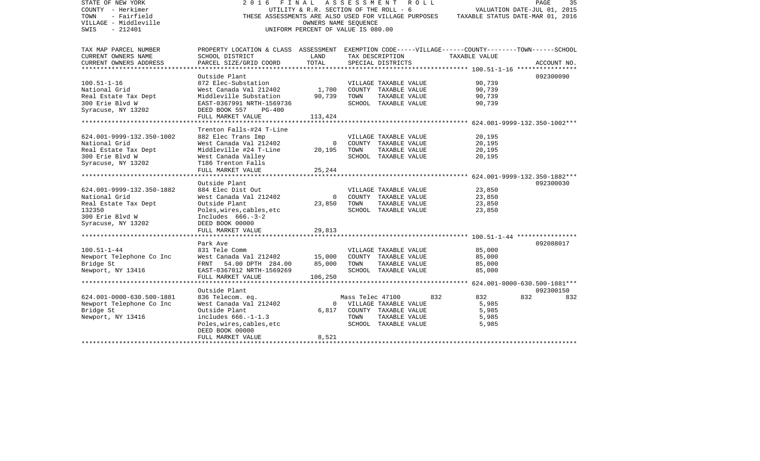| STATE OF NEW YORK<br>COUNTY - Herkimer<br>- Fairfield<br>TOWN<br>VILLAGE - Middleville<br>$-212401$<br>SWIS | 2016                                                                                                                  | FINAL<br>UTILITY & R.R. SECTION OF THE ROLL - 6<br>OWNERS NAME SEQUENCE<br>UNIFORM PERCENT OF VALUE IS 080.00 |                  | A S S E S S M E N T A O L L<br>THESE ASSESSMENTS ARE ALSO USED FOR VILLAGE PURPOSES | TAXABLE STATUS DATE-MAR 01, 2016 | PAGE<br>VALUATION DATE-JUL 01, 2015 | 35          |
|-------------------------------------------------------------------------------------------------------------|-----------------------------------------------------------------------------------------------------------------------|---------------------------------------------------------------------------------------------------------------|------------------|-------------------------------------------------------------------------------------|----------------------------------|-------------------------------------|-------------|
| TAX MAP PARCEL NUMBER<br>CURRENT OWNERS NAME                                                                | PROPERTY LOCATION & CLASS ASSESSMENT EXEMPTION CODE-----VILLAGE------COUNTY-------TOWN------SCHOOL<br>SCHOOL DISTRICT | LAND                                                                                                          |                  | TAX DESCRIPTION                                                                     | TAXABLE VALUE                    |                                     |             |
| CURRENT OWNERS ADDRESS                                                                                      | PARCEL SIZE/GRID COORD                                                                                                | TOTAL                                                                                                         |                  | SPECIAL DISTRICTS                                                                   |                                  |                                     | ACCOUNT NO. |
| *************************                                                                                   | ************************                                                                                              |                                                                                                               |                  |                                                                                     |                                  |                                     |             |
|                                                                                                             | Outside Plant                                                                                                         |                                                                                                               |                  |                                                                                     |                                  |                                     | 092300090   |
| $100.51 - 1 - 16$                                                                                           | 872 Elec-Substation                                                                                                   |                                                                                                               |                  | VILLAGE TAXABLE VALUE                                                               | 90,739                           |                                     |             |
| National Grid                                                                                               | West Canada Val 212402                                                                                                | 1,700                                                                                                         |                  | COUNTY TAXABLE VALUE                                                                | 90,739                           |                                     |             |
| Real Estate Tax Dept                                                                                        | Middleville Substation                                                                                                | 90,739                                                                                                        | TOWN             | TAXABLE VALUE                                                                       | 90,739                           |                                     |             |
| 300 Erie Blvd W                                                                                             | EAST-0367991 NRTH-1569736<br>$PG-400$                                                                                 |                                                                                                               |                  | SCHOOL TAXABLE VALUE                                                                | 90,739                           |                                     |             |
| Syracuse, NY 13202                                                                                          | DEED BOOK 557<br>FULL MARKET VALUE                                                                                    | 113,424                                                                                                       |                  |                                                                                     |                                  |                                     |             |
|                                                                                                             |                                                                                                                       |                                                                                                               |                  |                                                                                     |                                  |                                     |             |
|                                                                                                             | Trenton Falls-#24 T-Line                                                                                              |                                                                                                               |                  |                                                                                     |                                  |                                     |             |
| 624.001-9999-132.350-1002                                                                                   | 882 Elec Trans Imp                                                                                                    |                                                                                                               |                  | VILLAGE TAXABLE VALUE                                                               | 20,195                           |                                     |             |
| National Grid                                                                                               | West Canada Val 212402                                                                                                | $\mathsf{O}$                                                                                                  |                  | COUNTY TAXABLE VALUE                                                                | 20,195                           |                                     |             |
| Real Estate Tax Dept                                                                                        | Middleville #24 T-Line                                                                                                | 20,195                                                                                                        | TOWN             | TAXABLE VALUE                                                                       | 20,195                           |                                     |             |
| 300 Erie Blvd W                                                                                             | West Canada Valley                                                                                                    |                                                                                                               |                  | SCHOOL TAXABLE VALUE                                                                | 20,195                           |                                     |             |
| Syracuse, NY 13202                                                                                          | T186 Trenton Falls                                                                                                    |                                                                                                               |                  |                                                                                     |                                  |                                     |             |
| **************************                                                                                  | FULL MARKET VALUE                                                                                                     | 25,244                                                                                                        |                  |                                                                                     |                                  |                                     |             |
|                                                                                                             | Outside Plant                                                                                                         |                                                                                                               |                  |                                                                                     |                                  |                                     | 092300030   |
| 624.001-9999-132.350-1882                                                                                   | 884 Elec Dist Out                                                                                                     |                                                                                                               |                  | VILLAGE TAXABLE VALUE                                                               | 23,850                           |                                     |             |
| National Grid                                                                                               | West Canada Val 212402                                                                                                | $\Omega$                                                                                                      |                  | COUNTY TAXABLE VALUE                                                                | 23,850                           |                                     |             |
| Real Estate Tax Dept                                                                                        | Outside Plant                                                                                                         | 23,850                                                                                                        | TOWN             | TAXABLE VALUE                                                                       | 23,850                           |                                     |             |
| 132350                                                                                                      | Poles, wires, cables, etc                                                                                             |                                                                                                               |                  | SCHOOL TAXABLE VALUE                                                                | 23,850                           |                                     |             |
| 300 Erie Blvd W                                                                                             | Includes $666. -3-2$                                                                                                  |                                                                                                               |                  |                                                                                     |                                  |                                     |             |
| Syracuse, NY 13202                                                                                          | DEED BOOK 00000                                                                                                       |                                                                                                               |                  |                                                                                     |                                  |                                     |             |
|                                                                                                             | FULL MARKET VALUE                                                                                                     | 29,813                                                                                                        |                  |                                                                                     |                                  |                                     |             |
|                                                                                                             | Park Ave                                                                                                              |                                                                                                               |                  |                                                                                     |                                  |                                     | 092088017   |
| $100.51 - 1 - 44$                                                                                           | 831 Tele Comm                                                                                                         |                                                                                                               |                  | VILLAGE TAXABLE VALUE                                                               | 85,000                           |                                     |             |
| Newport Telephone Co Inc                                                                                    | West Canada Val 212402                                                                                                | 15,000                                                                                                        |                  | COUNTY TAXABLE VALUE                                                                | 85,000                           |                                     |             |
| Bridge St                                                                                                   | FRNT 54.00 DPTH 284.00                                                                                                | 85,000                                                                                                        | TOWN             | TAXABLE VALUE                                                                       | 85,000                           |                                     |             |
| Newport, NY 13416                                                                                           | EAST-0367012 NRTH-1569269                                                                                             |                                                                                                               |                  | SCHOOL TAXABLE VALUE                                                                | 85,000                           |                                     |             |
|                                                                                                             | FULL MARKET VALUE                                                                                                     | 106,250                                                                                                       |                  |                                                                                     |                                  |                                     |             |
|                                                                                                             | ********************                                                                                                  |                                                                                                               |                  |                                                                                     |                                  |                                     |             |
|                                                                                                             | Outside Plant                                                                                                         |                                                                                                               |                  |                                                                                     |                                  |                                     | 092300150   |
| 624.001-0000-630.500-1881                                                                                   | 836 Telecom. eq.                                                                                                      |                                                                                                               | Mass Telec 47100 |                                                                                     | 832<br>832                       | 832                                 | 832         |
| Newport Telephone Co Inc                                                                                    | West Canada Val 212402                                                                                                | $\overline{0}$                                                                                                |                  | VILLAGE TAXABLE VALUE                                                               | 5,985                            |                                     |             |
| Bridge St                                                                                                   | Outside Plant                                                                                                         | 6,817                                                                                                         |                  | COUNTY TAXABLE VALUE                                                                | 5,985                            |                                     |             |
| Newport, NY 13416                                                                                           | includes $666. -1 - 1.3$<br>Poles, wires, cables, etc                                                                 |                                                                                                               | TOWN             | TAXABLE VALUE<br>SCHOOL TAXABLE VALUE                                               | 5,985<br>5,985                   |                                     |             |
|                                                                                                             | DEED BOOK 00000                                                                                                       |                                                                                                               |                  |                                                                                     |                                  |                                     |             |
|                                                                                                             | FULL MARKET VALUE                                                                                                     | 8,521                                                                                                         |                  |                                                                                     |                                  |                                     |             |
|                                                                                                             |                                                                                                                       |                                                                                                               |                  |                                                                                     |                                  |                                     |             |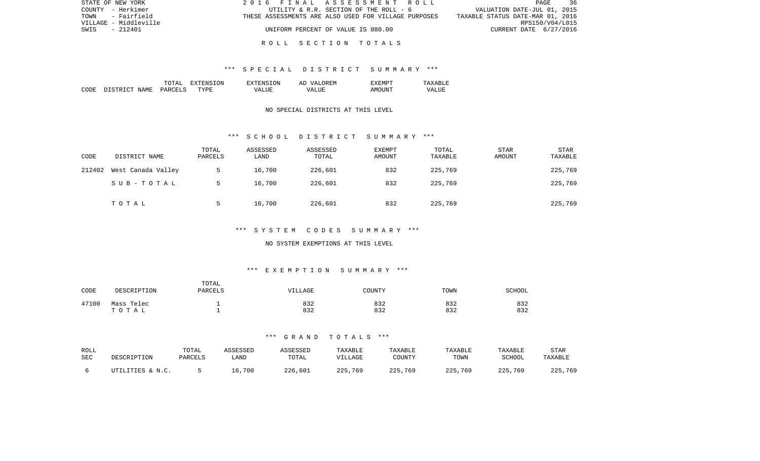| STATE OF NEW YORK     | 2016 FINAL ASSESSMENT ROLL                           | PAGE<br>- 36                     |
|-----------------------|------------------------------------------------------|----------------------------------|
| COUNTY - Herkimer     | UTILITY & R.R. SECTION OF THE ROLL - 6               | VALUATION DATE-JUL 01, 2015      |
| - Fairfield<br>TOWN   | THESE ASSESSMENTS ARE ALSO USED FOR VILLAGE PURPOSES | TAXABLE STATUS DATE-MAR 01, 2016 |
| VILLAGE - Middleville |                                                      | RPS150/V04/L015                  |
| SWIS<br>$-212401$     | UNIFORM PERCENT OF VALUE IS 080.00                   | CURRENT DATE 6/27/2016           |
|                       |                                                      |                                  |

### R O L L S E C T I O N T O T A L S

### \*\*\* S P E C I A L D I S T R I C T S U M M A R Y \*\*\*

|       |                                  | ͲႶͲϪͳ                          | ON.<br>. . | TON.<br>$\neg$ v $\neg$ F.N.s. | <b>777</b><br>`F.N.<br>AΓ | "XFMPT        |                  |
|-------|----------------------------------|--------------------------------|------------|--------------------------------|---------------------------|---------------|------------------|
| CODE: | <b>NAME</b><br>$\sim$<br>־ פרי פ | <b>PARCET</b><br>$\sim$ $\sim$ | TYPF.      | $- - - -$<br>VА                | - ---<br>∖7∆<br>.         | TINT.<br>AMOT | VALU.<br>_______ |

### NO SPECIAL DISTRICTS AT THIS LEVEL

#### \*\*\* S C H O O L D I S T R I C T S U M M A R Y \*\*\*

| CODE   | DISTRICT NAME      | TOTAL<br>PARCELS | ASSESSED<br>LAND | ASSESSED<br>TOTAL | EXEMPT<br>AMOUNT | TOTAL<br>TAXABLE | <b>STAR</b><br><b>AMOUNT</b> | <b>STAR</b><br>TAXABLE |
|--------|--------------------|------------------|------------------|-------------------|------------------|------------------|------------------------------|------------------------|
| 212402 | West Canada Valley |                  | 16,700           | 226,601           | 832              | 225,769          |                              | 225,769                |
|        | SUB-TOTAL          | .5               | 16,700           | 226,601           | 832              | 225,769          |                              | 225,769                |
|        | TOTAL              |                  | 16,700           | 226,601           | 832              | 225,769          |                              | 225,769                |

# \*\*\* S Y S T E M C O D E S S U M M A R Y \*\*\*

#### NO SYSTEM EXEMPTIONS AT THIS LEVEL

# \*\*\* E X E M P T I O N S U M M A R Y \*\*\*

| CODE  | DESCRIPTION | TOTAL<br>PARCELS | VILLAGE | COUNTY | TOWN | SCHOOL |
|-------|-------------|------------------|---------|--------|------|--------|
| 47100 | Mass Telec  |                  | 832     | 832    | 832  | 832    |
|       | TOTAL       |                  | 832     | 832    | 832  | 832    |

### \*\*\* G R A N D T O T A L S \*\*\*

| ROLL | DESCRIPTION      | TOTAL   | ASSESSED | ASSESSED | TAXABLE | TAXABLE | TAXABLE | TAXABLE | <b>STAR</b> |
|------|------------------|---------|----------|----------|---------|---------|---------|---------|-------------|
| SEC  |                  | PARCELS | LAND     | TOTAL    | VILLAGE | COUNTY  | TOWN    | SCHOOL  | TAXABLE     |
|      | UTILITIES & N.C. |         | 16,700   | 226,601  | 225,769 | 225,769 | 225,769 | 225,769 | 225,769     |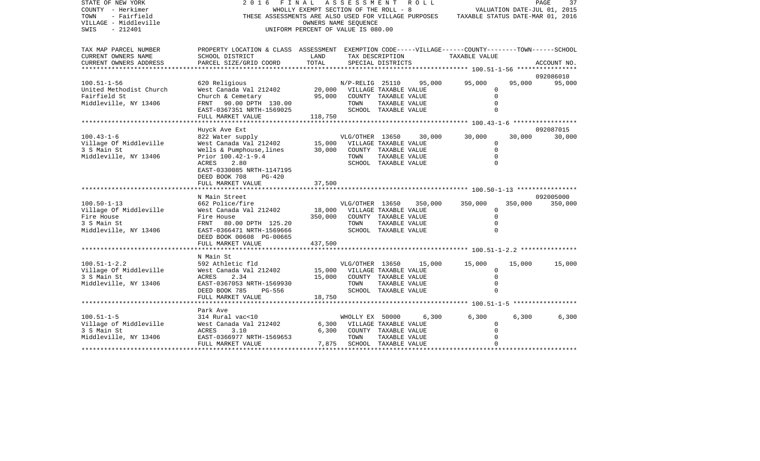| STATE OF NEW YORK<br>COUNTY - Herkimer<br>TOWN<br>- Fairfield<br>VILLAGE - Middleville<br>SWIS<br>$-212401$ | 2016<br>THESE ASSESSMENTS ARE ALSO USED FOR VILLAGE PURPOSES                                                          | FINAL ASSESSMENT ROLL<br>WHOLLY EXEMPT SECTION OF THE ROLL - 8<br>OWNERS NAME SEQUENCE<br>UNIFORM PERCENT OF VALUE IS 080.00 |                             |                                       |         | TAXABLE STATUS DATE-MAR 01, 2016 |         | PAGE<br>37<br>VALUATION DATE-JUL 01, 2015 |
|-------------------------------------------------------------------------------------------------------------|-----------------------------------------------------------------------------------------------------------------------|------------------------------------------------------------------------------------------------------------------------------|-----------------------------|---------------------------------------|---------|----------------------------------|---------|-------------------------------------------|
| TAX MAP PARCEL NUMBER<br>CURRENT OWNERS NAME                                                                | PROPERTY LOCATION & CLASS ASSESSMENT EXEMPTION CODE-----VILLAGE------COUNTY-------TOWN------SCHOOL<br>SCHOOL DISTRICT | LAND                                                                                                                         |                             | TAX DESCRIPTION                       |         | TAXABLE VALUE                    |         |                                           |
| CURRENT OWNERS ADDRESS<br>******************                                                                | PARCEL SIZE/GRID COORD                                                                                                | TOTAL                                                                                                                        |                             | SPECIAL DISTRICTS                     |         |                                  |         | ACCOUNT NO.                               |
|                                                                                                             |                                                                                                                       |                                                                                                                              |                             |                                       |         |                                  |         | 092086010                                 |
| $100.51 - 1 - 56$                                                                                           | 620 Religious                                                                                                         |                                                                                                                              | N/P-RELIG 25110             |                                       | 95,000  | 95,000                           | 95,000  | 95,000                                    |
| United Methodist Church                                                                                     | West Canada Val 212402                                                                                                | 20,000                                                                                                                       | VILLAGE TAXABLE VALUE       |                                       |         | $\Omega$                         |         |                                           |
| Fairfield St                                                                                                | Church & Cemetary                                                                                                     | 95,000                                                                                                                       |                             | COUNTY TAXABLE VALUE                  |         | $\Omega$                         |         |                                           |
| Middleville, NY 13406                                                                                       | FRNT 90.00 DPTH 130.00                                                                                                |                                                                                                                              | TOWN                        | TAXABLE VALUE                         |         | $\Omega$                         |         |                                           |
|                                                                                                             | EAST-0367351 NRTH-1569025                                                                                             |                                                                                                                              |                             | SCHOOL TAXABLE VALUE                  |         | $\Omega$                         |         |                                           |
|                                                                                                             | FULL MARKET VALUE                                                                                                     | 118,750                                                                                                                      |                             |                                       |         |                                  |         |                                           |
|                                                                                                             | Huyck Ave Ext                                                                                                         |                                                                                                                              |                             |                                       |         |                                  |         | 092087015                                 |
| $100.43 - 1 - 6$                                                                                            | 822 Water supply                                                                                                      |                                                                                                                              | VLG/OTHER 13650             |                                       | 30,000  | 30,000                           | 30,000  | 30,000                                    |
| Village Of Middleville                                                                                      | West Canada Val 212402                                                                                                | 15,000                                                                                                                       | VILLAGE TAXABLE VALUE       |                                       |         | $\mathbf 0$                      |         |                                           |
| 3 S Main St                                                                                                 | Wells & Pumphouse, lines                                                                                              | 30,000                                                                                                                       |                             | COUNTY TAXABLE VALUE                  |         | $\Omega$                         |         |                                           |
| Middleville, NY 13406                                                                                       | Prior 100.42-1-9.4                                                                                                    |                                                                                                                              | TOWN                        | TAXABLE VALUE                         |         | $\Omega$                         |         |                                           |
|                                                                                                             | ACRES<br>2.80                                                                                                         |                                                                                                                              |                             | SCHOOL TAXABLE VALUE                  |         | $\mathbf 0$                      |         |                                           |
|                                                                                                             | EAST-0330085 NRTH-1147195                                                                                             |                                                                                                                              |                             |                                       |         |                                  |         |                                           |
|                                                                                                             | DEED BOOK 708<br>$PG-420$                                                                                             |                                                                                                                              |                             |                                       |         |                                  |         |                                           |
|                                                                                                             | FULL MARKET VALUE                                                                                                     | 37,500                                                                                                                       |                             |                                       |         |                                  |         |                                           |
|                                                                                                             |                                                                                                                       |                                                                                                                              |                             |                                       |         |                                  |         |                                           |
| $100.50 - 1 - 13$                                                                                           | N Main Street<br>662 Police/fire                                                                                      |                                                                                                                              | VLG/OTHER 13650             |                                       | 350,000 | 350,000                          | 350,000 | 092005000<br>350,000                      |
| Village Of Middleville                                                                                      | West Canada Val 212402                                                                                                | 18,000                                                                                                                       | VILLAGE TAXABLE VALUE       |                                       |         | $\mathbf 0$                      |         |                                           |
| Fire House                                                                                                  | Fire House                                                                                                            | 350,000                                                                                                                      |                             | COUNTY TAXABLE VALUE                  |         | $\Omega$                         |         |                                           |
| 3 S Main St                                                                                                 | FRNT 80.00 DPTH 125.20                                                                                                |                                                                                                                              | TOWN                        | TAXABLE VALUE                         |         | $\mathbf 0$                      |         |                                           |
| Middleville, NY 13406                                                                                       | EAST-0366471 NRTH-1569666                                                                                             |                                                                                                                              |                             | SCHOOL TAXABLE VALUE                  |         | $\Omega$                         |         |                                           |
|                                                                                                             | DEED BOOK 00608 PG-00665                                                                                              |                                                                                                                              |                             |                                       |         |                                  |         |                                           |
|                                                                                                             | FULL MARKET VALUE                                                                                                     | 437,500                                                                                                                      |                             |                                       |         |                                  |         |                                           |
|                                                                                                             | ******************                                                                                                    | **********                                                                                                                   |                             |                                       |         |                                  |         |                                           |
|                                                                                                             | N Main St                                                                                                             |                                                                                                                              |                             |                                       |         |                                  |         |                                           |
| $100.51 - 1 - 2.2$                                                                                          | 592 Athletic fld                                                                                                      |                                                                                                                              | VLG/OTHER 13650             |                                       | 15,000  | 15,000                           | 15,000  | 15,000                                    |
| Village Of Middleville                                                                                      | West Canada Val 212402                                                                                                | 15,000                                                                                                                       | VILLAGE TAXABLE VALUE       |                                       |         | 0                                |         |                                           |
| 3 S Main St                                                                                                 | 2.34<br>ACRES                                                                                                         | 15,000                                                                                                                       |                             | COUNTY TAXABLE VALUE                  |         | $\mathbf 0$                      |         |                                           |
| Middleville, NY 13406                                                                                       | EAST-0367053 NRTH-1569930<br>DEED BOOK 785<br>PG-556                                                                  |                                                                                                                              | TOWN                        | TAXABLE VALUE<br>SCHOOL TAXABLE VALUE |         | $\Omega$<br>$\Omega$             |         |                                           |
|                                                                                                             | FULL MARKET VALUE                                                                                                     | 18,750                                                                                                                       |                             |                                       |         |                                  |         |                                           |
|                                                                                                             |                                                                                                                       |                                                                                                                              |                             |                                       |         |                                  |         |                                           |
|                                                                                                             | Park Ave                                                                                                              |                                                                                                                              |                             |                                       |         |                                  |         |                                           |
| $100.51 - 1 - 5$                                                                                            | 314 Rural vac<10                                                                                                      |                                                                                                                              | WHOLLY EX 50000             |                                       | 6,300   | 6,300                            | 6,300   | 6,300                                     |
| Village of Middleville                                                                                      | West Canada Val 212402                                                                                                |                                                                                                                              | 6,300 VILLAGE TAXABLE VALUE |                                       |         | $\Omega$                         |         |                                           |
| 3 S Main St                                                                                                 | 3.10<br>ACRES                                                                                                         | 6,300                                                                                                                        |                             | COUNTY TAXABLE VALUE                  |         | $\Omega$                         |         |                                           |
| Middleville, NY 13406                                                                                       | EAST-0366977 NRTH-1569653                                                                                             |                                                                                                                              | TOWN                        | TAXABLE VALUE                         |         | $\mathbf 0$                      |         |                                           |
|                                                                                                             | FULL MARKET VALUE                                                                                                     | 7,875                                                                                                                        |                             | SCHOOL TAXABLE VALUE                  |         |                                  |         |                                           |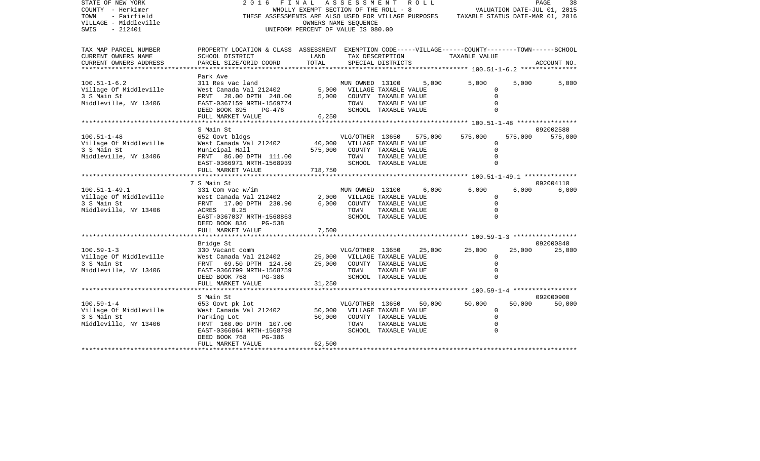| STATE OF NEW YORK<br>COUNTY - Herkimer<br>TOWN<br>- Fairfield<br>VILLAGE - Middleville<br>$-212401$<br>SWIS | 2016                                                                                                                                                          | FINAL ASSESSMENT ROLL<br>WHOLLY EXEMPT SECTION OF THE ROLL - 8<br>UNIFORM PERCENT OF VALUE IS 080.00 | OWNERS NAME SEQUENCE                                   |                                                                                        |         | THESE ASSESSMENTS ARE ALSO USED FOR VILLAGE PURPOSES TAXABLE STATUS DATE-MAR 01, 2016 |         | 38<br>PAGE<br>VALUATION DATE-JUL 01, 2015 |
|-------------------------------------------------------------------------------------------------------------|---------------------------------------------------------------------------------------------------------------------------------------------------------------|------------------------------------------------------------------------------------------------------|--------------------------------------------------------|----------------------------------------------------------------------------------------|---------|---------------------------------------------------------------------------------------|---------|-------------------------------------------|
| TAX MAP PARCEL NUMBER<br>CURRENT OWNERS NAME<br>CURRENT OWNERS ADDRESS                                      | PROPERTY LOCATION & CLASS ASSESSMENT EXEMPTION CODE-----VILLAGE------COUNTY-------TOWN------SCHOOL<br>SCHOOL DISTRICT<br>PARCEL SIZE/GRID COORD               | LAND<br>TOTAL                                                                                        |                                                        | TAX DESCRIPTION<br>SPECIAL DISTRICTS                                                   |         | TAXABLE VALUE                                                                         |         | ACCOUNT NO.                               |
| **************                                                                                              |                                                                                                                                                               |                                                                                                      |                                                        |                                                                                        |         |                                                                                       |         |                                           |
| $100.51 - 1 - 6.2$<br>Village Of Middleville<br>3 S Main St<br>Middleville, NY 13406                        | Park Ave<br>311 Res vac land<br>West Canada Val 212402<br>FRNT 20.00 DPTH 248.00<br>EAST-0367159 NRTH-1569774<br>DEED BOOK 895<br>PG-476                      | 5,000                                                                                                | MUN OWNED 13100<br>5,000 VILLAGE TAXABLE VALUE<br>TOWN | COUNTY TAXABLE VALUE<br>TAXABLE VALUE<br>SCHOOL TAXABLE VALUE                          | 5,000   | 5,000<br>$\Omega$<br>$\Omega$<br>$\Omega$<br>$\Omega$                                 | 5,000   | 5,000                                     |
|                                                                                                             | FULL MARKET VALUE                                                                                                                                             | 6,250                                                                                                |                                                        |                                                                                        |         |                                                                                       |         |                                           |
|                                                                                                             | S Main St                                                                                                                                                     |                                                                                                      |                                                        |                                                                                        |         |                                                                                       |         | 092002580                                 |
| $100.51 - 1 - 48$<br>Village Of Middleville<br>3 S Main St<br>Middleville, NY 13406                         | 652 Govt bldgs<br>West Canada Val 212402<br>Municipal Hall<br>FRNT 86.00 DPTH 111.00<br>EAST-0366971 NRTH-1568939                                             | 40,000<br>575,000                                                                                    | VLG/OTHER 13650<br>TOWN                                | VILLAGE TAXABLE VALUE<br>COUNTY TAXABLE VALUE<br>TAXABLE VALUE<br>SCHOOL TAXABLE VALUE | 575,000 | 575,000<br>$\overline{0}$<br>$\Omega$<br>$\Omega$<br>$\Omega$                         | 575,000 | 575,000                                   |
|                                                                                                             | FULL MARKET VALUE                                                                                                                                             | 718,750                                                                                              |                                                        |                                                                                        |         |                                                                                       |         |                                           |
|                                                                                                             | 7 S Main St                                                                                                                                                   |                                                                                                      |                                                        |                                                                                        |         |                                                                                       |         | 092004110                                 |
| $100.51 - 1 - 49.1$<br>Village Of Middleville<br>3 S Main St<br>Middleville, NY 13406                       | 331 Com vac w/im<br>West Canada Val 212402<br>FRNT 17.00 DPTH 230.90<br>0.25<br>ACRES<br>EAST-0367037 NRTH-1568863<br>DEED BOOK 836<br>PG-538                 | 2,000<br>6,000                                                                                       | MUN OWNED 13100<br>TOWN                                | VILLAGE TAXABLE VALUE<br>COUNTY TAXABLE VALUE<br>TAXABLE VALUE<br>SCHOOL TAXABLE VALUE | 6,000   | 6,000<br>$\Omega$<br>$\Omega$<br>$\Omega$                                             | 6,000   | 6,000                                     |
|                                                                                                             | FULL MARKET VALUE                                                                                                                                             | 7,500                                                                                                |                                                        |                                                                                        |         |                                                                                       |         |                                           |
|                                                                                                             |                                                                                                                                                               |                                                                                                      |                                                        |                                                                                        |         |                                                                                       |         |                                           |
| $100.59 - 1 - 3$<br>Village Of Middleville<br>3 S Main St<br>Middleville, NY 13406                          | Bridge St<br>330 Vacant comm<br>West Canada Val 212402<br>FRNT 69.50 DPTH 124.50<br>EAST-0366799 NRTH-1568759<br>DEED BOOK 768<br>PG-386<br>FULL MARKET VALUE | 25,000<br>25,000<br>31,250                                                                           | VLG/OTHER 13650<br>TOWN                                | VILLAGE TAXABLE VALUE<br>COUNTY TAXABLE VALUE<br>TAXABLE VALUE<br>SCHOOL TAXABLE VALUE | 25,000  | 25,000<br>$\Omega$<br>$\Omega$<br>$\Omega$<br>$\Omega$                                | 25,000  | 092000840<br>25,000                       |
|                                                                                                             |                                                                                                                                                               |                                                                                                      |                                                        |                                                                                        |         |                                                                                       |         |                                           |
|                                                                                                             | S Main St                                                                                                                                                     |                                                                                                      |                                                        |                                                                                        |         |                                                                                       |         | 092000900                                 |
| $100.59 - 1 - 4$<br>Village Of Middleville<br>3 S Main St<br>Middleville, NY 13406                          | 653 Govt pk lot<br>West Canada Val 212402<br>Parking Lot<br>FRNT 160.00 DPTH 107.00<br>EAST-0366864 NRTH-1568798<br>PG-386<br>DEED BOOK 768                   | 50,000<br>50,000                                                                                     | VLG/OTHER 13650<br>TOWN                                | VILLAGE TAXABLE VALUE<br>COUNTY TAXABLE VALUE<br>TAXABLE VALUE<br>SCHOOL TAXABLE VALUE | 50,000  | 50,000<br>$\Omega$<br>$\mathbf 0$<br>$\mathbf 0$<br>$\Omega$                          | 50,000  | 50,000                                    |
|                                                                                                             | FULL MARKET VALUE                                                                                                                                             | 62,500                                                                                               |                                                        |                                                                                        |         |                                                                                       |         |                                           |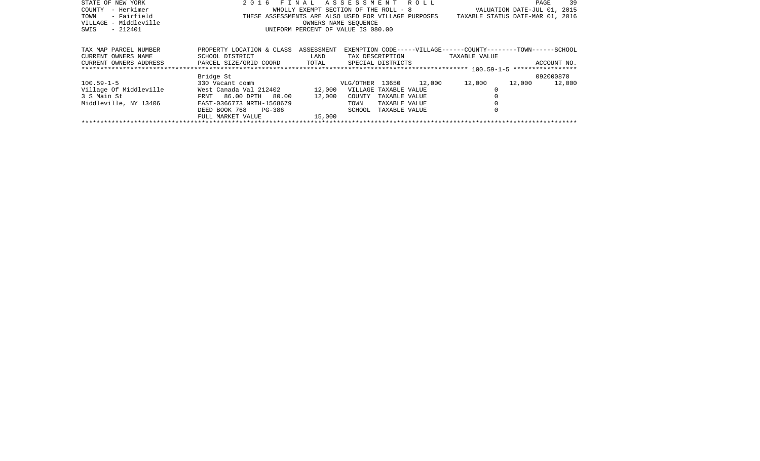| STATE OF NEW YORK      | 2016 FINAL ASSESSMENT ROLL                           |                                       |                        |               |                   |                                                               | PAGE                        | 39          |
|------------------------|------------------------------------------------------|---------------------------------------|------------------------|---------------|-------------------|---------------------------------------------------------------|-----------------------------|-------------|
| – Herkimer<br>COUNTY   |                                                      | WHOLLY EXEMPT SECTION OF THE ROLL - 8 |                        |               |                   |                                                               | VALUATION DATE-JUL 01, 2015 |             |
| - Fairfield<br>TOWN    | THESE ASSESSMENTS ARE ALSO USED FOR VILLAGE PURPOSES |                                       |                        |               |                   | TAXABLE STATUS DATE-MAR 01, 2016                              |                             |             |
| VILLAGE - Middleville  |                                                      |                                       | OWNERS NAME SEOUENCE   |               |                   |                                                               |                             |             |
| - 212401<br>SWIS       |                                                      | UNIFORM PERCENT OF VALUE IS 080.00    |                        |               |                   |                                                               |                             |             |
|                        |                                                      |                                       |                        |               |                   |                                                               |                             |             |
|                        |                                                      |                                       |                        |               |                   |                                                               |                             |             |
| TAX MAP PARCEL NUMBER  | PROPERTY LOCATION & CLASS                            | ASSESSMENT                            |                        |               |                   | EXEMPTION CODE-----VILLAGE------COUNTY-------TOWN------SCHOOL |                             |             |
| CURRENT OWNERS NAME    | SCHOOL DISTRICT                                      | <b>LAND</b>                           |                        |               | TAX DESCRIPTION   | TAXABLE VALUE                                                 |                             |             |
| CURRENT OWNERS ADDRESS | PARCEL SIZE/GRID COORD TOTAL                         |                                       |                        |               | SPECIAL DISTRICTS |                                                               |                             | ACCOUNT NO. |
|                        |                                                      |                                       |                        |               |                   |                                                               |                             |             |
|                        | Bridge St                                            |                                       |                        |               |                   |                                                               | 092000870                   |             |
| $100.59 - 1 - 5$       | 330 Vacant comm                                      |                                       | VLG/OTHER 13650 12,000 |               |                   | 12,000                                                        | 12,000                      | 12,000      |
| Village Of Middleville | West Canada Val 212402                               | 12,000                                | VILLAGE TAXABLE VALUE  |               |                   |                                                               |                             |             |
| 3 S Main St            | FRNT 86.00 DPTH 80.00                                | 12,000                                | COUNTY                 | TAXABLE VALUE |                   |                                                               |                             |             |
| Middleville, NY 13406  | EAST-0366773 NRTH-1568679                            |                                       | TOWN                   | TAXABLE VALUE |                   |                                                               |                             |             |
|                        | DEED BOOK 768 PG-386                                 |                                       | SCHOOL                 | TAXABLE VALUE |                   |                                                               |                             |             |
|                        | FULL MARKET VALUE                                    | 15,000                                |                        |               |                   |                                                               |                             |             |
|                        |                                                      |                                       |                        |               |                   |                                                               |                             |             |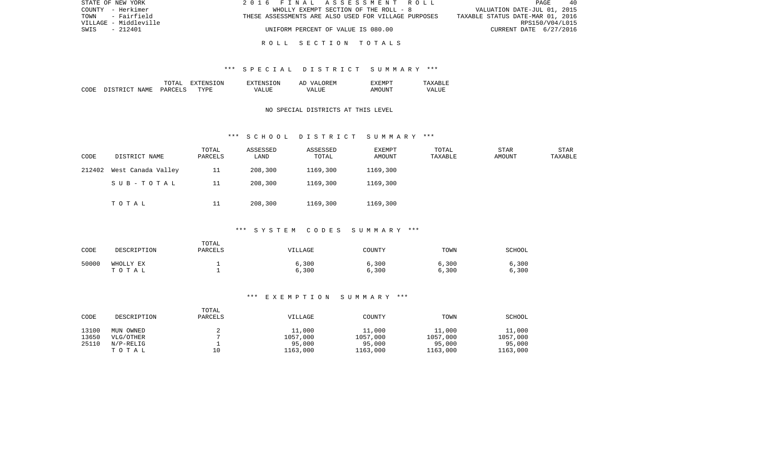| STATE OF NEW YORK     | 2016 FINAL ASSESSMENT ROLL                           | PAGE<br>- 40                     |
|-----------------------|------------------------------------------------------|----------------------------------|
| COUNTY - Herkimer     | WHOLLY EXEMPT SECTION OF THE ROLL - 8                | VALUATION DATE-JUL 01, 2015      |
| - Fairfield<br>TOWN   | THESE ASSESSMENTS ARE ALSO USED FOR VILLAGE PURPOSES | TAXABLE STATUS DATE-MAR 01, 2016 |
| VILLAGE - Middleville |                                                      | RPS150/V04/L015                  |
| SWIS<br>- 212401      | UNIFORM PERCENT OF VALUE IS 080.00                   | CURRENT DATE 6/27/2016           |
|                       |                                                      |                                  |

### R O L L S E C T I O N T O T A L S

### \*\*\* S P E C I A L D I S T R I C T S U M M A R Y \*\*\*

|      |                         | ͲႶͲϪႨ          | 'ON<br>ווחידצי | TON.<br>. HIN'         | OREM<br>7 Z<br>Al | "XEMPT |                  |
|------|-------------------------|----------------|----------------|------------------------|-------------------|--------|------------------|
| CODE | NAME<br>DISTRI<br>יחיר. | <b>PARCELS</b> | <b>TYPE</b>    | $^{\prime}$ $\Delta$ . | <b>TTTT</b><br>۲Z | AMOINT | VALU.<br>_______ |

# NO SPECIAL DISTRICTS AT THIS LEVEL

#### \*\*\* S C H O O L D I S T R I C T S U M M A R Y \*\*\*

| CODE   | DISTRICT NAME      | TOTAL<br>PARCELS | ASSESSED<br>LAND | ASSESSED<br>TOTAL | EXEMPT<br>AMOUNT | TOTAL<br>TAXABLE | STAR<br>AMOUNT | STAR<br>TAXABLE |
|--------|--------------------|------------------|------------------|-------------------|------------------|------------------|----------------|-----------------|
| 212402 | West Canada Valley | 11               | 208,300          | 1169,300          | 1169,300         |                  |                |                 |
|        | SUB-TOTAL          | 11               | 208,300          | 1169,300          | 1169,300         |                  |                |                 |
|        | TOTAL              | 11               | 208,300          | 1169,300          | 1169,300         |                  |                |                 |

# \*\*\* S Y S T E M C O D E S S U M M A R Y \*\*\*

| CODE  | DESCRIPTION        | TOTAL<br><b>PARCELS</b> | VILLAGE        | COUNTY         | TOWN           | SCHOOL         |
|-------|--------------------|-------------------------|----------------|----------------|----------------|----------------|
| 50000 | WHOLLY EX<br>тотаь |                         | 6,300<br>6,300 | 6,300<br>6,300 | 6,300<br>6,300 | 6,300<br>6,300 |

### \*\*\* E X E M P T I O N S U M M A R Y \*\*\*

| CODE  | DESCRIPTION  | TOTAL<br>PARCELS | VILLAGE  | COUNTY   | TOWN     | SCHOOL   |
|-------|--------------|------------------|----------|----------|----------|----------|
| 13100 | MUN OWNED    |                  | 11,000   | 11,000   | 11,000   | 11,000   |
| 13650 | VLG/OTHER    |                  | 1057,000 | 1057,000 | 1057,000 | 1057,000 |
| 25110 | $N/P-RELLIG$ |                  | 95,000   | 95,000   | 95,000   | 95,000   |
|       | TOTAL        | 10               | 1163,000 | 1163,000 | 1163,000 | 1163,000 |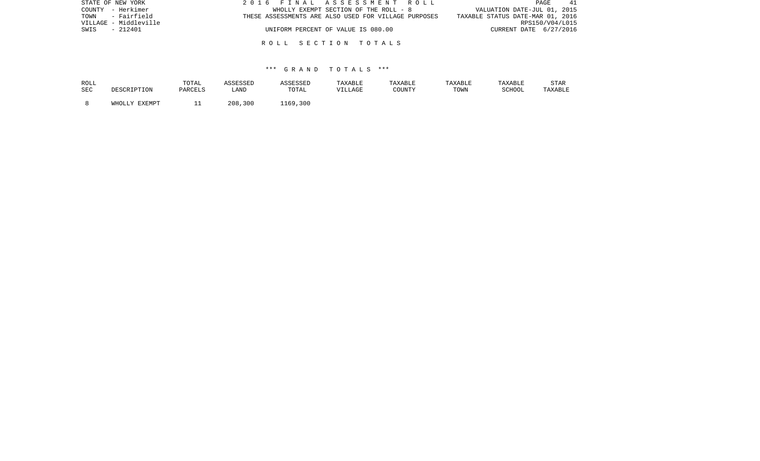| STATE OF NEW YORK     | 2016 FINAL ASSESSMENT ROLL                           | 41<br>PAGE                       |
|-----------------------|------------------------------------------------------|----------------------------------|
| COUNTY - Herkimer     | WHOLLY EXEMPT SECTION OF THE ROLL - 8                | VALUATION DATE-JUL 01, 2015      |
| TOWN - Fairfield      | THESE ASSESSMENTS ARE ALSO USED FOR VILLAGE PURPOSES | TAXABLE STATUS DATE-MAR 01, 2016 |
| VILLAGE - Middleville |                                                      | RPS150/V04/L015                  |
| SWIS<br>- 212401      | UNIFORM PERCENT OF VALUE IS 080.00                   | CURRENT DATE 6/27/2016           |
|                       |                                                      |                                  |
|                       | ROLL SECTION TOTALS                                  |                                  |

### \*\*\* G R A N D T O T A L S \*\*\*

| ROLL | DESCRIPTION   | TOTAL   | ASSESSED | ASSESSED | TAXABLE | TAXABLE | TAXABLE | TAXABLE | <b>STAR</b> |
|------|---------------|---------|----------|----------|---------|---------|---------|---------|-------------|
| SEC  |               | PARCELS | LAND     | TOTAL    | VILLAGE | COUNTY  | TOWN    | SCHOOL  | TAXABLE     |
|      | WHOLLY EXEMPT |         | 208,300  | 1169,300 |         |         |         |         |             |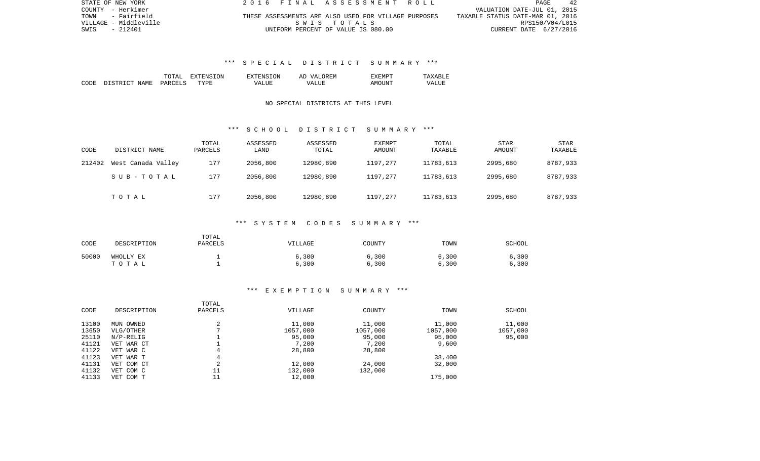| STATE OF NEW YORK     | 2016 FINAL ASSESSMENT ROLL                           | 42<br>PAGE                       |
|-----------------------|------------------------------------------------------|----------------------------------|
| COUNTY - Herkimer     |                                                      | VALUATION DATE-JUL 01, 2015      |
| TOWN<br>- Fairfield   | THESE ASSESSMENTS ARE ALSO USED FOR VILLAGE PURPOSES | TAXABLE STATUS DATE-MAR 01, 2016 |
| VILLAGE - Middleville | SWIS TOTALS                                          | RPS150/V04/L015                  |
| SWIS<br>- 212401      | UNIFORM PERCENT OF VALUE IS 080.00                   | CURRENT DATE 6/27/2016           |

# \*\*\* S P E C I A L D I S T R I C T S U M M A R Y \*\*\*

|      |                            | TOTA <sup>-</sup> | .ON.<br>. . | <b>TON</b><br><b>VTENS</b> | 'FM<br>AΓ<br>$\sqrt{ }$ | <b>H.IVI</b> H | $\cdots$<br>. |
|------|----------------------------|-------------------|-------------|----------------------------|-------------------------|----------------|---------------|
| CODE | NAME<br>$\sim$<br>DI STR I | PARCET            | TYPR        | ---<br>VА                  | T .TTF<br>۲Z            | ⊤NT⊤<br>ΔM     | பப            |

# NO SPECIAL DISTRICTS AT THIS LEVEL

### \*\*\* S C H O O L D I S T R I C T S U M M A R Y \*\*\*

| CODE   | DISTRICT NAME      | TOTAL<br>PARCELS | ASSESSED<br>LAND | ASSESSED<br>TOTAL | EXEMPT<br>AMOUNT | TOTAL<br>TAXABLE | <b>STAR</b><br><b>AMOUNT</b> | <b>STAR</b><br>TAXABLE |
|--------|--------------------|------------------|------------------|-------------------|------------------|------------------|------------------------------|------------------------|
| 212402 | West Canada Valley | 177              | 2056,800         | 12980,890         | 1197,277         | 11783,613        | 2995,680                     | 8787,933               |
|        | SUB-TOTAL          | 177              | 2056,800         | 12980,890         | 1197,277         | 11783,613        | 2995,680                     | 8787,933               |
|        | тотаь              | 177              | 2056,800         | 12980,890         | 1197,277         | 11783,613        | 2995,680                     | 8787,933               |

### \*\*\* S Y S T E M C O D E S S U M M A R Y \*\*\*

| CODE  | DESCRIPTION        | TOTAL<br>PARCELS | VILLAGE        | COUNTY         | TOWN           | SCHOOL         |
|-------|--------------------|------------------|----------------|----------------|----------------|----------------|
| 50000 | WHOLLY EX<br>TOTAL |                  | 6,300<br>6,300 | 6,300<br>6,300 | 6,300<br>6,300 | 6,300<br>6,300 |

### \*\*\* E X E M P T I O N S U M M A R Y \*\*\*

|       |              | TOTAL       |          |          |          |          |
|-------|--------------|-------------|----------|----------|----------|----------|
| CODE  | DESCRIPTION  | PARCELS     | VILLAGE  | COUNTY   | TOWN     | SCHOOL   |
| 13100 | MUN OWNED    | ◠           | 11,000   | 11,000   | 11,000   | 11,000   |
| 13650 | VLG/OTHER    |             | 1057,000 | 1057,000 | 1057,000 | 1057,000 |
| 25110 | $N/P-RELLIG$ |             | 95,000   | 95,000   | 95,000   | 95,000   |
| 41121 | VET WAR CT   |             | 7,200    | 7,200    | 9,600    |          |
| 41122 | VET WAR C    | 4           | 28,800   | 28,800   |          |          |
| 41123 | VET WAR T    |             |          |          | 38,400   |          |
| 41131 | VET COM CT   | $\sim$<br>∠ | 12,000   | 24,000   | 32,000   |          |
| 41132 | VET COM C    | 11          | 132,000  | 132,000  |          |          |
| 41133 | VET COM T    | 11          | 12,000   |          | 175,000  |          |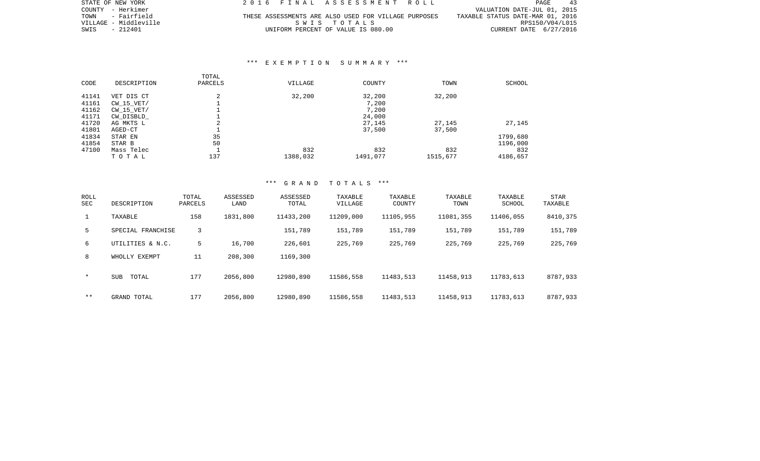| STATE OF NEW YORK     | 2016 FINAL ASSESSMENT ROLL                           | PAGE<br>43                       |
|-----------------------|------------------------------------------------------|----------------------------------|
| COUNTY - Herkimer     |                                                      | VALUATION DATE-JUL 01, 2015      |
| TOWN - Fairfield      | THESE ASSESSMENTS ARE ALSO USED FOR VILLAGE PURPOSES | TAXABLE STATUS DATE-MAR 01, 2016 |
| VILLAGE - Middleville | SWIS TOTALS                                          | RPS150/V04/L015                  |
| SWIS - 212401         | UNIFORM PERCENT OF VALUE IS 080.00                   | CURRENT DATE 6/27/2016           |

### \*\*\* E X E M P T I O N S U M M A R Y \*\*\*

| CODE  | DESCRIPTION    | TOTAL<br>PARCELS | VILLAGE  | COUNTY   | TOWN     | SCHOOL   |
|-------|----------------|------------------|----------|----------|----------|----------|
| 41141 | VET DIS CT     | 2                | 32,200   | 32,200   | 32,200   |          |
| 41161 | $CW$ 15 $VET/$ |                  |          | 7,200    |          |          |
| 41162 | $CW$ 15 $VET/$ |                  |          | 7,200    |          |          |
| 41171 | CW_DISBLD_     |                  |          | 24,000   |          |          |
| 41720 | AG MKTS L      | 2                |          | 27,145   | 27,145   | 27,145   |
| 41801 | AGED-CT        |                  |          | 37,500   | 37,500   |          |
| 41834 | STAR EN        | 35               |          |          |          | 1799,680 |
| 41854 | STAR B         | 50               |          |          |          | 1196,000 |
| 47100 | Mass Telec     |                  | 832      | 832      | 832      | 832      |
|       | TOTAL          | 137              | 1388,032 | 1491,077 | 1515,677 | 4186,657 |

### \*\*\* G R A N D T O T A L S \*\*\*

| ROLL<br><b>SEC</b> | DESCRIPTION         | TOTAL<br>PARCELS | ASSESSED<br>LAND | ASSESSED<br>TOTAL | TAXABLE<br>VILLAGE | TAXABLE<br>COUNTY | TAXABLE<br>TOWN | TAXABLE<br>SCHOOL | STAR<br>TAXABLE |
|--------------------|---------------------|------------------|------------------|-------------------|--------------------|-------------------|-----------------|-------------------|-----------------|
| $\mathbf{1}$       | TAXABLE             | 158              | 1831,800         | 11433,200         | 11209,000          | 11105,955         | 11081,355       | 11406,055         | 8410,375        |
| 5                  | SPECIAL FRANCHISE   | 3                |                  | 151,789           | 151,789            | 151,789           | 151,789         | 151,789           | 151,789         |
| 6                  | UTILITIES & N.C.    | 5                | 16,700           | 226,601           | 225,769            | 225,769           | 225,769         | 225,769           | 225,769         |
| 8                  | WHOLLY EXEMPT       | 11               | 208,300          | 1169,300          |                    |                   |                 |                   |                 |
| $\star$            | <b>SUB</b><br>TOTAL | 177              | 2056,800         | 12980,890         | 11586,558          | 11483,513         | 11458,913       | 11783,613         | 8787,933        |
| $* *$              | GRAND TOTAL         | 177              | 2056,800         | 12980,890         | 11586,558          | 11483,513         | 11458,913       | 11783,613         | 8787,933        |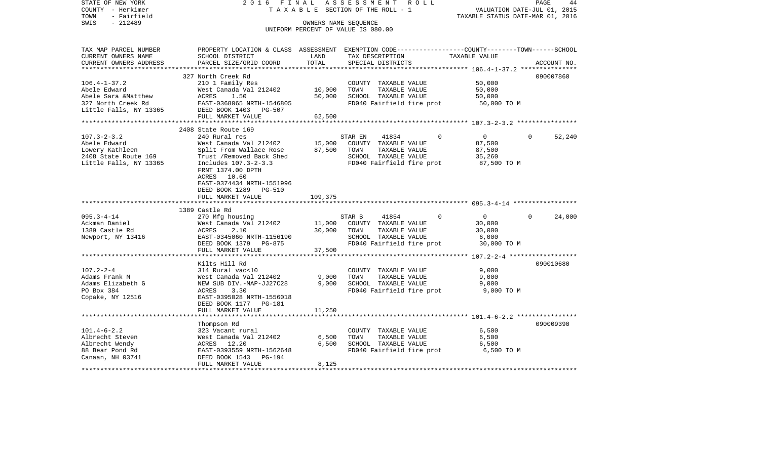| STATE OF NEW YORK<br>COUNTY - Herkimer<br>TOWN<br>- Fairfield<br>$-212489$<br>SWIS        | 2016 FINAL                                                                      |             | ASSESSMENT ROLL<br>TAXABLE SECTION OF THE ROLL - 1<br>OWNERS NAME SEOUENCE | PAGE<br>VALUATION DATE-JUL 01, 2015<br>TAXABLE STATUS DATE-MAR 01, 2016                                         | 44 |
|-------------------------------------------------------------------------------------------|---------------------------------------------------------------------------------|-------------|----------------------------------------------------------------------------|-----------------------------------------------------------------------------------------------------------------|----|
|                                                                                           |                                                                                 |             | UNIFORM PERCENT OF VALUE IS 080.00                                         |                                                                                                                 |    |
| TAX MAP PARCEL NUMBER<br>CURRENT OWNERS NAME                                              | SCHOOL DISTRICT                                                                 | LAND        | TAX DESCRIPTION                                                            | PROPERTY LOCATION & CLASS ASSESSMENT EXEMPTION CODE---------------COUNTY-------TOWN-----SCHOOL<br>TAXABLE VALUE |    |
| CURRENT OWNERS ADDRESS                                                                    | PARCEL SIZE/GRID COORD                                                          | TOTAL       | SPECIAL DISTRICTS                                                          | ACCOUNT NO.                                                                                                     |    |
|                                                                                           |                                                                                 |             |                                                                            |                                                                                                                 |    |
|                                                                                           | 327 North Creek Rd                                                              |             |                                                                            | 090007860                                                                                                       |    |
| $106.4 - 1 - 37.2$                                                                        | 210 1 Family Res                                                                |             | COUNTY TAXABLE VALUE                                                       | 50,000                                                                                                          |    |
| Abele Edward                                                                              | West Canada Val 212402 10,000                                                   |             | TOWN<br>TAXABLE VALUE                                                      | 50,000                                                                                                          |    |
|                                                                                           |                                                                                 | 50,000      | SCHOOL TAXABLE VALUE                                                       | 50,000                                                                                                          |    |
|                                                                                           |                                                                                 |             | FD040 Fairfield fire prot                                                  | 50,000 TO M                                                                                                     |    |
|                                                                                           |                                                                                 |             |                                                                            |                                                                                                                 |    |
|                                                                                           | FULL MARKET VALUE                                                               | 62,500      |                                                                            |                                                                                                                 |    |
|                                                                                           |                                                                                 |             |                                                                            |                                                                                                                 |    |
|                                                                                           | 2408 State Route 169                                                            |             |                                                                            |                                                                                                                 |    |
| $107.3 - 2 - 3.2$                                                                         | 240 Rural res                                                                   |             | 41834<br>STAR EN<br>$\Omega$                                               | $\overline{0}$<br>$\Omega$<br>52,240                                                                            |    |
| Abele Edward                                                                              | West Canada Val 212402                                                          |             | 15,000 COUNTY TAXABLE VALUE                                                | 87,500                                                                                                          |    |
| Lowery Kathleen                                                                           | Split From Wallace Rose 87,500 TOWN                                             |             | TAXABLE VALUE                                                              | 87,500                                                                                                          |    |
| Lowery Kathleen Split From Wallace Rose<br>2408 State Route 169 Trust / Removed Back Shed |                                                                                 |             | SCHOOL TAXABLE VALUE                                                       | 35,260                                                                                                          |    |
| Little Falls, NY 13365                                                                    | Includes 107.3-2-3.3                                                            |             | FD040 Fairfield fire prot 87,500 TO M                                      |                                                                                                                 |    |
|                                                                                           | FRNT 1374.00 DPTH                                                               |             |                                                                            |                                                                                                                 |    |
|                                                                                           | ACRES 10.60                                                                     |             |                                                                            |                                                                                                                 |    |
|                                                                                           | EAST-0374434 NRTH-1551996                                                       |             |                                                                            |                                                                                                                 |    |
|                                                                                           | DEED BOOK 1289 PG-510                                                           |             |                                                                            |                                                                                                                 |    |
|                                                                                           | FULL MARKET VALUE                                                               | 109,375     |                                                                            |                                                                                                                 |    |
|                                                                                           |                                                                                 |             |                                                                            |                                                                                                                 |    |
|                                                                                           | 1389 Castle Rd                                                                  |             |                                                                            |                                                                                                                 |    |
| $095.3 - 4 - 14$                                                                          | 270 Mfg housing                                                                 |             | STAR B<br>41854<br>$\mathbf 0$                                             | 24,000<br>$\overline{0}$<br>$\overline{0}$                                                                      |    |
| Ackman Daniel                                                                             | West Canada Val 212402                                                          |             | 11,000 COUNTY TAXABLE VALUE                                                | 30,000                                                                                                          |    |
| 1389 Castle Rd                                                                            | ACRES<br>2.10                                                                   | 30,000 TOWN | TAXABLE VALUE                                                              | 30,000                                                                                                          |    |
| Newport, NY 13416                                                                         | ACABU 215060 NRTH-1156190<br>EAST-0345060 NRTH-1156190<br>PEER BOOK 1379 DG-875 |             | SCHOOL TAXABLE VALUE                                                       | 6,000                                                                                                           |    |
|                                                                                           | DEED BOOK 1379 PG-875                                                           |             | FD040 Fairfield fire prot 30,000 TO M                                      |                                                                                                                 |    |
|                                                                                           | FULL MARKET VALUE                                                               | 37,500      |                                                                            |                                                                                                                 |    |
|                                                                                           |                                                                                 |             |                                                                            |                                                                                                                 |    |
|                                                                                           | Kilts Hill Rd                                                                   |             |                                                                            | 090010680                                                                                                       |    |
| $107.2 - 2 - 4$                                                                           | 314 Rural vac<10                                                                |             | COUNTY TAXABLE VALUE                                                       | 9,000                                                                                                           |    |
| Adams Frank M                                                                             | West Canada Val 212402                                                          | 9,000       | TAXABLE VALUE<br>TOWN                                                      | 9,000                                                                                                           |    |
| Adams Elizabeth G                                                                         | NEW SUB DIV.-MAP-JJ27C28                                                        |             | 9,000 SCHOOL TAXABLE VALUE                                                 | 9,000                                                                                                           |    |
| PO Box 384                                                                                | 3.30<br>ACRES                                                                   |             | FD040 Fairfield fire prot                                                  | 9,000 TO M                                                                                                      |    |
| Copake, NY 12516                                                                          | EAST-0395028 NRTH-1556018                                                       |             |                                                                            |                                                                                                                 |    |
|                                                                                           | DEED BOOK 1177 PG-181                                                           |             |                                                                            |                                                                                                                 |    |
|                                                                                           | FULL MARKET VALUE                                                               | 11,250      |                                                                            |                                                                                                                 |    |
|                                                                                           |                                                                                 |             |                                                                            |                                                                                                                 |    |
|                                                                                           | Thompson Rd                                                                     |             |                                                                            | 090009390                                                                                                       |    |
| $101.4 - 6 - 2.2$                                                                         | 323 Vacant rural                                                                |             | COUNTY TAXABLE VALUE                                                       | 6,500                                                                                                           |    |
| Albrecht Steven                                                                           | West Canada Val 212402                                                          | 6,500       | TAXABLE VALUE<br>TOWN                                                      | 6,500                                                                                                           |    |
| Albrecht Wendy                                                                            | ACRES 12.20                                                                     | 6,500       | SCHOOL TAXABLE VALUE                                                       | 6,500                                                                                                           |    |
| 88 Bear Pond Rd                                                                           | EAST-0393559 NRTH-1562648                                                       |             | FD040 Fairfield fire prot                                                  | 6,500 TO M                                                                                                      |    |
| Canaan, NH 03741                                                                          | DEED BOOK 1543 PG-194                                                           |             |                                                                            |                                                                                                                 |    |
|                                                                                           | FULL MARKET VALUE                                                               | 8,125       |                                                                            |                                                                                                                 |    |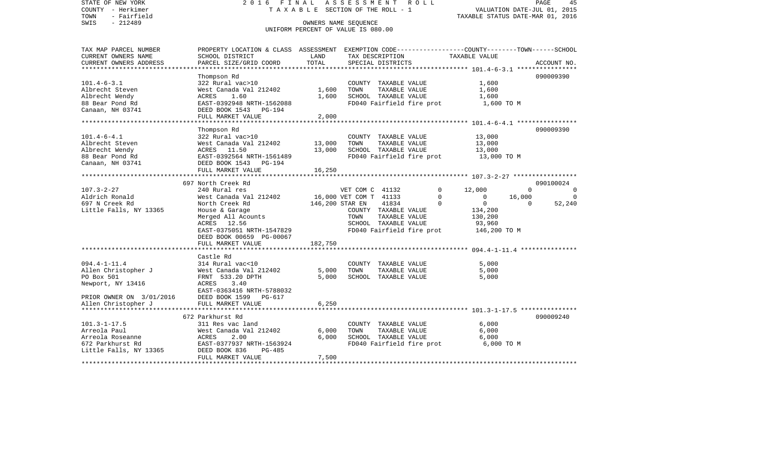STATE OF NEW YORK 2 0 1 6 F I N A L A S S E S S M E N T R O L L PAGE 45COUNTY - Herkimer **T A X A B L E SECTION OF THE ROLL - 1** VALUATION DATE-JUL 01, 2015 TOWN - Fairfield TAXABLE STATUS DATE-MAR 01, 2016 SWIS - 212489 OWNERS NAME SEQUENCE UNIFORM PERCENT OF VALUE IS 080.00TAX MAP PARCEL NUMBER PROPERTY LOCATION & CLASS ASSESSMENT EXEMPTION CODE------------------COUNTY--------TOWN------SCHOOL CURRENT OWNERS NAME SCHOOL DISTRICT LAND TAX DESCRIPTION TAXABLE VALUECURRENT OWNERS ADDRESS PARCEL SIZE/GRID COORD TOTAL SPECIAL DISTRICTS ACCOUNT NO. \*\*\*\*\*\*\*\*\*\*\*\*\*\*\*\*\*\*\*\*\*\*\*\*\*\*\*\*\*\*\*\*\*\*\*\*\*\*\*\*\*\*\*\*\*\*\*\*\*\*\*\*\*\*\*\*\*\*\*\*\*\*\*\*\*\*\*\*\*\*\*\*\*\*\*\*\*\*\*\*\*\*\*\*\*\*\*\*\*\*\*\*\*\*\*\*\*\*\*\*\*\*\* 101.4-6-3.1 \*\*\*\*\*\*\*\*\*\*\*\*\*\*\*\* Thompson Rd 090009390 101.4-6-3.1 322 Rural vac>10 COUNTY TAXABLE VALUE 1,600 Albrecht Steven West Canada Val 212402 1,600 TOWN TAXABLE VALUE 1,600 Albrecht Wendy ACRES 1.60 1,600 SCHOOL TAXABLE VALUE 1,600 88 Bear Pond Rd EAST-0392948 NRTH-1562088 FD040 Fairfield fire prot 1,600 TO M Canaan, NH 03741 DEED BOOK 1543 PG-194 FULL MARKET VALUE 2,000 \*\*\*\*\*\*\*\*\*\*\*\*\*\*\*\*\*\*\*\*\*\*\*\*\*\*\*\*\*\*\*\*\*\*\*\*\*\*\*\*\*\*\*\*\*\*\*\*\*\*\*\*\*\*\*\*\*\*\*\*\*\*\*\*\*\*\*\*\*\*\*\*\*\*\*\*\*\*\*\*\*\*\*\*\*\*\*\*\*\*\*\*\*\*\*\*\*\*\*\*\*\*\* 101.4-6-4.1 \*\*\*\*\*\*\*\*\*\*\*\*\*\*\*\* Thompson Rd 090009390 101.4-6-4.1 322 Rural vac>10 COUNTY TAXABLE VALUE 13,000 Albrecht Steven West Canada Val 212402 13,000 TOWN TAXABLE VALUE 13,000 Albrecht Wendy ACRES 11.50 13,000 SCHOOL TAXABLE VALUE 13,000 88 Bear Pond Rd EAST-0392564 NRTH-1561489 FD040 Fairfield fire prot 13,000 TO M Canaan, NH 03741 DEED BOOK 1543 PG-194 FULL MARKET VALUE 16,250 \*\*\*\*\*\*\*\*\*\*\*\*\*\*\*\*\*\*\*\*\*\*\*\*\*\*\*\*\*\*\*\*\*\*\*\*\*\*\*\*\*\*\*\*\*\*\*\*\*\*\*\*\*\*\*\*\*\*\*\*\*\*\*\*\*\*\*\*\*\*\*\*\*\*\*\*\*\*\*\*\*\*\*\*\*\*\*\*\*\*\*\*\*\*\*\*\*\*\*\*\*\*\* 107.3-2-27 \*\*\*\*\*\*\*\*\*\*\*\*\*\*\*\*\* 697 North Creek Rd 090100024107.3-2-27 240 Rural res VET COM C 41132 0 12,000 0 0 Aldrich Ronald 6.000 West Canada Val 212402 16,000 VET COM T 41133 0 0 16,000 0 0 0 16,000 697 N Creek Rd North Creek Rd 146,200 STAR EN 41834 0 0 0 52,240 Little Falls, NY 13365 House & Garage COUNTY TAXABLE VALUE 134,200 Merged All Acounts TOWN TAXABLE VALUE 130,200 ACRES 12.56 SCHOOL TAXABLE VALUE 93,960 EAST-0375051 NRTH-1547829 FD040 Fairfield fire prot 146,200 TO M DEED BOOK 00659 PG-00067FULL MARKET VALUE 182,750 \*\*\*\*\*\*\*\*\*\*\*\*\*\*\*\*\*\*\*\*\*\*\*\*\*\*\*\*\*\*\*\*\*\*\*\*\*\*\*\*\*\*\*\*\*\*\*\*\*\*\*\*\*\*\*\*\*\*\*\*\*\*\*\*\*\*\*\*\*\*\*\*\*\*\*\*\*\*\*\*\*\*\*\*\*\*\*\*\*\*\*\*\*\*\*\*\*\*\*\*\*\*\* 094.4-1-11.4 \*\*\*\*\*\*\*\*\*\*\*\*\*\*\* Castle Rd094.4-1-11.4 314 Rural vac<10 COUNTY TAXABLE VALUE 5,000 Allen Christopher J West Canada Val 212402 5,000 TOWN TAXABLE VALUE 5,000 PO Box 501 FRNT 533.20 DPTH 5,000 SCHOOL TAXABLE VALUE 5,000 Newport, NY 13416 <br>
ACRES 3.40 EAST-0363416 NRTH-5788032PRIOR OWNER ON 3/01/2016 DEED BOOK 1599 PG-617 Allen Christopher J FULL MARKET VALUE 6,250 \*\*\*\*\*\*\*\*\*\*\*\*\*\*\*\*\*\*\*\*\*\*\*\*\*\*\*\*\*\*\*\*\*\*\*\*\*\*\*\*\*\*\*\*\*\*\*\*\*\*\*\*\*\*\*\*\*\*\*\*\*\*\*\*\*\*\*\*\*\*\*\*\*\*\*\*\*\*\*\*\*\*\*\*\*\*\*\*\*\*\*\*\*\*\*\*\*\*\*\*\*\*\* 101.3-1-17.5 \*\*\*\*\*\*\*\*\*\*\*\*\*\*\* 672 Parkhurst Rd 090009240101.3-1-17.5 311 Res vac land COUNTY TAXABLE VALUE 6,000 Arreola Paul West Canada Val 212402 6,000 TOWN TAXABLE VALUE 6,000 Arreola Roseanne ACRES 2.00 6,000 SCHOOL TAXABLE VALUE 6,000 672 Parkhurst Rd EAST-0377937 NRTH-1563924 FD040 Fairfield fire prot 6,000 TO M Little Falls, NY 13365 DEED BOOK 836 PG-485 FULL MARKET VALUE 7,500 \*\*\*\*\*\*\*\*\*\*\*\*\*\*\*\*\*\*\*\*\*\*\*\*\*\*\*\*\*\*\*\*\*\*\*\*\*\*\*\*\*\*\*\*\*\*\*\*\*\*\*\*\*\*\*\*\*\*\*\*\*\*\*\*\*\*\*\*\*\*\*\*\*\*\*\*\*\*\*\*\*\*\*\*\*\*\*\*\*\*\*\*\*\*\*\*\*\*\*\*\*\*\*\*\*\*\*\*\*\*\*\*\*\*\*\*\*\*\*\*\*\*\*\*\*\*\*\*\*\*\*\*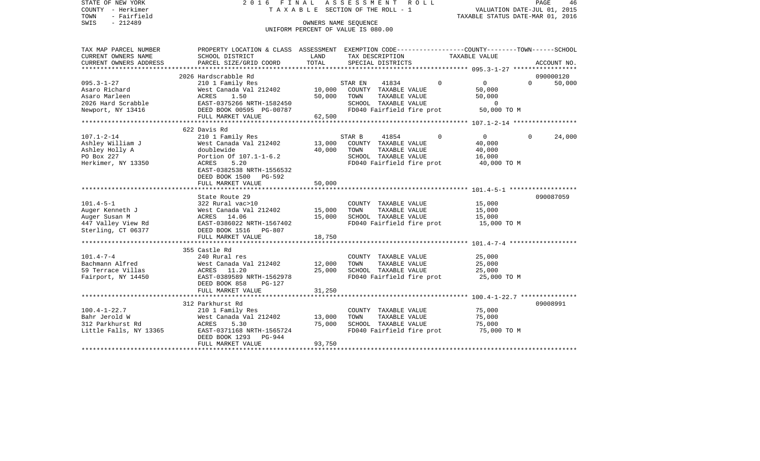COUNTY - Herkimer **T A X A B L E SECTION OF THE ROLL - 1** VALUATION DATE-JUL 01, 2015 TOWN - Fairfield TAXABLE STATUS DATE-MAR 01, 2016 SWIS - 212489 OWNERS NAME SEQUENCE UNIFORM PERCENT OF VALUE IS 080.00TAX MAP PARCEL NUMBER PROPERTY LOCATION & CLASS ASSESSMENT EXEMPTION CODE------------------COUNTY--------TOWN------SCHOOL CURRENT OWNERS NAME SCHOOL DISTRICT LAND TAX DESCRIPTION TAXABLE VALUECURRENT OWNERS ADDRESS PARCEL SIZE/GRID COORD TOTAL SPECIAL DISTRICTS ACCOUNT NO. \*\*\*\*\*\*\*\*\*\*\*\*\*\*\*\*\*\*\*\*\*\*\*\*\*\*\*\*\*\*\*\*\*\*\*\*\*\*\*\*\*\*\*\*\*\*\*\*\*\*\*\*\*\*\*\*\*\*\*\*\*\*\*\*\*\*\*\*\*\*\*\*\*\*\*\*\*\*\*\*\*\*\*\*\*\*\*\*\*\*\*\*\*\*\*\*\*\*\*\*\*\*\* 095.3-1-27 \*\*\*\*\*\*\*\*\*\*\*\*\*\*\*\*\* 2026 Hardscrabble Rd 090000120095.3-1-27 210 1 Family Res STAR EN 41834 0 0 0 50,000 Asaro Richard 60,000 West Canada Val 212402 10,000 COUNTY TAXABLE VALUE 50,000 Asaro Marleen ACRES 1.50 50,000 TOWN TAXABLE VALUE 50,000 2026 Hard Scrabble EAST-0375266 NRTH-1582450 SCHOOL TAXABLE VALUE 0Newport, NY 13416 **DEED BOOK 00595 PG-00787** FD040 Fairfield fire prot 50,000 TO M FULL MARKET VALUE 62,500 \*\*\*\*\*\*\*\*\*\*\*\*\*\*\*\*\*\*\*\*\*\*\*\*\*\*\*\*\*\*\*\*\*\*\*\*\*\*\*\*\*\*\*\*\*\*\*\*\*\*\*\*\*\*\*\*\*\*\*\*\*\*\*\*\*\*\*\*\*\*\*\*\*\*\*\*\*\*\*\*\*\*\*\*\*\*\*\*\*\*\*\*\*\*\*\*\*\*\*\*\*\*\* 107.1-2-14 \*\*\*\*\*\*\*\*\*\*\*\*\*\*\*\*\* 622 Davis Rd107.1-2-14 210 1 Family Res STAR B 41854 0 0 0 24,000 Ashley William J West Canada Val 212402 13,000 COUNTY TAXABLE VALUE Ashley Holly A doublewide 40,000 TOWN TAXABLE VALUE 40,000 PO Box 227 **Portion Of 107.1-1-6.2** SCHOOL TAXABLE VALUE 16,000 Herkimer, NY 13350 ACRES 5.20 FD040 Fairfield fire prot 40,000 TO M EAST-0382538 NRTH-1556532 DEED BOOK 1500 PG-592 FULL MARKET VALUE 50,000 \*\*\*\*\*\*\*\*\*\*\*\*\*\*\*\*\*\*\*\*\*\*\*\*\*\*\*\*\*\*\*\*\*\*\*\*\*\*\*\*\*\*\*\*\*\*\*\*\*\*\*\*\*\*\*\*\*\*\*\*\*\*\*\*\*\*\*\*\*\*\*\*\*\*\*\*\*\*\*\*\*\*\*\*\*\*\*\*\*\*\*\*\*\*\*\*\*\*\*\*\*\*\* 101.4-5-1 \*\*\*\*\*\*\*\*\*\*\*\*\*\*\*\*\*\*State Route 29 090087059 101.4-5-1 322 Rural vac>10 COUNTY TAXABLE VALUE 15,000 Auger Kenneth J West Canada Val 212402 15,000 TOWN TAXABLE VALUE 15,000 Auger Susan M ACRES 14.06 15,000 SCHOOL TAXABLE VALUE 15,000 447 Valley View Rd EAST-0386022 NRTH-1567402 FD040 Fairfield fire prot 15,000 TO M Sterling, CT 06377 DEED BOOK 1516 PG-807 FULL MARKET VALUE 18,750 \*\*\*\*\*\*\*\*\*\*\*\*\*\*\*\*\*\*\*\*\*\*\*\*\*\*\*\*\*\*\*\*\*\*\*\*\*\*\*\*\*\*\*\*\*\*\*\*\*\*\*\*\*\*\*\*\*\*\*\*\*\*\*\*\*\*\*\*\*\*\*\*\*\*\*\*\*\*\*\*\*\*\*\*\*\*\*\*\*\*\*\*\*\*\*\*\*\*\*\*\*\*\* 101.4-7-4 \*\*\*\*\*\*\*\*\*\*\*\*\*\*\*\*\*\* 355 Castle Rd101.4-7-4 240 Rural res COUNTY TAXABLE VALUE 25,000 Bachmann Alfred West Canada Val 212402 12,000 TOWN TAXABLE VALUE 25,000 59 Terrace Villas ACRES 11.20 25,000 SCHOOL TAXABLE VALUE 25,000 Fairport, NY 14450 **EAST-0389589 NRTH-1562978** FD040 Fairfield fire prot **25,000 TO M**  DEED BOOK 858 PG-127FULL MARKET VALUE 31,250 \*\*\*\*\*\*\*\*\*\*\*\*\*\*\*\*\*\*\*\*\*\*\*\*\*\*\*\*\*\*\*\*\*\*\*\*\*\*\*\*\*\*\*\*\*\*\*\*\*\*\*\*\*\*\*\*\*\*\*\*\*\*\*\*\*\*\*\*\*\*\*\*\*\*\*\*\*\*\*\*\*\*\*\*\*\*\*\*\*\*\*\*\*\*\*\*\*\*\*\*\*\*\* 100.4-1-22.7 \*\*\*\*\*\*\*\*\*\*\*\*\*\*\* 312 Parkhurst Rd 09008991100.4-1-22.7 210 1 Family Res COUNTY TAXABLE VALUE 75,000  $West$  Canada Val 212402 13,000 TOWN 312 Parkhurst Rd ACRES 5.30 75,000 SCHOOL TAXABLE VALUE 75,000 Little Falls, NY 13365 EAST-0371168 NRTH-1565724 FD040 Fairfield fire prot 75,000 TO M DEED BOOK 1293 PG-944FULL MARKET VALUE 93,750 \*\*\*\*\*\*\*\*\*\*\*\*\*\*\*\*\*\*\*\*\*\*\*\*\*\*\*\*\*\*\*\*\*\*\*\*\*\*\*\*\*\*\*\*\*\*\*\*\*\*\*\*\*\*\*\*\*\*\*\*\*\*\*\*\*\*\*\*\*\*\*\*\*\*\*\*\*\*\*\*\*\*\*\*\*\*\*\*\*\*\*\*\*\*\*\*\*\*\*\*\*\*\*\*\*\*\*\*\*\*\*\*\*\*\*\*\*\*\*\*\*\*\*\*\*\*\*\*\*\*\*\*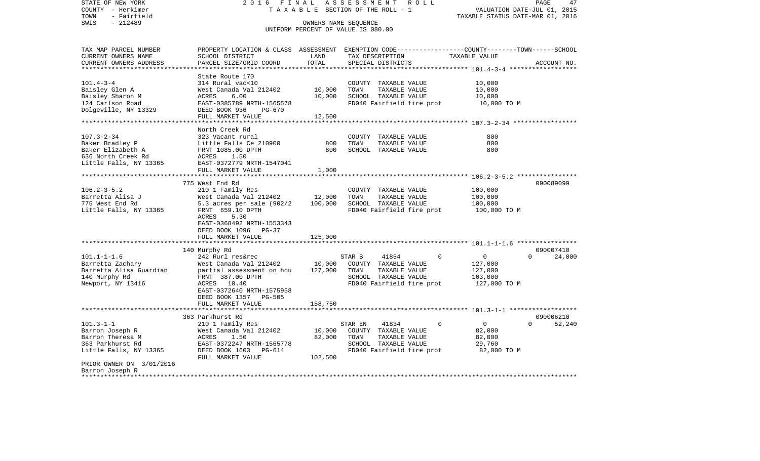| STATE OF NEW YORK                         | 2 0 1 6                                          | FINAL       | ASSESSMENT<br>R O L L                                                                           |                                  | 47<br>PAGE         |
|-------------------------------------------|--------------------------------------------------|-------------|-------------------------------------------------------------------------------------------------|----------------------------------|--------------------|
| COUNTY - Herkimer                         | TAXABLE                                          |             | SECTION OF THE ROLL - 1                                                                         | VALUATION DATE-JUL 01, 2015      |                    |
| TOWN<br>- Fairfield                       |                                                  |             |                                                                                                 | TAXABLE STATUS DATE-MAR 01, 2016 |                    |
| SWIS<br>$-212489$                         |                                                  |             | OWNERS NAME SEQUENCE                                                                            |                                  |                    |
|                                           |                                                  |             | UNIFORM PERCENT OF VALUE IS 080.00                                                              |                                  |                    |
| TAX MAP PARCEL NUMBER                     |                                                  |             | PROPERTY LOCATION & CLASS ASSESSMENT EXEMPTION CODE---------------COUNTY-------TOWN------SCHOOL |                                  |                    |
| CURRENT OWNERS NAME                       | SCHOOL DISTRICT                                  | LAND        | TAX DESCRIPTION                                                                                 | TAXABLE VALUE                    |                    |
| CURRENT OWNERS ADDRESS                    | PARCEL SIZE/GRID COORD                           | TOTAL       | SPECIAL DISTRICTS                                                                               |                                  | ACCOUNT NO.        |
|                                           |                                                  |             |                                                                                                 |                                  |                    |
|                                           | State Route 170                                  |             |                                                                                                 |                                  |                    |
| $101.4 - 3 - 4$                           | 314 Rural vac<10                                 |             | COUNTY TAXABLE VALUE                                                                            | 10,000                           |                    |
| Baisley Glen A                            | West Canada Val 212402                           | 10,000      | TOWN<br>TAXABLE VALUE                                                                           | 10,000                           |                    |
| Baisley Sharon M                          | 6.00<br>ACRES                                    | 10,000      | SCHOOL TAXABLE VALUE                                                                            | 10,000                           |                    |
| 124 Carlson Road                          | EAST-0385789 NRTH-1565578                        |             | FD040 Fairfield fire prot                                                                       | 10,000 TO M                      |                    |
| Dolgeville, NY 13329                      | DEED BOOK 936<br>PG-670                          |             |                                                                                                 |                                  |                    |
|                                           | FULL MARKET VALUE                                | 12,500      |                                                                                                 |                                  |                    |
|                                           |                                                  | **********  |                                                                                                 |                                  |                    |
|                                           | North Creek Rd                                   |             |                                                                                                 |                                  |                    |
| $107.3 - 2 - 34$                          | 323 Vacant rural                                 |             | COUNTY TAXABLE VALUE                                                                            | 800                              |                    |
| Baker Bradley P                           | Little Falls Ce 210900                           | 800         | TOWN<br>TAXABLE VALUE                                                                           | 800                              |                    |
| Baker Elizabeth A                         | FRNT 1085.00 DPTH                                | 800         | SCHOOL TAXABLE VALUE                                                                            | 800                              |                    |
| 636 North Creek Rd                        | ACRES<br>1.50                                    |             |                                                                                                 |                                  |                    |
| Little Falls, NY 13365                    | EAST-0372779 NRTH-1547041                        |             |                                                                                                 |                                  |                    |
|                                           | FULL MARKET VALUE                                | 1,000       |                                                                                                 |                                  |                    |
|                                           |                                                  |             |                                                                                                 |                                  |                    |
| $106.2 - 3 - 5.2$                         | 775 West End Rd                                  |             |                                                                                                 |                                  | 090089099          |
| Barretta Alisa J                          | 210 1 Family Res                                 | 12,000      | COUNTY TAXABLE VALUE<br>TOWN                                                                    | 100,000                          |                    |
|                                           | West Canada Val 212402                           |             | TAXABLE VALUE                                                                                   | 100,000                          |                    |
| 775 West End Rd<br>Little Falls, NY 13365 | 5.3 acres per sale $(902/2)$<br>FRNT 659.10 DPTH | 100,000     | SCHOOL TAXABLE VALUE<br>FD040 Fairfield fire prot                                               | 100,000<br>100,000 TO M          |                    |
|                                           | ACRES<br>5.30                                    |             |                                                                                                 |                                  |                    |
|                                           | EAST-0368492 NRTH-1553343                        |             |                                                                                                 |                                  |                    |
|                                           | DEED BOOK 1096<br>PG-37                          |             |                                                                                                 |                                  |                    |
|                                           | FULL MARKET VALUE                                | 125,000     |                                                                                                 |                                  |                    |
|                                           |                                                  |             |                                                                                                 |                                  |                    |
|                                           | 140 Murphy Rd                                    |             |                                                                                                 |                                  | 090007410          |
| $101.1 - 1 - 1.6$                         | 242 Rurl res&rec                                 |             | STAR B<br>41854<br>$\Omega$                                                                     | $\overline{0}$                   | $\Omega$<br>24,000 |
| Barretta Zachary                          | West Canada Val 212402                           | 10,000      | COUNTY TAXABLE VALUE                                                                            | 127,000                          |                    |
| Barretta Alisa Guardian                   | partial assessment on hou                        | 127,000     | TOWN<br>TAXABLE VALUE                                                                           | 127,000                          |                    |
| 140 Murphy Rd                             | FRNT 387.00 DPTH                                 |             | SCHOOL TAXABLE VALUE                                                                            | 103,000                          |                    |
| Newport, NY 13416                         | 10.40<br>ACRES                                   |             | FD040 Fairfield fire prot                                                                       | 127,000 TO M                     |                    |
|                                           | EAST-0372640 NRTH-1575958                        |             |                                                                                                 |                                  |                    |
|                                           | DEED BOOK 1357<br>PG-505                         |             |                                                                                                 |                                  |                    |
|                                           | FULL MARKET VALUE                                | 158,750     |                                                                                                 |                                  |                    |
|                                           | **************************                       | *********** |                                                                                                 |                                  |                    |
|                                           | 363 Parkhurst Rd                                 |             |                                                                                                 |                                  | 090006210          |
| $101.3 - 1 - 1$                           | 210 1 Family Res                                 |             | STAR EN<br>41834<br>$\Omega$                                                                    | $\Omega$                         | $\Omega$<br>52,240 |
| Barron Joseph R                           | West Canada Val 212402                           | 10,000      | COUNTY TAXABLE VALUE                                                                            | 82,000                           |                    |
| Barron Theresa M                          | ACRES<br>1.50                                    | 82,000      | TOWN<br>TAXABLE VALUE                                                                           | 82,000                           |                    |
| 363 Parkhurst Rd                          | EAST-0372247 NRTH-1565778                        |             | SCHOOL TAXABLE VALUE                                                                            | 29,760                           |                    |
| Little Falls, NY 13365                    | DEED BOOK 1603<br>PG-614                         |             | FD040 Fairfield fire prot                                                                       | 82,000 TO M                      |                    |
|                                           | FULL MARKET VALUE                                | 102,500     |                                                                                                 |                                  |                    |
| PRIOR OWNER ON 3/01/2016                  |                                                  |             |                                                                                                 |                                  |                    |
| Barron Joseph R                           |                                                  |             |                                                                                                 |                                  |                    |
| ************                              |                                                  |             |                                                                                                 |                                  |                    |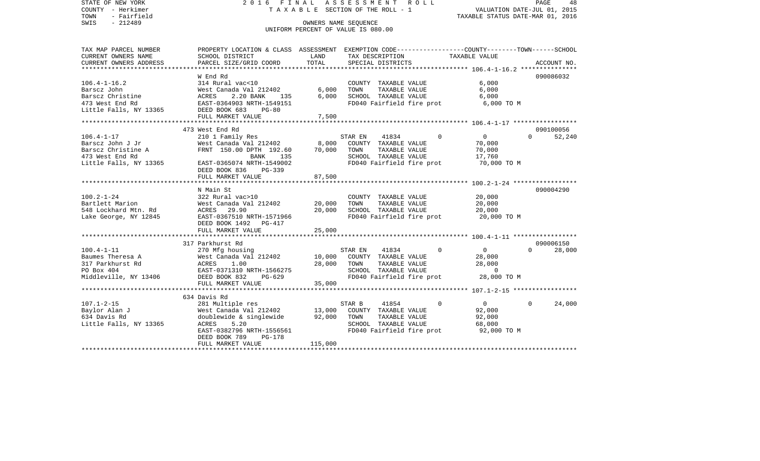STATE OF NEW YORK 2 0 1 6 F I N A L A S S E S S M E N T R O L L PAGE 48COUNTY - Herkimer **T A X A B L E SECTION OF THE ROLL - 1** VALUATION DATE-JUL 01, 2015 TOWN - Fairfield TAXABLE STATUS DATE-MAR 01, 2016 SWIS - 212489 OWNERS NAME SEQUENCE UNIFORM PERCENT OF VALUE IS 080.00TAX MAP PARCEL NUMBER PROPERTY LOCATION & CLASS ASSESSMENT EXEMPTION CODE------------------COUNTY--------TOWN------SCHOOL CURRENT OWNERS NAME SCHOOL DISTRICT LAND TAX DESCRIPTION TAXABLE VALUECURRENT OWNERS ADDRESS PARCEL SIZE/GRID COORD TOTAL SPECIAL DISTRICTS ACCOUNT NO. \*\*\*\*\*\*\*\*\*\*\*\*\*\*\*\*\*\*\*\*\*\*\*\*\*\*\*\*\*\*\*\*\*\*\*\*\*\*\*\*\*\*\*\*\*\*\*\*\*\*\*\*\*\*\*\*\*\*\*\*\*\*\*\*\*\*\*\*\*\*\*\*\*\*\*\*\*\*\*\*\*\*\*\*\*\*\*\*\*\*\*\*\*\*\*\*\*\*\*\*\*\*\* 106.4-1-16.2 \*\*\*\*\*\*\*\*\*\*\*\*\*\*\* W End Rd 090086032090086032 106.4-1-16.2 314 Rural vac<10 COUNTY TAXABLE VALUE 6,000 Barscz John West Canada Val 212402 6,000 TOWN TAXABLE VALUE 6,000 Barscz Christine ACRES 2.20 BANK 135 6,000 SCHOOL TAXABLE VALUE 6,000 473 West End Rd EAST-0364903 NRTH-1549151 FD040 Fairfield fire prot 6,000 TO M Little Falls, NY 13365 DEED BOOK 683 PG-80 FULL MARKET VALUE 7,500 \*\*\*\*\*\*\*\*\*\*\*\*\*\*\*\*\*\*\*\*\*\*\*\*\*\*\*\*\*\*\*\*\*\*\*\*\*\*\*\*\*\*\*\*\*\*\*\*\*\*\*\*\*\*\*\*\*\*\*\*\*\*\*\*\*\*\*\*\*\*\*\*\*\*\*\*\*\*\*\*\*\*\*\*\*\*\*\*\*\*\*\*\*\*\*\*\*\*\*\*\*\*\* 106.4-1-17 \*\*\*\*\*\*\*\*\*\*\*\*\*\*\*\*\* 473 West End Rd 090100056106.4-1-17 210 1 Family Res STAR EN 41834 0 0 0 52,240 Barscz John J Jr West Canada Val 212402 8,000 COUNTY TAXABLE VALUE 70,000 Barscz Christine A FRNT 150.00 DPTH 192.60 70,000 TOWN TAXABLE VALUE 70,000 473 West End Rd and BANK 135 SCHOOL TAXABLE VALUE 17,760 Little Falls, NY 13365 EAST-0365074 NRTH-1549002 FD040 Fairfield fire prot 70,000 TO M DEED BOOK 836 PG-339 FULL MARKET VALUE 87,500 \*\*\*\*\*\*\*\*\*\*\*\*\*\*\*\*\*\*\*\*\*\*\*\*\*\*\*\*\*\*\*\*\*\*\*\*\*\*\*\*\*\*\*\*\*\*\*\*\*\*\*\*\*\*\*\*\*\*\*\*\*\*\*\*\*\*\*\*\*\*\*\*\*\*\*\*\*\*\*\*\*\*\*\*\*\*\*\*\*\*\*\*\*\*\*\*\*\*\*\*\*\*\* 100.2-1-24 \*\*\*\*\*\*\*\*\*\*\*\*\*\*\*\*\* N Main St 090004290100.2-1-24 322 Rural vac>10 COUNTY TAXABLE VALUE 20,000 Bartlett Marion **Mest Canada Val 212402** 20,000 TOWN TAXABLE VALUE 20,000 548 Lockhard Mtn. Rd ACRES 29.90 20,000 SCHOOL TAXABLE VALUE 20,000 Lake George, NY 12845 EAST-0367510 NRTH-1571966 FD040 Fairfield fire prot 20,000 TO M DEED BOOK 1492 PG-417FULL MARKET VALUE 25,000 \*\*\*\*\*\*\*\*\*\*\*\*\*\*\*\*\*\*\*\*\*\*\*\*\*\*\*\*\*\*\*\*\*\*\*\*\*\*\*\*\*\*\*\*\*\*\*\*\*\*\*\*\*\*\*\*\*\*\*\*\*\*\*\*\*\*\*\*\*\*\*\*\*\*\*\*\*\*\*\*\*\*\*\*\*\*\*\*\*\*\*\*\*\*\*\*\*\*\*\*\*\*\* 100.4-1-11 \*\*\*\*\*\*\*\*\*\*\*\*\*\*\*\*\* 317 Parkhurst Rd 090006150100.4-1-11 270 Mfg housing STAR EN 41834 0 0 0 28,000 Baumes Theresa A West Canada Val 212402 10,000 COUNTY TAXABLE VALUE 28,000 317 Parkhurst Rd ACRES 1.00 28,000 TOWN TAXABLE VALUE 28,000 PO Box 404 **EAST-0371310 NRTH-1566275** SCHOOL TAXABLE VALUE 0 Middleville, NY 13406 DEED BOOK 832 PG-629 FD040 Fairfield fire prot 28,000 TO M FULL MARKET VALUE 35,000 \*\*\*\*\*\*\*\*\*\*\*\*\*\*\*\*\*\*\*\*\*\*\*\*\*\*\*\*\*\*\*\*\*\*\*\*\*\*\*\*\*\*\*\*\*\*\*\*\*\*\*\*\*\*\*\*\*\*\*\*\*\*\*\*\*\*\*\*\*\*\*\*\*\*\*\*\*\*\*\*\*\*\*\*\*\*\*\*\*\*\*\*\*\*\*\*\*\*\*\*\*\*\* 107.1-2-15 \*\*\*\*\*\*\*\*\*\*\*\*\*\*\*\*\* 634 Davis Rd 107.1-2-15 281 Multiple res STAR B 41854 0 0 0 24,000 Baylor Alan Jamm (1992), 13,000 COUNTY TAXABLE VALUE 92,000 POUNTY TAXABLE VALUE 92,000<br>192.000 B34 Davis Rd doublewide & singlewide 92,000 TOWN<br>ACRES 5.20 SCHOO Little Falls, NY 13365 ACRES 5.20 SCHOOL TAXABLE VALUE 68,000 EAST-0382796 NRTH-1556561 FD040 Fairfield fire prot 92,000 TO M DEED BOOK 789 PG-178FULL MARKET VALUE 115,000 \*\*\*\*\*\*\*\*\*\*\*\*\*\*\*\*\*\*\*\*\*\*\*\*\*\*\*\*\*\*\*\*\*\*\*\*\*\*\*\*\*\*\*\*\*\*\*\*\*\*\*\*\*\*\*\*\*\*\*\*\*\*\*\*\*\*\*\*\*\*\*\*\*\*\*\*\*\*\*\*\*\*\*\*\*\*\*\*\*\*\*\*\*\*\*\*\*\*\*\*\*\*\*\*\*\*\*\*\*\*\*\*\*\*\*\*\*\*\*\*\*\*\*\*\*\*\*\*\*\*\*\*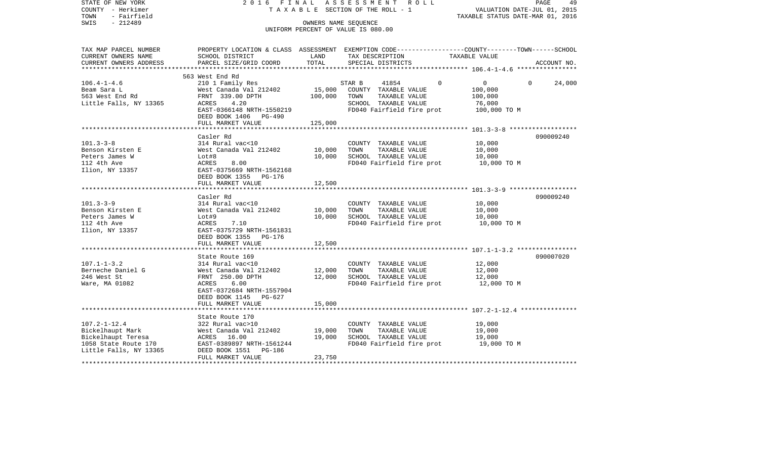| COUNTY - Herkimer<br>- Fairfield<br>TOWN      | T A X A B L E SECTION OF THE ROLL - 1      | VALUATION DATE-JUL 01, 2015<br>TAXABLE STATUS DATE-MAR 01, 2016 |                                                            |                                                                                                 |  |
|-----------------------------------------------|--------------------------------------------|-----------------------------------------------------------------|------------------------------------------------------------|-------------------------------------------------------------------------------------------------|--|
| SWIS<br>$-212489$                             |                                            |                                                                 | OWNERS NAME SEQUENCE<br>UNIFORM PERCENT OF VALUE IS 080.00 |                                                                                                 |  |
| TAX MAP PARCEL NUMBER                         |                                            |                                                                 |                                                            | PROPERTY LOCATION & CLASS ASSESSMENT EXEMPTION CODE----------------COUNTY-------TOWN-----SCHOOL |  |
| CURRENT OWNERS NAME<br>CURRENT OWNERS ADDRESS | SCHOOL DISTRICT<br>PARCEL SIZE/GRID COORD  | LAND<br>TOTAL                                                   | TAX DESCRIPTION<br>SPECIAL DISTRICTS                       | TAXABLE VALUE<br>ACCOUNT NO.                                                                    |  |
|                                               |                                            |                                                                 |                                                            |                                                                                                 |  |
|                                               | 563 West End Rd                            |                                                                 |                                                            |                                                                                                 |  |
| $106.4 - 1 - 4.6$                             | 210 1 Family Res                           |                                                                 | $\Omega$<br>STAR B<br>41854                                | $\Omega$<br>$\Omega$<br>24,000                                                                  |  |
| Beam Sara L                                   | West Canada Val 212402                     | 15,000                                                          | COUNTY TAXABLE VALUE                                       | 100,000                                                                                         |  |
| 563 West End Rd                               | FRNT 339.00 DPTH<br>4.20                   | 100,000                                                         | TOWN<br>TAXABLE VALUE                                      | 100,000                                                                                         |  |
| Little Falls, NY 13365                        | ACRES<br>EAST-0366148 NRTH-1550219         |                                                                 | SCHOOL TAXABLE VALUE<br>FD040 Fairfield fire prot          | 76,000<br>100,000 TO M                                                                          |  |
|                                               | DEED BOOK 1406 PG-490                      |                                                                 |                                                            |                                                                                                 |  |
|                                               | FULL MARKET VALUE                          | 125,000                                                         |                                                            |                                                                                                 |  |
|                                               |                                            |                                                                 |                                                            |                                                                                                 |  |
|                                               | Casler Rd                                  |                                                                 |                                                            | 090009240                                                                                       |  |
| $101.3 - 3 - 8$                               | 314 Rural vac<10                           |                                                                 | COUNTY TAXABLE VALUE                                       | 10,000                                                                                          |  |
| Benson Kirsten E                              | West Canada Val 212402                     | 10,000                                                          | TOWN<br>TAXABLE VALUE                                      | 10,000                                                                                          |  |
| Peters James W<br>112 4th Ave                 | Lot#8<br>ACRES<br>8.00                     | 10,000                                                          | SCHOOL TAXABLE VALUE<br>FD040 Fairfield fire prot          | 10,000<br>10,000 TO M                                                                           |  |
| Ilion, NY 13357                               | EAST-0375669 NRTH-1562168                  |                                                                 |                                                            |                                                                                                 |  |
|                                               | DEED BOOK 1355 PG-176                      |                                                                 |                                                            |                                                                                                 |  |
|                                               | FULL MARKET VALUE                          | 12,500                                                          |                                                            |                                                                                                 |  |
|                                               | ***********************                    |                                                                 |                                                            |                                                                                                 |  |
|                                               | Casler Rd                                  |                                                                 |                                                            | 090009240                                                                                       |  |
| $101.3 - 3 - 9$                               | 314 Rural vac<10<br>West Canada Val 212402 | 10,000                                                          | COUNTY TAXABLE VALUE<br>TOWN<br>TAXABLE VALUE              | 10,000<br>10,000                                                                                |  |
| Benson Kirsten E<br>Peters James W            | Lot#9                                      | 10,000                                                          | SCHOOL TAXABLE VALUE                                       | 10,000                                                                                          |  |
| 112 4th Ave                                   | ACRES<br>7.10                              |                                                                 | FD040 Fairfield fire prot                                  | 10,000 TO M                                                                                     |  |
| Ilion, NY 13357                               | EAST-0375729 NRTH-1561831                  |                                                                 |                                                            |                                                                                                 |  |
|                                               | DEED BOOK 1355 PG-176                      |                                                                 |                                                            |                                                                                                 |  |
|                                               | FULL MARKET VALUE                          | 12,500                                                          |                                                            |                                                                                                 |  |
|                                               |                                            |                                                                 |                                                            | 090007020                                                                                       |  |
| $107.1 - 1 - 3.2$                             | State Route 169<br>314 Rural vac<10        |                                                                 | COUNTY TAXABLE VALUE                                       | 12,000                                                                                          |  |
| Berneche Daniel G                             | West Canada Val 212402                     | 12,000                                                          | TOWN<br>TAXABLE VALUE                                      | 12,000                                                                                          |  |
| 246 West St                                   | FRNT 250.00 DPTH                           | 12,000                                                          | SCHOOL TAXABLE VALUE                                       | 12,000                                                                                          |  |
| Ware, MA 01082                                | ACRES<br>6.00                              |                                                                 | FD040 Fairfield fire prot                                  | 12,000 TO M                                                                                     |  |
|                                               | EAST-0372684 NRTH-1557904                  |                                                                 |                                                            |                                                                                                 |  |
|                                               | DEED BOOK 1145 PG-627                      |                                                                 |                                                            |                                                                                                 |  |
|                                               | FULL MARKET VALUE                          | 15,000                                                          |                                                            |                                                                                                 |  |
|                                               | State Route 170                            |                                                                 |                                                            |                                                                                                 |  |
| $107.2 - 1 - 12.4$                            | 322 Rural vac>10                           |                                                                 | COUNTY TAXABLE VALUE                                       | 19,000                                                                                          |  |
| Bickelhaupt Mark                              | West Canada Val 212402                     | 19,000                                                          | TOWN<br>TAXABLE VALUE                                      | 19,000                                                                                          |  |
| Bickelhaupt Teresa                            | ACRES 16.00                                | 19,000                                                          | SCHOOL TAXABLE VALUE                                       | 19,000                                                                                          |  |
| 1058 State Route 170                          | EAST-0389897 NRTH-1561244                  |                                                                 | FD040 Fairfield fire prot                                  | 19,000 TO M                                                                                     |  |
| Little Falls, NY 13365                        | DEED BOOK 1551 PG-186                      |                                                                 |                                                            |                                                                                                 |  |
|                                               | FULL MARKET VALUE                          | 23,750                                                          |                                                            |                                                                                                 |  |

PAGE 49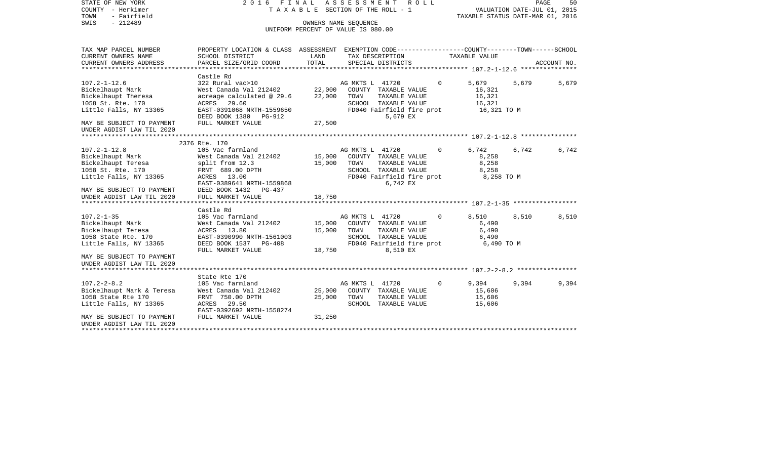| STATE OF NEW YORK<br>COUNTY - Herkimer<br>TOWN<br>- Fairfield                                         |                                                                                                                                                                                               |                  | 2016 FINAL ASSESSMENT ROLL<br>TAXABLE SECTION OF THE ROLL - 1                                                                                              |              | VALUATION DATE-JUL 01, 2015<br>TAXABLE STATUS DATE-MAR 01, 2016 |       | PAGE<br>50  |
|-------------------------------------------------------------------------------------------------------|-----------------------------------------------------------------------------------------------------------------------------------------------------------------------------------------------|------------------|------------------------------------------------------------------------------------------------------------------------------------------------------------|--------------|-----------------------------------------------------------------|-------|-------------|
| SWIS<br>$-212489$                                                                                     |                                                                                                                                                                                               |                  | OWNERS NAME SEOUENCE<br>UNIFORM PERCENT OF VALUE IS 080.00                                                                                                 |              |                                                                 |       |             |
| TAX MAP PARCEL NUMBER<br>CURRENT OWNERS NAME                                                          | PROPERTY LOCATION & CLASS ASSESSMENT EXEMPTION CODE---------------COUNTY-------TOWN------SCHOOL<br>SCHOOL DISTRICT                                                                            | LAND             | TAX DESCRIPTION                                                                                                                                            |              | TAXABLE VALUE                                                   |       |             |
| CURRENT OWNERS ADDRESS                                                                                | PARCEL SIZE/GRID COORD                                                                                                                                                                        | TOTAL            | SPECIAL DISTRICTS                                                                                                                                          |              |                                                                 |       | ACCOUNT NO. |
|                                                                                                       |                                                                                                                                                                                               |                  |                                                                                                                                                            |              |                                                                 |       |             |
| $107.2 - 1 - 12.6$<br>Bickelhaupt Mark<br>Bickelhaupt Theresa<br>1058 St. Rte. 170                    | Castle Rd<br>322 Rural vac>10<br>West Canada Val 212402           22,000 COUNTY TAXABLE VALUE<br>acreage calculated @ 29.6<br>ACRES 29.60<br>Little Falls, NY 13365 EAST-0391068 NRTH-1559650 | 22,000           | AG MKTS L 41720<br>TOWN<br>TAXABLE VALUE<br>SCHOOL TAXABLE VALUE<br>FD040 Fairfield fire prot                                                              | $\mathbf 0$  | 5,679<br>16,321<br>16,321<br>16,321<br>16,321 TO M              | 5,679 | 5,679       |
| MAY BE SUBJECT TO PAYMENT FULL MARKET VALUE<br>UNDER AGDIST LAW TIL 2020                              | DEED BOOK 1380 PG-912                                                                                                                                                                         | 27,500           | 5,679 EX                                                                                                                                                   |              |                                                                 |       |             |
|                                                                                                       |                                                                                                                                                                                               |                  |                                                                                                                                                            |              |                                                                 |       |             |
|                                                                                                       | 2376 Rte. 170                                                                                                                                                                                 |                  |                                                                                                                                                            |              |                                                                 |       |             |
| $107.2 - 1 - 12.8$<br>Little Falls, NY 13365                                                          | 105 Vac farmland<br>-<br>West Canada Val 212402<br>ACRES 13.00                                                                                                                                | 15,000           | AG MKTS L 41720<br>AG MKTS L 41720<br>15,000 COUNTY TAXABLE VALUE<br>TAXABLE VALUE<br>TOWN<br>SCHOOL TAXABLE VALUE<br>FD040 Fairfield fire prot 8,258 TO M | $\mathbf 0$  | 6,742<br>8,258<br>8,258<br>8,258                                | 6,742 | 6,742       |
| MAY BE SUBJECT TO PAYMENT<br>UNDER AGDIST LAW TIL 2020                                                | EAST-0389641 NRTH-1559868<br>DEED BOOK 1432 PG-437<br>FULL MARKET VALUE                                                                                                                       | 18,750           | 6,742 EX                                                                                                                                                   |              |                                                                 |       |             |
|                                                                                                       | Castle Rd                                                                                                                                                                                     |                  |                                                                                                                                                            |              |                                                                 |       |             |
| 107.2-1-35<br>Bickelhaupt Mark<br>Bickelhaupt Teresa<br>1058 State Rte. 170<br>Little Falls, NY 13365 | 105 Vac farmland<br>west Canada Val 212402<br>ACRES 13.80<br>EAST-0390990 NRTH-1561003<br>DEED BOOK 1537 PG-408<br>FULL MARKET VALUE                                                          | 15,000<br>18,750 | AG MKTS L 41720<br>15,000 COUNTY TAXABLE VALUE<br>TOWN<br>TAXABLE VALUE<br>SCHOOL TAXABLE VALUE<br>FD040 Fairfield fire prot<br>8,510 EX                   | $\mathbf{0}$ | 8,510<br>6,490<br>6,490<br>6,490<br>6,490 TO M                  | 8,510 | 8,510       |
| MAY BE SUBJECT TO PAYMENT<br>UNDER AGDIST LAW TIL 2020                                                |                                                                                                                                                                                               |                  |                                                                                                                                                            |              |                                                                 |       |             |
|                                                                                                       | State Rte 170                                                                                                                                                                                 |                  |                                                                                                                                                            |              |                                                                 |       |             |
| $107.2 - 2 - 8.2$<br>1058 State Rte 170<br>Little Falls, NY 13365                                     | 105 Vac farmland<br>----- - ---<br>Bickelhaupt Mark & Teresa       West Canada Val 212402<br>FRNT 750.00 DPTH<br>ACRES 29.50<br>EAST-0392692 NRTH-1558274                                     | 25,000<br>25,000 | AG MKTS L 41720<br>COUNTY TAXABLE VALUE<br>TOWN<br>TAXABLE VALUE<br>SCHOOL TAXABLE VALUE                                                                   | $\Omega$     | 9,394<br>15,606<br>15,606<br>15,606                             | 9,394 | 9,394       |
| MAY BE SUBJECT TO PAYMENT<br>UNDER AGDIST LAW TIL 2020<br>**********************                      | FULL MARKET VALUE                                                                                                                                                                             | 31,250           |                                                                                                                                                            |              |                                                                 |       |             |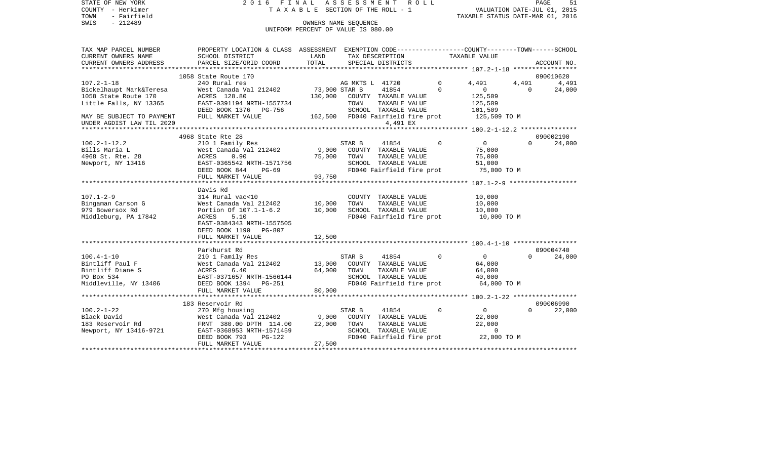| STATE OF NEW YORK         |                                                                                                                                |               | 2016 FINAL ASSESSMENT ROLL         |                |                                  |          | PAGE<br>51          |
|---------------------------|--------------------------------------------------------------------------------------------------------------------------------|---------------|------------------------------------|----------------|----------------------------------|----------|---------------------|
| COUNTY - Herkimer         |                                                                                                                                |               | TAXABLE SECTION OF THE ROLL - 1    |                | VALUATION DATE-JUL 01, 2015      |          |                     |
| TOWN<br>- Fairfield       |                                                                                                                                |               |                                    |                | TAXABLE STATUS DATE-MAR 01, 2016 |          |                     |
| $-212489$<br>SWIS         |                                                                                                                                |               | OWNERS NAME SEOUENCE               |                |                                  |          |                     |
|                           |                                                                                                                                |               | UNIFORM PERCENT OF VALUE IS 080.00 |                |                                  |          |                     |
|                           |                                                                                                                                |               |                                    |                |                                  |          |                     |
| TAX MAP PARCEL NUMBER     | PROPERTY LOCATION & CLASS ASSESSMENT EXEMPTION CODE----------------COUNTY-------TOWN------SCHOOL                               |               |                                    |                |                                  |          |                     |
| CURRENT OWNERS NAME       | SCHOOL DISTRICT                                                                                                                | LAND          | TAX DESCRIPTION                    |                | TAXABLE VALUE                    |          |                     |
| CURRENT OWNERS ADDRESS    | PARCEL SIZE/GRID COORD                                                                                                         | TOTAL         | SPECIAL DISTRICTS                  |                |                                  |          | ACCOUNT NO.         |
|                           | 1058 State Route 170                                                                                                           |               |                                    |                |                                  |          | 090010620           |
| $107.2 - 1 - 18$          | 240 Rural res                                                                                                                  |               | AG MKTS L 41720                    | $\overline{0}$ | 4,491                            | 4,491    | 4,491               |
| Bickelhaupt Mark&Teresa   | West Canada Val 212402                                                                                                         | 73,000 STAR B | 41854                              | $\Omega$       | $\overline{0}$                   | $\Omega$ | 24,000              |
| 1058 State Route 170      | ACRES 128.80                                                                                                                   |               | 130,000 COUNTY TAXABLE VALUE       |                | 125,509                          |          |                     |
| Little Falls, NY 13365    | EAST-0391194 NRTH-1557734                                                                                                      |               | TAXABLE VALUE<br>TOWN              |                | 125,509                          |          |                     |
|                           | DEED BOOK 1376 PG-756                                                                                                          |               | SCHOOL TAXABLE VALUE               |                | 101,509                          |          |                     |
|                           | FULL MARKET VALUE                                                                                                              |               | 162,500 FD040 Fairfield fire prot  |                | 125,509 TO M                     |          |                     |
| MAY BE SUBJECT TO PAYMENT |                                                                                                                                |               |                                    |                |                                  |          |                     |
| UNDER AGDIST LAW TIL 2020 |                                                                                                                                |               | 4,491 EX                           |                |                                  |          |                     |
|                           | 4968 State Rte 28                                                                                                              |               |                                    |                |                                  |          | 090002190           |
| 100.2-1-12.2              | 210 1 Family Res                                                                                                               |               | 41854<br>STAR B                    | $\Omega$       | $\overline{0}$                   | $\Omega$ | 24,000              |
| Bills Maria L             | West Canada Val 212402                                                                                                         | 9,000         | COUNTY TAXABLE VALUE               |                | 75,000                           |          |                     |
| 4968 St. Rte. 28          | ACRES<br>0.90                                                                                                                  | 75,000        | TOWN<br>TAXABLE VALUE              |                | 75,000                           |          |                     |
| Newport, NY 13416         | ---<br>EAST-0365542 NRTH-1571756                                                                                               |               | SCHOOL TAXABLE VALUE               |                | 51,000                           |          |                     |
|                           | DEED BOOK 844<br>PG-69                                                                                                         |               | FD040 Fairfield fire prot          |                | 75,000 TO M                      |          |                     |
|                           | FULL MARKET VALUE                                                                                                              | 93,750        |                                    |                |                                  |          |                     |
|                           |                                                                                                                                |               |                                    |                |                                  |          |                     |
|                           | Davis Rd                                                                                                                       |               |                                    |                |                                  |          |                     |
| 107.1-2-9                 | 314 Rural vac<10                                                                                                               |               | COUNTY TAXABLE VALUE               |                | 10,000                           |          |                     |
| Bingaman Carson G         | West Canada Val 212402<br>Portion Of 107.1-1-6.2                                                                               | 10,000        | TOWN<br>TAXABLE VALUE              |                | 10,000                           |          |                     |
| 979 Bowersox Rd           | Portion Of 107.1-1-6.2 10,000                                                                                                  |               | SCHOOL TAXABLE VALUE               |                | 10,000                           |          |                     |
| Middleburg, PA 17842      | ACRES<br>5.10                                                                                                                  |               | FD040 Fairfield fire prot          |                | 10,000 TO M                      |          |                     |
|                           | EAST-0384343 NRTH-1557505                                                                                                      |               |                                    |                |                                  |          |                     |
|                           | DEED BOOK 1190 PG-807                                                                                                          |               |                                    |                |                                  |          |                     |
|                           | FULL MARKET VALUE                                                                                                              | 12,500        |                                    |                |                                  |          |                     |
|                           |                                                                                                                                |               |                                    |                |                                  |          |                     |
| $100.4 - 1 - 10$          | Parkhurst Rd                                                                                                                   |               | 41854<br>STAR B                    | $\mathbf 0$    | $\overline{0}$                   | $\Omega$ | 090004740<br>24,000 |
| Bintliff Paul F           | 210 1 Family Res<br>West Canada Val 212402                                                                                     | 13,000        | COUNTY TAXABLE VALUE               |                |                                  |          |                     |
|                           |                                                                                                                                | 64,000        | TAXABLE VALUE                      |                | 64,000                           |          |                     |
| Bintliff Diane S          | ACRES<br>6.40                                                                                                                  |               | TOWN                               |                | 64,000                           |          |                     |
| PO Box 534                | EAST-0371657 NRTH-1566144                                                                                                      |               | SCHOOL TAXABLE VALUE               |                | 40,000                           |          |                     |
| Middleville, NY 13406     | DEED BOOK 1394 PG-251<br>FULL MARKET VALUE                                                                                     | 80,000        | FD040 Fairfield fire prot          |                | 64,000 TO M                      |          |                     |
|                           |                                                                                                                                |               |                                    |                |                                  |          |                     |
|                           | 183 Reservoir Rd                                                                                                               |               |                                    |                |                                  |          | 090006990           |
| 100.2-1-22                | 270 Mfg housing                                                                                                                |               | 41854<br>STAR B                    | $\mathbf 0$    | $\overline{0}$                   | $\Omega$ | 22,000              |
| Black David               |                                                                                                                                | 9,000         | COUNTY TAXABLE VALUE               |                | 22,000                           |          |                     |
| 183 Reservoir Rd          |                                                                                                                                | 22,000        | TOWN<br>TAXABLE VALUE              |                | 22,000                           |          |                     |
| Newport, NY 13416-9721    | 270 Mrg nousing<br>West Canada Val 212402<br>FRNT 380.00 DPTH 114.00<br>FAST-0368953 NRTH-1571459<br>FAST-0368953 NRTH-1571459 |               | SCHOOL TAXABLE VALUE               |                | $\overline{0}$                   |          |                     |
|                           | DEED BOOK 793<br>$PG-122$                                                                                                      |               | FD040 Fairfield fire prot          |                | 22,000 TO M                      |          |                     |
|                           | FULL MARKET VALUE                                                                                                              | 27,500        |                                    |                |                                  |          |                     |
|                           |                                                                                                                                |               |                                    |                |                                  |          |                     |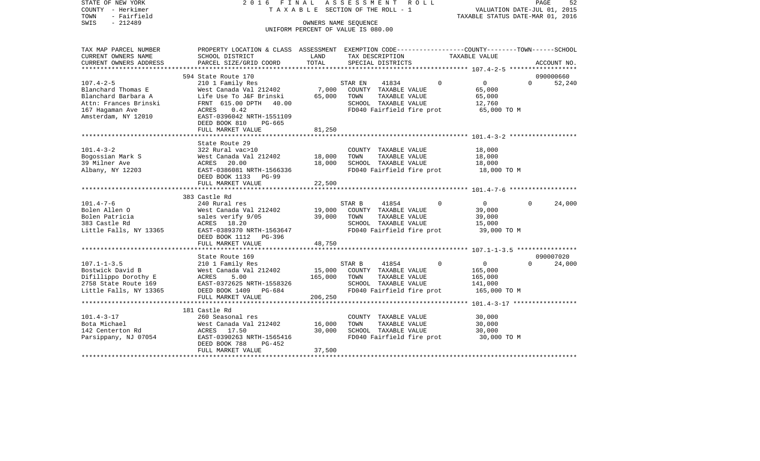| STATE OF NEW YORK<br>COUNTY - Herkimer | 2016 FINAL                                                                                                         |                                    | ASSESSMENT |                                       | R O L L |             | VALUATION DATE-JUL 01, 2015             | PAGE     | 52          |
|----------------------------------------|--------------------------------------------------------------------------------------------------------------------|------------------------------------|------------|---------------------------------------|---------|-------------|-----------------------------------------|----------|-------------|
| TOWN<br>- Fairfield                    | TAXABLE SECTION OF THE ROLL - 1                                                                                    |                                    |            |                                       |         |             | TAXABLE STATUS DATE-MAR 01, 2016        |          |             |
| $-212489$<br>SWIS                      |                                                                                                                    | OWNERS NAME SEQUENCE               |            |                                       |         |             |                                         |          |             |
|                                        |                                                                                                                    | UNIFORM PERCENT OF VALUE IS 080.00 |            |                                       |         |             |                                         |          |             |
|                                        |                                                                                                                    |                                    |            |                                       |         |             |                                         |          |             |
| TAX MAP PARCEL NUMBER                  |                                                                                                                    |                                    |            |                                       |         |             |                                         |          |             |
| CURRENT OWNERS NAME                    | PROPERTY LOCATION & CLASS ASSESSMENT EXEMPTION CODE---------------COUNTY-------TOWN------SCHOOL<br>SCHOOL DISTRICT | LAND                               |            | TAX DESCRIPTION                       |         |             | TAXABLE VALUE                           |          |             |
| CURRENT OWNERS ADDRESS                 | PARCEL SIZE/GRID COORD                                                                                             | TOTAL                              |            | SPECIAL DISTRICTS                     |         |             |                                         |          | ACCOUNT NO. |
| **********************                 |                                                                                                                    |                                    |            |                                       |         |             |                                         |          |             |
|                                        | 594 State Route 170                                                                                                |                                    |            |                                       |         |             |                                         |          | 090000660   |
| $107.4 - 2 - 5$                        | 210 1 Family Res                                                                                                   |                                    | STAR EN    | 41834                                 |         | $\mathbf 0$ | $\overline{0}$                          | $\Omega$ | 52,240      |
| Blanchard Thomas E                     | West Canada Val 212402                                                                                             | 7,000                              |            | COUNTY TAXABLE VALUE                  |         |             | 65,000                                  |          |             |
| Blanchard Barbara A                    | Life Use To J&F Brinski                                                                                            | 65,000                             | TOWN       | TAXABLE VALUE                         |         |             | 65,000                                  |          |             |
| Attn: Frances Brinski                  | FRNT 615.00 DPTH<br>40.00                                                                                          |                                    |            | SCHOOL TAXABLE VALUE                  |         |             | 12,760                                  |          |             |
| 167 Hagaman Ave                        | ACRES<br>0.42                                                                                                      |                                    |            | FD040 Fairfield fire prot             |         |             | 65,000 TO M                             |          |             |
| Amsterdam, NY 12010                    | EAST-0396042 NRTH-1551109                                                                                          |                                    |            |                                       |         |             |                                         |          |             |
|                                        | DEED BOOK 810<br>PG-665                                                                                            |                                    |            |                                       |         |             |                                         |          |             |
|                                        | FULL MARKET VALUE                                                                                                  | 81,250                             |            |                                       |         |             |                                         |          |             |
|                                        |                                                                                                                    |                                    |            |                                       |         |             |                                         |          |             |
|                                        | State Route 29                                                                                                     |                                    |            |                                       |         |             |                                         |          |             |
| $101.4 - 3 - 2$                        | 322 Rural vac>10                                                                                                   |                                    |            | COUNTY TAXABLE VALUE                  |         |             | 18,000                                  |          |             |
| Bogossian Mark S                       | West Canada Val 212402                                                                                             | 18,000                             | TOWN       | TAXABLE VALUE                         |         |             | 18,000                                  |          |             |
| 39 Milner Ave                          | ACRES 20.00                                                                                                        | 18,000                             |            | SCHOOL TAXABLE VALUE                  |         |             | 18,000                                  |          |             |
| Albany, NY 12203                       | EAST-0386081 NRTH-1566336                                                                                          |                                    |            | FD040 Fairfield fire prot             |         |             | 18,000 TO M                             |          |             |
|                                        | DEED BOOK 1133 PG-99                                                                                               |                                    |            |                                       |         |             |                                         |          |             |
|                                        | FULL MARKET VALUE                                                                                                  | 22,500                             |            |                                       |         |             |                                         |          |             |
|                                        |                                                                                                                    |                                    |            |                                       |         |             |                                         |          |             |
|                                        | 383 Castle Rd                                                                                                      |                                    |            |                                       |         |             |                                         |          |             |
| $101.4 - 7 - 6$                        | 240 Rural res                                                                                                      |                                    | STAR B     | 41854                                 |         | $\Omega$    | $\overline{0}$                          | $\Omega$ | 24,000      |
| Bolen Allen O<br>Bolen Patricia        | West Canada Val 212402                                                                                             | 19,000<br>39,000                   | TOWN       | COUNTY TAXABLE VALUE<br>TAXABLE VALUE |         |             | 39,000                                  |          |             |
| 383 Castle Rd                          | sales verify 9/05<br>ACRES 18.20                                                                                   |                                    |            | SCHOOL TAXABLE VALUE                  |         |             | 39,000<br>15,000                        |          |             |
| Little Falls, NY 13365                 | EAST-0389370 NRTH-1563647                                                                                          |                                    |            | FD040 Fairfield fire prot             |         |             | 39,000 TO M                             |          |             |
|                                        | DEED BOOK 1112 PG-396                                                                                              |                                    |            |                                       |         |             |                                         |          |             |
|                                        | FULL MARKET VALUE                                                                                                  | 48,750                             |            |                                       |         |             |                                         |          |             |
|                                        |                                                                                                                    |                                    |            |                                       |         |             |                                         |          |             |
|                                        | State Route 169                                                                                                    |                                    |            |                                       |         |             |                                         |          | 090007020   |
| $107.1 - 1 - 3.5$                      | 210 1 Family Res                                                                                                   |                                    | STAR B     | 41854                                 |         | $\Omega$    | $\overline{0}$                          | $\cap$   | 24,000      |
| Bostwick David B                       | West Canada Val 212402                                                                                             | 15,000                             |            | COUNTY TAXABLE VALUE                  |         |             | 165,000                                 |          |             |
| Difillippo Dorothy E                   | ACRES<br>5.00                                                                                                      | 165,000                            | TOWN       | TAXABLE VALUE                         |         |             | 165,000                                 |          |             |
| 2758 State Route 169                   | EAST-0372625 NRTH-1558326                                                                                          |                                    |            | SCHOOL TAXABLE VALUE                  |         |             | 141,000                                 |          |             |
| Little Falls, NY 13365                 | DEED BOOK 1409 PG-684                                                                                              |                                    |            | FD040 Fairfield fire prot             |         |             | 165,000 TO M                            |          |             |
|                                        | FULL MARKET VALUE                                                                                                  | 206,250                            |            |                                       |         |             |                                         |          |             |
|                                        |                                                                                                                    |                                    |            |                                       |         |             | ********* 101.4-3-17 ****************** |          |             |
|                                        | 181 Castle Rd                                                                                                      |                                    |            |                                       |         |             |                                         |          |             |
| $101.4 - 3 - 17$                       | 260 Seasonal res                                                                                                   |                                    |            | COUNTY TAXABLE VALUE                  |         |             | 30,000                                  |          |             |
| Bota Michael                           | West Canada Val 212402                                                                                             | 16,000                             | TOWN       | TAXABLE VALUE                         |         |             | 30,000                                  |          |             |
| 142 Centerton Rd                       | ACRES 17.50                                                                                                        | 30,000                             |            | SCHOOL TAXABLE VALUE                  |         |             | 30,000                                  |          |             |
| Parsippany, NJ 07054                   | EAST-0390263 NRTH-1565416                                                                                          |                                    |            | FD040 Fairfield fire prot             |         |             | 30,000 TO M                             |          |             |
|                                        | DEED BOOK 788<br>PG-452                                                                                            |                                    |            |                                       |         |             |                                         |          |             |
|                                        | FULL MARKET VALUE                                                                                                  | 37,500                             |            |                                       |         |             |                                         |          |             |
|                                        |                                                                                                                    |                                    |            |                                       |         |             |                                         |          |             |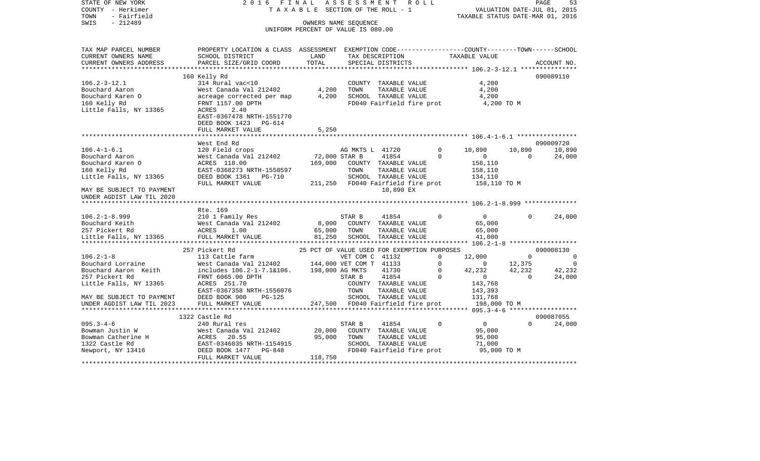STATE OF NEW YORK 2 0 1 6 F I N A L A S S E S S M E N T R O L L PAGE 53VALUATION DATE-JUL 01, 2015 COUNTY - Herkimer T A X A B L E SECTION OF THE ROLL - 1 TOWN - Fairfield TAXABLE STATUS DATE-MAR 01, 2016 SWIS - 212489 OWNERS NAME SEQUENCE UNIFORM PERCENT OF VALUE IS 080.00TAX MAP PARCEL NUMBER PROPERTY LOCATION & CLASS ASSESSMENT EXEMPTION CODE------------------COUNTY--------TOWN------SCHOOL CURRENT OWNERS NAME SCHOOL DISTRICT LAND TAX DESCRIPTION TAXABLE VALUECURRENT OWNERS ADDRESS PARCEL SIZE/GRID COORD TOTAL SPECIAL DISTRICTS ACCOUNT NO. \*\*\*\*\*\*\*\*\*\*\*\*\*\*\*\*\*\*\*\*\*\*\*\*\*\*\*\*\*\*\*\*\*\*\*\*\*\*\*\*\*\*\*\*\*\*\*\*\*\*\*\*\*\*\*\*\*\*\*\*\*\*\*\*\*\*\*\*\*\*\*\*\*\*\*\*\*\*\*\*\*\*\*\*\*\*\*\*\*\*\*\*\*\*\*\*\*\*\*\*\*\*\* 106.2-3-12.1 \*\*\*\*\*\*\*\*\*\*\*\*\*\*\* 160 Kelly Rd 090089110 106.2-3-12.1 314 Rural vac<10 COUNTY TAXABLE VALUE 4,200 Bouchard Aaron West Canada Val 212402 4,200 TOWN TAXABLE VALUE 4,200 Bouchard Karen O acreage corrected per map  $4,200$  SCHOOL TAXABLE VALUE  $4,200$ 160 Kelly Rd FRNT 1157.00 DPTH FD040 Fairfield fire prot 4,200 TO M Little Falls, NY 13365 ACRES 2.40 EAST-0367478 NRTH-1551770 DEED BOOK 1423 PG-614 FULL MARKET VALUE 5,250 \*\*\*\*\*\*\*\*\*\*\*\*\*\*\*\*\*\*\*\*\*\*\*\*\*\*\*\*\*\*\*\*\*\*\*\*\*\*\*\*\*\*\*\*\*\*\*\*\*\*\*\*\*\*\*\*\*\*\*\*\*\*\*\*\*\*\*\*\*\*\*\*\*\*\*\*\*\*\*\*\*\*\*\*\*\*\*\*\*\*\*\*\*\*\*\*\*\*\*\*\*\*\* 106.4-1-6.1 \*\*\*\*\*\*\*\*\*\*\*\*\*\*\*\* West End Rd 090009720106.4-1-6.1 120 Field crops AG MKTS L 41720 0 10,890 10,890 10,890 Bouchard Aaron West Canada Val 212402 72,000 STAR B 41854 0 0 0 24,000 Bouchard Karen O ACRES 118.00 169,000 COUNTY TAXABLE VALUE 158,110 160 Kelly Rd EAST-0368273 NRTH-1550597 TOWN TAXABLE VALUE 158,110 Little Falls, NY 13365 DEED BOOK 1361 PG-710 SCHOOL TAXABLE VALUE 134,110 FULL MARKET VALUE 211,250 FD040 Fairfield fire prot 158,110 TO M MAY BE SUBJECT TO PAYMENT 10,890 EX UNDER AGDIST LAW TIL 2020 \*\*\*\*\*\*\*\*\*\*\*\*\*\*\*\*\*\*\*\*\*\*\*\*\*\*\*\*\*\*\*\*\*\*\*\*\*\*\*\*\*\*\*\*\*\*\*\*\*\*\*\*\*\*\*\*\*\*\*\*\*\*\*\*\*\*\*\*\*\*\*\*\*\*\*\*\*\*\*\*\*\*\*\*\*\*\*\*\*\*\*\*\*\*\*\*\*\*\*\*\*\*\* 106.2-1-8.999 \*\*\*\*\*\*\*\*\*\*\*\*\*\* Rte. 169106.2-1-8.999 210 1 Family Res STAR B 41854 0 0 0 24,000 Bouchard Keith West Canada Val 212402 8,000 COUNTY TAXABLE VALUE 65,000 257 Pickert Rd  $ACRES$  1.00 65,000 TOWN TAXABLE VALUE 65,000 65,000 Little Falls, NY 13365 FULL MARKET VALUE 81,250 SCHOOL TAXABLE VALUE 41,000 \*\*\*\*\*\*\*\*\*\*\*\*\*\*\*\*\*\*\*\*\*\*\*\*\*\*\*\*\*\*\*\*\*\*\*\*\*\*\*\*\*\*\*\*\*\*\*\*\*\*\*\*\*\*\*\*\*\*\*\*\*\*\*\*\*\*\*\*\*\*\*\*\*\*\*\*\*\*\*\*\*\*\*\*\*\*\*\*\*\*\*\*\*\*\*\*\*\*\*\*\*\*\* 106.2-1-8 \*\*\*\*\*\*\*\*\*\*\*\*\*\*\*\*\*\* 257 Pickert Rd 25 PCT OF VALUE USED FOR EXEMPTION PURPOSES 090008130106.2-1-8 113 Cattle farm VET COM C 41132 0 12,000 0 0 0 Bouchard Lorraine **Mest Canada Val 212402** 144,000 VET COM T 41133 0 0 12,375 0 0 Bouchard Aaron Keith includes 106.2-1-7.1&106. 198,000 AG MKTS 41730 0 42,232 42,232 42,232 257 Pickert Rd FRNT 6065.00 DPTH STAR B 41854 0 0 0 24,000 Little Falls, NY 13365 ACRES 251.70 COUNTY TAXABLE VALUE 143,768 EAST-0367358 NRTH-1556076 TOWN TAXABLE VALUE 143,393 MAY BE SUBJECT TO PAYMENT DEED BOOK 900 PG-125 SCHOOL TAXABLE VALUE 131,768 UNDER AGDIST LAW TIL 2023 FULL MARKET VALUE 247,500 FD040 Fairfield fire prot 198,000 TO M \*\*\*\*\*\*\*\*\*\*\*\*\*\*\*\*\*\*\*\*\*\*\*\*\*\*\*\*\*\*\*\*\*\*\*\*\*\*\*\*\*\*\*\*\*\*\*\*\*\*\*\*\*\*\*\*\*\*\*\*\*\*\*\*\*\*\*\*\*\*\*\*\*\*\*\*\*\*\*\*\*\*\*\*\*\*\*\*\*\*\*\*\*\*\*\*\*\*\*\*\*\*\* 095.3-4-6 \*\*\*\*\*\*\*\*\*\*\*\*\*\*\*\*\*\* 1322 Castle Rd 090087055095.3-4-6 240 Rural res STAR B 41854 0 0 0 24,000 Bowman Justin W West Canada Val 212402 20,000 COUNTY TAXABLE VALUE 95,000 Bowman Catherine H  $ACRES$  20.55 95,000 TOWN TAXABLE VALUE 95,000 1322 Castle Rd EAST-0346035 NRTH-1154915 SCHOOL TAXABLE VALUE 71,000 Newport, NY 13416 DEED BOOK 1477 PG-848 FD040 Fairfield fire prot 95,000 TO M FULL MARKET VALUE 118,750 \*\*\*\*\*\*\*\*\*\*\*\*\*\*\*\*\*\*\*\*\*\*\*\*\*\*\*\*\*\*\*\*\*\*\*\*\*\*\*\*\*\*\*\*\*\*\*\*\*\*\*\*\*\*\*\*\*\*\*\*\*\*\*\*\*\*\*\*\*\*\*\*\*\*\*\*\*\*\*\*\*\*\*\*\*\*\*\*\*\*\*\*\*\*\*\*\*\*\*\*\*\*\*\*\*\*\*\*\*\*\*\*\*\*\*\*\*\*\*\*\*\*\*\*\*\*\*\*\*\*\*\*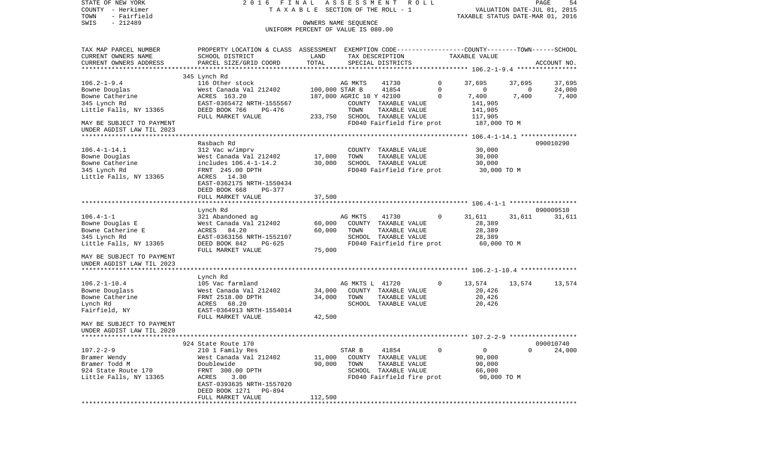COUNTY - Herkimer **T A X A B L E SECTION OF THE ROLL - 1** VALUATION DATE-JUL 01, 2015 TOWN - Fairfield TAXABLE STATUS DATE-MAR 01, 2016 SWIS - 212489 OWNERS NAME SEQUENCE UNIFORM PERCENT OF VALUE IS 080.00TAX MAP PARCEL NUMBER PROPERTY LOCATION & CLASS ASSESSMENT EXEMPTION CODE------------------COUNTY--------TOWN------SCHOOL CURRENT OWNERS NAME SCHOOL DISTRICT LAND TAX DESCRIPTION TAXABLE VALUECURRENT OWNERS ADDRESS PARCEL SIZE/GRID COORD TOTAL SPECIAL DISTRICTS ACCOUNT NO. \*\*\*\*\*\*\*\*\*\*\*\*\*\*\*\*\*\*\*\*\*\*\*\*\*\*\*\*\*\*\*\*\*\*\*\*\*\*\*\*\*\*\*\*\*\*\*\*\*\*\*\*\*\*\*\*\*\*\*\*\*\*\*\*\*\*\*\*\*\*\*\*\*\*\*\*\*\*\*\*\*\*\*\*\*\*\*\*\*\*\*\*\*\*\*\*\*\*\*\*\*\*\* 106.2-1-9.4 \*\*\*\*\*\*\*\*\*\*\*\*\*\*\*\* 345 Lynch Rd 106.2-1-9.4 116 Other stock AG MKTS 41730 0 37,695 37,695 37,695 Bowne Douglas West Canada Val 212402 100,000 STAR B 41854 0 0 0 24,000 Bowne Catherine ACRES 163.20 187,000 AGRIC 10 Y 42100 0 7,400 7,400 7,400 345 Lynch Rd EAST-0365472 NRTH-1555567 COUNTY TAXABLE VALUE 141,905 Little Falls, NY 13365 DEED BOOK 766 PG-476 TOWN TAXABLE VALUE FULL MARKET VALUE  $233,750$  SCHOOL TAXABLE VALUE  $117,905$ MAY BE SUBJECT TO PAYMENT THE SOLUTION OF THE RESOLUTION OF THE PROPER TO PAY ASSESSED AS A SERVED OF TO M UNDER AGDIST LAW TIL 2023 \*\*\*\*\*\*\*\*\*\*\*\*\*\*\*\*\*\*\*\*\*\*\*\*\*\*\*\*\*\*\*\*\*\*\*\*\*\*\*\*\*\*\*\*\*\*\*\*\*\*\*\*\*\*\*\*\*\*\*\*\*\*\*\*\*\*\*\*\*\*\*\*\*\*\*\*\*\*\*\*\*\*\*\*\*\*\*\*\*\*\*\*\*\*\*\*\*\*\*\*\*\*\* 106.4-1-14.1 \*\*\*\*\*\*\*\*\*\*\*\*\*\*\* Rasbach Rd 090010290106.4-1-14.1 312 Vac w/imprv COUNTY TAXABLE VALUE 30,000 Bowne Douglas West Canada Val 212402 17,000 TOWN TAXABLE VALUE 30,000 Bowne Catherine **includes 106.4-1-14.2** 30,000 SCHOOL TAXABLE VALUE 30,000 345 Lynch Rd FRNT 245.00 DPTH FOULD FOULD FOUND FOUND FOUND FOUND FOUND TO M Little Falls, NY 13365 ACRES 14.30 EAST-0362175 NRTH-1550434 DEED BOOK 668 PG-377FULL MARKET VALUE 37,500 \*\*\*\*\*\*\*\*\*\*\*\*\*\*\*\*\*\*\*\*\*\*\*\*\*\*\*\*\*\*\*\*\*\*\*\*\*\*\*\*\*\*\*\*\*\*\*\*\*\*\*\*\*\*\*\*\*\*\*\*\*\*\*\*\*\*\*\*\*\*\*\*\*\*\*\*\*\*\*\*\*\*\*\*\*\*\*\*\*\*\*\*\*\*\*\*\*\*\*\*\*\*\* 106.4-1-1 \*\*\*\*\*\*\*\*\*\*\*\*\*\*\*\*\*\* Lynch Rd 090009510 106.4-1-1 321 Abandoned ag AG MKTS 41730 0 31,611 31,611 31,611 Bowne Douglas E West Canada Val 212402 60,000 COUNTY TAXABLE VALUE 28,389 Bowne Catherine E **ACRES** 84.20 60,000 TOWN TAXABLE VALUE 28,389 345 Lynch Rd EAST-0363156 NRTH-1552107 SCHOOL TAXABLE VALUE 28,389 Little Falls, NY 13365 DEED BOOK 842 PG-625 FD040 Fairfield fire prot 60,000 TO M FULL MARKET VALUE 75,000 MAY BE SUBJECT TO PAYMENTUNDER AGDIST LAW TIL 2023 \*\*\*\*\*\*\*\*\*\*\*\*\*\*\*\*\*\*\*\*\*\*\*\*\*\*\*\*\*\*\*\*\*\*\*\*\*\*\*\*\*\*\*\*\*\*\*\*\*\*\*\*\*\*\*\*\*\*\*\*\*\*\*\*\*\*\*\*\*\*\*\*\*\*\*\*\*\*\*\*\*\*\*\*\*\*\*\*\*\*\*\*\*\*\*\*\*\*\*\*\*\*\* 106.2-1-10.4 \*\*\*\*\*\*\*\*\*\*\*\*\*\*\* Lynch Rd 106.2-1-10.4 105 Vac farmland AG MKTS L 41720 0 13,574 13,574 13,574 Bowne Douglass West Canada Val 212402 34,000 COUNTY TAXABLE VALUE 20,426 Bowne Catherine 6 6 FRNT 2518.00 DPTH 34,000 TOWN TAXABLE VALUE 20,426 Lynch Rd ACRES 68.20 SCHOOL TAXABLE VALUE 20,426 Fairfield, NY EAST-0364913 NRTH-1554014 FULL MARKET VALUE 42,500 MAY BE SUBJECT TO PAYMENTUNDER AGDIST LAW TIL 2020 \*\*\*\*\*\*\*\*\*\*\*\*\*\*\*\*\*\*\*\*\*\*\*\*\*\*\*\*\*\*\*\*\*\*\*\*\*\*\*\*\*\*\*\*\*\*\*\*\*\*\*\*\*\*\*\*\*\*\*\*\*\*\*\*\*\*\*\*\*\*\*\*\*\*\*\*\*\*\*\*\*\*\*\*\*\*\*\*\*\*\*\*\*\*\*\*\*\*\*\*\*\*\* 107.2-2-9 \*\*\*\*\*\*\*\*\*\*\*\*\*\*\*\*\*\*924 State Route 170 090010740 107.2-2-9 210 1 Family Res STAR B 41854 0 0 0 24,000 Bramer Wendy West Canada Val 212402 11,000 COUNTY TAXABLE VALUE 90,000 Bramer Todd M Doublewide 90,000 TOWN TAXABLE VALUE 90,000 924 State Route 170 FRNT 300.00 DPTH SCHOOL TAXABLE VALUE 66,000 Little Falls, NY 13365 ACRES 3.00 ACRES FD040 Fairfield fire prot 90,000 TO M EAST-0393635 NRTH-1557020 DEED BOOK 1271 PG-894 FULL MARKET VALUE 112.500 \*\*\*\*\*\*\*\*\*\*\*\*\*\*\*\*\*\*\*\*\*\*\*\*\*\*\*\*\*\*\*\*\*\*\*\*\*\*\*\*\*\*\*\*\*\*\*\*\*\*\*\*\*\*\*\*\*\*\*\*\*\*\*\*\*\*\*\*\*\*\*\*\*\*\*\*\*\*\*\*\*\*\*\*\*\*\*\*\*\*\*\*\*\*\*\*\*\*\*\*\*\*\*\*\*\*\*\*\*\*\*\*\*\*\*\*\*\*\*\*\*\*\*\*\*\*\*\*\*\*\*\*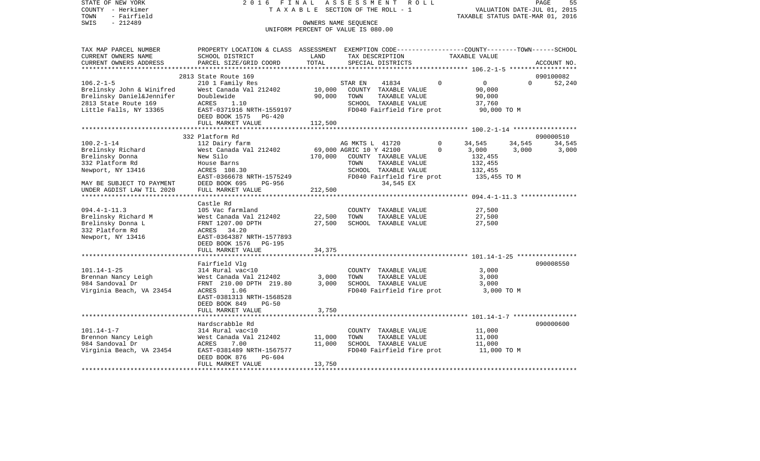STATE OF NEW YORK 2 0 1 6 F I N A L A S S E S S M E N T R O L L PAGE 55COUNTY - Herkimer **T A X A B L E SECTION OF THE ROLL - 1** VALUATION DATE-JUL 01, 2015 TOWN - Fairfield TAXABLE STATUS DATE-MAR 01, 2016 SWIS - 212489 OWNERS NAME SEQUENCE UNIFORM PERCENT OF VALUE IS 080.00TAX MAP PARCEL NUMBER PROPERTY LOCATION & CLASS ASSESSMENT EXEMPTION CODE------------------COUNTY--------TOWN------SCHOOL CURRENT OWNERS NAME SCHOOL DISTRICT LAND TAX DESCRIPTION TAXABLE VALUECURRENT OWNERS ADDRESS PARCEL SIZE/GRID COORD TOTAL SPECIAL DISTRICTS ACCOUNT NO. \*\*\*\*\*\*\*\*\*\*\*\*\*\*\*\*\*\*\*\*\*\*\*\*\*\*\*\*\*\*\*\*\*\*\*\*\*\*\*\*\*\*\*\*\*\*\*\*\*\*\*\*\*\*\*\*\*\*\*\*\*\*\*\*\*\*\*\*\*\*\*\*\*\*\*\*\*\*\*\*\*\*\*\*\*\*\*\*\*\*\*\*\*\*\*\*\*\*\*\*\*\*\* 106.2-1-5 \*\*\*\*\*\*\*\*\*\*\*\*\*\*\*\*\*\* 2813 State Route 169 090100082106.2-1-5 210 1 Family Res STAR EN 41834 0 0 0 52,240 Brelinsky John & Winifred West Canada Val 212402 10,000 COUNTY TAXABLE VALUE 90,000 Brelinsky Daniel&Jennifer boublewide 90,000 TOWN TAXABLE VALUE 90,000 2813 State Route 169 ACRES 1.10 SCHOOL TAXABLE VALUE 37,760 Little Falls, NY 13365 EAST-0371916 NRTH-1559197 FD040 Fairfield fire prot 90,000 TO M DEED BOOK 1575 PG-420FULL MARKET VALUE 112,500 \*\*\*\*\*\*\*\*\*\*\*\*\*\*\*\*\*\*\*\*\*\*\*\*\*\*\*\*\*\*\*\*\*\*\*\*\*\*\*\*\*\*\*\*\*\*\*\*\*\*\*\*\*\*\*\*\*\*\*\*\*\*\*\*\*\*\*\*\*\*\*\*\*\*\*\*\*\*\*\*\*\*\*\*\*\*\*\*\*\*\*\*\*\*\*\*\*\*\*\*\*\*\* 100.2-1-14 \*\*\*\*\*\*\*\*\*\*\*\*\*\*\*\*\* 332 Platform Rd 090000510100.2-1-14 112 Dairy farm AG MKTS L 41720 0 34,545 34,545 34,545 Brelinsky Richard **West Canada Val 212402** 69,000 AGRIC 10 Y 42100 0 3,000 3,000 3,000 Brelinsky Donna New Silo 170,000 COUNTY TAXABLE VALUE 132,455 332 Platform Rd House Barns TOWN TAXABLE VALUE 132,455 Newport, NY 13416 ACRES 108.30 SCHOOL TAXABLE VALUE 132,455 EAST-0366678 NRTH-1575249 FD040 Fairfield fire prot 135,455 TO M MAY BE SUBJECT TO PAYMENT DEED BOOK 695 PG-956 34,545 EX UNDER AGDIST LAW TIL 2020 FULL MARKET VALUE 212,500 \*\*\*\*\*\*\*\*\*\*\*\*\*\*\*\*\*\*\*\*\*\*\*\*\*\*\*\*\*\*\*\*\*\*\*\*\*\*\*\*\*\*\*\*\*\*\*\*\*\*\*\*\*\*\*\*\*\*\*\*\*\*\*\*\*\*\*\*\*\*\*\*\*\*\*\*\*\*\*\*\*\*\*\*\*\*\*\*\*\*\*\*\*\*\*\*\*\*\*\*\*\*\* 094.4-1-11.3 \*\*\*\*\*\*\*\*\*\*\*\*\*\*\* Castle Rd094.4-1-11.3 105 Vac farmland COUNTY TAXABLE VALUE 27,500 Brelinsky Richard M West Canada Val 212402 22,500 TOWN TAXABLE VALUE 27,500 Brelinsky Donna L FRNT 1207.00 DPTH 27,500 SCHOOL TAXABLE VALUE 27,500 332 Platform Rd ACRES 34.20 Newport, NY 13416 EAST-0364387 NRTH-1577893 DEED BOOK 1576 PG-195FULL MARKET VALUE 34,375 \*\*\*\*\*\*\*\*\*\*\*\*\*\*\*\*\*\*\*\*\*\*\*\*\*\*\*\*\*\*\*\*\*\*\*\*\*\*\*\*\*\*\*\*\*\*\*\*\*\*\*\*\*\*\*\*\*\*\*\*\*\*\*\*\*\*\*\*\*\*\*\*\*\*\*\*\*\*\*\*\*\*\*\*\*\*\*\*\*\*\*\*\*\*\*\*\*\*\*\*\*\*\* 101.14-1-25 \*\*\*\*\*\*\*\*\*\*\*\*\*\*\*\* Fairfield Vlg 090008550 101.14-1-25 314 Rural vac<10 COUNTY TAXABLE VALUE 3,000 Brennan Nancy Leigh West Canada Val 212402 3,000 TOWN TAXABLE VALUE 3,000 984 Sandoval Dr FRNT 210.00 DPTH 219.80 3,000 SCHOOL TAXABLE VALUE 3,000 Virginia Beach, VA 23454 ACRES 1.06 ACRES 1.06 FD040 Fairfield fire prot 3,000 TO M EAST-0381313 NRTH-1568528 DEED BOOK 849 PG-50FULL MARKET VALUE 3,750 \*\*\*\*\*\*\*\*\*\*\*\*\*\*\*\*\*\*\*\*\*\*\*\*\*\*\*\*\*\*\*\*\*\*\*\*\*\*\*\*\*\*\*\*\*\*\*\*\*\*\*\*\*\*\*\*\*\*\*\*\*\*\*\*\*\*\*\*\*\*\*\*\*\*\*\*\*\*\*\*\*\*\*\*\*\*\*\*\*\*\*\*\*\*\*\*\*\*\*\*\*\*\* 101.14-1-7 \*\*\*\*\*\*\*\*\*\*\*\*\*\*\*\*\* Hardscrabble Rd 090000600101.14-1-7 314 Rural vac<10 COUNTY TAXABLE VALUE 11,000 Brennon Nancy Leigh  $W$ est Canada Val 212402 11,000 TOWN TAXABLE VALUE 11,000 984 Sandoval Dr ACRES 7.00 11,000 SCHOOL TAXABLE VALUE 11,000 Virginia Beach, VA 23454 EAST-0381489 NRTH-1567577 FDD40 Fairfield fire prot 11,000 TO M DEED BOOK 876 PG-604FULL MARKET VALUE 13,750 \*\*\*\*\*\*\*\*\*\*\*\*\*\*\*\*\*\*\*\*\*\*\*\*\*\*\*\*\*\*\*\*\*\*\*\*\*\*\*\*\*\*\*\*\*\*\*\*\*\*\*\*\*\*\*\*\*\*\*\*\*\*\*\*\*\*\*\*\*\*\*\*\*\*\*\*\*\*\*\*\*\*\*\*\*\*\*\*\*\*\*\*\*\*\*\*\*\*\*\*\*\*\*\*\*\*\*\*\*\*\*\*\*\*\*\*\*\*\*\*\*\*\*\*\*\*\*\*\*\*\*\*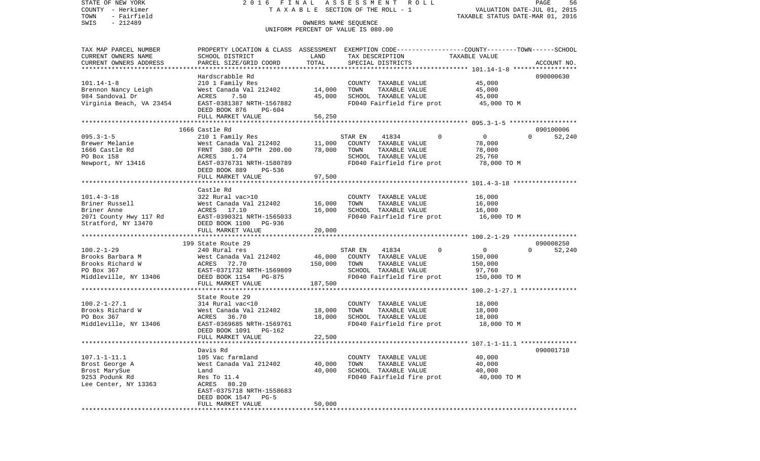COUNTY - Herkimer **T A X A B L E SECTION OF THE ROLL - 1** VALUATION DATE-JUL 01, 2015 TOWN - Fairfield TAXABLE STATUS DATE-MAR 01, 2016 SWIS - 212489 OWNERS NAME SEQUENCE UNIFORM PERCENT OF VALUE IS 080.00TAX MAP PARCEL NUMBER PROPERTY LOCATION & CLASS ASSESSMENT EXEMPTION CODE------------------COUNTY--------TOWN------SCHOOL CURRENT OWNERS NAME SCHOOL DISTRICT LAND TAX DESCRIPTION TAXABLE VALUECURRENT OWNERS ADDRESS PARCEL SIZE/GRID COORD TOTAL SPECIAL DISTRICTS ACCOUNT NO. \*\*\*\*\*\*\*\*\*\*\*\*\*\*\*\*\*\*\*\*\*\*\*\*\*\*\*\*\*\*\*\*\*\*\*\*\*\*\*\*\*\*\*\*\*\*\*\*\*\*\*\*\*\*\*\*\*\*\*\*\*\*\*\*\*\*\*\*\*\*\*\*\*\*\*\*\*\*\*\*\*\*\*\*\*\*\*\*\*\*\*\*\*\*\*\*\*\*\*\*\*\*\* 101.14-1-8 \*\*\*\*\*\*\*\*\*\*\*\*\*\*\*\*\*Hardscrabble Rd 090000630 101.14-1-8 210 1 Family Res COUNTY TAXABLE VALUE 45,000 Brennon Nancy Leigh  $W$ est Canada Val 212402 14,000 TOWN TAXABLE VALUE 45,000 984 Sandoval Dr ACRES 7.50 45,000 SCHOOL TAXABLE VALUE 45,000 Virginia Beach, VA 23454 EAST-0381387 NRTH-1567882 FD040 Fairfield fire prot 45,000 TO M DEED BOOK 876 PG-604FULL MARKET VALUE 56,250 \*\*\*\*\*\*\*\*\*\*\*\*\*\*\*\*\*\*\*\*\*\*\*\*\*\*\*\*\*\*\*\*\*\*\*\*\*\*\*\*\*\*\*\*\*\*\*\*\*\*\*\*\*\*\*\*\*\*\*\*\*\*\*\*\*\*\*\*\*\*\*\*\*\*\*\*\*\*\*\*\*\*\*\*\*\*\*\*\*\*\*\*\*\*\*\*\*\*\*\*\*\*\* 095.3-1-5 \*\*\*\*\*\*\*\*\*\*\*\*\*\*\*\*\*\* 1666 Castle Rd 090100006095.3-1-5 210 1 Family Res STAR EN 41834 0 0 0 52,240 Brewer Melanie West Canada Val 212402 11,000 COUNTY TAXABLE VALUE 78,000 1666 Castle Rd FRNT 380.00 DPTH 200.00 78,000 TOWN TAXABLE VALUE 78,000 PO Box 158 ACRES 1.74 SCHOOL TAXABLE VALUE 25,760 Newport, NY 13416 EAST-0376731 NRTH-1580789 FD040 Fairfield fire prot 78,000 TO M DEED BOOK 889 PG-536 FULL MARKET VALUE 97,500 \*\*\*\*\*\*\*\*\*\*\*\*\*\*\*\*\*\*\*\*\*\*\*\*\*\*\*\*\*\*\*\*\*\*\*\*\*\*\*\*\*\*\*\*\*\*\*\*\*\*\*\*\*\*\*\*\*\*\*\*\*\*\*\*\*\*\*\*\*\*\*\*\*\*\*\*\*\*\*\*\*\*\*\*\*\*\*\*\*\*\*\*\*\*\*\*\*\*\*\*\*\*\* 101.4-3-18 \*\*\*\*\*\*\*\*\*\*\*\*\*\*\*\*\* Castle Rd101.4-3-18 322 Rural vac>10 COUNTY TAXABLE VALUE 16,000 Briner Russell **16,000** West Canada Val 212402 16,000 TOWN TAXABLE VALUE 16,000 Briner Anne ACRES 17.10 16,000 SCHOOL TAXABLE VALUE 16,000 2071 County Hwy 117 Rd EAST-0390321 NRTH-1565033 FD040 Fairfield fire prot 16,000 TO M Stratford, NY 13470 DEED BOOK 1100 PG-936 FULL MARKET VALUE 20,000 \*\*\*\*\*\*\*\*\*\*\*\*\*\*\*\*\*\*\*\*\*\*\*\*\*\*\*\*\*\*\*\*\*\*\*\*\*\*\*\*\*\*\*\*\*\*\*\*\*\*\*\*\*\*\*\*\*\*\*\*\*\*\*\*\*\*\*\*\*\*\*\*\*\*\*\*\*\*\*\*\*\*\*\*\*\*\*\*\*\*\*\*\*\*\*\*\*\*\*\*\*\*\* 100.2-1-29 \*\*\*\*\*\*\*\*\*\*\*\*\*\*\*\*\* 199 State Route 29 090008250100.2-1-29 240 Rural res STAR EN 41834 0 0 0 52,240 Brooks Barbara M West Canada Val 212402 46,000 COUNTY TAXABLE VALUE 150,000 Brooks Richard W **ACRES** 72.70 150,000 TOWN TAXABLE VALUE 150,000 PO Box 367 EAST-0371732 NRTH-1569809 SCHOOL TAXABLE VALUE 97,760 Middleville, NY 13406 DEED BOOK 1154 PG-875 FD040 Fairfield fire prot 150,000 TO M FULL MARKET VALUE 187,500 \*\*\*\*\*\*\*\*\*\*\*\*\*\*\*\*\*\*\*\*\*\*\*\*\*\*\*\*\*\*\*\*\*\*\*\*\*\*\*\*\*\*\*\*\*\*\*\*\*\*\*\*\*\*\*\*\*\*\*\*\*\*\*\*\*\*\*\*\*\*\*\*\*\*\*\*\*\*\*\*\*\*\*\*\*\*\*\*\*\*\*\*\*\*\*\*\*\*\*\*\*\*\* 100.2-1-27.1 \*\*\*\*\*\*\*\*\*\*\*\*\*\*\* State Route 29 100.2-1-27.1 314 Rural vac<10 COUNTY TAXABLE VALUE 18,000 Brooks Richard W West Canada Val 212402 18,000 TOWN TAXABLE VALUE 18,000 PO Box 367 **ACRES** 36.70 18,000 SCHOOL TAXABLE VALUE 18,000 Middleville, NY 13406 EAST-0369685 NRTH-1569761 FD040 Fairfield fire prot 18,000 TO M DEED BOOK 1091 PG-162FULL MARKET VALUE 22,500 \*\*\*\*\*\*\*\*\*\*\*\*\*\*\*\*\*\*\*\*\*\*\*\*\*\*\*\*\*\*\*\*\*\*\*\*\*\*\*\*\*\*\*\*\*\*\*\*\*\*\*\*\*\*\*\*\*\*\*\*\*\*\*\*\*\*\*\*\*\*\*\*\*\*\*\*\*\*\*\*\*\*\*\*\*\*\*\*\*\*\*\*\*\*\*\*\*\*\*\*\*\*\* 107.1-1-11.1 \*\*\*\*\*\*\*\*\*\*\*\*\*\*\* Davis Rd 090001710107.1-1-11.1 105 Vac farmland COUNTY TAXABLE VALUE 40,000 Brost George A West Canada Val 212402 40,000 TOWN TAXABLE VALUE 40,000 Brost MarySue  $\qquad \qquad$  Land  $\qquad \qquad$  40,000 SCHOOL TAXABLE VALUE  $\qquad \qquad \qquad$  40,000 9253 Podunk Rd **Res To 11.4** Restrimed Restrimed Restrimed Restrimed Restrimed Restrime PD040 Fairfield fire prot Lee Center, NY 13363 ACRES 80.20 EAST-0375718 NRTH-1558683 DEED BOOK 1547 PG-5FULL MARKET VALUE 50,000 \*\*\*\*\*\*\*\*\*\*\*\*\*\*\*\*\*\*\*\*\*\*\*\*\*\*\*\*\*\*\*\*\*\*\*\*\*\*\*\*\*\*\*\*\*\*\*\*\*\*\*\*\*\*\*\*\*\*\*\*\*\*\*\*\*\*\*\*\*\*\*\*\*\*\*\*\*\*\*\*\*\*\*\*\*\*\*\*\*\*\*\*\*\*\*\*\*\*\*\*\*\*\*\*\*\*\*\*\*\*\*\*\*\*\*\*\*\*\*\*\*\*\*\*\*\*\*\*\*\*\*\*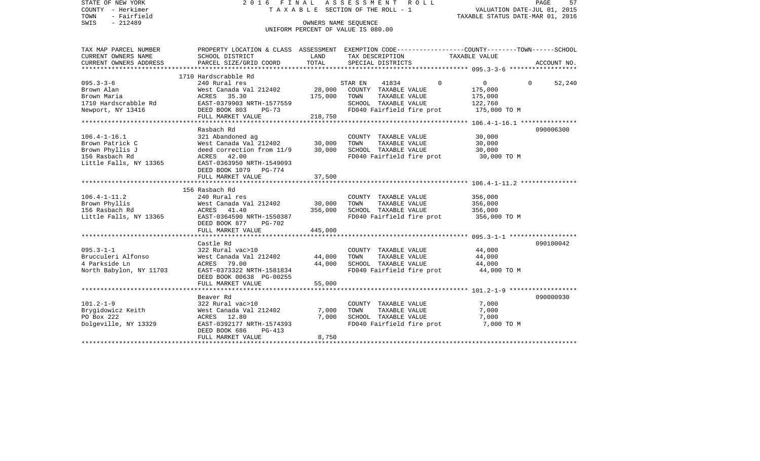| STATE OF NEW YORK<br>COUNTY - Herkimer<br>- Fairfield<br>TOWN<br>$-212489$<br>SWIS                   | 2016 FINAL                                                                                                                                                                      | OWNERS NAME SEQUENCE         | A S S E S S M E N T<br>R O L L<br>TAXABLE SECTION OF THE ROLL - 1<br>UNIFORM PERCENT OF VALUE IS 080.00                | VALUATION DATE-JUL 01, 2015<br>TAXABLE STATUS DATE-MAR 01, 2016          | 57<br>PAGE         |
|------------------------------------------------------------------------------------------------------|---------------------------------------------------------------------------------------------------------------------------------------------------------------------------------|------------------------------|------------------------------------------------------------------------------------------------------------------------|--------------------------------------------------------------------------|--------------------|
| TAX MAP PARCEL NUMBER<br>CURRENT OWNERS NAME                                                         | PROPERTY LOCATION & CLASS ASSESSMENT EXEMPTION CODE---------------COUNTY-------TOWN-----SCHOOL<br>SCHOOL DISTRICT                                                               | LAND                         | TAX DESCRIPTION                                                                                                        | TAXABLE VALUE                                                            |                    |
| CURRENT OWNERS ADDRESS                                                                               | PARCEL SIZE/GRID COORD                                                                                                                                                          | TOTAL                        | SPECIAL DISTRICTS                                                                                                      |                                                                          | ACCOUNT NO.        |
|                                                                                                      | 1710 Hardscrabble Rd                                                                                                                                                            |                              |                                                                                                                        |                                                                          |                    |
| $095.3 - 3 - 6$<br>Brown Alan<br>Brown Maria<br>1710 Hardscrabble Rd<br>Newport, NY 13416            | 240 Rural res<br>West Canada Val 212402<br>ACRES 35.30<br>EAST-0379903 NRTH-1577559<br>DEED BOOK 803<br>PG-73<br>FULL MARKET VALUE                                              | 28,000<br>175,000<br>218,750 | STAR EN<br>41834<br>COUNTY TAXABLE VALUE<br>TOWN<br>TAXABLE VALUE<br>SCHOOL TAXABLE VALUE<br>FD040 Fairfield fire prot | $\mathbf 0$<br>$\Omega$<br>175,000<br>175,000<br>122,760<br>175,000 TO M | $\Omega$<br>52,240 |
|                                                                                                      |                                                                                                                                                                                 |                              |                                                                                                                        |                                                                          |                    |
| $106.4 - 1 - 16.1$<br>Brown Patrick C<br>Brown Phyllis J<br>156 Rasbach Rd<br>Little Falls, NY 13365 | Rasbach Rd<br>321 Abandoned ag<br>West Canada Val 212402<br>deed correction from 11/9<br>ACRES 42.00<br>EAST-0363950 NRTH-1549093<br>DEED BOOK 1079 PG-774<br>FULL MARKET VALUE | 30,000<br>30,000<br>37,500   | COUNTY TAXABLE VALUE<br>TOWN<br>TAXABLE VALUE<br>SCHOOL TAXABLE VALUE<br>FD040 Fairfield fire prot                     | 30,000<br>30,000<br>30,000<br>30,000 TO M                                | 090006300          |
|                                                                                                      | 156 Rasbach Rd                                                                                                                                                                  |                              |                                                                                                                        |                                                                          |                    |
| $106.4 - 1 - 11.2$<br>Brown Phyllis<br>156 Rasbach Rd<br>Little Falls, NY 13365                      | 240 Rural res<br>West Canada Val 212402<br>ACRES 41.40<br>EAST-0364590 NRTH-1550387<br>DEED BOOK 877<br><b>PG-702</b>                                                           | 30,000<br>356,000            | COUNTY TAXABLE VALUE<br>TAXABLE VALUE<br>TOWN<br>SCHOOL TAXABLE VALUE<br>FD040 Fairfield fire prot                     | 356,000<br>356,000<br>356,000<br>356,000 TO M                            |                    |
|                                                                                                      | FULL MARKET VALUE                                                                                                                                                               | 445,000                      |                                                                                                                        |                                                                          |                    |
| $095.3 - 1 - 1$<br>Brucculeri Alfonso<br>4 Parkside Ln<br>North Babylon, NY 11703                    | Castle Rd<br>322 Rural vac>10<br>West Canada Val 212402<br>ACRES 79.00<br>EAST-0373322 NRTH-1581834<br>DEED BOOK 00638 PG-00255<br>FULL MARKET VALUE                            | 44,000<br>44,000<br>55,000   | COUNTY TAXABLE VALUE<br>TAXABLE VALUE<br>TOWN<br>SCHOOL TAXABLE VALUE<br>FD040 Fairfield fire prot                     | 44,000<br>44,000<br>44,000<br>44,000 TO M                                | 090100042          |
|                                                                                                      |                                                                                                                                                                                 |                              |                                                                                                                        |                                                                          |                    |
| $101.2 - 1 - 9$<br>Brygidowicz Keith<br>PO Box 222<br>Dolgeville, NY 13329                           | Beaver Rd<br>322 Rural vac>10<br>West Canada Val 212402<br>ACRES 12.80<br>EAST-0392177 NRTH-1574393<br>DEED BOOK 686<br>$PG-413$<br>FULL MARKET VALUE                           | 7,000<br>7,000<br>8,750      | COUNTY TAXABLE VALUE<br>TOWN<br>TAXABLE VALUE<br>SCHOOL TAXABLE VALUE<br>FD040 Fairfield fire prot                     | 7,000<br>7,000<br>7,000<br>7,000 TO M                                    | 090000930          |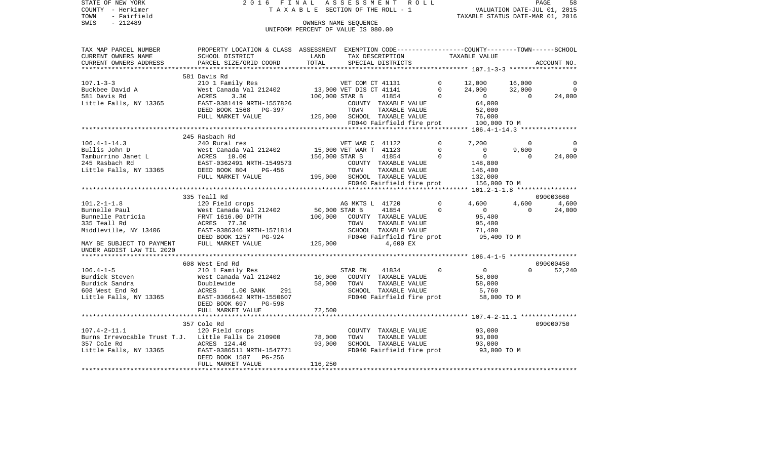STATE OF NEW YORK **2016 FINAL ASSESSMENT ROLL** COUNTY - Herkimer T A X A B L E SECTION OF THE ROLL - 1 TOWN - Fairfield TAXABLE STATUS DATE-MAR 01, 2016 SWIS - Fairfield<br>
SWIS - 212489 OWNERS NAME SEQUENCE

UNIFORM PERCENT OF VALUE IS 080.00

| TAX MAP PARCEL NUMBER                 | PROPERTY LOCATION & CLASS ASSESSMENT EXEMPTION CODE---------------COUNTY-------TOWN-----SCHOOL                                                                   |                |                                                                                                                                                                |               |                                                                                   |                |                    |
|---------------------------------------|------------------------------------------------------------------------------------------------------------------------------------------------------------------|----------------|----------------------------------------------------------------------------------------------------------------------------------------------------------------|---------------|-----------------------------------------------------------------------------------|----------------|--------------------|
| CURRENT OWNERS NAME                   | SCHOOL DISTRICT                                                                                                                                                  | LAND           | TAX DESCRIPTION                                                                                                                                                |               | TAXABLE VALUE                                                                     |                |                    |
| CURRENT OWNERS ADDRESS                | PARCEL SIZE/GRID COORD TOTAL                                                                                                                                     |                | SPECIAL DISTRICTS                                                                                                                                              |               |                                                                                   |                | ACCOUNT NO.        |
|                                       |                                                                                                                                                                  |                |                                                                                                                                                                |               |                                                                                   |                |                    |
|                                       | 581 Davis Rd                                                                                                                                                     |                |                                                                                                                                                                |               |                                                                                   |                |                    |
| $107.1 - 3 - 3$                       |                                                                                                                                                                  |                |                                                                                                                                                                |               | $\begin{array}{lll} 12\, ,000 && 16\, ,000 \\ 24\, ,000 && 32\, ,000 \end{array}$ |                | $\overline{0}$     |
| Buckbee David A                       |                                                                                                                                                                  |                |                                                                                                                                                                |               |                                                                                   |                | $\overline{0}$     |
| 581 Davis Rd                          | ACRES<br>3.30                                                                                                                                                    | 100,000 STAR B | 41854                                                                                                                                                          |               | $\begin{array}{c} 0 \\ 0 \\ 0 \end{array}$                                        | $\overline{0}$ | 24,000             |
| Little Falls, NY 13365                | EAST-0381419 NRTH-1557826                                                                                                                                        |                | COUNTY TAXABLE VALUE                                                                                                                                           |               | $\begin{array}{c} 0 \\ 64,000 \end{array}$                                        |                |                    |
|                                       |                                                                                                                                                                  |                |                                                                                                                                                                |               |                                                                                   |                |                    |
|                                       | DEED BOOK 1568 PG-397 TOWN TAXABLE VALUE<br>FULL MARKET VALUE 125,000 SCHOOL TAXABLE VALUE<br>FULL MARKET VALUE 125,000 SCHOOL TAXABLE VALUE                     |                |                                                                                                                                                                |               | 52,000<br>76,000<br>76,000                                                        |                |                    |
|                                       |                                                                                                                                                                  |                | FD040 Fairfield fire prot                                                                                                                                      |               | 100,000 TO M                                                                      |                |                    |
|                                       |                                                                                                                                                                  |                |                                                                                                                                                                |               |                                                                                   |                |                    |
|                                       | 245 Rasbach Rd                                                                                                                                                   |                |                                                                                                                                                                |               |                                                                                   |                |                    |
| $106.4 - 1 - 14.3$                    |                                                                                                                                                                  |                |                                                                                                                                                                | $\mathbf{0}$  | 7,200                                                                             | $\Omega$       | 0                  |
|                                       | 240 Rural res<br>WET WAR C 41122<br>West Canada Val 212402 15,000 VET WAR T 41123                                                                                |                |                                                                                                                                                                | $\Omega$      | $\overline{0}$                                                                    | 9,600          | $\Omega$           |
|                                       | Pullis John D<br>Pullis John D<br>Tamburrino Janet L<br>245 Rasbach Rd<br>245 Rasbach Rd<br>245 Rasbach Rd<br>245 Rasbach Rd<br>245 Rasbach Rd<br>245 Rasbach Rd | 156,000 STAR B | 41854                                                                                                                                                          | $\Omega$      | $\overline{0}$                                                                    | $\overline{0}$ | 24,000             |
|                                       |                                                                                                                                                                  |                |                                                                                                                                                                |               | 148,800                                                                           |                |                    |
|                                       |                                                                                                                                                                  |                | COUNTY TAXABLE VALUE                                                                                                                                           |               |                                                                                   |                |                    |
| Little Falls, NY 13365 DEED BOOK 804  |                                                                                                                                                                  |                | DB-456<br>DB-456 195,000 SCHOOL TAXABLE VALUE<br>ETOLA FRAME TRANSPORT TRANSPORTED TRANSPORTED TRANSPORTED TRANSPORTED TRANSPORTED TRANSPORTED TRANSPORTED TRA |               | 146,400                                                                           |                |                    |
|                                       | FULL MARKET VALUE                                                                                                                                                |                |                                                                                                                                                                |               | 132,000                                                                           |                |                    |
|                                       |                                                                                                                                                                  |                |                                                                                                                                                                |               | FD040 Fairfield fire prot 156,000 TO M                                            |                |                    |
|                                       |                                                                                                                                                                  |                |                                                                                                                                                                |               |                                                                                   |                |                    |
|                                       | 335 Teall Rd                                                                                                                                                     |                |                                                                                                                                                                |               |                                                                                   |                | 090003660          |
| $101.2 - 1 - 1.8$                     |                                                                                                                                                                  |                | AG MKTS L 41720                                                                                                                                                | $\circ$       | 4,600                                                                             | 4,600          | 4,600              |
| Bunnelle Paul                         |                                                                                                                                                                  |                | 41854                                                                                                                                                          | $\Omega$      | $\overline{0}$                                                                    | $\Omega$       | 24,000             |
| Bunnelle Patricia<br>225 Teall Rd     | FRNT 1616.00 DPTH                                                                                                                                                |                | 100,000 COUNTY TAXABLE VALUE                                                                                                                                   |               | 95,400                                                                            |                |                    |
| 335 Teall Rd                          | ACRES 77.30 TOW<br>EAST-0386346 NRTH-1571814 SCH<br>DEED BOOK 1257 PG-924 FD0<br>FULL MARKET VALUE 125,000                                                       |                | TAXABLE VALUE<br>TOWN                                                                                                                                          |               | 95,400                                                                            |                |                    |
| Middleville, NY 13406                 |                                                                                                                                                                  |                | SCHOOL TAXABLE VALUE                                                                                                                                           |               | 71,4∪∪<br>95,400 TO M                                                             |                |                    |
|                                       |                                                                                                                                                                  |                | FD040 Fairfield fire prot                                                                                                                                      |               |                                                                                   |                |                    |
| MAY BE SUBJECT TO PAYMENT             |                                                                                                                                                                  |                | 4,600 EX                                                                                                                                                       |               |                                                                                   |                |                    |
| UNDER AGDIST LAW TIL 2020             |                                                                                                                                                                  |                |                                                                                                                                                                |               |                                                                                   |                |                    |
|                                       |                                                                                                                                                                  |                |                                                                                                                                                                |               |                                                                                   |                |                    |
|                                       | 608 West End Rd                                                                                                                                                  |                |                                                                                                                                                                |               |                                                                                   |                | 090000450          |
| $106.4 - 1 - 5$                       |                                                                                                                                                                  |                |                                                                                                                                                                | $\Omega$      | $\overline{0}$                                                                    |                | $\Omega$<br>52,240 |
| Burdick Steven                        |                                                                                                                                                                  |                |                                                                                                                                                                |               | 58,000                                                                            |                |                    |
| Burdick Sandra                        |                                                                                                                                                                  |                |                                                                                                                                                                | TAXABLE VALUE | 58,000                                                                            |                |                    |
| 608 West End Rd                       |                                                                                                                                                                  |                | SCHOOL TAXABLE VALUE                                                                                                                                           |               | 5,760                                                                             |                |                    |
| Little Falls, NY 13365                | ACRES 1.00 BANK 291<br>EAST-0366642 NRTH-1550607                                                                                                                 |                | FD040 Fairfield fire prot                                                                                                                                      |               | 58,000 TO M                                                                       |                |                    |
|                                       | DEED BOOK 697 PG-598                                                                                                                                             |                |                                                                                                                                                                |               |                                                                                   |                |                    |
|                                       |                                                                                                                                                                  |                |                                                                                                                                                                |               |                                                                                   |                |                    |
|                                       |                                                                                                                                                                  |                |                                                                                                                                                                |               |                                                                                   |                |                    |
|                                       | 357 Cole Rd                                                                                                                                                      |                |                                                                                                                                                                |               |                                                                                   |                | 090000750          |
| $107.4 - 2 - 11.1$                    |                                                                                                                                                                  |                |                                                                                                                                                                |               |                                                                                   |                |                    |
|                                       | 120 Field crops                                                                                                                                                  | 78,000         | COUNTY TAXABLE VALUE                                                                                                                                           |               | 93,000<br>93,000                                                                  |                |                    |
|                                       | Burns Irrevocable Trust T.J. Little Falls Ce 210900                                                                                                              |                | TOWN<br>TAXABLE VALUE                                                                                                                                          |               |                                                                                   |                |                    |
| 357 Cole Rd<br>Little Falls, NY 13365 | ACRES 124.40                                                                                                                                                     | 93,000         | SCHOOL TAXABLE VALUE                                                                                                                                           |               | 93,000                                                                            |                |                    |
|                                       | EAST-0386511 NRTH-1547771                                                                                                                                        |                | FD040 Fairfield fire prot                                                                                                                                      |               | 93,000 TO M                                                                       |                |                    |
|                                       | DEED BOOK 1587    PG-256                                                                                                                                         |                |                                                                                                                                                                |               |                                                                                   |                |                    |
|                                       | FULL MARKET VALUE                                                                                                                                                | 116,250        |                                                                                                                                                                |               |                                                                                   |                |                    |
|                                       |                                                                                                                                                                  |                |                                                                                                                                                                |               |                                                                                   |                |                    |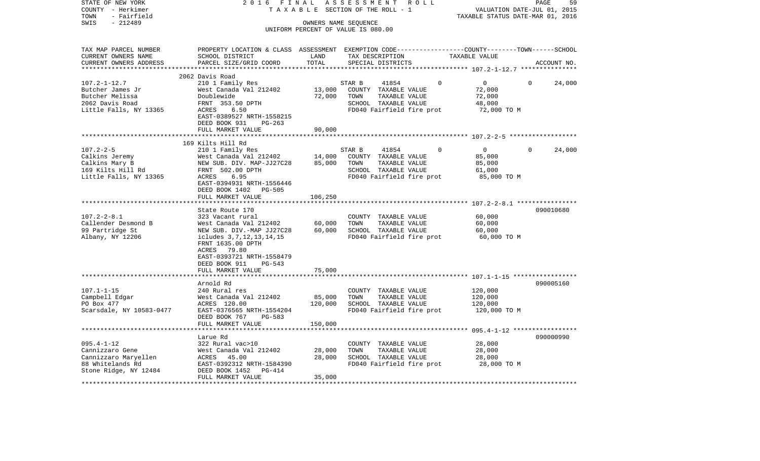| STATE OF NEW YORK<br>COUNTY - Herkimer<br>- Fairfield<br>TOWN | 2 0 1 6<br>FINAL<br>TAXABLE                                  |                         | ASSESSMENT<br>ROLL<br>SECTION OF THE ROLL - 1                                                   | VALUATION DATE-JUL 01, 2015<br>TAXABLE STATUS DATE-MAR 01, 2016 | PAGE<br>59             |
|---------------------------------------------------------------|--------------------------------------------------------------|-------------------------|-------------------------------------------------------------------------------------------------|-----------------------------------------------------------------|------------------------|
| $-212489$<br>SWIS                                             |                                                              |                         | OWNERS NAME SEQUENCE<br>UNIFORM PERCENT OF VALUE IS 080.00                                      |                                                                 |                        |
|                                                               |                                                              |                         |                                                                                                 |                                                                 |                        |
| TAX MAP PARCEL NUMBER                                         |                                                              |                         | PROPERTY LOCATION & CLASS ASSESSMENT EXEMPTION CODE---------------COUNTY-------TOWN------SCHOOL |                                                                 |                        |
| CURRENT OWNERS NAME                                           | SCHOOL DISTRICT                                              | LAND                    | TAX DESCRIPTION                                                                                 | TAXABLE VALUE                                                   |                        |
| CURRENT OWNERS ADDRESS<br>**********************              | PARCEL SIZE/GRID COORD                                       | TOTAL                   | SPECIAL DISTRICTS                                                                               |                                                                 | ACCOUNT NO.            |
|                                                               | 2062 Davis Road                                              |                         |                                                                                                 |                                                                 |                        |
| $107.2 - 1 - 12.7$                                            | 210 1 Family Res                                             |                         | 0<br>STAR B<br>41854                                                                            | $\mathbf 0$                                                     | $\mathbf{0}$<br>24,000 |
| Butcher James Jr                                              | West Canada Val 212402                                       | 13,000                  | COUNTY TAXABLE VALUE                                                                            | 72,000                                                          |                        |
| Butcher Melissa                                               | Doublewide                                                   | 72,000                  | TOWN<br>TAXABLE VALUE                                                                           | 72,000                                                          |                        |
| 2062 Davis Road                                               | FRNT 353.50 DPTH                                             |                         | SCHOOL TAXABLE VALUE                                                                            | 48,000                                                          |                        |
| Little Falls, NY 13365                                        | ACRES<br>6.50                                                |                         | FD040 Fairfield fire prot                                                                       | 72,000 TO M                                                     |                        |
|                                                               | EAST-0389527 NRTH-1558215                                    |                         |                                                                                                 |                                                                 |                        |
|                                                               | DEED BOOK 931<br>$PG-263$                                    |                         |                                                                                                 |                                                                 |                        |
|                                                               | FULL MARKET VALUE<br>************************                | 90,000                  |                                                                                                 |                                                                 |                        |
|                                                               | 169 Kilts Hill Rd                                            |                         |                                                                                                 |                                                                 |                        |
| $107.2 - 2 - 5$                                               | 210 1 Family Res                                             |                         | 41854<br>STAR B<br>$\Omega$                                                                     | $\overline{0}$                                                  | 24,000<br>$\Omega$     |
| Calkins Jeremy                                                | West Canada Val 212402                                       | 14,000                  | COUNTY TAXABLE VALUE                                                                            | 85,000                                                          |                        |
| Calkins Mary B                                                | NEW SUB. DIV. MAP-JJ27C28                                    | 85,000                  | TOWN<br>TAXABLE VALUE                                                                           | 85,000                                                          |                        |
| 169 Kilts Hill Rd                                             | FRNT 502.00 DPTH                                             |                         | SCHOOL TAXABLE VALUE                                                                            | 61,000                                                          |                        |
| Little Falls, NY 13365                                        | ACRES<br>6.95                                                |                         | FD040 Fairfield fire prot                                                                       | 85,000 TO M                                                     |                        |
|                                                               | EAST-0394931 NRTH-1556446<br>DEED BOOK 1402<br><b>PG-505</b> |                         |                                                                                                 |                                                                 |                        |
|                                                               | FULL MARKET VALUE                                            | 106,250                 |                                                                                                 |                                                                 |                        |
|                                                               | ********************                                         | *********               |                                                                                                 | ************************ 107.2-2-8.1 *****************          |                        |
|                                                               | State Route 170                                              |                         |                                                                                                 |                                                                 | 090010680              |
| $107.2 - 2 - 8.1$                                             | 323 Vacant rural                                             |                         | COUNTY TAXABLE VALUE                                                                            | 60,000                                                          |                        |
| Callender Desmond B                                           | West Canada Val 212402                                       | 60,000                  | TOWN<br>TAXABLE VALUE                                                                           | 60,000                                                          |                        |
| 99 Partridge St                                               | NEW SUB. DIV.-MAP JJ27C28                                    | 60,000                  | SCHOOL TAXABLE VALUE                                                                            | 60,000                                                          |                        |
| Albany, NY 12206                                              | icludes 3, 7, 12, 13, 14, 15                                 |                         | FD040 Fairfield fire prot                                                                       | 60,000 TO M                                                     |                        |
|                                                               | FRNT 1635.00 DPTH<br>79.80<br>ACRES                          |                         |                                                                                                 |                                                                 |                        |
|                                                               | EAST-0393721 NRTH-1558479                                    |                         |                                                                                                 |                                                                 |                        |
|                                                               | DEED BOOK 911<br>PG-543                                      |                         |                                                                                                 |                                                                 |                        |
|                                                               | FULL MARKET VALUE                                            | 75,000                  |                                                                                                 |                                                                 |                        |
|                                                               | *********************                                        |                         |                                                                                                 |                                                                 |                        |
|                                                               | Arnold Rd                                                    |                         |                                                                                                 |                                                                 | 090005160              |
| $107.1 - 1 - 15$                                              | 240 Rural res                                                |                         | COUNTY TAXABLE VALUE                                                                            | 120,000                                                         |                        |
| Campbell Edgar<br>PO Box 477                                  | West Canada Val 212402<br>ACRES 120.00                       | 85,000<br>120,000       | TOWN<br>TAXABLE VALUE<br>SCHOOL TAXABLE VALUE                                                   | 120,000<br>120,000                                              |                        |
| Scarsdale, NY 10583-0477                                      | EAST-0376565 NRTH-1554204                                    |                         | FD040 Fairfield fire prot                                                                       | 120,000 TO M                                                    |                        |
|                                                               | DEED BOOK 767<br>PG-583                                      |                         |                                                                                                 |                                                                 |                        |
|                                                               | FULL MARKET VALUE<br>******************                      | 150,000<br>************ |                                                                                                 |                                                                 |                        |
|                                                               | Larue Rd                                                     |                         |                                                                                                 |                                                                 | 090000990              |
| $095.4 - 1 - 12$                                              | 322 Rural vac>10                                             |                         | COUNTY TAXABLE VALUE                                                                            | 28,000                                                          |                        |
| Cannizzaro Gene                                               | West Canada Val 212402                                       | 28,000                  | TOWN<br>TAXABLE VALUE                                                                           | 28,000                                                          |                        |
| Cannizzaro Maryellen                                          | 45.00<br>ACRES                                               | 28,000                  | SCHOOL TAXABLE VALUE                                                                            | 28,000                                                          |                        |
| 88 Whitelands Rd                                              | EAST-0392312 NRTH-1584390                                    |                         | FD040 Fairfield fire prot                                                                       | 28,000 TO M                                                     |                        |
| Stone Ridge, NY 12484                                         | DEED BOOK 1452<br>PG-414                                     |                         |                                                                                                 |                                                                 |                        |
|                                                               | FULL MARKET VALUE                                            | 35,000                  |                                                                                                 |                                                                 |                        |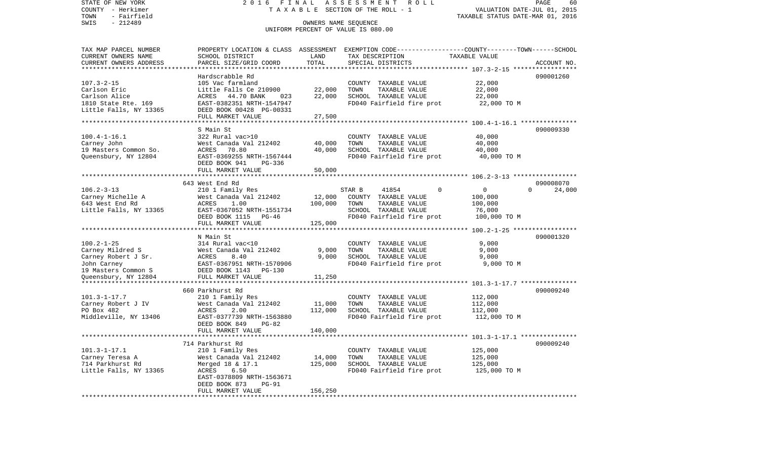STATE OF NEW YORK 2 0 1 6 F I N A L A S S E S S M E N T R O L L PAGE 60COUNTY - Herkimer T A X A B L E SECTION OF THE ROLL - 1 VALUATION DATE-JUL 01, 2015 TOWN - Fairfield TAXABLE STATUS DATE-MAR 01, 2016 SWIS - 212489 CONNERS NAME SEQUENCE UNIFORM PERCENT OF VALUE IS 080.00TAX MAP PARCEL NUMBER PROPERTY LOCATION & CLASS ASSESSMENT EXEMPTION CODE------------------COUNTY--------TOWN------SCHOOL CURRENT OWNERS NAME SCHOOL DISTRICT LAND TAX DESCRIPTION TAXABLE VALUECURRENT OWNERS ADDRESS PARCEL SIZE/GRID COORD TOTAL SPECIAL DISTRICTS ACCOUNT NO. \*\*\*\*\*\*\*\*\*\*\*\*\*\*\*\*\*\*\*\*\*\*\*\*\*\*\*\*\*\*\*\*\*\*\*\*\*\*\*\*\*\*\*\*\*\*\*\*\*\*\*\*\*\*\*\*\*\*\*\*\*\*\*\*\*\*\*\*\*\*\*\*\*\*\*\*\*\*\*\*\*\*\*\*\*\*\*\*\*\*\*\*\*\*\*\*\*\*\*\*\*\*\* 107.3-2-15 \*\*\*\*\*\*\*\*\*\*\*\*\*\*\*\*\*Hardscrabble Rd 090001260 107.3-2-15 105 Vac farmland COUNTY TAXABLE VALUE 22,000 Carlson Eric Carlson Eric Little Falls Ce 210900 22,000 TOWN TAXABLE VALUE 22,000 Carlson Alice ACRES 44.70 BANK 023 22,000 SCHOOL TAXABLE VALUE 22,000 1810 State Rte. 169 EAST-0382351 NRTH-1547947 FD040 Fairfield fire prot 22,000 TO M Little Falls, NY 13365 DEED BOOK 00428 PG-00331 FULL MARKET VALUE 27,500 \*\*\*\*\*\*\*\*\*\*\*\*\*\*\*\*\*\*\*\*\*\*\*\*\*\*\*\*\*\*\*\*\*\*\*\*\*\*\*\*\*\*\*\*\*\*\*\*\*\*\*\*\*\*\*\*\*\*\*\*\*\*\*\*\*\*\*\*\*\*\*\*\*\*\*\*\*\*\*\*\*\*\*\*\*\*\*\*\*\*\*\*\*\*\*\*\*\*\*\*\*\*\* 100.4-1-16.1 \*\*\*\*\*\*\*\*\*\*\*\*\*\*\* S Main St 090009330100.4-1-16.1 322 Rural vac>10 COUNTY TAXABLE VALUE 40,000 Carney John West Canada Val 212402 40,000 TOWN TAXABLE VALUE 40,000 19 Masters Common So. ACRES 70.80 40,000 SCHOOL TAXABLE VALUE 40,000 Queensbury, NY 12804 EAST-0369255 NRTH-1567444 FD040 Fairfield fire prot 40,000 TO M DEED BOOK 941 PG-336FULL MARKET VALUE 50,000 \*\*\*\*\*\*\*\*\*\*\*\*\*\*\*\*\*\*\*\*\*\*\*\*\*\*\*\*\*\*\*\*\*\*\*\*\*\*\*\*\*\*\*\*\*\*\*\*\*\*\*\*\*\*\*\*\*\*\*\*\*\*\*\*\*\*\*\*\*\*\*\*\*\*\*\*\*\*\*\*\*\*\*\*\*\*\*\*\*\*\*\*\*\*\*\*\*\*\*\*\*\*\* 106.2-3-13 \*\*\*\*\*\*\*\*\*\*\*\*\*\*\*\*\* 643 West End Rd 09000807024,000 106.2-3-13 210 1 Family Res STAR B 41854 0 0 0 0 Carney Michelle A West Canada Val 212402 12,000 COUNTY TAXABLE VALUE 100,000 643 West End Rd ACRES 1.00 100,000 TOWN TAXABLE VALUE 100,000 Little Falls, NY 13365 EAST-0367052 NRTH-1551734 SCHOOL TAXABLE VALUE 76,000 DEED BOOK 1115 PG-46 FD040 Fairfield fire prot 100,000 TO M FULL MARKET VALUE 125,000 \*\*\*\*\*\*\*\*\*\*\*\*\*\*\*\*\*\*\*\*\*\*\*\*\*\*\*\*\*\*\*\*\*\*\*\*\*\*\*\*\*\*\*\*\*\*\*\*\*\*\*\*\*\*\*\*\*\*\*\*\*\*\*\*\*\*\*\*\*\*\*\*\*\*\*\*\*\*\*\*\*\*\*\*\*\*\*\*\*\*\*\*\*\*\*\*\*\*\*\*\*\*\* 100.2-1-25 \*\*\*\*\*\*\*\*\*\*\*\*\*\*\*\*\* N Main St 090001320100.2-1-25 314 Rural vac<10 COUNTY TAXABLE VALUE 9,000 Carney Mildred S West Canada Val 212402 9,000 TOWN TAXABLE VALUE 9,000 Carney Robert J Sr.  $ACRES$  8.40 9,000 SCHOOL TAXABLE VALUE 9,000 John Carney EAST-0367951 NRTH-1570906 FD040 Fairfield fire prot 9,000 TO M 19 Masters Common S DEED BOOK 1143 PG-130Oueensbury, NY 12804 FULL MARKET VALUE 11,250 \*\*\*\*\*\*\*\*\*\*\*\*\*\*\*\*\*\*\*\*\*\*\*\*\*\*\*\*\*\*\*\*\*\*\*\*\*\*\*\*\*\*\*\*\*\*\*\*\*\*\*\*\*\*\*\*\*\*\*\*\*\*\*\*\*\*\*\*\*\*\*\*\*\*\*\*\*\*\*\*\*\*\*\*\*\*\*\*\*\*\*\*\*\*\*\*\*\*\*\*\*\*\* 101.3-1-17.7 \*\*\*\*\*\*\*\*\*\*\*\*\*\*\* 660 Parkhurst Rd 090009240101.3-1-17.7 210 1 Family Res COUNTY TAXABLE VALUE 112,000 Carney Robert J IV West Canada Val 212402 11,000 TOWN TAXABLE VALUE 112,000 PO Box 482 ACRES 2.00 112,000 SCHOOL TAXABLE VALUE 112,000 Middleville, NY 13406 EAST-0377739 NRTH-1563880 FD040 Fairfield fire prot 112,000 TO M DEED BOOK 849 PG-82 FULL MARKET VALUE 140,000 \*\*\*\*\*\*\*\*\*\*\*\*\*\*\*\*\*\*\*\*\*\*\*\*\*\*\*\*\*\*\*\*\*\*\*\*\*\*\*\*\*\*\*\*\*\*\*\*\*\*\*\*\*\*\*\*\*\*\*\*\*\*\*\*\*\*\*\*\*\*\*\*\*\*\*\*\*\*\*\*\*\*\*\*\*\*\*\*\*\*\*\*\*\*\*\*\*\*\*\*\*\*\* 101.3-1-17.1 \*\*\*\*\*\*\*\*\*\*\*\*\*\*\* 714 Parkhurst Rd 090009240101.3-1-17.1 210 1 Family Res COUNTY TAXABLE VALUE 125,000 Carney Teresa A West Canada Val 212402 14,000 TOWN TAXABLE VALUE 125,000 714 Parkhurst Rd Merged 18 & 17.1 125,000 SCHOOL TAXABLE VALUE 125,000 Little Falls, NY 13365 ACRES 6.50 ACRES 6.50 FD040 Fairfield fire prot 125,000 TO M EAST-0378809 NRTH-1563671 DEED BOOK 873 PG-91FULL MARKET VALUE 156,250 \*\*\*\*\*\*\*\*\*\*\*\*\*\*\*\*\*\*\*\*\*\*\*\*\*\*\*\*\*\*\*\*\*\*\*\*\*\*\*\*\*\*\*\*\*\*\*\*\*\*\*\*\*\*\*\*\*\*\*\*\*\*\*\*\*\*\*\*\*\*\*\*\*\*\*\*\*\*\*\*\*\*\*\*\*\*\*\*\*\*\*\*\*\*\*\*\*\*\*\*\*\*\*\*\*\*\*\*\*\*\*\*\*\*\*\*\*\*\*\*\*\*\*\*\*\*\*\*\*\*\*\*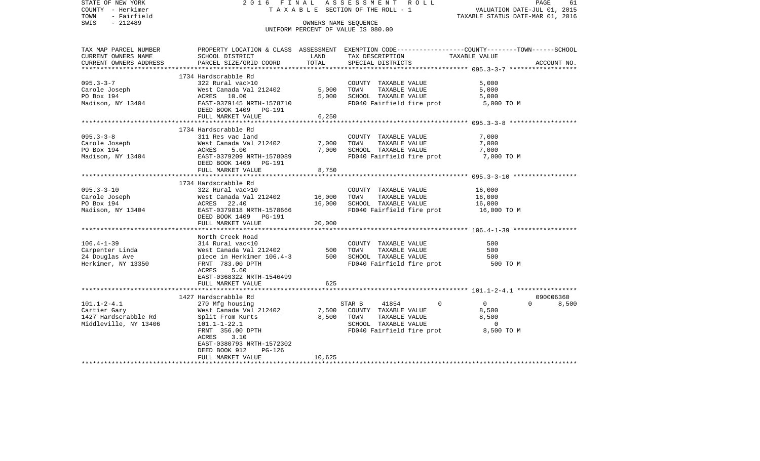| STATE OF NEW YORK<br>COUNTY - Herkimer | 2016 FINAL                                                               |                           | ASSESSMENT ROLL<br>TAXABLE SECTION OF THE ROLL - 1 | PAGE<br>61<br>VALUATION DATE-JUL 01, 2015                                                        |
|----------------------------------------|--------------------------------------------------------------------------|---------------------------|----------------------------------------------------|--------------------------------------------------------------------------------------------------|
| - Fairfield<br>TOWN                    |                                                                          |                           |                                                    | TAXABLE STATUS DATE-MAR 01, 2016                                                                 |
| $-212489$<br>SWIS                      |                                                                          |                           | OWNERS NAME SEQUENCE                               |                                                                                                  |
|                                        |                                                                          |                           | UNIFORM PERCENT OF VALUE IS 080.00                 |                                                                                                  |
|                                        |                                                                          |                           |                                                    |                                                                                                  |
|                                        |                                                                          |                           |                                                    |                                                                                                  |
| TAX MAP PARCEL NUMBER                  |                                                                          |                           |                                                    | PROPERTY LOCATION & CLASS ASSESSMENT EXEMPTION CODE----------------COUNTY-------TOWN------SCHOOL |
| CURRENT OWNERS NAME                    | SCHOOL DISTRICT                                                          | LAND                      | TAX DESCRIPTION TAXABLE VALUE                      |                                                                                                  |
| CURRENT OWNERS ADDRESS                 | PARCEL SIZE/GRID COORD                                                   | TOTAL                     | SPECIAL DISTRICTS                                  | ACCOUNT NO.                                                                                      |
| ***********************                |                                                                          |                           |                                                    |                                                                                                  |
|                                        | 1734 Hardscrabble Rd                                                     |                           |                                                    |                                                                                                  |
| $095.3 - 3 - 7$                        | 322 Rural vac>10                                                         |                           | COUNTY TAXABLE VALUE                               | 5,000                                                                                            |
| Carole Joseph                          | West Canada Val 212402<br>West Canada Va<br>ACRES       10.00            | 5,000                     | TOWN<br>TAXABLE VALUE                              | 5,000                                                                                            |
| PO Box 194                             |                                                                          | 5,000                     | SCHOOL TAXABLE VALUE                               | 5,000                                                                                            |
| Madison, NY 13404                      | EAST-0379145 NRTH-1578710<br>DEED BOOK 1409 PG-191                       |                           | FD040 Fairfield fire prot 5,000 TO M               |                                                                                                  |
|                                        | FULL MARKET VALUE                                                        | 6,250                     |                                                    |                                                                                                  |
|                                        |                                                                          | * * * * * * * * * * * * * |                                                    | ************************ 095.3-3-8 *******************                                           |
|                                        | 1734 Hardscrabble Rd                                                     |                           |                                                    |                                                                                                  |
| $095.3 - 3 - 8$                        | 311 Res vac land                                                         |                           | COUNTY TAXABLE VALUE                               | 7,000                                                                                            |
| Carole Joseph                          | West Canada Val 212402                                                   | 7,000                     | TAXABLE VALUE<br>TOWN                              | 7,000                                                                                            |
| PO Box 194                             | West Ca<br>ACRES<br>EAST-03<br>5.00                                      | 7,000                     | SCHOOL TAXABLE VALUE                               | 7,000                                                                                            |
| Madison, NY 13404                      | EAST-0379209 NRTH-1578089<br>DEED BOOK 1409 PG-191                       |                           | FD040 Fairfield fire prot                          | 7,000 TO M                                                                                       |
|                                        | FULL MARKET VALUE                                                        | 8,750                     |                                                    |                                                                                                  |
|                                        |                                                                          |                           |                                                    |                                                                                                  |
|                                        | 1734 Hardscrabble Rd                                                     |                           |                                                    |                                                                                                  |
| $095.3 - 3 - 10$                       | 322 Rural vac>10                                                         |                           | COUNTY TAXABLE VALUE                               | 16,000                                                                                           |
| Carole Joseph                          | West Canada Val 212402                                                   | 16,000                    | TAXABLE VALUE<br>TOWN                              | 16,000                                                                                           |
| PO Box 194                             | ACRES 22.40                                                              | 16,000                    | SCHOOL TAXABLE VALUE                               | 16,000                                                                                           |
| Madison, NY 13404                      | EAST-0379818 NRTH-1578666                                                |                           | FD040 Fairfield fire prot                          | 16,000 TO M                                                                                      |
|                                        | DEED BOOK 1409    PG-191                                                 |                           |                                                    |                                                                                                  |
|                                        | FULL MARKET VALUE                                                        | 20,000                    |                                                    |                                                                                                  |
|                                        |                                                                          |                           |                                                    |                                                                                                  |
|                                        | North Creek Road                                                         |                           |                                                    | 500                                                                                              |
| $106.4 - 1 - 39$                       | 314 Rural vac<10<br>$314 \text{ kufat}$ $314 \text{ kufat}$ $312402$ 500 |                           | COUNTY TAXABLE VALUE<br>TOWN                       | 500                                                                                              |
| Carpenter Linda<br>24 Douglas Ave      | piece in Herkimer 106.4-3                                                |                           | TAXABLE VALUE<br>500 SCHOOL TAXABLE VALUE          | 500                                                                                              |
| Herkimer, NY 13350                     | FRNT 783.00 DPTH                                                         |                           | FD040 Fairfield fire prot                          | 500 TO M                                                                                         |
|                                        | 5.60<br>ACRES                                                            |                           |                                                    |                                                                                                  |
|                                        | EAST-0368322 NRTH-1546499                                                |                           |                                                    |                                                                                                  |
|                                        | FULL MARKET VALUE                                                        | 625                       |                                                    |                                                                                                  |
|                                        |                                                                          |                           |                                                    |                                                                                                  |
|                                        | 1427 Hardscrabble Rd                                                     |                           |                                                    | 090006360                                                                                        |
| $101.1 - 2 - 4.1$                      | 270 Mfg housing                                                          |                           | STAR B<br>41854<br>$\Omega$                        | $\overline{0}$<br>$\Omega$<br>8,500                                                              |
| Cartier Gary                           | West Canada Val 212402                                                   | 7,500                     | COUNTY TAXABLE VALUE                               | 8,500                                                                                            |
| 1427 Hardscrabble Rd                   | Split From Kurts                                                         | 8,500                     |                                                    | 8,500                                                                                            |
| Middleville, NY 13406                  | $101.1 - 1 - 22.1$                                                       |                           | TOWN      TAXABLE VALUE<br>SCHOOL   TAXABLE VALUE  | $\overline{\phantom{0}}$                                                                         |
|                                        | FRNT 356.00 DPTH                                                         |                           | FD040 Fairfield fire prot                          | 8,500 TO M                                                                                       |
|                                        | 3.10<br>ACRES                                                            |                           |                                                    |                                                                                                  |
|                                        | EAST-0380793 NRTH-1572302                                                |                           |                                                    |                                                                                                  |
|                                        | DEED BOOK 912<br>$PG-126$                                                |                           |                                                    |                                                                                                  |
|                                        | FULL MARKET VALUE                                                        | 10,625                    |                                                    |                                                                                                  |
|                                        |                                                                          |                           |                                                    |                                                                                                  |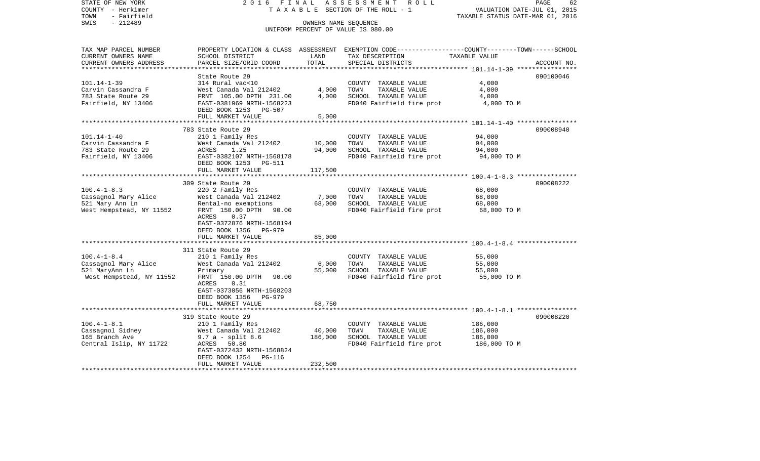STATE OF NEW YORK 2 0 1 6 F I N A L A S S E S S M E N T R O L L PAGE 62COUNTY - Herkimer T A X A B L E SECTION OF THE ROLL - 1 VALUATION DATE-JUL 01, 2015 TOWN - Fairfield TAXABLE STATUS DATE-MAR 01, 2016 SWIS - 212489 OWNERS NAME SEQUENCE UNIFORM PERCENT OF VALUE IS 080.00TAX MAP PARCEL NUMBER PROPERTY LOCATION & CLASS ASSESSMENT EXEMPTION CODE------------------COUNTY--------TOWN------SCHOOL CURRENT OWNERS NAME SCHOOL DISTRICT LAND TAX DESCRIPTION TAXABLE VALUECURRENT OWNERS ADDRESS PARCEL SIZE/GRID COORD TOTAL SPECIAL DISTRICTS ACCOUNT NO. \*\*\*\*\*\*\*\*\*\*\*\*\*\*\*\*\*\*\*\*\*\*\*\*\*\*\*\*\*\*\*\*\*\*\*\*\*\*\*\*\*\*\*\*\*\*\*\*\*\*\*\*\*\*\*\*\*\*\*\*\*\*\*\*\*\*\*\*\*\*\*\*\*\*\*\*\*\*\*\*\*\*\*\*\*\*\*\*\*\*\*\*\*\*\*\*\*\*\*\*\*\*\* 101.14-1-39 \*\*\*\*\*\*\*\*\*\*\*\*\*\*\*\*State Route 29 090100046 101.14-1-39 314 Rural vac<10 COUNTY TAXABLE VALUE 4,000 Carvin Cassandra F West Canada Val 212402 4,000 TOWN TAXABLE VALUE 4,000 783 State Route 29 FRNT 105.00 DPTH 231.00 4,000 SCHOOL TAXABLE VALUE 4,000 Fairfield, NY 13406 **EAST-0381969 NRTH-1568223** FD040 Fairfield fire prot a,000 TO M DEED BOOK 1253 PG-507FULL MARKET VALUE 5,000 \*\*\*\*\*\*\*\*\*\*\*\*\*\*\*\*\*\*\*\*\*\*\*\*\*\*\*\*\*\*\*\*\*\*\*\*\*\*\*\*\*\*\*\*\*\*\*\*\*\*\*\*\*\*\*\*\*\*\*\*\*\*\*\*\*\*\*\*\*\*\*\*\*\*\*\*\*\*\*\*\*\*\*\*\*\*\*\*\*\*\*\*\*\*\*\*\*\*\*\*\*\*\* 101.14-1-40 \*\*\*\*\*\*\*\*\*\*\*\*\*\*\*\* 783 State Route 29 090008940101.14-1-40 210 1 Family Res COUNTY TAXABLE VALUE 94,000 Carvin Cassandra F West Canada Val 212402 10,000 TOWN TAXABLE VALUE 94,000 783 State Route 29 ACRES 1.25 94,000 SCHOOL TAXABLE VALUE 94,000 Fairfield, NY 13406 EAST-0382107 NRTH-1568178 FD040 Fairfield fire prot 94,000 TO M DEED BOOK 1253 PG-511FULL MARKET VALUE 117,500 \*\*\*\*\*\*\*\*\*\*\*\*\*\*\*\*\*\*\*\*\*\*\*\*\*\*\*\*\*\*\*\*\*\*\*\*\*\*\*\*\*\*\*\*\*\*\*\*\*\*\*\*\*\*\*\*\*\*\*\*\*\*\*\*\*\*\*\*\*\*\*\*\*\*\*\*\*\*\*\*\*\*\*\*\*\*\*\*\*\*\*\*\*\*\*\*\*\*\*\*\*\*\* 100.4-1-8.3 \*\*\*\*\*\*\*\*\*\*\*\*\*\*\*\* 309 State Route 29 090008222100.4-1-8.3 220 2 Family Res COUNTY TAXABLE VALUE 68,000<br>Cassagnol Mary Alice West Canada Val 212402 7,000 TOWN TAXABLE VALUE 68,000 Cassagnol Mary Alice West Canada Val 212402 7,000 TOWN TAXABLE VALUE 68,000 521 Mary Ann Ln Rental-no exemptions 68,000 SCHOOL TAXABLE VALUE 68,000 West Hempstead, NY 11552 FRNT 150.00 DPTH 90.00 FD040 Fairfield fire prot 68,000 TO M ACRES 0.37 EAST-0372876 NRTH-1568194 DEED BOOK 1356 PG-979FULL MARKET VALUE 85,000 \*\*\*\*\*\*\*\*\*\*\*\*\*\*\*\*\*\*\*\*\*\*\*\*\*\*\*\*\*\*\*\*\*\*\*\*\*\*\*\*\*\*\*\*\*\*\*\*\*\*\*\*\*\*\*\*\*\*\*\*\*\*\*\*\*\*\*\*\*\*\*\*\*\*\*\*\*\*\*\*\*\*\*\*\*\*\*\*\*\*\*\*\*\*\*\*\*\*\*\*\*\*\* 100.4-1-8.4 \*\*\*\*\*\*\*\*\*\*\*\*\*\*\*\* 311 State Route 29100.4-1-8.4 210 1 Family Res COUNTY TAXABLE VALUE 55,000 Cassagnol Mary Alice West Canada Val 212402 6,000 TOWN TAXABLE VALUE 55,000 521 MaryAnn Ln Primary 55,000 SCHOOL TAXABLE VALUE 55,000 West Hempstead, NY 11552 FRNT 150.00 DPTH 90.00 FO040 Fairfield fire prot 55,000 TO M ACRES 0.31 EAST-0373056 NRTH-1568203 DEED BOOK 1356 PG-979 FULL MARKET VALUE 68,750 \*\*\*\*\*\*\*\*\*\*\*\*\*\*\*\*\*\*\*\*\*\*\*\*\*\*\*\*\*\*\*\*\*\*\*\*\*\*\*\*\*\*\*\*\*\*\*\*\*\*\*\*\*\*\*\*\*\*\*\*\*\*\*\*\*\*\*\*\*\*\*\*\*\*\*\*\*\*\*\*\*\*\*\*\*\*\*\*\*\*\*\*\*\*\*\*\*\*\*\*\*\*\* 100.4-1-8.1 \*\*\*\*\*\*\*\*\*\*\*\*\*\*\*\* 319 State Route 29 090008220100.4-1-8.1 210 1 Family Res COUNTY TAXABLE VALUE 186,000 Cassagnol Sidney West Canada Val 212402 40,000 TOWN TAXABLE VALUE 186,000 165 Branch Ave 9.7 a - split 8.6 186,000 SCHOOL TAXABLE VALUE 186,000 Central Islip, NY 11722 ACRES 50.80 ACRO FOUND FD040 Fairfield fire prot 186,000 TO M EAST-0372432 NRTH-1568824 DEED BOOK 1254 PG-116FULL MARKET VALUE 232,500 \*\*\*\*\*\*\*\*\*\*\*\*\*\*\*\*\*\*\*\*\*\*\*\*\*\*\*\*\*\*\*\*\*\*\*\*\*\*\*\*\*\*\*\*\*\*\*\*\*\*\*\*\*\*\*\*\*\*\*\*\*\*\*\*\*\*\*\*\*\*\*\*\*\*\*\*\*\*\*\*\*\*\*\*\*\*\*\*\*\*\*\*\*\*\*\*\*\*\*\*\*\*\*\*\*\*\*\*\*\*\*\*\*\*\*\*\*\*\*\*\*\*\*\*\*\*\*\*\*\*\*\*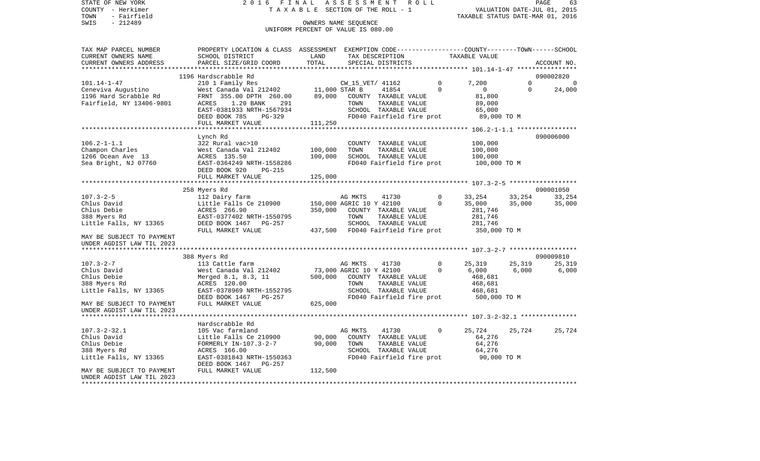STATE OF NEW YORK 2016 FINAL ASSESSMENT ROLL COUNTY - Herkimer T A X A B L E SECTION OF THE ROLL - 1 TOWN - Fairfield TAXABLE STATUS DATE-MAR 01, 2016 SWIS - Fairfield<br>
SWIS - 212489 OWNERS NAME SEQUENCE

# UNIFORM PERCENT OF VALUE IS 080.00

| TAX MAP PARCEL NUMBER        | PROPERTY LOCATION & CLASS ASSESSMENT EXEMPTION CODE---------------COUNTY-------TOWN------SCHOOL |         |                                                         |               |                                        |                |                |
|------------------------------|-------------------------------------------------------------------------------------------------|---------|---------------------------------------------------------|---------------|----------------------------------------|----------------|----------------|
| CURRENT OWNERS NAME          | SCHOOL DISTRICT                                                                                 | LAND    | TAX DESCRIPTION                                         |               | TAXABLE VALUE                          |                |                |
| CURRENT OWNERS ADDRESS       | PARCEL SIZE/GRID COORD                                                                          | TOTAL   | SPECIAL DISTRICTS                                       |               |                                        |                | ACCOUNT NO.    |
|                              |                                                                                                 |         |                                                         |               |                                        |                |                |
|                              | 1196 Hardscrabble Rd                                                                            |         |                                                         |               |                                        |                | 090002820      |
| $101.14 - 1 - 47$            | 210 1 Family Res                                                                                |         | CW_15_VET/ 41162                                        | $\mathbf 0$   | 7,200                                  | $\overline{0}$ | $\overline{0}$ |
| ------<br>Ceneviva Augustino |                                                                                                 |         | 41854                                                   | $\Omega$      | $\overline{0}$                         | $\overline{0}$ | 24,000         |
|                              |                                                                                                 |         |                                                         |               |                                        |                |                |
| 1196 Hard Scrabble Rd        |                                                                                                 |         | COUNTY TAXABLE VALUE                                    |               | 81,800                                 |                |                |
| Fairfield, NY 13406-9801     |                                                                                                 |         | TOWN<br>TAXABLE VALUE                                   |               | 89,000                                 |                |                |
|                              |                                                                                                 |         | SCHOOL TAXABLE VALUE                                    |               | 65,000                                 |                |                |
|                              | FRNT 333.00 21.1.<br>ACRES 1.20 BANK 291<br>EAST-0381933 NRTH-1567934<br>TIER BOOK 785 PG-329   |         | FD040 Fairfield fire prot 89,000 TO M                   |               |                                        |                |                |
|                              | FULL MARKET VALUE                                                                               | 111,250 |                                                         |               |                                        |                |                |
|                              |                                                                                                 |         |                                                         |               |                                        |                |                |
|                              | Lynch Rd                                                                                        |         |                                                         |               |                                        |                | 090006000      |
| $106.2 - 1 - 1.1$            | 322 Rural vac>10                                                                                |         | COUNTY TAXABLE VALUE                                    |               | 100,000                                |                |                |
|                              |                                                                                                 |         |                                                         |               |                                        |                |                |
| Champon Charles              | West Canada Val 212402                                                                          | 100,000 | TAXABLE VALUE<br>TOWN                                   |               | 100,000                                |                |                |
| 1266 Ocean Ave 13            | ACRES 135.50                                                                                    | 100,000 | SCHOOL TAXABLE VALUE                                    |               | 100,000                                |                |                |
| Sea Bright, NJ 07760         | EAST-0364249 NRTH-1558286                                                                       |         | FD040 Fairfield fire prot                               |               | 100,000 TO M                           |                |                |
|                              | DEED BOOK 920<br><b>PG-215</b>                                                                  |         |                                                         |               |                                        |                |                |
|                              | FULL MARKET VALUE                                                                               | 125,000 |                                                         |               |                                        |                |                |
|                              |                                                                                                 |         |                                                         |               |                                        |                |                |
|                              | 258 Myers Rd                                                                                    |         |                                                         |               |                                        |                | 090001050      |
| $107.3 - 2 - 5$              | 112 Dairy farm                                                                                  |         | AG MKTS<br>41730                                        | $\Omega$      | 33,254                                 | 33,254         | 33,254         |
|                              |                                                                                                 |         |                                                         |               |                                        |                |                |
| Chlus David                  | Little Falls Ce 210900 150,000 AGRIC 10 Y 42100                                                 |         |                                                         | $\Omega$      | 35,000                                 | 35,000         | 35,000         |
| Chlus Debie                  | ACRES 266.90                                                                                    |         | 350,000 COUNTY TAXABLE VALUE                            |               | 281,746                                |                |                |
| 388 Myers Rd                 | EAST-0377402 NRTH-1550795                                                                       |         | TOWN<br>TAXABLE VALUE                                   |               | 281,746                                |                |                |
| Little Falls, NY 13365       | DEED BOOK 1467 PG-257                                                                           |         | SCHOOL TAXABLE VALUE                                    |               | 281,746                                |                |                |
|                              | FULL MARKET VALUE                                                                               |         | 437,500 FD040 Fairfield fire prot 350,000 TO M          |               |                                        |                |                |
| MAY BE SUBJECT TO PAYMENT    |                                                                                                 |         |                                                         |               |                                        |                |                |
| UNDER AGDIST LAW TIL 2023    |                                                                                                 |         |                                                         |               |                                        |                |                |
|                              |                                                                                                 |         |                                                         |               |                                        |                |                |
|                              | 388 Myers Rd                                                                                    |         |                                                         |               |                                        |                | 090009810      |
|                              |                                                                                                 |         |                                                         |               |                                        |                |                |
| $107.3 - 2 - 7$              | 113 Cattle farm                                                                                 |         | AG MKTS<br>41730                                        | $\mathbf{0}$  | 25,319                                 | 25,319         | 25,319         |
| Chlus David                  | West Canada Val 212402                                                                          |         | 73,000 AGRIC 10 Y 42100<br>500,000 COUNTY TAXABLE VALUE | $\Omega$      | 6,000                                  | 6,000          | 6,000          |
| Chlus Debie                  | Merged 8.1, 8.3, 11<br>ACRES 120.00                                                             |         |                                                         |               | 468,681                                |                |                |
| 388 Myers Rd                 | ACRES 120.00                                                                                    |         | TOWN<br>TAXABLE VALUE                                   |               | 468,681                                |                |                |
| Little Falls, NY 13365       | EAST-0378969 NRTH-1552795                                                                       |         | SCHOOL TAXABLE VALUE                                    |               | 468,681                                |                |                |
|                              | DEED BOOK 1467<br>PG-257                                                                        |         |                                                         |               | FD040 Fairfield fire prot 500,000 TO M |                |                |
| MAY BE SUBJECT TO PAYMENT    | FULL MARKET VALUE                                                                               | 625,000 |                                                         |               |                                        |                |                |
| UNDER AGDIST LAW TIL 2023    |                                                                                                 |         |                                                         |               |                                        |                |                |
|                              |                                                                                                 |         |                                                         |               |                                        |                |                |
|                              |                                                                                                 |         |                                                         |               |                                        |                |                |
|                              | Hardscrabble Rd                                                                                 |         |                                                         |               |                                        |                |                |
| $107.3 - 2 - 32.1$           | 105 Vac farmland                                                                                |         | AG MKTS<br>41730                                        | $\Omega$      | 25,724                                 | 25,724         | 25,724         |
| Chlus David                  | Little Falls Ce 210900                                                                          | 90,000  | COUNTY TAXABLE VALUE                                    |               | 64,276                                 |                |                |
| Chlus Debie                  | FORMERLY IN-107.3-2-7 90,000                                                                    |         | TOWN                                                    | TAXABLE VALUE | 64,276                                 |                |                |
| 388 Myers Rd                 | ACRES 166.00                                                                                    |         | SCHOOL TAXABLE VALUE                                    |               | 64,276                                 |                |                |
| Little Falls, NY 13365       | EAST-0381843 NRTH-1550363                                                                       |         |                                                         |               | FD040 Fairfield fire prot 90,000 TO M  |                |                |
|                              | DEED BOOK 1467<br>PG-257                                                                        |         |                                                         |               |                                        |                |                |
| MAY BE SUBJECT TO PAYMENT    | FULL MARKET VALUE                                                                               | 112,500 |                                                         |               |                                        |                |                |
| UNDER AGDIST LAW TIL 2023    |                                                                                                 |         |                                                         |               |                                        |                |                |
|                              |                                                                                                 |         |                                                         |               |                                        |                |                |
|                              |                                                                                                 |         |                                                         |               |                                        |                |                |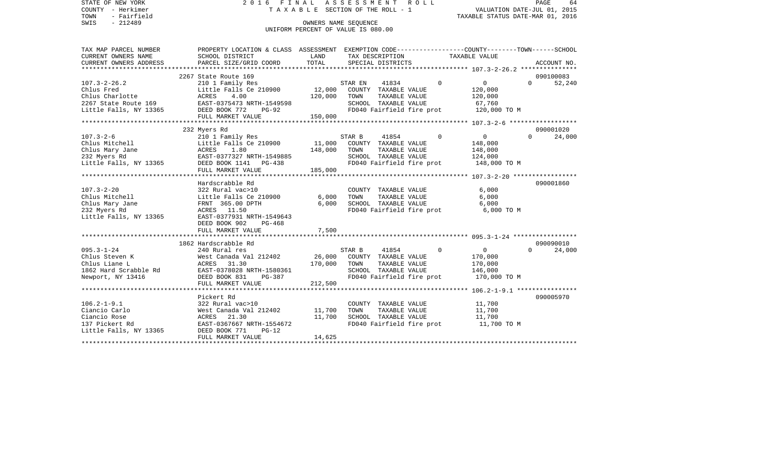STATE OF NEW YORK 2 0 1 6 F I N A L A S S E S S M E N T R O L L PAGE 64COUNTY - Herkimer **T A X A B L E** SECTION OF THE ROLL - 1 VALUATION DATE-JUL 01, 2015 TOWN - Fairfield TAXABLE STATUS DATE-MAR 01, 2016 SWIS - 212489 OWNERS NAME SEQUENCE UNIFORM PERCENT OF VALUE IS 080.00TAX MAP PARCEL NUMBER PROPERTY LOCATION & CLASS ASSESSMENT EXEMPTION CODE------------------COUNTY--------TOWN------SCHOOL CURRENT OWNERS NAME SCHOOL DISTRICT LAND TAX DESCRIPTION TAXABLE VALUECURRENT OWNERS ADDRESS PARCEL SIZE/GRID COORD TOTAL SPECIAL DISTRICTS ACCOUNT NO. \*\*\*\*\*\*\*\*\*\*\*\*\*\*\*\*\*\*\*\*\*\*\*\*\*\*\*\*\*\*\*\*\*\*\*\*\*\*\*\*\*\*\*\*\*\*\*\*\*\*\*\*\*\*\*\*\*\*\*\*\*\*\*\*\*\*\*\*\*\*\*\*\*\*\*\*\*\*\*\*\*\*\*\*\*\*\*\*\*\*\*\*\*\*\*\*\*\*\*\*\*\*\* 107.3-2-26.2 \*\*\*\*\*\*\*\*\*\*\*\*\*\*\* 2267 State Route 169 090100083107.3-2-26.2 210 1 Family Res STAR EN 41834 0 0 0 52,240 Chlus Fred Chlus Fred Little Falls Ce 210900 12,000 COUNTY TAXABLE VALUE 120,000 Chlus Charlotte ACRES 4.00 120,000 TOWN TAXABLE VALUE 120,000 2267 State Route 169 EAST-0375473 NRTH-1549598 SCHOOL TAXABLE VALUE 67,760 Little Falls, NY 13365 DEED BOOK 772 PG-92 FD040 Fairfield fire prot 120,000 TO M FULL MARKET VALUE 150,000 \*\*\*\*\*\*\*\*\*\*\*\*\*\*\*\*\*\*\*\*\*\*\*\*\*\*\*\*\*\*\*\*\*\*\*\*\*\*\*\*\*\*\*\*\*\*\*\*\*\*\*\*\*\*\*\*\*\*\*\*\*\*\*\*\*\*\*\*\*\*\*\*\*\*\*\*\*\*\*\*\*\*\*\*\*\*\*\*\*\*\*\*\*\*\*\*\*\*\*\*\*\*\* 107.3-2-6 \*\*\*\*\*\*\*\*\*\*\*\*\*\*\*\*\*\* 232 Myers Rd 090001020 107.3-2-6 210 1 Family Res STAR B 41854 0 0 0 24,000 Little Falls Ce 210900 11,000 COUNTY TAXABLE VALUE 148,000 Chlus Mary Jane ACRES 1.80 148,000 TOWN TAXABLE VALUE 148,000 232 Myers Rd EAST-0377327 NRTH-1549885 SCHOOL TAXABLE VALUE 124,000 Little Falls, NY 13365 DEED BOOK 1141 PG-438 FD040 Fairfield fire prot 148,000 TO M FULL MARKET VALUE 185,000 \*\*\*\*\*\*\*\*\*\*\*\*\*\*\*\*\*\*\*\*\*\*\*\*\*\*\*\*\*\*\*\*\*\*\*\*\*\*\*\*\*\*\*\*\*\*\*\*\*\*\*\*\*\*\*\*\*\*\*\*\*\*\*\*\*\*\*\*\*\*\*\*\*\*\*\*\*\*\*\*\*\*\*\*\*\*\*\*\*\*\*\*\*\*\*\*\*\*\*\*\*\*\* 107.3-2-20 \*\*\*\*\*\*\*\*\*\*\*\*\*\*\*\*\* Hardscrabble Rd 090001860107.3-2-20 322 Rural vac>10 COUNTY TAXABLE VALUE 6,000 Chlus Mitchell Little Falls Ce 210900 6,000 TOWN TAXABLE VALUE 6,000 Chlus Mary Jane FRNT 365.00 DPTH 6,000 SCHOOL TAXABLE VALUE 6,000 232 Myers Rd ACRES 11.50 FD040 Fairfield fire prot 6,000 TO M Little Falls, NY 13365 EAST-0377931 NRTH-1549643 DEED BOOK 902 PG-468FULL MARKET VALUE 7,500 \*\*\*\*\*\*\*\*\*\*\*\*\*\*\*\*\*\*\*\*\*\*\*\*\*\*\*\*\*\*\*\*\*\*\*\*\*\*\*\*\*\*\*\*\*\*\*\*\*\*\*\*\*\*\*\*\*\*\*\*\*\*\*\*\*\*\*\*\*\*\*\*\*\*\*\*\*\*\*\*\*\*\*\*\*\*\*\*\*\*\*\*\*\*\*\*\*\*\*\*\*\*\* 095.3-1-24 \*\*\*\*\*\*\*\*\*\*\*\*\*\*\*\*\* 1862 Hardscrabble Rd 090090010095.3-1-24 240 Rural res STAR B 41854 0 0 0 24,000 Chlus Steven K West Canada Val 212402 26,000 COUNTY TAXABLE VALUE 170,000 Chlus Liane L ACRES 31.30 170,000 TOWN TAXABLE VALUE 170,000 1862 Hard Scrabble Rd EAST-0378028 NRTH-1580361 SCHOOL TAXABLE VALUE 146,000 Newport, NY 13416 **DEED BOOK 831** PG-387 **FD040 Fairfield fire prot** 170,000 TO M FULL MARKET VALUE 212,500 \*\*\*\*\*\*\*\*\*\*\*\*\*\*\*\*\*\*\*\*\*\*\*\*\*\*\*\*\*\*\*\*\*\*\*\*\*\*\*\*\*\*\*\*\*\*\*\*\*\*\*\*\*\*\*\*\*\*\*\*\*\*\*\*\*\*\*\*\*\*\*\*\*\*\*\*\*\*\*\*\*\*\*\*\*\*\*\*\*\*\*\*\*\*\*\*\*\*\*\*\*\*\* 106.2-1-9.1 \*\*\*\*\*\*\*\*\*\*\*\*\*\*\*\* Pickert Rd 090005970090005970 106.2-1-9.1 322 Rural vac>10 COUNTY TAXABLE VALUE 11,700 Ciancio Carlo West Canada Val 212402 11,700 TOWN TAXABLE VALUE 11,700 Ciancio Rose ACRES 21.30 11,700 SCHOOL TAXABLE VALUE 11,700 137 Pickert Rd EAST-0367667 NRTH-1554672 FD040 Fairfield fire prot 11,700 TO M Little Falls, NY 13365 DEED BOOK 771 PG-12 FULL MARKET VALUE 14,625 \*\*\*\*\*\*\*\*\*\*\*\*\*\*\*\*\*\*\*\*\*\*\*\*\*\*\*\*\*\*\*\*\*\*\*\*\*\*\*\*\*\*\*\*\*\*\*\*\*\*\*\*\*\*\*\*\*\*\*\*\*\*\*\*\*\*\*\*\*\*\*\*\*\*\*\*\*\*\*\*\*\*\*\*\*\*\*\*\*\*\*\*\*\*\*\*\*\*\*\*\*\*\*\*\*\*\*\*\*\*\*\*\*\*\*\*\*\*\*\*\*\*\*\*\*\*\*\*\*\*\*\*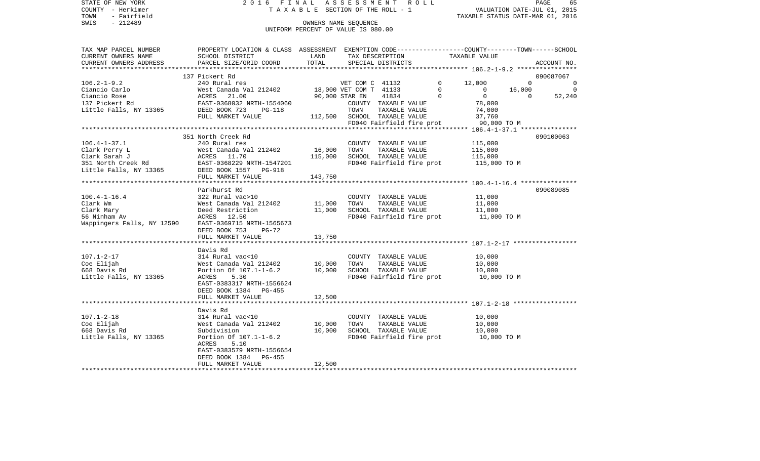STATE OF NEW YORK 2 0 1 6 F I N A L A S S E S S M E N T R O L L PAGE 65COUNTY - Herkimer T A X A B L E SECTION OF THE ROLL - 1 VALUATION DATE-JUL 01, 2015 TOWN - Fairfield TAXABLE STATUS DATE-MAR 01, 2016 SWIS - 212489 OWNERS NAME SEQUENCE UNIFORM PERCENT OF VALUE IS 080.00TAX MAP PARCEL NUMBER PROPERTY LOCATION & CLASS ASSESSMENT EXEMPTION CODE------------------COUNTY--------TOWN------SCHOOL CURRENT OWNERS NAME SCHOOL DISTRICT LAND TAX DESCRIPTION TAXABLE VALUECURRENT OWNERS ADDRESS PARCEL SIZE/GRID COORD TOTAL SPECIAL DISTRICTS ACCOUNT NO. \*\*\*\*\*\*\*\*\*\*\*\*\*\*\*\*\*\*\*\*\*\*\*\*\*\*\*\*\*\*\*\*\*\*\*\*\*\*\*\*\*\*\*\*\*\*\*\*\*\*\*\*\*\*\*\*\*\*\*\*\*\*\*\*\*\*\*\*\*\*\*\*\*\*\*\*\*\*\*\*\*\*\*\*\*\*\*\*\*\*\*\*\*\*\*\*\*\*\*\*\*\*\* 106.2-1-9.2 \*\*\*\*\*\*\*\*\*\*\*\*\*\*\*\* 137 Pickert Rd 090087067106.2-1-9.2 240 Rural res VET COM C 41132 0 12,000 0 0 Ciancio Carlo West Canada Val 212402 18,000 VET COM T 41133 0 0 16,000 0 Ciancio Rose ACRES 21.00 90,000 STAR EN 41834 0 0 52,240 137 Pickert Rd EAST-0368032 NRTH-1554060 COUNTY TAXABLE VALUE 78,000 Little Falls, NY 13365 DEED BOOK 723 PG-118 TOWN TAXABLE VALUE 74,000 FULL MARKET VALUE  $112,500$  SCHOOL TAXABLE VALUE 37,760 FD040 Fairfield fire prot 90,000 TO M \*\*\*\*\*\*\*\*\*\*\*\*\*\*\*\*\*\*\*\*\*\*\*\*\*\*\*\*\*\*\*\*\*\*\*\*\*\*\*\*\*\*\*\*\*\*\*\*\*\*\*\*\*\*\*\*\*\*\*\*\*\*\*\*\*\*\*\*\*\*\*\*\*\*\*\*\*\*\*\*\*\*\*\*\*\*\*\*\*\*\*\*\*\*\*\*\*\*\*\*\*\*\* 106.4-1-37.1 \*\*\*\*\*\*\*\*\*\*\*\*\*\*\* 351 North Creek Rd 090100063106.4-1-37.1 240 Rural res COUNTY TAXABLE VALUE 115,000 Clark Perry Lark (115,000 West Canada Val 212402 16,000 TOWN TAXABLE VALUE 115,000<br>Clark Sarah Jark (115,000 ACRES 11.70 115,000 SCHOOL TAXABLE VALUE 115,000 Clark Sarah J ACRES 11.70 115,000 SCHOOL TAXABLE VALUE 115,000 351 North Creek Rd EAST-0368229 NRTH-1547201 FD040 Fairfield fire prot 115,000 TO M Little Falls, NY 13365 DEED BOOK 1557 PG-918 FULL MARKET VALUE 143,750 \*\*\*\*\*\*\*\*\*\*\*\*\*\*\*\*\*\*\*\*\*\*\*\*\*\*\*\*\*\*\*\*\*\*\*\*\*\*\*\*\*\*\*\*\*\*\*\*\*\*\*\*\*\*\*\*\*\*\*\*\*\*\*\*\*\*\*\*\*\*\*\*\*\*\*\*\*\*\*\*\*\*\*\*\*\*\*\*\*\*\*\*\*\*\*\*\*\*\*\*\*\*\* 100.4-1-16.4 \*\*\*\*\*\*\*\*\*\*\*\*\*\*\* Parkhurst Rd 090089085100.4-1-16.4 322 Rural vac>10 COUNTY TAXABLE VALUE 11,000 Clark Wm West Canada Val 212402 11,000 TOWN TAXABLE VALUE 11,000 Clark Mary Deed Restriction 11,000 SCHOOL TAXABLE VALUE 11,000

56 Ninham Av ACRES 12.50 FD040 Fairfield fire prot 11,000 TO M Wappingers Falls, NY 12590 EAST-0369715 NRTH-1565673 DEED BOOK 753 PG-72FULL MARKET VALUE 13,750 \*\*\*\*\*\*\*\*\*\*\*\*\*\*\*\*\*\*\*\*\*\*\*\*\*\*\*\*\*\*\*\*\*\*\*\*\*\*\*\*\*\*\*\*\*\*\*\*\*\*\*\*\*\*\*\*\*\*\*\*\*\*\*\*\*\*\*\*\*\*\*\*\*\*\*\*\*\*\*\*\*\*\*\*\*\*\*\*\*\*\*\*\*\*\*\*\*\*\*\*\*\*\* 107.1-2-17 \*\*\*\*\*\*\*\*\*\*\*\*\*\*\*\*\* Davis Rd107.1-2-17 314 Rural vac<10 COUNTY TAXABLE VALUE 10,000 Coe Elijah West Canada Val 212402 10,000 TOWN TAXABLE VALUE 10,000 668 Davis Rd Portion Of 107.1-1-6.2 10,000 SCHOOL TAXABLE VALUE 10,000 Little Falls, NY 13365 ACRES 5.30 ACRES FD040 Fairfield fire prot 10,000 TO M EAST-0383317 NRTH-1556624 DEED BOOK 1384 PG-455FULL MARKET VALUE 12,500 \*\*\*\*\*\*\*\*\*\*\*\*\*\*\*\*\*\*\*\*\*\*\*\*\*\*\*\*\*\*\*\*\*\*\*\*\*\*\*\*\*\*\*\*\*\*\*\*\*\*\*\*\*\*\*\*\*\*\*\*\*\*\*\*\*\*\*\*\*\*\*\*\*\*\*\*\*\*\*\*\*\*\*\*\*\*\*\*\*\*\*\*\*\*\*\*\*\*\*\*\*\*\* 107.1-2-18 \*\*\*\*\*\*\*\*\*\*\*\*\*\*\*\*\* Davis Rd314 Rural vac<10 107.1-2-18 314 Rural vac<10 COUNTY TAXABLE VALUE 10,000 Coe Elijah West Canada Val 212402 10,000 TOWN TAXABLE VALUE 10,000 668 Davis Rd Subdivision 10,000 SCHOOL TAXABLE VALUE 10,000 Little Falls, NY 13365 Portion Of 107.1-1-6.2 FD040 Fairfield fire prot 10,000 TO M ACRES 5.10 EAST-0383579 NRTH-1556654 DEED BOOK 1384 PG-455FULL MARKET VALUE 12,500

\*\*\*\*\*\*\*\*\*\*\*\*\*\*\*\*\*\*\*\*\*\*\*\*\*\*\*\*\*\*\*\*\*\*\*\*\*\*\*\*\*\*\*\*\*\*\*\*\*\*\*\*\*\*\*\*\*\*\*\*\*\*\*\*\*\*\*\*\*\*\*\*\*\*\*\*\*\*\*\*\*\*\*\*\*\*\*\*\*\*\*\*\*\*\*\*\*\*\*\*\*\*\*\*\*\*\*\*\*\*\*\*\*\*\*\*\*\*\*\*\*\*\*\*\*\*\*\*\*\*\*\*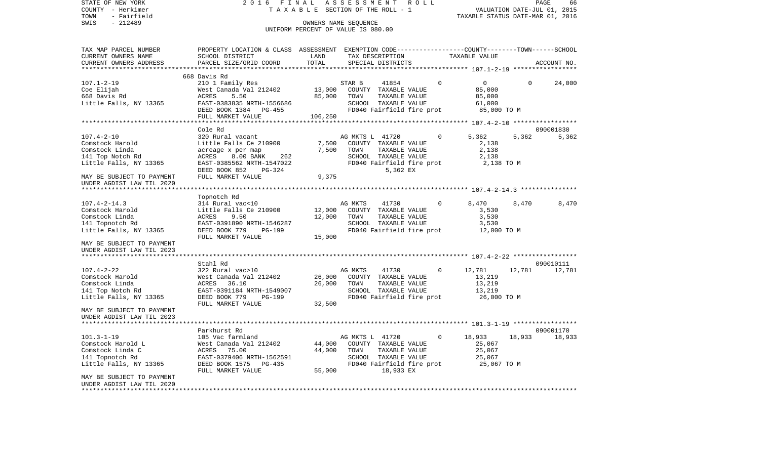COUNTY - Herkimer T A X A B L E SECTION OF THE ROLL - 1 VALUATION DATE-JUL 01, 2015 TOWN - Fairfield TAXABLE STATUS DATE-MAR 01, 2016 SWIS - 212489 CONNERS NAME SEQUENCE UNIFORM PERCENT OF VALUE IS 080.00TAX MAP PARCEL NUMBER PROPERTY LOCATION & CLASS ASSESSMENT EXEMPTION CODE------------------COUNTY--------TOWN------SCHOOL CURRENT OWNERS NAME SCHOOL DISTRICT LAND TAX DESCRIPTION TAXABLE VALUECURRENT OWNERS ADDRESS PARCEL SIZE/GRID COORD TOTAL SPECIAL DISTRICTS ACCOUNT NO. \*\*\*\*\*\*\*\*\*\*\*\*\*\*\*\*\*\*\*\*\*\*\*\*\*\*\*\*\*\*\*\*\*\*\*\*\*\*\*\*\*\*\*\*\*\*\*\*\*\*\*\*\*\*\*\*\*\*\*\*\*\*\*\*\*\*\*\*\*\*\*\*\*\*\*\*\*\*\*\*\*\*\*\*\*\*\*\*\*\*\*\*\*\*\*\*\*\*\*\*\*\*\* 107.1-2-19 \*\*\*\*\*\*\*\*\*\*\*\*\*\*\*\*\* 668 Davis Rd107.1-2-19 210 1 Family Res STAR B 41854 0 0 0 24,000 Coe Elijah West Canada Val 212402 13,000 COUNTY TAXABLE VALUE 85,000 668 Davis Rd ACRES 5.50 85,000 TOWN TAXABLE VALUE 85,000 Little Falls, NY 13365 **EAST-0383835 NRTH-1556686** SCHOOL TAXABLE VALUE 61,000 DEED BOOK 1384 PG-455 FD040 Fairfield fire prot 85,000 TO M FULL MARKET VALUE 106,250 \*\*\*\*\*\*\*\*\*\*\*\*\*\*\*\*\*\*\*\*\*\*\*\*\*\*\*\*\*\*\*\*\*\*\*\*\*\*\*\*\*\*\*\*\*\*\*\*\*\*\*\*\*\*\*\*\*\*\*\*\*\*\*\*\*\*\*\*\*\*\*\*\*\*\*\*\*\*\*\*\*\*\*\*\*\*\*\*\*\*\*\*\*\*\*\*\*\*\*\*\*\*\* 107.4-2-10 \*\*\*\*\*\*\*\*\*\*\*\*\*\*\*\*\* Cole Rd 090001830107.4-2-10 320 Rural vacant AG MKTS L 41720 0 5,362 5,362 5,362 Comstock Harold Little Falls Ce 210900 7,500 COUNTY TAXABLE VALUE 2,138 Comstock Linda acreage x per map 7,500 TOWN TAXABLE VALUE 2,138 141 Top Notch Rd ACRES 8.00 BANK 262 SCHOOL TAXABLE VALUE 2,138 Little Falls, NY 13365 EAST-0385562 NRTH-1547022 FD040 Fairfield fire prot 2,138 TO M DEED BOOK 852 PG-324 5,362 EX MAY BE SUBJECT TO PAYMENT FULL MARKET VALUE 9,375 UNDER AGDIST LAW TIL 2020 \*\*\*\*\*\*\*\*\*\*\*\*\*\*\*\*\*\*\*\*\*\*\*\*\*\*\*\*\*\*\*\*\*\*\*\*\*\*\*\*\*\*\*\*\*\*\*\*\*\*\*\*\*\*\*\*\*\*\*\*\*\*\*\*\*\*\*\*\*\*\*\*\*\*\*\*\*\*\*\*\*\*\*\*\*\*\*\*\*\*\*\*\*\*\*\*\*\*\*\*\*\*\* 107.4-2-14.3 \*\*\*\*\*\*\*\*\*\*\*\*\*\*\* Topnotch Rd 107.4-2-14.3 314 Rural vac<10 AG MKTS 41730 0 8,470 8,470 8,470 8,470 Comstock Harold Little Falls Ce 210900 12,000 COUNTY TAXABLE VALUE 3,530 Comstock Linda ACRES 9.50 12,000 TOWN TAXABLE VALUE 3,530 141 Topnotch Rd EAST-0391890 NRTH-1546287 SCHOOL TAXABLE VALUE 3,530 Little Falls, NY 13365 DEED BOOK 779 PG-199 FD040 Fairfield fire prot<br>FULL MARKET VALUE 15,000 FULL MARKET VALUE MAY BE SUBJECT TO PAYMENTUNDER AGDIST LAW TIL 2023 \*\*\*\*\*\*\*\*\*\*\*\*\*\*\*\*\*\*\*\*\*\*\*\*\*\*\*\*\*\*\*\*\*\*\*\*\*\*\*\*\*\*\*\*\*\*\*\*\*\*\*\*\*\*\*\*\*\*\*\*\*\*\*\*\*\*\*\*\*\*\*\*\*\*\*\*\*\*\*\*\*\*\*\*\*\*\*\*\*\*\*\*\*\*\*\*\*\*\*\*\*\*\* 107.4-2-22 \*\*\*\*\*\*\*\*\*\*\*\*\*\*\*\*\* Stahl Rd 090010111107.4-2-22 322 Rural vac>10 AG MKTS 41730 0 12,781 12,781 12,781 Comstock Harold **West Canada Val 212402** 26,000 COUNTY TAXABLE VALUE 13,219 Comstock Linda ACRES 36.10 26.000 TOWN TAXABLE VALUE 13.219 141 Top Notch Rd **EAST-0391184 NRTH-1549007** SCHOOL TAXABLE VALUE 13,219 Little Falls, NY 13365 DEED BOOK 779 PG-199 FOO40 Fairfield fire prot 26,000 TO M FULL MARKET VALUE 32,500 MAY BE SUBJECT TO PAYMENT UNDER AGDIST LAW TIL 2023 \*\*\*\*\*\*\*\*\*\*\*\*\*\*\*\*\*\*\*\*\*\*\*\*\*\*\*\*\*\*\*\*\*\*\*\*\*\*\*\*\*\*\*\*\*\*\*\*\*\*\*\*\*\*\*\*\*\*\*\*\*\*\*\*\*\*\*\*\*\*\*\*\*\*\*\*\*\*\*\*\*\*\*\*\*\*\*\*\*\*\*\*\*\*\*\*\*\*\*\*\*\*\* 101.3-1-19 \*\*\*\*\*\*\*\*\*\*\*\*\*\*\*\*\*Parkhurst Rd 090001170 101.3-1-19 105 Vac farmland AG MKTS L 41720 0 18,933 18,933 18,933 Comstock Harold L West Canada Val 212402 44,000 COUNTY TAXABLE VALUE 25,067 Comstock Linda C ACRES 75.00 44,000 TOWN TAXABLE VALUE 25,067 141 Topnotch Rd EAST-0379406 NRTH-1562591 SCHOOL TAXABLE VALUE 25,067 Little Falls, NY 13365 DEED BOOK 1575 PG-435 FD040 Fairfield fire prot 25,067 TO M FULL MARKET VALUE 55,000 18,933 EX MAY BE SUBJECT TO PAYMENT UNDER AGDIST LAW TIL 2020\*\*\*\*\*\*\*\*\*\*\*\*\*\*\*\*\*\*\*\*\*\*\*\*\*\*\*\*\*\*\*\*\*\*\*\*\*\*\*\*\*\*\*\*\*\*\*\*\*\*\*\*\*\*\*\*\*\*\*\*\*\*\*\*\*\*\*\*\*\*\*\*\*\*\*\*\*\*\*\*\*\*\*\*\*\*\*\*\*\*\*\*\*\*\*\*\*\*\*\*\*\*\*\*\*\*\*\*\*\*\*\*\*\*\*\*\*\*\*\*\*\*\*\*\*\*\*\*\*\*\*\*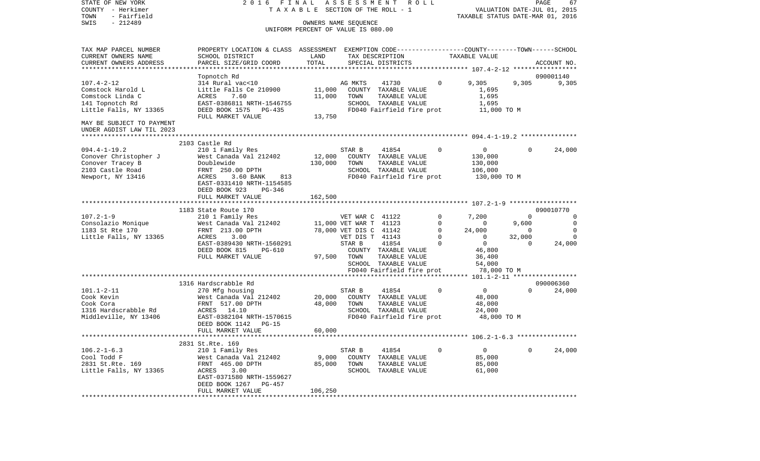COUNTY - Herkimer T A X A B L E SECTION OF THE ROLL - 1 VALUATION DATE-JUL 01, 2015 TOWN - Fairfield TAXABLE STATUS DATE-MAR 01, 2016 SWIS - 212489 OWNERS NAME SEQUENCE UNIFORM PERCENT OF VALUE IS 080.00TAX MAP PARCEL NUMBER PROPERTY LOCATION & CLASS ASSESSMENT EXEMPTION CODE------------------COUNTY--------TOWN------SCHOOL CURRENT OWNERS NAME SCHOOL DISTRICT LAND TAX DESCRIPTION TAXABLE VALUECURRENT OWNERS ADDRESS PARCEL SIZE/GRID COORD TOTAL SPECIAL DISTRICTS ACCOUNT NO. \*\*\*\*\*\*\*\*\*\*\*\*\*\*\*\*\*\*\*\*\*\*\*\*\*\*\*\*\*\*\*\*\*\*\*\*\*\*\*\*\*\*\*\*\*\*\*\*\*\*\*\*\*\*\*\*\*\*\*\*\*\*\*\*\*\*\*\*\*\*\*\*\*\*\*\*\*\*\*\*\*\*\*\*\*\*\*\*\*\*\*\*\*\*\*\*\*\*\*\*\*\*\* 107.4-2-12 \*\*\*\*\*\*\*\*\*\*\*\*\*\*\*\*\* Topnotch Rd 090001140 107.4-2-12 314 Rural vac<10 AG MKTS 41730 0 9,305 9,305 9,305 Comstock Harold L Little Falls Ce 210900 11,000 COUNTY TAXABLE VALUE 1,695 Comstock Linda C  $ACRES$  7.60 11,000 TOWN TAXABLE VALUE 1,695 141 Topnotch Rd EAST-0386811 NRTH-1546755 SCHOOL TAXABLE VALUE 1,695 Little Falls, NY 13365 DEED BOOK 1575 PG-435 FD040 Fairfield fire prot 11,000 TO M FULL MARKET VALUE 13,750 MAY BE SUBJECT TO PAYMENT UNDER AGDIST LAW TIL 2023 \*\*\*\*\*\*\*\*\*\*\*\*\*\*\*\*\*\*\*\*\*\*\*\*\*\*\*\*\*\*\*\*\*\*\*\*\*\*\*\*\*\*\*\*\*\*\*\*\*\*\*\*\*\*\*\*\*\*\*\*\*\*\*\*\*\*\*\*\*\*\*\*\*\*\*\*\*\*\*\*\*\*\*\*\*\*\*\*\*\*\*\*\*\*\*\*\*\*\*\*\*\*\* 094.4-1-19.2 \*\*\*\*\*\*\*\*\*\*\*\*\*\*\* 2103 Castle Rd094.4-1-19.2 210 1 Family Res STAR B 41854 0 0 0 24,000 Conover Christopher J West Canada Val 212402 12,000 COUNTY TAXABLE VALUE 130,000 Conover Tracey B Doublewide 130,000 TOWN TAXABLE VALUE 130,000 2103 Castle Road FRNT 250.00 DPTH SCHOOL TAXABLE VALUE 106,000 Newport, NY 13416 ACRES 3.60 BANK 813 FD040 Fairfield fire prot 130,000 TO M EAST-0331410 NRTH-1154585 DEED BOOK 923 PG-346FULL MARKET VALUE 162,500 \*\*\*\*\*\*\*\*\*\*\*\*\*\*\*\*\*\*\*\*\*\*\*\*\*\*\*\*\*\*\*\*\*\*\*\*\*\*\*\*\*\*\*\*\*\*\*\*\*\*\*\*\*\*\*\*\*\*\*\*\*\*\*\*\*\*\*\*\*\*\*\*\*\*\*\*\*\*\*\*\*\*\*\*\*\*\*\*\*\*\*\*\*\*\*\*\*\*\*\*\*\*\* 107.2-1-9 \*\*\*\*\*\*\*\*\*\*\*\*\*\*\*\*\*\*1183 State Route 170 090010770 090010770 090010770 090010770 090010770 090010770 107.2-1-9 210 1 Family Res VET WAR C 41122 0 7,200 0 0 Consolazio Monique West Canada Val 212402 11,000 VET WAR T 41123 0 0 9,600 0 1183 St Rte 170 FRNT 213.00 DPTH 78,000 VET DIS C 41142 0 24,000 0 0 Little Falls, NY 13365 ACRES 3.00 0 VET DIS T 41143 0 0 32,000 0 0 EAST-0389430 NRTH-1560291 STAR B 41854 0 0 0 24,000 DEED BOOK 815 PG-610 COUNTY TAXABLE VALUE 46,800 FULL MARKET VALUE 97,500 TOWN TAXABLE VALUE 36,400 SCHOOL TAXABLE VALUE 54,000 FD040 Fairfield fire prot 78,000 TO M \*\*\*\*\*\*\*\*\*\*\*\*\*\*\*\*\*\*\*\*\*\*\*\*\*\*\*\*\*\*\*\*\*\*\*\*\*\*\*\*\*\*\*\*\*\*\*\*\*\*\*\*\*\*\*\*\*\*\*\*\*\*\*\*\*\*\*\*\*\*\*\*\*\*\*\*\*\*\*\*\*\*\*\*\*\*\*\*\*\*\*\*\*\*\*\*\*\*\*\*\*\*\* 101.1-2-11 \*\*\*\*\*\*\*\*\*\*\*\*\*\*\*\*\* 1316 Hardscrabble Rd 090006360101.1-2-11 270 Mfg housing STAR B 41854 0 0 0 24,000 Cook Kevin West Canada Val 212402 20,000 COUNTY TAXABLE VALUE 48,000 Cook Cora FRNT 517.00 DPTH 48,000 TOWN TAXABLE VALUE 48,000 1316 Hardscrabble Rd ACRES 14.10 SCHOOL TAXABLE VALUE 24,000 Middleville, NY 13406 EAST-0382104 NRTH-1570615 FD040 Fairfield fire prot 48,000 TO M DEED BOOK 1142 PG-15 FULL MARKET VALUE 60,000 \*\*\*\*\*\*\*\*\*\*\*\*\*\*\*\*\*\*\*\*\*\*\*\*\*\*\*\*\*\*\*\*\*\*\*\*\*\*\*\*\*\*\*\*\*\*\*\*\*\*\*\*\*\*\*\*\*\*\*\*\*\*\*\*\*\*\*\*\*\*\*\*\*\*\*\*\*\*\*\*\*\*\*\*\*\*\*\*\*\*\*\*\*\*\*\*\*\*\*\*\*\*\* 106.2-1-6.3 \*\*\*\*\*\*\*\*\*\*\*\*\*\*\*\* 2831 St.Rte. 169 106.2-1-6.3 210 1 Family Res STAR B 41854 0 0 0 24,000 Cool Todd F West Canada Val 212402 9,000 COUNTY TAXABLE VALUE 85,000 2831 St.Rte. 169 FRNT 465.00 DPTH 85,000 TOWN TAXABLE VALUE 85,000 Little Falls, NY 13365 ACRES 3.00 SCHOOL TAXABLE VALUE 61,000 EAST-0371580 NRTH-1559627 DEED BOOK 1267 PG-457FULL MARKET VALUE 106,250 \*\*\*\*\*\*\*\*\*\*\*\*\*\*\*\*\*\*\*\*\*\*\*\*\*\*\*\*\*\*\*\*\*\*\*\*\*\*\*\*\*\*\*\*\*\*\*\*\*\*\*\*\*\*\*\*\*\*\*\*\*\*\*\*\*\*\*\*\*\*\*\*\*\*\*\*\*\*\*\*\*\*\*\*\*\*\*\*\*\*\*\*\*\*\*\*\*\*\*\*\*\*\*\*\*\*\*\*\*\*\*\*\*\*\*\*\*\*\*\*\*\*\*\*\*\*\*\*\*\*\*\*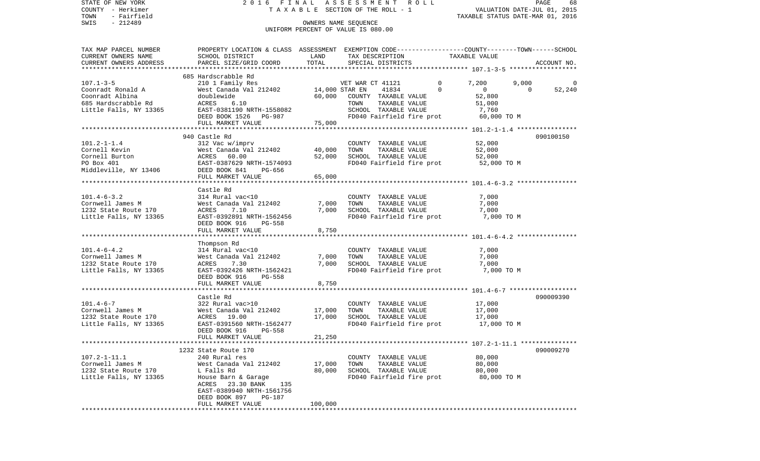| STATE OF NEW YORK      | 2016 FINAL                                                                                       |                | A S S E S S M E N T A O L L        |                      |                           |                                  |          | PAGE<br>68                  |
|------------------------|--------------------------------------------------------------------------------------------------|----------------|------------------------------------|----------------------|---------------------------|----------------------------------|----------|-----------------------------|
| COUNTY - Herkimer      |                                                                                                  |                | TAXABLE SECTION OF THE ROLL - 1    |                      |                           |                                  |          | VALUATION DATE-JUL 01, 2015 |
| - Fairfield<br>TOWN    |                                                                                                  |                |                                    |                      |                           | TAXABLE STATUS DATE-MAR 01, 2016 |          |                             |
| $-212489$<br>SWIS      |                                                                                                  |                | OWNERS NAME SEOUENCE               |                      |                           |                                  |          |                             |
|                        |                                                                                                  |                | UNIFORM PERCENT OF VALUE IS 080.00 |                      |                           |                                  |          |                             |
| TAX MAP PARCEL NUMBER  | PROPERTY LOCATION & CLASS ASSESSMENT EXEMPTION CODE----------------COUNTY-------TOWN------SCHOOL |                |                                    |                      |                           |                                  |          |                             |
| CURRENT OWNERS NAME    | SCHOOL DISTRICT                                                                                  | LAND           |                                    | TAX DESCRIPTION      |                           | TAXABLE VALUE                    |          |                             |
| CURRENT OWNERS ADDRESS | PARCEL SIZE/GRID COORD                                                                           | TOTAL          |                                    | SPECIAL DISTRICTS    |                           |                                  |          | ACCOUNT NO.                 |
|                        |                                                                                                  |                |                                    |                      |                           |                                  |          |                             |
|                        | 685 Hardscrabble Rd                                                                              |                |                                    |                      |                           |                                  |          |                             |
| $107.1 - 3 - 5$        | 210 1 Family Res                                                                                 |                | VET WAR CT 41121                   |                      | $\mathbf{0}$              | 7,200                            | 9,000    |                             |
| Coonradt Ronald A      | West Canada Val 212402                                                                           | 14,000 STAR EN |                                    | 41834                | $\Omega$                  | $\overline{0}$                   | $\Omega$ | 52,240                      |
| Coonradt Albina        | doublewide                                                                                       | 60,000         |                                    | COUNTY TAXABLE VALUE |                           | 52,800                           |          |                             |
| 685 Hardscrabble Rd    | ACRES<br>6.10                                                                                    |                | TOWN                               | TAXABLE VALUE        |                           | 51,000                           |          |                             |
| Little Falls, NY 13365 | EAST-0381190 NRTH-1558082                                                                        |                |                                    | SCHOOL TAXABLE VALUE |                           | 7,760                            |          |                             |
|                        | DEED BOOK 1526 PG-987                                                                            |                |                                    |                      | FD040 Fairfield fire prot | 60,000 TO M                      |          |                             |
|                        | FULL MARKET VALUE                                                                                | 75,000         |                                    |                      |                           |                                  |          |                             |
|                        |                                                                                                  |                |                                    |                      |                           |                                  |          |                             |
|                        | 940 Castle Rd                                                                                    |                |                                    |                      |                           |                                  |          | 090100150                   |
| $101.2 - 1 - 1.4$      | 312 Vac w/imprv                                                                                  |                |                                    | COUNTY TAXABLE VALUE |                           | 52,000                           |          |                             |
| Cornell Kevin          | West Canada Val 212402                                                                           | 40,000         | TOWN                               | TAXABLE VALUE        |                           | 52,000                           |          |                             |
| Cornell Burton         | ACRES 60.00                                                                                      | 52,000         |                                    | SCHOOL TAXABLE VALUE |                           | 52,000                           |          |                             |
| PO Box 401             | EAST-0387629 NRTH-1574093                                                                        |                |                                    |                      | FD040 Fairfield fire prot | 52,000 TO M                      |          |                             |
| Middleville, NY 13406  | DEED BOOK 841<br>PG-656                                                                          |                |                                    |                      |                           |                                  |          |                             |
|                        | FULL MARKET VALUE                                                                                | 65,000         |                                    |                      |                           |                                  |          |                             |
|                        |                                                                                                  |                |                                    |                      |                           |                                  |          |                             |
|                        | Castle Rd                                                                                        |                |                                    |                      |                           |                                  |          |                             |
| $101.4 - 6 - 3.2$      | 314 Rural vac<10                                                                                 |                |                                    | COUNTY TAXABLE VALUE |                           | 7,000                            |          |                             |
| Cornwell James M       | West Canada Val 212402                                                                           | 7,000          | TOWN                               | TAXABLE VALUE        |                           | 7,000                            |          |                             |
| 1232 State Route 170   | ACRES<br>7.10                                                                                    | 7,000          |                                    | SCHOOL TAXABLE VALUE |                           | 7,000                            |          |                             |
| Little Falls, NY 13365 | EAST-0392891 NRTH-1562456                                                                        |                |                                    |                      | FD040 Fairfield fire prot | 7,000 TO M                       |          |                             |
|                        | DEED BOOK 916<br>PG-558                                                                          |                |                                    |                      |                           |                                  |          |                             |
|                        | FULL MARKET VALUE                                                                                | 8,750          |                                    |                      |                           |                                  |          |                             |
|                        |                                                                                                  |                |                                    |                      |                           |                                  |          |                             |
| $101.4 - 6 - 4.2$      | Thompson Rd<br>314 Rural vac<10                                                                  |                |                                    | COUNTY TAXABLE VALUE |                           | 7,000                            |          |                             |
| Cornwell James M       | West Canada Val 212402                                                                           | 7,000          | TOWN                               | TAXABLE VALUE        |                           | 7,000                            |          |                             |
| 1232 State Route 170   | ACRES 7.30                                                                                       | 7,000          |                                    | SCHOOL TAXABLE VALUE |                           | 7,000                            |          |                             |
| Little Falls, NY 13365 | EAST-0392426 NRTH-1562421                                                                        |                |                                    |                      | FD040 Fairfield fire prot | 7,000 TO M                       |          |                             |
|                        | DEED BOOK 916<br>PG-558                                                                          |                |                                    |                      |                           |                                  |          |                             |
|                        | FULL MARKET VALUE                                                                                | 8,750          |                                    |                      |                           |                                  |          |                             |
|                        |                                                                                                  |                |                                    |                      |                           |                                  |          |                             |
|                        | Castle Rd                                                                                        |                |                                    |                      |                           |                                  |          | 090009390                   |
| $101.4 - 6 - 7$        | 322 Rural vac>10                                                                                 |                |                                    | COUNTY TAXABLE VALUE |                           | 17,000                           |          |                             |
| Cornwell James M       | West Canada Val 212402                                                                           | 17,000         | TOWN                               | TAXABLE VALUE        |                           | 17,000                           |          |                             |
| 1232 State Route 170   | ACRES 19.00                                                                                      | 17,000         |                                    | SCHOOL TAXABLE VALUE |                           | 17,000                           |          |                             |
| Little Falls, NY 13365 | EAST-0391560 NRTH-1562477                                                                        |                |                                    |                      | FD040 Fairfield fire prot | 17,000 TO M                      |          |                             |
|                        | DEED BOOK 916<br>PG-558                                                                          |                |                                    |                      |                           |                                  |          |                             |
|                        | FULL MARKET VALUE                                                                                | 21,250         |                                    |                      |                           |                                  |          |                             |
|                        |                                                                                                  |                |                                    |                      |                           |                                  |          |                             |
|                        | 1232 State Route 170                                                                             |                |                                    |                      |                           |                                  |          | 090009270                   |
| $107.2 - 1 - 11.1$     | 240 Rural res                                                                                    |                |                                    | COUNTY TAXABLE VALUE |                           | 80,000                           |          |                             |
| Cornwell James M       | West Canada Val 212402                                                                           | 17,000         | TOWN                               | TAXABLE VALUE        |                           | 80,000                           |          |                             |
| 1232 State Route 170   | L Falls Rd                                                                                       | 80,000         |                                    | SCHOOL TAXABLE VALUE |                           | 80,000                           |          |                             |
| Little Falls, NY 13365 | House Barn & Garage                                                                              |                |                                    |                      | FD040 Fairfield fire prot | 80,000 TO M                      |          |                             |
|                        | ACRES<br>23.30 BANK<br>135                                                                       |                |                                    |                      |                           |                                  |          |                             |
|                        | EAST-0389940 NRTH-1561756                                                                        |                |                                    |                      |                           |                                  |          |                             |
|                        | DEED BOOK 897<br>PG-187                                                                          |                |                                    |                      |                           |                                  |          |                             |
|                        | FULL MARKET VALUE                                                                                | 100,000        |                                    |                      |                           |                                  |          |                             |
|                        |                                                                                                  |                |                                    |                      |                           |                                  |          |                             |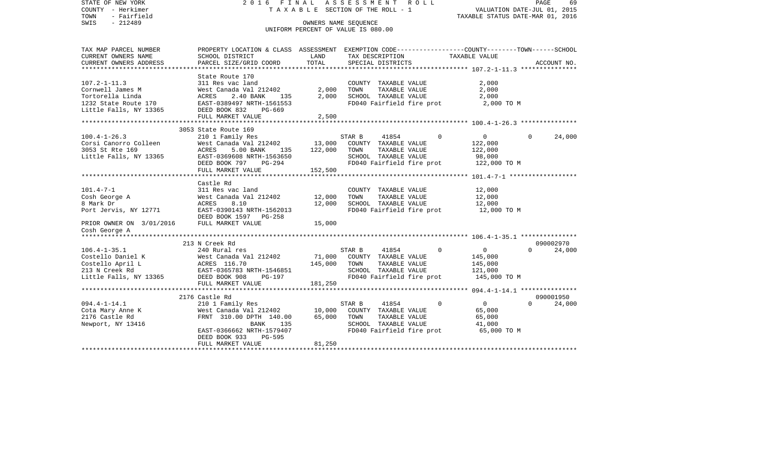VALUATION DATE-JUL 01, 2015 COUNTY - Herkimer T A X A B L E SECTION OF THE ROLL - 1 TOWN - Fairfield TAXABLE STATUS DATE-MAR 01, 2016 SWIS - 212489 OWNERS NAME SEQUENCE UNIFORM PERCENT OF VALUE IS 080.00TAX MAP PARCEL NUMBER PROPERTY LOCATION & CLASS ASSESSMENT EXEMPTION CODE------------------COUNTY--------TOWN------SCHOOL CURRENT OWNERS NAME SCHOOL DISTRICT LAND TAX DESCRIPTION TAXABLE VALUECURRENT OWNERS ADDRESS PARCEL SIZE/GRID COORD TOTAL SPECIAL DISTRICTS ACCOUNT NO. \*\*\*\*\*\*\*\*\*\*\*\*\*\*\*\*\*\*\*\*\*\*\*\*\*\*\*\*\*\*\*\*\*\*\*\*\*\*\*\*\*\*\*\*\*\*\*\*\*\*\*\*\*\*\*\*\*\*\*\*\*\*\*\*\*\*\*\*\*\*\*\*\*\*\*\*\*\*\*\*\*\*\*\*\*\*\*\*\*\*\*\*\*\*\*\*\*\*\*\*\*\*\* 107.2-1-11.3 \*\*\*\*\*\*\*\*\*\*\*\*\*\*\* State Route 170 107.2-1-11.3 311 Res vac land COUNTY TAXABLE VALUE 2,000 Cornwell James M West Canada Val 212402 2,000 TOWN TAXABLE VALUE 2,000 Tortorella Linda ACRES 2.40 BANK 135 2,000 SCHOOL TAXABLE VALUE 2,000 1232 State Route 170 EAST-0389497 NRTH-1561553 FD040 Fairfield fire prot 2,000 TO M Little Falls, NY 13365 DEED BOOK 832 PG-669 FULL MARKET VALUE 2,500 \*\*\*\*\*\*\*\*\*\*\*\*\*\*\*\*\*\*\*\*\*\*\*\*\*\*\*\*\*\*\*\*\*\*\*\*\*\*\*\*\*\*\*\*\*\*\*\*\*\*\*\*\*\*\*\*\*\*\*\*\*\*\*\*\*\*\*\*\*\*\*\*\*\*\*\*\*\*\*\*\*\*\*\*\*\*\*\*\*\*\*\*\*\*\*\*\*\*\*\*\*\*\* 100.4-1-26.3 \*\*\*\*\*\*\*\*\*\*\*\*\*\*\* 3053 State Route 169 100.4-1-26.3 210 1 Family Res STAR B 41854 0 0 0 24,000 Corsi Canorro Colleen 6 West Canada Val 212402 13,000 COUNTY TAXABLE VALUE 3053 St Rte 169 ACRES 5.00 BANK 135 122,000 TOWN TAXABLE VALUE 122,000 Little Falls, NY 13365 EAST-0369608 NRTH-1563650 SCHOOL TAXABLE VALUE 98,000 DEED BOOK 797 PG-294 FD040 Fairfield fire prot 122,000 TO M FULL MARKET VALUE 152,500 \*\*\*\*\*\*\*\*\*\*\*\*\*\*\*\*\*\*\*\*\*\*\*\*\*\*\*\*\*\*\*\*\*\*\*\*\*\*\*\*\*\*\*\*\*\*\*\*\*\*\*\*\*\*\*\*\*\*\*\*\*\*\*\*\*\*\*\*\*\*\*\*\*\*\*\*\*\*\*\*\*\*\*\*\*\*\*\*\*\*\*\*\*\*\*\*\*\*\*\*\*\*\* 101.4-7-1 \*\*\*\*\*\*\*\*\*\*\*\*\*\*\*\*\*\* Castle Rd101.4-7-1 311 Res vac land COUNTY TAXABLE VALUE 12,000 Cosh George A West Canada Val 212402 12,000 TOWN TAXABLE VALUE 12,000 8 Mark Dr ACRES 8.10 12,000 SCHOOL TAXABLE VALUE 12,000 Port Jervis, NY 12771 EAST-0390143 NRTH-1562013 FD040 Fairfield fire prot 12,000 TO M DEED BOOK 1597 PG-258PRIOR OWNER ON 3/01/2016 FULL MARKET VALUE 15,000 Cosh George A \*\*\*\*\*\*\*\*\*\*\*\*\*\*\*\*\*\*\*\*\*\*\*\*\*\*\*\*\*\*\*\*\*\*\*\*\*\*\*\*\*\*\*\*\*\*\*\*\*\*\*\*\*\*\*\*\*\*\*\*\*\*\*\*\*\*\*\*\*\*\*\*\*\*\*\*\*\*\*\*\*\*\*\*\*\*\*\*\*\*\*\*\*\*\*\*\*\*\*\*\*\*\* 106.4-1-35.1 \*\*\*\*\*\*\*\*\*\*\*\*\*\*\* 213 N Creek Rd 090002970106.4-1-35.1 240 Rural res STAR B 41854 0 0 0 24,000 Costello Daniel K West Canada Val 212402 71,000 COUNTY TAXABLE VALUE 145,000 Costello April L  $ACRES$  116.70 145,000 TOWN TAXABLE VALUE 145,000 213 N Creek Rd EAST-0365783 NRTH-1546851 SCHOOL TAXABLE VALUE 121,000 Little Falls, NY 13365 DEED BOOK 908 PG-197 FD040 Fairfield fire prot 145,000 TO M FULL MARKET VALUE 181,250 \*\*\*\*\*\*\*\*\*\*\*\*\*\*\*\*\*\*\*\*\*\*\*\*\*\*\*\*\*\*\*\*\*\*\*\*\*\*\*\*\*\*\*\*\*\*\*\*\*\*\*\*\*\*\*\*\*\*\*\*\*\*\*\*\*\*\*\*\*\*\*\*\*\*\*\*\*\*\*\*\*\*\*\*\*\*\*\*\*\*\*\*\*\*\*\*\*\*\*\*\*\*\* 094.4-1-14.1 \*\*\*\*\*\*\*\*\*\*\*\*\*\*\* 2176 Castle Rd 090001950094.4-1-14.1 210 1 Family Res STAR B 41854 0 0 0 24,000 Cota Mary Anne K West Canada Val 212402 10,000 COUNTY TAXABLE VALUE 65,000 FRNT 310.00 DPTH 140.00 65,000 TOWN Newport, NY 13416 6000 BANK 135 SCHOOL TAXABLE VALUE 41,000 EAST-0366662 NRTH-1579407 FD040 Fairfield fire prot 65,000 TO M DEED BOOK 933 PG-595FULL MARKET VALUE 81,250 \*\*\*\*\*\*\*\*\*\*\*\*\*\*\*\*\*\*\*\*\*\*\*\*\*\*\*\*\*\*\*\*\*\*\*\*\*\*\*\*\*\*\*\*\*\*\*\*\*\*\*\*\*\*\*\*\*\*\*\*\*\*\*\*\*\*\*\*\*\*\*\*\*\*\*\*\*\*\*\*\*\*\*\*\*\*\*\*\*\*\*\*\*\*\*\*\*\*\*\*\*\*\*\*\*\*\*\*\*\*\*\*\*\*\*\*\*\*\*\*\*\*\*\*\*\*\*\*\*\*\*\*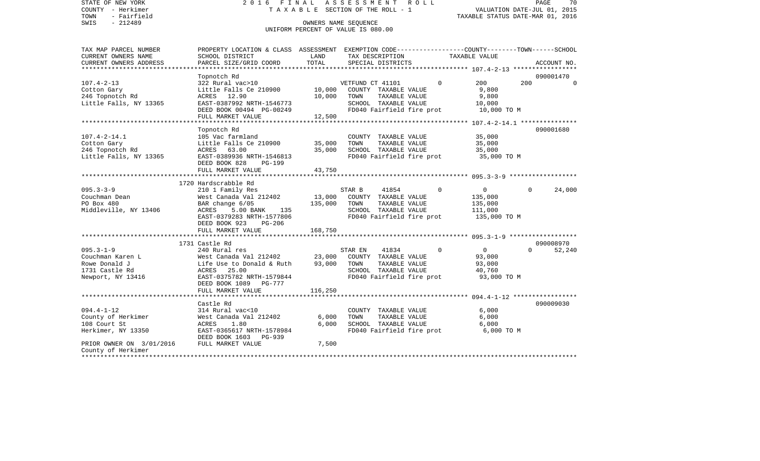| STATE OF NEW YORK<br>COUNTY - Herkimer<br>- Fairfield<br>TOWN | 2016 FINAL                                                                                       |                  | ASSESSMENT<br>R O L L<br>TAXABLE SECTION OF THE ROLL - 1 |                               | PAGE<br>70<br>VALUATION DATE-JUL 01, 2015<br>TAXABLE STATUS DATE-MAR 01, 2016 |
|---------------------------------------------------------------|--------------------------------------------------------------------------------------------------|------------------|----------------------------------------------------------|-------------------------------|-------------------------------------------------------------------------------|
| $-212489$<br>SWIS                                             |                                                                                                  |                  | OWNERS NAME SEQUENCE                                     |                               |                                                                               |
|                                                               |                                                                                                  |                  | UNIFORM PERCENT OF VALUE IS 080.00                       |                               |                                                                               |
|                                                               |                                                                                                  |                  |                                                          |                               |                                                                               |
| TAX MAP PARCEL NUMBER                                         | PROPERTY LOCATION & CLASS ASSESSMENT EXEMPTION CODE----------------COUNTY-------TOWN------SCHOOL |                  |                                                          |                               |                                                                               |
| CURRENT OWNERS NAME                                           | SCHOOL DISTRICT                                                                                  | LAND             | TAX DESCRIPTION                                          | TAXABLE VALUE                 |                                                                               |
| CURRENT OWNERS ADDRESS                                        | PARCEL SIZE/GRID COORD                                                                           | TOTAL            | SPECIAL DISTRICTS                                        |                               | ACCOUNT NO.                                                                   |
| ***********************                                       |                                                                                                  |                  |                                                          |                               | 090001470                                                                     |
| $107.4 - 2 - 13$                                              | Topnotch Rd<br>322 Rural vac>10                                                                  |                  | VETFUND CT 41101                                         | 200<br>$\Omega$               | 200<br>$\Omega$                                                               |
| Cotton Gary                                                   | Little Falls Ce 210900                                                                           | 10,000           | COUNTY TAXABLE VALUE                                     | 9,800                         |                                                                               |
| 246 Topnotch Rd                                               | ACRES 12.90                                                                                      | 10,000           | TOWN<br>TAXABLE VALUE                                    | 9,800                         |                                                                               |
| Little Falls, NY 13365                                        | EAST-0387992 NRTH-1546773                                                                        |                  | SCHOOL TAXABLE VALUE                                     | 10,000                        |                                                                               |
|                                                               | DEED BOOK 00494 PG-00249                                                                         |                  | FD040 Fairfield fire prot                                | 10,000 TO M                   |                                                                               |
|                                                               | FULL MARKET VALUE                                                                                | 12,500           |                                                          |                               |                                                                               |
|                                                               |                                                                                                  |                  |                                                          |                               |                                                                               |
|                                                               | Topnotch Rd                                                                                      |                  |                                                          |                               | 090001680                                                                     |
| $107.4 - 2 - 14.1$                                            | 105 Vac farmland                                                                                 |                  | COUNTY TAXABLE VALUE<br>TOWN                             | 35,000                        |                                                                               |
| Cotton Gary<br>246 Topnotch Rd                                | Little Falls Ce 210900<br>ACRES 63.00                                                            | 35,000<br>35,000 | TAXABLE VALUE<br>SCHOOL TAXABLE VALUE                    | 35,000<br>35,000              |                                                                               |
| Little Falls, NY 13365                                        | EAST-0389936 NRTH-1546813                                                                        |                  | FD040 Fairfield fire prot                                | 35,000 TO M                   |                                                                               |
|                                                               | DEED BOOK 828<br>PG-199                                                                          |                  |                                                          |                               |                                                                               |
|                                                               | FULL MARKET VALUE                                                                                | 43,750           |                                                          |                               |                                                                               |
|                                                               |                                                                                                  |                  |                                                          |                               |                                                                               |
|                                                               | 1720 Hardscrabble Rd                                                                             |                  |                                                          |                               |                                                                               |
| $095.3 - 3 - 9$                                               | 210 1 Family Res                                                                                 |                  | 41854<br>STAR B                                          | $\Omega$<br>$\overline{0}$    | $\Omega$<br>24,000                                                            |
| Couchman Dean                                                 | West Canada Val 212402                                                                           | 13,000           | COUNTY TAXABLE VALUE                                     | 135,000                       |                                                                               |
| PO Box 480                                                    | BAR change 6/05                                                                                  | 135,000          | TOWN<br>TAXABLE VALUE                                    | 135,000                       |                                                                               |
| Middleville, NY 13406                                         | ACRES<br>5.00 BANK<br>135<br>EAST-0379283 NRTH-1577806                                           |                  | SCHOOL TAXABLE VALUE<br>FD040 Fairfield fire prot        | 111,000<br>135,000 TO M       |                                                                               |
|                                                               | DEED BOOK 923<br>PG-206                                                                          |                  |                                                          |                               |                                                                               |
|                                                               | FULL MARKET VALUE                                                                                | 168,750          |                                                          |                               |                                                                               |
|                                                               |                                                                                                  |                  |                                                          |                               |                                                                               |
|                                                               | 1731 Castle Rd                                                                                   |                  |                                                          |                               | 090008970                                                                     |
| $095.3 - 1 - 9$                                               | 240 Rural res                                                                                    |                  | STAR EN<br>41834                                         | $\mathbf 0$<br>$\overline{0}$ | 52,240<br>$\Omega$                                                            |
| Couchman Karen L                                              | West Canada Val 212402                                                                           | 23,000           | COUNTY TAXABLE VALUE                                     | 93,000                        |                                                                               |
| Rowe Donald J                                                 | Life Use to Donald & Ruth                                                                        | 93,000           | TOWN<br>TAXABLE VALUE                                    | 93,000                        |                                                                               |
| 1731 Castle Rd                                                | 25.00<br>ACRES                                                                                   |                  | SCHOOL TAXABLE VALUE                                     | 40,760                        |                                                                               |
| Newport, NY 13416                                             | EAST-0375782 NRTH-1579844                                                                        |                  | FD040 Fairfield fire prot                                | 93,000 TO M                   |                                                                               |
|                                                               | DEED BOOK 1089 PG-777<br>FULL MARKET VALUE                                                       | 116,250          |                                                          |                               |                                                                               |
|                                                               |                                                                                                  |                  |                                                          |                               |                                                                               |
|                                                               | Castle Rd                                                                                        |                  |                                                          |                               | 090009030                                                                     |
| $094.4 - 1 - 12$                                              | 314 Rural vac<10                                                                                 |                  | COUNTY TAXABLE VALUE                                     | 6,000                         |                                                                               |
| County of Herkimer                                            | West Canada Val 212402                                                                           | 6,000            | TOWN<br>TAXABLE VALUE                                    | 6,000                         |                                                                               |
| 108 Court St                                                  | ACRES<br>1.80                                                                                    | 6,000            | SCHOOL TAXABLE VALUE                                     | 6,000                         |                                                                               |
| Herkimer, NY 13350                                            | EAST-0365617 NRTH-1578984                                                                        |                  | FD040 Fairfield fire prot                                | 6,000 TO M                    |                                                                               |
|                                                               | DEED BOOK 1603 PG-939                                                                            |                  |                                                          |                               |                                                                               |
| PRIOR OWNER ON 3/01/2016                                      | FULL MARKET VALUE                                                                                | 7,500            |                                                          |                               |                                                                               |
| County of Herkimer                                            |                                                                                                  |                  |                                                          |                               |                                                                               |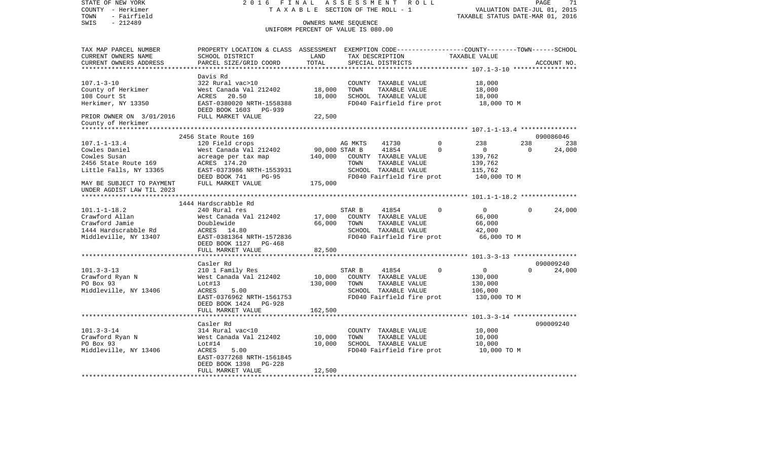| STATE OF NEW YORK                                          | 2016 FINAL                                    |                          | 71<br>PAGE                                                      |                                       |  |                                                                                                 |                           |                 |                     |
|------------------------------------------------------------|-----------------------------------------------|--------------------------|-----------------------------------------------------------------|---------------------------------------|--|-------------------------------------------------------------------------------------------------|---------------------------|-----------------|---------------------|
| COUNTY - Herkimer                                          | TAXABLE SECTION OF THE ROLL - 1               |                          | VALUATION DATE-JUL 01, 2015<br>TAXABLE STATUS DATE-MAR 01, 2016 |                                       |  |                                                                                                 |                           |                 |                     |
| - Fairfield<br>TOWN<br>$-212489$<br>SWIS                   |                                               |                          |                                                                 |                                       |  |                                                                                                 |                           |                 |                     |
| OWNERS NAME SEQUENCE<br>UNIFORM PERCENT OF VALUE IS 080.00 |                                               |                          |                                                                 |                                       |  |                                                                                                 |                           |                 |                     |
|                                                            |                                               |                          |                                                                 |                                       |  |                                                                                                 |                           |                 |                     |
| TAX MAP PARCEL NUMBER                                      |                                               |                          |                                                                 |                                       |  | PROPERTY LOCATION & CLASS ASSESSMENT EXEMPTION CODE---------------COUNTY-------TOWN------SCHOOL |                           |                 |                     |
| CURRENT OWNERS NAME                                        | SCHOOL DISTRICT                               | LAND                     | TAX DESCRIPTION                                                 |                                       |  |                                                                                                 | TAXABLE VALUE             |                 |                     |
| CURRENT OWNERS ADDRESS                                     | PARCEL SIZE/GRID COORD                        | TOTAL                    |                                                                 | SPECIAL DISTRICTS                     |  |                                                                                                 |                           |                 | ACCOUNT NO.         |
|                                                            | Davis Rd                                      |                          |                                                                 |                                       |  |                                                                                                 |                           |                 |                     |
| $107.1 - 3 - 10$                                           | 322 Rural vac>10                              |                          |                                                                 | COUNTY TAXABLE VALUE                  |  |                                                                                                 | 18,000                    |                 |                     |
| County of Herkimer                                         | West Canada Val 212402                        | 18,000                   | TOWN                                                            | TAXABLE VALUE                         |  |                                                                                                 | 18,000                    |                 |                     |
| 108 Court St                                               | ACRES 20.50                                   | 18,000                   |                                                                 | SCHOOL TAXABLE VALUE                  |  |                                                                                                 | 18,000                    |                 |                     |
| Herkimer, NY 13350                                         | EAST-0380020 NRTH-1558388                     |                          |                                                                 | FD040 Fairfield fire prot             |  |                                                                                                 | 18,000 TO M               |                 |                     |
|                                                            | DEED BOOK 1603 PG-939                         |                          |                                                                 |                                       |  |                                                                                                 |                           |                 |                     |
| PRIOR OWNER ON 3/01/2016<br>County of Herkimer             | FULL MARKET VALUE                             | 22,500                   |                                                                 |                                       |  |                                                                                                 |                           |                 |                     |
| *****************                                          |                                               |                          |                                                                 |                                       |  |                                                                                                 |                           |                 |                     |
|                                                            | 2456 State Route 169                          |                          |                                                                 |                                       |  |                                                                                                 |                           |                 | 090086046           |
| $107.1 - 1 - 13.4$                                         | 120 Field crops                               |                          | AG MKTS                                                         | 41730                                 |  | $\mathbf 0$<br>$\Omega$                                                                         | 238                       | 238<br>$\Omega$ | 238                 |
| Cowles Daniel<br>Cowles Susan                              | West Canada Val 212402<br>acreage per tax map | 90,000 STAR B<br>140,000 |                                                                 | 41854<br>COUNTY TAXABLE VALUE         |  |                                                                                                 | $\overline{0}$<br>139,762 |                 | 24,000              |
| 2456 State Route 169                                       | ACRES 174.20                                  |                          | TOWN                                                            | TAXABLE VALUE                         |  |                                                                                                 | 139,762                   |                 |                     |
| Little Falls, NY 13365                                     | EAST-0373986 NRTH-1553931                     |                          |                                                                 | SCHOOL TAXABLE VALUE                  |  |                                                                                                 | 115,762                   |                 |                     |
|                                                            | DEED BOOK 741<br>PG-95                        |                          |                                                                 | FD040 Fairfield fire prot             |  |                                                                                                 | 140,000 TO M              |                 |                     |
| MAY BE SUBJECT TO PAYMENT                                  | FULL MARKET VALUE                             | 175,000                  |                                                                 |                                       |  |                                                                                                 |                           |                 |                     |
| UNDER AGDIST LAW TIL 2023                                  |                                               |                          |                                                                 |                                       |  |                                                                                                 |                           |                 |                     |
|                                                            |                                               |                          |                                                                 |                                       |  |                                                                                                 |                           |                 |                     |
| $101.1 - 1 - 18.2$                                         | 1444 Hardscrabble Rd<br>240 Rural res         |                          | STAR B                                                          | 41854                                 |  | $\Omega$                                                                                        | $\overline{0}$            | 0               | 24,000              |
| Crawford Allan                                             | West Canada Val 212402                        | 17,000                   |                                                                 | COUNTY TAXABLE VALUE                  |  |                                                                                                 | 66,000                    |                 |                     |
| Crawford Jamie                                             | Doublewide                                    | 66,000                   | TOWN                                                            | TAXABLE VALUE                         |  |                                                                                                 | 66,000                    |                 |                     |
| 1444 Hardscrabble Rd                                       | ACRES 14.80                                   |                          |                                                                 | SCHOOL TAXABLE VALUE                  |  |                                                                                                 | 42,000                    |                 |                     |
| Middleville, NY 13407                                      | EAST-0381364 NRTH-1572836                     |                          |                                                                 | FD040 Fairfield fire prot             |  |                                                                                                 | 66,000 TO M               |                 |                     |
|                                                            | DEED BOOK 1127 PG-468                         |                          |                                                                 |                                       |  |                                                                                                 |                           |                 |                     |
|                                                            | FULL MARKET VALUE                             | 82,500                   |                                                                 |                                       |  |                                                                                                 |                           |                 |                     |
|                                                            |                                               |                          |                                                                 |                                       |  |                                                                                                 |                           |                 |                     |
| $101.3 - 3 - 13$                                           | Casler Rd<br>210 1 Family Res                 |                          | STAR B                                                          | 41854                                 |  | $\Omega$                                                                                        | $\overline{0}$            | $\Omega$        | 090009240<br>24,000 |
| Crawford Ryan N                                            | West Canada Val 212402                        | 10,000                   |                                                                 | COUNTY TAXABLE VALUE                  |  |                                                                                                 | 130,000                   |                 |                     |
| PO Box 93                                                  | Lot#13                                        | 130,000                  | TOWN                                                            | TAXABLE VALUE                         |  |                                                                                                 | 130,000                   |                 |                     |
| Middleville, NY 13406                                      | ACRES<br>5.00                                 |                          |                                                                 | SCHOOL TAXABLE VALUE                  |  |                                                                                                 | 106,000                   |                 |                     |
|                                                            | EAST-0376962 NRTH-1561753                     |                          |                                                                 | FD040 Fairfield fire prot             |  |                                                                                                 | 130,000 TO M              |                 |                     |
|                                                            | DEED BOOK 1424 PG-928                         |                          |                                                                 |                                       |  |                                                                                                 |                           |                 |                     |
|                                                            | FULL MARKET VALUE                             | 162,500                  |                                                                 |                                       |  |                                                                                                 |                           |                 |                     |
|                                                            |                                               |                          |                                                                 |                                       |  |                                                                                                 |                           |                 |                     |
|                                                            | Casler Rd                                     |                          |                                                                 |                                       |  |                                                                                                 |                           |                 | 090009240           |
| $101.3 - 3 - 14$<br>Crawford Ryan N                        | 314 Rural vac<10<br>West Canada Val 212402    | 10,000                   | TOWN                                                            | COUNTY TAXABLE VALUE<br>TAXABLE VALUE |  |                                                                                                 | 10,000<br>10,000          |                 |                     |
| PO Box 93                                                  | Lot#14                                        | 10,000                   |                                                                 | SCHOOL TAXABLE VALUE                  |  |                                                                                                 | 10,000                    |                 |                     |
| Middleville, NY 13406                                      | ACRES<br>5.00                                 |                          |                                                                 | FD040 Fairfield fire prot             |  |                                                                                                 | 10,000 TO M               |                 |                     |
|                                                            | EAST-0377268 NRTH-1561845                     |                          |                                                                 |                                       |  |                                                                                                 |                           |                 |                     |
|                                                            | $PG-228$<br>DEED BOOK 1398                    |                          |                                                                 |                                       |  |                                                                                                 |                           |                 |                     |
|                                                            | FULL MARKET VALUE                             | 12,500                   |                                                                 |                                       |  |                                                                                                 |                           |                 |                     |
|                                                            |                                               |                          |                                                                 |                                       |  |                                                                                                 |                           |                 |                     |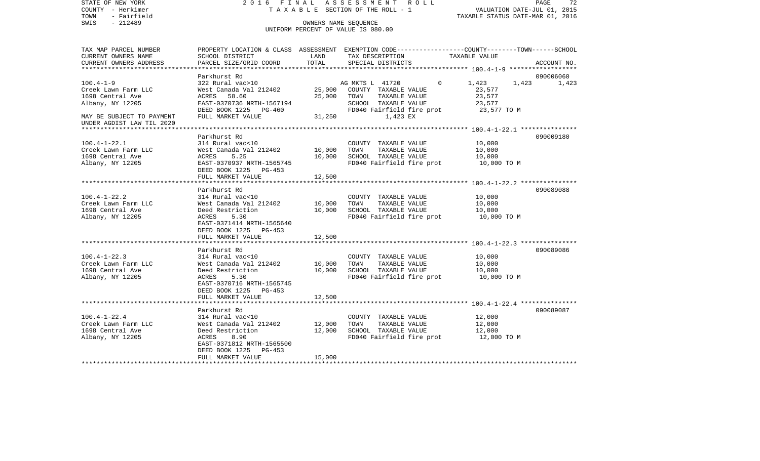COUNTY - Herkimer **T A X A B L E SECTION OF THE ROLL - 1** VALUATION DATE-JUL 01, 2015 TOWN - Fairfield TAXABLE STATUS DATE-MAR 01, 2016 SWIS - 212489 OWNERS NAME SEQUENCE UNIFORM PERCENT OF VALUE IS 080.00TAX MAP PARCEL NUMBER PROPERTY LOCATION & CLASS ASSESSMENT EXEMPTION CODE------------------COUNTY--------TOWN------SCHOOL CURRENT OWNERS NAME SCHOOL DISTRICT LAND TAX DESCRIPTION TAXABLE VALUECURRENT OWNERS ADDRESS PARCEL SIZE/GRID COORD TOTAL SPECIAL DISTRICTS ACCOUNT NO. \*\*\*\*\*\*\*\*\*\*\*\*\*\*\*\*\*\*\*\*\*\*\*\*\*\*\*\*\*\*\*\*\*\*\*\*\*\*\*\*\*\*\*\*\*\*\*\*\*\*\*\*\*\*\*\*\*\*\*\*\*\*\*\*\*\*\*\*\*\*\*\*\*\*\*\*\*\*\*\*\*\*\*\*\*\*\*\*\*\*\*\*\*\*\*\*\*\*\*\*\*\*\* 100.4-1-9 \*\*\*\*\*\*\*\*\*\*\*\*\*\*\*\*\*\*Parkhurst Rd 090006060 100.4-1-9 322 Rural vac>10 AG MKTS L 41720 0 1,423 1,423 1,423 1,423 Creek Lawn Farm LLC West Canada Val 212402 25,000 COUNTY TAXABLE VALUE 23,577 1698 Central Ave ACRES 58.60 25,000 TOWN TAXABLE VALUE 23,577 Albany, NY 12205 EAST-0370736 NRTH-1567194 SCHOOL TAXABLE VALUE 23,577 DEED BOOK 1225 PG-460 FDD40 Fairfield fire prot 23,577 TO M MAY BE SUBJECT TO PAYMENT FULL MARKET VALUE 31,250 31,250 1,423 EX UNDER AGDIST LAW TIL 2020 \*\*\*\*\*\*\*\*\*\*\*\*\*\*\*\*\*\*\*\*\*\*\*\*\*\*\*\*\*\*\*\*\*\*\*\*\*\*\*\*\*\*\*\*\*\*\*\*\*\*\*\*\*\*\*\*\*\*\*\*\*\*\*\*\*\*\*\*\*\*\*\*\*\*\*\*\*\*\*\*\*\*\*\*\*\*\*\*\*\*\*\*\*\*\*\*\*\*\*\*\*\*\* 100.4-1-22.1 \*\*\*\*\*\*\*\*\*\*\*\*\*\*\* Parkhurst Rd 090009180100.4-1-22.1 314 Rural vac<10 COUNTY TAXABLE VALUE 10,000 Creek Lawn Farm LLC West Canada Val 212402 10,000 TOWN TAXABLE VALUE 10,000 1698 Central Ave ACRES 5.25 10,000 SCHOOL TAXABLE VALUE 10,000 Albany, NY 12205 EAST-0370937 NRTH-1565745 FD040 Fairfield fire prot 10,000 TO M DEED BOOK 1225 PG-453 FULL MARKET VALUE 12,500 \*\*\*\*\*\*\*\*\*\*\*\*\*\*\*\*\*\*\*\*\*\*\*\*\*\*\*\*\*\*\*\*\*\*\*\*\*\*\*\*\*\*\*\*\*\*\*\*\*\*\*\*\*\*\*\*\*\*\*\*\*\*\*\*\*\*\*\*\*\*\*\*\*\*\*\*\*\*\*\*\*\*\*\*\*\*\*\*\*\*\*\*\*\*\*\*\*\*\*\*\*\*\* 100.4-1-22.2 \*\*\*\*\*\*\*\*\*\*\*\*\*\*\* Parkhurst Rd 090089088100.4-1-22.2 314 Rural vac<10 COUNTY TAXABLE VALUE 10,000 Creek Lawn Farm LLC West Canada Val 212402 10,000 TOWN TAXABLE VALUE 10,000 1698 Central Ave Deed Restriction 10,000 SCHOOL TAXABLE VALUE 10,000 Albany, NY 12205 ACRES 5.30 FD040 Fairfield fire prot 10,000 TO M EAST-0371414 NRTH-1565640 DEED BOOK 1225 PG-453FULL MARKET VALUE 12,500 \*\*\*\*\*\*\*\*\*\*\*\*\*\*\*\*\*\*\*\*\*\*\*\*\*\*\*\*\*\*\*\*\*\*\*\*\*\*\*\*\*\*\*\*\*\*\*\*\*\*\*\*\*\*\*\*\*\*\*\*\*\*\*\*\*\*\*\*\*\*\*\*\*\*\*\*\*\*\*\*\*\*\*\*\*\*\*\*\*\*\*\*\*\*\*\*\*\*\*\*\*\*\* 100.4-1-22.3 \*\*\*\*\*\*\*\*\*\*\*\*\*\*\* Parkhurst Rd 090089086100.4-1-22.3 314 Rural vac<10 COUNTY TAXABLE VALUE 10,000 Creek Lawn Farm LLC West Canada Val 212402 10,000 TOWN TAXABLE VALUE 10,000 1698 Central Ave Deed Restriction 10,000 SCHOOL TAXABLE VALUE 10,000 Albany, NY 12205 ACRES 5.30 FD040 Fairfield fire prot 10,000 TO M EAST-0370716 NRTH-1565745 DEED BOOK 1225 PG-453FULL MARKET VALUE 12,500 \*\*\*\*\*\*\*\*\*\*\*\*\*\*\*\*\*\*\*\*\*\*\*\*\*\*\*\*\*\*\*\*\*\*\*\*\*\*\*\*\*\*\*\*\*\*\*\*\*\*\*\*\*\*\*\*\*\*\*\*\*\*\*\*\*\*\*\*\*\*\*\*\*\*\*\*\*\*\*\*\*\*\*\*\*\*\*\*\*\*\*\*\*\*\*\*\*\*\*\*\*\*\* 100.4-1-22.4 \*\*\*\*\*\*\*\*\*\*\*\*\*\*\* Parkhurst Rd 090089087100.4-1-22.4 314 Rural vac<10 COUNTY TAXABLE VALUE 12,000 Creek Lawn Farm LLC West Canada Val 212402 12,000 TOWN TAXABLE VALUE 12,000 1698 Central Ave Deed Restriction 12,000 SCHOOL TAXABLE VALUE 12,000 Albany, NY 12205 ACRES 8.90 FD040 Fairfield fire prot 12,000 TO M EAST-0371812 NRTH-1565500 DEED BOOK 1225 PG-453 FULL MARKET VALUE 15,000 \*\*\*\*\*\*\*\*\*\*\*\*\*\*\*\*\*\*\*\*\*\*\*\*\*\*\*\*\*\*\*\*\*\*\*\*\*\*\*\*\*\*\*\*\*\*\*\*\*\*\*\*\*\*\*\*\*\*\*\*\*\*\*\*\*\*\*\*\*\*\*\*\*\*\*\*\*\*\*\*\*\*\*\*\*\*\*\*\*\*\*\*\*\*\*\*\*\*\*\*\*\*\*\*\*\*\*\*\*\*\*\*\*\*\*\*\*\*\*\*\*\*\*\*\*\*\*\*\*\*\*\*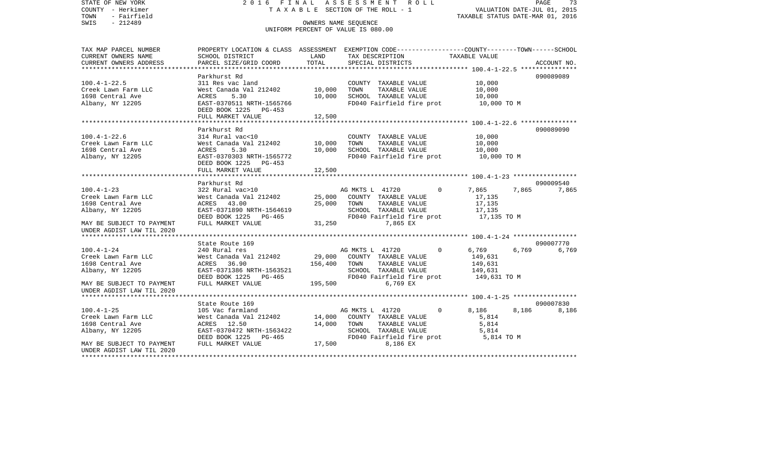COUNTY - Herkimer **T A X A B L E SECTION OF THE ROLL - 1** VALUATION DATE-JUL 01, 2015 TOWN - Fairfield TAXABLE STATUS DATE-MAR 01, 2016 SWIS - 212489 OWNERS NAME SEQUENCE UNIFORM PERCENT OF VALUE IS 080.00TAX MAP PARCEL NUMBER PROPERTY LOCATION & CLASS ASSESSMENT EXEMPTION CODE------------------COUNTY--------TOWN------SCHOOL CURRENT OWNERS NAME SCHOOL DISTRICT LAND TAX DESCRIPTION TAXABLE VALUECURRENT OWNERS ADDRESS PARCEL SIZE/GRID COORD TOTAL SPECIAL DISTRICTS ACCOUNT NO. \*\*\*\*\*\*\*\*\*\*\*\*\*\*\*\*\*\*\*\*\*\*\*\*\*\*\*\*\*\*\*\*\*\*\*\*\*\*\*\*\*\*\*\*\*\*\*\*\*\*\*\*\*\*\*\*\*\*\*\*\*\*\*\*\*\*\*\*\*\*\*\*\*\*\*\*\*\*\*\*\*\*\*\*\*\*\*\*\*\*\*\*\*\*\*\*\*\*\*\*\*\*\* 100.4-1-22.5 \*\*\*\*\*\*\*\*\*\*\*\*\*\*\*Parkhurst Rd 090089089 100.4-1-22.5 311 Res vac land COUNTY TAXABLE VALUE 10,000 Creek Lawn Farm LLC West Canada Val 212402 10,000 TOWN TAXABLE VALUE 10,000 1698 Central Ave ACRES 5.30 10,000 SCHOOL TAXABLE VALUE 10,000 Albany, NY 12205 EAST-0370511 NRTH-1565766 FD040 Fairfield fire prot 10,000 TO M DEED BOOK 1225 PG-453FULL MARKET VALUE 12,500 \*\*\*\*\*\*\*\*\*\*\*\*\*\*\*\*\*\*\*\*\*\*\*\*\*\*\*\*\*\*\*\*\*\*\*\*\*\*\*\*\*\*\*\*\*\*\*\*\*\*\*\*\*\*\*\*\*\*\*\*\*\*\*\*\*\*\*\*\*\*\*\*\*\*\*\*\*\*\*\*\*\*\*\*\*\*\*\*\*\*\*\*\*\*\*\*\*\*\*\*\*\*\* 100.4-1-22.6 \*\*\*\*\*\*\*\*\*\*\*\*\*\*\* Parkhurst Rd 090089090100.4-1-22.6 314 Rural vac<10 COUNTY TAXABLE VALUE 10,000 Creek Lawn Farm LLC West Canada Val 212402 10,000 TOWN TAXABLE VALUE 10,000 1698 Central Ave ACRES 5.30 10,000 SCHOOL TAXABLE VALUE 10,000 Albany, NY 12205 EAST-0370303 NRTH-1565772 FD040 Fairfield fire prot 10,000 TO M DEED BOOK 1225 PG-453FULL MARKET VALUE 12,500 \*\*\*\*\*\*\*\*\*\*\*\*\*\*\*\*\*\*\*\*\*\*\*\*\*\*\*\*\*\*\*\*\*\*\*\*\*\*\*\*\*\*\*\*\*\*\*\*\*\*\*\*\*\*\*\*\*\*\*\*\*\*\*\*\*\*\*\*\*\*\*\*\*\*\*\*\*\*\*\*\*\*\*\*\*\*\*\*\*\*\*\*\*\*\*\*\*\*\*\*\*\*\* 100.4-1-23 \*\*\*\*\*\*\*\*\*\*\*\*\*\*\*\*\* Parkhurst Rd 0900095407.865 100.4-1-23 322 Rural vac>10 AG MKTS L 41720 0 7,865 7,865 7,865 Creek Lawn Farm LLC West Canada Val 212402 25,000 COUNTY TAXABLE VALUE 17,135 1698 Central Ave ACRES 43.00 25,000 TOWN TAXABLE VALUE 17,135 Albany, NY 12205 EAST-0371890 NRTH-1564619 SCHOOL TAXABLE VALUE 17,135 DEED BOOK 1225 PG-465 FD040 Fairfield fire prot 17,135 TO M MAY BE SUBJECT TO PAYMENT FULL MARKET VALUE  $31,250$  7,865 EX UNDER AGDIST LAW TIL 2020 \*\*\*\*\*\*\*\*\*\*\*\*\*\*\*\*\*\*\*\*\*\*\*\*\*\*\*\*\*\*\*\*\*\*\*\*\*\*\*\*\*\*\*\*\*\*\*\*\*\*\*\*\*\*\*\*\*\*\*\*\*\*\*\*\*\*\*\*\*\*\*\*\*\*\*\*\*\*\*\*\*\*\*\*\*\*\*\*\*\*\*\*\*\*\*\*\*\*\*\*\*\*\* 100.4-1-24 \*\*\*\*\*\*\*\*\*\*\*\*\*\*\*\*\*State Route 169 090007770 100.4-1-24 240 Rural res AG MKTS L 41720 0 6.769 6.769 6.769 6.769 Creek Lawn Farm LLC West Canada Val 212402 29,000 COUNTY TAXABLE VALUE 149,631 1698 Central Ave ACRES 36.90 156,400 TOWN TAXABLE VALUE 149,631 Albany, NY 12205 EAST-0371386 NRTH-1563521 SCHOOL TAXABLE VALUE 149,631 DEED BOOK 1225 PG-465 FD040 Fairfield fire prot 149,631 TO M MAY BE SUBJECT TO PAYMENT FULL MARKET VALUE 195,500 6,769 EX UNDER AGDIST LAW TIL 2020 \*\*\*\*\*\*\*\*\*\*\*\*\*\*\*\*\*\*\*\*\*\*\*\*\*\*\*\*\*\*\*\*\*\*\*\*\*\*\*\*\*\*\*\*\*\*\*\*\*\*\*\*\*\*\*\*\*\*\*\*\*\*\*\*\*\*\*\*\*\*\*\*\*\*\*\*\*\*\*\*\*\*\*\*\*\*\*\*\*\*\*\*\*\*\*\*\*\*\*\*\*\*\* 100.4-1-25 \*\*\*\*\*\*\*\*\*\*\*\*\*\*\*\*\*State Route 169 090007830 100.4-1-25 105 Vac farmland AG MKTS L 41720 0 8,186 8,186 8,186 Creek Lawn Farm LLC West Canada Val 212402 14,000 COUNTY TAXABLE VALUE 5,814 1698 Central Ave ACRES 12.50 14,000 TOWN TAXABLE VALUE 5,814 Albany, NY 12205 EAST-0370472 NRTH-1563422 SCHOOL TAXABLE VALUE 5,814 DEED BOOK 1225 PG-465 FD040 Fairfield fire prot 5,814 TO M MAY BE SUBJECT TO PAYMENT FULL MARKET VALUE  $17,500$  8,186 EX UNDER AGDIST LAW TIL 2020\*\*\*\*\*\*\*\*\*\*\*\*\*\*\*\*\*\*\*\*\*\*\*\*\*\*\*\*\*\*\*\*\*\*\*\*\*\*\*\*\*\*\*\*\*\*\*\*\*\*\*\*\*\*\*\*\*\*\*\*\*\*\*\*\*\*\*\*\*\*\*\*\*\*\*\*\*\*\*\*\*\*\*\*\*\*\*\*\*\*\*\*\*\*\*\*\*\*\*\*\*\*\*\*\*\*\*\*\*\*\*\*\*\*\*\*\*\*\*\*\*\*\*\*\*\*\*\*\*\*\*\*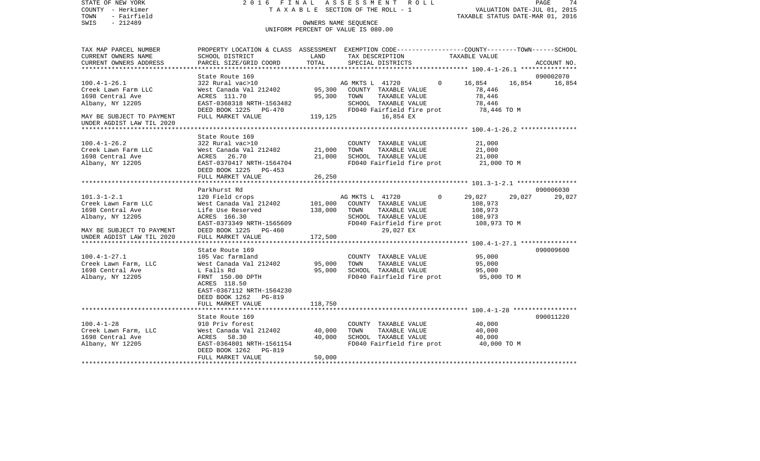COUNTY - Herkimer **T A X A B L E SECTION OF THE ROLL - 1** VALUATION DATE-JUL 01, 2015 TOWN - Fairfield TAXABLE STATUS DATE-MAR 01, 2016 SWIS - 212489 OWNERS NAME SEQUENCE UNIFORM PERCENT OF VALUE IS 080.00TAX MAP PARCEL NUMBER PROPERTY LOCATION & CLASS ASSESSMENT EXEMPTION CODE------------------COUNTY--------TOWN------SCHOOL CURRENT OWNERS NAME SCHOOL DISTRICT LAND TAX DESCRIPTION TAXABLE VALUECURRENT OWNERS ADDRESS PARCEL SIZE/GRID COORD TOTAL SPECIAL DISTRICTS ACCOUNT NO. \*\*\*\*\*\*\*\*\*\*\*\*\*\*\*\*\*\*\*\*\*\*\*\*\*\*\*\*\*\*\*\*\*\*\*\*\*\*\*\*\*\*\*\*\*\*\*\*\*\*\*\*\*\*\*\*\*\*\*\*\*\*\*\*\*\*\*\*\*\*\*\*\*\*\*\*\*\*\*\*\*\*\*\*\*\*\*\*\*\*\*\*\*\*\*\*\*\*\*\*\*\*\* 100.4-1-26.1 \*\*\*\*\*\*\*\*\*\*\*\*\*\*\* State Route 169 090002070100.4-1-26.1 322 Rural vac>10 AG MKTS L 41720 0 16,854 16,854 16,854 Creek Lawn Farm LLC West Canada Val 212402 95,300 COUNTY TAXABLE VALUE 78,446 1698 Central Ave ACRES 111.70 95,300 TOWN TAXABLE VALUE 78,446 Albany, NY 12205 EAST-0368318 NRTH-1563482 SCHOOL TAXABLE VALUE 78,446 DEED BOOK 1225 PG-470 FD040 Fairfield fire prot 78,446 TO M MAY BE SUBJECT TO PAYMENT FULL MARKET VALUE 119,125 16,854 EX UNDER AGDIST LAW TIL 2020 \*\*\*\*\*\*\*\*\*\*\*\*\*\*\*\*\*\*\*\*\*\*\*\*\*\*\*\*\*\*\*\*\*\*\*\*\*\*\*\*\*\*\*\*\*\*\*\*\*\*\*\*\*\*\*\*\*\*\*\*\*\*\*\*\*\*\*\*\*\*\*\*\*\*\*\*\*\*\*\*\*\*\*\*\*\*\*\*\*\*\*\*\*\*\*\*\*\*\*\*\*\*\* 100.4-1-26.2 \*\*\*\*\*\*\*\*\*\*\*\*\*\*\* State Route 169100.4-1-26.2 322 Rural vac>10 COUNTY TAXABLE VALUE 21,000 Creek Lawn Farm LLC West Canada Val 212402 21,000 TOWN TAXABLE VALUE 21,000 1698 Central Ave ACRES 26.70 21,000 SCHOOL TAXABLE VALUE 21,000 Albany, NY 12205 EAST-0370417 NRTH-1564704 FD040 Fairfield fire prot 21,000 TO M DEED BOOK 1225 PG-453 FULL MARKET VALUE 26, 250 \*\*\*\*\*\*\*\*\*\*\*\*\*\*\*\*\*\*\*\*\*\*\*\*\*\*\*\*\*\*\*\*\*\*\*\*\*\*\*\*\*\*\*\*\*\*\*\*\*\*\*\*\*\*\*\*\*\*\*\*\*\*\*\*\*\*\*\*\*\*\*\*\*\*\*\*\*\*\*\*\*\*\*\*\*\*\*\*\*\*\*\*\*\*\*\*\*\*\*\*\*\*\* 101.3-1-2.1 \*\*\*\*\*\*\*\*\*\*\*\*\*\*\*\* Parkhurst Rd 090006030101.3-1-2.1 120 Field crops AG MKTS L 41720 0 29,027 29,027 29,027 Creek Lawn Farm LLC West Canada Val 212402 101,000 COUNTY TAXABLE VALUE 108,973 1698 Central Ave Life Use Reserved 138,000 TOWN TAXABLE VALUE 108,973 Albany, NY 12205 ACRES 166.30 SCHOOL TAXABLE VALUE 108,973 EAST-0373349 NRTH-1565609 FD040 Fairfield fire prot 108,973 TO M MAY BE SUBJECT TO PAYMENT DEED BOOK 1225 PG-460 29,027 EX UNDER AGDIST LAW TIL 2020 FULL MARKET VALUE 172,500 \*\*\*\*\*\*\*\*\*\*\*\*\*\*\*\*\*\*\*\*\*\*\*\*\*\*\*\*\*\*\*\*\*\*\*\*\*\*\*\*\*\*\*\*\*\*\*\*\*\*\*\*\*\*\*\*\*\*\*\*\*\*\*\*\*\*\*\*\*\*\*\*\*\*\*\*\*\*\*\*\*\*\*\*\*\*\*\*\*\*\*\*\*\*\*\*\*\*\*\*\*\*\* 100.4-1-27.1 \*\*\*\*\*\*\*\*\*\*\*\*\*\*\* State Route 169 090009600100.4-1-27.1 105 Vac farmland COUNTY TAXABLE VALUE 95,000 Creek Lawn Farm, LLC West Canada Val 212402 95,000 TOWN TAXABLE VALUE 95,000 1698 Central Ave L Falls Rd 95,000 SCHOOL TAXABLE VALUE 95,000 Albany, NY 12205 FRNT 150.00 DPTH FD040 Fairfield fire prot 95,000 TO M ACRES 118.50 EAST-0367112 NRTH-1564230 DEED BOOK 1262 PG-819 FULL MARKET VALUE 118,750 \*\*\*\*\*\*\*\*\*\*\*\*\*\*\*\*\*\*\*\*\*\*\*\*\*\*\*\*\*\*\*\*\*\*\*\*\*\*\*\*\*\*\*\*\*\*\*\*\*\*\*\*\*\*\*\*\*\*\*\*\*\*\*\*\*\*\*\*\*\*\*\*\*\*\*\*\*\*\*\*\*\*\*\*\*\*\*\*\*\*\*\*\*\*\*\*\*\*\*\*\*\*\* 100.4-1-28 \*\*\*\*\*\*\*\*\*\*\*\*\*\*\*\*\*State Route 169 090011220 100.4-1-28 910 Priv forest COUNTY TAXABLE VALUE 40,000 Creek Lawn Farm, LLC West Canada Val 212402 40,000 TOWN TAXABLE VALUE 40,000 1698 Central Ave ACRES 58.30 40,000 SCHOOL TAXABLE VALUE 40,000 Albany, NY 12205 EAST-0364801 NRTH-1561154 FD040 Fairfield fire prot 40,000 TO M DEED BOOK 1262 PG-819FULL MARKET VALUE 50,000 \*\*\*\*\*\*\*\*\*\*\*\*\*\*\*\*\*\*\*\*\*\*\*\*\*\*\*\*\*\*\*\*\*\*\*\*\*\*\*\*\*\*\*\*\*\*\*\*\*\*\*\*\*\*\*\*\*\*\*\*\*\*\*\*\*\*\*\*\*\*\*\*\*\*\*\*\*\*\*\*\*\*\*\*\*\*\*\*\*\*\*\*\*\*\*\*\*\*\*\*\*\*\*\*\*\*\*\*\*\*\*\*\*\*\*\*\*\*\*\*\*\*\*\*\*\*\*\*\*\*\*\*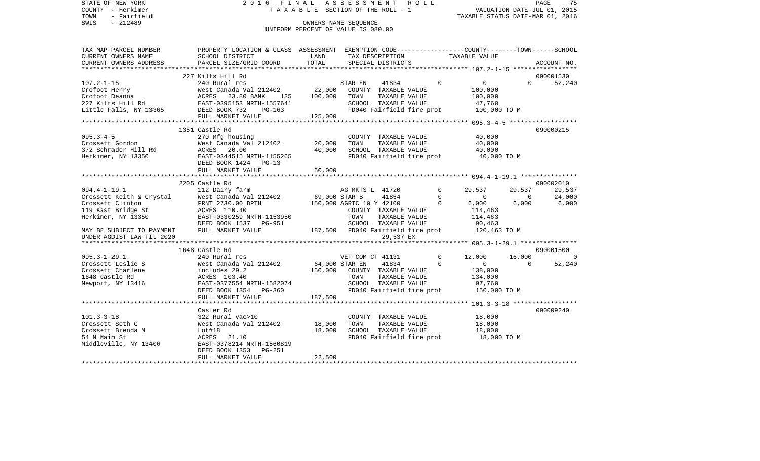STATE OF NEW YORK 2 0 1 6 F I N A L A S S E S S M E N T R O L L PAGE 75COUNTY - Herkimer **T A X A B L E** SECTION OF THE ROLL - 1 VALUATION DATE-JUL 01, 2015 TOWN - Fairfield TAXABLE STATUS DATE-MAR 01, 2016 SWIS - 212489 CONNERS NAME SEQUENCE UNIFORM PERCENT OF VALUE IS 080.00TAX MAP PARCEL NUMBER PROPERTY LOCATION & CLASS ASSESSMENT EXEMPTION CODE------------------COUNTY--------TOWN------SCHOOL CURRENT OWNERS NAME SCHOOL DISTRICT LAND TAX DESCRIPTION TAXABLE VALUECURRENT OWNERS ADDRESS PARCEL SIZE/GRID COORD TOTAL SPECIAL DISTRICTS ACCOUNT NO. \*\*\*\*\*\*\*\*\*\*\*\*\*\*\*\*\*\*\*\*\*\*\*\*\*\*\*\*\*\*\*\*\*\*\*\*\*\*\*\*\*\*\*\*\*\*\*\*\*\*\*\*\*\*\*\*\*\*\*\*\*\*\*\*\*\*\*\*\*\*\*\*\*\*\*\*\*\*\*\*\*\*\*\*\*\*\*\*\*\*\*\*\*\*\*\*\*\*\*\*\*\*\* 107.2-1-15 \*\*\*\*\*\*\*\*\*\*\*\*\*\*\*\*\* 227 Kilts Hill Rd 090001530107.2-1-15 240 Rural res STAR EN 41834 0 0 0 52,240 Crofoot Henry West Canada Val 212402 22,000 COUNTY TAXABLE VALUE 100,000 Crofoot Deanna ACRES 23.80 BANK 135 100,000 TOWN TAXABLE VALUE 100,000 227 Kilts Hill Rd EAST-0395153 NRTH-1557641 SCHOOL TAXABLE VALUE 47,760 Little Falls, NY 13365 DEED BOOK 732 PG-163 FD040 Fairfield fire prot 100,000 TO M FULL MARKET VALUE 125,000 \*\*\*\*\*\*\*\*\*\*\*\*\*\*\*\*\*\*\*\*\*\*\*\*\*\*\*\*\*\*\*\*\*\*\*\*\*\*\*\*\*\*\*\*\*\*\*\*\*\*\*\*\*\*\*\*\*\*\*\*\*\*\*\*\*\*\*\*\*\*\*\*\*\*\*\*\*\*\*\*\*\*\*\*\*\*\*\*\*\*\*\*\*\*\*\*\*\*\*\*\*\*\* 095.3-4-5 \*\*\*\*\*\*\*\*\*\*\*\*\*\*\*\*\*\* 1351 Castle Rd 090000215095.3-4-5 270 Mfg housing COUNTY TAXABLE VALUE 40,000 Crossett Gordon West Canada Val 212402 20,000 TOWN 372 Schrader Hill Rd ACRES 20.00 40,000 SCHOOL TAXABLE VALUE 40,000 Herkimer, NY 13350 EAST-0344515 NRTH-1155265 FD040 Fairfield fire prot 40,000 TO M DEED BOOK 1424 PG-13FULL MARKET VALUE 50,000 \*\*\*\*\*\*\*\*\*\*\*\*\*\*\*\*\*\*\*\*\*\*\*\*\*\*\*\*\*\*\*\*\*\*\*\*\*\*\*\*\*\*\*\*\*\*\*\*\*\*\*\*\*\*\*\*\*\*\*\*\*\*\*\*\*\*\*\*\*\*\*\*\*\*\*\*\*\*\*\*\*\*\*\*\*\*\*\*\*\*\*\*\*\*\*\*\*\*\*\*\*\*\* 094.4-1-19.1 \*\*\*\*\*\*\*\*\*\*\*\*\*\*\* 2205 Castle Rd 09000201029.537 094.4-1-19.1 112 Dairy farm AG MKTS L 41720 0 29,537 29,537 29,537 Crossett Keith & Crystal West Canada Val 212402 69,000 STAR B 41854 0 0 0 24,000 Crossett Clinton **FRNT 2730.00 DPTH** 150,000 AGRIC 10 Y 42100 0 6,000 6,000 6,000 6,000 119 Kast Bridge St ACRES 110.40 COUNTY TAXABLE VALUE 114,463 Herkimer, NY 13350 EAST-0330259 NRTH-1153950 TOWN TAXABLE VALUE 114,463 DEED BOOK 1537 PG-951 SCHOOL TAXABLE VALUE 90,463 MAY BE SUBJECT TO PAYMENT FULL MARKET VALUE 187,500 FD040 Fairfield fire prot 120,463 TO M UNDER AGDIST LAW TIL 20200 29,537 EX \*\*\*\*\*\*\*\*\*\*\*\*\*\*\*\*\*\*\*\*\*\*\*\*\*\*\*\*\*\*\*\*\*\*\*\*\*\*\*\*\*\*\*\*\*\*\*\*\*\*\*\*\*\*\*\*\*\*\*\*\*\*\*\*\*\*\*\*\*\*\*\*\*\*\*\*\*\*\*\*\*\*\*\*\*\*\*\*\*\*\*\*\*\*\*\*\*\*\*\*\*\*\* 095.3-1-29.1 \*\*\*\*\*\*\*\*\*\*\*\*\*\*\* 1648 Castle Rd 090001500095.3-1-29.1 240 Rural res VET COM CT 41131 0 12,000 16,000 0 Crossett Leslie S West Canada Val 212402 64,000 STAR EN 41834 0 0 0 52,240 Crossett Charlene includes 29.2 150,000 COUNTY TAXABLE VALUE 138,000 1648 Castle Rd ACRES 103.40 TOWN TAXABLE VALUE 134,000 Newport, NY 13416 **EAST-0377554 NRTH-1582074** SCHOOL TAXABLE VALUE 97,760 DEED BOOK 1354 PG-360 FDD40 Fairfield fire prot 150,000 TO M FULL MARKET VALUE 187,500 \*\*\*\*\*\*\*\*\*\*\*\*\*\*\*\*\*\*\*\*\*\*\*\*\*\*\*\*\*\*\*\*\*\*\*\*\*\*\*\*\*\*\*\*\*\*\*\*\*\*\*\*\*\*\*\*\*\*\*\*\*\*\*\*\*\*\*\*\*\*\*\*\*\*\*\*\*\*\*\*\*\*\*\*\*\*\*\*\*\*\*\*\*\*\*\*\*\*\*\*\*\*\* 101.3-3-18 \*\*\*\*\*\*\*\*\*\*\*\*\*\*\*\*\* Casler Rd 090009240101.3-3-18 322 Rural vac>10 COUNTY TAXABLE VALUE 18,000 Crossett Seth C West Canada Val 212402 18,000 TOWN TAXABLE VALUE 18,000 Crossett Brenda M Lot#18 18,000 SCHOOL TAXABLE VALUE 18,000 54 N Main St ACRES 21.10 FD040 Fairfield fire prot 18,000 TO M Middleville, NY 13406 EAST-0378214 NRTH-1560819 DEED BOOK 1353 PG-251 FULL MARKET VALUE 22,500 \*\*\*\*\*\*\*\*\*\*\*\*\*\*\*\*\*\*\*\*\*\*\*\*\*\*\*\*\*\*\*\*\*\*\*\*\*\*\*\*\*\*\*\*\*\*\*\*\*\*\*\*\*\*\*\*\*\*\*\*\*\*\*\*\*\*\*\*\*\*\*\*\*\*\*\*\*\*\*\*\*\*\*\*\*\*\*\*\*\*\*\*\*\*\*\*\*\*\*\*\*\*\*\*\*\*\*\*\*\*\*\*\*\*\*\*\*\*\*\*\*\*\*\*\*\*\*\*\*\*\*\*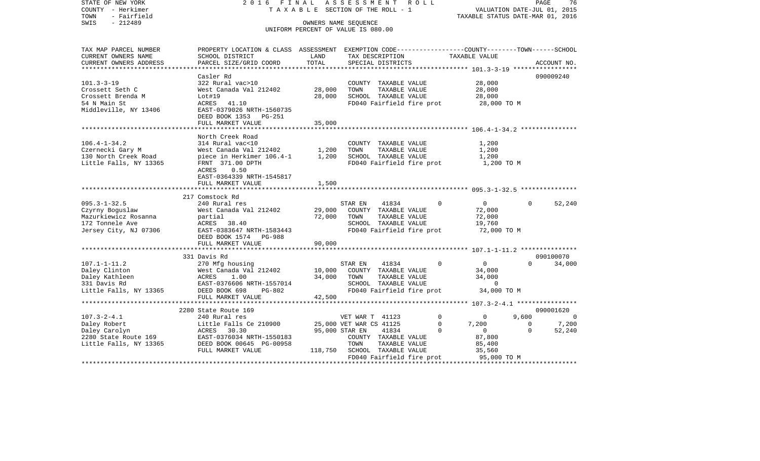| STATE OF NEW YORK<br>COUNTY - Herkimer<br>TOWN<br>- Fairfield<br>SWIS<br>$-212489$                        | 2016 FINAL                                                                                                                                                          | TAXABLE SECTION OF THE ROLL - 1<br>OWNERS NAME SEQUENCE<br>UNIFORM PERCENT OF VALUE IS 080.00 | ASSESSMENT                                             |                                                                        | R O L L                               | TAXABLE STATUS DATE-MAR 01, 2016                                    | VALUATION DATE-JUL 01, 2015               | PAGE<br>76          |
|-----------------------------------------------------------------------------------------------------------|---------------------------------------------------------------------------------------------------------------------------------------------------------------------|-----------------------------------------------------------------------------------------------|--------------------------------------------------------|------------------------------------------------------------------------|---------------------------------------|---------------------------------------------------------------------|-------------------------------------------|---------------------|
| TAX MAP PARCEL NUMBER<br>CURRENT OWNERS NAME<br>CURRENT OWNERS ADDRESS                                    | PROPERTY LOCATION & CLASS ASSESSMENT EXEMPTION CODE----------------COUNTY-------TOWN------SCHOOL<br>SCHOOL DISTRICT<br>PARCEL SIZE/GRID COORD                       | LAND<br>TOTAL                                                                                 |                                                        | TAX DESCRIPTION<br>SPECIAL DISTRICTS                                   |                                       | TAXABLE VALUE                                                       |                                           | ACCOUNT NO.         |
| **********************                                                                                    |                                                                                                                                                                     |                                                                                               |                                                        |                                                                        |                                       |                                                                     |                                           |                     |
| $101.3 - 3 - 19$<br>Crossett Seth C<br>Crossett Brenda M<br>54 N Main St<br>Middleville, NY 13406         | Casler Rd<br>322 Rural vac>10<br>West Canada Val 212402<br>Lot#19<br>ACRES 41.10<br>EAST-0379026 NRTH-1560735<br>DEED BOOK 1353 PG-251<br>FULL MARKET VALUE         | 28,000<br>28,000<br>35,000                                                                    | TOWN                                                   | COUNTY TAXABLE VALUE<br>TAXABLE VALUE<br>SCHOOL TAXABLE VALUE          |                                       | 28,000<br>28,000<br>28,000<br>FD040 Fairfield fire prot 28,000 TO M |                                           | 090009240           |
|                                                                                                           |                                                                                                                                                                     |                                                                                               |                                                        |                                                                        |                                       |                                                                     |                                           |                     |
| $106.4 - 1 - 34.2$<br>Czernecki Gary M<br>130 North Creek Road<br>Little Falls, NY 13365                  | North Creek Road<br>314 Rural vac<10<br>West Canada Val 212402<br>piece in Herkimer 106.4-1 1,200<br>FRNT 371.00 DPTH<br>0.50<br>ACRES<br>EAST-0364339 NRTH-1545817 | 1,200                                                                                         | TOWN                                                   | COUNTY TAXABLE VALUE<br>TAXABLE VALUE<br>SCHOOL TAXABLE VALUE          | FD040 Fairfield fire prot             | 1,200<br>1,200<br>1,200                                             | 1,200 TO M                                |                     |
|                                                                                                           | FULL MARKET VALUE                                                                                                                                                   | 1,500                                                                                         |                                                        |                                                                        |                                       |                                                                     |                                           |                     |
|                                                                                                           |                                                                                                                                                                     |                                                                                               |                                                        |                                                                        |                                       |                                                                     |                                           |                     |
| $095.3 - 1 - 32.5$<br>Czyrny Boguslaw<br>Mazurkiewicz Rosanna<br>172 Tonnele Ave<br>Jersey City, NJ 07306 | 217 Comstock Rd<br>240 Rural res<br>West Canada Val 212402<br>partial<br>ACRES 38.40<br>EAST-0383647 NRTH-1583443<br>DEED BOOK 1574 PG-988<br>FULL MARKET VALUE     | 29,000<br>72,000<br>90,000                                                                    | STAR EN<br>TOWN                                        | 41834<br>COUNTY TAXABLE VALUE<br>TAXABLE VALUE<br>SCHOOL TAXABLE VALUE | $\Omega$<br>FD040 Fairfield fire prot | $\overline{0}$<br>72,000<br>72,000<br>19,760                        | $\Omega$<br>72,000 TO M                   | 52,240              |
|                                                                                                           |                                                                                                                                                                     |                                                                                               |                                                        |                                                                        |                                       |                                                                     |                                           |                     |
| $107.1 - 1 - 11.2$<br>Daley Clinton<br>Daley Kathleen<br>331 Davis Rd<br>Little Falls, NY 13365           | 331 Davis Rd<br>270 Mfg housing<br>West Canada Val 212402<br>ACRES<br>1.00<br>EAST-0376606 NRTH-1557014<br>DEED BOOK 698<br>$PG-802$                                | 10,000<br>34,000                                                                              | STAR EN<br>TOWN                                        | 41834<br>COUNTY TAXABLE VALUE<br>TAXABLE VALUE<br>SCHOOL TAXABLE VALUE | $\Omega$<br>FD040 Fairfield fire prot | $\overline{0}$<br>34,000<br>34,000                                  | $\Omega$<br>$\overline{0}$<br>34,000 TO M | 090100070<br>34,000 |
|                                                                                                           | FULL MARKET VALUE                                                                                                                                                   | 42,500                                                                                        |                                                        |                                                                        |                                       |                                                                     |                                           |                     |
|                                                                                                           |                                                                                                                                                                     |                                                                                               |                                                        |                                                                        |                                       |                                                                     |                                           |                     |
|                                                                                                           | 2280 State Route 169                                                                                                                                                |                                                                                               |                                                        |                                                                        |                                       |                                                                     |                                           | 090001620           |
| $107.3 - 2 - 4.1$<br>Daley Robert                                                                         | 240 Rural res<br>Little Falls Ce 210900                                                                                                                             |                                                                                               | VET WAR T 41123<br>25,000 VET WAR CS 41125             |                                                                        | $\circ$<br>$\circ$                    | $\overline{0}$<br>7,200                                             | 9,600<br>$\overline{0}$                   | $\Omega$<br>7,200   |
| Daley Carolyn<br>2280 State Route 169<br>Little Falls, NY 13365 DEED BOOK 00645 PG-00958                  | ACRES 30.30<br>FULL MARKET VALUE                                                                                                                                    |                                                                                               | 95,000 STAR EN<br>TOWN<br>118,750 SCHOOL TAXABLE VALUE | 41834<br>COUNTY TAXABLE VALUE<br>TAXABLE VALUE                         | $\Omega$<br>FD040 Fairfield fire prot | $\overline{0}$<br>87,800<br>85,400<br>35,560<br>95,000 TO M         | $\Omega$                                  | 52,240              |
|                                                                                                           |                                                                                                                                                                     |                                                                                               |                                                        |                                                                        |                                       |                                                                     |                                           |                     |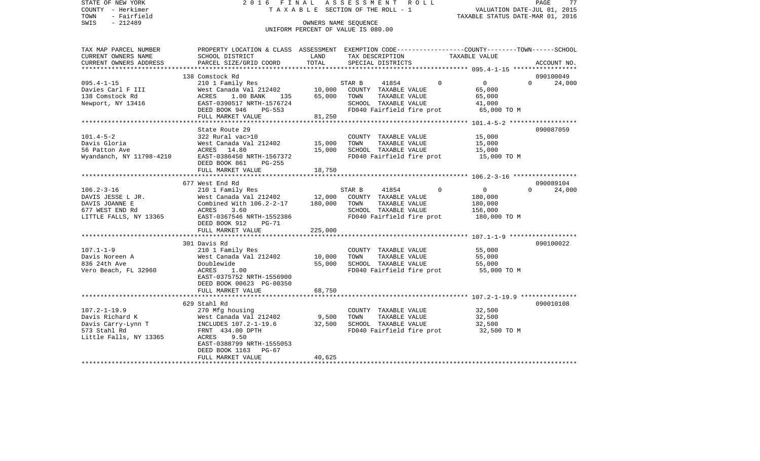STATE OF NEW YORK 2 0 1 6 F I N A L A S S E S S M E N T R O L L PAGE 77COUNTY - Herkimer **T A X A B L E** SECTION OF THE ROLL - 1 VALUATION DATE-JUL 01, 2015 TOWN - Fairfield TAXABLE STATUS DATE-MAR 01, 2016 SWIS - 212489 CONNERS NAME SEQUENCE UNIFORM PERCENT OF VALUE IS 080.00TAX MAP PARCEL NUMBER PROPERTY LOCATION & CLASS ASSESSMENT EXEMPTION CODE------------------COUNTY--------TOWN------SCHOOL CURRENT OWNERS NAME SCHOOL DISTRICT LAND TAX DESCRIPTION TAXABLE VALUECURRENT OWNERS ADDRESS PARCEL SIZE/GRID COORD TOTAL SPECIAL DISTRICTS ACCOUNT NO. \*\*\*\*\*\*\*\*\*\*\*\*\*\*\*\*\*\*\*\*\*\*\*\*\*\*\*\*\*\*\*\*\*\*\*\*\*\*\*\*\*\*\*\*\*\*\*\*\*\*\*\*\*\*\*\*\*\*\*\*\*\*\*\*\*\*\*\*\*\*\*\*\*\*\*\*\*\*\*\*\*\*\*\*\*\*\*\*\*\*\*\*\*\*\*\*\*\*\*\*\*\*\* 095.4-1-15 \*\*\*\*\*\*\*\*\*\*\*\*\*\*\*\*\* 138 Comstock Rd 090100049095.4-1-15 210 1 Family Res STAR B 41854 0 0 0 24,000 Davies Carl F III West Canada Val 212402 10,000 COUNTY TAXABLE VALUE 65,000 138 Comstock Rd ACRES 1.00 BANK 135 65,000 TOWN TAXABLE VALUE 65,000 Newport, NY 13416 6 EAST-0390517 NRTH-1576724 SCHOOL TAXABLE VALUE 41,000 DEED BOOK 946 PG-553 FD040 Fairfield fire prot 65,000 TO M FULL MARKET VALUE 81,250 \*\*\*\*\*\*\*\*\*\*\*\*\*\*\*\*\*\*\*\*\*\*\*\*\*\*\*\*\*\*\*\*\*\*\*\*\*\*\*\*\*\*\*\*\*\*\*\*\*\*\*\*\*\*\*\*\*\*\*\*\*\*\*\*\*\*\*\*\*\*\*\*\*\*\*\*\*\*\*\*\*\*\*\*\*\*\*\*\*\*\*\*\*\*\*\*\*\*\*\*\*\*\* 101.4-5-2 \*\*\*\*\*\*\*\*\*\*\*\*\*\*\*\*\*\*State Route 29 090087059 101.4-5-2 322 Rural vac>10 COUNTY TAXABLE VALUE 15,000 Davis Gloria West Canada Val 212402 15,000 TOWN TAXABLE VALUE 15,000 56 Patton Ave ACRES 14.80 15,000 SCHOOL TAXABLE VALUE 15,000 Wyandanch, NY 11798-4210 EAST-0386450 NRTH-1567372 FD040 Fairfield fire prot 15,000 TO M DEED BOOK 861 PG-255FULL MARKET VALUE 18,750 \*\*\*\*\*\*\*\*\*\*\*\*\*\*\*\*\*\*\*\*\*\*\*\*\*\*\*\*\*\*\*\*\*\*\*\*\*\*\*\*\*\*\*\*\*\*\*\*\*\*\*\*\*\*\*\*\*\*\*\*\*\*\*\*\*\*\*\*\*\*\*\*\*\*\*\*\*\*\*\*\*\*\*\*\*\*\*\*\*\*\*\*\*\*\*\*\*\*\*\*\*\*\* 106.2-3-16 \*\*\*\*\*\*\*\*\*\*\*\*\*\*\*\*\* 677 West End Rd 09008910424,000 106.2-3-16 210 1 Family Res STAR B 41854 0 0 0 0 DAVIS JESSE L JR. West Canada Val 212402 12,000 COUNTY TAXABLE VALUE 180,000 DAVIS JOANNE E Combined With 106.2-2-17 180,000 TOWN TAXABLE VALUE 180,000 677 WEST END Rd ACRES 3.60 SCHOOL TAXABLE VALUE 156,000 LITTLE FALLS, NY 13365 EAST-0367546 NRTH-1552386 FD040 Fairfield fire prot 180,000 TO M DEED BOOK 912 PG-71 FULL MARKET VALUE 225,000 \*\*\*\*\*\*\*\*\*\*\*\*\*\*\*\*\*\*\*\*\*\*\*\*\*\*\*\*\*\*\*\*\*\*\*\*\*\*\*\*\*\*\*\*\*\*\*\*\*\*\*\*\*\*\*\*\*\*\*\*\*\*\*\*\*\*\*\*\*\*\*\*\*\*\*\*\*\*\*\*\*\*\*\*\*\*\*\*\*\*\*\*\*\*\*\*\*\*\*\*\*\*\* 107.1-1-9 \*\*\*\*\*\*\*\*\*\*\*\*\*\*\*\*\*\* 301 Davis Rd 090100022107.1-1-9 210 1 Family Res COUNTY TAXABLE VALUE 55,000 Davis Noreen A West Canada Val 212402 10,000 TOWN TAXABLE VALUE 55,000 836 24th Ave Doublewide 55,000 SCHOOL TAXABLE VALUE 55,000 Vero Beach, FL 32960  $ACRES$  1.00  $BDD40$  Fairfield fire prot 55,000 TO M EAST-0375752 NRTH-1556900 DEED BOOK 00623 PG-00350FULL MARKET VALUE 68,750 \*\*\*\*\*\*\*\*\*\*\*\*\*\*\*\*\*\*\*\*\*\*\*\*\*\*\*\*\*\*\*\*\*\*\*\*\*\*\*\*\*\*\*\*\*\*\*\*\*\*\*\*\*\*\*\*\*\*\*\*\*\*\*\*\*\*\*\*\*\*\*\*\*\*\*\*\*\*\*\*\*\*\*\*\*\*\*\*\*\*\*\*\*\*\*\*\*\*\*\*\*\*\* 107.2-1-19.9 \*\*\*\*\*\*\*\*\*\*\*\*\*\*\* 629 Stahl Rd 090010108107.2-1-19.9 270 Mfg housing COUNTY TAXABLE VALUE 32,500 West Canada Val 212402 Davis Carry-Lynn T INCLUDES 107.2-1-19.6 32,500 SCHOOL TAXABLE VALUE 32,500 573 Stahl Rd FRNT 434.00 DPTH FD040 Fairfield fire prot 32,500 TO M Little Falls, NY 13365 ACRES 9.50 EAST-0388799 NRTH-1555053 DEED BOOK 1163 PG-67FULL MARKET VALUE 40.625 \*\*\*\*\*\*\*\*\*\*\*\*\*\*\*\*\*\*\*\*\*\*\*\*\*\*\*\*\*\*\*\*\*\*\*\*\*\*\*\*\*\*\*\*\*\*\*\*\*\*\*\*\*\*\*\*\*\*\*\*\*\*\*\*\*\*\*\*\*\*\*\*\*\*\*\*\*\*\*\*\*\*\*\*\*\*\*\*\*\*\*\*\*\*\*\*\*\*\*\*\*\*\*\*\*\*\*\*\*\*\*\*\*\*\*\*\*\*\*\*\*\*\*\*\*\*\*\*\*\*\*\*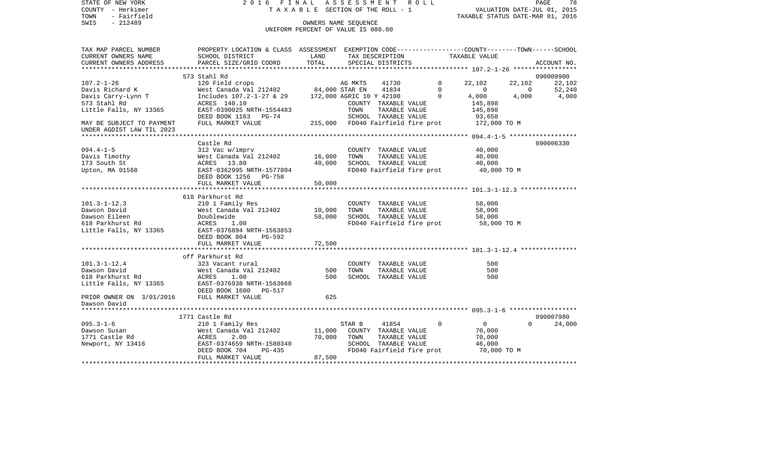| STATE OF NEW YORK<br>COUNTY - Herkimer<br>TOWN<br>- Fairfield<br>$-212489$<br>SWIS | 2016 FINAL                                                                                                         | TAXABLE SECTION OF THE ROLL - 1<br>OWNERS NAME SEQUENCE<br>UNIFORM PERCENT OF VALUE IS 080.00 |         | A S S E S S M E N T R O L L           |             | TAXABLE STATUS DATE-MAR 01, 2016 |          | 78<br>PAGE<br>VALUATION DATE-JUL 01, 2015 |
|------------------------------------------------------------------------------------|--------------------------------------------------------------------------------------------------------------------|-----------------------------------------------------------------------------------------------|---------|---------------------------------------|-------------|----------------------------------|----------|-------------------------------------------|
|                                                                                    |                                                                                                                    |                                                                                               |         |                                       |             |                                  |          |                                           |
| TAX MAP PARCEL NUMBER<br>CURRENT OWNERS NAME                                       | PROPERTY LOCATION & CLASS ASSESSMENT EXEMPTION CODE---------------COUNTY-------TOWN------SCHOOL<br>SCHOOL DISTRICT | LAND                                                                                          |         | TAX DESCRIPTION                       |             | TAXABLE VALUE                    |          |                                           |
| CURRENT OWNERS ADDRESS                                                             | PARCEL SIZE/GRID COORD                                                                                             | TOTAL                                                                                         |         | SPECIAL DISTRICTS                     |             |                                  |          | ACCOUNT NO.                               |
|                                                                                    | 573 Stahl Rd                                                                                                       |                                                                                               |         |                                       |             |                                  |          | 090009900                                 |
| $107.2 - 1 - 26$                                                                   | 120 Field crops                                                                                                    |                                                                                               | AG MKTS | 41730                                 | $\mathbf 0$ | 22,102                           | 22,102   | 22,102                                    |
| Davis Richard K                                                                    | Nest Canada Val 212402 84,000 STAR EN<br>West Canada Val 212402 84,000 STAR EN                                     |                                                                                               |         | 41834                                 | $\mathbf 0$ | $\mathbf{0}$                     | $\sim$ 0 | 52,240                                    |
| Davis Carry-Lynn T                                                                 | Includes 107.2-1-27 & 29                                                                                           | 172,000 AGRIC 10 Y 42100                                                                      |         |                                       | $\Omega$    | 4,000                            | 4,000    | 4,000                                     |
| 573 Stahl Rd                                                                       | ACRES 140.10                                                                                                       |                                                                                               |         | COUNTY TAXABLE VALUE                  |             | 145,898                          |          |                                           |
| Little Falls, NY 13365                                                             | EAST-0390025 NRTH-1554483                                                                                          |                                                                                               | TOWN    | TAXABLE VALUE                         |             | 145,898                          |          |                                           |
|                                                                                    | DEED BOOK 1163 PG-74                                                                                               |                                                                                               |         | SCHOOL TAXABLE VALUE                  |             | 93,658                           |          |                                           |
| MAY BE SUBJECT TO PAYMENT                                                          | FULL MARKET VALUE                                                                                                  |                                                                                               |         | 215,000 FD040 Fairfield fire prot     |             | 172,000 TO M                     |          |                                           |
| UNDER AGDIST LAW TIL 2023                                                          |                                                                                                                    |                                                                                               |         |                                       |             |                                  |          |                                           |
|                                                                                    |                                                                                                                    |                                                                                               |         |                                       |             |                                  |          |                                           |
|                                                                                    | Castle Rd                                                                                                          |                                                                                               |         |                                       |             |                                  |          | 090006330                                 |
| $094.4 - 1 - 5$<br>Davis Timothy                                                   | 312 Vac w/imprv<br>West Canada Val 212402                                                                          | 16,000                                                                                        | TOWN    | COUNTY TAXABLE VALUE<br>TAXABLE VALUE |             | 40,000<br>40,000                 |          |                                           |
| 173 South St                                                                       | ACRES 13.80                                                                                                        | 40,000                                                                                        |         | SCHOOL TAXABLE VALUE                  |             | 40,000                           |          |                                           |
| Upton, MA 01568                                                                    | EAST-0362995 NRTH-1577804                                                                                          |                                                                                               |         | FD040 Fairfield fire prot             |             | 40,000 TO M                      |          |                                           |
|                                                                                    | DEED BOOK 1256<br>PG-758                                                                                           |                                                                                               |         |                                       |             |                                  |          |                                           |
|                                                                                    | FULL MARKET VALUE                                                                                                  | 50,000                                                                                        |         |                                       |             |                                  |          |                                           |
|                                                                                    |                                                                                                                    |                                                                                               |         |                                       |             |                                  |          |                                           |
|                                                                                    | 618 Parkhurst Rd                                                                                                   |                                                                                               |         |                                       |             |                                  |          |                                           |
| $101.3 - 1 - 12.3$                                                                 | 210 1 Family Res                                                                                                   |                                                                                               |         | COUNTY TAXABLE VALUE                  |             | 58,000                           |          |                                           |
| Dawson David                                                                       | West Canada Val 212402                                                                                             | 10,000                                                                                        | TOWN    | TAXABLE VALUE                         |             | 58,000                           |          |                                           |
| Dawson Eileen                                                                      | Doublewide                                                                                                         | 58,000                                                                                        |         | SCHOOL TAXABLE VALUE                  |             | 58,000                           |          |                                           |
| 618 Parkhurst Rd                                                                   | ACRES<br>1.00                                                                                                      |                                                                                               |         | FD040 Fairfield fire prot             |             | 58,000 TO M                      |          |                                           |
| Little Falls, NY 13365                                                             | EAST-0376894 NRTH-1563853<br>DEED BOOK 804<br>PG-592                                                               |                                                                                               |         |                                       |             |                                  |          |                                           |
|                                                                                    | FULL MARKET VALUE                                                                                                  | 72,500                                                                                        |         |                                       |             |                                  |          |                                           |
|                                                                                    | ****************************                                                                                       | ************                                                                                  |         |                                       |             |                                  |          |                                           |
|                                                                                    | off Parkhurst Rd                                                                                                   |                                                                                               |         |                                       |             |                                  |          |                                           |
| $101.3 - 1 - 12.4$                                                                 | 323 Vacant rural                                                                                                   |                                                                                               |         | COUNTY TAXABLE VALUE                  |             | 500                              |          |                                           |
| Dawson David                                                                       | West Canada Val 212402                                                                                             | 500                                                                                           | TOWN    | TAXABLE VALUE                         |             | 500                              |          |                                           |
| 618 Parkhurst Rd                                                                   | ACRES<br>1.00                                                                                                      | 500                                                                                           |         | SCHOOL TAXABLE VALUE                  |             | 500                              |          |                                           |
| Little Falls, NY 13365                                                             | EAST-0376938 NRTH-1563668                                                                                          |                                                                                               |         |                                       |             |                                  |          |                                           |
|                                                                                    | DEED BOOK 1600<br>PG-517                                                                                           |                                                                                               |         |                                       |             |                                  |          |                                           |
| PRIOR OWNER ON 3/01/2016                                                           | FULL MARKET VALUE                                                                                                  | 625                                                                                           |         |                                       |             |                                  |          |                                           |
| Dawson David                                                                       |                                                                                                                    |                                                                                               |         |                                       |             |                                  |          |                                           |
|                                                                                    | 1771 Castle Rd                                                                                                     |                                                                                               |         |                                       |             |                                  |          | 090007980                                 |
| $095.3 - 1 - 6$                                                                    | 210 1 Family Res                                                                                                   |                                                                                               | STAR B  | 41854                                 | $\mathbf 0$ | $\overline{0}$                   | $\Omega$ | 24,000                                    |
| Dawson Susan                                                                       | West Canada Val 212402                                                                                             | 11,000                                                                                        |         | COUNTY TAXABLE VALUE                  |             | 70,000                           |          |                                           |
| 1771 Castle Rd                                                                     | ACRES<br>2.00                                                                                                      | 70,000                                                                                        | TOWN    | TAXABLE VALUE                         |             | 70,000                           |          |                                           |
| Newport, NY 13416                                                                  | EAST-0374659 NRTH-1580340                                                                                          |                                                                                               |         | SCHOOL TAXABLE VALUE                  |             | 46,000                           |          |                                           |
|                                                                                    | DEED BOOK 704<br>PG-435                                                                                            |                                                                                               |         | FD040 Fairfield fire prot             |             | 70,000 TO M                      |          |                                           |
|                                                                                    | FULL MARKET VALUE                                                                                                  | 87,500                                                                                        |         |                                       |             |                                  |          |                                           |
|                                                                                    |                                                                                                                    |                                                                                               |         |                                       |             |                                  |          |                                           |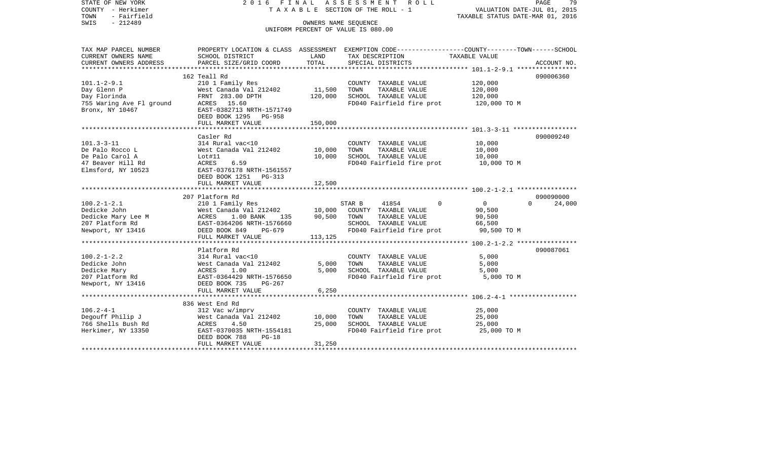| STATE OF NEW YORK<br>COUNTY - Herkimer<br>- Fairfield<br>TOWN<br>SWIS<br>$-212489$ | 2016 FINAL                                                                                                                                                                           | OWNERS NAME SEOUENCE | ASSESSMENT ROLL<br>T A X A B L E SECTION OF THE ROLL - 1<br>UNIFORM PERCENT OF VALUE IS 080.00 | PAGE<br>79<br>VALUATION DATE-JUL 01, 2015<br>TAXABLE STATUS DATE-MAR 01, 2016                                     |
|------------------------------------------------------------------------------------|--------------------------------------------------------------------------------------------------------------------------------------------------------------------------------------|----------------------|------------------------------------------------------------------------------------------------|-------------------------------------------------------------------------------------------------------------------|
| TAX MAP PARCEL NUMBER<br>CURRENT OWNERS NAME                                       | SCHOOL DISTRICT                                                                                                                                                                      | LAND                 | TAX DESCRIPTION                                                                                | PROPERTY LOCATION & CLASS ASSESSMENT EXEMPTION CODE----------------COUNTY-------TOWN------SCHOOL<br>TAXABLE VALUE |
| CURRENT OWNERS ADDRESS                                                             | PARCEL SIZE/GRID COORD                                                                                                                                                               | TOTAL                | SPECIAL DISTRICTS                                                                              | ACCOUNT NO.                                                                                                       |
|                                                                                    |                                                                                                                                                                                      |                      |                                                                                                |                                                                                                                   |
|                                                                                    | 162 Teall Rd                                                                                                                                                                         |                      |                                                                                                | 090006360                                                                                                         |
| $101.1 - 2 - 9.1$<br>Day Glenn P                                                   | 210 1 Family Res<br>West Canada Val 212402                                                                                                                                           | 11,500               | COUNTY TAXABLE VALUE<br>TAXABLE VALUE<br>TOWN                                                  | 120,000<br>120,000                                                                                                |
|                                                                                    | FRNT 283.00 DPTH                                                                                                                                                                     | 120,000              | SCHOOL TAXABLE VALUE                                                                           | 120,000                                                                                                           |
|                                                                                    |                                                                                                                                                                                      |                      | FD040 Fairfield fire prot                                                                      | 120,000 TO M                                                                                                      |
| Bronx, NY 10467                                                                    | EAST-0382713 NRTH-1571749                                                                                                                                                            |                      |                                                                                                |                                                                                                                   |
|                                                                                    | DEED BOOK 1295 PG-958                                                                                                                                                                |                      |                                                                                                |                                                                                                                   |
|                                                                                    | FULL MARKET VALUE                                                                                                                                                                    | 150,000              |                                                                                                |                                                                                                                   |
|                                                                                    |                                                                                                                                                                                      |                      |                                                                                                |                                                                                                                   |
|                                                                                    | Casler Rd                                                                                                                                                                            |                      |                                                                                                | 090009240                                                                                                         |
| $101.3 - 3 - 11$                                                                   | 314 Rural vac<10                                                                                                                                                                     |                      | COUNTY TAXABLE VALUE<br>TOWN                                                                   | 10,000                                                                                                            |
| De Palo Rocco L<br>De Palo Carol A                                                 | West Canada Val 212402<br>Lot#11                                                                                                                                                     | 10,000<br>10,000     | TAXABLE VALUE<br>SCHOOL TAXABLE VALUE                                                          | 10,000<br>10,000                                                                                                  |
| 47 Beaver Hill Rd                                                                  | 6.59<br>ACRES                                                                                                                                                                        |                      | FD040 Fairfield fire prot                                                                      | 10,000 TO M                                                                                                       |
| Elmsford, NY 10523                                                                 | EAST-0376178 NRTH-1561557                                                                                                                                                            |                      |                                                                                                |                                                                                                                   |
|                                                                                    | DEED BOOK 1251 PG-313                                                                                                                                                                |                      |                                                                                                |                                                                                                                   |
|                                                                                    | FULL MARKET VALUE                                                                                                                                                                    | 12,500               |                                                                                                |                                                                                                                   |
|                                                                                    |                                                                                                                                                                                      |                      |                                                                                                |                                                                                                                   |
|                                                                                    | 207 Platform Rd                                                                                                                                                                      |                      |                                                                                                | 090090000                                                                                                         |
| $100.2 - 1 - 2.1$                                                                  | 210 1 Family Res<br>West Canada Val 212402 10,000                                                                                                                                    |                      | STAR B<br>41854                                                                                | $\Omega$<br>$\overline{0}$<br>$\Omega$<br>24,000                                                                  |
| Dedicke John                                                                       |                                                                                                                                                                                      |                      | COUNTY TAXABLE VALUE                                                                           | 90,500                                                                                                            |
| Dedicke Mary Lee M<br>207 Platform Rd                                              |                                                                                                                                                                                      |                      | TAXABLE VALUE<br>SCHOOL TAXABLE VALUE                                                          | 90,500<br>66,500                                                                                                  |
| Newport, NY 13416                                                                  | West Canada Val 212402 10,000 COUNTY<br>Mest Canada Val 212402 10,000 COUNTY<br>ACRES 1.00 BANK 135 90,500 TOWN<br>EAST-0364206 NRTH-1576660 SCHOOL<br>DEED BOOK 849 PG-679 FD040 Fa |                      | FD040 Fairfield fire prot                                                                      | 90,500 TO M                                                                                                       |
|                                                                                    | FULL MARKET VALUE                                                                                                                                                                    | 113,125              |                                                                                                |                                                                                                                   |
|                                                                                    |                                                                                                                                                                                      |                      |                                                                                                |                                                                                                                   |
|                                                                                    | Platform Rd                                                                                                                                                                          |                      |                                                                                                | 090087061                                                                                                         |
| $100.2 - 1 - 2.2$                                                                  | 314 Rural vac<10                                                                                                                                                                     |                      | COUNTY TAXABLE VALUE                                                                           | 5,000                                                                                                             |
| Dedicke John                                                                       |                                                                                                                                                                                      | 5,000                | TOWN<br>TAXABLE VALUE                                                                          | 5,000                                                                                                             |
| Dedicke Mary                                                                       | West Canada Val 212402<br>ACRES     1.00<br>EAST-0364429 NRTH-1576650                                                                                                                | 5,000                | SCHOOL TAXABLE VALUE                                                                           | 5,000                                                                                                             |
| 207 Platform Rd                                                                    |                                                                                                                                                                                      |                      | FD040 Fairfield fire prot                                                                      | 5,000 TO M                                                                                                        |
| Newport, NY 13416 DEED BOOK 735                                                    | PG-267                                                                                                                                                                               |                      |                                                                                                |                                                                                                                   |
|                                                                                    | FULL MARKET VALUE                                                                                                                                                                    | 6,250                |                                                                                                |                                                                                                                   |
|                                                                                    | 836 West End Rd                                                                                                                                                                      |                      |                                                                                                |                                                                                                                   |
| $106.2 - 4 - 1$                                                                    | 312 Vac w/imprv                                                                                                                                                                      |                      | COUNTY TAXABLE VALUE                                                                           | 25,000                                                                                                            |
| Degouff Philip J                                                                   | West Canada Val 212402                                                                                                                                                               | 10,000               | TAXABLE VALUE<br>TOWN                                                                          | 25,000                                                                                                            |
| 766 Shells Bush Rd                                                                 | 4.50<br>ACRES                                                                                                                                                                        | 25,000               | SCHOOL TAXABLE VALUE                                                                           | 25,000                                                                                                            |
| Herkimer, NY 13350                                                                 | EAST-0370035 NRTH-1554181                                                                                                                                                            |                      | FD040 Fairfield fire prot 25,000 TO M                                                          |                                                                                                                   |
|                                                                                    | DEED BOOK 788<br>$PG-18$                                                                                                                                                             |                      |                                                                                                |                                                                                                                   |
|                                                                                    | FULL MARKET VALUE                                                                                                                                                                    | 31,250               |                                                                                                |                                                                                                                   |
|                                                                                    |                                                                                                                                                                                      |                      |                                                                                                |                                                                                                                   |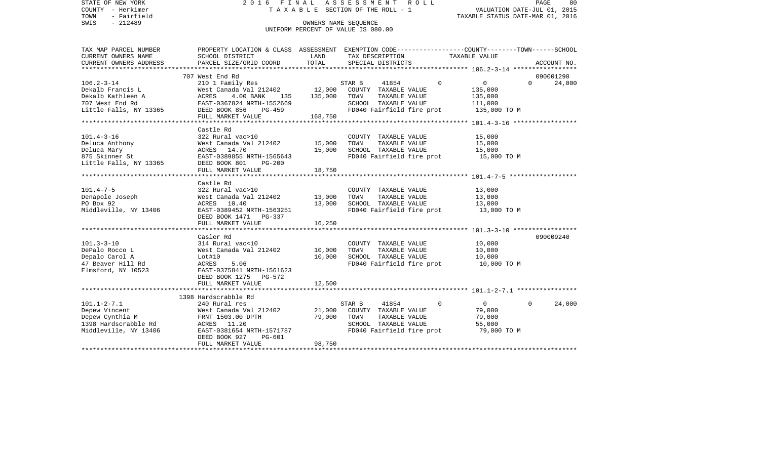| STATE OF NEW YORK<br>COUNTY - Herkimer<br>- Fairfield<br>TOWN<br>$-212489$<br>SWIS                     | 2016 FINAL                                                                                                                                                                       |                            | ASSESSMENT ROLL<br>TAXABLE SECTION OF THE ROLL - 1<br>OWNERS NAME SEQUENCE                                                        | VALUATION DATE-JUL 01, 2015<br>TAXABLE STATUS DATE-MAR 01, 2016 | PAGE<br>80         |
|--------------------------------------------------------------------------------------------------------|----------------------------------------------------------------------------------------------------------------------------------------------------------------------------------|----------------------------|-----------------------------------------------------------------------------------------------------------------------------------|-----------------------------------------------------------------|--------------------|
|                                                                                                        |                                                                                                                                                                                  |                            | UNIFORM PERCENT OF VALUE IS 080.00                                                                                                |                                                                 |                    |
| TAX MAP PARCEL NUMBER<br>CURRENT OWNERS NAME                                                           | PROPERTY LOCATION & CLASS ASSESSMENT EXEMPTION CODE----------------COUNTY-------TOWN------SCHOOL<br>SCHOOL DISTRICT                                                              | LAND                       | TAX DESCRIPTION                                                                                                                   | TAXABLE VALUE                                                   |                    |
| CURRENT OWNERS ADDRESS                                                                                 | PARCEL SIZE/GRID COORD                                                                                                                                                           | TOTAL                      | SPECIAL DISTRICTS                                                                                                                 |                                                                 | ACCOUNT NO.        |
|                                                                                                        | 707 West End Rd                                                                                                                                                                  |                            |                                                                                                                                   |                                                                 | 090001290          |
| $106.2 - 3 - 14$<br>Dekalb Francis L<br>Dekalb Kathleen A<br>707 West End Rd<br>Little Falls, NY 13365 | 210 1 Family Res<br>Nest Canada Val 212402 12,000 COUNTY TAXABLE VALUE<br>ACRES 4.00 BANK 135 135,000 TOWN TAXABLE VALUE<br>EAST-0367824 NRTH-1552669<br>DEED BOOK 856<br>PG-459 |                            | 41854<br>STAR B<br>SCHOOL TAXABLE VALUE<br>FD040 Fairfield fire prot 135,000 TO M                                                 | $\overline{0}$<br>$\Omega$<br>135,000<br>135,000<br>111,000     | $\Omega$<br>24,000 |
|                                                                                                        | FULL MARKET VALUE                                                                                                                                                                | 168,750                    |                                                                                                                                   |                                                                 |                    |
| $101.4 - 3 - 16$<br>Deluca Anthony<br>Deluca Mary<br>875 Skinner St                                    | Castle Rd<br>322 Rural vac>10<br>West Canada Val 212402 15,000<br>ACRES 14.70<br>EAST-0389855 NRTH-1565643                                                                       | 15,000                     | COUNTY TAXABLE VALUE<br>TAXABLE VALUE<br>TOWN<br>SCHOOL TAXABLE VALUE<br>FD040 Fairfield fire prot 15,000 TO M                    | 15,000<br>15,000<br>15,000                                      |                    |
| Little Falls, NY 13365                                                                                 | DEED BOOK 801<br><b>PG-200</b><br>FULL MARKET VALUE                                                                                                                              | 18,750                     |                                                                                                                                   |                                                                 |                    |
|                                                                                                        |                                                                                                                                                                                  |                            |                                                                                                                                   |                                                                 |                    |
| $101.4 - 7 - 5$<br>Denapole Joseph<br>PO Box 92<br>Middleville, NY 13406                               | Castle Rd<br>322 Rural vac>10<br>West Canada Val 212402<br>ACRES 10.40 13,000<br>EAST-0389452 NRTH-1563251 13,000<br>DEED BOOK 1471 PG-337<br>FULL MARKET VALUE                  | 13,000<br>16,250           | COUNTY TAXABLE VALUE<br>TOWN<br>TAXABLE VALUE<br>SCHOOL TAXABLE VALUE<br>FD040 Fairfield fire prot                                | 13,000<br>13,000<br>13,000<br>13,000 TO M                       |                    |
|                                                                                                        |                                                                                                                                                                                  |                            |                                                                                                                                   |                                                                 |                    |
| $101.3 - 3 - 10$<br>DePalo Rocco L<br>Depalo Carol A<br>47 Beaver Hill Rd<br>Elmsford, NY 10523        | Casler Rd<br>314 Rural vac<10<br>West Canada Val 212402<br>Lot#10<br>ACRES<br>5.06<br>EAST-0375841 NRTH-1561623<br>DEED BOOK 1275 PG-572<br>FULL MARKET VALUE                    | 10,000<br>10,000<br>12,500 | COUNTY TAXABLE VALUE<br>TOWN<br>TAXABLE VALUE<br>SCHOOL TAXABLE VALUE<br>FD040 Fairfield fire prot 10,000 TO M                    | 10,000<br>10,000<br>10,000                                      | 090009240          |
|                                                                                                        |                                                                                                                                                                                  |                            |                                                                                                                                   |                                                                 |                    |
| $101.1 - 2 - 7.1$<br>Depew Vincent<br>Depew Cynthia M<br>1398 Hardscrabble Rd<br>Middleville, NY 13406 | 1398 Hardscrabble Rd<br>240 Rural res<br>West Canada Val 212402<br>FRNT 1503.00 DPTH<br>ACRES 11.20<br>EAST-0381654 NRTH-1571787<br>DEED BOOK 927<br>PG-601                      | 21,000<br>79,000           | STAR B<br>41854<br>COUNTY TAXABLE VALUE<br>TOWN<br>TAXABLE VALUE<br>SCHOOL TAXABLE VALUE<br>FD040 Fairfield fire prot 79,000 TO M | $\Omega$<br>$\overline{0}$<br>79,000<br>79,000<br>55,000        | $\Omega$<br>24,000 |
|                                                                                                        | FULL MARKET VALUE                                                                                                                                                                | 98,750                     |                                                                                                                                   |                                                                 |                    |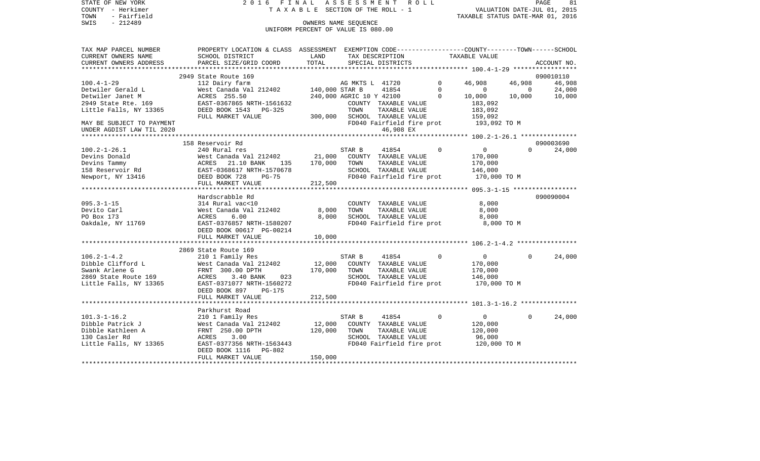| $-212489$<br>SWIS<br>OWNERS NAME SEQUENCE<br>UNIFORM PERCENT OF VALUE IS 080.00<br>PROPERTY LOCATION & CLASS ASSESSMENT EXEMPTION CODE---------------COUNTY-------TOWN------SCHOOL<br>TAX MAP PARCEL NUMBER<br>CURRENT OWNERS NAME<br>SCHOOL DISTRICT<br>LAND<br>TAX DESCRIPTION<br>TAXABLE VALUE<br>TOTAL<br>CURRENT OWNERS ADDRESS<br>PARCEL SIZE/GRID COORD<br>SPECIAL DISTRICTS<br>ACCOUNT NO.<br>**********************<br>2949 State Route 169<br>090010110<br>$100.4 - 1 - 29$<br>46,908<br>46,908<br>112 Dairy farm<br>AG MKTS L 41720<br>$\mathbf{0}$<br>46,908<br>Detwiler Gerald L<br>West Canada Val 212402<br>140,000 STAR B<br>41854<br>$\Omega$<br>24,000<br>$\mathbf{0}$<br>$\overline{0}$<br>Detwiler Janet M<br>240,000 AGRIC 10 Y 42100<br>$\mathbf 0$<br>10,000<br>10,000<br>10,000<br>ACRES 255.50<br>2949 State Rte. 169<br>EAST-0367865 NRTH-1561632<br>COUNTY TAXABLE VALUE<br>183,092<br>Little Falls, NY 13365<br>DEED BOOK 1543<br>TAXABLE VALUE<br>PG-325<br>TOWN<br>183,092<br>SCHOOL TAXABLE VALUE<br>FULL MARKET VALUE<br>300,000<br>159,092<br>FD040 Fairfield fire prot<br>193,092 TO M<br>MAY BE SUBJECT TO PAYMENT<br>46,908 EX<br>UNDER AGDIST LAW TIL 2020<br>158 Reservoir Rd<br>090003690<br>$\Omega$<br>$\overline{0}$<br>$\Omega$<br>$100.2 - 1 - 26.1$<br>240 Rural res<br>STAR B<br>41854<br>24,000<br>21,000<br>COUNTY TAXABLE VALUE<br>Devins Donald<br>West Canada Val 212402<br>170,000<br>170,000<br>Devins Tammy<br>TOWN<br>TAXABLE VALUE<br>ACRES<br>21.10 BANK<br>135<br>170,000<br>158 Reservoir Rd<br>SCHOOL TAXABLE VALUE<br>EAST-0368617 NRTH-1570678<br>146,000<br>FD040 Fairfield fire prot<br>170,000 TO M<br>Newport, NY 13416<br>DEED BOOK 728<br>$PG-75$<br>FULL MARKET VALUE<br>212,500<br>090090004<br>Hardscrabble Rd<br>$095.3 - 1 - 15$<br>314 Rural vac<10<br>8,000<br>COUNTY TAXABLE VALUE<br>West Canada Val 212402<br>8,000<br>TAXABLE VALUE<br>Devito Carl<br>TOWN<br>8,000<br>8,000<br>PO Box 173<br>ACRES<br>6.00<br>SCHOOL TAXABLE VALUE<br>8,000<br>FD040 Fairfield fire prot<br>Oakdale, NY 11769<br>EAST-0376857 NRTH-1580207<br>8,000 TO M<br>DEED BOOK 00617 PG-00214<br>10,000<br>FULL MARKET VALUE<br>2869 State Route 169<br>24,000<br>$106.2 - 1 - 4.2$<br>210 1 Family Res<br>STAR B<br>41854<br>$\Omega$<br>$\overline{0}$<br>$\Omega$<br>12,000<br>Dibble Clifford L<br>West Canada Val 212402<br>COUNTY TAXABLE VALUE<br>170,000<br>Swank Arlene G<br>FRNT 300.00 DPTH<br>170,000<br>TOWN<br>TAXABLE VALUE<br>170,000 | STATE OF NEW YORK<br>COUNTY - Herkimer<br>- Fairfield<br>TOWN |  | 2016 FINAL ASSESSMENT ROLL<br>TAXABLE SECTION OF THE ROLL - 1 | VALUATION DATE-JUL 01, 2015<br>TAXABLE STATUS DATE-MAR 01, 2016 | PAGE<br>81 |
|--------------------------------------------------------------------------------------------------------------------------------------------------------------------------------------------------------------------------------------------------------------------------------------------------------------------------------------------------------------------------------------------------------------------------------------------------------------------------------------------------------------------------------------------------------------------------------------------------------------------------------------------------------------------------------------------------------------------------------------------------------------------------------------------------------------------------------------------------------------------------------------------------------------------------------------------------------------------------------------------------------------------------------------------------------------------------------------------------------------------------------------------------------------------------------------------------------------------------------------------------------------------------------------------------------------------------------------------------------------------------------------------------------------------------------------------------------------------------------------------------------------------------------------------------------------------------------------------------------------------------------------------------------------------------------------------------------------------------------------------------------------------------------------------------------------------------------------------------------------------------------------------------------------------------------------------------------------------------------------------------------------------------------------------------------------------------------------------------------------------------------------------------------------------------------------------------------------------------------------------------------------------------------------------------------------------------------------------------------------------------------------------------------------------------------------------------------------------------------------------------------------|---------------------------------------------------------------|--|---------------------------------------------------------------|-----------------------------------------------------------------|------------|
|                                                                                                                                                                                                                                                                                                                                                                                                                                                                                                                                                                                                                                                                                                                                                                                                                                                                                                                                                                                                                                                                                                                                                                                                                                                                                                                                                                                                                                                                                                                                                                                                                                                                                                                                                                                                                                                                                                                                                                                                                                                                                                                                                                                                                                                                                                                                                                                                                                                                                                              |                                                               |  |                                                               |                                                                 |            |
|                                                                                                                                                                                                                                                                                                                                                                                                                                                                                                                                                                                                                                                                                                                                                                                                                                                                                                                                                                                                                                                                                                                                                                                                                                                                                                                                                                                                                                                                                                                                                                                                                                                                                                                                                                                                                                                                                                                                                                                                                                                                                                                                                                                                                                                                                                                                                                                                                                                                                                              |                                                               |  |                                                               |                                                                 |            |
|                                                                                                                                                                                                                                                                                                                                                                                                                                                                                                                                                                                                                                                                                                                                                                                                                                                                                                                                                                                                                                                                                                                                                                                                                                                                                                                                                                                                                                                                                                                                                                                                                                                                                                                                                                                                                                                                                                                                                                                                                                                                                                                                                                                                                                                                                                                                                                                                                                                                                                              |                                                               |  |                                                               |                                                                 |            |
|                                                                                                                                                                                                                                                                                                                                                                                                                                                                                                                                                                                                                                                                                                                                                                                                                                                                                                                                                                                                                                                                                                                                                                                                                                                                                                                                                                                                                                                                                                                                                                                                                                                                                                                                                                                                                                                                                                                                                                                                                                                                                                                                                                                                                                                                                                                                                                                                                                                                                                              |                                                               |  |                                                               |                                                                 |            |
|                                                                                                                                                                                                                                                                                                                                                                                                                                                                                                                                                                                                                                                                                                                                                                                                                                                                                                                                                                                                                                                                                                                                                                                                                                                                                                                                                                                                                                                                                                                                                                                                                                                                                                                                                                                                                                                                                                                                                                                                                                                                                                                                                                                                                                                                                                                                                                                                                                                                                                              |                                                               |  |                                                               |                                                                 |            |
|                                                                                                                                                                                                                                                                                                                                                                                                                                                                                                                                                                                                                                                                                                                                                                                                                                                                                                                                                                                                                                                                                                                                                                                                                                                                                                                                                                                                                                                                                                                                                                                                                                                                                                                                                                                                                                                                                                                                                                                                                                                                                                                                                                                                                                                                                                                                                                                                                                                                                                              |                                                               |  |                                                               |                                                                 |            |
|                                                                                                                                                                                                                                                                                                                                                                                                                                                                                                                                                                                                                                                                                                                                                                                                                                                                                                                                                                                                                                                                                                                                                                                                                                                                                                                                                                                                                                                                                                                                                                                                                                                                                                                                                                                                                                                                                                                                                                                                                                                                                                                                                                                                                                                                                                                                                                                                                                                                                                              |                                                               |  |                                                               |                                                                 |            |
|                                                                                                                                                                                                                                                                                                                                                                                                                                                                                                                                                                                                                                                                                                                                                                                                                                                                                                                                                                                                                                                                                                                                                                                                                                                                                                                                                                                                                                                                                                                                                                                                                                                                                                                                                                                                                                                                                                                                                                                                                                                                                                                                                                                                                                                                                                                                                                                                                                                                                                              |                                                               |  |                                                               |                                                                 |            |
|                                                                                                                                                                                                                                                                                                                                                                                                                                                                                                                                                                                                                                                                                                                                                                                                                                                                                                                                                                                                                                                                                                                                                                                                                                                                                                                                                                                                                                                                                                                                                                                                                                                                                                                                                                                                                                                                                                                                                                                                                                                                                                                                                                                                                                                                                                                                                                                                                                                                                                              |                                                               |  |                                                               |                                                                 |            |
|                                                                                                                                                                                                                                                                                                                                                                                                                                                                                                                                                                                                                                                                                                                                                                                                                                                                                                                                                                                                                                                                                                                                                                                                                                                                                                                                                                                                                                                                                                                                                                                                                                                                                                                                                                                                                                                                                                                                                                                                                                                                                                                                                                                                                                                                                                                                                                                                                                                                                                              |                                                               |  |                                                               |                                                                 |            |
|                                                                                                                                                                                                                                                                                                                                                                                                                                                                                                                                                                                                                                                                                                                                                                                                                                                                                                                                                                                                                                                                                                                                                                                                                                                                                                                                                                                                                                                                                                                                                                                                                                                                                                                                                                                                                                                                                                                                                                                                                                                                                                                                                                                                                                                                                                                                                                                                                                                                                                              |                                                               |  |                                                               |                                                                 |            |
|                                                                                                                                                                                                                                                                                                                                                                                                                                                                                                                                                                                                                                                                                                                                                                                                                                                                                                                                                                                                                                                                                                                                                                                                                                                                                                                                                                                                                                                                                                                                                                                                                                                                                                                                                                                                                                                                                                                                                                                                                                                                                                                                                                                                                                                                                                                                                                                                                                                                                                              |                                                               |  |                                                               |                                                                 |            |
|                                                                                                                                                                                                                                                                                                                                                                                                                                                                                                                                                                                                                                                                                                                                                                                                                                                                                                                                                                                                                                                                                                                                                                                                                                                                                                                                                                                                                                                                                                                                                                                                                                                                                                                                                                                                                                                                                                                                                                                                                                                                                                                                                                                                                                                                                                                                                                                                                                                                                                              |                                                               |  |                                                               |                                                                 |            |
|                                                                                                                                                                                                                                                                                                                                                                                                                                                                                                                                                                                                                                                                                                                                                                                                                                                                                                                                                                                                                                                                                                                                                                                                                                                                                                                                                                                                                                                                                                                                                                                                                                                                                                                                                                                                                                                                                                                                                                                                                                                                                                                                                                                                                                                                                                                                                                                                                                                                                                              |                                                               |  |                                                               |                                                                 |            |
|                                                                                                                                                                                                                                                                                                                                                                                                                                                                                                                                                                                                                                                                                                                                                                                                                                                                                                                                                                                                                                                                                                                                                                                                                                                                                                                                                                                                                                                                                                                                                                                                                                                                                                                                                                                                                                                                                                                                                                                                                                                                                                                                                                                                                                                                                                                                                                                                                                                                                                              |                                                               |  |                                                               |                                                                 |            |
|                                                                                                                                                                                                                                                                                                                                                                                                                                                                                                                                                                                                                                                                                                                                                                                                                                                                                                                                                                                                                                                                                                                                                                                                                                                                                                                                                                                                                                                                                                                                                                                                                                                                                                                                                                                                                                                                                                                                                                                                                                                                                                                                                                                                                                                                                                                                                                                                                                                                                                              |                                                               |  |                                                               |                                                                 |            |
|                                                                                                                                                                                                                                                                                                                                                                                                                                                                                                                                                                                                                                                                                                                                                                                                                                                                                                                                                                                                                                                                                                                                                                                                                                                                                                                                                                                                                                                                                                                                                                                                                                                                                                                                                                                                                                                                                                                                                                                                                                                                                                                                                                                                                                                                                                                                                                                                                                                                                                              |                                                               |  |                                                               |                                                                 |            |
|                                                                                                                                                                                                                                                                                                                                                                                                                                                                                                                                                                                                                                                                                                                                                                                                                                                                                                                                                                                                                                                                                                                                                                                                                                                                                                                                                                                                                                                                                                                                                                                                                                                                                                                                                                                                                                                                                                                                                                                                                                                                                                                                                                                                                                                                                                                                                                                                                                                                                                              |                                                               |  |                                                               |                                                                 |            |
|                                                                                                                                                                                                                                                                                                                                                                                                                                                                                                                                                                                                                                                                                                                                                                                                                                                                                                                                                                                                                                                                                                                                                                                                                                                                                                                                                                                                                                                                                                                                                                                                                                                                                                                                                                                                                                                                                                                                                                                                                                                                                                                                                                                                                                                                                                                                                                                                                                                                                                              |                                                               |  |                                                               |                                                                 |            |
|                                                                                                                                                                                                                                                                                                                                                                                                                                                                                                                                                                                                                                                                                                                                                                                                                                                                                                                                                                                                                                                                                                                                                                                                                                                                                                                                                                                                                                                                                                                                                                                                                                                                                                                                                                                                                                                                                                                                                                                                                                                                                                                                                                                                                                                                                                                                                                                                                                                                                                              |                                                               |  |                                                               |                                                                 |            |
|                                                                                                                                                                                                                                                                                                                                                                                                                                                                                                                                                                                                                                                                                                                                                                                                                                                                                                                                                                                                                                                                                                                                                                                                                                                                                                                                                                                                                                                                                                                                                                                                                                                                                                                                                                                                                                                                                                                                                                                                                                                                                                                                                                                                                                                                                                                                                                                                                                                                                                              |                                                               |  |                                                               |                                                                 |            |
|                                                                                                                                                                                                                                                                                                                                                                                                                                                                                                                                                                                                                                                                                                                                                                                                                                                                                                                                                                                                                                                                                                                                                                                                                                                                                                                                                                                                                                                                                                                                                                                                                                                                                                                                                                                                                                                                                                                                                                                                                                                                                                                                                                                                                                                                                                                                                                                                                                                                                                              |                                                               |  |                                                               |                                                                 |            |
|                                                                                                                                                                                                                                                                                                                                                                                                                                                                                                                                                                                                                                                                                                                                                                                                                                                                                                                                                                                                                                                                                                                                                                                                                                                                                                                                                                                                                                                                                                                                                                                                                                                                                                                                                                                                                                                                                                                                                                                                                                                                                                                                                                                                                                                                                                                                                                                                                                                                                                              |                                                               |  |                                                               |                                                                 |            |
|                                                                                                                                                                                                                                                                                                                                                                                                                                                                                                                                                                                                                                                                                                                                                                                                                                                                                                                                                                                                                                                                                                                                                                                                                                                                                                                                                                                                                                                                                                                                                                                                                                                                                                                                                                                                                                                                                                                                                                                                                                                                                                                                                                                                                                                                                                                                                                                                                                                                                                              |                                                               |  |                                                               |                                                                 |            |
|                                                                                                                                                                                                                                                                                                                                                                                                                                                                                                                                                                                                                                                                                                                                                                                                                                                                                                                                                                                                                                                                                                                                                                                                                                                                                                                                                                                                                                                                                                                                                                                                                                                                                                                                                                                                                                                                                                                                                                                                                                                                                                                                                                                                                                                                                                                                                                                                                                                                                                              |                                                               |  |                                                               |                                                                 |            |
|                                                                                                                                                                                                                                                                                                                                                                                                                                                                                                                                                                                                                                                                                                                                                                                                                                                                                                                                                                                                                                                                                                                                                                                                                                                                                                                                                                                                                                                                                                                                                                                                                                                                                                                                                                                                                                                                                                                                                                                                                                                                                                                                                                                                                                                                                                                                                                                                                                                                                                              |                                                               |  |                                                               |                                                                 |            |
|                                                                                                                                                                                                                                                                                                                                                                                                                                                                                                                                                                                                                                                                                                                                                                                                                                                                                                                                                                                                                                                                                                                                                                                                                                                                                                                                                                                                                                                                                                                                                                                                                                                                                                                                                                                                                                                                                                                                                                                                                                                                                                                                                                                                                                                                                                                                                                                                                                                                                                              |                                                               |  |                                                               |                                                                 |            |
|                                                                                                                                                                                                                                                                                                                                                                                                                                                                                                                                                                                                                                                                                                                                                                                                                                                                                                                                                                                                                                                                                                                                                                                                                                                                                                                                                                                                                                                                                                                                                                                                                                                                                                                                                                                                                                                                                                                                                                                                                                                                                                                                                                                                                                                                                                                                                                                                                                                                                                              |                                                               |  |                                                               |                                                                 |            |
|                                                                                                                                                                                                                                                                                                                                                                                                                                                                                                                                                                                                                                                                                                                                                                                                                                                                                                                                                                                                                                                                                                                                                                                                                                                                                                                                                                                                                                                                                                                                                                                                                                                                                                                                                                                                                                                                                                                                                                                                                                                                                                                                                                                                                                                                                                                                                                                                                                                                                                              |                                                               |  |                                                               |                                                                 |            |
|                                                                                                                                                                                                                                                                                                                                                                                                                                                                                                                                                                                                                                                                                                                                                                                                                                                                                                                                                                                                                                                                                                                                                                                                                                                                                                                                                                                                                                                                                                                                                                                                                                                                                                                                                                                                                                                                                                                                                                                                                                                                                                                                                                                                                                                                                                                                                                                                                                                                                                              |                                                               |  |                                                               |                                                                 |            |
|                                                                                                                                                                                                                                                                                                                                                                                                                                                                                                                                                                                                                                                                                                                                                                                                                                                                                                                                                                                                                                                                                                                                                                                                                                                                                                                                                                                                                                                                                                                                                                                                                                                                                                                                                                                                                                                                                                                                                                                                                                                                                                                                                                                                                                                                                                                                                                                                                                                                                                              |                                                               |  |                                                               |                                                                 |            |
|                                                                                                                                                                                                                                                                                                                                                                                                                                                                                                                                                                                                                                                                                                                                                                                                                                                                                                                                                                                                                                                                                                                                                                                                                                                                                                                                                                                                                                                                                                                                                                                                                                                                                                                                                                                                                                                                                                                                                                                                                                                                                                                                                                                                                                                                                                                                                                                                                                                                                                              |                                                               |  |                                                               |                                                                 |            |
|                                                                                                                                                                                                                                                                                                                                                                                                                                                                                                                                                                                                                                                                                                                                                                                                                                                                                                                                                                                                                                                                                                                                                                                                                                                                                                                                                                                                                                                                                                                                                                                                                                                                                                                                                                                                                                                                                                                                                                                                                                                                                                                                                                                                                                                                                                                                                                                                                                                                                                              |                                                               |  |                                                               |                                                                 |            |
|                                                                                                                                                                                                                                                                                                                                                                                                                                                                                                                                                                                                                                                                                                                                                                                                                                                                                                                                                                                                                                                                                                                                                                                                                                                                                                                                                                                                                                                                                                                                                                                                                                                                                                                                                                                                                                                                                                                                                                                                                                                                                                                                                                                                                                                                                                                                                                                                                                                                                                              |                                                               |  |                                                               |                                                                 |            |
|                                                                                                                                                                                                                                                                                                                                                                                                                                                                                                                                                                                                                                                                                                                                                                                                                                                                                                                                                                                                                                                                                                                                                                                                                                                                                                                                                                                                                                                                                                                                                                                                                                                                                                                                                                                                                                                                                                                                                                                                                                                                                                                                                                                                                                                                                                                                                                                                                                                                                                              |                                                               |  |                                                               |                                                                 |            |
| 2869 State Route 169<br>ACRES<br>3.40 BANK 023<br>SCHOOL TAXABLE VALUE<br>146,000                                                                                                                                                                                                                                                                                                                                                                                                                                                                                                                                                                                                                                                                                                                                                                                                                                                                                                                                                                                                                                                                                                                                                                                                                                                                                                                                                                                                                                                                                                                                                                                                                                                                                                                                                                                                                                                                                                                                                                                                                                                                                                                                                                                                                                                                                                                                                                                                                            |                                                               |  |                                                               |                                                                 |            |
| FD040 Fairfield fire prot<br>Little Falls, NY 13365<br>EAST-0371077 NRTH-1560272<br>170,000 TO M<br>DEED BOOK 897<br>PG-175                                                                                                                                                                                                                                                                                                                                                                                                                                                                                                                                                                                                                                                                                                                                                                                                                                                                                                                                                                                                                                                                                                                                                                                                                                                                                                                                                                                                                                                                                                                                                                                                                                                                                                                                                                                                                                                                                                                                                                                                                                                                                                                                                                                                                                                                                                                                                                                  |                                                               |  |                                                               |                                                                 |            |
| FULL MARKET VALUE<br>212,500                                                                                                                                                                                                                                                                                                                                                                                                                                                                                                                                                                                                                                                                                                                                                                                                                                                                                                                                                                                                                                                                                                                                                                                                                                                                                                                                                                                                                                                                                                                                                                                                                                                                                                                                                                                                                                                                                                                                                                                                                                                                                                                                                                                                                                                                                                                                                                                                                                                                                 |                                                               |  |                                                               |                                                                 |            |
|                                                                                                                                                                                                                                                                                                                                                                                                                                                                                                                                                                                                                                                                                                                                                                                                                                                                                                                                                                                                                                                                                                                                                                                                                                                                                                                                                                                                                                                                                                                                                                                                                                                                                                                                                                                                                                                                                                                                                                                                                                                                                                                                                                                                                                                                                                                                                                                                                                                                                                              |                                                               |  |                                                               |                                                                 |            |
| Parkhurst Road                                                                                                                                                                                                                                                                                                                                                                                                                                                                                                                                                                                                                                                                                                                                                                                                                                                                                                                                                                                                                                                                                                                                                                                                                                                                                                                                                                                                                                                                                                                                                                                                                                                                                                                                                                                                                                                                                                                                                                                                                                                                                                                                                                                                                                                                                                                                                                                                                                                                                               |                                                               |  |                                                               |                                                                 |            |
| $101.3 - 1 - 16.2$<br>$\overline{0}$<br>$\Omega$<br>24,000<br>210 1 Family Res<br>STAR B<br>41854<br>0                                                                                                                                                                                                                                                                                                                                                                                                                                                                                                                                                                                                                                                                                                                                                                                                                                                                                                                                                                                                                                                                                                                                                                                                                                                                                                                                                                                                                                                                                                                                                                                                                                                                                                                                                                                                                                                                                                                                                                                                                                                                                                                                                                                                                                                                                                                                                                                                       |                                                               |  |                                                               |                                                                 |            |
| 12,000<br>Dibble Patrick J<br>West Canada Val 212402<br>COUNTY TAXABLE VALUE<br>120,000                                                                                                                                                                                                                                                                                                                                                                                                                                                                                                                                                                                                                                                                                                                                                                                                                                                                                                                                                                                                                                                                                                                                                                                                                                                                                                                                                                                                                                                                                                                                                                                                                                                                                                                                                                                                                                                                                                                                                                                                                                                                                                                                                                                                                                                                                                                                                                                                                      |                                                               |  |                                                               |                                                                 |            |
| Dibble Kathleen A<br>FRNT 250.00 DPTH<br>120,000<br>TOWN<br>TAXABLE VALUE<br>120,000                                                                                                                                                                                                                                                                                                                                                                                                                                                                                                                                                                                                                                                                                                                                                                                                                                                                                                                                                                                                                                                                                                                                                                                                                                                                                                                                                                                                                                                                                                                                                                                                                                                                                                                                                                                                                                                                                                                                                                                                                                                                                                                                                                                                                                                                                                                                                                                                                         |                                                               |  |                                                               |                                                                 |            |
| 130 Casler Rd<br>SCHOOL TAXABLE VALUE<br>ACRES<br>3.00<br>96,000                                                                                                                                                                                                                                                                                                                                                                                                                                                                                                                                                                                                                                                                                                                                                                                                                                                                                                                                                                                                                                                                                                                                                                                                                                                                                                                                                                                                                                                                                                                                                                                                                                                                                                                                                                                                                                                                                                                                                                                                                                                                                                                                                                                                                                                                                                                                                                                                                                             |                                                               |  |                                                               |                                                                 |            |
| Little Falls, NY 13365<br>FD040 Fairfield fire prot<br>120,000 TO M<br>EAST-0377356 NRTH-1563443                                                                                                                                                                                                                                                                                                                                                                                                                                                                                                                                                                                                                                                                                                                                                                                                                                                                                                                                                                                                                                                                                                                                                                                                                                                                                                                                                                                                                                                                                                                                                                                                                                                                                                                                                                                                                                                                                                                                                                                                                                                                                                                                                                                                                                                                                                                                                                                                             |                                                               |  |                                                               |                                                                 |            |
| DEED BOOK 1116 PG-802                                                                                                                                                                                                                                                                                                                                                                                                                                                                                                                                                                                                                                                                                                                                                                                                                                                                                                                                                                                                                                                                                                                                                                                                                                                                                                                                                                                                                                                                                                                                                                                                                                                                                                                                                                                                                                                                                                                                                                                                                                                                                                                                                                                                                                                                                                                                                                                                                                                                                        |                                                               |  |                                                               |                                                                 |            |
| FULL MARKET VALUE<br>150,000                                                                                                                                                                                                                                                                                                                                                                                                                                                                                                                                                                                                                                                                                                                                                                                                                                                                                                                                                                                                                                                                                                                                                                                                                                                                                                                                                                                                                                                                                                                                                                                                                                                                                                                                                                                                                                                                                                                                                                                                                                                                                                                                                                                                                                                                                                                                                                                                                                                                                 |                                                               |  |                                                               |                                                                 |            |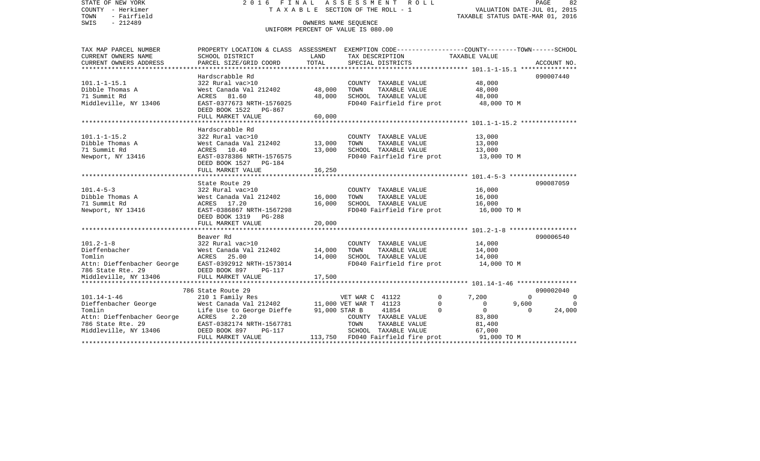| STATE OF NEW YORK<br>COUNTY - Herkimer<br>- Fairfield<br>TOWN<br>SWIS<br>$-212489$ | FINAL<br>2016                                         |                  | ASSESSMENT ROLL<br>T A X A B L E SECTION OF THE ROLL - 1<br>OWNERS NAME SEOUENCE                 | VALUATION DATE-JUL 01, 2015<br>TAXABLE STATUS DATE-MAR 01, 2016 | 82<br>PAGE     |
|------------------------------------------------------------------------------------|-------------------------------------------------------|------------------|--------------------------------------------------------------------------------------------------|-----------------------------------------------------------------|----------------|
|                                                                                    |                                                       |                  | UNIFORM PERCENT OF VALUE IS 080.00                                                               |                                                                 |                |
| TAX MAP PARCEL NUMBER                                                              |                                                       |                  | PROPERTY LOCATION & CLASS ASSESSMENT EXEMPTION CODE----------------COUNTY-------TOWN------SCHOOL |                                                                 |                |
| CURRENT OWNERS NAME<br>CURRENT OWNERS ADDRESS                                      | SCHOOL DISTRICT<br>PARCEL SIZE/GRID COORD             | LAND<br>TOTAL    | TAX DESCRIPTION<br>SPECIAL DISTRICTS                                                             | TAXABLE VALUE                                                   |                |
|                                                                                    |                                                       |                  |                                                                                                  |                                                                 | ACCOUNT NO.    |
|                                                                                    | Hardscrabble Rd                                       |                  |                                                                                                  |                                                                 | 090007440      |
| $101.1 - 1 - 15.1$                                                                 | 322 Rural vac>10                                      |                  | COUNTY TAXABLE VALUE                                                                             | 48,000                                                          |                |
| Dibble Thomas A                                                                    | West Canada Val 212402                                | 48,000           | TOWN<br>TAXABLE VALUE                                                                            | 48,000                                                          |                |
| 71 Summit Rd                                                                       | ACRES 81.60                                           | 48,000           | SCHOOL TAXABLE VALUE                                                                             | 48,000                                                          |                |
| Middleville, NY 13406                                                              | EAST-0377673 NRTH-1576025<br>DEED BOOK 1522<br>PG-867 |                  | FD040 Fairfield fire prot                                                                        | 48,000 TO M                                                     |                |
|                                                                                    | FULL MARKET VALUE                                     | 60,000           |                                                                                                  |                                                                 |                |
|                                                                                    | Hardscrabble Rd                                       |                  |                                                                                                  |                                                                 |                |
| $101.1 - 1 - 15.2$                                                                 | 322 Rural vac>10                                      |                  | COUNTY TAXABLE VALUE                                                                             | 13,000                                                          |                |
| Dibble Thomas A                                                                    | West Canada Val 212402                                | 13,000           | TAXABLE VALUE<br>TOWN                                                                            | 13,000                                                          |                |
| 71 Summit Rd                                                                       | 10.40<br>ACRES                                        | 13,000           | SCHOOL TAXABLE VALUE                                                                             | 13,000                                                          |                |
| Newport, NY 13416                                                                  | EAST-0378386 NRTH-1576575                             |                  | FD040 Fairfield fire prot                                                                        | 13,000 TO M                                                     |                |
|                                                                                    | DEED BOOK 1527 PG-184                                 |                  |                                                                                                  |                                                                 |                |
|                                                                                    | FULL MARKET VALUE                                     | 16,250           |                                                                                                  |                                                                 |                |
|                                                                                    |                                                       |                  |                                                                                                  |                                                                 |                |
|                                                                                    | State Route 29                                        |                  |                                                                                                  |                                                                 | 090087059      |
| $101.4 - 5 - 3$                                                                    | 322 Rural vac>10                                      |                  | COUNTY TAXABLE VALUE                                                                             | 16,000                                                          |                |
| Dibble Thomas A<br>71 Summit Rd                                                    | West Canada Val 212402<br>ACRES 17.20                 | 16,000<br>16,000 | TAXABLE VALUE<br>TOWN<br>SCHOOL TAXABLE VALUE                                                    | 16,000<br>16,000                                                |                |
| Newport, NY 13416                                                                  | EAST-0386867 NRTH-1567298                             |                  | FD040 Fairfield fire prot                                                                        | 16,000 TO M                                                     |                |
|                                                                                    | DEED BOOK 1319 PG-288                                 |                  |                                                                                                  |                                                                 |                |
|                                                                                    | FULL MARKET VALUE                                     | 20,000           |                                                                                                  |                                                                 |                |
|                                                                                    |                                                       |                  |                                                                                                  |                                                                 |                |
|                                                                                    | Beaver Rd                                             |                  |                                                                                                  |                                                                 | 090006540      |
| $101.2 - 1 - 8$                                                                    | 322 Rural vac>10                                      |                  | COUNTY TAXABLE VALUE                                                                             | 14,000                                                          |                |
| Dieffenbacher                                                                      | West Canada Val 212402                                | 14,000           | TOWN<br>TAXABLE VALUE                                                                            | 14,000                                                          |                |
| Tomlin                                                                             | 25.00<br>ACRES                                        | 14,000           | SCHOOL TAXABLE VALUE                                                                             | 14,000                                                          |                |
| Attn: Dieffenbacher George                                                         | EAST-0392912 NRTH-1573014                             |                  | FD040 Fairfield fire prot                                                                        | 14,000 TO M                                                     |                |
| 786 State Rte. 29<br>Middleville, NY 13406                                         | DEED BOOK 897<br>$PG-117$<br>FULL MARKET VALUE        | 17,500           |                                                                                                  |                                                                 |                |
|                                                                                    |                                                       |                  |                                                                                                  |                                                                 |                |
|                                                                                    | 786 State Route 29                                    |                  |                                                                                                  |                                                                 | 090002040      |
| $101.14 - 1 - 46$                                                                  | 210 1 Family Res                                      |                  | $\Omega$<br>VET WAR C 41122                                                                      | 7,200<br>$\Omega$                                               | $\Omega$       |
| Dieffenbacher George                                                               | West Canada Val 212402                                |                  | 11,000 VET WAR T 41123<br>0                                                                      | $\mathsf{O}$<br>9,600                                           | $\overline{0}$ |
| Tomlin                                                                             | Life Use to George Dieffe                             | 91,000 STAR B    | 41854<br>$\Omega$                                                                                | $\circ$<br>$\Omega$                                             | 24,000         |
| Attn: Dieffenbacher George                                                         | 2.20<br>ACRES                                         |                  | COUNTY TAXABLE VALUE                                                                             | 83,800                                                          |                |
| 786 State Rte. 29                                                                  | EAST-0382174 NRTH-1567781                             |                  | TOWN<br>TAXABLE VALUE                                                                            | 81,400                                                          |                |
| Middleville, NY 13406                                                              | DEED BOOK 897<br>PG-117                               |                  | SCHOOL TAXABLE VALUE                                                                             | 67,000                                                          |                |
|                                                                                    | FULL MARKET VALUE                                     | 113,750          | FD040 Fairfield fire prot                                                                        | 91,000 TO M<br>*******************************                  |                |
|                                                                                    |                                                       |                  |                                                                                                  |                                                                 |                |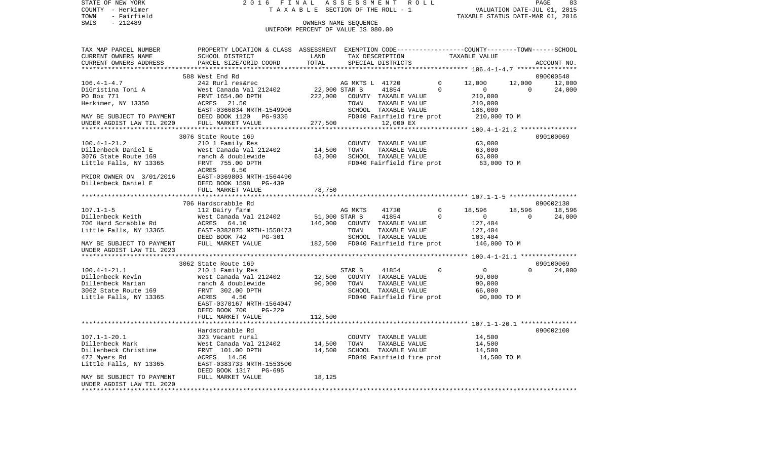STATE OF NEW YORK 2 0 1 6 F I N A L A S S E S S M E N T R O L L PAGE 8383 COUNTY - Herkimer T A X A B L E SECTION OF THE ROLL - 1 VALUATION DATE-JUL 01, 2015 TOWN - Fairfield TAXABLE STATUS DATE-MAR 01, 2016 SWIS - 212489 OWNERS NAME SEQUENCE UNIFORM PERCENT OF VALUE IS 080.00TAX MAP PARCEL NUMBER PROPERTY LOCATION & CLASS ASSESSMENT EXEMPTION CODE------------------COUNTY--------TOWN------SCHOOL CURRENT OWNERS NAME SCHOOL DISTRICT TAX DESCRIPTION CURRENT OWNERS NAME<br>CURRENT OWNERS ADDRESS TREAD BARCEL SIZE/GRID COORD TOTAL SERGIAI DISTRICTS TAXABLE VALUE CURRENT OWNERS ADDRESS PARCEL SIZE/GRID COORD TOTAL SPECIAL DISTRICTS ACCOUNT NO.

| CURRENI UWNERS ADDRESS                                                                                                                                                          |                                                                                                                                                                                                    | TATAT   |                                                   | PRECTUT DIPIKTCIP    |       |                      |                                                                                    |                |           |
|---------------------------------------------------------------------------------------------------------------------------------------------------------------------------------|----------------------------------------------------------------------------------------------------------------------------------------------------------------------------------------------------|---------|---------------------------------------------------|----------------------|-------|----------------------|------------------------------------------------------------------------------------|----------------|-----------|
|                                                                                                                                                                                 |                                                                                                                                                                                                    |         |                                                   |                      |       |                      |                                                                                    |                | 090000540 |
|                                                                                                                                                                                 | 588 West End Rd                                                                                                                                                                                    |         |                                                   |                      |       |                      |                                                                                    |                |           |
| $106.4 - 1 - 4.7$                                                                                                                                                               | 242 Rurl res&rec                               AG MKTS L   41720<br>West Canada Val 212402             22,000 STAR B     41854<br>FRNT 1654.00 DPTH                 222,000   COUNTY TAXABLE VALUE |         |                                                   |                      |       | $\Omega$<br>$\Omega$ | 12,000                                                                             | 12,000         | 12,000    |
| DiGristina Toni A                                                                                                                                                               |                                                                                                                                                                                                    |         |                                                   |                      |       |                      | $\overline{0}$                                                                     | $\overline{0}$ | 24,000    |
| PO Box 771                                                                                                                                                                      |                                                                                                                                                                                                    |         |                                                   |                      |       |                      | 210,000                                                                            |                |           |
| Herkimer, NY 13350                                                                                                                                                              | ACRES 21.50                                                                                                                                                                                        |         | TOWN                                              | TAXABLE VALUE        |       |                      | 210,000<br>186,000                                                                 |                |           |
|                                                                                                                                                                                 | EAST-0366834 NRTH-1549906                                                                                                                                                                          |         |                                                   | SCHOOL TAXABLE VALUE |       |                      |                                                                                    |                |           |
| MAY BE SUBJECT TO PAYMENT<br>UNDER AGDIST LAW TIL 2020                                                                                                                          | DEED BOOK 1120 PG-9336                                                                                                                                                                             |         |                                                   |                      |       |                      | FD040 Fairfield fire prot 210,000 TO M                                             |                |           |
|                                                                                                                                                                                 | FULL MARKET VALUE                                                                                                                                                                                  |         | 277,500                                           | 12,000 EX            |       |                      |                                                                                    |                |           |
|                                                                                                                                                                                 |                                                                                                                                                                                                    |         |                                                   |                      |       |                      |                                                                                    |                |           |
|                                                                                                                                                                                 | 3076 State Route 169                                                                                                                                                                               |         |                                                   |                      |       |                      |                                                                                    |                | 090100069 |
| $100.4 - 1 - 21.2$                                                                                                                                                              | 210 1 Family Res                                                                                                                                                                                   |         |                                                   | COUNTY TAXABLE VALUE |       |                      | 63,000                                                                             |                |           |
| Dillenbeck Daniel E                                                                                                                                                             |                                                                                                                                                                                                    |         |                                                   | TAXABLE VALUE        |       |                      | 63,000                                                                             |                |           |
| 3076 State Route 169                                                                                                                                                            | ranch & doublewide 63,000 SCHOOL TAXABLE VALUE                                                                                                                                                     |         |                                                   |                      |       |                      | SCHOOL TAXABLE VALUE 63,000<br>FD040 Fairfield fire prot 63,000 TO M               |                |           |
| Little Falls, NY 13365                                                                                                                                                          | FRNT 755.00 DPTH                                                                                                                                                                                   |         |                                                   |                      |       |                      |                                                                                    |                |           |
|                                                                                                                                                                                 | ACRES 6.50                                                                                                                                                                                         |         |                                                   |                      |       |                      |                                                                                    |                |           |
| PRIOR OWNER ON 3/01/2016<br>Dillenbeck Daniel E DEED BOOK 1598 PG-439<br>DEED BOOK 1598 PG-439                                                                                  |                                                                                                                                                                                                    |         |                                                   |                      |       |                      |                                                                                    |                |           |
|                                                                                                                                                                                 |                                                                                                                                                                                                    |         |                                                   |                      |       |                      |                                                                                    |                |           |
|                                                                                                                                                                                 | FULL MARKET VALUE                                                                                                                                                                                  | 78,750  |                                                   |                      |       |                      |                                                                                    |                |           |
|                                                                                                                                                                                 |                                                                                                                                                                                                    |         |                                                   |                      |       |                      |                                                                                    |                |           |
|                                                                                                                                                                                 | 706 Hardscrabble Rd                                                                                                                                                                                |         |                                                   |                      |       |                      |                                                                                    |                | 090002130 |
| $107.1 - 1 - 5$                                                                                                                                                                 | 112 Dairy farm                                                                                                                                                                                     |         | AG MKTS                                           |                      | 41730 | $\Omega$             | 18,596                                                                             | 18,596         | 18,596    |
| Dillenbeck Keith                                                                                                                                                                | $West$ Canada Val 212402 51,000 STAR B                                                                                                                                                             |         |                                                   | 41854                |       | $\Omega$             | $\overline{0}$                                                                     | $\overline{0}$ | 24,000    |
| 706 Hard Scrabble Rd                                                                                                                                                            | ACRES 64.10                                                                                                                                                                                        |         | 146,000 COUNTY TAXABLE VALUE                      |                      |       |                      | 127,404                                                                            |                |           |
| Little Falls, NY 13365                                                                                                                                                          | EAST-0382875 NRTH-1558473                                                                                                                                                                          |         |                                                   |                      |       |                      |                                                                                    |                |           |
|                                                                                                                                                                                 |                                                                                                                                                                                                    |         |                                                   |                      |       |                      |                                                                                    |                |           |
| MAY BE SUBJECT TO PAYMENT                                                                                                                                                       | DEED BOOK 742 PG-301<br>FULL MARKET VALUE<br>FULL MARKET VALUE 182,500 FD040 Fairfield fire prot 146,000 TO M                                                                                      |         |                                                   |                      |       |                      | 10WN TAXABLE VALUE 127,404<br>SCHOOL TAXABLE VALUE 103,404<br>FD040 Eairfield fire |                |           |
| UNDER AGDIST LAW TIL 2023                                                                                                                                                       |                                                                                                                                                                                                    |         |                                                   |                      |       |                      |                                                                                    |                |           |
|                                                                                                                                                                                 |                                                                                                                                                                                                    |         |                                                   |                      |       |                      |                                                                                    |                |           |
|                                                                                                                                                                                 | 3062 State Route 169                                                                                                                                                                               |         |                                                   |                      |       |                      |                                                                                    |                | 090100069 |
|                                                                                                                                                                                 |                                                                                                                                                                                                    |         |                                                   |                      |       | $\overline{0}$       | $\frac{0}{90}$                                                                     |                | $\Omega$  |
| $100.4 - 1 - 21.1$                                                                                                                                                              | 210 1 Family Res                                                                                                                                                                                   |         | STAR B 41854                                      |                      |       |                      |                                                                                    |                | 24,000    |
| Follenbeck Kevin<br>Pillenbeck Kevin<br>Mest Canada Val 212402<br>Dillenbeck Marian<br>Mest Canada Val 212402<br>ranch & doublewide<br>3062 State Route 169<br>FRNT 302.00 DPTH |                                                                                                                                                                                                    |         | 12,500 COUNTY TAXABLE VALUE                       |                      |       |                      |                                                                                    |                |           |
|                                                                                                                                                                                 |                                                                                                                                                                                                    |         | 90,000 TOWN TAXABLE VALUE<br>SCHOOL TAXABLE VALUE |                      |       |                      | 90,000                                                                             |                |           |
|                                                                                                                                                                                 |                                                                                                                                                                                                    |         |                                                   |                      |       |                      | 66,000                                                                             |                |           |
| Little Falls, NY 13365                                                                                                                                                          | ACRES 4.50                                                                                                                                                                                         |         |                                                   |                      |       |                      | FD040 Fairfield fire prot 90,000 TO M                                              |                |           |
|                                                                                                                                                                                 | EAST-0370167 NRTH-1564047                                                                                                                                                                          |         |                                                   |                      |       |                      |                                                                                    |                |           |
|                                                                                                                                                                                 | DEED BOOK 700<br>PG-229                                                                                                                                                                            |         |                                                   |                      |       |                      |                                                                                    |                |           |
|                                                                                                                                                                                 | FULL MARKET VALUE                                                                                                                                                                                  | 112,500 |                                                   |                      |       |                      |                                                                                    |                |           |
|                                                                                                                                                                                 |                                                                                                                                                                                                    |         |                                                   |                      |       |                      |                                                                                    |                |           |
|                                                                                                                                                                                 | Hardscrabble Rd                                                                                                                                                                                    |         |                                                   |                      |       |                      |                                                                                    |                | 090002100 |
| $107.1 - 1 - 20.1$                                                                                                                                                              | 323 Vacant rural                                                                                                                                                                                   |         |                                                   | COUNTY TAXABLE VALUE |       |                      | 14,500                                                                             |                |           |
| Dillenbeck Mark                                                                                                                                                                 | 323 Vacant rural<br>West Canada Val 212402              14,500                                                                                                                                     |         | TOWN                                              | TAXABLE VALUE        |       |                      | 14,500                                                                             |                |           |
| Dillenbeck Christine                                                                                                                                                            | FRNT 101.00 DPTH                                                                                                                                                                                   | 14,500  |                                                   |                      |       |                      | SCHOOL TAXABLE VALUE 14,500<br>FD040 Fairfield fire prot 14,500 TO M               |                |           |
| 472 Myers Rd                                                                                                                                                                    | ACRES 14.50                                                                                                                                                                                        |         |                                                   |                      |       |                      |                                                                                    |                |           |
| Little Falls, NY 13365                                                                                                                                                          | EAST-0383733 NRTH-1553500                                                                                                                                                                          |         |                                                   |                      |       |                      |                                                                                    |                |           |
|                                                                                                                                                                                 | DEED BOOK 1317 PG-695                                                                                                                                                                              |         |                                                   |                      |       |                      |                                                                                    |                |           |
| MAY BE SUBJECT TO PAYMENT                                                                                                                                                       | FULL MARKET VALUE                                                                                                                                                                                  | 18,125  |                                                   |                      |       |                      |                                                                                    |                |           |
| UNDER AGDIST LAW TIL 2020                                                                                                                                                       |                                                                                                                                                                                                    |         |                                                   |                      |       |                      |                                                                                    |                |           |
| **********************                                                                                                                                                          |                                                                                                                                                                                                    |         |                                                   |                      |       |                      |                                                                                    |                |           |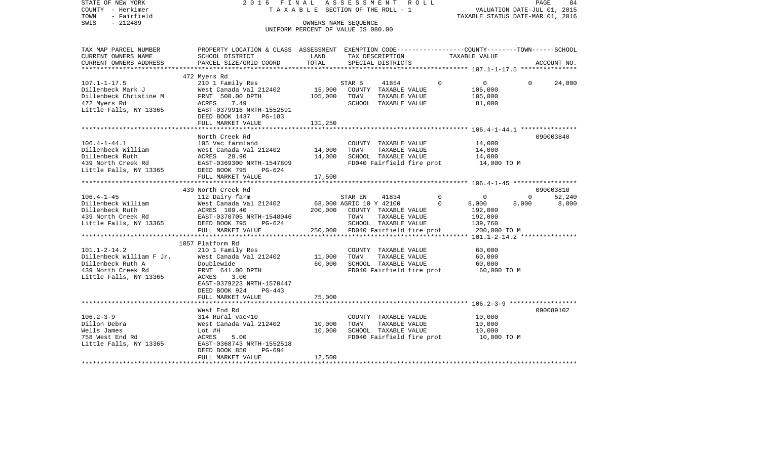| STATE OF NEW YORK<br>COUNTY - Herkimer<br>TOWN<br>- Fairfield<br>$-212489$<br>SWIS | 2016 FINAL                                                                                                         | TAXABLE SECTION OF THE ROLL - 1<br>OWNERS NAME SEQUENCE<br>UNIFORM PERCENT OF VALUE IS 080.00 |                         | ASSESSMENT ROLL                   |          | TAXABLE STATUS DATE-MAR 01, 2016 | VALUATION DATE-JUL 01, 2015 | PAGE<br>84  |
|------------------------------------------------------------------------------------|--------------------------------------------------------------------------------------------------------------------|-----------------------------------------------------------------------------------------------|-------------------------|-----------------------------------|----------|----------------------------------|-----------------------------|-------------|
| TAX MAP PARCEL NUMBER<br>CURRENT OWNERS NAME                                       | PROPERTY LOCATION & CLASS ASSESSMENT EXEMPTION CODE---------------COUNTY-------TOWN------SCHOOL<br>SCHOOL DISTRICT | LAND                                                                                          |                         | TAX DESCRIPTION                   |          | TAXABLE VALUE                    |                             |             |
| CURRENT OWNERS ADDRESS<br>********************                                     | PARCEL SIZE/GRID COORD                                                                                             | TOTAL                                                                                         |                         | SPECIAL DISTRICTS                 |          |                                  |                             | ACCOUNT NO. |
|                                                                                    | 472 Myers Rd                                                                                                       |                                                                                               |                         |                                   |          |                                  |                             |             |
| $107.1 - 1 - 17.5$                                                                 | 210 1 Family Res                                                                                                   |                                                                                               | STAR B                  | 41854                             | $\Omega$ | $\overline{0}$                   | $\Omega$                    | 24,000      |
| Dillenbeck Mark J                                                                  | West Canada Val 212402                                                                                             | 15,000                                                                                        |                         | COUNTY TAXABLE VALUE              |          | 105,000                          |                             |             |
| Dillenbeck Christine M                                                             | FRNT 500.00 DPTH                                                                                                   | 105,000                                                                                       | TOWN                    | TAXABLE VALUE                     |          | 105,000                          |                             |             |
| 472 Myers Rd                                                                       | ACRES<br>7.49                                                                                                      |                                                                                               |                         | SCHOOL TAXABLE VALUE              |          | 81,000                           |                             |             |
| Little Falls, NY 13365                                                             | EAST-0379916 NRTH-1552591<br>DEED BOOK 1437 PG-183                                                                 |                                                                                               |                         |                                   |          |                                  |                             |             |
|                                                                                    | FULL MARKET VALUE                                                                                                  | 131,250                                                                                       |                         |                                   |          |                                  |                             |             |
|                                                                                    |                                                                                                                    |                                                                                               |                         |                                   |          |                                  |                             |             |
|                                                                                    | North Creek Rd                                                                                                     |                                                                                               |                         |                                   |          |                                  |                             | 090003840   |
| $106.4 - 1 - 44.1$                                                                 | 105 Vac farmland                                                                                                   |                                                                                               |                         | COUNTY TAXABLE VALUE              |          | 14,000                           |                             |             |
| Dillenbeck William                                                                 | West Canada Val 212402                                                                                             | 14,000                                                                                        | TOWN                    | TAXABLE VALUE                     |          | 14,000                           |                             |             |
| Dillenbeck Ruth                                                                    | ACRES 28.90                                                                                                        | 14,000                                                                                        |                         | SCHOOL TAXABLE VALUE              |          | 14,000                           |                             |             |
| 439 North Creek Rd                                                                 | EAST-0369300 NRTH-1547809                                                                                          |                                                                                               |                         | FD040 Fairfield fire prot         |          | 14,000 TO M                      |                             |             |
| Little Falls, NY 13365                                                             | DEED BOOK 795<br>PG-624<br>FULL MARKET VALUE                                                                       | 17,500                                                                                        |                         |                                   |          |                                  |                             |             |
|                                                                                    |                                                                                                                    |                                                                                               |                         |                                   |          |                                  |                             |             |
|                                                                                    | 439 North Creek Rd                                                                                                 |                                                                                               |                         |                                   |          |                                  |                             | 090003810   |
| $106.4 - 1 - 45$                                                                   | 112 Dairy farm                                                                                                     |                                                                                               | STAR EN                 | 41834                             | $\Omega$ | 0                                | $\Omega$                    | 52,240      |
| Dillenbeck William                                                                 | West Canada Val 212402                                                                                             |                                                                                               | 68,000 AGRIC 10 Y 42100 |                                   | $\Omega$ | 8,000                            | 8,000                       | 8,000       |
| Dillenbeck Ruth                                                                    | ACRES 109.40                                                                                                       | 200,000                                                                                       |                         | COUNTY TAXABLE VALUE              |          | 192,000                          |                             |             |
| 439 North Creek Rd                                                                 | EAST-0370705 NRTH-1548046                                                                                          |                                                                                               | TOWN                    | TAXABLE VALUE                     |          | 192,000                          |                             |             |
| Little Falls, NY 13365                                                             | DEED BOOK 795<br>PG-624                                                                                            |                                                                                               |                         | SCHOOL TAXABLE VALUE              |          | 139,760                          |                             |             |
|                                                                                    | FULL MARKET VALUE                                                                                                  |                                                                                               |                         | 250,000 FD040 Fairfield fire prot |          | 200,000 TO M                     |                             |             |
|                                                                                    |                                                                                                                    |                                                                                               |                         |                                   |          |                                  |                             |             |
|                                                                                    | 1057 Platform Rd                                                                                                   |                                                                                               |                         |                                   |          |                                  |                             |             |
| $101.1 - 2 - 14.2$                                                                 | 210 1 Family Res                                                                                                   |                                                                                               |                         | COUNTY TAXABLE VALUE              |          | 60,000                           |                             |             |
| Dillenbeck William F Jr.                                                           | West Canada Val 212402                                                                                             | 11,000                                                                                        | TOWN                    | TAXABLE VALUE                     |          | 60,000                           |                             |             |
| Dillenbeck Ruth A                                                                  | Doublewide                                                                                                         | 60,000                                                                                        |                         | SCHOOL TAXABLE VALUE              |          | 60,000                           |                             |             |
| 439 North Creek Rd                                                                 | FRNT 641.00 DPTH                                                                                                   |                                                                                               |                         | FD040 Fairfield fire prot         |          | 60,000 TO M                      |                             |             |
| Little Falls, NY 13365                                                             | ACRES<br>3.00                                                                                                      |                                                                                               |                         |                                   |          |                                  |                             |             |
|                                                                                    | EAST-0379223 NRTH-1570447                                                                                          |                                                                                               |                         |                                   |          |                                  |                             |             |
|                                                                                    | DEED BOOK 924<br>PG-443<br>FULL MARKET VALUE                                                                       | 75,000                                                                                        |                         |                                   |          |                                  |                             |             |
|                                                                                    |                                                                                                                    |                                                                                               |                         |                                   |          |                                  |                             |             |
|                                                                                    | West End Rd                                                                                                        |                                                                                               |                         |                                   |          |                                  |                             | 090089102   |
| $106.2 - 3 - 9$                                                                    | 314 Rural vac<10                                                                                                   |                                                                                               |                         | COUNTY TAXABLE VALUE              |          | 10,000                           |                             |             |
| Dillon Debra                                                                       | West Canada Val 212402                                                                                             | 10,000                                                                                        | TOWN                    | TAXABLE VALUE                     |          | 10,000                           |                             |             |
| Wells James                                                                        | Lot #H                                                                                                             | 10,000                                                                                        |                         | SCHOOL TAXABLE VALUE              |          | 10,000                           |                             |             |
| 758 West End Rd                                                                    | ACRES<br>5.00                                                                                                      |                                                                                               |                         | FD040 Fairfield fire prot         |          | 10,000 TO M                      |                             |             |
| Little Falls, NY 13365                                                             | EAST-0368743 NRTH-1552518                                                                                          |                                                                                               |                         |                                   |          |                                  |                             |             |
|                                                                                    | DEED BOOK 850<br>PG-694                                                                                            |                                                                                               |                         |                                   |          |                                  |                             |             |
|                                                                                    | FULL MARKET VALUE                                                                                                  | 12,500                                                                                        |                         |                                   |          |                                  |                             |             |
|                                                                                    |                                                                                                                    |                                                                                               |                         |                                   |          |                                  |                             |             |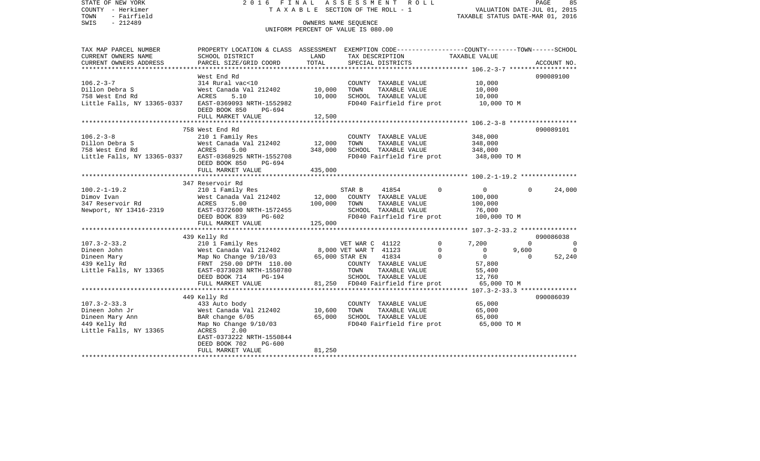STATE OF NEW YORK 2 0 1 6 F I N A L A S S E S S M E N T R O L L PAGE 85COUNTY - Herkimer **T A X A B L E SECTION OF THE ROLL - 1** VALUATION DATE-JUL 01, 2015 TOWN - Fairfield TAXABLE STATUS DATE-MAR 01, 2016 SWIS - 212489 OWNERS NAME SEQUENCE UNIFORM PERCENT OF VALUE IS 080.00TAX MAP PARCEL NUMBER PROPERTY LOCATION & CLASS ASSESSMENT EXEMPTION CODE------------------COUNTY--------TOWN------SCHOOL CURRENT OWNERS NAME SCHOOL DISTRICT LAND TAX DESCRIPTION TAXABLE VALUECURRENT OWNERS ADDRESS PARCEL SIZE/GRID COORD TOTAL SPECIAL DISTRICTS ACCOUNT NO. \*\*\*\*\*\*\*\*\*\*\*\*\*\*\*\*\*\*\*\*\*\*\*\*\*\*\*\*\*\*\*\*\*\*\*\*\*\*\*\*\*\*\*\*\*\*\*\*\*\*\*\*\*\*\*\*\*\*\*\*\*\*\*\*\*\*\*\*\*\*\*\*\*\*\*\*\*\*\*\*\*\*\*\*\*\*\*\*\*\*\*\*\*\*\*\*\*\*\*\*\*\*\* 106.2-3-7 \*\*\*\*\*\*\*\*\*\*\*\*\*\*\*\*\*\*West End Rd 090089100 106.2-3-7 314 Rural vac<10 COUNTY TAXABLE VALUE 10,000 Dillon Debra S West Canada Val 212402 10,000 TOWN TAXABLE VALUE 10,000 758 West End Rd ACRES 5.10 10,000 SCHOOL TAXABLE VALUE 10,000 Little Falls, NY 13365-0337 EAST-0369093 NRTH-1552982 FD040 Fairfield fire prot 10,000 TO M DEED BOOK 850 PG-694FULL MARKET VALUE 12,500 \*\*\*\*\*\*\*\*\*\*\*\*\*\*\*\*\*\*\*\*\*\*\*\*\*\*\*\*\*\*\*\*\*\*\*\*\*\*\*\*\*\*\*\*\*\*\*\*\*\*\*\*\*\*\*\*\*\*\*\*\*\*\*\*\*\*\*\*\*\*\*\*\*\*\*\*\*\*\*\*\*\*\*\*\*\*\*\*\*\*\*\*\*\*\*\*\*\*\*\*\*\*\* 106.2-3-8 \*\*\*\*\*\*\*\*\*\*\*\*\*\*\*\*\*\* 758 West End Rd 090089101106.2-3-8 210 1 Family Res COUNTY TAXABLE VALUE 348,000  $West$  Canada Val 212402 12,000 TOWN 758 West End Rd ACRES 5.00 348,000 SCHOOL TAXABLE VALUE 348,000 Little Falls, NY 13365-0337 EAST-0368925 NRTH-1552708 FD040 Fairfield fire prot 348,000 TO M DEED BOOK 850 PG-694FULL MARKET VALUE 435,000 \*\*\*\*\*\*\*\*\*\*\*\*\*\*\*\*\*\*\*\*\*\*\*\*\*\*\*\*\*\*\*\*\*\*\*\*\*\*\*\*\*\*\*\*\*\*\*\*\*\*\*\*\*\*\*\*\*\*\*\*\*\*\*\*\*\*\*\*\*\*\*\*\*\*\*\*\*\*\*\*\*\*\*\*\*\*\*\*\*\*\*\*\*\*\*\*\*\*\*\*\*\*\* 100.2-1-19.2 \*\*\*\*\*\*\*\*\*\*\*\*\*\*\* 347 Reservoir Rd100.2-1-19.2 210 1 Family Res STAR B 41854 0 0 0 24,000 Dimov Ivan West Canada Val 212402 12,000 COUNTY TAXABLE VALUE 100,000 347 Reservoir Rd ACRES 5.00 100,000 TOWN TAXABLE VALUE 100,000 Newport, NY 13416-2319 EAST-0372600 NRTH-1572455 SCHOOL TAXABLE VALUE 76,000 DEED BOOK 839 PG-602 FD040 Fairfield fire prot 100,000 TO M FULL MARKET VALUE 125,000 \*\*\*\*\*\*\*\*\*\*\*\*\*\*\*\*\*\*\*\*\*\*\*\*\*\*\*\*\*\*\*\*\*\*\*\*\*\*\*\*\*\*\*\*\*\*\*\*\*\*\*\*\*\*\*\*\*\*\*\*\*\*\*\*\*\*\*\*\*\*\*\*\*\*\*\*\*\*\*\*\*\*\*\*\*\*\*\*\*\*\*\*\*\*\*\*\*\*\*\*\*\*\* 107.3-2-33.2 \*\*\*\*\*\*\*\*\*\*\*\*\*\*\* 439 Kelly Rd 090086038 107.3-2-33.2 210 1 Family Res VET WAR C 41122 0 7,200 0 0 Dineen John West Canada Val 212402 8,000 VET WAR T 41123 0 0 9,600 0 Dineen Mary 65,000 STAR EN 41834 0 0 0 52,240 439 Kelly Rd FRNT 250.00 DPTH 110.00 COUNTY TAXABLE VALUE 57,800 Little Falls, NY 13365 EAST-0373028 NRTH-1550780 TOWN TAXABLE VALUE 55,400 DEED BOOK 714 PG-194 SCHOOL TAXABLE VALUE 12,760 FULL MARKET VALUE 81,250 FD040 Fairfield fire prot 65,000 TO M \*\*\*\*\*\*\*\*\*\*\*\*\*\*\*\*\*\*\*\*\*\*\*\*\*\*\*\*\*\*\*\*\*\*\*\*\*\*\*\*\*\*\*\*\*\*\*\*\*\*\*\*\*\*\*\*\*\*\*\*\*\*\*\*\*\*\*\*\*\*\*\*\*\*\*\*\*\*\*\*\*\*\*\*\*\*\*\*\*\*\*\*\*\*\*\*\*\*\*\*\*\*\* 107.3-2-33.3 \*\*\*\*\*\*\*\*\*\*\*\*\*\*\* 449 Kelly Rd 090086039 107.3-2-33.3 433 Auto body COUNTY TAXABLE VALUE 65,000 Dineen John Jr West Canada Val 212402 10,600 TOWN TAXABLE VALUE 65,000 Dineen Mary Ann BAR change 6/05 65,000 SCHOOL TAXABLE VALUE 65,000 449 Kelly Rd Map No Change 9/10/03 FD040 Fairfield fire prot 65,000 TO M Little Falls, NY 13365 ACRES 2.00 EAST-0373222 NRTH-1550844 DEED BOOK 702 PG-600FULL MARKET VALUE 81,250 \*\*\*\*\*\*\*\*\*\*\*\*\*\*\*\*\*\*\*\*\*\*\*\*\*\*\*\*\*\*\*\*\*\*\*\*\*\*\*\*\*\*\*\*\*\*\*\*\*\*\*\*\*\*\*\*\*\*\*\*\*\*\*\*\*\*\*\*\*\*\*\*\*\*\*\*\*\*\*\*\*\*\*\*\*\*\*\*\*\*\*\*\*\*\*\*\*\*\*\*\*\*\*\*\*\*\*\*\*\*\*\*\*\*\*\*\*\*\*\*\*\*\*\*\*\*\*\*\*\*\*\*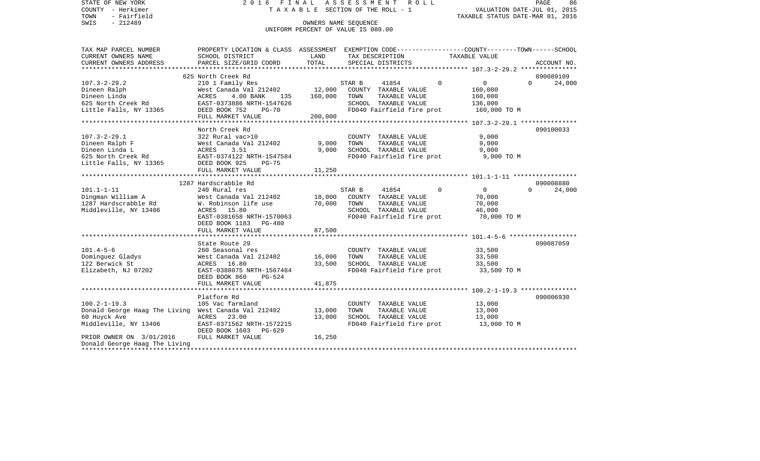| STATE OF NEW YORK                                                          |                                                                                                  |                      | 2016 FINAL ASSESSMENT ROLL                    |                                  | PAGE<br>86            |
|----------------------------------------------------------------------------|--------------------------------------------------------------------------------------------------|----------------------|-----------------------------------------------|----------------------------------|-----------------------|
| COUNTY - Herkimer                                                          |                                                                                                  |                      | T A X A B L E SECTION OF THE ROLL - 1         | VALUATION DATE-JUL 01, 2015      |                       |
| TOWN<br>- Fairfield                                                        |                                                                                                  |                      |                                               | TAXABLE STATUS DATE-MAR 01, 2016 |                       |
| $-212489$<br>SWIS                                                          |                                                                                                  | OWNERS NAME SEQUENCE |                                               |                                  |                       |
|                                                                            |                                                                                                  |                      | UNIFORM PERCENT OF VALUE IS 080.00            |                                  |                       |
|                                                                            |                                                                                                  |                      |                                               |                                  |                       |
| TAX MAP PARCEL NUMBER                                                      | PROPERTY LOCATION & CLASS ASSESSMENT EXEMPTION CODE----------------COUNTY-------TOWN------SCHOOL |                      |                                               |                                  |                       |
| CURRENT OWNERS NAME                                                        | SCHOOL DISTRICT                                                                                  | LAND                 | TAX DESCRIPTION                               | TAXABLE VALUE                    |                       |
| CURRENT OWNERS ADDRESS                                                     | PARCEL SIZE/GRID COORD                                                                           | TOTAL                | SPECIAL DISTRICTS                             |                                  | ACCOUNT NO.           |
|                                                                            |                                                                                                  |                      |                                               |                                  |                       |
|                                                                            | 625 North Creek Rd                                                                               |                      |                                               | $\Omega$<br>$\mathbf{0}$         | 090089109<br>$\Omega$ |
| 107.3-2-29.2<br>Dineen Ralph                                               | 210 1 Family Res<br>West Canada Val 212402                                                       | 12,000               | STAR B<br>41854<br>COUNTY TAXABLE VALUE       | 160,000                          | 24,000                |
| Dineen Linda                                                               | ACRES<br>4.00 BANK 135                                                                           | 160,000              | TOWN<br>TAXABLE VALUE                         | 160,000                          |                       |
| 625 North Creek Rd                                                         | EAST-0373886 NRTH-1547626                                                                        |                      | SCHOOL TAXABLE VALUE                          | 136,000                          |                       |
| Little Falls, NY 13365                                                     | DEED BOOK 752<br><b>PG-70</b>                                                                    |                      | FD040 Fairfield fire prot                     | 160,000 TO M                     |                       |
|                                                                            | FULL MARKET VALUE                                                                                | 200,000              |                                               |                                  |                       |
|                                                                            |                                                                                                  |                      |                                               |                                  |                       |
|                                                                            | North Creek Rd                                                                                   |                      |                                               |                                  | 090100033             |
| 107.3-2-29.1                                                               | 322 Rural vac>10                                                                                 |                      | COUNTY TAXABLE VALUE                          | 9,000                            |                       |
| Dineen Ralph F                                                             | West Canada Val 212402                                                                           | 9,000                | TAXABLE VALUE<br>TOWN                         | 9,000                            |                       |
| Dineen Linda L                                                             | ACRES<br>3.51                                                                                    | 9,000                | SCHOOL TAXABLE VALUE                          | 9,000                            |                       |
| 625 North Creek Rd                                                         | EAST-0374122 NRTH-1547584                                                                        |                      | FD040 Fairfield fire prot                     | 9,000 TO M                       |                       |
| Little Falls, NY 13365 DEED BOOK 925                                       | PG-75                                                                                            |                      |                                               |                                  |                       |
|                                                                            | FULL MARKET VALUE                                                                                | 11,250               |                                               |                                  |                       |
|                                                                            |                                                                                                  |                      |                                               |                                  |                       |
|                                                                            | 1287 Hardscrabble Rd                                                                             |                      |                                               |                                  | 090008880             |
| $101.1 - 1 - 11$<br>-----<br>Dingman William A                             | 240 Rural res                                                                                    |                      | STAR B<br>41854<br>COUNTY TAXABLE VALUE       | $\Omega$<br>$\overline{0}$       | 24,000<br>$\Omega$    |
| 1287 Hardscrabble Rd                                                       | West Canada Val 212402<br>W. Robinson life use                                                   | 18,000<br>70,000     | TOWN<br>TAXABLE VALUE                         | 70,000<br>70,000                 |                       |
| Middleville, NY 13406                                                      | ACRES 15.80                                                                                      |                      | SCHOOL TAXABLE VALUE                          | 46,000                           |                       |
|                                                                            | EAST-0381658 NRTH-1570063                                                                        |                      | FD040 Fairfield fire prot                     | 70,000 TO M                      |                       |
|                                                                            | DEED BOOK 1183<br>PG-480                                                                         |                      |                                               |                                  |                       |
|                                                                            | FULL MARKET VALUE                                                                                | 87,500               |                                               |                                  |                       |
|                                                                            |                                                                                                  |                      |                                               |                                  |                       |
|                                                                            | State Route 29                                                                                   |                      |                                               |                                  | 090087059             |
| $101.4 - 5 - 6$                                                            | 260 Seasonal res                                                                                 |                      | COUNTY TAXABLE VALUE                          | 33,500                           |                       |
| Dominguez Gladys                                                           | West Canada Val 212402                                                                           | 16,000               | TOWN<br>TAXABLE VALUE                         | 33,500                           |                       |
| 122 Berwick St                                                             | ACRES 16.80                                                                                      | 33,500               | SCHOOL TAXABLE VALUE                          | 33,500                           |                       |
| Elizabeth, NJ 07202                                                        | EAST-0388075 NRTH-1567484                                                                        |                      | FD040 Fairfield fire prot                     | 33,500 TO M                      |                       |
|                                                                            | DEED BOOK 860<br>PG-524                                                                          |                      |                                               |                                  |                       |
|                                                                            | FULL MARKET VALUE                                                                                | 41,875               |                                               |                                  |                       |
|                                                                            |                                                                                                  |                      |                                               |                                  |                       |
|                                                                            | Platform Rd                                                                                      |                      |                                               |                                  | 090006930             |
| $100.2 - 1 - 19.3$<br>Donald George Haag The Living West Canada Val 212402 | 105 Vac farmland                                                                                 | 13,000               | COUNTY TAXABLE VALUE<br>TAXABLE VALUE<br>TOWN | 13,000<br>13,000                 |                       |
| 60 Huyck Ave                                                               | 23.00<br>ACRES                                                                                   | 13,000               | SCHOOL TAXABLE VALUE                          | 13,000                           |                       |
| Middleville, NY 13406                                                      | EAST-0371562 NRTH-1572215                                                                        |                      | FD040 Fairfield fire prot                     | 13,000 TO M                      |                       |
|                                                                            | DEED BOOK 1603<br>PG-629                                                                         |                      |                                               |                                  |                       |
| PRIOR OWNER ON 3/01/2016                                                   | FULL MARKET VALUE                                                                                | 16,250               |                                               |                                  |                       |
| Donald George Haag The Living                                              |                                                                                                  |                      |                                               |                                  |                       |
|                                                                            |                                                                                                  |                      |                                               |                                  |                       |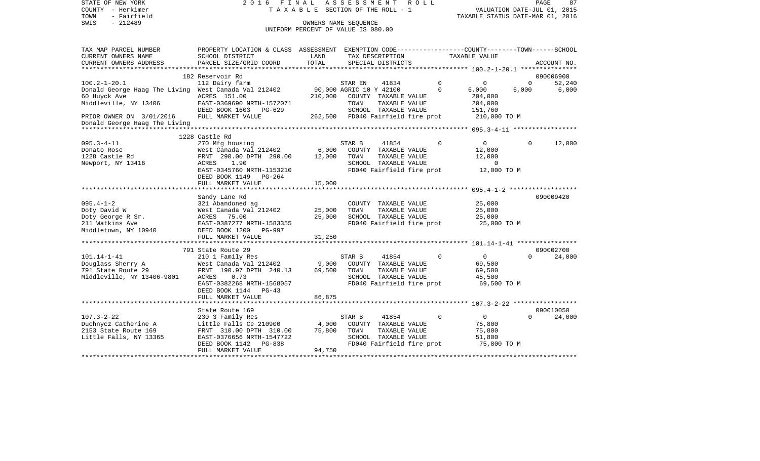| STATE OF NEW YORK<br>COUNTY - Herkimer<br>- Fairfield<br>TOWN<br>$-212489$<br>SWIS | 2016 FINAL                                                                                                                                   | TAXABLE SECTION OF THE ROLL - 1<br>OWNERS NAME SEOUENCE<br>UNIFORM PERCENT OF VALUE IS 080.00 | A S S E S S M E N T               |                                                   | R O L L |                   | VALUATION DATE-JUL 01, 2015<br>TAXABLE STATUS DATE-MAR 01, 2016 | PAGE     | 87          |
|------------------------------------------------------------------------------------|----------------------------------------------------------------------------------------------------------------------------------------------|-----------------------------------------------------------------------------------------------|-----------------------------------|---------------------------------------------------|---------|-------------------|-----------------------------------------------------------------|----------|-------------|
| TAX MAP PARCEL NUMBER<br>CURRENT OWNERS NAME<br>CURRENT OWNERS ADDRESS             | PROPERTY LOCATION & CLASS ASSESSMENT EXEMPTION CODE---------------COUNTY-------TOWN------SCHOOL<br>SCHOOL DISTRICT<br>PARCEL SIZE/GRID COORD | LAND<br>TOTAL                                                                                 |                                   | TAX DESCRIPTION<br>SPECIAL DISTRICTS              |         | TAXABLE VALUE     |                                                                 |          | ACCOUNT NO. |
| ***********************                                                            |                                                                                                                                              |                                                                                               |                                   |                                                   |         |                   |                                                                 |          |             |
|                                                                                    | 182 Reservoir Rd                                                                                                                             |                                                                                               |                                   |                                                   |         |                   |                                                                 |          | 090006900   |
| $100.2 - 1 - 20.1$                                                                 | 112 Dairy farm                                                                                                                               |                                                                                               | STAR EN                           | 41834                                             |         | $\Omega$          | $\Omega$                                                        | $\Omega$ | 52,240      |
| Donald George Haag The Living West Canada Val 212402<br>60 Huyck Ave               | ACRES 151.00                                                                                                                                 | 210,000                                                                                       | 90,000 AGRIC 10 Y 42100           | COUNTY TAXABLE VALUE                              |         | $\Omega$<br>6,000 | 204,000                                                         | 6,000    | 6,000       |
| Middleville, NY 13406                                                              | EAST-0369690 NRTH-1572071<br>DEED BOOK 1603 PG-629                                                                                           |                                                                                               | TOWN                              | TAXABLE VALUE<br>SCHOOL TAXABLE VALUE             |         |                   | 204,000<br>151,760                                              |          |             |
| PRIOR OWNER ON 3/01/2016                                                           | FULL MARKET VALUE                                                                                                                            |                                                                                               | 262,500 FD040 Fairfield fire prot |                                                   |         |                   | 210,000 TO M                                                    |          |             |
| Donald George Haag The Living                                                      |                                                                                                                                              |                                                                                               |                                   |                                                   |         |                   |                                                                 |          |             |
|                                                                                    |                                                                                                                                              |                                                                                               |                                   |                                                   |         |                   |                                                                 |          |             |
|                                                                                    | 1228 Castle Rd                                                                                                                               |                                                                                               |                                   |                                                   |         |                   |                                                                 |          |             |
| $095.3 - 4 - 11$<br>Donato Rose                                                    | 270 Mfg housing<br>West Canada Val 212402                                                                                                    | 6,000                                                                                         | STAR B                            | 41854<br>COUNTY TAXABLE VALUE                     |         | $\Omega$          | $\mathbf{0}$<br>12,000                                          | $\Omega$ | 12,000      |
| 1228 Castle Rd                                                                     | FRNT 290.00 DPTH 290.00                                                                                                                      | 12,000                                                                                        | TOWN                              | TAXABLE VALUE                                     |         |                   | 12,000                                                          |          |             |
| Newport, NY 13416                                                                  | ACRES<br>1.90                                                                                                                                |                                                                                               |                                   | SCHOOL TAXABLE VALUE                              |         |                   | 0                                                               |          |             |
|                                                                                    | EAST-0345760 NRTH-1153210<br>DEED BOOK 1149 PG-264                                                                                           |                                                                                               |                                   | FD040 Fairfield fire prot                         |         |                   | 12,000 TO M                                                     |          |             |
|                                                                                    | FULL MARKET VALUE                                                                                                                            | 15,000                                                                                        |                                   |                                                   |         |                   |                                                                 |          |             |
|                                                                                    | Sandy Lane Rd                                                                                                                                |                                                                                               |                                   |                                                   |         |                   |                                                                 |          | 090009420   |
| $095.4 - 1 - 2$                                                                    | 321 Abandoned ag                                                                                                                             |                                                                                               |                                   | COUNTY TAXABLE VALUE                              |         |                   | 25,000                                                          |          |             |
| Doty David W                                                                       | West Canada Val 212402                                                                                                                       | 25,000                                                                                        | TOWN                              | TAXABLE VALUE                                     |         |                   | 25,000                                                          |          |             |
| Doty George R Sr.                                                                  | ACRES 75.00                                                                                                                                  | 25,000                                                                                        |                                   | SCHOOL TAXABLE VALUE                              |         |                   | 25,000                                                          |          |             |
| 211 Watkins Ave                                                                    | EAST-0387277 NRTH-1583355                                                                                                                    |                                                                                               |                                   | FD040 Fairfield fire prot                         |         |                   | 25,000 TO M                                                     |          |             |
| Middletown, NY 10940                                                               | DEED BOOK 1200 PG-997<br>FULL MARKET VALUE                                                                                                   | 31,250                                                                                        |                                   |                                                   |         |                   |                                                                 |          |             |
|                                                                                    | *******************************                                                                                                              |                                                                                               |                                   |                                                   |         |                   |                                                                 |          |             |
|                                                                                    | 791 State Route 29                                                                                                                           |                                                                                               |                                   |                                                   |         |                   |                                                                 |          | 090002700   |
| $101.14 - 1 - 41$                                                                  | 210 1 Family Res                                                                                                                             |                                                                                               | STAR B                            | 41854                                             |         | $\Omega$          | $\overline{0}$                                                  | $\Omega$ | 24,000      |
| Douglass Sherry A                                                                  | West Canada Val 212402                                                                                                                       | 9,000                                                                                         |                                   | COUNTY TAXABLE VALUE                              |         |                   | 69,500                                                          |          |             |
| 791 State Route 29                                                                 | FRNT 190.97 DPTH 240.13                                                                                                                      | 69,500                                                                                        | TOWN                              | TAXABLE VALUE                                     |         |                   | 69,500                                                          |          |             |
| Middleville, NY 13406-9801                                                         | ACRES<br>0.73<br>EAST-0382268 NRTH-1568057                                                                                                   |                                                                                               |                                   | SCHOOL TAXABLE VALUE<br>FD040 Fairfield fire prot |         |                   | 45,500<br>69,500 TO M                                           |          |             |
|                                                                                    | DEED BOOK 1144 PG-43                                                                                                                         |                                                                                               |                                   |                                                   |         |                   |                                                                 |          |             |
|                                                                                    | FULL MARKET VALUE                                                                                                                            | 86,875                                                                                        |                                   |                                                   |         |                   |                                                                 |          |             |
|                                                                                    |                                                                                                                                              |                                                                                               |                                   |                                                   |         |                   |                                                                 |          |             |
|                                                                                    | State Route 169                                                                                                                              |                                                                                               |                                   |                                                   |         |                   |                                                                 |          | 090010050   |
| $107.3 - 2 - 22$<br>Duchnycz Catherine A                                           | 230 3 Family Res<br>Little Falls Ce 210900                                                                                                   | 4,000                                                                                         | STAR B                            | 41854<br>COUNTY TAXABLE VALUE                     |         | $\Omega$          | $\Omega$<br>75,800                                              | $\Omega$ | 24,000      |
| 2153 State Route 169                                                               | FRNT 310.00 DPTH 310.00                                                                                                                      | 75,800                                                                                        | TOWN                              | TAXABLE VALUE                                     |         |                   | 75,800                                                          |          |             |
| Little Falls, NY 13365                                                             | EAST-0376656 NRTH-1547722                                                                                                                    |                                                                                               |                                   | SCHOOL TAXABLE VALUE                              |         |                   | 51,800                                                          |          |             |
|                                                                                    | DEED BOOK 1142 PG-838                                                                                                                        |                                                                                               |                                   | FD040 Fairfield fire prot                         |         |                   | 75,800 TO M                                                     |          |             |
| ********************                                                               | FULL MARKET VALUE                                                                                                                            | 94,750                                                                                        |                                   |                                                   |         |                   |                                                                 |          |             |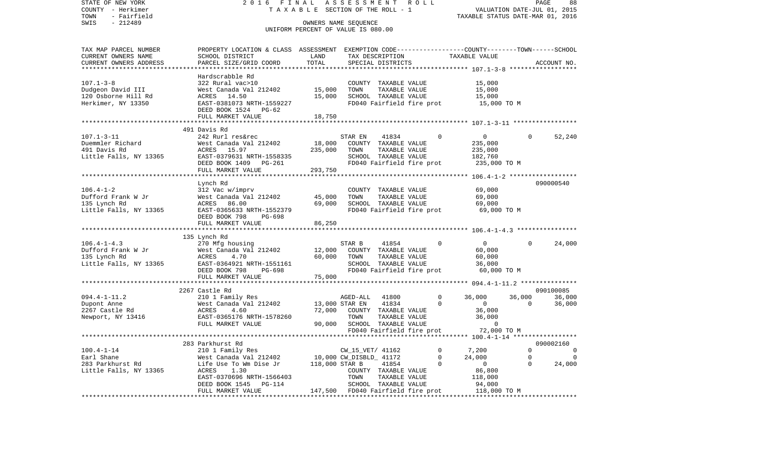STATE OF NEW YORK 2 0 1 6 F I N A L A S S E S S M E N T R O L L PAGE 88VALUATION DATE-JUL 01, 2015 COUNTY - Herkimer T A X A B L E SECTION OF THE ROLL - 1 TOWN - Fairfield TAXABLE STATUS DATE-MAR 01, 2016 SWIS - 212489 OWNERS NAME SEQUENCE UNIFORM PERCENT OF VALUE IS 080.00TAX MAP PARCEL NUMBER PROPERTY LOCATION & CLASS ASSESSMENT EXEMPTION CODE------------------COUNTY--------TOWN------SCHOOL CURRENT OWNERS NAME SCHOOL DISTRICT LAND TAX DESCRIPTION TAXABLE VALUECURRENT OWNERS ADDRESS PARCEL SIZE/GRID COORD TOTAL SPECIAL DISTRICTS ACCOUNT NO. \*\*\*\*\*\*\*\*\*\*\*\*\*\*\*\*\*\*\*\*\*\*\*\*\*\*\*\*\*\*\*\*\*\*\*\*\*\*\*\*\*\*\*\*\*\*\*\*\*\*\*\*\*\*\*\*\*\*\*\*\*\*\*\*\*\*\*\*\*\*\*\*\*\*\*\*\*\*\*\*\*\*\*\*\*\*\*\*\*\*\*\*\*\*\*\*\*\*\*\*\*\*\* 107.1-3-8 \*\*\*\*\*\*\*\*\*\*\*\*\*\*\*\*\*\* Hardscrabble Rd $322$  Rural vac $>10$ 107.1-3-8 322 Rural vac>10 COUNTY TAXABLE VALUE 15,000 Dudgeon David III West Canada Val 212402 15,000 TOWN TAXABLE VALUE 15,000 120 Osborne Hill Rd ACRES 14.50 15,000 SCHOOL TAXABLE VALUE 15,000 Herkimer, NY 13350 EAST-0381073 NRTH-1559227 FD040 Fairfield fire prot 15,000 TO M DEED BOOK 1524 PG-62FULL MARKET VALUE 18,750 \*\*\*\*\*\*\*\*\*\*\*\*\*\*\*\*\*\*\*\*\*\*\*\*\*\*\*\*\*\*\*\*\*\*\*\*\*\*\*\*\*\*\*\*\*\*\*\*\*\*\*\*\*\*\*\*\*\*\*\*\*\*\*\*\*\*\*\*\*\*\*\*\*\*\*\*\*\*\*\*\*\*\*\*\*\*\*\*\*\*\*\*\*\*\*\*\*\*\*\*\*\*\* 107.1-3-11 \*\*\*\*\*\*\*\*\*\*\*\*\*\*\*\*\* 491 Davis Rd107.1-3-11 242 Rurl res&rec STAR EN 41834 0 0 0 52,240 Duemmler Richard West Canada Val 212402 18,000 COUNTY TAXABLE VALUE 235,000 491 Davis Rd ACRES 15.97 235,000 TOWN TAXABLE VALUE 235,000 Little Falls, NY 13365 EAST-0379631 NRTH-1558335 SCHOOL TAXABLE VALUE 182,760 DEED BOOK 1409 PG-261 FD040 Fairfield fire prot 235,000 TO M FULL MARKET VALUE 293,750 \*\*\*\*\*\*\*\*\*\*\*\*\*\*\*\*\*\*\*\*\*\*\*\*\*\*\*\*\*\*\*\*\*\*\*\*\*\*\*\*\*\*\*\*\*\*\*\*\*\*\*\*\*\*\*\*\*\*\*\*\*\*\*\*\*\*\*\*\*\*\*\*\*\*\*\*\*\*\*\*\*\*\*\*\*\*\*\*\*\*\*\*\*\*\*\*\*\*\*\*\*\*\* 106.4-1-2 \*\*\*\*\*\*\*\*\*\*\*\*\*\*\*\*\*\* Lynch Rd 090000540 106.4-1-2 312 Vac w/imprv COUNTY TAXABLE VALUE 69,000 Dufford Frank W Jr West Canada Val 212402 45,000 TOWN TAXABLE VALUE 69,000 135 Lynch Rd ACRES 86.00 69,000 SCHOOL TAXABLE VALUE 69,000 Little Falls, NY 13365 EAST-0365633 NRTH-1552379 FD040 Fairfield fire prot 69,000 TO M DEED BOOK 798 PG-698FULL MARKET VALUE 86,250 \*\*\*\*\*\*\*\*\*\*\*\*\*\*\*\*\*\*\*\*\*\*\*\*\*\*\*\*\*\*\*\*\*\*\*\*\*\*\*\*\*\*\*\*\*\*\*\*\*\*\*\*\*\*\*\*\*\*\*\*\*\*\*\*\*\*\*\*\*\*\*\*\*\*\*\*\*\*\*\*\*\*\*\*\*\*\*\*\*\*\*\*\*\*\*\*\*\*\*\*\*\*\* 106.4-1-4.3 \*\*\*\*\*\*\*\*\*\*\*\*\*\*\*\* 135 Lynch Rd 106.4-1-4.3 270 Mfg housing STAR B 41854 0 0 0 24,000 Dufford Frank W Jr West Canada Val 212402 12,000 COUNTY TAXABLE VALUE 60,000 135 Lynch Rd ACRES 4.70 60,000 TOWN TAXABLE VALUE 60,000 Little Falls, NY 13365 EAST-0364921 NRTH-1551161 SCHOOL TAXABLE VALUE 36,000 DEED BOOK 798 PG-698 FD040 Fairfield fire prot 60,000 TO M FULL MARKET VALUE 75,000 \*\*\*\*\*\*\*\*\*\*\*\*\*\*\*\*\*\*\*\*\*\*\*\*\*\*\*\*\*\*\*\*\*\*\*\*\*\*\*\*\*\*\*\*\*\*\*\*\*\*\*\*\*\*\*\*\*\*\*\*\*\*\*\*\*\*\*\*\*\*\*\*\*\*\*\*\*\*\*\*\*\*\*\*\*\*\*\*\*\*\*\*\*\*\*\*\*\*\*\*\*\*\* 094.4-1-11.2 \*\*\*\*\*\*\*\*\*\*\*\*\*\*\* 2267 Castle Rd 090100085094.4-1-11.2 200 1 Family Res AGED-ALL 41800 0 36,000 36,000 36,000 36,000 Dupont Anne West Canada Val 212402 13,000 STAR EN 41834 0 0 0 36,000 2267 Castle Rd ACRES 4.60 72,000 COUNTY TAXABLE VALUE 36,000 Newport, NY 13416 EAST-0365176 NRTH-1578260 TOWN TAXABLE VALUE 36,000 FULL MARKET VALUE 90,000 SCHOOL TAXABLE VALUE 0 FD040 Fairfield fire prot 72,000 TO M \*\*\*\*\*\*\*\*\*\*\*\*\*\*\*\*\*\*\*\*\*\*\*\*\*\*\*\*\*\*\*\*\*\*\*\*\*\*\*\*\*\*\*\*\*\*\*\*\*\*\*\*\*\*\*\*\*\*\*\*\*\*\*\*\*\*\*\*\*\*\*\*\*\*\*\*\*\*\*\*\*\*\*\*\*\*\*\*\*\*\*\*\*\*\*\*\*\*\*\*\*\*\* 100.4-1-14 \*\*\*\*\*\*\*\*\*\*\*\*\*\*\*\*\* 283 Parkhurst Rd 090002160100.4-1-14 210 1 Family Res CW\_15\_VET/ 41162 0 7,200 0 0 Earl Shane West Canada Val 212402 10,000 CW\_DISBLD\_ 41172 0 24,000 0 0 283 Parkhurst Rd Life Use To Wm Dise Jr 118,000 STAR B 41854 0 0 0 24,000 Little Falls, NY 13365 ACRES 1.30 COUNTY TAXABLE VALUE 86,800 EAST-0370696 NRTH-1566403 TOWN TAXABLE VALUE 118,000 DEED BOOK 1545 PG-114 SCHOOL TAXABLE VALUE 94,000 FULL MARKET VALUE  $147,500$  FD040 Fairfield fire prot 118,000 TO M \*\*\*\*\*\*\*\*\*\*\*\*\*\*\*\*\*\*\*\*\*\*\*\*\*\*\*\*\*\*\*\*\*\*\*\*\*\*\*\*\*\*\*\*\*\*\*\*\*\*\*\*\*\*\*\*\*\*\*\*\*\*\*\*\*\*\*\*\*\*\*\*\*\*\*\*\*\*\*\*\*\*\*\*\*\*\*\*\*\*\*\*\*\*\*\*\*\*\*\*\*\*\*\*\*\*\*\*\*\*\*\*\*\*\*\*\*\*\*\*\*\*\*\*\*\*\*\*\*\*\*\*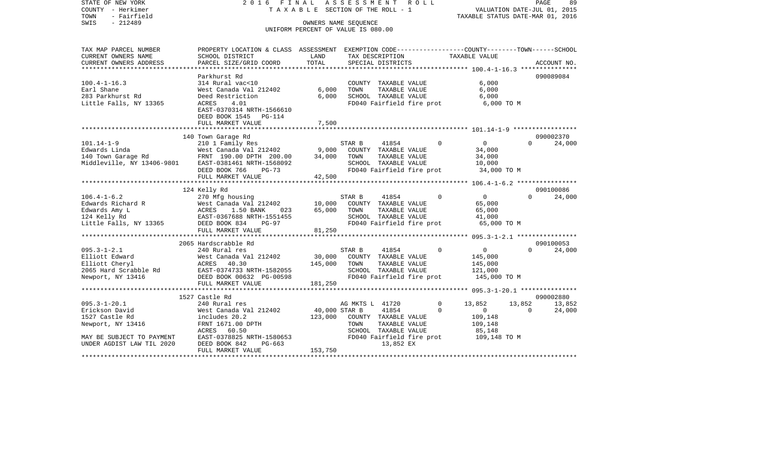| COUNTY<br>– Herkimer<br>TOWN<br>- Fairfield            | TAXABLE                                                                                         |                                    |                        | SECTION OF THE ROLL - 1                           |             | TAXABLE STATUS DATE-MAR 01, 2016                   |          | VALUATION DATE-JUL 01, 2015 |
|--------------------------------------------------------|-------------------------------------------------------------------------------------------------|------------------------------------|------------------------|---------------------------------------------------|-------------|----------------------------------------------------|----------|-----------------------------|
| SWIS<br>$-212489$                                      |                                                                                                 | OWNERS NAME SEOUENCE               |                        |                                                   |             |                                                    |          |                             |
|                                                        |                                                                                                 | UNIFORM PERCENT OF VALUE IS 080.00 |                        |                                                   |             |                                                    |          |                             |
| TAX MAP PARCEL NUMBER                                  | PROPERTY LOCATION & CLASS ASSESSMENT EXEMPTION CODE---------------COUNTY-------TOWN------SCHOOL |                                    |                        |                                                   |             |                                                    |          |                             |
| CURRENT OWNERS NAME                                    | SCHOOL DISTRICT                                                                                 | LAND                               |                        | TAX DESCRIPTION                                   |             | TAXABLE VALUE                                      |          |                             |
| CURRENT OWNERS ADDRESS                                 | PARCEL SIZE/GRID COORD                                                                          | TOTAL<br>**********                |                        | SPECIAL DISTRICTS                                 |             |                                                    |          | ACCOUNT NO.                 |
|                                                        | Parkhurst Rd                                                                                    |                                    |                        |                                                   |             |                                                    |          | 090089084                   |
| $100.4 - 1 - 16.3$                                     | 314 Rural vac<10                                                                                |                                    |                        | COUNTY TAXABLE VALUE                              |             | 6,000                                              |          |                             |
| Earl Shane                                             | West Canada Val 212402                                                                          | 6,000                              | TOWN                   | TAXABLE VALUE                                     |             | 6,000                                              |          |                             |
| 283 Parkhurst Rd                                       | Deed Restriction                                                                                | 6,000                              |                        | SCHOOL TAXABLE VALUE                              |             | 6,000                                              |          |                             |
| Little Falls, NY 13365                                 | 4.01<br>ACRES                                                                                   |                                    |                        | FD040 Fairfield fire prot                         |             | 6,000 TO M                                         |          |                             |
|                                                        | EAST-0370314 NRTH-1566610                                                                       |                                    |                        |                                                   |             |                                                    |          |                             |
|                                                        | DEED BOOK 1545<br>PG-114                                                                        |                                    |                        |                                                   |             |                                                    |          |                             |
|                                                        | FULL MARKET VALUE                                                                               | 7,500                              |                        |                                                   |             |                                                    |          |                             |
|                                                        | 140 Town Garage Rd                                                                              |                                    |                        |                                                   |             |                                                    |          | 090002370                   |
| $101.14 - 1 - 9$                                       | 210 1 Family Res                                                                                |                                    | STAR B                 | 41854                                             | $\Omega$    | $\overline{0}$                                     | $\Omega$ | 24,000                      |
| Edwards Linda                                          | West Canada Val 212402                                                                          | 9,000                              |                        | COUNTY TAXABLE VALUE                              |             | 34,000                                             |          |                             |
| 140 Town Garage Rd                                     | FRNT 190.00 DPTH 200.00                                                                         | 34,000                             | TOWN                   | TAXABLE VALUE                                     |             | 34,000                                             |          |                             |
| Middleville, NY 13406-9801                             | EAST-0381461 NRTH-1568092                                                                       |                                    |                        | SCHOOL TAXABLE VALUE                              |             | 10,000                                             |          |                             |
|                                                        | DEED BOOK 766<br>$PG-73$                                                                        |                                    |                        | FD040 Fairfield fire prot                         |             | 34,000 TO M                                        |          |                             |
|                                                        | FULL MARKET VALUE                                                                               | 42,500                             |                        |                                                   |             |                                                    |          |                             |
|                                                        |                                                                                                 |                                    |                        |                                                   |             |                                                    |          |                             |
|                                                        | 124 Kelly Rd                                                                                    |                                    |                        |                                                   |             |                                                    |          | 090100086                   |
| $106.4 - 1 - 6.2$<br>Edwards Richard R                 | 270 Mfg housing<br>West Canada Val 212402                                                       |                                    | STAR B                 | 41854<br>COUNTY TAXABLE VALUE                     | $\Omega$    | $\mathsf{O}$                                       | $\Omega$ | 24,000                      |
| Edwards Amy L                                          | ACRES<br>1.50 BANK<br>023                                                                       | 10,000<br>65,000                   | TOWN                   | TAXABLE VALUE                                     |             | 65,000<br>65,000                                   |          |                             |
| 124 Kelly Rd                                           | EAST-0367688 NRTH-1551455                                                                       |                                    |                        | SCHOOL TAXABLE VALUE                              |             | 41,000                                             |          |                             |
| Little Falls, NY 13365                                 | DEED BOOK 834<br>$PG-97$                                                                        |                                    |                        | FD040 Fairfield fire prot                         |             | 65,000 TO M                                        |          |                             |
|                                                        | FULL MARKET VALUE                                                                               | 81,250                             |                        |                                                   |             |                                                    |          |                             |
|                                                        | ************************                                                                        |                                    | ********************** |                                                   |             | ********** 095.3-1-2.1 *****************           |          |                             |
|                                                        | 2065 Hardscrabble Rd                                                                            |                                    |                        |                                                   |             |                                                    |          | 090100053                   |
| $095.3 - 1 - 2.1$                                      | 240 Rural res                                                                                   |                                    | STAR B                 | 41854                                             | $\Omega$    | $\mathbf 0$                                        | $\Omega$ | 24,000                      |
| Elliott Edward                                         | West Canada Val 212402                                                                          | 30,000                             |                        | COUNTY TAXABLE VALUE                              |             | 145,000                                            |          |                             |
| Elliott Cheryl                                         | ACRES<br>40.30                                                                                  | 145,000                            | TOWN                   | TAXABLE VALUE                                     |             | 145,000                                            |          |                             |
| 2065 Hard Scrabble Rd<br>Newport, NY 13416             | EAST-0374733 NRTH-1582055<br>DEED BOOK 00632 PG-00598                                           |                                    |                        | SCHOOL TAXABLE VALUE<br>FD040 Fairfield fire prot |             | 121,000<br>145,000 TO M                            |          |                             |
|                                                        | FULL MARKET VALUE                                                                               | 181,250                            |                        |                                                   |             |                                                    |          |                             |
|                                                        | ************************                                                                        |                                    |                        |                                                   |             | ********************* 095.3-1-20.1 *************** |          |                             |
|                                                        | 1527 Castle Rd                                                                                  |                                    |                        |                                                   |             |                                                    |          | 090002880                   |
| $095.3 - 1 - 20.1$                                     | 240 Rural res                                                                                   |                                    | AG MKTS L 41720        |                                                   | $\mathbf 0$ | 13,852                                             | 13,852   | 13,852                      |
| Erickson David                                         | West Canada Val 212402                                                                          | 40,000 STAR B                      |                        | 41854                                             | $\Omega$    | $\mathbf 0$                                        | $\Omega$ | 24,000                      |
| 1527 Castle Rd                                         | includes 20.2                                                                                   | 123,000                            |                        | COUNTY TAXABLE VALUE                              |             | 109,148                                            |          |                             |
| Newport, NY 13416                                      | FRNT 1671.00 DPTH                                                                               |                                    | TOWN                   | TAXABLE VALUE                                     |             | 109,148                                            |          |                             |
|                                                        | ACRES<br>60.50                                                                                  |                                    |                        | SCHOOL TAXABLE VALUE                              |             | 85,148                                             |          |                             |
| MAY BE SUBJECT TO PAYMENT<br>UNDER AGDIST LAW TIL 2020 | EAST-0378825 NRTH-1580653<br>DEED BOOK 842<br>$PG-663$                                          |                                    |                        | FD040 Fairfield fire prot<br>13,852 EX            |             | 109,148 TO M                                       |          |                             |
|                                                        | FULL MARKET VALUE                                                                               | 153,750                            |                        |                                                   |             |                                                    |          |                             |
|                                                        |                                                                                                 |                                    |                        |                                                   |             |                                                    |          |                             |

PAGE 89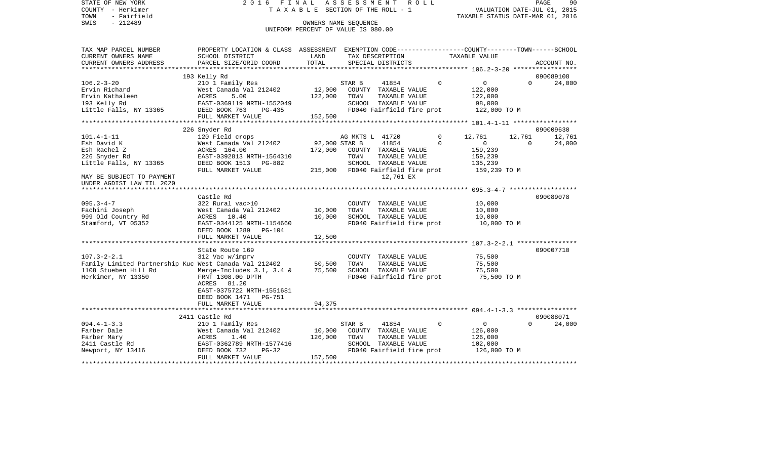STATE OF NEW YORK 2 0 1 6 F I N A L A S S E S S M E N T R O L L PAGE 90COUNTY - Herkimer **T A X A B L E SECTION OF THE ROLL - 1** VALUATION DATE-JUL 01, 2015 TOWN - Fairfield TAXABLE STATUS DATE-MAR 01, 2016 SWIS - 212489 CONNERS NAME SEQUENCE UNIFORM PERCENT OF VALUE IS 080.00TAX MAP PARCEL NUMBER PROPERTY LOCATION & CLASS ASSESSMENT EXEMPTION CODE------------------COUNTY--------TOWN------SCHOOL CURRENT OWNERS NAME SCHOOL DISTRICT LAND TAX DESCRIPTION TAXABLE VALUECURRENT OWNERS ADDRESS PARCEL SIZE/GRID COORD TOTAL SPECIAL DISTRICTS ACCOUNT NO. \*\*\*\*\*\*\*\*\*\*\*\*\*\*\*\*\*\*\*\*\*\*\*\*\*\*\*\*\*\*\*\*\*\*\*\*\*\*\*\*\*\*\*\*\*\*\*\*\*\*\*\*\*\*\*\*\*\*\*\*\*\*\*\*\*\*\*\*\*\*\*\*\*\*\*\*\*\*\*\*\*\*\*\*\*\*\*\*\*\*\*\*\*\*\*\*\*\*\*\*\*\*\* 106.2-3-20 \*\*\*\*\*\*\*\*\*\*\*\*\*\*\*\*\* 193 Kelly Rd 090089108 106.2-3-20 210 1 Family Res STAR B 41854 0 0 0 24,000 Ervin Richard West Canada Val 212402 12,000 COUNTY TAXABLE VALUE 122,000 Ervin Kathaleen ACRES 5.00 122,000 TOWN TAXABLE VALUE 122,000 193 Kelly Rd EAST-0369119 NRTH-1552049 SCHOOL TAXABLE VALUE 98,000 Little Falls, NY 13365 DEED BOOK 763 PG-435 FD040 Fairfield fire prot 122,000 TO M FULL MARKET VALUE 152,500 \*\*\*\*\*\*\*\*\*\*\*\*\*\*\*\*\*\*\*\*\*\*\*\*\*\*\*\*\*\*\*\*\*\*\*\*\*\*\*\*\*\*\*\*\*\*\*\*\*\*\*\*\*\*\*\*\*\*\*\*\*\*\*\*\*\*\*\*\*\*\*\*\*\*\*\*\*\*\*\*\*\*\*\*\*\*\*\*\*\*\*\*\*\*\*\*\*\*\*\*\*\*\* 101.4-1-11 \*\*\*\*\*\*\*\*\*\*\*\*\*\*\*\*\* 226 Snyder Rd 090009630 101.4-1-11 120 Field crops AG MKTS L 41720 0 12,761 12,761 12,761 Esh David K West Canada Val 212402 92,000 STAR B 41854 0 0 0 24,000 Esh Rachel Z ACRES 164.00 172,000 COUNTY TAXABLE VALUE 159,239 226 Snyder Rd EAST-0392813 NRTH-1564310 TOWN TAXABLE VALUE 159,239 Little Falls, NY 13365 DEED BOOK 1513 PG-882 SCHOOL TAXABLE VALUE 135,239 FULL MARKET VALUE 215,000 FD040 Fairfield fire prot 159,239 TO M MAY BE SUBJECT TO PAYMENT 12,761 EX UNDER AGDIST LAW TIL 2020 \*\*\*\*\*\*\*\*\*\*\*\*\*\*\*\*\*\*\*\*\*\*\*\*\*\*\*\*\*\*\*\*\*\*\*\*\*\*\*\*\*\*\*\*\*\*\*\*\*\*\*\*\*\*\*\*\*\*\*\*\*\*\*\*\*\*\*\*\*\*\*\*\*\*\*\*\*\*\*\*\*\*\*\*\*\*\*\*\*\*\*\*\*\*\*\*\*\*\*\*\*\*\* 095.3-4-7 \*\*\*\*\*\*\*\*\*\*\*\*\*\*\*\*\*\* Castle Rd 090089078095.3-4-7 322 Rural vac>10 COUNTY TAXABLE VALUE 10,000 Fachini Joseph West Canada Val 212402 10,000 TOWN TAXABLE VALUE 10,000 999 Old Country Rd  $ACRES$  10.40 10,000 SCHOOL TAXABLE VALUE 10,000 Stamford, VT 05352 EAST-0344125 NRTH-1154660 FD040 Fairfield fire prot 10,000 TO M DEED BOOK 1289 PG-104FULL MARKET VALUE 12,500 \*\*\*\*\*\*\*\*\*\*\*\*\*\*\*\*\*\*\*\*\*\*\*\*\*\*\*\*\*\*\*\*\*\*\*\*\*\*\*\*\*\*\*\*\*\*\*\*\*\*\*\*\*\*\*\*\*\*\*\*\*\*\*\*\*\*\*\*\*\*\*\*\*\*\*\*\*\*\*\*\*\*\*\*\*\*\*\*\*\*\*\*\*\*\*\*\*\*\*\*\*\*\* 107.3-2-2.1 \*\*\*\*\*\*\*\*\*\*\*\*\*\*\*\*State Route 169 090007710 107.3-2-2.1 312 Vac w/imprv COUNTY TAXABLE VALUE 75,500 Family Limited Partnership Kuc West Canada Val 212402 50,500 TOWN TAXABLE VALUE 75,500 1108 Stueben Hill Rd Merge-Includes 3.1, 3.4 & 75,500 SCHOOL TAXABLE VALUE 75,500 Herkimer, NY 13350 FRNT 1308.00 DPTH FD040 Fairfield fire prot 75,500 TO M ACRES 81.20 EAST-0375722 NRTH-1551681 DEED BOOK 1471 PG-751 FULL MARKET VALUE 94,375 \*\*\*\*\*\*\*\*\*\*\*\*\*\*\*\*\*\*\*\*\*\*\*\*\*\*\*\*\*\*\*\*\*\*\*\*\*\*\*\*\*\*\*\*\*\*\*\*\*\*\*\*\*\*\*\*\*\*\*\*\*\*\*\*\*\*\*\*\*\*\*\*\*\*\*\*\*\*\*\*\*\*\*\*\*\*\*\*\*\*\*\*\*\*\*\*\*\*\*\*\*\*\* 094.4-1-3.3 \*\*\*\*\*\*\*\*\*\*\*\*\*\*\*\* 2411 Castle Rd 090088071094.4-1-3.3 210 1 Family Res STAR B 41854 0 0 0 24,000 Farber Dale West Canada Val 212402 10,000 COUNTY TAXABLE VALUE 126,000 Farber Mary ACRES 1.40 126,000 TOWN TAXABLE VALUE 126,000 2411 Castle Rd EAST-0362789 NRTH-1577416 SCHOOL TAXABLE VALUE 102,000 Newport, NY 13416 DEED BOOK 732 PG-32 FD040 Fairfield fire prot 126,000 TO M<br>FULL MARKET VALUE 157,500 FULL MARKET VALUE \*\*\*\*\*\*\*\*\*\*\*\*\*\*\*\*\*\*\*\*\*\*\*\*\*\*\*\*\*\*\*\*\*\*\*\*\*\*\*\*\*\*\*\*\*\*\*\*\*\*\*\*\*\*\*\*\*\*\*\*\*\*\*\*\*\*\*\*\*\*\*\*\*\*\*\*\*\*\*\*\*\*\*\*\*\*\*\*\*\*\*\*\*\*\*\*\*\*\*\*\*\*\*\*\*\*\*\*\*\*\*\*\*\*\*\*\*\*\*\*\*\*\*\*\*\*\*\*\*\*\*\*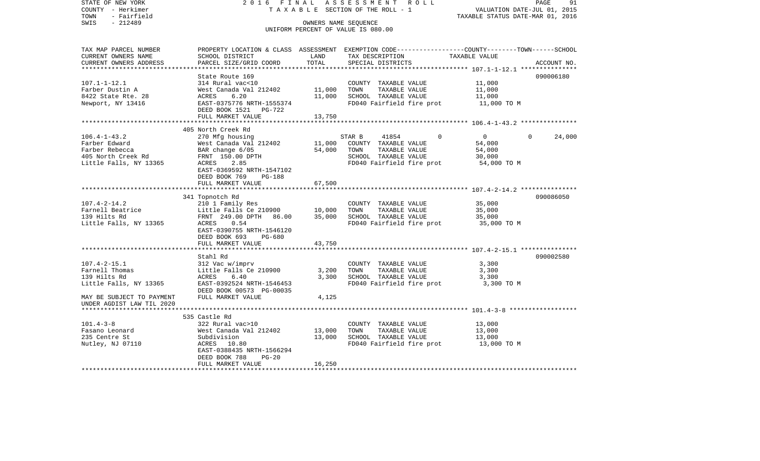STATE OF NEW YORK 2 0 1 6 F I N A L A S S E S S M E N T R O L L PAGE 91COUNTY - Herkimer **T A X A B L E SECTION OF THE ROLL - 1** VALUATION DATE-JUL 01, 2015 TOWN - Fairfield TAXABLE STATUS DATE-MAR 01, 2016 SWIS - 212489 OWNERS NAME SEQUENCE UNIFORM PERCENT OF VALUE IS 080.00TAX MAP PARCEL NUMBER PROPERTY LOCATION & CLASS ASSESSMENT EXEMPTION CODE------------------COUNTY--------TOWN------SCHOOL CURRENT OWNERS NAME SCHOOL DISTRICT LAND TAX DESCRIPTION TAXABLE VALUECURRENT OWNERS ADDRESS PARCEL SIZE/GRID COORD TOTAL SPECIAL DISTRICTS ACCOUNT NO. \*\*\*\*\*\*\*\*\*\*\*\*\*\*\*\*\*\*\*\*\*\*\*\*\*\*\*\*\*\*\*\*\*\*\*\*\*\*\*\*\*\*\*\*\*\*\*\*\*\*\*\*\*\*\*\*\*\*\*\*\*\*\*\*\*\*\*\*\*\*\*\*\*\*\*\*\*\*\*\*\*\*\*\*\*\*\*\*\*\*\*\*\*\*\*\*\*\*\*\*\*\*\* 107.1-1-12.1 \*\*\*\*\*\*\*\*\*\*\*\*\*\*\* State Route 169 090006180107.1-1-12.1 314 Rural vac<10 COUNTY TAXABLE VALUE 11,000 Farber Dustin A 600 West Canada Val 212402 11,000 TOWN TAXABLE VALUE 11,000 8422 State Rte. 28 ACRES 6.20 11,000 SCHOOL TAXABLE VALUE 11,000 Newport, NY 13416 **EAST-0375776 NRTH-1555374** FD040 Fairfield fire prot **11,000 TO M**  DEED BOOK 1521 PG-722FULL MARKET VALUE 13,750 \*\*\*\*\*\*\*\*\*\*\*\*\*\*\*\*\*\*\*\*\*\*\*\*\*\*\*\*\*\*\*\*\*\*\*\*\*\*\*\*\*\*\*\*\*\*\*\*\*\*\*\*\*\*\*\*\*\*\*\*\*\*\*\*\*\*\*\*\*\*\*\*\*\*\*\*\*\*\*\*\*\*\*\*\*\*\*\*\*\*\*\*\*\*\*\*\*\*\*\*\*\*\* 106.4-1-43.2 \*\*\*\*\*\*\*\*\*\*\*\*\*\*\* 405 North Creek Rd 106.4-1-43.2 270 Mfg housing STAR B 41854 0 0 0 24,000 Farber Edward West Canada Val 212402 11,000 COUNTY TAXABLE VALUE 54,000 Farber Rebecca BAR change 6/05 54,000 TOWN TAXABLE VALUE 54,000 405 North Creek Rd FRNT 150.00 DPTH SCHOOL TAXABLE VALUE 30,000 Little Falls, NY 13365 ACRES 2.85 ACRES 2.85 FD040 Fairfield fire prot 54,000 TO M EAST-0369592 NRTH-1547102 DEED BOOK 769 PG-188 FULL MARKET VALUE 67,500 \*\*\*\*\*\*\*\*\*\*\*\*\*\*\*\*\*\*\*\*\*\*\*\*\*\*\*\*\*\*\*\*\*\*\*\*\*\*\*\*\*\*\*\*\*\*\*\*\*\*\*\*\*\*\*\*\*\*\*\*\*\*\*\*\*\*\*\*\*\*\*\*\*\*\*\*\*\*\*\*\*\*\*\*\*\*\*\*\*\*\*\*\*\*\*\*\*\*\*\*\*\*\* 107.4-2-14.2 \*\*\*\*\*\*\*\*\*\*\*\*\*\*\* 341 Topnotch Rd 090086050 107.4-2-14.2 210 1 Family Res COUNTY TAXABLE VALUE 35,000 Farnell Beatrice  $L$  Little Falls Ce 210900 10,000 TOWN TAXABLE VALUE 35,000 139 Hilts Rd FRNT 249.00 DPTH 86.00 35,000 SCHOOL TAXABLE VALUE 35,000 Little Falls, NY 13365 ACRES 0.54 6 ACRES 15 FD040 Fairfield fire prot 35,000 TO M EAST-0390755 NRTH-1546120 DEED BOOK 693 PG-680FULL MARKET VALUE 43,750 \*\*\*\*\*\*\*\*\*\*\*\*\*\*\*\*\*\*\*\*\*\*\*\*\*\*\*\*\*\*\*\*\*\*\*\*\*\*\*\*\*\*\*\*\*\*\*\*\*\*\*\*\*\*\*\*\*\*\*\*\*\*\*\*\*\*\*\*\*\*\*\*\*\*\*\*\*\*\*\*\*\*\*\*\*\*\*\*\*\*\*\*\*\*\*\*\*\*\*\*\*\*\* 107.4-2-15.1 \*\*\*\*\*\*\*\*\*\*\*\*\*\*\* Stahl Rd 090002580107.4-2-15.1 312 Vac w/imprv COUNTY TAXABLE VALUE 3,300  $Little$  Falls Ce  $210900$  3,200 TOWN TAXABLE VALUE  $3,300$ 139 Hilts Rd ACRES 6.40 3,300 SCHOOL TAXABLE VALUE 3,300 Little Falls, NY 13365 EAST-0392524 NRTH-1546453 FD040 Fairfield fire prot 3,300 TO M DEED BOOK 00573 PG-00035MAY BE SUBJECT TO PAYMENT FULL MARKET VALUE  $4,125$ UNDER AGDIST LAW TIL 2020 \*\*\*\*\*\*\*\*\*\*\*\*\*\*\*\*\*\*\*\*\*\*\*\*\*\*\*\*\*\*\*\*\*\*\*\*\*\*\*\*\*\*\*\*\*\*\*\*\*\*\*\*\*\*\*\*\*\*\*\*\*\*\*\*\*\*\*\*\*\*\*\*\*\*\*\*\*\*\*\*\*\*\*\*\*\*\*\*\*\*\*\*\*\*\*\*\*\*\*\*\*\*\* 101.4-3-8 \*\*\*\*\*\*\*\*\*\*\*\*\*\*\*\*\*\* 535 Castle Rd101.4-3-8 322 Rural vac>10 COUNTY TAXABLE VALUE 13,000 Fasano Leonard West Canada Val 212402 13,000 TOWN TAXABLE VALUE 13,000 235 Centre St Subdivision 13,000 SCHOOL TAXABLE VALUE 13,000 Nutley, NJ 07110 ACRES 10.80 FD040 Fairfield fire prot 13,000 TO M EAST-0388435 NRTH-1566294 DEED BOOK 788 PG-20FULL MARKET VALUE 16,250 \*\*\*\*\*\*\*\*\*\*\*\*\*\*\*\*\*\*\*\*\*\*\*\*\*\*\*\*\*\*\*\*\*\*\*\*\*\*\*\*\*\*\*\*\*\*\*\*\*\*\*\*\*\*\*\*\*\*\*\*\*\*\*\*\*\*\*\*\*\*\*\*\*\*\*\*\*\*\*\*\*\*\*\*\*\*\*\*\*\*\*\*\*\*\*\*\*\*\*\*\*\*\*\*\*\*\*\*\*\*\*\*\*\*\*\*\*\*\*\*\*\*\*\*\*\*\*\*\*\*\*\*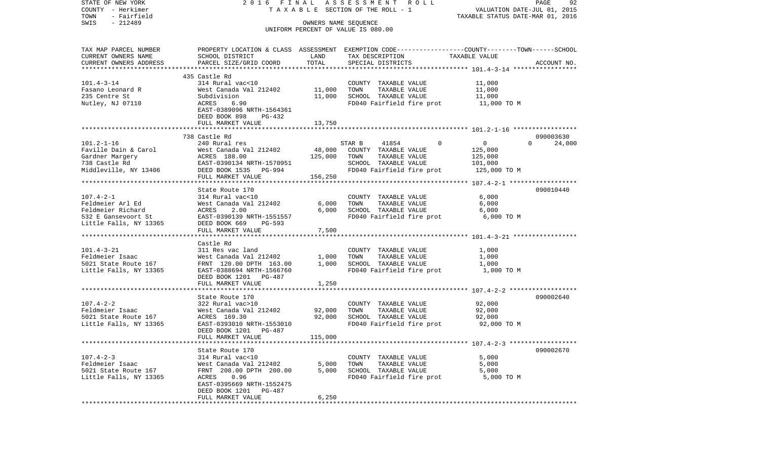STATE OF NEW YORK 2 0 1 6 F I N A L A S S E S S M E N T R O L L PAGE 92COUNTY - Herkimer **T A X A B L E SECTION OF THE ROLL - 1** VALUATION DATE-JUL 01, 2015 TOWN - Fairfield TAXABLE STATUS DATE-MAR 01, 2016 SWIS - 212489 CONNERS NAME SEQUENCE UNIFORM PERCENT OF VALUE IS 080.00TAX MAP PARCEL NUMBER PROPERTY LOCATION & CLASS ASSESSMENT EXEMPTION CODE------------------COUNTY--------TOWN------SCHOOL CURRENT OWNERS NAME SCHOOL DISTRICT LAND TAX DESCRIPTION TAXABLE VALUECURRENT OWNERS ADDRESS PARCEL SIZE/GRID COORD TOTAL SPECIAL DISTRICTS ACCOUNT NO. \*\*\*\*\*\*\*\*\*\*\*\*\*\*\*\*\*\*\*\*\*\*\*\*\*\*\*\*\*\*\*\*\*\*\*\*\*\*\*\*\*\*\*\*\*\*\*\*\*\*\*\*\*\*\*\*\*\*\*\*\*\*\*\*\*\*\*\*\*\*\*\*\*\*\*\*\*\*\*\*\*\*\*\*\*\*\*\*\*\*\*\*\*\*\*\*\*\*\*\*\*\*\* 101.4-3-14 \*\*\*\*\*\*\*\*\*\*\*\*\*\*\*\*\* 435 Castle Rd314 Rural vac<10 101.4-3-14 314 Rural vac<10 COUNTY TAXABLE VALUE 11,000 Fasano Leonard R West Canada Val 212402 11,000 TOWN TAXABLE VALUE 11,000 235 Centre St Subdivision 11,000 SCHOOL TAXABLE VALUE 11,000 Nutley, NJ 07110 ACRES 6.90 FD040 Fairfield fire prot 11,000 TO M EAST-0389096 NRTH-1564361 DEED BOOK 898 PG-432FULL MARKET VALUE 13,750 \*\*\*\*\*\*\*\*\*\*\*\*\*\*\*\*\*\*\*\*\*\*\*\*\*\*\*\*\*\*\*\*\*\*\*\*\*\*\*\*\*\*\*\*\*\*\*\*\*\*\*\*\*\*\*\*\*\*\*\*\*\*\*\*\*\*\*\*\*\*\*\*\*\*\*\*\*\*\*\*\*\*\*\*\*\*\*\*\*\*\*\*\*\*\*\*\*\*\*\*\*\*\* 101.2-1-16 \*\*\*\*\*\*\*\*\*\*\*\*\*\*\*\*\* 738 Castle Rd 090003630101.2-1-16 240 Rural res STAR B 41854 0 0 0 24,000 Faville Dain & Carol West Canada Val 212402 48,000 COUNTY TAXABLE VALUE 125,000 Gardner Margery ACRES 188.00 125.000 TOWN TAXABLE VALUE 125.000 738 Castle Rd EAST-0390134 NRTH-1570951 SCHOOL TAXABLE VALUE 101,000 Middleville, NY 13406 DEED BOOK 1535 PG-994 FD040 Fairfield fire prot 125,000 TO M FULL MARKET VALUE 156,250 \*\*\*\*\*\*\*\*\*\*\*\*\*\*\*\*\*\*\*\*\*\*\*\*\*\*\*\*\*\*\*\*\*\*\*\*\*\*\*\*\*\*\*\*\*\*\*\*\*\*\*\*\*\*\*\*\*\*\*\*\*\*\*\*\*\*\*\*\*\*\*\*\*\*\*\*\*\*\*\*\*\*\*\*\*\*\*\*\*\*\*\*\*\*\*\*\*\*\*\*\*\*\* 107.4-2-1 \*\*\*\*\*\*\*\*\*\*\*\*\*\*\*\*\*\*State Route 170 090010440 107.4-2-1 314 Rural vac<10 COUNTY TAXABLE VALUE 6,000 Feldmeier Arl Ed West Canada Val 212402 6,000 TOWN TAXABLE VALUE 6,000 Feldmeier Richard ACRES 2.00 6,000 SCHOOL TAXABLE VALUE 6,000 532 E Gansevoort St EAST-0390139 NRTH-1551557 FD040 Fairfield fire prot 6,000 TO M Little Falls, NY 13365 DEED BOOK 669 PG-593 FULL MARKET VALUE 7,500 \*\*\*\*\*\*\*\*\*\*\*\*\*\*\*\*\*\*\*\*\*\*\*\*\*\*\*\*\*\*\*\*\*\*\*\*\*\*\*\*\*\*\*\*\*\*\*\*\*\*\*\*\*\*\*\*\*\*\*\*\*\*\*\*\*\*\*\*\*\*\*\*\*\*\*\*\*\*\*\*\*\*\*\*\*\*\*\*\*\*\*\*\*\*\*\*\*\*\*\*\*\*\* 101.4-3-21 \*\*\*\*\*\*\*\*\*\*\*\*\*\*\*\*\* Castle Rd101.4-3-21 311 Res vac land COUNTY TAXABLE VALUE 1,000 Feldmeier Isaac West Canada Val 212402 1,000 TOWN TAXABLE VALUE 1,000 5021 State Route 167 FRNT 120.00 DPTH 163.00 1,000 SCHOOL TAXABLE VALUE 1,000 Little Falls, NY 13365 EAST-0388694 NRTH-1566760 FD040 Fairfield fire prot 1,000 TO M DEED BOOK 1201 PG-487FULL MARKET VALUE 1,250 \*\*\*\*\*\*\*\*\*\*\*\*\*\*\*\*\*\*\*\*\*\*\*\*\*\*\*\*\*\*\*\*\*\*\*\*\*\*\*\*\*\*\*\*\*\*\*\*\*\*\*\*\*\*\*\*\*\*\*\*\*\*\*\*\*\*\*\*\*\*\*\*\*\*\*\*\*\*\*\*\*\*\*\*\*\*\*\*\*\*\*\*\*\*\*\*\*\*\*\*\*\*\* 107.4-2-2 \*\*\*\*\*\*\*\*\*\*\*\*\*\*\*\*\*\*State Route 170 090002640 107.4-2-2 322 Rural vac>10 COUNTY TAXABLE VALUE 92,000 Feldmeier Isaac West Canada Val 212402 92,000 TOWN TAXABLE VALUE 92,000 5021 State Route 167 ACRES 169.30 92,000 SCHOOL TAXABLE VALUE 92,000 Little Falls, NY 13365 EAST-0393010 NRTH-1553010 FD040 Fairfield fire prot 92,000 TO M DEED BOOK 1201 PG-487FULL MARKET VALUE 115,000 \*\*\*\*\*\*\*\*\*\*\*\*\*\*\*\*\*\*\*\*\*\*\*\*\*\*\*\*\*\*\*\*\*\*\*\*\*\*\*\*\*\*\*\*\*\*\*\*\*\*\*\*\*\*\*\*\*\*\*\*\*\*\*\*\*\*\*\*\*\*\*\*\*\*\*\*\*\*\*\*\*\*\*\*\*\*\*\*\*\*\*\*\*\*\*\*\*\*\*\*\*\*\* 107.4-2-3 \*\*\*\*\*\*\*\*\*\*\*\*\*\*\*\*\*\*State Route 170 090002670 107.4-2-3 314 Rural vac<10 COUNTY TAXABLE VALUE 5,000 Feldmeier Isaac West Canada Val 212402 5,000 TOWN TAXABLE VALUE 5,000 5021 State Route 167 FRNT 208.00 DPTH 200.00 5,000 SCHOOL TAXABLE VALUE 5,000 Little Falls, NY 13365 ACRES 0.96 ACRES 0.96 FD040 Fairfield fire prot 5,000 TO M EAST-0395669 NRTH-1552475 DEED BOOK 1201 PG-487 FULL MARKET VALUE 6,250 \*\*\*\*\*\*\*\*\*\*\*\*\*\*\*\*\*\*\*\*\*\*\*\*\*\*\*\*\*\*\*\*\*\*\*\*\*\*\*\*\*\*\*\*\*\*\*\*\*\*\*\*\*\*\*\*\*\*\*\*\*\*\*\*\*\*\*\*\*\*\*\*\*\*\*\*\*\*\*\*\*\*\*\*\*\*\*\*\*\*\*\*\*\*\*\*\*\*\*\*\*\*\*\*\*\*\*\*\*\*\*\*\*\*\*\*\*\*\*\*\*\*\*\*\*\*\*\*\*\*\*\*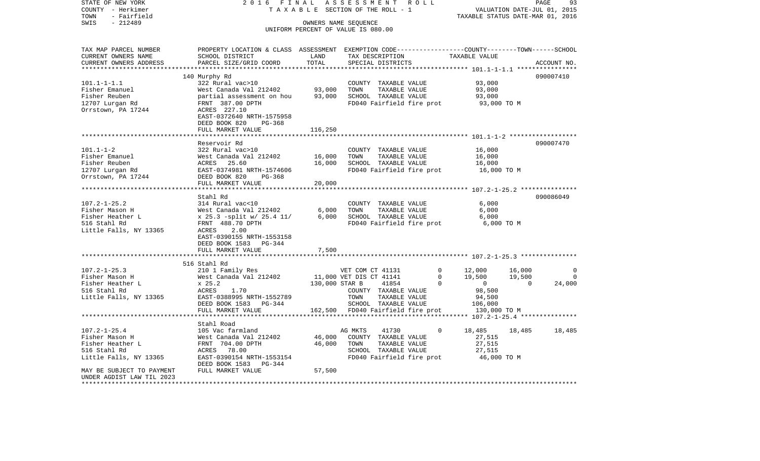COUNTY - Herkimer **T A X A B L E SECTION OF THE ROLL - 1** VALUATION DATE-JUL 01, 2015 TOWN - Fairfield TAXABLE STATUS DATE-MAR 01, 2016 SWIS - 212489 OWNERS NAME SEQUENCE UNIFORM PERCENT OF VALUE IS 080.00TAX MAP PARCEL NUMBER PROPERTY LOCATION & CLASS ASSESSMENT EXEMPTION CODE------------------COUNTY--------TOWN------SCHOOL CURRENT OWNERS NAME SCHOOL DISTRICT LAND TAX DESCRIPTION TAXABLE VALUECURRENT OWNERS ADDRESS PARCEL SIZE/GRID COORD TOTAL SPECIAL DISTRICTS ACCOUNT NO. \*\*\*\*\*\*\*\*\*\*\*\*\*\*\*\*\*\*\*\*\*\*\*\*\*\*\*\*\*\*\*\*\*\*\*\*\*\*\*\*\*\*\*\*\*\*\*\*\*\*\*\*\*\*\*\*\*\*\*\*\*\*\*\*\*\*\*\*\*\*\*\*\*\*\*\*\*\*\*\*\*\*\*\*\*\*\*\*\*\*\*\*\*\*\*\*\*\*\*\*\*\*\* 101.1-1-1.1 \*\*\*\*\*\*\*\*\*\*\*\*\*\*\*\* 140 Murphy Rd 090007410 101.1-1-1.1 322 Rural vac>10 COUNTY TAXABLE VALUE 93,000 Fisher Emanuel West Canada Val 212402 93,000 TOWN TAXABLE VALUE 93,000 Fisher Reuben partial assessment on hou 93,000 SCHOOL TAXABLE VALUE 93,000 12707 Lurgan Rd FRNT 387.00 DPTH FD040 Fairfield fire prot 93,000 TO M Orrstown, PA 17244 ACRES 227.10 EAST-0372640 NRTH-1575958 DEED BOOK 820 PG-368FULL MARKET VALUE 116,250 \*\*\*\*\*\*\*\*\*\*\*\*\*\*\*\*\*\*\*\*\*\*\*\*\*\*\*\*\*\*\*\*\*\*\*\*\*\*\*\*\*\*\*\*\*\*\*\*\*\*\*\*\*\*\*\*\*\*\*\*\*\*\*\*\*\*\*\*\*\*\*\*\*\*\*\*\*\*\*\*\*\*\*\*\*\*\*\*\*\*\*\*\*\*\*\*\*\*\*\*\*\*\* 101.1-1-2 \*\*\*\*\*\*\*\*\*\*\*\*\*\*\*\*\*\*Reservoir Rd 090007470 101.1-1-2 322 Rural vac>10 COUNTY TAXABLE VALUE 16,000 Fisher Emanuel West Canada Val 212402 16,000 TOWN TAXABLE VALUE 16,000 Fisher Reuben ACRES 25.60 16,000 SCHOOL TAXABLE VALUE 16,000 12707 Lurgan Rd EAST-0374981 NRTH-1574606 FD040 Fairfield fire prot 16,000 TO M Orrstown, PA 17244 DEED BOOK 820 PG-368 FULL MARKET VALUE 20,000 \*\*\*\*\*\*\*\*\*\*\*\*\*\*\*\*\*\*\*\*\*\*\*\*\*\*\*\*\*\*\*\*\*\*\*\*\*\*\*\*\*\*\*\*\*\*\*\*\*\*\*\*\*\*\*\*\*\*\*\*\*\*\*\*\*\*\*\*\*\*\*\*\*\*\*\*\*\*\*\*\*\*\*\*\*\*\*\*\*\*\*\*\*\*\*\*\*\*\*\*\*\*\* 107.2-1-25.2 \*\*\*\*\*\*\*\*\*\*\*\*\*\*\* Stahl Rd 090086049107.2-1-25.2 314 Rural vac<10 COUNTY TAXABLE VALUE 6,000 Fisher Mason H West Canada Val 212402 6,000 TOWN TAXABLE VALUE 6,000 Fisher Heather L x 25.3 -split w/ 25.4 11/ 6,000 SCHOOL TAXABLE VALUE 6,000 516 Stahl Rd FRNT 488.70 DPTH FD040 Fairfield fire prot 6,000 TO M Little Falls, NY 13365 ACRES 2.00 EAST-0390155 NRTH-1553158 DEED BOOK 1583 PG-344FULL MARKET VALUE 7,500 \*\*\*\*\*\*\*\*\*\*\*\*\*\*\*\*\*\*\*\*\*\*\*\*\*\*\*\*\*\*\*\*\*\*\*\*\*\*\*\*\*\*\*\*\*\*\*\*\*\*\*\*\*\*\*\*\*\*\*\*\*\*\*\*\*\*\*\*\*\*\*\*\*\*\*\*\*\*\*\*\*\*\*\*\*\*\*\*\*\*\*\*\*\*\*\*\*\*\*\*\*\*\* 107.2-1-25.3 \*\*\*\*\*\*\*\*\*\*\*\*\*\*\* 516 Stahl Rd107.2-1-25.3 210 1 Family Res VET COM CT 41131 0 12,000 16,000 0 Fisher Mason H West Canada Val 212402 11,000 VET DIS CT 41141 0 19,500 19,500 0 Fisher Heather L  $\begin{array}{cccccccccc} x & 25.2 & & & & 130,000 & \text{STAR B} & & 41854 & & 0 & 0 & 0 & 24,000 \end{array}$ 516 Stahl Rd ACRES 1.70 COUNTY TAXABLE VALUE 98,500 Little Falls, NY 13365 **EAST-0388995 NRTH-1552789** TOWN TAXABLE VALUE 94,500 DEED BOOK 1583 PG-344 SCHOOL TAXABLE VALUE 106,000 FULL MARKET VALUE 162,500 FD040 Fairfield fire prot 130,000 TO M \*\*\*\*\*\*\*\*\*\*\*\*\*\*\*\*\*\*\*\*\*\*\*\*\*\*\*\*\*\*\*\*\*\*\*\*\*\*\*\*\*\*\*\*\*\*\*\*\*\*\*\*\*\*\*\*\*\*\*\*\*\*\*\*\*\*\*\*\*\*\*\*\*\*\*\*\*\*\*\*\*\*\*\*\*\*\*\*\*\*\*\*\*\*\*\*\*\*\*\*\*\*\* 107.2-1-25.4 \*\*\*\*\*\*\*\*\*\*\*\*\*\*\* Stahl Road107.2-1-25.4 105 Vac farmland AG MKTS 41730 0 18,485 18,485 18,485 Fisher Mason H West Canada Val 212402 46,000 COUNTY TAXABLE VALUE 27,515 Fisher Heather L FRNT 704.00 DPTH 46,000 TOWN TAXABLE VALUE 27,515 516 Stahl Rd ACRES 78.00 SCHOOL TAXABLE VALUE 27,515 Little Falls, NY 13365 EAST-0390154 NRTH-1553154 FD040 Fairfield fire prot 46,000 TO M DEED BOOK 1583 PG-344MAY BE SUBJECT TO PAYMENT FULL MARKET VALUE 67,500 UNDER AGDIST LAW TIL 2023\*\*\*\*\*\*\*\*\*\*\*\*\*\*\*\*\*\*\*\*\*\*\*\*\*\*\*\*\*\*\*\*\*\*\*\*\*\*\*\*\*\*\*\*\*\*\*\*\*\*\*\*\*\*\*\*\*\*\*\*\*\*\*\*\*\*\*\*\*\*\*\*\*\*\*\*\*\*\*\*\*\*\*\*\*\*\*\*\*\*\*\*\*\*\*\*\*\*\*\*\*\*\*\*\*\*\*\*\*\*\*\*\*\*\*\*\*\*\*\*\*\*\*\*\*\*\*\*\*\*\*\*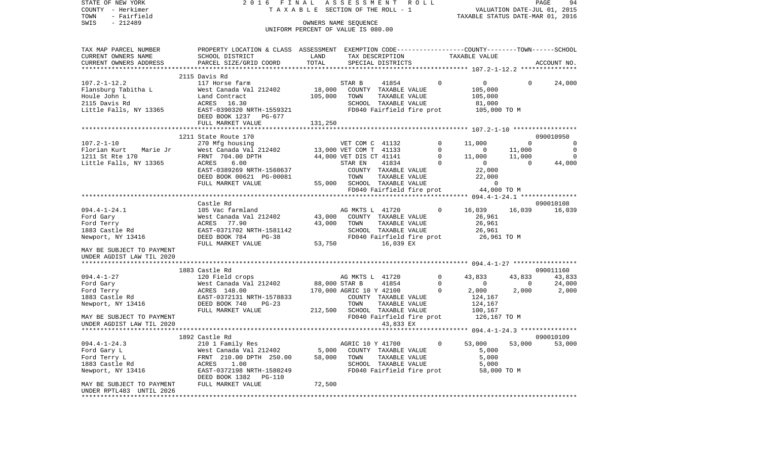| COUNTY<br>– Herkimer      |                                                                                                                              | TAXABLE SECTION OF THE ROLL - 1    |                             |                           |              |                                      |                | VALUATION DATE-JUL 01, 2015 |
|---------------------------|------------------------------------------------------------------------------------------------------------------------------|------------------------------------|-----------------------------|---------------------------|--------------|--------------------------------------|----------------|-----------------------------|
| TOWN<br>- Fairfield       |                                                                                                                              |                                    |                             |                           |              | TAXABLE STATUS DATE-MAR 01, 2016     |                |                             |
| SWIS<br>$-212489$         |                                                                                                                              |                                    | OWNERS NAME SEQUENCE        |                           |              |                                      |                |                             |
|                           |                                                                                                                              | UNIFORM PERCENT OF VALUE IS 080.00 |                             |                           |              |                                      |                |                             |
|                           |                                                                                                                              |                                    |                             |                           |              |                                      |                |                             |
| TAX MAP PARCEL NUMBER     | PROPERTY LOCATION & CLASS ASSESSMENT EXEMPTION CODE---------------COUNTY-------TOWN-----SCHOOL                               |                                    |                             |                           |              |                                      |                |                             |
| CURRENT OWNERS NAME       | SCHOOL DISTRICT                                                                                                              | LAND                               |                             | TAX DESCRIPTION           |              | TAXABLE VALUE                        |                |                             |
| CURRENT OWNERS ADDRESS    | PARCEL SIZE/GRID COORD                                                                                                       | TOTAL                              |                             | SPECIAL DISTRICTS         |              |                                      |                | ACCOUNT NO.                 |
|                           | 2115 Davis Rd                                                                                                                |                                    |                             |                           |              |                                      |                |                             |
| $107.2 - 1 - 12.2$        | 117 Horse farm                                                                                                               |                                    | STAR B                      | 41854                     | $\Omega$     | $\overline{0}$                       | $\Omega$       | 24,000                      |
| Flansburg Tabitha L       | West Canada Val 212402                                                                                                       | 18,000                             |                             | COUNTY TAXABLE VALUE      |              | 105,000                              |                |                             |
| Houle John L              | Land Contract                                                                                                                | 105,000                            | TOWN                        | TAXABLE VALUE             |              | 105,000                              |                |                             |
|                           |                                                                                                                              |                                    |                             | SCHOOL TAXABLE VALUE      |              | 81,000                               |                |                             |
|                           | noule bound 2<br>2115 Davis Rd<br>Little Falls, NY 13365<br>$\frac{\text{ACRES}}{\text{EAST}-0.390320 \text{ NRTH}-1559321}$ |                                    |                             | FD040 Fairfield fire prot |              | 105,000 TO M                         |                |                             |
|                           | DEED BOOK 1237 PG-677                                                                                                        |                                    |                             |                           |              |                                      |                |                             |
|                           | FULL MARKET VALUE                                                                                                            | 131,250                            |                             |                           |              |                                      |                |                             |
|                           | 1211 State Route 170                                                                                                         |                                    |                             |                           |              |                                      |                | 090010950                   |
| $107.2 - 1 - 10$          | 270 Mfg housing                                                                                                              |                                    | VET COM C 41132             |                           | $\mathbf 0$  | 11,000                               | $\mathbf 0$    | $\Omega$                    |
| Florian Kurt<br>Marie Jr  | West Canada Val 212402                                                                                                       |                                    | 13,000 VET COM T 41133      |                           | $\mathbf 0$  | $\overline{0}$                       | 11,000         | $\overline{0}$              |
| 1211 St Rte 170           | FRNT 704.00 DPTH                                                                                                             |                                    | 44,000 VET DIS CT 41141     |                           | $\Omega$     | 11,000                               | 11,000         | $\overline{0}$              |
| Little Falls, NY 13365    | 6.00<br>ACRES                                                                                                                |                                    | STAR EN                     | 41834                     | $\mathbf 0$  | $\overline{0}$                       | $\mathbf 0$    | 44,000                      |
|                           | EAST-0389269 NRTH-1560637                                                                                                    |                                    |                             | COUNTY TAXABLE VALUE      |              | 22,000                               |                |                             |
|                           | DEED BOOK 00621 PG-00081                                                                                                     |                                    | TOWN                        | TAXABLE VALUE             |              | 22,000                               |                |                             |
|                           | FULL MARKET VALUE                                                                                                            |                                    | 55,000 SCHOOL TAXABLE VALUE |                           |              | $\Omega$                             |                |                             |
|                           |                                                                                                                              |                                    |                             | FD040 Fairfield fire prot |              | 44,000 TO M                          |                |                             |
|                           |                                                                                                                              |                                    |                             |                           |              |                                      |                |                             |
|                           | Castle Rd                                                                                                                    |                                    |                             |                           |              |                                      |                | 090010108                   |
| $094.4 - 1 - 24.1$        |                                                                                                                              |                                    | AG MKTS L 41720             |                           | $\Omega$     | 16,039                               | 16,039         | 16,039                      |
| Ford Gary                 |                                                                                                                              | 43,000                             |                             | COUNTY TAXABLE VALUE      |              | 26,961                               |                |                             |
| Ford Terry                |                                                                                                                              | 43,000                             | TOWN                        | TAXABLE VALUE             |              | 26,961                               |                |                             |
| 1883 Castle Rd            |                                                                                                                              |                                    |                             | SCHOOL TAXABLE VALUE      |              | 26,961                               |                |                             |
| Newport, NY 13416         |                                                                                                                              |                                    |                             | FD040 Fairfield fire prot |              | 26,961 TO M                          |                |                             |
|                           | West Canada Val 212402<br>ACRES 77.90<br>EAST-0371702 NRTH-1581142<br>DEED BOOK 784 PG-38<br>FIILL MADYER                    | 53,750                             |                             | 16,039 EX                 |              |                                      |                |                             |
| MAY BE SUBJECT TO PAYMENT |                                                                                                                              |                                    |                             |                           |              |                                      |                |                             |
| UNDER AGDIST LAW TIL 2020 |                                                                                                                              |                                    |                             |                           |              |                                      |                |                             |
|                           |                                                                                                                              |                                    |                             |                           |              |                                      |                |                             |
|                           | 1883 Castle Rd                                                                                                               |                                    |                             |                           |              |                                      |                | 090011160                   |
| $094.4 - 1 - 27$          | 120 Field crops                                                                                                              |                                    | AG MKTS L 41720             |                           | $\mathsf{O}$ | 43,833                               | 43,833         | 43,833                      |
| Ford Gary                 | West Canada Val 212402                                                                                                       | 88,000 STAR B                      |                             | 41854                     | 0            | $\overline{0}$                       | $\overline{0}$ | 24,000                      |
| Ford Terry                | ACRES 148.00                                                                                                                 |                                    | 170,000 AGRIC 10 Y 42100    |                           | $\mathbf 0$  | 2,000                                | 2,000          | 2,000                       |
| $1883$ Castle Rd          | EAST-0372131 P<br>DEED BOOK 740<br>EAST-0372131 NRTH-1578833                                                                 |                                    |                             | COUNTY TAXABLE VALUE      |              | 124,167                              |                |                             |
| Newport, NY 13416         | $PG-23$                                                                                                                      |                                    | TOWN                        | TAXABLE VALUE             |              | 124,167                              |                |                             |
|                           | FULL MARKET VALUE                                                                                                            | 212,500                            |                             | SCHOOL TAXABLE VALUE      |              | 100,167                              |                |                             |
| MAY BE SUBJECT TO PAYMENT |                                                                                                                              |                                    |                             | FD040 Fairfield fire prot |              | 126,167 TO M                         |                |                             |
| UNDER AGDIST LAW TIL 2020 |                                                                                                                              |                                    |                             | 43,833 EX                 |              |                                      |                |                             |
|                           |                                                                                                                              |                                    |                             |                           |              | ******* 094.4-1-24.3 *************** |                |                             |
|                           | 1892 Castle Rd                                                                                                               |                                    |                             |                           |              |                                      |                | 090010109                   |
| $094.4 - 1 - 24.3$        | 210 1 Family Res                                                                                                             |                                    | AGRIC 10 Y 41700            |                           | 0            | 53,000                               | 53,000         | 53,000                      |
| Ford Gary L               | West Canada Val 212402                                                                                                       | 5,000                              |                             | COUNTY TAXABLE VALUE      |              | 5,000                                |                |                             |
| Ford Terry L              | FRNT 210.00 DPTH 250.00                                                                                                      | 58,000                             | TOWN                        | TAXABLE VALUE             |              | 5,000                                |                |                             |
| 1883 Castle Rd            | ACRES<br>1.00                                                                                                                |                                    |                             | SCHOOL TAXABLE VALUE      |              | 5,000                                |                |                             |
| Newport, NY 13416         | EAST-0372198 NRTH-1580249                                                                                                    |                                    |                             | FD040 Fairfield fire prot |              | 58,000 TO M                          |                |                             |
|                           | DEED BOOK 1382<br>PG-110                                                                                                     |                                    |                             |                           |              |                                      |                |                             |
| MAY BE SUBJECT TO PAYMENT | FULL MARKET VALUE                                                                                                            | 72,500                             |                             |                           |              |                                      |                |                             |
| UNDER RPTL483 UNTIL 2026  |                                                                                                                              |                                    |                             |                           |              |                                      |                |                             |
|                           |                                                                                                                              |                                    |                             |                           |              |                                      |                |                             |

PAGE 94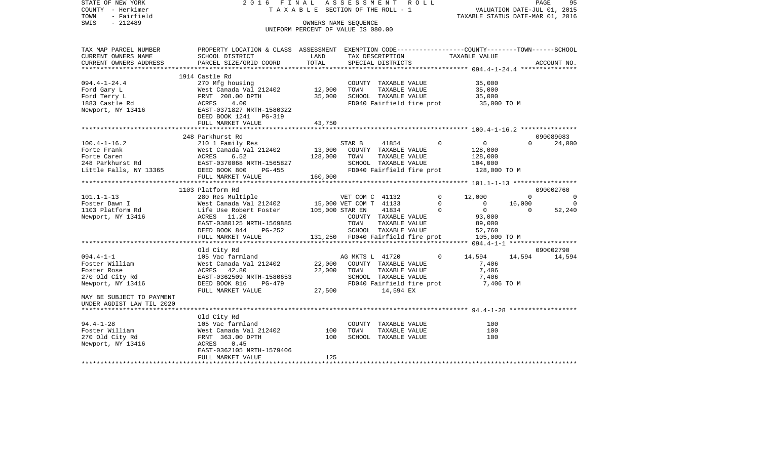| STATE OF NEW YORK<br>COUNTY - Herkimer<br>TOWN<br>- Fairfield | 2016 FINAL<br>A S S E S S M E N T R O L L<br>TAXABLE SECTION OF THE ROLL - 1                    |                                    |                        |                                   |  | 95<br>PAGE<br>VALUATION DATE-JUL 01, 2015<br>TAXABLE STATUS DATE-MAR 01, 2016 |                                       |          |             |                |
|---------------------------------------------------------------|-------------------------------------------------------------------------------------------------|------------------------------------|------------------------|-----------------------------------|--|-------------------------------------------------------------------------------|---------------------------------------|----------|-------------|----------------|
| $-212489$<br>SWIS                                             | OWNERS NAME SEQUENCE                                                                            |                                    |                        |                                   |  |                                                                               |                                       |          |             |                |
|                                                               |                                                                                                 | UNIFORM PERCENT OF VALUE IS 080.00 |                        |                                   |  |                                                                               |                                       |          |             |                |
|                                                               |                                                                                                 |                                    |                        |                                   |  |                                                                               |                                       |          |             |                |
| TAX MAP PARCEL NUMBER                                         | PROPERTY LOCATION & CLASS ASSESSMENT EXEMPTION CODE---------------COUNTY-------TOWN------SCHOOL |                                    |                        |                                   |  |                                                                               |                                       |          |             |                |
| CURRENT OWNERS NAME                                           | SCHOOL DISTRICT                                                                                 | LAND                               |                        |                                   |  |                                                                               | TAX DESCRIPTION TAXABLE VALUE         |          |             |                |
| CURRENT OWNERS ADDRESS                                        | PARCEL SIZE/GRID COORD                                                                          | TOTAL                              |                        | SPECIAL DISTRICTS                 |  |                                                                               |                                       |          | ACCOUNT NO. |                |
|                                                               | 1914 Castle Rd                                                                                  |                                    |                        |                                   |  |                                                                               |                                       |          |             |                |
| $094.4 - 1 - 24.4$                                            | 270 Mfg housing                                                                                 |                                    |                        | COUNTY TAXABLE VALUE              |  |                                                                               | 35,000                                |          |             |                |
| Ford Gary L                                                   | West Canada Val 212402 12,000                                                                   |                                    | TOWN                   | TAXABLE VALUE                     |  |                                                                               | 35,000                                |          |             |                |
| Ford Terry L                                                  | FRNT 208.00 DPTH                                                                                | 35,000                             |                        | SCHOOL TAXABLE VALUE              |  |                                                                               | 35,000                                |          |             |                |
|                                                               |                                                                                                 |                                    |                        |                                   |  |                                                                               |                                       |          |             |                |
| 1883 Castle Rd                                                | ACRES<br>4.00<br>EAST-0371827 NRTH-1580322                                                      |                                    |                        |                                   |  |                                                                               | FD040 Fairfield fire prot 35,000 TO M |          |             |                |
| Newport, NY 13416                                             | DEED BOOK 1241 PG-319                                                                           |                                    |                        |                                   |  |                                                                               |                                       |          |             |                |
|                                                               | FULL MARKET VALUE                                                                               | 43,750                             |                        |                                   |  |                                                                               |                                       |          |             |                |
|                                                               |                                                                                                 |                                    |                        |                                   |  |                                                                               |                                       |          |             |                |
|                                                               | 248 Parkhurst Rd                                                                                |                                    |                        |                                   |  |                                                                               |                                       |          | 090089083   |                |
| $100.4 - 1 - 16.2$                                            | 210 1 Family Res                                                                                |                                    | STAR B                 | 41854                             |  | $\Omega$                                                                      | $\overline{0}$                        | $\Omega$ |             | 24,000         |
| Forte Frank                                                   | West Canada Val 212402                                                                          | 13,000                             |                        | COUNTY TAXABLE VALUE              |  |                                                                               | 128,000                               |          |             |                |
| Forte Caren                                                   | 6.52<br>ACRES                                                                                   | 128,000                            | TOWN                   | TAXABLE VALUE                     |  |                                                                               | 128,000                               |          |             |                |
| 248 Parkhurst Rd                                              | EAST-0370068 NRTH-1565827                                                                       |                                    |                        | SCHOOL TAXABLE VALUE              |  |                                                                               | 104,000                               |          |             |                |
| Little Falls, NY 13365                                        | DEED BOOK 800<br>PG-455                                                                         |                                    |                        | FD040 Fairfield fire prot         |  |                                                                               | 128,000 TO M                          |          |             |                |
|                                                               | FULL MARKET VALUE                                                                               | 160,000                            |                        |                                   |  |                                                                               |                                       |          |             |                |
|                                                               |                                                                                                 |                                    |                        |                                   |  |                                                                               |                                       |          |             |                |
|                                                               | 1103 Platform Rd                                                                                |                                    |                        |                                   |  |                                                                               |                                       |          | 090002760   |                |
| $101.1 - 1 - 13$                                              | 280 Res Multiple                                                                                |                                    |                        | VET COM C 41132                   |  | $\Omega$                                                                      | 12,000                                | $\Omega$ |             | $\Omega$       |
| Foster Dawn I                                                 | West Canada Val 212402                                                                          |                                    | 15,000 VET COM T 41133 |                                   |  | $\mathbf 0$                                                                   | $\overline{0}$                        | 16,000   |             | $\overline{0}$ |
| 1103 Platform Rd                                              | Life Use Robert Foster                                                                          |                                    | 105,000 STAR EN        | 41834                             |  | $\mathbf 0$                                                                   | $\overline{0}$                        | $\Omega$ |             | 52,240         |
| Newport, NY 13416                                             | ACRES 11.20                                                                                     |                                    |                        | COUNTY TAXABLE VALUE              |  |                                                                               | 93,000                                |          |             |                |
|                                                               | EAST-0380125 NRTH-1569885                                                                       |                                    | TOWN                   | TAXABLE VALUE                     |  |                                                                               | 89,000                                |          |             |                |
|                                                               | DEED BOOK 844<br>PG-252                                                                         |                                    |                        | SCHOOL TAXABLE VALUE              |  |                                                                               | 52,760                                |          |             |                |
|                                                               | FULL MARKET VALUE                                                                               |                                    |                        | 131,250 FD040 Fairfield fire prot |  |                                                                               | 105,000 TO M                          |          |             |                |
|                                                               |                                                                                                 |                                    |                        |                                   |  |                                                                               |                                       |          |             |                |
|                                                               | Old City Rd                                                                                     |                                    |                        |                                   |  |                                                                               |                                       |          | 090002790   |                |
| $094.4 - 1 - 1$                                               | 105 Vac farmland                                                                                |                                    | AG MKTS L 41720        |                                   |  | $\mathbf 0$                                                                   | 14,594                                | 14,594   |             | 14,594         |
| Foster William                                                | West Canada Val 212402                                                                          | 22,000                             |                        | COUNTY TAXABLE VALUE              |  |                                                                               | 7,406                                 |          |             |                |
| Foster Rose                                                   | ACRES 42.80                                                                                     | 22,000                             | TOWN                   | TAXABLE VALUE                     |  |                                                                               | 7,406                                 |          |             |                |
| 270 Old City Rd                                               | EAST-0362509 NRTH-1580653                                                                       |                                    |                        | SCHOOL TAXABLE VALUE              |  |                                                                               | 7,406                                 |          |             |                |
| Newport, NY 13416                                             | DEED BOOK 816<br>PG-479                                                                         |                                    |                        | FD040 Fairfield fire prot         |  |                                                                               | 7,406 TO M                            |          |             |                |
|                                                               | FULL MARKET VALUE                                                                               | 27,500                             |                        | 14,594 EX                         |  |                                                                               |                                       |          |             |                |
| MAY BE SUBJECT TO PAYMENT                                     |                                                                                                 |                                    |                        |                                   |  |                                                                               |                                       |          |             |                |
| UNDER AGDIST LAW TIL 2020                                     |                                                                                                 |                                    |                        |                                   |  |                                                                               |                                       |          |             |                |
|                                                               |                                                                                                 |                                    |                        |                                   |  |                                                                               |                                       |          |             |                |
|                                                               | Old City Rd                                                                                     |                                    |                        |                                   |  |                                                                               |                                       |          |             |                |
| $94.4 - 1 - 28$                                               | 105 Vac farmland                                                                                |                                    |                        | COUNTY TAXABLE VALUE              |  |                                                                               | 100                                   |          |             |                |
| Foster William                                                | West Canada Val 212402                                                                          | 100                                | TOWN                   | TAXABLE VALUE                     |  |                                                                               | 100                                   |          |             |                |
| 270 Old City Rd                                               | FRNT 363.00 DPTH                                                                                | 100                                |                        | SCHOOL TAXABLE VALUE              |  |                                                                               | 100                                   |          |             |                |
| Newport, NY 13416                                             | ACRES<br>0.45                                                                                   |                                    |                        |                                   |  |                                                                               |                                       |          |             |                |
|                                                               | EAST-0362105 NRTH-1579406                                                                       |                                    |                        |                                   |  |                                                                               |                                       |          |             |                |
|                                                               | FULL MARKET VALUE                                                                               | 125                                |                        |                                   |  |                                                                               |                                       |          |             |                |
|                                                               |                                                                                                 |                                    |                        |                                   |  |                                                                               |                                       |          |             |                |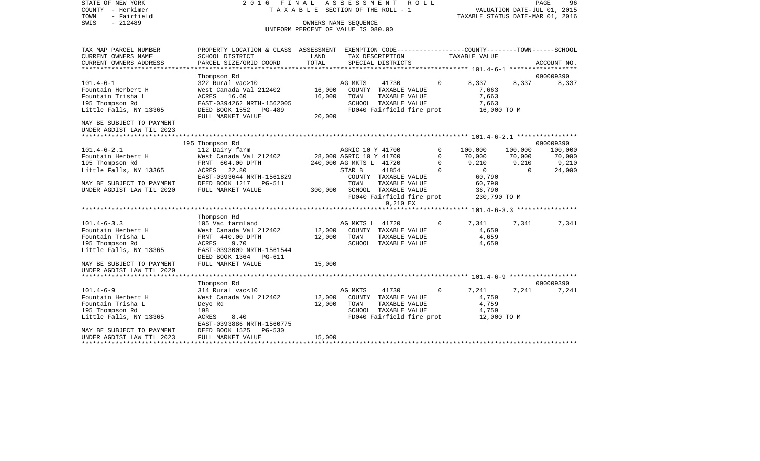STATE OF NEW YORK 2 0 1 6 F I N A L A S S E S S M E N T R O L L PAGE 96COUNTY - Herkimer **T A X A B L E SECTION OF THE ROLL - 1** VALUATION DATE-JUL 01, 2015 TOWN - Fairfield TAXABLE STATUS DATE-MAR 01, 2016 SWIS - 212489 OWNERS NAME SEQUENCE UNIFORM PERCENT OF VALUE IS 080.00TAX MAP PARCEL NUMBER PROPERTY LOCATION & CLASS ASSESSMENT EXEMPTION CODE------------------COUNTY--------TOWN------SCHOOL CURRENT OWNERS NAME SCHOOL DISTRICT LAND TAX DESCRIPTION TAXABLE VALUECURRENT OWNERS ADDRESS PARCEL SIZE/GRID COORD TOTAL SPECIAL DISTRICTS ACCOUNT NO. \*\*\*\*\*\*\*\*\*\*\*\*\*\*\*\*\*\*\*\*\*\*\*\*\*\*\*\*\*\*\*\*\*\*\*\*\*\*\*\*\*\*\*\*\*\*\*\*\*\*\*\*\*\*\*\*\*\*\*\*\*\*\*\*\*\*\*\*\*\*\*\*\*\*\*\*\*\*\*\*\*\*\*\*\*\*\*\*\*\*\*\*\*\*\*\*\*\*\*\*\*\*\* 101.4-6-1 \*\*\*\*\*\*\*\*\*\*\*\*\*\*\*\*\*\* Thompson Rd 090009390 101.4-6-1 322 Rural vac>10 AG MKTS 41730 0 8,337 8,337 8,337 Fountain Herbert H West Canada Val 212402 16,000 COUNTY TAXABLE VALUE 7,663 Fountain Trisha L **ACRES** 16.60 16.000 TOWN TAXABLE VALUE 7,663 195 Thompson Rd EAST-0394262 NRTH-1562005 SCHOOL TAXABLE VALUE 7,663 DEED BOOK 1552 PG-489 FD040 Fairfield fire prot 16,000 TO M FULL MARKET VALUE 20,000 MAY BE SUBJECT TO PAYMENT UNDER AGDIST LAW TIL 2023 \*\*\*\*\*\*\*\*\*\*\*\*\*\*\*\*\*\*\*\*\*\*\*\*\*\*\*\*\*\*\*\*\*\*\*\*\*\*\*\*\*\*\*\*\*\*\*\*\*\*\*\*\*\*\*\*\*\*\*\*\*\*\*\*\*\*\*\*\*\*\*\*\*\*\*\*\*\*\*\*\*\*\*\*\*\*\*\*\*\*\*\*\*\*\*\*\*\*\*\*\*\*\* 101.4-6-2.1 \*\*\*\*\*\*\*\*\*\*\*\*\*\*\*\* 195 Thompson Rd 090009390 101.4-6-2.1 112 Dairy farm AGRIC 10 Y 41700 0 100,000 100,000 100,000 Fountain Herbert H West Canada Val 212402 28,000 AGRIC 10 Y 41700 0 70,000 70,000 70,000 195 Thompson Rd FRNT 604.00 DPTH 240,000 AG MKTS L 41720 0 9,210 9,210 9,210 Little Falls, NY 13365 ACRES 22.80 STAR B 41854 0 0 0 24,000 EAST-0393644 NRTH-1561829 COUNTY TAXABLE VALUE 60,790 MAY BE SUBJECT TO PAYMENT DEED BOOK 1217 PG-511 TOWN TOWN TAXABLE VALUE 60,790 UNDER AGDIST LAW TIL 2020 FULL MARKET VALUE 300,000 SCHOOL TAXABLE VALUE 36,790 FD040 Fairfield fire prot 230,790 TO M 9,210 EX \*\*\*\*\*\*\*\*\*\*\*\*\*\*\*\*\*\*\*\*\*\*\*\*\*\*\*\*\*\*\*\*\*\*\*\*\*\*\*\*\*\*\*\*\*\*\*\*\*\*\*\*\*\*\*\*\*\*\*\*\*\*\*\*\*\*\*\*\*\*\*\*\*\*\*\*\*\*\*\*\*\*\*\*\*\*\*\*\*\*\*\*\*\*\*\*\*\*\*\*\*\*\* 101.4-6-3.3 \*\*\*\*\*\*\*\*\*\*\*\*\*\*\*\* Thompson Rd 101.4-6-3.3 105 Vac farmland AG MKTS L 41720 0 7,341 7,341 7,341 Fountain Herbert H West Canada Val 212402 12,000 COUNTY TAXABLE VALUE 4,659 Fountain Trisha L FRNT 440.00 DPTH 12,000 TOWN TAXABLE VALUE 4,659 195 Thompson Rd ACRES 9.70 SCHOOL TAXABLE VALUE 4,659 Little Falls, NY 13365 EAST-0393009 NRTH-1561544 DEED BOOK 1364 PG-611MAY BE SUBJECT TO PAYMENT FULL MARKET VALUE  $15,000$ UNDER AGDIST LAW TIL 2020 \*\*\*\*\*\*\*\*\*\*\*\*\*\*\*\*\*\*\*\*\*\*\*\*\*\*\*\*\*\*\*\*\*\*\*\*\*\*\*\*\*\*\*\*\*\*\*\*\*\*\*\*\*\*\*\*\*\*\*\*\*\*\*\*\*\*\*\*\*\*\*\*\*\*\*\*\*\*\*\*\*\*\*\*\*\*\*\*\*\*\*\*\*\*\*\*\*\*\*\*\*\*\* 101.4-6-9 \*\*\*\*\*\*\*\*\*\*\*\*\*\*\*\*\*\* Thompson Rd 090009390 101.4-6-9 314 Rural vac<10 AG MKTS 41730 0 7,241 7,241 7,241 Fountain Herbert H West Canada Val 212402 12,000 COUNTY TAXABLE VALUE 4,759 Fountain Trisha L Deyo Rd 12,000 TOWN TAXABLE VALUE 4,759 195 Thompson Rd 198 SCHOOL TAXABLE VALUE 4,759 ACRES 8.40 **FD040** Fairfield fire prot EAST-0393886 NRTH-1560775MAY BE SUBJECT TO PAYMENT DEED BOOK 1525 PG-530 UNDER AGDIST LAW TIL 2023 FULL MARKET VALUE 15,000

\*\*\*\*\*\*\*\*\*\*\*\*\*\*\*\*\*\*\*\*\*\*\*\*\*\*\*\*\*\*\*\*\*\*\*\*\*\*\*\*\*\*\*\*\*\*\*\*\*\*\*\*\*\*\*\*\*\*\*\*\*\*\*\*\*\*\*\*\*\*\*\*\*\*\*\*\*\*\*\*\*\*\*\*\*\*\*\*\*\*\*\*\*\*\*\*\*\*\*\*\*\*\*\*\*\*\*\*\*\*\*\*\*\*\*\*\*\*\*\*\*\*\*\*\*\*\*\*\*\*\*\*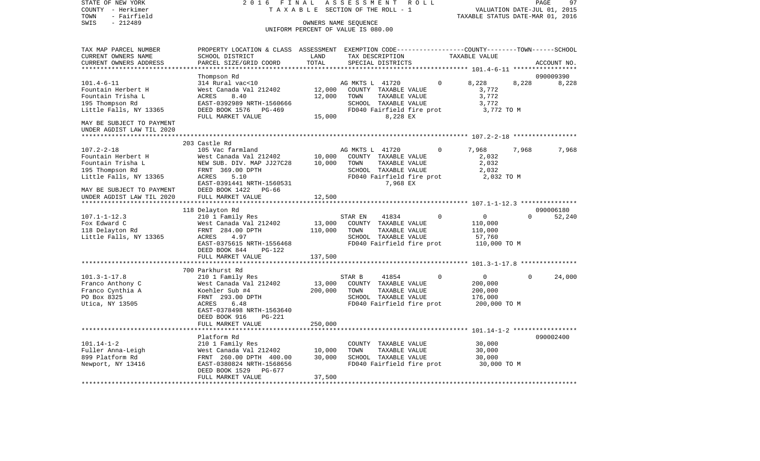STATE OF NEW YORK 2 0 1 6 F I N A L A S S E S S M E N T R O L L PAGE 97COUNTY - Herkimer **T A X A B L E** SECTION OF THE ROLL - 1 VALUATION DATE-JUL 01, 2015 TOWN - Fairfield TAXABLE STATUS DATE-MAR 01, 2016 SWIS - 212489 OWNERS NAME SEQUENCE UNIFORM PERCENT OF VALUE IS 080.00TAX MAP PARCEL NUMBER PROPERTY LOCATION & CLASS ASSESSMENT EXEMPTION CODE------------------COUNTY--------TOWN------SCHOOL CURRENT OWNERS NAME SCHOOL DISTRICT LAND TAX DESCRIPTION TAXABLE VALUECURRENT OWNERS ADDRESS PARCEL SIZE/GRID COORD TOTAL SPECIAL DISTRICTS ACCOUNT NO. \*\*\*\*\*\*\*\*\*\*\*\*\*\*\*\*\*\*\*\*\*\*\*\*\*\*\*\*\*\*\*\*\*\*\*\*\*\*\*\*\*\*\*\*\*\*\*\*\*\*\*\*\*\*\*\*\*\*\*\*\*\*\*\*\*\*\*\*\*\*\*\*\*\*\*\*\*\*\*\*\*\*\*\*\*\*\*\*\*\*\*\*\*\*\*\*\*\*\*\*\*\*\* 101.4-6-11 \*\*\*\*\*\*\*\*\*\*\*\*\*\*\*\*\* Thompson Rd 090009390 101.4-6-11 314 Rural vac<10 AG MKTS L 41720 0 8,228 8,228 8,228 Fountain Herbert H West Canada Val 212402 12,000 COUNTY TAXABLE VALUE 3,772 Fountain Trisha L **ACRES** 8.40 12,000 TOWN TAXABLE VALUE 3,772 195 Thompson Rd EAST-0392989 NRTH-1560666 SCHOOL TAXABLE VALUE 3,772 DEED BOOK 1576 PG-469 FD040 Fairfield fire prot FULL MARKET VALUE  $15,000$  8,228 EX MAY BE SUBJECT TO PAYMENT UNDER AGDIST LAW TIL 2020 \*\*\*\*\*\*\*\*\*\*\*\*\*\*\*\*\*\*\*\*\*\*\*\*\*\*\*\*\*\*\*\*\*\*\*\*\*\*\*\*\*\*\*\*\*\*\*\*\*\*\*\*\*\*\*\*\*\*\*\*\*\*\*\*\*\*\*\*\*\*\*\*\*\*\*\*\*\*\*\*\*\*\*\*\*\*\*\*\*\*\*\*\*\*\*\*\*\*\*\*\*\*\* 107.2-2-18 \*\*\*\*\*\*\*\*\*\*\*\*\*\*\*\*\* 203 Castle Rd107.2-2-18 105 Vac farmland AG MKTS L 41720 0 7,968 7,968 7,968 Fountain Herbert H West Canada Val 212402 10,000 COUNTY TAXABLE VALUE 2,032 Fountain Trisha L **NEW SUB. DIV. MAP JJ27C28** 10,000 TOWN TAXABLE VALUE 2,032 195 Thompson Rd FRNT 369.00 DPTH SCHOOL TAXABLE VALUE 2,032 ACRES 5.10 FD040 Fairfield fire prot 2,032 TO M EAST-0391441 NRTH-1560531 7,968 EX MAY BE SUBJECT TO PAYMENT DEED BOOK 1422 PG-66UNDER AGDIST LAW TIL 2020 FULL MARKET VALUE 12,500 \*\*\*\*\*\*\*\*\*\*\*\*\*\*\*\*\*\*\*\*\*\*\*\*\*\*\*\*\*\*\*\*\*\*\*\*\*\*\*\*\*\*\*\*\*\*\*\*\*\*\*\*\*\*\*\*\*\*\*\*\*\*\*\*\*\*\*\*\*\*\*\*\*\*\*\*\*\*\*\*\*\*\*\*\*\*\*\*\*\*\*\*\*\*\*\*\*\*\*\*\*\*\* 107.1-1-12.3 \*\*\*\*\*\*\*\*\*\*\*\*\*\*\* 118 Delayton Rd 090006180 107.1-1-12.3 210 1 Family Res STAR EN 41834 0 0 0 52,240 Fox Edward C West Canada Val 212402 13,000 COUNTY TAXABLE VALUE 110,000 118 Delayton Rd FRNT 284.00 DPTH 110,000 TOWN TAXABLE VALUE 110,000 Little Falls, NY 13365 EAST-0375615 NRTH-1556468 FD040 Fairfield fire prot 110,000 TO M DEED BOOK 844 PG-122FULL MARKET VALUE 137,500 \*\*\*\*\*\*\*\*\*\*\*\*\*\*\*\*\*\*\*\*\*\*\*\*\*\*\*\*\*\*\*\*\*\*\*\*\*\*\*\*\*\*\*\*\*\*\*\*\*\*\*\*\*\*\*\*\*\*\*\*\*\*\*\*\*\*\*\*\*\*\*\*\*\*\*\*\*\*\*\*\*\*\*\*\*\*\*\*\*\*\*\*\*\*\*\*\*\*\*\*\*\*\* 101.3-1-17.8 \*\*\*\*\*\*\*\*\*\*\*\*\*\*\* 700 Parkhurst Rd101.3-1-17.8 210 1 Family Res STAR B 41854 0 0 0 24,000 Franco Anthony C West Canada Val 212402 13,000 COUNTY TAXABLE VALUE 200,000 Franco Cynthia A Koehler Sub #4 200,000 TOWN TAXABLE VALUE 200,000 PO Box 8325 **FRNT** 293.00 DPTH SCHOOL TAXABLE VALUE 176,000 Utica, NY 13505 ACRES 6.48 FD040 Fairfield fire prot 200,000 TO M EAST-0378498 NRTH-1563640 DEED BOOK 916 PG-221FULL MARKET VALUE 250,000 \*\*\*\*\*\*\*\*\*\*\*\*\*\*\*\*\*\*\*\*\*\*\*\*\*\*\*\*\*\*\*\*\*\*\*\*\*\*\*\*\*\*\*\*\*\*\*\*\*\*\*\*\*\*\*\*\*\*\*\*\*\*\*\*\*\*\*\*\*\*\*\*\*\*\*\*\*\*\*\*\*\*\*\*\*\*\*\*\*\*\*\*\*\*\*\*\*\*\*\*\*\*\* 101.14-1-2 \*\*\*\*\*\*\*\*\*\*\*\*\*\*\*\*\* Platform Rd 090002400101.14-1-2 210 1 Family Res COUNTY TAXABLE VALUE 30,000 Fuller Anna-Leigh West Canada Val 212402 10,000 TOWN TAXABLE VALUE 30,000 FRNT 260.00 DPTH 400.00 Newport, NY 13416 **EAST-0380824 NRTH-1568656** FD040 Fairfield fire prot 30,000 TO M DEED BOOK 1529 PG-677FULL MARKET VALUE 37,500 \*\*\*\*\*\*\*\*\*\*\*\*\*\*\*\*\*\*\*\*\*\*\*\*\*\*\*\*\*\*\*\*\*\*\*\*\*\*\*\*\*\*\*\*\*\*\*\*\*\*\*\*\*\*\*\*\*\*\*\*\*\*\*\*\*\*\*\*\*\*\*\*\*\*\*\*\*\*\*\*\*\*\*\*\*\*\*\*\*\*\*\*\*\*\*\*\*\*\*\*\*\*\*\*\*\*\*\*\*\*\*\*\*\*\*\*\*\*\*\*\*\*\*\*\*\*\*\*\*\*\*\*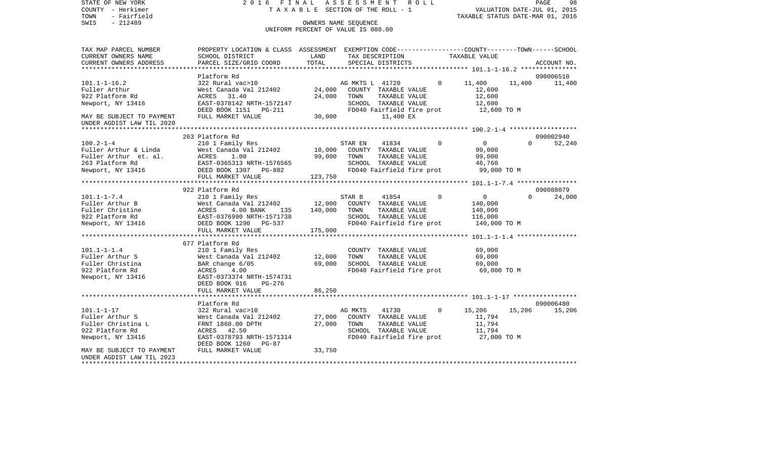COUNTY - Herkimer **T A X A B L E** SECTION OF THE ROLL - 1 VALUATION DATE-JUL 01, 2015 TOWN - Fairfield TAXABLE STATUS DATE-MAR 01, 2016 SWIS - 212489 CONNERS NAME SEQUENCE UNIFORM PERCENT OF VALUE IS 080.00TAX MAP PARCEL NUMBER PROPERTY LOCATION & CLASS ASSESSMENT EXEMPTION CODE------------------COUNTY--------TOWN------SCHOOL CURRENT OWNERS NAME SCHOOL DISTRICT LAND TAX DESCRIPTION TAXABLE VALUECURRENT OWNERS ADDRESS PARCEL SIZE/GRID COORD TOTAL SPECIAL DISTRICTS ACCOUNT NO. \*\*\*\*\*\*\*\*\*\*\*\*\*\*\*\*\*\*\*\*\*\*\*\*\*\*\*\*\*\*\*\*\*\*\*\*\*\*\*\*\*\*\*\*\*\*\*\*\*\*\*\*\*\*\*\*\*\*\*\*\*\*\*\*\*\*\*\*\*\*\*\*\*\*\*\*\*\*\*\*\*\*\*\*\*\*\*\*\*\*\*\*\*\*\*\*\*\*\*\*\*\*\* 101.1-1-16.2 \*\*\*\*\*\*\*\*\*\*\*\*\*\*\*Platform Rd 090006510 101.1-1-16.2 322 Rural vac>10 AG MKTS L 41720 0 11,400 11,400 11,400 Fuller Arthur West Canada Val 212402 24,000 COUNTY TAXABLE VALUE 12,600 922 Platform Rd ACRES 31.40 24,000 TOWN TAXABLE VALUE 12,600 Newport, NY 13416 EAST-0378142 NRTH-1572147 SCHOOL TAXABLE VALUE 12,600 DEED BOOK 1151 PG-211 FD040 Fairfield fire prot 12,600 TO M MAY BE SUBJECT TO PAYMENT FULL MARKET VALUE 30,000 130,000 11,400 EX UNDER AGDIST LAW TIL 2020 \*\*\*\*\*\*\*\*\*\*\*\*\*\*\*\*\*\*\*\*\*\*\*\*\*\*\*\*\*\*\*\*\*\*\*\*\*\*\*\*\*\*\*\*\*\*\*\*\*\*\*\*\*\*\*\*\*\*\*\*\*\*\*\*\*\*\*\*\*\*\*\*\*\*\*\*\*\*\*\*\*\*\*\*\*\*\*\*\*\*\*\*\*\*\*\*\*\*\*\*\*\*\* 100.2-1-4 \*\*\*\*\*\*\*\*\*\*\*\*\*\*\*\*\*\* 263 Platform Rd 090002940100.2-1-4 210 1 Family Res STAR EN 41834 0 0 0 52,240 Fuller Arthur & Linda West Canada Val 212402 10,000 COUNTY TAXABLE VALUE 99,000 Fuller Arthur et. al. ACRES 1.00 99,000 TOWN TAXABLE VALUE 99,000 263 Platform Rd EAST-0365313 NRTH-1576565 SCHOOL TAXABLE VALUE 46,760 Newport, NY 13416 **DEED BOOK 1307** PG-802 **FD040 Fairfield fire prot** 99,000 TO M FULL MARKET VALUE 123,750 \*\*\*\*\*\*\*\*\*\*\*\*\*\*\*\*\*\*\*\*\*\*\*\*\*\*\*\*\*\*\*\*\*\*\*\*\*\*\*\*\*\*\*\*\*\*\*\*\*\*\*\*\*\*\*\*\*\*\*\*\*\*\*\*\*\*\*\*\*\*\*\*\*\*\*\*\*\*\*\*\*\*\*\*\*\*\*\*\*\*\*\*\*\*\*\*\*\*\*\*\*\*\* 101.1-1-7.4 \*\*\*\*\*\*\*\*\*\*\*\*\*\*\*\* 922 Platform Rd 09008807924,000 101.1-1-7.4 210 1 Family Res STAR B 41854 0 0 0 0 Fuller Arthur B West Canada Val 212402 12,000 COUNTY TAXABLE VALUE 140,000 Fuller Christine ACRES 4.00 BANK 135 140,000 TOWN TAXABLE VALUE 140,000 922 Platform Rd EAST-0376990 NRTH-1571738 SCHOOL TAXABLE VALUE 116,000 Newport, NY 13416 **DEED BOOK 1290** PG-537 **FD040 Fairfield fire prot** 140,000 TO M FULL MARKET VALUE 175,000 \*\*\*\*\*\*\*\*\*\*\*\*\*\*\*\*\*\*\*\*\*\*\*\*\*\*\*\*\*\*\*\*\*\*\*\*\*\*\*\*\*\*\*\*\*\*\*\*\*\*\*\*\*\*\*\*\*\*\*\*\*\*\*\*\*\*\*\*\*\*\*\*\*\*\*\*\*\*\*\*\*\*\*\*\*\*\*\*\*\*\*\*\*\*\*\*\*\*\*\*\*\*\* 101.1-1-1.4 \*\*\*\*\*\*\*\*\*\*\*\*\*\*\*\* 677 Platform Rd101.1-1-1.4 210 1 Family Res COUNTY TAXABLE VALUE 69,000 Fuller Arthur S 69,000 West Canada Val 212402 12,000 TOWN TAXABLE VALUE 69,000 Fuller Christina BAR change 6/05 69,000 SCHOOL TAXABLE VALUE 69,000 922 Platform Rd **ACRES** 4.00 **FD040 Fairfield fire prot** 69,000 TO M Newport, NY 13416 EAST-0373374 NRTH-1574731 DEED BOOK 916 PG-276FULL MARKET VALUE 86,250 \*\*\*\*\*\*\*\*\*\*\*\*\*\*\*\*\*\*\*\*\*\*\*\*\*\*\*\*\*\*\*\*\*\*\*\*\*\*\*\*\*\*\*\*\*\*\*\*\*\*\*\*\*\*\*\*\*\*\*\*\*\*\*\*\*\*\*\*\*\*\*\*\*\*\*\*\*\*\*\*\*\*\*\*\*\*\*\*\*\*\*\*\*\*\*\*\*\*\*\*\*\*\* 101.1-1-17 \*\*\*\*\*\*\*\*\*\*\*\*\*\*\*\*\*Platform Rd 090006480 101.1-1-17 322 Rural vac>10 AG MKTS 41730 0 15,206 15,206 15,206 Fuller Arthur S West Canada Val 212402 27,000 COUNTY TAXABLE VALUE 11,794 Fuller Christina L FRNT 1860.00 DPTH 27,000 TOWN TAXABLE VALUE 11,794 922 Platform Rd ACRES 42.50 SCHOOL TAXABLE VALUE 11,794 Newport, NY 13416 EAST-0378793 NRTH-1571314 FD040 Fairfield fire prot 27,000 TO M DEED BOOK 1260 PG-87MAY BE SUBJECT TO PAYMENT FULL MARKET VALUE 33,750 UNDER AGDIST LAW TIL 2023\*\*\*\*\*\*\*\*\*\*\*\*\*\*\*\*\*\*\*\*\*\*\*\*\*\*\*\*\*\*\*\*\*\*\*\*\*\*\*\*\*\*\*\*\*\*\*\*\*\*\*\*\*\*\*\*\*\*\*\*\*\*\*\*\*\*\*\*\*\*\*\*\*\*\*\*\*\*\*\*\*\*\*\*\*\*\*\*\*\*\*\*\*\*\*\*\*\*\*\*\*\*\*\*\*\*\*\*\*\*\*\*\*\*\*\*\*\*\*\*\*\*\*\*\*\*\*\*\*\*\*\*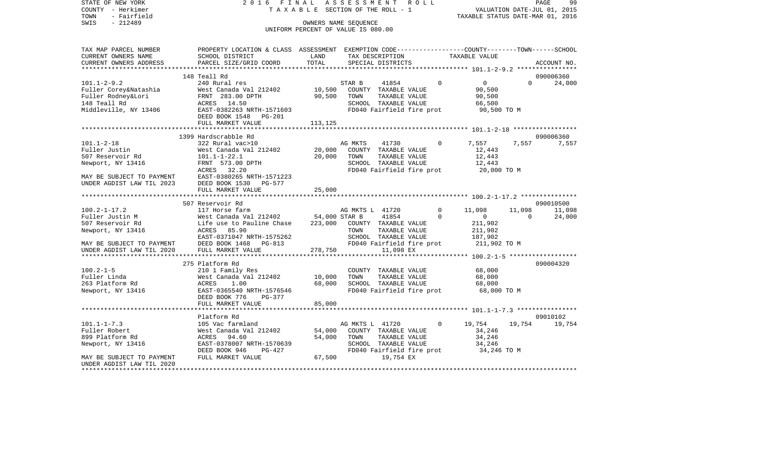STATE OF NEW YORK 2 0 1 6 F I N A L A S S E S S M E N T R O L L PAGE 99COUNTY - Herkimer **T A X A B L E** SECTION OF THE ROLL - 1 VALUATION DATE-JUL 01, 2015 TOWN - Fairfield TAXABLE STATUS DATE-MAR 01, 2016 SWIS - 212489 CONNERS NAME SEQUENCE UNIFORM PERCENT OF VALUE IS 080.00TAX MAP PARCEL NUMBER PROPERTY LOCATION & CLASS ASSESSMENT EXEMPTION CODE------------------COUNTY--------TOWN------SCHOOL CURRENT OWNERS NAME SCHOOL DISTRICT LAND TAX DESCRIPTION TAXABLE VALUECURRENT OWNERS ADDRESS PARCEL SIZE/GRID COORD TOTAL SPECIAL DISTRICTS ACCOUNT NO. \*\*\*\*\*\*\*\*\*\*\*\*\*\*\*\*\*\*\*\*\*\*\*\*\*\*\*\*\*\*\*\*\*\*\*\*\*\*\*\*\*\*\*\*\*\*\*\*\*\*\*\*\*\*\*\*\*\*\*\*\*\*\*\*\*\*\*\*\*\*\*\*\*\*\*\*\*\*\*\*\*\*\*\*\*\*\*\*\*\*\*\*\*\*\*\*\*\*\*\*\*\*\* 101.1-2-9.2 \*\*\*\*\*\*\*\*\*\*\*\*\*\*\*\* 148 Teall Rd 090006360101.1-2-9.2 240 Rural res STAR B 41854 0 0 0 24,000 Fuller Corey&Natashia West Canada Val 212402 10,500 COUNTY TAXABLE VALUE 90,500 Fuller Rodney&Lori FRNT 283.00 DPTH 90,500 TOWN TAXABLE VALUE 90,500 148 Teall Rd ACRES 14.50 SCHOOL TAXABLE VALUE 66,500 Middleville, NY 13406 EAST-0382263 NRTH-1571603 FD040 Fairfield fire prot 90,500 TO M DEED BOOK 1548 PG-201FULL MARKET VALUE 113,125 \*\*\*\*\*\*\*\*\*\*\*\*\*\*\*\*\*\*\*\*\*\*\*\*\*\*\*\*\*\*\*\*\*\*\*\*\*\*\*\*\*\*\*\*\*\*\*\*\*\*\*\*\*\*\*\*\*\*\*\*\*\*\*\*\*\*\*\*\*\*\*\*\*\*\*\*\*\*\*\*\*\*\*\*\*\*\*\*\*\*\*\*\*\*\*\*\*\*\*\*\*\*\* 101.1-2-18 \*\*\*\*\*\*\*\*\*\*\*\*\*\*\*\*\* 1399 Hardscrabble Rd 090006360101.1-2-18 322 Rural vac>10 AG MKTS 41730 0 7,557 7,557 7,557 Fuller Justin West Canada Val 212402 20,000 COUNTY TAXABLE VALUE 12,443 507 Reservoir Rd 101.1-1-22.1 20,000 TOWN TAXABLE VALUE 12,443 Newport, NY 13416 FRNT 573.00 DPTH SCHOOL TAXABLE VALUE 12,443 ACRES 32.20 **FD040** Fairfield fire prot 20,000 TO M MAY BE SUBJECT TO PAYMENT EAST-0380265 NRTH-1571223UNDER AGDIST LAW TIL 2023 DEED BOOK 1530 PG-577 FULL MARKET VALUE 25,000 \*\*\*\*\*\*\*\*\*\*\*\*\*\*\*\*\*\*\*\*\*\*\*\*\*\*\*\*\*\*\*\*\*\*\*\*\*\*\*\*\*\*\*\*\*\*\*\*\*\*\*\*\*\*\*\*\*\*\*\*\*\*\*\*\*\*\*\*\*\*\*\*\*\*\*\*\*\*\*\*\*\*\*\*\*\*\*\*\*\*\*\*\*\*\*\*\*\*\*\*\*\*\* 100.2-1-17.2 \*\*\*\*\*\*\*\*\*\*\*\*\*\*\* 507 Reservoir Rd 090010500100.2-1-17.2 117 Horse farm AG MKTS L 41720 0 11,098 11,098 11,098 Fuller Justin M West Canada Val 212402 54,000 STAR B 41854 0 0 0 24,000 507 Reservoir Rd Life use to Pauline Chase 223,000 COUNTY TAXABLE VALUE 211,902 Newport, NY 13416 ACRES 85.90 TOWN TAXABLE VALUE 211,902 EAST-0371047 NRTH-1575262 MAY BE SUBJECT TO PAYMENT DEED BOOK 1468 PG-813 FD040 Fairfield fire prot 211,902 TO M UNDER AGDIST LAW TIL 2020 FULL MARKET VALUE 278,750 11,098 EX \*\*\*\*\*\*\*\*\*\*\*\*\*\*\*\*\*\*\*\*\*\*\*\*\*\*\*\*\*\*\*\*\*\*\*\*\*\*\*\*\*\*\*\*\*\*\*\*\*\*\*\*\*\*\*\*\*\*\*\*\*\*\*\*\*\*\*\*\*\*\*\*\*\*\*\*\*\*\*\*\*\*\*\*\*\*\*\*\*\*\*\*\*\*\*\*\*\*\*\*\*\*\* 100.2-1-5 \*\*\*\*\*\*\*\*\*\*\*\*\*\*\*\*\*\* 275 Platform Rd 090004320100.2-1-5 210 1 Family Res COUNTY TAXABLE VALUE 68,000 Fuller Linda West Canada Val 212402 10,000 TOWN TAXABLE VALUE 68,000 263 Platform Rd ACRES 1.00 68,000 SCHOOL TAXABLE VALUE 68,000 Newport, NY 13416 EAST-0365540 NRTH-1576546 FD040 Fairfield fire prot 68,000 TO M DEED BOOK 776 PG-377FULL MARKET VALUE 85,000 \*\*\*\*\*\*\*\*\*\*\*\*\*\*\*\*\*\*\*\*\*\*\*\*\*\*\*\*\*\*\*\*\*\*\*\*\*\*\*\*\*\*\*\*\*\*\*\*\*\*\*\*\*\*\*\*\*\*\*\*\*\*\*\*\*\*\*\*\*\*\*\*\*\*\*\*\*\*\*\*\*\*\*\*\*\*\*\*\*\*\*\*\*\*\*\*\*\*\*\*\*\*\* 101.1-1-7.3 \*\*\*\*\*\*\*\*\*\*\*\*\*\*\*\*Platform Rd 09010102 101.1-1-7.3 105 Vac farmland AG MKTS L 41720 0 19,754 19,754 19,754 Fuller Robert West Canada Val 212402 54,000 COUNTY TAXABLE VALUE 34,246 899 Platform Rd ACRES 94.60 54,000 TOWN TAXABLE VALUE 34,246

Newport, NY 13416 EAST-0378007 NRTH-1570639 SCHOOL TAXABLE VALUE 34,246

DEED BOOK 946 PG-427 FD040 Fairfield fire prot 34,246 TO M<br>FULL MARKET VALUE 67.500 19.754 EX MAY BE SUBJECT TO PAYMENT FULL MARKET VALUE 67,500 19,754 EX UNDER AGDIST LAW TIL 2020\*\*\*\*\*\*\*\*\*\*\*\*\*\*\*\*\*\*\*\*\*\*\*\*\*\*\*\*\*\*\*\*\*\*\*\*\*\*\*\*\*\*\*\*\*\*\*\*\*\*\*\*\*\*\*\*\*\*\*\*\*\*\*\*\*\*\*\*\*\*\*\*\*\*\*\*\*\*\*\*\*\*\*\*\*\*\*\*\*\*\*\*\*\*\*\*\*\*\*\*\*\*\*\*\*\*\*\*\*\*\*\*\*\*\*\*\*\*\*\*\*\*\*\*\*\*\*\*\*\*\*\*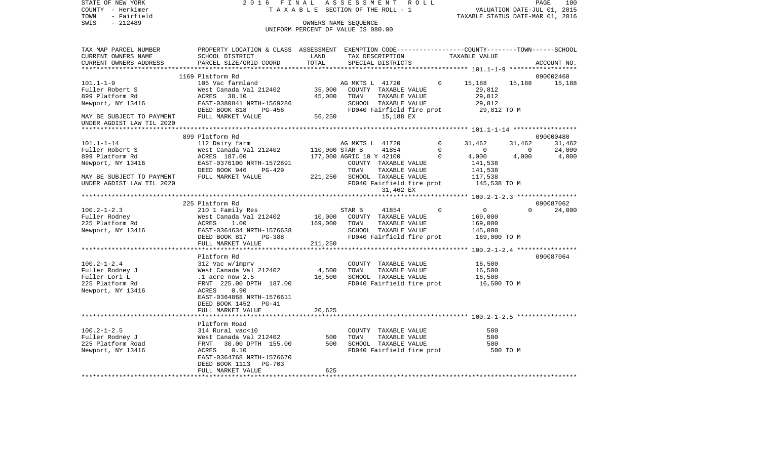| STATE OF NEW YORK<br>COUNTY - Herkimer                 | ASSESSMENT ROLL<br>2016 FINAL<br>TAXABLE SECTION OF THE ROLL - 1                                                             |                                                |                                      |                           |  |                   | PAGE<br>100<br>VALUATION DATE-JUL 01, 2015<br>TAXABLE STATUS DATE-MAR 01, 2016 |                |                    |  |
|--------------------------------------------------------|------------------------------------------------------------------------------------------------------------------------------|------------------------------------------------|--------------------------------------|---------------------------|--|-------------------|--------------------------------------------------------------------------------|----------------|--------------------|--|
| - Fairfield<br>TOWN                                    |                                                                                                                              |                                                |                                      |                           |  |                   |                                                                                |                |                    |  |
| $-212489$<br>SWIS                                      | OWNERS NAME SEQUENCE                                                                                                         |                                                |                                      |                           |  |                   |                                                                                |                |                    |  |
|                                                        |                                                                                                                              | UNIFORM PERCENT OF VALUE IS 080.00             |                                      |                           |  |                   |                                                                                |                |                    |  |
|                                                        |                                                                                                                              |                                                |                                      |                           |  |                   |                                                                                |                |                    |  |
| TAX MAP PARCEL NUMBER                                  | PROPERTY LOCATION & CLASS ASSESSMENT EXEMPTION CODE---------------COUNTY-------TOWN------SCHOOL                              |                                                |                                      |                           |  |                   |                                                                                |                |                    |  |
| CURRENT OWNERS NAME                                    | SCHOOL DISTRICT                                                                                                              | LAND                                           | TAX DESCRIPTION<br>SPECILL PLATPIATS |                           |  |                   | TAXABLE VALUE                                                                  |                |                    |  |
| CURRENT OWNERS ADDRESS                                 | PARCEL SIZE/GRID COORD                                                                                                       | TOTAL                                          |                                      | SPECIAL DISTRICTS         |  |                   |                                                                                |                | ACCOUNT NO.        |  |
|                                                        |                                                                                                                              |                                                |                                      |                           |  |                   |                                                                                |                |                    |  |
|                                                        | 1169 Platform Rd                                                                                                             |                                                |                                      |                           |  |                   |                                                                                |                | 090002460          |  |
| $101.1 - 1 - 9$                                        | 105 Vac farmland                                                                                                             | AG MKTS L 41720<br>35,000 COUNTY TAXABLE VALUE |                                      |                           |  |                   | $0 \t 15,188$                                                                  | 15,188         | 15,188             |  |
| Fuller Robert S                                        | West Canada Val 212402                                                                                                       |                                                |                                      |                           |  |                   | 29,812                                                                         |                |                    |  |
| 899 Platform Rd                                        | ACRES 38.10                                                                                                                  |                                                | 45,000 TOWN                          | TAXABLE VALUE             |  |                   | 29,812                                                                         |                |                    |  |
| Newport, NY 13416                                      | -<br>EAST-0380841 NRTH-1569286<br>DEED BOOK 818 PG-456                                                                       |                                                |                                      | SCHOOL TAXABLE VALUE      |  |                   | 29,812                                                                         |                |                    |  |
|                                                        |                                                                                                                              |                                                | FD040 Fairfield fire prot            |                           |  |                   | 29,812 TO M                                                                    |                |                    |  |
| MAY BE SUBJECT TO PAYMENT<br>UNDER AGDIST LAW TIL 2020 | FULL MARKET VALUE                                                                                                            | 56,250                                         |                                      | 15,188 EX                 |  |                   |                                                                                |                |                    |  |
|                                                        |                                                                                                                              |                                                |                                      |                           |  |                   |                                                                                |                |                    |  |
|                                                        | 899 Platform Rd                                                                                                              |                                                |                                      |                           |  |                   |                                                                                |                | 090000480          |  |
| $101.1 - 1 - 14$                                       | 112 Dairy farm                                                                                                               | AG MKTS<br>110,000 STAR B                      | AG MKTS L 41720                      |                           |  | $0 \qquad \qquad$ | 31,462                                                                         | 31,462         | 31,462             |  |
| Fuller Robert S                                        | West Canada Val 212402                                                                                                       |                                                |                                      | 41854                     |  | $\overline{0}$    | $0$<br>4,000                                                                   | $\overline{0}$ | 24,000<br>4,000    |  |
| 899 Platform Rd                                        | ACRES 187.00                                                                                                                 |                                                | 177,000 AGRIC 10 Y 42100 0           |                           |  |                   | 4,000                                                                          | 4,000          |                    |  |
| Newport, NY 13416                                      | EAST-0376100 NRTH-1572891<br>DEED BOOK 946 PG-429                                                                            |                                                |                                      | COUNTY TAXABLE VALUE      |  |                   | 141,538                                                                        |                |                    |  |
|                                                        |                                                                                                                              |                                                | TOWN                                 | TAXABLE VALUE             |  |                   | 141,538                                                                        |                |                    |  |
| MAY BE SUBJECT TO PAYMENT                              | FULL MARKET VALUE                                                                                                            | 221,250 SCHOOL TAXABLE VALUE                   |                                      |                           |  |                   | 117,538                                                                        |                |                    |  |
| UNDER AGDIST LAW TIL 2020                              |                                                                                                                              |                                                |                                      |                           |  |                   | FD040 Fairfield fire prot 145,538 TO M                                         |                |                    |  |
|                                                        |                                                                                                                              |                                                |                                      | 31,462 EX                 |  |                   |                                                                                |                |                    |  |
|                                                        |                                                                                                                              |                                                |                                      |                           |  |                   |                                                                                |                |                    |  |
|                                                        | 225 Platform Rd                                                                                                              |                                                |                                      |                           |  |                   |                                                                                |                | 090087062          |  |
| $100.2 - 1 - 2.3$                                      |                                                                                                                              |                                                | STAR B                               | 41854                     |  | $\Omega$          | $\overline{0}$                                                                 |                | $\Omega$<br>24,000 |  |
| Fuller Rodney                                          | 210 1 Family Res<br>West Canada Val 212402 10,000<br>ACRES 1.00 169,000<br>EAST-0364634 NRTH-1576638<br>PERD ROOK 817 PG-388 |                                                | 10,000 COUNTY TAXABLE VALUE          |                           |  |                   | 169,000                                                                        |                |                    |  |
| 225 Platform Rd                                        |                                                                                                                              |                                                | 169,000 TOWN                         | TAXABLE VALUE             |  |                   | 169,000                                                                        |                |                    |  |
| Newport, NY 13416                                      |                                                                                                                              |                                                |                                      | SCHOOL TAXABLE VALUE      |  |                   | 145,000                                                                        |                |                    |  |
|                                                        |                                                                                                                              |                                                |                                      | FD040 Fairfield fire prot |  |                   | 169,000 TO M                                                                   |                |                    |  |
|                                                        | FULL MARKET VALUE                                                                                                            | 211,250                                        |                                      |                           |  |                   |                                                                                |                |                    |  |
|                                                        |                                                                                                                              |                                                |                                      |                           |  |                   |                                                                                |                | 090087064          |  |
|                                                        | Platform Rd                                                                                                                  |                                                |                                      |                           |  |                   |                                                                                |                |                    |  |
| $100.2 - 1 - 2.4$                                      | 312 Vac w/imprv<br>West Canada Val 212402                                                                                    |                                                |                                      | COUNTY TAXABLE VALUE      |  |                   | 16,500                                                                         |                |                    |  |
| Fuller Rodney J                                        |                                                                                                                              | 4,500 TOWN                                     |                                      | TAXABLE VALUE             |  |                   | 16,500                                                                         |                |                    |  |
| Fuller Lori L<br>225 Platform Rd                       | West Canada Val<br>West Canada Val<br>1 acre now 2.5<br>FRNT 225.00 DPT<br>FRNT 225.00 DPTH 187.00                           |                                                | 16,500 SCHOOL TAXABLE VALUE          |                           |  |                   | 16,500<br>FD040 Fairfield fire prot 16,500 TO M                                |                |                    |  |
|                                                        | ACRES<br>0.90                                                                                                                |                                                |                                      |                           |  |                   |                                                                                |                |                    |  |
| Newport, NY 13416                                      |                                                                                                                              |                                                |                                      |                           |  |                   |                                                                                |                |                    |  |
|                                                        | EAST-0364868 NRTH-1576611<br>DEED BOOK 1452 PG-41                                                                            |                                                |                                      |                           |  |                   |                                                                                |                |                    |  |
|                                                        | FULL MARKET VALUE                                                                                                            | 20,625                                         |                                      |                           |  |                   |                                                                                |                |                    |  |
|                                                        |                                                                                                                              |                                                |                                      |                           |  |                   |                                                                                |                |                    |  |
|                                                        | Platform Road                                                                                                                |                                                |                                      |                           |  |                   |                                                                                |                |                    |  |
| $100.2 - 1 - 2.5$                                      | 314 Rural vac<10                                                                                                             |                                                |                                      | COUNTY TAXABLE VALUE      |  |                   | 500                                                                            |                |                    |  |
| Fuller Rodney J                                        | West Canada Val 212402                                                                                                       | 500                                            | TOWN                                 | TAXABLE VALUE             |  |                   | 500                                                                            |                |                    |  |
| 225 Platform Road                                      | 30.00 DPTH 155.00<br>FRNT                                                                                                    |                                                | 500 SCHOOL TAXABLE VALUE             |                           |  |                   | 500                                                                            |                |                    |  |
| Newport, NY 13416                                      | 0.10<br>ACRES                                                                                                                |                                                |                                      |                           |  |                   | FD040 Fairfield fire prot 500 TO M                                             |                |                    |  |
|                                                        | EAST-0364768 NRTH-1576670                                                                                                    |                                                |                                      |                           |  |                   |                                                                                |                |                    |  |
|                                                        | DEED BOOK 1113 PG-703                                                                                                        |                                                |                                      |                           |  |                   |                                                                                |                |                    |  |
|                                                        | FULL MARKET VALUE                                                                                                            | 625                                            |                                      |                           |  |                   |                                                                                |                |                    |  |
|                                                        |                                                                                                                              |                                                |                                      |                           |  |                   |                                                                                |                |                    |  |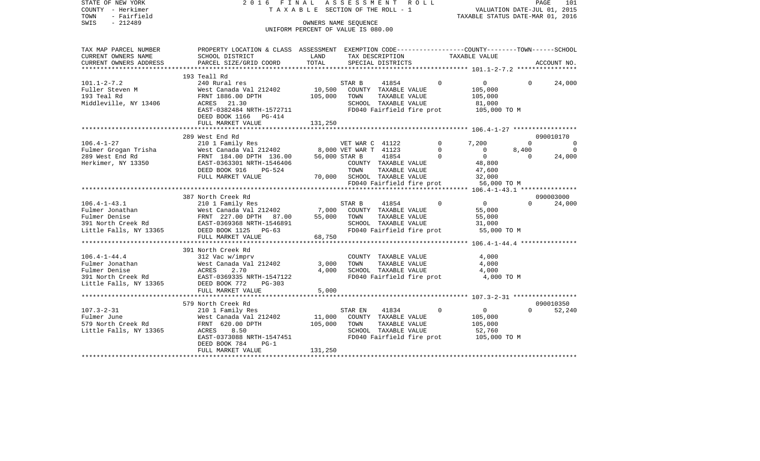| STATE OF NEW YORK<br>COUNTY - Herkimer<br>- Fairfield<br>TOWN<br>$-212489$<br>SWIS | 2016 FINAL<br>TAXABLE SECTION OF THE ROLL - 1<br>UNIFORM PERCENT OF VALUE IS 080.00                                                                                                                                                                               | A S S E S S M E N T R O L L | PAGE<br>101<br>VALUATION DATE-JUL 01, 2015<br>TAXABLE STATUS DATE-MAR 01, 2016 |                                  |                                  |                         |             |
|------------------------------------------------------------------------------------|-------------------------------------------------------------------------------------------------------------------------------------------------------------------------------------------------------------------------------------------------------------------|-----------------------------|--------------------------------------------------------------------------------|----------------------------------|----------------------------------|-------------------------|-------------|
| TAX MAP PARCEL NUMBER<br>CURRENT OWNERS NAME                                       | PROPERTY LOCATION & CLASS ASSESSMENT EXEMPTION CODE---------------COUNTY-------TOWN------SCHOOL<br>SCHOOL DISTRICT                                                                                                                                                | LAND                        | TAX DESCRIPTION TAXABLE VALUE                                                  |                                  |                                  |                         |             |
| CURRENT OWNERS ADDRESS                                                             | PARCEL SIZE/GRID COORD                                                                                                                                                                                                                                            | TOTAL                       | SPECIAL DISTRICTS                                                              |                                  |                                  |                         | ACCOUNT NO. |
|                                                                                    | 193 Teall Rd                                                                                                                                                                                                                                                      |                             |                                                                                |                                  |                                  |                         |             |
| $101.1 - 2 - 7.2$                                                                  | 240 Rural res                                                                                                                                                                                                                                                     |                             | STAR B<br>41854                                                                | $\Omega$                         | $0 \qquad \qquad$                | $\Omega$                | 24,000      |
| 101.1-4-7.2<br>Fuller Steven M                                                     | West Canada Val 212402                                                                                                                                                                                                                                            | 10,500                      | COUNTY TAXABLE VALUE                                                           |                                  | 105,000                          |                         |             |
|                                                                                    | FRNT 1886.00 DPTH                                                                                                                                                                                                                                                 | 105,000                     | TOWN<br>TAXABLE VALUE                                                          |                                  | 105,000                          |                         |             |
| Middleville, NY 13406                                                              | ACRES 21.30                                                                                                                                                                                                                                                       |                             | SCHOOL TAXABLE VALUE                                                           |                                  | 81,000                           |                         |             |
|                                                                                    | EAST-0382484 NRTH-1572711<br>DEED BOOK 1166 PG-414                                                                                                                                                                                                                |                             | FD040 Fairfield fire prot                                                      |                                  | 105,000 TO M                     |                         |             |
|                                                                                    | FULL MARKET VALUE                                                                                                                                                                                                                                                 | 131,250                     |                                                                                |                                  |                                  |                         |             |
|                                                                                    |                                                                                                                                                                                                                                                                   |                             |                                                                                |                                  |                                  |                         |             |
|                                                                                    | 289 West End Rd                                                                                                                                                                                                                                                   |                             |                                                                                |                                  |                                  |                         | 090010170   |
| $106.4 - 1 - 27$                                                                   | West mind in<br>210 1 Family Res (2021)<br>West Canada Val 212402 (2008) 8,000 VET WAR T 41123<br>2011 104 00 DPTH 136.00 (2018) 2018 1023 (2018)                                                                                                                 |                             |                                                                                | $\mathbf 0$                      | 7,200                            | $\mathbf 0$             | $\Omega$    |
| Fulmer Grogan Trisha                                                               | West Canada Val 212402<br>FRNT 184.00 DPTH 136.00                                                                                                                                                                                                                 |                             |                                                                                | $\overline{0}$<br>$\overline{0}$ | $\overline{0}$<br>$\overline{0}$ | 8,400<br>$\overline{0}$ | $\Omega$    |
| 289 West End Rd<br>Herkimer, NY 13350                                              | EAST-0363301 NRTH-1546406                                                                                                                                                                                                                                         |                             | COUNTY TAXABLE VALUE                                                           |                                  | 48,800                           |                         | 24,000      |
|                                                                                    | DEED BOOK 916<br>PG-524                                                                                                                                                                                                                                           |                             | TOWN<br>TAXABLE VALUE                                                          |                                  | 47,600                           |                         |             |
|                                                                                    | FULL MARKET VALUE                                                                                                                                                                                                                                                 |                             | 70,000 SCHOOL TAXABLE VALUE                                                    |                                  | 32,000                           |                         |             |
|                                                                                    |                                                                                                                                                                                                                                                                   |                             | FD040 Fairfield fire prot 56,000 TO M                                          |                                  |                                  |                         |             |
|                                                                                    |                                                                                                                                                                                                                                                                   |                             |                                                                                |                                  |                                  |                         |             |
|                                                                                    | 387 North Creek Rd                                                                                                                                                                                                                                                |                             |                                                                                |                                  |                                  |                         | 090003000   |
| $106.4 - 1 - 43.1$                                                                 | 210 1 Family Res                                                                                                                                                                                                                                                  |                             | 41854<br>STAR B                                                                | $\Omega$                         | $\overline{0}$                   | $\Omega$                | 24,000      |
|                                                                                    |                                                                                                                                                                                                                                                                   | 7,000                       | COUNTY TAXABLE VALUE                                                           |                                  | 55,000                           |                         |             |
|                                                                                    |                                                                                                                                                                                                                                                                   | 55,000                      | TOWN<br>TAXABLE VALUE                                                          |                                  | 55,000                           |                         |             |
|                                                                                    |                                                                                                                                                                                                                                                                   |                             | SCHOOL TAXABLE VALUE                                                           |                                  | 31,000                           |                         |             |
|                                                                                    | Fulmer Jonathan<br>Fulmer Denise<br>Fulmer Denise<br>Sall North Creek Rd<br>Sall North Creek Rd<br>EAST-0369368 NRTH-1546891<br>Little Falls, NY 13365<br>DEED NORK 1125<br>PRIT NORK 125<br>NORTH-1546891<br>DEED NORK 125<br>NORTH-1546891<br>FULL MARKET VALUE | 68,750                      | FD040 Fairfield fire prot                                                      |                                  | 55,000 TO M                      |                         |             |
|                                                                                    |                                                                                                                                                                                                                                                                   |                             |                                                                                |                                  |                                  |                         |             |
|                                                                                    | 391 North Creek Rd                                                                                                                                                                                                                                                |                             |                                                                                |                                  |                                  |                         |             |
| $106.4 - 1 - 44.4$                                                                 | 312 Vac w/imprv                                                                                                                                                                                                                                                   |                             | COUNTY TAXABLE VALUE                                                           |                                  | 4,000                            |                         |             |
| 106.4-1-7:1.<br>Fulmer Jonathan                                                    | West Canada Val 212402                                                                                                                                                                                                                                            | 3,000                       | TAXABLE VALUE<br>TOWN                                                          |                                  | 4,000                            |                         |             |
|                                                                                    | ACRES<br>2.70                                                                                                                                                                                                                                                     | 4,000                       | SCHOOL TAXABLE VALUE                                                           |                                  | 4,000                            |                         |             |
| 391 North Creek Rd                                                                 | EAST-0369335 NRTH-1547122                                                                                                                                                                                                                                         |                             | FD040 Fairfield fire prot                                                      |                                  | 4,000 TO M                       |                         |             |
| Little Falls, NY 13365                                                             | DEED BOOK 772<br>PG-303                                                                                                                                                                                                                                           |                             |                                                                                |                                  |                                  |                         |             |
|                                                                                    | FULL MARKET VALUE                                                                                                                                                                                                                                                 | 5,000                       |                                                                                |                                  |                                  |                         |             |
|                                                                                    | 579 North Creek Rd                                                                                                                                                                                                                                                |                             |                                                                                |                                  |                                  |                         | 090010350   |
| $107.3 - 2 - 31$                                                                   | 210 1 Family Res                                                                                                                                                                                                                                                  |                             | STAR EN<br>41834                                                               | $\mathbf 0$                      | $\overline{0}$                   | $\Omega$                | 52,240      |
|                                                                                    | West Canada Val 212402                                                                                                                                                                                                                                            | 11,000                      | COUNTY TAXABLE VALUE                                                           |                                  | 105,000                          |                         |             |
| Fulmer June<br>579 North Creek Rd                                                  | FRNT 620.00 DPTH                                                                                                                                                                                                                                                  | 105,000                     | TAXABLE VALUE<br>TOWN                                                          |                                  | 105,000                          |                         |             |
| Little Falls, NY 13365                                                             | ACRES<br>8.50                                                                                                                                                                                                                                                     |                             | SCHOOL TAXABLE VALUE                                                           |                                  | 52,760                           |                         |             |
|                                                                                    | EAST-0373088 NRTH-1547451                                                                                                                                                                                                                                         |                             | FD040 Fairfield fire prot 105,000 TO M                                         |                                  |                                  |                         |             |
|                                                                                    | DEED BOOK 784<br>$PG-1$                                                                                                                                                                                                                                           |                             |                                                                                |                                  |                                  |                         |             |
|                                                                                    | FULL MARKET VALUE                                                                                                                                                                                                                                                 | 131,250                     |                                                                                |                                  |                                  |                         |             |
| ************************                                                           |                                                                                                                                                                                                                                                                   |                             |                                                                                |                                  |                                  |                         |             |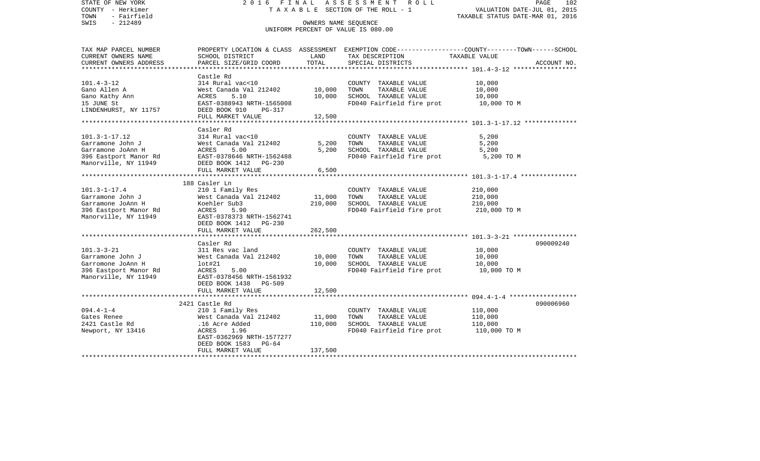STATE OF NEW YORK 2 0 1 6 F I N A L A S S E S S M E N T R O L L PAGE 102VALUATION DATE-JUL 01, 2015 COUNTY - Herkimer T A X A B L E SECTION OF THE ROLL - 1 TOWN - Fairfield TAXABLE STATUS DATE-MAR 01, 2016 SWIS - 212489 CONNERS NAME SEQUENCE UNIFORM PERCENT OF VALUE IS 080.00TAX MAP PARCEL NUMBER PROPERTY LOCATION & CLASS ASSESSMENT EXEMPTION CODE------------------COUNTY--------TOWN------SCHOOL CURRENT OWNERS NAME SCHOOL DISTRICT LAND TAX DESCRIPTION TAXABLE VALUECURRENT OWNERS ADDRESS PARCEL SIZE/GRID COORD TOTAL SPECIAL DISTRICTS ACCOUNT NO. \*\*\*\*\*\*\*\*\*\*\*\*\*\*\*\*\*\*\*\*\*\*\*\*\*\*\*\*\*\*\*\*\*\*\*\*\*\*\*\*\*\*\*\*\*\*\*\*\*\*\*\*\*\*\*\*\*\*\*\*\*\*\*\*\*\*\*\*\*\*\*\*\*\*\*\*\*\*\*\*\*\*\*\*\*\*\*\*\*\*\*\*\*\*\*\*\*\*\*\*\*\*\* 101.4-3-12 \*\*\*\*\*\*\*\*\*\*\*\*\*\*\*\*\* Castle Rd $314$  Rural vac< $10$ 101.4-3-12 314 Rural vac<10 COUNTY TAXABLE VALUE 10,000 Gano Allen A 6000 West Canada Val 212402 10,000 TOWN TAXABLE VALUE 10,000 Gano Kathy Ann ACRES 5.10 10,000 SCHOOL TAXABLE VALUE 10,000 15 JUNE St EAST-0388943 NRTH-1565008 FD040 Fairfield fire prot 10,000 TO M DEED BOOK 910 PG-317 FULL MARKET VALUE 12,500 \*\*\*\*\*\*\*\*\*\*\*\*\*\*\*\*\*\*\*\*\*\*\*\*\*\*\*\*\*\*\*\*\*\*\*\*\*\*\*\*\*\*\*\*\*\*\*\*\*\*\*\*\*\*\*\*\*\*\*\*\*\*\*\*\*\*\*\*\*\*\*\*\*\*\*\*\*\*\*\*\*\*\*\*\*\*\*\*\*\*\*\*\*\*\*\*\*\*\*\*\*\*\* 101.3-1-17.12 \*\*\*\*\*\*\*\*\*\*\*\*\*\* Casler Rd101.3-1-17.12 314 Rural vac<10 COUNTY TAXABLE VALUE 5,200 Garramone John J West Canada Val 212402 5,200 TOWN TAXABLE VALUE 5,200 Garramone JoAnn H ACRES 5.00 5,200 SCHOOL TAXABLE VALUE 5,200 396 Eastport Manor Rd EAST-0378646 NRTH-1562488 FD040 Fairfield fire prot 5,200 TO M Manorville, NY 11949 DEED BOOK 1412 PG-230 FULL MARKET VALUE 6,500 \*\*\*\*\*\*\*\*\*\*\*\*\*\*\*\*\*\*\*\*\*\*\*\*\*\*\*\*\*\*\*\*\*\*\*\*\*\*\*\*\*\*\*\*\*\*\*\*\*\*\*\*\*\*\*\*\*\*\*\*\*\*\*\*\*\*\*\*\*\*\*\*\*\*\*\*\*\*\*\*\*\*\*\*\*\*\*\*\*\*\*\*\*\*\*\*\*\*\*\*\*\*\* 101.3-1-17.4 \*\*\*\*\*\*\*\*\*\*\*\*\*\*\* 188 Casler Ln101.3-1-17.4 210 1 Family Res COUNTY TAXABLE VALUE 210,000 Garramone John J West Canada Val 212402 11,000 TOWN TAXABLE VALUE 210,000 Garramone JoAnn H Koehler Sub3 210,000 SCHOOL TAXABLE VALUE 210,000 396 Eastport Manor Rd  $ACRES$  5.90  $FDO40$  Fairfield fire prot 210,000 TO M Manorville, NY 11949 EAST-0378373 NRTH-1562741 DEED BOOK 1412 PG-230 FULL MARKET VALUE 262,500 \*\*\*\*\*\*\*\*\*\*\*\*\*\*\*\*\*\*\*\*\*\*\*\*\*\*\*\*\*\*\*\*\*\*\*\*\*\*\*\*\*\*\*\*\*\*\*\*\*\*\*\*\*\*\*\*\*\*\*\*\*\*\*\*\*\*\*\*\*\*\*\*\*\*\*\*\*\*\*\*\*\*\*\*\*\*\*\*\*\*\*\*\*\*\*\*\*\*\*\*\*\*\* 101.3-3-21 \*\*\*\*\*\*\*\*\*\*\*\*\*\*\*\*\* Casler Rd 090009240101.3-3-21 311 Res vac land COUNTY TAXABLE VALUE 10,000 Garramone John J West Canada Val 212402 10,000 TOWN TAXABLE VALUE 10,000 Garromone JoAnn H lot#21 10,000 SCHOOL TAXABLE VALUE 10,000 396 Eastport Manor Rd  $ACRES$  5.00 FOD ACRES FD040 Fairfield fire prot 10,000 TO M Manorville, NY 11949 EAST-0378456 NRTH-1561932 DEED BOOK 1438 PG-509FULL MARKET VALUE 12,500 \*\*\*\*\*\*\*\*\*\*\*\*\*\*\*\*\*\*\*\*\*\*\*\*\*\*\*\*\*\*\*\*\*\*\*\*\*\*\*\*\*\*\*\*\*\*\*\*\*\*\*\*\*\*\*\*\*\*\*\*\*\*\*\*\*\*\*\*\*\*\*\*\*\*\*\*\*\*\*\*\*\*\*\*\*\*\*\*\*\*\*\*\*\*\*\*\*\*\*\*\*\*\* 094.4-1-4 \*\*\*\*\*\*\*\*\*\*\*\*\*\*\*\*\*\* 2421 Castle Rd 090006960094.4-1-4 210 1 Family Res COUNTY TAXABLE VALUE 110,000 West Canada Val  $212402$  11,000 TOWN 2421 Castle Rd .16 Acre Added 110,000 SCHOOL TAXABLE VALUE 110,000 Newport, NY 13416 ACRES 1.96 FD040 Fairfield fire prot 110,000 TO M EAST-0362969 NRTH-1577277 DEED BOOK 1583 PG-64 FULL MARKET VALUE 137,500 \*\*\*\*\*\*\*\*\*\*\*\*\*\*\*\*\*\*\*\*\*\*\*\*\*\*\*\*\*\*\*\*\*\*\*\*\*\*\*\*\*\*\*\*\*\*\*\*\*\*\*\*\*\*\*\*\*\*\*\*\*\*\*\*\*\*\*\*\*\*\*\*\*\*\*\*\*\*\*\*\*\*\*\*\*\*\*\*\*\*\*\*\*\*\*\*\*\*\*\*\*\*\*\*\*\*\*\*\*\*\*\*\*\*\*\*\*\*\*\*\*\*\*\*\*\*\*\*\*\*\*\*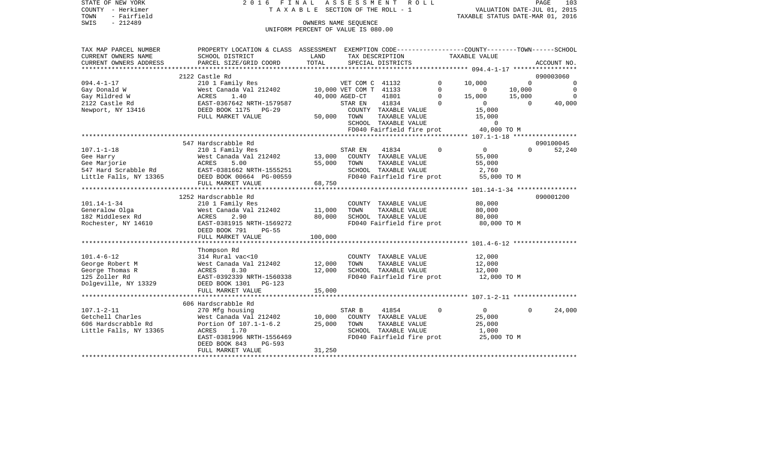STATE OF NEW YORK 2 0 1 6 F I N A L A S S E S S M E N T R O L L PAGE 103COUNTY - Herkimer **T A X A B L E SECTION OF THE ROLL - 1** VALUATION DATE-JUL 01, 2015 TOWN - Fairfield TAXABLE STATUS DATE-MAR 01, 2016 SWIS - 212489 OWNERS NAME SEQUENCE UNIFORM PERCENT OF VALUE IS 080.00TAX MAP PARCEL NUMBER PROPERTY LOCATION & CLASS ASSESSMENT EXEMPTION CODE------------------COUNTY--------TOWN------SCHOOL CURRENT OWNERS NAME SCHOOL DISTRICT LAND TAX DESCRIPTION TAXABLE VALUECURRENT OWNERS ADDRESS PARCEL SIZE/GRID COORD TOTAL SPECIAL DISTRICTS ACCOUNT NO. \*\*\*\*\*\*\*\*\*\*\*\*\*\*\*\*\*\*\*\*\*\*\*\*\*\*\*\*\*\*\*\*\*\*\*\*\*\*\*\*\*\*\*\*\*\*\*\*\*\*\*\*\*\*\*\*\*\*\*\*\*\*\*\*\*\*\*\*\*\*\*\*\*\*\*\*\*\*\*\*\*\*\*\*\*\*\*\*\*\*\*\*\*\*\*\*\*\*\*\*\*\*\* 094.4-1-17 \*\*\*\*\*\*\*\*\*\*\*\*\*\*\*\*\*2122 Castle Rd 090003060 094.4-1-17 210 1 Family Res VET COM C 41132 0 10,000 0 0 0 Gay Donald W West Canada Val 212402 10,000 VET COM T 41133 0 0 10,000 0 Gay Mildred W ACRES 1.40 40,000 AGED-CT 41801 0 15,000 15,000 0 2122 Castle Rd EAST-0367642 NRTH-1579587 STAR EN 41834 0 0 0 40,000 Newport, NY 13416 DEED BOOK 1175 PG-29 COUNTY TAXABLE VALUE 15,000 FULL MARKET VALUE 50,000 TOWN TAXABLE VALUE 15,000 SCHOOL TAXABLE VALUE 0 FD040 Fairfield fire prot 40,000 TO M \*\*\*\*\*\*\*\*\*\*\*\*\*\*\*\*\*\*\*\*\*\*\*\*\*\*\*\*\*\*\*\*\*\*\*\*\*\*\*\*\*\*\*\*\*\*\*\*\*\*\*\*\*\*\*\*\*\*\*\*\*\*\*\*\*\*\*\*\*\*\*\*\*\*\*\*\*\*\*\*\*\*\*\*\*\*\*\*\*\*\*\*\*\*\*\*\*\*\*\*\*\*\* 107.1-1-18 \*\*\*\*\*\*\*\*\*\*\*\*\*\*\*\*\* 547 Hardscrabble Rd 090100045107.1-1-18 210 1 Family Res STAR EN 41834 0 0 0 52,240 Gee Harry **12.12 Example 20 Sect Canada Val 212402** 13,000 COUNTY TAXABLE VALUE 55,000 Gee Marjorie ACRES 5.00 55,000 TOWN TAXABLE VALUE 55,000 547 Hard Scrabble Rd EAST-0381662 NRTH-1555251 SCHOOL TAXABLE VALUE 2,760 Little Falls, NY 13365 DEED BOOK 00664 PG-00559 FD040 Fairfield fire prot 55,000 TO M FULL MARKET VALUE 68,750 \*\*\*\*\*\*\*\*\*\*\*\*\*\*\*\*\*\*\*\*\*\*\*\*\*\*\*\*\*\*\*\*\*\*\*\*\*\*\*\*\*\*\*\*\*\*\*\*\*\*\*\*\*\*\*\*\*\*\*\*\*\*\*\*\*\*\*\*\*\*\*\*\*\*\*\*\*\*\*\*\*\*\*\*\*\*\*\*\*\*\*\*\*\*\*\*\*\*\*\*\*\*\* 101.14-1-34 \*\*\*\*\*\*\*\*\*\*\*\*\*\*\*\* 1252 Hardscrabble Rd 090001200101.14-1-34 210 1 Family Res COUNTY TAXABLE VALUE 80,000 Generalow Olga West Canada Val 212402 11,000 TOWN TAXABLE VALUE 80,000 182 Middlesex Rd ACRES 2.90 80,000 SCHOOL TAXABLE VALUE 80,000 Rochester, NY 14610 EAST-0381915 NRTH-1569272 FD040 Fairfield fire prot 80,000 TO M DEED BOOK 791 PG-55 FULL MARKET VALUE 100,000 \*\*\*\*\*\*\*\*\*\*\*\*\*\*\*\*\*\*\*\*\*\*\*\*\*\*\*\*\*\*\*\*\*\*\*\*\*\*\*\*\*\*\*\*\*\*\*\*\*\*\*\*\*\*\*\*\*\*\*\*\*\*\*\*\*\*\*\*\*\*\*\*\*\*\*\*\*\*\*\*\*\*\*\*\*\*\*\*\*\*\*\*\*\*\*\*\*\*\*\*\*\*\* 101.4-6-12 \*\*\*\*\*\*\*\*\*\*\*\*\*\*\*\*\* Thompson Rd 101.4-6-12 314 Rural vac<10 COUNTY TAXABLE VALUE 12,000 George Robert M **West Canada Val 212402** 12,000 TOWN TAXABLE VALUE 12,000 George Thomas R  $ACRES$  8.30 12,000 SCHOOL TAXABLE VALUE 12,000 125 Zoller Rd EAST-0392339 NRTH-1560338 FD040 Fairfield fire prot 12,000 TO M Dolgeville, NY 13329 DEED BOOK 1301 PG-123 FULL MARKET VALUE 15,000 \*\*\*\*\*\*\*\*\*\*\*\*\*\*\*\*\*\*\*\*\*\*\*\*\*\*\*\*\*\*\*\*\*\*\*\*\*\*\*\*\*\*\*\*\*\*\*\*\*\*\*\*\*\*\*\*\*\*\*\*\*\*\*\*\*\*\*\*\*\*\*\*\*\*\*\*\*\*\*\*\*\*\*\*\*\*\*\*\*\*\*\*\*\*\*\*\*\*\*\*\*\*\* 107.1-2-11 \*\*\*\*\*\*\*\*\*\*\*\*\*\*\*\*\* 606 Hardscrabble Rd107.1-2-11 270 Mfg housing STAR B 41854 0 0 0 24,000 West Canada Val 212402 10,000 606 Hardscrabble Rd Portion Of 107.1-1-6.2 25,000 TOWN TAXABLE VALUE 25,000 Little Falls, NY 13365 ACRES 1.70 SCHOOL TAXABLE VALUE 1,000 EAST-0381996 NRTH-1556469 FD040 Fairfield fire prot 25,000 TO M DEED BOOK 843 PG-593FULL MARKET VALUE 31,250 \*\*\*\*\*\*\*\*\*\*\*\*\*\*\*\*\*\*\*\*\*\*\*\*\*\*\*\*\*\*\*\*\*\*\*\*\*\*\*\*\*\*\*\*\*\*\*\*\*\*\*\*\*\*\*\*\*\*\*\*\*\*\*\*\*\*\*\*\*\*\*\*\*\*\*\*\*\*\*\*\*\*\*\*\*\*\*\*\*\*\*\*\*\*\*\*\*\*\*\*\*\*\*\*\*\*\*\*\*\*\*\*\*\*\*\*\*\*\*\*\*\*\*\*\*\*\*\*\*\*\*\*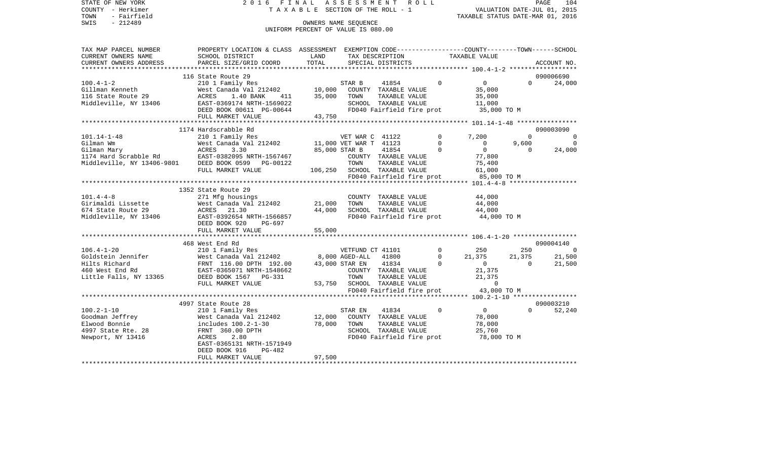STATE OF NEW YORK 2 0 1 6 F I N A L A S S E S S M E N T R O L L PAGE 104COUNTY - Herkimer T A X A B L E SECTION OF THE ROLL - 1 VALUATION DATE-JUL 01, 2015 TOWN - Fairfield TAXABLE STATUS DATE-MAR 01, 2016 SWIS - 212489 CONNERS NAME SEQUENCE UNIFORM PERCENT OF VALUE IS 080.00TAX MAP PARCEL NUMBER PROPERTY LOCATION & CLASS ASSESSMENT EXEMPTION CODE------------------COUNTY--------TOWN------SCHOOL CURRENT OWNERS NAME SCHOOL DISTRICT LAND TAX DESCRIPTION TAXABLE VALUECURRENT OWNERS ADDRESS PARCEL SIZE/GRID COORD TOTAL SPECIAL DISTRICTS ACCOUNT NO. \*\*\*\*\*\*\*\*\*\*\*\*\*\*\*\*\*\*\*\*\*\*\*\*\*\*\*\*\*\*\*\*\*\*\*\*\*\*\*\*\*\*\*\*\*\*\*\*\*\*\*\*\*\*\*\*\*\*\*\*\*\*\*\*\*\*\*\*\*\*\*\*\*\*\*\*\*\*\*\*\*\*\*\*\*\*\*\*\*\*\*\*\*\*\*\*\*\*\*\*\*\*\* 100.4-1-2 \*\*\*\*\*\*\*\*\*\*\*\*\*\*\*\*\*\* 116 State Route 29 090006690100.4-1-2 210 1 Family Res STAR B 41854 0 0 0 24,000 Gillman Kenneth West Canada Val 212402 10,000 COUNTY TAXABLE VALUE 35,000 116 State Route 29 ACRES 1.40 BANK 411 35,000 TOWN TAXABLE VALUE 35,000 Middleville, NY 13406 EAST-0369174 NRTH-1569022 SCHOOL TAXABLE VALUE 11,000 DEED BOOK 00611 PG-00644 FD040 Fairfield fire prot 35,000 TO M FULL MARKET VALUE 43,750 \*\*\*\*\*\*\*\*\*\*\*\*\*\*\*\*\*\*\*\*\*\*\*\*\*\*\*\*\*\*\*\*\*\*\*\*\*\*\*\*\*\*\*\*\*\*\*\*\*\*\*\*\*\*\*\*\*\*\*\*\*\*\*\*\*\*\*\*\*\*\*\*\*\*\*\*\*\*\*\*\*\*\*\*\*\*\*\*\*\*\*\*\*\*\*\*\*\*\*\*\*\*\* 101.14-1-48 \*\*\*\*\*\*\*\*\*\*\*\*\*\*\*\* 1174 Hardscrabble Rd 090003090101.14-1-48 210 1 Family Res VET WAR C 41122 0 7,200 0 0  $\begin{array}{ccccccccc}\n 11,000 & VET & WART & 41123 & & & & 0 & & 9,600 & & & 0 \\
 85.000 & STAR & B & & 41854 & & & 0 & & 0 & & 0 & & 24,000\n\end{array}$ Gilman Mary ACRES 3.30 85,000 STAR B 41854 0 0 0 24,000 1174 Hard Scrabble Rd EAST-0382095 NRTH-1567467 COUNTY TAXABLE VALUE 77,800 Middleville, NY 13406-9801 DEED BOOK 0599 PG-00122 TOWN TAXABLE VALUE 75,400<br>FULL MARKET VALUE 106,250 SCHOOL TAXABLE VALUE 61,000 FULL MARKET VALUE 106,250 SCHOOL TAXABLE VALUE FD040 Fairfield fire prot 85,000 TO M \*\*\*\*\*\*\*\*\*\*\*\*\*\*\*\*\*\*\*\*\*\*\*\*\*\*\*\*\*\*\*\*\*\*\*\*\*\*\*\*\*\*\*\*\*\*\*\*\*\*\*\*\*\*\*\*\*\*\*\*\*\*\*\*\*\*\*\*\*\*\*\*\*\*\*\*\*\*\*\*\*\*\*\*\*\*\*\*\*\*\*\*\*\*\*\*\*\*\*\*\*\*\* 101.4-4-8 \*\*\*\*\*\*\*\*\*\*\*\*\*\*\*\*\*\* 1352 State Route 29101.4-4-8 271 Mfg housings COUNTY TAXABLE VALUE 44,000 Girimaldi Lissette  $\sim$  West Canada Val 212402 21,000 TOWN TAXABLE VALUE 44,000 674 State Route 29 ACRES 21.30 44,000 SCHOOL TAXABLE VALUE 44,000 Middleville, NY 13406 EAST-0392654 NRTH-1566857 FD040 Fairfield fire prot 44,000 TO M DEED BOOK 920 PG-697FULL MARKET VALUE 55,000 \*\*\*\*\*\*\*\*\*\*\*\*\*\*\*\*\*\*\*\*\*\*\*\*\*\*\*\*\*\*\*\*\*\*\*\*\*\*\*\*\*\*\*\*\*\*\*\*\*\*\*\*\*\*\*\*\*\*\*\*\*\*\*\*\*\*\*\*\*\*\*\*\*\*\*\*\*\*\*\*\*\*\*\*\*\*\*\*\*\*\*\*\*\*\*\*\*\*\*\*\*\*\* 106.4-1-20 \*\*\*\*\*\*\*\*\*\*\*\*\*\*\*\*\* 468 West End Rd 090004140106.4-1-20 210 1 Family Res VETFUND CT 41101 0 250 250 0 Goldstein Jennifer **West Canada Val 212402** 8,000 AGED-ALL 41800 0 21,375 21,375 21,500 Hilts Richard FRNT 116.00 DPTH 192.00 43,000 STAR EN 41834 0 0 0 21,500 460 West End Rd EAST-0365071 NRTH-1548662 COUNTY TAXABLE VALUE 21,375 Little Falls, NY 13365 DEED BOOK 1567 PG-331 TOWN TAXABLE VALUE 21,375 FULL MARKET VALUE  $53,750$  SCHOOL TAXABLE VALUE  $0$ FD040 Fairfield fire prot 43,000 TO M \*\*\*\*\*\*\*\*\*\*\*\*\*\*\*\*\*\*\*\*\*\*\*\*\*\*\*\*\*\*\*\*\*\*\*\*\*\*\*\*\*\*\*\*\*\*\*\*\*\*\*\*\*\*\*\*\*\*\*\*\*\*\*\*\*\*\*\*\*\*\*\*\*\*\*\*\*\*\*\*\*\*\*\*\*\*\*\*\*\*\*\*\*\*\*\*\*\*\*\*\*\*\* 100.2-1-10 \*\*\*\*\*\*\*\*\*\*\*\*\*\*\*\*\* 4997 State Route 28 090003210100.2-1-10 210 1 Family Res STAR EN 41834 0 0 0 52,240 Goodman Jeffrey West Canada Val 212402 12,000 COUNTY TAXABLE VALUE 78,000 Elwood Bonnie includes 100.2-1-30 78,000 TOWN TAXABLE VALUE 78,000 4997 State Rte. 28 FRNT 360.00 DPTH SCHOOL TAXABLE VALUE 25,760 Newport, NY 13416 ACRES 2.80 FD040 Fairfield fire prot 78,000 TO M EAST-0365131 NRTH-1571949 DEED BOOK 916 PG-482FULL MARKET VALUE 97,500 \*\*\*\*\*\*\*\*\*\*\*\*\*\*\*\*\*\*\*\*\*\*\*\*\*\*\*\*\*\*\*\*\*\*\*\*\*\*\*\*\*\*\*\*\*\*\*\*\*\*\*\*\*\*\*\*\*\*\*\*\*\*\*\*\*\*\*\*\*\*\*\*\*\*\*\*\*\*\*\*\*\*\*\*\*\*\*\*\*\*\*\*\*\*\*\*\*\*\*\*\*\*\*\*\*\*\*\*\*\*\*\*\*\*\*\*\*\*\*\*\*\*\*\*\*\*\*\*\*\*\*\*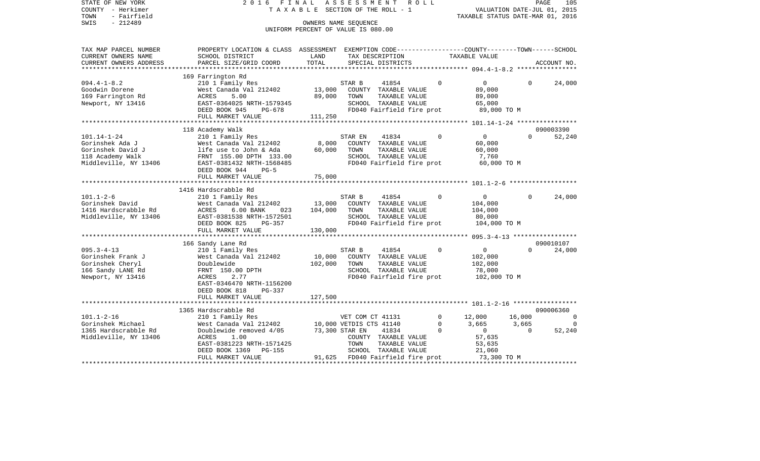| STATE OF NEW YORK<br>COUNTY - Herkimer<br>- Fairfield<br>TOWN<br>$-212489$<br>SWIS | ASSESSMENT<br>2016 FINAL<br>R O L L<br>TAXABLE SECTION OF THE ROLL - 1<br>OWNERS NAME SEQUENCE<br>UNIFORM PERCENT OF VALUE IS 080.00 |                         |                         |                                                          |             |                                          | PAGE<br>VALUATION DATE-JUL 01, 2015<br>TAXABLE STATUS DATE-MAR 01, 2016 |             |  |  |
|------------------------------------------------------------------------------------|--------------------------------------------------------------------------------------------------------------------------------------|-------------------------|-------------------------|----------------------------------------------------------|-------------|------------------------------------------|-------------------------------------------------------------------------|-------------|--|--|
| TAX MAP PARCEL NUMBER                                                              | PROPERTY LOCATION & CLASS ASSESSMENT EXEMPTION CODE----------------COUNTY-------TOWN------SCHOOL                                     |                         |                         |                                                          |             |                                          |                                                                         |             |  |  |
| CURRENT OWNERS NAME<br>CURRENT OWNERS ADDRESS<br>*********************             | SCHOOL DISTRICT<br>PARCEL SIZE/GRID COORD                                                                                            | LAND<br>TOTAL           |                         | TAX DESCRIPTION<br>SPECIAL DISTRICTS                     |             | TAXABLE VALUE                            |                                                                         | ACCOUNT NO. |  |  |
|                                                                                    | 169 Farrington Rd                                                                                                                    |                         |                         |                                                          |             |                                          |                                                                         |             |  |  |
| $094.4 - 1 - 8.2$                                                                  | 210 1 Family Res                                                                                                                     |                         | STAR B                  | 41854                                                    | $\Omega$    | $\overline{0}$                           | $\Omega$                                                                | 24,000      |  |  |
| Goodwin Dorene                                                                     | West Canada Val 212402                                                                                                               | 13,000                  |                         | COUNTY TAXABLE VALUE                                     |             | 89,000                                   |                                                                         |             |  |  |
| 169 Farrington Rd                                                                  | ACRES<br>5.00                                                                                                                        | 89,000                  | TOWN                    | TAXABLE VALUE                                            |             | 89,000                                   |                                                                         |             |  |  |
| Newport, NY 13416                                                                  | EAST-0364025 NRTH-1579345                                                                                                            |                         |                         | SCHOOL TAXABLE VALUE                                     |             | 65,000                                   |                                                                         |             |  |  |
|                                                                                    | DEED BOOK 945<br>PG-678                                                                                                              |                         |                         | FD040 Fairfield fire prot                                |             | 89,000 TO M                              |                                                                         |             |  |  |
|                                                                                    | FULL MARKET VALUE                                                                                                                    | 111,250                 |                         |                                                          |             |                                          |                                                                         |             |  |  |
|                                                                                    |                                                                                                                                      | *********************** |                         |                                                          |             | ********** 101.14-1-24 ***************** |                                                                         |             |  |  |
|                                                                                    | 118 Academy Walk                                                                                                                     |                         |                         |                                                          |             |                                          |                                                                         | 090003390   |  |  |
| $101.14 - 1 - 24$                                                                  | 210 1 Family Res                                                                                                                     |                         | STAR EN                 | 41834                                                    | $\Omega$    | $\mathbf 0$                              | $\Omega$                                                                | 52,240      |  |  |
| Gorinshek Ada J                                                                    | West Canada Val 212402                                                                                                               | 8,000                   |                         | COUNTY TAXABLE VALUE                                     |             | 60,000                                   |                                                                         |             |  |  |
| Gorinshek David J                                                                  | life use to John & Ada                                                                                                               | 60,000                  | TOWN                    | TAXABLE VALUE                                            |             | 60,000                                   |                                                                         |             |  |  |
| 118 Academy Walk                                                                   | FRNT 155.00 DPTH 133.00                                                                                                              |                         |                         | SCHOOL TAXABLE VALUE                                     |             | 7,760                                    |                                                                         |             |  |  |
| Middleville, NY 13406                                                              | EAST-0381432 NRTH-1568485                                                                                                            |                         |                         | FD040 Fairfield fire prot                                |             | 60,000 TO M                              |                                                                         |             |  |  |
|                                                                                    | DEED BOOK 944<br>$PG-5$                                                                                                              |                         |                         |                                                          |             |                                          |                                                                         |             |  |  |
|                                                                                    | FULL MARKET VALUE                                                                                                                    | 75,000                  |                         |                                                          |             |                                          |                                                                         |             |  |  |
|                                                                                    |                                                                                                                                      |                         |                         |                                                          |             |                                          |                                                                         |             |  |  |
|                                                                                    | 1416 Hardscrabble Rd                                                                                                                 |                         |                         |                                                          |             |                                          |                                                                         |             |  |  |
| $101.1 - 2 - 6$                                                                    | 210 1 Family Res                                                                                                                     |                         | STAR B                  | 41854                                                    | $\Omega$    | $\mathbf 0$                              | $\Omega$                                                                | 24,000      |  |  |
| Gorinshek David                                                                    | West Canada Val 212402                                                                                                               | 13,000                  |                         | COUNTY TAXABLE VALUE                                     |             | 104,000                                  |                                                                         |             |  |  |
| 1416 Hardscrabble Rd                                                               | ACRES<br>6.00 BANK<br>023                                                                                                            | 104,000                 | TOWN                    | TAXABLE VALUE                                            |             | 104,000                                  |                                                                         |             |  |  |
| Middleville, NY 13406                                                              | EAST-0381538 NRTH-1572501                                                                                                            |                         |                         | SCHOOL TAXABLE VALUE                                     |             | 80,000                                   |                                                                         |             |  |  |
|                                                                                    | DEED BOOK 825<br>PG-357                                                                                                              |                         |                         | FD040 Fairfield fire prot                                |             | 104,000 TO M                             |                                                                         |             |  |  |
|                                                                                    | FULL MARKET VALUE                                                                                                                    | 130,000                 |                         |                                                          |             |                                          |                                                                         |             |  |  |
|                                                                                    | 166 Sandy Lane Rd                                                                                                                    |                         |                         |                                                          |             |                                          |                                                                         |             |  |  |
|                                                                                    |                                                                                                                                      |                         |                         |                                                          |             |                                          |                                                                         |             |  |  |
|                                                                                    |                                                                                                                                      |                         |                         |                                                          |             |                                          |                                                                         | 090010107   |  |  |
| $095.3 - 4 - 13$                                                                   | 210 1 Family Res                                                                                                                     |                         | STAR B                  | 41854                                                    | $\Omega$    | $\mathbf 0$                              | $\Omega$                                                                | 24,000      |  |  |
| Gorinshek Frank J                                                                  | West Canada Val 212402                                                                                                               | 10,000                  |                         | COUNTY TAXABLE VALUE                                     |             | 102,000                                  |                                                                         |             |  |  |
| Gorinshek Cheryl                                                                   | Doublewide                                                                                                                           | 102,000                 | TOWN                    | TAXABLE VALUE                                            |             | 102,000                                  |                                                                         |             |  |  |
| 166 Sandy LANE Rd                                                                  | FRNT 150.00 DPTH                                                                                                                     |                         |                         | SCHOOL TAXABLE VALUE                                     |             | 78,000                                   |                                                                         |             |  |  |
| Newport, NY 13416                                                                  | ACRES<br>2.77                                                                                                                        |                         |                         | FD040 Fairfield fire prot                                |             | 102,000 TO M                             |                                                                         |             |  |  |
|                                                                                    | EAST-0346470 NRTH-1156200<br>DEED BOOK 818<br>$PG-337$                                                                               |                         |                         |                                                          |             |                                          |                                                                         |             |  |  |
|                                                                                    | FULL MARKET VALUE                                                                                                                    | 127,500                 |                         |                                                          |             |                                          |                                                                         |             |  |  |
|                                                                                    |                                                                                                                                      |                         |                         |                                                          |             |                                          |                                                                         |             |  |  |
|                                                                                    | 1365 Hardscrabble Rd                                                                                                                 |                         |                         |                                                          |             |                                          |                                                                         | 090006360   |  |  |
| $101.1 - 2 - 16$                                                                   | 210 1 Family Res                                                                                                                     |                         | VET COM CT 41131        |                                                          | $\mathbf 0$ | 12,000                                   | 16,000                                                                  | $\Omega$    |  |  |
| Gorinshek Michael                                                                  | West Canada Val 212402                                                                                                               |                         | 10,000 VETDIS CTS 41140 |                                                          | $\Omega$    | 3,665                                    | 3,665                                                                   | $\Omega$    |  |  |
| 1365 Hardscrabble Rd                                                               | Doublewide removed 4/05                                                                                                              |                         | 73,300 STAR EN          | 41834                                                    | $\Omega$    | $\circ$                                  | $\Omega$                                                                | 52,240      |  |  |
| Middleville, NY 13406                                                              | ACRES<br>1.00                                                                                                                        |                         |                         | COUNTY TAXABLE VALUE                                     |             | 57,635                                   |                                                                         |             |  |  |
|                                                                                    | EAST-0381223 NRTH-1571425                                                                                                            |                         | TOWN                    | TAXABLE VALUE                                            |             | 53,635                                   |                                                                         |             |  |  |
|                                                                                    | DEED BOOK 1369<br>PG-155<br>FULL MARKET VALUE                                                                                        |                         |                         | SCHOOL TAXABLE VALUE<br>91,625 FD040 Fairfield fire prot |             | 21,060<br>73,300 TO M                    |                                                                         |             |  |  |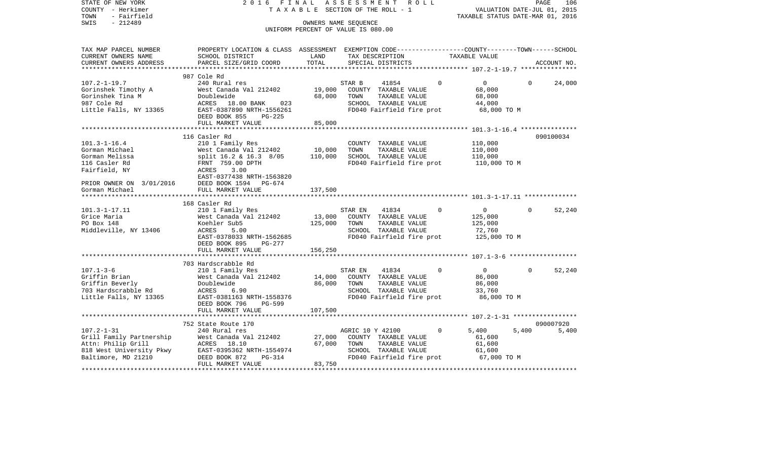| STATE OF NEW YORK<br>COUNTY - Herkimer<br>TOWN<br>- Fairfield                                                         | 2 0 1 6<br>F I N A L<br>TAXABLE SECTION OF THE ROLL - 1                                                                                                                   | R O L L<br>PAGE<br>106<br>VALUATION DATE-JUL 01, 2015<br>TAXABLE STATUS DATE-MAR 01, 2016 |                                                                                                                        |                                                                            |                          |
|-----------------------------------------------------------------------------------------------------------------------|---------------------------------------------------------------------------------------------------------------------------------------------------------------------------|-------------------------------------------------------------------------------------------|------------------------------------------------------------------------------------------------------------------------|----------------------------------------------------------------------------|--------------------------|
| $-212489$<br>SWIS                                                                                                     |                                                                                                                                                                           |                                                                                           | OWNERS NAME SEOUENCE<br>UNIFORM PERCENT OF VALUE IS 080.00                                                             |                                                                            |                          |
| TAX MAP PARCEL NUMBER<br>CURRENT OWNERS NAME<br>CURRENT OWNERS ADDRESS                                                | PROPERTY LOCATION & CLASS ASSESSMENT EXEMPTION CODE---------------COUNTY-------TOWN-----SCHOOL<br>SCHOOL DISTRICT<br>PARCEL SIZE/GRID COORD                               | LAND<br>TOTAL                                                                             | TAX DESCRIPTION<br>SPECIAL DISTRICTS                                                                                   | TAXABLE VALUE                                                              | ACCOUNT NO.              |
|                                                                                                                       |                                                                                                                                                                           |                                                                                           |                                                                                                                        |                                                                            |                          |
|                                                                                                                       | 987 Cole Rd                                                                                                                                                               |                                                                                           |                                                                                                                        |                                                                            |                          |
| $107.2 - 1 - 19.7$<br>Gorinshek Timothy A<br>Gorinshek Tina M<br>987 Cole Rd<br>Little Falls, NY 13365                | 240 Rural res<br>West Canada Val 212402<br>Doublewide<br>ACRES 18.00 BANK<br>023<br>EAST-0387890 NRTH-1556261<br>DEED BOOK 855<br>PG-225                                  | 19,000<br>68,000                                                                          | STAR B<br>41854<br>COUNTY TAXABLE VALUE<br>TOWN<br>TAXABLE VALUE<br>SCHOOL TAXABLE VALUE<br>FD040 Fairfield fire prot  | $\mathbf 0$<br>$\overline{0}$<br>68,000<br>68,000<br>44,000<br>68,000 TO M | 24,000<br>$\overline{0}$ |
|                                                                                                                       | FULL MARKET VALUE                                                                                                                                                         | 85,000                                                                                    |                                                                                                                        |                                                                            |                          |
|                                                                                                                       |                                                                                                                                                                           | *******************                                                                       |                                                                                                                        |                                                                            |                          |
| $101.3 - 1 - 16.4$<br>Gorman Michael<br>Gorman Melissa<br>116 Casler Rd<br>Fairfield, NY                              | 116 Casler Rd<br>210 1 Family Res<br>West Canada Val 212402<br>split 16.2 & 16.3 8/05<br>FRNT 759.00 DPTH<br>ACRES<br>3.00<br>EAST-0377438 NRTH-1563820                   | 10,000<br>110,000                                                                         | COUNTY TAXABLE VALUE<br>TOWN<br>TAXABLE VALUE<br>SCHOOL TAXABLE VALUE<br>FD040 Fairfield fire prot                     | 110,000<br>110,000<br>110,000<br>110,000 TO M                              | 090100034                |
| PRIOR OWNER ON 3/01/2016                                                                                              | DEED BOOK 1594 PG-674                                                                                                                                                     |                                                                                           |                                                                                                                        |                                                                            |                          |
| Gorman Michael                                                                                                        | FULL MARKET VALUE                                                                                                                                                         | 137,500                                                                                   |                                                                                                                        |                                                                            |                          |
|                                                                                                                       |                                                                                                                                                                           |                                                                                           |                                                                                                                        |                                                                            |                          |
| $101.3 - 1 - 17.11$<br>Grice Maria<br>PO Box 148<br>Middleville, NY 13406                                             | 168 Casler Rd<br>210 1 Family Res<br>West Canada Val 212402<br>Koehler Sub5<br>5.00<br>ACRES<br>EAST-0378033 NRTH-1562685<br>DEED BOOK 895<br>PG-277<br>FULL MARKET VALUE | 13,000<br>125,000<br>156,250                                                              | STAR EN<br>41834<br>COUNTY TAXABLE VALUE<br>TAXABLE VALUE<br>TOWN<br>SCHOOL TAXABLE VALUE<br>FD040 Fairfield fire prot | $\Omega$<br>$\overline{0}$<br>125,000<br>125,000<br>72,760<br>125,000 TO M | 52,240<br>$\Omega$       |
|                                                                                                                       | 703 Hardscrabble Rd                                                                                                                                                       |                                                                                           |                                                                                                                        |                                                                            |                          |
| $107.1 - 3 - 6$<br>Griffin Brian<br>Griffin Beverly<br>703 Hardscrabble Rd<br>Little Falls, NY 13365                  | 210 1 Family Res<br>West Canada Val 212402<br>Doublewide<br>ACRES<br>6.90<br>EAST-0381163 NRTH-1558376                                                                    | 14,000<br>86,000                                                                          | 41834<br>STAR EN<br>COUNTY TAXABLE VALUE<br>TOWN<br>TAXABLE VALUE<br>SCHOOL TAXABLE VALUE<br>FD040 Fairfield fire prot | $\Omega$<br>$\overline{0}$<br>86,000<br>86,000<br>33,760<br>86,000 TO M    | 52,240<br>$\Omega$       |
|                                                                                                                       | DEED BOOK 796<br>PG-599<br>FULL MARKET VALUE                                                                                                                              | 107,500                                                                                   |                                                                                                                        |                                                                            |                          |
|                                                                                                                       | 752 State Route 170                                                                                                                                                       |                                                                                           |                                                                                                                        |                                                                            | 090007920                |
| $107.2 - 1 - 31$<br>Grill Family Partnership<br>Attn: Philip Grill<br>818 West University Pkwy<br>Baltimore, MD 21210 | 240 Rural res<br>West Canada Val 212402<br>ACRES 18.10<br>EAST-0395362 NRTH-1554974<br>DEED BOOK 872<br>PG-314<br>FULL MARKET VALUE                                       | 27,000<br>67,000<br>83,750                                                                | AGRIC 10 Y 42100<br>COUNTY TAXABLE VALUE<br>TOWN<br>TAXABLE VALUE<br>SCHOOL TAXABLE VALUE<br>FD040 Fairfield fire prot | $\mathbf 0$<br>5,400<br>61,600<br>61,600<br>61,600<br>67,000 TO M          | 5,400<br>5,400           |
|                                                                                                                       |                                                                                                                                                                           |                                                                                           |                                                                                                                        |                                                                            | ****************         |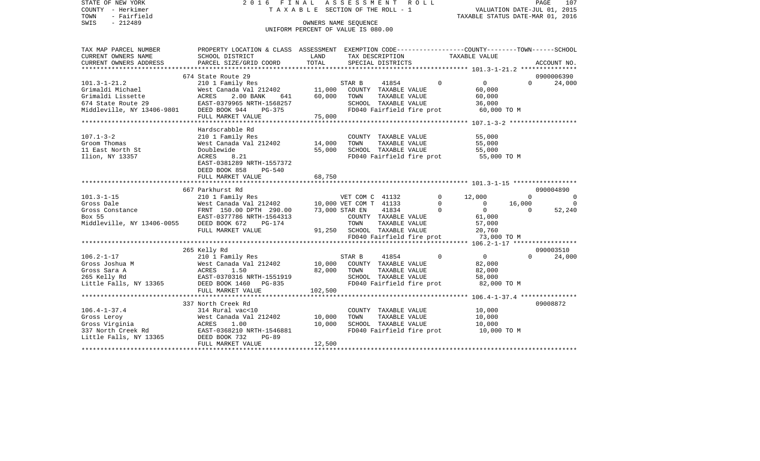| STATE OF NEW YORK<br>COUNTY - Herkimer<br>- Fairfield<br>TOWN<br>SWIS<br>$-212489$ | 2016 FINAL<br>ASSESSMENT<br>R O L L<br>T A X A B L E SECTION OF THE ROLL - 1<br>OWNERS NAME SEQUENCE<br>UNIFORM PERCENT OF VALUE IS 080.00 |         |                                          |                                       |  |                      | PAGE<br>107<br>VALUATION DATE-JUL 01, 2015<br>TAXABLE STATUS DATE-MAR 01, 2016 |                          |                      |  |  |
|------------------------------------------------------------------------------------|--------------------------------------------------------------------------------------------------------------------------------------------|---------|------------------------------------------|---------------------------------------|--|----------------------|--------------------------------------------------------------------------------|--------------------------|----------------------|--|--|
| TAX MAP PARCEL NUMBER<br>CURRENT OWNERS NAME                                       | PROPERTY LOCATION & CLASS ASSESSMENT EXEMPTION CODE---------------COUNTY-------TOWN------SCHOOL<br>SCHOOL DISTRICT                         | LAND    |                                          | TAX DESCRIPTION                       |  |                      | TAXABLE VALUE                                                                  |                          |                      |  |  |
| CURRENT OWNERS ADDRESS                                                             | PARCEL SIZE/GRID COORD                                                                                                                     | TOTAL   |                                          | SPECIAL DISTRICTS                     |  |                      |                                                                                |                          | ACCOUNT NO.          |  |  |
|                                                                                    |                                                                                                                                            |         |                                          |                                       |  |                      |                                                                                |                          |                      |  |  |
|                                                                                    | 674 State Route 29                                                                                                                         |         |                                          |                                       |  |                      |                                                                                |                          | 0900006390           |  |  |
| $101.3 - 1 - 21.2$                                                                 | 210 1 Family Res                                                                                                                           |         | STAR B                                   | 41854                                 |  | $\Omega$             | $\overline{0}$                                                                 | $\Omega$                 | 24,000               |  |  |
| Grimaldi Michael                                                                   | West Canada Val 212402 11,000                                                                                                              |         |                                          | COUNTY TAXABLE VALUE                  |  |                      | 60,000                                                                         |                          |                      |  |  |
| Grimaldi Lissette                                                                  | ACRES<br>2.00 BANK<br>641                                                                                                                  | 60,000  | TOWN                                     | TAXABLE VALUE                         |  |                      | 60,000                                                                         |                          |                      |  |  |
| 674 State Route 29<br>Middleville, NY 13406-9801 DEED BOOK 944                     | EAST-0379965 NRTH-1568257                                                                                                                  |         |                                          | SCHOOL TAXABLE VALUE                  |  |                      | 36,000                                                                         |                          |                      |  |  |
|                                                                                    | PG-375<br>FULL MARKET VALUE                                                                                                                |         |                                          | FD040 Fairfield fire prot             |  |                      | 60,000 TO M                                                                    |                          |                      |  |  |
|                                                                                    |                                                                                                                                            | 75,000  |                                          |                                       |  |                      |                                                                                |                          |                      |  |  |
|                                                                                    | Hardscrabble Rd                                                                                                                            |         |                                          |                                       |  |                      |                                                                                |                          |                      |  |  |
| $107.1 - 3 - 2$                                                                    | 210 1 Family Res                                                                                                                           |         |                                          | COUNTY TAXABLE VALUE                  |  |                      | 55,000                                                                         |                          |                      |  |  |
| Groom Thomas                                                                       | West Canada Val 212402                                                                                                                     | 14,000  | TOWN                                     | TAXABLE VALUE                         |  |                      | 55,000                                                                         |                          |                      |  |  |
| 11 East North St                                                                   | Doublewide                                                                                                                                 | 55,000  |                                          | SCHOOL TAXABLE VALUE                  |  |                      | 55,000                                                                         |                          |                      |  |  |
| Ilion, NY 13357                                                                    | <b>ACRES</b><br>8.21                                                                                                                       |         |                                          | FD040 Fairfield fire prot             |  |                      | 55,000 TO M                                                                    |                          |                      |  |  |
|                                                                                    | EAST-0381289 NRTH-1557372                                                                                                                  |         |                                          |                                       |  |                      |                                                                                |                          |                      |  |  |
|                                                                                    | DEED BOOK 858<br>PG-540                                                                                                                    |         |                                          |                                       |  |                      |                                                                                |                          |                      |  |  |
|                                                                                    | FULL MARKET VALUE                                                                                                                          | 68,750  |                                          |                                       |  |                      |                                                                                |                          |                      |  |  |
|                                                                                    |                                                                                                                                            |         |                                          |                                       |  |                      |                                                                                |                          |                      |  |  |
|                                                                                    | 667 Parkhurst Rd                                                                                                                           |         |                                          |                                       |  |                      |                                                                                |                          | 090004890            |  |  |
| $101.3 - 1 - 15$                                                                   | 210 1 Family Res                                                                                                                           |         | VET COM C 41132                          |                                       |  | $\Omega$<br>$\Omega$ | 12,000                                                                         | $\Omega$                 | $\Omega$<br>$\Omega$ |  |  |
| Gross Dale                                                                         | West Canada Val 212402<br>FRNT 150.00 DPTH 290.00                                                                                          |         | 10,000 VET COM T 41133<br>73,000 STAR EN | 41834                                 |  | $\Omega$             | $\overline{0}$<br>$\overline{0}$                                               | 16,000<br>$\overline{0}$ | 52,240               |  |  |
| Gross Constance<br>Box 55                                                          | EAST-0377786 NRTH-1564313                                                                                                                  |         |                                          | COUNTY TAXABLE VALUE                  |  |                      | 61,000                                                                         |                          |                      |  |  |
| Middleville, NY 13406-0055 DEED BOOK 672                                           | $PG-174$                                                                                                                                   |         | TOWN                                     | TAXABLE VALUE                         |  |                      | 57,000                                                                         |                          |                      |  |  |
|                                                                                    | FULL MARKET VALUE                                                                                                                          |         | 91,250 SCHOOL TAXABLE VALUE              |                                       |  |                      | 20,760                                                                         |                          |                      |  |  |
|                                                                                    |                                                                                                                                            |         |                                          | FD040 Fairfield fire prot             |  |                      | 73,000 TO M                                                                    |                          |                      |  |  |
|                                                                                    |                                                                                                                                            |         |                                          |                                       |  |                      |                                                                                |                          |                      |  |  |
|                                                                                    | 265 Kelly Rd                                                                                                                               |         |                                          |                                       |  |                      |                                                                                |                          | 090003510            |  |  |
| $106.2 - 1 - 17$                                                                   | 210 1 Family Res<br>210<br>West<br>ACRES<br>EACT                                                                                           |         | STAR B                                   | 41854                                 |  | $\Omega$             | $\overline{0}$                                                                 | $\Omega$                 | 24,000               |  |  |
| Gross Joshua M                                                                     | West Canada Val 212402                                                                                                                     | 10,000  |                                          | COUNTY TAXABLE VALUE                  |  |                      | 82,000                                                                         |                          |                      |  |  |
| Gross Sara A                                                                       | 1.50                                                                                                                                       | 82,000  | TOWN                                     | TAXABLE VALUE                         |  |                      | 82,000                                                                         |                          |                      |  |  |
| 265 Kelly Rd                                                                       | EAST-0370316 NRTH-1551919                                                                                                                  |         |                                          | SCHOOL TAXABLE VALUE                  |  |                      | 58,000                                                                         |                          |                      |  |  |
| Little Falls, NY 13365                                                             | DEED BOOK 1460 PG-835                                                                                                                      |         |                                          | FD040 Fairfield fire prot             |  |                      | 82,000 TO M                                                                    |                          |                      |  |  |
|                                                                                    | FULL MARKET VALUE<br>***************************                                                                                           | 102,500 |                                          |                                       |  |                      |                                                                                |                          |                      |  |  |
|                                                                                    |                                                                                                                                            |         |                                          |                                       |  |                      | ****************** 106.4-1-37.4 ****************                               |                          |                      |  |  |
| $106.4 - 1 - 37.4$                                                                 | 337 North Creek Rd                                                                                                                         |         |                                          |                                       |  |                      |                                                                                |                          | 09008872             |  |  |
| Gross Leroy                                                                        | 314 Rural vac<10<br>West Canada Val 212402                                                                                                 | 10,000  | TOWN                                     | COUNTY TAXABLE VALUE<br>TAXABLE VALUE |  |                      | 10,000<br>10,000                                                               |                          |                      |  |  |
| Gross Virginia                                                                     | ACRES<br>1.00                                                                                                                              | 10,000  |                                          | SCHOOL TAXABLE VALUE                  |  |                      | 10,000                                                                         |                          |                      |  |  |
| 337 North Creek Rd EAST-0368210 NRTH-1546881                                       |                                                                                                                                            |         |                                          | FD040 Fairfield fire prot             |  |                      | 10,000 TO M                                                                    |                          |                      |  |  |
| Little Falls, NY 13365                                                             | DEED BOOK 732<br>$PG-89$                                                                                                                   |         |                                          |                                       |  |                      |                                                                                |                          |                      |  |  |
|                                                                                    | FULL MARKET VALUE                                                                                                                          | 12,500  |                                          |                                       |  |                      |                                                                                |                          |                      |  |  |
|                                                                                    |                                                                                                                                            |         |                                          |                                       |  |                      |                                                                                |                          |                      |  |  |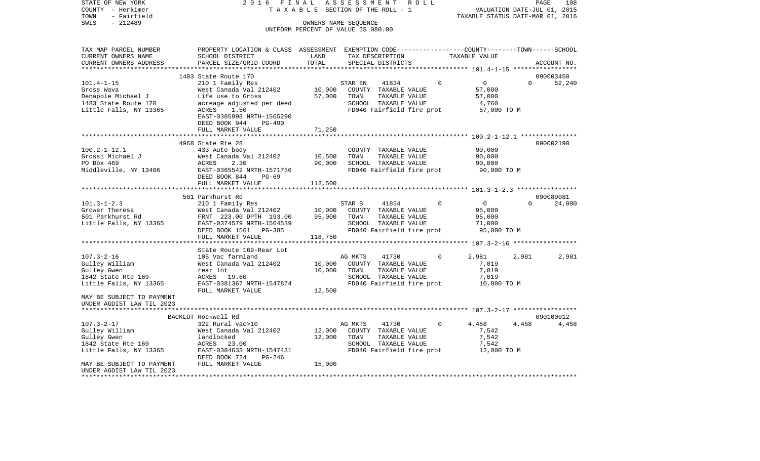VALUATION DATE-JUL 01, 2015 COUNTY - Herkimer T A X A B L E SECTION OF THE ROLL - 1 TOWN - Fairfield TAXABLE STATUS DATE-MAR 01, 2016 SWIS - 212489 OWNERS NAME SEQUENCE UNIFORM PERCENT OF VALUE IS 080.00TAX MAP PARCEL NUMBER PROPERTY LOCATION & CLASS ASSESSMENT EXEMPTION CODE------------------COUNTY--------TOWN------SCHOOL CURRENT OWNERS NAME SCHOOL DISTRICT LAND TAX DESCRIPTION TAXABLE VALUECURRENT OWNERS ADDRESS PARCEL SIZE/GRID COORD TOTAL SPECIAL DISTRICTS ACCOUNT NO. \*\*\*\*\*\*\*\*\*\*\*\*\*\*\*\*\*\*\*\*\*\*\*\*\*\*\*\*\*\*\*\*\*\*\*\*\*\*\*\*\*\*\*\*\*\*\*\*\*\*\*\*\*\*\*\*\*\*\*\*\*\*\*\*\*\*\*\*\*\*\*\*\*\*\*\*\*\*\*\*\*\*\*\*\*\*\*\*\*\*\*\*\*\*\*\*\*\*\*\*\*\*\* 101.4-1-15 \*\*\*\*\*\*\*\*\*\*\*\*\*\*\*\*\*1483 State Route 170 090003450 090003450 090003450 090003450 090003450 090003450 090003450 090003450 090003450 101.4-1-15 210 1 Family Res STAR EN 41834 0 0 0 52,240 Gross Wava West Canada Val 212402 10,000 COUNTY TAXABLE VALUE 57,000 Denapole Michael J Life use to Gross 57,000 TOWN TAXABLE VALUE 57,000 1483 State Route 170 acreage adjusted per deed SCHOOL TAXABLE VALUE 4,760<br>1.1ttle Falls, NY 13365 ACRES 1.50 50 FD040 Fairfield fire prot 57,000 Little Falls, NY 13365 ACRES 1.50 ACRES 1.50 FD040 Fairfield fire prot 57,000 TO M EAST-0385998 NRTH-1565290 DEED BOOK 944 PG-490FULL MARKET VALUE 71,250 \*\*\*\*\*\*\*\*\*\*\*\*\*\*\*\*\*\*\*\*\*\*\*\*\*\*\*\*\*\*\*\*\*\*\*\*\*\*\*\*\*\*\*\*\*\*\*\*\*\*\*\*\*\*\*\*\*\*\*\*\*\*\*\*\*\*\*\*\*\*\*\*\*\*\*\*\*\*\*\*\*\*\*\*\*\*\*\*\*\*\*\*\*\*\*\*\*\*\*\*\*\*\* 100.2-1-12.1 \*\*\*\*\*\*\*\*\*\*\*\*\*\*\* 4968 State Rte 28 090002190100.2-1-12.1 433 Auto body COUNTY TAXABLE VALUE 90,000 Grossi Michael J West Canada Val 212402 10,500 TOWN TAXABLE VALUE 90,000 PO Box 469 ACRES 2.30 90,000 SCHOOL TAXABLE VALUE 90,000 Middleville, NY 13406 EAST-0365542 NRTH-1571756 FD040 Fairfield fire prot 90,000 TO M DEED BOOK 844 PG-69 FULL MARKET VALUE 112,500 \*\*\*\*\*\*\*\*\*\*\*\*\*\*\*\*\*\*\*\*\*\*\*\*\*\*\*\*\*\*\*\*\*\*\*\*\*\*\*\*\*\*\*\*\*\*\*\*\*\*\*\*\*\*\*\*\*\*\*\*\*\*\*\*\*\*\*\*\*\*\*\*\*\*\*\*\*\*\*\*\*\*\*\*\*\*\*\*\*\*\*\*\*\*\*\*\*\*\*\*\*\*\* 101.3-1-2.3 \*\*\*\*\*\*\*\*\*\*\*\*\*\*\*\* 501 Parkhurst Rd 09008908124,000 101.3-1-2.3 210 1 Family Res STAR B 41854 0 0 0 0 Grower Theresa 6000 West Canada Val 212402 10,000 COUNTY TAXABLE VALUE 95,000 501 Parkhurst Rd FRNT 223.00 DPTH 193.00 95,000 TOWN TAXABLE VALUE 95,000 Little Falls, NY 13365 EAST-0374579 NRTH-1564539 SCHOOL TAXABLE VALUE 71,000 DEED BOOK 1561 PG-385 FD040 Fairfield fire prot 95,000 TO M<br>FIILL MARKET VALUE 118.750 FULL MARKET VALUE \*\*\*\*\*\*\*\*\*\*\*\*\*\*\*\*\*\*\*\*\*\*\*\*\*\*\*\*\*\*\*\*\*\*\*\*\*\*\*\*\*\*\*\*\*\*\*\*\*\*\*\*\*\*\*\*\*\*\*\*\*\*\*\*\*\*\*\*\*\*\*\*\*\*\*\*\*\*\*\*\*\*\*\*\*\*\*\*\*\*\*\*\*\*\*\*\*\*\*\*\*\*\* 107.3-2-16 \*\*\*\*\*\*\*\*\*\*\*\*\*\*\*\*\* State Route 169-Rear Lot107.3-2-16 105 Vac farmland AG MKTS 41730 0 2,981 2,981 2,981 Gulley William  $V$  West Canada Val 212402 10,000 COUNTY TAXABLE VALUE 7,019 Gulley Gwen rear lot 10,000 TOWN TAXABLE VALUE 7,019 1842 State Rte 169 ACRES 19.60 SCHOOL TAXABLE VALUE 7,019 Little Falls, NY 13365 EAST-0381367 NRTH-1547874 FD040 Fairfield fire prot 10,000 TO M FULL MARKET VALUE 12,500 MAY BE SUBJECT TO PAYMENT UNDER AGDIST LAW TIL 2023 \*\*\*\*\*\*\*\*\*\*\*\*\*\*\*\*\*\*\*\*\*\*\*\*\*\*\*\*\*\*\*\*\*\*\*\*\*\*\*\*\*\*\*\*\*\*\*\*\*\*\*\*\*\*\*\*\*\*\*\*\*\*\*\*\*\*\*\*\*\*\*\*\*\*\*\*\*\*\*\*\*\*\*\*\*\*\*\*\*\*\*\*\*\*\*\*\*\*\*\*\*\*\* 107.3-2-17 \*\*\*\*\*\*\*\*\*\*\*\*\*\*\*\*\* BACKLOT Rockwell Rd 090100012107.3-2-17 322 Rural vac>10 AG MKTS 41730 0 4,458 4,458 4,458 Gulley William  $V$  West Canada Val 212402 12,000 COUNTY TAXABLE VALUE 7,542 Gulley Gwen landlocked 12,000 TOWN TAXABLE VALUE 7,542 1842 State Rte 169 ACRES 23.00 SCHOOL TAXABLE VALUE 7,542 Little Falls, NY 13365 EAST-0384633 NRTH-1547431 FD040 Fairfield fire prot 12,000 TO M DEED BOOK 724 PG-246MAY BE SUBJECT TO PAYMENT FULL MARKET VALUE  $15.000$ UNDER AGDIST LAW TIL 2023\*\*\*\*\*\*\*\*\*\*\*\*\*\*\*\*\*\*\*\*\*\*\*\*\*\*\*\*\*\*\*\*\*\*\*\*\*\*\*\*\*\*\*\*\*\*\*\*\*\*\*\*\*\*\*\*\*\*\*\*\*\*\*\*\*\*\*\*\*\*\*\*\*\*\*\*\*\*\*\*\*\*\*\*\*\*\*\*\*\*\*\*\*\*\*\*\*\*\*\*\*\*\*\*\*\*\*\*\*\*\*\*\*\*\*\*\*\*\*\*\*\*\*\*\*\*\*\*\*\*\*\*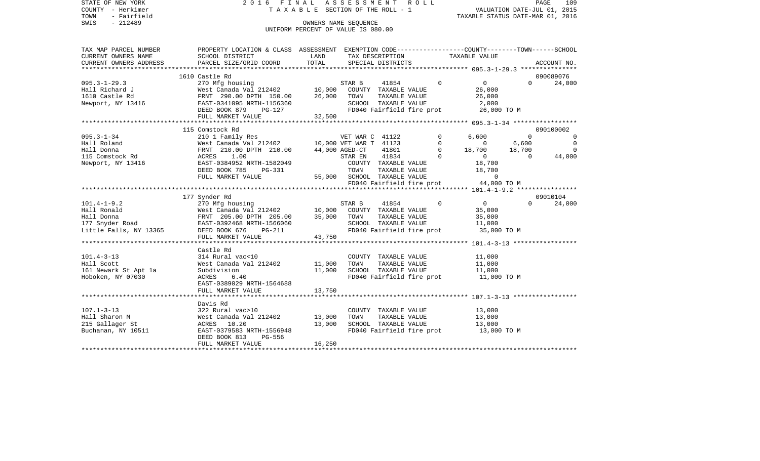| STATE OF NEW YORK      | 2016 FINAL ASSESSMENT ROLL                                                                                                                                                                                                                               |                                    |                      |                                                                         |          |                                                                      |          | PAGE<br>109 |
|------------------------|----------------------------------------------------------------------------------------------------------------------------------------------------------------------------------------------------------------------------------------------------------|------------------------------------|----------------------|-------------------------------------------------------------------------|----------|----------------------------------------------------------------------|----------|-------------|
| COUNTY - Herkimer      |                                                                                                                                                                                                                                                          |                                    |                      | TAXABLE SECTION OF THE ROLL - 1                                         |          | VALUATION DATE-JUL 01, 2015                                          |          |             |
| TOWN<br>- Fairfield    |                                                                                                                                                                                                                                                          |                                    |                      |                                                                         |          | TAXABLE STATUS DATE-MAR 01, 2016                                     |          |             |
| - 212489<br>SWIS       |                                                                                                                                                                                                                                                          |                                    | OWNERS NAME SEOUENCE |                                                                         |          |                                                                      |          |             |
|                        |                                                                                                                                                                                                                                                          | UNIFORM PERCENT OF VALUE IS 080.00 |                      |                                                                         |          |                                                                      |          |             |
|                        |                                                                                                                                                                                                                                                          |                                    |                      |                                                                         |          |                                                                      |          |             |
| TAX MAP PARCEL NUMBER  | PROPERTY LOCATION & CLASS ASSESSMENT EXEMPTION CODE----------------COUNTY-------TOWN------SCHOOL                                                                                                                                                         |                                    |                      |                                                                         |          |                                                                      |          |             |
| CURRENT OWNERS NAME    | SCHOOL DISTRICT                                                                                                                                                                                                                                          | LAND                               |                      |                                                                         |          |                                                                      |          |             |
| CURRENT OWNERS ADDRESS | PARCEL SIZE/GRID COORD                                                                                                                                                                                                                                   | TOTAL                              |                      | TAX DESCRIPTION TAXABLE VALUE<br>SPECIAL DISTRICTS<br>SPECIAL DISTRICTS |          |                                                                      |          | ACCOUNT NO. |
|                        |                                                                                                                                                                                                                                                          |                                    |                      |                                                                         |          |                                                                      |          |             |
|                        | 1610 Castle Rd                                                                                                                                                                                                                                           |                                    |                      |                                                                         |          |                                                                      |          | 090089076   |
|                        | 1010 Castle Rd 1010 Castle Rd 1010 Castle Rd 1010 Castle Rd 1010 Castle Rd 1010 Castle Rd FRNT 290.00 DPTH 150.00 26,000 TOWN TAXABLE VALUE<br>Newport, NY 13416 EAST-0341095 NRTH-1156360 SCHOOL TAXABLE VALUE<br>DEED BOOK 879 P                       |                                    |                      | 41854 0 0                                                               |          |                                                                      | $\Omega$ | 24,000      |
|                        |                                                                                                                                                                                                                                                          |                                    |                      |                                                                         |          | 26,000                                                               |          |             |
|                        |                                                                                                                                                                                                                                                          |                                    |                      | TAXABLE VALUE 26,000                                                    |          |                                                                      |          |             |
|                        |                                                                                                                                                                                                                                                          |                                    |                      | SCHOOL TAXABLE VALUE                                                    |          | 2,000                                                                |          |             |
|                        |                                                                                                                                                                                                                                                          |                                    |                      |                                                                         |          | FD040 Fairfield fire prot 26,000 TO M                                |          |             |
|                        | FULL MARKET VALUE                                                                                                                                                                                                                                        | 32,500                             |                      |                                                                         |          |                                                                      |          |             |
|                        | VALUE 134<br>WET WAR C 41122<br>Hall Roland West Canada Val 212402<br>Hall Donna PRNT 210.00 DPTH 210.00 MET WAR T 41123<br>115 Comstock Rd ACRES 1.00 AGED-CT 41801<br>Newport, NY 13416<br>Newport, NY 13416<br>DEED BOOK 785 PG-331<br>PRED           |                                    |                      |                                                                         |          |                                                                      |          |             |
|                        |                                                                                                                                                                                                                                                          |                                    |                      |                                                                         |          |                                                                      |          | 090100002   |
|                        |                                                                                                                                                                                                                                                          |                                    |                      |                                                                         |          |                                                                      |          |             |
|                        |                                                                                                                                                                                                                                                          |                                    |                      |                                                                         |          |                                                                      |          |             |
|                        |                                                                                                                                                                                                                                                          |                                    |                      |                                                                         |          |                                                                      |          |             |
|                        |                                                                                                                                                                                                                                                          |                                    |                      |                                                                         |          |                                                                      |          |             |
|                        |                                                                                                                                                                                                                                                          |                                    |                      |                                                                         |          |                                                                      |          |             |
|                        |                                                                                                                                                                                                                                                          |                                    |                      |                                                                         |          |                                                                      |          |             |
|                        |                                                                                                                                                                                                                                                          |                                    |                      | 55,000 SCHOOL TAXABLE VALUE                                             |          | $\overline{0}$                                                       |          |             |
|                        |                                                                                                                                                                                                                                                          |                                    |                      |                                                                         |          |                                                                      |          |             |
|                        |                                                                                                                                                                                                                                                          |                                    |                      |                                                                         |          |                                                                      |          |             |
|                        | 177 Synder Rd                                                                                                                                                                                                                                            |                                    |                      |                                                                         |          |                                                                      |          | 09010104    |
|                        | 101.4-1-9.2<br>Hall Ronald West Canada Val 212402<br>Hall Donna FRNT 205.00 DPTH 205.00 35,000 TOWN TAXABLE VALUE<br>17 Snyder Road EAST-0392468 NRTH-1566060 SCHOOL TAXABLE VALUE<br>177 Snyder Road EAST-0392468 NRTH-1566060 SCHOO                    |                                    |                      |                                                                         | $\Omega$ | $\overline{0}$                                                       | $\Omega$ | 24,000      |
|                        |                                                                                                                                                                                                                                                          |                                    |                      |                                                                         |          | 35,000                                                               |          |             |
|                        |                                                                                                                                                                                                                                                          |                                    |                      | TAXABLE VALUE                                                           |          | 35,000                                                               |          |             |
|                        |                                                                                                                                                                                                                                                          |                                    |                      |                                                                         |          | SCHOOL TAXABLE VALUE 11,000<br>FD040 Fairfield fire prot 35,000 TO M |          |             |
|                        |                                                                                                                                                                                                                                                          |                                    |                      |                                                                         |          |                                                                      |          |             |
|                        |                                                                                                                                                                                                                                                          |                                    |                      |                                                                         |          |                                                                      |          |             |
|                        | Castle Rd                                                                                                                                                                                                                                                |                                    |                      |                                                                         |          |                                                                      |          |             |
| $101.4 - 3 - 13$       | 314 Rural vac<10                                                                                                                                                                                                                                         |                                    |                      | COUNTY TAXABLE VALUE                                                    |          | 11,000                                                               |          |             |
| Hall Scott             | West Canada Val 212402 11,000                                                                                                                                                                                                                            |                                    | TOWN                 | TAXABLE VALUE 11,000                                                    |          |                                                                      |          |             |
| 161 Newark St Apt 1a   | Subdivision                                                                                                                                                                                                                                              | 11,000                             |                      | SCHOOL TAXABLE VALUE                                                    |          | 11,000                                                               |          |             |
| Hoboken, NY 07030      | ACRES<br>6.40                                                                                                                                                                                                                                            |                                    |                      |                                                                         |          | FD040 Fairfield fire prot 11,000 TO M                                |          |             |
|                        | EAST-0389029 NRTH-1564688                                                                                                                                                                                                                                |                                    |                      |                                                                         |          |                                                                      |          |             |
|                        | FULL MARKET VALUE                                                                                                                                                                                                                                        | 13,750                             |                      |                                                                         |          |                                                                      |          |             |
|                        |                                                                                                                                                                                                                                                          |                                    |                      |                                                                         |          |                                                                      |          |             |
|                        | Davis Rd                                                                                                                                                                                                                                                 |                                    |                      |                                                                         |          |                                                                      |          |             |
|                        |                                                                                                                                                                                                                                                          |                                    |                      | COUNTY TAXABLE VALUE 13,000                                             |          |                                                                      |          |             |
|                        | 107.1-3-13<br>Hall Sharon M<br>215 Gallager St<br>Buchanan, NY 10511<br>215 Gallager St<br>215 Gallager St<br>216 Gallager St<br>216 Gallager St<br>216 Gallager St<br>220 Gallager St<br>220 Gallager St<br>220 Gallager St<br>220 Gallager St<br>220 G | 13,000                             | TOWN                 | TAXABLE VALUE                                                           |          | 13,000                                                               |          |             |
|                        |                                                                                                                                                                                                                                                          |                                    |                      |                                                                         |          |                                                                      |          |             |
|                        |                                                                                                                                                                                                                                                          | 13,000                             |                      |                                                                         |          | SCHOOL TAXABLE VALUE 13,000<br>FD040 Fairfield fire prot 13,000 TO M |          |             |
|                        | DEED BOOK 813<br>PG-556                                                                                                                                                                                                                                  |                                    |                      |                                                                         |          |                                                                      |          |             |
|                        | FULL MARKET VALUE                                                                                                                                                                                                                                        | 16, 250                            |                      |                                                                         |          |                                                                      |          |             |
|                        |                                                                                                                                                                                                                                                          |                                    |                      |                                                                         |          |                                                                      |          |             |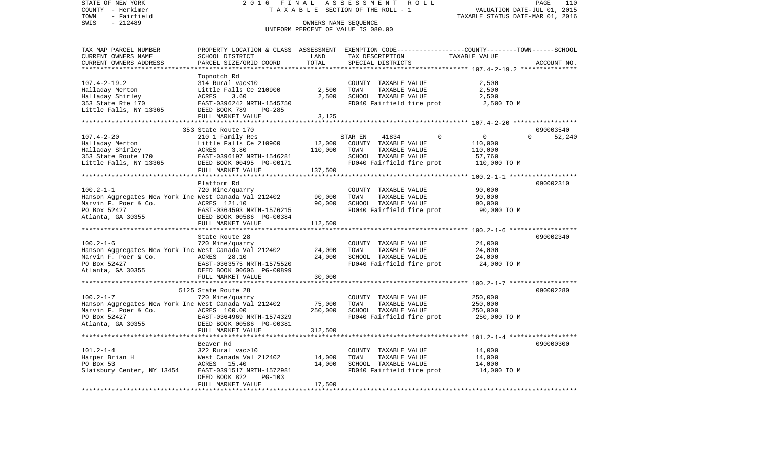STATE OF NEW YORK 2 0 1 6 F I N A L A S S E S S M E N T R O L L PAGE 110VALUATION DATE-JUL 01, 2015 COUNTY - Herkimer T A X A B L E SECTION OF THE ROLL - 1 TOWN - Fairfield TAXABLE STATUS DATE-MAR 01, 2016 SWIS - 212489 CONNERS NAME SEQUENCE UNIFORM PERCENT OF VALUE IS 080.00TAX MAP PARCEL NUMBER PROPERTY LOCATION & CLASS ASSESSMENT EXEMPTION CODE------------------COUNTY--------TOWN------SCHOOL CURRENT OWNERS NAME SCHOOL DISTRICT LAND TAX DESCRIPTION TAXABLE VALUECURRENT OWNERS ADDRESS PARCEL SIZE/GRID COORD TOTAL SPECIAL DISTRICTS ACCOUNT NO. \*\*\*\*\*\*\*\*\*\*\*\*\*\*\*\*\*\*\*\*\*\*\*\*\*\*\*\*\*\*\*\*\*\*\*\*\*\*\*\*\*\*\*\*\*\*\*\*\*\*\*\*\*\*\*\*\*\*\*\*\*\*\*\*\*\*\*\*\*\*\*\*\*\*\*\*\*\*\*\*\*\*\*\*\*\*\*\*\*\*\*\*\*\*\*\*\*\*\*\*\*\*\* 107.4-2-19.2 \*\*\*\*\*\*\*\*\*\*\*\*\*\*\* Topnotch Rd 107.4-2-19.2 314 Rural vac<10 COUNTY TAXABLE VALUE 2,500 Halladay Merton **Little Falls Ce 210900** 2,500 TOWN TAXABLE VALUE 2,500 Halladay Shirley ACRES 3.60 2,500 SCHOOL TAXABLE VALUE 2,500 353 State Rte 170 EAST-0396242 NRTH-1545750 FD040 Fairfield fire prot 2,500 TO M DEED BOOK 789 PG-285 FULL MARKET VALUE 3,125 \*\*\*\*\*\*\*\*\*\*\*\*\*\*\*\*\*\*\*\*\*\*\*\*\*\*\*\*\*\*\*\*\*\*\*\*\*\*\*\*\*\*\*\*\*\*\*\*\*\*\*\*\*\*\*\*\*\*\*\*\*\*\*\*\*\*\*\*\*\*\*\*\*\*\*\*\*\*\*\*\*\*\*\*\*\*\*\*\*\*\*\*\*\*\*\*\*\*\*\*\*\*\* 107.4-2-20 \*\*\*\*\*\*\*\*\*\*\*\*\*\*\*\*\* 353 State Route 170 090003540107.4-2-20 210 1 Family Res STAR EN 41834 0 0 0 52,240 Halladay Merton Little Falls Ce 210900 12,000 COUNTY TAXABLE VALUE 110,000 Halladay Shirley ACRES 3.80 110,000 TOWN TAXABLE VALUE 110,000 353 State Route 170 **EAST-0396197 NRTH-1546281** SCHOOL TAXABLE VALUE Little Falls, NY 13365 DEED BOOK 00495 PG-00171 FD040 Fairfield fire prot 110,000 TO M FULL MARKET VALUE 137,500 \*\*\*\*\*\*\*\*\*\*\*\*\*\*\*\*\*\*\*\*\*\*\*\*\*\*\*\*\*\*\*\*\*\*\*\*\*\*\*\*\*\*\*\*\*\*\*\*\*\*\*\*\*\*\*\*\*\*\*\*\*\*\*\*\*\*\*\*\*\*\*\*\*\*\*\*\*\*\*\*\*\*\*\*\*\*\*\*\*\*\*\*\*\*\*\*\*\*\*\*\*\*\* 100.2-1-1 \*\*\*\*\*\*\*\*\*\*\*\*\*\*\*\*\*\*Platform Rd 090002310 100.2-1-1 720 Mine/quarry COUNTY TAXABLE VALUE 90,000 Hanson Aggregates New York Inc West Canada Val 212402 90,000 TOWN TAXABLE VALUE 90,000<br>Marvin F. Poer & Co. ACRES 121.10 90,000 SCHOOL TAXABLE VALUE 90,000 Marvin F. Poer & Co. ACRES 121.10 90,000 SCHOOL TAXABLE VALUE 90,000 PO Box 52427 EAST-0364593 NRTH-1576215 FD040 Fairfield fire prot 90,000 TO M Atlanta, GA 30355 DEED BOOK 00586 PG-00384 FULL MARKET VALUE 112,500 \*\*\*\*\*\*\*\*\*\*\*\*\*\*\*\*\*\*\*\*\*\*\*\*\*\*\*\*\*\*\*\*\*\*\*\*\*\*\*\*\*\*\*\*\*\*\*\*\*\*\*\*\*\*\*\*\*\*\*\*\*\*\*\*\*\*\*\*\*\*\*\*\*\*\*\*\*\*\*\*\*\*\*\*\*\*\*\*\*\*\*\*\*\*\*\*\*\*\*\*\*\*\* 100.2-1-6 \*\*\*\*\*\*\*\*\*\*\*\*\*\*\*\*\*\* State Route 28 090002340100.2-1-6 720 Mine/quarry COUNTY TAXABLE VALUE 24,000 Hanson Aggregates New York Inc West Canada Val 212402 24,000 TOWN TAXABLE VALUE 24,000 Marvin F. Poer & Co. ACRES 28.10 24,000 SCHOOL TAXABLE VALUE 24,000 PO Box 52427 EAST-0363575 NRTH-1575520 FD040 Fairfield fire prot 24,000 TO M Atlanta, GA 30355 DEED BOOK 00606 PG-00899 FULL MARKET VALUE 30,000 \*\*\*\*\*\*\*\*\*\*\*\*\*\*\*\*\*\*\*\*\*\*\*\*\*\*\*\*\*\*\*\*\*\*\*\*\*\*\*\*\*\*\*\*\*\*\*\*\*\*\*\*\*\*\*\*\*\*\*\*\*\*\*\*\*\*\*\*\*\*\*\*\*\*\*\*\*\*\*\*\*\*\*\*\*\*\*\*\*\*\*\*\*\*\*\*\*\*\*\*\*\*\* 100.2-1-7 \*\*\*\*\*\*\*\*\*\*\*\*\*\*\*\*\*\* 5125 State Route 28 090002280100.2-1-7 720 Mine/quarry COUNTY TAXABLE VALUE 250,000 Hanson Aggregates New York Inc West Canada Val 212402 75,000 TOWN TAXABLE VALUE 250,000 Marvin F. Poer & Co. ACRES 100.00 250,000 SCHOOL TAXABLE VALUE 250,000 PO Box 52427 EAST-0364969 NRTH-1574329 FD040 Fairfield fire prot 250,000 TO M Atlanta, GA 30355 DEED BOOK 00586 PG-00381 FULL MARKET VALUE 312,500 \*\*\*\*\*\*\*\*\*\*\*\*\*\*\*\*\*\*\*\*\*\*\*\*\*\*\*\*\*\*\*\*\*\*\*\*\*\*\*\*\*\*\*\*\*\*\*\*\*\*\*\*\*\*\*\*\*\*\*\*\*\*\*\*\*\*\*\*\*\*\*\*\*\*\*\*\*\*\*\*\*\*\*\*\*\*\*\*\*\*\*\*\*\*\*\*\*\*\*\*\*\*\* 101.2-1-4 \*\*\*\*\*\*\*\*\*\*\*\*\*\*\*\*\*\* Beaver Rd 090000300101.2-1-4 322 Rural vac>10 COUNTY TAXABLE VALUE 14,000 Harper Brian H West Canada Val 212402 14,000 TOWN TAXABLE VALUE 14,000 PO Box 53 ACRES 15.40 14,000 SCHOOL TAXABLE VALUE 14,000 Slaisbury Center, NY 13454 EAST-0391517 NRTH-1572981 FD040 Fairfield fire prot 14,000 TO M DEED BOOK 822 PG-103FULL MARKET VALUE 17,500 \*\*\*\*\*\*\*\*\*\*\*\*\*\*\*\*\*\*\*\*\*\*\*\*\*\*\*\*\*\*\*\*\*\*\*\*\*\*\*\*\*\*\*\*\*\*\*\*\*\*\*\*\*\*\*\*\*\*\*\*\*\*\*\*\*\*\*\*\*\*\*\*\*\*\*\*\*\*\*\*\*\*\*\*\*\*\*\*\*\*\*\*\*\*\*\*\*\*\*\*\*\*\*\*\*\*\*\*\*\*\*\*\*\*\*\*\*\*\*\*\*\*\*\*\*\*\*\*\*\*\*\*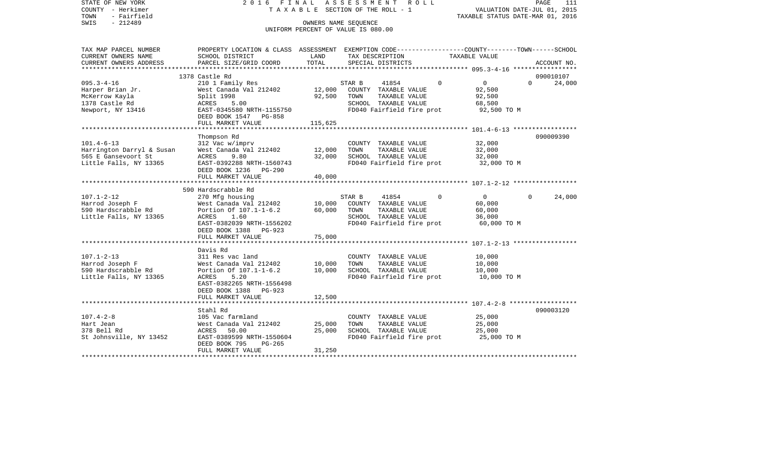| COUNTY<br>– Herkimer<br>- Fairfield<br>TOWN<br>SWIS<br>$-212489$ | T A X A B L E SECTION OF THE ROLL - 1                                                                              | VALUATION DATE-JUL 01, 2015<br>TAXABLE STATUS DATE-MAR 01, 2016 |                                                   |                            |                    |
|------------------------------------------------------------------|--------------------------------------------------------------------------------------------------------------------|-----------------------------------------------------------------|---------------------------------------------------|----------------------------|--------------------|
|                                                                  |                                                                                                                    |                                                                 | UNIFORM PERCENT OF VALUE IS 080.00                |                            |                    |
| TAX MAP PARCEL NUMBER<br>CURRENT OWNERS NAME                     | PROPERTY LOCATION & CLASS ASSESSMENT EXEMPTION CODE---------------COUNTY-------TOWN------SCHOOL<br>SCHOOL DISTRICT | LAND                                                            | TAX DESCRIPTION                                   | TAXABLE VALUE              |                    |
| CURRENT OWNERS ADDRESS                                           | PARCEL SIZE/GRID COORD                                                                                             | TOTAL                                                           | SPECIAL DISTRICTS                                 |                            | ACCOUNT NO.        |
| *******************                                              |                                                                                                                    | ***********                                                     |                                                   |                            |                    |
|                                                                  | 1378 Castle Rd                                                                                                     |                                                                 |                                                   |                            | 090010107          |
| $095.3 - 4 - 16$                                                 | 210 1 Family Res                                                                                                   |                                                                 | 41854<br>STAR B                                   | $\Omega$<br>$\Omega$       | $\Omega$<br>24,000 |
| Harper Brian Jr.<br>McKerrow Kayla                               | West Canada Val 212402<br>Split 1998                                                                               | 12,000<br>92,500                                                | COUNTY TAXABLE VALUE<br>TOWN<br>TAXABLE VALUE     | 92,500<br>92,500           |                    |
| 1378 Castle Rd                                                   | ACRES<br>5.00                                                                                                      |                                                                 | SCHOOL TAXABLE VALUE                              | 68,500                     |                    |
| Newport, NY 13416                                                | EAST-0345580 NRTH-1155750                                                                                          |                                                                 | FD040 Fairfield fire prot                         | 92,500 TO M                |                    |
|                                                                  | DEED BOOK 1547 PG-858                                                                                              |                                                                 |                                                   |                            |                    |
|                                                                  | FULL MARKET VALUE                                                                                                  | 115,625                                                         |                                                   |                            |                    |
|                                                                  |                                                                                                                    |                                                                 |                                                   |                            |                    |
|                                                                  | Thompson Rd                                                                                                        |                                                                 |                                                   |                            | 090009390          |
| $101.4 - 6 - 13$                                                 | 312 Vac w/imprv                                                                                                    |                                                                 | COUNTY TAXABLE VALUE                              | 32,000                     |                    |
| Harrington Darryl & Susan<br>565 E Gansevoort St                 | West Canada Val 212402                                                                                             | 12,000<br>32,000                                                | TOWN<br>TAXABLE VALUE<br>SCHOOL TAXABLE VALUE     | 32,000                     |                    |
| Little Falls, NY 13365                                           | ACRES<br>9.80<br>EAST-0392288 NRTH-1560743                                                                         |                                                                 | FD040 Fairfield fire prot                         | 32,000<br>32,000 TO M      |                    |
|                                                                  | DEED BOOK 1236<br>PG-290                                                                                           |                                                                 |                                                   |                            |                    |
|                                                                  | FULL MARKET VALUE                                                                                                  | 40,000                                                          |                                                   |                            |                    |
|                                                                  |                                                                                                                    |                                                                 |                                                   |                            |                    |
|                                                                  | 590 Hardscrabble Rd                                                                                                |                                                                 |                                                   |                            |                    |
| $107.1 - 2 - 12$                                                 | 270 Mfg housing                                                                                                    |                                                                 | STAR B<br>41854                                   | $\Omega$<br>$\overline{0}$ | 24,000<br>$\Omega$ |
| Harrod Joseph F                                                  | West Canada Val 212402                                                                                             | 10,000                                                          | COUNTY TAXABLE VALUE                              | 60,000                     |                    |
| 590 Hardscrabble Rd<br>Little Falls, NY 13365                    | Portion Of 107.1-1-6.2<br>ACRES<br>1.60                                                                            | 60,000                                                          | TAXABLE VALUE<br>TOWN<br>SCHOOL TAXABLE VALUE     | 60,000<br>36,000           |                    |
|                                                                  | EAST-0382039 NRTH-1556202                                                                                          |                                                                 | FD040 Fairfield fire prot                         | 60,000 TO M                |                    |
|                                                                  | DEED BOOK 1388 PG-923                                                                                              |                                                                 |                                                   |                            |                    |
|                                                                  | FULL MARKET VALUE                                                                                                  | 75,000                                                          |                                                   |                            |                    |
|                                                                  |                                                                                                                    |                                                                 |                                                   |                            |                    |
|                                                                  | Davis Rd                                                                                                           |                                                                 |                                                   |                            |                    |
| $107.1 - 2 - 13$                                                 | 311 Res vac land                                                                                                   |                                                                 | COUNTY TAXABLE VALUE                              | 10,000                     |                    |
| Harrod Joseph F                                                  | West Canada Val 212402                                                                                             | 10,000                                                          | TOWN<br>TAXABLE VALUE                             | 10,000                     |                    |
| 590 Hardscrabble Rd<br>Little Falls, NY 13365                    | Portion Of 107.1-1-6.2<br>ACRES<br>5.20                                                                            | 10,000                                                          | SCHOOL TAXABLE VALUE<br>FD040 Fairfield fire prot | 10,000<br>10,000 TO M      |                    |
|                                                                  | EAST-0382265 NRTH-1556498                                                                                          |                                                                 |                                                   |                            |                    |
|                                                                  | DEED BOOK 1388<br>$PG-923$                                                                                         |                                                                 |                                                   |                            |                    |
|                                                                  | FULL MARKET VALUE                                                                                                  | 12,500                                                          |                                                   |                            |                    |
|                                                                  |                                                                                                                    |                                                                 |                                                   |                            |                    |
|                                                                  | Stahl Rd                                                                                                           |                                                                 |                                                   |                            | 090003120          |
| $107.4 - 2 - 8$                                                  | 105 Vac farmland                                                                                                   |                                                                 | COUNTY TAXABLE VALUE                              | 25,000                     |                    |
| Hart Jean                                                        | West Canada Val 212402                                                                                             | 25,000                                                          | TAXABLE VALUE<br>TOWN                             | 25,000                     |                    |
| 378 Bell Rd<br>St Johnsville, NY 13452                           | 50.00<br>ACRES<br>EAST-0389599 NRTH-1550604                                                                        | 25,000                                                          | SCHOOL TAXABLE VALUE<br>FD040 Fairfield fire prot | 25,000<br>25,000 TO M      |                    |
|                                                                  | DEED BOOK 795<br>$PG-265$                                                                                          |                                                                 |                                                   |                            |                    |
|                                                                  | FULL MARKET VALUE                                                                                                  | 31,250                                                          |                                                   |                            |                    |
|                                                                  |                                                                                                                    |                                                                 |                                                   |                            |                    |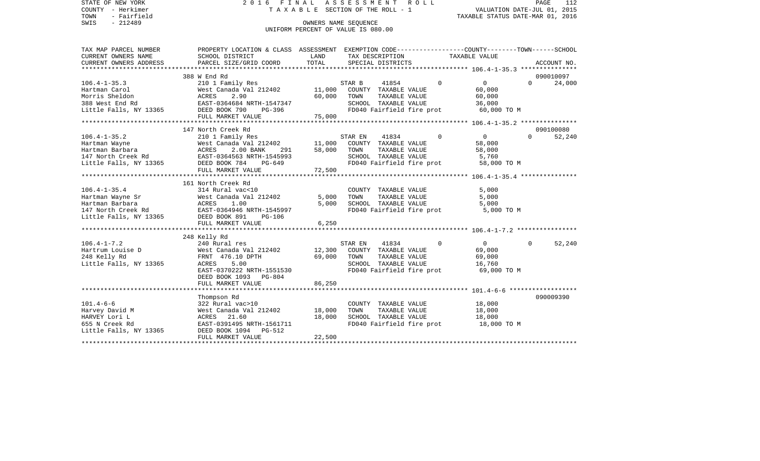STATE OF NEW YORK 2 0 1 6 F I N A L A S S E S S M E N T R O L L PAGE 112COUNTY - Herkimer **T A X A B L E** SECTION OF THE ROLL - 1 VALUATION DATE-JUL 01, 2015 TOWN - Fairfield TAXABLE STATUS DATE-MAR 01, 2016 SWIS - 212489 OWNERS NAME SEQUENCE UNIFORM PERCENT OF VALUE IS 080.00

TAX MAP PARCEL NUMBER PROPERTY LOCATION & CLASS ASSESSMENT EXEMPTION CODE------------------COUNTY--------TOWN------SCHOOL CURRENT OWNERS NAME SCHOOL DISTRICT LAND TAX DESCRIPTION TAXABLE VALUECURRENT OWNERS ADDRESS PARCEL SIZE/GRID COORD TOTAL SPECIAL DISTRICTS ACCOUNT NO. \*\*\*\*\*\*\*\*\*\*\*\*\*\*\*\*\*\*\*\*\*\*\*\*\*\*\*\*\*\*\*\*\*\*\*\*\*\*\*\*\*\*\*\*\*\*\*\*\*\*\*\*\*\*\*\*\*\*\*\*\*\*\*\*\*\*\*\*\*\*\*\*\*\*\*\*\*\*\*\*\*\*\*\*\*\*\*\*\*\*\*\*\*\*\*\*\*\*\*\*\*\*\* 106.4-1-35.3 \*\*\*\*\*\*\*\*\*\*\*\*\*\*\* 388 W End Rd 090010097106.4-1-35.3 210 1 Family Res STAR B 41854 0 0 0 24,000 Hartman Carol West Canada Val 212402 11,000 COUNTY TAXABLE VALUE 60,000 Morris Sheldon ACRES 2.90 60,000 TOWN TAXABLE VALUE 60,000 388 West End Rd EAST-0364684 NRTH-1547347 SCHOOL TAXABLE VALUE 36,000 Little Falls, NY 13365 DEED BOOK 790 PG-396 FD040 Fairfield fire prot 60,000 TO M FULL MARKET VALUE 75,000 \*\*\*\*\*\*\*\*\*\*\*\*\*\*\*\*\*\*\*\*\*\*\*\*\*\*\*\*\*\*\*\*\*\*\*\*\*\*\*\*\*\*\*\*\*\*\*\*\*\*\*\*\*\*\*\*\*\*\*\*\*\*\*\*\*\*\*\*\*\*\*\*\*\*\*\*\*\*\*\*\*\*\*\*\*\*\*\*\*\*\*\*\*\*\*\*\*\*\*\*\*\*\* 106.4-1-35.2 \*\*\*\*\*\*\*\*\*\*\*\*\*\*\* 147 North Creek Rd 090100080106.4-1-35.2 210 1 Family Res STAR EN 41834 0 0 0 52,240 Hartman Wayne West Canada Val 212402 11,000 COUNTY TAXABLE VALUE 58,000 Hartman Barbara ACRES 2.00 BANK 291 58,000 TOWN TAXABLE VALUE 58,000 147 North Creek Rd EAST-0364563 NRTH-1545993 SCHOOL TAXABLE VALUE 5,760 Little Falls, NY 13365 DEED BOOK 784 PG-649 FD040 Fairfield fire prot 58,000 TO M FULL MARKET VALUE 72,500 \*\*\*\*\*\*\*\*\*\*\*\*\*\*\*\*\*\*\*\*\*\*\*\*\*\*\*\*\*\*\*\*\*\*\*\*\*\*\*\*\*\*\*\*\*\*\*\*\*\*\*\*\*\*\*\*\*\*\*\*\*\*\*\*\*\*\*\*\*\*\*\*\*\*\*\*\*\*\*\*\*\*\*\*\*\*\*\*\*\*\*\*\*\*\*\*\*\*\*\*\*\*\* 106.4-1-35.4 \*\*\*\*\*\*\*\*\*\*\*\*\*\*\* 161 North Creek Rd106.4-1-35.4 314 Rural vac<10 COUNTY TAXABLE VALUE 5,000 Hartman Wayne Sr West Canada Val 212402 5,000 TOWN TAXABLE VALUE 5,000 Hartman Barbara ACRES 1.00 5,000 SCHOOL TAXABLE VALUE 5,000 147 North Creek Rd EAST-0364946 NRTH-1545997 FD040 Fairfield fire prot 5,000 TO M Little Falls, NY 13365 DEED BOOK 891 PG-106 FULL MARKET VALUE 6,250 \*\*\*\*\*\*\*\*\*\*\*\*\*\*\*\*\*\*\*\*\*\*\*\*\*\*\*\*\*\*\*\*\*\*\*\*\*\*\*\*\*\*\*\*\*\*\*\*\*\*\*\*\*\*\*\*\*\*\*\*\*\*\*\*\*\*\*\*\*\*\*\*\*\*\*\*\*\*\*\*\*\*\*\*\*\*\*\*\*\*\*\*\*\*\*\*\*\*\*\*\*\*\* 106.4-1-7.2 \*\*\*\*\*\*\*\*\*\*\*\*\*\*\*\* 248 Kelly Rd 106.4-1-7.2 240 Rural res STAR EN 41834 0 0 0 52,240 Hartrum Louise D West Canada Val 212402 12,300 COUNTY TAXABLE VALUE 69,000 248 Kelly Rd FRNT 476.10 DPTH 69,000 TOWN TAXABLE VALUE 69,000 Little Falls, NY 13365 ACRES 5.00 SCHOOL TAXABLE VALUE 16,760 EAST-0370222 NRTH-1551530 FD040 Fairfield fire prot 69,000 TO M DEED BOOK 1093 PG-804FULL MARKET VALUE 86,250 \*\*\*\*\*\*\*\*\*\*\*\*\*\*\*\*\*\*\*\*\*\*\*\*\*\*\*\*\*\*\*\*\*\*\*\*\*\*\*\*\*\*\*\*\*\*\*\*\*\*\*\*\*\*\*\*\*\*\*\*\*\*\*\*\*\*\*\*\*\*\*\*\*\*\*\*\*\*\*\*\*\*\*\*\*\*\*\*\*\*\*\*\*\*\*\*\*\*\*\*\*\*\* 101.4-6-6 \*\*\*\*\*\*\*\*\*\*\*\*\*\*\*\*\*\* Thompson Rd 090009390 101.4-6-6 322 Rural vac>10 COUNTY TAXABLE VALUE 18,000 Harvey David M West Canada Val 212402 18,000 TOWN TAXABLE VALUE 18,000 SCHOOL TAXABLE VALUE 655 N Creek Rd EAST-0391495 NRTH-1561711 FD040 Fairfield fire prot 18,000 TO M Little Falls, NY 13365 DEED BOOK 1094 PG-512 FULL MARKET VALUE 22,500 \*\*\*\*\*\*\*\*\*\*\*\*\*\*\*\*\*\*\*\*\*\*\*\*\*\*\*\*\*\*\*\*\*\*\*\*\*\*\*\*\*\*\*\*\*\*\*\*\*\*\*\*\*\*\*\*\*\*\*\*\*\*\*\*\*\*\*\*\*\*\*\*\*\*\*\*\*\*\*\*\*\*\*\*\*\*\*\*\*\*\*\*\*\*\*\*\*\*\*\*\*\*\*\*\*\*\*\*\*\*\*\*\*\*\*\*\*\*\*\*\*\*\*\*\*\*\*\*\*\*\*\*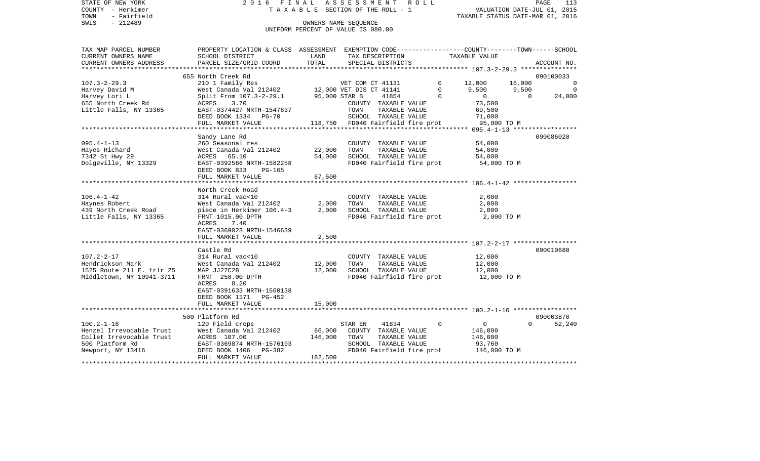|      | STATE OF NEW YORK | 2016 FINAL ASSESSMENT ROLL         | PAGE                             | 113 |
|------|-------------------|------------------------------------|----------------------------------|-----|
|      | COUNTY - Herkimer | TAXABLE SECTION OF THE ROLL - 1    | VALUATION DATE-JUL 01, 2015      |     |
| TOWN | - Fairfield       |                                    | TAXABLE STATUS DATE-MAR 01, 2016 |     |
| SWIS | - 212489          | OWNERS NAME SEOUENCE               |                                  |     |
|      |                   | UNIFORM PERCENT OF VALUE IS 080.00 |                                  |     |

| TAX MAP PARCEL NUMBER     | PROPERTY LOCATION & CLASS ASSESSMENT EXEMPTION CODE--------------COUNTY-------TOWN------SCHOOL |               |                                   |             |                |          |             |
|---------------------------|------------------------------------------------------------------------------------------------|---------------|-----------------------------------|-------------|----------------|----------|-------------|
| CURRENT OWNERS NAME       | SCHOOL DISTRICT                                                                                | LAND          | TAX DESCRIPTION                   |             | TAXABLE VALUE  |          |             |
| CURRENT OWNERS ADDRESS    | PARCEL SIZE/GRID COORD                                                                         | TOTAL         | SPECIAL DISTRICTS                 |             |                |          | ACCOUNT NO. |
| ***********************   |                                                                                                |               |                                   |             |                |          |             |
|                           | 655 North Creek Rd                                                                             |               |                                   |             |                |          | 090100033   |
| $107.3 - 2 - 29.3$        | 210 1 Family Res                                                                               |               |                                   | $\Omega$    | 12,000         | 16,000   | $\Omega$    |
| Harvey David M            | 210 1 Family Res<br>West Canada Val 212402 12,000 VET DIS CT 41141                             |               |                                   | $\mathbf 0$ | 9,500          | 9,500    | $\Omega$    |
| Harvey Lori L             | Split From 107.3-2-29.1                                                                        | 95,000 STAR B | 41854                             | $\Omega$    | $\Omega$       | $\Omega$ | 24,000      |
| 655 North Creek Rd        | 3.70<br>ACRES                                                                                  |               | COUNTY TAXABLE VALUE              |             | 73,500         |          |             |
| Little Falls, NY 13365    | EAST-0374427 NRTH-1547637                                                                      |               | TOWN<br>TAXABLE VALUE             |             | 69,500         |          |             |
|                           | DEED BOOK 1334 PG-70                                                                           |               | SCHOOL TAXABLE VALUE              |             | 71,000         |          |             |
|                           | FULL MARKET VALUE                                                                              |               | 118,750 FD040 Fairfield fire prot |             | 95,000 TO M    |          |             |
|                           | ********************                                                                           |               |                                   |             |                |          |             |
|                           | Sandy Lane Rd                                                                                  |               |                                   |             |                |          | 090086020   |
| $095.4 - 1 - 13$          | 260 Seasonal res                                                                               |               | COUNTY TAXABLE VALUE              |             | 54,000         |          |             |
| Hayes Richard             | West Canada Val 212402                                                                         | 22,000        | TOWN<br>TAXABLE VALUE             |             | 54,000         |          |             |
| 7342 St Hwy 29            | 65.10<br>ACRES                                                                                 | 54,000        | SCHOOL TAXABLE VALUE              |             | 54,000         |          |             |
|                           |                                                                                                |               | FD040 Fairfield fire prot         |             |                |          |             |
| Dolgeville, NY 13329      | EAST-0392566 NRTH-1582258                                                                      |               |                                   |             | 54,000 TO M    |          |             |
|                           | DEED BOOK 833<br>PG-165                                                                        |               |                                   |             |                |          |             |
|                           | FULL MARKET VALUE                                                                              | 67,500        |                                   |             |                |          |             |
|                           |                                                                                                |               |                                   |             |                |          |             |
|                           | North Creek Road                                                                               |               |                                   |             |                |          |             |
| $106.4 - 1 - 42$          | 314 Rural vac<10                                                                               |               | COUNTY TAXABLE VALUE              |             | 2,000          |          |             |
| Haynes Robert             | West Canada Val 212402                                                                         | 2,000         | TOWN<br>TAXABLE VALUE             |             | 2,000          |          |             |
| 439 North Creek Road      | piece in Herkimer 106.4-3                                                                      | 2,000         | SCHOOL TAXABLE VALUE              |             | 2,000          |          |             |
| Little Falls, NY 13365    | FRNT 1015.00 DPTH                                                                              |               | FD040 Fairfield fire prot         |             | 2,000 TO M     |          |             |
|                           | ACRES<br>7.40                                                                                  |               |                                   |             |                |          |             |
|                           | EAST-0369023 NRTH-1546639                                                                      |               |                                   |             |                |          |             |
|                           | FULL MARKET VALUE                                                                              | 2,500         |                                   |             |                |          |             |
|                           |                                                                                                |               |                                   |             |                |          |             |
|                           | Castle Rd                                                                                      |               |                                   |             |                |          | 090010680   |
| $107.2 - 2 - 17$          | 314 Rural vac<10                                                                               |               | COUNTY TAXABLE VALUE              |             | 12,000         |          |             |
| Hendrickson Mark          | West Canada Val 212402                                                                         | 12,000        | TOWN<br>TAXABLE VALUE             |             | 12,000         |          |             |
| 1525 Route 211 E. trlr 25 | MAP JJ27C28                                                                                    | 12,000        | SCHOOL TAXABLE VALUE              |             | 12,000         |          |             |
| Middletown, NY 10941-3711 | FRNT 258.00 DPTH                                                                               |               | FD040 Fairfield fire prot         |             | 12,000 TO M    |          |             |
|                           | 8.20<br>ACRES                                                                                  |               |                                   |             |                |          |             |
|                           | EAST-0391633 NRTH-1560138                                                                      |               |                                   |             |                |          |             |
|                           | DEED BOOK 1171 PG-452                                                                          |               |                                   |             |                |          |             |
|                           | FULL MARKET VALUE                                                                              | 15,000        |                                   |             |                |          |             |
|                           |                                                                                                |               |                                   |             |                |          |             |
|                           | 500 Platform Rd                                                                                |               |                                   |             |                |          | 090003870   |
| $100.2 - 1 - 16$          | 120 Field crops                                                                                |               | 41834<br>STAR EN                  | $\Omega$    | $\overline{0}$ | $\Omega$ | 52,240      |
| Henzel Irrevocable Trust  | West Canada Val 212402                                                                         | 66,000        | COUNTY TAXABLE VALUE              |             | 146,000        |          |             |
| Collet Irrevocable Trust  | ACRES 107.00                                                                                   | 146,000       | TOWN<br>TAXABLE VALUE             |             | 146,000        |          |             |
| 500 Platform Rd           | EAST-0369874 NRTH-1576193                                                                      |               | SCHOOL TAXABLE VALUE              |             | 93,760         |          |             |
| Newport, NY 13416         | PG-382<br>DEED BOOK 1406                                                                       |               | FD040 Fairfield fire prot         |             | 146,000 TO M   |          |             |
|                           | FULL MARKET VALUE                                                                              | 182,500       |                                   |             |                |          |             |
|                           | ********************************                                                               |               |                                   |             |                |          |             |
|                           |                                                                                                |               |                                   |             |                |          |             |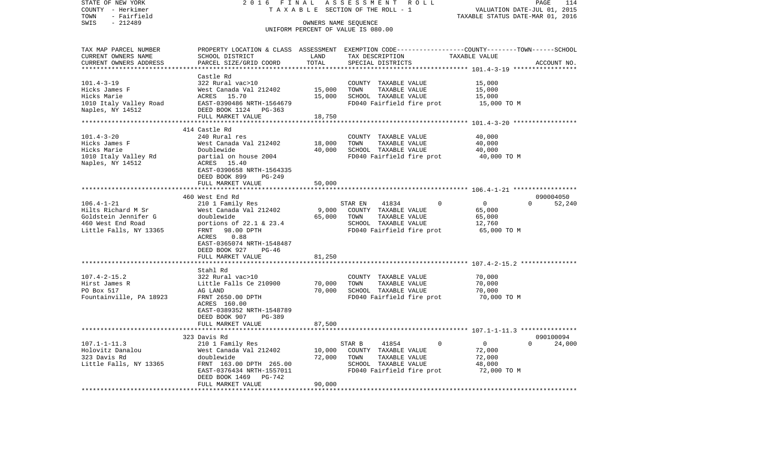| STATE OF NEW YORK<br>COUNTY - Herkimer<br>TOWN<br>- Fairfield                                                            | 2 0 1 6<br>FINAL                                                                                                                                                                                     |                              | ASSESSMENT<br>R O L L<br>TAXABLE SECTION OF THE ROLL - 1                                                                                | VALUATION DATE-JUL 01, 2015<br>TAXABLE STATUS DATE-MAR 01, 2016                                    | PAGE<br>114         |
|--------------------------------------------------------------------------------------------------------------------------|------------------------------------------------------------------------------------------------------------------------------------------------------------------------------------------------------|------------------------------|-----------------------------------------------------------------------------------------------------------------------------------------|----------------------------------------------------------------------------------------------------|---------------------|
| SWIS<br>$-212489$                                                                                                        |                                                                                                                                                                                                      |                              | OWNERS NAME SEQUENCE<br>UNIFORM PERCENT OF VALUE IS 080.00                                                                              |                                                                                                    |                     |
| TAX MAP PARCEL NUMBER<br>CURRENT OWNERS NAME<br>CURRENT OWNERS ADDRESS                                                   | SCHOOL DISTRICT<br>PARCEL SIZE/GRID COORD                                                                                                                                                            | LAND<br>TOTAL<br>*********** | PROPERTY LOCATION & CLASS ASSESSMENT EXEMPTION CODE---------------COUNTY-------TOWN------SCHOOL<br>TAX DESCRIPTION<br>SPECIAL DISTRICTS | TAXABLE VALUE<br>*************************** 101.4-3-19 *****************                          | ACCOUNT NO.         |
| $101.4 - 3 - 19$<br>Hicks James F<br>Hicks Marie<br>1010 Italy Valley Road<br>Naples, NY 14512<br>********************** | Castle Rd<br>322 Rural vac>10<br>West Canada Val 212402<br>ACRES 15.70<br>EAST-0390486 NRTH-1564679<br>DEED BOOK 1124 PG-363<br>FULL MARKET VALUE<br>**************************                      | 15,000<br>15,000<br>18,750   | COUNTY TAXABLE VALUE<br>TOWN<br>TAXABLE VALUE<br>SCHOOL TAXABLE VALUE<br>FD040 Fairfield fire prot                                      | 15,000<br>15,000<br>15,000<br>15,000 TO M<br>*********************** 101.4-3-20 ****************** |                     |
| $101.4 - 3 - 20$<br>Hicks James F<br>Hicks Marie<br>1010 Italy Valley Rd<br>Naples, NY 14512                             | 414 Castle Rd<br>240 Rural res<br>West Canada Val 212402<br>Doublewide<br>partial on house 2004<br>ACRES 15.40<br>EAST-0390658 NRTH-1564335<br>DEED BOOK 899<br>PG-249<br>FULL MARKET VALUE          | 18,000<br>40,000<br>50,000   | COUNTY TAXABLE VALUE<br>TOWN<br>TAXABLE VALUE<br>SCHOOL TAXABLE VALUE<br>FD040 Fairfield fire prot                                      | 40,000<br>40,000<br>40,000<br>40,000 TO M<br>****************** 106.4-1-21 ******************      |                     |
| $106.4 - 1 - 21$<br>Hilts Richard M Sr<br>Goldstein Jennifer G<br>460 West End Road<br>Little Falls, NY 13365            | 460 West End Rd<br>210 1 Family Res<br>West Canada Val 212402<br>doublewide<br>portions of 22.1 & 23.4<br>FRNT<br>98.00 DPTH<br>0.88<br>ACRES<br>EAST-0365074 NRTH-1548487<br>DEED BOOK 927<br>PG-46 | 9,000<br>65,000              | 41834<br>$\Omega$<br>STAR EN<br>COUNTY TAXABLE VALUE<br>TOWN<br>TAXABLE VALUE<br>SCHOOL TAXABLE VALUE<br>FD040 Fairfield fire prot      | $\overline{0}$<br>$\Omega$<br>65,000<br>65,000<br>12,760<br>65,000 TO M                            | 090004050<br>52,240 |
|                                                                                                                          | FULL MARKET VALUE                                                                                                                                                                                    | 81,250                       |                                                                                                                                         | ********************** 107.4-2-15.2 ***************                                                |                     |
| $107.4 - 2 - 15.2$<br>Hirst James R<br>PO Box 517<br>Fountainville, PA 18923                                             | Stahl Rd<br>322 Rural vac>10<br>Little Falls Ce 210900<br>AG LAND<br>FRNT 2650.00 DPTH<br>ACRES 160.00<br>EAST-0389352 NRTH-1548789                                                                  | 70,000<br>70,000             | COUNTY TAXABLE VALUE<br>TOWN<br>TAXABLE VALUE<br>SCHOOL TAXABLE VALUE<br>FD040 Fairfield fire prot                                      | 70,000<br>70,000<br>70,000<br>70,000 TO M                                                          |                     |
|                                                                                                                          | DEED BOOK 907<br>PG-389<br>FULL MARKET VALUE                                                                                                                                                         | 87,500                       |                                                                                                                                         |                                                                                                    |                     |
| $107.1 - 1 - 11.3$<br>Holovitz Danalou<br>323 Davis Rd<br>Little Falls, NY 13365                                         | 323 Davis Rd<br>210 1 Family Res<br>West Canada Val 212402<br>doublewide<br>FRNT 163.00 DPTH 265.00<br>EAST-0376434 NRTH-1557011<br>DEED BOOK 1469<br>$PG-742$<br>FULL MARKET VALUE                  | 10,000<br>72,000<br>90,000   | 41854<br>0<br>STAR B<br>COUNTY TAXABLE VALUE<br>TOWN<br>TAXABLE VALUE<br>SCHOOL TAXABLE VALUE<br>FD040 Fairfield fire prot              | $\overline{0}$<br>$\Omega$<br>72,000<br>72,000<br>48,000<br>72,000 TO M                            | 090100094<br>24,000 |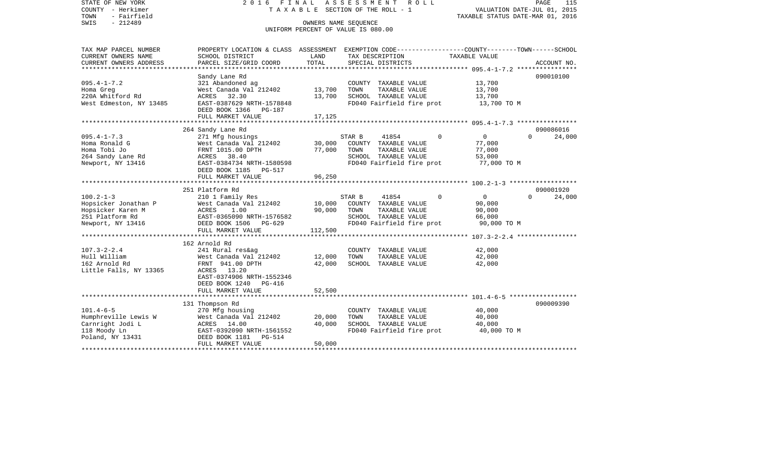STATE OF NEW YORK 2 0 1 6 F I N A L A S S E S S M E N T R O L L PAGE 115COUNTY - Herkimer **T A X A B L E SECTION OF THE ROLL - 1** VALUATION DATE-JUL 01, 2015 TOWN - Fairfield TAXABLE STATUS DATE-MAR 01, 2016 SWIS - 212489 OWNERS NAME SEQUENCE UNIFORM PERCENT OF VALUE IS 080.00TAX MAP PARCEL NUMBER PROPERTY LOCATION & CLASS ASSESSMENT EXEMPTION CODE------------------COUNTY--------TOWN------SCHOOL CURRENT OWNERS NAME SCHOOL DISTRICT LAND TAX DESCRIPTION TAXABLE VALUECURRENT OWNERS ADDRESS PARCEL SIZE/GRID COORD TOTAL SPECIAL DISTRICTS ACCOUNT NO. \*\*\*\*\*\*\*\*\*\*\*\*\*\*\*\*\*\*\*\*\*\*\*\*\*\*\*\*\*\*\*\*\*\*\*\*\*\*\*\*\*\*\*\*\*\*\*\*\*\*\*\*\*\*\*\*\*\*\*\*\*\*\*\*\*\*\*\*\*\*\*\*\*\*\*\*\*\*\*\*\*\*\*\*\*\*\*\*\*\*\*\*\*\*\*\*\*\*\*\*\*\*\* 095.4-1-7.2 \*\*\*\*\*\*\*\*\*\*\*\*\*\*\*\* Sandy Lane Rd 090010100 095.4-1-7.2 321 Abandoned ag COUNTY TAXABLE VALUE 13,700 Homa Greg West Canada Val 212402 13,700 TOWN TAXABLE VALUE 13,700 220A Whitford Rd **ACRES** 32.30 13,700 SCHOOL TAXABLE VALUE 13,700 West Edmeston, NY 13485 EAST-0387629 NRTH-1578848 FD040 Fairfield fire prot 13,700 TO M DEED BOOK 1366 PG-187FULL MARKET VALUE 17,125 \*\*\*\*\*\*\*\*\*\*\*\*\*\*\*\*\*\*\*\*\*\*\*\*\*\*\*\*\*\*\*\*\*\*\*\*\*\*\*\*\*\*\*\*\*\*\*\*\*\*\*\*\*\*\*\*\*\*\*\*\*\*\*\*\*\*\*\*\*\*\*\*\*\*\*\*\*\*\*\*\*\*\*\*\*\*\*\*\*\*\*\*\*\*\*\*\*\*\*\*\*\*\* 095.4-1-7.3 \*\*\*\*\*\*\*\*\*\*\*\*\*\*\*\* 264 Sandy Lane Rd 090086016 095.4-1-7.3 271 Mfg housings STAR B 41854 0 0 0 24,000 West Canada Val 212402 30,000 COUNTY TAXABLE VALUE 77,000 Homa Tobi Jo FRNT 1015.00 DPTH 77,000 TOWN TAXABLE VALUE 77,000 264 Sandy Lane Rd ACRES 38.40 SCHOOL TAXABLE VALUE 53,000 Newport, NY 13416 EAST-0384734 NRTH-1580598 FD040 Fairfield fire prot 77,000 TO M DEED BOOK 1185 PG-517 FULL MARKET VALUE 96,250 \*\*\*\*\*\*\*\*\*\*\*\*\*\*\*\*\*\*\*\*\*\*\*\*\*\*\*\*\*\*\*\*\*\*\*\*\*\*\*\*\*\*\*\*\*\*\*\*\*\*\*\*\*\*\*\*\*\*\*\*\*\*\*\*\*\*\*\*\*\*\*\*\*\*\*\*\*\*\*\*\*\*\*\*\*\*\*\*\*\*\*\*\*\*\*\*\*\*\*\*\*\*\* 100.2-1-3 \*\*\*\*\*\*\*\*\*\*\*\*\*\*\*\*\*\* 251 Platform Rd 090001920100.2-1-3 210 1 Family Res STAR B 41854 0 0 0 24,000 Hopsicker Jonathan P West Canada Val 212402 10,000 COUNTY TAXABLE VALUE 90,000 Hopsicker Karen M ACRES 1.00 90,000 TOWN TAXABLE VALUE 90,000 251 Platform Rd EAST-0365090 NRTH-1576582 SCHOOL TAXABLE VALUE 66,000 Newport, NY 13416 **DEED BOOK 1506** PG-629 **FD040 Fairfield fire prot** 90,000 TO M FULL MARKET VALUE 112,500 \*\*\*\*\*\*\*\*\*\*\*\*\*\*\*\*\*\*\*\*\*\*\*\*\*\*\*\*\*\*\*\*\*\*\*\*\*\*\*\*\*\*\*\*\*\*\*\*\*\*\*\*\*\*\*\*\*\*\*\*\*\*\*\*\*\*\*\*\*\*\*\*\*\*\*\*\*\*\*\*\*\*\*\*\*\*\*\*\*\*\*\*\*\*\*\*\*\*\*\*\*\*\* 107.3-2-2.4 \*\*\*\*\*\*\*\*\*\*\*\*\*\*\*\* 162 Arnold Rd107.3-2-2.4 241 Rural res&ag COUNTY TAXABLE VALUE 42,000 Hull William West Canada Val 212402 12,000 TOWN TAXABLE VALUE 42,000 162 Arnold Rd FRNT 941.00 DPTH 42,000 SCHOOL TAXABLE VALUE 42,000 Little Falls, NY 13365 ACRES 13.20 EAST-0374906 NRTH-1552346 DEED BOOK 1240 PG-416FULL MARKET VALUE 52,500 \*\*\*\*\*\*\*\*\*\*\*\*\*\*\*\*\*\*\*\*\*\*\*\*\*\*\*\*\*\*\*\*\*\*\*\*\*\*\*\*\*\*\*\*\*\*\*\*\*\*\*\*\*\*\*\*\*\*\*\*\*\*\*\*\*\*\*\*\*\*\*\*\*\*\*\*\*\*\*\*\*\*\*\*\*\*\*\*\*\*\*\*\*\*\*\*\*\*\*\*\*\*\* 101.4-6-5 \*\*\*\*\*\*\*\*\*\*\*\*\*\*\*\*\*\* 131 Thompson Rd 090009390 101.4-6-5 270 Mfg housing COUNTY TAXABLE VALUE 40,000 Humphreville Lewis W West Canada Val 212402 20,000 TOWN<br>Carnright Jodi L CARES 14.00 40,000 SCHOO Carnright Jodi L **ACRES** 14.00 40,000 SCHOOL TAXABLE VALUE 40,000 118 Moody Ln EAST-0392090 NRTH-1561552 FD040 Fairfield fire prot 40,000 TO M Poland, NY 13431 DEED BOOK 1181 PG-514 FULL MARKET VALUE 50,000 \*\*\*\*\*\*\*\*\*\*\*\*\*\*\*\*\*\*\*\*\*\*\*\*\*\*\*\*\*\*\*\*\*\*\*\*\*\*\*\*\*\*\*\*\*\*\*\*\*\*\*\*\*\*\*\*\*\*\*\*\*\*\*\*\*\*\*\*\*\*\*\*\*\*\*\*\*\*\*\*\*\*\*\*\*\*\*\*\*\*\*\*\*\*\*\*\*\*\*\*\*\*\*\*\*\*\*\*\*\*\*\*\*\*\*\*\*\*\*\*\*\*\*\*\*\*\*\*\*\*\*\*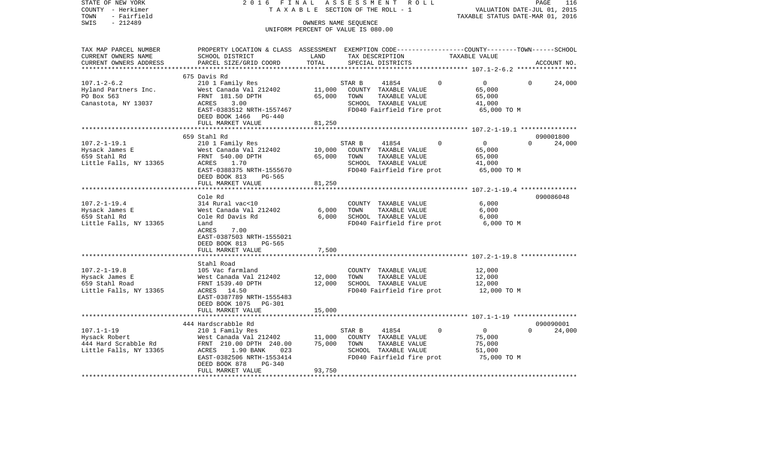| STATE OF NEW YORK<br>COUNTY - Herkimer<br>TOWN<br>- Fairfield                       | 2 0 1 6<br>FINAL<br>TAXABLE                                                                                                                                                                              | ROLL<br>PAGE<br>116<br>VALUATION DATE-JUL 01, 2015<br>TAXABLE STATUS DATE-MAR 01, 2016 |                |                                                                        |                                          |                                                                                                         |          |                     |
|-------------------------------------------------------------------------------------|----------------------------------------------------------------------------------------------------------------------------------------------------------------------------------------------------------|----------------------------------------------------------------------------------------|----------------|------------------------------------------------------------------------|------------------------------------------|---------------------------------------------------------------------------------------------------------|----------|---------------------|
| $-212489$<br>SWIS                                                                   |                                                                                                                                                                                                          | OWNERS NAME SEQUENCE<br>UNIFORM PERCENT OF VALUE IS 080.00                             |                |                                                                        |                                          |                                                                                                         |          |                     |
| TAX MAP PARCEL NUMBER<br>CURRENT OWNERS NAME<br>CURRENT OWNERS ADDRESS              | PROPERTY LOCATION & CLASS ASSESSMENT EXEMPTION CODE---------------COUNTY-------TOWN------SCHOOL<br>SCHOOL DISTRICT<br>PARCEL SIZE/GRID COORD                                                             | LAND<br>TOTAL                                                                          |                | TAX DESCRIPTION<br>SPECIAL DISTRICTS                                   |                                          | TAXABLE VALUE                                                                                           |          | ACCOUNT NO.         |
|                                                                                     |                                                                                                                                                                                                          |                                                                                        |                |                                                                        |                                          |                                                                                                         |          |                     |
| $107.1 - 2 - 6.2$<br>Hyland Partners Inc.<br>PO Box 563<br>Canastota, NY 13037      | 675 Davis Rd<br>210 1 Family Res<br>West Canada Val 212402<br>FRNT 181.50 DPTH<br>ACRES<br>3.00<br>EAST-0383512 NRTH-1557467<br>DEED BOOK 1466<br>PG-440                                                 | 11,000<br>65,000                                                                       | STAR B<br>TOWN | 41854<br>COUNTY TAXABLE VALUE<br>TAXABLE VALUE<br>SCHOOL TAXABLE VALUE | $\mathbf 0$<br>FD040 Fairfield fire prot | 0<br>65,000<br>65,000<br>41,000<br>65,000 TO M                                                          | 0        | 24,000              |
|                                                                                     | FULL MARKET VALUE                                                                                                                                                                                        | 81,250                                                                                 |                |                                                                        |                                          |                                                                                                         |          |                     |
| $107.2 - 1 - 19.1$<br>Hysack James E<br>659 Stahl Rd<br>Little Falls, NY 13365      | 659 Stahl Rd<br>210 1 Family Res<br>West Canada Val 212402<br>FRNT 540.00 DPTH<br>ACRES<br>1.70<br>EAST-0388375 NRTH-1555670<br>DEED BOOK 813<br>PG-565                                                  | 10,000<br>65,000                                                                       | STAR B<br>TOWN | 41854<br>COUNTY TAXABLE VALUE<br>TAXABLE VALUE<br>SCHOOL TAXABLE VALUE | $\mathbf 0$<br>FD040 Fairfield fire prot | $\mathbf 0$<br>65,000<br>65,000<br>41,000<br>65,000 TO M                                                | 0        | 090001800<br>24,000 |
|                                                                                     | FULL MARKET VALUE                                                                                                                                                                                        | 81,250                                                                                 |                |                                                                        |                                          |                                                                                                         |          |                     |
|                                                                                     | ****************                                                                                                                                                                                         |                                                                                        |                |                                                                        |                                          | **************** 107.2-1-19.4 ***************                                                           |          |                     |
| $107.2 - 1 - 19.4$<br>Hysack James E<br>659 Stahl Rd<br>Little Falls, NY 13365      | Cole Rd<br>314 Rural vac<10<br>West Canada Val 212402<br>Cole Rd Davis Rd<br>Land<br>7.00<br>ACRES<br>EAST-0387503 NRTH-1555021<br>DEED BOOK 813<br><b>PG-565</b>                                        | 6,000<br>6,000                                                                         | TOWN           | COUNTY TAXABLE VALUE<br>TAXABLE VALUE<br>SCHOOL TAXABLE VALUE          | FD040 Fairfield fire prot                | 6,000<br>6,000<br>6,000<br>6,000 TO M                                                                   |          | 090086048           |
|                                                                                     | FULL MARKET VALUE                                                                                                                                                                                        | 7,500                                                                                  |                |                                                                        |                                          |                                                                                                         |          |                     |
| $107.2 - 1 - 19.8$<br>Hysack James E<br>659 Stahl Road<br>Little Falls, NY 13365    | Stahl Road<br>105 Vac farmland<br>West Canada Val 212402<br>FRNT 1539.40 DPTH<br>ACRES<br>14.50<br>EAST-0387789 NRTH-1555483<br>DEED BOOK 1075<br><b>PG-301</b><br>FULL MARKET VALUE                     | 12,000<br>12,000<br>15,000                                                             | TOWN           | COUNTY TAXABLE VALUE<br>TAXABLE VALUE<br>SCHOOL TAXABLE VALUE          | FD040 Fairfield fire prot                | ***************************** 107.2-1-19.8 ***************<br>12,000<br>12,000<br>12,000<br>12,000 TO M |          |                     |
|                                                                                     |                                                                                                                                                                                                          |                                                                                        |                |                                                                        |                                          |                                                                                                         |          |                     |
| $107.1 - 1 - 19$<br>Hysack Robert<br>444 Hard Scrabble Rd<br>Little Falls, NY 13365 | 444 Hardscrabble Rd<br>210 1 Family Res<br>West Canada Val 212402<br>FRNT 210.00 DPTH 240.00<br>ACRES<br>1.90 BANK<br>023<br>EAST-0382506 NRTH-1553414<br>DEED BOOK 878<br>$PG-340$<br>FULL MARKET VALUE | 11,000<br>75,000<br>93,750                                                             | STAR B<br>TOWN | 41854<br>COUNTY TAXABLE VALUE<br>TAXABLE VALUE<br>SCHOOL TAXABLE VALUE | $\mathbf 0$<br>FD040 Fairfield fire prot | $\mathsf{O}$<br>75,000<br>75,000<br>51,000<br>75,000 TO M                                               | $\Omega$ | 090090001<br>24,000 |
|                                                                                     |                                                                                                                                                                                                          |                                                                                        |                |                                                                        |                                          |                                                                                                         |          |                     |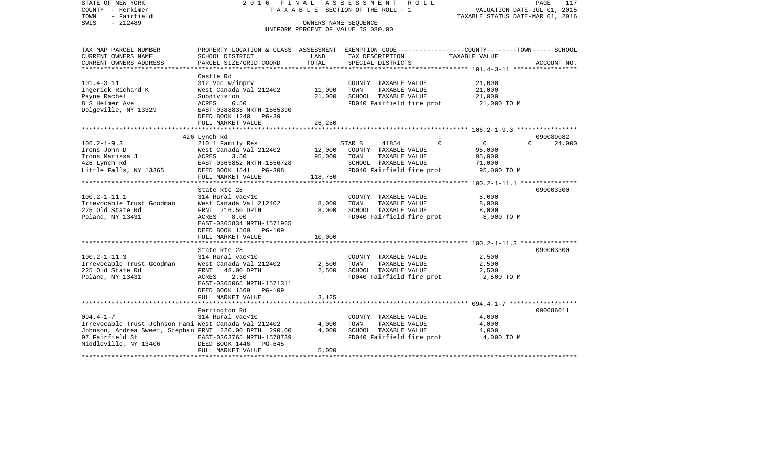| SWIS<br>$-212489$<br>OWNERS NAME SEQUENCE<br>UNIFORM PERCENT OF VALUE IS 080.00<br>PROPERTY LOCATION & CLASS ASSESSMENT EXEMPTION CODE----------------COUNTY-------TOWN-----SCHOOL<br>TAX MAP PARCEL NUMBER<br>CURRENT OWNERS NAME<br>SCHOOL DISTRICT<br>LAND<br>TAX DESCRIPTION<br>TAXABLE VALUE<br>CURRENT OWNERS ADDRESS<br>PARCEL SIZE/GRID COORD<br>TOTAL<br>SPECIAL DISTRICTS<br>ACCOUNT NO.<br>*****************<br>Castle Rd<br>$101.4 - 3 - 11$<br>312 Vac w/imprv<br>21,000<br>COUNTY TAXABLE VALUE<br>Ingerick Richard K<br>West Canada Val 212402<br>11,000<br>TAXABLE VALUE<br>21,000<br>TOWN<br>Payne Rachel<br>21,000<br>SCHOOL TAXABLE VALUE<br>Subdivision<br>21,000<br>8 S Helmer Ave<br>ACRES<br>6.50<br>FD040 Fairfield fire prot<br>21,000 TO M<br>Dolgeville, NY 13329<br>EAST-0388835 NRTH-1565390<br>DEED BOOK 1240 PG-39<br>26,250<br>FULL MARKET VALUE<br>090089082<br>426 Lynch Rd<br>$106.2 - 1 - 9.3$<br>$\overline{0}$<br>$\Omega$<br>210 1 Family Res<br>24,000<br>STAR B<br>41854<br>$\Omega$<br>West Canada Val 212402<br>12,000<br>95,000<br>Irons John D<br>COUNTY TAXABLE VALUE<br>3.50<br>95,000<br>Irons Marissa J<br>ACRES<br>TOWN<br>TAXABLE VALUE<br>95,000<br>426 Lynch Rd<br>EAST-0365852 NRTH-1556728<br>SCHOOL TAXABLE VALUE<br>71,000<br>DEED BOOK 1541 PG-308<br>FD040 Fairfield fire prot<br>95,000 TO M<br>Little Falls, NY 13365<br>118,750<br>FULL MARKET VALUE<br>State Rte 28<br>090003300<br>$100.2 - 1 - 11.1$<br>314 Rural vac<10<br>COUNTY TAXABLE VALUE<br>8,000<br>8,000<br>TAXABLE VALUE<br>Irrevocable Trust Goodman<br>West Canada Val 212402<br>TOWN<br>8,000<br>225 Old State Rd<br>FRNT 216.50 DPTH<br>8,000<br>SCHOOL TAXABLE VALUE<br>8,000<br>Poland, NY 13431<br>FD040 Fairfield fire prot<br>ACRES<br>8.00<br>8,000 TO M<br>EAST-0365834 NRTH-1571965<br>DEED BOOK 1569<br><b>PG-109</b><br>FULL MARKET VALUE<br>10,000<br>******************<br>090003300<br>State Rte 28<br>$100.2 - 1 - 11.3$<br>314 Rural vac<10<br>COUNTY TAXABLE VALUE<br>2,500<br>Irrevocable Trust Goodman<br>West Canada Val 212402<br>TAXABLE VALUE<br>2,500<br>TOWN<br>2,500<br>225 Old State Rd<br>FRNT<br>48.00 DPTH<br>2,500<br>SCHOOL TAXABLE VALUE<br>2,500<br>Poland, NY 13431<br>ACRES<br>2.50<br>FD040 Fairfield fire prot<br>2,500 TO M<br>EAST-0365065 NRTH-1571311<br>DEED BOOK 1569<br><b>PG-109</b><br>FULL MARKET VALUE<br>3,125<br>090086011<br>Farrington Rd<br>$094.4 - 1 - 7$<br>314 Rural vac<10<br>COUNTY TAXABLE VALUE<br>4,000<br>Irrevocable Trust Johnson Fami West Canada Val 212402<br>4,000<br>TAXABLE VALUE<br>TOWN<br>4,000<br>Johnson, Andrea Sweet, Stephan FRNT 220.00 DPTH 290.00<br>4,000<br>SCHOOL TAXABLE VALUE<br>4,000<br>97 Fairfield St<br>EAST-0363765 NRTH-1578739<br>FD040 Fairfield fire prot<br>4,000 TO M<br>Middleville, NY 13406<br>DEED BOOK 1446<br>$PG-645$<br>5,000<br>FULL MARKET VALUE | STATE OF NEW YORK<br>COUNTY - Herkimer<br>- Fairfield<br>TOWN | 2016 FINAL | A S S E S S M E N T<br>R O L L<br>T A X A B L E SECTION OF THE ROLL - 1 | PAGE<br>117<br>VALUATION DATE-JUL 01, 2015<br>TAXABLE STATUS DATE-MAR 01, 2016 |
|-----------------------------------------------------------------------------------------------------------------------------------------------------------------------------------------------------------------------------------------------------------------------------------------------------------------------------------------------------------------------------------------------------------------------------------------------------------------------------------------------------------------------------------------------------------------------------------------------------------------------------------------------------------------------------------------------------------------------------------------------------------------------------------------------------------------------------------------------------------------------------------------------------------------------------------------------------------------------------------------------------------------------------------------------------------------------------------------------------------------------------------------------------------------------------------------------------------------------------------------------------------------------------------------------------------------------------------------------------------------------------------------------------------------------------------------------------------------------------------------------------------------------------------------------------------------------------------------------------------------------------------------------------------------------------------------------------------------------------------------------------------------------------------------------------------------------------------------------------------------------------------------------------------------------------------------------------------------------------------------------------------------------------------------------------------------------------------------------------------------------------------------------------------------------------------------------------------------------------------------------------------------------------------------------------------------------------------------------------------------------------------------------------------------------------------------------------------------------------------------------------------------------------------------------------------------------------------------------------------------------------------------------------------------------------------------------------------------------------------------------------------------------------------------------------------------------------------------------------------------------------------------------|---------------------------------------------------------------|------------|-------------------------------------------------------------------------|--------------------------------------------------------------------------------|
|                                                                                                                                                                                                                                                                                                                                                                                                                                                                                                                                                                                                                                                                                                                                                                                                                                                                                                                                                                                                                                                                                                                                                                                                                                                                                                                                                                                                                                                                                                                                                                                                                                                                                                                                                                                                                                                                                                                                                                                                                                                                                                                                                                                                                                                                                                                                                                                                                                                                                                                                                                                                                                                                                                                                                                                                                                                                                               |                                                               |            |                                                                         |                                                                                |
|                                                                                                                                                                                                                                                                                                                                                                                                                                                                                                                                                                                                                                                                                                                                                                                                                                                                                                                                                                                                                                                                                                                                                                                                                                                                                                                                                                                                                                                                                                                                                                                                                                                                                                                                                                                                                                                                                                                                                                                                                                                                                                                                                                                                                                                                                                                                                                                                                                                                                                                                                                                                                                                                                                                                                                                                                                                                                               |                                                               |            |                                                                         |                                                                                |
|                                                                                                                                                                                                                                                                                                                                                                                                                                                                                                                                                                                                                                                                                                                                                                                                                                                                                                                                                                                                                                                                                                                                                                                                                                                                                                                                                                                                                                                                                                                                                                                                                                                                                                                                                                                                                                                                                                                                                                                                                                                                                                                                                                                                                                                                                                                                                                                                                                                                                                                                                                                                                                                                                                                                                                                                                                                                                               |                                                               |            |                                                                         |                                                                                |
|                                                                                                                                                                                                                                                                                                                                                                                                                                                                                                                                                                                                                                                                                                                                                                                                                                                                                                                                                                                                                                                                                                                                                                                                                                                                                                                                                                                                                                                                                                                                                                                                                                                                                                                                                                                                                                                                                                                                                                                                                                                                                                                                                                                                                                                                                                                                                                                                                                                                                                                                                                                                                                                                                                                                                                                                                                                                                               |                                                               |            |                                                                         |                                                                                |
|                                                                                                                                                                                                                                                                                                                                                                                                                                                                                                                                                                                                                                                                                                                                                                                                                                                                                                                                                                                                                                                                                                                                                                                                                                                                                                                                                                                                                                                                                                                                                                                                                                                                                                                                                                                                                                                                                                                                                                                                                                                                                                                                                                                                                                                                                                                                                                                                                                                                                                                                                                                                                                                                                                                                                                                                                                                                                               |                                                               |            |                                                                         |                                                                                |
|                                                                                                                                                                                                                                                                                                                                                                                                                                                                                                                                                                                                                                                                                                                                                                                                                                                                                                                                                                                                                                                                                                                                                                                                                                                                                                                                                                                                                                                                                                                                                                                                                                                                                                                                                                                                                                                                                                                                                                                                                                                                                                                                                                                                                                                                                                                                                                                                                                                                                                                                                                                                                                                                                                                                                                                                                                                                                               |                                                               |            |                                                                         |                                                                                |
|                                                                                                                                                                                                                                                                                                                                                                                                                                                                                                                                                                                                                                                                                                                                                                                                                                                                                                                                                                                                                                                                                                                                                                                                                                                                                                                                                                                                                                                                                                                                                                                                                                                                                                                                                                                                                                                                                                                                                                                                                                                                                                                                                                                                                                                                                                                                                                                                                                                                                                                                                                                                                                                                                                                                                                                                                                                                                               |                                                               |            |                                                                         |                                                                                |
|                                                                                                                                                                                                                                                                                                                                                                                                                                                                                                                                                                                                                                                                                                                                                                                                                                                                                                                                                                                                                                                                                                                                                                                                                                                                                                                                                                                                                                                                                                                                                                                                                                                                                                                                                                                                                                                                                                                                                                                                                                                                                                                                                                                                                                                                                                                                                                                                                                                                                                                                                                                                                                                                                                                                                                                                                                                                                               |                                                               |            |                                                                         |                                                                                |
|                                                                                                                                                                                                                                                                                                                                                                                                                                                                                                                                                                                                                                                                                                                                                                                                                                                                                                                                                                                                                                                                                                                                                                                                                                                                                                                                                                                                                                                                                                                                                                                                                                                                                                                                                                                                                                                                                                                                                                                                                                                                                                                                                                                                                                                                                                                                                                                                                                                                                                                                                                                                                                                                                                                                                                                                                                                                                               |                                                               |            |                                                                         |                                                                                |
|                                                                                                                                                                                                                                                                                                                                                                                                                                                                                                                                                                                                                                                                                                                                                                                                                                                                                                                                                                                                                                                                                                                                                                                                                                                                                                                                                                                                                                                                                                                                                                                                                                                                                                                                                                                                                                                                                                                                                                                                                                                                                                                                                                                                                                                                                                                                                                                                                                                                                                                                                                                                                                                                                                                                                                                                                                                                                               |                                                               |            |                                                                         |                                                                                |
|                                                                                                                                                                                                                                                                                                                                                                                                                                                                                                                                                                                                                                                                                                                                                                                                                                                                                                                                                                                                                                                                                                                                                                                                                                                                                                                                                                                                                                                                                                                                                                                                                                                                                                                                                                                                                                                                                                                                                                                                                                                                                                                                                                                                                                                                                                                                                                                                                                                                                                                                                                                                                                                                                                                                                                                                                                                                                               |                                                               |            |                                                                         |                                                                                |
|                                                                                                                                                                                                                                                                                                                                                                                                                                                                                                                                                                                                                                                                                                                                                                                                                                                                                                                                                                                                                                                                                                                                                                                                                                                                                                                                                                                                                                                                                                                                                                                                                                                                                                                                                                                                                                                                                                                                                                                                                                                                                                                                                                                                                                                                                                                                                                                                                                                                                                                                                                                                                                                                                                                                                                                                                                                                                               |                                                               |            |                                                                         |                                                                                |
|                                                                                                                                                                                                                                                                                                                                                                                                                                                                                                                                                                                                                                                                                                                                                                                                                                                                                                                                                                                                                                                                                                                                                                                                                                                                                                                                                                                                                                                                                                                                                                                                                                                                                                                                                                                                                                                                                                                                                                                                                                                                                                                                                                                                                                                                                                                                                                                                                                                                                                                                                                                                                                                                                                                                                                                                                                                                                               |                                                               |            |                                                                         |                                                                                |
|                                                                                                                                                                                                                                                                                                                                                                                                                                                                                                                                                                                                                                                                                                                                                                                                                                                                                                                                                                                                                                                                                                                                                                                                                                                                                                                                                                                                                                                                                                                                                                                                                                                                                                                                                                                                                                                                                                                                                                                                                                                                                                                                                                                                                                                                                                                                                                                                                                                                                                                                                                                                                                                                                                                                                                                                                                                                                               |                                                               |            |                                                                         |                                                                                |
|                                                                                                                                                                                                                                                                                                                                                                                                                                                                                                                                                                                                                                                                                                                                                                                                                                                                                                                                                                                                                                                                                                                                                                                                                                                                                                                                                                                                                                                                                                                                                                                                                                                                                                                                                                                                                                                                                                                                                                                                                                                                                                                                                                                                                                                                                                                                                                                                                                                                                                                                                                                                                                                                                                                                                                                                                                                                                               |                                                               |            |                                                                         |                                                                                |
|                                                                                                                                                                                                                                                                                                                                                                                                                                                                                                                                                                                                                                                                                                                                                                                                                                                                                                                                                                                                                                                                                                                                                                                                                                                                                                                                                                                                                                                                                                                                                                                                                                                                                                                                                                                                                                                                                                                                                                                                                                                                                                                                                                                                                                                                                                                                                                                                                                                                                                                                                                                                                                                                                                                                                                                                                                                                                               |                                                               |            |                                                                         |                                                                                |
|                                                                                                                                                                                                                                                                                                                                                                                                                                                                                                                                                                                                                                                                                                                                                                                                                                                                                                                                                                                                                                                                                                                                                                                                                                                                                                                                                                                                                                                                                                                                                                                                                                                                                                                                                                                                                                                                                                                                                                                                                                                                                                                                                                                                                                                                                                                                                                                                                                                                                                                                                                                                                                                                                                                                                                                                                                                                                               |                                                               |            |                                                                         |                                                                                |
|                                                                                                                                                                                                                                                                                                                                                                                                                                                                                                                                                                                                                                                                                                                                                                                                                                                                                                                                                                                                                                                                                                                                                                                                                                                                                                                                                                                                                                                                                                                                                                                                                                                                                                                                                                                                                                                                                                                                                                                                                                                                                                                                                                                                                                                                                                                                                                                                                                                                                                                                                                                                                                                                                                                                                                                                                                                                                               |                                                               |            |                                                                         |                                                                                |
|                                                                                                                                                                                                                                                                                                                                                                                                                                                                                                                                                                                                                                                                                                                                                                                                                                                                                                                                                                                                                                                                                                                                                                                                                                                                                                                                                                                                                                                                                                                                                                                                                                                                                                                                                                                                                                                                                                                                                                                                                                                                                                                                                                                                                                                                                                                                                                                                                                                                                                                                                                                                                                                                                                                                                                                                                                                                                               |                                                               |            |                                                                         |                                                                                |
|                                                                                                                                                                                                                                                                                                                                                                                                                                                                                                                                                                                                                                                                                                                                                                                                                                                                                                                                                                                                                                                                                                                                                                                                                                                                                                                                                                                                                                                                                                                                                                                                                                                                                                                                                                                                                                                                                                                                                                                                                                                                                                                                                                                                                                                                                                                                                                                                                                                                                                                                                                                                                                                                                                                                                                                                                                                                                               |                                                               |            |                                                                         |                                                                                |
|                                                                                                                                                                                                                                                                                                                                                                                                                                                                                                                                                                                                                                                                                                                                                                                                                                                                                                                                                                                                                                                                                                                                                                                                                                                                                                                                                                                                                                                                                                                                                                                                                                                                                                                                                                                                                                                                                                                                                                                                                                                                                                                                                                                                                                                                                                                                                                                                                                                                                                                                                                                                                                                                                                                                                                                                                                                                                               |                                                               |            |                                                                         |                                                                                |
|                                                                                                                                                                                                                                                                                                                                                                                                                                                                                                                                                                                                                                                                                                                                                                                                                                                                                                                                                                                                                                                                                                                                                                                                                                                                                                                                                                                                                                                                                                                                                                                                                                                                                                                                                                                                                                                                                                                                                                                                                                                                                                                                                                                                                                                                                                                                                                                                                                                                                                                                                                                                                                                                                                                                                                                                                                                                                               |                                                               |            |                                                                         |                                                                                |
|                                                                                                                                                                                                                                                                                                                                                                                                                                                                                                                                                                                                                                                                                                                                                                                                                                                                                                                                                                                                                                                                                                                                                                                                                                                                                                                                                                                                                                                                                                                                                                                                                                                                                                                                                                                                                                                                                                                                                                                                                                                                                                                                                                                                                                                                                                                                                                                                                                                                                                                                                                                                                                                                                                                                                                                                                                                                                               |                                                               |            |                                                                         |                                                                                |
|                                                                                                                                                                                                                                                                                                                                                                                                                                                                                                                                                                                                                                                                                                                                                                                                                                                                                                                                                                                                                                                                                                                                                                                                                                                                                                                                                                                                                                                                                                                                                                                                                                                                                                                                                                                                                                                                                                                                                                                                                                                                                                                                                                                                                                                                                                                                                                                                                                                                                                                                                                                                                                                                                                                                                                                                                                                                                               |                                                               |            |                                                                         |                                                                                |
|                                                                                                                                                                                                                                                                                                                                                                                                                                                                                                                                                                                                                                                                                                                                                                                                                                                                                                                                                                                                                                                                                                                                                                                                                                                                                                                                                                                                                                                                                                                                                                                                                                                                                                                                                                                                                                                                                                                                                                                                                                                                                                                                                                                                                                                                                                                                                                                                                                                                                                                                                                                                                                                                                                                                                                                                                                                                                               |                                                               |            |                                                                         |                                                                                |
|                                                                                                                                                                                                                                                                                                                                                                                                                                                                                                                                                                                                                                                                                                                                                                                                                                                                                                                                                                                                                                                                                                                                                                                                                                                                                                                                                                                                                                                                                                                                                                                                                                                                                                                                                                                                                                                                                                                                                                                                                                                                                                                                                                                                                                                                                                                                                                                                                                                                                                                                                                                                                                                                                                                                                                                                                                                                                               |                                                               |            |                                                                         |                                                                                |
|                                                                                                                                                                                                                                                                                                                                                                                                                                                                                                                                                                                                                                                                                                                                                                                                                                                                                                                                                                                                                                                                                                                                                                                                                                                                                                                                                                                                                                                                                                                                                                                                                                                                                                                                                                                                                                                                                                                                                                                                                                                                                                                                                                                                                                                                                                                                                                                                                                                                                                                                                                                                                                                                                                                                                                                                                                                                                               |                                                               |            |                                                                         |                                                                                |
|                                                                                                                                                                                                                                                                                                                                                                                                                                                                                                                                                                                                                                                                                                                                                                                                                                                                                                                                                                                                                                                                                                                                                                                                                                                                                                                                                                                                                                                                                                                                                                                                                                                                                                                                                                                                                                                                                                                                                                                                                                                                                                                                                                                                                                                                                                                                                                                                                                                                                                                                                                                                                                                                                                                                                                                                                                                                                               |                                                               |            |                                                                         |                                                                                |
|                                                                                                                                                                                                                                                                                                                                                                                                                                                                                                                                                                                                                                                                                                                                                                                                                                                                                                                                                                                                                                                                                                                                                                                                                                                                                                                                                                                                                                                                                                                                                                                                                                                                                                                                                                                                                                                                                                                                                                                                                                                                                                                                                                                                                                                                                                                                                                                                                                                                                                                                                                                                                                                                                                                                                                                                                                                                                               |                                                               |            |                                                                         |                                                                                |
|                                                                                                                                                                                                                                                                                                                                                                                                                                                                                                                                                                                                                                                                                                                                                                                                                                                                                                                                                                                                                                                                                                                                                                                                                                                                                                                                                                                                                                                                                                                                                                                                                                                                                                                                                                                                                                                                                                                                                                                                                                                                                                                                                                                                                                                                                                                                                                                                                                                                                                                                                                                                                                                                                                                                                                                                                                                                                               |                                                               |            |                                                                         |                                                                                |
|                                                                                                                                                                                                                                                                                                                                                                                                                                                                                                                                                                                                                                                                                                                                                                                                                                                                                                                                                                                                                                                                                                                                                                                                                                                                                                                                                                                                                                                                                                                                                                                                                                                                                                                                                                                                                                                                                                                                                                                                                                                                                                                                                                                                                                                                                                                                                                                                                                                                                                                                                                                                                                                                                                                                                                                                                                                                                               |                                                               |            |                                                                         |                                                                                |
|                                                                                                                                                                                                                                                                                                                                                                                                                                                                                                                                                                                                                                                                                                                                                                                                                                                                                                                                                                                                                                                                                                                                                                                                                                                                                                                                                                                                                                                                                                                                                                                                                                                                                                                                                                                                                                                                                                                                                                                                                                                                                                                                                                                                                                                                                                                                                                                                                                                                                                                                                                                                                                                                                                                                                                                                                                                                                               |                                                               |            |                                                                         |                                                                                |
|                                                                                                                                                                                                                                                                                                                                                                                                                                                                                                                                                                                                                                                                                                                                                                                                                                                                                                                                                                                                                                                                                                                                                                                                                                                                                                                                                                                                                                                                                                                                                                                                                                                                                                                                                                                                                                                                                                                                                                                                                                                                                                                                                                                                                                                                                                                                                                                                                                                                                                                                                                                                                                                                                                                                                                                                                                                                                               |                                                               |            |                                                                         |                                                                                |
|                                                                                                                                                                                                                                                                                                                                                                                                                                                                                                                                                                                                                                                                                                                                                                                                                                                                                                                                                                                                                                                                                                                                                                                                                                                                                                                                                                                                                                                                                                                                                                                                                                                                                                                                                                                                                                                                                                                                                                                                                                                                                                                                                                                                                                                                                                                                                                                                                                                                                                                                                                                                                                                                                                                                                                                                                                                                                               |                                                               |            |                                                                         |                                                                                |
|                                                                                                                                                                                                                                                                                                                                                                                                                                                                                                                                                                                                                                                                                                                                                                                                                                                                                                                                                                                                                                                                                                                                                                                                                                                                                                                                                                                                                                                                                                                                                                                                                                                                                                                                                                                                                                                                                                                                                                                                                                                                                                                                                                                                                                                                                                                                                                                                                                                                                                                                                                                                                                                                                                                                                                                                                                                                                               |                                                               |            |                                                                         |                                                                                |
|                                                                                                                                                                                                                                                                                                                                                                                                                                                                                                                                                                                                                                                                                                                                                                                                                                                                                                                                                                                                                                                                                                                                                                                                                                                                                                                                                                                                                                                                                                                                                                                                                                                                                                                                                                                                                                                                                                                                                                                                                                                                                                                                                                                                                                                                                                                                                                                                                                                                                                                                                                                                                                                                                                                                                                                                                                                                                               |                                                               |            |                                                                         |                                                                                |
|                                                                                                                                                                                                                                                                                                                                                                                                                                                                                                                                                                                                                                                                                                                                                                                                                                                                                                                                                                                                                                                                                                                                                                                                                                                                                                                                                                                                                                                                                                                                                                                                                                                                                                                                                                                                                                                                                                                                                                                                                                                                                                                                                                                                                                                                                                                                                                                                                                                                                                                                                                                                                                                                                                                                                                                                                                                                                               |                                                               |            |                                                                         |                                                                                |
|                                                                                                                                                                                                                                                                                                                                                                                                                                                                                                                                                                                                                                                                                                                                                                                                                                                                                                                                                                                                                                                                                                                                                                                                                                                                                                                                                                                                                                                                                                                                                                                                                                                                                                                                                                                                                                                                                                                                                                                                                                                                                                                                                                                                                                                                                                                                                                                                                                                                                                                                                                                                                                                                                                                                                                                                                                                                                               |                                                               |            |                                                                         |                                                                                |
|                                                                                                                                                                                                                                                                                                                                                                                                                                                                                                                                                                                                                                                                                                                                                                                                                                                                                                                                                                                                                                                                                                                                                                                                                                                                                                                                                                                                                                                                                                                                                                                                                                                                                                                                                                                                                                                                                                                                                                                                                                                                                                                                                                                                                                                                                                                                                                                                                                                                                                                                                                                                                                                                                                                                                                                                                                                                                               |                                                               |            |                                                                         |                                                                                |
|                                                                                                                                                                                                                                                                                                                                                                                                                                                                                                                                                                                                                                                                                                                                                                                                                                                                                                                                                                                                                                                                                                                                                                                                                                                                                                                                                                                                                                                                                                                                                                                                                                                                                                                                                                                                                                                                                                                                                                                                                                                                                                                                                                                                                                                                                                                                                                                                                                                                                                                                                                                                                                                                                                                                                                                                                                                                                               |                                                               |            |                                                                         |                                                                                |
|                                                                                                                                                                                                                                                                                                                                                                                                                                                                                                                                                                                                                                                                                                                                                                                                                                                                                                                                                                                                                                                                                                                                                                                                                                                                                                                                                                                                                                                                                                                                                                                                                                                                                                                                                                                                                                                                                                                                                                                                                                                                                                                                                                                                                                                                                                                                                                                                                                                                                                                                                                                                                                                                                                                                                                                                                                                                                               |                                                               |            |                                                                         |                                                                                |
|                                                                                                                                                                                                                                                                                                                                                                                                                                                                                                                                                                                                                                                                                                                                                                                                                                                                                                                                                                                                                                                                                                                                                                                                                                                                                                                                                                                                                                                                                                                                                                                                                                                                                                                                                                                                                                                                                                                                                                                                                                                                                                                                                                                                                                                                                                                                                                                                                                                                                                                                                                                                                                                                                                                                                                                                                                                                                               |                                                               |            |                                                                         |                                                                                |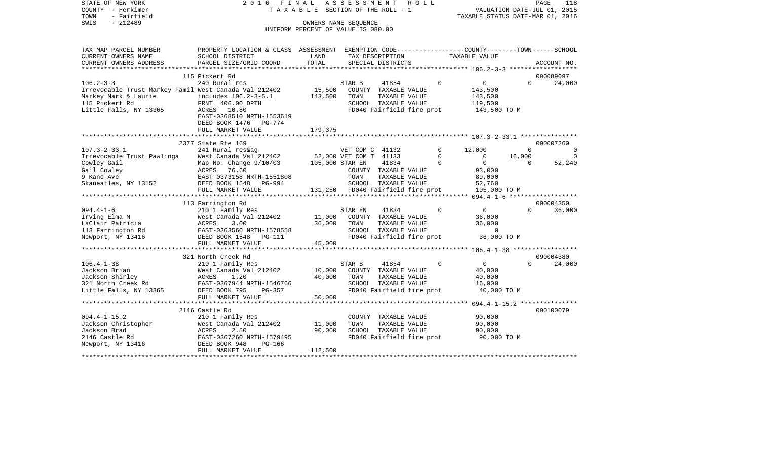STATE OF NEW YORK 2016 FINAL ASSESSMENT ROLL COUNTY - Herkimer T A X A B L E SECTION OF THE ROLL - 1 TOWN - Fairfield TAXABLE STATUS DATE-MAR 01, 2016 SWIS - Fairfield<br>
SWIS - 212489 OWNERS NAME SEQUENCE

UNIFORM PERCENT OF VALUE IS 080.00

| TAX MAP PARCEL NUMBER                                 | PROPERTY LOCATION & CLASS |                           |                                   |                      |                           | ASSESSMENT EXEMPTION CODE-----------------COUNTY-------TOWN------SCHOOL |          |                |
|-------------------------------------------------------|---------------------------|---------------------------|-----------------------------------|----------------------|---------------------------|-------------------------------------------------------------------------|----------|----------------|
| CURRENT OWNERS NAME                                   | SCHOOL DISTRICT           | LAND                      |                                   | TAX DESCRIPTION      |                           | TAXABLE VALUE                                                           |          |                |
| CURRENT OWNERS ADDRESS                                | PARCEL SIZE/GRID COORD    | TOTAL                     |                                   | SPECIAL DISTRICTS    |                           |                                                                         |          | ACCOUNT NO.    |
|                                                       |                           |                           |                                   |                      |                           |                                                                         |          |                |
|                                                       | 115 Pickert Rd            |                           |                                   |                      |                           |                                                                         |          | 090089097      |
| $106.2 - 3 - 3$                                       | 240 Rural res             |                           | STAR B                            | 41854                | $\Omega$                  | $\overline{0}$                                                          | $\Omega$ | 24,000         |
| Irrevocable Trust Markey Famil West Canada Val 212402 |                           | 15,500                    |                                   | COUNTY TAXABLE VALUE |                           | 143,500                                                                 |          |                |
| Markey Mark & Laurie                                  | includes 106.2-3-5.1      | 143,500                   | TOWN                              | TAXABLE VALUE        |                           | 143,500                                                                 |          |                |
| 115 Pickert Rd                                        | FRNT 406.00 DPTH          |                           |                                   | SCHOOL TAXABLE VALUE |                           | 119,500                                                                 |          |                |
| Little Falls, NY 13365                                | ACRES 10.80               |                           |                                   |                      | FD040 Fairfield fire prot | 143,500 TO M                                                            |          |                |
|                                                       | EAST-0368510 NRTH-1553619 |                           |                                   |                      |                           |                                                                         |          |                |
|                                                       |                           |                           |                                   |                      |                           |                                                                         |          |                |
|                                                       | DEED BOOK 1476 PG-774     |                           |                                   |                      |                           |                                                                         |          |                |
|                                                       | FULL MARKET VALUE         | 179,375                   |                                   |                      |                           |                                                                         |          |                |
|                                                       |                           |                           |                                   |                      |                           |                                                                         |          |                |
|                                                       | 2377 State Rte 169        |                           |                                   |                      |                           |                                                                         |          | 090007260      |
| $107.3 - 2 - 33.1$                                    | 241 Rural res&ag          |                           | VET COM C 41132                   |                      | $\mathbf 0$               | 12,000                                                                  | $\Omega$ | $\overline{0}$ |
| Irrevocable Trust Pawlinga                            | West Canada Val 212402    |                           | 52,000 VET COM T 41133            |                      | $\mathbf 0$               | $\mathbf 0$                                                             | 16,000   | $\Omega$       |
| Cowley Gail                                           | Map No. Change 9/10/03    | 105,000 STAR EN           |                                   | 41834                | $\Omega$                  | $\Omega$                                                                | $\Omega$ | 52,240         |
| Gail Cowley                                           | 76.60<br>ACRES            |                           |                                   | COUNTY TAXABLE VALUE |                           | 93,000                                                                  |          |                |
| 9 Kane Ave                                            | EAST-0373158 NRTH-1551808 |                           | TOWN                              | TAXABLE VALUE        |                           | 89,000                                                                  |          |                |
| Skaneatles, NY 13152                                  | DEED BOOK 1548<br>PG-994  |                           |                                   | SCHOOL TAXABLE VALUE |                           | 52,760                                                                  |          |                |
|                                                       | FULL MARKET VALUE         |                           | 131,250 FD040 Fairfield fire prot |                      |                           | 105,000 TO M                                                            |          |                |
|                                                       |                           |                           |                                   |                      |                           |                                                                         |          |                |
|                                                       | 113 Farrington Rd         |                           |                                   |                      |                           |                                                                         |          | 090004350      |
| $094.4 - 1 - 6$                                       | 210 1 Family Res          |                           | STAR EN                           | 41834                | $\Omega$                  | $\Omega$                                                                | $\Omega$ | 36,000         |
| Irving Elma M                                         | West Canada Val 212402    | 11,000                    |                                   | COUNTY TAXABLE VALUE |                           | 36,000                                                                  |          |                |
| LaClair Patricia                                      | 3.00<br>ACRES             | 36,000                    | TOWN                              | TAXABLE VALUE        |                           | 36,000                                                                  |          |                |
| 113 Farrington Rd                                     | EAST-0363560 NRTH-1578558 |                           |                                   | SCHOOL TAXABLE VALUE |                           | $\Omega$                                                                |          |                |
| Newport, NY 13416                                     | DEED BOOK 1548 PG-111     |                           |                                   |                      | FD040 Fairfield fire prot | 36,000 TO M                                                             |          |                |
|                                                       | FULL MARKET VALUE         | 45,000                    |                                   |                      |                           |                                                                         |          |                |
|                                                       |                           |                           |                                   |                      |                           |                                                                         |          |                |
|                                                       | 321 North Creek Rd        |                           |                                   |                      |                           |                                                                         |          | 090004380      |
| $106.4 - 1 - 38$                                      | 210 1 Family Res          |                           | STAR B                            | 41854                | $\Omega$                  | $\Omega$                                                                | $\Omega$ | 24,000         |
| Jackson Brian                                         | West Canada Val 212402    | 10,000                    |                                   | COUNTY TAXABLE VALUE |                           | 40,000                                                                  |          |                |
|                                                       |                           |                           |                                   |                      |                           |                                                                         |          |                |
| Jackson Shirley                                       | ACRES<br>1.20             | 40,000                    | TOWN                              | TAXABLE VALUE        |                           | 40,000                                                                  |          |                |
| 321 North Creek Rd                                    | EAST-0367944 NRTH-1546766 |                           |                                   | SCHOOL TAXABLE VALUE |                           | 16,000                                                                  |          |                |
| Little Falls, NY 13365                                | DEED BOOK 795<br>PG-357   |                           |                                   |                      | FD040 Fairfield fire prot | 40,000 TO M                                                             |          |                |
|                                                       | FULL MARKET VALUE         | 50,000                    |                                   |                      |                           |                                                                         |          |                |
|                                                       |                           |                           |                                   |                      |                           |                                                                         |          |                |
|                                                       | 2146 Castle Rd            |                           |                                   |                      |                           |                                                                         |          | 090100079      |
| $094.4 - 1 - 15.2$                                    | 210 1 Family Res          |                           |                                   | COUNTY TAXABLE VALUE |                           | 90,000                                                                  |          |                |
| Jackson Christopher                                   | West Canada Val 212402    | 11,000                    | TOWN                              | TAXABLE VALUE        |                           | 90,000                                                                  |          |                |
| Jackson Brad                                          | 2.50<br>ACRES             | 90,000                    |                                   | SCHOOL TAXABLE VALUE |                           | 90,000                                                                  |          |                |
| 2146 Castle Rd                                        | EAST-0367260 NRTH-1579495 |                           |                                   |                      | FD040 Fairfield fire prot | 90,000 TO M                                                             |          |                |
| Newport, NY 13416                                     | DEED BOOK 948<br>PG-166   |                           |                                   |                      |                           |                                                                         |          |                |
|                                                       | FULL MARKET VALUE         | 112,500                   |                                   |                      |                           |                                                                         |          |                |
|                                                       |                           | ************************* |                                   |                      |                           |                                                                         |          |                |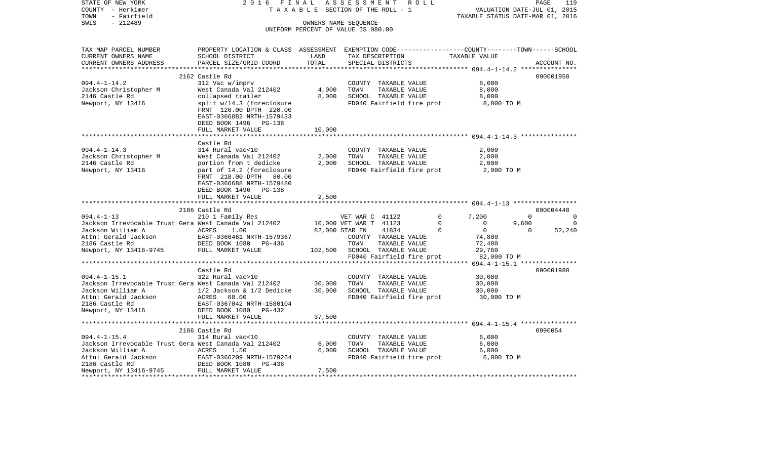| STATE OF NEW YORK                                                                                                     | 2 0 1 6<br>FINAL                                                                                 |                                                            | ASSESSMENT ROLL              |                                       |                           |                                      |                | PAGE<br>119    |
|-----------------------------------------------------------------------------------------------------------------------|--------------------------------------------------------------------------------------------------|------------------------------------------------------------|------------------------------|---------------------------------------|---------------------------|--------------------------------------|----------------|----------------|
| COUNTY - Herkimer                                                                                                     | TAXABLE                                                                                          |                                                            | SECTION OF THE ROLL - 1      |                                       |                           | VALUATION DATE-JUL 01, 2015          |                |                |
| - Fairfield<br>TOWN<br>$-212489$                                                                                      |                                                                                                  |                                                            |                              |                                       |                           | TAXABLE STATUS DATE-MAR 01, 2016     |                |                |
| SWIS                                                                                                                  |                                                                                                  | OWNERS NAME SEQUENCE<br>UNIFORM PERCENT OF VALUE IS 080.00 |                              |                                       |                           |                                      |                |                |
|                                                                                                                       |                                                                                                  |                                                            |                              |                                       |                           |                                      |                |                |
| TAX MAP PARCEL NUMBER                                                                                                 | PROPERTY LOCATION & CLASS ASSESSMENT EXEMPTION CODE----------------COUNTY-------TOWN------SCHOOL |                                                            |                              |                                       |                           |                                      |                |                |
| CURRENT OWNERS NAME                                                                                                   | SCHOOL DISTRICT                                                                                  | LAND                                                       |                              |                                       |                           | TAX DESCRIPTION TAXABLE VALUE        |                |                |
| CURRENT OWNERS ADDRESS                                                                                                | PARCEL SIZE/GRID COORD                                                                           | TOTAL                                                      |                              | SPECIAL DISTRICTS                     |                           |                                      |                | ACCOUNT NO.    |
|                                                                                                                       |                                                                                                  |                                                            |                              |                                       |                           |                                      |                |                |
|                                                                                                                       | 2162 Castle Rd                                                                                   |                                                            |                              |                                       |                           |                                      |                | 090001950      |
| $094.4 - 1 - 14.2$                                                                                                    | 312 Vac w/imprv                                                                                  |                                                            |                              | COUNTY TAXABLE VALUE                  |                           | 8,000                                |                |                |
| Jackson Christopher M                                                                                                 | West Canada Val 212402                                                                           | 4,000                                                      | TOWN                         | TAXABLE VALUE                         |                           | 8,000                                |                |                |
| 2146 Castle Rd                                                                                                        | collapsed trailer                                                                                | 8,000                                                      |                              | SCHOOL TAXABLE VALUE                  |                           | 8,000                                |                |                |
| Newport, NY 13416                                                                                                     | split w/14.3 (foreclosure                                                                        |                                                            |                              |                                       |                           | FD040 Fairfield fire prot 8,000 TO M |                |                |
|                                                                                                                       | FRNT 126.00 DPTH 220.00                                                                          |                                                            |                              |                                       |                           |                                      |                |                |
|                                                                                                                       | EAST-0366882 NRTH-1579433                                                                        |                                                            |                              |                                       |                           |                                      |                |                |
|                                                                                                                       | DEED BOOK 1496 PG-138<br>FULL MARKET VALUE                                                       | 10,000                                                     |                              |                                       |                           |                                      |                |                |
|                                                                                                                       |                                                                                                  |                                                            |                              |                                       |                           |                                      |                |                |
|                                                                                                                       | Castle Rd                                                                                        |                                                            |                              |                                       |                           |                                      |                |                |
| $094.4 - 1 - 14.3$                                                                                                    | 314 Rural vac<10                                                                                 |                                                            |                              | COUNTY TAXABLE VALUE                  |                           | 2,000                                |                |                |
| Jackson Christopher M                                                                                                 | West Canada Val 212402                                                                           | 2,000                                                      | TOWN                         |                                       | TAXABLE VALUE             | 2,000                                |                |                |
| 2146 Castle Rd                                                                                                        | portion from t dedicke                                                                           | 2,000                                                      |                              |                                       | SCHOOL TAXABLE VALUE      | 2,000                                |                |                |
| Newport, NY 13416                                                                                                     | part of 14.2 (foreclosure                                                                        |                                                            |                              |                                       | FD040 Fairfield fire prot | 2,000 TO M                           |                |                |
|                                                                                                                       | FRNT 218.00 DPTH 80.00                                                                           |                                                            |                              |                                       |                           |                                      |                |                |
|                                                                                                                       | EAST-0366688 NRTH-1579480                                                                        |                                                            |                              |                                       |                           |                                      |                |                |
|                                                                                                                       | DEED BOOK 1496 PG-138                                                                            |                                                            |                              |                                       |                           |                                      |                |                |
|                                                                                                                       | FULL MARKET VALUE                                                                                | 2,500                                                      |                              |                                       |                           |                                      |                |                |
|                                                                                                                       |                                                                                                  |                                                            |                              |                                       |                           |                                      |                |                |
|                                                                                                                       | 2186 Castle Rd                                                                                   |                                                            |                              |                                       |                           |                                      |                | 090004440      |
| $094.4 - 1 - 13$                                                                                                      | 210 1 Family Res                                                                                 |                                                            | VET WAR C 41122              |                                       | $\circ$                   | 7,200                                | $\Omega$       | $\overline{0}$ |
| Jackson Irrevocable Trust Gera West Canada Val 212402                                                                 |                                                                                                  | 10,000 VET WAR T 41123                                     |                              |                                       | $\overline{0}$            | $\overline{0}$                       | 9,600          | 0              |
| Jackson William A ACRES                                                                                               | 1.00                                                                                             |                                                            | 82,000 STAR EN               | 41834                                 | $\Omega$                  | $\overline{0}$                       | $\overline{0}$ | 52,240         |
| Attn: Gerald Jackson               EAST-0366461 NRTH-157936<br>2186 Castle Rd                 DEED BOOK 1080   PG-436 | EAST-0366461 NRTH-1579367                                                                        |                                                            |                              | COUNTY TAXABLE VALUE                  |                           | 74,800                               |                |                |
| Newport, NY 13416-9745 FULL MARKET VALUE                                                                              |                                                                                                  |                                                            | TOWN                         | TAXABLE VALUE                         |                           | 72,400                               |                |                |
|                                                                                                                       |                                                                                                  |                                                            | 102,500 SCHOOL TAXABLE VALUE |                                       |                           | 29,760                               |                |                |
|                                                                                                                       |                                                                                                  |                                                            |                              |                                       | FD040 Fairfield fire prot | 82,000 TO M                          |                |                |
|                                                                                                                       |                                                                                                  |                                                            |                              |                                       |                           |                                      |                |                |
|                                                                                                                       | Castle Rd                                                                                        |                                                            |                              |                                       |                           |                                      |                | 090001980      |
|                                                                                                                       |                                                                                                  | 30,000                                                     | TOWN                         | COUNTY TAXABLE VALUE<br>TAXABLE VALUE |                           | 30,000<br>30,000                     |                |                |
| Jackson Irrevocable Trust Gera West Canada Val 212402<br>Jackson Irrevocable Trust Gera West Canada Val 212402        |                                                                                                  | 30,000                                                     |                              | SCHOOL TAXABLE VALUE                  |                           | 30,000                               |                |                |
|                                                                                                                       | ACRES 60.00                                                                                      |                                                            |                              |                                       | FD040 Fairfield fire prot | 30,000 TO M                          |                |                |
| Attn: Gerald Jackson<br>2186 Castle Rd                                                                                | EAST-0367042 NRTH-1580104                                                                        |                                                            |                              |                                       |                           |                                      |                |                |
| Newport, NY 13416                                                                                                     | DEED BOOK 1080 PG-432                                                                            |                                                            |                              |                                       |                           |                                      |                |                |
|                                                                                                                       | FULL MARKET VALUE                                                                                | 37,500                                                     |                              |                                       |                           |                                      |                |                |
|                                                                                                                       |                                                                                                  |                                                            |                              |                                       |                           |                                      |                |                |
|                                                                                                                       | 2186 Castle Rd                                                                                   |                                                            |                              |                                       |                           |                                      |                | 0990054        |
| $094.4 - 1 - 15.4$                                                                                                    | 314 Rural vac<10                                                                                 |                                                            |                              | COUNTY TAXABLE VALUE                  |                           | 6,000                                |                |                |
| Jackson Irrevocable Trust Gera West Canada Val 212402                                                                 |                                                                                                  | 6,000                                                      | TOWN                         |                                       | TAXABLE VALUE             | 6,000                                |                |                |
| Jackson William A                                                                                                     |                                                                                                  | 6,000                                                      |                              | SCHOOL TAXABLE VALUE                  |                           | 6,000                                |                |                |
| Attn: Gerald Jackson                                                                                                  |                                                                                                  |                                                            |                              |                                       | FD040 Fairfield fire prot | 6,000 TO M                           |                |                |
| 2186 Castle Rd                                                                                                        | ACRES 1.50<br>DEAST-0366209 NRTH-1579264<br>DEED BOOK 1080 PG-436<br>PULL MARKET VALUE           |                                                            |                              |                                       |                           |                                      |                |                |
| Newport, NY 13416-9745                                                                                                |                                                                                                  | 7,500                                                      |                              |                                       |                           |                                      |                |                |
|                                                                                                                       |                                                                                                  |                                                            |                              |                                       |                           |                                      |                |                |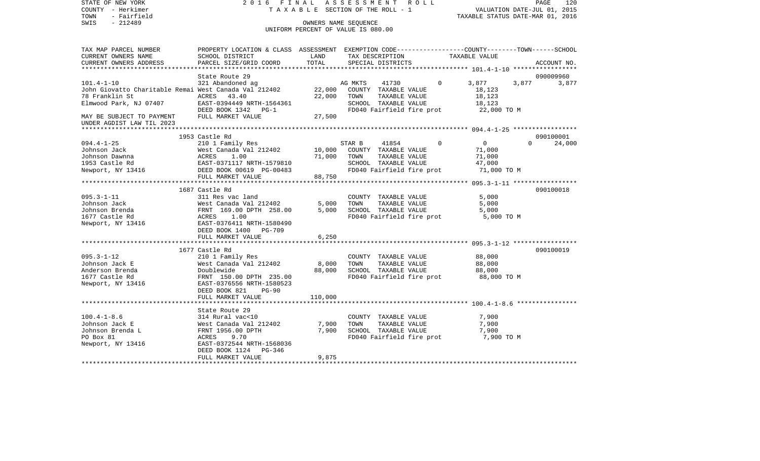COUNTY - Herkimer **T A X A B L E SECTION OF THE ROLL - 1** VALUATION DATE-JUL 01, 2015 TOWN - Fairfield TAXABLE STATUS DATE-MAR 01, 2016 SWIS - 212489 CONNERS NAME SEQUENCE UNIFORM PERCENT OF VALUE IS 080.00TAX MAP PARCEL NUMBER PROPERTY LOCATION & CLASS ASSESSMENT EXEMPTION CODE------------------COUNTY--------TOWN------SCHOOL CURRENT OWNERS NAME SCHOOL DISTRICT LAND TAX DESCRIPTION TAXABLE VALUECURRENT OWNERS ADDRESS PARCEL SIZE/GRID COORD TOTAL SPECIAL DISTRICTS ACCOUNT NO. \*\*\*\*\*\*\*\*\*\*\*\*\*\*\*\*\*\*\*\*\*\*\*\*\*\*\*\*\*\*\*\*\*\*\*\*\*\*\*\*\*\*\*\*\*\*\*\*\*\*\*\*\*\*\*\*\*\*\*\*\*\*\*\*\*\*\*\*\*\*\*\*\*\*\*\*\*\*\*\*\*\*\*\*\*\*\*\*\*\*\*\*\*\*\*\*\*\*\*\*\*\*\* 101.4-1-10 \*\*\*\*\*\*\*\*\*\*\*\*\*\*\*\*\*State Route 29 090009960 101.4-1-10 321 Abandoned ag AG MKTS 41730 0 3,877 3,877 3,877 John Giovatto Charitable Remai West Canada Val 212402 22,000 COUNTY TAXABLE VALUE 18,123 78 Franklin St ACRES 43.40 22,000 TOWN TAXABLE VALUE 18,123 Elmwood Park, NJ 07407 EAST-0394449 NRTH-1564361 SCHOOL TAXABLE VALUE 18,123 DEED BOOK 1342 PG-1 FD040 Fairfield fire prot 22,000 TO M MAY BE SUBJECT TO PAYMENT FULL MARKET VALUE  $27.500$ UNDER AGDIST LAW TIL 2023 \*\*\*\*\*\*\*\*\*\*\*\*\*\*\*\*\*\*\*\*\*\*\*\*\*\*\*\*\*\*\*\*\*\*\*\*\*\*\*\*\*\*\*\*\*\*\*\*\*\*\*\*\*\*\*\*\*\*\*\*\*\*\*\*\*\*\*\*\*\*\*\*\*\*\*\*\*\*\*\*\*\*\*\*\*\*\*\*\*\*\*\*\*\*\*\*\*\*\*\*\*\*\* 094.4-1-25 \*\*\*\*\*\*\*\*\*\*\*\*\*\*\*\*\* 1953 Castle Rd 090100001094.4-1-25 210 1 Family Res STAR B 41854 0 0 0 24,000 Johnson Jack West Canada Val 212402 10,000 COUNTY TAXABLE VALUE 71,000 Johnson Dawnna ACRES 1.00 71,000 TOWN TAXABLE VALUE 71,000 1953 Castle Rd EAST-0371117 NRTH-1579810 SCHOOL TAXABLE VALUE 47,000 Newport, NY 13416 **DEED BOOK 00619 PG-00483** FD040 Fairfield fire prot 71,000 TO M FULL MARKET VALUE 88,750 \*\*\*\*\*\*\*\*\*\*\*\*\*\*\*\*\*\*\*\*\*\*\*\*\*\*\*\*\*\*\*\*\*\*\*\*\*\*\*\*\*\*\*\*\*\*\*\*\*\*\*\*\*\*\*\*\*\*\*\*\*\*\*\*\*\*\*\*\*\*\*\*\*\*\*\*\*\*\*\*\*\*\*\*\*\*\*\*\*\*\*\*\*\*\*\*\*\*\*\*\*\*\* 095.3-1-11 \*\*\*\*\*\*\*\*\*\*\*\*\*\*\*\*\* 1687 Castle Rd 090100018095.3-1-11 311 Res vac land COUNTY TAXABLE VALUE 5,000 Johnson Jack West Canada Val 212402 5,000 TOWN TAXABLE VALUE 5,000 Johnson Brenda FRNT 169.00 DPTH 258.00 5,000 SCHOOL TAXABLE VALUE 5,000 1677 Castle Rd  $ACRES$  1.00 FOOM FD040 Fairfield fire prot 5,000 TO M Newport, NY 13416 EAST-0376411 NRTH-1580490 DEED BOOK 1400 PG-709FULL MARKET VALUE 6,250 \*\*\*\*\*\*\*\*\*\*\*\*\*\*\*\*\*\*\*\*\*\*\*\*\*\*\*\*\*\*\*\*\*\*\*\*\*\*\*\*\*\*\*\*\*\*\*\*\*\*\*\*\*\*\*\*\*\*\*\*\*\*\*\*\*\*\*\*\*\*\*\*\*\*\*\*\*\*\*\*\*\*\*\*\*\*\*\*\*\*\*\*\*\*\*\*\*\*\*\*\*\*\* 095.3-1-12 \*\*\*\*\*\*\*\*\*\*\*\*\*\*\*\*\* 1677 Castle Rd 090100019095.3-1-12 210 1 Family Res COUNTY TAXABLE VALUE 88,000 Johnson Jack E West Canada Val 212402 8,000 TOWN TAXABLE VALUE 88,000 Anderson Brenda Doublewide 88,000 SCHOOL TAXABLE VALUE 88,000 1677 Castle Rd FRNT 150.00 DPTH 235.00 FD040 Fairfield fire prot 88,000 TO M Newport, NY 13416 EAST-0376556 NRTH-1580523 DEED BOOK 821 PG-90FULL MARKET VALUE 110,000 \*\*\*\*\*\*\*\*\*\*\*\*\*\*\*\*\*\*\*\*\*\*\*\*\*\*\*\*\*\*\*\*\*\*\*\*\*\*\*\*\*\*\*\*\*\*\*\*\*\*\*\*\*\*\*\*\*\*\*\*\*\*\*\*\*\*\*\*\*\*\*\*\*\*\*\*\*\*\*\*\*\*\*\*\*\*\*\*\*\*\*\*\*\*\*\*\*\*\*\*\*\*\* 100.4-1-8.6 \*\*\*\*\*\*\*\*\*\*\*\*\*\*\*\* State Route 29314 Rural vac<10 100.4-1-8.6 314 Rural vac<10 COUNTY TAXABLE VALUE 7,900 Johnson Jack E West Canada Val 212402 7,900 TOWN TAXABLE VALUE 7,900 Johnson Brenda L FRNT 1956.00 DPTH 7,900 SCHOOL TAXABLE VALUE 7,900 PO Box 81 **ACRES** 9.70 **FD040** Fairfield fire prot 7,900 TO M Newport, NY 13416 EAST-0372544 NRTH-1568036 DEED BOOK 1124 PG-346FULL MARKET VALUE 9,875 \*\*\*\*\*\*\*\*\*\*\*\*\*\*\*\*\*\*\*\*\*\*\*\*\*\*\*\*\*\*\*\*\*\*\*\*\*\*\*\*\*\*\*\*\*\*\*\*\*\*\*\*\*\*\*\*\*\*\*\*\*\*\*\*\*\*\*\*\*\*\*\*\*\*\*\*\*\*\*\*\*\*\*\*\*\*\*\*\*\*\*\*\*\*\*\*\*\*\*\*\*\*\*\*\*\*\*\*\*\*\*\*\*\*\*\*\*\*\*\*\*\*\*\*\*\*\*\*\*\*\*\*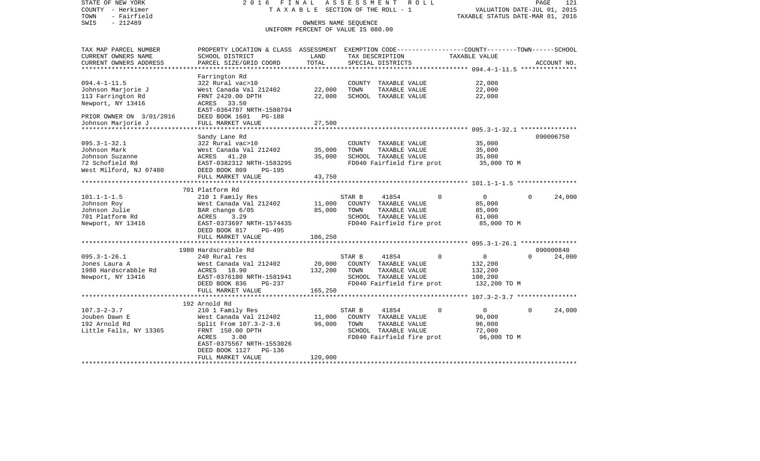| STATE OF NEW YORK<br>COUNTY - Herkimer    | FINAL<br>2016<br>TAXABLE                                                                         |                                    | ASSESSMENT | SECTION OF THE ROLL - 1               | ROLL |          | VALUATION DATE-JUL 01, 2015                     |              | PAGE        | 121    |
|-------------------------------------------|--------------------------------------------------------------------------------------------------|------------------------------------|------------|---------------------------------------|------|----------|-------------------------------------------------|--------------|-------------|--------|
| - Fairfield<br>TOWN                       |                                                                                                  |                                    |            |                                       |      |          | TAXABLE STATUS DATE-MAR 01, 2016                |              |             |        |
| SWIS<br>$-212489$                         |                                                                                                  | OWNERS NAME SEQUENCE               |            |                                       |      |          |                                                 |              |             |        |
|                                           |                                                                                                  | UNIFORM PERCENT OF VALUE IS 080.00 |            |                                       |      |          |                                                 |              |             |        |
| TAX MAP PARCEL NUMBER                     | PROPERTY LOCATION & CLASS ASSESSMENT EXEMPTION CODE----------------COUNTY-------TOWN------SCHOOL |                                    |            |                                       |      |          |                                                 |              |             |        |
| CURRENT OWNERS NAME                       | SCHOOL DISTRICT                                                                                  | LAND                               |            | TAX DESCRIPTION                       |      |          | TAXABLE VALUE                                   |              |             |        |
| CURRENT OWNERS ADDRESS                    | PARCEL SIZE/GRID COORD                                                                           | TOTAL<br>*************             |            | SPECIAL DISTRICTS                     |      |          | ***************** 094.4-1-11.5 **************** |              | ACCOUNT NO. |        |
|                                           | Farrington Rd                                                                                    |                                    |            |                                       |      |          |                                                 |              |             |        |
| $094.4 - 1 - 11.5$                        | 322 Rural vac>10                                                                                 |                                    |            | COUNTY TAXABLE VALUE                  |      |          | 22,000                                          |              |             |        |
|                                           | West Canada Val 212402                                                                           |                                    | TOWN       |                                       |      |          | 22,000                                          |              |             |        |
| Johnson Marjorie J                        | FRNT 2420.00 DPTH                                                                                | 22,000<br>22,000                   |            | TAXABLE VALUE<br>SCHOOL TAXABLE VALUE |      |          | 22,000                                          |              |             |        |
| 113 Farrington Rd                         |                                                                                                  |                                    |            |                                       |      |          |                                                 |              |             |        |
| Newport, NY 13416                         | ACRES 33.50                                                                                      |                                    |            |                                       |      |          |                                                 |              |             |        |
|                                           | EAST-0364787 NRTH-1580794                                                                        |                                    |            |                                       |      |          |                                                 |              |             |        |
| PRIOR OWNER ON 3/01/2016                  | DEED BOOK 1601<br>PG-188                                                                         |                                    |            |                                       |      |          |                                                 |              |             |        |
| Johnson Marjorie J<br>******************* | FULL MARKET VALUE                                                                                | 27,500                             |            |                                       |      |          |                                                 |              |             |        |
|                                           |                                                                                                  |                                    |            |                                       |      |          |                                                 |              |             |        |
|                                           | Sandy Lane Rd                                                                                    |                                    |            |                                       |      |          |                                                 |              | 090006750   |        |
| $095.3 - 1 - 32.1$                        | 322 Rural vac>10                                                                                 |                                    |            | COUNTY TAXABLE VALUE                  |      |          | 35,000                                          |              |             |        |
| Johnson Mark                              | West Canada Val 212402                                                                           | 35,000                             | TOWN       | TAXABLE VALUE                         |      |          | 35,000                                          |              |             |        |
| Johnson Suzanne                           | 41.20<br>ACRES                                                                                   | 35,000                             |            | SCHOOL TAXABLE VALUE                  |      |          | 35,000                                          |              |             |        |
| 72 Schofield Rd                           | EAST-0382312 NRTH-1583295                                                                        |                                    |            | FD040 Fairfield fire prot             |      |          | 35,000 TO M                                     |              |             |        |
| West Milford, NJ 07480                    | DEED BOOK 809<br>PG-195                                                                          |                                    |            |                                       |      |          |                                                 |              |             |        |
|                                           | FULL MARKET VALUE                                                                                | 43,750                             |            |                                       |      |          |                                                 |              |             |        |
|                                           |                                                                                                  |                                    |            |                                       |      |          |                                                 |              |             |        |
|                                           | 701 Platform Rd                                                                                  |                                    |            |                                       |      |          |                                                 |              |             |        |
| $101.1 - 1 - 1.5$                         | 210 1 Family Res                                                                                 |                                    | STAR B     | 41854                                 |      | $\Omega$ | $\circ$                                         | $\Omega$     |             | 24,000 |
| Johnson Roy                               | West Canada Val 212402                                                                           | 11,000                             |            | COUNTY TAXABLE VALUE                  |      |          | 85,000                                          |              |             |        |
| Johnson Julie                             | BAR change 6/05                                                                                  | 85,000                             | TOWN       | TAXABLE VALUE                         |      |          | 85,000                                          |              |             |        |
| 701 Platform Rd                           | 3.29<br>ACRES                                                                                    |                                    |            | SCHOOL TAXABLE VALUE                  |      |          | 61,000                                          |              |             |        |
| Newport, NY 13416                         | EAST-0373697 NRTH-1574435                                                                        |                                    |            | FD040 Fairfield fire prot             |      |          | 85,000 TO M                                     |              |             |        |
|                                           | DEED BOOK 817<br>PG-495                                                                          |                                    |            |                                       |      |          |                                                 |              |             |        |
|                                           | FULL MARKET VALUE                                                                                | 106,250                            |            |                                       |      |          |                                                 |              |             |        |
|                                           |                                                                                                  |                                    |            |                                       |      |          |                                                 |              |             |        |
|                                           | 1980 Hardscrabble Rd                                                                             |                                    |            |                                       |      |          |                                                 |              | 090000840   |        |
| $095.3 - 1 - 26.1$                        | 240 Rural res                                                                                    |                                    | STAR B     | 41854                                 |      | $\Omega$ | $\overline{0}$                                  | $\Omega$     |             | 24,000 |
| Jones Laura A                             | West Canada Val 212402                                                                           | 20,000                             |            | COUNTY TAXABLE VALUE                  |      |          | 132,200                                         |              |             |        |
| 1980 Hardscrabble Rd                      | ACRES 18.90                                                                                      | 132,200                            | TOWN       | TAXABLE VALUE                         |      |          | 132,200                                         |              |             |        |
| Newport, NY 13416                         | EAST-0376180 NRTH-1581941                                                                        |                                    |            | SCHOOL TAXABLE VALUE                  |      |          | 108,200                                         |              |             |        |
|                                           | DEED BOOK 836<br>PG-237                                                                          |                                    |            | FD040 Fairfield fire prot             |      |          | 132,200 TO M                                    |              |             |        |
|                                           | FULL MARKET VALUE                                                                                | 165,250                            |            |                                       |      |          |                                                 |              |             |        |
|                                           |                                                                                                  |                                    |            |                                       |      |          |                                                 |              |             |        |
|                                           | 192 Arnold Rd                                                                                    |                                    |            |                                       |      |          |                                                 |              |             |        |
| $107.3 - 2 - 3.7$                         | 210 1 Family Res                                                                                 |                                    | STAR B     | 41854                                 |      | 0        | $\overline{0}$                                  | $\mathbf{0}$ |             | 24,000 |
| Jouben Dawn E                             | West Canada Val 212402                                                                           | 11,000                             |            | COUNTY TAXABLE VALUE                  |      |          | 96,000                                          |              |             |        |
| 192 Arnold Rd                             | Split From 107.3-2-3.6                                                                           | 96,000                             | TOWN       | TAXABLE VALUE                         |      |          | 96,000                                          |              |             |        |
| Little Falls, NY 13365                    | FRNT 150.00 DPTH                                                                                 |                                    |            | SCHOOL TAXABLE VALUE                  |      |          | 72,000                                          |              |             |        |
|                                           | ACRES<br>3.00                                                                                    |                                    |            | FD040 Fairfield fire prot             |      |          | 96,000 TO M                                     |              |             |        |
|                                           | EAST-0375567 NRTH-1553026                                                                        |                                    |            |                                       |      |          |                                                 |              |             |        |
|                                           | PG-136<br>DEED BOOK 1127                                                                         |                                    |            |                                       |      |          |                                                 |              |             |        |
|                                           | FULL MARKET VALUE                                                                                | 120,000                            |            |                                       |      |          |                                                 |              |             |        |
|                                           |                                                                                                  |                                    |            |                                       |      |          |                                                 |              |             |        |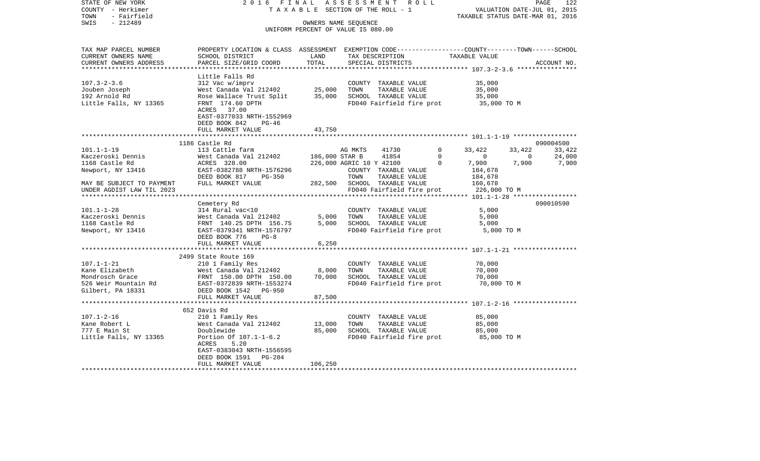STATE OF NEW YORK 2 0 1 6 F I N A L A S S E S S M E N T R O L L PAGE 122VALUATION DATE-JUL 01, 2015 COUNTY - Herkimer T A X A B L E SECTION OF THE ROLL - 1 TOWN - Fairfield TAXABLE STATUS DATE-MAR 01, 2016 SWIS - 212489 CONNERS NAME SEQUENCE UNIFORM PERCENT OF VALUE IS 080.00TAX MAP PARCEL NUMBER PROPERTY LOCATION & CLASS ASSESSMENT EXEMPTION CODE------------------COUNTY--------TOWN------SCHOOL CURRENT OWNERS NAME SCHOOL DISTRICT LAND TAX DESCRIPTION TAXABLE VALUECURRENT OWNERS ADDRESS PARCEL SIZE/GRID COORD TOTAL SPECIAL DISTRICTS ACCOUNT NO. \*\*\*\*\*\*\*\*\*\*\*\*\*\*\*\*\*\*\*\*\*\*\*\*\*\*\*\*\*\*\*\*\*\*\*\*\*\*\*\*\*\*\*\*\*\*\*\*\*\*\*\*\*\*\*\*\*\*\*\*\*\*\*\*\*\*\*\*\*\*\*\*\*\*\*\*\*\*\*\*\*\*\*\*\*\*\*\*\*\*\*\*\*\*\*\*\*\*\*\*\*\*\* 107.3-2-3.6 \*\*\*\*\*\*\*\*\*\*\*\*\*\*\*\* Little Falls Rd 107.3-2-3.6 312 Vac w/imprv COUNTY TAXABLE VALUE 35,000 Jouben Joseph West Canada Val 212402 25,000 TOWN TAXABLE VALUE 35,000 192 Arnold Rd Rose Wallace Trust Split 35,000 SCHOOL TAXABLE VALUE 35,000 Little Falls, NY 13365 FRNT 174.60 DPTH FD040 Fairfield fire prot 35,000 TO M ACRES 37.00 EAST-0377033 NRTH-1552969 DEED BOOK 842 PG-46 FULL MARKET VALUE 43,750 \*\*\*\*\*\*\*\*\*\*\*\*\*\*\*\*\*\*\*\*\*\*\*\*\*\*\*\*\*\*\*\*\*\*\*\*\*\*\*\*\*\*\*\*\*\*\*\*\*\*\*\*\*\*\*\*\*\*\*\*\*\*\*\*\*\*\*\*\*\*\*\*\*\*\*\*\*\*\*\*\*\*\*\*\*\*\*\*\*\*\*\*\*\*\*\*\*\*\*\*\*\*\* 101.1-1-19 \*\*\*\*\*\*\*\*\*\*\*\*\*\*\*\*\* 1186 Castle Rd 090004500101.1-1-19 113 Cattle farm AG MKTS 41730 0 33,422 33,422 33,422 Kaczeroski Dennis West Canada Val 212402 186,000 STAR B 41854 0 0 0 24,000 1168 Castle Rd ACRES 328.00 226,000 AGRIC 10 Y 42100 0 7,900 7,900 7,900 Newport, NY 13416 **EAST-0382788 NRTH-1576296** COUNTY TAXABLE VALUE 184,678 DEED BOOK 817 PG-350 TOWN TAXABLE VALUE 184,678 MAY BE SUBJECT TO PAYMENT FULL MARKET VALUE 282,500 SCHOOL TAXABLE VALUE 160,678 UNDER AGDIST LAW TIL 2023 FD040 Fairfield fire prot 226,000 TO M \*\*\*\*\*\*\*\*\*\*\*\*\*\*\*\*\*\*\*\*\*\*\*\*\*\*\*\*\*\*\*\*\*\*\*\*\*\*\*\*\*\*\*\*\*\*\*\*\*\*\*\*\*\*\*\*\*\*\*\*\*\*\*\*\*\*\*\*\*\*\*\*\*\*\*\*\*\*\*\*\*\*\*\*\*\*\*\*\*\*\*\*\*\*\*\*\*\*\*\*\*\*\* 101.1-1-28 \*\*\*\*\*\*\*\*\*\*\*\*\*\*\*\*\* Cemetery Rd 090010590 101.1-1-28 314 Rural vac<10 COUNTY TAXABLE VALUE 5,000 Kaczeroski Dennis West Canada Val 212402 5,000 TOWN TAXABLE VALUE 5,000 1168 Castle Rd FRNT 140.25 DPTH 156.75 5,000 SCHOOL TAXABLE VALUE 5,000 Newport, NY 13416 EAST-0379341 NRTH-1576797 FD040 Fairfield fire prot 5,000 TO M DEED BOOK 776 PG-8FULL MARKET VALUE 6,250 \*\*\*\*\*\*\*\*\*\*\*\*\*\*\*\*\*\*\*\*\*\*\*\*\*\*\*\*\*\*\*\*\*\*\*\*\*\*\*\*\*\*\*\*\*\*\*\*\*\*\*\*\*\*\*\*\*\*\*\*\*\*\*\*\*\*\*\*\*\*\*\*\*\*\*\*\*\*\*\*\*\*\*\*\*\*\*\*\*\*\*\*\*\*\*\*\*\*\*\*\*\*\* 107.1-1-21 \*\*\*\*\*\*\*\*\*\*\*\*\*\*\*\*\* 2499 State Route 169 107.1-1-21 210 1 Family Res COUNTY TAXABLE VALUE 70,000 Kane Elizabeth West Canada Val 212402 8,000 TOWN TAXABLE VALUE 70,000 Mondrosch Grace FRNT 150.00 DPTH 150.00 70,000 SCHOOL TAXABLE VALUE 70,000 526 Weir Mountain Rd EAST-0372839 NRTH-1553274 FD040 Fairfield fire prot 70,000 TO M Gilbert, PA 18331 DEED BOOK 1542 PG-950 FULL MARKET VALUE 87,500 \*\*\*\*\*\*\*\*\*\*\*\*\*\*\*\*\*\*\*\*\*\*\*\*\*\*\*\*\*\*\*\*\*\*\*\*\*\*\*\*\*\*\*\*\*\*\*\*\*\*\*\*\*\*\*\*\*\*\*\*\*\*\*\*\*\*\*\*\*\*\*\*\*\*\*\*\*\*\*\*\*\*\*\*\*\*\*\*\*\*\*\*\*\*\*\*\*\*\*\*\*\*\* 107.1-2-16 \*\*\*\*\*\*\*\*\*\*\*\*\*\*\*\*\* 652 Davis Rd210 1 Family Res 107.1-2-16 210 1 Family Res COUNTY TAXABLE VALUE 85,000 Kane Robert L 65,000 West Canada Val 212402 13,000 TOWN TAXABLE VALUE 85,000 777 E Main St Doublewide 85,000 SCHOOL TAXABLE VALUE 85,000 Little Falls, NY 13365 Portion Of 107.1-1-6.2 FD040 Fairfield fire prot 85,000 TO M ACRES 5.20 EAST-0383043 NRTH-1556595 DEED BOOK 1591 PG-284FULL MARKET VALUE 106,250 \*\*\*\*\*\*\*\*\*\*\*\*\*\*\*\*\*\*\*\*\*\*\*\*\*\*\*\*\*\*\*\*\*\*\*\*\*\*\*\*\*\*\*\*\*\*\*\*\*\*\*\*\*\*\*\*\*\*\*\*\*\*\*\*\*\*\*\*\*\*\*\*\*\*\*\*\*\*\*\*\*\*\*\*\*\*\*\*\*\*\*\*\*\*\*\*\*\*\*\*\*\*\*\*\*\*\*\*\*\*\*\*\*\*\*\*\*\*\*\*\*\*\*\*\*\*\*\*\*\*\*\*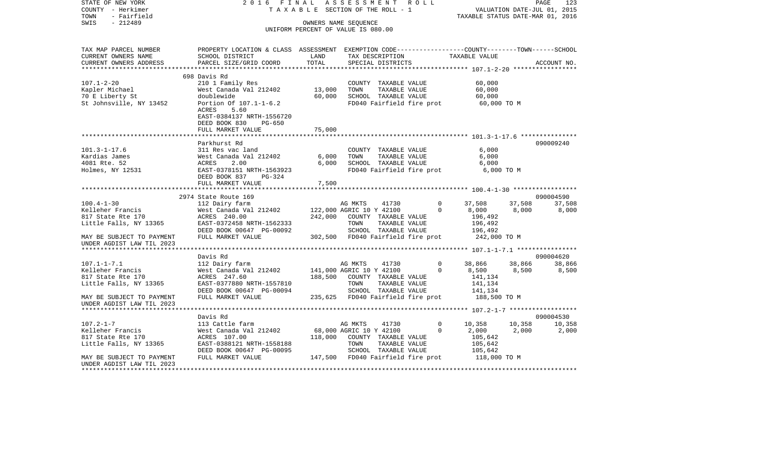| STATE OF NEW YORK<br>COUNTY - Herkimer<br>TOWN<br>- Fairfield                    | 2016 FINAL<br>TAXABLE                                                                           |                                    | ASSESSMENT               | SECTION OF THE ROLL - 1           | R O L L     | TAXABLE STATUS DATE-MAR 01, 2016 | VALUATION DATE-JUL 01, 2015 | PAGE        | 123    |
|----------------------------------------------------------------------------------|-------------------------------------------------------------------------------------------------|------------------------------------|--------------------------|-----------------------------------|-------------|----------------------------------|-----------------------------|-------------|--------|
| $-212489$<br>SWIS                                                                |                                                                                                 | OWNERS NAME SEOUENCE               |                          |                                   |             |                                  |                             |             |        |
|                                                                                  |                                                                                                 | UNIFORM PERCENT OF VALUE IS 080.00 |                          |                                   |             |                                  |                             |             |        |
| TAX MAP PARCEL NUMBER                                                            | PROPERTY LOCATION & CLASS ASSESSMENT EXEMPTION CODE---------------COUNTY-------TOWN------SCHOOL |                                    |                          |                                   |             |                                  |                             |             |        |
| CURRENT OWNERS NAME                                                              | SCHOOL DISTRICT                                                                                 | LAND                               |                          | TAX DESCRIPTION                   |             | TAXABLE VALUE                    |                             |             |        |
| CURRENT OWNERS ADDRESS<br>************************                               | PARCEL SIZE/GRID COORD                                                                          | TOTAL                              |                          | SPECIAL DISTRICTS                 |             |                                  |                             | ACCOUNT NO. |        |
|                                                                                  | 698 Davis Rd                                                                                    |                                    |                          |                                   |             |                                  |                             |             |        |
| $107.1 - 2 - 20$                                                                 | 210 1 Family Res                                                                                |                                    |                          | COUNTY TAXABLE VALUE              |             | 60,000                           |                             |             |        |
| Kapler Michael                                                                   | West Canada Val 212402                                                                          | 13,000                             | TOWN                     | TAXABLE VALUE                     |             | 60,000                           |                             |             |        |
| 70 E Liberty St                                                                  | doublewide                                                                                      | 60,000                             |                          | SCHOOL TAXABLE VALUE              |             | 60,000                           |                             |             |        |
| St Johnsville, NY 13452                                                          | Portion Of 107.1-1-6.2<br>ACRES<br>5.60                                                         |                                    |                          | FD040 Fairfield fire prot         |             | 60,000 TO M                      |                             |             |        |
|                                                                                  | EAST-0384137 NRTH-1556720<br>DEED BOOK 830<br>PG-650                                            |                                    |                          |                                   |             |                                  |                             |             |        |
|                                                                                  | FULL MARKET VALUE                                                                               | 75,000                             |                          |                                   |             |                                  |                             |             |        |
|                                                                                  | *****************************                                                                   |                                    |                          |                                   |             |                                  |                             |             |        |
|                                                                                  | Parkhurst Rd                                                                                    |                                    |                          |                                   |             |                                  |                             | 090009240   |        |
| $101.3 - 1 - 17.6$                                                               | 311 Res vac land                                                                                |                                    |                          | COUNTY TAXABLE VALUE              |             | 6,000                            |                             |             |        |
| Kardias James                                                                    | West Canada Val 212402                                                                          | 6,000                              | TOWN                     | TAXABLE VALUE                     |             | 6,000                            |                             |             |        |
| 4081 Rte. 52                                                                     | ACRES<br>2.00                                                                                   | 6,000                              |                          | SCHOOL TAXABLE VALUE              |             | 6,000                            |                             |             |        |
| Holmes, NY 12531                                                                 | EAST-0378151 NRTH-1563923                                                                       |                                    |                          | FD040 Fairfield fire prot         |             | 6,000 TO M                       |                             |             |        |
|                                                                                  | DEED BOOK 837<br>PG-324                                                                         |                                    |                          |                                   |             |                                  |                             |             |        |
|                                                                                  | FULL MARKET VALUE                                                                               | 7,500                              |                          |                                   |             |                                  |                             |             |        |
|                                                                                  | 2974 State Route 169                                                                            |                                    |                          |                                   |             |                                  |                             | 090004590   |        |
| $100.4 - 1 - 30$                                                                 | 112 Dairy farm                                                                                  |                                    | AG MKTS                  | 41730                             | 0           | 37,508                           | 37,508                      | 37,508      |        |
| Kelleher Francis                                                                 | West Canada Val 212402                                                                          |                                    | 122,000 AGRIC 10 Y 42100 |                                   | $\Omega$    | 8,000                            | 8,000                       |             | 8,000  |
| 817 State Rte 170                                                                | ACRES 240.00                                                                                    | 242,000                            |                          | COUNTY TAXABLE VALUE              |             | 196,492                          |                             |             |        |
| Little Falls, NY 13365                                                           | EAST-0372458 NRTH-1562333                                                                       |                                    | TOWN                     | TAXABLE VALUE                     |             | 196,492                          |                             |             |        |
|                                                                                  | DEED BOOK 00647 PG-00092                                                                        |                                    |                          | SCHOOL TAXABLE VALUE              |             | 196,492                          |                             |             |        |
| MAY BE SUBJECT TO PAYMENT<br>UNDER AGDIST LAW TIL 2023<br>********************** | FULL MARKET VALUE                                                                               |                                    |                          | 302,500 FD040 Fairfield fire prot |             | 242,000 TO M                     |                             |             |        |
|                                                                                  | Davis Rd                                                                                        |                                    |                          |                                   |             |                                  |                             | 090004620   |        |
| $107.1 - 1 - 7.1$                                                                | 112 Dairy farm                                                                                  |                                    | AG MKTS                  | 41730                             | 0           | 38,866                           | 38,866                      |             | 38,866 |
| Kelleher Francis                                                                 | West Canada Val 212402                                                                          |                                    | 141,000 AGRIC 10 Y 42100 |                                   | $\mathbf 0$ | 8,500                            | 8,500                       |             | 8,500  |
| 817 State Rte 170                                                                | ACRES 247.60                                                                                    | 188,500                            |                          | COUNTY TAXABLE VALUE              |             | 141,134                          |                             |             |        |
| Little Falls, NY 13365                                                           | EAST-0377880 NRTH-1557810                                                                       |                                    | TOWN                     | TAXABLE VALUE                     |             | 141,134                          |                             |             |        |
|                                                                                  | DEED BOOK 00647 PG-00094                                                                        |                                    |                          | SCHOOL TAXABLE VALUE              |             | 141,134                          |                             |             |        |
| MAY BE SUBJECT TO PAYMENT<br>UNDER AGDIST LAW TIL 2023                           | FULL MARKET VALUE                                                                               | 235,625                            |                          | FD040 Fairfield fire prot         |             | 188,500 TO M                     |                             |             |        |
|                                                                                  |                                                                                                 |                                    |                          |                                   |             |                                  |                             |             |        |
|                                                                                  | Davis Rd                                                                                        |                                    |                          |                                   |             |                                  |                             | 090004530   |        |
| $107.2 - 1 - 7$                                                                  | 113 Cattle farm                                                                                 |                                    | AG MKTS                  | 41730                             | 0           | 10,358                           | 10,358                      | 10,358      |        |
| Kelleher Francis<br>817 State Rte 170                                            | West Canada Val 212402<br>ACRES 107.00                                                          | 118,000                            | 68,000 AGRIC 10 Y 42100  | COUNTY TAXABLE VALUE              | $\mathbf 0$ | 2,000<br>105,642                 | 2,000                       |             | 2,000  |
| Little Falls, NY 13365                                                           | EAST-0388121 NRTH-1558188                                                                       |                                    | TOWN                     | TAXABLE VALUE                     |             | 105,642                          |                             |             |        |
|                                                                                  | DEED BOOK 00647 PG-00095                                                                        |                                    |                          | SCHOOL TAXABLE VALUE              |             | 105,642                          |                             |             |        |
| MAY BE SUBJECT TO PAYMENT                                                        | FULL MARKET VALUE                                                                               | 147,500                            |                          | FD040 Fairfield fire prot         |             | 118,000 TO M                     |                             |             |        |
| UNDER AGDIST LAW TIL 2023                                                        |                                                                                                 |                                    |                          |                                   |             |                                  | ************************    |             |        |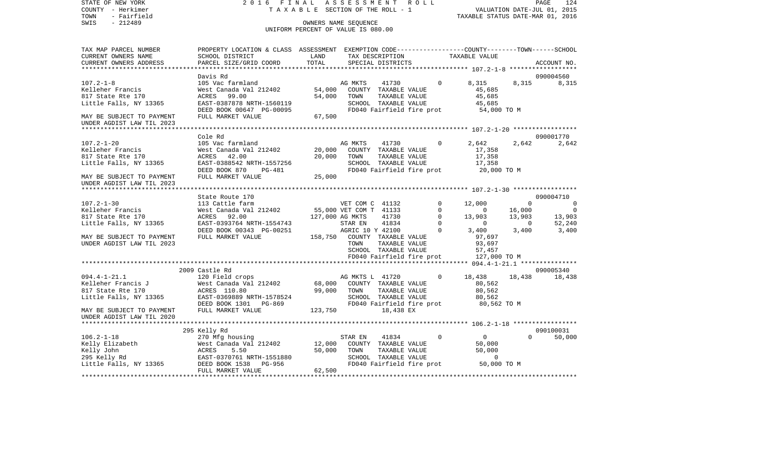COUNTY - Herkimer **T A X A B L E** SECTION OF THE ROLL - 1 VALUATION DATE-JUL 01, 2015 TOWN - Fairfield TAXABLE STATUS DATE-MAR 01, 2016 SWIS - 212489 CONNERS NAME SEQUENCE UNIFORM PERCENT OF VALUE IS 080.00TAX MAP PARCEL NUMBER PROPERTY LOCATION & CLASS ASSESSMENT EXEMPTION CODE------------------COUNTY--------TOWN------SCHOOL CURRENT OWNERS NAME SCHOOL DISTRICT LAND TAX DESCRIPTION TAXABLE VALUECURRENT OWNERS ADDRESS PARCEL SIZE/GRID COORD TOTAL SPECIAL DISTRICTS ACCOUNT NO. \*\*\*\*\*\*\*\*\*\*\*\*\*\*\*\*\*\*\*\*\*\*\*\*\*\*\*\*\*\*\*\*\*\*\*\*\*\*\*\*\*\*\*\*\*\*\*\*\*\*\*\*\*\*\*\*\*\*\*\*\*\*\*\*\*\*\*\*\*\*\*\*\*\*\*\*\*\*\*\*\*\*\*\*\*\*\*\*\*\*\*\*\*\*\*\*\*\*\*\*\*\*\* 107.2-1-8 \*\*\*\*\*\*\*\*\*\*\*\*\*\*\*\*\*\* Davis Rd 090004560107.2-1-8 105 Vac farmland AG MKTS 41730 0 8,315 8,315 8,315 Kelleher Francis West Canada Val 212402 54,000 COUNTY TAXABLE VALUE 45,685 817 State Rte 170 ACRES 99.00 54,000 TOWN TAXABLE VALUE 45,685 Little Falls, NY 13365 EAST-0387878 NRTH-1560119 SCHOOL TAXABLE VALUE 45,685 DEED BOOK 00647 PG-00095 FD040 Fairfield fire prot 54,000 TO M MAY BE SUBJECT TO PAYMENT FULL MARKET VALUE 67,500 UNDER AGDIST LAW TIL 2023 \*\*\*\*\*\*\*\*\*\*\*\*\*\*\*\*\*\*\*\*\*\*\*\*\*\*\*\*\*\*\*\*\*\*\*\*\*\*\*\*\*\*\*\*\*\*\*\*\*\*\*\*\*\*\*\*\*\*\*\*\*\*\*\*\*\*\*\*\*\*\*\*\*\*\*\*\*\*\*\*\*\*\*\*\*\*\*\*\*\*\*\*\*\*\*\*\*\*\*\*\*\*\* 107.2-1-20 \*\*\*\*\*\*\*\*\*\*\*\*\*\*\*\*\* Cole Rd 090001770107.2-1-20 105 Vac farmland AG MKTS 41730 0 2,642 2,642 2,642 Kelleher Francis West Canada Val 212402 20.000 COUNTY TAXABLE VALUE 17.358 817 State Rte 170 ACRES 42.00 20,000 TOWN TAXABLE VALUE 17,358 Little Falls, NY 13365 EAST-0388542 NRTH-1557256 SCHOOL TAXABLE VALUE 17,358 DEED BOOK 870 PG-481 FD040 Fairfield fire prot 20,000 TO M MAY BE SUBJECT TO PAYMENT FULL MARKET VALUE  $25,000$ UNDER AGDIST LAW TIL 2023 \*\*\*\*\*\*\*\*\*\*\*\*\*\*\*\*\*\*\*\*\*\*\*\*\*\*\*\*\*\*\*\*\*\*\*\*\*\*\*\*\*\*\*\*\*\*\*\*\*\*\*\*\*\*\*\*\*\*\*\*\*\*\*\*\*\*\*\*\*\*\*\*\*\*\*\*\*\*\*\*\*\*\*\*\*\*\*\*\*\*\*\*\*\*\*\*\*\*\*\*\*\*\* 107.2-1-30 \*\*\*\*\*\*\*\*\*\*\*\*\*\*\*\*\*State Route 170 090004710 107.2-1-30 113 Cattle farm VET COM C 41132 0 12,000 0 0 0 Kelleher Francis West Canada Val 212402 55,000 VET COM T 41133 0 0 16,000 0 817 State Rte 170 ACRES 92.00 127,000 AG MKTS 41730 0 13,903 13,903 13,903 Little Falls, NY 13365 EAST-0393764 NRTH-1554743 STAR EN 41834 0 0 0 52,240 DEED BOOK 00343 PG-00251 AGRIC 10 Y 42100 0 3,400 3,400 3,400 MAY BE SUBJECT TO PAYMENT FULL MARKET VALUE 158,750 COUNTY TAXABLE VALUE 97,697 UNDER AGDIST LAW TIL 2023 **TOWN** TAXABLE VALUE 93,697 SCHOOL TAXABLE VALUE 57,457 FD040 Fairfield fire prot 127,000 TO M \*\*\*\*\*\*\*\*\*\*\*\*\*\*\*\*\*\*\*\*\*\*\*\*\*\*\*\*\*\*\*\*\*\*\*\*\*\*\*\*\*\*\*\*\*\*\*\*\*\*\*\*\*\*\*\*\*\*\*\*\*\*\*\*\*\*\*\*\*\*\*\*\*\*\*\*\*\*\*\*\*\*\*\*\*\*\*\*\*\*\*\*\*\*\*\*\*\*\*\*\*\*\* 094.4-1-21.1 \*\*\*\*\*\*\*\*\*\*\*\*\*\*\* 2009 Castle Rd 090005340094.4-1-21.1 120 Field crops AG MKTS L 41720 0 18,438 18,438 18,438 Kelleher Francis J West Canada Val 212402 68,000 COUNTY TAXABLE VALUE 80,562 817 State Rte 170 ACRES 110.80 99,000 TOWN TAXABLE VALUE 80,562 Little Falls, NY 13365 EAST-0369889 NRTH-1578524 SCHOOL TAXABLE VALUE 80,562 DEED BOOK 1301 PG-869 FD040 Fairfield fire prot 80,562 TO M MAY BE SUBJECT TO PAYMENT FULL MARKET VALUE 123.750 18,438 EX UNDER AGDIST LAW TIL 2020 \*\*\*\*\*\*\*\*\*\*\*\*\*\*\*\*\*\*\*\*\*\*\*\*\*\*\*\*\*\*\*\*\*\*\*\*\*\*\*\*\*\*\*\*\*\*\*\*\*\*\*\*\*\*\*\*\*\*\*\*\*\*\*\*\*\*\*\*\*\*\*\*\*\*\*\*\*\*\*\*\*\*\*\*\*\*\*\*\*\*\*\*\*\*\*\*\*\*\*\*\*\*\* 106.2-1-18 \*\*\*\*\*\*\*\*\*\*\*\*\*\*\*\*\* 295 Kelly Rd 090100031 106.2-1-18 270 Mfg housing STAR EN 41834 0 0 0 50,000 Kelly Elizabeth West Canada Val 212402 12,000 COUNTY TAXABLE VALUE 50,000 Kelly John ACRES 5.50 50,000 TOWN TAXABLE VALUE 50,000 295 Kelly Rd EAST-0370761 NRTH-1551880 SCHOOL TAXABLE VALUE 0 Little Falls, NY 13365 DEED BOOK 1538 PG-956 FD040 Fairfield fire prot 50,000 TO M FULL MARKET VALUE 62,500 \*\*\*\*\*\*\*\*\*\*\*\*\*\*\*\*\*\*\*\*\*\*\*\*\*\*\*\*\*\*\*\*\*\*\*\*\*\*\*\*\*\*\*\*\*\*\*\*\*\*\*\*\*\*\*\*\*\*\*\*\*\*\*\*\*\*\*\*\*\*\*\*\*\*\*\*\*\*\*\*\*\*\*\*\*\*\*\*\*\*\*\*\*\*\*\*\*\*\*\*\*\*\*\*\*\*\*\*\*\*\*\*\*\*\*\*\*\*\*\*\*\*\*\*\*\*\*\*\*\*\*\*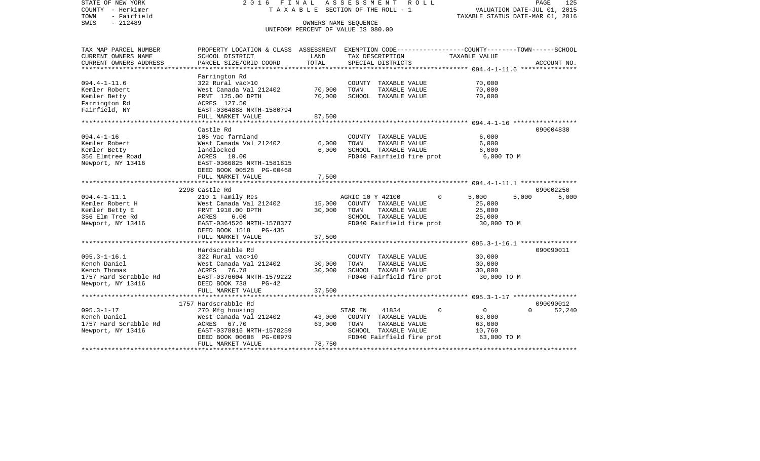| STATE OF NEW YORK<br>COUNTY - Herkimer<br>- Fairfield<br>TOWN<br>SWIS<br>$-212489$ | 2016 FINAL                                                                                                        | TAXABLE SECTION OF THE ROLL - 1<br>OWNERS NAME SEQUENCE<br>UNIFORM PERCENT OF VALUE IS 080.00 | ASSESSMENT       |                           | ROLL |          | VALUATION DATE-JUL 01, 2015<br>TAXABLE STATUS DATE-MAR 01, 2016 |          | PAGE        | 125    |
|------------------------------------------------------------------------------------|-------------------------------------------------------------------------------------------------------------------|-----------------------------------------------------------------------------------------------|------------------|---------------------------|------|----------|-----------------------------------------------------------------|----------|-------------|--------|
| TAX MAP PARCEL NUMBER<br>CURRENT OWNERS NAME                                       | PROPERTY LOCATION & CLASS ASSESSMENT EXEMPTION CODE---------------COUNTY-------TOWN-----SCHOOL<br>SCHOOL DISTRICT | LAND                                                                                          |                  | TAX DESCRIPTION           |      |          | TAXABLE VALUE                                                   |          |             |        |
| CURRENT OWNERS ADDRESS                                                             | PARCEL SIZE/GRID COORD                                                                                            | TOTAL                                                                                         |                  | SPECIAL DISTRICTS         |      |          |                                                                 |          | ACCOUNT NO. |        |
|                                                                                    |                                                                                                                   |                                                                                               |                  |                           |      |          |                                                                 |          |             |        |
|                                                                                    | Farrington Rd                                                                                                     |                                                                                               |                  |                           |      |          |                                                                 |          |             |        |
| $094.4 - 1 - 11.6$                                                                 | 322 Rural vac>10                                                                                                  |                                                                                               |                  | COUNTY TAXABLE VALUE      |      |          | 70,000                                                          |          |             |        |
| Kemler Robert                                                                      | West Canada Val 212402                                                                                            | 70,000                                                                                        | TOWN             | TAXABLE VALUE             |      |          | 70,000                                                          |          |             |        |
| Kemler Betty                                                                       | FRNT 125.00 DPTH                                                                                                  | 70,000                                                                                        |                  | SCHOOL TAXABLE VALUE      |      |          | 70,000                                                          |          |             |        |
| Farrington Rd                                                                      | ACRES 127.50                                                                                                      |                                                                                               |                  |                           |      |          |                                                                 |          |             |        |
| Fairfield, NY                                                                      | EAST-0364888 NRTH-1580794                                                                                         |                                                                                               |                  |                           |      |          |                                                                 |          |             |        |
|                                                                                    | FULL MARKET VALUE                                                                                                 | 87,500                                                                                        |                  |                           |      |          |                                                                 |          |             |        |
|                                                                                    | Castle Rd                                                                                                         |                                                                                               |                  |                           |      |          |                                                                 |          | 090004830   |        |
| $094.4 - 1 - 16$                                                                   | 105 Vac farmland                                                                                                  |                                                                                               |                  | COUNTY TAXABLE VALUE      |      |          | 6,000                                                           |          |             |        |
| Kemler Robert                                                                      | West Canada Val 212402                                                                                            | 6,000                                                                                         | TOWN             | TAXABLE VALUE             |      |          | 6,000                                                           |          |             |        |
| Kemler Betty                                                                       | landlocked                                                                                                        | 6,000                                                                                         |                  | SCHOOL TAXABLE VALUE      |      |          | 6,000                                                           |          |             |        |
| 356 Elmtree Road                                                                   | ACRES 10.00                                                                                                       |                                                                                               |                  | FD040 Fairfield fire prot |      |          | 6,000 TO M                                                      |          |             |        |
| Newport, NY 13416                                                                  | EAST-0366825 NRTH-1581815                                                                                         |                                                                                               |                  |                           |      |          |                                                                 |          |             |        |
|                                                                                    | DEED BOOK 00528 PG-00468                                                                                          |                                                                                               |                  |                           |      |          |                                                                 |          |             |        |
|                                                                                    | FULL MARKET VALUE                                                                                                 | 7,500                                                                                         |                  |                           |      |          |                                                                 |          |             |        |
|                                                                                    |                                                                                                                   |                                                                                               |                  |                           |      |          |                                                                 |          |             |        |
|                                                                                    | 2298 Castle Rd                                                                                                    |                                                                                               |                  |                           |      |          |                                                                 |          | 090002250   |        |
| $094.4 - 1 - 11.1$                                                                 | 210 1 Family Res                                                                                                  |                                                                                               | AGRIC 10 Y 42100 |                           |      | 0        | 5,000                                                           | 5,000    |             | 5,000  |
| Kemler Robert H                                                                    | West Canada Val 212402                                                                                            | 15,000                                                                                        |                  | COUNTY TAXABLE VALUE      |      |          | 25,000                                                          |          |             |        |
| Kemler Betty E                                                                     | FRNT 1910.00 DPTH                                                                                                 | 30,000                                                                                        | TOWN             | TAXABLE VALUE             |      |          | 25,000                                                          |          |             |        |
| 356 Elm Tree Rd                                                                    | 6.00<br>ACRES                                                                                                     |                                                                                               |                  | SCHOOL TAXABLE VALUE      |      |          | 25,000                                                          |          |             |        |
| Newport, NY 13416                                                                  | EAST-0364526 NRTH-1578377                                                                                         |                                                                                               |                  | FD040 Fairfield fire prot |      |          | 30,000 TO M                                                     |          |             |        |
|                                                                                    | DEED BOOK 1518 PG-435<br>FULL MARKET VALUE                                                                        | 37,500                                                                                        |                  |                           |      |          |                                                                 |          |             |        |
|                                                                                    |                                                                                                                   |                                                                                               |                  |                           |      |          |                                                                 |          |             |        |
|                                                                                    | Hardscrabble Rd                                                                                                   |                                                                                               |                  |                           |      |          |                                                                 |          | 090090011   |        |
| $095.3 - 1 - 16.1$                                                                 | 322 Rural vac>10                                                                                                  |                                                                                               |                  | COUNTY TAXABLE VALUE      |      |          | 30,000                                                          |          |             |        |
| Kench Daniel                                                                       | West Canada Val 212402                                                                                            | 30,000                                                                                        | TOWN             | TAXABLE VALUE             |      |          | 30,000                                                          |          |             |        |
| Kench Thomas                                                                       | ACRES<br>76.78                                                                                                    | 30,000                                                                                        |                  | SCHOOL TAXABLE VALUE      |      |          | 30,000                                                          |          |             |        |
| 1757 Hard Scrabble Rd                                                              | EAST-0376604 NRTH-1579222                                                                                         |                                                                                               |                  | FD040 Fairfield fire prot |      |          | 30,000 TO M                                                     |          |             |        |
| Newport, NY 13416                                                                  | DEED BOOK 738<br>$PG-42$                                                                                          |                                                                                               |                  |                           |      |          |                                                                 |          |             |        |
|                                                                                    | FULL MARKET VALUE                                                                                                 | 37,500                                                                                        |                  |                           |      |          |                                                                 |          |             |        |
|                                                                                    |                                                                                                                   |                                                                                               |                  |                           |      |          |                                                                 |          |             |        |
|                                                                                    | 1757 Hardscrabble Rd                                                                                              |                                                                                               |                  |                           |      |          |                                                                 |          | 090090012   |        |
| $095.3 - 1 - 17$                                                                   | 270 Mfg housing                                                                                                   |                                                                                               | STAR EN          | 41834                     |      | $\Omega$ | $\overline{0}$                                                  | $\Omega$ |             | 52,240 |
| Kench Daniel                                                                       | West Canada Val 212402                                                                                            | 43,000                                                                                        |                  | COUNTY TAXABLE VALUE      |      |          | 63,000                                                          |          |             |        |
| 1757 Hard Scrabble Rd                                                              | ACRES 67.70                                                                                                       | 63,000                                                                                        | TOWN             | TAXABLE VALUE             |      |          | 63,000                                                          |          |             |        |
| Newport, NY 13416                                                                  | EAST-0378016 NRTH-1578259<br>DEED BOOK 00608 PG-00979                                                             |                                                                                               |                  | SCHOOL TAXABLE VALUE      |      |          | 10,760<br>63,000 TO M                                           |          |             |        |
|                                                                                    | FULL MARKET VALUE                                                                                                 | 78,750                                                                                        |                  | FD040 Fairfield fire prot |      |          |                                                                 |          |             |        |
|                                                                                    |                                                                                                                   |                                                                                               |                  |                           |      |          |                                                                 |          |             |        |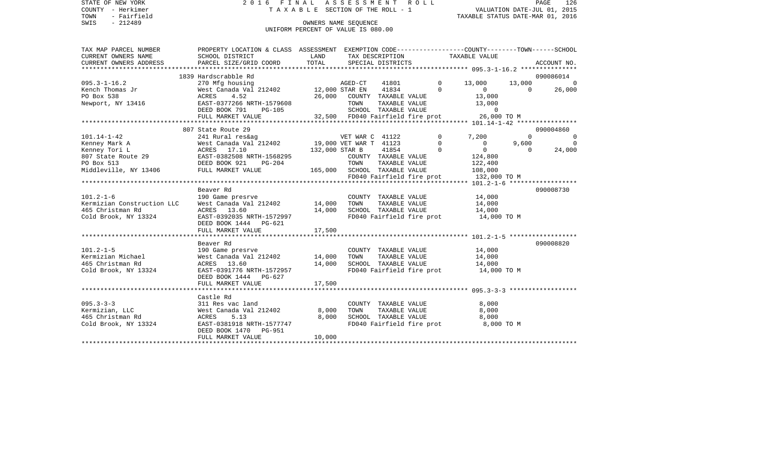STATE OF NEW YORK 2016 FINAL ASSESSMENT ROLL COUNTY - Herkimer T A X A B L E SECTION OF THE ROLL - 1 TOWN - Fairfield TAXABLE STATUS DATE-MAR 01, 2016 SWIS - Fairfield<br>
SWIS - 212489 OWNERS NAME SEQUENCE

## UNIFORM PERCENT OF VALUE IS 080.00

| TAX MAP PARCEL NUMBER                                                                                                                                                                                                                                                                                                                                                                                                                                                                                                  | PROPERTY LOCATION & CLASS ASSESSMENT EXEMPTION CODE---------------COUNTY-------TOWN-----SCHOOL |                              |                             |                           |                |                             |                                        |          |                |
|------------------------------------------------------------------------------------------------------------------------------------------------------------------------------------------------------------------------------------------------------------------------------------------------------------------------------------------------------------------------------------------------------------------------------------------------------------------------------------------------------------------------|------------------------------------------------------------------------------------------------|------------------------------|-----------------------------|---------------------------|----------------|-----------------------------|----------------------------------------|----------|----------------|
| CURRENT OWNERS NAME                                                                                                                                                                                                                                                                                                                                                                                                                                                                                                    | SCHOOL DISTRICT                                                                                | LAND                         |                             | TAX DESCRIPTION           |                | TAXABLE VALUE               |                                        |          |                |
|                                                                                                                                                                                                                                                                                                                                                                                                                                                                                                                        |                                                                                                |                              |                             |                           |                |                             |                                        |          |                |
| $\begin{minipage}{.45\textwidth} \begin{minipage}{.45\textwidth} \begin{minipage}{.45\textwidth} \begin{minipage}{.45\textwidth} \begin{minipage}{.45\textwidth} \begin{minipage}{.45\textwidth} \begin{minipage}{.45\textwidth} \begin{minipage}{.45\textwidth} \begin{minipage}{.45\textwidth} \begin{minipage}{.45\textwidth} \begin{minipage}{.45\textwidth} \begin{minipage}{.45\textwidth} \begin{minipage}{.45\textwidth} \begin{minipage}{.45\textwidth} \begin{minipage}{.45\textwidth} \begin{minipage}{.45$ |                                                                                                |                              |                             |                           |                |                             |                                        |          |                |
|                                                                                                                                                                                                                                                                                                                                                                                                                                                                                                                        | 1839 Hardscrabble Rd                                                                           |                              |                             |                           |                |                             |                                        |          | 090086014      |
| $095.3 - 1 - 16.2$                                                                                                                                                                                                                                                                                                                                                                                                                                                                                                     | 270 Mfg housing                                                                                |                              | AGED-CT                     |                           |                | 41801 0 13,000              |                                        |          | 13,000 0       |
| Kench Thomas Jr                                                                                                                                                                                                                                                                                                                                                                                                                                                                                                        | West Canada Val 212402 12,000 STAR EN                                                          |                              |                             |                           | 41834          | $\Omega$                    | $\overline{0}$                         | $\cap$   | 26,000         |
| PO Box 538                                                                                                                                                                                                                                                                                                                                                                                                                                                                                                             | 4.52<br>ACRES                                                                                  |                              | 26,000 COUNTY TAXABLE VALUE |                           |                |                             | 13,000                                 |          |                |
| Newport, NY 13416                                                                                                                                                                                                                                                                                                                                                                                                                                                                                                      | EAST-0377266 NRTH-1579608                                                                      |                              | TOWN                        |                           | TAXABLE VALUE  |                             | 13,000                                 |          |                |
|                                                                                                                                                                                                                                                                                                                                                                                                                                                                                                                        | DEED BOOK 791<br>$PG-105$                                                                      |                              |                             | SCHOOL TAXABLE VALUE      |                |                             | $\Omega$                               |          |                |
|                                                                                                                                                                                                                                                                                                                                                                                                                                                                                                                        |                                                                                                |                              |                             |                           |                |                             |                                        |          |                |
|                                                                                                                                                                                                                                                                                                                                                                                                                                                                                                                        |                                                                                                |                              |                             |                           |                |                             |                                        |          |                |
|                                                                                                                                                                                                                                                                                                                                                                                                                                                                                                                        | 807 State Route 29                                                                             |                              |                             |                           |                |                             |                                        |          | 090004860      |
| $101.14 - 1 - 42$                                                                                                                                                                                                                                                                                                                                                                                                                                                                                                      |                                                                                                |                              | VET WAR C 41122             |                           |                | $\circ$                     | 7,200                                  | $\Omega$ | $\Omega$       |
| Kenney Mark A                                                                                                                                                                                                                                                                                                                                                                                                                                                                                                          |                                                                                                |                              |                             |                           |                | $\Omega$                    | $\overline{0}$                         | 9,600    | $\overline{0}$ |
| Kenney Tori L                                                                                                                                                                                                                                                                                                                                                                                                                                                                                                          | ACRES 17.10                                                                                    |                              | 132,000 STAR B              | 41854                     | $\overline{0}$ |                             | $\overline{0}$                         | $\cap$   | 24,000         |
| Remier form =<br>807 State Route 29                                                                                                                                                                                                                                                                                                                                                                                                                                                                                    | EAST-0382508 NRTH-1568295                                                                      |                              |                             | COUNTY TAXABLE VALUE      |                |                             | 124,800                                |          |                |
|                                                                                                                                                                                                                                                                                                                                                                                                                                                                                                                        | DEED BOOK 921<br>$PG-204$                                                                      |                              | TOWN                        | TAXABLE VALUE             |                |                             | 122,400                                |          |                |
| Middleville, NY 13406 FULL MARKET VALUE                                                                                                                                                                                                                                                                                                                                                                                                                                                                                |                                                                                                | 165,000 SCHOOL TAXABLE VALUE |                             |                           |                |                             | 108,000                                |          |                |
|                                                                                                                                                                                                                                                                                                                                                                                                                                                                                                                        |                                                                                                |                              |                             |                           |                |                             | FD040 Fairfield fire prot 132,000 TO M |          |                |
|                                                                                                                                                                                                                                                                                                                                                                                                                                                                                                                        |                                                                                                |                              |                             |                           |                |                             |                                        |          |                |
|                                                                                                                                                                                                                                                                                                                                                                                                                                                                                                                        | Beaver Rd                                                                                      |                              |                             |                           |                |                             |                                        |          | 090008730      |
| $101.2 - 1 - 6$                                                                                                                                                                                                                                                                                                                                                                                                                                                                                                        | 190 Game presrve                                                                               |                              |                             | COUNTY TAXABLE VALUE      |                |                             | 14,000                                 |          |                |
| Kermizian Construction LLC                                                                                                                                                                                                                                                                                                                                                                                                                                                                                             | West Canada Val 212402 14,000                                                                  |                              | TOWN                        |                           | TAXABLE VALUE  |                             | 14,000                                 |          |                |
| 465 Christman Rd                                                                                                                                                                                                                                                                                                                                                                                                                                                                                                       | ACRES 13.60                                                                                    | 14,000                       |                             | SCHOOL TAXABLE VALUE      |                |                             | 14,000                                 |          |                |
| Cold Brook, NY 13324                                                                                                                                                                                                                                                                                                                                                                                                                                                                                                   | EAST-0392035 NRTH-1572997                                                                      |                              |                             |                           |                |                             | FD040 Fairfield fire prot 14,000 TO M  |          |                |
|                                                                                                                                                                                                                                                                                                                                                                                                                                                                                                                        | DEED BOOK 1444 PG-621                                                                          |                              |                             |                           |                |                             |                                        |          |                |
|                                                                                                                                                                                                                                                                                                                                                                                                                                                                                                                        | FULL MARKET VALUE                                                                              | 17,500                       |                             |                           |                |                             |                                        |          |                |
|                                                                                                                                                                                                                                                                                                                                                                                                                                                                                                                        |                                                                                                |                              |                             |                           |                |                             |                                        |          |                |
|                                                                                                                                                                                                                                                                                                                                                                                                                                                                                                                        | Beaver Rd                                                                                      |                              |                             |                           |                |                             |                                        |          | 090008820      |
| $101.2 - 1 - 5$                                                                                                                                                                                                                                                                                                                                                                                                                                                                                                        | 190 Game presrve                                                                               |                              |                             |                           |                | COUNTY TAXABLE VALUE 14,000 |                                        |          |                |
| Kermizian Michael                                                                                                                                                                                                                                                                                                                                                                                                                                                                                                      | West Canada Val 212402 14,000                                                                  |                              | TOWN                        |                           |                | TAXABLE VALUE 14,000        |                                        |          |                |
| 465 Christman Rd                                                                                                                                                                                                                                                                                                                                                                                                                                                                                                       | ACRES 13.60                                                                                    | 14,000                       |                             | SCHOOL TAXABLE VALUE      |                |                             | 14,000                                 |          |                |
| Cold Brook, NY 13324                                                                                                                                                                                                                                                                                                                                                                                                                                                                                                   | EAST-0391776 NRTH-1572957                                                                      |                              |                             |                           |                |                             | FD040 Fairfield fire prot 14,000 TO M  |          |                |
|                                                                                                                                                                                                                                                                                                                                                                                                                                                                                                                        | DEED BOOK 1444 PG-627                                                                          |                              |                             |                           |                |                             |                                        |          |                |
|                                                                                                                                                                                                                                                                                                                                                                                                                                                                                                                        | FULL MARKET VALUE                                                                              | 17,500                       |                             |                           |                |                             |                                        |          |                |
|                                                                                                                                                                                                                                                                                                                                                                                                                                                                                                                        |                                                                                                |                              |                             |                           |                |                             |                                        |          |                |
|                                                                                                                                                                                                                                                                                                                                                                                                                                                                                                                        | Castle Rd                                                                                      |                              |                             |                           |                |                             |                                        |          |                |
| $095.3 - 3 - 3$                                                                                                                                                                                                                                                                                                                                                                                                                                                                                                        | 311 Res vac land                                                                               |                              |                             | COUNTY TAXABLE VALUE      |                |                             | 8,000                                  |          |                |
| Kermizian, LLC                                                                                                                                                                                                                                                                                                                                                                                                                                                                                                         | West Canada Val 212402                                                                         | 8,000                        | TOWN                        | TAXABLE VALUE             |                |                             | 8,000                                  |          |                |
| 465 Christman Rd                                                                                                                                                                                                                                                                                                                                                                                                                                                                                                       | ACRES<br>5.13                                                                                  | 8,000                        |                             | SCHOOL TAXABLE VALUE      |                |                             | 8,000                                  |          |                |
| Cold Brook, NY 13324                                                                                                                                                                                                                                                                                                                                                                                                                                                                                                   | EAST-0381918 NRTH-1577747                                                                      |                              |                             | FD040 Fairfield fire prot |                |                             | 8,000 TO M                             |          |                |
|                                                                                                                                                                                                                                                                                                                                                                                                                                                                                                                        | DEED BOOK 1470 PG-951                                                                          |                              |                             |                           |                |                             |                                        |          |                |
|                                                                                                                                                                                                                                                                                                                                                                                                                                                                                                                        | FULL MARKET VALUE                                                                              | 10,000                       |                             |                           |                |                             |                                        |          |                |
|                                                                                                                                                                                                                                                                                                                                                                                                                                                                                                                        |                                                                                                |                              |                             |                           |                |                             |                                        |          |                |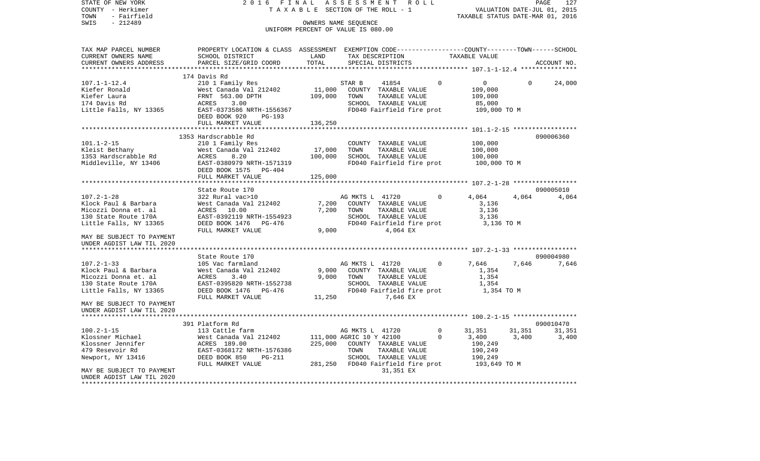| - Herkimer<br>COUNTY<br>TOWN<br>- Fairfield<br>SWIS<br>$-212489$                                                   | TAXABLE                                                                                                                                                      |                              | VALUATION DATE-JUL 01, 2015<br>TAXABLE STATUS DATE-MAR 01, 2016                                                                                           |                                                                          |                                 |                 |
|--------------------------------------------------------------------------------------------------------------------|--------------------------------------------------------------------------------------------------------------------------------------------------------------|------------------------------|-----------------------------------------------------------------------------------------------------------------------------------------------------------|--------------------------------------------------------------------------|---------------------------------|-----------------|
|                                                                                                                    |                                                                                                                                                              |                              | OWNERS NAME SEOUENCE<br>UNIFORM PERCENT OF VALUE IS 080.00                                                                                                |                                                                          |                                 |                 |
| TAX MAP PARCEL NUMBER<br>CURRENT OWNERS NAME<br>CURRENT OWNERS ADDRESS                                             | PROPERTY LOCATION & CLASS ASSESSMENT EXEMPTION CODE---------------COUNTY-------TOWN-----SCHOOL<br>SCHOOL DISTRICT<br>PARCEL SIZE/GRID COORD                  | LAND<br>TOTAL                | TAX DESCRIPTION<br>SPECIAL DISTRICTS                                                                                                                      | TAXABLE VALUE                                                            |                                 | ACCOUNT NO.     |
|                                                                                                                    | 174 Davis Rd                                                                                                                                                 |                              |                                                                                                                                                           |                                                                          |                                 |                 |
| $107.1 - 1 - 12.4$<br>Kiefer Ronald<br>Kiefer Laura<br>174 Davis Rd<br>Little Falls, NY 13365                      | 210 1 Family Res<br>West Canada Val 212402<br>FRNT 563.00 DPTH<br>ACRES<br>3.00<br>EAST-0373586 NRTH-1556367<br>DEED BOOK 920<br>PG-193<br>FULL MARKET VALUE | 11,000<br>109,000<br>136,250 | STAR B<br>41854<br>COUNTY TAXABLE VALUE<br>TOWN<br>TAXABLE VALUE<br>SCHOOL TAXABLE VALUE<br>FD040 Fairfield fire prot                                     | $\Omega$<br>$\overline{0}$<br>109,000<br>109,000<br>85,000               | $\Omega$<br>109,000 TO M        | 24,000          |
|                                                                                                                    | 1353 Hardscrabble Rd                                                                                                                                         |                              |                                                                                                                                                           |                                                                          |                                 | 090006360       |
| $101.1 - 2 - 15$<br>Kleist Bethany<br>1353 Hardscrabble Rd<br>Middleville, NY 13406                                | 210 1 Family Res<br>West Canada Val 212402<br>ACRES<br>8.20<br>EAST-0380979 NRTH-1571319<br>DEED BOOK 1575<br>PG-404                                         | 17,000<br>100,000            | COUNTY TAXABLE VALUE<br>TOWN<br>TAXABLE VALUE<br>SCHOOL TAXABLE VALUE<br>FD040 Fairfield fire prot                                                        | 100,000<br>100,000<br>100,000                                            | 100,000 TO M                    |                 |
|                                                                                                                    | FULL MARKET VALUE                                                                                                                                            | 125,000                      |                                                                                                                                                           |                                                                          |                                 |                 |
|                                                                                                                    | State Route 170                                                                                                                                              |                              |                                                                                                                                                           |                                                                          |                                 | 090005010       |
| $107.2 - 1 - 28$<br>Klock Paul & Barbara<br>Micozzi Donna et. al<br>130 State Route 170A<br>Little Falls, NY 13365 | 322 Rural vac>10<br>West Canada Val 212402<br>ACRES 10.00<br>EAST-0392119 NRTH-1554923<br>DEED BOOK 1476 PG-476<br>FULL MARKET VALUE                         | 7,200<br>7,200<br>9,000      | AG MKTS L 41720<br>COUNTY TAXABLE VALUE<br>TAXABLE VALUE<br>TOWN<br>SCHOOL TAXABLE VALUE<br>FD040 Fairfield fire prot<br>4,064 EX                         | $\Omega$<br>4,064<br>3,136<br>3,136<br>3,136                             | 4,064<br>3,136 TO M             | 4,064           |
| MAY BE SUBJECT TO PAYMENT<br>UNDER AGDIST LAW TIL 2020                                                             |                                                                                                                                                              |                              |                                                                                                                                                           |                                                                          |                                 |                 |
|                                                                                                                    | State Route 170                                                                                                                                              |                              |                                                                                                                                                           |                                                                          |                                 | 090004980       |
| $107.2 - 1 - 33$<br>Klock Paul & Barbara<br>Micozzi Donna et. al<br>130 State Route 170A<br>Little Falls, NY 13365 | 105 Vac farmland<br>West Canada Val 212402<br>ACRES<br>3.40<br>EAST-0395820 NRTH-1552738<br>DEED BOOK 1476 PG-476                                            | 9,000<br>9.000               | AG MKTS L 41720<br>COUNTY TAXABLE VALUE<br>TOWN<br>TAXABLE VALUE<br>SCHOOL TAXABLE VALUE<br>FD040 Fairfield fire prot                                     | $\Omega$<br>7,646<br>1,354<br>1,354<br>1,354                             | 7,646<br>1,354 TO M             | 7,646           |
| MAY BE SUBJECT TO PAYMENT<br>UNDER AGDIST LAW TIL 2020                                                             | FULL MARKET VALUE                                                                                                                                            | 11,250                       | 7,646 EX                                                                                                                                                  |                                                                          |                                 |                 |
|                                                                                                                    |                                                                                                                                                              |                              |                                                                                                                                                           |                                                                          |                                 |                 |
|                                                                                                                    | 391 Platform Rd                                                                                                                                              |                              |                                                                                                                                                           |                                                                          |                                 | 090010470       |
| $100.2 - 1 - 15$<br>Klossner Michael<br>Klossner Jennifer<br>479 Resevoir Rd<br>Newport, NY 13416                  | 113 Cattle farm<br>West Canada Val 212402<br>ACRES 189.00<br>EAST-0368172 NRTH-1576386<br>DEED BOOK 850<br>PG-211<br>FULL MARKET VALUE                       | 225,000                      | AG MKTS L 41720<br>111,000 AGRIC 10 Y 42100<br>COUNTY TAXABLE VALUE<br>TOWN<br>TAXABLE VALUE<br>SCHOOL TAXABLE VALUE<br>281,250 FD040 Fairfield fire prot | $\Omega$<br>31,351<br>$\Omega$<br>3,400<br>190,249<br>190,249<br>190,249 | 31,351<br>3,400<br>193,649 TO M | 31,351<br>3,400 |
| MAY BE SUBJECT TO PAYMENT<br>UNDER AGDIST LAW TIL 2020<br>**********************                                   |                                                                                                                                                              |                              | 31,351 EX                                                                                                                                                 |                                                                          |                                 |                 |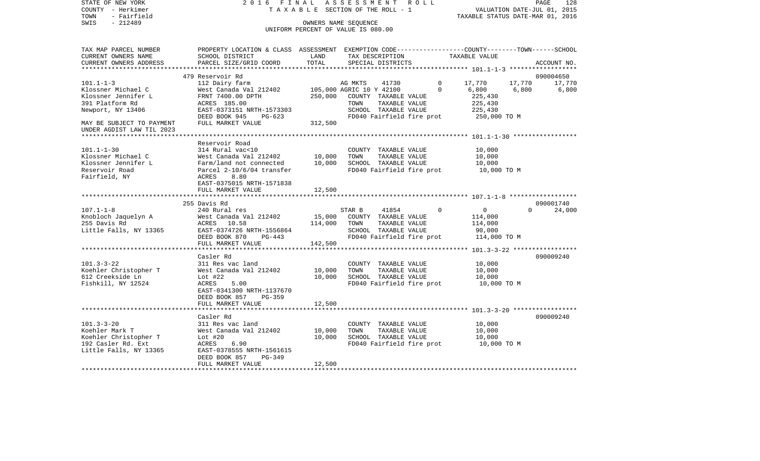| COUNTY<br>– Herkimer<br>TOWN<br>- Fairfield | TAXABLE SECTION OF THE ROLL - 1                                                                |               | VALUATION DATE-JUL 01, 2015<br>TAXABLE STATUS DATE-MAR 01, 2016 |                        |                            |             |
|---------------------------------------------|------------------------------------------------------------------------------------------------|---------------|-----------------------------------------------------------------|------------------------|----------------------------|-------------|
| SWIS<br>$-212489$                           |                                                                                                |               | OWNERS NAME SEQUENCE<br>UNIFORM PERCENT OF VALUE IS 080.00      |                        |                            |             |
| TAX MAP PARCEL NUMBER                       | PROPERTY LOCATION & CLASS ASSESSMENT EXEMPTION CODE---------------COUNTY-------TOWN-----SCHOOL |               |                                                                 |                        |                            |             |
| CURRENT OWNERS NAME                         | SCHOOL DISTRICT                                                                                | LAND<br>TOTAL | TAX DESCRIPTION                                                 | TAXABLE VALUE          |                            |             |
| CURRENT OWNERS ADDRESS                      | PARCEL SIZE/GRID COORD                                                                         |               | SPECIAL DISTRICTS                                               |                        |                            | ACCOUNT NO. |
|                                             | 479 Reservoir Rd                                                                               |               |                                                                 |                        |                            | 090004650   |
| $101.1 - 1 - 3$                             | 112 Dairy farm                                                                                 |               | AG MKTS<br>41730                                                | $\mathbf{0}$<br>17,770 | 17,770                     | 17,770      |
| Klossner Michael C                          | West Canada Val 212402                                                                         |               | 105,000 AGRIC 10 Y 42100                                        | 6,800<br>$\Omega$      | 6,800                      | 6,800       |
| Klossner Jennifer L                         | FRNT 7400.00 DPTH                                                                              | 250,000       | COUNTY TAXABLE VALUE                                            |                        | 225,430                    |             |
| 391 Platform Rd                             | ACRES 185.00                                                                                   |               | TOWN<br>TAXABLE VALUE                                           |                        | 225,430                    |             |
| Newport, NY 13406                           | EAST-0373151 NRTH-1573303                                                                      |               | SCHOOL TAXABLE VALUE                                            |                        | 225,430                    |             |
| MAY BE SUBJECT TO PAYMENT                   | DEED BOOK 945<br>$PG-623$<br>FULL MARKET VALUE                                                 | 312,500       | FD040 Fairfield fire prot                                       |                        | 250,000 TO M               |             |
| UNDER AGDIST LAW TIL 2023                   |                                                                                                |               |                                                                 |                        |                            |             |
|                                             |                                                                                                |               |                                                                 |                        |                            |             |
|                                             | Reservoir Road                                                                                 |               |                                                                 |                        |                            |             |
| $101.1 - 1 - 30$                            | 314 Rural vac<10                                                                               |               | COUNTY TAXABLE VALUE                                            |                        | 10,000                     |             |
| Klossner Michael C                          | West Canada Val 212402                                                                         | 10,000        | TOWN<br>TAXABLE VALUE                                           |                        | 10,000                     |             |
| Klossner Jennifer L                         | Farm/land not connected                                                                        | 10,000        | SCHOOL TAXABLE VALUE                                            |                        | 10,000                     |             |
| Reservoir Road                              | Parcel 2-10/6/04 transfer                                                                      |               | FD040 Fairfield fire prot                                       |                        | 10,000 TO M                |             |
| Fairfield, NY                               | ACRES<br>8.80<br>EAST-0375015 NRTH-1571838                                                     |               |                                                                 |                        |                            |             |
|                                             | FULL MARKET VALUE                                                                              | 12,500        |                                                                 |                        |                            |             |
|                                             | **********************                                                                         |               |                                                                 |                        |                            |             |
|                                             | 255 Davis Rd                                                                                   |               |                                                                 |                        |                            | 090001740   |
| $107.1 - 1 - 8$                             | 240 Rural res                                                                                  |               | STAR B<br>41854                                                 | $\Omega$               | $\overline{0}$<br>$\Omega$ | 24,000      |
| Knobloch Jaquelyn A                         | West Canada Val 212402                                                                         | 15,000        | COUNTY TAXABLE VALUE                                            |                        | 114,000                    |             |
| 255 Davis Rd                                | ACRES 10.58                                                                                    | 114,000       | TOWN<br>TAXABLE VALUE                                           |                        | 114,000                    |             |
| Little Falls, NY 13365                      | EAST-0374726 NRTH-1556864                                                                      |               | SCHOOL TAXABLE VALUE                                            |                        | 90,000                     |             |
|                                             | DEED BOOK 870<br>PG-443<br>FULL MARKET VALUE                                                   | 142,500       | FD040 Fairfield fire prot                                       |                        | 114,000 TO M               |             |
|                                             |                                                                                                |               |                                                                 |                        |                            |             |
|                                             | Casler Rd                                                                                      |               |                                                                 |                        |                            | 090009240   |
| $101.3 - 3 - 22$                            | 311 Res vac land                                                                               |               | COUNTY TAXABLE VALUE                                            |                        | 10,000                     |             |
| Koehler Christopher T                       | West Canada Val 212402                                                                         | 10,000        | TAXABLE VALUE<br>TOWN                                           |                        | 10,000                     |             |
| 612 Creekside Ln                            | Lot $#22$                                                                                      | 10,000        | SCHOOL TAXABLE VALUE                                            |                        | 10,000                     |             |
| Fishkill, NY 12524                          | 5.00<br>ACRES                                                                                  |               | FD040 Fairfield fire prot                                       |                        | 10,000 TO M                |             |
|                                             | EAST-0341300 NRTH-1137670<br>$PG-359$                                                          |               |                                                                 |                        |                            |             |
|                                             | DEED BOOK 857<br>FULL MARKET VALUE                                                             | 12,500        |                                                                 |                        |                            |             |
|                                             |                                                                                                |               |                                                                 |                        |                            |             |
|                                             | Casler Rd                                                                                      |               |                                                                 |                        |                            | 090009240   |
| $101.3 - 3 - 20$                            | 311 Res vac land                                                                               |               | COUNTY TAXABLE VALUE                                            |                        | 10,000                     |             |
| Koehler Mark T                              | West Canada Val 212402                                                                         | 10,000        | TOWN<br>TAXABLE VALUE                                           |                        | 10,000                     |             |
| Koehler Christopher T                       | Lot $#20$                                                                                      | 10,000        | SCHOOL TAXABLE VALUE                                            |                        | 10,000                     |             |
| 192 Casler Rd. Ext                          | ACRES<br>6.90                                                                                  |               | FD040 Fairfield fire prot                                       |                        | 10,000 TO M                |             |
| Little Falls, NY 13365                      | EAST-0378555 NRTH-1561615                                                                      |               |                                                                 |                        |                            |             |
|                                             | DEED BOOK 857<br>$PG-349$<br>FULL MARKET VALUE                                                 | 12,500        |                                                                 |                        |                            |             |
|                                             |                                                                                                |               |                                                                 |                        |                            |             |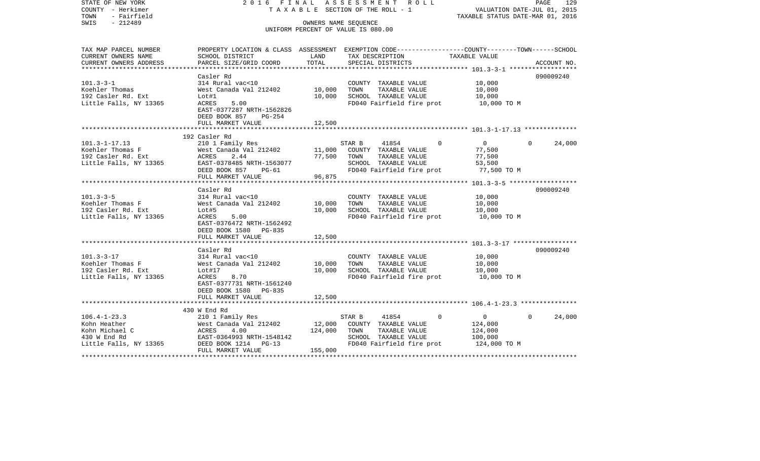| STATE OF NEW YORK<br>COUNTY - Herkimer<br>- Fairfield<br>TOWN<br>$-212489$<br>SWIS | 2016 FINAL                                                                                       |                  | ASSESSMENT ROLL<br>TAXABLE SECTION OF THE ROLL - 1<br>OWNERS NAME SEOUENCE<br>UNIFORM PERCENT OF VALUE IS 080.00 |                            | PAGE<br>129<br>VALUATION DATE-JUL 01, 2015<br>TAXABLE STATUS DATE-MAR 01, 2016 |
|------------------------------------------------------------------------------------|--------------------------------------------------------------------------------------------------|------------------|------------------------------------------------------------------------------------------------------------------|----------------------------|--------------------------------------------------------------------------------|
| TAX MAP PARCEL NUMBER                                                              | PROPERTY LOCATION & CLASS ASSESSMENT EXEMPTION CODE----------------COUNTY-------TOWN------SCHOOL |                  |                                                                                                                  |                            |                                                                                |
| CURRENT OWNERS NAME                                                                | SCHOOL DISTRICT                                                                                  | LAND             | TAX DESCRIPTION                                                                                                  | TAXABLE VALUE              |                                                                                |
| CURRENT OWNERS ADDRESS<br>***********************                                  | PARCEL SIZE/GRID COORD                                                                           | TOTAL            | SPECIAL DISTRICTS                                                                                                |                            | ACCOUNT NO.                                                                    |
|                                                                                    | Casler Rd                                                                                        |                  |                                                                                                                  |                            | 090009240                                                                      |
| $101.3 - 3 - 1$                                                                    | 314 Rural vac<10                                                                                 |                  | COUNTY TAXABLE VALUE                                                                                             | 10,000                     |                                                                                |
| Koehler Thomas                                                                     | West Canada Val 212402                                                                           | 10,000           | TOWN<br>TAXABLE VALUE                                                                                            | 10,000                     |                                                                                |
| 192 Casler Rd. Ext                                                                 | Lot#1                                                                                            | 10,000           | SCHOOL TAXABLE VALUE                                                                                             | 10,000                     |                                                                                |
| Little Falls, NY 13365                                                             | <b>ACRES</b><br>5.00                                                                             |                  | FD040 Fairfield fire prot                                                                                        | 10,000 TO M                |                                                                                |
|                                                                                    | EAST-0377287 NRTH-1562826<br>DEED BOOK 857<br>$PG-254$                                           |                  |                                                                                                                  |                            |                                                                                |
|                                                                                    | FULL MARKET VALUE                                                                                | 12,500           |                                                                                                                  |                            |                                                                                |
|                                                                                    |                                                                                                  |                  |                                                                                                                  |                            |                                                                                |
|                                                                                    | 192 Casler Rd                                                                                    |                  |                                                                                                                  |                            |                                                                                |
| $101.3 - 1 - 17.13$                                                                | 210 1 Family Res                                                                                 |                  | STAR B<br>41854                                                                                                  | $\overline{0}$<br>$\Omega$ | $\Omega$<br>24,000                                                             |
| Koehler Thomas F<br>192 Casler Rd. Ext                                             | West Canada Val 212402<br>ACRES<br>2.44                                                          | 11,000<br>77,500 | COUNTY TAXABLE VALUE<br>TAXABLE VALUE<br>TOWN                                                                    | 77,500<br>77,500           |                                                                                |
| Little Falls, NY 13365                                                             | EAST-0378485 NRTH-1563077                                                                        |                  | SCHOOL TAXABLE VALUE                                                                                             | 53,500                     |                                                                                |
|                                                                                    | DEED BOOK 857<br>$PG-61$                                                                         |                  | FD040 Fairfield fire prot                                                                                        | 77,500 TO M                |                                                                                |
|                                                                                    | FULL MARKET VALUE                                                                                | 96,875           |                                                                                                                  |                            |                                                                                |
|                                                                                    |                                                                                                  |                  |                                                                                                                  |                            |                                                                                |
|                                                                                    | Casler Rd                                                                                        |                  |                                                                                                                  |                            | 090009240                                                                      |
| $101.3 - 3 - 5$<br>Koehler Thomas F                                                | 314 Rural vac<10<br>West Canada Val 212402                                                       | 10,000           | COUNTY TAXABLE VALUE<br>TAXABLE VALUE<br>TOWN                                                                    | 10,000<br>10,000           |                                                                                |
| 192 Casler Rd. Ext                                                                 | Lot#5                                                                                            | 10,000           | SCHOOL TAXABLE VALUE                                                                                             | 10,000                     |                                                                                |
| Little Falls, NY 13365                                                             | ACRES<br>5.00                                                                                    |                  | FD040 Fairfield fire prot                                                                                        | 10,000 TO M                |                                                                                |
|                                                                                    | EAST-0376472 NRTH-1562492                                                                        |                  |                                                                                                                  |                            |                                                                                |
|                                                                                    | DEED BOOK 1580 PG-835                                                                            |                  |                                                                                                                  |                            |                                                                                |
|                                                                                    | FULL MARKET VALUE                                                                                | 12,500           |                                                                                                                  |                            |                                                                                |
|                                                                                    | Casler Rd                                                                                        |                  |                                                                                                                  |                            | 090009240                                                                      |
| $101.3 - 3 - 17$                                                                   | 314 Rural vac<10                                                                                 |                  | COUNTY TAXABLE VALUE                                                                                             | 10,000                     |                                                                                |
| Koehler Thomas F                                                                   | West Canada Val 212402                                                                           | 10,000           | TAXABLE VALUE<br>TOWN                                                                                            | 10,000                     |                                                                                |
| 192 Casler Rd. Ext                                                                 | Lot#17                                                                                           | 10,000           | SCHOOL TAXABLE VALUE                                                                                             | 10,000                     |                                                                                |
| Little Falls, NY 13365                                                             | ACRES<br>8.70                                                                                    |                  | FD040 Fairfield fire prot                                                                                        | 10,000 TO M                |                                                                                |
|                                                                                    | EAST-0377731 NRTH-1561240                                                                        |                  |                                                                                                                  |                            |                                                                                |
|                                                                                    | DEED BOOK 1580 PG-835<br>FULL MARKET VALUE                                                       | 12,500           |                                                                                                                  |                            |                                                                                |
|                                                                                    |                                                                                                  |                  |                                                                                                                  |                            |                                                                                |
|                                                                                    | 430 W End Rd                                                                                     |                  |                                                                                                                  |                            |                                                                                |
| $106.4 - 1 - 23.3$                                                                 | 210 1 Family Res                                                                                 |                  | STAR B<br>41854                                                                                                  | $\overline{0}$<br>$\Omega$ | 24,000<br>$\Omega$                                                             |
| Kohn Heather                                                                       | West Canada Val 212402                                                                           | 12,000           | COUNTY TAXABLE VALUE                                                                                             | 124,000                    |                                                                                |
| Kohn Michael C                                                                     | ACRES<br>4.00                                                                                    | 124,000          | TOWN<br>TAXABLE VALUE                                                                                            | 124,000                    |                                                                                |
| 430 W End Rd<br>Little Falls, NY 13365                                             | EAST-0364993 NRTH-1548142<br>DEED BOOK 1214<br>$PG-13$                                           |                  | SCHOOL TAXABLE VALUE<br>FD040 Fairfield fire prot                                                                | 100,000<br>124,000 TO M    |                                                                                |
|                                                                                    | FULL MARKET VALUE                                                                                | 155,000          |                                                                                                                  |                            |                                                                                |
| ***********                                                                        |                                                                                                  |                  |                                                                                                                  |                            | ******************************                                                 |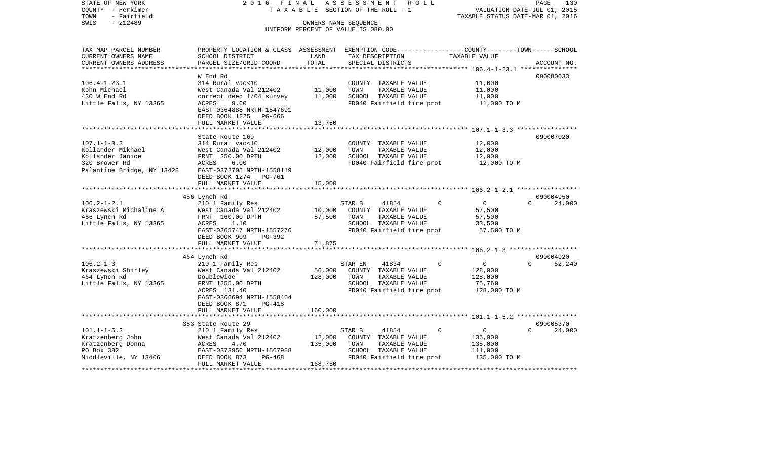| STATE OF NEW YORK                                                                                                                               |                              |         | 2016 FINAL ASSESSMENT ROLL                                 | PAGE<br>130                                                                                      |
|-------------------------------------------------------------------------------------------------------------------------------------------------|------------------------------|---------|------------------------------------------------------------|--------------------------------------------------------------------------------------------------|
| COUNTY - Herkimer                                                                                                                               |                              |         | T A X A B L E SECTION OF THE ROLL - 1                      | VALUATION DATE-JUL 01, 2015                                                                      |
| - Fairfield<br>TOWN                                                                                                                             |                              |         |                                                            | TAXABLE STATUS DATE-MAR 01, 2016                                                                 |
| SWIS<br>$-212489$                                                                                                                               |                              |         | OWNERS NAME SEQUENCE<br>UNIFORM PERCENT OF VALUE IS 080.00 |                                                                                                  |
|                                                                                                                                                 |                              |         |                                                            |                                                                                                  |
|                                                                                                                                                 |                              |         |                                                            |                                                                                                  |
| TAX MAP PARCEL NUMBER                                                                                                                           |                              |         |                                                            | PROPERTY LOCATION & CLASS ASSESSMENT EXEMPTION CODE----------------COUNTY-------TOWN------SCHOOL |
| CURRENT OWNERS NAME                                                                                                                             | SCHOOL DISTRICT              | LAND    | TAX DESCRIPTION                                            | TAXABLE VALUE                                                                                    |
| CURRENT OWNERS ADDRESS                                                                                                                          | PARCEL SIZE/GRID COORD       | TOTAL   | SPECIAL DISTRICTS                                          | ACCOUNT NO.                                                                                      |
|                                                                                                                                                 |                              |         |                                                            |                                                                                                  |
| $106.4 - 1 - 23.1$                                                                                                                              | W End Rd<br>314 Rural vac<10 |         | COUNTY TAXABLE VALUE                                       | 090080033<br>11,000                                                                              |
| Kohn Michael                                                                                                                                    | West Canada Val 212402       | 11,000  | TAXABLE VALUE<br>TOWN                                      | 11,000                                                                                           |
| 430 W End Rd                                                                                                                                    | correct deed 1/04 survey     | 11,000  | SCHOOL TAXABLE VALUE                                       | 11,000                                                                                           |
| Little Falls, NY 13365                                                                                                                          | ACRES<br>9.60                |         | FD040 Fairfield fire prot                                  | 11,000 TO M                                                                                      |
|                                                                                                                                                 | EAST-0364888 NRTH-1547691    |         |                                                            |                                                                                                  |
|                                                                                                                                                 | DEED BOOK 1225 PG-666        |         |                                                            |                                                                                                  |
|                                                                                                                                                 | FULL MARKET VALUE            | 13,750  |                                                            |                                                                                                  |
|                                                                                                                                                 | *************************    |         |                                                            |                                                                                                  |
|                                                                                                                                                 | State Route 169              |         |                                                            | 090007020                                                                                        |
| $107.1 - 1 - 3.3$                                                                                                                               | 314 Rural vac<10             |         | COUNTY TAXABLE VALUE                                       | 12,000                                                                                           |
| Kollander Mikhael                                                                                                                               | West Canada Val 212402       | 12,000  | TAXABLE VALUE<br>TOWN                                      | 12,000                                                                                           |
| Kollander Janice                                                                                                                                | FRNT 250.00 DPTH             | 12,000  | SCHOOL TAXABLE VALUE                                       | 12,000                                                                                           |
| 320 Brower Rd<br>320 Brower Rd                                   ACRES       6.00<br>Palantine Bridge, NY 13428       EAST-0372705 NRTH-1558119 | ACRES 6.00                   |         | FD040 Fairfield fire prot                                  | 12,000 TO M                                                                                      |
|                                                                                                                                                 |                              |         |                                                            |                                                                                                  |
|                                                                                                                                                 | DEED BOOK 1274 PG-761        |         |                                                            |                                                                                                  |
|                                                                                                                                                 | FULL MARKET VALUE            | 15,000  |                                                            |                                                                                                  |
|                                                                                                                                                 | 456 Lynch Rd                 |         |                                                            | 090004950                                                                                        |
| $106.2 - 1 - 2.1$                                                                                                                               | 210 1 Family Res             |         | STAR B<br>$\Omega$<br>41854                                | $\overline{0}$<br>$\Omega$<br>24,000                                                             |
| Kraszewski Michaline A                                                                                                                          | West Canada Val 212402       | 10,000  | COUNTY TAXABLE VALUE                                       | 57,500                                                                                           |
| 456 Lynch Rd                                                                                                                                    | FRNT 160.00 DPTH             | 57,500  | TOWN<br>TAXABLE VALUE                                      | 57,500                                                                                           |
| Little Falls, NY 13365                                                                                                                          | ACRES<br>1.10                |         | SCHOOL TAXABLE VALUE                                       | 33,500                                                                                           |
|                                                                                                                                                 | EAST-0365747 NRTH-1557276    |         | FD040 Fairfield fire prot                                  | 57,500 TO M                                                                                      |
|                                                                                                                                                 | DEED BOOK 909<br>PG-392      |         |                                                            |                                                                                                  |
|                                                                                                                                                 | FULL MARKET VALUE            | 71,875  |                                                            |                                                                                                  |
|                                                                                                                                                 |                              |         |                                                            |                                                                                                  |
|                                                                                                                                                 | 464 Lynch Rd                 |         |                                                            | 090004920                                                                                        |
| $106.2 - 1 - 3$                                                                                                                                 | 210 1 Family Res             |         | $\Omega$<br>STAR EN<br>41834                               | $\overline{0}$<br>52,240<br>$\Omega$                                                             |
| Kraszewski Shirley                                                                                                                              | West Canada Val 212402       | 56,000  | COUNTY TAXABLE VALUE                                       | 128,000                                                                                          |
| 464 Lynch Rd                                                                                                                                    | Doublewide                   | 128,000 | TOWN<br>TAXABLE VALUE                                      | 128,000                                                                                          |
| Little Falls, NY 13365                                                                                                                          | FRNT 1255.00 DPTH            |         | SCHOOL TAXABLE VALUE                                       | 75,760                                                                                           |
|                                                                                                                                                 | ACRES 131.40                 |         | FD040 Fairfield fire prot                                  | 128,000 TO M                                                                                     |
|                                                                                                                                                 | EAST-0366694 NRTH-1558464    |         |                                                            |                                                                                                  |
|                                                                                                                                                 | DEED BOOK 871<br>PG-418      |         |                                                            |                                                                                                  |
|                                                                                                                                                 | FULL MARKET VALUE            | 160,000 |                                                            |                                                                                                  |
|                                                                                                                                                 | 383 State Route 29           |         |                                                            | 090005370                                                                                        |
| $101.1 - 1 - 5.2$                                                                                                                               | 210 1 Family Res             |         | STAR B<br>41854<br>$\Omega$                                | $\overline{0}$<br>24,000<br>$\Omega$                                                             |
| Kratzenberg John                                                                                                                                | West Canada Val 212402       | 12,000  | COUNTY TAXABLE VALUE                                       | 135,000                                                                                          |
| Kratzenberg Donna                                                                                                                               | ACRES<br>4.70                | 135,000 | TAXABLE VALUE<br>TOWN                                      | 135,000                                                                                          |
| PO Box 382                                                                                                                                      | EAST-0373956 NRTH-1567988    |         | SCHOOL TAXABLE VALUE                                       | 111,000                                                                                          |
| Middleville, NY 13406                                                                                                                           | DEED BOOK 873<br>PG-468      |         | FD040 Fairfield fire prot                                  | 135,000 TO M                                                                                     |
|                                                                                                                                                 | FULL MARKET VALUE            | 168,750 |                                                            |                                                                                                  |
|                                                                                                                                                 |                              |         |                                                            |                                                                                                  |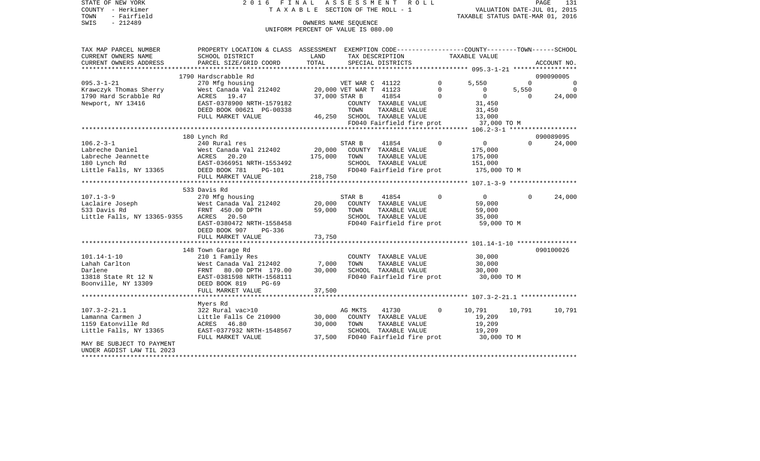STATE OF NEW YORK 2 0 1 6 F I N A L A S S E S S M E N T R O L L PAGE 131COUNTY - Herkimer **T A X A B L E** SECTION OF THE ROLL - 1 VALUATION DATE-JUL 01, 2015 TOWN - Fairfield TAXABLE STATUS DATE-MAR 01, 2016 SWIS - 212489 OWNERS NAME SEQUENCE UNIFORM PERCENT OF VALUE IS 080.00TAX MAP PARCEL NUMBER PROPERTY LOCATION & CLASS ASSESSMENT EXEMPTION CODE------------------COUNTY--------TOWN------SCHOOL CURRENT OWNERS NAME SCHOOL DISTRICT LAND TAX DESCRIPTION TAXABLE VALUECURRENT OWNERS ADDRESS PARCEL SIZE/GRID COORD TOTAL SPECIAL DISTRICTS ACCOUNT NO. \*\*\*\*\*\*\*\*\*\*\*\*\*\*\*\*\*\*\*\*\*\*\*\*\*\*\*\*\*\*\*\*\*\*\*\*\*\*\*\*\*\*\*\*\*\*\*\*\*\*\*\*\*\*\*\*\*\*\*\*\*\*\*\*\*\*\*\*\*\*\*\*\*\*\*\*\*\*\*\*\*\*\*\*\*\*\*\*\*\*\*\*\*\*\*\*\*\*\*\*\*\*\* 095.3-1-21 \*\*\*\*\*\*\*\*\*\*\*\*\*\*\*\*\* 1790 Hardscrabble Rd 090090005095.3-1-21 270 Mfg housing CDET WAR C 41122 0 5,550 0 0 0 Krawczyk Thomas Sherry Mest Canada Val 212402 20,000 VET WAR T 41123 0 0 5,550 0 0 1790 Hard Scrabble Rd ACRES 19.47 37,000 STAR B 41854 0 0 0 24,000 Newport, NY 13416 EAST-0378900 NRTH-1579182 COUNTY TAXABLE VALUE 31,450 DEED BOOK 00621 PG-00338 TOWN TAXABLE VALUE 31,450 FULL MARKET VALUE 46,250 SCHOOL TAXABLE VALUE 13,000 FD040 Fairfield fire prot 37,000 TO M \*\*\*\*\*\*\*\*\*\*\*\*\*\*\*\*\*\*\*\*\*\*\*\*\*\*\*\*\*\*\*\*\*\*\*\*\*\*\*\*\*\*\*\*\*\*\*\*\*\*\*\*\*\*\*\*\*\*\*\*\*\*\*\*\*\*\*\*\*\*\*\*\*\*\*\*\*\*\*\*\*\*\*\*\*\*\*\*\*\*\*\*\*\*\*\*\*\*\*\*\*\*\* 106.2-3-1 \*\*\*\*\*\*\*\*\*\*\*\*\*\*\*\*\*\* 180 Lynch Rd 090089095 106.2-3-1 240 Rural res STAR B 41854 0 0 0 24,000 Labreche Daniel West Canada Val 212402 20,000 COUNTY TAXABLE VALUE 175,000 Labreche Jeannette ACRES 20.20 175,000 TOWN TAXABLE VALUE 175,000 180 Lynch Rd EAST-0366951 NRTH-1553492 SCHOOL TAXABLE VALUE 151,000 Little Falls, NY 13365 DEED BOOK 781 PG-101 FD040 Fairfield fire prot 175,000 TO M FULL MARKET VALUE 218,750 \*\*\*\*\*\*\*\*\*\*\*\*\*\*\*\*\*\*\*\*\*\*\*\*\*\*\*\*\*\*\*\*\*\*\*\*\*\*\*\*\*\*\*\*\*\*\*\*\*\*\*\*\*\*\*\*\*\*\*\*\*\*\*\*\*\*\*\*\*\*\*\*\*\*\*\*\*\*\*\*\*\*\*\*\*\*\*\*\*\*\*\*\*\*\*\*\*\*\*\*\*\*\* 107.1-3-9 \*\*\*\*\*\*\*\*\*\*\*\*\*\*\*\*\*\* 533 Davis Rd107.1-3-9 270 Mfg housing STAR B 41854 0 0 0 24,000 Laclaire Joseph West Canada Val 212402 20,000 COUNTY TAXABLE VALUE 59,000 533 Davis Rd FRNT 450.00 DPTH 59,000 TOWN TAXABLE VALUE 59,000 Little Falls, NY 13365-9355 ACRES 20.50 SCHOOL TAXABLE VALUE 35,000 EAST-0380472 NRTH-1558458 FD040 Fairfield fire prot 59,000 TO M DEED BOOK 907 PG-336FULL MARKET VALUE 73,750 \*\*\*\*\*\*\*\*\*\*\*\*\*\*\*\*\*\*\*\*\*\*\*\*\*\*\*\*\*\*\*\*\*\*\*\*\*\*\*\*\*\*\*\*\*\*\*\*\*\*\*\*\*\*\*\*\*\*\*\*\*\*\*\*\*\*\*\*\*\*\*\*\*\*\*\*\*\*\*\*\*\*\*\*\*\*\*\*\*\*\*\*\*\*\*\*\*\*\*\*\*\*\* 101.14-1-10 \*\*\*\*\*\*\*\*\*\*\*\*\*\*\*\* 148 Town Garage Rd 090100026 101.14-1-10 210 1 Family Res COUNTY TAXABLE VALUE 30,000 Lahah Carlton West Canada Val 212402 7,000 TOWN TAXABLE VALUE 30,000 Darlene FRNT 80.00 DPTH 179.00 30,000 SCHOOL TAXABLE VALUE 30,000 13818 State Rt 12 N EAST-0381598 NRTH-1568111 FD040 Fairfield fire prot 30,000 TO M Boonville, NY 13309 DEED BOOK 819 PG-69 FULL MARKET VALUE 37,500 \*\*\*\*\*\*\*\*\*\*\*\*\*\*\*\*\*\*\*\*\*\*\*\*\*\*\*\*\*\*\*\*\*\*\*\*\*\*\*\*\*\*\*\*\*\*\*\*\*\*\*\*\*\*\*\*\*\*\*\*\*\*\*\*\*\*\*\*\*\*\*\*\*\*\*\*\*\*\*\*\*\*\*\*\*\*\*\*\*\*\*\*\*\*\*\*\*\*\*\*\*\*\* 107.3-2-21.1 \*\*\*\*\*\*\*\*\*\*\*\*\*\*\* Myers Rd 107.3-2-21.1 322 Rural vac>10 AG MKTS 41730 0 10,791 10,791 10,791 Lamanna Carmen J Little Falls Ce 210900 30,000 COUNTY TAXABLE VALUE 19,209 1159 Eatonville Rd  $ACRES$  46.80 30,000 TOWN TAXABLE VALUE 19,209 Little Falls, NY 13365 EAST-0377932 NRTH-1548567 SCHOOL TAXABLE VALUE 19,209 FULL MARKET VALUE  $37,500$  FD040 Fairfield fire prot  $30,000$  TO M

MAY BE SUBJECT TO PAYMENT UNDER AGDIST LAW TIL 2023\*\*\*\*\*\*\*\*\*\*\*\*\*\*\*\*\*\*\*\*\*\*\*\*\*\*\*\*\*\*\*\*\*\*\*\*\*\*\*\*\*\*\*\*\*\*\*\*\*\*\*\*\*\*\*\*\*\*\*\*\*\*\*\*\*\*\*\*\*\*\*\*\*\*\*\*\*\*\*\*\*\*\*\*\*\*\*\*\*\*\*\*\*\*\*\*\*\*\*\*\*\*\*\*\*\*\*\*\*\*\*\*\*\*\*\*\*\*\*\*\*\*\*\*\*\*\*\*\*\*\*\*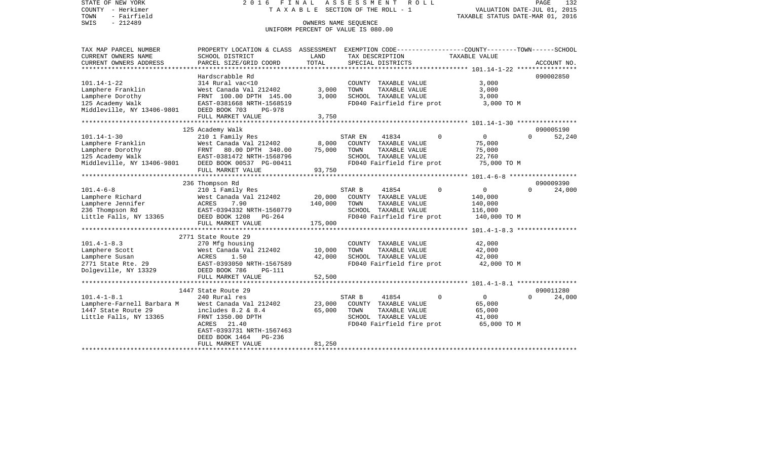TOWN - Fairfield TAXABLE STATUS DATE-MAR 01, 2016

## STATE OF NEW YORK 2 0 1 6 F I N A L A S S E S S M E N T R O L L PAGE 132COUNTY - Herkimer  $T A X A B L E$  SECTION OF THE ROLL - 1

PAGE 132

## OWNERS NAME SEQUENCE UNIFORM PERCENT OF VALUE IS 080.00

| TAX MAP PARCEL NUMBER                                 | PROPERTY LOCATION & CLASS ASSESSMENT EXEMPTION CODE----------------COUNTY-------TOWN-----SCHOOL |         |                           |                                  |          |             |
|-------------------------------------------------------|-------------------------------------------------------------------------------------------------|---------|---------------------------|----------------------------------|----------|-------------|
| CURRENT OWNERS NAME                                   | SCHOOL DISTRICT                                                                                 | LAND    | TAX DESCRIPTION           | TAXABLE VALUE                    |          |             |
| CURRENT OWNERS ADDRESS                                | PARCEL SIZE/GRID COORD                                                                          | TOTAL   | SPECIAL DISTRICTS         |                                  |          | ACCOUNT NO. |
|                                                       | Hardscrabble Rd                                                                                 |         |                           |                                  |          | 090002850   |
| 101.14-1-22                                           | 314 Rural vac<10                                                                                |         | COUNTY TAXABLE VALUE      | 3,000                            |          |             |
| Lamphere Franklin                                     | West Canada Val 212402                                                                          | 3,000   | TAXABLE VALUE<br>TOWN     | 3,000                            |          |             |
| Lamphere Dorothy                                      |                                                                                                 | 3,000   | SCHOOL TAXABLE VALUE      | 3,000                            |          |             |
| 125 Academy Walk                                      | FRNT 100.00 DPTH 145.00<br>EAST-0381668 NRTH-1568519                                            |         | FD040 Fairfield fire prot | 3,000 TO M                       |          |             |
| Middleville, NY 13406-9801 DEED BOOK 703              | PG-978                                                                                          |         |                           |                                  |          |             |
|                                                       | FULL MARKET VALUE                                                                               | 3,750   |                           |                                  |          |             |
|                                                       |                                                                                                 |         |                           |                                  |          |             |
|                                                       | 125 Academy Walk                                                                                |         |                           |                                  |          | 090005190   |
| $101.14 - 1 - 30$                                     | 210 1 Family Res                                                                                |         | 41834<br>STAR EN          | 0<br>$\Omega$                    | $\cap$   | 52,240      |
| Lamphere Franklin                                     | West Canada Val 212402                                                                          | 8,000   | COUNTY TAXABLE VALUE      | 75,000                           |          |             |
| Lamphere Dorothy                                      |                                                                                                 | 75,000  | TOWN<br>TAXABLE VALUE     | 75,000                           |          |             |
| 125 Academy Walk                                      | FRNT 80.00 DPTH 340.00<br>EAST-0381472 NRTH-1568796                                             |         | SCHOOL TAXABLE VALUE      | 22,760                           |          |             |
| Middleville, NY 13406-9801 DEED BOOK 00537 PG-00411   |                                                                                                 |         | FD040 Fairfield fire prot | 75,000 TO M                      |          |             |
|                                                       | FULL MARKET VALUE                                                                               | 93,750  |                           |                                  |          |             |
|                                                       |                                                                                                 |         |                           |                                  |          |             |
|                                                       | 236 Thompson Rd                                                                                 |         |                           |                                  |          | 090009390   |
| $101.4 - 6 - 8$                                       | 210 1 Family Res                                                                                |         | 41854<br>STAR B           | $\Omega$<br>0                    | $\Omega$ | 24,000      |
| Lamphere Richard                                      | West Canada Val 212402                                                                          | 20,000  | COUNTY TAXABLE VALUE      | 140,000                          |          |             |
| Lamphere Jennifer                                     | ACRES       7.90<br>EAST-0394332  NRTH-1560779                                                  | 140,000 | TOWN<br>TAXABLE VALUE     | 140,000                          |          |             |
| 236 Thompson Rd                                       |                                                                                                 |         | SCHOOL TAXABLE VALUE      | 116,000                          |          |             |
| Little Falls, NY 13365 DEED BOOK 1208                 | PG-264                                                                                          |         | FD040 Fairfield fire prot | 140,000 TO M                     |          |             |
|                                                       | FULL MARKET VALUE                                                                               | 175,000 |                           |                                  |          |             |
|                                                       |                                                                                                 |         |                           |                                  |          |             |
|                                                       | 2771 State Route 29                                                                             |         |                           |                                  |          |             |
| $101.4 - 1 - 8.3$                                     | 270 Mfg housing                                                                                 |         | COUNTY TAXABLE VALUE      | 42,000                           |          |             |
| Lamphere Scott                                        | West Canada Val 212402                                                                          | 10,000  | TOWN<br>TAXABLE VALUE     | 42,000                           |          |             |
| Lamphere Susan                                        | ACRES 1.50                                                                                      | 42,000  | SCHOOL TAXABLE VALUE      | 42,000                           |          |             |
| 2771 State Rte. 29                                    | EAST-0393050 NRTH-1567589                                                                       |         | FD040 Fairfield fire prot | 42,000 TO M                      |          |             |
| Dolgeville, NY 13329                                  | DEED BOOK 786<br>PG-111                                                                         |         |                           |                                  |          |             |
|                                                       | FULL MARKET VALUE                                                                               | 52,500  |                           |                                  |          |             |
|                                                       | 1447 State Route 29                                                                             |         |                           |                                  |          | 090011280   |
| $101.4 - 1 - 8.1$                                     | 240 Rural res                                                                                   |         | 41854<br>STAR B           | $\overline{0}$<br>$\overline{0}$ | $\Omega$ | 24,000      |
| Lamphere-Farnell Barbara M     West Canada Val 212402 |                                                                                                 | 23,000  | COUNTY TAXABLE VALUE      | 65,000                           |          |             |
| 1447 State Route 29                                   | includes 8.2 & 8.4                                                                              | 65,000  | TOWN<br>TAXABLE VALUE     | 65,000                           |          |             |
| Little Falls, NY 13365                                | FRNT 1350.00 DPTH                                                                               |         | SCHOOL TAXABLE VALUE      | 41,000                           |          |             |
|                                                       | ACRES 21.40                                                                                     |         | FD040 Fairfield fire prot | 65,000 TO M                      |          |             |
|                                                       | EAST-0393731 NRTH-1567463                                                                       |         |                           |                                  |          |             |
|                                                       | DEED BOOK 1464<br>PG-236                                                                        |         |                           |                                  |          |             |
|                                                       | FULL MARKET VALUE                                                                               | 81,250  |                           |                                  |          |             |
|                                                       |                                                                                                 |         |                           |                                  |          |             |
|                                                       |                                                                                                 |         |                           |                                  |          |             |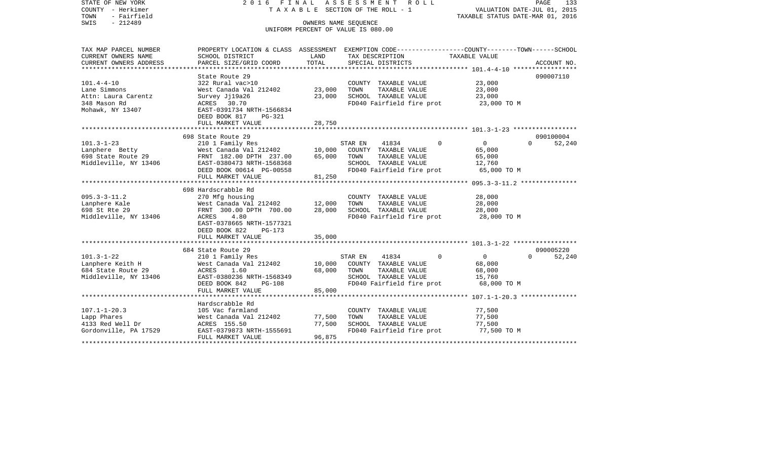| STATE OF NEW YORK<br>COUNTY - Herkimer<br>- Fairfield<br>TOWN<br>$-212489$<br>SWIS | 2016 FINAL<br>TAXABLE SECTION OF THE ROLL - 1<br>UNIFORM PERCENT OF VALUE IS 080.00 | PAGE<br>133<br>VALUATION DATE-JUL 01, 2015<br>TAXABLE STATUS DATE-MAR 01, 2016 |                                 |                                                                                                                  |  |
|------------------------------------------------------------------------------------|-------------------------------------------------------------------------------------|--------------------------------------------------------------------------------|---------------------------------|------------------------------------------------------------------------------------------------------------------|--|
| TAX MAP PARCEL NUMBER<br>CURRENT OWNERS NAME                                       | SCHOOL DISTRICT                                                                     | LAND                                                                           | TAX DESCRIPTION                 | PROPERTY LOCATION & CLASS ASSESSMENT EXEMPTION CODE---------------COUNTY-------TOWN------SCHOOL<br>TAXABLE VALUE |  |
| CURRENT OWNERS ADDRESS                                                             | PARCEL SIZE/GRID COORD                                                              | TOTAL                                                                          | SPECIAL DISTRICTS               | ACCOUNT NO.                                                                                                      |  |
| ***********************                                                            | ***********************                                                             |                                                                                |                                 |                                                                                                                  |  |
| $101.4 - 4 - 10$                                                                   | State Route 29<br>322 Rural vac>10                                                  |                                                                                | COUNTY TAXABLE VALUE            | 090007110<br>23,000                                                                                              |  |
| Lane Simmons                                                                       | West Canada Val 212402                                                              | 23,000                                                                         | TAXABLE VALUE<br>TOWN           | 23,000                                                                                                           |  |
| Attn: Laura Carentz                                                                | Survey Jj19a26                                                                      | 23,000                                                                         | SCHOOL TAXABLE VALUE            | 23,000                                                                                                           |  |
| 348 Mason Rd                                                                       | ACRES 30.70                                                                         |                                                                                | FD040 Fairfield fire prot       | 23,000 TO M                                                                                                      |  |
| Mohawk, NY 13407                                                                   | EAST-0391734 NRTH-1566834<br>DEED BOOK 817<br>PG-321                                |                                                                                |                                 |                                                                                                                  |  |
|                                                                                    | FULL MARKET VALUE                                                                   | 28,750                                                                         |                                 |                                                                                                                  |  |
|                                                                                    |                                                                                     |                                                                                |                                 |                                                                                                                  |  |
|                                                                                    | 698 State Route 29                                                                  |                                                                                |                                 | 090100004                                                                                                        |  |
| $101.3 - 1 - 23$                                                                   | 210 1 Family Res                                                                    |                                                                                | 41834<br>$\mathbf 0$<br>STAR EN | $\overline{0}$<br>52,240<br>$\Omega$                                                                             |  |
| Lanphere Betty                                                                     | West Canada Val 212402                                                              | 10,000                                                                         | COUNTY TAXABLE VALUE            | 65,000                                                                                                           |  |
| 698 State Route 29                                                                 | FRNT 182.00 DPTH 237.00                                                             | 65,000                                                                         | TOWN<br>TAXABLE VALUE           | 65,000                                                                                                           |  |
| Middleville, NY 13406                                                              | EAST-0380473 NRTH-1568368                                                           |                                                                                | SCHOOL TAXABLE VALUE            | 12,760                                                                                                           |  |
|                                                                                    | DEED BOOK 00614 PG-00558<br>FULL MARKET VALUE                                       | 81,250                                                                         | FD040 Fairfield fire prot       | 65,000 TO M                                                                                                      |  |
|                                                                                    |                                                                                     |                                                                                |                                 |                                                                                                                  |  |
|                                                                                    | 698 Hardscrabble Rd                                                                 |                                                                                |                                 |                                                                                                                  |  |
| $095.3 - 3 - 11.2$                                                                 | 270 Mfg housing                                                                     |                                                                                | COUNTY TAXABLE VALUE            | 28,000                                                                                                           |  |
| Lanphere Kale                                                                      | West Canada Val 212402                                                              | 12,000                                                                         | TOWN<br>TAXABLE VALUE           | 28,000                                                                                                           |  |
| 698 St Rte 29                                                                      | FRNT 300.00 DPTH 700.00                                                             | 28,000                                                                         | SCHOOL TAXABLE VALUE            | 28,000                                                                                                           |  |
| Middleville, NY 13406                                                              | ACRES<br>4.80                                                                       |                                                                                | FD040 Fairfield fire prot       | 28,000 TO M                                                                                                      |  |
|                                                                                    | EAST-0378665 NRTH-1577321                                                           |                                                                                |                                 |                                                                                                                  |  |
|                                                                                    | DEED BOOK 822<br>$PG-173$                                                           |                                                                                |                                 |                                                                                                                  |  |
|                                                                                    | FULL MARKET VALUE                                                                   | 35,000                                                                         |                                 |                                                                                                                  |  |
|                                                                                    |                                                                                     |                                                                                |                                 |                                                                                                                  |  |
|                                                                                    | 684 State Route 29                                                                  |                                                                                |                                 | 090005220                                                                                                        |  |
| $101.3 - 1 - 22$                                                                   | 210 1 Family Res                                                                    |                                                                                | $\Omega$<br>STAR EN<br>41834    | $\overline{0}$<br>$\Omega$<br>52,240                                                                             |  |
| Lanphere Keith H                                                                   | West Canada Val 212402                                                              | 10,000                                                                         | COUNTY TAXABLE VALUE            | 68,000                                                                                                           |  |
| 684 State Route 29                                                                 | ACRES<br>1.60                                                                       | 68,000                                                                         | TOWN<br>TAXABLE VALUE           | 68,000                                                                                                           |  |
| Middleville, NY 13406                                                              | EAST-0380236 NRTH-1568349                                                           |                                                                                | SCHOOL TAXABLE VALUE            | 15,760                                                                                                           |  |
|                                                                                    | DEED BOOK 842<br><b>PG-108</b><br>FULL MARKET VALUE                                 | 85,000                                                                         | FD040 Fairfield fire prot       | 68,000 TO M                                                                                                      |  |
|                                                                                    |                                                                                     |                                                                                |                                 | ********************* 107.1-1-20.3 ***************                                                               |  |
|                                                                                    | Hardscrabble Rd                                                                     |                                                                                |                                 |                                                                                                                  |  |
| $107.1 - 1 - 20.3$                                                                 | 105 Vac farmland                                                                    |                                                                                | COUNTY TAXABLE VALUE            | 77,500                                                                                                           |  |
| Lapp Phares                                                                        | West Canada Val 212402                                                              | 77,500                                                                         | TOWN<br>TAXABLE VALUE           | 77,500                                                                                                           |  |
| 4133 Red Well Dr                                                                   | ACRES 155.50                                                                        | 77,500                                                                         | SCHOOL TAXABLE VALUE            | 77,500                                                                                                           |  |
| Gordonville, PA 17529                                                              | EAST-0379873 NRTH-1555691                                                           |                                                                                | FD040 Fairfield fire prot       | 77,500 TO M                                                                                                      |  |
|                                                                                    | FULL MARKET VALUE                                                                   | 96,875                                                                         |                                 |                                                                                                                  |  |
|                                                                                    |                                                                                     |                                                                                |                                 |                                                                                                                  |  |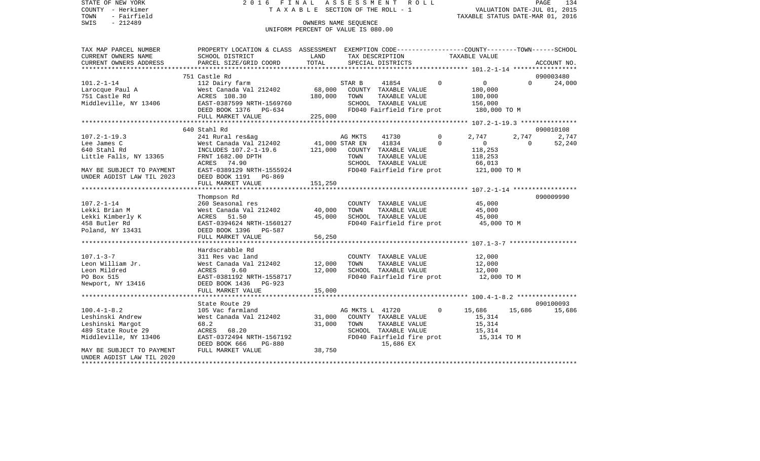STATE OF NEW YORK 2016 FINAL ASSESSMENT ROLL COUNTY - Herkimer T A X A B L E SECTION OF THE ROLL - 1 TOWN - Fairfield TAXABLE STATUS DATE-MAR 01, 2016 SWIS - Fairfield<br>
SWIS - 212489 OWNERS NAME SEQUENCE

UNIFORM PERCENT OF VALUE IS 080.00

| CURRENT OWNERS NAME<br>SCHOOL DISTRICT<br>LAND<br>TAXABLE VALUE<br>TAX DESCRIPTION<br>751 Castle Rd<br>090003480<br>2020<br>112 Dairy farm 57AR B 41854 0<br>West Canada Val 212402 68,000 COUNTY TAXABLE VALUE<br>ACRES 108.30 180,000 TOWN TAXABLE VALUE<br>EAST-0387599 NRTH-1569760 SCHOOL TAXABLE VALUE<br>DEED BOOK 1376 PG-634 FD040 Fairfield fire p<br>$\overline{0}$<br>$\Omega$<br>$101.2 - 1 - 14$<br>24,000<br>180,000<br>180,000<br>Larocque Paul A<br>Larocque Paul A<br>TAXABLE VALUE<br>Middleville, NY 13406<br>SCHOOL TAXABLE VALUE 156,000<br>FD040 Fairfield fire prot 180,000 TO M<br>225,000<br>FULL MARKET VALUE<br>090010108<br>640 Stahl Rd<br>$\overline{0}$<br>2,747<br>2,747<br>$107.2 - 1 - 19.3$<br>2,747<br>$\overline{0}$<br>1997.2 1997. 2 11 NOLUDES 107.2-1-19.6 121,000 STAR EN 1934 0<br>1997. 2 11,000 STAR EN 1934 0<br>1997. 2 121,000 COUNTY TAXABLE VALUE 118,253<br>118,253<br>118,253 11ttle Falls, NY 13365 FRNT 1682.00 DPTH TOWN TAXABLE VALUE 118,253<br>52,240<br>FRNT 1682.00 DPTH TOWN TAXABLE VALUE 118,253<br>ACRES 74.90 SCHOOL TAXABLE VALUE 66,013<br>EAST-0389129 NRTH-1555924 FD040 Fairfield fire prot 121,000 TO M<br>MAY BE SUBJECT TO PAYMENT<br>UNDER AGDIST LAW TIL 2023<br>DEED BOOK 1191 PG-869<br>151,250<br>FULL MARKET VALUE<br>090009990<br>Thompson Rd<br>260 Seasonal res<br>COUNTY TAXABLE VALUE 45,000<br>$107.2 - 1 - 14$<br>West Canada Val 212402 40,000<br>TOWN TAXABLE VALUE 45,000<br>SCHOOL TAXABLE VALUE 45,000<br>Lekki Brian M<br>Lekki Kimberly K<br>458 Butler Rd<br>ACRES 51.50 45,000 SCHOOL TAXABLE VALUE 45,000 45,000<br>EAST-0394624 NRTH-1560127 FD040 Fairfield fire prot 45,000 TO M<br>Poland, NY 13431<br>DEED BOOK 1396 PG-587<br>56,250<br>FULL MARKET VALUE<br>Hardscrabble Rd<br>$107.1 - 3 - 7$<br>311 Res vac land<br>COUNTY TAXABLE VALUE 12,000<br>West Canada Val 212402 12,000 TOWN<br>TAXABLE VALUE<br>12,000<br>Leon William Jr.<br>SCHOOL TAXABLE VALUE 12,000<br>AURES 9.60 12,000<br>EAST-0381192 NRTH-1558717 12,000<br>DEED BOOK 1436 DC-022<br>Leon Mildred<br>FD040 Fairfield fire prot 12,000 TO M<br>PO Box 515<br>Newport, NY 13416<br>DEED BOOK 1436 PG-923<br>090100093<br>State Route 29<br>$100.4 - 1 - 8.2$<br>15,686 15,686<br>Leshinski Andrew<br>Leshinski Margot<br>31,000<br>TOWN      TAXABLE VALUE<br>SCHOOL   TAXABLE VALUE<br>15,314<br>15,314<br>68.2<br>TOWN<br>489 State Route 29<br>ACRES 68.20<br>FD040 Fairfield fire prot 15,314 TO M<br>ACRES 68.20<br>EAST-0372494 NRTH-1567192<br>Middleville, NY 13406<br>DEED BOOK 666 PG-880<br>15,686 EX<br>38,750<br>FULL MARKET VALUE<br>MAY BE SUBJECT TO PAYMENT<br>UNDER AGDIST LAW TIL 2020<br>********************** | TAX MAP PARCEL NUMBER | PROPERTY LOCATION & CLASS ASSESSMENT EXEMPTION CODE---------------COUNTY-------TOWN------SCHOOL |  |  |  |  |
|-----------------------------------------------------------------------------------------------------------------------------------------------------------------------------------------------------------------------------------------------------------------------------------------------------------------------------------------------------------------------------------------------------------------------------------------------------------------------------------------------------------------------------------------------------------------------------------------------------------------------------------------------------------------------------------------------------------------------------------------------------------------------------------------------------------------------------------------------------------------------------------------------------------------------------------------------------------------------------------------------------------------------------------------------------------------------------------------------------------------------------------------------------------------------------------------------------------------------------------------------------------------------------------------------------------------------------------------------------------------------------------------------------------------------------------------------------------------------------------------------------------------------------------------------------------------------------------------------------------------------------------------------------------------------------------------------------------------------------------------------------------------------------------------------------------------------------------------------------------------------------------------------------------------------------------------------------------------------------------------------------------------------------------------------------------------------------------------------------------------------------------------------------------------------------------------------------------------------------------------------------------------------------------------------------------------------------------------------------------------------------------------------------------------------------------------------------------------------------------------------------------------------------------------------------------------------------------------------------------------------------------------------------------------------------------------------------------------|-----------------------|-------------------------------------------------------------------------------------------------|--|--|--|--|
|                                                                                                                                                                                                                                                                                                                                                                                                                                                                                                                                                                                                                                                                                                                                                                                                                                                                                                                                                                                                                                                                                                                                                                                                                                                                                                                                                                                                                                                                                                                                                                                                                                                                                                                                                                                                                                                                                                                                                                                                                                                                                                                                                                                                                                                                                                                                                                                                                                                                                                                                                                                                                                                                                                                 |                       |                                                                                                 |  |  |  |  |
|                                                                                                                                                                                                                                                                                                                                                                                                                                                                                                                                                                                                                                                                                                                                                                                                                                                                                                                                                                                                                                                                                                                                                                                                                                                                                                                                                                                                                                                                                                                                                                                                                                                                                                                                                                                                                                                                                                                                                                                                                                                                                                                                                                                                                                                                                                                                                                                                                                                                                                                                                                                                                                                                                                                 |                       |                                                                                                 |  |  |  |  |
|                                                                                                                                                                                                                                                                                                                                                                                                                                                                                                                                                                                                                                                                                                                                                                                                                                                                                                                                                                                                                                                                                                                                                                                                                                                                                                                                                                                                                                                                                                                                                                                                                                                                                                                                                                                                                                                                                                                                                                                                                                                                                                                                                                                                                                                                                                                                                                                                                                                                                                                                                                                                                                                                                                                 |                       |                                                                                                 |  |  |  |  |
|                                                                                                                                                                                                                                                                                                                                                                                                                                                                                                                                                                                                                                                                                                                                                                                                                                                                                                                                                                                                                                                                                                                                                                                                                                                                                                                                                                                                                                                                                                                                                                                                                                                                                                                                                                                                                                                                                                                                                                                                                                                                                                                                                                                                                                                                                                                                                                                                                                                                                                                                                                                                                                                                                                                 |                       |                                                                                                 |  |  |  |  |
|                                                                                                                                                                                                                                                                                                                                                                                                                                                                                                                                                                                                                                                                                                                                                                                                                                                                                                                                                                                                                                                                                                                                                                                                                                                                                                                                                                                                                                                                                                                                                                                                                                                                                                                                                                                                                                                                                                                                                                                                                                                                                                                                                                                                                                                                                                                                                                                                                                                                                                                                                                                                                                                                                                                 |                       |                                                                                                 |  |  |  |  |
|                                                                                                                                                                                                                                                                                                                                                                                                                                                                                                                                                                                                                                                                                                                                                                                                                                                                                                                                                                                                                                                                                                                                                                                                                                                                                                                                                                                                                                                                                                                                                                                                                                                                                                                                                                                                                                                                                                                                                                                                                                                                                                                                                                                                                                                                                                                                                                                                                                                                                                                                                                                                                                                                                                                 |                       |                                                                                                 |  |  |  |  |
|                                                                                                                                                                                                                                                                                                                                                                                                                                                                                                                                                                                                                                                                                                                                                                                                                                                                                                                                                                                                                                                                                                                                                                                                                                                                                                                                                                                                                                                                                                                                                                                                                                                                                                                                                                                                                                                                                                                                                                                                                                                                                                                                                                                                                                                                                                                                                                                                                                                                                                                                                                                                                                                                                                                 |                       |                                                                                                 |  |  |  |  |
|                                                                                                                                                                                                                                                                                                                                                                                                                                                                                                                                                                                                                                                                                                                                                                                                                                                                                                                                                                                                                                                                                                                                                                                                                                                                                                                                                                                                                                                                                                                                                                                                                                                                                                                                                                                                                                                                                                                                                                                                                                                                                                                                                                                                                                                                                                                                                                                                                                                                                                                                                                                                                                                                                                                 |                       |                                                                                                 |  |  |  |  |
|                                                                                                                                                                                                                                                                                                                                                                                                                                                                                                                                                                                                                                                                                                                                                                                                                                                                                                                                                                                                                                                                                                                                                                                                                                                                                                                                                                                                                                                                                                                                                                                                                                                                                                                                                                                                                                                                                                                                                                                                                                                                                                                                                                                                                                                                                                                                                                                                                                                                                                                                                                                                                                                                                                                 |                       |                                                                                                 |  |  |  |  |
|                                                                                                                                                                                                                                                                                                                                                                                                                                                                                                                                                                                                                                                                                                                                                                                                                                                                                                                                                                                                                                                                                                                                                                                                                                                                                                                                                                                                                                                                                                                                                                                                                                                                                                                                                                                                                                                                                                                                                                                                                                                                                                                                                                                                                                                                                                                                                                                                                                                                                                                                                                                                                                                                                                                 |                       |                                                                                                 |  |  |  |  |
|                                                                                                                                                                                                                                                                                                                                                                                                                                                                                                                                                                                                                                                                                                                                                                                                                                                                                                                                                                                                                                                                                                                                                                                                                                                                                                                                                                                                                                                                                                                                                                                                                                                                                                                                                                                                                                                                                                                                                                                                                                                                                                                                                                                                                                                                                                                                                                                                                                                                                                                                                                                                                                                                                                                 |                       |                                                                                                 |  |  |  |  |
|                                                                                                                                                                                                                                                                                                                                                                                                                                                                                                                                                                                                                                                                                                                                                                                                                                                                                                                                                                                                                                                                                                                                                                                                                                                                                                                                                                                                                                                                                                                                                                                                                                                                                                                                                                                                                                                                                                                                                                                                                                                                                                                                                                                                                                                                                                                                                                                                                                                                                                                                                                                                                                                                                                                 |                       |                                                                                                 |  |  |  |  |
|                                                                                                                                                                                                                                                                                                                                                                                                                                                                                                                                                                                                                                                                                                                                                                                                                                                                                                                                                                                                                                                                                                                                                                                                                                                                                                                                                                                                                                                                                                                                                                                                                                                                                                                                                                                                                                                                                                                                                                                                                                                                                                                                                                                                                                                                                                                                                                                                                                                                                                                                                                                                                                                                                                                 |                       |                                                                                                 |  |  |  |  |
|                                                                                                                                                                                                                                                                                                                                                                                                                                                                                                                                                                                                                                                                                                                                                                                                                                                                                                                                                                                                                                                                                                                                                                                                                                                                                                                                                                                                                                                                                                                                                                                                                                                                                                                                                                                                                                                                                                                                                                                                                                                                                                                                                                                                                                                                                                                                                                                                                                                                                                                                                                                                                                                                                                                 |                       |                                                                                                 |  |  |  |  |
|                                                                                                                                                                                                                                                                                                                                                                                                                                                                                                                                                                                                                                                                                                                                                                                                                                                                                                                                                                                                                                                                                                                                                                                                                                                                                                                                                                                                                                                                                                                                                                                                                                                                                                                                                                                                                                                                                                                                                                                                                                                                                                                                                                                                                                                                                                                                                                                                                                                                                                                                                                                                                                                                                                                 |                       |                                                                                                 |  |  |  |  |
|                                                                                                                                                                                                                                                                                                                                                                                                                                                                                                                                                                                                                                                                                                                                                                                                                                                                                                                                                                                                                                                                                                                                                                                                                                                                                                                                                                                                                                                                                                                                                                                                                                                                                                                                                                                                                                                                                                                                                                                                                                                                                                                                                                                                                                                                                                                                                                                                                                                                                                                                                                                                                                                                                                                 |                       |                                                                                                 |  |  |  |  |
|                                                                                                                                                                                                                                                                                                                                                                                                                                                                                                                                                                                                                                                                                                                                                                                                                                                                                                                                                                                                                                                                                                                                                                                                                                                                                                                                                                                                                                                                                                                                                                                                                                                                                                                                                                                                                                                                                                                                                                                                                                                                                                                                                                                                                                                                                                                                                                                                                                                                                                                                                                                                                                                                                                                 |                       |                                                                                                 |  |  |  |  |
|                                                                                                                                                                                                                                                                                                                                                                                                                                                                                                                                                                                                                                                                                                                                                                                                                                                                                                                                                                                                                                                                                                                                                                                                                                                                                                                                                                                                                                                                                                                                                                                                                                                                                                                                                                                                                                                                                                                                                                                                                                                                                                                                                                                                                                                                                                                                                                                                                                                                                                                                                                                                                                                                                                                 |                       |                                                                                                 |  |  |  |  |
|                                                                                                                                                                                                                                                                                                                                                                                                                                                                                                                                                                                                                                                                                                                                                                                                                                                                                                                                                                                                                                                                                                                                                                                                                                                                                                                                                                                                                                                                                                                                                                                                                                                                                                                                                                                                                                                                                                                                                                                                                                                                                                                                                                                                                                                                                                                                                                                                                                                                                                                                                                                                                                                                                                                 |                       |                                                                                                 |  |  |  |  |
|                                                                                                                                                                                                                                                                                                                                                                                                                                                                                                                                                                                                                                                                                                                                                                                                                                                                                                                                                                                                                                                                                                                                                                                                                                                                                                                                                                                                                                                                                                                                                                                                                                                                                                                                                                                                                                                                                                                                                                                                                                                                                                                                                                                                                                                                                                                                                                                                                                                                                                                                                                                                                                                                                                                 |                       |                                                                                                 |  |  |  |  |
|                                                                                                                                                                                                                                                                                                                                                                                                                                                                                                                                                                                                                                                                                                                                                                                                                                                                                                                                                                                                                                                                                                                                                                                                                                                                                                                                                                                                                                                                                                                                                                                                                                                                                                                                                                                                                                                                                                                                                                                                                                                                                                                                                                                                                                                                                                                                                                                                                                                                                                                                                                                                                                                                                                                 |                       |                                                                                                 |  |  |  |  |
|                                                                                                                                                                                                                                                                                                                                                                                                                                                                                                                                                                                                                                                                                                                                                                                                                                                                                                                                                                                                                                                                                                                                                                                                                                                                                                                                                                                                                                                                                                                                                                                                                                                                                                                                                                                                                                                                                                                                                                                                                                                                                                                                                                                                                                                                                                                                                                                                                                                                                                                                                                                                                                                                                                                 |                       |                                                                                                 |  |  |  |  |
|                                                                                                                                                                                                                                                                                                                                                                                                                                                                                                                                                                                                                                                                                                                                                                                                                                                                                                                                                                                                                                                                                                                                                                                                                                                                                                                                                                                                                                                                                                                                                                                                                                                                                                                                                                                                                                                                                                                                                                                                                                                                                                                                                                                                                                                                                                                                                                                                                                                                                                                                                                                                                                                                                                                 |                       |                                                                                                 |  |  |  |  |
|                                                                                                                                                                                                                                                                                                                                                                                                                                                                                                                                                                                                                                                                                                                                                                                                                                                                                                                                                                                                                                                                                                                                                                                                                                                                                                                                                                                                                                                                                                                                                                                                                                                                                                                                                                                                                                                                                                                                                                                                                                                                                                                                                                                                                                                                                                                                                                                                                                                                                                                                                                                                                                                                                                                 |                       |                                                                                                 |  |  |  |  |
|                                                                                                                                                                                                                                                                                                                                                                                                                                                                                                                                                                                                                                                                                                                                                                                                                                                                                                                                                                                                                                                                                                                                                                                                                                                                                                                                                                                                                                                                                                                                                                                                                                                                                                                                                                                                                                                                                                                                                                                                                                                                                                                                                                                                                                                                                                                                                                                                                                                                                                                                                                                                                                                                                                                 |                       |                                                                                                 |  |  |  |  |
|                                                                                                                                                                                                                                                                                                                                                                                                                                                                                                                                                                                                                                                                                                                                                                                                                                                                                                                                                                                                                                                                                                                                                                                                                                                                                                                                                                                                                                                                                                                                                                                                                                                                                                                                                                                                                                                                                                                                                                                                                                                                                                                                                                                                                                                                                                                                                                                                                                                                                                                                                                                                                                                                                                                 |                       |                                                                                                 |  |  |  |  |
|                                                                                                                                                                                                                                                                                                                                                                                                                                                                                                                                                                                                                                                                                                                                                                                                                                                                                                                                                                                                                                                                                                                                                                                                                                                                                                                                                                                                                                                                                                                                                                                                                                                                                                                                                                                                                                                                                                                                                                                                                                                                                                                                                                                                                                                                                                                                                                                                                                                                                                                                                                                                                                                                                                                 |                       |                                                                                                 |  |  |  |  |
|                                                                                                                                                                                                                                                                                                                                                                                                                                                                                                                                                                                                                                                                                                                                                                                                                                                                                                                                                                                                                                                                                                                                                                                                                                                                                                                                                                                                                                                                                                                                                                                                                                                                                                                                                                                                                                                                                                                                                                                                                                                                                                                                                                                                                                                                                                                                                                                                                                                                                                                                                                                                                                                                                                                 |                       |                                                                                                 |  |  |  |  |
|                                                                                                                                                                                                                                                                                                                                                                                                                                                                                                                                                                                                                                                                                                                                                                                                                                                                                                                                                                                                                                                                                                                                                                                                                                                                                                                                                                                                                                                                                                                                                                                                                                                                                                                                                                                                                                                                                                                                                                                                                                                                                                                                                                                                                                                                                                                                                                                                                                                                                                                                                                                                                                                                                                                 |                       |                                                                                                 |  |  |  |  |
|                                                                                                                                                                                                                                                                                                                                                                                                                                                                                                                                                                                                                                                                                                                                                                                                                                                                                                                                                                                                                                                                                                                                                                                                                                                                                                                                                                                                                                                                                                                                                                                                                                                                                                                                                                                                                                                                                                                                                                                                                                                                                                                                                                                                                                                                                                                                                                                                                                                                                                                                                                                                                                                                                                                 |                       |                                                                                                 |  |  |  |  |
|                                                                                                                                                                                                                                                                                                                                                                                                                                                                                                                                                                                                                                                                                                                                                                                                                                                                                                                                                                                                                                                                                                                                                                                                                                                                                                                                                                                                                                                                                                                                                                                                                                                                                                                                                                                                                                                                                                                                                                                                                                                                                                                                                                                                                                                                                                                                                                                                                                                                                                                                                                                                                                                                                                                 |                       |                                                                                                 |  |  |  |  |
|                                                                                                                                                                                                                                                                                                                                                                                                                                                                                                                                                                                                                                                                                                                                                                                                                                                                                                                                                                                                                                                                                                                                                                                                                                                                                                                                                                                                                                                                                                                                                                                                                                                                                                                                                                                                                                                                                                                                                                                                                                                                                                                                                                                                                                                                                                                                                                                                                                                                                                                                                                                                                                                                                                                 |                       |                                                                                                 |  |  |  |  |
|                                                                                                                                                                                                                                                                                                                                                                                                                                                                                                                                                                                                                                                                                                                                                                                                                                                                                                                                                                                                                                                                                                                                                                                                                                                                                                                                                                                                                                                                                                                                                                                                                                                                                                                                                                                                                                                                                                                                                                                                                                                                                                                                                                                                                                                                                                                                                                                                                                                                                                                                                                                                                                                                                                                 |                       |                                                                                                 |  |  |  |  |
|                                                                                                                                                                                                                                                                                                                                                                                                                                                                                                                                                                                                                                                                                                                                                                                                                                                                                                                                                                                                                                                                                                                                                                                                                                                                                                                                                                                                                                                                                                                                                                                                                                                                                                                                                                                                                                                                                                                                                                                                                                                                                                                                                                                                                                                                                                                                                                                                                                                                                                                                                                                                                                                                                                                 |                       |                                                                                                 |  |  |  |  |
|                                                                                                                                                                                                                                                                                                                                                                                                                                                                                                                                                                                                                                                                                                                                                                                                                                                                                                                                                                                                                                                                                                                                                                                                                                                                                                                                                                                                                                                                                                                                                                                                                                                                                                                                                                                                                                                                                                                                                                                                                                                                                                                                                                                                                                                                                                                                                                                                                                                                                                                                                                                                                                                                                                                 |                       |                                                                                                 |  |  |  |  |
|                                                                                                                                                                                                                                                                                                                                                                                                                                                                                                                                                                                                                                                                                                                                                                                                                                                                                                                                                                                                                                                                                                                                                                                                                                                                                                                                                                                                                                                                                                                                                                                                                                                                                                                                                                                                                                                                                                                                                                                                                                                                                                                                                                                                                                                                                                                                                                                                                                                                                                                                                                                                                                                                                                                 |                       |                                                                                                 |  |  |  |  |
|                                                                                                                                                                                                                                                                                                                                                                                                                                                                                                                                                                                                                                                                                                                                                                                                                                                                                                                                                                                                                                                                                                                                                                                                                                                                                                                                                                                                                                                                                                                                                                                                                                                                                                                                                                                                                                                                                                                                                                                                                                                                                                                                                                                                                                                                                                                                                                                                                                                                                                                                                                                                                                                                                                                 |                       |                                                                                                 |  |  |  |  |
|                                                                                                                                                                                                                                                                                                                                                                                                                                                                                                                                                                                                                                                                                                                                                                                                                                                                                                                                                                                                                                                                                                                                                                                                                                                                                                                                                                                                                                                                                                                                                                                                                                                                                                                                                                                                                                                                                                                                                                                                                                                                                                                                                                                                                                                                                                                                                                                                                                                                                                                                                                                                                                                                                                                 |                       |                                                                                                 |  |  |  |  |
|                                                                                                                                                                                                                                                                                                                                                                                                                                                                                                                                                                                                                                                                                                                                                                                                                                                                                                                                                                                                                                                                                                                                                                                                                                                                                                                                                                                                                                                                                                                                                                                                                                                                                                                                                                                                                                                                                                                                                                                                                                                                                                                                                                                                                                                                                                                                                                                                                                                                                                                                                                                                                                                                                                                 |                       |                                                                                                 |  |  |  |  |
|                                                                                                                                                                                                                                                                                                                                                                                                                                                                                                                                                                                                                                                                                                                                                                                                                                                                                                                                                                                                                                                                                                                                                                                                                                                                                                                                                                                                                                                                                                                                                                                                                                                                                                                                                                                                                                                                                                                                                                                                                                                                                                                                                                                                                                                                                                                                                                                                                                                                                                                                                                                                                                                                                                                 |                       |                                                                                                 |  |  |  |  |
|                                                                                                                                                                                                                                                                                                                                                                                                                                                                                                                                                                                                                                                                                                                                                                                                                                                                                                                                                                                                                                                                                                                                                                                                                                                                                                                                                                                                                                                                                                                                                                                                                                                                                                                                                                                                                                                                                                                                                                                                                                                                                                                                                                                                                                                                                                                                                                                                                                                                                                                                                                                                                                                                                                                 |                       |                                                                                                 |  |  |  |  |
|                                                                                                                                                                                                                                                                                                                                                                                                                                                                                                                                                                                                                                                                                                                                                                                                                                                                                                                                                                                                                                                                                                                                                                                                                                                                                                                                                                                                                                                                                                                                                                                                                                                                                                                                                                                                                                                                                                                                                                                                                                                                                                                                                                                                                                                                                                                                                                                                                                                                                                                                                                                                                                                                                                                 |                       |                                                                                                 |  |  |  |  |
|                                                                                                                                                                                                                                                                                                                                                                                                                                                                                                                                                                                                                                                                                                                                                                                                                                                                                                                                                                                                                                                                                                                                                                                                                                                                                                                                                                                                                                                                                                                                                                                                                                                                                                                                                                                                                                                                                                                                                                                                                                                                                                                                                                                                                                                                                                                                                                                                                                                                                                                                                                                                                                                                                                                 |                       |                                                                                                 |  |  |  |  |
|                                                                                                                                                                                                                                                                                                                                                                                                                                                                                                                                                                                                                                                                                                                                                                                                                                                                                                                                                                                                                                                                                                                                                                                                                                                                                                                                                                                                                                                                                                                                                                                                                                                                                                                                                                                                                                                                                                                                                                                                                                                                                                                                                                                                                                                                                                                                                                                                                                                                                                                                                                                                                                                                                                                 |                       |                                                                                                 |  |  |  |  |
|                                                                                                                                                                                                                                                                                                                                                                                                                                                                                                                                                                                                                                                                                                                                                                                                                                                                                                                                                                                                                                                                                                                                                                                                                                                                                                                                                                                                                                                                                                                                                                                                                                                                                                                                                                                                                                                                                                                                                                                                                                                                                                                                                                                                                                                                                                                                                                                                                                                                                                                                                                                                                                                                                                                 |                       |                                                                                                 |  |  |  |  |
|                                                                                                                                                                                                                                                                                                                                                                                                                                                                                                                                                                                                                                                                                                                                                                                                                                                                                                                                                                                                                                                                                                                                                                                                                                                                                                                                                                                                                                                                                                                                                                                                                                                                                                                                                                                                                                                                                                                                                                                                                                                                                                                                                                                                                                                                                                                                                                                                                                                                                                                                                                                                                                                                                                                 |                       |                                                                                                 |  |  |  |  |
|                                                                                                                                                                                                                                                                                                                                                                                                                                                                                                                                                                                                                                                                                                                                                                                                                                                                                                                                                                                                                                                                                                                                                                                                                                                                                                                                                                                                                                                                                                                                                                                                                                                                                                                                                                                                                                                                                                                                                                                                                                                                                                                                                                                                                                                                                                                                                                                                                                                                                                                                                                                                                                                                                                                 |                       |                                                                                                 |  |  |  |  |
|                                                                                                                                                                                                                                                                                                                                                                                                                                                                                                                                                                                                                                                                                                                                                                                                                                                                                                                                                                                                                                                                                                                                                                                                                                                                                                                                                                                                                                                                                                                                                                                                                                                                                                                                                                                                                                                                                                                                                                                                                                                                                                                                                                                                                                                                                                                                                                                                                                                                                                                                                                                                                                                                                                                 |                       |                                                                                                 |  |  |  |  |
|                                                                                                                                                                                                                                                                                                                                                                                                                                                                                                                                                                                                                                                                                                                                                                                                                                                                                                                                                                                                                                                                                                                                                                                                                                                                                                                                                                                                                                                                                                                                                                                                                                                                                                                                                                                                                                                                                                                                                                                                                                                                                                                                                                                                                                                                                                                                                                                                                                                                                                                                                                                                                                                                                                                 |                       |                                                                                                 |  |  |  |  |
|                                                                                                                                                                                                                                                                                                                                                                                                                                                                                                                                                                                                                                                                                                                                                                                                                                                                                                                                                                                                                                                                                                                                                                                                                                                                                                                                                                                                                                                                                                                                                                                                                                                                                                                                                                                                                                                                                                                                                                                                                                                                                                                                                                                                                                                                                                                                                                                                                                                                                                                                                                                                                                                                                                                 |                       |                                                                                                 |  |  |  |  |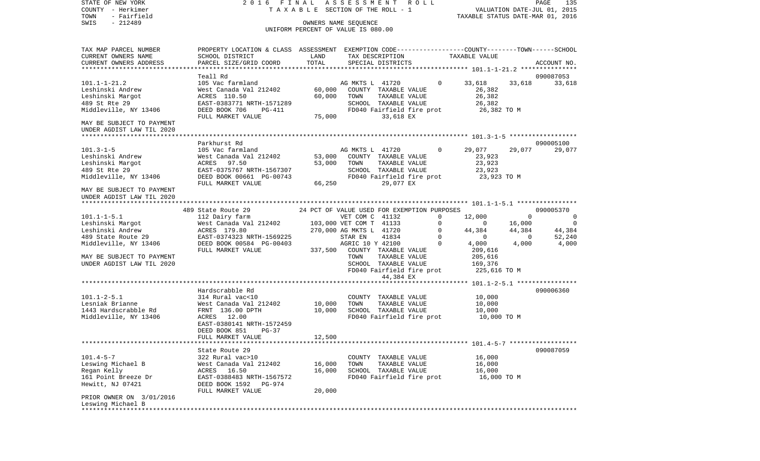COUNTY - Herkimer **T A X A B L E** SECTION OF THE ROLL - 1 VALUATION DATE-JUL 01, 2015 TOWN - Fairfield TAXABLE STATUS DATE-MAR 01, 2016 SWIS - 212489 OWNERS NAME SEQUENCE UNIFORM PERCENT OF VALUE IS 080.00TAX MAP PARCEL NUMBER PROPERTY LOCATION & CLASS ASSESSMENT EXEMPTION CODE------------------COUNTY--------TOWN------SCHOOL CURRENT OWNERS NAME SCHOOL DISTRICT LAND TAX DESCRIPTION TAXABLE VALUECURRENT OWNERS ADDRESS PARCEL SIZE/GRID COORD TOTAL SPECIAL DISTRICTS ACCOUNT NO. \*\*\*\*\*\*\*\*\*\*\*\*\*\*\*\*\*\*\*\*\*\*\*\*\*\*\*\*\*\*\*\*\*\*\*\*\*\*\*\*\*\*\*\*\*\*\*\*\*\*\*\*\*\*\*\*\*\*\*\*\*\*\*\*\*\*\*\*\*\*\*\*\*\*\*\*\*\*\*\*\*\*\*\*\*\*\*\*\*\*\*\*\*\*\*\*\*\*\*\*\*\*\* 101.1-1-21.2 \*\*\*\*\*\*\*\*\*\*\*\*\*\*\* Teall Rd 090087053101.1-1-21.2 105 Vac farmland AG MKTS L 41720 0 33,618 33,618 33,618 Leshinski Andrew West Canada Val 212402 60,000 COUNTY TAXABLE VALUE 26,382 Leshinski Margot ACRES 110.50 60,000 TOWN TAXABLE VALUE 26,382 489 St Rte 29 EAST-0383771 NRTH-1571289 SCHOOL TAXABLE VALUE 26,382 Middleville, NY 13406 DEED BOOK 706 PG-411 FD040 Fairfield fire prot 26,382 TO M FULL MARKET VALUE 75,000 33,618 EX MAY BE SUBJECT TO PAYMENT UNDER AGDIST LAW TIL 2020 \*\*\*\*\*\*\*\*\*\*\*\*\*\*\*\*\*\*\*\*\*\*\*\*\*\*\*\*\*\*\*\*\*\*\*\*\*\*\*\*\*\*\*\*\*\*\*\*\*\*\*\*\*\*\*\*\*\*\*\*\*\*\*\*\*\*\*\*\*\*\*\*\*\*\*\*\*\*\*\*\*\*\*\*\*\*\*\*\*\*\*\*\*\*\*\*\*\*\*\*\*\*\* 101.3-1-5 \*\*\*\*\*\*\*\*\*\*\*\*\*\*\*\*\*\* Parkhurst Rd 090005100101.3-1-5 105 Vac farmland AG MKTS L 41720 0 29,077 29,077 29,077 Leshinski Andrew West Canada Val 212402 53,000 COUNTY TAXABLE VALUE 23,923 Leshinski Margot ACRES 97.50 53,000 TOWN TAXABLE VALUE 23,923 489 St Rte 29 EAST-0375767 NRTH-1567307 SCHOOL TAXABLE VALUE 23,923 Middleville, NY 13406 DEED BOOK 00661 PG-00743 FD040 Fairfield fire prot 23,923 TO M<br>FULL MARKET VALUE 66.250 29.077 EX FULL MARKET VALUE 66,250 29,077 EX MAY BE SUBJECT TO PAYMENTUNDER AGDIST LAW TIL 2020 \*\*\*\*\*\*\*\*\*\*\*\*\*\*\*\*\*\*\*\*\*\*\*\*\*\*\*\*\*\*\*\*\*\*\*\*\*\*\*\*\*\*\*\*\*\*\*\*\*\*\*\*\*\*\*\*\*\*\*\*\*\*\*\*\*\*\*\*\*\*\*\*\*\*\*\*\*\*\*\*\*\*\*\*\*\*\*\*\*\*\*\*\*\*\*\*\*\*\*\*\*\*\* 101.1-1-5.1 \*\*\*\*\*\*\*\*\*\*\*\*\*\*\*\* 489 State Route 29 24 PCT OF VALUE USED FOR EXEMPTION PURPOSES 090005370101.1-1-5.1 112 Dairy farm VET COM C 41132 0 12,000 0 0 0 Leshinski Margot 6 6 West Canada Val 212402 103,000 VET COM T 41133 0 0 0 16,000 0 Leshinski Andrew  $ACRES$  179.80 270,000 AG MKTS L 41720 0 44,384 44,384 44,384 44,384 489 State Route 29 EAST-0374323 NRTH-1569225 STAR EN 41834 0 0 0 52,240 Middleville, NY 13406 DEED BOOK 00584 PG-00403 AGRIC 10 Y 42100 0 4,000 4,000 4,000 FULL MARKET VALUE 337,500 COUNTY TAXABLE VALUE 209,616 MAY BE SUBJECT TO PAYMENT TO THE SUBJECT TO PAYMENT TOWN TOWN TAXABLE VALUE 205,616 UNDER AGDIST LAW TIL 2020 SCHOOL TAXABLE VALUE 169,376 FD040 Fairfield fire prot 225,616 TO M 44,384 EX \*\*\*\*\*\*\*\*\*\*\*\*\*\*\*\*\*\*\*\*\*\*\*\*\*\*\*\*\*\*\*\*\*\*\*\*\*\*\*\*\*\*\*\*\*\*\*\*\*\*\*\*\*\*\*\*\*\*\*\*\*\*\*\*\*\*\*\*\*\*\*\*\*\*\*\*\*\*\*\*\*\*\*\*\*\*\*\*\*\*\*\*\*\*\*\*\*\*\*\*\*\*\* 101.1-2-5.1 \*\*\*\*\*\*\*\*\*\*\*\*\*\*\*\* Hardscrabble Rd 090006360101.1-2-5.1 314 Rural vac<10 COUNTY TAXABLE VALUE 10,000 Lesniak Brianne West Canada Val 212402 10,000 TOWN TAXABLE VALUE 10,000 1443 Hardscrabble Rd FRNT 136.00 DPTH 10,000 SCHOOL TAXABLE VALUE 10,000 Middleville, NY 13406 ACRES 12.00 FD040 Fairfield fire prot 10,000 TO M EAST-0380141 NRTH-1572459 DEED BOOK 851 PG-37FULL MARKET VALUE 12,500 \*\*\*\*\*\*\*\*\*\*\*\*\*\*\*\*\*\*\*\*\*\*\*\*\*\*\*\*\*\*\*\*\*\*\*\*\*\*\*\*\*\*\*\*\*\*\*\*\*\*\*\*\*\*\*\*\*\*\*\*\*\*\*\*\*\*\*\*\*\*\*\*\*\*\*\*\*\*\*\*\*\*\*\*\*\*\*\*\*\*\*\*\*\*\*\*\*\*\*\*\*\*\* 101.4-5-7 \*\*\*\*\*\*\*\*\*\*\*\*\*\*\*\*\*\*State Route 29 090087059 101.4-5-7 322 Rural vac>10 COUNTY TAXABLE VALUE 16,000 Leswing Michael B West Canada Val 212402 16,000 TOWN TAXABLE VALUE 16,000 Regan Kelly ACRES 16.50 16,000 SCHOOL TAXABLE VALUE 16,000 161 Point Breeze Dr EAST-0388483 NRTH-1567572 FD040 Fairfield fire prot 16,000 TO M Hewitt, NJ 07421 DEED BOOK 1592 PG-974 FULL MARKET VALUE 20,000 PRIOR OWNER ON 3/01/2016 Leswing Michael B \*\*\*\*\*\*\*\*\*\*\*\*\*\*\*\*\*\*\*\*\*\*\*\*\*\*\*\*\*\*\*\*\*\*\*\*\*\*\*\*\*\*\*\*\*\*\*\*\*\*\*\*\*\*\*\*\*\*\*\*\*\*\*\*\*\*\*\*\*\*\*\*\*\*\*\*\*\*\*\*\*\*\*\*\*\*\*\*\*\*\*\*\*\*\*\*\*\*\*\*\*\*\*\*\*\*\*\*\*\*\*\*\*\*\*\*\*\*\*\*\*\*\*\*\*\*\*\*\*\*\*\*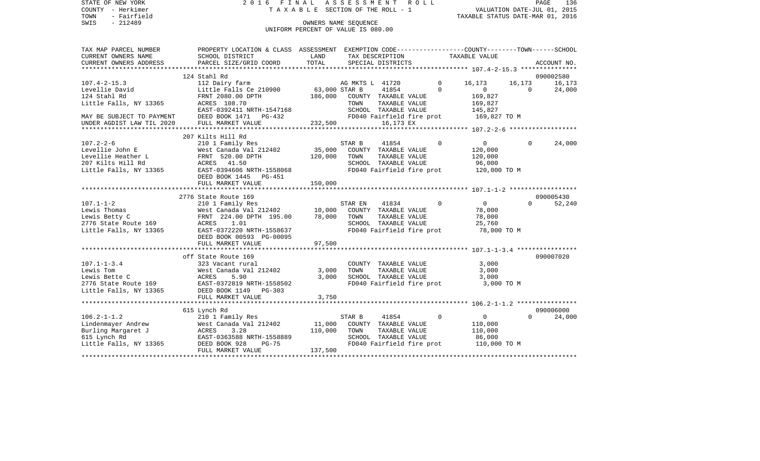|      | STATE OF NEW YORK | 2016 FINAL ASSESSMENT ROLL |                                 |                                  | PAGE | 136 |
|------|-------------------|----------------------------|---------------------------------|----------------------------------|------|-----|
|      | COUNTY - Herkimer |                            | TAXABLE SECTION OF THE ROLL - 1 | VALUATION DATE-JUL 01, 2015      |      |     |
| TOWN | - Fairfield       |                            |                                 | TAXABLE STATUS DATE-MAR 01, 2016 |      |     |
| SWIS | - 212489          |                            | OWNERS NAME SEOUENCE            |                                  |      |     |

UNIFORM PERCENT OF VALUE IS 080.00

| TAX MAP PARCEL NUMBER     | PROPERTY LOCATION & CLASS ASSESSMENT EXEMPTION CODE--------------COUNTY-------TOWN------SCHOOL |               |                 |                      |                           |                |                |             |
|---------------------------|------------------------------------------------------------------------------------------------|---------------|-----------------|----------------------|---------------------------|----------------|----------------|-------------|
| CURRENT OWNERS NAME       | SCHOOL DISTRICT                                                                                | LAND          |                 | TAX DESCRIPTION      |                           | TAXABLE VALUE  |                |             |
| CURRENT OWNERS ADDRESS    | PARCEL SIZE/GRID COORD                                                                         | TOTAL         |                 | SPECIAL DISTRICTS    |                           |                |                | ACCOUNT NO. |
|                           |                                                                                                |               |                 |                      |                           |                |                |             |
|                           | 124 Stahl Rd                                                                                   |               |                 |                      |                           |                |                | 090002580   |
| $107.4 - 2 - 15.3$        | 112 Dairy farm                                                                                 |               | AG MKTS L 41720 |                      | $\Omega$                  | 16,173         | 16,173         | 16,173      |
| Levellie David            | Little Falls Ce 210900                                                                         | 63,000 STAR B |                 | 41854                | $\Omega$                  | $\mathbf{0}$   | $\overline{0}$ | 24,000      |
| 124 Stahl Rd              | FRNT 2080.00 DPTH                                                                              | 186,000       |                 | COUNTY TAXABLE VALUE |                           | 169,827        |                |             |
| Little Falls, NY 13365    | ACRES 108.70                                                                                   |               | TOWN            | TAXABLE VALUE        |                           | 169,827        |                |             |
|                           | EAST-0392411 NRTH-1547168                                                                      |               |                 | SCHOOL TAXABLE VALUE |                           | 145,827        |                |             |
| MAY BE SUBJECT TO PAYMENT | DEED BOOK 1471 PG-432                                                                          |               |                 |                      | FD040 Fairfield fire prot | 169,827 TO M   |                |             |
| UNDER AGDIST LAW TIL 2020 | FULL MARKET VALUE                                                                              | 232,500       |                 | 16,173 EX            |                           |                |                |             |
|                           | 207 Kilts Hill Rd                                                                              |               |                 |                      |                           |                |                |             |
| $107.2 - 2 - 6$           | 210 1 Family Res                                                                               |               | STAR B          | 41854                | $\Omega$                  | $\overline{0}$ | $\Omega$       | 24,000      |
| Levellie John E           | West Canada Val 212402                                                                         | 35,000        |                 | COUNTY TAXABLE VALUE |                           | 120,000        |                |             |
| Levellie Heather L        | FRNT 520.00 DPTH                                                                               | 120,000       | TOWN            | TAXABLE VALUE        |                           | 120,000        |                |             |
|                           |                                                                                                |               |                 |                      |                           |                |                |             |
| 207 Kilts Hill Rd         | ACRES 41.50                                                                                    |               |                 | SCHOOL TAXABLE VALUE |                           | 96,000         |                |             |
| Little Falls, NY 13365    | EAST-0394606 NRTH-1558068                                                                      |               |                 |                      | FD040 Fairfield fire prot | 120,000 TO M   |                |             |
|                           | DEED BOOK 1445 PG-451                                                                          |               |                 |                      |                           |                |                |             |
|                           | FULL MARKET VALUE                                                                              | 150,000       |                 |                      |                           |                |                |             |
|                           | 2776 State Route 169                                                                           |               |                 |                      |                           |                |                | 090005430   |
| $107.1 - 1 - 2$           | 210 1 Family Res                                                                               |               | STAR EN         | 41834                | $\Omega$                  | $\overline{0}$ | $\Omega$       | 52,240      |
| Lewis Thomas              | West Canada Val 212402                                                                         | 10,000        |                 | COUNTY TAXABLE VALUE |                           | 78,000         |                |             |
| Lewis Betty C             | FRNT 224.00 DPTH 195.00                                                                        | 78,000        | TOWN            | TAXABLE VALUE        |                           | 78,000         |                |             |
| 2776 State Route 169      | ACRES 1.01                                                                                     |               |                 | SCHOOL TAXABLE VALUE |                           | 25,760         |                |             |
| Little Falls, NY 13365    | EAST-0372220 NRTH-1558637                                                                      |               |                 |                      | FD040 Fairfield fire prot | 78,000 TO M    |                |             |
|                           |                                                                                                |               |                 |                      |                           |                |                |             |
|                           | DEED BOOK 00593 PG-00095<br>FULL MARKET VALUE                                                  | 97,500        |                 |                      |                           |                |                |             |
|                           |                                                                                                |               |                 |                      |                           |                |                |             |
|                           | off State Route 169                                                                            |               |                 |                      |                           |                |                | 090007020   |
| $107.1 - 1 - 3.4$         | 323 Vacant rural                                                                               |               |                 | COUNTY TAXABLE VALUE |                           | 3,000          |                |             |
| Lewis Tom                 | West Canada Val 212402                                                                         | 3,000         | TOWN            | TAXABLE VALUE        |                           | 3,000          |                |             |
| Lewis Bette C             | ACRES<br>5.90                                                                                  | 3,000         |                 | SCHOOL TAXABLE VALUE |                           | 3,000          |                |             |
| 2776 State Route 169      | EAST-0372819 NRTH-1558502                                                                      |               |                 |                      | FD040 Fairfield fire prot | 3,000 TO M     |                |             |
| Little Falls, NY 13365    | DEED BOOK 1149 PG-303                                                                          |               |                 |                      |                           |                |                |             |
|                           | FULL MARKET VALUE                                                                              | 3,750         |                 |                      |                           |                |                |             |
|                           | *****************************                                                                  |               |                 |                      |                           |                |                |             |
|                           | 615 Lynch Rd                                                                                   |               |                 |                      |                           |                |                | 090006000   |
| $106.2 - 1 - 1.2$         | 210 1 Family Res                                                                               |               | STAR B          | 41854                | $\mathbf 0$               | $\overline{0}$ | $\Omega$       | 24,000      |
| Lindenmayer Andrew        | West Canada Val 212402                                                                         | 11,000        |                 | COUNTY TAXABLE VALUE |                           | 110,000        |                |             |
| Burling Margaret J        | 3.28<br>ACRES                                                                                  | 110,000       | TOWN            | TAXABLE VALUE        |                           | 110,000        |                |             |
| 615 Lynch Rd              | EAST-0363588 NRTH-1558889                                                                      |               |                 | SCHOOL TAXABLE VALUE |                           | 86,000         |                |             |
| Little Falls, NY 13365    | DEED BOOK 928<br>PG-75                                                                         |               |                 |                      | FD040 Fairfield fire prot | 110,000 TO M   |                |             |
|                           | FULL MARKET VALUE                                                                              | 137,500       |                 |                      |                           |                |                |             |
|                           |                                                                                                |               |                 |                      |                           |                |                |             |
|                           |                                                                                                |               |                 |                      |                           |                |                |             |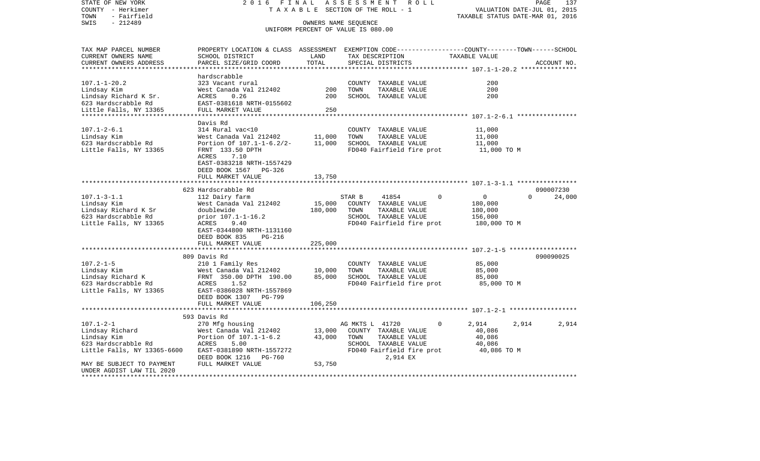| STATE OF NEW YORK<br>COUNTY - Herkimer | 2 0 1 6<br>TAXABLE                                          | FINAL                              | ASSESSMENT<br>R O L L<br>SECTION OF THE ROLL - 1           | PAGE<br>VALUATION DATE-JUL 01, 2015                                                            | 137    |
|----------------------------------------|-------------------------------------------------------------|------------------------------------|------------------------------------------------------------|------------------------------------------------------------------------------------------------|--------|
| - Fairfield<br>TOWN                    |                                                             |                                    |                                                            | TAXABLE STATUS DATE-MAR 01, 2016                                                               |        |
| $-212489$<br>SWIS                      |                                                             |                                    | OWNERS NAME SEQUENCE<br>UNIFORM PERCENT OF VALUE IS 080.00 |                                                                                                |        |
| TAX MAP PARCEL NUMBER                  |                                                             |                                    |                                                            | PROPERTY LOCATION & CLASS ASSESSMENT EXEMPTION CODE---------------COUNTY-------TOWN-----SCHOOL |        |
| CURRENT OWNERS NAME                    | SCHOOL DISTRICT                                             | LAND                               | TAX DESCRIPTION                                            | TAXABLE VALUE                                                                                  |        |
| CURRENT OWNERS ADDRESS                 | PARCEL SIZE/GRID COORD                                      | TOTAL<br>************************* | SPECIAL DISTRICTS                                          | ACCOUNT NO.<br>********************************* 107.1-1-20.2 ***************                  |        |
|                                        | hardscrabble                                                |                                    |                                                            |                                                                                                |        |
| $107.1 - 1 - 20.2$                     | 323 Vacant rural                                            |                                    | COUNTY TAXABLE VALUE                                       | 200                                                                                            |        |
| Lindsay Kim                            | West Canada Val 212402                                      | 200                                | TOWN<br>TAXABLE VALUE                                      | 200                                                                                            |        |
| Lindsay Richard K Sr.                  | ACRES<br>0.26                                               | 200                                | SCHOOL TAXABLE VALUE                                       | 200                                                                                            |        |
| 623 Hardscrabble Rd                    | EAST-0381618 NRTH-0155602                                   |                                    |                                                            |                                                                                                |        |
| Little Falls, NY 13365                 | FULL MARKET VALUE                                           | 250                                |                                                            |                                                                                                |        |
|                                        | ********************                                        | **********                         |                                                            | ************** 107.1-2-6.1 *****************                                                   |        |
| $107.1 - 2 - 6.1$                      | Davis Rd<br>314 Rural vac<10                                |                                    | COUNTY TAXABLE VALUE                                       | 11,000                                                                                         |        |
| Lindsay Kim                            | West Canada Val 212402                                      | 11,000                             | TAXABLE VALUE<br>TOWN                                      | 11,000                                                                                         |        |
| 623 Hardscrabble Rd                    | Portion Of 107.1-1-6.2/2-                                   | 11,000                             | SCHOOL TAXABLE VALUE                                       | 11,000                                                                                         |        |
| Little Falls, NY 13365                 | FRNT 133.50 DPTH                                            |                                    | FD040 Fairfield fire prot                                  | 11,000 TO M                                                                                    |        |
|                                        | ACRES<br>7.10                                               |                                    |                                                            |                                                                                                |        |
|                                        | EAST-0383218 NRTH-1557429                                   |                                    |                                                            |                                                                                                |        |
|                                        | DEED BOOK 1567<br>PG-326                                    |                                    |                                                            |                                                                                                |        |
|                                        | FULL MARKET VALUE<br>*******************                    | 13,750                             |                                                            |                                                                                                |        |
|                                        | 623 Hardscrabble Rd                                         |                                    |                                                            | 090007230                                                                                      |        |
| $107.1 - 3 - 1.1$                      | 112 Dairy farm                                              |                                    | STAR B<br>41854                                            | 0<br>$\Omega$<br>$\Omega$                                                                      | 24,000 |
| Lindsay Kim                            | West Canada Val 212402                                      | 15,000                             | COUNTY TAXABLE VALUE                                       | 180,000                                                                                        |        |
| Lindsay Richard K Sr                   | doublewide                                                  | 180,000                            | TAXABLE VALUE<br>TOWN                                      | 180,000                                                                                        |        |
| 623 Hardscrabble Rd                    | prior 107.1-1-16.2                                          |                                    | SCHOOL TAXABLE VALUE                                       | 156,000                                                                                        |        |
| Little Falls, NY 13365                 | ACRES<br>9.40                                               |                                    | FD040 Fairfield fire prot                                  | 180,000 TO M                                                                                   |        |
|                                        | EAST-0344800 NRTH-1131160<br>DEED BOOK 835<br><b>PG-216</b> |                                    |                                                            |                                                                                                |        |
|                                        | FULL MARKET VALUE                                           | 225,000                            |                                                            |                                                                                                |        |
|                                        | **************                                              | **********                         |                                                            |                                                                                                |        |
|                                        | 809 Davis Rd                                                |                                    |                                                            | 090090025                                                                                      |        |
| $107.2 - 1 - 5$                        | 210 1 Family Res                                            |                                    | COUNTY TAXABLE VALUE                                       | 85,000                                                                                         |        |
| Lindsay Kim                            | West Canada Val 212402                                      | 10,000                             | TOWN<br>TAXABLE VALUE                                      | 85,000                                                                                         |        |
| Lindsay Richard K                      | FRNT 350.00 DPTH 190.00                                     | 85,000                             | SCHOOL TAXABLE VALUE                                       | 85,000                                                                                         |        |
| 623 Hardscrabble Rd                    | ACRES<br>1.52                                               |                                    | FD040 Fairfield fire prot                                  | 85,000 TO M                                                                                    |        |
| Little Falls, NY 13365                 | EAST-0386028 NRTH-1557869<br>DEED BOOK 1307<br>PG-799       |                                    |                                                            |                                                                                                |        |
|                                        | FULL MARKET VALUE                                           | 106,250                            |                                                            |                                                                                                |        |
|                                        |                                                             |                                    |                                                            | ******************** 107.1-2-1 *******************                                             |        |
|                                        | 593 Davis Rd                                                |                                    |                                                            |                                                                                                |        |
| $107.1 - 2 - 1$                        | 270 Mfg housing                                             |                                    | AG MKTS L 41720                                            | 2,914<br>2,914<br>$\Omega$                                                                     | 2,914  |
| Lindsay Richard                        | West Canada Val 212402                                      | 13,000                             | COUNTY TAXABLE VALUE                                       | 40,086                                                                                         |        |
| Lindsay Kim                            | Portion Of 107.1-1-6.2                                      | 43,000                             | TOWN<br>TAXABLE VALUE                                      | 40,086                                                                                         |        |
| 623 Hardscrabble Rd                    | ACRES<br>5.00<br>EAST-0381890 NRTH-1557272                  |                                    | SCHOOL TAXABLE VALUE<br>FD040 Fairfield fire prot          | 40,086<br>40,086 TO M                                                                          |        |
| Little Falls, NY 13365-6600            | DEED BOOK 1216<br>PG-760                                    |                                    | 2,914 EX                                                   |                                                                                                |        |
| MAY BE SUBJECT TO PAYMENT              | FULL MARKET VALUE                                           | 53,750                             |                                                            |                                                                                                |        |
| UNDER AGDIST LAW TIL 2020              |                                                             |                                    |                                                            |                                                                                                |        |
| ****************                       |                                                             |                                    |                                                            |                                                                                                |        |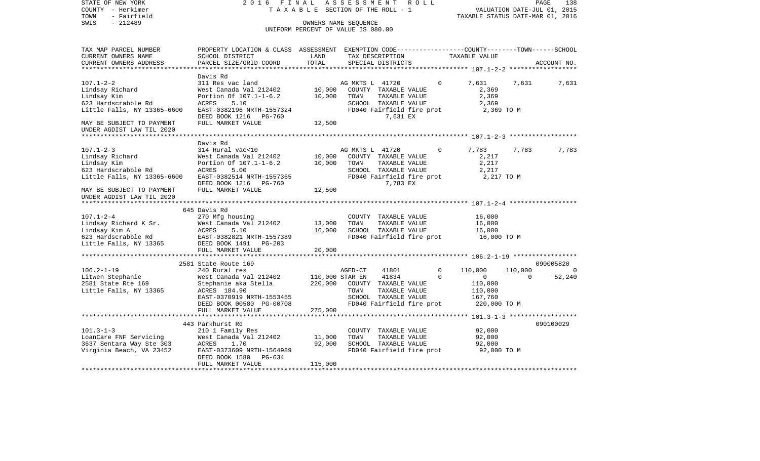| OWNERS NAME SEOUENCE<br>UNIFORM PERCENT OF VALUE IS 080.00<br>PROPERTY LOCATION & CLASS ASSESSMENT EXEMPTION CODE---------------COUNTY-------TOWN------SCHOOL<br>CURRENT OWNERS NAME<br>SCHOOL DISTRICT<br>LAND<br>TAX DESCRIPTION<br>TAXABLE VALUE<br>TOTAL<br>CURRENT OWNERS ADDRESS<br>PARCEL SIZE/GRID COORD<br>SPECIAL DISTRICTS<br>ACCOUNT NO.<br>Davis Rd<br>$107.1 - 2 - 2$<br>311 Res vac land<br>AG MKTS L 41720<br>$\Omega$<br>7,631<br>7,631<br>7,631<br>10,000<br>COUNTY TAXABLE VALUE<br>Lindsay Richard<br>West Canada Val 212402<br>2,369<br>Lindsay Kim<br>Portion Of 107.1-1-6.2<br>10,000<br>TOWN<br>TAXABLE VALUE<br>2,369<br>623 Hardscrabble Rd<br>5.10<br>2,369<br>ACRES<br>SCHOOL TAXABLE VALUE<br>EAST-0382196 NRTH-1557324<br>FD040 Fairfield fire prot<br>2,369 TO M<br>DEED BOOK 1216<br>7,631 EX<br>PG-760<br>FULL MARKET VALUE<br>12,500<br>MAY BE SUBJECT TO PAYMENT<br>Davis Rd<br>$107.1 - 2 - 3$<br>314 Rural vac<10<br>AG MKTS L 41720<br>0<br>7,783<br>7,783<br>7,783<br>Lindsay Richard<br>West Canada Val 212402<br>10,000<br>2,217<br>COUNTY TAXABLE VALUE<br>Lindsay Kim<br>Portion Of 107.1-1-6.2<br>10,000<br>2,217<br>TOWN<br>TAXABLE VALUE<br>623 Hardscrabble Rd<br>5.00<br>ACRES<br>SCHOOL TAXABLE VALUE<br>2,217<br>Little Falls, NY 13365-6600<br>EAST-0382514 NRTH-1557365<br>FD040 Fairfield fire prot<br>2,217 TO M<br>7,783 EX<br>DEED BOOK 1216<br><b>PG-760</b><br>12,500<br>FULL MARKET VALUE<br>*********************<br>645 Davis Rd<br>270 Mfg housing<br>COUNTY TAXABLE VALUE<br>16,000<br>Lindsay Richard K Sr.<br>West Canada Val 212402<br>13,000<br>TOWN<br>TAXABLE VALUE<br>16,000<br>16,000<br>SCHOOL TAXABLE VALUE<br>16,000<br>Lindsay Kim A<br>ACRES<br>5.10<br>623 Hardscrabble Rd<br>EAST-0382821 NRTH-1557389<br>FD040 Fairfield fire prot<br>16,000 TO M<br>DEED BOOK 1491<br>Little Falls, NY 13365<br>$PG-203$<br>FULL MARKET VALUE<br>20,000<br>***************************<br>090005820<br>2581 State Route 169<br>110,000<br>110,000<br>240 Rural res<br>AGED-CT<br>41801<br>0<br>41834<br>$\Omega$<br>52,240<br>West Canada Val 212402<br>110,000 STAR EN<br>$\circ$<br>$\Omega$<br>220,000<br>COUNTY TAXABLE VALUE<br>110,000<br>Stephanie aka Stella<br>ACRES 184.90<br>TOWN<br>TAXABLE VALUE<br>110,000<br>EAST-0370919 NRTH-1553455<br>SCHOOL TAXABLE VALUE<br>167,760<br>DEED BOOK 00580 PG-00708<br>FD040 Fairfield fire prot<br>220,000 TO M<br>275,000<br>FULL MARKET VALUE<br>443 Parkhurst Rd<br>090100029<br>$101.3 - 1 - 3$<br>COUNTY TAXABLE VALUE<br>92,000<br>210 1 Family Res<br>West Canada Val 212402<br>11,000<br>TOWN<br>TAXABLE VALUE<br>92,000<br>92,000<br>ACRES<br>1.70<br>SCHOOL TAXABLE VALUE<br>92,000<br>FD040 Fairfield fire prot<br>92,000 TO M<br>EAST-0373609 NRTH-1564989<br>DEED BOOK 1580<br>PG-634<br>115,000<br>FULL MARKET VALUE | COUNTY<br>- Herkimer<br>TOWN<br>- Fairfield            | TAXABLE SECTION OF THE ROLL - 1 |  |  | TAXABLE STATUS DATE-MAR 01, 2016 | VALUATION DATE-JUL 01, 2015 |
|------------------------------------------------------------------------------------------------------------------------------------------------------------------------------------------------------------------------------------------------------------------------------------------------------------------------------------------------------------------------------------------------------------------------------------------------------------------------------------------------------------------------------------------------------------------------------------------------------------------------------------------------------------------------------------------------------------------------------------------------------------------------------------------------------------------------------------------------------------------------------------------------------------------------------------------------------------------------------------------------------------------------------------------------------------------------------------------------------------------------------------------------------------------------------------------------------------------------------------------------------------------------------------------------------------------------------------------------------------------------------------------------------------------------------------------------------------------------------------------------------------------------------------------------------------------------------------------------------------------------------------------------------------------------------------------------------------------------------------------------------------------------------------------------------------------------------------------------------------------------------------------------------------------------------------------------------------------------------------------------------------------------------------------------------------------------------------------------------------------------------------------------------------------------------------------------------------------------------------------------------------------------------------------------------------------------------------------------------------------------------------------------------------------------------------------------------------------------------------------------------------------------------------------------------------------------------------------------------------------------------------------------------------------------------------------------------------------------------------------------------------------------------------------------------------------------------------------------------|--------------------------------------------------------|---------------------------------|--|--|----------------------------------|-----------------------------|
|                                                                                                                                                                                                                                                                                                                                                                                                                                                                                                                                                                                                                                                                                                                                                                                                                                                                                                                                                                                                                                                                                                                                                                                                                                                                                                                                                                                                                                                                                                                                                                                                                                                                                                                                                                                                                                                                                                                                                                                                                                                                                                                                                                                                                                                                                                                                                                                                                                                                                                                                                                                                                                                                                                                                                                                                                                                      | SWIS<br>$-212489$                                      |                                 |  |  |                                  |                             |
|                                                                                                                                                                                                                                                                                                                                                                                                                                                                                                                                                                                                                                                                                                                                                                                                                                                                                                                                                                                                                                                                                                                                                                                                                                                                                                                                                                                                                                                                                                                                                                                                                                                                                                                                                                                                                                                                                                                                                                                                                                                                                                                                                                                                                                                                                                                                                                                                                                                                                                                                                                                                                                                                                                                                                                                                                                                      | TAX MAP PARCEL NUMBER                                  |                                 |  |  |                                  |                             |
|                                                                                                                                                                                                                                                                                                                                                                                                                                                                                                                                                                                                                                                                                                                                                                                                                                                                                                                                                                                                                                                                                                                                                                                                                                                                                                                                                                                                                                                                                                                                                                                                                                                                                                                                                                                                                                                                                                                                                                                                                                                                                                                                                                                                                                                                                                                                                                                                                                                                                                                                                                                                                                                                                                                                                                                                                                                      |                                                        |                                 |  |  |                                  |                             |
|                                                                                                                                                                                                                                                                                                                                                                                                                                                                                                                                                                                                                                                                                                                                                                                                                                                                                                                                                                                                                                                                                                                                                                                                                                                                                                                                                                                                                                                                                                                                                                                                                                                                                                                                                                                                                                                                                                                                                                                                                                                                                                                                                                                                                                                                                                                                                                                                                                                                                                                                                                                                                                                                                                                                                                                                                                                      | **************************                             |                                 |  |  |                                  |                             |
|                                                                                                                                                                                                                                                                                                                                                                                                                                                                                                                                                                                                                                                                                                                                                                                                                                                                                                                                                                                                                                                                                                                                                                                                                                                                                                                                                                                                                                                                                                                                                                                                                                                                                                                                                                                                                                                                                                                                                                                                                                                                                                                                                                                                                                                                                                                                                                                                                                                                                                                                                                                                                                                                                                                                                                                                                                                      |                                                        |                                 |  |  |                                  |                             |
|                                                                                                                                                                                                                                                                                                                                                                                                                                                                                                                                                                                                                                                                                                                                                                                                                                                                                                                                                                                                                                                                                                                                                                                                                                                                                                                                                                                                                                                                                                                                                                                                                                                                                                                                                                                                                                                                                                                                                                                                                                                                                                                                                                                                                                                                                                                                                                                                                                                                                                                                                                                                                                                                                                                                                                                                                                                      |                                                        |                                 |  |  |                                  |                             |
|                                                                                                                                                                                                                                                                                                                                                                                                                                                                                                                                                                                                                                                                                                                                                                                                                                                                                                                                                                                                                                                                                                                                                                                                                                                                                                                                                                                                                                                                                                                                                                                                                                                                                                                                                                                                                                                                                                                                                                                                                                                                                                                                                                                                                                                                                                                                                                                                                                                                                                                                                                                                                                                                                                                                                                                                                                                      |                                                        |                                 |  |  |                                  |                             |
|                                                                                                                                                                                                                                                                                                                                                                                                                                                                                                                                                                                                                                                                                                                                                                                                                                                                                                                                                                                                                                                                                                                                                                                                                                                                                                                                                                                                                                                                                                                                                                                                                                                                                                                                                                                                                                                                                                                                                                                                                                                                                                                                                                                                                                                                                                                                                                                                                                                                                                                                                                                                                                                                                                                                                                                                                                                      |                                                        |                                 |  |  |                                  |                             |
|                                                                                                                                                                                                                                                                                                                                                                                                                                                                                                                                                                                                                                                                                                                                                                                                                                                                                                                                                                                                                                                                                                                                                                                                                                                                                                                                                                                                                                                                                                                                                                                                                                                                                                                                                                                                                                                                                                                                                                                                                                                                                                                                                                                                                                                                                                                                                                                                                                                                                                                                                                                                                                                                                                                                                                                                                                                      | Little Falls, NY 13365-6600                            |                                 |  |  |                                  |                             |
|                                                                                                                                                                                                                                                                                                                                                                                                                                                                                                                                                                                                                                                                                                                                                                                                                                                                                                                                                                                                                                                                                                                                                                                                                                                                                                                                                                                                                                                                                                                                                                                                                                                                                                                                                                                                                                                                                                                                                                                                                                                                                                                                                                                                                                                                                                                                                                                                                                                                                                                                                                                                                                                                                                                                                                                                                                                      |                                                        |                                 |  |  |                                  |                             |
|                                                                                                                                                                                                                                                                                                                                                                                                                                                                                                                                                                                                                                                                                                                                                                                                                                                                                                                                                                                                                                                                                                                                                                                                                                                                                                                                                                                                                                                                                                                                                                                                                                                                                                                                                                                                                                                                                                                                                                                                                                                                                                                                                                                                                                                                                                                                                                                                                                                                                                                                                                                                                                                                                                                                                                                                                                                      | UNDER AGDIST LAW TIL 2020                              |                                 |  |  |                                  |                             |
|                                                                                                                                                                                                                                                                                                                                                                                                                                                                                                                                                                                                                                                                                                                                                                                                                                                                                                                                                                                                                                                                                                                                                                                                                                                                                                                                                                                                                                                                                                                                                                                                                                                                                                                                                                                                                                                                                                                                                                                                                                                                                                                                                                                                                                                                                                                                                                                                                                                                                                                                                                                                                                                                                                                                                                                                                                                      |                                                        |                                 |  |  |                                  |                             |
|                                                                                                                                                                                                                                                                                                                                                                                                                                                                                                                                                                                                                                                                                                                                                                                                                                                                                                                                                                                                                                                                                                                                                                                                                                                                                                                                                                                                                                                                                                                                                                                                                                                                                                                                                                                                                                                                                                                                                                                                                                                                                                                                                                                                                                                                                                                                                                                                                                                                                                                                                                                                                                                                                                                                                                                                                                                      |                                                        |                                 |  |  |                                  |                             |
|                                                                                                                                                                                                                                                                                                                                                                                                                                                                                                                                                                                                                                                                                                                                                                                                                                                                                                                                                                                                                                                                                                                                                                                                                                                                                                                                                                                                                                                                                                                                                                                                                                                                                                                                                                                                                                                                                                                                                                                                                                                                                                                                                                                                                                                                                                                                                                                                                                                                                                                                                                                                                                                                                                                                                                                                                                                      |                                                        |                                 |  |  |                                  |                             |
|                                                                                                                                                                                                                                                                                                                                                                                                                                                                                                                                                                                                                                                                                                                                                                                                                                                                                                                                                                                                                                                                                                                                                                                                                                                                                                                                                                                                                                                                                                                                                                                                                                                                                                                                                                                                                                                                                                                                                                                                                                                                                                                                                                                                                                                                                                                                                                                                                                                                                                                                                                                                                                                                                                                                                                                                                                                      |                                                        |                                 |  |  |                                  |                             |
|                                                                                                                                                                                                                                                                                                                                                                                                                                                                                                                                                                                                                                                                                                                                                                                                                                                                                                                                                                                                                                                                                                                                                                                                                                                                                                                                                                                                                                                                                                                                                                                                                                                                                                                                                                                                                                                                                                                                                                                                                                                                                                                                                                                                                                                                                                                                                                                                                                                                                                                                                                                                                                                                                                                                                                                                                                                      |                                                        |                                 |  |  |                                  |                             |
|                                                                                                                                                                                                                                                                                                                                                                                                                                                                                                                                                                                                                                                                                                                                                                                                                                                                                                                                                                                                                                                                                                                                                                                                                                                                                                                                                                                                                                                                                                                                                                                                                                                                                                                                                                                                                                                                                                                                                                                                                                                                                                                                                                                                                                                                                                                                                                                                                                                                                                                                                                                                                                                                                                                                                                                                                                                      |                                                        |                                 |  |  |                                  |                             |
|                                                                                                                                                                                                                                                                                                                                                                                                                                                                                                                                                                                                                                                                                                                                                                                                                                                                                                                                                                                                                                                                                                                                                                                                                                                                                                                                                                                                                                                                                                                                                                                                                                                                                                                                                                                                                                                                                                                                                                                                                                                                                                                                                                                                                                                                                                                                                                                                                                                                                                                                                                                                                                                                                                                                                                                                                                                      |                                                        |                                 |  |  |                                  |                             |
|                                                                                                                                                                                                                                                                                                                                                                                                                                                                                                                                                                                                                                                                                                                                                                                                                                                                                                                                                                                                                                                                                                                                                                                                                                                                                                                                                                                                                                                                                                                                                                                                                                                                                                                                                                                                                                                                                                                                                                                                                                                                                                                                                                                                                                                                                                                                                                                                                                                                                                                                                                                                                                                                                                                                                                                                                                                      | MAY BE SUBJECT TO PAYMENT<br>UNDER AGDIST LAW TIL 2020 |                                 |  |  |                                  |                             |
|                                                                                                                                                                                                                                                                                                                                                                                                                                                                                                                                                                                                                                                                                                                                                                                                                                                                                                                                                                                                                                                                                                                                                                                                                                                                                                                                                                                                                                                                                                                                                                                                                                                                                                                                                                                                                                                                                                                                                                                                                                                                                                                                                                                                                                                                                                                                                                                                                                                                                                                                                                                                                                                                                                                                                                                                                                                      |                                                        |                                 |  |  |                                  |                             |
|                                                                                                                                                                                                                                                                                                                                                                                                                                                                                                                                                                                                                                                                                                                                                                                                                                                                                                                                                                                                                                                                                                                                                                                                                                                                                                                                                                                                                                                                                                                                                                                                                                                                                                                                                                                                                                                                                                                                                                                                                                                                                                                                                                                                                                                                                                                                                                                                                                                                                                                                                                                                                                                                                                                                                                                                                                                      |                                                        |                                 |  |  |                                  |                             |
|                                                                                                                                                                                                                                                                                                                                                                                                                                                                                                                                                                                                                                                                                                                                                                                                                                                                                                                                                                                                                                                                                                                                                                                                                                                                                                                                                                                                                                                                                                                                                                                                                                                                                                                                                                                                                                                                                                                                                                                                                                                                                                                                                                                                                                                                                                                                                                                                                                                                                                                                                                                                                                                                                                                                                                                                                                                      | $107.1 - 2 - 4$                                        |                                 |  |  |                                  |                             |
|                                                                                                                                                                                                                                                                                                                                                                                                                                                                                                                                                                                                                                                                                                                                                                                                                                                                                                                                                                                                                                                                                                                                                                                                                                                                                                                                                                                                                                                                                                                                                                                                                                                                                                                                                                                                                                                                                                                                                                                                                                                                                                                                                                                                                                                                                                                                                                                                                                                                                                                                                                                                                                                                                                                                                                                                                                                      |                                                        |                                 |  |  |                                  |                             |
|                                                                                                                                                                                                                                                                                                                                                                                                                                                                                                                                                                                                                                                                                                                                                                                                                                                                                                                                                                                                                                                                                                                                                                                                                                                                                                                                                                                                                                                                                                                                                                                                                                                                                                                                                                                                                                                                                                                                                                                                                                                                                                                                                                                                                                                                                                                                                                                                                                                                                                                                                                                                                                                                                                                                                                                                                                                      |                                                        |                                 |  |  |                                  |                             |
|                                                                                                                                                                                                                                                                                                                                                                                                                                                                                                                                                                                                                                                                                                                                                                                                                                                                                                                                                                                                                                                                                                                                                                                                                                                                                                                                                                                                                                                                                                                                                                                                                                                                                                                                                                                                                                                                                                                                                                                                                                                                                                                                                                                                                                                                                                                                                                                                                                                                                                                                                                                                                                                                                                                                                                                                                                                      |                                                        |                                 |  |  |                                  |                             |
|                                                                                                                                                                                                                                                                                                                                                                                                                                                                                                                                                                                                                                                                                                                                                                                                                                                                                                                                                                                                                                                                                                                                                                                                                                                                                                                                                                                                                                                                                                                                                                                                                                                                                                                                                                                                                                                                                                                                                                                                                                                                                                                                                                                                                                                                                                                                                                                                                                                                                                                                                                                                                                                                                                                                                                                                                                                      |                                                        |                                 |  |  |                                  |                             |
|                                                                                                                                                                                                                                                                                                                                                                                                                                                                                                                                                                                                                                                                                                                                                                                                                                                                                                                                                                                                                                                                                                                                                                                                                                                                                                                                                                                                                                                                                                                                                                                                                                                                                                                                                                                                                                                                                                                                                                                                                                                                                                                                                                                                                                                                                                                                                                                                                                                                                                                                                                                                                                                                                                                                                                                                                                                      |                                                        |                                 |  |  |                                  |                             |
|                                                                                                                                                                                                                                                                                                                                                                                                                                                                                                                                                                                                                                                                                                                                                                                                                                                                                                                                                                                                                                                                                                                                                                                                                                                                                                                                                                                                                                                                                                                                                                                                                                                                                                                                                                                                                                                                                                                                                                                                                                                                                                                                                                                                                                                                                                                                                                                                                                                                                                                                                                                                                                                                                                                                                                                                                                                      |                                                        |                                 |  |  |                                  |                             |
|                                                                                                                                                                                                                                                                                                                                                                                                                                                                                                                                                                                                                                                                                                                                                                                                                                                                                                                                                                                                                                                                                                                                                                                                                                                                                                                                                                                                                                                                                                                                                                                                                                                                                                                                                                                                                                                                                                                                                                                                                                                                                                                                                                                                                                                                                                                                                                                                                                                                                                                                                                                                                                                                                                                                                                                                                                                      | $106.2 - 1 - 19$                                       |                                 |  |  |                                  |                             |
|                                                                                                                                                                                                                                                                                                                                                                                                                                                                                                                                                                                                                                                                                                                                                                                                                                                                                                                                                                                                                                                                                                                                                                                                                                                                                                                                                                                                                                                                                                                                                                                                                                                                                                                                                                                                                                                                                                                                                                                                                                                                                                                                                                                                                                                                                                                                                                                                                                                                                                                                                                                                                                                                                                                                                                                                                                                      | Litwen Stephanie                                       |                                 |  |  |                                  |                             |
|                                                                                                                                                                                                                                                                                                                                                                                                                                                                                                                                                                                                                                                                                                                                                                                                                                                                                                                                                                                                                                                                                                                                                                                                                                                                                                                                                                                                                                                                                                                                                                                                                                                                                                                                                                                                                                                                                                                                                                                                                                                                                                                                                                                                                                                                                                                                                                                                                                                                                                                                                                                                                                                                                                                                                                                                                                                      | 2581 State Rte 169                                     |                                 |  |  |                                  |                             |
|                                                                                                                                                                                                                                                                                                                                                                                                                                                                                                                                                                                                                                                                                                                                                                                                                                                                                                                                                                                                                                                                                                                                                                                                                                                                                                                                                                                                                                                                                                                                                                                                                                                                                                                                                                                                                                                                                                                                                                                                                                                                                                                                                                                                                                                                                                                                                                                                                                                                                                                                                                                                                                                                                                                                                                                                                                                      | Little Falls, NY 13365                                 |                                 |  |  |                                  |                             |
|                                                                                                                                                                                                                                                                                                                                                                                                                                                                                                                                                                                                                                                                                                                                                                                                                                                                                                                                                                                                                                                                                                                                                                                                                                                                                                                                                                                                                                                                                                                                                                                                                                                                                                                                                                                                                                                                                                                                                                                                                                                                                                                                                                                                                                                                                                                                                                                                                                                                                                                                                                                                                                                                                                                                                                                                                                                      |                                                        |                                 |  |  |                                  |                             |
|                                                                                                                                                                                                                                                                                                                                                                                                                                                                                                                                                                                                                                                                                                                                                                                                                                                                                                                                                                                                                                                                                                                                                                                                                                                                                                                                                                                                                                                                                                                                                                                                                                                                                                                                                                                                                                                                                                                                                                                                                                                                                                                                                                                                                                                                                                                                                                                                                                                                                                                                                                                                                                                                                                                                                                                                                                                      |                                                        |                                 |  |  |                                  |                             |
|                                                                                                                                                                                                                                                                                                                                                                                                                                                                                                                                                                                                                                                                                                                                                                                                                                                                                                                                                                                                                                                                                                                                                                                                                                                                                                                                                                                                                                                                                                                                                                                                                                                                                                                                                                                                                                                                                                                                                                                                                                                                                                                                                                                                                                                                                                                                                                                                                                                                                                                                                                                                                                                                                                                                                                                                                                                      |                                                        |                                 |  |  |                                  |                             |
|                                                                                                                                                                                                                                                                                                                                                                                                                                                                                                                                                                                                                                                                                                                                                                                                                                                                                                                                                                                                                                                                                                                                                                                                                                                                                                                                                                                                                                                                                                                                                                                                                                                                                                                                                                                                                                                                                                                                                                                                                                                                                                                                                                                                                                                                                                                                                                                                                                                                                                                                                                                                                                                                                                                                                                                                                                                      |                                                        |                                 |  |  |                                  |                             |
|                                                                                                                                                                                                                                                                                                                                                                                                                                                                                                                                                                                                                                                                                                                                                                                                                                                                                                                                                                                                                                                                                                                                                                                                                                                                                                                                                                                                                                                                                                                                                                                                                                                                                                                                                                                                                                                                                                                                                                                                                                                                                                                                                                                                                                                                                                                                                                                                                                                                                                                                                                                                                                                                                                                                                                                                                                                      |                                                        |                                 |  |  |                                  |                             |
|                                                                                                                                                                                                                                                                                                                                                                                                                                                                                                                                                                                                                                                                                                                                                                                                                                                                                                                                                                                                                                                                                                                                                                                                                                                                                                                                                                                                                                                                                                                                                                                                                                                                                                                                                                                                                                                                                                                                                                                                                                                                                                                                                                                                                                                                                                                                                                                                                                                                                                                                                                                                                                                                                                                                                                                                                                                      | LoanCare FNF Servicing                                 |                                 |  |  |                                  |                             |
|                                                                                                                                                                                                                                                                                                                                                                                                                                                                                                                                                                                                                                                                                                                                                                                                                                                                                                                                                                                                                                                                                                                                                                                                                                                                                                                                                                                                                                                                                                                                                                                                                                                                                                                                                                                                                                                                                                                                                                                                                                                                                                                                                                                                                                                                                                                                                                                                                                                                                                                                                                                                                                                                                                                                                                                                                                                      | 3637 Sentara Way Ste 303                               |                                 |  |  |                                  |                             |
|                                                                                                                                                                                                                                                                                                                                                                                                                                                                                                                                                                                                                                                                                                                                                                                                                                                                                                                                                                                                                                                                                                                                                                                                                                                                                                                                                                                                                                                                                                                                                                                                                                                                                                                                                                                                                                                                                                                                                                                                                                                                                                                                                                                                                                                                                                                                                                                                                                                                                                                                                                                                                                                                                                                                                                                                                                                      | Virginia Beach, VA 23452                               |                                 |  |  |                                  |                             |
|                                                                                                                                                                                                                                                                                                                                                                                                                                                                                                                                                                                                                                                                                                                                                                                                                                                                                                                                                                                                                                                                                                                                                                                                                                                                                                                                                                                                                                                                                                                                                                                                                                                                                                                                                                                                                                                                                                                                                                                                                                                                                                                                                                                                                                                                                                                                                                                                                                                                                                                                                                                                                                                                                                                                                                                                                                                      |                                                        |                                 |  |  |                                  |                             |
|                                                                                                                                                                                                                                                                                                                                                                                                                                                                                                                                                                                                                                                                                                                                                                                                                                                                                                                                                                                                                                                                                                                                                                                                                                                                                                                                                                                                                                                                                                                                                                                                                                                                                                                                                                                                                                                                                                                                                                                                                                                                                                                                                                                                                                                                                                                                                                                                                                                                                                                                                                                                                                                                                                                                                                                                                                                      |                                                        |                                 |  |  |                                  |                             |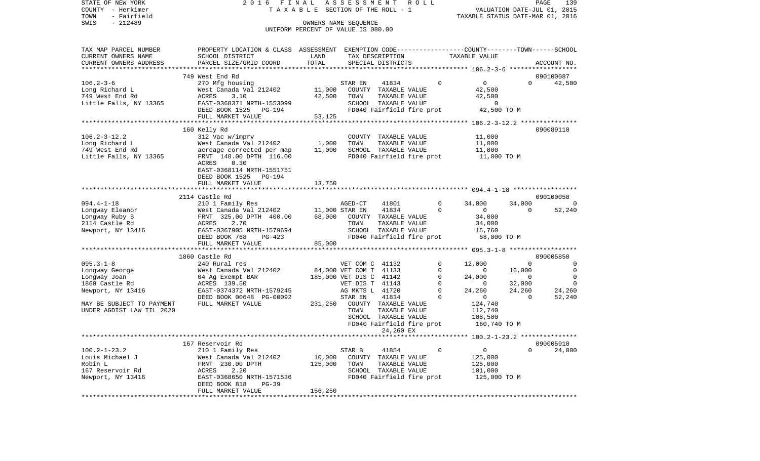| STATE OF NEW YORK<br>COUNTY - Herkimer             | 2016                                                                                             | FINAL          | ASSESSMENT<br>T A X A B L E SECTION OF THE ROLL - 1 | R O L L                 |                                         |                    | PAGE<br>139<br>VALUATION DATE-JUL 01, 2015 |
|----------------------------------------------------|--------------------------------------------------------------------------------------------------|----------------|-----------------------------------------------------|-------------------------|-----------------------------------------|--------------------|--------------------------------------------|
| - Fairfield<br>TOWN<br>SWIS<br>$-212489$           |                                                                                                  |                | OWNERS NAME SEQUENCE                                |                         | TAXABLE STATUS DATE-MAR 01, 2016        |                    |                                            |
|                                                    |                                                                                                  |                | UNIFORM PERCENT OF VALUE IS 080.00                  |                         |                                         |                    |                                            |
| TAX MAP PARCEL NUMBER                              | PROPERTY LOCATION & CLASS ASSESSMENT EXEMPTION CODE----------------COUNTY-------TOWN------SCHOOL |                |                                                     |                         |                                         |                    |                                            |
| CURRENT OWNERS NAME                                | SCHOOL DISTRICT                                                                                  | LAND           | TAX DESCRIPTION                                     |                         | TAXABLE VALUE                           |                    |                                            |
| CURRENT OWNERS ADDRESS<br>************************ | PARCEL SIZE/GRID COORD                                                                           | TOTAL          | SPECIAL DISTRICTS                                   |                         |                                         |                    | ACCOUNT NO.                                |
|                                                    | 749 West End Rd                                                                                  |                |                                                     |                         |                                         |                    | 090100087                                  |
| $106.2 - 3 - 6$                                    | 270 Mfg housing                                                                                  |                | 41834<br>STAR EN                                    | $\Omega$                | $\overline{0}$                          | $\Omega$           | 42,500                                     |
| Long Richard L                                     | West Canada Val 212402                                                                           | 11,000         | COUNTY TAXABLE VALUE                                |                         | 42,500                                  |                    |                                            |
| 749 West End Rd                                    | ACRES<br>3.10                                                                                    | 42,500         | TAXABLE VALUE<br>TOWN                               |                         | 42,500                                  |                    |                                            |
| Little Falls, NY 13365                             | EAST-0368371 NRTH-1553099                                                                        |                | SCHOOL TAXABLE VALUE                                |                         | $\overline{0}$                          |                    |                                            |
|                                                    | DEED BOOK 1525<br>PG-194<br>FULL MARKET VALUE                                                    | 53,125         | FD040 Fairfield fire prot                           |                         | 42,500 TO M                             |                    |                                            |
|                                                    |                                                                                                  |                |                                                     |                         |                                         |                    |                                            |
|                                                    | 160 Kelly Rd                                                                                     |                |                                                     |                         |                                         |                    | 090089110                                  |
| $106.2 - 3 - 12.2$                                 | 312 Vac w/imprv                                                                                  |                | COUNTY TAXABLE VALUE                                |                         | 11,000                                  |                    |                                            |
| Long Richard L                                     | West Canada Val 212402                                                                           | 1,000          | TOWN<br>TAXABLE VALUE                               |                         | 11,000                                  |                    |                                            |
| 749 West End Rd                                    | acreage corrected per map                                                                        | 11,000         | SCHOOL TAXABLE VALUE                                |                         | 11,000                                  |                    |                                            |
| Little Falls, NY 13365                             | FRNT 148.00 DPTH 116.00                                                                          |                | FD040 Fairfield fire prot                           |                         | 11,000 TO M                             |                    |                                            |
|                                                    | ACRES<br>0.30                                                                                    |                |                                                     |                         |                                         |                    |                                            |
|                                                    | EAST-0368114 NRTH-1551751<br>DEED BOOK 1525 PG-194                                               |                |                                                     |                         |                                         |                    |                                            |
|                                                    | FULL MARKET VALUE                                                                                | 13,750         |                                                     |                         |                                         |                    |                                            |
|                                                    |                                                                                                  |                |                                                     |                         |                                         |                    |                                            |
|                                                    | 2114 Castle Rd                                                                                   |                |                                                     |                         |                                         |                    | 090100058                                  |
| $094.4 - 1 - 18$                                   | 210 1 Family Res                                                                                 |                | AGED-CT<br>41801                                    | $\mathbf 0$             | 34,000                                  | 34,000             | - 0                                        |
| Longway Eleanor                                    | West Canada Val 212402                                                                           | 11,000 STAR EN | 41834                                               | $\Omega$                | $\overline{0}$                          | $\Omega$           | 52,240                                     |
| Longway Ruby S                                     | FRNT 325.00 DPTH 400.00                                                                          | 68,000         | COUNTY TAXABLE VALUE                                |                         | 34,000                                  |                    |                                            |
| 2114 Castle Rd                                     | 2.70<br>ACRES                                                                                    |                | TOWN<br>TAXABLE VALUE                               |                         | 34,000                                  |                    |                                            |
| Newport, NY 13416                                  | EAST-0367905 NRTH-1579694<br>DEED BOOK 768<br>PG-423                                             |                | SCHOOL TAXABLE VALUE<br>FD040 Fairfield fire prot   |                         | 15,760<br>68,000 TO M                   |                    |                                            |
|                                                    | FULL MARKET VALUE                                                                                | 85,000         |                                                     |                         |                                         |                    |                                            |
|                                                    | **************************                                                                       |                |                                                     |                         |                                         |                    |                                            |
|                                                    | 1860 Castle Rd                                                                                   |                |                                                     |                         |                                         |                    | 090005850                                  |
| $095.3 - 1 - 8$                                    | 240 Rural res                                                                                    |                | VET COM C 41132                                     | 0                       | 12,000                                  | $\mathbf{0}$       | 0                                          |
| Longway George                                     | West Canada Val 212402                                                                           |                | 84,000 VET COM T 41133                              | 0                       | $\overline{0}$                          | 16,000             | $\mathbf 0$                                |
| Longway Joan                                       | 04 Ag Exempt BAR                                                                                 |                | 185,000 VET DIS C 41142                             | 0                       | 24,000                                  | $\overline{0}$     | $\mathbf 0$                                |
| 1860 Castle Rd                                     | ACRES 139.50                                                                                     |                | VET DIS T 41143                                     | $\mathbf 0$             | $\overline{0}$                          | 32,000             | $\mathbf 0$                                |
| Newport, NY 13416                                  | EAST-0374372 NRTH-1579245<br>DEED BOOK 00648 PG-00092                                            |                | AG MKTS L 41720<br>41834<br>STAR EN                 | $\mathbf 0$<br>$\Omega$ | 24,260<br>$\overline{0}$                | 24,260<br>$\Omega$ | 24,260<br>52,240                           |
| MAY BE SUBJECT TO PAYMENT                          | FULL MARKET VALUE                                                                                | 231,250        | COUNTY TAXABLE VALUE                                |                         | 124,740                                 |                    |                                            |
| UNDER AGDIST LAW TIL 2020                          |                                                                                                  |                | TAXABLE VALUE<br>TOWN                               |                         | 112,740                                 |                    |                                            |
|                                                    |                                                                                                  |                | SCHOOL TAXABLE VALUE                                |                         | 108,500                                 |                    |                                            |
|                                                    |                                                                                                  |                | FD040 Fairfield fire prot                           |                         | 160,740 TO M                            |                    |                                            |
|                                                    |                                                                                                  |                | 24,260 EX                                           |                         |                                         |                    |                                            |
|                                                    |                                                                                                  |                |                                                     |                         | ********* 100.2-1-23.2 **************** |                    |                                            |
| $100.2 - 1 - 23.2$                                 | 167 Reservoir Rd<br>210 1 Family Res                                                             |                | STAR B<br>41854                                     | 0                       | 0                                       | 0                  | 090005910<br>24,000                        |
| Louis Michael J                                    | West Canada Val 212402                                                                           | 10,000         | COUNTY TAXABLE VALUE                                |                         | 125,000                                 |                    |                                            |
| Robin L                                            | 230.00 DPTH<br>FRNT                                                                              | 125,000        | TOWN<br>TAXABLE VALUE                               |                         | 125,000                                 |                    |                                            |
| 167 Reservoir Rd                                   | ACRES<br>2.20                                                                                    |                | SCHOOL TAXABLE VALUE                                |                         | 101,000                                 |                    |                                            |
| Newport, NY 13416                                  | EAST-0368650 NRTH-1571536                                                                        |                | FD040 Fairfield fire prot                           |                         | 125,000 TO M                            |                    |                                            |
|                                                    | DEED BOOK 818<br>$PG-39$                                                                         |                |                                                     |                         |                                         |                    |                                            |
|                                                    | FULL MARKET VALUE                                                                                | 156,250        |                                                     |                         |                                         |                    |                                            |
| ************                                       |                                                                                                  |                |                                                     |                         |                                         |                    |                                            |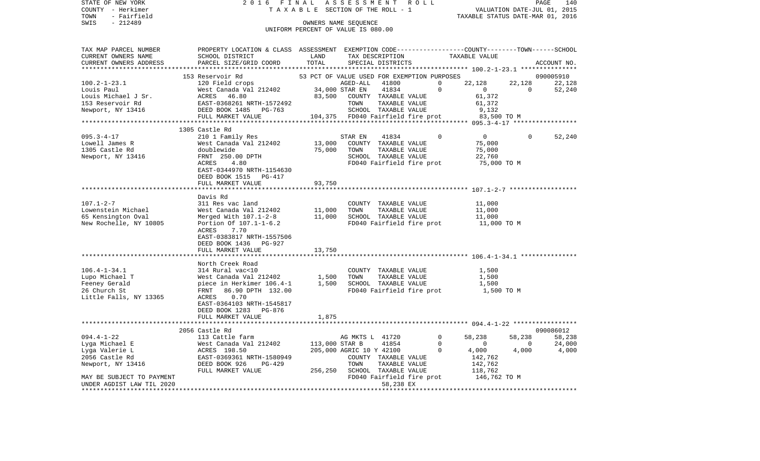| TAXABLE STATUS DATE-MAR 01, 2016<br>$-212489$<br>OWNERS NAME SEQUENCE<br>SWIS<br>UNIFORM PERCENT OF VALUE IS 080.00<br>TAX MAP PARCEL NUMBER<br>PROPERTY LOCATION & CLASS ASSESSMENT EXEMPTION CODE---------------COUNTY-------TOWN------SCHOOL<br>CURRENT OWNERS NAME<br>SCHOOL DISTRICT<br>TAXABLE VALUE<br>LAND<br>TAX DESCRIPTION<br>CURRENT OWNERS ADDRESS<br>PARCEL SIZE/GRID COORD<br>TOTAL<br>SPECIAL DISTRICTS<br>ACCOUNT NO.<br>53 PCT OF VALUE USED FOR EXEMPTION PURPOSES<br>090005910<br>153 Reservoir Rd<br>120 Field crops<br>AGED-ALL<br>41800<br>$\mathbf 0$<br>22,128<br>22,128<br>$100.2 - 1 - 23.1$<br>22,128<br>$\mathbf 0$<br>West Canada Val 212402<br>34,000 STAR EN<br>41834<br>$\overline{0}$<br>$\overline{0}$<br>Louis Paul<br>52,240<br>83,500<br>ACRES<br>46.80<br>61,372<br>Louis Michael J Sr.<br>COUNTY TAXABLE VALUE<br>153 Reservoir Rd<br>EAST-0368261 NRTH-1572492<br>TOWN<br>TAXABLE VALUE<br>61,372<br>Newport, NY 13416<br>DEED BOOK 1485 PG-763<br>SCHOOL TAXABLE VALUE<br>9,132<br>FULL MARKET VALUE<br>104,375 FD040 Fairfield fire prot 83,500 TO M<br>1305 Castle Rd<br>$095.3 - 4 - 17$<br>$\overline{0}$<br>210 1 Family Res<br>STAR EN<br>41834<br>0<br>$\mathbf{0}$<br>52,240<br>Lowell James R<br>13,000<br>COUNTY TAXABLE VALUE<br>75,000<br>West Canada Val 212402<br>1305 Castle Rd<br>doublewide<br>75,000<br>TAXABLE VALUE<br>TOWN<br>75,000<br>Newport, NY 13416<br>FRNT 250.00 DPTH<br>SCHOOL TAXABLE VALUE<br>22,760<br>ACRES<br>4.80<br>FD040 Fairfield fire prot<br>75,000 TO M<br>EAST-0344970 NRTH-1154630<br>DEED BOOK 1515 PG-417<br>FULL MARKET VALUE<br>93,750<br>Davis Rd<br>$107.1 - 2 - 7$<br>311 Res vac land<br>COUNTY TAXABLE VALUE<br>11,000<br>Lowenstein Michael<br>West Canada Val 212402<br>11,000<br>TOWN<br>TAXABLE VALUE<br>11,000<br>11,000<br>65 Kensington Oval<br>Merged With 107.1-2-8<br>SCHOOL TAXABLE VALUE<br>11,000<br>New Rochelle, NY 10805<br>Portion Of 107.1-1-6.2<br>FD040 Fairfield fire prot<br>11,000 TO M<br>7.70<br>ACRES<br>EAST-0383817 NRTH-1557506<br>DEED BOOK 1436 PG-927<br>FULL MARKET VALUE<br>13,750<br>********************<br>North Creek Road<br>$106.4 - 1 - 34.1$<br>314 Rural vac<10<br>COUNTY TAXABLE VALUE<br>1,500<br>West Canada Val 212402<br>Lupo Michael T<br>1,500<br>TAXABLE VALUE<br>TOWN<br>1,500<br>piece in Herkimer 106.4-1 1,500 SCHOOL TAXABLE VALUE<br>Feeney Gerald<br>1,500<br>26 Church St<br>FRNT<br>86.90 DPTH 132.00<br>FD040 Fairfield fire prot<br>1,500 TO M<br>Little Falls, NY 13365<br>ACRES<br>0.70<br>EAST-0364103 NRTH-1545817<br>DEED BOOK 1283 PG-876<br>FULL MARKET VALUE<br>1,875<br>*********************<br>090086012<br>2056 Castle Rd<br>$094.4 - 1 - 22$<br>$\circ$<br>58,238<br>113 Cattle farm<br>AG MKTS L 41720<br>58,238<br>58,238<br>Lyga Michael E<br>113,000 STAR B<br>41854<br>$\mathbf 0$<br>$\overline{0}$<br>24,000<br>West Canada Val 212402<br>$\overline{0}$ | STATE OF NEW YORK<br>COUNTY - Herkimer<br>TOWN<br>- Fairfield | 2016<br>FINAL | T A X A B L E SECTION OF THE ROLL - 1 | ASSESSMENT |  | R O L L |          | VALUATION DATE-JUL 01, 2015 |       | PAGE<br>140 |
|-------------------------------------------------------------------------------------------------------------------------------------------------------------------------------------------------------------------------------------------------------------------------------------------------------------------------------------------------------------------------------------------------------------------------------------------------------------------------------------------------------------------------------------------------------------------------------------------------------------------------------------------------------------------------------------------------------------------------------------------------------------------------------------------------------------------------------------------------------------------------------------------------------------------------------------------------------------------------------------------------------------------------------------------------------------------------------------------------------------------------------------------------------------------------------------------------------------------------------------------------------------------------------------------------------------------------------------------------------------------------------------------------------------------------------------------------------------------------------------------------------------------------------------------------------------------------------------------------------------------------------------------------------------------------------------------------------------------------------------------------------------------------------------------------------------------------------------------------------------------------------------------------------------------------------------------------------------------------------------------------------------------------------------------------------------------------------------------------------------------------------------------------------------------------------------------------------------------------------------------------------------------------------------------------------------------------------------------------------------------------------------------------------------------------------------------------------------------------------------------------------------------------------------------------------------------------------------------------------------------------------------------------------------------------------------------------------------------------------------------------------------------------------------------------------------------------------------------------------------------------------------------------------------------------------------------|---------------------------------------------------------------|---------------|---------------------------------------|------------|--|---------|----------|-----------------------------|-------|-------------|
|                                                                                                                                                                                                                                                                                                                                                                                                                                                                                                                                                                                                                                                                                                                                                                                                                                                                                                                                                                                                                                                                                                                                                                                                                                                                                                                                                                                                                                                                                                                                                                                                                                                                                                                                                                                                                                                                                                                                                                                                                                                                                                                                                                                                                                                                                                                                                                                                                                                                                                                                                                                                                                                                                                                                                                                                                                                                                                                                           |                                                               |               |                                       |            |  |         |          |                             |       |             |
|                                                                                                                                                                                                                                                                                                                                                                                                                                                                                                                                                                                                                                                                                                                                                                                                                                                                                                                                                                                                                                                                                                                                                                                                                                                                                                                                                                                                                                                                                                                                                                                                                                                                                                                                                                                                                                                                                                                                                                                                                                                                                                                                                                                                                                                                                                                                                                                                                                                                                                                                                                                                                                                                                                                                                                                                                                                                                                                                           |                                                               |               |                                       |            |  |         |          |                             |       |             |
|                                                                                                                                                                                                                                                                                                                                                                                                                                                                                                                                                                                                                                                                                                                                                                                                                                                                                                                                                                                                                                                                                                                                                                                                                                                                                                                                                                                                                                                                                                                                                                                                                                                                                                                                                                                                                                                                                                                                                                                                                                                                                                                                                                                                                                                                                                                                                                                                                                                                                                                                                                                                                                                                                                                                                                                                                                                                                                                                           |                                                               |               |                                       |            |  |         |          |                             |       |             |
|                                                                                                                                                                                                                                                                                                                                                                                                                                                                                                                                                                                                                                                                                                                                                                                                                                                                                                                                                                                                                                                                                                                                                                                                                                                                                                                                                                                                                                                                                                                                                                                                                                                                                                                                                                                                                                                                                                                                                                                                                                                                                                                                                                                                                                                                                                                                                                                                                                                                                                                                                                                                                                                                                                                                                                                                                                                                                                                                           |                                                               |               |                                       |            |  |         |          |                             |       |             |
|                                                                                                                                                                                                                                                                                                                                                                                                                                                                                                                                                                                                                                                                                                                                                                                                                                                                                                                                                                                                                                                                                                                                                                                                                                                                                                                                                                                                                                                                                                                                                                                                                                                                                                                                                                                                                                                                                                                                                                                                                                                                                                                                                                                                                                                                                                                                                                                                                                                                                                                                                                                                                                                                                                                                                                                                                                                                                                                                           |                                                               |               |                                       |            |  |         |          |                             |       |             |
|                                                                                                                                                                                                                                                                                                                                                                                                                                                                                                                                                                                                                                                                                                                                                                                                                                                                                                                                                                                                                                                                                                                                                                                                                                                                                                                                                                                                                                                                                                                                                                                                                                                                                                                                                                                                                                                                                                                                                                                                                                                                                                                                                                                                                                                                                                                                                                                                                                                                                                                                                                                                                                                                                                                                                                                                                                                                                                                                           |                                                               |               |                                       |            |  |         |          |                             |       |             |
|                                                                                                                                                                                                                                                                                                                                                                                                                                                                                                                                                                                                                                                                                                                                                                                                                                                                                                                                                                                                                                                                                                                                                                                                                                                                                                                                                                                                                                                                                                                                                                                                                                                                                                                                                                                                                                                                                                                                                                                                                                                                                                                                                                                                                                                                                                                                                                                                                                                                                                                                                                                                                                                                                                                                                                                                                                                                                                                                           |                                                               |               |                                       |            |  |         |          |                             |       |             |
|                                                                                                                                                                                                                                                                                                                                                                                                                                                                                                                                                                                                                                                                                                                                                                                                                                                                                                                                                                                                                                                                                                                                                                                                                                                                                                                                                                                                                                                                                                                                                                                                                                                                                                                                                                                                                                                                                                                                                                                                                                                                                                                                                                                                                                                                                                                                                                                                                                                                                                                                                                                                                                                                                                                                                                                                                                                                                                                                           |                                                               |               |                                       |            |  |         |          |                             |       |             |
|                                                                                                                                                                                                                                                                                                                                                                                                                                                                                                                                                                                                                                                                                                                                                                                                                                                                                                                                                                                                                                                                                                                                                                                                                                                                                                                                                                                                                                                                                                                                                                                                                                                                                                                                                                                                                                                                                                                                                                                                                                                                                                                                                                                                                                                                                                                                                                                                                                                                                                                                                                                                                                                                                                                                                                                                                                                                                                                                           |                                                               |               |                                       |            |  |         |          |                             |       |             |
|                                                                                                                                                                                                                                                                                                                                                                                                                                                                                                                                                                                                                                                                                                                                                                                                                                                                                                                                                                                                                                                                                                                                                                                                                                                                                                                                                                                                                                                                                                                                                                                                                                                                                                                                                                                                                                                                                                                                                                                                                                                                                                                                                                                                                                                                                                                                                                                                                                                                                                                                                                                                                                                                                                                                                                                                                                                                                                                                           |                                                               |               |                                       |            |  |         |          |                             |       |             |
|                                                                                                                                                                                                                                                                                                                                                                                                                                                                                                                                                                                                                                                                                                                                                                                                                                                                                                                                                                                                                                                                                                                                                                                                                                                                                                                                                                                                                                                                                                                                                                                                                                                                                                                                                                                                                                                                                                                                                                                                                                                                                                                                                                                                                                                                                                                                                                                                                                                                                                                                                                                                                                                                                                                                                                                                                                                                                                                                           |                                                               |               |                                       |            |  |         |          |                             |       |             |
|                                                                                                                                                                                                                                                                                                                                                                                                                                                                                                                                                                                                                                                                                                                                                                                                                                                                                                                                                                                                                                                                                                                                                                                                                                                                                                                                                                                                                                                                                                                                                                                                                                                                                                                                                                                                                                                                                                                                                                                                                                                                                                                                                                                                                                                                                                                                                                                                                                                                                                                                                                                                                                                                                                                                                                                                                                                                                                                                           |                                                               |               |                                       |            |  |         |          |                             |       |             |
|                                                                                                                                                                                                                                                                                                                                                                                                                                                                                                                                                                                                                                                                                                                                                                                                                                                                                                                                                                                                                                                                                                                                                                                                                                                                                                                                                                                                                                                                                                                                                                                                                                                                                                                                                                                                                                                                                                                                                                                                                                                                                                                                                                                                                                                                                                                                                                                                                                                                                                                                                                                                                                                                                                                                                                                                                                                                                                                                           |                                                               |               |                                       |            |  |         |          |                             |       |             |
|                                                                                                                                                                                                                                                                                                                                                                                                                                                                                                                                                                                                                                                                                                                                                                                                                                                                                                                                                                                                                                                                                                                                                                                                                                                                                                                                                                                                                                                                                                                                                                                                                                                                                                                                                                                                                                                                                                                                                                                                                                                                                                                                                                                                                                                                                                                                                                                                                                                                                                                                                                                                                                                                                                                                                                                                                                                                                                                                           |                                                               |               |                                       |            |  |         |          |                             |       |             |
|                                                                                                                                                                                                                                                                                                                                                                                                                                                                                                                                                                                                                                                                                                                                                                                                                                                                                                                                                                                                                                                                                                                                                                                                                                                                                                                                                                                                                                                                                                                                                                                                                                                                                                                                                                                                                                                                                                                                                                                                                                                                                                                                                                                                                                                                                                                                                                                                                                                                                                                                                                                                                                                                                                                                                                                                                                                                                                                                           |                                                               |               |                                       |            |  |         |          |                             |       |             |
|                                                                                                                                                                                                                                                                                                                                                                                                                                                                                                                                                                                                                                                                                                                                                                                                                                                                                                                                                                                                                                                                                                                                                                                                                                                                                                                                                                                                                                                                                                                                                                                                                                                                                                                                                                                                                                                                                                                                                                                                                                                                                                                                                                                                                                                                                                                                                                                                                                                                                                                                                                                                                                                                                                                                                                                                                                                                                                                                           |                                                               |               |                                       |            |  |         |          |                             |       |             |
|                                                                                                                                                                                                                                                                                                                                                                                                                                                                                                                                                                                                                                                                                                                                                                                                                                                                                                                                                                                                                                                                                                                                                                                                                                                                                                                                                                                                                                                                                                                                                                                                                                                                                                                                                                                                                                                                                                                                                                                                                                                                                                                                                                                                                                                                                                                                                                                                                                                                                                                                                                                                                                                                                                                                                                                                                                                                                                                                           |                                                               |               |                                       |            |  |         |          |                             |       |             |
|                                                                                                                                                                                                                                                                                                                                                                                                                                                                                                                                                                                                                                                                                                                                                                                                                                                                                                                                                                                                                                                                                                                                                                                                                                                                                                                                                                                                                                                                                                                                                                                                                                                                                                                                                                                                                                                                                                                                                                                                                                                                                                                                                                                                                                                                                                                                                                                                                                                                                                                                                                                                                                                                                                                                                                                                                                                                                                                                           |                                                               |               |                                       |            |  |         |          |                             |       |             |
|                                                                                                                                                                                                                                                                                                                                                                                                                                                                                                                                                                                                                                                                                                                                                                                                                                                                                                                                                                                                                                                                                                                                                                                                                                                                                                                                                                                                                                                                                                                                                                                                                                                                                                                                                                                                                                                                                                                                                                                                                                                                                                                                                                                                                                                                                                                                                                                                                                                                                                                                                                                                                                                                                                                                                                                                                                                                                                                                           |                                                               |               |                                       |            |  |         |          |                             |       |             |
|                                                                                                                                                                                                                                                                                                                                                                                                                                                                                                                                                                                                                                                                                                                                                                                                                                                                                                                                                                                                                                                                                                                                                                                                                                                                                                                                                                                                                                                                                                                                                                                                                                                                                                                                                                                                                                                                                                                                                                                                                                                                                                                                                                                                                                                                                                                                                                                                                                                                                                                                                                                                                                                                                                                                                                                                                                                                                                                                           |                                                               |               |                                       |            |  |         |          |                             |       |             |
|                                                                                                                                                                                                                                                                                                                                                                                                                                                                                                                                                                                                                                                                                                                                                                                                                                                                                                                                                                                                                                                                                                                                                                                                                                                                                                                                                                                                                                                                                                                                                                                                                                                                                                                                                                                                                                                                                                                                                                                                                                                                                                                                                                                                                                                                                                                                                                                                                                                                                                                                                                                                                                                                                                                                                                                                                                                                                                                                           |                                                               |               |                                       |            |  |         |          |                             |       |             |
|                                                                                                                                                                                                                                                                                                                                                                                                                                                                                                                                                                                                                                                                                                                                                                                                                                                                                                                                                                                                                                                                                                                                                                                                                                                                                                                                                                                                                                                                                                                                                                                                                                                                                                                                                                                                                                                                                                                                                                                                                                                                                                                                                                                                                                                                                                                                                                                                                                                                                                                                                                                                                                                                                                                                                                                                                                                                                                                                           |                                                               |               |                                       |            |  |         |          |                             |       |             |
|                                                                                                                                                                                                                                                                                                                                                                                                                                                                                                                                                                                                                                                                                                                                                                                                                                                                                                                                                                                                                                                                                                                                                                                                                                                                                                                                                                                                                                                                                                                                                                                                                                                                                                                                                                                                                                                                                                                                                                                                                                                                                                                                                                                                                                                                                                                                                                                                                                                                                                                                                                                                                                                                                                                                                                                                                                                                                                                                           |                                                               |               |                                       |            |  |         |          |                             |       |             |
|                                                                                                                                                                                                                                                                                                                                                                                                                                                                                                                                                                                                                                                                                                                                                                                                                                                                                                                                                                                                                                                                                                                                                                                                                                                                                                                                                                                                                                                                                                                                                                                                                                                                                                                                                                                                                                                                                                                                                                                                                                                                                                                                                                                                                                                                                                                                                                                                                                                                                                                                                                                                                                                                                                                                                                                                                                                                                                                                           |                                                               |               |                                       |            |  |         |          |                             |       |             |
|                                                                                                                                                                                                                                                                                                                                                                                                                                                                                                                                                                                                                                                                                                                                                                                                                                                                                                                                                                                                                                                                                                                                                                                                                                                                                                                                                                                                                                                                                                                                                                                                                                                                                                                                                                                                                                                                                                                                                                                                                                                                                                                                                                                                                                                                                                                                                                                                                                                                                                                                                                                                                                                                                                                                                                                                                                                                                                                                           |                                                               |               |                                       |            |  |         |          |                             |       |             |
|                                                                                                                                                                                                                                                                                                                                                                                                                                                                                                                                                                                                                                                                                                                                                                                                                                                                                                                                                                                                                                                                                                                                                                                                                                                                                                                                                                                                                                                                                                                                                                                                                                                                                                                                                                                                                                                                                                                                                                                                                                                                                                                                                                                                                                                                                                                                                                                                                                                                                                                                                                                                                                                                                                                                                                                                                                                                                                                                           |                                                               |               |                                       |            |  |         |          |                             |       |             |
|                                                                                                                                                                                                                                                                                                                                                                                                                                                                                                                                                                                                                                                                                                                                                                                                                                                                                                                                                                                                                                                                                                                                                                                                                                                                                                                                                                                                                                                                                                                                                                                                                                                                                                                                                                                                                                                                                                                                                                                                                                                                                                                                                                                                                                                                                                                                                                                                                                                                                                                                                                                                                                                                                                                                                                                                                                                                                                                                           |                                                               |               |                                       |            |  |         |          |                             |       |             |
|                                                                                                                                                                                                                                                                                                                                                                                                                                                                                                                                                                                                                                                                                                                                                                                                                                                                                                                                                                                                                                                                                                                                                                                                                                                                                                                                                                                                                                                                                                                                                                                                                                                                                                                                                                                                                                                                                                                                                                                                                                                                                                                                                                                                                                                                                                                                                                                                                                                                                                                                                                                                                                                                                                                                                                                                                                                                                                                                           |                                                               |               |                                       |            |  |         |          |                             |       |             |
|                                                                                                                                                                                                                                                                                                                                                                                                                                                                                                                                                                                                                                                                                                                                                                                                                                                                                                                                                                                                                                                                                                                                                                                                                                                                                                                                                                                                                                                                                                                                                                                                                                                                                                                                                                                                                                                                                                                                                                                                                                                                                                                                                                                                                                                                                                                                                                                                                                                                                                                                                                                                                                                                                                                                                                                                                                                                                                                                           |                                                               |               |                                       |            |  |         |          |                             |       |             |
|                                                                                                                                                                                                                                                                                                                                                                                                                                                                                                                                                                                                                                                                                                                                                                                                                                                                                                                                                                                                                                                                                                                                                                                                                                                                                                                                                                                                                                                                                                                                                                                                                                                                                                                                                                                                                                                                                                                                                                                                                                                                                                                                                                                                                                                                                                                                                                                                                                                                                                                                                                                                                                                                                                                                                                                                                                                                                                                                           |                                                               |               |                                       |            |  |         |          |                             |       |             |
|                                                                                                                                                                                                                                                                                                                                                                                                                                                                                                                                                                                                                                                                                                                                                                                                                                                                                                                                                                                                                                                                                                                                                                                                                                                                                                                                                                                                                                                                                                                                                                                                                                                                                                                                                                                                                                                                                                                                                                                                                                                                                                                                                                                                                                                                                                                                                                                                                                                                                                                                                                                                                                                                                                                                                                                                                                                                                                                                           |                                                               |               |                                       |            |  |         |          |                             |       |             |
|                                                                                                                                                                                                                                                                                                                                                                                                                                                                                                                                                                                                                                                                                                                                                                                                                                                                                                                                                                                                                                                                                                                                                                                                                                                                                                                                                                                                                                                                                                                                                                                                                                                                                                                                                                                                                                                                                                                                                                                                                                                                                                                                                                                                                                                                                                                                                                                                                                                                                                                                                                                                                                                                                                                                                                                                                                                                                                                                           |                                                               |               |                                       |            |  |         |          |                             |       |             |
|                                                                                                                                                                                                                                                                                                                                                                                                                                                                                                                                                                                                                                                                                                                                                                                                                                                                                                                                                                                                                                                                                                                                                                                                                                                                                                                                                                                                                                                                                                                                                                                                                                                                                                                                                                                                                                                                                                                                                                                                                                                                                                                                                                                                                                                                                                                                                                                                                                                                                                                                                                                                                                                                                                                                                                                                                                                                                                                                           |                                                               |               |                                       |            |  |         |          |                             |       |             |
|                                                                                                                                                                                                                                                                                                                                                                                                                                                                                                                                                                                                                                                                                                                                                                                                                                                                                                                                                                                                                                                                                                                                                                                                                                                                                                                                                                                                                                                                                                                                                                                                                                                                                                                                                                                                                                                                                                                                                                                                                                                                                                                                                                                                                                                                                                                                                                                                                                                                                                                                                                                                                                                                                                                                                                                                                                                                                                                                           |                                                               |               |                                       |            |  |         |          |                             |       |             |
| 205,000 AGRIC 10 Y 42100                                                                                                                                                                                                                                                                                                                                                                                                                                                                                                                                                                                                                                                                                                                                                                                                                                                                                                                                                                                                                                                                                                                                                                                                                                                                                                                                                                                                                                                                                                                                                                                                                                                                                                                                                                                                                                                                                                                                                                                                                                                                                                                                                                                                                                                                                                                                                                                                                                                                                                                                                                                                                                                                                                                                                                                                                                                                                                                  | Lyga Valerie L                                                | ACRES 198.50  |                                       |            |  |         | $\Omega$ | 4,000                       | 4,000 | 4,000       |
| 2056 Castle Rd<br>EAST-0369361 NRTH-1580949<br>142,762<br>COUNTY TAXABLE VALUE                                                                                                                                                                                                                                                                                                                                                                                                                                                                                                                                                                                                                                                                                                                                                                                                                                                                                                                                                                                                                                                                                                                                                                                                                                                                                                                                                                                                                                                                                                                                                                                                                                                                                                                                                                                                                                                                                                                                                                                                                                                                                                                                                                                                                                                                                                                                                                                                                                                                                                                                                                                                                                                                                                                                                                                                                                                            |                                                               |               |                                       |            |  |         |          |                             |       |             |
| Newport, NY 13416<br>DEED BOOK 926<br>PG-429<br>TOWN<br>TAXABLE VALUE<br>142,762                                                                                                                                                                                                                                                                                                                                                                                                                                                                                                                                                                                                                                                                                                                                                                                                                                                                                                                                                                                                                                                                                                                                                                                                                                                                                                                                                                                                                                                                                                                                                                                                                                                                                                                                                                                                                                                                                                                                                                                                                                                                                                                                                                                                                                                                                                                                                                                                                                                                                                                                                                                                                                                                                                                                                                                                                                                          |                                                               |               |                                       |            |  |         |          |                             |       |             |
| 256,250 SCHOOL TAXABLE VALUE<br>FULL MARKET VALUE<br>118,762                                                                                                                                                                                                                                                                                                                                                                                                                                                                                                                                                                                                                                                                                                                                                                                                                                                                                                                                                                                                                                                                                                                                                                                                                                                                                                                                                                                                                                                                                                                                                                                                                                                                                                                                                                                                                                                                                                                                                                                                                                                                                                                                                                                                                                                                                                                                                                                                                                                                                                                                                                                                                                                                                                                                                                                                                                                                              |                                                               |               |                                       |            |  |         |          |                             |       |             |
| FD040 Fairfield fire prot<br>146,762 TO M<br>MAY BE SUBJECT TO PAYMENT<br>58,238 EX<br>UNDER AGDIST LAW TIL 2020                                                                                                                                                                                                                                                                                                                                                                                                                                                                                                                                                                                                                                                                                                                                                                                                                                                                                                                                                                                                                                                                                                                                                                                                                                                                                                                                                                                                                                                                                                                                                                                                                                                                                                                                                                                                                                                                                                                                                                                                                                                                                                                                                                                                                                                                                                                                                                                                                                                                                                                                                                                                                                                                                                                                                                                                                          |                                                               |               |                                       |            |  |         |          |                             |       |             |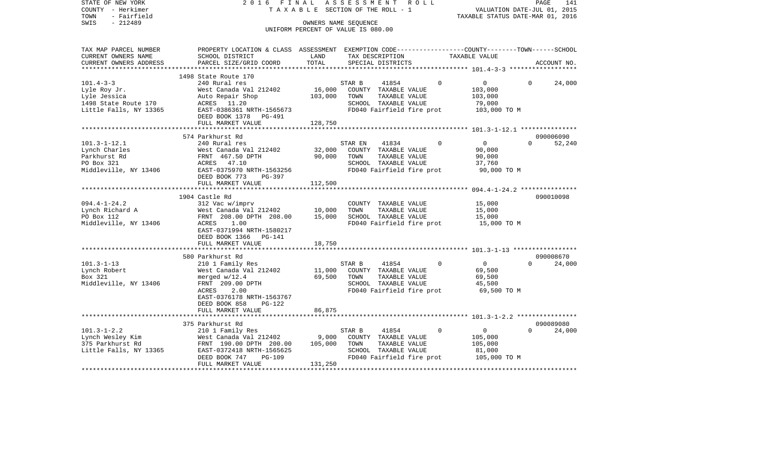| PROPERTY LOCATION & CLASS ASSESSMENT EXEMPTION CODE---------------COUNTY-------TOWN------SCHOOL<br>SCHOOL DISTRICT<br>LAND<br>TAX DESCRIPTION<br>TAXABLE VALUE<br>PARCEL SIZE/GRID COORD<br>TOTAL<br>SPECIAL DISTRICTS<br>ACCOUNT NO.<br>1498 State Route 170<br>240 Rural res<br>STAR B<br>41854<br>$\Omega$<br>$\overline{0}$<br>24,000<br>$\Omega$<br>16,000<br>West Canada Val 212402<br>COUNTY TAXABLE VALUE<br>103,000<br>Lyle Jessica<br>Auto Repair Shop<br>103,000<br>TOWN<br>TAXABLE VALUE<br>103,000<br>1498 State Route 170<br>ACRES 11.20<br>SCHOOL TAXABLE VALUE<br>79,000<br>Little Falls, NY 13365<br>EAST-0386361 NRTH-1565673<br>FD040 Fairfield fire prot<br>103,000 TO M<br>DEED BOOK 1378<br>PG-491<br>FULL MARKET VALUE<br>128,750<br>574 Parkhurst Rd<br>090006090<br>$\Omega$<br>$101.3 - 1 - 12.1$<br>240 Rural res<br>$\Omega$<br>$\overline{0}$<br>52,240<br>STAR EN<br>41834<br>Lynch Charles<br>32,000<br>COUNTY TAXABLE VALUE<br>90,000<br>West Canada Val 212402<br>Parkhurst Rd<br>90,000<br>TAXABLE VALUE<br>FRNT 467.50 DPTH<br>TOWN<br>90,000<br>PO Box 321<br>ACRES 47.10<br>SCHOOL TAXABLE VALUE<br>37,760<br>Middleville, NY 13406<br>EAST-0375970 NRTH-1563256<br>FD040 Fairfield fire prot<br>90,000 TO M<br>DEED BOOK 773<br>PG-397<br>FULL MARKET VALUE<br>112,500<br>****************************<br>1904 Castle Rd<br>090010098<br>15,000<br>312 Vac w/imprv<br>COUNTY TAXABLE VALUE<br>West Canada Val 212402<br>10,000<br>TOWN<br>TAXABLE VALUE<br>15,000<br>PO Box 112<br>FRNT 208.00 DPTH 208.00<br>15,000<br>SCHOOL TAXABLE VALUE<br>15,000<br>Middleville, NY 13406<br>1.00<br>FD040 Fairfield fire prot<br>15,000 TO M<br>ACRES<br>EAST-0371994 NRTH-1580217<br>DEED BOOK 1366 PG-141<br>18,750<br>FULL MARKET VALUE<br>580 Parkhurst Rd<br>090008670<br>24,000<br>210 1 Family Res<br>STAR B<br>41854<br>$\Omega$<br>$\overline{0}$<br>$\Omega$<br>Lynch Robert<br>11,000<br>69,500<br>West Canada Val 212402<br>COUNTY TAXABLE VALUE<br>Box 321<br>merged $w/12.4$<br>69,500<br>TOWN<br>TAXABLE VALUE<br>69,500<br>SCHOOL TAXABLE VALUE<br>Middleville, NY 13406<br>FRNT 209.00 DPTH<br>45,500<br>2.00<br>FD040 Fairfield fire prot<br>69,500 TO M<br>ACRES<br>EAST-0376178 NRTH-1563767<br>DEED BOOK 858<br>PG-122<br>86,875<br>FULL MARKET VALUE<br>****************************<br>090089080<br>375 Parkhurst Rd<br>210 1 Family Res<br>41854<br>$\Omega$<br>$\mathbf 0$<br>24,000<br>STAR B<br>$\Omega$<br>9,000<br>COUNTY TAXABLE VALUE<br>West Canada Val 212402<br>105,000<br>105,000<br>TOWN<br>TAXABLE VALUE<br>105,000<br>FRNT 190.00 DPTH 200.00 | COUNTY<br>- Herkimer<br>- Fairfield<br>TOWN<br>SWIS<br>$-212489$ |  | T A X A B L E SECTION OF THE ROLL - 1<br>OWNERS NAME SEOUENCE<br>UNIFORM PERCENT OF VALUE IS 080.00 | VALUATION DATE-JUL 01, 2015<br>TAXABLE STATUS DATE-MAR 01, 2016 |  |
|------------------------------------------------------------------------------------------------------------------------------------------------------------------------------------------------------------------------------------------------------------------------------------------------------------------------------------------------------------------------------------------------------------------------------------------------------------------------------------------------------------------------------------------------------------------------------------------------------------------------------------------------------------------------------------------------------------------------------------------------------------------------------------------------------------------------------------------------------------------------------------------------------------------------------------------------------------------------------------------------------------------------------------------------------------------------------------------------------------------------------------------------------------------------------------------------------------------------------------------------------------------------------------------------------------------------------------------------------------------------------------------------------------------------------------------------------------------------------------------------------------------------------------------------------------------------------------------------------------------------------------------------------------------------------------------------------------------------------------------------------------------------------------------------------------------------------------------------------------------------------------------------------------------------------------------------------------------------------------------------------------------------------------------------------------------------------------------------------------------------------------------------------------------------------------------------------------------------------------------------------------------------------------------------------------------------------------------------------------------------------------------------------------------------------------------------------------------------------------------------------------------------------------------------------------------------------------------------------------------|------------------------------------------------------------------|--|-----------------------------------------------------------------------------------------------------|-----------------------------------------------------------------|--|
|                                                                                                                                                                                                                                                                                                                                                                                                                                                                                                                                                                                                                                                                                                                                                                                                                                                                                                                                                                                                                                                                                                                                                                                                                                                                                                                                                                                                                                                                                                                                                                                                                                                                                                                                                                                                                                                                                                                                                                                                                                                                                                                                                                                                                                                                                                                                                                                                                                                                                                                                                                                                                  | TAX MAP PARCEL NUMBER<br>CURRENT OWNERS NAME                     |  |                                                                                                     |                                                                 |  |
|                                                                                                                                                                                                                                                                                                                                                                                                                                                                                                                                                                                                                                                                                                                                                                                                                                                                                                                                                                                                                                                                                                                                                                                                                                                                                                                                                                                                                                                                                                                                                                                                                                                                                                                                                                                                                                                                                                                                                                                                                                                                                                                                                                                                                                                                                                                                                                                                                                                                                                                                                                                                                  | CURRENT OWNERS ADDRESS                                           |  |                                                                                                     |                                                                 |  |
|                                                                                                                                                                                                                                                                                                                                                                                                                                                                                                                                                                                                                                                                                                                                                                                                                                                                                                                                                                                                                                                                                                                                                                                                                                                                                                                                                                                                                                                                                                                                                                                                                                                                                                                                                                                                                                                                                                                                                                                                                                                                                                                                                                                                                                                                                                                                                                                                                                                                                                                                                                                                                  |                                                                  |  |                                                                                                     |                                                                 |  |
|                                                                                                                                                                                                                                                                                                                                                                                                                                                                                                                                                                                                                                                                                                                                                                                                                                                                                                                                                                                                                                                                                                                                                                                                                                                                                                                                                                                                                                                                                                                                                                                                                                                                                                                                                                                                                                                                                                                                                                                                                                                                                                                                                                                                                                                                                                                                                                                                                                                                                                                                                                                                                  | $101.4 - 3 - 3$                                                  |  |                                                                                                     |                                                                 |  |
|                                                                                                                                                                                                                                                                                                                                                                                                                                                                                                                                                                                                                                                                                                                                                                                                                                                                                                                                                                                                                                                                                                                                                                                                                                                                                                                                                                                                                                                                                                                                                                                                                                                                                                                                                                                                                                                                                                                                                                                                                                                                                                                                                                                                                                                                                                                                                                                                                                                                                                                                                                                                                  | Lyle Roy Jr.                                                     |  |                                                                                                     |                                                                 |  |
|                                                                                                                                                                                                                                                                                                                                                                                                                                                                                                                                                                                                                                                                                                                                                                                                                                                                                                                                                                                                                                                                                                                                                                                                                                                                                                                                                                                                                                                                                                                                                                                                                                                                                                                                                                                                                                                                                                                                                                                                                                                                                                                                                                                                                                                                                                                                                                                                                                                                                                                                                                                                                  |                                                                  |  |                                                                                                     |                                                                 |  |
|                                                                                                                                                                                                                                                                                                                                                                                                                                                                                                                                                                                                                                                                                                                                                                                                                                                                                                                                                                                                                                                                                                                                                                                                                                                                                                                                                                                                                                                                                                                                                                                                                                                                                                                                                                                                                                                                                                                                                                                                                                                                                                                                                                                                                                                                                                                                                                                                                                                                                                                                                                                                                  |                                                                  |  |                                                                                                     |                                                                 |  |
|                                                                                                                                                                                                                                                                                                                                                                                                                                                                                                                                                                                                                                                                                                                                                                                                                                                                                                                                                                                                                                                                                                                                                                                                                                                                                                                                                                                                                                                                                                                                                                                                                                                                                                                                                                                                                                                                                                                                                                                                                                                                                                                                                                                                                                                                                                                                                                                                                                                                                                                                                                                                                  |                                                                  |  |                                                                                                     |                                                                 |  |
|                                                                                                                                                                                                                                                                                                                                                                                                                                                                                                                                                                                                                                                                                                                                                                                                                                                                                                                                                                                                                                                                                                                                                                                                                                                                                                                                                                                                                                                                                                                                                                                                                                                                                                                                                                                                                                                                                                                                                                                                                                                                                                                                                                                                                                                                                                                                                                                                                                                                                                                                                                                                                  |                                                                  |  |                                                                                                     |                                                                 |  |
|                                                                                                                                                                                                                                                                                                                                                                                                                                                                                                                                                                                                                                                                                                                                                                                                                                                                                                                                                                                                                                                                                                                                                                                                                                                                                                                                                                                                                                                                                                                                                                                                                                                                                                                                                                                                                                                                                                                                                                                                                                                                                                                                                                                                                                                                                                                                                                                                                                                                                                                                                                                                                  |                                                                  |  |                                                                                                     |                                                                 |  |
|                                                                                                                                                                                                                                                                                                                                                                                                                                                                                                                                                                                                                                                                                                                                                                                                                                                                                                                                                                                                                                                                                                                                                                                                                                                                                                                                                                                                                                                                                                                                                                                                                                                                                                                                                                                                                                                                                                                                                                                                                                                                                                                                                                                                                                                                                                                                                                                                                                                                                                                                                                                                                  |                                                                  |  |                                                                                                     |                                                                 |  |
|                                                                                                                                                                                                                                                                                                                                                                                                                                                                                                                                                                                                                                                                                                                                                                                                                                                                                                                                                                                                                                                                                                                                                                                                                                                                                                                                                                                                                                                                                                                                                                                                                                                                                                                                                                                                                                                                                                                                                                                                                                                                                                                                                                                                                                                                                                                                                                                                                                                                                                                                                                                                                  |                                                                  |  |                                                                                                     |                                                                 |  |
|                                                                                                                                                                                                                                                                                                                                                                                                                                                                                                                                                                                                                                                                                                                                                                                                                                                                                                                                                                                                                                                                                                                                                                                                                                                                                                                                                                                                                                                                                                                                                                                                                                                                                                                                                                                                                                                                                                                                                                                                                                                                                                                                                                                                                                                                                                                                                                                                                                                                                                                                                                                                                  |                                                                  |  |                                                                                                     |                                                                 |  |
|                                                                                                                                                                                                                                                                                                                                                                                                                                                                                                                                                                                                                                                                                                                                                                                                                                                                                                                                                                                                                                                                                                                                                                                                                                                                                                                                                                                                                                                                                                                                                                                                                                                                                                                                                                                                                                                                                                                                                                                                                                                                                                                                                                                                                                                                                                                                                                                                                                                                                                                                                                                                                  |                                                                  |  |                                                                                                     |                                                                 |  |
|                                                                                                                                                                                                                                                                                                                                                                                                                                                                                                                                                                                                                                                                                                                                                                                                                                                                                                                                                                                                                                                                                                                                                                                                                                                                                                                                                                                                                                                                                                                                                                                                                                                                                                                                                                                                                                                                                                                                                                                                                                                                                                                                                                                                                                                                                                                                                                                                                                                                                                                                                                                                                  |                                                                  |  |                                                                                                     |                                                                 |  |
|                                                                                                                                                                                                                                                                                                                                                                                                                                                                                                                                                                                                                                                                                                                                                                                                                                                                                                                                                                                                                                                                                                                                                                                                                                                                                                                                                                                                                                                                                                                                                                                                                                                                                                                                                                                                                                                                                                                                                                                                                                                                                                                                                                                                                                                                                                                                                                                                                                                                                                                                                                                                                  |                                                                  |  |                                                                                                     |                                                                 |  |
|                                                                                                                                                                                                                                                                                                                                                                                                                                                                                                                                                                                                                                                                                                                                                                                                                                                                                                                                                                                                                                                                                                                                                                                                                                                                                                                                                                                                                                                                                                                                                                                                                                                                                                                                                                                                                                                                                                                                                                                                                                                                                                                                                                                                                                                                                                                                                                                                                                                                                                                                                                                                                  |                                                                  |  |                                                                                                     |                                                                 |  |
|                                                                                                                                                                                                                                                                                                                                                                                                                                                                                                                                                                                                                                                                                                                                                                                                                                                                                                                                                                                                                                                                                                                                                                                                                                                                                                                                                                                                                                                                                                                                                                                                                                                                                                                                                                                                                                                                                                                                                                                                                                                                                                                                                                                                                                                                                                                                                                                                                                                                                                                                                                                                                  |                                                                  |  |                                                                                                     |                                                                 |  |
|                                                                                                                                                                                                                                                                                                                                                                                                                                                                                                                                                                                                                                                                                                                                                                                                                                                                                                                                                                                                                                                                                                                                                                                                                                                                                                                                                                                                                                                                                                                                                                                                                                                                                                                                                                                                                                                                                                                                                                                                                                                                                                                                                                                                                                                                                                                                                                                                                                                                                                                                                                                                                  |                                                                  |  |                                                                                                     |                                                                 |  |
|                                                                                                                                                                                                                                                                                                                                                                                                                                                                                                                                                                                                                                                                                                                                                                                                                                                                                                                                                                                                                                                                                                                                                                                                                                                                                                                                                                                                                                                                                                                                                                                                                                                                                                                                                                                                                                                                                                                                                                                                                                                                                                                                                                                                                                                                                                                                                                                                                                                                                                                                                                                                                  | $094.4 - 1 - 24.2$                                               |  |                                                                                                     |                                                                 |  |
|                                                                                                                                                                                                                                                                                                                                                                                                                                                                                                                                                                                                                                                                                                                                                                                                                                                                                                                                                                                                                                                                                                                                                                                                                                                                                                                                                                                                                                                                                                                                                                                                                                                                                                                                                                                                                                                                                                                                                                                                                                                                                                                                                                                                                                                                                                                                                                                                                                                                                                                                                                                                                  | Lynch Richard A                                                  |  |                                                                                                     |                                                                 |  |
|                                                                                                                                                                                                                                                                                                                                                                                                                                                                                                                                                                                                                                                                                                                                                                                                                                                                                                                                                                                                                                                                                                                                                                                                                                                                                                                                                                                                                                                                                                                                                                                                                                                                                                                                                                                                                                                                                                                                                                                                                                                                                                                                                                                                                                                                                                                                                                                                                                                                                                                                                                                                                  |                                                                  |  |                                                                                                     |                                                                 |  |
|                                                                                                                                                                                                                                                                                                                                                                                                                                                                                                                                                                                                                                                                                                                                                                                                                                                                                                                                                                                                                                                                                                                                                                                                                                                                                                                                                                                                                                                                                                                                                                                                                                                                                                                                                                                                                                                                                                                                                                                                                                                                                                                                                                                                                                                                                                                                                                                                                                                                                                                                                                                                                  |                                                                  |  |                                                                                                     |                                                                 |  |
|                                                                                                                                                                                                                                                                                                                                                                                                                                                                                                                                                                                                                                                                                                                                                                                                                                                                                                                                                                                                                                                                                                                                                                                                                                                                                                                                                                                                                                                                                                                                                                                                                                                                                                                                                                                                                                                                                                                                                                                                                                                                                                                                                                                                                                                                                                                                                                                                                                                                                                                                                                                                                  |                                                                  |  |                                                                                                     |                                                                 |  |
|                                                                                                                                                                                                                                                                                                                                                                                                                                                                                                                                                                                                                                                                                                                                                                                                                                                                                                                                                                                                                                                                                                                                                                                                                                                                                                                                                                                                                                                                                                                                                                                                                                                                                                                                                                                                                                                                                                                                                                                                                                                                                                                                                                                                                                                                                                                                                                                                                                                                                                                                                                                                                  |                                                                  |  |                                                                                                     |                                                                 |  |
|                                                                                                                                                                                                                                                                                                                                                                                                                                                                                                                                                                                                                                                                                                                                                                                                                                                                                                                                                                                                                                                                                                                                                                                                                                                                                                                                                                                                                                                                                                                                                                                                                                                                                                                                                                                                                                                                                                                                                                                                                                                                                                                                                                                                                                                                                                                                                                                                                                                                                                                                                                                                                  |                                                                  |  |                                                                                                     |                                                                 |  |
|                                                                                                                                                                                                                                                                                                                                                                                                                                                                                                                                                                                                                                                                                                                                                                                                                                                                                                                                                                                                                                                                                                                                                                                                                                                                                                                                                                                                                                                                                                                                                                                                                                                                                                                                                                                                                                                                                                                                                                                                                                                                                                                                                                                                                                                                                                                                                                                                                                                                                                                                                                                                                  |                                                                  |  |                                                                                                     |                                                                 |  |
|                                                                                                                                                                                                                                                                                                                                                                                                                                                                                                                                                                                                                                                                                                                                                                                                                                                                                                                                                                                                                                                                                                                                                                                                                                                                                                                                                                                                                                                                                                                                                                                                                                                                                                                                                                                                                                                                                                                                                                                                                                                                                                                                                                                                                                                                                                                                                                                                                                                                                                                                                                                                                  | $101.3 - 1 - 13$                                                 |  |                                                                                                     |                                                                 |  |
|                                                                                                                                                                                                                                                                                                                                                                                                                                                                                                                                                                                                                                                                                                                                                                                                                                                                                                                                                                                                                                                                                                                                                                                                                                                                                                                                                                                                                                                                                                                                                                                                                                                                                                                                                                                                                                                                                                                                                                                                                                                                                                                                                                                                                                                                                                                                                                                                                                                                                                                                                                                                                  |                                                                  |  |                                                                                                     |                                                                 |  |
|                                                                                                                                                                                                                                                                                                                                                                                                                                                                                                                                                                                                                                                                                                                                                                                                                                                                                                                                                                                                                                                                                                                                                                                                                                                                                                                                                                                                                                                                                                                                                                                                                                                                                                                                                                                                                                                                                                                                                                                                                                                                                                                                                                                                                                                                                                                                                                                                                                                                                                                                                                                                                  |                                                                  |  |                                                                                                     |                                                                 |  |
|                                                                                                                                                                                                                                                                                                                                                                                                                                                                                                                                                                                                                                                                                                                                                                                                                                                                                                                                                                                                                                                                                                                                                                                                                                                                                                                                                                                                                                                                                                                                                                                                                                                                                                                                                                                                                                                                                                                                                                                                                                                                                                                                                                                                                                                                                                                                                                                                                                                                                                                                                                                                                  |                                                                  |  |                                                                                                     |                                                                 |  |
|                                                                                                                                                                                                                                                                                                                                                                                                                                                                                                                                                                                                                                                                                                                                                                                                                                                                                                                                                                                                                                                                                                                                                                                                                                                                                                                                                                                                                                                                                                                                                                                                                                                                                                                                                                                                                                                                                                                                                                                                                                                                                                                                                                                                                                                                                                                                                                                                                                                                                                                                                                                                                  |                                                                  |  |                                                                                                     |                                                                 |  |
|                                                                                                                                                                                                                                                                                                                                                                                                                                                                                                                                                                                                                                                                                                                                                                                                                                                                                                                                                                                                                                                                                                                                                                                                                                                                                                                                                                                                                                                                                                                                                                                                                                                                                                                                                                                                                                                                                                                                                                                                                                                                                                                                                                                                                                                                                                                                                                                                                                                                                                                                                                                                                  |                                                                  |  |                                                                                                     |                                                                 |  |
|                                                                                                                                                                                                                                                                                                                                                                                                                                                                                                                                                                                                                                                                                                                                                                                                                                                                                                                                                                                                                                                                                                                                                                                                                                                                                                                                                                                                                                                                                                                                                                                                                                                                                                                                                                                                                                                                                                                                                                                                                                                                                                                                                                                                                                                                                                                                                                                                                                                                                                                                                                                                                  |                                                                  |  |                                                                                                     |                                                                 |  |
|                                                                                                                                                                                                                                                                                                                                                                                                                                                                                                                                                                                                                                                                                                                                                                                                                                                                                                                                                                                                                                                                                                                                                                                                                                                                                                                                                                                                                                                                                                                                                                                                                                                                                                                                                                                                                                                                                                                                                                                                                                                                                                                                                                                                                                                                                                                                                                                                                                                                                                                                                                                                                  |                                                                  |  |                                                                                                     |                                                                 |  |
|                                                                                                                                                                                                                                                                                                                                                                                                                                                                                                                                                                                                                                                                                                                                                                                                                                                                                                                                                                                                                                                                                                                                                                                                                                                                                                                                                                                                                                                                                                                                                                                                                                                                                                                                                                                                                                                                                                                                                                                                                                                                                                                                                                                                                                                                                                                                                                                                                                                                                                                                                                                                                  |                                                                  |  |                                                                                                     |                                                                 |  |
|                                                                                                                                                                                                                                                                                                                                                                                                                                                                                                                                                                                                                                                                                                                                                                                                                                                                                                                                                                                                                                                                                                                                                                                                                                                                                                                                                                                                                                                                                                                                                                                                                                                                                                                                                                                                                                                                                                                                                                                                                                                                                                                                                                                                                                                                                                                                                                                                                                                                                                                                                                                                                  | $101.3 - 1 - 2.2$                                                |  |                                                                                                     |                                                                 |  |
|                                                                                                                                                                                                                                                                                                                                                                                                                                                                                                                                                                                                                                                                                                                                                                                                                                                                                                                                                                                                                                                                                                                                                                                                                                                                                                                                                                                                                                                                                                                                                                                                                                                                                                                                                                                                                                                                                                                                                                                                                                                                                                                                                                                                                                                                                                                                                                                                                                                                                                                                                                                                                  | Lynch Wesley Kim                                                 |  |                                                                                                     |                                                                 |  |
|                                                                                                                                                                                                                                                                                                                                                                                                                                                                                                                                                                                                                                                                                                                                                                                                                                                                                                                                                                                                                                                                                                                                                                                                                                                                                                                                                                                                                                                                                                                                                                                                                                                                                                                                                                                                                                                                                                                                                                                                                                                                                                                                                                                                                                                                                                                                                                                                                                                                                                                                                                                                                  | 375 Parkhurst Rd                                                 |  |                                                                                                     |                                                                 |  |
| EAST-0372418 NRTH-1565625<br>SCHOOL TAXABLE VALUE<br>81,000                                                                                                                                                                                                                                                                                                                                                                                                                                                                                                                                                                                                                                                                                                                                                                                                                                                                                                                                                                                                                                                                                                                                                                                                                                                                                                                                                                                                                                                                                                                                                                                                                                                                                                                                                                                                                                                                                                                                                                                                                                                                                                                                                                                                                                                                                                                                                                                                                                                                                                                                                      | Little Falls, NY 13365                                           |  |                                                                                                     |                                                                 |  |
| FD040 Fairfield fire prot<br>DEED BOOK 747<br><b>PG-109</b><br>105,000 TO M                                                                                                                                                                                                                                                                                                                                                                                                                                                                                                                                                                                                                                                                                                                                                                                                                                                                                                                                                                                                                                                                                                                                                                                                                                                                                                                                                                                                                                                                                                                                                                                                                                                                                                                                                                                                                                                                                                                                                                                                                                                                                                                                                                                                                                                                                                                                                                                                                                                                                                                                      |                                                                  |  |                                                                                                     |                                                                 |  |
| 131,250<br>FULL MARKET VALUE                                                                                                                                                                                                                                                                                                                                                                                                                                                                                                                                                                                                                                                                                                                                                                                                                                                                                                                                                                                                                                                                                                                                                                                                                                                                                                                                                                                                                                                                                                                                                                                                                                                                                                                                                                                                                                                                                                                                                                                                                                                                                                                                                                                                                                                                                                                                                                                                                                                                                                                                                                                     |                                                                  |  |                                                                                                     |                                                                 |  |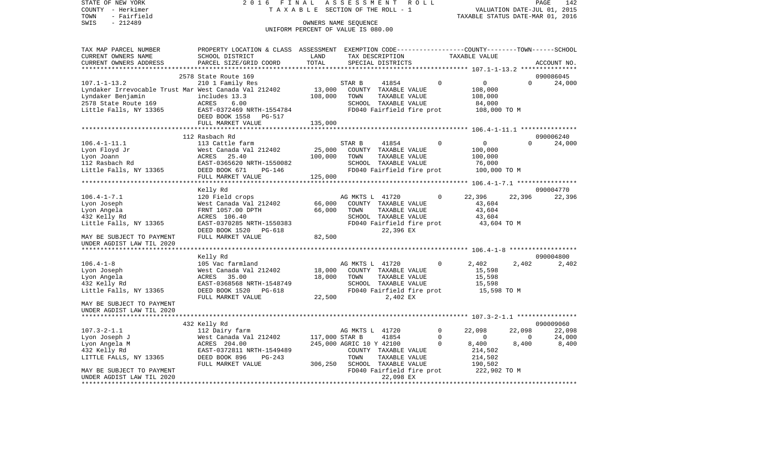| COUNTY - Herkimer<br>TOWN<br>- Fairfield                                                                                                                                              | TAXABLE                                                                                          |                                    | SECTION OF THE ROLL - 1  |                                       |  |                         | TAXABLE STATUS DATE-MAR 01, 2016                   |                                   | VALUATION DATE-JUL 01, 2015 |
|---------------------------------------------------------------------------------------------------------------------------------------------------------------------------------------|--------------------------------------------------------------------------------------------------|------------------------------------|--------------------------|---------------------------------------|--|-------------------------|----------------------------------------------------|-----------------------------------|-----------------------------|
| SWIS<br>$-212489$                                                                                                                                                                     | OWNERS NAME SEQUENCE                                                                             |                                    |                          |                                       |  |                         |                                                    |                                   |                             |
|                                                                                                                                                                                       |                                                                                                  | UNIFORM PERCENT OF VALUE IS 080.00 |                          |                                       |  |                         |                                                    |                                   |                             |
|                                                                                                                                                                                       |                                                                                                  |                                    |                          |                                       |  |                         |                                                    |                                   |                             |
| TAX MAP PARCEL NUMBER                                                                                                                                                                 | PROPERTY LOCATION & CLASS ASSESSMENT EXEMPTION CODE----------------COUNTY-------TOWN------SCHOOL |                                    |                          |                                       |  |                         |                                                    |                                   |                             |
| CURRENT OWNERS NAME                                                                                                                                                                   | SCHOOL DISTRICT                                                                                  | LAND                               |                          | TAX DESCRIPTION                       |  |                         | TAXABLE VALUE                                      |                                   |                             |
| CURRENT OWNERS ADDRESS                                                                                                                                                                | PARCEL SIZE/GRID COORD                                                                           | TOTAL                              |                          | SPECIAL DISTRICTS                     |  |                         |                                                    |                                   | ACCOUNT NO.                 |
|                                                                                                                                                                                       |                                                                                                  |                                    |                          |                                       |  |                         | ******************** 107.1-1-13.2 **************** |                                   |                             |
|                                                                                                                                                                                       | 2578 State Route 169                                                                             |                                    |                          |                                       |  |                         |                                                    |                                   | 090086045                   |
| $107.1 - 1 - 13.2$                                                                                                                                                                    | 210 1 Family Res                                                                                 |                                    | STAR B                   | 41854                                 |  | $\Omega$                | $\overline{0}$                                     | $\Omega$                          | 24,000                      |
| Lyndaker Irrevocable Trust Mar West Canada Val 212402                                                                                                                                 |                                                                                                  | 13,000                             |                          | COUNTY TAXABLE VALUE                  |  |                         | 108,000                                            |                                   |                             |
|                                                                                                                                                                                       |                                                                                                  | 108,000                            | TOWN                     | TAXABLE VALUE                         |  |                         | 108,000                                            |                                   |                             |
| Lyndaker Benjamin includes 13.3<br>2578 State Route 169 (ACRES 6.00<br>Little Falls, NY 13365 (EAST-0372469 NRTH-1554784                                                              |                                                                                                  |                                    |                          | SCHOOL TAXABLE VALUE                  |  |                         | 84,000                                             |                                   |                             |
|                                                                                                                                                                                       |                                                                                                  |                                    |                          |                                       |  |                         | FD040 Fairfield fire prot 108,000 TO M             |                                   |                             |
|                                                                                                                                                                                       | DEED BOOK 1558 PG-517<br>FULL MARKET VALUE                                                       | 135,000                            |                          |                                       |  |                         |                                                    |                                   |                             |
|                                                                                                                                                                                       |                                                                                                  |                                    |                          |                                       |  |                         |                                                    |                                   |                             |
|                                                                                                                                                                                       | 112 Rasbach Rd                                                                                   |                                    |                          |                                       |  |                         |                                                    |                                   | 090006240                   |
| $106.4 - 1 - 11.1$                                                                                                                                                                    | 113 Cattle farm                                                                                  |                                    | STAR B                   | 41854                                 |  | $\overline{0}$          | $\overline{0}$                                     | $\Omega$                          | 24,000                      |
|                                                                                                                                                                                       |                                                                                                  | 25,000                             |                          | COUNTY TAXABLE VALUE                  |  |                         | 100,000                                            |                                   |                             |
|                                                                                                                                                                                       |                                                                                                  | 100,000                            | TOWN                     | TAXABLE VALUE                         |  |                         | 100,000                                            |                                   |                             |
|                                                                                                                                                                                       |                                                                                                  |                                    |                          | SCHOOL TAXABLE VALUE                  |  |                         | 76,000                                             |                                   |                             |
| Loo.<br>Iyon Joann Mest Canada Val 212402<br>Lyon Joann MacRES 25.40<br>112 Rasbach Rd EAST-0365620 NRTH-1550082<br>Little Falls, NY 13365 DEED BOOK 671 PG-146<br>FIILL MARKET VALUE |                                                                                                  |                                    |                          | FD040 Fairfield fire prot             |  |                         | 100,000 TO M                                       |                                   |                             |
|                                                                                                                                                                                       | FULL MARKET VALUE                                                                                | 125,000                            |                          |                                       |  |                         |                                                    |                                   |                             |
|                                                                                                                                                                                       |                                                                                                  |                                    |                          |                                       |  |                         |                                                    |                                   |                             |
|                                                                                                                                                                                       | Kelly Rd                                                                                         |                                    |                          |                                       |  |                         |                                                    |                                   | 090004770                   |
| $106.4 - 1 - 7.1$                                                                                                                                                                     | 120 Field crops                                                                                  |                                    | AG MKTS L 41720          |                                       |  | $\Omega$                | 22,396                                             | 22,396                            | 22,396                      |
| Lyon Joseph                                                                                                                                                                           | West Canada Val 212402                                                                           | 66,000                             |                          | COUNTY TAXABLE VALUE                  |  |                         | 43,604                                             |                                   |                             |
| Lyon Angela                                                                                                                                                                           | FRNT 1057.00 DPTH                                                                                | 66,000                             | TOWN                     | TAXABLE VALUE                         |  |                         | 43,604                                             |                                   |                             |
| 432 Kelly Rd                                                                                                                                                                          | ACRES 106.40                                                                                     |                                    |                          | SCHOOL TAXABLE VALUE                  |  |                         | 43,604                                             |                                   |                             |
| Little Falls, NY 13365                                                                                                                                                                | EAST-0370285 NRTH-1550383                                                                        |                                    |                          | FD040 Fairfield fire prot             |  |                         | 43,604 TO M                                        |                                   |                             |
| MAY BE SUBJECT TO PAYMENT                                                                                                                                                             | DEED BOOK 1520<br>PG-618<br>FULL MARKET VALUE                                                    | 82,500                             |                          | 22,396 EX                             |  |                         |                                                    |                                   |                             |
| UNDER AGDIST LAW TIL 2020                                                                                                                                                             |                                                                                                  |                                    |                          |                                       |  |                         |                                                    |                                   |                             |
|                                                                                                                                                                                       |                                                                                                  |                                    |                          |                                       |  |                         |                                                    |                                   |                             |
|                                                                                                                                                                                       | Kelly Rd                                                                                         |                                    |                          |                                       |  |                         |                                                    |                                   | 090004800                   |
| $106.4 - 1 - 8$                                                                                                                                                                       | 105 Vac farmland                                                                                 |                                    | AG MKTS L 41720          |                                       |  | $\mathbf 0$             | 2,402                                              | 2,402                             | 2,402                       |
| Lyon Joseph                                                                                                                                                                           | West Canada Val 212402                                                                           | 18,000                             |                          | COUNTY TAXABLE VALUE                  |  |                         | 15,598                                             |                                   |                             |
| Lyon Angela                                                                                                                                                                           | ACRES 35.00                                                                                      | 18,000                             | TOWN                     | TAXABLE VALUE                         |  |                         | 15,598                                             |                                   |                             |
| 432 Kelly Rd                                                                                                                                                                          | EAST-0368568 NRTH-1548749                                                                        |                                    |                          | SCHOOL TAXABLE VALUE                  |  |                         | 15,598                                             |                                   |                             |
| Little Falls, NY 13365                                                                                                                                                                | DEED BOOK 1520 PG-618                                                                            |                                    |                          | FD040 Fairfield fire prot             |  |                         | 15,598 TO M                                        |                                   |                             |
|                                                                                                                                                                                       | FULL MARKET VALUE                                                                                | 22,500                             |                          | 2,402 EX                              |  |                         |                                                    |                                   |                             |
| MAY BE SUBJECT TO PAYMENT                                                                                                                                                             |                                                                                                  |                                    |                          |                                       |  |                         |                                                    |                                   |                             |
| UNDER AGDIST LAW TIL 2020                                                                                                                                                             |                                                                                                  |                                    |                          |                                       |  |                         |                                                    |                                   |                             |
|                                                                                                                                                                                       |                                                                                                  |                                    |                          |                                       |  |                         |                                                    |                                   |                             |
|                                                                                                                                                                                       | 432 Kelly Rd                                                                                     |                                    |                          |                                       |  |                         |                                                    |                                   | 090009060                   |
| $107.3 - 2 - 1.1$                                                                                                                                                                     | 112 Dairy farm                                                                                   |                                    | AG MKTS L 41720          |                                       |  | $\mathsf{O}$            | 22,098                                             | 22,098                            | 22,098                      |
| Lyon Joseph J                                                                                                                                                                         | West Canada Val 212402<br>ACRES 204.00<br>EAST-0372811 NRTH-15494                                | 117,000 STAR B                     |                          | 41854                                 |  | $\Omega$<br>$\mathbf 0$ | $\overline{0}$                                     | $\overline{\phantom{0}}$<br>8,400 | 24,000                      |
| Lyon Angela M                                                                                                                                                                         | EAST-0372811 NRTH-1549489                                                                        |                                    | 245,000 AGRIC 10 Y 42100 |                                       |  |                         | 8,400<br>214,502                                   |                                   | 8,400                       |
| 432 Kelly Rd<br>LITTLE FALLS, NY 13365                                                                                                                                                | DEED BOOK 896<br>PG-243                                                                          |                                    | TOWN                     | COUNTY TAXABLE VALUE<br>TAXABLE VALUE |  |                         | 214,502                                            |                                   |                             |
|                                                                                                                                                                                       | FULL MARKET VALUE                                                                                | 306,250 SCHOOL TAXABLE VALUE       |                          |                                       |  |                         | 190,502                                            |                                   |                             |
| MAY BE SUBJECT TO PAYMENT                                                                                                                                                             |                                                                                                  |                                    |                          | FD040 Fairfield fire prot             |  |                         | 222,902 TO M                                       |                                   |                             |
| UNDER AGDIST LAW TIL 2020                                                                                                                                                             |                                                                                                  |                                    |                          | 22,098 EX                             |  |                         |                                                    |                                   |                             |
| ****************                                                                                                                                                                      |                                                                                                  |                                    |                          |                                       |  |                         |                                                    |                                   |                             |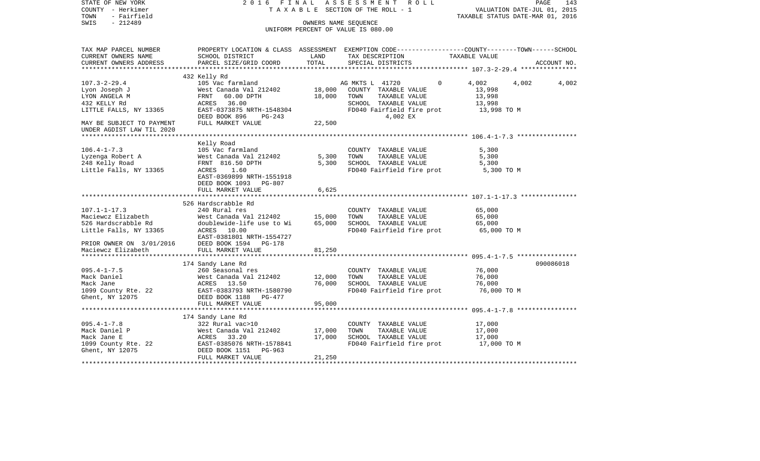| STATE OF NEW YORK<br>COUNTY - Herkimer<br>TOWN<br>- Fairfield<br>$-212489$<br>SWIS                                 | 2016 FINAL                                                                                                                                     |               | A S S E S S M E N T R O L L<br>TAXABLE SECTION OF THE ROLL - 1<br>OWNERS NAME SEQUENCE<br>UNIFORM PERCENT OF VALUE IS 080.00                           | VALUATION DATE-JUL 01, 2015<br>TAXABLE STATUS DATE-MAR 01, 2016 | PAGE<br>143 |
|--------------------------------------------------------------------------------------------------------------------|------------------------------------------------------------------------------------------------------------------------------------------------|---------------|--------------------------------------------------------------------------------------------------------------------------------------------------------|-----------------------------------------------------------------|-------------|
| TAX MAP PARCEL NUMBER<br>CURRENT OWNERS NAME<br>CURRENT OWNERS ADDRESS<br>**********************                   | SCHOOL DISTRICT<br>PARCEL SIZE/GRID COORD                                                                                                      | LAND<br>TOTAL | PROPERTY LOCATION & CLASS ASSESSMENT EXEMPTION CODE----------------COUNTY-------TOWN------SCHOOL<br>TAX DESCRIPTION TAXABLE VALUE<br>SPECIAL DISTRICTS |                                                                 | ACCOUNT NO. |
|                                                                                                                    | 432 Kelly Rd                                                                                                                                   |               |                                                                                                                                                        |                                                                 |             |
| $107.3 - 2 - 29.4$<br>Lyon Joseph J<br>LYON ANGELA M<br>432 KELLY Rd<br>LITTLE FALLS, NY 13365                     | 105 Vac farmland<br>West Canada Val 212402 18,000<br>FRNT<br>60.00 DPTH<br>ACRES 36.00<br>EAST-0373875 NRTH-1548304<br>DEED BOOK 896<br>PG-243 | 18,000        | AG MKTS L 41720<br>$\Omega$<br>COUNTY TAXABLE VALUE<br>TOWN<br>TAXABLE VALUE<br>SCHOOL TAXABLE VALUE<br>FD040 Fairfield fire prot<br>4,002 EX          | 4,002<br>4,002<br>13,998<br>13,998<br>13,998<br>13,998 TO M     | 4,002       |
| MAY BE SUBJECT TO PAYMENT                                                                                          | FULL MARKET VALUE                                                                                                                              | 22,500        |                                                                                                                                                        |                                                                 |             |
| UNDER AGDIST LAW TIL 2020                                                                                          |                                                                                                                                                |               |                                                                                                                                                        |                                                                 |             |
|                                                                                                                    | Kelly Road                                                                                                                                     |               |                                                                                                                                                        |                                                                 |             |
| $106.4 - 1 - 7.3$                                                                                                  | 105 Vac farmland                                                                                                                               |               | COUNTY TAXABLE VALUE                                                                                                                                   | 5,300                                                           |             |
| Lyzenga Robert A                                                                                                   | West Canada Val 212402                                                                                                                         | 5,300         | TOWN<br>TAXABLE VALUE                                                                                                                                  | 5,300                                                           |             |
| 248 Kelly Road                                                                                                     | FRNT 816.50 DPTH                                                                                                                               | 5,300         | SCHOOL TAXABLE VALUE                                                                                                                                   | 5,300                                                           |             |
| Little Falls, NY 13365                                                                                             | ACRES 1.60<br>EAST-0369899 NRTH-1551918<br>DEED BOOK 1093 PG-807                                                                               |               | FD040 Fairfield fire prot                                                                                                                              | 5,300 TO M                                                      |             |
|                                                                                                                    | FULL MARKET VALUE                                                                                                                              | 6,625         |                                                                                                                                                        |                                                                 |             |
|                                                                                                                    | 526 Hardscrabble Rd                                                                                                                            |               |                                                                                                                                                        |                                                                 |             |
| $107.1 - 1 - 17.3$                                                                                                 | 240 Rural res                                                                                                                                  |               | COUNTY TAXABLE VALUE                                                                                                                                   | 65,000                                                          |             |
| Maciewcz Elizabeth                                                                                                 | West Canada Val 212402 15,000                                                                                                                  |               | TOWN<br>TAXABLE VALUE                                                                                                                                  | 65,000                                                          |             |
| 526 Hardscrabble Rd                                                                                                | doublewide-life use to Wi                                                                                                                      | 65,000        | SCHOOL TAXABLE VALUE                                                                                                                                   | 65,000                                                          |             |
| Little Falls, NY 13365 ACRES 10.00                                                                                 | EAST-0381801 NRTH-1554727                                                                                                                      |               | FD040 Fairfield fire prot 65,000 TO M                                                                                                                  |                                                                 |             |
| EAST-0381801 NRTH-155472<br>PRIOR OWNER ON 3/01/2016 DEED BOOK 1594 PG-178<br>Maciewcz Elizabeth FULL MARKET VALUE |                                                                                                                                                |               |                                                                                                                                                        |                                                                 |             |
|                                                                                                                    | FULL MARKET VALUE                                                                                                                              | 81,250        |                                                                                                                                                        |                                                                 |             |
|                                                                                                                    |                                                                                                                                                |               |                                                                                                                                                        |                                                                 |             |
|                                                                                                                    | 174 Sandy Lane Rd                                                                                                                              |               |                                                                                                                                                        |                                                                 | 090086018   |
| $095.4 - 1 - 7.5$                                                                                                  | 260 Seasonal res                                                                                                                               |               | COUNTY TAXABLE VALUE                                                                                                                                   | 76,000                                                          |             |
| Mack Daniel                                                                                                        |                                                                                                                                                | 12,000        | TOWN<br>TAXABLE VALUE                                                                                                                                  | 76,000                                                          |             |
| Mack Jane                                                                                                          |                                                                                                                                                | 76,000        | SCHOOL TAXABLE VALUE                                                                                                                                   | 76,000                                                          |             |
| 1099 County Rte. 22                                                                                                | West Canada Val 212402<br>ACRES 13.50<br>EAST-0383793 NRTH-1580790<br>DEED BOOK 1188 PG-477                                                    |               | FD040 Fairfield fire prot                                                                                                                              | 76,000 TO M                                                     |             |
| Ghent, NY 12075                                                                                                    | DEED BOOK 1188 PG-477                                                                                                                          |               |                                                                                                                                                        |                                                                 |             |
|                                                                                                                    | FULL MARKET VALUE                                                                                                                              | 95,000        |                                                                                                                                                        |                                                                 |             |
|                                                                                                                    | 174 Sandy Lane Rd                                                                                                                              |               |                                                                                                                                                        |                                                                 |             |
| $095.4 - 1 - 7.8$                                                                                                  | 322 Rural vac>10                                                                                                                               |               | COUNTY TAXABLE VALUE                                                                                                                                   | 17,000                                                          |             |
| Mack Daniel P                                                                                                      |                                                                                                                                                | 17,000        | TOWN<br>TAXABLE VALUE                                                                                                                                  | 17,000                                                          |             |
| Mack Jane E                                                                                                        |                                                                                                                                                | 17,000        | SCHOOL TAXABLE VALUE                                                                                                                                   | 17,000                                                          |             |
| 1099 County Rte. 22                                                                                                |                                                                                                                                                |               | FD040 Fairfield fire prot                                                                                                                              | 17,000 TO M                                                     |             |
| Ghent, NY 12075                                                                                                    | West Canada Val 212402<br>ACRES 33.20<br>EAST-0385076 NRTH-1578841<br>DEED BOOK 1151 PG-963<br>FULL MARKET VALUE                               | 21,250        |                                                                                                                                                        |                                                                 |             |
|                                                                                                                    |                                                                                                                                                |               |                                                                                                                                                        |                                                                 |             |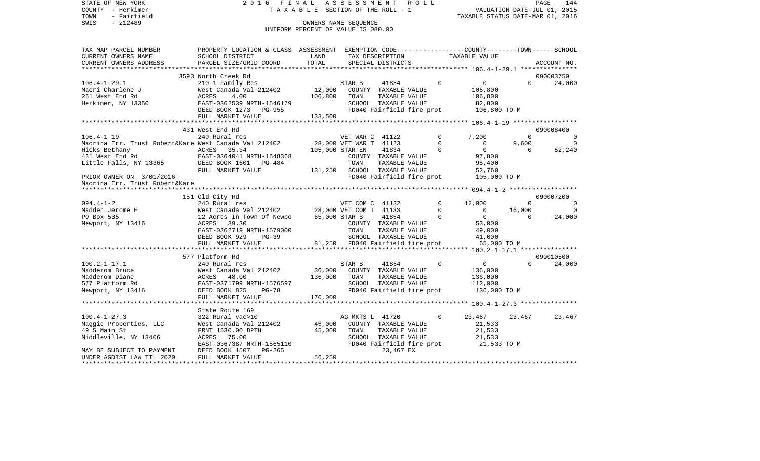STATE OF NEW YORK 2 0 1 6 F I N A L A S S E S S M E N T R O L L PAGE 144COUNTY - Herkimer **T A X A B L E** SECTION OF THE ROLL - 1 VALUATION DATE-JUL 01, 2015 TOWN - Fairfield TAXABLE STATUS DATE-MAR 01, 2016 SWIS - 212489 CONNERS NAME SEQUENCE UNIFORM PERCENT OF VALUE IS 080.00TAX MAP PARCEL NUMBER PROPERTY LOCATION & CLASS ASSESSMENT EXEMPTION CODE------------------COUNTY--------TOWN------SCHOOL CURRENT OWNERS NAME SCHOOL DISTRICT LAND TAX DESCRIPTION TAXABLE VALUECURRENT OWNERS ADDRESS PARCEL SIZE/GRID COORD TOTAL SPECIAL DISTRICTS ACCOUNT NO. \*\*\*\*\*\*\*\*\*\*\*\*\*\*\*\*\*\*\*\*\*\*\*\*\*\*\*\*\*\*\*\*\*\*\*\*\*\*\*\*\*\*\*\*\*\*\*\*\*\*\*\*\*\*\*\*\*\*\*\*\*\*\*\*\*\*\*\*\*\*\*\*\*\*\*\*\*\*\*\*\*\*\*\*\*\*\*\*\*\*\*\*\*\*\*\*\*\*\*\*\*\*\* 106.4-1-29.1 \*\*\*\*\*\*\*\*\*\*\*\*\*\*\* 3593 North Creek Rd 090003750106.4-1-29.1 210 1 Family Res STAR B 41854 0 0 0 24,000 Macri Charlene J West Canada Val 212402 12,000 COUNTY TAXABLE VALUE 106,800 251 West End Rd ACRES 4.00 106,800 TOWN TAXABLE VALUE 106,800 Herkimer, NY 13350 EAST-0362539 NRTH-1546179 SCHOOL TAXABLE VALUE 82,800 DEED BOOK 1273 PG-955 FD040 Fairfield fire prot 106,800 TO M FULL MARKET VALUE 133,500 \*\*\*\*\*\*\*\*\*\*\*\*\*\*\*\*\*\*\*\*\*\*\*\*\*\*\*\*\*\*\*\*\*\*\*\*\*\*\*\*\*\*\*\*\*\*\*\*\*\*\*\*\*\*\*\*\*\*\*\*\*\*\*\*\*\*\*\*\*\*\*\*\*\*\*\*\*\*\*\*\*\*\*\*\*\*\*\*\*\*\*\*\*\*\*\*\*\*\*\*\*\*\* 106.4-1-19 \*\*\*\*\*\*\*\*\*\*\*\*\*\*\*\*\* 431 West End Rd 090008400106.4-1-19 240 Rural res VET WAR C 41122 0 7,200 0 0 Macrina Irr. Trust Robert&Kare West Canada Val 212402 28,000 VET WAR T 41123 0 0 9,600 0 Hicks Bethany ACRES 35.34 105,000 STAR EN 41834 0 0 0 52,240 431 West End Rd EAST-0364041 NRTH-1548368 COUNTY TAXABLE VALUE 97,800 Little Falls, NY 13365 DEED BOOK 1601 PG-484 TOWN TAXABLE VALUE 95,400 FULL MARKET VALUE  $131,250$  SCHOOL TAXABLE VALUE 52,760 PRIOR OWNER ON 3/01/2016 FD040 Fairfield fire prot 105,000 TO M Macrina Irr. Trust Robert&Kare \*\*\*\*\*\*\*\*\*\*\*\*\*\*\*\*\*\*\*\*\*\*\*\*\*\*\*\*\*\*\*\*\*\*\*\*\*\*\*\*\*\*\*\*\*\*\*\*\*\*\*\*\*\*\*\*\*\*\*\*\*\*\*\*\*\*\*\*\*\*\*\*\*\*\*\*\*\*\*\*\*\*\*\*\*\*\*\*\*\*\*\*\*\*\*\*\*\*\*\*\*\*\* 094.4-1-2 \*\*\*\*\*\*\*\*\*\*\*\*\*\*\*\*\*\* 151 Old City Rd 090007200 094.4-1-2 240 Rural res VET COM C 41132 0 12,000 0 0 0 Madden Jerome E West Canada Val 212402 28,000 VET COM T 41133 0 0 16,000 0 PO Box 535 12 Acres In Town Of Newpo 65,000 STAR B 41854 0 0 0 24,000

> EAST-0362719 NRTH-1579000 TOWN TAXABLE VALUE 49,000 DEED BOOK 929 PG-39 SCHOOL TAXABLE VALUE 41,000

EAST-0367387 NRTH-1565110 FD040 Fairfield fire prot 21,533 TO M

577 Platform Rd 090010500

FULL MARKET VALUE 81,250 FD040 Fairfield fire prot 65,000 TO M \*\*\*\*\*\*\*\*\*\*\*\*\*\*\*\*\*\*\*\*\*\*\*\*\*\*\*\*\*\*\*\*\*\*\*\*\*\*\*\*\*\*\*\*\*\*\*\*\*\*\*\*\*\*\*\*\*\*\*\*\*\*\*\*\*\*\*\*\*\*\*\*\*\*\*\*\*\*\*\*\*\*\*\*\*\*\*\*\*\*\*\*\*\*\*\*\*\*\*\*\*\*\* 100.2-1-17.1 \*\*\*\*\*\*\*\*\*\*\*\*\*\*\*

100.2-1-17.1 240 Rural res STAR B 41854 0 0 0 24,000

\*\*\*\*\*\*\*\*\*\*\*\*\*\*\*\*\*\*\*\*\*\*\*\*\*\*\*\*\*\*\*\*\*\*\*\*\*\*\*\*\*\*\*\*\*\*\*\*\*\*\*\*\*\*\*\*\*\*\*\*\*\*\*\*\*\*\*\*\*\*\*\*\*\*\*\*\*\*\*\*\*\*\*\*\*\*\*\*\*\*\*\*\*\*\*\*\*\*\*\*\*\*\* 100.4-1-27.3 \*\*\*\*\*\*\*\*\*\*\*\*\*\*\*

100.4-1-27.3 322 Rural vac>10 AG MKTS L 41720 0 23,467 23,467 23,467

\*\*\*\*\*\*\*\*\*\*\*\*\*\*\*\*\*\*\*\*\*\*\*\*\*\*\*\*\*\*\*\*\*\*\*\*\*\*\*\*\*\*\*\*\*\*\*\*\*\*\*\*\*\*\*\*\*\*\*\*\*\*\*\*\*\*\*\*\*\*\*\*\*\*\*\*\*\*\*\*\*\*\*\*\*\*\*\*\*\*\*\*\*\*\*\*\*\*\*\*\*\*\*\*\*\*\*\*\*\*\*\*\*\*\*\*\*\*\*\*\*\*\*\*\*\*\*\*\*\*\*\*

Newport, NY 13416 ACRES 39.30 COUNTY TAXABLE VALUE 53,000

Madderom Bruce West Canada Val 212402 36,000 COUNTY TAXABLE VALUE 136,000 Madderom Diane ACRES 48.00 136.000 TOWN TAXABLE VALUE 136.000 577 Platform Rd EAST-0371799 NRTH-1576597 SCHOOL TAXABLE VALUE 112,000 Newport, NY 13416 **DEED BOOK 825** PG-78 FD040 Fairfield fire prot 136,000 TO M

Maggie Properties, LLC anast Canada Val 212402 45,000 COUNTY TAXABLE VALUE 21,533 49 S Main St FRNT 1530.00 DPTH 45,000 TOWN TAXABLE VALUE 21,533 Middleville, NY 13406 ACRES 75.00 SCHOOL TAXABLE VALUE 21,533

FULL MARKET VALUE 170,000

MAY BE SUBJECT TO PAYMENT DEED BOOK 1507 PG-265 23,467 EX

 State Route 169322 Rural vac>10

UNDER AGDIST LAW TIL 2020 FULL MARKET VALUE 56,250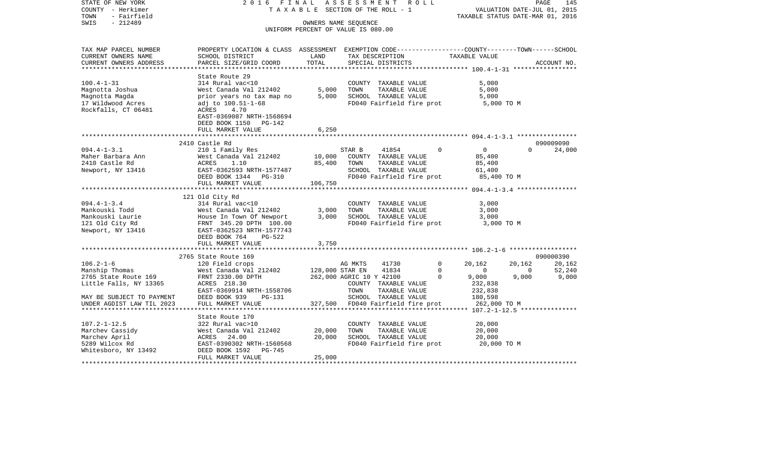| - Herkimer<br>COUNTY<br>TOWN<br>- Fairfield       |                                                                                                | T A X A B L E SECTION OF THE ROLL - 1                      |                          |                               | VALUATION DATE-JUL 01, 2015<br>TAXABLE STATUS DATE-MAR 01, 2016 |          |                   |             |             |
|---------------------------------------------------|------------------------------------------------------------------------------------------------|------------------------------------------------------------|--------------------------|-------------------------------|-----------------------------------------------------------------|----------|-------------------|-------------|-------------|
| SWIS<br>$-212489$                                 |                                                                                                | OWNERS NAME SEQUENCE<br>UNIFORM PERCENT OF VALUE IS 080.00 |                          |                               |                                                                 |          |                   |             |             |
|                                                   |                                                                                                |                                                            |                          |                               |                                                                 |          |                   |             |             |
| TAX MAP PARCEL NUMBER                             | PROPERTY LOCATION & CLASS ASSESSMENT EXEMPTION CODE---------------COUNTY-------TOWN-----SCHOOL |                                                            |                          |                               |                                                                 |          |                   |             |             |
| CURRENT OWNERS NAME                               | SCHOOL DISTRICT                                                                                | LAND                                                       |                          | TAX DESCRIPTION               |                                                                 |          | TAXABLE VALUE     |             |             |
| CURRENT OWNERS ADDRESS<br>*********************** | PARCEL SIZE/GRID COORD<br>*********************                                                | TOTAL                                                      |                          | SPECIAL DISTRICTS             |                                                                 |          |                   |             | ACCOUNT NO. |
|                                                   | State Route 29                                                                                 |                                                            |                          |                               |                                                                 |          |                   |             |             |
| $100.4 - 1 - 31$                                  | 314 Rural vac<10                                                                               |                                                            |                          | COUNTY TAXABLE VALUE          |                                                                 |          | 5,000             |             |             |
| Magnotta Joshua                                   | West Canada Val 212402                                                                         | 5,000                                                      | TOWN                     | TAXABLE VALUE                 |                                                                 |          | 5,000             |             |             |
| Magnotta Magda                                    | prior years no tax map no                                                                      | 5,000                                                      |                          | SCHOOL TAXABLE VALUE          |                                                                 |          | 5,000             |             |             |
| 17 Wildwood Acres                                 | adj to 100.51-1-68                                                                             |                                                            |                          | FD040 Fairfield fire prot     |                                                                 |          | 5,000 TO M        |             |             |
| Rockfalls, CT 06481                               | ACRES<br>4.70                                                                                  |                                                            |                          |                               |                                                                 |          |                   |             |             |
|                                                   | EAST-0369087 NRTH-1568694                                                                      |                                                            |                          |                               |                                                                 |          |                   |             |             |
|                                                   | DEED BOOK 1150 PG-142                                                                          |                                                            |                          |                               |                                                                 |          |                   |             |             |
|                                                   | FULL MARKET VALUE                                                                              | 6,250                                                      |                          |                               |                                                                 |          |                   |             |             |
|                                                   | **************************                                                                     |                                                            |                          |                               |                                                                 |          |                   |             |             |
|                                                   | 2410 Castle Rd                                                                                 |                                                            |                          |                               |                                                                 |          |                   |             | 090009090   |
| $094.4 - 1 - 3.1$<br>Maher Barbara Ann            | 210 1 Family Res<br>West Canada Val 212402                                                     | 10,000                                                     | STAR B                   | 41854<br>COUNTY TAXABLE VALUE |                                                                 | $\Omega$ | $\circ$<br>85,400 | $\Omega$    | 24,000      |
| 2410 Castle Rd                                    | ACRES<br>1.10                                                                                  | 85,400                                                     | TOWN                     | TAXABLE VALUE                 |                                                                 |          | 85,400            |             |             |
| Newport, NY 13416                                 | EAST-0362593 NRTH-1577487                                                                      |                                                            |                          | SCHOOL TAXABLE VALUE          |                                                                 |          | 61,400            |             |             |
|                                                   | DEED BOOK 1344 PG-310                                                                          |                                                            |                          | FD040 Fairfield fire prot     |                                                                 |          | 85,400 TO M       |             |             |
|                                                   | FULL MARKET VALUE                                                                              | 106,750                                                    |                          |                               |                                                                 |          |                   |             |             |
|                                                   |                                                                                                |                                                            |                          |                               |                                                                 |          |                   |             |             |
|                                                   | 121 Old City Rd                                                                                |                                                            |                          |                               |                                                                 |          |                   |             |             |
| $094.4 - 1 - 3.4$                                 | 314 Rural vac<10                                                                               |                                                            |                          | COUNTY TAXABLE VALUE          |                                                                 |          | 3,000             |             |             |
| Mankouski Todd                                    | West Canada Val 212402                                                                         | 3,000                                                      | TOWN                     | TAXABLE VALUE                 |                                                                 |          | 3,000             |             |             |
| Mankouski Laurie                                  | House In Town Of Newport                                                                       | 3,000                                                      |                          | SCHOOL TAXABLE VALUE          |                                                                 |          | 3,000             |             |             |
| 121 Old City Rd                                   | FRNT 345.20 DPTH 100.00                                                                        |                                                            |                          | FD040 Fairfield fire prot     |                                                                 |          | 3,000 TO M        |             |             |
| Newport, NY 13416                                 | EAST-0362523 NRTH-1577743<br>DEED BOOK 764<br>PG-522                                           |                                                            |                          |                               |                                                                 |          |                   |             |             |
|                                                   | FULL MARKET VALUE                                                                              | 3,750                                                      |                          |                               |                                                                 |          |                   |             |             |
|                                                   |                                                                                                |                                                            |                          |                               |                                                                 |          |                   |             |             |
|                                                   | 2765 State Route 169                                                                           |                                                            |                          |                               |                                                                 |          |                   |             | 090000390   |
| $106.2 - 1 - 6$                                   | 120 Field crops                                                                                |                                                            | AG MKTS                  | 41730                         |                                                                 | 0        | 20,162            | 20,162      | 20,162      |
| Manship Thomas                                    | West Canada Val 212402                                                                         |                                                            | 128,000 STAR EN          | 41834                         |                                                                 | 0        | $\mathbf 0$       | $\mathbf 0$ | 52,240      |
| 2765 State Route 169                              | FRNT 2330.00 DPTH                                                                              |                                                            | 262,000 AGRIC 10 Y 42100 |                               |                                                                 | $\Omega$ | 9,000             | 9,000       | 9,000       |
| Little Falls, NY 13365                            | ACRES 218.30                                                                                   |                                                            |                          | COUNTY TAXABLE VALUE          |                                                                 |          | 232,838           |             |             |
|                                                   | EAST-0369914 NRTH-1558706                                                                      |                                                            | TOWN                     | TAXABLE VALUE                 |                                                                 |          | 232,838           |             |             |
| MAY BE SUBJECT TO PAYMENT                         | DEED BOOK 939<br>PG-131                                                                        |                                                            |                          | SCHOOL TAXABLE VALUE          |                                                                 |          | 180,598           |             |             |
| UNDER AGDIST LAW TIL 2023                         | FULL MARKET VALUE                                                                              | 327,500                                                    |                          | FD040 Fairfield fire prot     |                                                                 |          | 262,000 TO M      |             |             |
|                                                   | State Route 170                                                                                |                                                            |                          |                               |                                                                 |          |                   |             |             |
| $107.2 - 1 - 12.5$                                | 322 Rural vac>10                                                                               |                                                            |                          | COUNTY TAXABLE VALUE          |                                                                 |          | 20,000            |             |             |
| Marchev Cassidy                                   | West Canada Val 212402                                                                         | 20,000                                                     | TOWN                     | TAXABLE VALUE                 |                                                                 |          | 20,000            |             |             |
| Marchev April                                     | ACRES<br>24.00                                                                                 | 20,000                                                     |                          | SCHOOL TAXABLE VALUE          |                                                                 |          | 20,000            |             |             |
| 5289 Wilcox Rd                                    | EAST-0390302 NRTH-1560568                                                                      |                                                            |                          | FD040 Fairfield fire prot     |                                                                 |          | 20,000 TO M       |             |             |
| Whitesboro, NY 13492                              | DEED BOOK 1592<br>PG-745                                                                       |                                                            |                          |                               |                                                                 |          |                   |             |             |
| ************                                      | FULL MARKET VALUE                                                                              | 25,000                                                     |                          |                               |                                                                 |          |                   |             |             |

STATE OF NEW YORK 2 0 1 6 F I N A L A S S E S S M E N T R O L L PAGE 145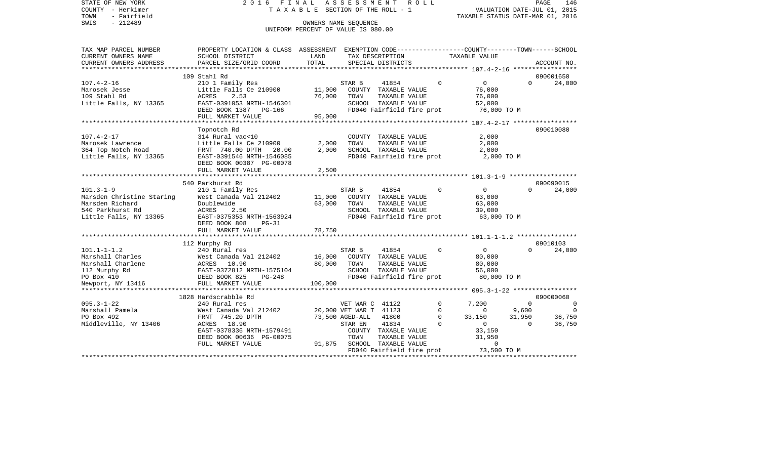| STATE OF NEW YORK<br>COUNTY - Herkimer<br>- Fairfield<br>TOWN<br>$-212489$<br>SWIS                                                                          | 2016 FINAL                                                                                                                                                           | TAXABLE SECTION OF THE ROLL - 1<br>UNIFORM PERCENT OF VALUE IS 080.00 | OWNERS NAME SEOUENCE                                                            | ASSESSMENT ROLL                                                                                     |                                                       | TAXABLE STATUS DATE-MAR 01, 2016                                 |                                               | PAGE<br>146<br>VALUATION DATE-JUL 01, 2015 |
|-------------------------------------------------------------------------------------------------------------------------------------------------------------|----------------------------------------------------------------------------------------------------------------------------------------------------------------------|-----------------------------------------------------------------------|---------------------------------------------------------------------------------|-----------------------------------------------------------------------------------------------------|-------------------------------------------------------|------------------------------------------------------------------|-----------------------------------------------|--------------------------------------------|
| TAX MAP PARCEL NUMBER<br>CURRENT OWNERS NAME<br>CURRENT OWNERS ADDRESS                                                                                      | PROPERTY LOCATION & CLASS ASSESSMENT EXEMPTION CODE---------------COUNTY-------TOWN------SCHOOL<br>SCHOOL DISTRICT<br>PARCEL SIZE/GRID COORD                         | LAND<br>TOTAL                                                         |                                                                                 | TAX DESCRIPTION<br>SPECIAL DISTRICTS                                                                |                                                       | TAXABLE VALUE                                                    |                                               | ACCOUNT NO.                                |
|                                                                                                                                                             |                                                                                                                                                                      |                                                                       |                                                                                 |                                                                                                     |                                                       |                                                                  |                                               |                                            |
| $107.4 - 2 - 16$<br>Marosek Jesse<br>109 Stahl Rd<br>Little Falls, NY 13365                                                                                 | 109 Stahl Rd<br>210 1 Family Res<br>Little Falls Ce 210900<br>ACRES<br>2.53<br>EAST-0391053 NRTH-1546301<br>DEED BOOK 1387 PG-166                                    | 11,000<br>76,000                                                      | STAR B<br>TOWN                                                                  | 41854<br>COUNTY TAXABLE VALUE<br>TAXABLE VALUE<br>SCHOOL TAXABLE VALUE<br>FD040 Fairfield fire prot | $\Omega$                                              | $\Omega$<br>76,000<br>76,000<br>52,000<br>76,000 TO M            | $\Omega$                                      | 090001650<br>24,000                        |
|                                                                                                                                                             | FULL MARKET VALUE                                                                                                                                                    | 95,000                                                                |                                                                                 |                                                                                                     |                                                       |                                                                  |                                               |                                            |
| $107.4 - 2 - 17$<br>Marosek Lawrence<br>364 Top Notch Road<br>Little Falls, NY 13365                                                                        | Topnotch Rd<br>314 Rural vac<10<br>Little Falls Ce 210900<br>FRNT 740.00 DPTH<br>20.00<br>EAST-0391546 NRTH-1546085<br>DEED BOOK 00387 PG-00078<br>FULL MARKET VALUE | 2,000<br>2,000<br>2,500                                               | TOWN                                                                            | COUNTY TAXABLE VALUE<br>TAXABLE VALUE<br>SCHOOL TAXABLE VALUE<br>FD040 Fairfield fire prot          |                                                       | 2,000<br>2,000<br>2,000<br>2,000 TO M                            |                                               | 090010080                                  |
|                                                                                                                                                             | 540 Parkhurst Rd                                                                                                                                                     |                                                                       |                                                                                 |                                                                                                     |                                                       |                                                                  |                                               | 090090015                                  |
| $101.3 - 1 - 9$<br>Marsden Christine Staring<br>Marsden Richard<br>540 Parkhurst Rd<br>Little Falls, NY 13365                                               | 210 1 Family Res<br>West Canada Val 212402<br>Doublewide<br>ACRES<br>2.50<br>EAST-0375353 NRTH-1563924<br>DEED BOOK 808<br>$PG-31$                                   | 11,000<br>63,000                                                      | STAR B<br>TOWN                                                                  | 41854<br>COUNTY TAXABLE VALUE<br>TAXABLE VALUE<br>SCHOOL TAXABLE VALUE<br>FD040 Fairfield fire prot | $\Omega$                                              | $\overline{0}$<br>63,000<br>63,000<br>39,000<br>63,000 TO M      | $\cap$                                        | 24,000                                     |
|                                                                                                                                                             | FULL MARKET VALUE                                                                                                                                                    | 78,750                                                                |                                                                                 |                                                                                                     |                                                       |                                                                  |                                               |                                            |
|                                                                                                                                                             |                                                                                                                                                                      |                                                                       |                                                                                 |                                                                                                     |                                                       |                                                                  |                                               |                                            |
| $101.1 - 1 - 1.2$<br>Marshall Charles<br>Marshall Charlene<br>112 Murphy Rd<br>PO Box 410<br>Newport, NY 13416<br>Newport, NY 13416<br>PO Box 625<br>PG-248 | 112 Murphy Rd<br>240 Rural res<br>West Canada Val 212402                                                                                                             | 16,000<br>80,000<br>100,000                                           | STAR B<br>TOWN                                                                  | 41854<br>COUNTY TAXABLE VALUE<br>TAXABLE VALUE<br>SCHOOL TAXABLE VALUE<br>FD040 Fairfield fire prot | $\Omega$                                              | $\overline{0}$<br>80,000<br>80,000<br>56,000<br>80,000 TO M      | $\Omega$                                      | 09010103<br>24,000                         |
| *******************                                                                                                                                         | *********************************<br>1828 Hardscrabble Rd                                                                                                            |                                                                       |                                                                                 |                                                                                                     |                                                       |                                                                  |                                               | 090000060                                  |
| $095.3 - 1 - 22$<br>Marshall Pamela<br>PO Box 492<br>Middleville, NY 13406                                                                                  | 240 Rural res<br>West Canada Val 212402<br>FRNT 745.20 DPTH<br>ACRES 18.90<br>EAST-0378336 NRTH-1579491<br>DEED BOOK 00636 PG-00075                                  |                                                                       | VET WAR C 41122<br>20,000 VET WAR T 41123<br>73,500 AGED-ALL<br>STAR EN<br>TOWN | 41800<br>41834<br>COUNTY TAXABLE VALUE<br>TAXABLE VALUE                                             | $\mathbf 0$<br>$\mathbf 0$<br>$\Omega$<br>$\mathbf 0$ | 7,200<br>$\circ$<br>33,150<br>$\overline{0}$<br>33,150<br>31,950 | $\overline{0}$<br>9,600<br>31,950<br>$\Omega$ | 0<br>$\Omega$<br>36,750<br>36,750          |
|                                                                                                                                                             | FULL MARKET VALUE                                                                                                                                                    |                                                                       |                                                                                 | 91,875 SCHOOL TAXABLE VALUE<br>FD040 Fairfield fire prot                                            |                                                       | $\mathbf{0}$<br>73,500 TO M                                      |                                               |                                            |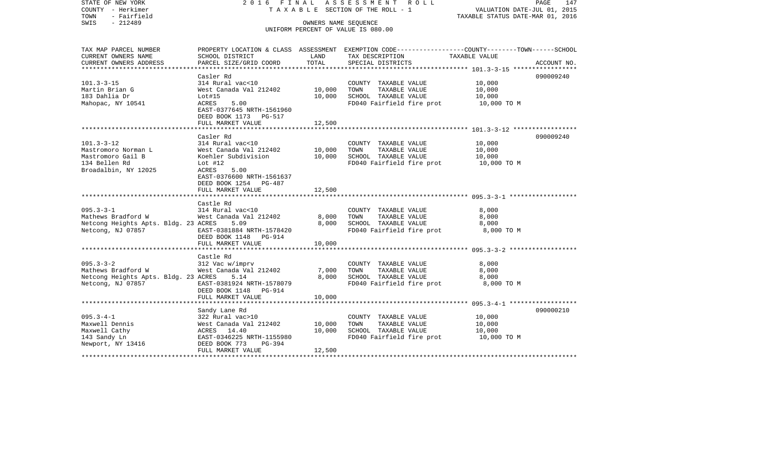| COUNTY - Herkimer<br>- Fairfield<br>TOWN      |                                                      |                      | T A X A B L E SECTION OF THE ROLL - 1         | VALUATION DATE-JUL 01, 2015<br>TAXABLE STATUS DATE-MAR 01, 2016                                 |  |  |
|-----------------------------------------------|------------------------------------------------------|----------------------|-----------------------------------------------|-------------------------------------------------------------------------------------------------|--|--|
| SWIS<br>$-212489$                             |                                                      | OWNERS NAME SEOUENCE | UNIFORM PERCENT OF VALUE IS 080.00            |                                                                                                 |  |  |
|                                               |                                                      |                      |                                               |                                                                                                 |  |  |
| TAX MAP PARCEL NUMBER                         |                                                      |                      |                                               | PROPERTY LOCATION & CLASS ASSESSMENT EXEMPTION CODE---------------COUNTY-------TOWN------SCHOOL |  |  |
| CURRENT OWNERS NAME<br>CURRENT OWNERS ADDRESS | SCHOOL DISTRICT<br>PARCEL SIZE/GRID COORD            | LAND<br>TOTAL        | TAX DESCRIPTION<br>SPECIAL DISTRICTS          | TAXABLE VALUE<br>ACCOUNT NO.                                                                    |  |  |
| *********************                         |                                                      | ***********          |                                               | ************************************** 101.3-3-15 ******************                            |  |  |
|                                               | Casler Rd                                            |                      |                                               | 090009240                                                                                       |  |  |
| $101.3 - 3 - 15$                              | 314 Rural vac<10                                     |                      | COUNTY TAXABLE VALUE                          | 10,000                                                                                          |  |  |
| Martin Brian G                                | West Canada Val 212402                               | 10,000               | TOWN<br>TAXABLE VALUE                         | 10,000                                                                                          |  |  |
| 183 Dahlia Dr                                 | Lot#15                                               | 10,000               | SCHOOL TAXABLE VALUE                          | 10,000                                                                                          |  |  |
| Mahopac, NY 10541                             | ACRES<br>5.00                                        |                      | FD040 Fairfield fire prot                     | 10,000 TO M                                                                                     |  |  |
|                                               | EAST-0377645 NRTH-1561960                            |                      |                                               |                                                                                                 |  |  |
|                                               | DEED BOOK 1173 PG-517                                |                      |                                               |                                                                                                 |  |  |
|                                               | FULL MARKET VALUE                                    | 12,500               |                                               |                                                                                                 |  |  |
|                                               | Casler Rd                                            |                      |                                               | 090009240                                                                                       |  |  |
| $101.3 - 3 - 12$                              | 314 Rural vac<10                                     |                      | COUNTY TAXABLE VALUE                          | 10,000                                                                                          |  |  |
| Mastromoro Norman L                           | West Canada Val 212402                               | 10,000               | TOWN<br>TAXABLE VALUE                         | 10,000                                                                                          |  |  |
| Mastromoro Gail B                             | Koehler Subdivision                                  | 10,000               | SCHOOL TAXABLE VALUE                          | 10,000                                                                                          |  |  |
| 134 Bellen Rd                                 | Lot $#12$                                            |                      | FD040 Fairfield fire prot                     | 10,000 TO M                                                                                     |  |  |
| Broadalbin, NY 12025                          | ACRES<br>5.00                                        |                      |                                               |                                                                                                 |  |  |
|                                               | EAST-0376600 NRTH-1561637                            |                      |                                               |                                                                                                 |  |  |
|                                               | DEED BOOK 1254 PG-487                                |                      |                                               |                                                                                                 |  |  |
|                                               | FULL MARKET VALUE                                    | 12,500               |                                               |                                                                                                 |  |  |
|                                               | Castle Rd                                            |                      |                                               |                                                                                                 |  |  |
| $095.3 - 3 - 1$                               | 314 Rural vac<10                                     |                      | COUNTY TAXABLE VALUE                          | 8,000                                                                                           |  |  |
| Mathews Bradford W                            | West Canada Val 212402                               | 8,000                | TOWN<br>TAXABLE VALUE                         | 8,000                                                                                           |  |  |
| Netcong Heights Apts. Bldg. 23 ACRES          | 5.09                                                 | 8,000                | SCHOOL TAXABLE VALUE                          | 8,000                                                                                           |  |  |
| Netcong, NJ 07857                             | EAST-0381884 NRTH-1578420                            |                      | FD040 Fairfield fire prot                     | 8,000 TO M                                                                                      |  |  |
|                                               | DEED BOOK 1148 PG-914                                |                      |                                               |                                                                                                 |  |  |
|                                               | FULL MARKET VALUE                                    | 10,000               |                                               |                                                                                                 |  |  |
|                                               |                                                      |                      |                                               |                                                                                                 |  |  |
| $095.3 - 3 - 2$                               | Castle Rd                                            |                      |                                               |                                                                                                 |  |  |
| Mathews Bradford W                            | 312 Vac w/imprv<br>West Canada Val 212402            | 7,000                | COUNTY TAXABLE VALUE<br>TOWN<br>TAXABLE VALUE | 8,000<br>8,000                                                                                  |  |  |
| Netcong Heights Apts. Bldg. 23 ACRES          | 5.14                                                 | 8,000                | SCHOOL TAXABLE VALUE                          | 8,000                                                                                           |  |  |
| Netcong, NJ 07857                             | EAST-0381924 NRTH-1578079                            |                      | FD040 Fairfield fire prot                     | 8,000 TO M                                                                                      |  |  |
|                                               | DEED BOOK 1148 PG-914                                |                      |                                               |                                                                                                 |  |  |
|                                               | FULL MARKET VALUE                                    | 10,000               |                                               |                                                                                                 |  |  |
|                                               |                                                      | *********            |                                               |                                                                                                 |  |  |
|                                               | Sandy Lane Rd                                        |                      |                                               | 090000210                                                                                       |  |  |
| $095.3 - 4 - 1$                               | 322 Rural vac>10                                     |                      | COUNTY TAXABLE VALUE                          | 10,000                                                                                          |  |  |
| Maxwell Dennis                                | West Canada Val 212402                               | 10,000               | TOWN<br>TAXABLE VALUE                         | 10,000                                                                                          |  |  |
| Maxwell Cathy                                 | ACRES 14.40                                          | 10,000               | SCHOOL TAXABLE VALUE                          | 10,000                                                                                          |  |  |
| 143 Sandy Ln                                  | EAST-0346225 NRTH-1155980<br>DEED BOOK 773<br>PG-394 |                      | FD040 Fairfield fire prot                     | 10,000 TO M                                                                                     |  |  |
| Newport, NY 13416                             | FULL MARKET VALUE                                    | 12,500               |                                               |                                                                                                 |  |  |
|                                               |                                                      |                      |                                               |                                                                                                 |  |  |

STATE OF NEW YORK 2 0 1 6 F I N A L A S S E S S M E N T R O L L PAGE 147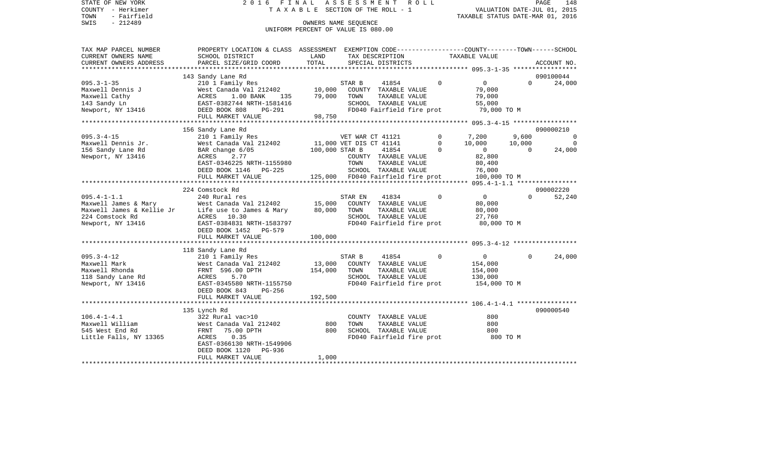STATE OF NEW YORK 2 0 1 6 F I N A L A S S E S S M E N T R O L L PAGE 148COUNTY - Herkimer T A X A B L E SECTION OF THE ROLL - 1 TOWN - Fairfield<br>TAXABLE STATUS DATE-MAR 01, 2016<br>SWIS - 212489 OWNERS NAME SEQUENCE UNIFORM PERCENT OF VALUE IS 080.00 TAX MAP PARCEL NUMBER PROPERTY LOCATION & CLASS ASSESSMENT EXEMPTION CODE------------------COUNTY--------TOWN------SCHOOL

| CURRENT OWNERS NAME                               | SCHOOL DISTRICT           | LAND           | TAX DESCRIPTION                   |                           |              | TAXABLE VALUE         |          |             |
|---------------------------------------------------|---------------------------|----------------|-----------------------------------|---------------------------|--------------|-----------------------|----------|-------------|
| CURRENT OWNERS ADDRESS                            | PARCEL SIZE/GRID COORD    | TOTAL          | SPECIAL DISTRICTS                 |                           |              |                       |          | ACCOUNT NO. |
| *************************                         |                           |                |                                   |                           |              |                       |          |             |
|                                                   | 143 Sandy Lane Rd         |                |                                   |                           |              |                       |          | 090100044   |
| $095.3 - 1 - 35$                                  | 210 1 Family Res          |                | STAR B                            | 41854                     | $\Omega$     | $\overline{0}$        | $\Omega$ | 24,000      |
| Maxwell Dennis J                                  | West Canada Val 212402    | 10,000         |                                   | COUNTY TAXABLE VALUE      |              | 79,000                |          |             |
| Maxwell Cathy                                     | ACRES<br>1.00 BANK<br>135 | 79,000         | TOWN                              | TAXABLE VALUE             |              | 79,000                |          |             |
| 143 Sandy Ln                                      | EAST-0382744 NRTH-1581416 |                |                                   | SCHOOL TAXABLE VALUE      |              | 55,000<br>79,000 TO M |          |             |
| Newport, NY 13416                                 | DEED BOOK 808<br>PG-291   | 98,750         |                                   | FD040 Fairfield fire prot |              |                       |          |             |
|                                                   | FULL MARKET VALUE         |                |                                   |                           |              |                       |          |             |
|                                                   | 156 Sandy Lane Rd         |                |                                   |                           |              |                       |          | 090000210   |
| $095.3 - 4 - 15$                                  | 210 1 Family Res          |                | VET WAR CT 41121                  |                           | $\mathbf{0}$ | 7,200                 | 9,600    |             |
| Maxwell Dennis Jr.                                | West Canada Val 212402    |                | 11,000 VET DIS CT 41141           |                           | $\Omega$     | 10,000                | 10,000   | $\Omega$    |
| 156 Sandy Lane Rd                                 | BAR change 6/05           | 100,000 STAR B |                                   | 41854                     | $\Omega$     | $\overline{0}$        | $\Omega$ | 24,000      |
| Newport, NY 13416                                 | ACRES<br>2.77             |                |                                   | COUNTY TAXABLE VALUE      |              | 82,800                |          |             |
|                                                   | EAST-0346225 NRTH-1155980 |                | TOWN                              | TAXABLE VALUE             |              | 80,400                |          |             |
|                                                   | DEED BOOK 1146 PG-225     |                |                                   | SCHOOL TAXABLE VALUE      |              | 76,000                |          |             |
|                                                   | FULL MARKET VALUE         |                | 125,000 FD040 Fairfield fire prot |                           |              | 100,000 TO M          |          |             |
|                                                   |                           |                |                                   |                           |              |                       |          |             |
|                                                   | 224 Comstock Rd           |                |                                   |                           |              |                       |          | 090002220   |
| $095.4 - 1 - 1.1$                                 | 240 Rural res             |                | STAR EN                           | 41834                     | $\Omega$     | $\overline{0}$        | $\Omega$ | 52,240      |
| Maxwell James & Mary                              | West Canada Val 212402    | 15,000         |                                   | COUNTY TAXABLE VALUE      |              | 80,000                |          |             |
| Maxwell James & Mary<br>Maxwell James & Kellie Jr | Life use to James & Mary  | 80,000         | TOWN                              | TAXABLE VALUE             |              | 80,000                |          |             |
| 224 Comstock Rd                                   | ACRES 10.30               |                |                                   | SCHOOL TAXABLE VALUE      |              | 27,760                |          |             |
| Newport, NY 13416                                 | EAST-0384831 NRTH-1583797 |                |                                   | FD040 Fairfield fire prot |              | 80,000 TO M           |          |             |
|                                                   | DEED BOOK 1452<br>PG-579  |                |                                   |                           |              |                       |          |             |
|                                                   | FULL MARKET VALUE         | 100,000        |                                   |                           |              |                       |          |             |
|                                                   |                           |                |                                   |                           |              |                       |          |             |
|                                                   | 118 Sandy Lane Rd         |                |                                   |                           |              |                       |          |             |
| $095.3 - 4 - 12$                                  | 210 1 Family Res          |                | STAR B                            | 41854                     | $\mathbf 0$  | $\overline{0}$        | $\Omega$ | 24,000      |
| Maxwell Mark                                      | West Canada Val 212402    | 13,000         |                                   | COUNTY TAXABLE VALUE      |              | 154,000               |          |             |
| Maxwell Rhonda                                    | FRNT 596.00 DPTH          | 154,000        | TOWN                              | TAXABLE VALUE             |              | 154,000               |          |             |
| 118 Sandy Lane Rd                                 | 5.70<br>ACRES             |                |                                   | SCHOOL TAXABLE VALUE      |              | 130,000               |          |             |
| Newport, NY 13416                                 | EAST-0345580 NRTH-1155750 |                |                                   | FD040 Fairfield fire prot |              | 154,000 TO M          |          |             |
|                                                   | DEED BOOK 843<br>$PG-256$ |                |                                   |                           |              |                       |          |             |
|                                                   | FULL MARKET VALUE         | 192,500        |                                   |                           |              |                       |          |             |
|                                                   |                           |                |                                   |                           |              |                       |          |             |
|                                                   | 135 Lynch Rd              |                |                                   |                           |              |                       |          | 090000540   |
| $106.4 - 1 - 4.1$                                 | 322 Rural vac>10          |                |                                   | COUNTY TAXABLE VALUE      |              | 800                   |          |             |
| Maxwell William                                   | West Canada Val 212402    | 800            | TOWN                              | TAXABLE VALUE             |              | 800                   |          |             |
| 545 West End Rd                                   | 75.00 DPTH<br>FRNT        | 800            |                                   | SCHOOL TAXABLE VALUE      |              | 800                   |          |             |
| Little Falls, NY 13365                            | 0.35<br>ACRES             |                |                                   | FD040 Fairfield fire prot |              | 800 TO M              |          |             |
|                                                   | EAST-0366130 NRTH-1549906 |                |                                   |                           |              |                       |          |             |
|                                                   | DEED BOOK 1120<br>PG-936  |                |                                   |                           |              |                       |          |             |
|                                                   | FULL MARKET VALUE         | 1,000          |                                   |                           |              |                       |          |             |
|                                                   |                           |                |                                   |                           |              |                       |          |             |

PAGE 148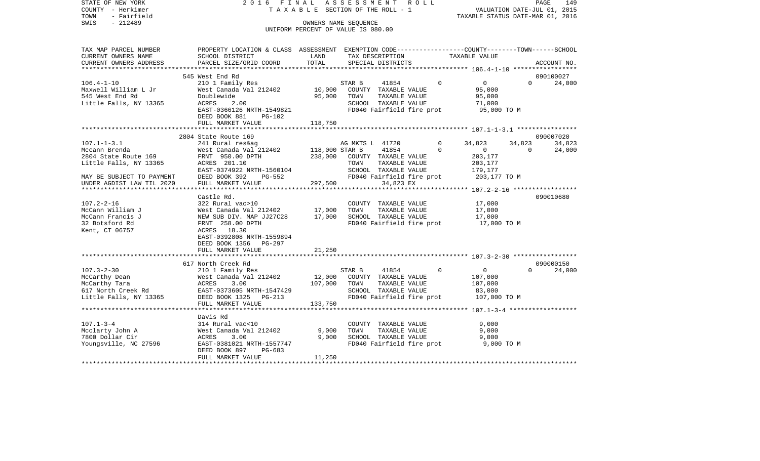STATE OF NEW YORK 2 0 1 6 F I N A L A S S E S S M E N T R O L L PAGE 149COUNTY - Herkimer **T A X A B L E** SECTION OF THE ROLL - 1 VALUATION DATE-JUL 01, 2015 TOWN - Fairfield TAXABLE STATUS DATE-MAR 01, 2016 SWIS - 212489 CONNERS NAME SEQUENCE UNIFORM PERCENT OF VALUE IS 080.00TAX MAP PARCEL NUMBER PROPERTY LOCATION & CLASS ASSESSMENT EXEMPTION CODE------------------COUNTY--------TOWN------SCHOOL CURRENT OWNERS NAME SCHOOL DISTRICT LAND TAX DESCRIPTION TAXABLE VALUECURRENT OWNERS ADDRESS PARCEL SIZE/GRID COORD TOTAL SPECIAL DISTRICTS ACCOUNT NO. \*\*\*\*\*\*\*\*\*\*\*\*\*\*\*\*\*\*\*\*\*\*\*\*\*\*\*\*\*\*\*\*\*\*\*\*\*\*\*\*\*\*\*\*\*\*\*\*\*\*\*\*\*\*\*\*\*\*\*\*\*\*\*\*\*\*\*\*\*\*\*\*\*\*\*\*\*\*\*\*\*\*\*\*\*\*\*\*\*\*\*\*\*\*\*\*\*\*\*\*\*\*\* 106.4-1-10 \*\*\*\*\*\*\*\*\*\*\*\*\*\*\*\*\* 545 West End Rd 090100027106.4-1-10 210 1 Family Res STAR B 41854 0 0 0 24,000 Maxwell William L Jr West Canada Val 212402 10,000 COUNTY TAXABLE VALUE 95,000 545 West End Rd Doublewide 95,000 TOWN TAXABLE VALUE 95,000 Little Falls, NY 13365 ACRES 2.00 SCHOOL TAXABLE VALUE 71,000 EAST-0366126 NRTH-1549821 FD040 Fairfield fire prot 95,000 TO M DEED BOOK 881 PG-102FULL MARKET VALUE 118,750 \*\*\*\*\*\*\*\*\*\*\*\*\*\*\*\*\*\*\*\*\*\*\*\*\*\*\*\*\*\*\*\*\*\*\*\*\*\*\*\*\*\*\*\*\*\*\*\*\*\*\*\*\*\*\*\*\*\*\*\*\*\*\*\*\*\*\*\*\*\*\*\*\*\*\*\*\*\*\*\*\*\*\*\*\*\*\*\*\*\*\*\*\*\*\*\*\*\*\*\*\*\*\* 107.1-1-3.1 \*\*\*\*\*\*\*\*\*\*\*\*\*\*\*\* 2804 State Route 169 090007020107.1-1-3.1 241 Rural res&ag AG MKTS L 41720 0 34,823 34,823 34,823 Mccann Brenda West Canada Val 212402 118,000 STAR B 41854 0 0 0 24,000 2804 State Route 169 FRNT 950.00 DPTH 238,000 COUNTY TAXABLE VALUE 203,177 Little Falls, NY 13365 ACRES 201.10 TOWN TAXABLE VALUE 203,177 EAST-0374922 NRTH-1560104 SCHOOL TAXABLE VALUE 179,177 MAY BE SUBJECT TO PAYMENT DEED BOOK 392 PG-552 FD040 Fairfield fire prot 203,177 TO M<br>
INDER AGDIST LAW TIL 2020 FULL MARKET VALUE 297.500 34.823 EX UNDER AGDIST LAW TIL 2020 FULL MARKET VALUE 297,500 34,823 EX \*\*\*\*\*\*\*\*\*\*\*\*\*\*\*\*\*\*\*\*\*\*\*\*\*\*\*\*\*\*\*\*\*\*\*\*\*\*\*\*\*\*\*\*\*\*\*\*\*\*\*\*\*\*\*\*\*\*\*\*\*\*\*\*\*\*\*\*\*\*\*\*\*\*\*\*\*\*\*\*\*\*\*\*\*\*\*\*\*\*\*\*\*\*\*\*\*\*\*\*\*\*\* 107.2-2-16 \*\*\*\*\*\*\*\*\*\*\*\*\*\*\*\*\* Castle Rd. 090010680107.2-2-16 322 Rural vac>10 COUNTY TAXABLE VALUE 17,000 McCann William J West Canada Val 212402 17,000 TOWN TAXABLE VALUE 17,000 McCann Francis J NEW SUB DIV. MAP JJ27C28 17,000 SCHOOL TAXABLE VALUE 17,000 32 Botsford Rd FRNT 258.00 DPTH FD040 Fairfield fire prot 17,000 TO M Kent, CT 06757 ACRES 18.30 EAST-0392808 NRTH-1559894 DEED BOOK 1356 PG-297FULL MARKET VALUE 21,250 \*\*\*\*\*\*\*\*\*\*\*\*\*\*\*\*\*\*\*\*\*\*\*\*\*\*\*\*\*\*\*\*\*\*\*\*\*\*\*\*\*\*\*\*\*\*\*\*\*\*\*\*\*\*\*\*\*\*\*\*\*\*\*\*\*\*\*\*\*\*\*\*\*\*\*\*\*\*\*\*\*\*\*\*\*\*\*\*\*\*\*\*\*\*\*\*\*\*\*\*\*\*\* 107.3-2-30 \*\*\*\*\*\*\*\*\*\*\*\*\*\*\*\*\* 617 North Creek Rd 090000150107.3-2-30 210 1 Family Res STAR B 41854 0 0 0 24,000 McCarthy Dean West Canada Val 212402 12,000 COUNTY TAXABLE VALUE 107,000 McCarthy Tara  $ACRES$  3.00 107,000 TOWN TAXABLE VALUE 107,000 617 North Creek Rd EAST-0373605 NRTH-1547429 SCHOOL TAXABLE VALUE 83,000 Little Falls, NY 13365 DEED BOOK 1325 PG-213 FD040 Fairfield fire prot 107,000 TO M FULL MARKET VALUE 133,750 \*\*\*\*\*\*\*\*\*\*\*\*\*\*\*\*\*\*\*\*\*\*\*\*\*\*\*\*\*\*\*\*\*\*\*\*\*\*\*\*\*\*\*\*\*\*\*\*\*\*\*\*\*\*\*\*\*\*\*\*\*\*\*\*\*\*\*\*\*\*\*\*\*\*\*\*\*\*\*\*\*\*\*\*\*\*\*\*\*\*\*\*\*\*\*\*\*\*\*\*\*\*\* 107.1-3-4 \*\*\*\*\*\*\*\*\*\*\*\*\*\*\*\*\*\* Davis Rd107.1-3-4 314 Rural vac<10 COUNTY TAXABLE VALUE 9,000 Mcclarty John A **West Canada Val 212402** 9,000 TOWN TAXABLE VALUE 9,000 7800 Dollar Cir ACRES 3.00 9,000 SCHOOL TAXABLE VALUE 9,000 Youngsville, NC 27596 EAST-0381021 NRTH-1557747 FD040 Fairfield fire prot 9,000 TO M DEED BOOK 897 PG-683FULL MARKET VALUE 11,250 \*\*\*\*\*\*\*\*\*\*\*\*\*\*\*\*\*\*\*\*\*\*\*\*\*\*\*\*\*\*\*\*\*\*\*\*\*\*\*\*\*\*\*\*\*\*\*\*\*\*\*\*\*\*\*\*\*\*\*\*\*\*\*\*\*\*\*\*\*\*\*\*\*\*\*\*\*\*\*\*\*\*\*\*\*\*\*\*\*\*\*\*\*\*\*\*\*\*\*\*\*\*\*\*\*\*\*\*\*\*\*\*\*\*\*\*\*\*\*\*\*\*\*\*\*\*\*\*\*\*\*\*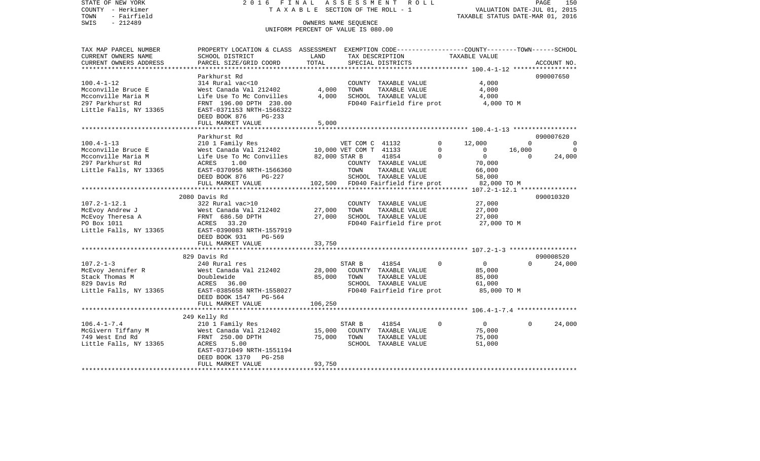| STATE OF NEW YORK<br>COUNTY - Herkimer<br>TOWN<br>- Fairfield   | 2016 FINAL<br>TAXABLE SECTION OF THE ROLL - 1                                                                     | ASSESSMENT ROLL                                            | 150<br>PAGE<br>VALUATION DATE-JUL 01, 2015<br>TAXABLE STATUS DATE-MAR 01, 2016 |                      |                           |                                       |                |                          |
|-----------------------------------------------------------------|-------------------------------------------------------------------------------------------------------------------|------------------------------------------------------------|--------------------------------------------------------------------------------|----------------------|---------------------------|---------------------------------------|----------------|--------------------------|
| $-212489$<br>SWIS                                               |                                                                                                                   | OWNERS NAME SEQUENCE<br>UNIFORM PERCENT OF VALUE IS 080.00 |                                                                                |                      |                           |                                       |                |                          |
|                                                                 |                                                                                                                   |                                                            |                                                                                |                      |                           |                                       |                |                          |
| TAX MAP PARCEL NUMBER<br>CURRENT OWNERS NAME                    | PROPERTY LOCATION & CLASS ASSESSMENT EXEMPTION CODE---------------COUNTY-------TOWN-----SCHOOL<br>SCHOOL DISTRICT | LAND                                                       |                                                                                |                      | TAX DESCRIPTION           | TAXABLE VALUE                         |                |                          |
| CURRENT OWNERS ADDRESS                                          | PARCEL SIZE/GRID COORD                                                                                            | TOTAL                                                      |                                                                                | SPECIAL DISTRICTS    |                           |                                       |                | ACCOUNT NO.              |
|                                                                 |                                                                                                                   |                                                            |                                                                                |                      |                           |                                       |                |                          |
|                                                                 | Parkhurst Rd                                                                                                      |                                                            |                                                                                |                      |                           |                                       |                | 090007650                |
| $100.4 - 1 - 12$                                                | 314 Rural vac<10                                                                                                  |                                                            |                                                                                | COUNTY TAXABLE VALUE |                           | 4,000                                 |                |                          |
| Mcconville Bruce E                                              | West Canada Val 212402                                                                                            | 4,000                                                      | TOWN                                                                           | TAXABLE VALUE        |                           | 4,000                                 |                |                          |
| Mcconville Maria M                                              | Life Use To Mc Convilles                                                                                          |                                                            | 4,000 SCHOOL TAXABLE VALUE                                                     |                      |                           | 4,000                                 |                |                          |
| 297 Parkhurst Rd                                                | FRNT 196.00 DPTH 230.00                                                                                           |                                                            |                                                                                |                      | FD040 Fairfield fire prot | 4,000 TO M                            |                |                          |
| Little Falls, NY 13365                                          | EAST-0371153 NRTH-1566322                                                                                         |                                                            |                                                                                |                      |                           |                                       |                |                          |
|                                                                 | DEED BOOK 876<br>$PG-233$                                                                                         |                                                            |                                                                                |                      |                           |                                       |                |                          |
|                                                                 | FULL MARKET VALUE                                                                                                 | 5,000                                                      |                                                                                |                      |                           |                                       |                |                          |
|                                                                 |                                                                                                                   |                                                            |                                                                                |                      |                           |                                       |                | 090007620                |
| $100.4 - 1 - 13$                                                | Parkhurst Rd<br>210 1 Family Res                                                                                  |                                                            | VET COM C 41132                                                                |                      |                           | $\circ$<br>12,000                     | $\Omega$       | $\overline{0}$           |
| Mcconville Bruce E                                              |                                                                                                                   |                                                            |                                                                                |                      |                           | $\overline{0}$<br>$\overline{0}$      | 16,000         | $\overline{\phantom{0}}$ |
| Mcconville Maria M                                              | West Canada Val 212402 10,000 VET COM T 41133<br>Life Use To Mc Convilles 82,000 STAR B 41854                     |                                                            |                                                                                |                      |                           | $\mathbf{0}$<br>$\overline{0}$        | $\overline{0}$ | 24,000                   |
| 297 Parkhurst Rd                                                | ACRES 1.00                                                                                                        |                                                            |                                                                                |                      | COUNTY TAXABLE VALUE      | 70,000                                |                |                          |
| Little Falls, NY 13365                                          | EAST-0370956 NRTH-1566360                                                                                         |                                                            | TOWN                                                                           | TAXABLE VALUE        |                           | 66,000                                |                |                          |
|                                                                 | DEED BOOK 876<br>PG-227                                                                                           |                                                            |                                                                                | SCHOOL TAXABLE VALUE |                           | 58,000                                |                |                          |
|                                                                 | FULL MARKET VALUE                                                                                                 | 102,500 FD040 Fairfield fire prot                          |                                                                                |                      |                           | 82,000 TO M                           |                |                          |
|                                                                 | ***********************                                                                                           | ***************                                            |                                                                                |                      |                           |                                       |                |                          |
|                                                                 | 2080 Davis Rd                                                                                                     |                                                            |                                                                                |                      |                           |                                       |                | 090010320                |
| $107.2 - 1 - 12.1$                                              | 322 Rural vac>10                                                                                                  |                                                            |                                                                                | COUNTY TAXABLE VALUE |                           | 27,000                                |                |                          |
| McEvoy Andrew J                                                 | West Canada Val 21<br>FRNT 686.50 DPTH<br>33BBC 33.30<br>West Canada Val 212402                                   | 27,000                                                     | TOWN                                                                           | TAXABLE VALUE        |                           | 27,000                                |                |                          |
| McEvoy Theresa A                                                |                                                                                                                   | 27,000                                                     |                                                                                | SCHOOL TAXABLE VALUE |                           | 27,000                                |                |                          |
| PO Box 1011<br>Little Falls, NY 13365 EAST-0390083 NRTH-1557919 | ACRES 33.20                                                                                                       |                                                            |                                                                                |                      |                           | FD040 Fairfield fire prot 27,000 TO M |                |                          |
|                                                                 | DEED BOOK 931 PG-569                                                                                              |                                                            |                                                                                |                      |                           |                                       |                |                          |
|                                                                 | FULL MARKET VALUE                                                                                                 | 33,750                                                     |                                                                                |                      |                           |                                       |                |                          |
|                                                                 |                                                                                                                   |                                                            |                                                                                |                      |                           |                                       |                |                          |
|                                                                 | 829 Davis Rd                                                                                                      |                                                            |                                                                                |                      |                           |                                       |                | 090008520                |
| $107.2 - 1 - 3$                                                 | 240 Rural res                                                                                                     |                                                            | STAR B                                                                         | 41854                |                           | $\overline{0}$<br>$\Omega$            | $\Omega$       | 24,000                   |
| McEvoy Jennifer R                                               | West Canada Val 212402                                                                                            | 28,000                                                     | COUNTY TAXABLE VALUE                                                           |                      |                           | 85,000                                |                |                          |
| Stack Thomas M                                                  | Doublewide                                                                                                        | 85,000                                                     | TOWN                                                                           | TAXABLE VALUE        |                           | 85,000                                |                |                          |
| 829 Davis Rd                                                    | ACRES 36.00                                                                                                       |                                                            |                                                                                | SCHOOL TAXABLE VALUE |                           | 61,000                                |                |                          |
| Little Falls, NY 13365                                          | EAST-0385658 NRTH-1558027                                                                                         |                                                            |                                                                                |                      | FD040 Fairfield fire prot | 85,000 TO M                           |                |                          |
|                                                                 | DEED BOOK 1547 PG-564                                                                                             |                                                            |                                                                                |                      |                           |                                       |                |                          |
|                                                                 | FULL MARKET VALUE                                                                                                 | 106,250                                                    |                                                                                |                      |                           |                                       |                |                          |
|                                                                 |                                                                                                                   |                                                            |                                                                                |                      |                           |                                       |                |                          |
| $106.4 - 1 - 7.4$                                               | neily Rd<br>210 1 Family Res<br>West Canada V <sup>-1</sup><br>FRNT                                               |                                                            | STAR B                                                                         | 41854                |                           | $\mathbf 0$<br>$\overline{0}$         | $\Omega$       | 24,000                   |
| 106.4-1-7.1<br>McGivern Tiffany M                               | West Canada Val 212402                                                                                            |                                                            | 15,000 COUNTY TAXABLE VALUE                                                    |                      |                           | 75,000                                |                |                          |
|                                                                 |                                                                                                                   | 75,000 TOWN                                                |                                                                                |                      | TAXABLE VALUE             | 75,000                                |                |                          |
| Little Falls, NY 13365                                          | ACRES<br>5.00                                                                                                     |                                                            |                                                                                | SCHOOL TAXABLE VALUE |                           | 51,000                                |                |                          |
|                                                                 | EAST-0371049 NRTH-1551194                                                                                         |                                                            |                                                                                |                      |                           |                                       |                |                          |
|                                                                 | PG-258<br>DEED BOOK 1370                                                                                          |                                                            |                                                                                |                      |                           |                                       |                |                          |
|                                                                 | FULL MARKET VALUE                                                                                                 | 93,750                                                     |                                                                                |                      |                           |                                       |                |                          |
|                                                                 |                                                                                                                   |                                                            |                                                                                |                      |                           |                                       |                |                          |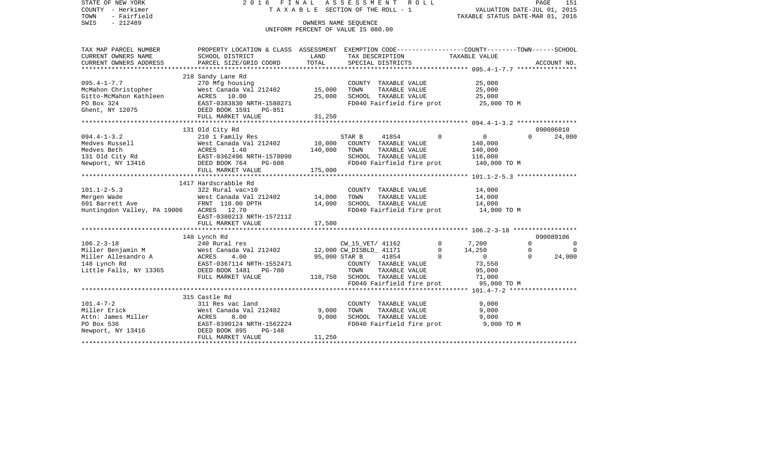| STATE OF NEW YORK<br>COUNTY - Herkimer<br>- Fairfield<br>TOWN<br>$-212489$<br>SWIS                                                              | 2016 FINAL<br>T A X A B L E SECTION OF THE ROLL - 1<br>UNIFORM PERCENT OF VALUE IS 080.00 | ROLL    |                              | VALUATION DATE-JUL 01, 2015<br>TAXABLE STATUS DATE-MAR 01, 2016 | PAGE | 151            |                                       |                |             |
|-------------------------------------------------------------------------------------------------------------------------------------------------|-------------------------------------------------------------------------------------------|---------|------------------------------|-----------------------------------------------------------------|------|----------------|---------------------------------------|----------------|-------------|
| TAX MAP PARCEL NUMBER THE PROPERTY LOCATION & CLASS ASSESSMENT EXEMPTION CODE--------------COUNTY-------TOWN------SCHOOL<br>CURRENT OWNERS NAME | SCHOOL DISTRICT                                                                           | LAND    |                              | TAX DESCRIPTION                                                 |      |                | TAXABLE VALUE                         |                |             |
| CURRENT OWNERS ADDRESS                                                                                                                          | PARCEL SIZE/GRID COORD                                                                    | TOTAL   |                              | SPECIAL DISTRICTS                                               |      |                |                                       |                | ACCOUNT NO. |
|                                                                                                                                                 | 218 Sandy Lane Rd                                                                         |         |                              |                                                                 |      |                |                                       |                |             |
| $095.4 - 1 - 7.7$                                                                                                                               | 270 Mfg housing                                                                           |         |                              | COUNTY TAXABLE VALUE                                            |      |                | 25,000                                |                |             |
| McMahon Christopher                                                                                                                             | West Canada Val 212402 15,000                                                             |         | TOWN                         | TAXABLE VALUE                                                   |      |                | 25,000                                |                |             |
| Gitto-McMahon Kathleen                                                                                                                          | ACRES 10.00                                                                               | 25,000  |                              | SCHOOL TAXABLE VALUE                                            |      |                | 25,000                                |                |             |
| PO Box 324                                                                                                                                      | EAST-0383830 NRTH-1580271                                                                 |         |                              |                                                                 |      |                | FD040 Fairfield fire prot 25,000 TO M |                |             |
| Ghent, NY 12075                                                                                                                                 | DEED BOOK 1591 PG-851                                                                     |         |                              |                                                                 |      |                |                                       |                |             |
|                                                                                                                                                 | FULL MARKET VALUE                                                                         | 31,250  |                              |                                                                 |      |                |                                       |                |             |
|                                                                                                                                                 |                                                                                           |         |                              |                                                                 |      |                |                                       |                |             |
|                                                                                                                                                 | 131 Old City Rd                                                                           |         |                              |                                                                 |      |                |                                       |                | 090086010   |
| $094.4 - 1 - 3.2$                                                                                                                               | 210 1 Family Res                                                                          |         | STAR B                       | 41854                                                           |      | $\Omega$       | $\overline{0}$                        | $\Omega$       | 24,000      |
|                                                                                                                                                 | West Canada Val 212402                                                                    | 10,000  |                              | COUNTY TAXABLE VALUE                                            |      |                | 140,000                               |                |             |
|                                                                                                                                                 |                                                                                           | 140,000 | TOWN                         | TAXABLE VALUE                                                   |      |                | 140,000                               |                |             |
| Medves Russell Mest Canada Va<br>Medves Beth MCRES 1.40<br>131 Old City Rd EAST-0362496 N<br>Newport, NY 13416 DEED BOOK 764                    | EAST-0362496 NRTH-1578090                                                                 |         |                              | SCHOOL TAXABLE VALUE                                            |      |                | 116,000                               |                |             |
|                                                                                                                                                 | PG-608<br>FULL MARKET VALUE                                                               | 175,000 |                              | FD040 Fairfield fire prot                                       |      |                | 140,000 TO M                          |                |             |
|                                                                                                                                                 |                                                                                           |         |                              |                                                                 |      |                |                                       |                |             |
|                                                                                                                                                 | 1417 Hardscrabble Rd                                                                      |         |                              |                                                                 |      |                |                                       |                |             |
| $101.1 - 2 - 5.3$                                                                                                                               | 322 Rural vac>10                                                                          |         |                              | COUNTY TAXABLE VALUE                                            |      |                | 14,000                                |                |             |
| Mergen Wade                                                                                                                                     | West Canada Val 212402                                                                    | 14,000  | TOWN                         | TAXABLE VALUE                                                   |      |                | 14,000                                |                |             |
| 601 Barrett Ave                                                                                                                                 | FRNT 110.00 DPTH                                                                          | 14,000  |                              | SCHOOL TAXABLE VALUE                                            |      |                | 14,000                                |                |             |
| Huntingdon Valley, PA 19006                                                                                                                     | ACRES 12.70                                                                               |         |                              | FD040 Fairfield fire prot                                       |      |                | 14,000 TO M                           |                |             |
|                                                                                                                                                 | EAST-0380213 NRTH-1572112                                                                 |         |                              |                                                                 |      |                |                                       |                |             |
|                                                                                                                                                 | FULL MARKET VALUE                                                                         | 17,500  |                              |                                                                 |      |                |                                       |                |             |
|                                                                                                                                                 |                                                                                           |         |                              |                                                                 |      |                |                                       |                |             |
|                                                                                                                                                 | 148 Lynch Rd                                                                              |         |                              |                                                                 |      |                |                                       |                | 090089106   |
| $106.2 - 3 - 18$                                                                                                                                | 240 Rural res                                                                             |         | CW_15_VET/ 41162             |                                                                 |      | $\overline{0}$ | 7,200                                 | $\Omega$       | $\Omega$    |
| Miller Benjamin M<br>Miller Allesandro A                                                                                                        | West Canada Val 212402 12,000 CW_DISBLD_ 41171                                            |         |                              |                                                                 |      | $\mathbf{0}$   | 14,250                                | $\overline{0}$ | $\Omega$    |
|                                                                                                                                                 | ACRES<br>4.00                                                                             |         | 95,000 STAR B                | 41854                                                           |      | $\Omega$       | $\overline{0}$                        | $\Omega$       | 24,000      |
| 148 Lynch Rd                                                                                                                                    | EAST-0367114 NRTH-1552471                                                                 |         |                              | COUNTY TAXABLE VALUE                                            |      |                | 73,550                                |                |             |
| Little Falls, NY 13365                                                                                                                          | DEED BOOK 1481 PG-780                                                                     |         | TOWN                         | TAXABLE VALUE                                                   |      |                | 95,000                                |                |             |
|                                                                                                                                                 | FULL MARKET VALUE                                                                         |         | 118,750 SCHOOL TAXABLE VALUE |                                                                 |      |                | 71,000                                |                |             |
|                                                                                                                                                 |                                                                                           |         |                              | FD040 Fairfield fire prot                                       |      |                | 95,000 TO M                           |                |             |
|                                                                                                                                                 | 315 Castle Rd                                                                             |         |                              |                                                                 |      |                |                                       |                |             |
| $101.4 - 7 - 2$                                                                                                                                 | 311 Res vac land                                                                          |         |                              | COUNTY TAXABLE VALUE                                            |      |                | 9,000                                 |                |             |
| Miller Erick                                                                                                                                    | West Canada Val 212402                                                                    | 9,000   | TOWN                         | TAXABLE VALUE                                                   |      |                | 9,000                                 |                |             |
| Attn: James Miller                                                                                                                              | ACRES<br>8.00                                                                             | 9,000   |                              | SCHOOL TAXABLE VALUE                                            |      |                | 9,000                                 |                |             |
| PO Box 536                                                                                                                                      | EAST-0390124 NRTH-1562224                                                                 |         |                              | FD040 Fairfield fire prot                                       |      |                | 9,000 TO M                            |                |             |
| Newport, NY 13416                                                                                                                               | DEED BOOK 895<br>PG-148                                                                   |         |                              |                                                                 |      |                |                                       |                |             |
|                                                                                                                                                 | FULL MARKET VALUE                                                                         | 11,250  |                              |                                                                 |      |                |                                       |                |             |
|                                                                                                                                                 |                                                                                           |         |                              |                                                                 |      |                |                                       |                |             |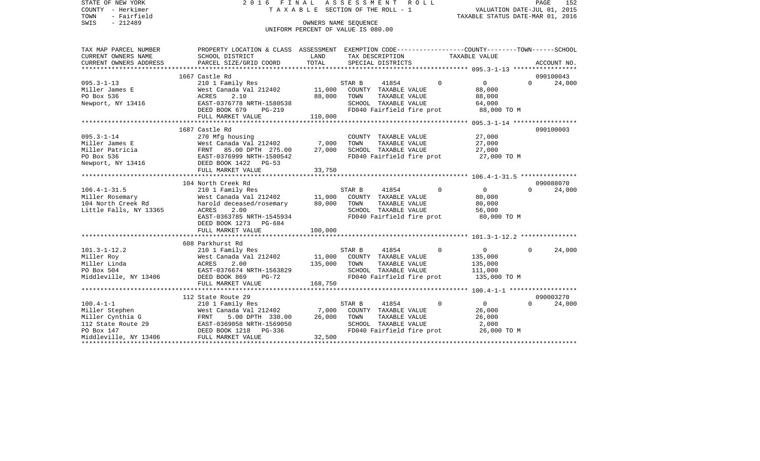| STATE OF NEW YORK<br>COUNTY - Herkimer<br>- Fairfield<br>TOWN          | 2016 FINAL ASSESSMENT                                                                          | TAXABLE SECTION OF THE ROLL - 1                            |        |                                      | R O L L     | VALUATION DATE-JUL 01, 2015<br>TAXABLE STATUS DATE-MAR 01, 2016 |          | PAGE<br>152 |
|------------------------------------------------------------------------|------------------------------------------------------------------------------------------------|------------------------------------------------------------|--------|--------------------------------------|-------------|-----------------------------------------------------------------|----------|-------------|
| SWIS<br>$-212489$                                                      |                                                                                                | OWNERS NAME SEOUENCE<br>UNIFORM PERCENT OF VALUE IS 080.00 |        |                                      |             |                                                                 |          |             |
| TAX MAP PARCEL NUMBER                                                  | PROPERTY LOCATION & CLASS ASSESSMENT EXEMPTION CODE---------------COUNTY-------TOWN-----SCHOOL |                                                            |        |                                      |             |                                                                 |          |             |
| CURRENT OWNERS NAME<br>CURRENT OWNERS ADDRESS<br>********************* | SCHOOL DISTRICT<br>PARCEL SIZE/GRID COORD                                                      | LAND<br>TOTAL                                              |        | TAX DESCRIPTION<br>SPECIAL DISTRICTS |             | TAXABLE VALUE                                                   |          | ACCOUNT NO. |
|                                                                        | 1667 Castle Rd                                                                                 |                                                            |        |                                      |             |                                                                 |          | 090100043   |
| $095.3 - 1 - 13$                                                       | 210 1 Family Res                                                                               |                                                            | STAR B | 41854                                | $\mathbf 0$ | $\mathbf 0$                                                     | $\Omega$ | 24,000      |
| Miller James E                                                         | West Canada Val 212402                                                                         | 11,000                                                     |        | COUNTY TAXABLE VALUE                 |             | 88,000                                                          |          |             |
| PO Box 536                                                             | ACRES<br>2.10                                                                                  | 88,000                                                     | TOWN   | TAXABLE VALUE                        |             | 88,000                                                          |          |             |
| Newport, NY 13416                                                      | EAST-0376778 NRTH-1580538                                                                      |                                                            |        | SCHOOL TAXABLE VALUE                 |             | 64,000                                                          |          |             |
|                                                                        | DEED BOOK 679<br>PG-219                                                                        |                                                            |        | FD040 Fairfield fire prot            |             | 88,000 TO M                                                     |          |             |
|                                                                        | FULL MARKET VALUE                                                                              | 110,000                                                    |        |                                      |             |                                                                 |          |             |
|                                                                        |                                                                                                |                                                            |        |                                      |             |                                                                 |          |             |
|                                                                        | 1687 Castle Rd                                                                                 |                                                            |        |                                      |             |                                                                 |          | 090100003   |
| $095.3 - 1 - 14$                                                       | 270 Mfg housing                                                                                |                                                            |        | COUNTY TAXABLE VALUE                 |             | 27,000                                                          |          |             |
| Miller James E                                                         | West Canada Val 212402                                                                         | 7,000                                                      | TOWN   | TAXABLE VALUE                        |             | 27,000                                                          |          |             |
| Miller Patricia                                                        | FRNT 85.00 DPTH 275.00                                                                         | 27,000                                                     |        | SCHOOL TAXABLE VALUE                 |             | 27,000                                                          |          |             |
| PO Box 536                                                             | EAST-0376999 NRTH-1580542                                                                      |                                                            |        | FD040 Fairfield fire prot            |             | 27,000 TO M                                                     |          |             |
| Newport, NY 13416                                                      | DEED BOOK 1422 PG-53                                                                           |                                                            |        |                                      |             |                                                                 |          |             |
|                                                                        | FULL MARKET VALUE                                                                              | 33,750                                                     |        |                                      |             |                                                                 |          |             |
|                                                                        | 104 North Creek Rd                                                                             |                                                            |        |                                      |             |                                                                 |          | 090088070   |
| $106.4 - 1 - 31.5$                                                     | 210 1 Family Res                                                                               |                                                            | STAR B | 41854                                | $\Omega$    | $\Omega$                                                        | $\Omega$ | 24,000      |
| Miller Rosemary                                                        | West Canada Val 212402                                                                         | 11,000                                                     |        | COUNTY TAXABLE VALUE                 |             | 80,000                                                          |          |             |
| 104 North Creek Rd                                                     | harold deceased/rosemary                                                                       | 80,000                                                     | TOWN   | TAXABLE VALUE                        |             | 80,000                                                          |          |             |
| Little Falls, NY 13365                                                 | ACRES<br>2.00                                                                                  |                                                            |        | SCHOOL TAXABLE VALUE                 |             | 56,000                                                          |          |             |
|                                                                        | EAST-0363785 NRTH-1545934                                                                      |                                                            |        | FD040 Fairfield fire prot            |             | 80,000 TO M                                                     |          |             |
|                                                                        | DEED BOOK 1273 PG-684                                                                          |                                                            |        |                                      |             |                                                                 |          |             |
|                                                                        | FULL MARKET VALUE                                                                              | 100,000                                                    |        |                                      |             |                                                                 |          |             |
|                                                                        |                                                                                                |                                                            |        |                                      |             |                                                                 |          |             |
|                                                                        | 608 Parkhurst Rd                                                                               |                                                            |        |                                      |             |                                                                 |          |             |
| $101.3 - 1 - 12.2$                                                     | 210 1 Family Res                                                                               |                                                            | STAR B | 41854                                | $\Omega$    | $\overline{0}$                                                  | $\Omega$ | 24,000      |
| Miller Roy                                                             | West Canada Val 212402                                                                         | 11,000                                                     |        | COUNTY TAXABLE VALUE                 |             | 135,000                                                         |          |             |
| Miller Linda                                                           | ACRES<br>2.00                                                                                  | 135,000                                                    | TOWN   | TAXABLE VALUE                        |             | 135,000                                                         |          |             |
| PO Box 504                                                             | EAST-0376674 NRTH-1563829                                                                      |                                                            |        | SCHOOL TAXABLE VALUE                 |             | 111,000                                                         |          |             |
| Middleville, NY 13406                                                  | DEED BOOK 869<br>$PG-72$                                                                       |                                                            |        | FD040 Fairfield fire prot            |             | 135,000 TO M                                                    |          |             |
|                                                                        | FULL MARKET VALUE                                                                              | 168,750                                                    |        |                                      |             |                                                                 |          |             |
|                                                                        |                                                                                                |                                                            |        |                                      |             |                                                                 |          |             |
|                                                                        | 112 State Route 29                                                                             |                                                            |        |                                      | $\mathbf 0$ | $\overline{0}$                                                  | $\Omega$ | 090003270   |
| $100.4 - 1 - 1$<br>Miller Stephen                                      | 210 1 Family Res<br>West Canada Val 212402                                                     | 7,000                                                      | STAR B | 41854<br>COUNTY TAXABLE VALUE        |             | 26,000                                                          |          | 24,000      |
| Miller Cynthia G                                                       | FRNT<br>5.00 DPTH 330.00                                                                       | 26,000                                                     | TOWN   | TAXABLE VALUE                        |             | 26,000                                                          |          |             |
| 112 State Route 29                                                     | EAST-0369058 NRTH-1569050                                                                      |                                                            |        | SCHOOL TAXABLE VALUE                 |             | 2,000                                                           |          |             |
| PO Box 147                                                             | DEED BOOK 1218<br>PG-336                                                                       |                                                            |        | FD040 Fairfield fire prot            |             | 26,000 TO M                                                     |          |             |
| Middleville, NY 13406                                                  | FULL MARKET VALUE                                                                              | 32,500                                                     |        |                                      |             |                                                                 |          |             |
|                                                                        |                                                                                                |                                                            |        |                                      |             |                                                                 |          |             |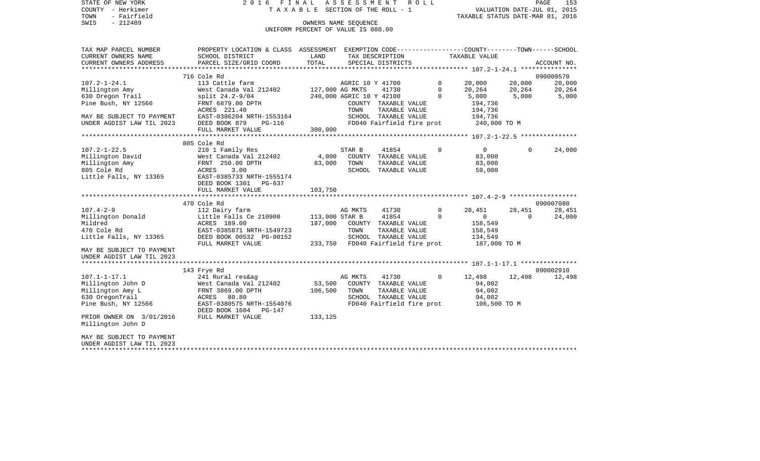STATE OF NEW YORK 2 0 1 6 F I N A L A S S E S S M E N T R O L L PAGE 153 COUNTY - Herkimer T A X A B L E SECTION OF THE ROLL - 1 VALUATION DATE-JUL 01, 2015 TOWN - Fairfield TAXABLE STATUS DATE-MAR 01, 2016 SWIS - 212489 OWNERS NAME SEQUENCE

UNIFORM PERCENT OF VALUE IS 080.00

| TAX MAP PARCEL NUMBER                                                                                                                                                                                | PROPERTY LOCATION & CLASS ASSESSMENT EXEMPTION CODE---------------COUNTY-------TOWN-----SCHOOL                                                                                                                                                           |              |                 |                                              |         |                                                |          |             |
|------------------------------------------------------------------------------------------------------------------------------------------------------------------------------------------------------|----------------------------------------------------------------------------------------------------------------------------------------------------------------------------------------------------------------------------------------------------------|--------------|-----------------|----------------------------------------------|---------|------------------------------------------------|----------|-------------|
| CURRENT OWNERS NAME                                                                                                                                                                                  | SCHOOL DISTRICT                                                                                                                                                                                                                                          | LAND         | TAX DESCRIPTION |                                              |         | TAXABLE VALUE                                  |          |             |
| CURRENT OWNERS ADDRESS                                                                                                                                                                               | PARCEL SIZE/GRID COORD                                                                                                                                                                                                                                   | TOTAL        |                 | SPECIAL DISTRICTS                            |         |                                                |          | ACCOUNT NO. |
|                                                                                                                                                                                                      |                                                                                                                                                                                                                                                          |              |                 |                                              |         |                                                |          |             |
|                                                                                                                                                                                                      | 716 Cole Rd                                                                                                                                                                                                                                              |              |                 |                                              |         |                                                |          | 090009570   |
| $107.2 - 1 - 24.1$                                                                                                                                                                                   | USICALLE farm<br>Nest Canada Val 212402 127,000 AG MKTS                                                                                                                                                                                                  |              |                 | AGRIC 10 Y 41700                             |         | $\begin{array}{c} 0 \\ 0 \end{array}$          |          | 20,000      |
|                                                                                                                                                                                                      |                                                                                                                                                                                                                                                          |              |                 | 41730                                        |         |                                                |          | 20,264      |
| millington Amy<br>630 Oregon Trail<br>Pine Bush, NY 12566                                                                                                                                            | split 24.2-9/04 240,000 AGRIC 10 Y 42100 0                                                                                                                                                                                                               |              |                 |                                              |         | 5,000 5,000 5,000                              |          |             |
|                                                                                                                                                                                                      | FRNT 6879.00 DPTH<br>ACRES 221.40                                                                                                                                                                                                                        |              |                 | COUNTY TAXABLE VALUE                         |         | 194,736                                        |          |             |
|                                                                                                                                                                                                      |                                                                                                                                                                                                                                                          |              | TOWN            | TAXABLE VALUE                                |         | 194,736                                        |          |             |
|                                                                                                                                                                                                      |                                                                                                                                                                                                                                                          |              |                 |                                              |         |                                                |          |             |
| MAY BE SUBJECT TO PAYMENT                                                                                                                                                                            | EAST-0386204 NRTH-1553164 SCHOOL TAXABLE VALUE 194,736 194,736<br>DEED BOOK 879 PG-116 FD040 Fairfield fire prot 240,000 TO M<br>DEED BOOK 879                                                                                                           |              |                 |                                              |         |                                                |          |             |
|                                                                                                                                                                                                      | FULL MARKET VALUE                                                                                                                                                                                                                                        | 300,000      |                 |                                              |         |                                                |          |             |
|                                                                                                                                                                                                      |                                                                                                                                                                                                                                                          |              |                 |                                              |         |                                                |          |             |
|                                                                                                                                                                                                      | 805 Cole Rd                                                                                                                                                                                                                                              |              |                 |                                              |         |                                                |          |             |
| $107.2 - 1 - 22.5$<br>107.2-1-22.5 210 1 Family Res<br>Millington David West Canada Val 21<br>Millington Amy FRNT 250.00 DPTH<br>805 Cole Rd ACRES 3.00<br>Little Falls, NY 13365 EAST-0385733 NRTH- |                                                                                                                                                                                                                                                          |              |                 |                                              | $\circ$ | $\overline{0}$                                 | $\Omega$ | 24,000      |
|                                                                                                                                                                                                      |                                                                                                                                                                                                                                                          |              |                 |                                              |         | 83,000                                         |          |             |
|                                                                                                                                                                                                      |                                                                                                                                                                                                                                                          |              |                 | TAXABLE VALUE                                |         | 83,000                                         |          |             |
|                                                                                                                                                                                                      |                                                                                                                                                                                                                                                          |              |                 | SCHOOL TAXABLE VALUE                         |         | 59,000                                         |          |             |
|                                                                                                                                                                                                      | EAST-0385733 NRTH-1555174                                                                                                                                                                                                                                |              |                 |                                              |         |                                                |          |             |
|                                                                                                                                                                                                      | DEED BOOK 1301 PG-637                                                                                                                                                                                                                                    |              |                 |                                              |         |                                                |          |             |
|                                                                                                                                                                                                      | FULL MARKET VALUE                                                                                                                                                                                                                                        | 103,750      |                 |                                              |         |                                                |          |             |
|                                                                                                                                                                                                      |                                                                                                                                                                                                                                                          |              |                 |                                              |         |                                                |          |             |
|                                                                                                                                                                                                      | 470 Cole Rd                                                                                                                                                                                                                                              |              |                 |                                              |         |                                                |          | 090007080   |
|                                                                                                                                                                                                      |                                                                                                                                                                                                                                                          |              |                 |                                              |         | 28,451 28,451                                  |          | 28,451      |
|                                                                                                                                                                                                      |                                                                                                                                                                                                                                                          |              |                 |                                              |         |                                                | $\Omega$ | 24,000      |
|                                                                                                                                                                                                      |                                                                                                                                                                                                                                                          |              |                 |                                              |         |                                                |          |             |
|                                                                                                                                                                                                      |                                                                                                                                                                                                                                                          |              |                 |                                              |         |                                                |          |             |
|                                                                                                                                                                                                      | 177.4-2-9<br>Millington Donald<br>Milington Donald<br>Mildred ACRES 189.00<br>470 Cole Rd EAST-0385871 NRTH-1549723<br>Little Falls, NY 13365<br>DEED BOOK 00532 PG-00152<br>DEED BOOK 00532 PG-00152<br>2011 - 2012<br>2012<br>2012<br>2012<br>2012<br> |              |                 |                                              |         |                                                |          |             |
|                                                                                                                                                                                                      | FULL MARKET VALUE                                                                                                                                                                                                                                        |              |                 |                                              |         | 233,750 FD040 Fairfield fire prot 187,000 TO M |          |             |
| MAY BE SUBJECT TO PAYMENT                                                                                                                                                                            |                                                                                                                                                                                                                                                          |              |                 |                                              |         |                                                |          |             |
| UNDER AGDIST LAW TIL 2023                                                                                                                                                                            |                                                                                                                                                                                                                                                          |              |                 |                                              |         |                                                |          |             |
|                                                                                                                                                                                                      |                                                                                                                                                                                                                                                          |              |                 |                                              |         |                                                |          |             |
|                                                                                                                                                                                                      | 143 Frye Rd                                                                                                                                                                                                                                              |              |                 |                                              |         |                                                |          | 090002910   |
| $107.1 - 1 - 17.1$                                                                                                                                                                                   | 241 Rural res&ag                                                                                                                                                                                                                                         |              | AG MKTS         | 41730                                        |         | $0 \t 12,498 \t 12,498$                        |          | 12,498      |
|                                                                                                                                                                                                      | West Canada Val 212402 53,500 COUNTY TAXABLE VALUE                                                                                                                                                                                                       |              |                 |                                              |         | 94,002                                         |          |             |
| Millington John D West Canada Val 21<br>Millington Amy L FRNT 3869.00 DPTH<br>630 OregonTrail ACRES 80.80                                                                                            |                                                                                                                                                                                                                                                          | 106,500 TOWN |                 | TAXABLE VALUE 94,002<br>TAXABLE VALUE 94,002 |         |                                                |          |             |
| 630 OregonTrail                                                                                                                                                                                      | ACRES 80.80                                                                                                                                                                                                                                              |              |                 | SCHOOL TAXABLE VALUE                         |         |                                                |          |             |
| Pine Bush, NY 12566                                                                                                                                                                                  | EAST-0380575 NRTH-1554076<br>DEED BOOK 1604    PG-147                                                                                                                                                                                                    |              |                 |                                              |         | FD040 Fairfield fire prot 106,500 TO M         |          |             |
| PRIOR OWNER ON 3/01/2016                                                                                                                                                                             | FULL MARKET VALUE                                                                                                                                                                                                                                        | 133,125      |                 |                                              |         |                                                |          |             |
| Millington John D                                                                                                                                                                                    |                                                                                                                                                                                                                                                          |              |                 |                                              |         |                                                |          |             |
| MAY BE SUBJECT TO PAYMENT                                                                                                                                                                            |                                                                                                                                                                                                                                                          |              |                 |                                              |         |                                                |          |             |
| UNDER AGDIST LAW TIL 2023                                                                                                                                                                            |                                                                                                                                                                                                                                                          |              |                 |                                              |         |                                                |          |             |
|                                                                                                                                                                                                      |                                                                                                                                                                                                                                                          |              |                 |                                              |         |                                                |          |             |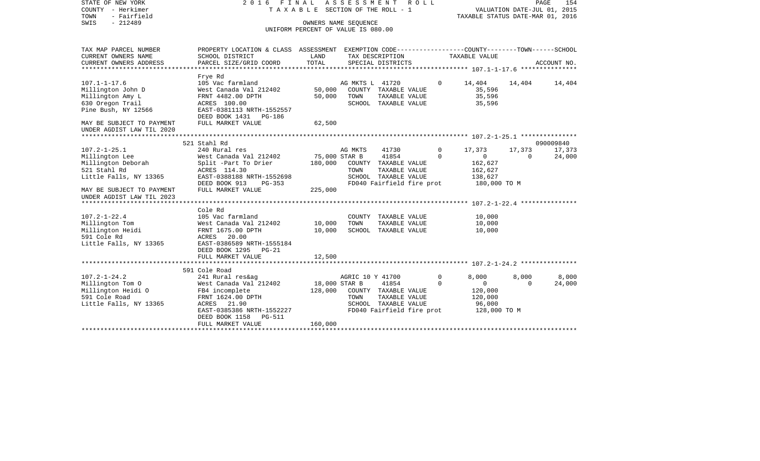| STATE OF NEW YORK<br>COUNTY - Herkimer<br>- Fairfield<br>TOWN<br>$-212489$<br>SWIS | 2016 FINAL ASSESSMENT                                                                          | TAXABLE SECTION OF THE ROLL - 1<br>OWNERS NAME SEOUENCE<br>UNIFORM PERCENT OF VALUE IS 080.00 |                  |                           | R O L L |             | TAXABLE STATUS DATE-MAR 01, 2016 | VALUATION DATE-JUL 01, 2015 | PAGE<br>154 |
|------------------------------------------------------------------------------------|------------------------------------------------------------------------------------------------|-----------------------------------------------------------------------------------------------|------------------|---------------------------|---------|-------------|----------------------------------|-----------------------------|-------------|
| TAX MAP PARCEL NUMBER                                                              | PROPERTY LOCATION & CLASS ASSESSMENT EXEMPTION CODE---------------COUNTY-------TOWN-----SCHOOL |                                                                                               |                  |                           |         |             |                                  |                             |             |
| CURRENT OWNERS NAME                                                                | SCHOOL DISTRICT                                                                                | LAND                                                                                          |                  | TAX DESCRIPTION           |         |             | TAXABLE VALUE                    |                             |             |
| CURRENT OWNERS ADDRESS                                                             | PARCEL SIZE/GRID COORD                                                                         | TOTAL                                                                                         |                  | SPECIAL DISTRICTS         |         |             |                                  |                             | ACCOUNT NO. |
|                                                                                    | Frye Rd                                                                                        |                                                                                               |                  |                           |         |             |                                  |                             |             |
| $107.1 - 1 - 17.6$                                                                 | 105 Vac farmland                                                                               |                                                                                               | AG MKTS L 41720  |                           |         | $\Omega$    | 14,404                           | 14,404                      | 14,404      |
| Millington John D                                                                  | West Canada Val 212402                                                                         | 50,000                                                                                        |                  | COUNTY TAXABLE VALUE      |         |             | 35,596                           |                             |             |
| Millington Amy L                                                                   | FRNT 4482.00 DPTH                                                                              | 50,000                                                                                        | TOWN             | TAXABLE VALUE             |         |             | 35,596                           |                             |             |
| 630 Oregon Trail                                                                   | ACRES 100.00                                                                                   |                                                                                               |                  | SCHOOL TAXABLE VALUE      |         |             | 35,596                           |                             |             |
| Pine Bush, NY 12566                                                                | EAST-0381113 NRTH-1552557                                                                      |                                                                                               |                  |                           |         |             |                                  |                             |             |
|                                                                                    | DEED BOOK 1431 PG-186                                                                          |                                                                                               |                  |                           |         |             |                                  |                             |             |
| MAY BE SUBJECT TO PAYMENT                                                          | FULL MARKET VALUE                                                                              | 62,500                                                                                        |                  |                           |         |             |                                  |                             |             |
| UNDER AGDIST LAW TIL 2020                                                          |                                                                                                |                                                                                               |                  |                           |         |             |                                  |                             |             |
|                                                                                    | 521 Stahl Rd                                                                                   |                                                                                               |                  |                           |         |             |                                  |                             | 090009840   |
| $107.2 - 1 - 25.1$                                                                 | 240 Rural res                                                                                  |                                                                                               | AG MKTS          | 41730                     |         | $\Omega$    | 17,373                           | 17,373                      | 17,373      |
| Millington Lee                                                                     | West Canada Val 212402                                                                         | 75,000 STAR B                                                                                 |                  | 41854                     |         | $\Omega$    | $\overline{0}$                   | $\Omega$                    | 24,000      |
| Millington Deborah                                                                 | Split -Part To Drier                                                                           | 180,000                                                                                       |                  | COUNTY TAXABLE VALUE      |         |             | 162,627                          |                             |             |
| 521 Stahl Rd                                                                       | ACRES 114.30                                                                                   |                                                                                               | TOWN             | TAXABLE VALUE             |         |             | 162,627                          |                             |             |
| Little Falls, NY 13365                                                             | EAST-0388188 NRTH-1552698                                                                      |                                                                                               |                  | SCHOOL TAXABLE VALUE      |         |             | 138,627                          |                             |             |
|                                                                                    | DEED BOOK 913<br>$PG-353$                                                                      |                                                                                               |                  | FD040 Fairfield fire prot |         |             | 180,000 TO M                     |                             |             |
| MAY BE SUBJECT TO PAYMENT<br>UNDER AGDIST LAW TIL 2023                             | FULL MARKET VALUE                                                                              | 225,000                                                                                       |                  |                           |         |             |                                  |                             |             |
|                                                                                    |                                                                                                |                                                                                               |                  |                           |         |             |                                  |                             |             |
|                                                                                    | Cole Rd                                                                                        |                                                                                               |                  |                           |         |             |                                  |                             |             |
| $107.2 - 1 - 22.4$                                                                 | 105 Vac farmland                                                                               |                                                                                               |                  | COUNTY TAXABLE VALUE      |         |             | 10,000                           |                             |             |
| Millington Tom                                                                     | West Canada Val 212402                                                                         | 10,000                                                                                        | TOWN             | TAXABLE VALUE             |         |             | 10,000                           |                             |             |
| Millington Heidi                                                                   | FRNT 1675.00 DPTH                                                                              | 10,000                                                                                        |                  | SCHOOL TAXABLE VALUE      |         |             | 10,000                           |                             |             |
| 591 Cole Rd                                                                        | ACRES 20.00                                                                                    |                                                                                               |                  |                           |         |             |                                  |                             |             |
| Little Falls, NY 13365                                                             | EAST-0386589 NRTH-1555184                                                                      |                                                                                               |                  |                           |         |             |                                  |                             |             |
|                                                                                    | DEED BOOK 1295 PG-21                                                                           |                                                                                               |                  |                           |         |             |                                  |                             |             |
|                                                                                    | FULL MARKET VALUE<br>***********************                                                   | 12,500<br>********                                                                            |                  |                           |         |             |                                  |                             |             |
|                                                                                    | 591 Cole Road                                                                                  |                                                                                               |                  |                           |         |             |                                  |                             |             |
| $107.2 - 1 - 24.2$                                                                 | 241 Rural res&ag                                                                               |                                                                                               | AGRIC 10 Y 41700 |                           |         | $\mathbf 0$ | 8,000                            | 8,000                       | 8,000       |
| Millington Tom O                                                                   | West Canada Val 212402                                                                         | 18,000 STAR B                                                                                 |                  | 41854                     |         | $\Omega$    | $\mathbf{0}$                     | $\Omega$                    | 24,000      |
| Millington Heidi O                                                                 | FB4 incomplete                                                                                 | 128,000                                                                                       |                  | COUNTY TAXABLE VALUE      |         |             | 120,000                          |                             |             |
| 591 Cole Road                                                                      | FRNT 1624.00 DPTH                                                                              |                                                                                               | TOWN             | TAXABLE VALUE             |         |             | 120,000                          |                             |             |
| Little Falls, NY 13365                                                             | ACRES 21.90                                                                                    |                                                                                               |                  | SCHOOL TAXABLE VALUE      |         |             | 96,000                           |                             |             |
|                                                                                    | EAST-0385386 NRTH-1552227                                                                      |                                                                                               |                  | FD040 Fairfield fire prot |         |             | 128,000 TO M                     |                             |             |
|                                                                                    | DEED BOOK 1158<br>PG-511                                                                       |                                                                                               |                  |                           |         |             |                                  |                             |             |
|                                                                                    | FULL MARKET VALUE                                                                              | 160,000                                                                                       |                  |                           |         |             |                                  |                             |             |
|                                                                                    |                                                                                                |                                                                                               |                  |                           |         |             |                                  |                             |             |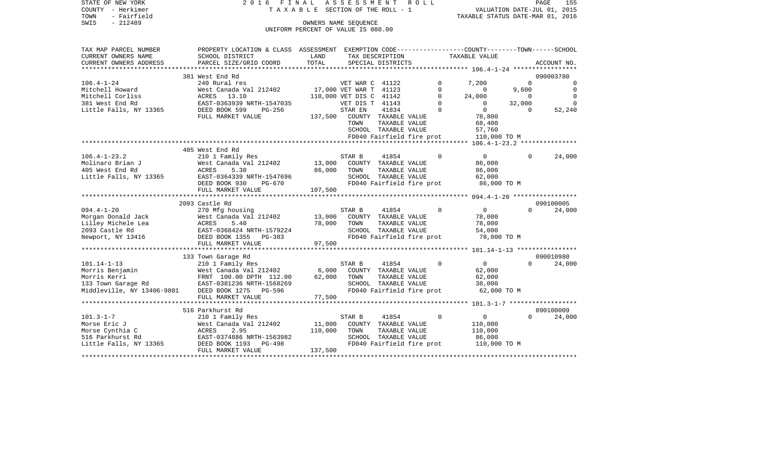| TOWN<br>- Fairfield<br>SWIS<br>$-212489$  |                                                                                                 |                                    | OWNERS NAME SEQUENCE    |                                       |          | TAXABLE STATUS DATE-MAR 01, 2016                             |             |                |
|-------------------------------------------|-------------------------------------------------------------------------------------------------|------------------------------------|-------------------------|---------------------------------------|----------|--------------------------------------------------------------|-------------|----------------|
|                                           |                                                                                                 | UNIFORM PERCENT OF VALUE IS 080.00 |                         |                                       |          |                                                              |             |                |
| TAX MAP PARCEL NUMBER                     | PROPERTY LOCATION & CLASS ASSESSMENT EXEMPTION CODE---------------COUNTY-------TOWN------SCHOOL |                                    |                         |                                       |          |                                                              |             |                |
| CURRENT OWNERS NAME                       | SCHOOL DISTRICT                                                                                 | LAND                               |                         | TAX DESCRIPTION                       |          | TAXABLE VALUE                                                |             |                |
| CURRENT OWNERS ADDRESS                    | PARCEL SIZE/GRID COORD                                                                          | TOTAL                              |                         | SPECIAL DISTRICTS                     |          |                                                              |             | ACCOUNT NO.    |
|                                           | **************************                                                                      |                                    |                         |                                       |          |                                                              |             |                |
|                                           | 381 West End Rd                                                                                 |                                    |                         |                                       |          |                                                              |             | 090003780      |
| $106.4 - 1 - 24$                          | 240 Rural res                                                                                   |                                    | VET WAR C 41122         |                                       |          | 7,200                                                        | $\mathbf 0$ | $\mathbf 0$    |
| Mitchell Howard                           | West Canada Val 212402                                                                          |                                    | 17,000 VET WAR T 41123  |                                       | $\Omega$ | 0                                                            | 9,600       | $\overline{0}$ |
| Mitchell Corliss                          | ACRES<br>13.10                                                                                  |                                    | 110,000 VET DIS C 41142 |                                       | $\Omega$ | 24,000                                                       | $\Omega$    | $\Omega$       |
| 381 West End Rd                           | EAST-0363939 NRTH-1547035                                                                       |                                    | VET DIS T 41143         |                                       | $\Omega$ | $\Omega$                                                     | 32,000      | $\Omega$       |
| Little Falls, NY 13365                    | DEED BOOK 599<br>$PG-256$                                                                       |                                    | STAR EN                 | 41834                                 | $\Omega$ | $\overline{0}$                                               | $\Omega$    | 52,240         |
|                                           | FULL MARKET VALUE                                                                               | 137,500                            |                         | COUNTY TAXABLE VALUE                  |          | 78,800                                                       |             |                |
|                                           |                                                                                                 |                                    | TOWN                    | TAXABLE VALUE                         |          | 68,400                                                       |             |                |
|                                           |                                                                                                 |                                    |                         | SCHOOL TAXABLE VALUE                  |          | 57,760                                                       |             |                |
|                                           |                                                                                                 |                                    |                         | FD040 Fairfield fire prot             |          | 110,000 TO M                                                 |             |                |
|                                           |                                                                                                 |                                    |                         |                                       |          | *************************    106.4-1-23.2    *************** |             |                |
|                                           | 405 West End Rd                                                                                 |                                    |                         |                                       |          |                                                              |             |                |
| $106.4 - 1 - 23.2$                        | 210 1 Family Res                                                                                |                                    | STAR B                  | 41854                                 | $\Omega$ | $\overline{0}$                                               | $\Omega$    | 24,000         |
| Molinaro Brian J                          | West Canada Val 212402                                                                          | 13,000                             |                         | COUNTY TAXABLE VALUE                  |          | 86,000                                                       |             |                |
| 405 West End Rd                           | ACRES<br>5.30                                                                                   | 86,000                             | TOWN                    | TAXABLE VALUE                         |          | 86,000                                                       |             |                |
| Little Falls, NY 13365                    | EAST-0364339 NRTH-1547696                                                                       |                                    |                         | SCHOOL TAXABLE VALUE                  |          | 62,000                                                       |             |                |
|                                           | DEED BOOK 930<br>PG-670                                                                         |                                    |                         | FD040 Fairfield fire prot             |          | 86,000 TO M                                                  |             |                |
|                                           | FULL MARKET VALUE<br>*****************************                                              | 107,500                            |                         |                                       |          |                                                              |             |                |
|                                           |                                                                                                 |                                    |                         |                                       |          |                                                              |             |                |
| $094.4 - 1 - 20$                          | 2093 Castle Rd                                                                                  |                                    | STAR B                  | 41854                                 | $\Omega$ | $\Omega$                                                     | $\Omega$    | 090100005      |
|                                           | 270 Mfg housing                                                                                 | 13,000                             |                         |                                       |          | 78,000                                                       |             | 24,000         |
| Morgan Donald Jack<br>Lilley Michele Lea  | West Canada Val 212402<br>ACRES<br>5.40                                                         | 78,000                             | TOWN                    | COUNTY TAXABLE VALUE<br>TAXABLE VALUE |          | 78,000                                                       |             |                |
| 2093 Castle Rd                            | EAST-0368424 NRTH-1579224                                                                       |                                    |                         | SCHOOL TAXABLE VALUE                  |          | 54,000                                                       |             |                |
| Newport, NY 13416                         | DEED BOOK 1355<br>$PG-383$                                                                      |                                    |                         | FD040 Fairfield fire prot             |          | 78,000 TO M                                                  |             |                |
|                                           | FULL MARKET VALUE                                                                               | 97,500                             |                         |                                       |          |                                                              |             |                |
|                                           | ******************************                                                                  |                                    |                         |                                       |          |                                                              |             |                |
|                                           | 133 Town Garage Rd                                                                              |                                    |                         |                                       |          |                                                              |             | 090010980      |
| $101.14 - 1 - 13$                         | 210 1 Family Res                                                                                |                                    | STAR B                  | 41854                                 | $\Omega$ | $\overline{0}$                                               | $\Omega$    | 24,000         |
| Morris Benjamin                           | West Canada Val 212402                                                                          | 6,000                              |                         | COUNTY TAXABLE VALUE                  |          | 62,000                                                       |             |                |
| Morris Kerri                              |                                                                                                 | 62,000                             | TOWN                    | TAXABLE VALUE                         |          | 62,000                                                       |             |                |
| 133 Town Garage Rd                        | FRNT 100.00 DPTH 112.00<br>EAST-0381236 NRTH-1568269                                            |                                    |                         | SCHOOL TAXABLE VALUE                  |          | 38,000                                                       |             |                |
| Middleville, NY 13406-9801 DEED BOOK 1275 | PG-596                                                                                          |                                    |                         | FD040 Fairfield fire prot             |          | 62,000 TO M                                                  |             |                |
|                                           | FULL MARKET VALUE                                                                               | 77,500                             |                         |                                       |          |                                                              |             |                |
|                                           |                                                                                                 |                                    |                         |                                       |          |                                                              |             |                |
|                                           | 516 Parkhurst Rd                                                                                |                                    |                         |                                       |          |                                                              |             | 090100009      |
| $101.3 - 1 - 7$                           | 210 1 Family Res                                                                                |                                    | STAR B                  | 41854                                 | $\Omega$ | $\mathbf{0}$                                                 | $\Omega$    | 24,000         |
| Morse Eric J                              | West Canada Val 212402                                                                          | 11,000                             |                         | COUNTY TAXABLE VALUE                  |          | 110,000                                                      |             |                |
| Morse Cynthia C                           | ACRES<br>2.95                                                                                   | 110,000                            | TOWN                    | TAXABLE VALUE                         |          | 110,000                                                      |             |                |
| 516 Parkhurst Rd                          | EAST-0374886 NRTH-1563982                                                                       |                                    |                         | SCHOOL TAXABLE VALUE                  |          | 86,000                                                       |             |                |
| Little Falls, NY 13365                    | DEED BOOK 1193<br>PG-498                                                                        |                                    |                         | FD040 Fairfield fire prot             |          | 110,000 TO M                                                 |             |                |
|                                           | FULL MARKET VALUE                                                                               | 137,500                            |                         |                                       |          |                                                              |             |                |
|                                           |                                                                                                 |                                    |                         |                                       |          |                                                              |             |                |

STATE OF NEW YORK 2 0 1 6 F I N A L A S S E S S M E N T R O L L PAGE 155 COUNTY - Herkimer T A X A B L E SECTION OF THE ROLL - 1 VALUATION DATE-JUL 01, 2015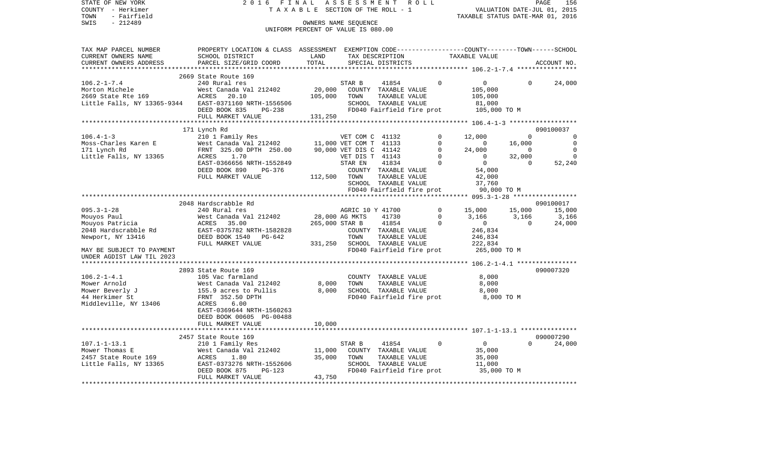| TAXABLE SECTION OF THE ROLL - 1<br>VALUATION DATE-JUL 01, 2015<br>TAXABLE STATUS DATE-MAR 01, 2016<br>- Fairfield<br>$-212489$<br>OWNERS NAME SEQUENCE<br>UNIFORM PERCENT OF VALUE IS 080.00<br>TAX MAP PARCEL NUMBER<br>PROPERTY LOCATION & CLASS ASSESSMENT<br>EXEMPTION CODE-----------------COUNTY-------TOWN------SCHOOL<br>CURRENT OWNERS NAME<br>SCHOOL DISTRICT<br>LAND<br>TAX DESCRIPTION<br>TAXABLE VALUE<br>CURRENT OWNERS ADDRESS<br>PARCEL SIZE/GRID COORD<br>TOTAL<br>SPECIAL DISTRICTS<br>ACCOUNT NO.<br>2669 State Route 169<br>240 Rural res<br>0<br>$\mathbf 0$<br>STAR B<br>41854<br>$\Omega$<br>24,000<br>20,000<br>West Canada Val 212402<br>COUNTY TAXABLE VALUE<br>105,000<br>105,000<br>ACRES<br>20.10<br>TOWN<br>TAXABLE VALUE<br>105,000<br>EAST-0371160 NRTH-1556506<br>SCHOOL TAXABLE VALUE<br>81,000<br>FD040 Fairfield fire prot<br>DEED BOOK 835<br>105,000 TO M<br>PG-238<br>131,250<br>FULL MARKET VALUE<br>********************************<br>171 Lynch Rd<br>090100037<br>$106.4 - 1 - 3$<br>210 1 Family Res<br>$\Omega$<br>12,000<br>$\Omega$<br>$\Omega$<br>VET COM C 41132<br>Moss-Charles Karen E<br>West Canada Val 212402<br>11,000 VET COM T 41133<br>$\mathbf 0$<br>$\overline{0}$<br>16,000<br>$\mathbf 0$<br>$\Omega$<br>171 Lynch Rd<br>FRNT 325.00 DPTH 250.00<br>90,000 VET DIS C 41142<br>$\mathbf 0$<br>24,000<br>$\mathbf 0$<br>Little Falls, NY 13365<br>1.70<br>VET DIS T 41143<br>$\mathbf 0$<br>$\mathbf 0$<br>32,000<br>$\overline{0}$<br>ACRES<br>$\Omega$<br>$\overline{0}$<br>EAST-0366656 NRTH-1552849<br>41834<br>$\Omega$<br>52,240<br>STAR EN<br>DEED BOOK 890<br>COUNTY TAXABLE VALUE<br>PG-376<br>54,000<br>FULL MARKET VALUE<br>112,500<br>TAXABLE VALUE<br>TOWN<br>42,000<br>37,760<br>SCHOOL TAXABLE VALUE<br>FD040 Fairfield fire prot<br>90,000 TO M<br>2048 Hardscrabble Rd<br>090100017<br>$\Omega$<br>15,000<br>240 Rural res<br>AGRIC 10 Y 41700<br>15,000<br>15,000<br>28,000 AG MKTS<br>41730<br>$\Omega$<br>West Canada Val 212402<br>3,166<br>3,166<br>3,166<br>35.00<br>265,000 STAR B<br>41854<br>24,000<br>ACRES<br>$\Omega$<br>$\mathbf{0}$<br>$\Omega$<br>2048 Hardscrabble Rd<br>EAST-0375782 NRTH-1582828<br>246,834<br>COUNTY TAXABLE VALUE<br>DEED BOOK 1540<br>TOWN<br>TAXABLE VALUE<br>Newport, NY 13416<br>PG-642<br>246,834<br>FULL MARKET VALUE<br>331,250<br>SCHOOL TAXABLE VALUE<br>222,834<br>FD040 Fairfield fire prot<br>265,000 TO M<br>MAY BE SUBJECT TO PAYMENT<br>UNDER AGDIST LAW TIL 2023<br>2893 State Route 169<br>090007320<br>$106.2 - 1 - 4.1$<br>105 Vac farmland<br>8,000<br>COUNTY TAXABLE VALUE<br>8,000<br>TAXABLE VALUE<br>8,000<br>Mower Arnold<br>West Canada Val 212402<br>TOWN<br>Mower Beverly J<br>8,000<br>SCHOOL TAXABLE VALUE<br>155.9 acres to Pullis<br>8,000<br>44 Herkimer St<br>FRNT 352.50 DPTH<br>FD040 Fairfield fire prot<br>8,000 TO M<br>ACRES<br>6.00<br>EAST-0369644 NRTH-1560263<br>DEED BOOK 00605 PG-00488<br>FULL MARKET VALUE<br>10,000<br>*************************<br>090007290<br>2457 State Route 169<br>41854<br>$\Omega$<br>$\mathbf{0}$<br>$\Omega$<br>24,000<br>210 1 Family Res<br>STAR B<br>Mower Thomas E<br>West Canada Val 212402<br>11,000<br>COUNTY TAXABLE VALUE<br>35,000<br>2457 State Route 169<br>ACRES<br>1.80<br>35,000<br>TOWN<br>TAXABLE VALUE<br>35,000<br>Little Falls, NY 13365<br>EAST-0373276 NRTH-1552606<br>SCHOOL TAXABLE VALUE<br>11,000<br>DEED BOOK 875<br>35,000 TO M<br>$PG-123$<br>FD040 Fairfield fire prot<br>43,750<br>FULL MARKET VALUE | STATE OF NEW YORK           | 2016<br>FINAL | ASSESSMENT | R O L L |  | PAGE<br>156 |
|----------------------------------------------------------------------------------------------------------------------------------------------------------------------------------------------------------------------------------------------------------------------------------------------------------------------------------------------------------------------------------------------------------------------------------------------------------------------------------------------------------------------------------------------------------------------------------------------------------------------------------------------------------------------------------------------------------------------------------------------------------------------------------------------------------------------------------------------------------------------------------------------------------------------------------------------------------------------------------------------------------------------------------------------------------------------------------------------------------------------------------------------------------------------------------------------------------------------------------------------------------------------------------------------------------------------------------------------------------------------------------------------------------------------------------------------------------------------------------------------------------------------------------------------------------------------------------------------------------------------------------------------------------------------------------------------------------------------------------------------------------------------------------------------------------------------------------------------------------------------------------------------------------------------------------------------------------------------------------------------------------------------------------------------------------------------------------------------------------------------------------------------------------------------------------------------------------------------------------------------------------------------------------------------------------------------------------------------------------------------------------------------------------------------------------------------------------------------------------------------------------------------------------------------------------------------------------------------------------------------------------------------------------------------------------------------------------------------------------------------------------------------------------------------------------------------------------------------------------------------------------------------------------------------------------------------------------------------------------------------------------------------------------------------------------------------------------------------------------------------------------------------------------------------------------------------------------------------------------------------------------------------------------------------------------------------------------------------------------------------------------------------------------------------------------------------------------------------------------------------------------------------------------|-----------------------------|---------------|------------|---------|--|-------------|
|                                                                                                                                                                                                                                                                                                                                                                                                                                                                                                                                                                                                                                                                                                                                                                                                                                                                                                                                                                                                                                                                                                                                                                                                                                                                                                                                                                                                                                                                                                                                                                                                                                                                                                                                                                                                                                                                                                                                                                                                                                                                                                                                                                                                                                                                                                                                                                                                                                                                                                                                                                                                                                                                                                                                                                                                                                                                                                                                                                                                                                                                                                                                                                                                                                                                                                                                                                                                                                                                                                                                  | COUNTY - Herkimer           |               |            |         |  |             |
|                                                                                                                                                                                                                                                                                                                                                                                                                                                                                                                                                                                                                                                                                                                                                                                                                                                                                                                                                                                                                                                                                                                                                                                                                                                                                                                                                                                                                                                                                                                                                                                                                                                                                                                                                                                                                                                                                                                                                                                                                                                                                                                                                                                                                                                                                                                                                                                                                                                                                                                                                                                                                                                                                                                                                                                                                                                                                                                                                                                                                                                                                                                                                                                                                                                                                                                                                                                                                                                                                                                                  | TOWN                        |               |            |         |  |             |
|                                                                                                                                                                                                                                                                                                                                                                                                                                                                                                                                                                                                                                                                                                                                                                                                                                                                                                                                                                                                                                                                                                                                                                                                                                                                                                                                                                                                                                                                                                                                                                                                                                                                                                                                                                                                                                                                                                                                                                                                                                                                                                                                                                                                                                                                                                                                                                                                                                                                                                                                                                                                                                                                                                                                                                                                                                                                                                                                                                                                                                                                                                                                                                                                                                                                                                                                                                                                                                                                                                                                  | SWIS                        |               |            |         |  |             |
|                                                                                                                                                                                                                                                                                                                                                                                                                                                                                                                                                                                                                                                                                                                                                                                                                                                                                                                                                                                                                                                                                                                                                                                                                                                                                                                                                                                                                                                                                                                                                                                                                                                                                                                                                                                                                                                                                                                                                                                                                                                                                                                                                                                                                                                                                                                                                                                                                                                                                                                                                                                                                                                                                                                                                                                                                                                                                                                                                                                                                                                                                                                                                                                                                                                                                                                                                                                                                                                                                                                                  |                             |               |            |         |  |             |
|                                                                                                                                                                                                                                                                                                                                                                                                                                                                                                                                                                                                                                                                                                                                                                                                                                                                                                                                                                                                                                                                                                                                                                                                                                                                                                                                                                                                                                                                                                                                                                                                                                                                                                                                                                                                                                                                                                                                                                                                                                                                                                                                                                                                                                                                                                                                                                                                                                                                                                                                                                                                                                                                                                                                                                                                                                                                                                                                                                                                                                                                                                                                                                                                                                                                                                                                                                                                                                                                                                                                  |                             |               |            |         |  |             |
|                                                                                                                                                                                                                                                                                                                                                                                                                                                                                                                                                                                                                                                                                                                                                                                                                                                                                                                                                                                                                                                                                                                                                                                                                                                                                                                                                                                                                                                                                                                                                                                                                                                                                                                                                                                                                                                                                                                                                                                                                                                                                                                                                                                                                                                                                                                                                                                                                                                                                                                                                                                                                                                                                                                                                                                                                                                                                                                                                                                                                                                                                                                                                                                                                                                                                                                                                                                                                                                                                                                                  |                             |               |            |         |  |             |
|                                                                                                                                                                                                                                                                                                                                                                                                                                                                                                                                                                                                                                                                                                                                                                                                                                                                                                                                                                                                                                                                                                                                                                                                                                                                                                                                                                                                                                                                                                                                                                                                                                                                                                                                                                                                                                                                                                                                                                                                                                                                                                                                                                                                                                                                                                                                                                                                                                                                                                                                                                                                                                                                                                                                                                                                                                                                                                                                                                                                                                                                                                                                                                                                                                                                                                                                                                                                                                                                                                                                  |                             |               |            |         |  |             |
|                                                                                                                                                                                                                                                                                                                                                                                                                                                                                                                                                                                                                                                                                                                                                                                                                                                                                                                                                                                                                                                                                                                                                                                                                                                                                                                                                                                                                                                                                                                                                                                                                                                                                                                                                                                                                                                                                                                                                                                                                                                                                                                                                                                                                                                                                                                                                                                                                                                                                                                                                                                                                                                                                                                                                                                                                                                                                                                                                                                                                                                                                                                                                                                                                                                                                                                                                                                                                                                                                                                                  | ***********************     |               |            |         |  |             |
|                                                                                                                                                                                                                                                                                                                                                                                                                                                                                                                                                                                                                                                                                                                                                                                                                                                                                                                                                                                                                                                                                                                                                                                                                                                                                                                                                                                                                                                                                                                                                                                                                                                                                                                                                                                                                                                                                                                                                                                                                                                                                                                                                                                                                                                                                                                                                                                                                                                                                                                                                                                                                                                                                                                                                                                                                                                                                                                                                                                                                                                                                                                                                                                                                                                                                                                                                                                                                                                                                                                                  |                             |               |            |         |  |             |
|                                                                                                                                                                                                                                                                                                                                                                                                                                                                                                                                                                                                                                                                                                                                                                                                                                                                                                                                                                                                                                                                                                                                                                                                                                                                                                                                                                                                                                                                                                                                                                                                                                                                                                                                                                                                                                                                                                                                                                                                                                                                                                                                                                                                                                                                                                                                                                                                                                                                                                                                                                                                                                                                                                                                                                                                                                                                                                                                                                                                                                                                                                                                                                                                                                                                                                                                                                                                                                                                                                                                  | $106.2 - 1 - 7.4$           |               |            |         |  |             |
|                                                                                                                                                                                                                                                                                                                                                                                                                                                                                                                                                                                                                                                                                                                                                                                                                                                                                                                                                                                                                                                                                                                                                                                                                                                                                                                                                                                                                                                                                                                                                                                                                                                                                                                                                                                                                                                                                                                                                                                                                                                                                                                                                                                                                                                                                                                                                                                                                                                                                                                                                                                                                                                                                                                                                                                                                                                                                                                                                                                                                                                                                                                                                                                                                                                                                                                                                                                                                                                                                                                                  | Morton Michele              |               |            |         |  |             |
|                                                                                                                                                                                                                                                                                                                                                                                                                                                                                                                                                                                                                                                                                                                                                                                                                                                                                                                                                                                                                                                                                                                                                                                                                                                                                                                                                                                                                                                                                                                                                                                                                                                                                                                                                                                                                                                                                                                                                                                                                                                                                                                                                                                                                                                                                                                                                                                                                                                                                                                                                                                                                                                                                                                                                                                                                                                                                                                                                                                                                                                                                                                                                                                                                                                                                                                                                                                                                                                                                                                                  | 2669 State Rte 169          |               |            |         |  |             |
|                                                                                                                                                                                                                                                                                                                                                                                                                                                                                                                                                                                                                                                                                                                                                                                                                                                                                                                                                                                                                                                                                                                                                                                                                                                                                                                                                                                                                                                                                                                                                                                                                                                                                                                                                                                                                                                                                                                                                                                                                                                                                                                                                                                                                                                                                                                                                                                                                                                                                                                                                                                                                                                                                                                                                                                                                                                                                                                                                                                                                                                                                                                                                                                                                                                                                                                                                                                                                                                                                                                                  | Little Falls, NY 13365-9344 |               |            |         |  |             |
|                                                                                                                                                                                                                                                                                                                                                                                                                                                                                                                                                                                                                                                                                                                                                                                                                                                                                                                                                                                                                                                                                                                                                                                                                                                                                                                                                                                                                                                                                                                                                                                                                                                                                                                                                                                                                                                                                                                                                                                                                                                                                                                                                                                                                                                                                                                                                                                                                                                                                                                                                                                                                                                                                                                                                                                                                                                                                                                                                                                                                                                                                                                                                                                                                                                                                                                                                                                                                                                                                                                                  |                             |               |            |         |  |             |
|                                                                                                                                                                                                                                                                                                                                                                                                                                                                                                                                                                                                                                                                                                                                                                                                                                                                                                                                                                                                                                                                                                                                                                                                                                                                                                                                                                                                                                                                                                                                                                                                                                                                                                                                                                                                                                                                                                                                                                                                                                                                                                                                                                                                                                                                                                                                                                                                                                                                                                                                                                                                                                                                                                                                                                                                                                                                                                                                                                                                                                                                                                                                                                                                                                                                                                                                                                                                                                                                                                                                  |                             |               |            |         |  |             |
|                                                                                                                                                                                                                                                                                                                                                                                                                                                                                                                                                                                                                                                                                                                                                                                                                                                                                                                                                                                                                                                                                                                                                                                                                                                                                                                                                                                                                                                                                                                                                                                                                                                                                                                                                                                                                                                                                                                                                                                                                                                                                                                                                                                                                                                                                                                                                                                                                                                                                                                                                                                                                                                                                                                                                                                                                                                                                                                                                                                                                                                                                                                                                                                                                                                                                                                                                                                                                                                                                                                                  |                             |               |            |         |  |             |
|                                                                                                                                                                                                                                                                                                                                                                                                                                                                                                                                                                                                                                                                                                                                                                                                                                                                                                                                                                                                                                                                                                                                                                                                                                                                                                                                                                                                                                                                                                                                                                                                                                                                                                                                                                                                                                                                                                                                                                                                                                                                                                                                                                                                                                                                                                                                                                                                                                                                                                                                                                                                                                                                                                                                                                                                                                                                                                                                                                                                                                                                                                                                                                                                                                                                                                                                                                                                                                                                                                                                  |                             |               |            |         |  |             |
|                                                                                                                                                                                                                                                                                                                                                                                                                                                                                                                                                                                                                                                                                                                                                                                                                                                                                                                                                                                                                                                                                                                                                                                                                                                                                                                                                                                                                                                                                                                                                                                                                                                                                                                                                                                                                                                                                                                                                                                                                                                                                                                                                                                                                                                                                                                                                                                                                                                                                                                                                                                                                                                                                                                                                                                                                                                                                                                                                                                                                                                                                                                                                                                                                                                                                                                                                                                                                                                                                                                                  |                             |               |            |         |  |             |
|                                                                                                                                                                                                                                                                                                                                                                                                                                                                                                                                                                                                                                                                                                                                                                                                                                                                                                                                                                                                                                                                                                                                                                                                                                                                                                                                                                                                                                                                                                                                                                                                                                                                                                                                                                                                                                                                                                                                                                                                                                                                                                                                                                                                                                                                                                                                                                                                                                                                                                                                                                                                                                                                                                                                                                                                                                                                                                                                                                                                                                                                                                                                                                                                                                                                                                                                                                                                                                                                                                                                  |                             |               |            |         |  |             |
|                                                                                                                                                                                                                                                                                                                                                                                                                                                                                                                                                                                                                                                                                                                                                                                                                                                                                                                                                                                                                                                                                                                                                                                                                                                                                                                                                                                                                                                                                                                                                                                                                                                                                                                                                                                                                                                                                                                                                                                                                                                                                                                                                                                                                                                                                                                                                                                                                                                                                                                                                                                                                                                                                                                                                                                                                                                                                                                                                                                                                                                                                                                                                                                                                                                                                                                                                                                                                                                                                                                                  |                             |               |            |         |  |             |
|                                                                                                                                                                                                                                                                                                                                                                                                                                                                                                                                                                                                                                                                                                                                                                                                                                                                                                                                                                                                                                                                                                                                                                                                                                                                                                                                                                                                                                                                                                                                                                                                                                                                                                                                                                                                                                                                                                                                                                                                                                                                                                                                                                                                                                                                                                                                                                                                                                                                                                                                                                                                                                                                                                                                                                                                                                                                                                                                                                                                                                                                                                                                                                                                                                                                                                                                                                                                                                                                                                                                  |                             |               |            |         |  |             |
|                                                                                                                                                                                                                                                                                                                                                                                                                                                                                                                                                                                                                                                                                                                                                                                                                                                                                                                                                                                                                                                                                                                                                                                                                                                                                                                                                                                                                                                                                                                                                                                                                                                                                                                                                                                                                                                                                                                                                                                                                                                                                                                                                                                                                                                                                                                                                                                                                                                                                                                                                                                                                                                                                                                                                                                                                                                                                                                                                                                                                                                                                                                                                                                                                                                                                                                                                                                                                                                                                                                                  |                             |               |            |         |  |             |
|                                                                                                                                                                                                                                                                                                                                                                                                                                                                                                                                                                                                                                                                                                                                                                                                                                                                                                                                                                                                                                                                                                                                                                                                                                                                                                                                                                                                                                                                                                                                                                                                                                                                                                                                                                                                                                                                                                                                                                                                                                                                                                                                                                                                                                                                                                                                                                                                                                                                                                                                                                                                                                                                                                                                                                                                                                                                                                                                                                                                                                                                                                                                                                                                                                                                                                                                                                                                                                                                                                                                  |                             |               |            |         |  |             |
|                                                                                                                                                                                                                                                                                                                                                                                                                                                                                                                                                                                                                                                                                                                                                                                                                                                                                                                                                                                                                                                                                                                                                                                                                                                                                                                                                                                                                                                                                                                                                                                                                                                                                                                                                                                                                                                                                                                                                                                                                                                                                                                                                                                                                                                                                                                                                                                                                                                                                                                                                                                                                                                                                                                                                                                                                                                                                                                                                                                                                                                                                                                                                                                                                                                                                                                                                                                                                                                                                                                                  |                             |               |            |         |  |             |
|                                                                                                                                                                                                                                                                                                                                                                                                                                                                                                                                                                                                                                                                                                                                                                                                                                                                                                                                                                                                                                                                                                                                                                                                                                                                                                                                                                                                                                                                                                                                                                                                                                                                                                                                                                                                                                                                                                                                                                                                                                                                                                                                                                                                                                                                                                                                                                                                                                                                                                                                                                                                                                                                                                                                                                                                                                                                                                                                                                                                                                                                                                                                                                                                                                                                                                                                                                                                                                                                                                                                  |                             |               |            |         |  |             |
|                                                                                                                                                                                                                                                                                                                                                                                                                                                                                                                                                                                                                                                                                                                                                                                                                                                                                                                                                                                                                                                                                                                                                                                                                                                                                                                                                                                                                                                                                                                                                                                                                                                                                                                                                                                                                                                                                                                                                                                                                                                                                                                                                                                                                                                                                                                                                                                                                                                                                                                                                                                                                                                                                                                                                                                                                                                                                                                                                                                                                                                                                                                                                                                                                                                                                                                                                                                                                                                                                                                                  |                             |               |            |         |  |             |
|                                                                                                                                                                                                                                                                                                                                                                                                                                                                                                                                                                                                                                                                                                                                                                                                                                                                                                                                                                                                                                                                                                                                                                                                                                                                                                                                                                                                                                                                                                                                                                                                                                                                                                                                                                                                                                                                                                                                                                                                                                                                                                                                                                                                                                                                                                                                                                                                                                                                                                                                                                                                                                                                                                                                                                                                                                                                                                                                                                                                                                                                                                                                                                                                                                                                                                                                                                                                                                                                                                                                  |                             |               |            |         |  |             |
|                                                                                                                                                                                                                                                                                                                                                                                                                                                                                                                                                                                                                                                                                                                                                                                                                                                                                                                                                                                                                                                                                                                                                                                                                                                                                                                                                                                                                                                                                                                                                                                                                                                                                                                                                                                                                                                                                                                                                                                                                                                                                                                                                                                                                                                                                                                                                                                                                                                                                                                                                                                                                                                                                                                                                                                                                                                                                                                                                                                                                                                                                                                                                                                                                                                                                                                                                                                                                                                                                                                                  | $095.3 - 1 - 28$            |               |            |         |  |             |
|                                                                                                                                                                                                                                                                                                                                                                                                                                                                                                                                                                                                                                                                                                                                                                                                                                                                                                                                                                                                                                                                                                                                                                                                                                                                                                                                                                                                                                                                                                                                                                                                                                                                                                                                                                                                                                                                                                                                                                                                                                                                                                                                                                                                                                                                                                                                                                                                                                                                                                                                                                                                                                                                                                                                                                                                                                                                                                                                                                                                                                                                                                                                                                                                                                                                                                                                                                                                                                                                                                                                  | Mouyos Paul                 |               |            |         |  |             |
|                                                                                                                                                                                                                                                                                                                                                                                                                                                                                                                                                                                                                                                                                                                                                                                                                                                                                                                                                                                                                                                                                                                                                                                                                                                                                                                                                                                                                                                                                                                                                                                                                                                                                                                                                                                                                                                                                                                                                                                                                                                                                                                                                                                                                                                                                                                                                                                                                                                                                                                                                                                                                                                                                                                                                                                                                                                                                                                                                                                                                                                                                                                                                                                                                                                                                                                                                                                                                                                                                                                                  | Mouyos Patricia             |               |            |         |  |             |
|                                                                                                                                                                                                                                                                                                                                                                                                                                                                                                                                                                                                                                                                                                                                                                                                                                                                                                                                                                                                                                                                                                                                                                                                                                                                                                                                                                                                                                                                                                                                                                                                                                                                                                                                                                                                                                                                                                                                                                                                                                                                                                                                                                                                                                                                                                                                                                                                                                                                                                                                                                                                                                                                                                                                                                                                                                                                                                                                                                                                                                                                                                                                                                                                                                                                                                                                                                                                                                                                                                                                  |                             |               |            |         |  |             |
|                                                                                                                                                                                                                                                                                                                                                                                                                                                                                                                                                                                                                                                                                                                                                                                                                                                                                                                                                                                                                                                                                                                                                                                                                                                                                                                                                                                                                                                                                                                                                                                                                                                                                                                                                                                                                                                                                                                                                                                                                                                                                                                                                                                                                                                                                                                                                                                                                                                                                                                                                                                                                                                                                                                                                                                                                                                                                                                                                                                                                                                                                                                                                                                                                                                                                                                                                                                                                                                                                                                                  |                             |               |            |         |  |             |
|                                                                                                                                                                                                                                                                                                                                                                                                                                                                                                                                                                                                                                                                                                                                                                                                                                                                                                                                                                                                                                                                                                                                                                                                                                                                                                                                                                                                                                                                                                                                                                                                                                                                                                                                                                                                                                                                                                                                                                                                                                                                                                                                                                                                                                                                                                                                                                                                                                                                                                                                                                                                                                                                                                                                                                                                                                                                                                                                                                                                                                                                                                                                                                                                                                                                                                                                                                                                                                                                                                                                  |                             |               |            |         |  |             |
|                                                                                                                                                                                                                                                                                                                                                                                                                                                                                                                                                                                                                                                                                                                                                                                                                                                                                                                                                                                                                                                                                                                                                                                                                                                                                                                                                                                                                                                                                                                                                                                                                                                                                                                                                                                                                                                                                                                                                                                                                                                                                                                                                                                                                                                                                                                                                                                                                                                                                                                                                                                                                                                                                                                                                                                                                                                                                                                                                                                                                                                                                                                                                                                                                                                                                                                                                                                                                                                                                                                                  |                             |               |            |         |  |             |
|                                                                                                                                                                                                                                                                                                                                                                                                                                                                                                                                                                                                                                                                                                                                                                                                                                                                                                                                                                                                                                                                                                                                                                                                                                                                                                                                                                                                                                                                                                                                                                                                                                                                                                                                                                                                                                                                                                                                                                                                                                                                                                                                                                                                                                                                                                                                                                                                                                                                                                                                                                                                                                                                                                                                                                                                                                                                                                                                                                                                                                                                                                                                                                                                                                                                                                                                                                                                                                                                                                                                  |                             |               |            |         |  |             |
|                                                                                                                                                                                                                                                                                                                                                                                                                                                                                                                                                                                                                                                                                                                                                                                                                                                                                                                                                                                                                                                                                                                                                                                                                                                                                                                                                                                                                                                                                                                                                                                                                                                                                                                                                                                                                                                                                                                                                                                                                                                                                                                                                                                                                                                                                                                                                                                                                                                                                                                                                                                                                                                                                                                                                                                                                                                                                                                                                                                                                                                                                                                                                                                                                                                                                                                                                                                                                                                                                                                                  |                             |               |            |         |  |             |
|                                                                                                                                                                                                                                                                                                                                                                                                                                                                                                                                                                                                                                                                                                                                                                                                                                                                                                                                                                                                                                                                                                                                                                                                                                                                                                                                                                                                                                                                                                                                                                                                                                                                                                                                                                                                                                                                                                                                                                                                                                                                                                                                                                                                                                                                                                                                                                                                                                                                                                                                                                                                                                                                                                                                                                                                                                                                                                                                                                                                                                                                                                                                                                                                                                                                                                                                                                                                                                                                                                                                  |                             |               |            |         |  |             |
|                                                                                                                                                                                                                                                                                                                                                                                                                                                                                                                                                                                                                                                                                                                                                                                                                                                                                                                                                                                                                                                                                                                                                                                                                                                                                                                                                                                                                                                                                                                                                                                                                                                                                                                                                                                                                                                                                                                                                                                                                                                                                                                                                                                                                                                                                                                                                                                                                                                                                                                                                                                                                                                                                                                                                                                                                                                                                                                                                                                                                                                                                                                                                                                                                                                                                                                                                                                                                                                                                                                                  |                             |               |            |         |  |             |
|                                                                                                                                                                                                                                                                                                                                                                                                                                                                                                                                                                                                                                                                                                                                                                                                                                                                                                                                                                                                                                                                                                                                                                                                                                                                                                                                                                                                                                                                                                                                                                                                                                                                                                                                                                                                                                                                                                                                                                                                                                                                                                                                                                                                                                                                                                                                                                                                                                                                                                                                                                                                                                                                                                                                                                                                                                                                                                                                                                                                                                                                                                                                                                                                                                                                                                                                                                                                                                                                                                                                  |                             |               |            |         |  |             |
|                                                                                                                                                                                                                                                                                                                                                                                                                                                                                                                                                                                                                                                                                                                                                                                                                                                                                                                                                                                                                                                                                                                                                                                                                                                                                                                                                                                                                                                                                                                                                                                                                                                                                                                                                                                                                                                                                                                                                                                                                                                                                                                                                                                                                                                                                                                                                                                                                                                                                                                                                                                                                                                                                                                                                                                                                                                                                                                                                                                                                                                                                                                                                                                                                                                                                                                                                                                                                                                                                                                                  |                             |               |            |         |  |             |
|                                                                                                                                                                                                                                                                                                                                                                                                                                                                                                                                                                                                                                                                                                                                                                                                                                                                                                                                                                                                                                                                                                                                                                                                                                                                                                                                                                                                                                                                                                                                                                                                                                                                                                                                                                                                                                                                                                                                                                                                                                                                                                                                                                                                                                                                                                                                                                                                                                                                                                                                                                                                                                                                                                                                                                                                                                                                                                                                                                                                                                                                                                                                                                                                                                                                                                                                                                                                                                                                                                                                  | Middleville, NY 13406       |               |            |         |  |             |
|                                                                                                                                                                                                                                                                                                                                                                                                                                                                                                                                                                                                                                                                                                                                                                                                                                                                                                                                                                                                                                                                                                                                                                                                                                                                                                                                                                                                                                                                                                                                                                                                                                                                                                                                                                                                                                                                                                                                                                                                                                                                                                                                                                                                                                                                                                                                                                                                                                                                                                                                                                                                                                                                                                                                                                                                                                                                                                                                                                                                                                                                                                                                                                                                                                                                                                                                                                                                                                                                                                                                  |                             |               |            |         |  |             |
|                                                                                                                                                                                                                                                                                                                                                                                                                                                                                                                                                                                                                                                                                                                                                                                                                                                                                                                                                                                                                                                                                                                                                                                                                                                                                                                                                                                                                                                                                                                                                                                                                                                                                                                                                                                                                                                                                                                                                                                                                                                                                                                                                                                                                                                                                                                                                                                                                                                                                                                                                                                                                                                                                                                                                                                                                                                                                                                                                                                                                                                                                                                                                                                                                                                                                                                                                                                                                                                                                                                                  |                             |               |            |         |  |             |
|                                                                                                                                                                                                                                                                                                                                                                                                                                                                                                                                                                                                                                                                                                                                                                                                                                                                                                                                                                                                                                                                                                                                                                                                                                                                                                                                                                                                                                                                                                                                                                                                                                                                                                                                                                                                                                                                                                                                                                                                                                                                                                                                                                                                                                                                                                                                                                                                                                                                                                                                                                                                                                                                                                                                                                                                                                                                                                                                                                                                                                                                                                                                                                                                                                                                                                                                                                                                                                                                                                                                  |                             |               |            |         |  |             |
|                                                                                                                                                                                                                                                                                                                                                                                                                                                                                                                                                                                                                                                                                                                                                                                                                                                                                                                                                                                                                                                                                                                                                                                                                                                                                                                                                                                                                                                                                                                                                                                                                                                                                                                                                                                                                                                                                                                                                                                                                                                                                                                                                                                                                                                                                                                                                                                                                                                                                                                                                                                                                                                                                                                                                                                                                                                                                                                                                                                                                                                                                                                                                                                                                                                                                                                                                                                                                                                                                                                                  |                             |               |            |         |  |             |
|                                                                                                                                                                                                                                                                                                                                                                                                                                                                                                                                                                                                                                                                                                                                                                                                                                                                                                                                                                                                                                                                                                                                                                                                                                                                                                                                                                                                                                                                                                                                                                                                                                                                                                                                                                                                                                                                                                                                                                                                                                                                                                                                                                                                                                                                                                                                                                                                                                                                                                                                                                                                                                                                                                                                                                                                                                                                                                                                                                                                                                                                                                                                                                                                                                                                                                                                                                                                                                                                                                                                  |                             |               |            |         |  |             |
|                                                                                                                                                                                                                                                                                                                                                                                                                                                                                                                                                                                                                                                                                                                                                                                                                                                                                                                                                                                                                                                                                                                                                                                                                                                                                                                                                                                                                                                                                                                                                                                                                                                                                                                                                                                                                                                                                                                                                                                                                                                                                                                                                                                                                                                                                                                                                                                                                                                                                                                                                                                                                                                                                                                                                                                                                                                                                                                                                                                                                                                                                                                                                                                                                                                                                                                                                                                                                                                                                                                                  | $107.1 - 1 - 13.1$          |               |            |         |  |             |
|                                                                                                                                                                                                                                                                                                                                                                                                                                                                                                                                                                                                                                                                                                                                                                                                                                                                                                                                                                                                                                                                                                                                                                                                                                                                                                                                                                                                                                                                                                                                                                                                                                                                                                                                                                                                                                                                                                                                                                                                                                                                                                                                                                                                                                                                                                                                                                                                                                                                                                                                                                                                                                                                                                                                                                                                                                                                                                                                                                                                                                                                                                                                                                                                                                                                                                                                                                                                                                                                                                                                  |                             |               |            |         |  |             |
|                                                                                                                                                                                                                                                                                                                                                                                                                                                                                                                                                                                                                                                                                                                                                                                                                                                                                                                                                                                                                                                                                                                                                                                                                                                                                                                                                                                                                                                                                                                                                                                                                                                                                                                                                                                                                                                                                                                                                                                                                                                                                                                                                                                                                                                                                                                                                                                                                                                                                                                                                                                                                                                                                                                                                                                                                                                                                                                                                                                                                                                                                                                                                                                                                                                                                                                                                                                                                                                                                                                                  |                             |               |            |         |  |             |
|                                                                                                                                                                                                                                                                                                                                                                                                                                                                                                                                                                                                                                                                                                                                                                                                                                                                                                                                                                                                                                                                                                                                                                                                                                                                                                                                                                                                                                                                                                                                                                                                                                                                                                                                                                                                                                                                                                                                                                                                                                                                                                                                                                                                                                                                                                                                                                                                                                                                                                                                                                                                                                                                                                                                                                                                                                                                                                                                                                                                                                                                                                                                                                                                                                                                                                                                                                                                                                                                                                                                  |                             |               |            |         |  |             |
|                                                                                                                                                                                                                                                                                                                                                                                                                                                                                                                                                                                                                                                                                                                                                                                                                                                                                                                                                                                                                                                                                                                                                                                                                                                                                                                                                                                                                                                                                                                                                                                                                                                                                                                                                                                                                                                                                                                                                                                                                                                                                                                                                                                                                                                                                                                                                                                                                                                                                                                                                                                                                                                                                                                                                                                                                                                                                                                                                                                                                                                                                                                                                                                                                                                                                                                                                                                                                                                                                                                                  |                             |               |            |         |  |             |
|                                                                                                                                                                                                                                                                                                                                                                                                                                                                                                                                                                                                                                                                                                                                                                                                                                                                                                                                                                                                                                                                                                                                                                                                                                                                                                                                                                                                                                                                                                                                                                                                                                                                                                                                                                                                                                                                                                                                                                                                                                                                                                                                                                                                                                                                                                                                                                                                                                                                                                                                                                                                                                                                                                                                                                                                                                                                                                                                                                                                                                                                                                                                                                                                                                                                                                                                                                                                                                                                                                                                  |                             |               |            |         |  |             |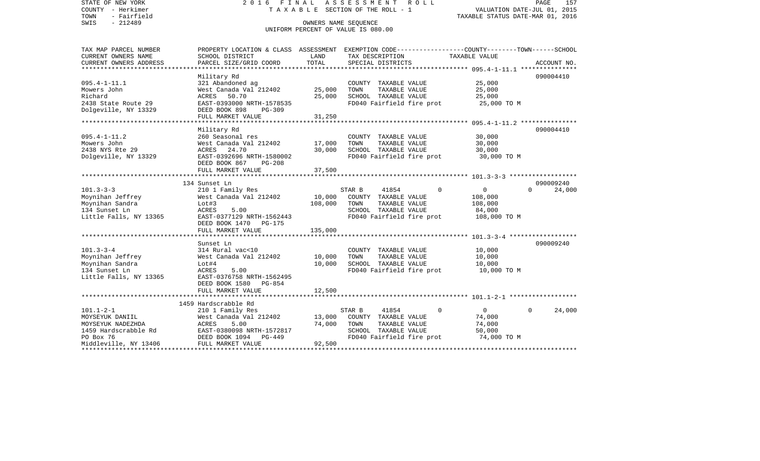| STATE OF NEW YORK<br>COUNTY - Herkimer<br>- Fairfield<br>TOWN<br>$-212489$<br>SWIS | FINAL<br>2016<br>T A X A B L E SECTION OF THE ROLL - 1<br>UNIFORM PERCENT OF VALUE IS 080.00 | PAGE<br>157<br>VALUATION DATE-JUL 01, 2015<br>TAXABLE STATUS DATE-MAR 01, 2016 |                                |                                                                                                                   |
|------------------------------------------------------------------------------------|----------------------------------------------------------------------------------------------|--------------------------------------------------------------------------------|--------------------------------|-------------------------------------------------------------------------------------------------------------------|
| TAX MAP PARCEL NUMBER<br>CURRENT OWNERS NAME                                       | SCHOOL DISTRICT                                                                              | LAND                                                                           | TAX DESCRIPTION                | PROPERTY LOCATION & CLASS ASSESSMENT EXEMPTION CODE----------------COUNTY-------TOWN------SCHOOL<br>TAXABLE VALUE |
| CURRENT OWNERS ADDRESS                                                             | PARCEL SIZE/GRID COORD                                                                       | TOTAL                                                                          | SPECIAL DISTRICTS              | ACCOUNT NO.                                                                                                       |
| **********************                                                             |                                                                                              |                                                                                |                                |                                                                                                                   |
|                                                                                    | Military Rd                                                                                  |                                                                                |                                | 090004410                                                                                                         |
| $095.4 - 1 - 11.1$                                                                 | 321 Abandoned ag                                                                             |                                                                                | COUNTY TAXABLE VALUE           | 25,000                                                                                                            |
| Mowers John                                                                        | West Canada Val 212402                                                                       | 25,000                                                                         | TAXABLE VALUE<br>TOWN          | 25,000                                                                                                            |
| Richard                                                                            | ACRES<br>50.70                                                                               | 25,000                                                                         | SCHOOL TAXABLE VALUE           | 25,000                                                                                                            |
| 2438 State Route 29<br>Dolgeville, NY 13329                                        | EAST-0393000 NRTH-1578535<br>DEED BOOK 898<br>$PG-309$                                       |                                                                                | FD040 Fairfield fire prot      | 25,000 TO M                                                                                                       |
|                                                                                    | FULL MARKET VALUE                                                                            | 31,250                                                                         |                                |                                                                                                                   |
|                                                                                    | *********************                                                                        | **********                                                                     |                                |                                                                                                                   |
|                                                                                    | Military Rd                                                                                  |                                                                                |                                | 090004410                                                                                                         |
| $095.4 - 1 - 11.2$                                                                 | 260 Seasonal res                                                                             |                                                                                | COUNTY TAXABLE VALUE           | 30,000                                                                                                            |
| Mowers John                                                                        | West Canada Val 212402                                                                       | 17,000                                                                         | TOWN<br>TAXABLE VALUE          | 30,000                                                                                                            |
| 2438 NYS Rte 29                                                                    | ACRES 24.70                                                                                  | 30,000                                                                         | SCHOOL TAXABLE VALUE           | 30,000                                                                                                            |
| Dolgeville, NY 13329                                                               | EAST-0392696 NRTH-1580002                                                                    |                                                                                | FD040 Fairfield fire prot      | 30,000 TO M                                                                                                       |
|                                                                                    | DEED BOOK 867<br>$PG-208$                                                                    |                                                                                |                                |                                                                                                                   |
|                                                                                    | FULL MARKET VALUE                                                                            | 37,500                                                                         |                                |                                                                                                                   |
|                                                                                    | 134 Sunset Ln                                                                                |                                                                                |                                | 090009240                                                                                                         |
| $101.3 - 3 - 3$                                                                    | 210 1 Family Res                                                                             |                                                                                | 41854<br>$\Omega$<br>STAR B    | $\mathbf{0}$<br>24,000<br>$\Omega$                                                                                |
| Moynihan Jeffrey                                                                   | West Canada Val 212402                                                                       | 10,000                                                                         | COUNTY TAXABLE VALUE           | 108,000                                                                                                           |
| Moynihan Sandra                                                                    | Lot#3                                                                                        | 108,000                                                                        | TOWN<br>TAXABLE VALUE          | 108,000                                                                                                           |
| 134 Sunset Ln                                                                      | ACRES<br>5.00                                                                                |                                                                                | SCHOOL TAXABLE VALUE           | 84,000                                                                                                            |
| Little Falls, NY 13365                                                             | EAST-0377129 NRTH-1562443                                                                    |                                                                                | FD040 Fairfield fire prot      | 108,000 TO M                                                                                                      |
|                                                                                    | DEED BOOK 1470<br><b>PG-175</b>                                                              |                                                                                |                                |                                                                                                                   |
|                                                                                    | FULL MARKET VALUE                                                                            | 135,000                                                                        |                                |                                                                                                                   |
|                                                                                    | Sunset Ln                                                                                    |                                                                                |                                | 090009240                                                                                                         |
| $101.3 - 3 - 4$                                                                    | 314 Rural vac<10                                                                             |                                                                                | COUNTY TAXABLE VALUE           | 10,000                                                                                                            |
| Moynihan Jeffrey                                                                   | West Canada Val 212402                                                                       | 10,000                                                                         | TOWN<br>TAXABLE VALUE          | 10,000                                                                                                            |
| Moynihan Sandra                                                                    | Lot#4                                                                                        | 10,000                                                                         | SCHOOL TAXABLE VALUE           | 10,000                                                                                                            |
| 134 Sunset Ln                                                                      | ACRES<br>5.00                                                                                |                                                                                | FD040 Fairfield fire prot      | 10,000 TO M                                                                                                       |
| Little Falls, NY 13365                                                             | EAST-0376758 NRTH-1562495                                                                    |                                                                                |                                |                                                                                                                   |
|                                                                                    | DEED BOOK 1580<br>PG-854                                                                     |                                                                                |                                |                                                                                                                   |
|                                                                                    | FULL MARKET VALUE                                                                            | 12,500                                                                         |                                |                                                                                                                   |
|                                                                                    | 1459 Hardscrabble Rd                                                                         |                                                                                |                                |                                                                                                                   |
| $101.1 - 2 - 1$                                                                    | 210 1 Family Res                                                                             |                                                                                | STAR B<br>41854<br>$\mathbf 0$ | 24,000<br>$\overline{0}$<br>$\Omega$                                                                              |
| MOYSEYUK DANIIL                                                                    | West Canada Val 212402                                                                       | 13,000                                                                         | COUNTY TAXABLE VALUE           | 74,000                                                                                                            |
| MOYSEYUK NADEZHDA                                                                  | ACRES<br>5.00                                                                                | 74,000                                                                         | TOWN<br>TAXABLE VALUE          | 74,000                                                                                                            |
| 1459 Hardscrabble Rd                                                               | EAST-0380098 NRTH-1572817                                                                    |                                                                                | SCHOOL TAXABLE VALUE           | 50,000                                                                                                            |
| PO Box 76                                                                          | DEED BOOK 1094<br>$PG-449$                                                                   |                                                                                | FD040 Fairfield fire prot      | 74,000 TO M                                                                                                       |
| Middleville, NY 13406                                                              | FULL MARKET VALUE                                                                            | 92,500                                                                         |                                |                                                                                                                   |
|                                                                                    |                                                                                              |                                                                                |                                | ****************************                                                                                      |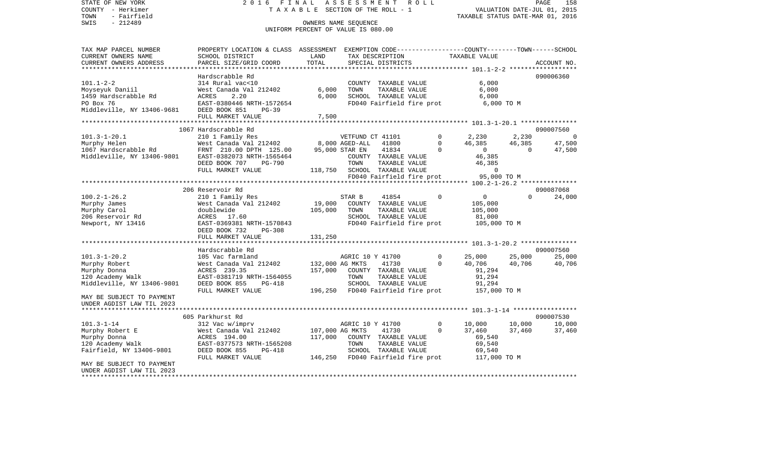STATE OF NEW YORK 2 0 1 6 F I N A L A S S E S S M E N T R O L L PAGE 158VALUATION DATE-JUL 01, 2015 COUNTY - Herkimer T A X A B L E SECTION OF THE ROLL - 1 TOWN - Fairfield TAXABLE STATUS DATE-MAR 01, 2016 SWIS - 212489 OWNERS NAME SEQUENCE UNIFORM PERCENT OF VALUE IS 080.00TAX MAP PARCEL NUMBER PROPERTY LOCATION & CLASS ASSESSMENT EXEMPTION CODE------------------COUNTY--------TOWN------SCHOOL CURRENT OWNERS NAME SCHOOL DISTRICT LAND TAX DESCRIPTION TAXABLE VALUECURRENT OWNERS ADDRESS PARCEL SIZE/GRID COORD TOTAL SPECIAL DISTRICTS ACCOUNT NO. \*\*\*\*\*\*\*\*\*\*\*\*\*\*\*\*\*\*\*\*\*\*\*\*\*\*\*\*\*\*\*\*\*\*\*\*\*\*\*\*\*\*\*\*\*\*\*\*\*\*\*\*\*\*\*\*\*\*\*\*\*\*\*\*\*\*\*\*\*\*\*\*\*\*\*\*\*\*\*\*\*\*\*\*\*\*\*\*\*\*\*\*\*\*\*\*\*\*\*\*\*\*\* 101.1-2-2 \*\*\*\*\*\*\*\*\*\*\*\*\*\*\*\*\*\*Hardscrabble Rd 090006360 101.1-2-2 314 Rural vac<10 COUNTY TAXABLE VALUE 6,000 Moyseyuk Daniil West Canada Val 212402 6,000 TOWN TAXABLE VALUE 6,000 1459 Hardscrabble Rd ACRES 2.20 6,000 SCHOOL TAXABLE VALUE 6,000 PO Box 76 EAST-0380446 NRTH-1572654 FD040 Fairfield fire prot 6,000 TO M Middleville, NY 13406-9681 DEED BOOK 851 PG-39 FULL MARKET VALUE 7,500 \*\*\*\*\*\*\*\*\*\*\*\*\*\*\*\*\*\*\*\*\*\*\*\*\*\*\*\*\*\*\*\*\*\*\*\*\*\*\*\*\*\*\*\*\*\*\*\*\*\*\*\*\*\*\*\*\*\*\*\*\*\*\*\*\*\*\*\*\*\*\*\*\*\*\*\*\*\*\*\*\*\*\*\*\*\*\*\*\*\*\*\*\*\*\*\*\*\*\*\*\*\*\* 101.3-1-20.1 \*\*\*\*\*\*\*\*\*\*\*\*\*\*\* 1067 Hardscrabble Rd 090007560101.3-1-20.1 210 1 Family Res VETFUND CT 41101 0 2,230 2,230 0 Murphy Helen West Canada Val 212402 8,000 AGED-ALL 41800 0 46,385 46,385 47,500 1067 Hardscrabble Rd FRNT 210.00 DPTH 125.00 95,000 STAR EN 41834 0 0 0 47,500 Middleville, NY 13406-9801 EAST-0382073 NRTH-1565464 COUNTY TAXABLE VALUE 46,385 DEED BOOK 707 PG-790 TOWN TAXABLE VALUE 46,385 FULL MARKET VALUE  $118,750$  SCHOOL TAXABLE VALUE  $0$  FD040 Fairfield fire prot 95,000 TO M \*\*\*\*\*\*\*\*\*\*\*\*\*\*\*\*\*\*\*\*\*\*\*\*\*\*\*\*\*\*\*\*\*\*\*\*\*\*\*\*\*\*\*\*\*\*\*\*\*\*\*\*\*\*\*\*\*\*\*\*\*\*\*\*\*\*\*\*\*\*\*\*\*\*\*\*\*\*\*\*\*\*\*\*\*\*\*\*\*\*\*\*\*\*\*\*\*\*\*\*\*\*\* 100.2-1-26.2 \*\*\*\*\*\*\*\*\*\*\*\*\*\*\* 206 Reservoir Rd 090087068100.2-1-26.2 210 1 Family Res STAR B 41854 0 0 0 24,000 Murphy James West Canada Val 212402 19,000 COUNTY TAXABLE VALUE 105,000 Murphy Carol doublewide 105,000 TOWN TAXABLE VALUE 105,000 206 Reservoir Rd ACRES 17.60 SCHOOL TAXABLE VALUE 81,000 Newport, NY 13416 EAST-0369381 NRTH-1570843 FD040 Fairfield fire prot 105,000 TO M DEED BOOK 732 PG-308FULL MARKET VALUE 131,250 \*\*\*\*\*\*\*\*\*\*\*\*\*\*\*\*\*\*\*\*\*\*\*\*\*\*\*\*\*\*\*\*\*\*\*\*\*\*\*\*\*\*\*\*\*\*\*\*\*\*\*\*\*\*\*\*\*\*\*\*\*\*\*\*\*\*\*\*\*\*\*\*\*\*\*\*\*\*\*\*\*\*\*\*\*\*\*\*\*\*\*\*\*\*\*\*\*\*\*\*\*\*\* 101.3-1-20.2 \*\*\*\*\*\*\*\*\*\*\*\*\*\*\* Hardscrabble Rd 090007560101.3-1-20.2 105 Vac farmland AGRIC 10 Y 41700 0 25,000 25,000 25,000 Murphy Robert 600 West Canada Val 212402 132,000 AG MKTS 41730 0 40,706 40,706 40,706 40,706 Murphy Donna ACRES 239.35 157,000 COUNTY TAXABLE VALUE 91,294 120 Academy Walk EAST-0381719 NRTH-1564055 TOWN TAXABLE VALUE 91,294 Middleville, NY 13406-9801 DEED BOOK 855 PG-418 SCHOOL TAXABLE VALUE 91,294 FULL MARKET VALUE 196,250 FD040 Fairfield fire prot 157,000 TO M MAY BE SUBJECT TO PAYMENT UNDER AGDIST LAW TIL 2023 \*\*\*\*\*\*\*\*\*\*\*\*\*\*\*\*\*\*\*\*\*\*\*\*\*\*\*\*\*\*\*\*\*\*\*\*\*\*\*\*\*\*\*\*\*\*\*\*\*\*\*\*\*\*\*\*\*\*\*\*\*\*\*\*\*\*\*\*\*\*\*\*\*\*\*\*\*\*\*\*\*\*\*\*\*\*\*\*\*\*\*\*\*\*\*\*\*\*\*\*\*\*\* 101.3-1-14 \*\*\*\*\*\*\*\*\*\*\*\*\*\*\*\*\* 605 Parkhurst Rd 090007530101.3-1-14 312 Vac w/imprv AGRIC 10 Y 41700 0 10,000 10,000 10,000 Murphy Robert E 6 7,460 West Canada Val 212402 107,000 AG MKTS 41730 0 37,460 37,460 37,460 37,460 Murphy Donna ACRES 194.00 117,000 COUNTY TAXABLE VALUE 69,540 120 Academy Walk EAST-0377573 NRTH-1565208 TOWN TAXABLE VALUE 69,540 Fairfield, NY 13406-9801 DEED BOOK 855 PG-418 SCHOOL TAXABLE VALUE 69,540 FULL MARKET VALUE 146,250 FD040 Fairfield fire prot 117,000 TO M MAY BE SUBJECT TO PAYMENTUNDER AGDIST LAW TIL 2023\*\*\*\*\*\*\*\*\*\*\*\*\*\*\*\*\*\*\*\*\*\*\*\*\*\*\*\*\*\*\*\*\*\*\*\*\*\*\*\*\*\*\*\*\*\*\*\*\*\*\*\*\*\*\*\*\*\*\*\*\*\*\*\*\*\*\*\*\*\*\*\*\*\*\*\*\*\*\*\*\*\*\*\*\*\*\*\*\*\*\*\*\*\*\*\*\*\*\*\*\*\*\*\*\*\*\*\*\*\*\*\*\*\*\*\*\*\*\*\*\*\*\*\*\*\*\*\*\*\*\*\*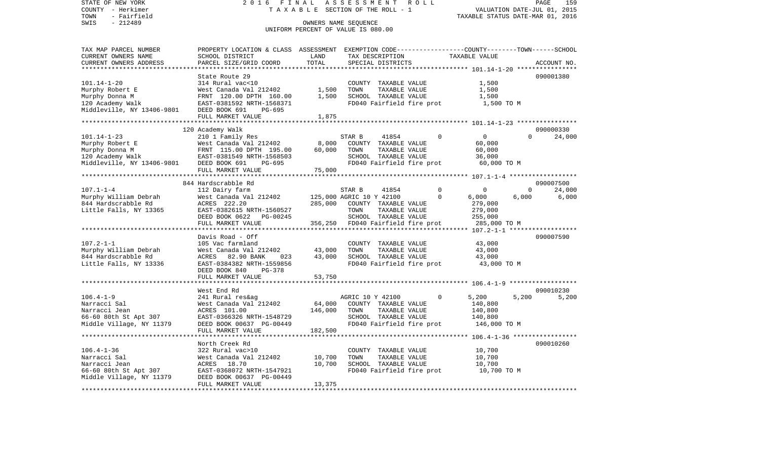SWIS - Fairfield<br>
SWIS - 212489 OWNERS NAME SEQUENCE

## STATE OF NEW YORK 2016 FINAL ASSESSMENT ROLL COUNTY - Herkimer T A X A B L E SECTION OF THE ROLL - 1

TOWN - Fairfield TAXABLE STATUS DATE-MAR 01, 2016

## UNIFORM PERCENT OF VALUE IS 080.00

| TAX MAP PARCEL NUMBER<br>CURRENT OWNERS NAME | PROPERTY LOCATION & CLASS ASSESSMENT EXEMPTION CODE---------------COUNTY-------TOWN------SCHOOL<br>SCHOOL DISTRICT | LAND         | TAX DESCRIPTION           |                                       |              | TAXABLE VALUE  |          |             |
|----------------------------------------------|--------------------------------------------------------------------------------------------------------------------|--------------|---------------------------|---------------------------------------|--------------|----------------|----------|-------------|
| CURRENT OWNERS ADDRESS                       | PARCEL SIZE/GRID COORD                                                                                             | TOTAL        | SPECIAL DISTRICTS         |                                       |              |                |          | ACCOUNT NO. |
|                                              |                                                                                                                    |              |                           |                                       |              |                |          |             |
|                                              | State Route 29                                                                                                     |              |                           |                                       |              |                |          | 090001380   |
| $101.14 - 1 - 20$                            | 314 Rural vac<10                                                                                                   |              |                           | COUNTY TAXABLE VALUE                  |              | 1,500          |          |             |
| Murphy Robert E                              | West Canada Val 212402                                                                                             | 1,500        | TOWN                      | TAXABLE VALUE                         |              | 1,500          |          |             |
|                                              |                                                                                                                    | 1,500        | SCHOOL TAXABLE VALUE      |                                       |              | 1,500          |          |             |
|                                              |                                                                                                                    |              |                           | FD040 Fairfield fire prot             |              | 1,500 TO M     |          |             |
|                                              |                                                                                                                    |              |                           |                                       |              |                |          |             |
|                                              | FULL MARKET VALUE                                                                                                  | 1,875        |                           |                                       |              |                |          |             |
|                                              |                                                                                                                    |              |                           |                                       |              |                |          |             |
|                                              | 120 Academy Walk                                                                                                   |              |                           |                                       |              |                |          | 090000330   |
| 101.14-1-23                                  | 210 1 Family Res                                                                                                   |              | STAR B                    | 41854                                 | $\Omega$     | $\overline{0}$ | $\Omega$ | 24,000      |
| Murphy Robert E                              | West Canada Val 212402                                                                                             | 8,000        | COUNTY TAXABLE VALUE      |                                       |              | 60,000         |          |             |
| Murphy Donna M                               | FRNT 115.00 DPTH 195.00                                                                                            | 60,000       | TOWN                      | TAXABLE VALUE                         |              | 60,000         |          |             |
|                                              | EAST-0381549 NRTH-1568503                                                                                          |              | SCHOOL TAXABLE VALUE      |                                       |              | 36,000         |          |             |
|                                              | PG-695                                                                                                             |              | FD040 Fairfield fire prot |                                       |              | 60,000 TO M    |          |             |
|                                              | FULL MARKET VALUE                                                                                                  | 75,000       |                           |                                       |              |                |          |             |
|                                              |                                                                                                                    |              |                           |                                       |              |                |          |             |
|                                              | 844 Hardscrabble Rd                                                                                                |              |                           |                                       |              |                |          | 090007500   |
| $107.1 - 1 - 4$                              | 112 Dairy farm                                                                                                     |              | STAR B                    | 41854                                 | $\Omega$     | 0              | $\Omega$ | 24,000      |
| Murphy William Debrah                        | West Canada Val 212402                                                                                             |              | 125,000 AGRIC 10 Y 42100  |                                       | $\Omega$     | 6,000          | 6,000    | 6,000       |
| 844 Hardscrabble Rd                          | ACRES 222.20                                                                                                       | 285,000      | COUNTY TAXABLE VALUE      |                                       |              | 279,000        |          |             |
| Little Falls, NY 13365                       | EAST-0382615 NRTH-1560527                                                                                          |              | TOWN                      | TAXABLE VALUE                         |              | 279,000        |          |             |
|                                              | DEED BOOK 0622 PG-00245                                                                                            |              | SCHOOL TAXABLE VALUE      |                                       |              | 255,000        |          |             |
|                                              | FULL MARKET VALUE                                                                                                  | 356,250      | FD040 Fairfield fire prot |                                       |              | 285,000 TO M   |          |             |
|                                              | Davis Road - Off                                                                                                   |              |                           |                                       |              |                |          | 090007590   |
| 107.2-1-1                                    | 105 Vac farmland                                                                                                   |              |                           |                                       |              | 43,000         |          |             |
| Murphy William Debrah                        | West Canada Val 212402                                                                                             | 43,000       | TOWN                      | COUNTY TAXABLE VALUE<br>TAXABLE VALUE |              | 43,000         |          |             |
| 844 Hardscrabble Rd                          | ACRES 82.90 BANK<br>023                                                                                            | 43,000       | SCHOOL TAXABLE VALUE      |                                       |              | 43,000         |          |             |
| Little Falls, NY 13336                       | EAST-0384382 NRTH-1559856                                                                                          |              | FD040 Fairfield fire prot |                                       |              | 43,000 TO M    |          |             |
|                                              | DEED BOOK 840<br>PG-378                                                                                            |              |                           |                                       |              |                |          |             |
|                                              | FULL MARKET VALUE                                                                                                  | 53,750       |                           |                                       |              |                |          |             |
|                                              |                                                                                                                    | ************ |                           |                                       |              |                |          |             |
|                                              | West End Rd                                                                                                        |              |                           |                                       |              |                |          | 090010230   |
| $106.4 - 1 - 9$                              | 241 Rural res&ag                                                                                                   |              | AGRIC 10 Y 42100          |                                       | $\mathbf{0}$ | 5,200          | 5,200    | 5,200       |
| Narracci Sal                                 | West Canada Val 212402                                                                                             | 64,000       | COUNTY TAXABLE VALUE      |                                       |              | 140,800        |          |             |
| Narracci Jean                                | ACRES 101.00                                                                                                       | 146,000      | TOWN                      | TAXABLE VALUE                         |              | 140,800        |          |             |
| 66-60 80th St Apt 307                        | EAST-0366326 NRTH-1548729                                                                                          |              | SCHOOL TAXABLE VALUE      |                                       |              | 140,800        |          |             |
| Middle Village, NY 11379                     | DEED BOOK 00637 PG-00449                                                                                           |              |                           | FD040 Fairfield fire prot             |              | 146,000 TO M   |          |             |
|                                              | FULL MARKET VALUE                                                                                                  | 182,500      |                           |                                       |              |                |          |             |
|                                              |                                                                                                                    |              |                           |                                       |              |                |          |             |
|                                              | North Creek Rd                                                                                                     |              |                           |                                       |              |                |          | 090010260   |
| $106.4 - 1 - 36$                             | 322 Rural vac>10                                                                                                   |              |                           | COUNTY TAXABLE VALUE                  |              | 10,700         |          |             |
| Narracci Sal                                 | West Canada Val 212402                                                                                             | 10,700       | TOWN                      | TAXABLE VALUE                         |              | 10,700         |          |             |
| Narracci Jean                                | ACRES 18.70                                                                                                        | 10,700       | SCHOOL TAXABLE VALUE      |                                       |              | 10,700         |          |             |
| 66-60 80th St Apt 307                        | EAST-0368072 NRTH-1547921                                                                                          |              | FD040 Fairfield fire prot |                                       |              | 10,700 TO M    |          |             |
| Middle Village, NY 11379                     | DEED BOOK 00637 PG-00449                                                                                           |              |                           |                                       |              |                |          |             |
|                                              | FULL MARKET VALUE                                                                                                  | 13,375       |                           |                                       |              |                |          |             |
|                                              |                                                                                                                    |              |                           |                                       |              |                |          |             |
|                                              |                                                                                                                    |              |                           |                                       |              |                |          |             |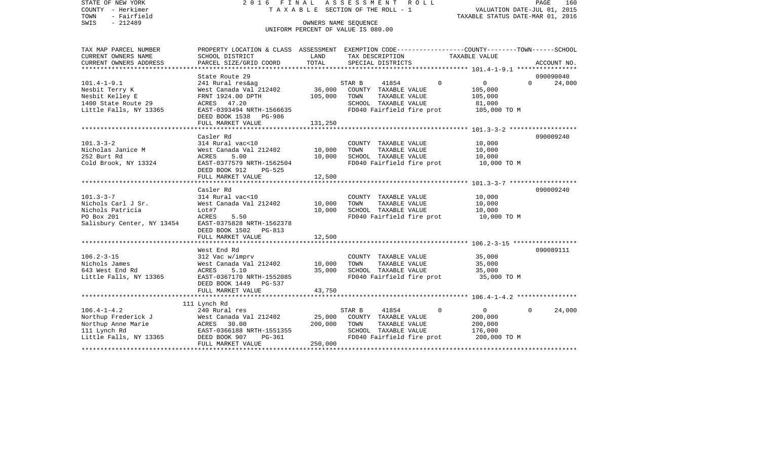| STATE OF NEW YORK                                    |                                                                                                 |         | 2016 FINAL ASSESSMENT ROLL         |                                  | PAGE                  | 160         |
|------------------------------------------------------|-------------------------------------------------------------------------------------------------|---------|------------------------------------|----------------------------------|-----------------------|-------------|
| COUNTY - Herkimer                                    |                                                                                                 |         | TAXABLE SECTION OF THE ROLL - 1    | VALUATION DATE-JUL 01, 2015      |                       |             |
| TOWN<br>- Fairfield                                  |                                                                                                 |         |                                    | TAXABLE STATUS DATE-MAR 01, 2016 |                       |             |
| $-212489$<br>SWIS                                    |                                                                                                 |         | OWNERS NAME SEOUENCE               |                                  |                       |             |
|                                                      |                                                                                                 |         | UNIFORM PERCENT OF VALUE IS 080.00 |                                  |                       |             |
|                                                      |                                                                                                 |         |                                    |                                  |                       |             |
| TAX MAP PARCEL NUMBER                                | PROPERTY LOCATION & CLASS ASSESSMENT EXEMPTION CODE----------------COUNTY-------TOWN-----SCHOOL |         |                                    |                                  |                       |             |
| CURRENT OWNERS NAME                                  | SCHOOL DISTRICT                                                                                 | LAND    | TAX DESCRIPTION                    | TAXABLE VALUE                    |                       |             |
| CURRENT OWNERS ADDRESS<br>************************** | PARCEL SIZE/GRID COORD                                                                          | TOTAL   | SPECIAL DISTRICTS                  |                                  |                       | ACCOUNT NO. |
|                                                      |                                                                                                 |         |                                    |                                  |                       |             |
| $101.4 - 1 - 9.1$                                    | State Route 29                                                                                  |         | STAR B<br>41854                    | $\mathbf{0}$<br>$\overline{0}$   | 090090040<br>$\Omega$ |             |
| Nesbit Terry K                                       | 241 Rural res&ag<br>West Canada Val 212402                                                      | 36,000  | COUNTY TAXABLE VALUE               | 105,000                          |                       | 24,000      |
| Nesbit Kelley E                                      | FRNT 1924.00 DPTH                                                                               | 105,000 | TOWN<br>TAXABLE VALUE              | 105,000                          |                       |             |
| 1400 State Route 29                                  | ACRES 47.20                                                                                     |         | SCHOOL TAXABLE VALUE               | 81,000                           |                       |             |
| Little Falls, NY 13365                               | EAST-0393494 NRTH-1566635                                                                       |         | FD040 Fairfield fire prot          | 105,000 TO M                     |                       |             |
|                                                      | DEED BOOK 1538 PG-986                                                                           |         |                                    |                                  |                       |             |
|                                                      | FULL MARKET VALUE                                                                               | 131,250 |                                    |                                  |                       |             |
|                                                      |                                                                                                 |         |                                    |                                  |                       |             |
|                                                      | Casler Rd                                                                                       |         |                                    |                                  | 090009240             |             |
| $101.3 - 3 - 2$                                      | 314 Rural vac<10                                                                                |         | COUNTY TAXABLE VALUE               | 10,000                           |                       |             |
| Nicholas Janice M                                    | West Canada Val 212402                                                                          | 10,000  | TOWN<br>TAXABLE VALUE              | 10,000                           |                       |             |
| 252 Burt Rd                                          | ACRES<br>5.00                                                                                   | 10,000  | SCHOOL TAXABLE VALUE               | 10,000                           |                       |             |
| Cold Brook, NY 13324                                 | EAST-0377579 NRTH-1562504                                                                       |         | FD040 Fairfield fire prot          | 10,000 TO M                      |                       |             |
|                                                      | DEED BOOK 912<br>PG-525                                                                         |         |                                    |                                  |                       |             |
|                                                      | FULL MARKET VALUE                                                                               | 12,500  |                                    |                                  |                       |             |
|                                                      |                                                                                                 |         |                                    |                                  |                       |             |
|                                                      | Casler Rd                                                                                       |         |                                    |                                  | 090009240             |             |
| $101.3 - 3 - 7$                                      | 314 Rural vac<10                                                                                |         | COUNTY TAXABLE VALUE               | 10,000                           |                       |             |
| Nichols Carl J Sr.                                   | West Canada Val 212402                                                                          | 10,000  | TOWN<br>TAXABLE VALUE              | 10,000                           |                       |             |
| Nichols Patricia                                     | Lot#7                                                                                           | 10,000  | SCHOOL TAXABLE VALUE               | 10,000                           |                       |             |
| PO Box 201                                           | 5.50<br>ACRES                                                                                   |         | FD040 Fairfield fire prot          | 10,000 TO M                      |                       |             |
| Salisbury Center, NY 13454                           | EAST-0375828 NRTH-1562378                                                                       |         |                                    |                                  |                       |             |
|                                                      | DEED BOOK 1502<br>PG-813                                                                        |         |                                    |                                  |                       |             |
|                                                      | FULL MARKET VALUE                                                                               | 12,500  |                                    |                                  |                       |             |
|                                                      |                                                                                                 |         |                                    |                                  |                       |             |
|                                                      | West End Rd                                                                                     |         |                                    |                                  | 090089111             |             |
| $106.2 - 3 - 15$                                     | 312 Vac w/imprv                                                                                 |         | COUNTY TAXABLE VALUE               | 35,000                           |                       |             |
| Nichols James                                        | West Canada val 212402                                                                          | 10,000  | TOWN<br>TAXABLE VALUE              | 35,000                           |                       |             |
| 643 West End Rd                                      | ACRES<br>5.10                                                                                   | 35,000  | SCHOOL TAXABLE VALUE               | 35,000                           |                       |             |
| Little Falls, NY 13365                               | EAST-0367170 NRTH-1552085                                                                       |         | FD040 Fairfield fire prot          | 35,000 TO M                      |                       |             |
|                                                      | DEED BOOK 1449 PG-537                                                                           |         |                                    |                                  |                       |             |
|                                                      | FULL MARKET VALUE                                                                               | 43,750  |                                    |                                  |                       |             |
|                                                      | 111 Lynch Rd                                                                                    |         |                                    |                                  |                       |             |
| $106.4 - 1 - 4.2$                                    | 240 Rural res                                                                                   |         | STAR B<br>41854                    | $\Omega$<br>$\mathbf{0}$         | $\Omega$              | 24,000      |
| Northup Frederick J                                  | West Canada Val 212402                                                                          | 25,000  | COUNTY TAXABLE VALUE               | 200,000                          |                       |             |
| Northup Anne Marie                                   | ACRES 30.00                                                                                     | 200,000 | TOWN<br>TAXABLE VALUE              | 200,000                          |                       |             |
| 111 Lynch Rd                                         | EAST-0366188 NRTH-1551355                                                                       |         | SCHOOL TAXABLE VALUE               | 176,000                          |                       |             |
| Little Falls, NY 13365                               | PG-361<br>DEED BOOK 907                                                                         |         | FD040 Fairfield fire prot          | 200,000 TO M                     |                       |             |
|                                                      | FULL MARKET VALUE                                                                               | 250,000 |                                    |                                  |                       |             |
|                                                      |                                                                                                 |         |                                    |                                  |                       |             |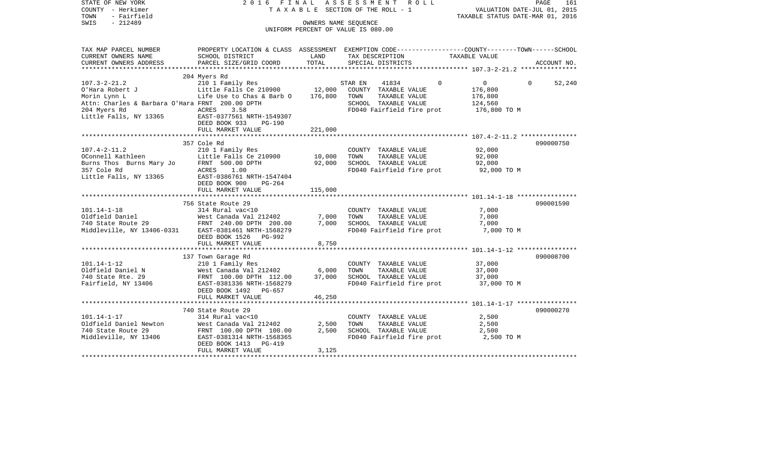| PROPERTY LOCATION & CLASS ASSESSMENT EXEMPTION CODE---------------COUNTY-------TOWN------SCHOOL<br>TAX MAP PARCEL NUMBER<br>CURRENT OWNERS NAME<br>SCHOOL DISTRICT<br>LAND<br>TAX DESCRIPTION<br>TAXABLE VALUE<br>CURRENT OWNERS ADDRESS<br>PARCEL SIZE/GRID COORD<br>TOTAL<br>SPECIAL DISTRICTS<br>ACCOUNT NO.<br>*********************<br>204 Myers Rd<br>210 1 Family Res<br>$107.3 - 2 - 21.2$<br>$\mathbf 0$<br>0<br>$\mathbf 0$<br>52,240<br>STAR EN<br>41834<br>Little Falls Ce 210900<br>O'Hara Robert J<br>12,000<br>COUNTY TAXABLE VALUE<br>176,800<br>Life Use to Chas & Barb O<br>Morin Lynn L<br>176,800<br>TOWN<br>TAXABLE VALUE<br>176,800<br>Attn: Charles & Barbara O'Hara FRNT 200.00 DPTH<br>SCHOOL TAXABLE VALUE<br>124,560<br>204 Myers Rd<br>ACRES<br>3.58<br>FD040 Fairfield fire prot<br>176,800 TO M<br>EAST-0377561 NRTH-1549307<br>DEED BOOK 933<br>$PG-190$<br>FULL MARKET VALUE<br>221,000<br>***********<br>**************************<br>************************ 107.4-2-11.2 ****************<br>357 Cole Rd<br>090000750<br>$107.4 - 2 - 11.2$<br>210 1 Family Res<br>92,000<br>COUNTY TAXABLE VALUE<br>Little Falls Ce 210900<br>TAXABLE VALUE<br>OConnell Kathleen<br>10,000<br>TOWN<br>92,000<br>Burns Thos Burns Mary Jo<br>SCHOOL TAXABLE VALUE<br>FRNT 500.00 DPTH<br>92,000<br>92,000<br>357 Cole Rd<br>1.00<br>FD040 Fairfield fire prot<br>ACRES<br>92,000 TO M<br>Little Falls, NY 13365<br>EAST-0386761 NRTH-1547404<br>DEED BOOK 900<br>PG-264<br>FULL MARKET VALUE<br>115,000<br>*************************<br>************************************* 101.14-1-18 *****<br>756 State Route 29<br>090001590<br>$101.14 - 1 - 18$<br>314 Rural vac<10<br>7,000<br>COUNTY TAXABLE VALUE<br>Oldfield Daniel<br>West Canada Val 212402<br>7,000<br>TOWN<br>TAXABLE VALUE<br>7,000<br>7,000<br>SCHOOL TAXABLE VALUE<br>740 State Route 29<br>FRNT 240.00 DPTH 200.00<br>7,000<br>Middleville, NY 13406-0331<br>EAST-0381461 NRTH-1568279<br>FD040 Fairfield fire prot<br>7,000 TO M<br>DEED BOOK 1526 PG-992<br>FULL MARKET VALUE<br>8,750<br>137 Town Garage Rd<br>090008700<br>$101.14 - 1 - 12$<br>210 1 Family Res<br>COUNTY TAXABLE VALUE<br>37,000<br>Oldfield Daniel N<br>West Canada Val 212402<br>6,000<br>TOWN<br>TAXABLE VALUE<br>37,000<br>740 State Rte. 29<br>FRNT 100.00 DPTH 112.00<br>37,000<br>SCHOOL TAXABLE VALUE<br>37,000<br>Fairfield, NY 13406<br>FD040 Fairfield fire prot<br>EAST-0381336 NRTH-1568279<br>37,000 TO M<br>DEED BOOK 1492 PG-657<br>FULL MARKET VALUE<br>46,250<br>***************************<br>090000270<br>740 State Route 29 | COUNTY<br>- Herkimer<br>TOWN<br>- Fairfield<br>SWIS<br>$-212489$ |                  | T A X A B L E SECTION OF THE ROLL - 1<br>OWNERS NAME SEOUENCE<br>UNIFORM PERCENT OF VALUE IS 080.00 |  |  |  | VALUATION DATE-JUL 01, 2015<br>TAXABLE STATUS DATE-MAR 01, 2016 |  |  |  |
|------------------------------------------------------------------------------------------------------------------------------------------------------------------------------------------------------------------------------------------------------------------------------------------------------------------------------------------------------------------------------------------------------------------------------------------------------------------------------------------------------------------------------------------------------------------------------------------------------------------------------------------------------------------------------------------------------------------------------------------------------------------------------------------------------------------------------------------------------------------------------------------------------------------------------------------------------------------------------------------------------------------------------------------------------------------------------------------------------------------------------------------------------------------------------------------------------------------------------------------------------------------------------------------------------------------------------------------------------------------------------------------------------------------------------------------------------------------------------------------------------------------------------------------------------------------------------------------------------------------------------------------------------------------------------------------------------------------------------------------------------------------------------------------------------------------------------------------------------------------------------------------------------------------------------------------------------------------------------------------------------------------------------------------------------------------------------------------------------------------------------------------------------------------------------------------------------------------------------------------------------------------------------------------------------------------------------------------------------------------------------------------------------------------------------------------------------------------------------------------------------------------------------------------------------------------------------------------------------------------|------------------------------------------------------------------|------------------|-----------------------------------------------------------------------------------------------------|--|--|--|-----------------------------------------------------------------|--|--|--|
|                                                                                                                                                                                                                                                                                                                                                                                                                                                                                                                                                                                                                                                                                                                                                                                                                                                                                                                                                                                                                                                                                                                                                                                                                                                                                                                                                                                                                                                                                                                                                                                                                                                                                                                                                                                                                                                                                                                                                                                                                                                                                                                                                                                                                                                                                                                                                                                                                                                                                                                                                                                                                  |                                                                  |                  |                                                                                                     |  |  |  |                                                                 |  |  |  |
|                                                                                                                                                                                                                                                                                                                                                                                                                                                                                                                                                                                                                                                                                                                                                                                                                                                                                                                                                                                                                                                                                                                                                                                                                                                                                                                                                                                                                                                                                                                                                                                                                                                                                                                                                                                                                                                                                                                                                                                                                                                                                                                                                                                                                                                                                                                                                                                                                                                                                                                                                                                                                  |                                                                  |                  |                                                                                                     |  |  |  |                                                                 |  |  |  |
|                                                                                                                                                                                                                                                                                                                                                                                                                                                                                                                                                                                                                                                                                                                                                                                                                                                                                                                                                                                                                                                                                                                                                                                                                                                                                                                                                                                                                                                                                                                                                                                                                                                                                                                                                                                                                                                                                                                                                                                                                                                                                                                                                                                                                                                                                                                                                                                                                                                                                                                                                                                                                  |                                                                  |                  |                                                                                                     |  |  |  |                                                                 |  |  |  |
|                                                                                                                                                                                                                                                                                                                                                                                                                                                                                                                                                                                                                                                                                                                                                                                                                                                                                                                                                                                                                                                                                                                                                                                                                                                                                                                                                                                                                                                                                                                                                                                                                                                                                                                                                                                                                                                                                                                                                                                                                                                                                                                                                                                                                                                                                                                                                                                                                                                                                                                                                                                                                  |                                                                  |                  |                                                                                                     |  |  |  |                                                                 |  |  |  |
|                                                                                                                                                                                                                                                                                                                                                                                                                                                                                                                                                                                                                                                                                                                                                                                                                                                                                                                                                                                                                                                                                                                                                                                                                                                                                                                                                                                                                                                                                                                                                                                                                                                                                                                                                                                                                                                                                                                                                                                                                                                                                                                                                                                                                                                                                                                                                                                                                                                                                                                                                                                                                  |                                                                  |                  |                                                                                                     |  |  |  |                                                                 |  |  |  |
|                                                                                                                                                                                                                                                                                                                                                                                                                                                                                                                                                                                                                                                                                                                                                                                                                                                                                                                                                                                                                                                                                                                                                                                                                                                                                                                                                                                                                                                                                                                                                                                                                                                                                                                                                                                                                                                                                                                                                                                                                                                                                                                                                                                                                                                                                                                                                                                                                                                                                                                                                                                                                  |                                                                  |                  |                                                                                                     |  |  |  |                                                                 |  |  |  |
|                                                                                                                                                                                                                                                                                                                                                                                                                                                                                                                                                                                                                                                                                                                                                                                                                                                                                                                                                                                                                                                                                                                                                                                                                                                                                                                                                                                                                                                                                                                                                                                                                                                                                                                                                                                                                                                                                                                                                                                                                                                                                                                                                                                                                                                                                                                                                                                                                                                                                                                                                                                                                  |                                                                  |                  |                                                                                                     |  |  |  |                                                                 |  |  |  |
|                                                                                                                                                                                                                                                                                                                                                                                                                                                                                                                                                                                                                                                                                                                                                                                                                                                                                                                                                                                                                                                                                                                                                                                                                                                                                                                                                                                                                                                                                                                                                                                                                                                                                                                                                                                                                                                                                                                                                                                                                                                                                                                                                                                                                                                                                                                                                                                                                                                                                                                                                                                                                  |                                                                  |                  |                                                                                                     |  |  |  |                                                                 |  |  |  |
|                                                                                                                                                                                                                                                                                                                                                                                                                                                                                                                                                                                                                                                                                                                                                                                                                                                                                                                                                                                                                                                                                                                                                                                                                                                                                                                                                                                                                                                                                                                                                                                                                                                                                                                                                                                                                                                                                                                                                                                                                                                                                                                                                                                                                                                                                                                                                                                                                                                                                                                                                                                                                  |                                                                  |                  |                                                                                                     |  |  |  |                                                                 |  |  |  |
|                                                                                                                                                                                                                                                                                                                                                                                                                                                                                                                                                                                                                                                                                                                                                                                                                                                                                                                                                                                                                                                                                                                                                                                                                                                                                                                                                                                                                                                                                                                                                                                                                                                                                                                                                                                                                                                                                                                                                                                                                                                                                                                                                                                                                                                                                                                                                                                                                                                                                                                                                                                                                  | Little Falls, NY 13365                                           |                  |                                                                                                     |  |  |  |                                                                 |  |  |  |
|                                                                                                                                                                                                                                                                                                                                                                                                                                                                                                                                                                                                                                                                                                                                                                                                                                                                                                                                                                                                                                                                                                                                                                                                                                                                                                                                                                                                                                                                                                                                                                                                                                                                                                                                                                                                                                                                                                                                                                                                                                                                                                                                                                                                                                                                                                                                                                                                                                                                                                                                                                                                                  |                                                                  |                  |                                                                                                     |  |  |  |                                                                 |  |  |  |
|                                                                                                                                                                                                                                                                                                                                                                                                                                                                                                                                                                                                                                                                                                                                                                                                                                                                                                                                                                                                                                                                                                                                                                                                                                                                                                                                                                                                                                                                                                                                                                                                                                                                                                                                                                                                                                                                                                                                                                                                                                                                                                                                                                                                                                                                                                                                                                                                                                                                                                                                                                                                                  |                                                                  |                  |                                                                                                     |  |  |  |                                                                 |  |  |  |
|                                                                                                                                                                                                                                                                                                                                                                                                                                                                                                                                                                                                                                                                                                                                                                                                                                                                                                                                                                                                                                                                                                                                                                                                                                                                                                                                                                                                                                                                                                                                                                                                                                                                                                                                                                                                                                                                                                                                                                                                                                                                                                                                                                                                                                                                                                                                                                                                                                                                                                                                                                                                                  |                                                                  |                  |                                                                                                     |  |  |  |                                                                 |  |  |  |
|                                                                                                                                                                                                                                                                                                                                                                                                                                                                                                                                                                                                                                                                                                                                                                                                                                                                                                                                                                                                                                                                                                                                                                                                                                                                                                                                                                                                                                                                                                                                                                                                                                                                                                                                                                                                                                                                                                                                                                                                                                                                                                                                                                                                                                                                                                                                                                                                                                                                                                                                                                                                                  |                                                                  |                  |                                                                                                     |  |  |  |                                                                 |  |  |  |
|                                                                                                                                                                                                                                                                                                                                                                                                                                                                                                                                                                                                                                                                                                                                                                                                                                                                                                                                                                                                                                                                                                                                                                                                                                                                                                                                                                                                                                                                                                                                                                                                                                                                                                                                                                                                                                                                                                                                                                                                                                                                                                                                                                                                                                                                                                                                                                                                                                                                                                                                                                                                                  |                                                                  |                  |                                                                                                     |  |  |  |                                                                 |  |  |  |
|                                                                                                                                                                                                                                                                                                                                                                                                                                                                                                                                                                                                                                                                                                                                                                                                                                                                                                                                                                                                                                                                                                                                                                                                                                                                                                                                                                                                                                                                                                                                                                                                                                                                                                                                                                                                                                                                                                                                                                                                                                                                                                                                                                                                                                                                                                                                                                                                                                                                                                                                                                                                                  |                                                                  |                  |                                                                                                     |  |  |  |                                                                 |  |  |  |
|                                                                                                                                                                                                                                                                                                                                                                                                                                                                                                                                                                                                                                                                                                                                                                                                                                                                                                                                                                                                                                                                                                                                                                                                                                                                                                                                                                                                                                                                                                                                                                                                                                                                                                                                                                                                                                                                                                                                                                                                                                                                                                                                                                                                                                                                                                                                                                                                                                                                                                                                                                                                                  |                                                                  |                  |                                                                                                     |  |  |  |                                                                 |  |  |  |
|                                                                                                                                                                                                                                                                                                                                                                                                                                                                                                                                                                                                                                                                                                                                                                                                                                                                                                                                                                                                                                                                                                                                                                                                                                                                                                                                                                                                                                                                                                                                                                                                                                                                                                                                                                                                                                                                                                                                                                                                                                                                                                                                                                                                                                                                                                                                                                                                                                                                                                                                                                                                                  |                                                                  |                  |                                                                                                     |  |  |  |                                                                 |  |  |  |
|                                                                                                                                                                                                                                                                                                                                                                                                                                                                                                                                                                                                                                                                                                                                                                                                                                                                                                                                                                                                                                                                                                                                                                                                                                                                                                                                                                                                                                                                                                                                                                                                                                                                                                                                                                                                                                                                                                                                                                                                                                                                                                                                                                                                                                                                                                                                                                                                                                                                                                                                                                                                                  |                                                                  |                  |                                                                                                     |  |  |  |                                                                 |  |  |  |
|                                                                                                                                                                                                                                                                                                                                                                                                                                                                                                                                                                                                                                                                                                                                                                                                                                                                                                                                                                                                                                                                                                                                                                                                                                                                                                                                                                                                                                                                                                                                                                                                                                                                                                                                                                                                                                                                                                                                                                                                                                                                                                                                                                                                                                                                                                                                                                                                                                                                                                                                                                                                                  |                                                                  |                  |                                                                                                     |  |  |  |                                                                 |  |  |  |
|                                                                                                                                                                                                                                                                                                                                                                                                                                                                                                                                                                                                                                                                                                                                                                                                                                                                                                                                                                                                                                                                                                                                                                                                                                                                                                                                                                                                                                                                                                                                                                                                                                                                                                                                                                                                                                                                                                                                                                                                                                                                                                                                                                                                                                                                                                                                                                                                                                                                                                                                                                                                                  |                                                                  |                  |                                                                                                     |  |  |  |                                                                 |  |  |  |
|                                                                                                                                                                                                                                                                                                                                                                                                                                                                                                                                                                                                                                                                                                                                                                                                                                                                                                                                                                                                                                                                                                                                                                                                                                                                                                                                                                                                                                                                                                                                                                                                                                                                                                                                                                                                                                                                                                                                                                                                                                                                                                                                                                                                                                                                                                                                                                                                                                                                                                                                                                                                                  |                                                                  |                  |                                                                                                     |  |  |  |                                                                 |  |  |  |
|                                                                                                                                                                                                                                                                                                                                                                                                                                                                                                                                                                                                                                                                                                                                                                                                                                                                                                                                                                                                                                                                                                                                                                                                                                                                                                                                                                                                                                                                                                                                                                                                                                                                                                                                                                                                                                                                                                                                                                                                                                                                                                                                                                                                                                                                                                                                                                                                                                                                                                                                                                                                                  |                                                                  |                  |                                                                                                     |  |  |  |                                                                 |  |  |  |
|                                                                                                                                                                                                                                                                                                                                                                                                                                                                                                                                                                                                                                                                                                                                                                                                                                                                                                                                                                                                                                                                                                                                                                                                                                                                                                                                                                                                                                                                                                                                                                                                                                                                                                                                                                                                                                                                                                                                                                                                                                                                                                                                                                                                                                                                                                                                                                                                                                                                                                                                                                                                                  |                                                                  |                  |                                                                                                     |  |  |  |                                                                 |  |  |  |
|                                                                                                                                                                                                                                                                                                                                                                                                                                                                                                                                                                                                                                                                                                                                                                                                                                                                                                                                                                                                                                                                                                                                                                                                                                                                                                                                                                                                                                                                                                                                                                                                                                                                                                                                                                                                                                                                                                                                                                                                                                                                                                                                                                                                                                                                                                                                                                                                                                                                                                                                                                                                                  |                                                                  |                  |                                                                                                     |  |  |  |                                                                 |  |  |  |
|                                                                                                                                                                                                                                                                                                                                                                                                                                                                                                                                                                                                                                                                                                                                                                                                                                                                                                                                                                                                                                                                                                                                                                                                                                                                                                                                                                                                                                                                                                                                                                                                                                                                                                                                                                                                                                                                                                                                                                                                                                                                                                                                                                                                                                                                                                                                                                                                                                                                                                                                                                                                                  |                                                                  |                  |                                                                                                     |  |  |  |                                                                 |  |  |  |
|                                                                                                                                                                                                                                                                                                                                                                                                                                                                                                                                                                                                                                                                                                                                                                                                                                                                                                                                                                                                                                                                                                                                                                                                                                                                                                                                                                                                                                                                                                                                                                                                                                                                                                                                                                                                                                                                                                                                                                                                                                                                                                                                                                                                                                                                                                                                                                                                                                                                                                                                                                                                                  |                                                                  |                  |                                                                                                     |  |  |  |                                                                 |  |  |  |
|                                                                                                                                                                                                                                                                                                                                                                                                                                                                                                                                                                                                                                                                                                                                                                                                                                                                                                                                                                                                                                                                                                                                                                                                                                                                                                                                                                                                                                                                                                                                                                                                                                                                                                                                                                                                                                                                                                                                                                                                                                                                                                                                                                                                                                                                                                                                                                                                                                                                                                                                                                                                                  |                                                                  |                  |                                                                                                     |  |  |  |                                                                 |  |  |  |
|                                                                                                                                                                                                                                                                                                                                                                                                                                                                                                                                                                                                                                                                                                                                                                                                                                                                                                                                                                                                                                                                                                                                                                                                                                                                                                                                                                                                                                                                                                                                                                                                                                                                                                                                                                                                                                                                                                                                                                                                                                                                                                                                                                                                                                                                                                                                                                                                                                                                                                                                                                                                                  |                                                                  |                  |                                                                                                     |  |  |  |                                                                 |  |  |  |
|                                                                                                                                                                                                                                                                                                                                                                                                                                                                                                                                                                                                                                                                                                                                                                                                                                                                                                                                                                                                                                                                                                                                                                                                                                                                                                                                                                                                                                                                                                                                                                                                                                                                                                                                                                                                                                                                                                                                                                                                                                                                                                                                                                                                                                                                                                                                                                                                                                                                                                                                                                                                                  |                                                                  |                  |                                                                                                     |  |  |  |                                                                 |  |  |  |
|                                                                                                                                                                                                                                                                                                                                                                                                                                                                                                                                                                                                                                                                                                                                                                                                                                                                                                                                                                                                                                                                                                                                                                                                                                                                                                                                                                                                                                                                                                                                                                                                                                                                                                                                                                                                                                                                                                                                                                                                                                                                                                                                                                                                                                                                                                                                                                                                                                                                                                                                                                                                                  |                                                                  |                  |                                                                                                     |  |  |  |                                                                 |  |  |  |
|                                                                                                                                                                                                                                                                                                                                                                                                                                                                                                                                                                                                                                                                                                                                                                                                                                                                                                                                                                                                                                                                                                                                                                                                                                                                                                                                                                                                                                                                                                                                                                                                                                                                                                                                                                                                                                                                                                                                                                                                                                                                                                                                                                                                                                                                                                                                                                                                                                                                                                                                                                                                                  |                                                                  |                  |                                                                                                     |  |  |  |                                                                 |  |  |  |
|                                                                                                                                                                                                                                                                                                                                                                                                                                                                                                                                                                                                                                                                                                                                                                                                                                                                                                                                                                                                                                                                                                                                                                                                                                                                                                                                                                                                                                                                                                                                                                                                                                                                                                                                                                                                                                                                                                                                                                                                                                                                                                                                                                                                                                                                                                                                                                                                                                                                                                                                                                                                                  |                                                                  |                  |                                                                                                     |  |  |  |                                                                 |  |  |  |
|                                                                                                                                                                                                                                                                                                                                                                                                                                                                                                                                                                                                                                                                                                                                                                                                                                                                                                                                                                                                                                                                                                                                                                                                                                                                                                                                                                                                                                                                                                                                                                                                                                                                                                                                                                                                                                                                                                                                                                                                                                                                                                                                                                                                                                                                                                                                                                                                                                                                                                                                                                                                                  |                                                                  |                  |                                                                                                     |  |  |  |                                                                 |  |  |  |
|                                                                                                                                                                                                                                                                                                                                                                                                                                                                                                                                                                                                                                                                                                                                                                                                                                                                                                                                                                                                                                                                                                                                                                                                                                                                                                                                                                                                                                                                                                                                                                                                                                                                                                                                                                                                                                                                                                                                                                                                                                                                                                                                                                                                                                                                                                                                                                                                                                                                                                                                                                                                                  |                                                                  |                  |                                                                                                     |  |  |  |                                                                 |  |  |  |
|                                                                                                                                                                                                                                                                                                                                                                                                                                                                                                                                                                                                                                                                                                                                                                                                                                                                                                                                                                                                                                                                                                                                                                                                                                                                                                                                                                                                                                                                                                                                                                                                                                                                                                                                                                                                                                                                                                                                                                                                                                                                                                                                                                                                                                                                                                                                                                                                                                                                                                                                                                                                                  |                                                                  |                  |                                                                                                     |  |  |  |                                                                 |  |  |  |
|                                                                                                                                                                                                                                                                                                                                                                                                                                                                                                                                                                                                                                                                                                                                                                                                                                                                                                                                                                                                                                                                                                                                                                                                                                                                                                                                                                                                                                                                                                                                                                                                                                                                                                                                                                                                                                                                                                                                                                                                                                                                                                                                                                                                                                                                                                                                                                                                                                                                                                                                                                                                                  |                                                                  |                  |                                                                                                     |  |  |  |                                                                 |  |  |  |
| COUNTY TAXABLE VALUE                                                                                                                                                                                                                                                                                                                                                                                                                                                                                                                                                                                                                                                                                                                                                                                                                                                                                                                                                                                                                                                                                                                                                                                                                                                                                                                                                                                                                                                                                                                                                                                                                                                                                                                                                                                                                                                                                                                                                                                                                                                                                                                                                                                                                                                                                                                                                                                                                                                                                                                                                                                             | $101.14 - 1 - 17$                                                | 314 Rural vac<10 |                                                                                                     |  |  |  | 2,500                                                           |  |  |  |
| Oldfield Daniel Newton<br>West Canada Val 212402<br>2,500<br>TOWN<br>TAXABLE VALUE<br>2,500                                                                                                                                                                                                                                                                                                                                                                                                                                                                                                                                                                                                                                                                                                                                                                                                                                                                                                                                                                                                                                                                                                                                                                                                                                                                                                                                                                                                                                                                                                                                                                                                                                                                                                                                                                                                                                                                                                                                                                                                                                                                                                                                                                                                                                                                                                                                                                                                                                                                                                                      |                                                                  |                  |                                                                                                     |  |  |  |                                                                 |  |  |  |
| 740 State Route 29<br>FRNT 100.00 DPTH 100.00<br>2,500<br>SCHOOL TAXABLE VALUE<br>2,500                                                                                                                                                                                                                                                                                                                                                                                                                                                                                                                                                                                                                                                                                                                                                                                                                                                                                                                                                                                                                                                                                                                                                                                                                                                                                                                                                                                                                                                                                                                                                                                                                                                                                                                                                                                                                                                                                                                                                                                                                                                                                                                                                                                                                                                                                                                                                                                                                                                                                                                          |                                                                  |                  |                                                                                                     |  |  |  |                                                                 |  |  |  |
| FD040 Fairfield fire prot<br>Middleville, NY 13406<br>EAST-0381314 NRTH-1568365<br>2,500 TO M                                                                                                                                                                                                                                                                                                                                                                                                                                                                                                                                                                                                                                                                                                                                                                                                                                                                                                                                                                                                                                                                                                                                                                                                                                                                                                                                                                                                                                                                                                                                                                                                                                                                                                                                                                                                                                                                                                                                                                                                                                                                                                                                                                                                                                                                                                                                                                                                                                                                                                                    |                                                                  |                  |                                                                                                     |  |  |  |                                                                 |  |  |  |
| DEED BOOK 1413 PG-419                                                                                                                                                                                                                                                                                                                                                                                                                                                                                                                                                                                                                                                                                                                                                                                                                                                                                                                                                                                                                                                                                                                                                                                                                                                                                                                                                                                                                                                                                                                                                                                                                                                                                                                                                                                                                                                                                                                                                                                                                                                                                                                                                                                                                                                                                                                                                                                                                                                                                                                                                                                            |                                                                  |                  |                                                                                                     |  |  |  |                                                                 |  |  |  |
| 3,125<br>FULL MARKET VALUE                                                                                                                                                                                                                                                                                                                                                                                                                                                                                                                                                                                                                                                                                                                                                                                                                                                                                                                                                                                                                                                                                                                                                                                                                                                                                                                                                                                                                                                                                                                                                                                                                                                                                                                                                                                                                                                                                                                                                                                                                                                                                                                                                                                                                                                                                                                                                                                                                                                                                                                                                                                       |                                                                  |                  |                                                                                                     |  |  |  |                                                                 |  |  |  |

STATE OF NEW YORK 2 0 1 6 F I N A L A S S E S S M E N T R O L L PAGE 161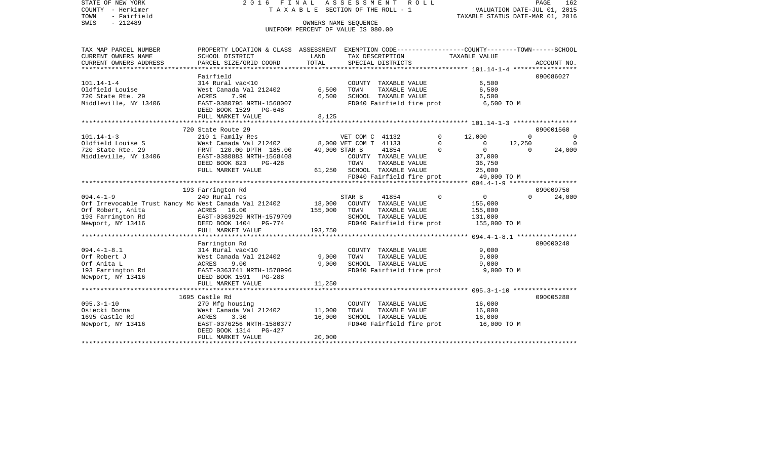COUNTY - Herkimer **T A X A B L E SECTION OF THE ROLL - 1** VALUATION DATE-JUL 01, 2015 TOWN - Fairfield TAXABLE STATUS DATE-MAR 01, 2016 SWIS - 212489 CONNERS NAME SEQUENCE UNIFORM PERCENT OF VALUE IS 080.00TAX MAP PARCEL NUMBER PROPERTY LOCATION & CLASS ASSESSMENT EXEMPTION CODE------------------COUNTY--------TOWN------SCHOOL CURRENT OWNERS NAME SCHOOL DISTRICT LAND TAX DESCRIPTION TAXABLE VALUECURRENT OWNERS ADDRESS PARCEL SIZE/GRID COORD TOTAL SPECIAL DISTRICTS ACCOUNT NO. \*\*\*\*\*\*\*\*\*\*\*\*\*\*\*\*\*\*\*\*\*\*\*\*\*\*\*\*\*\*\*\*\*\*\*\*\*\*\*\*\*\*\*\*\*\*\*\*\*\*\*\*\*\*\*\*\*\*\*\*\*\*\*\*\*\*\*\*\*\*\*\*\*\*\*\*\*\*\*\*\*\*\*\*\*\*\*\*\*\*\*\*\*\*\*\*\*\*\*\*\*\*\* 101.14-1-4 \*\*\*\*\*\*\*\*\*\*\*\*\*\*\*\*\* Fairfield 090086027090086027 101.14-1-4 314 Rural vac<10 COUNTY TAXABLE VALUE 6,500 Oldfield Louise West Canada Val 212402 6,500 TOWN TAXABLE VALUE 6,500 720 State Rte. 29 ACRES 7.90 6,500 SCHOOL TAXABLE VALUE 6,500 Middleville, NY 13406 EAST-0380795 NRTH-1568007 FD040 Fairfield fire prot 6,500 TO M DEED BOOK 1529 PG-648FULL MARKET VALUE 8,125 \*\*\*\*\*\*\*\*\*\*\*\*\*\*\*\*\*\*\*\*\*\*\*\*\*\*\*\*\*\*\*\*\*\*\*\*\*\*\*\*\*\*\*\*\*\*\*\*\*\*\*\*\*\*\*\*\*\*\*\*\*\*\*\*\*\*\*\*\*\*\*\*\*\*\*\*\*\*\*\*\*\*\*\*\*\*\*\*\*\*\*\*\*\*\*\*\*\*\*\*\*\*\* 101.14-1-3 \*\*\*\*\*\*\*\*\*\*\*\*\*\*\*\*\* 720 State Route 29 090001560101.14-1-3 210 1 Family Res VET COM C 41132 0 12,000 0 0 Vest Canada Val 212402 8,000 VET COM T 41133 0 0 12,250 0 0 720 State Rte. 29 FRNT 120.00 DPTH 185.00 49,000 STAR B 41854 0 0 0 24,000 Middleville, NY 13406 EAST-0380883 NRTH-1568408 COUNTY TAXABLE VALUE 37,000 DEED BOOK 823 PG-428 TOWN TAXABLE VALUE 36,750 FULL MARKET VALUE 61,250 SCHOOL TAXABLE VALUE 25,000 FD040 Fairfield fire prot 49,000 TO M<br>\*\*\*\*\*\*\*\*\*\*\*\*\*\*\*\*\*\*\*\*\*\*\*\*\*\*\*\*\*\*\*\* 094.4-1-9 \*\*\*\*\*\*\*\*\*\*\*\*\*\*\*\*\* \*\*\*\*\*\*\*\*\*\*\*\*\*\*\*\*\*\*\*\*\*\*\*\*\*\*\*\*\*\*\*\*\*\*\*\*\*\*\*\*\*\*\*\*\*\*\*\*\*\*\*\*\*\*\*\*\*\*\*\*\*\*\*\*\*\*\*\*\*\*\*\*\*\*\*\*\*\*\*\*\*\*\*\*\*\*\*\*\*\*\*\*\*\*\*\*\*\*\*\*\*\*\* 094.4-1-9 \*\*\*\*\*\*\*\*\*\*\*\*\*\*\*\*\*\* 193 Farrington Rd 090009750 094.4-1-9 240 Rural res STAR B 41854 0 0 0 24,000 Orf Irrevocable Trust Nancy Mc West Canada Val 212402 18,000 COUNTY TAXABLE VALUE 155,000 Orf Robert, Anita ACRES 16.00 155,000 TOWN TAXABLE VALUE 155,000 193 Farrington Rd EAST-0363929 NRTH-1579709 SCHOOL TAXABLE VALUE 131,000 Newport, NY 13416 **DEED BOOK 1404** PG-774 FD040 Fairfield fire prot 155,000 TO M FULL MARKET VALUE 193,750 \*\*\*\*\*\*\*\*\*\*\*\*\*\*\*\*\*\*\*\*\*\*\*\*\*\*\*\*\*\*\*\*\*\*\*\*\*\*\*\*\*\*\*\*\*\*\*\*\*\*\*\*\*\*\*\*\*\*\*\*\*\*\*\*\*\*\*\*\*\*\*\*\*\*\*\*\*\*\*\*\*\*\*\*\*\*\*\*\*\*\*\*\*\*\*\*\*\*\*\*\*\*\* 094.4-1-8.1 \*\*\*\*\*\*\*\*\*\*\*\*\*\*\*\* Farrington Rd 090000240 094.4-1-8.1 314 Rural vac<10 COUNTY TAXABLE VALUE 9,000 Orf Robert J West Canada Val 212402 9,000 TOWN TAXABLE VALUE 9,000 Orf Anita L ACRES 9.00 9,000 SCHOOL TAXABLE VALUE 9,000 193 Farrington Rd EAST-0363741 NRTH-1578996 FD040 Fairfield fire prot 9,000 TO M Newport, NY 13416 DEED BOOK 1591 PG-288 FULL MARKET VALUE 11,250 \*\*\*\*\*\*\*\*\*\*\*\*\*\*\*\*\*\*\*\*\*\*\*\*\*\*\*\*\*\*\*\*\*\*\*\*\*\*\*\*\*\*\*\*\*\*\*\*\*\*\*\*\*\*\*\*\*\*\*\*\*\*\*\*\*\*\*\*\*\*\*\*\*\*\*\*\*\*\*\*\*\*\*\*\*\*\*\*\*\*\*\*\*\*\*\*\*\*\*\*\*\*\* 095.3-1-10 \*\*\*\*\*\*\*\*\*\*\*\*\*\*\*\*\*1695 Castle Rd 090005280 095.3-1-10 270 Mfg housing COUNTY TAXABLE VALUE 16,000 Osiecki Donna West Canada Val 212402 11,000 TOWN TAXABLE VALUE 16,000 1695 Castle Rd ACRES 3.30 16,000 SCHOOL TAXABLE VALUE 16,000 Newport, NY 13416 **EAST-0376256 NRTH-1580377** FD040 Fairfield fire prot 16,000 TO M DEED BOOK 1314 PG-427 FULL MARKET VALUE 20,000 \*\*\*\*\*\*\*\*\*\*\*\*\*\*\*\*\*\*\*\*\*\*\*\*\*\*\*\*\*\*\*\*\*\*\*\*\*\*\*\*\*\*\*\*\*\*\*\*\*\*\*\*\*\*\*\*\*\*\*\*\*\*\*\*\*\*\*\*\*\*\*\*\*\*\*\*\*\*\*\*\*\*\*\*\*\*\*\*\*\*\*\*\*\*\*\*\*\*\*\*\*\*\*\*\*\*\*\*\*\*\*\*\*\*\*\*\*\*\*\*\*\*\*\*\*\*\*\*\*\*\*\*

STATE OF NEW YORK 2 0 1 6 F I N A L A S S E S S M E N T R O L L PAGE 162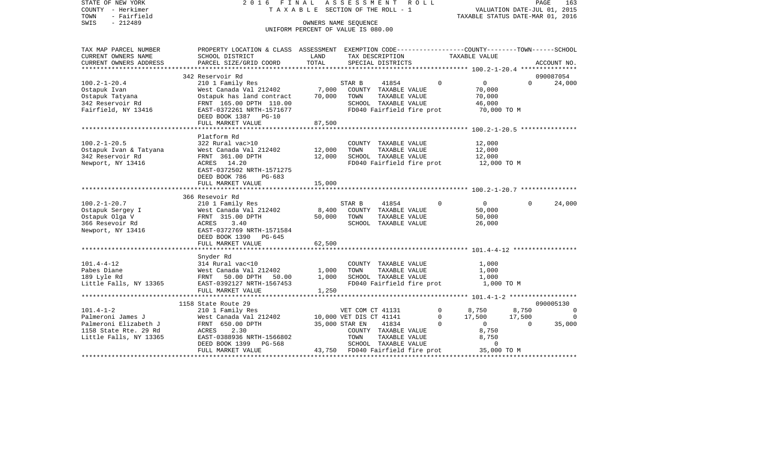| STATE OF NEW YORK<br>COUNTY - Herkimer                                                                                                 |                  | 2016 FINAL ASSESSMENT ROLL<br>T A X A B L E SECTION OF THE ROLL - 1 |          | VALUATION DATE-JUL 01, 2015                             | PAGE           | 163          |
|----------------------------------------------------------------------------------------------------------------------------------------|------------------|---------------------------------------------------------------------|----------|---------------------------------------------------------|----------------|--------------|
| TOWN<br>- Fairfield                                                                                                                    |                  |                                                                     |          | TAXABLE STATUS DATE-MAR 01, 2016                        |                |              |
| SWIS<br>$-212489$                                                                                                                      |                  | OWNERS NAME SEQUENCE                                                |          |                                                         |                |              |
|                                                                                                                                        |                  | UNIFORM PERCENT OF VALUE IS 080.00                                  |          |                                                         |                |              |
|                                                                                                                                        |                  |                                                                     |          |                                                         |                |              |
| PROPERTY LOCATION & CLASS ASSESSMENT EXEMPTION CODE----------------COUNTY-------TOWN------SCHOOL<br>TAX MAP PARCEL NUMBER              |                  |                                                                     |          |                                                         |                |              |
| CURRENT OWNERS NAME<br>SCHOOL DISTRICT                                                                                                 | LAND             | TAX DESCRIPTION                                                     |          | TAXABLE VALUE                                           |                |              |
| CURRENT OWNERS ADDRESS<br>PARCEL SIZE/GRID COORD                                                                                       | TOTAL            | SPECIAL DISTRICTS                                                   |          |                                                         |                | ACCOUNT NO.  |
|                                                                                                                                        |                  |                                                                     |          |                                                         |                |              |
| 342 Reservoir Rd                                                                                                                       |                  |                                                                     |          |                                                         |                | 090087054    |
| 210 1 Family Res<br>West Canada Val 212402 7,000 COUNTY TAXABLE VALUE<br>$100.2 - 1 - 20.4$                                            |                  | 41854                                                               | $\Omega$ | $\overline{0}$                                          | $\Omega$       | 24,000       |
| Ostapuk Ivan                                                                                                                           |                  |                                                                     |          | 70,000                                                  |                |              |
| Ostapuk Tatyana                                                                                                                        |                  | TOWN<br>TAXABLE VALUE                                               |          | 70,000                                                  |                |              |
| Nest Canada var ------<br>Ostapuk has land contract 70,000<br>FRNT 165.00 DPTH 110.00<br>EAST-0372261 NRTH-1571677<br>342 Reservoir Rd |                  | SCHOOL TAXABLE VALUE                                                |          | 46,000                                                  |                |              |
| Fairfield, NY 13416                                                                                                                    |                  | FD040 Fairfield fire prot                                           |          | 70,000 TO M                                             |                |              |
| DEED BOOK 1387 PG-10                                                                                                                   |                  |                                                                     |          |                                                         |                |              |
| FULL MARKET VALUE                                                                                                                      | 87,500           |                                                                     |          |                                                         |                |              |
|                                                                                                                                        |                  |                                                                     |          |                                                         |                |              |
| Platform Rd<br>322 Rural vac>10                                                                                                        |                  |                                                                     |          |                                                         |                |              |
| $100.2 - 1 - 20.5$                                                                                                                     |                  | COUNTY TAXABLE VALUE<br>TOWN                                        |          | 12,000                                                  |                |              |
|                                                                                                                                        | 12,000<br>12,000 | TAXABLE VALUE<br>SCHOOL TAXABLE VALUE                               |          | 12,000<br>12,000                                        |                |              |
| Newport, NY 13416<br>ACRES 14.20                                                                                                       |                  | FD040 Fairfield fire prot                                           |          | 12,000 TO M                                             |                |              |
| EAST-0372502 NRTH-1571275                                                                                                              |                  |                                                                     |          |                                                         |                |              |
| DEED BOOK 786<br>PG-683                                                                                                                |                  |                                                                     |          |                                                         |                |              |
| FULL MARKET VALUE                                                                                                                      | 15,000           |                                                                     |          |                                                         |                |              |
|                                                                                                                                        |                  |                                                                     |          |                                                         |                |              |
| 366 Resevoir Rd                                                                                                                        |                  |                                                                     |          |                                                         |                |              |
| 100.2-1-20.7<br>210 1 Family Res                                                                                                       |                  | STAR B<br>41854                                                     | $\Omega$ | $\overline{0}$                                          | $\Omega$       | 24,000       |
|                                                                                                                                        | 8,400            | COUNTY TAXABLE VALUE                                                |          | 50,000                                                  |                |              |
|                                                                                                                                        | 50,000           | TOWN<br>TAXABLE VALUE                                               |          | 50,000                                                  |                |              |
|                                                                                                                                        |                  | SCHOOL TAXABLE VALUE                                                |          | 26,000                                                  |                |              |
|                                                                                                                                        |                  |                                                                     |          |                                                         |                |              |
| DEED BOOK 1390 PG-645                                                                                                                  |                  |                                                                     |          |                                                         |                |              |
|                                                                                                                                        |                  |                                                                     |          |                                                         |                |              |
| FULL MARKET VALUE                                                                                                                      | 62,500           |                                                                     |          |                                                         |                |              |
|                                                                                                                                        |                  |                                                                     |          |                                                         |                |              |
| Snyder Rd                                                                                                                              |                  |                                                                     |          |                                                         |                |              |
| 101.4-4-12                                                                                                                             |                  | COUNTY TAXABLE VALUE                                                |          | 1,000                                                   |                |              |
|                                                                                                                                        |                  | TOWN<br>TAXABLE VALUE                                               |          | 1,000                                                   |                |              |
| Pabes Diane<br>189 Lyle Rd                                                                                                             |                  | SCHOOL TAXABLE VALUE                                                |          | 1,000                                                   |                |              |
| 314 Rural vac<10<br>West Canada Val 212402 1,000<br>FRNT 50.00 DPTH 50.00 1,000<br>EAST-0392127 NRTH-1567453                           |                  | FD040 Fairfield fire prot                                           |          | 1,000 TO M                                              |                |              |
| Little Falls, NY 13365<br>FULL MARKET VALUE                                                                                            | 1,250            |                                                                     |          |                                                         |                |              |
| 1158 State Route 29                                                                                                                    |                  |                                                                     |          |                                                         |                | 090005130    |
|                                                                                                                                        |                  | VET COM CT 41131                                                    |          |                                                         | 8,750          | $\mathbf{0}$ |
|                                                                                                                                        |                  | 10,000 VET DIS CT 41141                                             |          | $\begin{array}{cc} 0 & 8,750 \\ 0 & 17,500 \end{array}$ | 17,500         | 0            |
|                                                                                                                                        |                  | 35,000 STAR EN<br>41834                                             | $\Omega$ | $\overline{0}$                                          | $\overline{0}$ | 35,000       |
|                                                                                                                                        |                  | COUNTY TAXABLE VALUE                                                |          | 8,750                                                   |                |              |
|                                                                                                                                        |                  | TOWN<br>TAXABLE VALUE                                               |          | 8,750                                                   |                |              |
| PG-568<br>DEED BOOK 1399<br>FULL MARKET VALUE                                                                                          |                  | SCHOOL TAXABLE VALUE<br>43,750 FD040 Fairfield fire prot            |          | $\overline{0}$<br>35,000 TO M                           |                |              |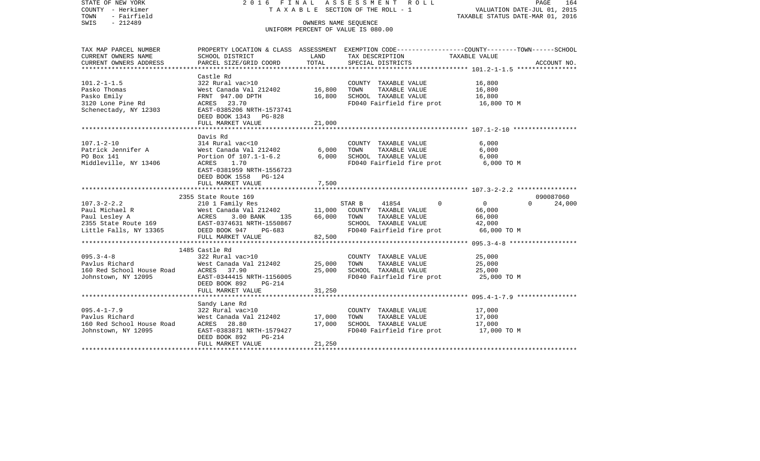| STATE OF NEW YORK<br>COUNTY - Herkimer<br>- Fairfield<br>TOWN<br>SWIS<br>$-212489$                                           | 2016 FINAL                                                        |        | ASSESSMENT ROLL<br>TAXABLE SECTION OF THE ROLL - 1<br>OWNERS NAME SEQUENCE<br>UNIFORM PERCENT OF VALUE IS 080.00 | PAGE<br>164<br>VALUATION DATE-JUL 01, 2015<br>TAXABLE STATUS DATE-MAR 01, 2016                                    |
|------------------------------------------------------------------------------------------------------------------------------|-------------------------------------------------------------------|--------|------------------------------------------------------------------------------------------------------------------|-------------------------------------------------------------------------------------------------------------------|
| TAX MAP PARCEL NUMBER<br>CURRENT OWNERS NAME                                                                                 | SCHOOL DISTRICT                                                   | LAND   | TAX DESCRIPTION                                                                                                  | PROPERTY LOCATION & CLASS ASSESSMENT EXEMPTION CODE----------------COUNTY-------TOWN------SCHOOL<br>TAXABLE VALUE |
| CURRENT OWNERS ADDRESS                                                                                                       | PARCEL SIZE/GRID COORD                                            | TOTAL  | SPECIAL DISTRICTS                                                                                                | ACCOUNT NO.                                                                                                       |
|                                                                                                                              |                                                                   |        |                                                                                                                  |                                                                                                                   |
|                                                                                                                              | Castle Rd                                                         |        |                                                                                                                  |                                                                                                                   |
| $101.2 - 1 - 1.5$                                                                                                            | 322 Rural vac>10                                                  |        | COUNTY TAXABLE VALUE                                                                                             | 16,800                                                                                                            |
| Pasko Thomas                                                                                                                 | West Canada Val 212402                                            | 16,800 | TOWN<br>TAXABLE VALUE                                                                                            | 16,800                                                                                                            |
| Pasko Emily                                                                                                                  | FRNT 947.00 DPTH                                                  | 16,800 | SCHOOL TAXABLE VALUE                                                                                             | 16,800                                                                                                            |
| 3120 Lone Pine Rd<br>Schenectady, NY 12303                                                                                   | ACRES 23.70<br>EAST-0385206 NRTH-1573741<br>DEED BOOK 1343 PG-828 |        | FD040 Fairfield fire prot                                                                                        | 16,800 TO M                                                                                                       |
|                                                                                                                              | FULL MARKET VALUE                                                 | 21,000 |                                                                                                                  |                                                                                                                   |
|                                                                                                                              |                                                                   |        |                                                                                                                  |                                                                                                                   |
|                                                                                                                              | Davis Rd                                                          |        |                                                                                                                  |                                                                                                                   |
| $107.1 - 2 - 10$                                                                                                             | 314 Rural vac<10                                                  |        | COUNTY TAXABLE VALUE                                                                                             | 6.000                                                                                                             |
| Patrick Jennifer A                                                                                                           | West Canada Val 212402                                            | 6,000  | TOWN<br>TAXABLE VALUE                                                                                            | 6,000                                                                                                             |
| PO Box 141                                                                                                                   | Portion Of 107.1-1-6.2                                            | 6,000  | SCHOOL TAXABLE VALUE                                                                                             | 6,000                                                                                                             |
| Middleville, NY 13406                                                                                                        | ACRES 1.70                                                        |        | FD040 Fairfield fire prot                                                                                        | 6,000 TO M                                                                                                        |
|                                                                                                                              | EAST-0381959 NRTH-1556723<br>DEED BOOK 1558 PG-124                |        |                                                                                                                  |                                                                                                                   |
|                                                                                                                              | FULL MARKET VALUE                                                 | 7,500  |                                                                                                                  |                                                                                                                   |
|                                                                                                                              |                                                                   |        |                                                                                                                  |                                                                                                                   |
|                                                                                                                              | 2355 State Route 169                                              |        |                                                                                                                  | 090087060                                                                                                         |
| $107.3 - 2 - 2.2$                                                                                                            | 210 1 Family Res                                                  |        | 41854<br>$\Omega$<br>STAR B                                                                                      | $\overline{0}$<br>$\Omega$<br>24,000                                                                              |
|                                                                                                                              | $West$ Canada Val 212402 11,000                                   |        | COUNTY TAXABLE VALUE                                                                                             | 66,000                                                                                                            |
| Paul Michael R Mest Canada Val 212402<br>Paul Lesley A MCRES 3.00 BANK 135<br>2355 State Route 169 EAST-0374631 NRTH-1550867 | ACRES 3.00 BANK 135                                               |        | 66,000 TOWN<br>TAXABLE VALUE                                                                                     | 66,000                                                                                                            |
|                                                                                                                              |                                                                   |        | SCHOOL TAXABLE VALUE                                                                                             | 42,000                                                                                                            |
| Little Falls, NY 13365                                                                                                       | DEED BOOK 947 PG-683                                              |        | FD040 Fairfield fire prot                                                                                        | 66,000 TO M                                                                                                       |
|                                                                                                                              | FULL MARKET VALUE                                                 | 82,500 |                                                                                                                  |                                                                                                                   |
|                                                                                                                              | 1485 Castle Rd                                                    |        |                                                                                                                  |                                                                                                                   |
| $095.3 - 4 - 8$                                                                                                              | 322 Rural vac>10                                                  |        | COUNTY TAXABLE VALUE                                                                                             | 25,000                                                                                                            |
| Pavlus Richard                                                                                                               | West Canada Val 212402                                            | 25,000 | TOWN<br>TAXABLE VALUE                                                                                            | 25,000                                                                                                            |
| 160 Red School House Road (1997) 27.90<br>Johnstown, NY 12095 (1987) 2087-0344415                                            |                                                                   | 25,000 | SCHOOL TAXABLE VALUE                                                                                             | 25,000                                                                                                            |
| Johnstown, NY 12095                                                                                                          | EAST-0344415 NRTH-1156005                                         |        | FD040 Fairfield fire prot                                                                                        | 25,000 TO M                                                                                                       |
|                                                                                                                              | DEED BOOK 892<br>PG-214                                           |        |                                                                                                                  |                                                                                                                   |
|                                                                                                                              | FULL MARKET VALUE                                                 | 31,250 |                                                                                                                  |                                                                                                                   |
|                                                                                                                              |                                                                   |        |                                                                                                                  |                                                                                                                   |
|                                                                                                                              | Sandy Lane Rd                                                     |        |                                                                                                                  |                                                                                                                   |
| $095.4 - 1 - 7.9$<br>Pavlus Richard                                                                                          | 322 Rural vac>10<br>West Canada Val 212402                        | 17,000 | COUNTY TAXABLE VALUE<br>TAXABLE VALUE<br>TOWN                                                                    | 17,000<br>17,000                                                                                                  |
| 160 Red School House Road                                                                                                    | ACRES 28.80                                                       | 17,000 | SCHOOL TAXABLE VALUE                                                                                             | 17,000                                                                                                            |
| Johnstown, NY 12095                                                                                                          | EAST-0383871 NRTH-1579427                                         |        | FD040 Fairfield fire prot                                                                                        | 17,000 TO M                                                                                                       |
|                                                                                                                              | DEED BOOK 892<br>PG-214                                           |        |                                                                                                                  |                                                                                                                   |
|                                                                                                                              | FULL MARKET VALUE                                                 | 21,250 |                                                                                                                  |                                                                                                                   |
|                                                                                                                              |                                                                   |        |                                                                                                                  |                                                                                                                   |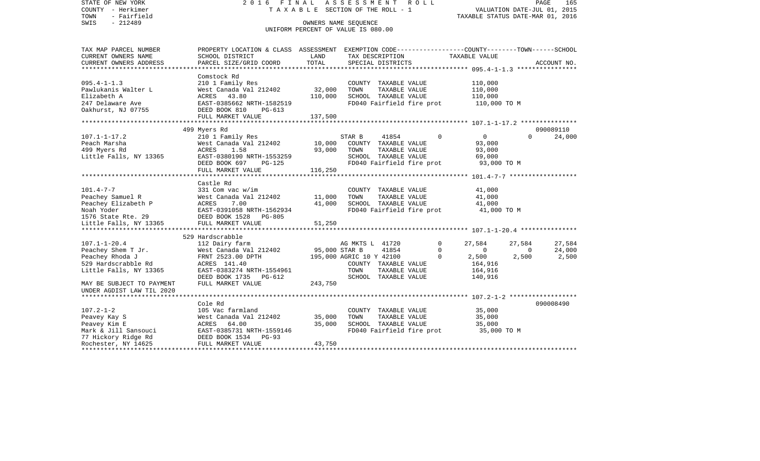STATE OF NEW YORK 2 0 1 6 F I N A L A S S E S S M E N T R O L L PAGE 165VALUATION DATE-JUL 01, 2015 COUNTY - Herkimer T A X A B L E SECTION OF THE ROLL - 1 TOWN - Fairfield TAXABLE STATUS DATE-MAR 01, 2016 SWIS - 212489 OWNERS NAME SEQUENCE UNIFORM PERCENT OF VALUE IS 080.00TAX MAP PARCEL NUMBER PROPERTY LOCATION & CLASS ASSESSMENT EXEMPTION CODE------------------COUNTY--------TOWN------SCHOOL CURRENT OWNERS NAME SCHOOL DISTRICT LAND TAX DESCRIPTION TAXABLE VALUECURRENT OWNERS ADDRESS PARCEL SIZE/GRID COORD TOTAL SPECIAL DISTRICTS ACCOUNT NO. \*\*\*\*\*\*\*\*\*\*\*\*\*\*\*\*\*\*\*\*\*\*\*\*\*\*\*\*\*\*\*\*\*\*\*\*\*\*\*\*\*\*\*\*\*\*\*\*\*\*\*\*\*\*\*\*\*\*\*\*\*\*\*\*\*\*\*\*\*\*\*\*\*\*\*\*\*\*\*\*\*\*\*\*\*\*\*\*\*\*\*\*\*\*\*\*\*\*\*\*\*\*\* 095.4-1-1.3 \*\*\*\*\*\*\*\*\*\*\*\*\*\*\*\* Comstock Rd 095.4-1-1.3 210 1 Family Res COUNTY TAXABLE VALUE 110,000 Pawlukanis Walter L West Canada Val 212402 32,000 TOWN TAXABLE VALUE 110,000 Elizabeth A ACRES 43.80 110,000 SCHOOL TAXABLE VALUE 110,000 247 Delaware Ave EAST-0385662 NRTH-1582519 FD040 Fairfield fire prot 110,000 TO M<br>Oakhurst, NJ 07755 DEED BOOK 810 PG-613 DEED BOOK 810 PG-613 FULL MARKET VALUE 137,500 \*\*\*\*\*\*\*\*\*\*\*\*\*\*\*\*\*\*\*\*\*\*\*\*\*\*\*\*\*\*\*\*\*\*\*\*\*\*\*\*\*\*\*\*\*\*\*\*\*\*\*\*\*\*\*\*\*\*\*\*\*\*\*\*\*\*\*\*\*\*\*\*\*\*\*\*\*\*\*\*\*\*\*\*\*\*\*\*\*\*\*\*\*\*\*\*\*\*\*\*\*\*\* 107.1-1-17.2 \*\*\*\*\*\*\*\*\*\*\*\*\*\*\* 499 Myers Rd 090089110 107.1-1-17.2 210 1 Family Res STAR B 41854 0 0 0 24,000 Peach Marsha West Canada Val 212402 10,000 COUNTY TAXABLE VALUE 93,000 499 Myers Rd ACRES 1.58 93,000 TOWN TAXABLE VALUE 93,000 Little Falls, NY 13365 EAST-0380190 NRTH-1553259 SCHOOL TAXABLE VALUE 69,000 DEED BOOK 697 PG-125 FD040 Fairfield fire prot 93,000 TO M FULL MARKET VALUE 116,250 \*\*\*\*\*\*\*\*\*\*\*\*\*\*\*\*\*\*\*\*\*\*\*\*\*\*\*\*\*\*\*\*\*\*\*\*\*\*\*\*\*\*\*\*\*\*\*\*\*\*\*\*\*\*\*\*\*\*\*\*\*\*\*\*\*\*\*\*\*\*\*\*\*\*\*\*\*\*\*\*\*\*\*\*\*\*\*\*\*\*\*\*\*\*\*\*\*\*\*\*\*\*\* 101.4-7-7 \*\*\*\*\*\*\*\*\*\*\*\*\*\*\*\*\*\* Castle Rd101.4-7-7 331 Com vac w/im COUNTY TAXABLE VALUE 41,000 Peachey Samuel R 641,000 West Canada Val 212402 11,000 TOWN TAXABLE VALUE 41,000 Peachey Elizabeth P ACRES 7.00 41,000 SCHOOL TAXABLE VALUE 41,000 Noah Yoder EAST-0391058 NRTH-1562934 FD040 Fairfield fire prot 41,000 TO M 1576 State Rte. 29 DEED BOOK 1528 PG-805Little Falls, NY 13365 FULL MARKET VALUE 51,250 \*\*\*\*\*\*\*\*\*\*\*\*\*\*\*\*\*\*\*\*\*\*\*\*\*\*\*\*\*\*\*\*\*\*\*\*\*\*\*\*\*\*\*\*\*\*\*\*\*\*\*\*\*\*\*\*\*\*\*\*\*\*\*\*\*\*\*\*\*\*\*\*\*\*\*\*\*\*\*\*\*\*\*\*\*\*\*\*\*\*\*\*\*\*\*\*\*\*\*\*\*\*\* 107.1-1-20.4 \*\*\*\*\*\*\*\*\*\*\*\*\*\*\* 529 Hardscrabble107.1-1-20.4 112 Dairy farm AG MKTS L 41720 0 27,584 27,584 27,584 Peachey Shem T Jr. West Canada Val 212402 95,000 STAR B 41854 0 0 0 24,000 Peachey Rhoda J **FRNT 2523.00 DPTH** 195,000 AGRIC 10 Y 42100 0 2,500 2,500 2,500 2,500 529 Hardscrabble Rd ACRES 141.40 COUNTY TAXABLE VALUE 164,916 Little Falls, NY 13365 EAST-0383274 NRTH-1554961 TOWN TAXABLE VALUE 164,916 DEED BOOK 1735 PG-612 SCHOOL TAXABLE VALUE 140,916 MAY BE SUBJECT TO PAYMENT FULL MARKET VALUE  $243.750$ UNDER AGDIST LAW TIL 2020 \*\*\*\*\*\*\*\*\*\*\*\*\*\*\*\*\*\*\*\*\*\*\*\*\*\*\*\*\*\*\*\*\*\*\*\*\*\*\*\*\*\*\*\*\*\*\*\*\*\*\*\*\*\*\*\*\*\*\*\*\*\*\*\*\*\*\*\*\*\*\*\*\*\*\*\*\*\*\*\*\*\*\*\*\*\*\*\*\*\*\*\*\*\*\*\*\*\*\*\*\*\*\* 107.2-1-2 \*\*\*\*\*\*\*\*\*\*\*\*\*\*\*\*\*\* Cole Rd 090008490107.2-1-2 105 Vac farmland COUNTY TAXABLE VALUE 35,000 Peavey Kay S West Canada Val 212402 35,000 TOWN TAXABLE VALUE 35,000 Peavey Kim E ACRES 64.00 35,000 SCHOOL TAXABLE VALUE 35,000 Mark & Jill Sansouci **EAST-0385731 NRTH-1559146** FD040 Fairfield fire prot 35,000 TO M 77 Hickory Ridge Rd DEED BOOK 1534 PG-93 Rochester, NY 14625 FULL MARKET VALUE 43,750 \*\*\*\*\*\*\*\*\*\*\*\*\*\*\*\*\*\*\*\*\*\*\*\*\*\*\*\*\*\*\*\*\*\*\*\*\*\*\*\*\*\*\*\*\*\*\*\*\*\*\*\*\*\*\*\*\*\*\*\*\*\*\*\*\*\*\*\*\*\*\*\*\*\*\*\*\*\*\*\*\*\*\*\*\*\*\*\*\*\*\*\*\*\*\*\*\*\*\*\*\*\*\*\*\*\*\*\*\*\*\*\*\*\*\*\*\*\*\*\*\*\*\*\*\*\*\*\*\*\*\*\*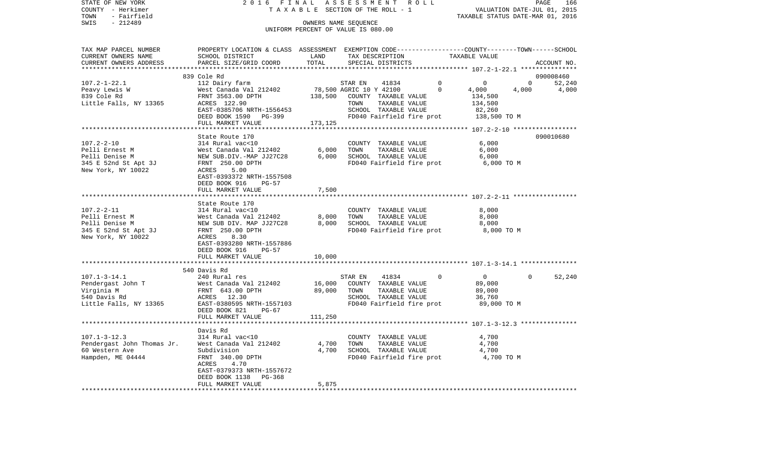| STATE OF NEW YORK          | 2016 FINAL ASSESSMENT ROLL                                                                     |         |                                    |               |                           |                                  |                | PAGE<br>166 |
|----------------------------|------------------------------------------------------------------------------------------------|---------|------------------------------------|---------------|---------------------------|----------------------------------|----------------|-------------|
| COUNTY - Herkimer          |                                                                                                |         | TAXABLE SECTION OF THE ROLL - 1    |               |                           | VALUATION DATE-JUL 01, 2015      |                |             |
| - Fairfield<br>TOWN        |                                                                                                |         |                                    |               |                           | TAXABLE STATUS DATE-MAR 01, 2016 |                |             |
| SWIS<br>$-212489$          |                                                                                                |         | OWNERS NAME SEQUENCE               |               |                           |                                  |                |             |
|                            |                                                                                                |         | UNIFORM PERCENT OF VALUE IS 080.00 |               |                           |                                  |                |             |
|                            |                                                                                                |         |                                    |               |                           |                                  |                |             |
|                            |                                                                                                |         |                                    |               |                           |                                  |                |             |
| TAX MAP PARCEL NUMBER      | PROPERTY LOCATION & CLASS ASSESSMENT EXEMPTION CODE---------------COUNTY-------TOWN-----SCHOOL |         |                                    |               |                           |                                  |                |             |
| CURRENT OWNERS NAME        | SCHOOL DISTRICT                                                                                | LAND    | TAX DESCRIPTION                    |               |                           | TAXABLE VALUE                    |                |             |
| CURRENT OWNERS ADDRESS     | PARCEL SIZE/GRID COORD                                                                         | TOTAL   | SPECIAL DISTRICTS                  |               |                           |                                  |                | ACCOUNT NO. |
|                            |                                                                                                |         |                                    |               |                           |                                  |                |             |
|                            | 839 Cole Rd                                                                                    |         |                                    |               |                           |                                  |                | 090008460   |
| $107.2 - 1 - 22.1$         | 112 Dairy farm                                                                                 |         | STAR EN                            | 41834         | $\circ$                   | $\overline{0}$                   | $\overline{0}$ | 52,240      |
| Peavy Lewis W              | West Canada Val 212402                                                                         |         | 78,500 AGRIC 10 Y 42100            |               | $\Omega$                  | 4,000                            | 4,000          | 4,000       |
| 839 Cole Rd                | FRNT 3563.00 DPTH                                                                              | 138,500 | COUNTY TAXABLE VALUE               |               |                           | 134,500                          |                |             |
| Little Falls, NY 13365     | ACRES 122.90                                                                                   |         | TOWN                               | TAXABLE VALUE |                           | 134,500                          |                |             |
|                            | EAST-0385706 NRTH-1556453                                                                      |         | SCHOOL TAXABLE VALUE               |               |                           | 82,260                           |                |             |
|                            | DEED BOOK 1590 PG-399                                                                          |         |                                    |               | FD040 Fairfield fire prot | 138,500 TO M                     |                |             |
|                            | FULL MARKET VALUE                                                                              | 173,125 |                                    |               |                           |                                  |                |             |
|                            |                                                                                                |         |                                    |               |                           |                                  |                |             |
|                            | State Route 170                                                                                |         |                                    |               |                           |                                  |                | 090010680   |
| $107.2 - 2 - 10$           | 314 Rural vac<10                                                                               |         | COUNTY TAXABLE VALUE               |               |                           | 6,000                            |                |             |
| Pelli Ernest M             | West Canada Val 212402                                                                         | $6,000$ | TOWN                               | TAXABLE VALUE |                           | 6,000                            |                |             |
| Pelli Denise M             | NEW SUB.DIV.-MAP JJ27C28                                                                       | 6,000   | SCHOOL TAXABLE VALUE               |               |                           | 6,000                            |                |             |
| 345 E 52nd St Apt 3J       | FRNT 250.00 DPTH                                                                               |         |                                    |               | FD040 Fairfield fire prot | 6,000 TO M                       |                |             |
| New York, NY 10022         | ACRES<br>5.00                                                                                  |         |                                    |               |                           |                                  |                |             |
|                            | EAST-0393372 NRTH-1557508                                                                      |         |                                    |               |                           |                                  |                |             |
|                            | DEED BOOK 916<br><b>PG-57</b>                                                                  |         |                                    |               |                           |                                  |                |             |
|                            | FULL MARKET VALUE                                                                              | 7,500   |                                    |               |                           |                                  |                |             |
|                            |                                                                                                |         |                                    |               |                           |                                  |                |             |
|                            | State Route 170                                                                                |         |                                    |               |                           |                                  |                |             |
| $107.2 - 2 - 11$           | 314 Rural vac<10                                                                               |         | COUNTY TAXABLE VALUE               |               |                           | 8,000                            |                |             |
| Pelli Ernest M             | West Canada Val 212402                                                                         | 8,000   | TOWN                               | TAXABLE VALUE |                           | 8,000                            |                |             |
| Pelli Denise M             | NEW SUB DIV. MAP JJ27C28                                                                       | 8,000   | SCHOOL TAXABLE VALUE               |               |                           | 8,000                            |                |             |
| 345 E 52nd St Apt 3J       | FRNT 250.00 DPTH                                                                               |         |                                    |               | FD040 Fairfield fire prot | 8,000 TO M                       |                |             |
| New York, NY 10022         | 8.30<br>ACRES                                                                                  |         |                                    |               |                           |                                  |                |             |
|                            | EAST-0393280 NRTH-1557886                                                                      |         |                                    |               |                           |                                  |                |             |
|                            | DEED BOOK 916<br><b>PG-57</b>                                                                  |         |                                    |               |                           |                                  |                |             |
|                            | FULL MARKET VALUE                                                                              | 10,000  |                                    |               |                           |                                  |                |             |
|                            |                                                                                                |         |                                    |               |                           |                                  |                |             |
|                            | 540 Davis Rd                                                                                   |         |                                    |               |                           |                                  |                |             |
| $107.1 - 3 - 14.1$         | 240 Rural res                                                                                  |         | STAR EN                            | 41834         | $\Omega$                  | $\overline{0}$                   | $\Omega$       | 52,240      |
| Pendergast John T          | West Canada Val 212402                                                                         | 16,000  | COUNTY TAXABLE VALUE               |               |                           | 89,000                           |                |             |
| Virginia M                 | FRNT 643.00 DPTH                                                                               | 89,000  | TOWN                               | TAXABLE VALUE |                           | 89,000                           |                |             |
| 540 Davis Rd               | ACRES 12.30                                                                                    |         | SCHOOL TAXABLE VALUE               |               |                           | 36,760                           |                |             |
| Little Falls, NY 13365     | EAST-0380595 NRTH-1557103                                                                      |         |                                    |               | FD040 Fairfield fire prot | 89,000 TO M                      |                |             |
|                            | DEED BOOK 821<br>PG-67                                                                         |         |                                    |               |                           |                                  |                |             |
|                            | FULL MARKET VALUE                                                                              | 111,250 |                                    |               |                           |                                  |                |             |
|                            |                                                                                                |         |                                    |               |                           |                                  |                |             |
|                            | Davis Rd                                                                                       |         |                                    |               |                           |                                  |                |             |
| $107.1 - 3 - 12.3$         | 314 Rural vac<10                                                                               |         | COUNTY TAXABLE VALUE               |               |                           | 4,700                            |                |             |
| Pendergast John Thomas Jr. | West Canada Val 212402                                                                         | 4,700   | TOWN                               | TAXABLE VALUE |                           | 4,700                            |                |             |
| 60 Western Ave             | Subdivision                                                                                    | 4,700   | SCHOOL TAXABLE VALUE               |               |                           | 4,700                            |                |             |
| Hampden, ME 04444          | FRNT 340.00 DPTH                                                                               |         |                                    |               | FD040 Fairfield fire prot | 4,700 TO M                       |                |             |
|                            | 4.70<br>ACRES                                                                                  |         |                                    |               |                           |                                  |                |             |
|                            | EAST-0379373 NRTH-1557672                                                                      |         |                                    |               |                           |                                  |                |             |
|                            | DEED BOOK 1138<br>PG-368                                                                       |         |                                    |               |                           |                                  |                |             |
|                            | FULL MARKET VALUE                                                                              | 5,875   |                                    |               |                           |                                  |                |             |
|                            |                                                                                                |         |                                    |               |                           |                                  |                |             |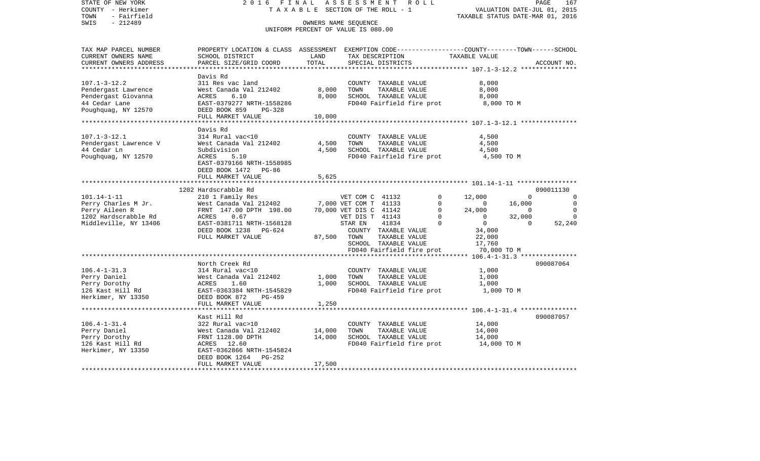| STATE OF NEW YORK<br>COUNTY - Herkimer<br>TOWN<br>- Fairfield<br>$-212489$<br>SWIS                          | 2016 FINAL                                                                                                                                                                                |                            | ASSESSMENT ROLL<br>TAXABLE SECTION OF THE ROLL - 1<br>OWNERS NAME SEQUENCE<br>UNIFORM PERCENT OF VALUE IS 080.00                                                                                                                                 | PAGE<br>167<br>VALUATION DATE-JUL 01, 2015<br>TAXABLE STATUS DATE-MAR 01, 2016                                                                                                                                                            |
|-------------------------------------------------------------------------------------------------------------|-------------------------------------------------------------------------------------------------------------------------------------------------------------------------------------------|----------------------------|--------------------------------------------------------------------------------------------------------------------------------------------------------------------------------------------------------------------------------------------------|-------------------------------------------------------------------------------------------------------------------------------------------------------------------------------------------------------------------------------------------|
| TAX MAP PARCEL NUMBER<br>CURRENT OWNERS NAME<br>CURRENT OWNERS ADDRESS                                      | SCHOOL DISTRICT<br>PARCEL SIZE/GRID COORD                                                                                                                                                 | LAND<br>TOTAL              | TAX DESCRIPTION<br>SPECIAL DISTRICTS                                                                                                                                                                                                             | PROPERTY LOCATION & CLASS ASSESSMENT EXEMPTION CODE----------------COUNTY-------TOWN-----SCHOOL<br>TAXABLE VALUE<br>ACCOUNT NO.                                                                                                           |
| $107.1 - 3 - 12.2$<br>Pendergast Lawrence<br>Pendergast Giovanna<br>44 Cedar Lane<br>Poughquag, NY 12570    | Davis Rd<br>311 Res vac land<br>West Canada Val 212402<br>ACRES<br>6.10<br>EAST-0379277 NRTH-1558286<br>DEED BOOK 859<br>PG-328<br>FULL MARKET VALUE                                      | 8,000<br>8,000<br>10,000   | COUNTY TAXABLE VALUE<br>TOWN<br>TAXABLE VALUE<br>SCHOOL TAXABLE VALUE<br>FD040 Fairfield fire prot                                                                                                                                               | 8,000<br>8,000<br>8,000<br>8,000 TO M                                                                                                                                                                                                     |
| $107.1 - 3 - 12.1$<br>Pendergast Lawrence V<br>44 Cedar Ln<br>Poughquag, NY 12570                           | Davis Rd<br>314 Rural vac<10<br>West Canada Val 212402<br>Subdivision<br>ACRES<br>5.10<br>EAST-0379166 NRTH-1558985<br>DEED BOOK 1472 PG-86<br>FULL MARKET VALUE                          | 4,500<br>4,500             | COUNTY TAXABLE VALUE<br>TOWN<br>TAXABLE VALUE<br>SCHOOL TAXABLE VALUE<br>FD040 Fairfield fire prot                                                                                                                                               | 4,500<br>4,500<br>4,500<br>4,500 TO M                                                                                                                                                                                                     |
|                                                                                                             |                                                                                                                                                                                           | 5,625                      |                                                                                                                                                                                                                                                  |                                                                                                                                                                                                                                           |
| $101.14 - 1 - 11$<br>Perry Charles M Jr.<br>Perry Aileen R<br>1202 Hardscrabble Rd<br>Middleville, NY 13406 | 1202 Hardscrabble Rd<br>210 1 Family Res<br>West Canada Val 212402<br>FRNT 147.00 DPTH 198.00<br>0.67<br>ACRES<br>EAST-0381711 NRTH-1568128<br>DEED BOOK 1238 PG-624<br>FULL MARKET VALUE | 87,500                     | VET COM C 41132<br>0<br>7,000 VET COM T 41133<br>$\mathbf 0$<br>70,000 VET DIS C 41142<br>$\mathbf 0$<br>VET DIS T 41143<br>$\mathbf 0$<br>STAR EN<br>41834<br>$\Omega$<br>COUNTY TAXABLE VALUE<br>TOWN<br>TAXABLE VALUE<br>SCHOOL TAXABLE VALUE | 090011130<br>12,000<br>$\mathbf 0$<br>$\Omega$<br>16,000<br>$\mathbf 0$<br>$\sim$ 0<br>24,000<br>$\Omega$<br>$\overline{0}$<br>$\overline{0}$<br>32,000<br>$\Omega$<br>$\overline{0}$<br>$\Omega$<br>52,240<br>34,000<br>22,000<br>17,760 |
|                                                                                                             |                                                                                                                                                                                           |                            | FD040 Fairfield fire prot                                                                                                                                                                                                                        | 70,000 TO M                                                                                                                                                                                                                               |
| $106.4 - 1 - 31.3$<br>Perry Daniel<br>Perry Dorothy<br>126 Kast Hill Rd<br>Herkimer, NY 13350               | North Creek Rd<br>314 Rural vac<10<br>West Canada Val 212402<br>ACRES<br>1.60<br>EAST-0363384 NRTH-1545829<br>DEED BOOK 872<br>PG-459                                                     | 1,000<br>1,000             | COUNTY TAXABLE VALUE<br>TOWN<br>TAXABLE VALUE<br>SCHOOL TAXABLE VALUE<br>FD040 Fairfield fire prot                                                                                                                                               | 090087064<br>1,000<br>1,000<br>1,000<br>1,000 TO M                                                                                                                                                                                        |
|                                                                                                             | FULL MARKET VALUE                                                                                                                                                                         | 1,250                      |                                                                                                                                                                                                                                                  |                                                                                                                                                                                                                                           |
| $106.4 - 1 - 31.4$<br>Perry Daniel<br>Perry Dorothy<br>126 Kast Hill Rd<br>Herkimer, NY 13350               | Kast Hill Rd<br>322 Rural vac>10<br>West Canada Val 212402<br>FRNT 1128.00 DPTH<br>ACRES 12.60<br>EAST-0362866 NRTH-1545824<br>DEED BOOK 1264<br>$PG-252$<br>FULL MARKET VALUE            | 14,000<br>14,000<br>17,500 | COUNTY TAXABLE VALUE<br>TOWN<br>TAXABLE VALUE<br>SCHOOL TAXABLE VALUE<br>FD040 Fairfield fire prot                                                                                                                                               | 090087057<br>14,000<br>14,000<br>14,000<br>14,000 TO M                                                                                                                                                                                    |
|                                                                                                             |                                                                                                                                                                                           |                            |                                                                                                                                                                                                                                                  |                                                                                                                                                                                                                                           |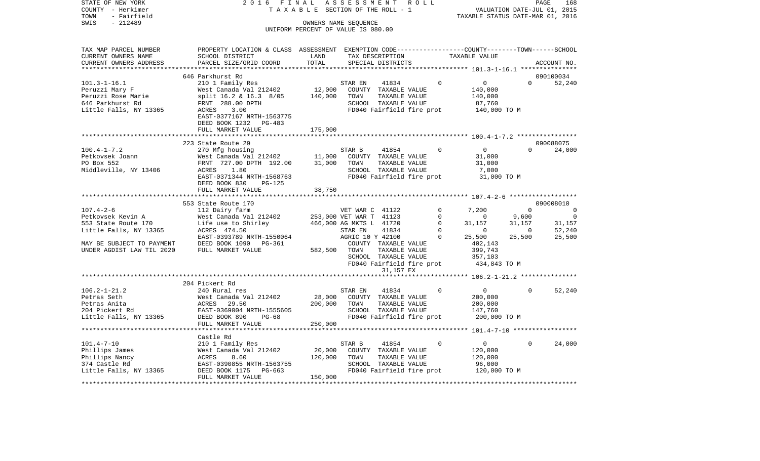| STATE OF NEW YORK                    | 2016<br>FINAL                                                                                   |                                    | A S S E S S M E N T     |                               | R O L L |                |                                                   |                | PAGE<br>168                 |
|--------------------------------------|-------------------------------------------------------------------------------------------------|------------------------------------|-------------------------|-------------------------------|---------|----------------|---------------------------------------------------|----------------|-----------------------------|
| COUNTY - Herkimer                    | TAXABLE                                                                                         |                                    | SECTION OF THE ROLL - 1 |                               |         |                |                                                   |                | VALUATION DATE-JUL 01, 2015 |
| - Fairfield<br>TOWN                  |                                                                                                 |                                    |                         |                               |         |                | TAXABLE STATUS DATE-MAR 01, 2016                  |                |                             |
| SWIS<br>$-212489$                    |                                                                                                 |                                    | OWNERS NAME SEQUENCE    |                               |         |                |                                                   |                |                             |
|                                      |                                                                                                 | UNIFORM PERCENT OF VALUE IS 080.00 |                         |                               |         |                |                                                   |                |                             |
| TAX MAP PARCEL NUMBER                | PROPERTY LOCATION & CLASS ASSESSMENT EXEMPTION CODE---------------COUNTY-------TOWN------SCHOOL |                                    |                         |                               |         |                |                                                   |                |                             |
| CURRENT OWNERS NAME                  | SCHOOL DISTRICT                                                                                 | LAND                               |                         | TAX DESCRIPTION               |         |                | TAXABLE VALUE                                     |                |                             |
| CURRENT OWNERS ADDRESS               | PARCEL SIZE/GRID COORD                                                                          | TOTAL                              |                         | SPECIAL DISTRICTS             |         |                |                                                   |                | ACCOUNT NO.                 |
|                                      |                                                                                                 | *******                            |                         |                               |         |                | ******************** 101.3-1-16.1 *************** |                |                             |
|                                      | 646 Parkhurst Rd                                                                                |                                    |                         |                               |         |                |                                                   |                | 090100034                   |
| $101.3 - 1 - 16.1$                   | 210 1 Family Res                                                                                |                                    | STAR EN                 | 41834                         |         | $\Omega$       | $\overline{0}$                                    | $\Omega$       | 52,240                      |
| Peruzzi Mary F                       | West Canada Val 212402                                                                          | 12,000                             |                         | COUNTY TAXABLE VALUE          |         |                | 140,000                                           |                |                             |
| Peruzzi Rose Marie                   | split 16.2 & 16.3 8/05                                                                          | 140,000                            | TOWN                    | TAXABLE VALUE                 |         |                | 140,000                                           |                |                             |
| 646 Parkhurst Rd                     | FRNT 288.00 DPTH                                                                                |                                    |                         | SCHOOL TAXABLE VALUE          |         |                | 87,760                                            |                |                             |
| Little Falls, NY 13365               | ACRES<br>3.00                                                                                   |                                    |                         | FD040 Fairfield fire prot     |         |                | 140,000 TO M                                      |                |                             |
|                                      | EAST-0377167 NRTH-1563775                                                                       |                                    |                         |                               |         |                |                                                   |                |                             |
|                                      | DEED BOOK 1232<br>PG-483                                                                        |                                    |                         |                               |         |                |                                                   |                |                             |
|                                      | FULL MARKET VALUE                                                                               | 175,000                            |                         |                               |         |                |                                                   |                |                             |
|                                      |                                                                                                 |                                    |                         |                               |         |                |                                                   |                |                             |
|                                      | 223 State Route 29                                                                              |                                    |                         |                               |         | $\Omega$       |                                                   | $\Omega$       | 090088075                   |
| $100.4 - 1 - 7.2$<br>Petkovsek Joann | 270 Mfg housing                                                                                 | 11,000                             | STAR B                  | 41854<br>COUNTY TAXABLE VALUE |         |                | $\overline{0}$<br>31,000                          |                | 24,000                      |
| PO Box 552                           | West Canada Val 212402<br>FRNT 727.00 DPTH 192.00                                               | 31,000                             | TOWN                    | TAXABLE VALUE                 |         |                | 31,000                                            |                |                             |
| Middleville, NY 13406                | 1.80<br>ACRES                                                                                   |                                    |                         | SCHOOL TAXABLE VALUE          |         |                | 7,000                                             |                |                             |
|                                      | EAST-0371344 NRTH-1568763                                                                       |                                    |                         | FD040 Fairfield fire prot     |         |                | 31,000 TO M                                       |                |                             |
|                                      | DEED BOOK 830<br>$PG-125$                                                                       |                                    |                         |                               |         |                |                                                   |                |                             |
|                                      | FULL MARKET VALUE                                                                               | 38,750                             |                         |                               |         |                |                                                   |                |                             |
|                                      | ***********************                                                                         |                                    |                         |                               |         |                |                                                   |                |                             |
|                                      | 553 State Route 170                                                                             |                                    |                         |                               |         |                |                                                   |                | 090008010                   |
| $107.4 - 2 - 6$                      | 112 Dairy farm                                                                                  |                                    | VET WAR C 41122         |                               |         | $\Omega$       | 7,200                                             | $\Omega$       | $\overline{0}$              |
| Petkovsek Kevin A                    | West Canada Val 212402                                                                          |                                    | 253,000 VET WAR T 41123 |                               |         | $\overline{0}$ | $\overline{0}$                                    | 9,600          | $\overline{0}$              |
| 553 State Route 170                  | Life use to Shirley                                                                             |                                    | 466,000 AG MKTS L 41720 |                               |         | $\circ$        | 31,157                                            | 31,157         | 31,157                      |
| Little Falls, NY 13365               | ACRES 474.50                                                                                    |                                    | STAR EN                 | 41834                         |         | $\mathbf 0$    | $\mathbf 0$                                       | $\overline{0}$ | 52,240                      |
|                                      | EAST-0393789 NRTH-1550064                                                                       |                                    | AGRIC 10 Y 42100        |                               |         | 0              | 25,500                                            | 25,500         | 25,500                      |
| MAY BE SUBJECT TO PAYMENT            | DEED BOOK 1090<br>PG-361                                                                        |                                    |                         | COUNTY TAXABLE VALUE          |         |                | 402,143                                           |                |                             |
| UNDER AGDIST LAW TIL 2020            | FULL MARKET VALUE                                                                               | 582,500                            | TOWN                    | TAXABLE VALUE                 |         |                | 399,743                                           |                |                             |
|                                      |                                                                                                 |                                    |                         | SCHOOL TAXABLE VALUE          |         |                | 357,103                                           |                |                             |
|                                      |                                                                                                 |                                    |                         | FD040 Fairfield fire prot     |         |                | 434,843 TO M                                      |                |                             |
|                                      |                                                                                                 |                                    |                         | 31,157 EX                     |         |                | ******** 106.2-1-21.2 ***************             |                |                             |
|                                      | 204 Pickert Rd                                                                                  |                                    |                         |                               |         |                |                                                   |                |                             |
| $106.2 - 1 - 21.2$                   | 240 Rural res                                                                                   |                                    | STAR EN                 | 41834                         |         | $\mathbf 0$    | $\overline{0}$                                    | 0              | 52,240                      |
| Petras Seth                          | West Canada Val 212402                                                                          | 28,000                             |                         | COUNTY TAXABLE VALUE          |         |                | 200,000                                           |                |                             |
| Petras Anita                         | ACRES<br>29.50                                                                                  | 200,000                            | TOWN                    | TAXABLE VALUE                 |         |                | 200,000                                           |                |                             |
| 204 Pickert Rd                       | EAST-0369004 NRTH-1555605                                                                       |                                    |                         | SCHOOL TAXABLE VALUE          |         |                | 147,760                                           |                |                             |
| Little Falls, NY 13365               | DEED BOOK 890<br>$PG-68$                                                                        |                                    |                         | FD040 Fairfield fire prot     |         |                | 200,000 TO M                                      |                |                             |
|                                      | FULL MARKET VALUE                                                                               | 250,000                            |                         |                               |         |                |                                                   |                |                             |
|                                      | ************************                                                                        |                                    |                         |                               |         |                |                                                   |                |                             |
|                                      | Castle Rd                                                                                       |                                    |                         |                               |         |                |                                                   |                |                             |
| $101.4 - 7 - 10$                     | 210 1 Family Res                                                                                |                                    | STAR B                  | 41854                         |         | $\Omega$       | $\overline{0}$                                    | $\Omega$       | 24,000                      |
| Phillips James                       | West Canada Val 212402                                                                          | 20,000                             |                         | COUNTY TAXABLE VALUE          |         |                | 120,000                                           |                |                             |
| Phillips Nancy                       | ACRES<br>8.60                                                                                   | 120,000                            | TOWN                    | TAXABLE VALUE                 |         |                | 120,000                                           |                |                             |
| 374 Castle Rd                        | EAST-0390855 NRTH-1563755                                                                       |                                    |                         | SCHOOL TAXABLE VALUE          |         |                | 96,000                                            |                |                             |
| Little Falls, NY 13365               | DEED BOOK 1175<br>PG-663                                                                        |                                    |                         | FD040 Fairfield fire prot     |         |                | 120,000 TO M                                      |                |                             |
|                                      | FULL MARKET VALUE                                                                               | 150,000                            |                         |                               |         |                |                                                   |                |                             |
|                                      |                                                                                                 |                                    |                         |                               |         |                |                                                   |                |                             |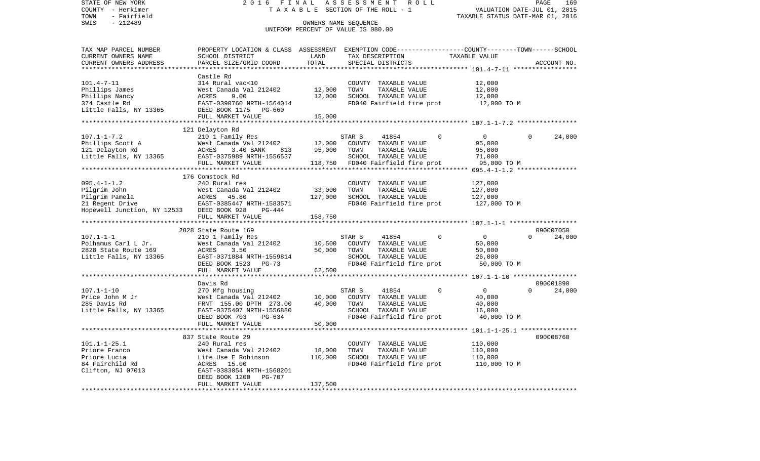STATE OF NEW YORK 2 0 1 6 F I N A L A S S E S S M E N T R O L L PAGE 169COUNTY - Herkimer **T A X A B L E SECTION OF THE ROLL - 1** VALUATION DATE-JUL 01, 2015 TOWN - Fairfield TAXABLE STATUS DATE-MAR 01, 2016 SWIS - 212489 OWNERS NAME SEQUENCE UNIFORM PERCENT OF VALUE IS 080.00TAX MAP PARCEL NUMBER PROPERTY LOCATION & CLASS ASSESSMENT EXEMPTION CODE------------------COUNTY--------TOWN------SCHOOL CURRENT OWNERS NAME SCHOOL DISTRICT LAND TAX DESCRIPTION TAXABLE VALUECURRENT OWNERS ADDRESS PARCEL SIZE/GRID COORD TOTAL SPECIAL DISTRICTS ACCOUNT NO. \*\*\*\*\*\*\*\*\*\*\*\*\*\*\*\*\*\*\*\*\*\*\*\*\*\*\*\*\*\*\*\*\*\*\*\*\*\*\*\*\*\*\*\*\*\*\*\*\*\*\*\*\*\*\*\*\*\*\*\*\*\*\*\*\*\*\*\*\*\*\*\*\*\*\*\*\*\*\*\*\*\*\*\*\*\*\*\*\*\*\*\*\*\*\*\*\*\*\*\*\*\*\* 101.4-7-11 \*\*\*\*\*\*\*\*\*\*\*\*\*\*\*\*\* Castle Rd $314$  Rural vac< $10$ 101.4-7-11 314 Rural vac<10 COUNTY TAXABLE VALUE 12,000 Phillips James 61 West Canada Val 212402 12,000 TOWN TAXABLE VALUE 12,000 Phillips Nancy ACRES 9.00 12,000 SCHOOL TAXABLE VALUE 12,000 EAST-0390760 NRTH-1564014 FD040 Fairfield fire prot 12,000 TO M Little Falls, NY 13365 DEED BOOK 1175 PG-660 FULL MARKET VALUE 15,000 \*\*\*\*\*\*\*\*\*\*\*\*\*\*\*\*\*\*\*\*\*\*\*\*\*\*\*\*\*\*\*\*\*\*\*\*\*\*\*\*\*\*\*\*\*\*\*\*\*\*\*\*\*\*\*\*\*\*\*\*\*\*\*\*\*\*\*\*\*\*\*\*\*\*\*\*\*\*\*\*\*\*\*\*\*\*\*\*\*\*\*\*\*\*\*\*\*\*\*\*\*\*\* 107.1-1-7.2 \*\*\*\*\*\*\*\*\*\*\*\*\*\*\*\* 121 Delayton Rd 107.1-1-7.2 210 1 Family Res STAR B 41854 0 0 0 24,000 Phillips Scott A West Canada Val 212402 12,000 COUNTY TAXABLE VALUE 95,000 121 Delayton Rd ACRES 3.40 BANK 813 95,000 TOWN TAXABLE VALUE 95,000 Little Falls, NY 13365 EAST-0375989 NRTH-1556537 SCHOOL TAXABLE VALUE 71,000 FULL MARKET VALUE 118,750 FD040 Fairfield fire prot 95,000 TO M \*\*\*\*\*\*\*\*\*\*\*\*\*\*\*\*\*\*\*\*\*\*\*\*\*\*\*\*\*\*\*\*\*\*\*\*\*\*\*\*\*\*\*\*\*\*\*\*\*\*\*\*\*\*\*\*\*\*\*\*\*\*\*\*\*\*\*\*\*\*\*\*\*\*\*\*\*\*\*\*\*\*\*\*\*\*\*\*\*\*\*\*\*\*\*\*\*\*\*\*\*\*\* 095.4-1-1.2 \*\*\*\*\*\*\*\*\*\*\*\*\*\*\*\* 176 Comstock Rd095.4-1-1.2 240 Rural res COUNTY TAXABLE VALUE 127,000 Pilgrim John West Canada Val 212402 33,000 TOWN TAXABLE VALUE 127,000 Pilgrim Pamela ACRES 45.80 127,000 SCHOOL TAXABLE VALUE 127,000 21 Regent Drive **EAST-0385447 NRTH-1583571** FD040 Fairfield fire prot 127,000 TO M Hopewell Junction, NY 12533 DEED BOOK 928 PG-444 FULL MARKET VALUE 158,750 \*\*\*\*\*\*\*\*\*\*\*\*\*\*\*\*\*\*\*\*\*\*\*\*\*\*\*\*\*\*\*\*\*\*\*\*\*\*\*\*\*\*\*\*\*\*\*\*\*\*\*\*\*\*\*\*\*\*\*\*\*\*\*\*\*\*\*\*\*\*\*\*\*\*\*\*\*\*\*\*\*\*\*\*\*\*\*\*\*\*\*\*\*\*\*\*\*\*\*\*\*\*\* 107.1-1-1 \*\*\*\*\*\*\*\*\*\*\*\*\*\*\*\*\*\* 2828 State Route 169 09000705024,000 107.1-1-1 210 1 Family Res STAR B 41854 0 0 0 24,000 Polhamus Carl L Jr. West Canada Val 212402 10,500 COUNTY TAXABLE VALUE 50,000 2828 State Route 169 ACRES 3.50 50,000 TOWN TAXABLE VALUE 50,000 Little Falls, NY 13365 EAST-0371884 NRTH-1559814 SCHOOL TAXABLE VALUE 26,000 DEED BOOK 1523 PG-73 FD040 Fairfield fire prot 50,000 TO M<br>FULL MARKET VALUE 62.500 FULL MARKET VALUE \*\*\*\*\*\*\*\*\*\*\*\*\*\*\*\*\*\*\*\*\*\*\*\*\*\*\*\*\*\*\*\*\*\*\*\*\*\*\*\*\*\*\*\*\*\*\*\*\*\*\*\*\*\*\*\*\*\*\*\*\*\*\*\*\*\*\*\*\*\*\*\*\*\*\*\*\*\*\*\*\*\*\*\*\*\*\*\*\*\*\*\*\*\*\*\*\*\*\*\*\*\*\* 107.1-1-10 \*\*\*\*\*\*\*\*\*\*\*\*\*\*\*\*\* Davis Rd 090001890107.1-1-10 270 Mfg housing STAR B 41854 0 0 0 24,000 Price John M Jr **West Canada Val 212402** 10,000 COUNTY TAXABLE VALUE 40,000 285 Davis Rd FRNT 155.00 DPTH 273.00 40,000 TOWN TAXABLE VALUE 40,000 Little Falls, NY 13365 EAST-0375407 NRTH-1556880 SCHOOL TAXABLE VALUE 16,000 DEED BOOK 703 PG-634 FD040 Fairfield fire prot 40,000 TO M FULL MARKET VALUE 50,000 \*\*\*\*\*\*\*\*\*\*\*\*\*\*\*\*\*\*\*\*\*\*\*\*\*\*\*\*\*\*\*\*\*\*\*\*\*\*\*\*\*\*\*\*\*\*\*\*\*\*\*\*\*\*\*\*\*\*\*\*\*\*\*\*\*\*\*\*\*\*\*\*\*\*\*\*\*\*\*\*\*\*\*\*\*\*\*\*\*\*\*\*\*\*\*\*\*\*\*\*\*\*\* 101.1-1-25.1 \*\*\*\*\*\*\*\*\*\*\*\*\*\*\* 837 State Route 29 090008760101.1-1-25.1 240 Rural res COUNTY TAXABLE VALUE 110,000 Priore Franco West Canada Val 212402 18,000 TOWN TAXABLE VALUE 110,000 Priore Lucia Life Use E Robinson 110,000 SCHOOL TAXABLE VALUE 110,000 84 Fairchild Rd **ACRES** 15.00 **FD040** FD040 Fairfield fire prot 110,000 TO M Clifton, NJ 07013 EAST-0383054 NRTH-1568201 DEED BOOK 1200 PG-707 FULL MARKET VALUE 137,500 \*\*\*\*\*\*\*\*\*\*\*\*\*\*\*\*\*\*\*\*\*\*\*\*\*\*\*\*\*\*\*\*\*\*\*\*\*\*\*\*\*\*\*\*\*\*\*\*\*\*\*\*\*\*\*\*\*\*\*\*\*\*\*\*\*\*\*\*\*\*\*\*\*\*\*\*\*\*\*\*\*\*\*\*\*\*\*\*\*\*\*\*\*\*\*\*\*\*\*\*\*\*\*\*\*\*\*\*\*\*\*\*\*\*\*\*\*\*\*\*\*\*\*\*\*\*\*\*\*\*\*\*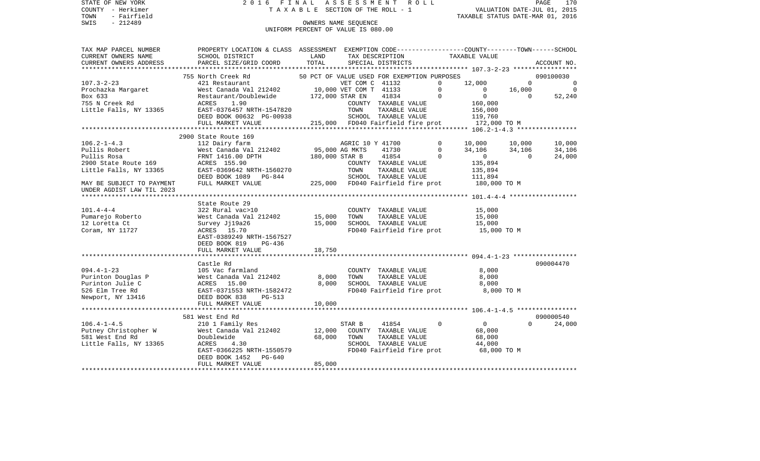STATE OF NEW YORK 2016 FINAL ASSESSMENT ROLL COUNTY - Herkimer T A X A B L E SECTION OF THE ROLL - 1 TOWN - Fairfield TAXABLE STATUS DATE-MAR 01, 2016 SWIS - Fairfield<br>
SWIS - 212489 OWNERS NAME SEQUENCE

UNIFORM PERCENT OF VALUE IS 080.00

| TAX MAP PARCEL NUMBER                                                                                                                                                                           | PROPERTY LOCATION & CLASS ASSESSMENT EXEMPTION CODE----------------COUNTY-------TOWN------SCHOOL                                                                               |                                             |                      |               |                           |                                                                                                                                                                                                                                                                                                                                                                                                                                                                                                                      |          |                                              |
|-------------------------------------------------------------------------------------------------------------------------------------------------------------------------------------------------|--------------------------------------------------------------------------------------------------------------------------------------------------------------------------------|---------------------------------------------|----------------------|---------------|---------------------------|----------------------------------------------------------------------------------------------------------------------------------------------------------------------------------------------------------------------------------------------------------------------------------------------------------------------------------------------------------------------------------------------------------------------------------------------------------------------------------------------------------------------|----------|----------------------------------------------|
| CURRENT OWNERS NAME                                                                                                                                                                             | SCHOOL DISTRICT                                                                                                                                                                | LAND                                        |                      |               |                           | TAX DESCRIPTION TAXABLE VALUE                                                                                                                                                                                                                                                                                                                                                                                                                                                                                        |          |                                              |
| CURRENT OWNERS ADDRESS                                                                                                                                                                          | PARCEL SIZE/GRID COORD                                                                                                                                                         | TOTAL                                       | SPECIAL DISTRICTS    |               |                           |                                                                                                                                                                                                                                                                                                                                                                                                                                                                                                                      |          | ACCOUNT NO.                                  |
|                                                                                                                                                                                                 |                                                                                                                                                                                |                                             |                      |               |                           |                                                                                                                                                                                                                                                                                                                                                                                                                                                                                                                      |          |                                              |
|                                                                                                                                                                                                 | 755 North Creek Rd                                                                                                                                                             | 50 PCT OF VALUE USED FOR EXEMPTION PURPOSES |                      |               |                           |                                                                                                                                                                                                                                                                                                                                                                                                                                                                                                                      |          | 090100030                                    |
| $107.3 - 2 - 23$                                                                                                                                                                                | 421 Restaurant<br>WET COM C 41132<br>West Canada Val 212402 10,000 VET COM T 41133                                                                                             |                                             |                      |               |                           |                                                                                                                                                                                                                                                                                                                                                                                                                                                                                                                      |          | $\begin{matrix} 0 & 0 \\ 0 & 0 \end{matrix}$ |
| Prochazka Margaret<br>Box 633                                                                                                                                                                   |                                                                                                                                                                                |                                             |                      |               |                           |                                                                                                                                                                                                                                                                                                                                                                                                                                                                                                                      |          |                                              |
| Box 633                                                                                                                                                                                         | Restaurant/Doublewide 172,000 STAR EN                                                                                                                                          |                                             |                      |               |                           |                                                                                                                                                                                                                                                                                                                                                                                                                                                                                                                      |          | 52,240                                       |
| 755 N Creek Rd                                                                                                                                                                                  | ACRES<br>1.90                                                                                                                                                                  |                                             |                      |               |                           |                                                                                                                                                                                                                                                                                                                                                                                                                                                                                                                      |          |                                              |
| Little Falls, NY 13365                                                                                                                                                                          | EAST-0376457 NRTH-1547820                                                                                                                                                      |                                             |                      |               |                           |                                                                                                                                                                                                                                                                                                                                                                                                                                                                                                                      |          |                                              |
|                                                                                                                                                                                                 | DEED BOOK 00632 PG-00938                                                                                                                                                       |                                             |                      |               |                           |                                                                                                                                                                                                                                                                                                                                                                                                                                                                                                                      |          |                                              |
|                                                                                                                                                                                                 | FULL MARKET VALUE                                                                                                                                                              |                                             |                      |               |                           | 215,000 FD040 Fairfield fire prot 172,000 TO M                                                                                                                                                                                                                                                                                                                                                                                                                                                                       |          |                                              |
|                                                                                                                                                                                                 |                                                                                                                                                                                |                                             |                      |               |                           | $\begin{tabular}{cccc} \multicolumn{1}{c}{\begin{tabular}{c} \multicolumn{1}{c}{\begin{tabular}{c} \multicolumn{1}{c}{\begin{tabular}{c} \multicolumn{1}{c}{\begin{tabular}{c} \multicolumn{1}{c}{\begin{tabular}{c} \multicolumn{1}{c}{\begin{tabular}{c} \multicolumn{1}{c}{\begin{tabular}{c} \multicolumn{1}{c}{\begin{tabular}{c} \multicolumn{1}{c}{\multicolumn{1}{c}{\end{tabular} \end{tabular} \end{tabular} \end{tabular} \end{tabular} \end{tabular} \end{tabular} \end{tabular} }} \end{tabular} \end{$ |          |                                              |
|                                                                                                                                                                                                 | 2900 State Route 169                                                                                                                                                           |                                             |                      |               |                           |                                                                                                                                                                                                                                                                                                                                                                                                                                                                                                                      |          |                                              |
| $106.2 - 1 - 4.3$                                                                                                                                                                               | 112 Dairy farm                                                                                                                                                                 |                                             | AGRIC 10 Y 41700     |               | $\circ$                   | $\begin{array}{ccc} 10\, , 000 && 10\, , 000 \\ 34\, , 106 && 34\, , 106 \\ 0 && 0 \\ 135\, , 894 && \end{array}$                                                                                                                                                                                                                                                                                                                                                                                                    |          | 10,000                                       |
| Pullis Robert                                                                                                                                                                                   |                                                                                                                                                                                |                                             |                      |               | 41730<br>$\Omega$         |                                                                                                                                                                                                                                                                                                                                                                                                                                                                                                                      |          | 34,106                                       |
| Pullis Rosa                                                                                                                                                                                     | FRNT 1416.00 DPTH 180,000 STAR B                                                                                                                                               |                                             |                      |               | 41854<br>$\Omega$         |                                                                                                                                                                                                                                                                                                                                                                                                                                                                                                                      |          | 24,000                                       |
| 2900 State Route 169                                                                                                                                                                            | ACRES 155.90                                                                                                                                                                   |                                             |                      |               | COUNTY TAXABLE VALUE      |                                                                                                                                                                                                                                                                                                                                                                                                                                                                                                                      |          |                                              |
| Little Falls, NY 13365                                                                                                                                                                          |                                                                                                                                                                                |                                             |                      |               |                           |                                                                                                                                                                                                                                                                                                                                                                                                                                                                                                                      |          |                                              |
|                                                                                                                                                                                                 |                                                                                                                                                                                |                                             |                      |               |                           |                                                                                                                                                                                                                                                                                                                                                                                                                                                                                                                      |          |                                              |
| MAY BE SUBJECT TO PAYMENT                                                                                                                                                                       | EAST-0369642 NRTH-1560270 TOWN TAXABLE VALUE 135,894<br>DEED BOOK 1089 PG-844 SCHOOL TAXABLE VALUE 111,894<br>FULL MARKET VALUE 225,000 FD040 Fairfield fire prot 180,000 TO M |                                             |                      |               |                           |                                                                                                                                                                                                                                                                                                                                                                                                                                                                                                                      |          |                                              |
| UNDER AGDIST LAW TIL 2023                                                                                                                                                                       |                                                                                                                                                                                |                                             |                      |               |                           |                                                                                                                                                                                                                                                                                                                                                                                                                                                                                                                      |          |                                              |
|                                                                                                                                                                                                 |                                                                                                                                                                                |                                             |                      |               |                           |                                                                                                                                                                                                                                                                                                                                                                                                                                                                                                                      |          |                                              |
|                                                                                                                                                                                                 | State Route 29                                                                                                                                                                 |                                             |                      |               |                           |                                                                                                                                                                                                                                                                                                                                                                                                                                                                                                                      |          |                                              |
| $101.4 - 4 - 4$                                                                                                                                                                                 | 322 Rural vac>10                                                                                                                                                               |                                             |                      |               | COUNTY TAXABLE VALUE      | 15,000                                                                                                                                                                                                                                                                                                                                                                                                                                                                                                               |          |                                              |
| Pumarejo Roberto<br>12 Iomatta Ct                                                                                                                                                               | West Canada Val 212402 15,000                                                                                                                                                  |                                             | TOWN                 |               | TAXABLE VALUE             | 15,000                                                                                                                                                                                                                                                                                                                                                                                                                                                                                                               |          |                                              |
| 12 Loretta Ct                                                                                                                                                                                   | Survey Jj19a26                                                                                                                                                                 | 15,000                                      |                      |               |                           | SCHOOL TAXABLE VALUE 15,000                                                                                                                                                                                                                                                                                                                                                                                                                                                                                          |          |                                              |
| Coram, NY 11727                                                                                                                                                                                 | ACRES 15.70                                                                                                                                                                    |                                             |                      |               |                           | FD040 Fairfield fire prot 15,000 TO M                                                                                                                                                                                                                                                                                                                                                                                                                                                                                |          |                                              |
|                                                                                                                                                                                                 | EAST-0389249 NRTH-1567527                                                                                                                                                      |                                             |                      |               |                           |                                                                                                                                                                                                                                                                                                                                                                                                                                                                                                                      |          |                                              |
|                                                                                                                                                                                                 | DEED BOOK 819<br>PG-436                                                                                                                                                        |                                             |                      |               |                           |                                                                                                                                                                                                                                                                                                                                                                                                                                                                                                                      |          |                                              |
|                                                                                                                                                                                                 | FULL MARKET VALUE                                                                                                                                                              | 18,750                                      |                      |               |                           |                                                                                                                                                                                                                                                                                                                                                                                                                                                                                                                      |          |                                              |
|                                                                                                                                                                                                 |                                                                                                                                                                                |                                             |                      |               |                           |                                                                                                                                                                                                                                                                                                                                                                                                                                                                                                                      |          |                                              |
|                                                                                                                                                                                                 | Castle Rd                                                                                                                                                                      |                                             |                      |               |                           |                                                                                                                                                                                                                                                                                                                                                                                                                                                                                                                      |          | 090004470                                    |
| $094.4 - 1 - 23$                                                                                                                                                                                | 105 Vac farmland                                                                                                                                                               |                                             | COUNTY TAXABLE VALUE |               |                           | 8,000                                                                                                                                                                                                                                                                                                                                                                                                                                                                                                                |          |                                              |
|                                                                                                                                                                                                 |                                                                                                                                                                                | 8,000                                       | TOWN                 | TAXABLE VALUE |                           | 8,000                                                                                                                                                                                                                                                                                                                                                                                                                                                                                                                |          |                                              |
|                                                                                                                                                                                                 |                                                                                                                                                                                | 8,000                                       |                      |               | SCHOOL TAXABLE VALUE      | 8,000                                                                                                                                                                                                                                                                                                                                                                                                                                                                                                                |          |                                              |
|                                                                                                                                                                                                 |                                                                                                                                                                                |                                             |                      |               | FD040 Fairfield fire prot | 8,000 TO M                                                                                                                                                                                                                                                                                                                                                                                                                                                                                                           |          |                                              |
| 094.4-1-23 105 Vac farmland<br>Purinton Douglas P West Canada Val 212402<br>Purinton Julie C ACRES 15.00<br>526 Elm Tree Rd EAST-0371553 NRTH-1582472<br>Newport, NY 13416 DEED BOOK 838 PG-513 |                                                                                                                                                                                |                                             |                      |               |                           |                                                                                                                                                                                                                                                                                                                                                                                                                                                                                                                      |          |                                              |
|                                                                                                                                                                                                 |                                                                                                                                                                                |                                             |                      |               |                           |                                                                                                                                                                                                                                                                                                                                                                                                                                                                                                                      |          |                                              |
|                                                                                                                                                                                                 |                                                                                                                                                                                |                                             |                      |               |                           |                                                                                                                                                                                                                                                                                                                                                                                                                                                                                                                      |          |                                              |
|                                                                                                                                                                                                 | 581 West End Rd                                                                                                                                                                |                                             |                      |               |                           |                                                                                                                                                                                                                                                                                                                                                                                                                                                                                                                      |          | 090000540                                    |
| $106.4 - 1 - 4.5$                                                                                                                                                                               | 210 1 Family Res                                                                                                                                                               |                                             | STAR B               | 41854         | $\Omega$                  | $\overline{0}$                                                                                                                                                                                                                                                                                                                                                                                                                                                                                                       | $\Omega$ | 24,000                                       |
| Putney Christopher W                                                                                                                                                                            | West Canada Val 212402 12,000 COUNTY TAXABLE VALUE                                                                                                                             |                                             |                      |               |                           | 68,000                                                                                                                                                                                                                                                                                                                                                                                                                                                                                                               |          |                                              |
| 581 West End Rd                                                                                                                                                                                 | Doublewide                                                                                                                                                                     | 68,000                                      | TOWN                 |               | TAXABLE VALUE             | 68,000                                                                                                                                                                                                                                                                                                                                                                                                                                                                                                               |          |                                              |
| Little Falls, NY 13365                                                                                                                                                                          |                                                                                                                                                                                |                                             |                      |               | SCHOOL TAXABLE VALUE      | 44,000<br>68,000 TO M                                                                                                                                                                                                                                                                                                                                                                                                                                                                                                |          |                                              |
|                                                                                                                                                                                                 | ACRES 4.30<br>EAST-0366225 NRTH-1550579                                                                                                                                        |                                             |                      |               | FD040 Fairfield fire prot |                                                                                                                                                                                                                                                                                                                                                                                                                                                                                                                      |          |                                              |
|                                                                                                                                                                                                 | DEED BOOK 1452 PG-640                                                                                                                                                          |                                             |                      |               |                           |                                                                                                                                                                                                                                                                                                                                                                                                                                                                                                                      |          |                                              |
|                                                                                                                                                                                                 | FULL MARKET VALUE                                                                                                                                                              | 85,000                                      |                      |               |                           |                                                                                                                                                                                                                                                                                                                                                                                                                                                                                                                      |          |                                              |
|                                                                                                                                                                                                 |                                                                                                                                                                                |                                             |                      |               |                           |                                                                                                                                                                                                                                                                                                                                                                                                                                                                                                                      |          |                                              |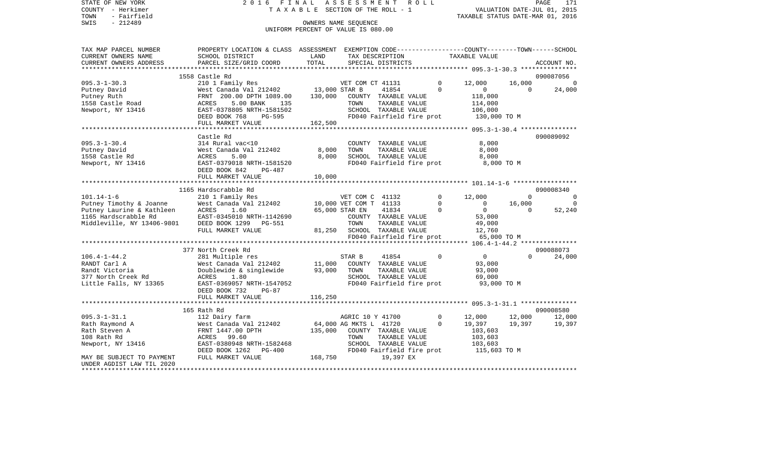| STATE OF NEW YORK      |                           |            | 2016 FINAL ASSESSMENT ROLL         |                                                              | PAGE                   | 171         |
|------------------------|---------------------------|------------|------------------------------------|--------------------------------------------------------------|------------------------|-------------|
| - Herkimer<br>COUNTY   |                           |            | TAXABLE SECTION OF THE ROLL - 1    |                                                              | VALUATION DATE-JUL 01, | 2015        |
| - Fairfield<br>TOWN    |                           |            |                                    | TAXABLE STATUS DATE-MAR 01,                                  |                        | 2016        |
| SWIS<br>$-212489$      |                           |            | OWNERS NAME SEOUENCE               |                                                              |                        |             |
|                        |                           |            | UNIFORM PERCENT OF VALUE IS 080.00 |                                                              |                        |             |
|                        |                           |            |                                    |                                                              |                        |             |
| TAX MAP PARCEL NUMBER  | PROPERTY LOCATION & CLASS | ASSESSMENT |                                    | EXEMPTION CODE-----------------COUNTY-------TOWN------SCHOOL |                        |             |
| CURRENT OWNERS NAME    | SCHOOL DISTRICT           | LAND       | TAX DESCRIPTION                    | TAXABLE VALUE                                                |                        |             |
| CURRENT OWNERS ADDRESS | PARCEL SIZE/GRID COORD    | TOTAL      | SPECIAL DISTRICTS                  |                                                              |                        | ACCOUNT NO. |
|                        |                           |            |                                    |                                                              |                        |             |

|                            | 1558 Castle Rd                                     |         |                             |                           |                |                                       |          | 090087056      |
|----------------------------|----------------------------------------------------|---------|-----------------------------|---------------------------|----------------|---------------------------------------|----------|----------------|
| $095.3 - 1 - 30.3$         | 210 1 Family Res                                   |         | VET COM CT 41131            |                           | $\Omega$       | 12,000                                | 16,000   | $\Omega$       |
| Putney David               | West Canada Val 212402 13,000 STAR B               |         |                             | 41854                     | $\Omega$       | $\overline{0}$                        | $\Omega$ | 24,000         |
| Putney Ruth                | FRNT 200.00 DPTH 1089.00                           | 130,000 | COUNTY TAXABLE VALUE        |                           |                | 118,000                               |          |                |
| 1558 Castle Road           | 5.00 BANK<br>ACRES<br>135                          |         | TOWN                        | TAXABLE VALUE             |                | 114,000                               |          |                |
| Newport, NY 13416          | EAST-0378805 NRTH-1581502                          |         |                             | SCHOOL TAXABLE VALUE      |                | 106,000                               |          |                |
|                            | DEED BOOK 768<br>$PG-595$                          |         |                             | FD040 Fairfield fire prot |                | 130,000 TO M                          |          |                |
|                            | FULL MARKET VALUE                                  | 162,500 |                             |                           |                |                                       |          |                |
|                            |                                                    |         |                             |                           |                |                                       |          |                |
|                            | Castle Rd                                          |         |                             |                           |                |                                       |          | 090089092      |
| $095.3 - 1 - 30.4$         | 314 Rural vac<10                                   |         |                             | COUNTY TAXABLE VALUE      |                | 8,000                                 |          |                |
| Putney David               | West Canada Val 212402                             | 8,000   | TOWN                        | TAXABLE VALUE             |                | 8,000                                 |          |                |
| 1558 Castle Rd             | ACRES<br>5.00                                      | 8,000   |                             | SCHOOL TAXABLE VALUE      |                | 8,000                                 |          |                |
| Newport, NY 13416          | EAST-0379018 NRTH-1581520                          |         |                             |                           |                | FD040 Fairfield fire prot 8,000 TO M  |          |                |
|                            | DEED BOOK 842<br>PG-487                            |         |                             |                           |                |                                       |          |                |
|                            | FULL MARKET VALUE                                  | 10,000  |                             |                           |                |                                       |          |                |
|                            |                                                    |         |                             |                           |                |                                       |          |                |
|                            | 1165 Hardscrabble Rd                               |         |                             |                           |                |                                       |          | 090008340      |
| $101.14 - 1 - 6$           | 210 1 Family Res                                   |         | VET COM C 41132             |                           | $\overline{0}$ | 12,000                                | $\Omega$ | $\Omega$       |
| Putney Timothy & Joanne    | West Canada Val 212402 10,000 VET COM T 41133      |         |                             |                           | $\Omega$       | $\overline{0}$                        | 16,000   | $\overline{0}$ |
| Putney Laurine & Kathleen  | ACRES<br>1.60                                      |         | 65,000 STAR EN              | 41834                     | $\overline{0}$ | $\overline{0}$                        | $\Omega$ | 52,240         |
| 1165 Hardscrabble Rd       | EAST-0345010 NRTH-1142690                          |         |                             | COUNTY TAXABLE VALUE      |                | 53,000                                |          |                |
| Middleville, NY 13406-9801 | DEED BOOK 1299 PG-551                              |         | TOWN                        | TAXABLE VALUE             |                | 49,000                                |          |                |
|                            | FULL MARKET VALUE                                  |         | 81,250 SCHOOL TAXABLE VALUE |                           |                | 12,760                                |          |                |
|                            |                                                    |         |                             |                           |                | FD040 Fairfield fire prot 65,000 TO M |          |                |
|                            |                                                    |         |                             |                           |                |                                       |          |                |
|                            | 377 North Creek Rd                                 |         |                             |                           |                |                                       |          | 090088073      |
| $106.4 - 1 - 44.2$         | 281 Multiple res                                   |         | STAR B                      | 41854                     | $\Omega$       | $\overline{0}$                        | $\Omega$ | 24,000         |
| RANDT Carl A               | West Canada Val 212402 11,000 COUNTY TAXABLE VALUE |         |                             |                           |                | 93,000                                |          |                |
| Randt Victoria             | Doublewide & singlewide 93,000                     |         | TOWN                        | TAXABLE VALUE             |                | 93,000                                |          |                |
| 377 North Creek Rd         | 1.80<br>ACRES                                      |         |                             | SCHOOL TAXABLE VALUE      |                | 69,000                                |          |                |
| Little Falls, NY 13365     | EAST-0369057 NRTH-1547052                          |         | FD040 Fairfield fire prot   |                           |                | 93,000 TO M                           |          |                |
|                            | DEED BOOK 732<br>$PG-87$                           |         |                             |                           |                |                                       |          |                |
|                            |                                                    |         |                             |                           |                |                                       |          |                |
|                            |                                                    |         |                             |                           |                |                                       |          |                |
|                            | 165 Rath Rd                                        |         |                             |                           |                |                                       |          | 090008580      |
| $095.3 - 1 - 31.1$         | 112 Dairy farm                                     |         | AGRIC 10 Y 41700            |                           | $\overline{0}$ | 12,000                                | 12,000   | 12,000         |
| Rath Raymond A             | West Canada Val 212402                             |         | 64,000 AG MKTS L 41720      |                           | $\Omega$       | 19,397                                | 19,397   | 19,397         |
| Rath Steven A              | FRNT 1447.00 DPTH                                  | 135,000 | COUNTY TAXABLE VALUE        |                           |                | 103,603<br>103,603                    |          |                |
| 108 Rath Rd                | ACRES 99.60                                        |         | TOWN                        | TAXABLE VALUE             |                |                                       |          |                |
| Newport, NY 13416          | EAST-0380948 NRTH-1582468                          |         |                             | SCHOOL TAXABLE VALUE      |                | 103,603                               |          |                |
|                            | DEED BOOK 1262 PG-400                              |         | FD040 Fairfield fire prot   |                           |                | 115,603 TO M                          |          |                |
| MAY BE SUBJECT TO PAYMENT  | FULL MARKET VALUE                                  | 168,750 |                             | 19,397 EX                 |                |                                       |          |                |
| UNDER AGDIST LAW TIL 2020  |                                                    |         |                             |                           |                |                                       |          |                |
|                            |                                                    |         |                             |                           |                |                                       |          |                |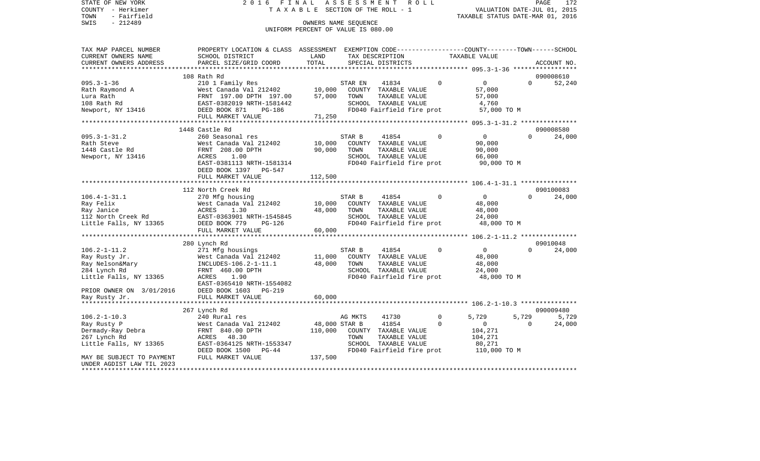COUNTY - Herkimer T A X A B L E SECTION OF THE ROLL - 1 TOWN - Fairfield TAXABLE STATUS DATE-MAR 01, 2016 SWIS - Fairfield<br>
SWIS - 212489 OWNERS NAME SEQUENCE

STATE OF NEW YORK 2016 FINAL ASSESSMENT ROLL

## UNIFORM PERCENT OF VALUE IS 080.00

| TAX MAP PARCEL NUMBER<br>CURRENT OWNERS NAME                                                                                  | PROPERTY LOCATION & CLASS<br>SCHOOL DISTRICT                                                                                                                                 | ASSESSMENT<br>LAND                  | TAX DESCRIPTION                                                                                                                       |               | EXEMPTION CODE-----------------COUNTY-------TOWN------SCHOOL<br>TAXABLE VALUE |                             |
|-------------------------------------------------------------------------------------------------------------------------------|------------------------------------------------------------------------------------------------------------------------------------------------------------------------------|-------------------------------------|---------------------------------------------------------------------------------------------------------------------------------------|---------------|-------------------------------------------------------------------------------|-----------------------------|
| CURRENT OWNERS ADDRESS                                                                                                        | PARCEL SIZE/GRID COORD                                                                                                                                                       | TOTAL                               | SPECIAL DISTRICTS                                                                                                                     |               |                                                                               | ACCOUNT NO.                 |
| **********************                                                                                                        |                                                                                                                                                                              |                                     |                                                                                                                                       |               |                                                                               |                             |
|                                                                                                                               | 108 Rath Rd                                                                                                                                                                  |                                     |                                                                                                                                       |               |                                                                               | 090008610                   |
| $095.3 - 1 - 36$<br>Rath Raymond A<br>Lura Rath<br>108 Rath Rd<br>Newport, NY 13416                                           | 210 1 Family Res<br>West Canada Val 212402<br>FRNT 197.00 DPTH 197.00<br>EAST-0382019 NRTH-1581442<br>DEED BOOK 871<br>PG-186<br>FULL MARKET VALUE                           | 10,000<br>57,000<br>71,250          | 41834<br>STAR EN<br>COUNTY TAXABLE VALUE<br>TOWN<br>TAXABLE VALUE<br>SCHOOL TAXABLE VALUE<br>FD040 Fairfield fire prot                | $\Omega$      | $\mathbf{0}$<br>57,000<br>57,000<br>4,760<br>57,000 TO M                      | $\Omega$<br>52,240          |
|                                                                                                                               |                                                                                                                                                                              |                                     |                                                                                                                                       |               | ********* 095.3-1-31.2 ***                                                    |                             |
|                                                                                                                               | 1448 Castle Rd                                                                                                                                                               |                                     |                                                                                                                                       |               |                                                                               | 090008580                   |
| $095.3 - 1 - 31.2$<br>Rath Steve<br>1448 Castle Rd<br>Newport, NY 13416                                                       | 260 Seasonal res<br>West Canada Val 212402<br>FRNT 208.00 DPTH<br>1.00<br>ACRES<br>EAST-0381113 NRTH-1581314<br>DEED BOOK 1397<br><b>PG-547</b>                              | 10,000<br>90,000                    | STAR B<br>41854<br>TAXABLE VALUE<br>COUNTY<br>TOWN<br>TAXABLE VALUE<br>SCHOOL TAXABLE VALUE<br>FD040 Fairfield fire prot              | $\Omega$      | $\Omega$<br>90,000<br>90,000<br>66,000<br>90,000 TO M                         | $\Omega$<br>24,000          |
|                                                                                                                               | FULL MARKET VALUE                                                                                                                                                            | 112,500                             |                                                                                                                                       |               |                                                                               |                             |
|                                                                                                                               |                                                                                                                                                                              |                                     |                                                                                                                                       |               | ********* 106.4-1-31.1 ****************                                       |                             |
|                                                                                                                               | 112 North Creek Rd                                                                                                                                                           |                                     |                                                                                                                                       | $\Omega$      |                                                                               | 090100083<br>$\Omega$       |
| $106.4 - 1 - 31.1$<br>Ray Felix<br>Ray Janice<br>112 North Creek Rd                                                           | 270 Mfg housing<br>West Canada Val 212402<br>1.30<br>ACRES<br>EAST-0363901 NRTH-1545845                                                                                      | 10,000<br>48,000                    | STAR B<br>41854<br>COUNTY TAXABLE VALUE<br>TOWN<br>TAXABLE VALUE<br>SCHOOL TAXABLE VALUE                                              |               | 0<br>48,000<br>48,000<br>24,000                                               | 24,000                      |
| Little Falls, NY 13365                                                                                                        | DEED BOOK 779<br>PG-126<br>FULL MARKET VALUE                                                                                                                                 | 60,000                              | FD040 Fairfield fire prot                                                                                                             |               | 48,000 TO M                                                                   |                             |
|                                                                                                                               |                                                                                                                                                                              |                                     |                                                                                                                                       |               | ********* 106.2-1-11.2 ***************                                        |                             |
|                                                                                                                               | 280 Lynch Rd                                                                                                                                                                 |                                     |                                                                                                                                       |               |                                                                               | 09010048                    |
| $106.2 - 1 - 11.2$<br>Ray Rusty Jr.<br>Ray Nelson&Mary<br>284 Lynch Rd<br>Little Falls, NY 13365<br>PRIOR OWNER ON 3/01/2016  | 271 Mfg housings<br>West Canada Val 212402<br>INCLUDES-106.2-1-11.1<br>FRNT 460.00 DPTH<br>1.90<br>ACRES<br>EAST-0365410 NRTH-1554082<br>DEED BOOK 1603<br>$PG-219$          | 11,000<br>48,000                    | STAR B<br>41854<br>COUNTY<br>TAXABLE VALUE<br>TOWN<br>TAXABLE VALUE<br>SCHOOL TAXABLE VALUE<br>FD040 Fairfield fire prot              | $\mathbf 0$   | $\mathbf 0$<br>48,000<br>48,000<br>24,000<br>48,000 TO M                      | $\Omega$<br>24,000          |
| Ray Rusty Jr.<br>************                                                                                                 | FULL MARKET VALUE<br>*********************                                                                                                                                   | 60,000                              |                                                                                                                                       |               |                                                                               |                             |
|                                                                                                                               |                                                                                                                                                                              |                                     |                                                                                                                                       |               |                                                                               | 090009480                   |
| $106.2 - 1 - 10.3$<br>Ray Rusty P<br>Dermady-Ray Debra<br>267 Lynch Rd<br>Little Falls, NY 13365<br>MAY BE SUBJECT TO PAYMENT | 267 Lynch Rd<br>240 Rural res<br>West Canada Val 212402<br>FRNT 840.00 DPTH<br>48.30<br>ACRES<br>EAST-0364125 NRTH-1553347<br>DEED BOOK 1500<br>$PG-44$<br>FULL MARKET VALUE | 48,000 STAR B<br>110,000<br>137,500 | AG MKTS<br>41730<br>41854<br>COUNTY<br>TAXABLE VALUE<br>TAXABLE VALUE<br>TOWN<br>SCHOOL<br>TAXABLE VALUE<br>FD040 Fairfield fire prot | 0<br>$\Omega$ | 5,729<br>5,729<br>$\mathbf 0$<br>104,271<br>104,271<br>80,271<br>110,000 TO M | 5,729<br>24,000<br>$\Omega$ |
| UNDER AGDIST LAW TIL 2023<br>*********************                                                                            |                                                                                                                                                                              |                                     |                                                                                                                                       |               |                                                                               |                             |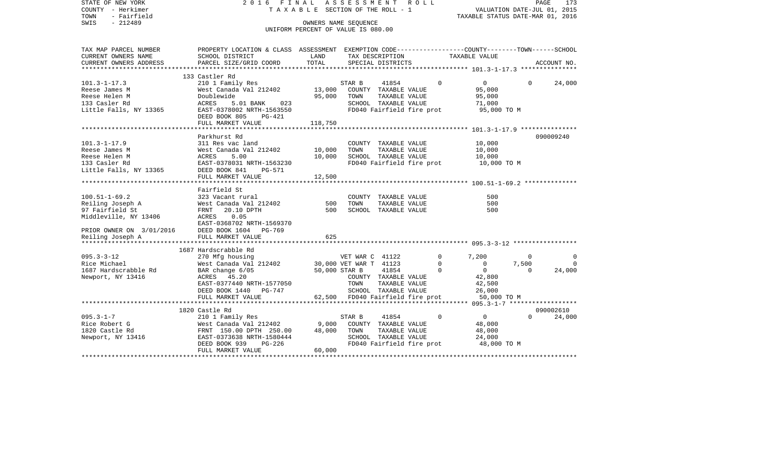| STATE OF NEW YORK<br>COUNTY - Herkimer            | ASSESSMENT ROLL<br>2016 FINAL<br>T A X A B L E SECTION OF THE ROLL - 1                           |                                                            |                                  |                           |                           | PAGE<br>173<br>VALUATION DATE-JUL 01, 2015 |          |             |  |
|---------------------------------------------------|--------------------------------------------------------------------------------------------------|------------------------------------------------------------|----------------------------------|---------------------------|---------------------------|--------------------------------------------|----------|-------------|--|
| - Fairfield<br>TOWN                               |                                                                                                  | TAXABLE STATUS DATE-MAR 01, 2016                           |                                  |                           |                           |                                            |          |             |  |
| $-212489$<br>SWIS                                 |                                                                                                  | OWNERS NAME SEOUENCE<br>UNIFORM PERCENT OF VALUE IS 080.00 |                                  |                           |                           |                                            |          |             |  |
|                                                   |                                                                                                  |                                                            |                                  |                           |                           |                                            |          |             |  |
| TAX MAP PARCEL NUMBER                             | PROPERTY LOCATION & CLASS ASSESSMENT EXEMPTION CODE----------------COUNTY-------TOWN------SCHOOL |                                                            |                                  |                           |                           |                                            |          |             |  |
| CURRENT OWNERS NAME                               | SCHOOL DISTRICT                                                                                  | LAND<br>TOTAL                                              |                                  | TAX DESCRIPTION           |                           | TAXABLE VALUE                              |          |             |  |
| CURRENT OWNERS ADDRESS<br>*********************** | PARCEL SIZE/GRID COORD                                                                           |                                                            |                                  | SPECIAL DISTRICTS         |                           |                                            |          | ACCOUNT NO. |  |
|                                                   | 133 Castler Rd                                                                                   |                                                            |                                  |                           |                           |                                            |          |             |  |
| $101.3 - 1 - 17.3$                                | 210 1 Family Res                                                                                 |                                                            | STAR B                           | 41854                     | $\Omega$                  | $\overline{0}$                             | $\Omega$ | 24,000      |  |
| Reese James M                                     | West Canada Val 212402                                                                           | 13,000                                                     |                                  | COUNTY TAXABLE VALUE      |                           | 95,000                                     |          |             |  |
| Reese Helen M                                     | Doublewide                                                                                       | 95,000                                                     | TOWN                             | TAXABLE VALUE             |                           | 95,000                                     |          |             |  |
| 133 Casler Rd                                     | ACRES<br>5.01 BANK<br>023                                                                        |                                                            |                                  | SCHOOL TAXABLE VALUE      |                           | 71,000                                     |          |             |  |
| Little Falls, NY 13365                            | EAST-0378002 NRTH-1563550<br>DEED BOOK 805<br>PG-421                                             |                                                            |                                  | FD040 Fairfield fire prot |                           | 95,000 TO M                                |          |             |  |
|                                                   | FULL MARKET VALUE                                                                                | 118,750                                                    |                                  |                           |                           |                                            |          |             |  |
|                                                   |                                                                                                  |                                                            |                                  |                           |                           |                                            |          |             |  |
|                                                   | Parkhurst Rd                                                                                     |                                                            |                                  |                           |                           |                                            |          | 090009240   |  |
| $101.3 - 1 - 17.9$                                | 311 Res vac land                                                                                 |                                                            |                                  | COUNTY TAXABLE VALUE      |                           | 10,000                                     |          |             |  |
| Reese James M                                     | West Canada Val 212402                                                                           | 10,000                                                     | TOWN                             | TAXABLE VALUE             |                           | 10,000                                     |          |             |  |
| Reese Helen M                                     | ACRES<br>5.00                                                                                    | 10,000                                                     |                                  | SCHOOL TAXABLE VALUE      |                           | 10,000                                     |          |             |  |
| 133 Casler Rd                                     | EAST-0378031 NRTH-1563230                                                                        |                                                            |                                  |                           | FD040 Fairfield fire prot | 10,000 TO M                                |          |             |  |
| Little Falls, NY 13365                            | DEED BOOK 841<br><b>PG-571</b>                                                                   |                                                            |                                  |                           |                           |                                            |          |             |  |
|                                                   | FULL MARKET VALUE                                                                                | 12,500                                                     |                                  |                           |                           |                                            |          |             |  |
|                                                   | ************************                                                                         |                                                            |                                  |                           |                           |                                            |          |             |  |
|                                                   | Fairfield St                                                                                     |                                                            |                                  |                           |                           |                                            |          |             |  |
| $100.51 - 1 - 69.2$                               | 323 Vacant rural                                                                                 |                                                            |                                  | COUNTY TAXABLE VALUE      |                           | 500                                        |          |             |  |
| Reiling Joseph A                                  | West Canada Val 212402                                                                           | 500                                                        | TOWN                             | TAXABLE VALUE             |                           | 500                                        |          |             |  |
| 97 Fairfield St                                   | FRNT<br>20.10 DPTH                                                                               | 500                                                        |                                  | SCHOOL TAXABLE VALUE      |                           | 500                                        |          |             |  |
| Middleville, NY 13406                             | ACRES<br>0.05                                                                                    |                                                            |                                  |                           |                           |                                            |          |             |  |
|                                                   | EAST-0368702 NRTH-1569370                                                                        |                                                            |                                  |                           |                           |                                            |          |             |  |
| PRIOR OWNER ON 3/01/2016                          | DEED BOOK 1604<br>PG-769                                                                         |                                                            |                                  |                           |                           |                                            |          |             |  |
| Reiling Joseph A                                  | FULL MARKET VALUE                                                                                | 625                                                        |                                  |                           |                           |                                            |          |             |  |
|                                                   | 1687 Hardscrabble Rd                                                                             |                                                            |                                  |                           |                           |                                            |          |             |  |
| $095.3 - 3 - 12$                                  |                                                                                                  |                                                            | VET WAR C 41122                  |                           | 0                         | 7,200                                      | $\Omega$ | $\Omega$    |  |
| Rice Michael                                      | 270 Mfg housing<br>West Canada Val 212402                                                        |                                                            | 30,000 VET WAR T 41123           |                           | $\mathbf 0$               | $\mathbf{0}$                               | 7,500    | $\Omega$    |  |
| 1687 Hardscrabble Rd                              | BAR change 6/05                                                                                  |                                                            | 50,000 STAR B                    | 41854                     | $\Omega$                  | $\overline{0}$                             | $\Omega$ | 24,000      |  |
| Newport, NY 13416                                 | ACRES 45.20                                                                                      |                                                            |                                  | COUNTY TAXABLE VALUE      |                           | 42,800                                     |          |             |  |
|                                                   | EAST-0377440 NRTH-1577050                                                                        |                                                            | TOWN                             | TAXABLE VALUE             |                           | 42,500                                     |          |             |  |
|                                                   | DEED BOOK 1440 PG-747                                                                            |                                                            |                                  | SCHOOL TAXABLE VALUE      |                           | 26,000                                     |          |             |  |
|                                                   | FULL MARKET VALUE                                                                                |                                                            | 62,500 FD040 Fairfield fire prot |                           |                           | 50,000 TO M                                |          |             |  |
|                                                   | *************************                                                                        |                                                            |                                  |                           |                           |                                            |          |             |  |
|                                                   | 1820 Castle Rd                                                                                   |                                                            |                                  |                           |                           |                                            |          | 090002610   |  |
| $095.3 - 1 - 7$                                   | 210 1 Family Res                                                                                 |                                                            | STAR B                           | 41854                     | $\Omega$                  | $\overline{0}$                             | $\Omega$ | 24,000      |  |
| Rice Robert G                                     | West Canada Val 212402                                                                           | 9,000                                                      |                                  | COUNTY TAXABLE VALUE      |                           | 48,000                                     |          |             |  |
| 1820 Castle Rd                                    | FRNT 150.00 DPTH 250.00                                                                          | 48,000                                                     | TOWN                             | TAXABLE VALUE             |                           | 48,000                                     |          |             |  |
| Newport, NY 13416                                 | EAST-0373638 NRTH-1580444                                                                        |                                                            |                                  | SCHOOL TAXABLE VALUE      |                           | 24,000                                     |          |             |  |
|                                                   | DEED BOOK 939<br>PG-226                                                                          |                                                            |                                  | FD040 Fairfield fire prot |                           | 48,000 TO M                                |          |             |  |
|                                                   | FULL MARKET VALUE                                                                                | 60,000                                                     |                                  |                           |                           |                                            |          |             |  |
|                                                   |                                                                                                  |                                                            |                                  |                           |                           |                                            |          |             |  |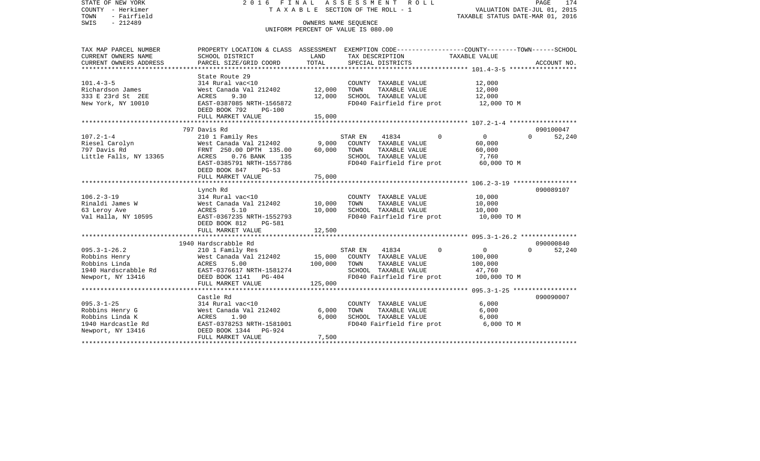| STATE OF NEW YORK<br>COUNTY - Herkimer<br>- Fairfield<br>TOWN<br>$-212489$<br>SWIS | ASSESSMENT<br>2016 FINAL<br>R O L L<br>TAXABLE SECTION OF THE ROLL - 1<br>OWNERS NAME SEOUENCE<br>UNIFORM PERCENT OF VALUE IS 080.00 |              |         |                                       |  |          | PAGE<br>174<br>VALUATION DATE-JUL 01, 2015<br>TAXABLE STATUS DATE-MAR 01, 2016 |          |             |  |
|------------------------------------------------------------------------------------|--------------------------------------------------------------------------------------------------------------------------------------|--------------|---------|---------------------------------------|--|----------|--------------------------------------------------------------------------------|----------|-------------|--|
| TAX MAP PARCEL NUMBER<br>CURRENT OWNERS NAME                                       | PROPERTY LOCATION & CLASS ASSESSMENT EXEMPTION CODE----------------COUNTY-------TOWN------SCHOOL<br>SCHOOL DISTRICT                  | LAND         |         | TAX DESCRIPTION                       |  |          | TAXABLE VALUE                                                                  |          |             |  |
| CURRENT OWNERS ADDRESS<br>***********************                                  | PARCEL SIZE/GRID COORD<br>*******************************                                                                            | TOTAL        |         | SPECIAL DISTRICTS                     |  |          |                                                                                |          | ACCOUNT NO. |  |
|                                                                                    | State Route 29                                                                                                                       |              |         |                                       |  |          |                                                                                |          |             |  |
| $101.4 - 3 - 5$                                                                    | 314 Rural vac<10                                                                                                                     |              |         | COUNTY TAXABLE VALUE                  |  |          | 12,000                                                                         |          |             |  |
| Richardson James                                                                   | West Canada Val 212402                                                                                                               | 12,000       | TOWN    | TAXABLE VALUE                         |  |          | 12,000                                                                         |          |             |  |
| 333 E 23rd St 2EE                                                                  | ACRES<br>9.30                                                                                                                        | 12,000       |         | SCHOOL TAXABLE VALUE                  |  |          | 12,000                                                                         |          |             |  |
| New York, NY 10010                                                                 | EAST-0387085 NRTH-1565872<br>DEED BOOK 792<br>PG-100                                                                                 |              |         | FD040 Fairfield fire prot             |  |          | 12,000 TO M                                                                    |          |             |  |
|                                                                                    | FULL MARKET VALUE                                                                                                                    | 15,000       |         |                                       |  |          |                                                                                |          |             |  |
|                                                                                    | 797 Davis Rd                                                                                                                         |              |         |                                       |  |          |                                                                                |          | 090100047   |  |
| $107.2 - 1 - 4$                                                                    | 210 1 Family Res                                                                                                                     |              | STAR EN | 41834                                 |  | $\Omega$ | $\overline{0}$                                                                 | $\Omega$ | 52,240      |  |
| Riesel Carolyn                                                                     | West Canada Val 212402                                                                                                               | 9,000        |         | COUNTY TAXABLE VALUE                  |  |          | 60,000                                                                         |          |             |  |
| 797 Davis Rd                                                                       | FRNT 250.00 DPTH 135.00                                                                                                              | 60,000       | TOWN    | TAXABLE VALUE                         |  |          | 60,000                                                                         |          |             |  |
| Little Falls, NY 13365                                                             | ACRES<br>$0.76$ BANK<br>135                                                                                                          |              |         | SCHOOL TAXABLE VALUE                  |  |          | 7,760                                                                          |          |             |  |
|                                                                                    | EAST-0385791 NRTH-1557786                                                                                                            |              |         | FD040 Fairfield fire prot             |  |          | 60,000 TO M                                                                    |          |             |  |
|                                                                                    | DEED BOOK 847 PG-53                                                                                                                  |              |         |                                       |  |          |                                                                                |          |             |  |
|                                                                                    | FULL MARKET VALUE                                                                                                                    | 75,000       |         |                                       |  |          |                                                                                |          |             |  |
|                                                                                    |                                                                                                                                      |              |         |                                       |  |          |                                                                                |          |             |  |
| $106.2 - 3 - 19$                                                                   | Lynch Rd                                                                                                                             |              |         |                                       |  |          |                                                                                |          | 090089107   |  |
| Rinaldi James W                                                                    | 314 Rural vac<10<br>West Canada Val 212402                                                                                           | 10,000       | TOWN    | COUNTY TAXABLE VALUE<br>TAXABLE VALUE |  |          | 10,000<br>10,000                                                               |          |             |  |
| 63 Leroy Ave                                                                       | ACRES<br>5.10                                                                                                                        | 10,000       |         | SCHOOL TAXABLE VALUE                  |  |          | 10,000                                                                         |          |             |  |
| Val Halla, NY 10595                                                                | EAST-0367235 NRTH-1552793                                                                                                            |              |         | FD040 Fairfield fire prot             |  |          | 10,000 TO M                                                                    |          |             |  |
|                                                                                    | DEED BOOK 812<br><b>PG-581</b>                                                                                                       |              |         |                                       |  |          |                                                                                |          |             |  |
|                                                                                    | FULL MARKET VALUE                                                                                                                    | 12,500       |         |                                       |  |          |                                                                                |          |             |  |
| ********************                                                               | *************************                                                                                                            | ************ |         |                                       |  |          | **************************************6095.3-1-26.2 ****************           |          |             |  |
|                                                                                    | 1940 Hardscrabble Rd                                                                                                                 |              |         |                                       |  |          |                                                                                |          | 090000840   |  |
| $095.3 - 1 - 26.2$                                                                 | 210 1 Family Res                                                                                                                     |              | STAR EN | 41834                                 |  | $\Omega$ | $\overline{0}$                                                                 | $\Omega$ | 52,240      |  |
| Robbins Henry                                                                      | West Canada Val 212402                                                                                                               | 15,000       |         | COUNTY TAXABLE VALUE                  |  |          | 100,000                                                                        |          |             |  |
| Robbins Linda                                                                      | ACRES<br>5.00                                                                                                                        | 100,000      | TOWN    | TAXABLE VALUE                         |  |          | 100,000                                                                        |          |             |  |
| 1940 Hardscrabble Rd                                                               | EAST-0376617 NRTH-1581274                                                                                                            |              |         | SCHOOL TAXABLE VALUE                  |  |          | 47,760                                                                         |          |             |  |
| Newport, NY 13416                                                                  | DEED BOOK 1141 PG-404                                                                                                                |              |         | FD040 Fairfield fire prot             |  |          | 100,000 TO M                                                                   |          |             |  |
|                                                                                    | FULL MARKET VALUE                                                                                                                    | 125,000      |         |                                       |  |          |                                                                                |          |             |  |
|                                                                                    | Castle Rd                                                                                                                            |              |         |                                       |  |          |                                                                                |          | 090090007   |  |
| $095.3 - 1 - 25$                                                                   | 314 Rural vac<10                                                                                                                     |              |         | COUNTY TAXABLE VALUE                  |  |          | 6,000                                                                          |          |             |  |
| Robbins Henry G                                                                    | West Canada Val 212402                                                                                                               | 6,000        | TOWN    | TAXABLE VALUE                         |  |          | 6,000                                                                          |          |             |  |
| Robbins Linda K                                                                    | 1.90<br>ACRES                                                                                                                        | 6,000        |         | SCHOOL TAXABLE VALUE                  |  |          | 6,000                                                                          |          |             |  |
| 1940 Hardcastle Rd                                                                 | EAST-0378253 NRTH-1581001                                                                                                            |              |         | FD040 Fairfield fire prot             |  |          | 6,000 TO M                                                                     |          |             |  |
| Newport, NY 13416                                                                  | DEED BOOK 1344<br>PG-924                                                                                                             |              |         |                                       |  |          |                                                                                |          |             |  |
|                                                                                    | FULL MARKET VALUE                                                                                                                    | 7,500        |         |                                       |  |          |                                                                                |          |             |  |
|                                                                                    |                                                                                                                                      |              |         |                                       |  |          |                                                                                |          |             |  |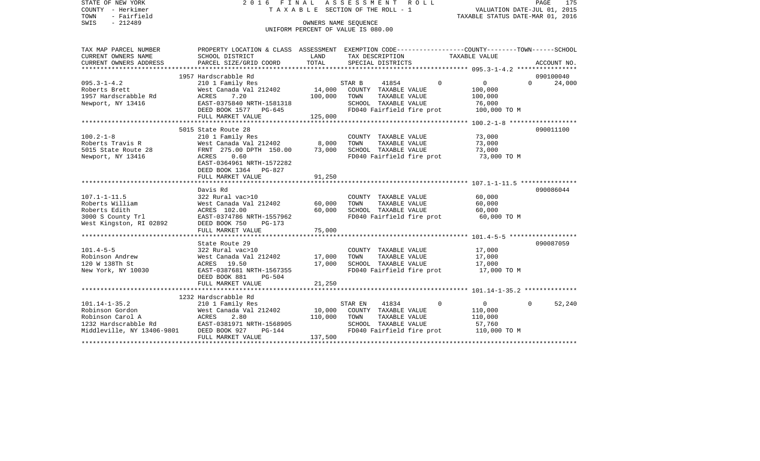| STATE OF NEW YORK<br>COUNTY - Herkimer<br>- Fairfield<br>TOWN<br>$-212489$<br>SWIS | 2016 FINAL                                                                                                          | TAXABLE SECTION OF THE ROLL - 1<br>OWNERS NAME SEOUENCE<br>UNIFORM PERCENT OF VALUE IS 080.00 | ASSESSMENT |                      | R O L L                   | VALUATION DATE-JUL 01, 2015<br>TAXABLE STATUS DATE-MAR 01, 2016 |          | PAGE<br>175 |
|------------------------------------------------------------------------------------|---------------------------------------------------------------------------------------------------------------------|-----------------------------------------------------------------------------------------------|------------|----------------------|---------------------------|-----------------------------------------------------------------|----------|-------------|
| TAX MAP PARCEL NUMBER<br>CURRENT OWNERS NAME                                       | PROPERTY LOCATION & CLASS ASSESSMENT EXEMPTION CODE----------------COUNTY-------TOWN------SCHOOL<br>SCHOOL DISTRICT | LAND                                                                                          |            | TAX DESCRIPTION      |                           | TAXABLE VALUE                                                   |          |             |
| CURRENT OWNERS ADDRESS                                                             | PARCEL SIZE/GRID COORD                                                                                              | TOTAL                                                                                         |            | SPECIAL DISTRICTS    |                           |                                                                 |          | ACCOUNT NO. |
|                                                                                    | 1957 Hardscrabble Rd                                                                                                |                                                                                               |            |                      |                           |                                                                 |          | 090100040   |
| $095.3 - 1 - 4.2$                                                                  | 210 1 Family Res                                                                                                    |                                                                                               | STAR B     | 41854                | $\Omega$                  | $\mathbf 0$                                                     | $\Omega$ | 24,000      |
| Roberts Brett                                                                      | West Canada Val 212402                                                                                              | 14,000                                                                                        |            | COUNTY TAXABLE VALUE |                           | 100,000                                                         |          |             |
| 1957 Hardscrabble Rd                                                               | ACRES<br>7.20                                                                                                       | 100,000                                                                                       | TOWN       | TAXABLE VALUE        |                           | 100,000                                                         |          |             |
| Newport, NY 13416                                                                  | EAST-0375840 NRTH-1581318                                                                                           |                                                                                               |            | SCHOOL TAXABLE VALUE |                           | 76,000                                                          |          |             |
|                                                                                    | DEED BOOK 1577 PG-645                                                                                               |                                                                                               |            |                      | FD040 Fairfield fire prot | 100,000 TO M                                                    |          |             |
|                                                                                    | FULL MARKET VALUE                                                                                                   | 125,000                                                                                       |            |                      |                           |                                                                 |          |             |
|                                                                                    |                                                                                                                     |                                                                                               |            |                      |                           | *************** 100.2-1-8 *******************                   |          |             |
|                                                                                    | 5015 State Route 28                                                                                                 |                                                                                               |            |                      |                           |                                                                 |          | 090011100   |
| $100.2 - 1 - 8$                                                                    | 210 1 Family Res                                                                                                    |                                                                                               |            | COUNTY TAXABLE VALUE |                           | 73,000                                                          |          |             |
| Roberts Travis R                                                                   | West Canada Val 212402                                                                                              | 8,000                                                                                         | TOWN       | TAXABLE VALUE        |                           | 73,000                                                          |          |             |
| 5015 State Route 28                                                                | FRNT 275.00 DPTH 150.00                                                                                             | 73,000                                                                                        |            | SCHOOL TAXABLE VALUE |                           | 73,000                                                          |          |             |
| Newport, NY 13416                                                                  | 0.60<br>ACRES<br>EAST-0364961 NRTH-1572282                                                                          |                                                                                               |            |                      | FD040 Fairfield fire prot | 73,000 TO M                                                     |          |             |
|                                                                                    | DEED BOOK 1364 PG-827                                                                                               |                                                                                               |            |                      |                           |                                                                 |          |             |
|                                                                                    | FULL MARKET VALUE                                                                                                   | 91,250                                                                                        |            |                      |                           |                                                                 |          |             |
|                                                                                    |                                                                                                                     |                                                                                               |            |                      |                           |                                                                 |          |             |
|                                                                                    | Davis Rd                                                                                                            |                                                                                               |            |                      |                           |                                                                 |          | 090086044   |
| $107.1 - 1 - 11.5$                                                                 | 322 Rural vac>10                                                                                                    |                                                                                               |            | COUNTY TAXABLE VALUE |                           | 60,000                                                          |          |             |
| Roberts William                                                                    | West Canada Val 212402                                                                                              | 60,000                                                                                        | TOWN       | TAXABLE VALUE        |                           | 60,000                                                          |          |             |
| Roberts Edith                                                                      | ACRES 102.00                                                                                                        | 60,000                                                                                        |            | SCHOOL TAXABLE VALUE |                           | 60,000                                                          |          |             |
| 3000 S County Trl                                                                  | EAST-0374786 NRTH-1557962                                                                                           |                                                                                               |            |                      | FD040 Fairfield fire prot | 60,000 TO M                                                     |          |             |
| West Kingston, RI 02892                                                            | DEED BOOK 750<br>$PG-173$                                                                                           |                                                                                               |            |                      |                           |                                                                 |          |             |
|                                                                                    | FULL MARKET VALUE                                                                                                   | 75,000                                                                                        |            |                      |                           |                                                                 |          |             |
|                                                                                    | *******************************                                                                                     |                                                                                               |            |                      |                           |                                                                 |          |             |
|                                                                                    | State Route 29                                                                                                      |                                                                                               |            |                      |                           |                                                                 |          | 090087059   |
| $101.4 - 5 - 5$                                                                    | 322 Rural vac>10                                                                                                    |                                                                                               |            | COUNTY TAXABLE VALUE |                           | 17,000                                                          |          |             |
| Robinson Andrew                                                                    | West Canada Val 212402                                                                                              | 17,000                                                                                        | TOWN       | TAXABLE VALUE        |                           | 17,000                                                          |          |             |
| 120 W 138Th St                                                                     | ACRES 19.50                                                                                                         | 17,000                                                                                        |            | SCHOOL TAXABLE VALUE |                           | 17,000                                                          |          |             |
| New York, NY 10030                                                                 | EAST-0387681 NRTH-1567355                                                                                           |                                                                                               |            |                      | FD040 Fairfield fire prot | 17,000 TO M                                                     |          |             |
|                                                                                    | DEED BOOK 881<br>$PG-504$                                                                                           |                                                                                               |            |                      |                           |                                                                 |          |             |
|                                                                                    | FULL MARKET VALUE<br>****************************                                                                   | 21,250                                                                                        |            |                      |                           |                                                                 |          |             |
|                                                                                    | 1232 Hardscrabble Rd                                                                                                |                                                                                               |            |                      |                           |                                                                 |          |             |
| $101.14 - 1 - 35.2$                                                                | 210 1 Family Res                                                                                                    |                                                                                               | STAR EN    | 41834                | $\Omega$                  | $\mathbf 0$                                                     | $\Omega$ | 52,240      |
| Robinson Gordon                                                                    | West Canada Val 212402                                                                                              | 10,000                                                                                        |            | COUNTY TAXABLE VALUE |                           | 110,000                                                         |          |             |
| Robinson Carol A                                                                   | ACRES<br>2.80                                                                                                       | 110,000                                                                                       | TOWN       | TAXABLE VALUE        |                           | 110,000                                                         |          |             |
| 1232 Hardscrabble Rd                                                               | EAST-0381971 NRTH-1568905                                                                                           |                                                                                               |            | SCHOOL TAXABLE VALUE |                           | 57,760                                                          |          |             |
| Middleville, NY 13406-9801                                                         | DEED BOOK 927<br>$PG-144$                                                                                           |                                                                                               |            |                      | FD040 Fairfield fire prot | 110,000 TO M                                                    |          |             |
|                                                                                    | FULL MARKET VALUE                                                                                                   | 137,500                                                                                       |            |                      |                           |                                                                 |          |             |
|                                                                                    |                                                                                                                     |                                                                                               |            |                      |                           |                                                                 |          |             |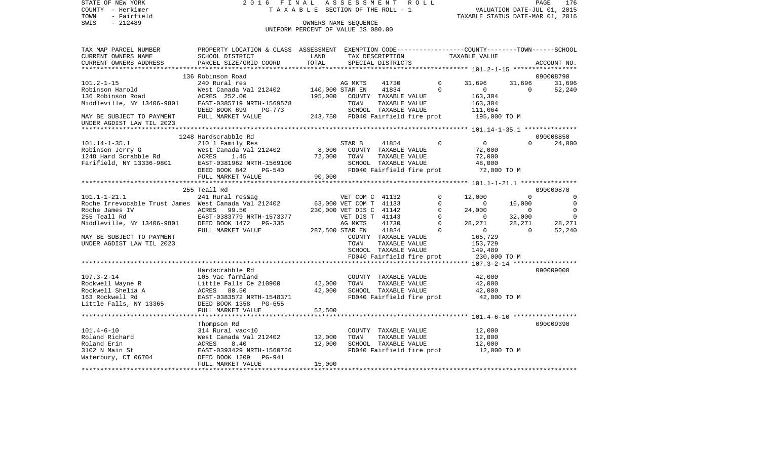| STATE OF NEW YORK<br>COUNTY - Herkimer               | 2016<br>FINAL                                                                                   |                                    | A S S E S S M E N T R O L L       |                               |                           |                                |                  | PAGE<br>176<br>VALUATION DATE-JUL 01, 2015 |
|------------------------------------------------------|-------------------------------------------------------------------------------------------------|------------------------------------|-----------------------------------|-------------------------------|---------------------------|--------------------------------|------------------|--------------------------------------------|
| TOWN<br>- Fairfield                                  | TAXABLE SECTION OF THE ROLL - 1                                                                 |                                    |                                   |                               |                           |                                |                  | TAXABLE STATUS DATE-MAR 01, 2016           |
| $-212489$<br>SWIS                                    |                                                                                                 |                                    | OWNERS NAME SEQUENCE              |                               |                           |                                |                  |                                            |
|                                                      |                                                                                                 | UNIFORM PERCENT OF VALUE IS 080.00 |                                   |                               |                           |                                |                  |                                            |
| TAX MAP PARCEL NUMBER                                | PROPERTY LOCATION & CLASS ASSESSMENT EXEMPTION CODE---------------COUNTY-------TOWN------SCHOOL |                                    |                                   |                               |                           |                                |                  |                                            |
| CURRENT OWNERS NAME                                  | SCHOOL DISTRICT                                                                                 | LAND                               |                                   | TAX DESCRIPTION               |                           | TAXABLE VALUE                  |                  |                                            |
| CURRENT OWNERS ADDRESS                               | PARCEL SIZE/GRID COORD                                                                          | TOTAL                              |                                   | SPECIAL DISTRICTS             |                           |                                |                  | ACCOUNT NO.                                |
|                                                      | 136 Robinson Road                                                                               |                                    |                                   |                               |                           |                                |                  | 090008790                                  |
| $101.2 - 1 - 15$                                     | 240 Rural res                                                                                   |                                    | AG MKTS                           | 41730                         |                           | $\Omega$<br>31,696             | 31,696           | 31,696                                     |
| Robinson Harold                                      | West Canada Val 212402                                                                          | 140,000 STAR EN                    |                                   | 41834                         |                           | $\Omega$<br>$\circ$            | $\Omega$         | 52,240                                     |
| 136 Robinson Road                                    | ACRES 252.00                                                                                    | 195,000                            |                                   | COUNTY TAXABLE VALUE          |                           | 163,304                        |                  |                                            |
| Middleville, NY 13406-9801                           | EAST-0385719 NRTH-1569578                                                                       |                                    | TOWN                              | TAXABLE VALUE                 |                           | 163,304                        |                  |                                            |
|                                                      | DEED BOOK 699<br>PG-773                                                                         |                                    |                                   | SCHOOL TAXABLE VALUE          |                           | 111,064                        |                  |                                            |
| MAY BE SUBJECT TO PAYMENT                            | FULL MARKET VALUE                                                                               |                                    | 243,750 FD040 Fairfield fire prot |                               |                           | 195,000 TO M                   |                  |                                            |
| UNDER AGDIST LAW TIL 2023                            |                                                                                                 |                                    |                                   |                               |                           |                                |                  |                                            |
|                                                      |                                                                                                 |                                    |                                   |                               |                           |                                |                  |                                            |
| $101.14 - 1 - 35.1$                                  | 1248 Hardscrabble Rd                                                                            |                                    |                                   |                               |                           | $\Omega$<br>$\overline{0}$     | $\Omega$         | 090008850                                  |
| Robinson Jerry G                                     | 210 1 Family Res<br>West Canada Val 212402                                                      | 8,000                              | STAR B                            | 41854<br>COUNTY TAXABLE VALUE |                           | 72,000                         |                  | 24,000                                     |
| $1248$ Hard Scrabble Rd                              | ACRES<br>1.45                                                                                   | 72,000                             | TOWN                              | TAXABLE VALUE                 |                           | 72,000                         |                  |                                            |
| Farifield, NY 13336-9801                             | EAST-0381962 NRTH-1569100                                                                       |                                    |                                   | SCHOOL TAXABLE VALUE          |                           | 48,000                         |                  |                                            |
|                                                      | DEED BOOK 842<br>PG-540                                                                         |                                    |                                   |                               | FD040 Fairfield fire prot | 72,000 TO M                    |                  |                                            |
|                                                      | FULL MARKET VALUE                                                                               | 90,000                             |                                   |                               |                           |                                |                  |                                            |
|                                                      |                                                                                                 |                                    |                                   |                               |                           |                                |                  |                                            |
|                                                      | 255 Teall Rd                                                                                    |                                    |                                   |                               |                           |                                |                  | 090000870                                  |
| $101.1 - 1 - 21.1$                                   | 241 Rural res&ag                                                                                |                                    | VET COM C 41132                   |                               |                           | $\Omega$<br>12,000             | $\Omega$         | $\overline{0}$                             |
| Roche Irrevocable Trust James West Canada Val 212402 |                                                                                                 |                                    | 63,000 VET COM T 41133            |                               |                           | $\Omega$<br>$\mathbf 0$        | 16,000           | $\mathbf 0$                                |
| Roche James IV                                       | ACRES 99.50                                                                                     |                                    | 230,000 VET DIS C 41142           |                               |                           | $\Omega$<br>24,000<br>$\Omega$ | $\Omega$         | $\mathbf 0$<br>$\mathbf 0$                 |
| 255 Teall Rd<br>Middleville, NY 13406-9801           | EAST-0383779 NRTH-1573377<br>DEED BOOK 1472<br>PG-335                                           |                                    | VET DIS T 41143<br>AG MKTS        | 41730                         |                           | 0<br>$\Omega$<br>28,271        | 32,000<br>28,271 | 28,271                                     |
|                                                      | FULL MARKET VALUE                                                                               |                                    | 287,500 STAR EN                   | 41834                         |                           | $\Omega$<br>$\mathbf{0}$       | $\Omega$         | 52,240                                     |
| MAY BE SUBJECT TO PAYMENT                            |                                                                                                 |                                    |                                   | COUNTY TAXABLE VALUE          |                           | 165,729                        |                  |                                            |
| UNDER AGDIST LAW TIL 2023                            |                                                                                                 |                                    | TOWN                              | TAXABLE VALUE                 |                           | 153,729                        |                  |                                            |
|                                                      |                                                                                                 |                                    |                                   | SCHOOL TAXABLE VALUE          |                           | 149,489                        |                  |                                            |
|                                                      |                                                                                                 |                                    |                                   |                               | FD040 Fairfield fire prot | 230,000 TO M                   |                  |                                            |
|                                                      |                                                                                                 |                                    |                                   |                               |                           |                                |                  |                                            |
|                                                      | Hardscrabble Rd                                                                                 |                                    |                                   |                               |                           |                                |                  | 090009000                                  |
| $107.3 - 2 - 14$                                     | 105 Vac farmland                                                                                |                                    |                                   | COUNTY TAXABLE VALUE          |                           | 42,000                         |                  |                                            |
| Rockwell Wayne R                                     | Little Falls Ce 210900                                                                          | 42,000                             | TOWN                              | TAXABLE VALUE                 |                           | 42,000                         |                  |                                            |
| Rockwell Shelia A                                    | ACRES 80.50                                                                                     | 42,000                             |                                   | SCHOOL TAXABLE VALUE          |                           | 42,000                         |                  |                                            |
| 163 Rockwell Rd<br>Little Falls, NY 13365            | EAST-0383572 NRTH-1548371<br>PG-655<br>DEED BOOK 1358                                           |                                    |                                   |                               | FD040 Fairfield fire prot | 42,000 TO M                    |                  |                                            |

\*\*\*\*\*\*\*\*\*\*\*\*\*\*\*\*\*\*\*\*\*\*\*\*\*\*\*\*\*\*\*\*\*\*\*\*\*\*\*\*\*\*\*\*\*\*\*\*\*\*\*\*\*\*\*\*\*\*\*\*\*\*\*\*\*\*\*\*\*\*\*\*\*\*\*\*\*\*\*\*\*\*\*\*\*\*\*\*\*\*\*\*\*\*\*\*\*\*\*\*\*\*\* 101.4-6-10 \*\*\*\*\*\*\*\*\*\*\*\*\*\*\*\*\*

\*\*\*\*\*\*\*\*\*\*\*\*\*\*\*\*\*\*\*\*\*\*\*\*\*\*\*\*\*\*\*\*\*\*\*\*\*\*\*\*\*\*\*\*\*\*\*\*\*\*\*\*\*\*\*\*\*\*\*\*\*\*\*\*\*\*\*\*\*\*\*\*\*\*\*\*\*\*\*\*\*\*\*\*\*\*\*\*\*\*\*\*\*\*\*\*\*\*\*\*\*\*\*\*\*\*\*\*\*\*\*\*\*\*\*\*\*\*\*\*\*\*\*\*\*\*\*\*\*\*\*\*

West Canada Val 212402 12,000 TOWN TAXABLE VALUE 12,000<br>ACRES 8.40 12,000 SCHOOL TAXABLE VALUE 12,000

Thompson Rd 090009390

FULL MARKET VALUE 52,500

FULL MARKET VALUE 15,000

Roland Erin ACRES 8.40 12,000 SCHOOL TAXABLE VALUE

DEED BOOK 1209 PG-941

101.4-6-10 314 Rural vac<10 COUNTY TAXABLE VALUE 12,000

3102 N Main St EAST-0393429 NRTH-1560726 FD040 Fairfield fire prot 12,000 TO M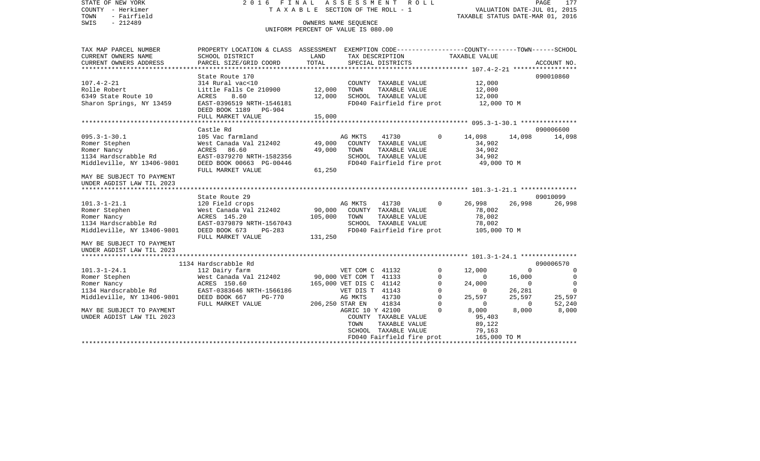STATE OF NEW YORK 2 0 1 6 F I N A L A S S E S S M E N T R O L L PAGE 177COUNTY - Herkimer **T A X A B L E** SECTION OF THE ROLL - 1 VALUATION DATE-JUL 01, 2015 TOWN - Fairfield TAXABLE STATUS DATE-MAR 01, 2016 SWIS - 212489 CONNERS NAME SEQUENCE UNIFORM PERCENT OF VALUE IS 080.00TAX MAP PARCEL NUMBER PROPERTY LOCATION & CLASS ASSESSMENT EXEMPTION CODE------------------COUNTY--------TOWN------SCHOOL CURRENT OWNERS NAME SCHOOL DISTRICT LAND TAX DESCRIPTION TAXABLE VALUECURRENT OWNERS ADDRESS PARCEL SIZE/GRID COORD TOTAL SPECIAL DISTRICTS ACCOUNT NO. \*\*\*\*\*\*\*\*\*\*\*\*\*\*\*\*\*\*\*\*\*\*\*\*\*\*\*\*\*\*\*\*\*\*\*\*\*\*\*\*\*\*\*\*\*\*\*\*\*\*\*\*\*\*\*\*\*\*\*\*\*\*\*\*\*\*\*\*\*\*\*\*\*\*\*\*\*\*\*\*\*\*\*\*\*\*\*\*\*\*\*\*\*\*\*\*\*\*\*\*\*\*\* 107.4-2-21 \*\*\*\*\*\*\*\*\*\*\*\*\*\*\*\*\*State Route 170 090010860 107.4-2-21 314 Rural vac<10 COUNTY TAXABLE VALUE 12,000 Rolle Robert **Little Falls Ce 210900** 12,000 TOWN TAXABLE VALUE 12,000 6349 State Route 10 ACRES 8.60 12,000 SCHOOL TAXABLE VALUE 12,000 Sharon Springs, NY 13459 EAST-0396519 NRTH-1546181 FD040 Fairfield fire prot 12,000 TO M DEED BOOK 1189 PG-904FULL MARKET VALUE 15,000 \*\*\*\*\*\*\*\*\*\*\*\*\*\*\*\*\*\*\*\*\*\*\*\*\*\*\*\*\*\*\*\*\*\*\*\*\*\*\*\*\*\*\*\*\*\*\*\*\*\*\*\*\*\*\*\*\*\*\*\*\*\*\*\*\*\*\*\*\*\*\*\*\*\*\*\*\*\*\*\*\*\*\*\*\*\*\*\*\*\*\*\*\*\*\*\*\*\*\*\*\*\*\* 095.3-1-30.1 \*\*\*\*\*\*\*\*\*\*\*\*\*\*\* Castle Rd 090006600095.3-1-30.1 105 Vac farmland 105 AG MKTS 41730 0 14,098 14,098 14,098 14,098 Romer Stephen West Canada Val 212402 49,000 COUNTY TAXABLE VALUE 34,902 Romer Nancy ACRES 86.60 49,000 TOWN TAXABLE VALUE 34,902 1134 Hardscrabble Rd EAST-0379270 NRTH-1582356 SCHOOL TAXABLE VALUE 34,902 Middleville, NY 13406-9801 DEED BOOK 00663 PG-00446 FD040 Fairfield fire prot 49,000 TO M FULL MARKET VALUE 61,250 MAY BE SUBJECT TO PAYMENTUNDER AGDIST LAW TIL 2023 \*\*\*\*\*\*\*\*\*\*\*\*\*\*\*\*\*\*\*\*\*\*\*\*\*\*\*\*\*\*\*\*\*\*\*\*\*\*\*\*\*\*\*\*\*\*\*\*\*\*\*\*\*\*\*\*\*\*\*\*\*\*\*\*\*\*\*\*\*\*\*\*\*\*\*\*\*\*\*\*\*\*\*\*\*\*\*\*\*\*\*\*\*\*\*\*\*\*\*\*\*\*\* 101.3-1-21.1 \*\*\*\*\*\*\*\*\*\*\*\*\*\*\*State Route 29 09010099 101.3-1-21.1 120 Field crops AG MKTS 41730 0 26,998 26,998 26,998 Romer Stephen West Canada Val 212402 90,000 COUNTY TAXABLE VALUE 78,002 Romer Nancy **ACRES 145.20** 105,000 TOWN TAXABLE VALUE 78,002 1134 Hardscrabble Rd EAST-0379879 NRTH-1567043 SCHOOL TAXABLE VALUE 78,002 Middleville, NY 13406-9801 DEED BOOK 673 PG-283 FD040 Fairfield fire prot 105,000 TO M<br>FULL MARKET VALUE 131.250 FULL MARKET VALUE MAY BE SUBJECT TO PAYMENTUNDER AGDIST LAW TIL 2023 \*\*\*\*\*\*\*\*\*\*\*\*\*\*\*\*\*\*\*\*\*\*\*\*\*\*\*\*\*\*\*\*\*\*\*\*\*\*\*\*\*\*\*\*\*\*\*\*\*\*\*\*\*\*\*\*\*\*\*\*\*\*\*\*\*\*\*\*\*\*\*\*\*\*\*\*\*\*\*\*\*\*\*\*\*\*\*\*\*\*\*\*\*\*\*\*\*\*\*\*\*\*\* 101.3-1-24.1 \*\*\*\*\*\*\*\*\*\*\*\*\*\*\* 1134 Hardscrabble Rd 090006570101.3-1-24.1 112 Dairy farm VET COM C 41132 0 12,000 0 0 Romer Stephen **16,000** West Canada Val 212402 90,000 VET COM T 41133 0 0 16,000 0 Romer Nancy ACRES 150.60 165,000 VET DIS C 41142 0 24,000 0 0 1134 Hardscrabble Rd EAST-0383646 NRTH-1566186 VET DIS T 41143 0 0 26,281 0 Middleville, NY 13406-9801 DEED BOOK 667 PG-770 AG MKTS 41730 0 25,597 25,597 25,597 25,597 FULL MARKET VALUE 206,250 STAR EN 41834 0 0 0 52,240 MAY BE SUBJECT TO PAYMENT AGRIC 10 Y 42100 0 8,000 8,000 8,000 8,000 UNDER AGDIST LAW TIL 2023 COUNTY TAXABLE VALUE 95,403 TOWN TAXABLE VALUE 89,122 SCHOOL TAXABLE VALUE 79,163 FD040 Fairfield fire prot 165,000 TO M \*\*\*\*\*\*\*\*\*\*\*\*\*\*\*\*\*\*\*\*\*\*\*\*\*\*\*\*\*\*\*\*\*\*\*\*\*\*\*\*\*\*\*\*\*\*\*\*\*\*\*\*\*\*\*\*\*\*\*\*\*\*\*\*\*\*\*\*\*\*\*\*\*\*\*\*\*\*\*\*\*\*\*\*\*\*\*\*\*\*\*\*\*\*\*\*\*\*\*\*\*\*\*\*\*\*\*\*\*\*\*\*\*\*\*\*\*\*\*\*\*\*\*\*\*\*\*\*\*\*\*\*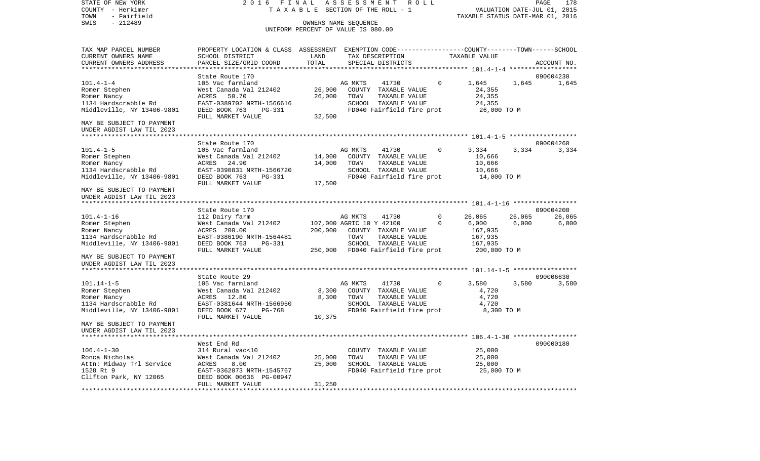TOWN - Fairfield TAXABLE STATUS DATE-MAR 01, 2016 SWIS - 212489 OWNERS NAME SEQUENCE UNIFORM PERCENT OF VALUE IS 080.00TAX MAP PARCEL NUMBER PROPERTY LOCATION & CLASS ASSESSMENT EXEMPTION CODE------------------COUNTY--------TOWN------SCHOOL CURRENT OWNERS NAME SCHOOL DISTRICT LAND TAX DESCRIPTION TAXABLE VALUECURRENT OWNERS ADDRESS PARCEL SIZE/GRID COORD TOTAL SPECIAL DISTRICTS ACCOUNT NO. \*\*\*\*\*\*\*\*\*\*\*\*\*\*\*\*\*\*\*\*\*\*\*\*\*\*\*\*\*\*\*\*\*\*\*\*\*\*\*\*\*\*\*\*\*\*\*\*\*\*\*\*\*\*\*\*\*\*\*\*\*\*\*\*\*\*\*\*\*\*\*\*\*\*\*\*\*\*\*\*\*\*\*\*\*\*\*\*\*\*\*\*\*\*\*\*\*\*\*\*\*\*\* 101.4-1-4 \*\*\*\*\*\*\*\*\*\*\*\*\*\*\*\*\*\*State Route 170 090004230 101.4-1-4 105 Vac farmland AG MKTS 41730 0 1,645 1,645 1,645 Romer Stephen West Canada Val 212402 26,000 COUNTY TAXABLE VALUE 24,355 Romer Nancy **Romer Nancy 24,355** 24,355 26,000 26,000 TOWN TAXABLE VALUE 1134 Hardscrabble Rd EAST-0389702 NRTH-1566616 SCHOOL TAXABLE VALUE 24,355 Middleville, NY 13406-9801 DEED BOOK 763 PG-331 FD040 Fairfield fire prot 26,000 TO M FULL MARKET VALUE 32,500 MAY BE SUBJECT TO PAYMENT UNDER AGDIST LAW TIL 2023 \*\*\*\*\*\*\*\*\*\*\*\*\*\*\*\*\*\*\*\*\*\*\*\*\*\*\*\*\*\*\*\*\*\*\*\*\*\*\*\*\*\*\*\*\*\*\*\*\*\*\*\*\*\*\*\*\*\*\*\*\*\*\*\*\*\*\*\*\*\*\*\*\*\*\*\*\*\*\*\*\*\*\*\*\*\*\*\*\*\*\*\*\*\*\*\*\*\*\*\*\*\*\* 101.4-1-5 \*\*\*\*\*\*\*\*\*\*\*\*\*\*\*\*\*\*State Route 170 090004260 101.4-1-5 105 Vac farmland AG MKTS 41730 0 3,334 3,334 3,334 Romer Stephen West Canada Val 212402 14,000 COUNTY TAXABLE VALUE 10,666 Romer Nancy 666 14,90 14,000 TOWN TAXABLE VALUE 10,666 1134 Hardscrabble Rd EAST-0390831 NRTH-1566720 SCHOOL TAXABLE VALUE 10,666 Middleville, NY 13406-9801 DEED BOOK 763 PG-331 FD040 Fairfield fire prot 14,000 TO M<br>FULL MARKET VALUE 17.500 FULL MARKET VALUE MAY BE SUBJECT TO PAYMENTUNDER AGDIST LAW TIL 2023 \*\*\*\*\*\*\*\*\*\*\*\*\*\*\*\*\*\*\*\*\*\*\*\*\*\*\*\*\*\*\*\*\*\*\*\*\*\*\*\*\*\*\*\*\*\*\*\*\*\*\*\*\*\*\*\*\*\*\*\*\*\*\*\*\*\*\*\*\*\*\*\*\*\*\*\*\*\*\*\*\*\*\*\*\*\*\*\*\*\*\*\*\*\*\*\*\*\*\*\*\*\*\* 101.4-1-16 \*\*\*\*\*\*\*\*\*\*\*\*\*\*\*\*\*State Route 170 090004200 101.4-1-16 112 Dairy farm 112 AG MKTS 41730 0 26,065 26,065 26,065 26,065 Romer Stephen 6,000 6,000 6,000 West Canada Val 212402 107,000 AGRIC 10 Y 42100 0 66,000 6,000 6,000 Romer Nancy ACRES 200.00 200,000 COUNTY TAXABLE VALUE 167,935  $\texttt{FAST-0386190}$  NRTH-1564481 TOWN TAXABLE VALUE Middleville, NY 13406-9801 DEED BOOK 763 PG-331 SCHOOL TAXABLE VALUE 167,935 FULL MARKET VALUE 250,000 FD040 Fairfield fire prot 200,000 TO M MAY BE SUBJECT TO PAYMENT UNDER AGDIST LAW TIL 2023 \*\*\*\*\*\*\*\*\*\*\*\*\*\*\*\*\*\*\*\*\*\*\*\*\*\*\*\*\*\*\*\*\*\*\*\*\*\*\*\*\*\*\*\*\*\*\*\*\*\*\*\*\*\*\*\*\*\*\*\*\*\*\*\*\*\*\*\*\*\*\*\*\*\*\*\*\*\*\*\*\*\*\*\*\*\*\*\*\*\*\*\*\*\*\*\*\*\*\*\*\*\*\* 101.14-1-5 \*\*\*\*\*\*\*\*\*\*\*\*\*\*\*\*\*State Route 29 090006630 101.14-1-5 105 Vac farmland 105 AG MKTS 41730 0 3,580 3,580 3,580 3,580 Romer Stephen West Canada Val 212402 8,300 COUNTY TAXABLE VALUE 4,720 Romer Nancy  $ACRES$  12.80 8,300 TOWN TAXABLE VALUE 4,720 1134 Hardscrabble Rd EAST-0381644 NRTH-1566950 SCHOOL TAXABLE VALUE 4,720 Middleville, NY 13406-9801 DEED BOOK 677 PG-768 FD040 Fairfield fire prot 8,300 TO M<br>FULL MARKET VALUE 10.375 FULL MARKET VALUE MAY BE SUBJECT TO PAYMENTUNDER AGDIST LAW TIL 2023 \*\*\*\*\*\*\*\*\*\*\*\*\*\*\*\*\*\*\*\*\*\*\*\*\*\*\*\*\*\*\*\*\*\*\*\*\*\*\*\*\*\*\*\*\*\*\*\*\*\*\*\*\*\*\*\*\*\*\*\*\*\*\*\*\*\*\*\*\*\*\*\*\*\*\*\*\*\*\*\*\*\*\*\*\*\*\*\*\*\*\*\*\*\*\*\*\*\*\*\*\*\*\* 106.4-1-30 \*\*\*\*\*\*\*\*\*\*\*\*\*\*\*\*\* West End Rd 090000180106.4-1-30 314 Rural vac<10 COUNTY TAXABLE VALUE 25,000 Ronca Nicholas West Canada Val 212402 25,000 TOWN TAXABLE VALUE 25,000 Attn: Midway Trl Service ACRES 8.00 25,000 SCHOOL TAXABLE VALUE 25,000 1528 Rt 9 EAST-0362073 NRTH-1545767 FD040 Fairfield fire prot 25,000 TO M Clifton Park, NY 12065 DEED BOOK 00636 PG-00947 FULL MARKET VALUE 31,250 \*\*\*\*\*\*\*\*\*\*\*\*\*\*\*\*\*\*\*\*\*\*\*\*\*\*\*\*\*\*\*\*\*\*\*\*\*\*\*\*\*\*\*\*\*\*\*\*\*\*\*\*\*\*\*\*\*\*\*\*\*\*\*\*\*\*\*\*\*\*\*\*\*\*\*\*\*\*\*\*\*\*\*\*\*\*\*\*\*\*\*\*\*\*\*\*\*\*\*\*\*\*\*\*\*\*\*\*\*\*\*\*\*\*\*\*\*\*\*\*\*\*\*\*\*\*\*\*\*\*\*\*

STATE OF NEW YORK 2 0 1 6 F I N A L A S S E S S M E N T R O L L PAGE 178COUNTY - Herkimer T A X A B L E SECTION OF THE ROLL - 1 VALUATION DATE-JUL 01, 2015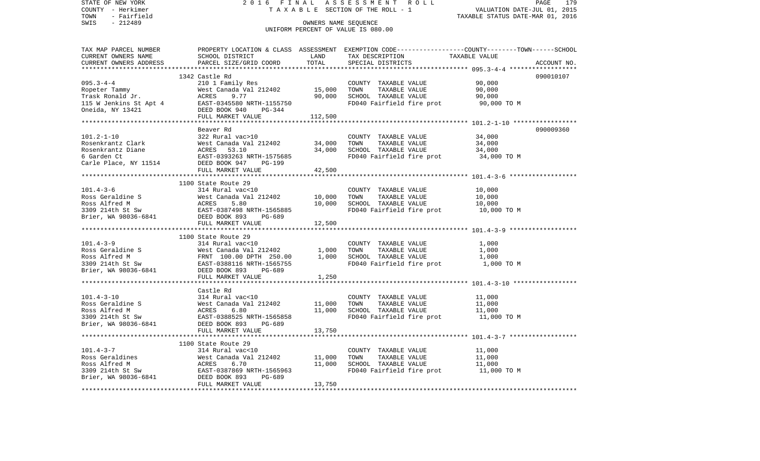STATE OF NEW YORK 2 0 1 6 F I N A L A S S E S S M E N T R O L L PAGE 179COUNTY - Herkimer **T A X A B L E** SECTION OF THE ROLL - 1 VALUATION DATE-JUL 01, 2015 TOWN - Fairfield TAXABLE STATUS DATE-MAR 01, 2016 SWIS - 212489 CONNERS NAME SEQUENCE UNIFORM PERCENT OF VALUE IS 080.00TAX MAP PARCEL NUMBER PROPERTY LOCATION & CLASS ASSESSMENT EXEMPTION CODE------------------COUNTY--------TOWN------SCHOOL CURRENT OWNERS NAME SCHOOL DISTRICT LAND TAX DESCRIPTION TAXABLE VALUECURRENT OWNERS ADDRESS PARCEL SIZE/GRID COORD TOTAL SPECIAL DISTRICTS ACCOUNT NO. \*\*\*\*\*\*\*\*\*\*\*\*\*\*\*\*\*\*\*\*\*\*\*\*\*\*\*\*\*\*\*\*\*\*\*\*\*\*\*\*\*\*\*\*\*\*\*\*\*\*\*\*\*\*\*\*\*\*\*\*\*\*\*\*\*\*\*\*\*\*\*\*\*\*\*\*\*\*\*\*\*\*\*\*\*\*\*\*\*\*\*\*\*\*\*\*\*\*\*\*\*\*\* 095.3-4-4 \*\*\*\*\*\*\*\*\*\*\*\*\*\*\*\*\*\* 1342 Castle Rd 090010107095.3-4-4 210 1 Family Res COUNTY TAXABLE VALUE 90,000 Ropeter Tammy 60,000 West Canada Val 212402 15,000 TOWN TAXABLE VALUE 90,000 Trask Ronald Jr. ACRES 9.77 90,000 SCHOOL TAXABLE VALUE 90,000 115 W Jenkins St Apt 4 EAST-0345580 NRTH-1155750 FD040 Fairfield fire prot 90,000 TO M Oneida, NY 13421 DEED BOOK 940 PG-344 FULL MARKET VALUE 112,500 \*\*\*\*\*\*\*\*\*\*\*\*\*\*\*\*\*\*\*\*\*\*\*\*\*\*\*\*\*\*\*\*\*\*\*\*\*\*\*\*\*\*\*\*\*\*\*\*\*\*\*\*\*\*\*\*\*\*\*\*\*\*\*\*\*\*\*\*\*\*\*\*\*\*\*\*\*\*\*\*\*\*\*\*\*\*\*\*\*\*\*\*\*\*\*\*\*\*\*\*\*\*\* 101.2-1-10 \*\*\*\*\*\*\*\*\*\*\*\*\*\*\*\*\* Beaver Rd 090009360101.2-1-10 322 Rural vac>10 COUNTY TAXABLE VALUE 34,000 Rosenkrantz Clark West Canada Val 212402 34,000 TOWN TAXABLE VALUE 34,000 Rosenkrantz Diane ACRES 53.10 34,000 SCHOOL TAXABLE VALUE 34,000 6 Garden Ct EAST-0393263 NRTH-1575685 FD040 Fairfield fire prot 34,000 TO M Carle Place, NY 11514 DEED BOOK 947 PG-199 FULL MARKET VALUE 42,500 \*\*\*\*\*\*\*\*\*\*\*\*\*\*\*\*\*\*\*\*\*\*\*\*\*\*\*\*\*\*\*\*\*\*\*\*\*\*\*\*\*\*\*\*\*\*\*\*\*\*\*\*\*\*\*\*\*\*\*\*\*\*\*\*\*\*\*\*\*\*\*\*\*\*\*\*\*\*\*\*\*\*\*\*\*\*\*\*\*\*\*\*\*\*\*\*\*\*\*\*\*\*\* 101.4-3-6 \*\*\*\*\*\*\*\*\*\*\*\*\*\*\*\*\*\* 1100 State Route 29101.4-3-6 314 Rural vac<10 COUNTY TAXABLE VALUE 10,000 Ross Geraldine S West Canada Val 212402 10,000 TOWN TAXABLE VALUE 10,000 Ross Alfred M **ACRES** 5.80 10,000 SCHOOL TAXABLE VALUE 10,000 3309 214th St Sw EAST-0387498 NRTH-1565885 FD040 Fairfield fire prot 10,000 TO M Brier, WA 98036-6841 DEED BOOK 893 PG-689 FULL MARKET VALUE 12,500 \*\*\*\*\*\*\*\*\*\*\*\*\*\*\*\*\*\*\*\*\*\*\*\*\*\*\*\*\*\*\*\*\*\*\*\*\*\*\*\*\*\*\*\*\*\*\*\*\*\*\*\*\*\*\*\*\*\*\*\*\*\*\*\*\*\*\*\*\*\*\*\*\*\*\*\*\*\*\*\*\*\*\*\*\*\*\*\*\*\*\*\*\*\*\*\*\*\*\*\*\*\*\* 101.4-3-9 \*\*\*\*\*\*\*\*\*\*\*\*\*\*\*\*\*\* 1100 State Route 29101.4-3-9 314 Rural vac<10 COUNTY TAXABLE VALUE 1,000 Ross Geraldine S 600 West Canada Val 212402 1,000 TOWN TAXABLE VALUE 1,000 Ross Alfred M **FRNT** 100.00 DPTH 250.00 1,000 SCHOOL TAXABLE VALUE 1,000 3309 214th St Sw **EAST-0388116 NRTH-1565755** FD040 Fairfield fire prot 1,000 TO M Brier, WA 98036-6841 DEED BOOK 893 PG-689 FULL MARKET VALUE 1,250 \*\*\*\*\*\*\*\*\*\*\*\*\*\*\*\*\*\*\*\*\*\*\*\*\*\*\*\*\*\*\*\*\*\*\*\*\*\*\*\*\*\*\*\*\*\*\*\*\*\*\*\*\*\*\*\*\*\*\*\*\*\*\*\*\*\*\*\*\*\*\*\*\*\*\*\*\*\*\*\*\*\*\*\*\*\*\*\*\*\*\*\*\*\*\*\*\*\*\*\*\*\*\* 101.4-3-10 \*\*\*\*\*\*\*\*\*\*\*\*\*\*\*\*\* Castle Rd101.4-3-10 314 Rural vac<10 COUNTY TAXABLE VALUE 11,000 Ross Geraldine S West Canada Val 212402 11,000 TOWN TAXABLE VALUE 11,000 Ross Alfred M **ACRES** 6.80 11.000 SCHOOL TAXABLE VALUE 11.000 3309 214th St Sw EAST-0388525 NRTH-1565858 FD040 Fairfield fire prot 11,000 TO M Brier, WA 98036-6841 DEED BOOK 893 PG-689 FULL MARKET VALUE 13,750 \*\*\*\*\*\*\*\*\*\*\*\*\*\*\*\*\*\*\*\*\*\*\*\*\*\*\*\*\*\*\*\*\*\*\*\*\*\*\*\*\*\*\*\*\*\*\*\*\*\*\*\*\*\*\*\*\*\*\*\*\*\*\*\*\*\*\*\*\*\*\*\*\*\*\*\*\*\*\*\*\*\*\*\*\*\*\*\*\*\*\*\*\*\*\*\*\*\*\*\*\*\*\* 101.4-3-7 \*\*\*\*\*\*\*\*\*\*\*\*\*\*\*\*\*\* 1100 State Route 29101.4-3-7 314 Rural vac<10 COUNTY TAXABLE VALUE 11,000 Ross Geraldines 6 11,000 West Canada Val 212402 11,000 TOWN TAXABLE VALUE 11,000 Ross Alfred M **ACRES** 6.70 11,000 SCHOOL TAXABLE VALUE 11,000 3309 214th St Sw EAST-0387869 NRTH-1565963 FD040 Fairfield fire prot 11,000 TO M Brier, WA 98036-6841 DEED BOOK 893 PG-689 FULL MARKET VALUE 13,750 \*\*\*\*\*\*\*\*\*\*\*\*\*\*\*\*\*\*\*\*\*\*\*\*\*\*\*\*\*\*\*\*\*\*\*\*\*\*\*\*\*\*\*\*\*\*\*\*\*\*\*\*\*\*\*\*\*\*\*\*\*\*\*\*\*\*\*\*\*\*\*\*\*\*\*\*\*\*\*\*\*\*\*\*\*\*\*\*\*\*\*\*\*\*\*\*\*\*\*\*\*\*\*\*\*\*\*\*\*\*\*\*\*\*\*\*\*\*\*\*\*\*\*\*\*\*\*\*\*\*\*\*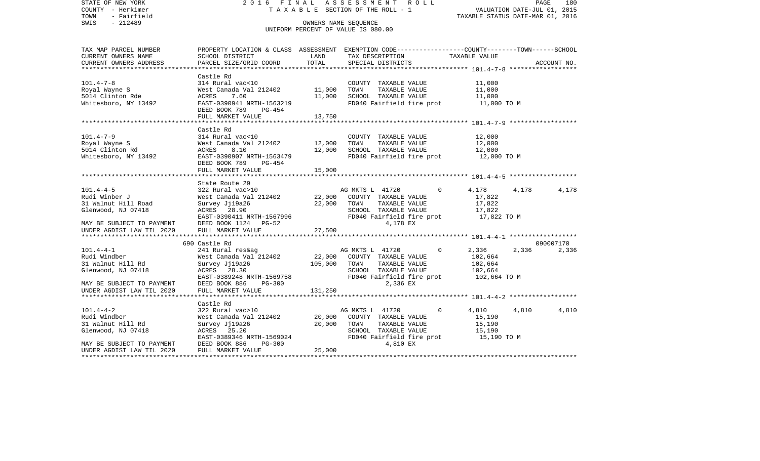| STATE OF NEW YORK<br>COUNTY - Herkimer<br>- Fairfield<br>TOWN | 2016 FINAL                                                                                                                           |               | A S S E S S M E N T R O L L<br>TAXABLE SECTION OF THE ROLL - 1                                 | VALUATION DATE-JUL 01, 2015<br>TAXABLE STATUS DATE-MAR 01, 2016 | PAGE<br>180 |
|---------------------------------------------------------------|--------------------------------------------------------------------------------------------------------------------------------------|---------------|------------------------------------------------------------------------------------------------|-----------------------------------------------------------------|-------------|
| SWIS<br>- 212489                                              |                                                                                                                                      |               | OWNERS NAME SEQUENCE                                                                           |                                                                 |             |
|                                                               |                                                                                                                                      |               | UNIFORM PERCENT OF VALUE IS 080.00                                                             |                                                                 |             |
|                                                               |                                                                                                                                      |               |                                                                                                |                                                                 |             |
| TAX MAP PARCEL NUMBER                                         |                                                                                                                                      |               | PROPERTY LOCATION & CLASS ASSESSMENT EXEMPTION CODE---------------COUNTY-------TOWN-----SCHOOL |                                                                 |             |
| CURRENT OWNERS NAME<br>CURRENT OWNERS ADDRESS                 | SCHOOL DISTRICT<br>PARCEL SIZE/GRID COORD                                                                                            | LAND<br>TOTAL | TAX DESCRIPTION TAXABLE VALUE<br>SPECIAL DISTRICTS                                             |                                                                 | ACCOUNT NO. |
|                                                               |                                                                                                                                      |               |                                                                                                |                                                                 |             |
|                                                               | Castle Rd                                                                                                                            |               |                                                                                                |                                                                 |             |
| $101.4 - 7 - 8$                                               | 314 Rural vac<10                                                                                                                     |               | COUNTY TAXABLE VALUE                                                                           | 11,000                                                          |             |
| Royal Wayne S                                                 | West Canada Val 212402                                                                                                               | 11,000        | TOWN<br>TAXABLE VALUE                                                                          | 11,000                                                          |             |
| 5014 Clinton Rde                                              |                                                                                                                                      | 11,000        | SCHOOL TAXABLE VALUE                                                                           | 11,000                                                          |             |
| Whitesboro, NY 13492                                          | Nest Canada var --<br>ACRES 7.60 11,00<br>EAST-039941 NRTH-1563219 11,00<br>DEED BOOK 789 PG-454                                     |               | FD040 Fairfield fire prot                                                                      | 11,000 TO M                                                     |             |
|                                                               | FULL MARKET VALUE                                                                                                                    | 13,750        |                                                                                                |                                                                 |             |
|                                                               |                                                                                                                                      |               |                                                                                                |                                                                 |             |
|                                                               | Castle Rd                                                                                                                            |               |                                                                                                |                                                                 |             |
| $101.4 - 7 - 9$                                               | 314 Rural vac<10                                                                                                                     |               | COUNTY TAXABLE VALUE                                                                           | 12,000                                                          |             |
|                                                               |                                                                                                                                      |               | TOWN<br>TAXABLE VALUE                                                                          | 12,000                                                          |             |
|                                                               | Royal Wayne S<br>5014 Clinton Rd<br>611 ACRES 8.10<br>5014 Clinton Rd<br>62.000 Mhitesboro, NY 13492<br>62.8157-0390907 NRTH-1563479 |               | SCHOOL TAXABLE VALUE                                                                           | 12,000                                                          |             |
|                                                               | PG-454<br>DEED BOOK 789                                                                                                              |               | FD040 Fairfield fire prot                                                                      | 12,000 TO M                                                     |             |
|                                                               | FULL MARKET VALUE                                                                                                                    | 15,000        |                                                                                                |                                                                 |             |
|                                                               |                                                                                                                                      |               |                                                                                                |                                                                 |             |
|                                                               | State Route 29                                                                                                                       |               |                                                                                                |                                                                 |             |
| $101.4 - 4 - 5$                                               | 322 Rural vac>10                                                                                                                     |               | $\Omega$<br>AG MKTS L 41720                                                                    | 4,178<br>4,178                                                  | 4,178       |
| Rudi Winber J                                                 |                                                                                                                                      |               | West Canada Val 212402 22,000 COUNTY TAXABLE VALUE<br>Survey Jj19a26 22,000 TOWN TAXABLE VALUE | 17,822                                                          |             |
| 31 Walnut Hill Road<br>Glenwood, NJ 07418                     |                                                                                                                                      |               | SCHOOL TAXABLE VALUE                                                                           | 17,822<br>17,822                                                |             |
|                                                               | ACRES 28.90<br>EAST-0390411 NRTH-1567996                                                                                             |               | FD040 Fairfield fire prot 17,822 TO M                                                          |                                                                 |             |
| MAY BE SUBJECT TO PAYMENT                                     | DEED BOOK 1124 PG-52                                                                                                                 |               | 4,178 EX                                                                                       |                                                                 |             |
| UNDER AGDIST LAW TIL 2020                                     | FULL MARKET VALUE                                                                                                                    | 27,500        |                                                                                                |                                                                 |             |
|                                                               |                                                                                                                                      |               |                                                                                                |                                                                 |             |
|                                                               | 690 Castle Rd                                                                                                                        |               |                                                                                                |                                                                 | 090007170   |
| $101.4 - 4 - 1$                                               |                                                                                                                                      |               | $\mathbf 0$                                                                                    | 2,336<br>2,336                                                  | 2,336       |
| Rudi Windber<br>31 Walnut Hill Rd                             | Survey Jj19a26                                                                                                                       | 105,000 TOWN  | TAXABLE VALUE                                                                                  | 102,664<br>102,664                                              |             |
| Glenwood, NJ 07418                                            | ACRES 28.30                                                                                                                          |               | SCHOOL TAXABLE VALUE                                                                           | 102,664                                                         |             |
|                                                               | EAST-0389248 NRTH-1569758                                                                                                            |               | FD040 Fairfield fire prot                                                                      | 102,664 TO M                                                    |             |
| MAY BE SUBJECT TO PAYMENT                                     | <b>PG-300</b><br>DEED BOOK 886                                                                                                       |               | 2,336 EX                                                                                       |                                                                 |             |
| MAY BE SUBJECT TO PAYMENT<br>UNDER AGDIST LAW TIL 2020        | FULL MARKET VALUE                                                                                                                    | 131,250       |                                                                                                |                                                                 |             |
|                                                               |                                                                                                                                      |               |                                                                                                |                                                                 |             |
|                                                               | Castle Rd<br>322 Rural vac>10                                                                                                        |               | $\Omega$                                                                                       |                                                                 |             |
| $101.4 - 4 - 2$<br>Rudi Windber                               |                                                                                                                                      |               | AG MKTS L 41720<br>COUNTY TAXABLE VALUE                                                        | 4,810<br>4,810<br>15,190                                        | 4,810       |
| 31 Walnut Hill Rd                                             | West Canada Val 212402 20,000<br>Survey Jj19a26 20,000                                                                               |               | TOWN<br>TAXABLE VALUE                                                                          | 15,190                                                          |             |
| Glenwood, NJ 07418                                            | ACRES 25.20                                                                                                                          |               | SCHOOL TAXABLE VALUE                                                                           | 15,190                                                          |             |
|                                                               | EAST-0389346 NRTH-1569024                                                                                                            |               | FD040 Fairfield fire prot 15,190 TO M                                                          |                                                                 |             |
| MAY BE SUBJECT TO PAYMENT                                     | DEED BOOK 886<br>PG-300                                                                                                              |               | 4,810 EX                                                                                       |                                                                 |             |
| UNDER AGDIST LAW TIL 2020                                     | FULL MARKET VALUE                                                                                                                    | 25,000        |                                                                                                |                                                                 |             |
| **********************                                        |                                                                                                                                      |               |                                                                                                |                                                                 |             |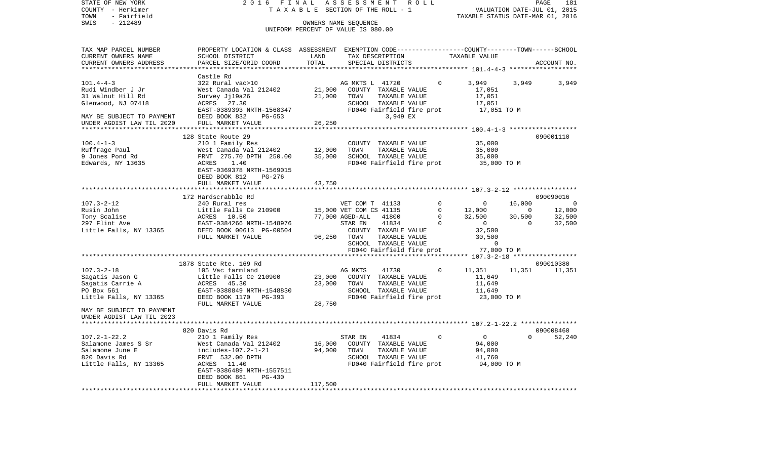| STATE OF NEW YORK<br>COUNTY - Herkimer        | 2016 FINAL                                                                                                         |                     | ASSESSMENT ROLL<br>T A X A B L E SECTION OF THE ROLL - 1      |          | PAGE 181<br>VALUATION DATE-JUL 01, 2015<br>TAXABLE STATUS DATE-MAR 01, 2016             |                    |                             |
|-----------------------------------------------|--------------------------------------------------------------------------------------------------------------------|---------------------|---------------------------------------------------------------|----------|-----------------------------------------------------------------------------------------|--------------------|-----------------------------|
| TOWN<br>- Fairfield<br>SWIS<br>$-212489$      |                                                                                                                    |                     | OWNERS NAME SEQUENCE                                          |          |                                                                                         |                    |                             |
|                                               |                                                                                                                    |                     | UNIFORM PERCENT OF VALUE IS 080.00                            |          |                                                                                         |                    |                             |
| TAX MAP PARCEL NUMBER                         | PROPERTY LOCATION & CLASS ASSESSMENT EXEMPTION CODE---------------COUNTY-------TOWN-----SCHOOL                     |                     |                                                               |          |                                                                                         |                    |                             |
| CURRENT OWNERS NAME<br>CURRENT OWNERS ADDRESS | SCHOOL DISTRICT<br>PARCEL SIZE/GRID COORD                                                                          | LAND<br>TOTAL       | TAX DESCRIPTION<br>SPECIAL DISTRICTS                          |          | TAXABLE VALUE                                                                           |                    | ACCOUNT NO.                 |
|                                               |                                                                                                                    | ******************* |                                                               |          |                                                                                         |                    |                             |
|                                               | Castle Rd                                                                                                          |                     |                                                               |          |                                                                                         |                    |                             |
| $101.4 - 4 - 3$                               | 322 Rural vac>10                                                                                                   |                     | AG MKTS L 41720                                               | 0        | 3,949                                                                                   | 3,949              | 3,949                       |
| Rudi Windber J Jr                             | West Canada Val 212402                                                                                             |                     | 21,000 COUNTY TAXABLE VALUE<br>21,000 TOWN TAXABLE VALUE      |          | 17,051                                                                                  |                    |                             |
| 31 Walnut Hill Rd                             | Survey Jj19a26                                                                                                     |                     | TAXABLE VALUE                                                 |          | 17,051                                                                                  |                    |                             |
| Glenwood, NJ 07418                            | ACRES 27.30<br>EAST-0389393 NRTH-1568347                                                                           |                     | SCHOOL TAXABLE VALUE<br>FD040 Fairfield fire prot             |          | 17,051<br>17,051 TO M                                                                   |                    |                             |
| MAY BE SUBJECT TO PAYMENT                     | DEED BOOK 832<br>PG-653                                                                                            |                     | 3,949 EX                                                      |          |                                                                                         |                    |                             |
| UNDER AGDIST LAW TIL 2020                     | FULL MARKET VALUE                                                                                                  | 26,250              |                                                               |          |                                                                                         |                    |                             |
|                                               |                                                                                                                    |                     |                                                               |          |                                                                                         |                    |                             |
|                                               | 128 State Route 29                                                                                                 |                     |                                                               |          |                                                                                         |                    | 090001110                   |
| $100.4 - 1 - 3$                               | 210 1 Family Res                                                                                                   |                     | COUNTY TAXABLE VALUE                                          |          | 35,000                                                                                  |                    |                             |
| Ruffrage Paul                                 | 210 1 ramily Res<br>West Canada Val 212402 12,000<br>FRNT 275.70 DPTH 250.00 35,000                                |                     | TAXABLE VALUE<br>TOWN                                         |          | 35,000                                                                                  |                    |                             |
| 9 Jones Pond Rd<br>Edwards, NY 13635          | ACRES 1.40                                                                                                         |                     | SCHOOL TAXABLE VALUE<br>FD040 Fairfield fire prot 35,000 TO M |          | 35,000                                                                                  |                    |                             |
|                                               | EAST-0369378 NRTH-1569015                                                                                          |                     |                                                               |          |                                                                                         |                    |                             |
|                                               | DEED BOOK 812<br>PG-276                                                                                            |                     |                                                               |          |                                                                                         |                    |                             |
|                                               | FULL MARKET VALUE                                                                                                  | 43,750              |                                                               |          |                                                                                         |                    |                             |
|                                               | *************************                                                                                          |                     |                                                               |          |                                                                                         |                    |                             |
|                                               | 172 Hardscrabble Rd                                                                                                |                     |                                                               |          |                                                                                         |                    | 090090016<br>$\overline{0}$ |
| $107.3 - 2 - 12$                              | 240 Rural res                                                                                                      |                     | VET COM T 41133<br>15,000 VET COM CS 41135                    |          | $\begin{array}{ccc} & 0 & & 0 \\ 0 & & 12,000 \\ 0 & & 32,500 \\ 0 & & & 0 \end{array}$ | 16,000<br>$\sim$ 0 | 12,000                      |
|                                               |                                                                                                                    |                     | 77,000 AGED-ALL 41800                                         |          |                                                                                         | 30,500             | $\frac{1}{32}$ , 500        |
| Rusin John<br>Tony Scalise<br>297 Flint Ave   |                                                                                                                    |                     | STAR EN<br>41834                                              |          | $\overline{0}$                                                                          | $\overline{0}$     | 32,500                      |
| Little Falls, NY 13365                        | Little Falls Ce 210900<br>ACRES 10.50<br>EAST-0384266 NRTH-1548976<br>DEED BOOK 00613 PG-00504<br>FIILL MADYET WAT |                     | COUNTY TAXABLE VALUE                                          |          | 32,500                                                                                  |                    |                             |
|                                               | FULL MARKET VALUE                                                                                                  |                     | 96,250 TOWN<br>TAXABLE VALUE                                  |          | 30,500                                                                                  |                    |                             |
|                                               |                                                                                                                    |                     | SCHOOL TAXABLE VALUE                                          |          | $\sim$ 0                                                                                |                    |                             |
|                                               |                                                                                                                    |                     | FD040 Fairfield fire prot 77,000 TO M                         |          |                                                                                         |                    |                             |
|                                               | 1878 State Rte. 169 Rd                                                                                             |                     |                                                               |          |                                                                                         |                    | 090010380                   |
| $107.3 - 2 - 18$                              | 105 Vac farmland                                                                                                   |                     | AG MKTS<br>41730                                              | $\circ$  | 11,351                                                                                  |                    | 11,351 11,351               |
| Sagatis Jason G                               | Little Falls Ce 210900                                                                                             |                     | 23,000 COUNTY TAXABLE VALUE                                   |          | 11,649                                                                                  |                    |                             |
| Sagatis Carrie A                              | ACRES 45.30                                                                                                        | 23,000              | TOWN<br>TAXABLE VALUE                                         |          | 11,649                                                                                  |                    |                             |
| PO Box 561                                    | EAST-0380849 NRTH-1548830                                                                                          |                     | SCHOOL TAXABLE VALUE                                          |          | 11,649                                                                                  |                    |                             |
| Little Falls, NY 13365                        | DEED BOOK 1170 PG-393                                                                                              |                     | FD040 Fairfield fire prot                                     |          | 23,000 TO M                                                                             |                    |                             |
| MAY BE SUBJECT TO PAYMENT                     | FULL MARKET VALUE                                                                                                  | 28,750              |                                                               |          |                                                                                         |                    |                             |
| UNDER AGDIST LAW TIL 2023                     |                                                                                                                    |                     |                                                               |          |                                                                                         |                    |                             |
|                                               |                                                                                                                    |                     |                                                               |          |                                                                                         |                    |                             |
|                                               | 820 Davis Rd                                                                                                       |                     |                                                               |          |                                                                                         |                    | 090008460                   |
| $107.2 - 1 - 22.2$                            | 210 1 Family Res                                                                                                   |                     | STAR EN<br>41834                                              | $\Omega$ | $\overline{0}$                                                                          | $\Omega$           | 52,240                      |
| Salamone James S Sr                           | West Canada Val 212402                                                                                             |                     | 16,000 COUNTY TAXABLE VALUE                                   |          | 94,000                                                                                  |                    |                             |
| Salamone June E                               | includes-107.2-1-21                                                                                                | 94,000              | TOWN<br>TAXABLE VALUE                                         |          | 94,000                                                                                  |                    |                             |
| 820 Davis Rd<br>Little Falls, NY 13365        | FRNT 532.00 DPTH<br>ACRES 11.40                                                                                    |                     | SCHOOL TAXABLE VALUE<br>FD040 Fairfield fire prot             |          | 41,760<br>94,000 TO M                                                                   |                    |                             |
|                                               | EAST-0386489 NRTH-1557511                                                                                          |                     |                                                               |          |                                                                                         |                    |                             |
|                                               | PG-430<br>DEED BOOK 861                                                                                            |                     |                                                               |          |                                                                                         |                    |                             |
|                                               | FULL MARKET VALUE                                                                                                  | 117,500             |                                                               |          |                                                                                         |                    |                             |
|                                               |                                                                                                                    |                     |                                                               |          |                                                                                         |                    |                             |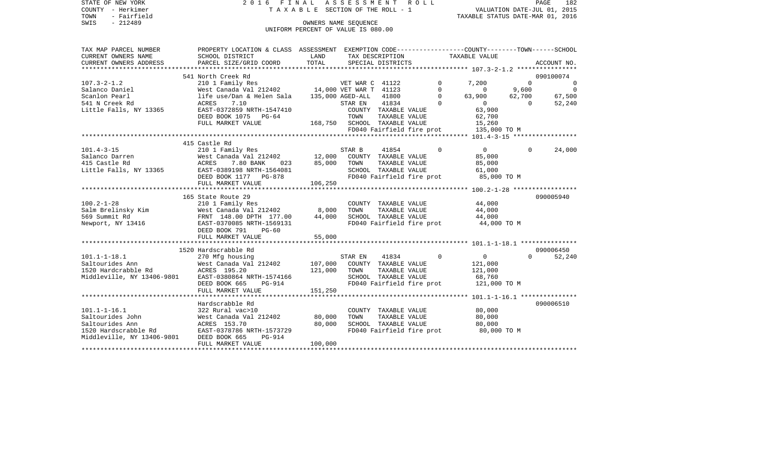| STATE OF NEW YORK          | 2016 FINAL ASSESSMENT ROLL                                                                     |                                    |                              |                               |                           |                                  |                             | PAGE<br>182               |
|----------------------------|------------------------------------------------------------------------------------------------|------------------------------------|------------------------------|-------------------------------|---------------------------|----------------------------------|-----------------------------|---------------------------|
| COUNTY - Herkimer          |                                                                                                | TAXABLE SECTION OF THE ROLL - 1    |                              |                               |                           |                                  | VALUATION DATE-JUL 01, 2015 |                           |
| TOWN<br>- Fairfield        |                                                                                                |                                    |                              |                               |                           | TAXABLE STATUS DATE-MAR 01, 2016 |                             |                           |
| SWIS<br>$-212489$          |                                                                                                | OWNERS NAME SEOUENCE               |                              |                               |                           |                                  |                             |                           |
|                            |                                                                                                | UNIFORM PERCENT OF VALUE IS 080.00 |                              |                               |                           |                                  |                             |                           |
|                            |                                                                                                |                                    |                              |                               |                           |                                  |                             |                           |
|                            |                                                                                                |                                    |                              |                               |                           |                                  |                             |                           |
| TAX MAP PARCEL NUMBER      | PROPERTY LOCATION & CLASS ASSESSMENT EXEMPTION CODE---------------COUNTY-------TOWN-----SCHOOL |                                    |                              |                               |                           |                                  |                             |                           |
| CURRENT OWNERS NAME        | SCHOOL DISTRICT                                                                                | LAND                               |                              | TAX DESCRIPTION               |                           | TAXABLE VALUE                    |                             |                           |
| CURRENT OWNERS ADDRESS     | PARCEL SIZE/GRID COORD                                                                         | TOTAL                              |                              | SPECIAL DISTRICTS             |                           |                                  |                             | ACCOUNT NO.               |
|                            |                                                                                                |                                    |                              |                               |                           |                                  |                             |                           |
|                            | 541 North Creek Rd                                                                             |                                    |                              |                               | $\Omega$                  |                                  | $\Omega$                    | 090100074                 |
| $107.3 - 2 - 1.2$          | 210 1 Family Res<br>West Canada Val 212402 14,000 VET WAR T 41123                              |                                    | VET WAR C 41122              |                               | $\Omega$                  | 7,200<br>$\Omega$                |                             | $\mathbf 0$<br>$\bigcirc$ |
| Salanco Daniel             |                                                                                                |                                    |                              |                               | $\Omega$                  |                                  | 9,600                       |                           |
| Scanlon Pearl              | life use/Dan & Helen Sala                                                                      |                                    | 135,000 AGED-ALL             | 41800                         | $\Omega$                  | 63,900                           | 62,700                      | 67,500                    |
| 541 N Creek Rd             | ACRES<br>7.10                                                                                  |                                    | STAR EN                      | 41834                         |                           | $\overline{0}$                   | $\Omega$                    | 52,240                    |
| Little Falls, NY 13365     | EAST-0372859 NRTH-1547410                                                                      |                                    |                              | COUNTY TAXABLE VALUE          |                           | 63,900                           |                             |                           |
|                            | DEED BOOK 1075 PG-64                                                                           |                                    | TOWN                         | TAXABLE VALUE                 |                           | 62,700                           |                             |                           |
|                            | FULL MARKET VALUE                                                                              |                                    | 168,750 SCHOOL TAXABLE VALUE |                               |                           | 15,260                           |                             |                           |
|                            |                                                                                                |                                    |                              |                               | FD040 Fairfield fire prot | 135,000 TO M                     |                             |                           |
|                            | 415 Castle Rd                                                                                  |                                    |                              |                               |                           |                                  |                             |                           |
| $101.4 - 3 - 15$           |                                                                                                |                                    |                              |                               | $\Omega$                  | $\overline{0}$                   | $\Omega$                    | 24,000                    |
| Salanco Darren             | 210 1 Family Res<br>West Canada Val 212402                                                     | 12,000                             | STAR B                       | 41854<br>COUNTY TAXABLE VALUE |                           | 85,000                           |                             |                           |
| 415 Castle Rd              |                                                                                                |                                    | TOWN                         | TAXABLE VALUE                 |                           |                                  |                             |                           |
|                            | ACRES<br>7.80 BANK<br>023                                                                      | 85,000                             |                              |                               |                           | 85,000                           |                             |                           |
| Little Falls, NY 13365     | EAST-0389198 NRTH-1564081                                                                      |                                    |                              | SCHOOL TAXABLE VALUE          | FD040 Fairfield fire prot | 61,000                           |                             |                           |
|                            | DEED BOOK 1177 PG-878<br>FULL MARKET VALUE                                                     | 106,250                            |                              |                               |                           | 85,000 TO M                      |                             |                           |
|                            |                                                                                                |                                    |                              |                               |                           |                                  |                             |                           |
|                            | 165 State Route 29                                                                             |                                    |                              |                               |                           |                                  |                             | 090005940                 |
| $100.2 - 1 - 28$           | 210 1 Family Res                                                                               |                                    |                              | COUNTY TAXABLE VALUE          |                           | 44,000                           |                             |                           |
| Salm Brelinsky Kim         | West Canada Val 212402                                                                         | 8,000                              | TOWN                         | TAXABLE VALUE                 |                           | 44,000                           |                             |                           |
| 569 Summit Rd              | FRNT 148.00 DPTH 177.00                                                                        | 44,000                             |                              | SCHOOL TAXABLE VALUE          |                           | 44,000                           |                             |                           |
| Newport, NY 13416          | EAST-0370085 NRTH-1569131                                                                      |                                    |                              |                               | FD040 Fairfield fire prot | 44,000 TO M                      |                             |                           |
|                            | DEED BOOK 791<br>$PG-60$                                                                       |                                    |                              |                               |                           |                                  |                             |                           |
|                            | FULL MARKET VALUE                                                                              | 55,000                             |                              |                               |                           |                                  |                             |                           |
|                            |                                                                                                |                                    |                              |                               |                           |                                  |                             |                           |
|                            | 1520 Hardscrabble Rd                                                                           |                                    |                              |                               |                           |                                  |                             | 090006450                 |
| $101.1 - 1 - 18.1$         | 270 Mfg housing                                                                                |                                    | STAR EN                      | 41834                         | $\Omega$                  | $\circ$                          | $\Omega$                    | 52,240                    |
| Saltourides Ann            | West Canada Val 212402                                                                         | 107,000                            |                              | COUNTY TAXABLE VALUE          |                           | 121,000                          |                             |                           |
| 1520 Hardcrabble Rd        | ACRES 195.20                                                                                   | 121,000                            | TOWN                         | TAXABLE VALUE                 |                           | 121,000                          |                             |                           |
| Middleville, NY 13406-9801 | EAST-0380864 NRTH-1574166                                                                      |                                    |                              | SCHOOL TAXABLE VALUE          |                           | 68,760                           |                             |                           |
|                            | DEED BOOK 665<br>PG-914                                                                        |                                    |                              |                               | FD040 Fairfield fire prot | 121,000 TO M                     |                             |                           |
|                            | FULL MARKET VALUE                                                                              | 151,250                            |                              |                               |                           |                                  |                             |                           |
|                            |                                                                                                |                                    |                              |                               |                           |                                  |                             |                           |
|                            | Hardscrabble Rd                                                                                |                                    |                              |                               |                           |                                  |                             | 090006510                 |
| $101.1 - 1 - 16.1$         | 322 Rural vac>10                                                                               |                                    |                              | COUNTY TAXABLE VALUE          |                           | 80,000                           |                             |                           |
| Saltourides John           | West Canada Val 212402                                                                         | 80,000                             | TOWN                         | TAXABLE VALUE                 |                           | 80,000                           |                             |                           |
| Saltourides Ann            | ACRES 153.70                                                                                   | 80,000                             |                              | SCHOOL TAXABLE VALUE          |                           | 80,000                           |                             |                           |
| 1520 Hardscrabble Rd       | EAST-0378786 NRTH-1573729                                                                      |                                    |                              |                               | FD040 Fairfield fire prot | 80,000 TO M                      |                             |                           |
| Middleville, NY 13406-9801 | DEED BOOK 665<br>PG-914                                                                        |                                    |                              |                               |                           |                                  |                             |                           |
|                            | FULL MARKET VALUE                                                                              | 100,000                            |                              |                               |                           |                                  |                             |                           |
|                            |                                                                                                |                                    |                              |                               |                           |                                  |                             |                           |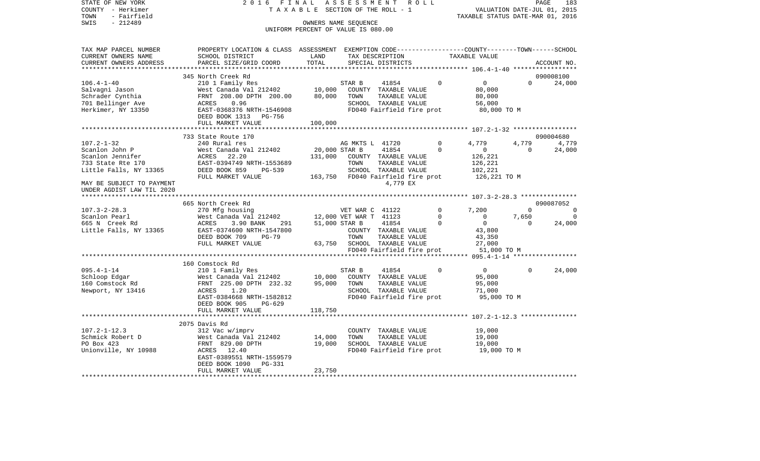STATE OF NEW YORK 2 0 1 6 F I N A L A S S E S S M E N T R O L L PAGE 183PAGE 183 COUNTY - Herkimer T A X A B L E SECTION OF THE ROLL - 1 TOWN - Fairfield<br>TAXABLE STATUS DATE-MAR 01, 2016<br>SWIS - 212489 OWNERS NAME SEQUENCE UNIFORM PERCENT OF VALUE IS 080.00TAX MAP PARCEL NUMBER PROPERTY LOCATION & CLASS ASSESSMENT EXEMPTION CODE------------------COUNTY--------TOWN------SCHOOL CURRENT OWNERS NAME SCHOOL DISTRICT LAND TAX DESCRIPTION TAXABLE VALUETAXABLE VALUE

| * * * * * * * * *<br>345 North Creek Rd<br>090008100<br>$106.4 - 1 - 40$<br>41854<br>$\Omega$<br>$\mathbf 0$<br>STAR B<br>$\Omega$<br>210 1 Family Res<br>Salvagni Jason<br>West Canada Val 212402<br>10,000<br>COUNTY TAXABLE VALUE<br>80,000<br>Schrader Cynthia<br>80,000<br>FRNT 208.00 DPTH 200.00<br>TOWN<br>TAXABLE VALUE<br>80,000<br>701 Bellinger Ave<br>ACRES<br>0.96<br>SCHOOL TAXABLE VALUE<br>56,000<br>Herkimer, NY 13350<br>EAST-0368376 NRTH-1546908<br>FD040 Fairfield fire prot<br>80,000 TO M<br>DEED BOOK 1313 PG-756<br>100,000<br>FULL MARKET VALUE<br>733 State Route 170<br>090004680<br>$107.2 - 1 - 32$<br>240 Rural res<br>4,779<br>AG MKTS L 41720<br>$\Omega$<br>4.779<br>Scanlon John P<br>West Canada Val 212402<br>20,000 STAR B<br>41854<br>$\Omega$<br>$\mathbf 0$<br>$\Omega$<br>Scanlon Jennifer<br>ACRES<br>22.20<br>131,000<br>COUNTY TAXABLE VALUE<br>126,221 | 24,000<br>4,779<br>24,000      |
|-------------------------------------------------------------------------------------------------------------------------------------------------------------------------------------------------------------------------------------------------------------------------------------------------------------------------------------------------------------------------------------------------------------------------------------------------------------------------------------------------------------------------------------------------------------------------------------------------------------------------------------------------------------------------------------------------------------------------------------------------------------------------------------------------------------------------------------------------------------------------------------------------------|--------------------------------|
|                                                                                                                                                                                                                                                                                                                                                                                                                                                                                                                                                                                                                                                                                                                                                                                                                                                                                                       |                                |
|                                                                                                                                                                                                                                                                                                                                                                                                                                                                                                                                                                                                                                                                                                                                                                                                                                                                                                       |                                |
|                                                                                                                                                                                                                                                                                                                                                                                                                                                                                                                                                                                                                                                                                                                                                                                                                                                                                                       |                                |
| EAST-0394749 NRTH-1553689<br>733 State Rte 170<br>TOWN<br>TAXABLE VALUE<br>126,221<br>Little Falls, NY 13365<br>DEED BOOK 859<br>PG-539<br>SCHOOL TAXABLE VALUE<br>102,221<br>FULL MARKET VALUE<br>163,750<br>FD040 Fairfield fire prot<br>126,221 TO M<br>4,779 EX<br>MAY BE SUBJECT TO PAYMENT<br>UNDER AGDIST LAW TIL 2020                                                                                                                                                                                                                                                                                                                                                                                                                                                                                                                                                                         |                                |
| ***************************                                                                                                                                                                                                                                                                                                                                                                                                                                                                                                                                                                                                                                                                                                                                                                                                                                                                           |                                |
| 665 North Creek Rd<br>090087052<br>$107.3 - 2 - 28.3$<br>270 Mfg housing<br>VET WAR C 41122<br>$\mathbf 0$<br>7,200<br>$\mathbf 0$<br>Scanlon Pearl<br>West Canada Val 212402<br>12,000 VET WAR T 41123<br>$\Omega$<br>7,650<br>$\Omega$<br>$\Omega$<br>$\mathbf 0$<br>665 N Creek Rd<br>ACRES<br>3.90 BANK<br>291<br>51,000 STAR B<br>41854<br>$\Omega$<br>Little Falls, NY 13365<br>EAST-0374600 NRTH-1547800<br>COUNTY TAXABLE VALUE<br>43,800<br>DEED BOOK 709<br>$PG-79$<br>TOWN<br>TAXABLE VALUE<br>43,350<br>SCHOOL TAXABLE VALUE<br>27,000<br>FULL MARKET VALUE<br>63,750<br>FD040 Fairfield fire prot<br>51,000 TO M                                                                                                                                                                                                                                                                         | $\Omega$<br>$\Omega$<br>24,000 |
| ***********************<br>*** 095.4-1-14 ******************                                                                                                                                                                                                                                                                                                                                                                                                                                                                                                                                                                                                                                                                                                                                                                                                                                          |                                |
| 160 Comstock Rd<br>$095.4 - 1 - 14$<br>210 1 Family Res<br>41854<br>$\Omega$<br>$\circ$<br>STAR B<br>$\Omega$<br>Schloop Edgar<br>West Canada Val 212402<br>10,000<br>COUNTY TAXABLE VALUE<br>95,000<br>FRNT 225.00 DPTH 232.32<br>95,000<br>160 Comstock Rd<br>TOWN<br>TAXABLE VALUE<br>95,000<br>SCHOOL TAXABLE VALUE<br>ACRES<br>1.20<br>71,000<br>Newport, NY 13416<br>EAST-0384668 NRTH-1582812<br>FD040 Fairfield fire prot<br>95,000 TO M<br>DEED BOOK 905<br>PG-629<br>118,750<br>FULL MARKET VALUE                                                                                                                                                                                                                                                                                                                                                                                           | 24,000                         |
|                                                                                                                                                                                                                                                                                                                                                                                                                                                                                                                                                                                                                                                                                                                                                                                                                                                                                                       |                                |
| 2075 Davis Rd<br>$107.2 - 1 - 12.3$<br>312 Vac w/imprv<br>19,000<br>COUNTY TAXABLE VALUE<br>Schmick Robert D<br>West Canada Val 212402<br>14,000<br>TOWN<br>TAXABLE VALUE<br>19,000<br>SCHOOL TAXABLE VALUE<br>PO Box 423<br>FRNT 829.00 DPTH<br>19,000<br>19,000<br>Unionville, NY 10988<br>ACRES 12.40<br>FD040 Fairfield fire prot<br>19,000 TO M<br>EAST-0389551 NRTH-1559579<br>DEED BOOK 1090<br>PG-331<br>23,750<br>FULL MARKET VALUE                                                                                                                                                                                                                                                                                                                                                                                                                                                          |                                |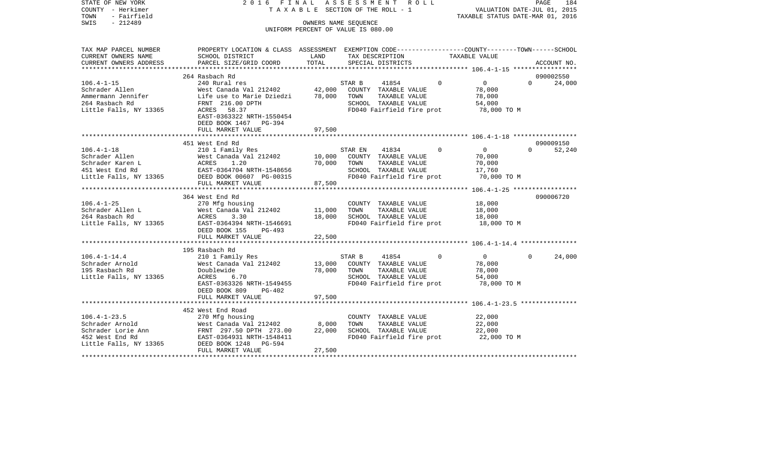STATE OF NEW YORK 2 0 1 6 F I N A L A S S E S S M E N T R O L L PAGE 184COUNTY - Herkimer **T A X A B L E** SECTION OF THE ROLL - 1 VALUATION DATE-JUL 01, 2015 TOWN - Fairfield TAXABLE STATUS DATE-MAR 01, 2016 SWIS - 212489 OWNERS NAME SEQUENCE UNIFORM PERCENT OF VALUE IS 080.00TAX MAP PARCEL NUMBER PROPERTY LOCATION & CLASS ASSESSMENT EXEMPTION CODE------------------COUNTY--------TOWN------SCHOOL CURRENT OWNERS NAME SCHOOL DISTRICT LAND TAX DESCRIPTION TAXABLE VALUECURRENT OWNERS ADDRESS PARCEL SIZE/GRID COORD TOTAL SPECIAL DISTRICTS ACCOUNT NO. \*\*\*\*\*\*\*\*\*\*\*\*\*\*\*\*\*\*\*\*\*\*\*\*\*\*\*\*\*\*\*\*\*\*\*\*\*\*\*\*\*\*\*\*\*\*\*\*\*\*\*\*\*\*\*\*\*\*\*\*\*\*\*\*\*\*\*\*\*\*\*\*\*\*\*\*\*\*\*\*\*\*\*\*\*\*\*\*\*\*\*\*\*\*\*\*\*\*\*\*\*\*\* 106.4-1-15 \*\*\*\*\*\*\*\*\*\*\*\*\*\*\*\*\*264 Rasbach Rd 090002550 106.4-1-15 240 Rural res STAR B 41854 0 0 0 24,000 Schrader Allen West Canada Val 212402 42,000 COUNTY TAXABLE VALUE 78,000 Ammermann Jennifer Life use to Marie Dziedzi 78,000 TOWN TAXABLE VALUE 78,000 264 Rasbach Rd FRNT 216.00 DPTH SCHOOL TAXABLE VALUE 54,000 Little Falls, NY 13365 ACRES 58.37 ACRES FOULD FD040 Fairfield fire prot 78,000 TO M EAST-0363322 NRTH-1550454 DEED BOOK 1467 PG-394 FULL MARKET VALUE 97,500 \*\*\*\*\*\*\*\*\*\*\*\*\*\*\*\*\*\*\*\*\*\*\*\*\*\*\*\*\*\*\*\*\*\*\*\*\*\*\*\*\*\*\*\*\*\*\*\*\*\*\*\*\*\*\*\*\*\*\*\*\*\*\*\*\*\*\*\*\*\*\*\*\*\*\*\*\*\*\*\*\*\*\*\*\*\*\*\*\*\*\*\*\*\*\*\*\*\*\*\*\*\*\* 106.4-1-18 \*\*\*\*\*\*\*\*\*\*\*\*\*\*\*\*\* 451 West End Rd 090009150106.4-1-18 210 1 Family Res STAR EN 41834 0 0 0 52,240 Schrader Allen West Canada Val 212402 10,000 COUNTY TAXABLE VALUE 70,000 Schrader Karen L ACRES 1.20 70,000 TOWN TAXABLE VALUE 70,000 451 West End Rd EAST-0364704 NRTH-1548656 SCHOOL TAXABLE VALUE 17,760 Little Falls, NY 13365 DEED BOOK 00607 PG-00315 FD040 Fairfield fire prot 70,000 TO M FULL MARKET VALUE 87,500 \*\*\*\*\*\*\*\*\*\*\*\*\*\*\*\*\*\*\*\*\*\*\*\*\*\*\*\*\*\*\*\*\*\*\*\*\*\*\*\*\*\*\*\*\*\*\*\*\*\*\*\*\*\*\*\*\*\*\*\*\*\*\*\*\*\*\*\*\*\*\*\*\*\*\*\*\*\*\*\*\*\*\*\*\*\*\*\*\*\*\*\*\*\*\*\*\*\*\*\*\*\*\* 106.4-1-25 \*\*\*\*\*\*\*\*\*\*\*\*\*\*\*\*\* 364 West End Rd 090006720106.4-1-25 270 Mfg housing COUNTY TAXABLE VALUE 18,000 Schrader Allen L West Canada Val 212402 11,000 TOWN TAXABLE VALUE 18,000 264 Rasbach Rd ACRES 3.30 18,000 SCHOOL TAXABLE VALUE 18,000 Little Falls, NY 13365 EAST-0364394 NRTH-1546691 FD040 Fairfield fire prot 18,000 TO M DEED BOOK 155 PG-493FULL MARKET VALUE 22,500 \*\*\*\*\*\*\*\*\*\*\*\*\*\*\*\*\*\*\*\*\*\*\*\*\*\*\*\*\*\*\*\*\*\*\*\*\*\*\*\*\*\*\*\*\*\*\*\*\*\*\*\*\*\*\*\*\*\*\*\*\*\*\*\*\*\*\*\*\*\*\*\*\*\*\*\*\*\*\*\*\*\*\*\*\*\*\*\*\*\*\*\*\*\*\*\*\*\*\*\*\*\*\* 106.4-1-14.4 \*\*\*\*\*\*\*\*\*\*\*\*\*\*\* 195 Rasbach Rd106.4-1-14.4 210 1 Family Res STAR B 41854 0 0 0 24,000 Schrader Arnold West Canada Val 212402 13,000 COUNTY TAXABLE VALUE 78,000 195 Rasbach Rd Doublewide 78,000 TOWN TAXABLE VALUE 78,000 Little Falls, NY 13365 ACRES 6.70 SCHOOL TAXABLE VALUE 54,000 EAST-0363326 NRTH-1549455 FD040 Fairfield fire prot 78,000 TO M DEED BOOK 809 PG-402FULL MARKET VALUE 97,500 \*\*\*\*\*\*\*\*\*\*\*\*\*\*\*\*\*\*\*\*\*\*\*\*\*\*\*\*\*\*\*\*\*\*\*\*\*\*\*\*\*\*\*\*\*\*\*\*\*\*\*\*\*\*\*\*\*\*\*\*\*\*\*\*\*\*\*\*\*\*\*\*\*\*\*\*\*\*\*\*\*\*\*\*\*\*\*\*\*\*\*\*\*\*\*\*\*\*\*\*\*\*\* 106.4-1-23.5 \*\*\*\*\*\*\*\*\*\*\*\*\*\*\*452 West End Road

106.4-1-23.5 270 Mfg housing COUNTY TAXABLE VALUE 22,000 Schrader Arnold 62,000 West Canada Val 212402 8,000 TOWN TAXABLE VALUE 22,000 Schrader Lorie Ann FRNT 297.50 DPTH 273.00 22,000 SCHOOL TAXABLE VALUE 22,000 452 West End Rd EAST-0364931 NRTH-1548411 FD040 Fairfield fire prot 22,000 TO M Little Falls, NY 13365 DEED BOOK 1248 PG-594 FULL MARKET VALUE 27,500 \*\*\*\*\*\*\*\*\*\*\*\*\*\*\*\*\*\*\*\*\*\*\*\*\*\*\*\*\*\*\*\*\*\*\*\*\*\*\*\*\*\*\*\*\*\*\*\*\*\*\*\*\*\*\*\*\*\*\*\*\*\*\*\*\*\*\*\*\*\*\*\*\*\*\*\*\*\*\*\*\*\*\*\*\*\*\*\*\*\*\*\*\*\*\*\*\*\*\*\*\*\*\*\*\*\*\*\*\*\*\*\*\*\*\*\*\*\*\*\*\*\*\*\*\*\*\*\*\*\*\*\*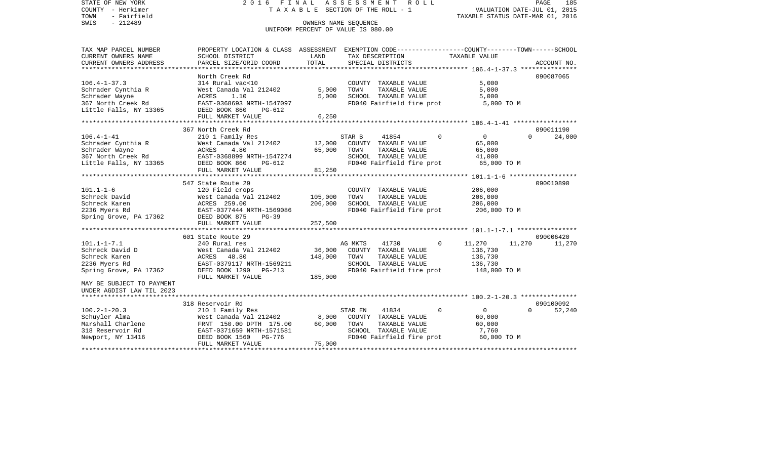STATE OF NEW YORK 2 0 1 6 F I N A L A S S E S S M E N T R O L L PAGE 185COUNTY - Herkimer **T A X A B L E** SECTION OF THE ROLL - 1 VALUATION DATE-JUL 01, 2015 TOWN - Fairfield TAXABLE STATUS DATE-MAR 01, 2016 SWIS - 212489 OWNERS NAME SEQUENCE UNIFORM PERCENT OF VALUE IS 080.00TAX MAP PARCEL NUMBER PROPERTY LOCATION & CLASS ASSESSMENT EXEMPTION CODE------------------COUNTY--------TOWN------SCHOOL CURRENT OWNERS NAME SCHOOL DISTRICT LAND TAX DESCRIPTION TAXABLE VALUECURRENT OWNERS ADDRESS PARCEL SIZE/GRID COORD TOTAL SPECIAL DISTRICTS ACCOUNT NO. \*\*\*\*\*\*\*\*\*\*\*\*\*\*\*\*\*\*\*\*\*\*\*\*\*\*\*\*\*\*\*\*\*\*\*\*\*\*\*\*\*\*\*\*\*\*\*\*\*\*\*\*\*\*\*\*\*\*\*\*\*\*\*\*\*\*\*\*\*\*\*\*\*\*\*\*\*\*\*\*\*\*\*\*\*\*\*\*\*\*\*\*\*\*\*\*\*\*\*\*\*\*\* 106.4-1-37.3 \*\*\*\*\*\*\*\*\*\*\*\*\*\*\* North Creek Rd 090087065106.4-1-37.3 314 Rural vac<10 COUNTY TAXABLE VALUE 5,000 Schrader Cynthia R West Canada Val 212402 5,000 TOWN TAXABLE VALUE 5,000 Schrader Wayne ACRES 1.10 5,000 SCHOOL TAXABLE VALUE 5,000 367 North Creek Rd EAST-0368693 NRTH-1547097 FD040 Fairfield fire prot 5,000 TO M Little Falls, NY 13365 DEED BOOK 860 PG-612 FULL MARKET VALUE 6,250 \*\*\*\*\*\*\*\*\*\*\*\*\*\*\*\*\*\*\*\*\*\*\*\*\*\*\*\*\*\*\*\*\*\*\*\*\*\*\*\*\*\*\*\*\*\*\*\*\*\*\*\*\*\*\*\*\*\*\*\*\*\*\*\*\*\*\*\*\*\*\*\*\*\*\*\*\*\*\*\*\*\*\*\*\*\*\*\*\*\*\*\*\*\*\*\*\*\*\*\*\*\*\* 106.4-1-41 \*\*\*\*\*\*\*\*\*\*\*\*\*\*\*\*\* 367 North Creek Rd 090011190106.4-1-41 210 1 Family Res STAR B 41854 0 0 0 24,000 Schrader Cynthia R West Canada Val 212402 12,000 COUNTY TAXABLE VALUE 65,000 Schrader Wayne ACRES 4.80 65,000 TOWN TAXABLE VALUE 65,000 367 North Creek Rd EAST-0368899 NRTH-1547274 SCHOOL TAXABLE VALUE 41,000 Little Falls, NY 13365 DEED BOOK 860 PG-612 FD040 Fairfield fire prot 65,000 TO M FULL MARKET VALUE 81,250 \*\*\*\*\*\*\*\*\*\*\*\*\*\*\*\*\*\*\*\*\*\*\*\*\*\*\*\*\*\*\*\*\*\*\*\*\*\*\*\*\*\*\*\*\*\*\*\*\*\*\*\*\*\*\*\*\*\*\*\*\*\*\*\*\*\*\*\*\*\*\*\*\*\*\*\*\*\*\*\*\*\*\*\*\*\*\*\*\*\*\*\*\*\*\*\*\*\*\*\*\*\*\* 101.1-1-6 \*\*\*\*\*\*\*\*\*\*\*\*\*\*\*\*\*\* 547 State Route 29 090010890101.1-1-6 120 Field crops COUNTY TAXABLE VALUE 206,000 Schreck David West Canada Val 212402 105,000 TOWN TAXABLE VALUE 206,000 Schreck Karen ACRES 259.00 206,000 SCHOOL TAXABLE VALUE 206,000 2236 Myers Rd EAST-0377444 NRTH-1569086 FD040 Fairfield fire prot 206,000 TO M Spring Grove, PA 17362 DEED BOOK 875 PG-39 FULL MARKET VALUE 257,500 \*\*\*\*\*\*\*\*\*\*\*\*\*\*\*\*\*\*\*\*\*\*\*\*\*\*\*\*\*\*\*\*\*\*\*\*\*\*\*\*\*\*\*\*\*\*\*\*\*\*\*\*\*\*\*\*\*\*\*\*\*\*\*\*\*\*\*\*\*\*\*\*\*\*\*\*\*\*\*\*\*\*\*\*\*\*\*\*\*\*\*\*\*\*\*\*\*\*\*\*\*\*\* 101.1-1-7.1 \*\*\*\*\*\*\*\*\*\*\*\*\*\*\*\* 601 State Route 29 090006420101.1-1-7.1 240 Rural res AG MKTS 41730 0 11,270 11,270 11,270 Schreck David D 6.730 West Canada Val 212402 36,000 COUNTY TAXABLE VALUE 136,730 Schreck Karen ACRES 48.80 148,000 TOWN TAXABLE VALUE 136,730 2236 Myers Rd EAST-0379117 NRTH-1569211 SCHOOL TAXABLE VALUE 136,730 Spring Grove, PA 17362 DEED BOOK 1290 PG-213 FD040 Fairfield fire prot 148,000 TO M FULL MARKET VALUE 185,000 MAY BE SUBJECT TO PAYMENT UNDER AGDIST LAW TIL 2023 \*\*\*\*\*\*\*\*\*\*\*\*\*\*\*\*\*\*\*\*\*\*\*\*\*\*\*\*\*\*\*\*\*\*\*\*\*\*\*\*\*\*\*\*\*\*\*\*\*\*\*\*\*\*\*\*\*\*\*\*\*\*\*\*\*\*\*\*\*\*\*\*\*\*\*\*\*\*\*\*\*\*\*\*\*\*\*\*\*\*\*\*\*\*\*\*\*\*\*\*\*\*\* 100.2-1-20.3 \*\*\*\*\*\*\*\*\*\*\*\*\*\*\* 318 Reservoir Rd 090100092100.2-1-20.3 210 1 Family Res STAR EN 41834 0 0 0 52,240 Schuyler Alma West Canada Val 212402 8,000 COUNTY TAXABLE VALUE 60,000 Marshall Charlene FRNT 150.00 DPTH 175.00 60,000 TOWN TAXABLE VALUE 60,000 318 Reservoir Rd EAST-0371659 NRTH-1571581 SCHOOL TAXABLE VALUE 7,760 Newport, NY 13416 **DEED BOOK 1560** PG-776 **FD040** Fairfield fire prot 60,000 TO M FULL MARKET VALUE 75,000

\*\*\*\*\*\*\*\*\*\*\*\*\*\*\*\*\*\*\*\*\*\*\*\*\*\*\*\*\*\*\*\*\*\*\*\*\*\*\*\*\*\*\*\*\*\*\*\*\*\*\*\*\*\*\*\*\*\*\*\*\*\*\*\*\*\*\*\*\*\*\*\*\*\*\*\*\*\*\*\*\*\*\*\*\*\*\*\*\*\*\*\*\*\*\*\*\*\*\*\*\*\*\*\*\*\*\*\*\*\*\*\*\*\*\*\*\*\*\*\*\*\*\*\*\*\*\*\*\*\*\*\*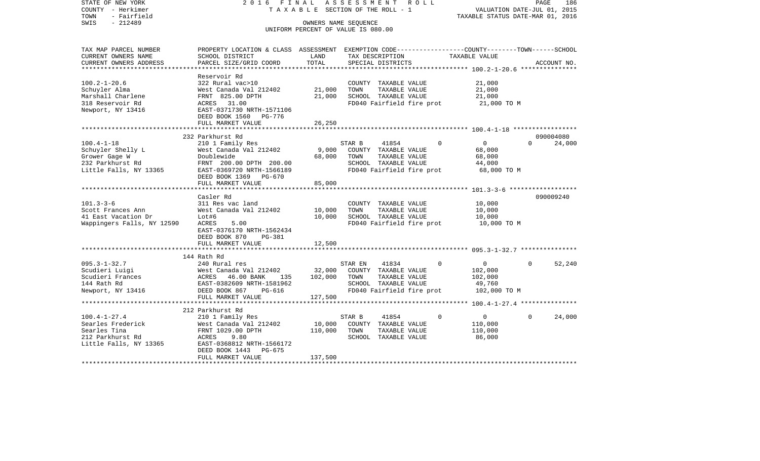| SWIS<br>$-212489$<br>OWNERS NAME SEOUENCE<br>UNIFORM PERCENT OF VALUE IS 080.00<br>PROPERTY LOCATION & CLASS ASSESSMENT EXEMPTION CODE----------------COUNTY-------TOWN------SCHOOL<br>TAX MAP PARCEL NUMBER<br>TAXABLE VALUE<br>CURRENT OWNERS NAME<br>SCHOOL DISTRICT<br>LAND<br>TAX DESCRIPTION<br>TOTAL<br>CURRENT OWNERS ADDRESS<br>PARCEL SIZE/GRID COORD<br>SPECIAL DISTRICTS<br>ACCOUNT NO.<br>******************************<br>***********************<br>Reservoir Rd<br>$100.2 - 1 - 20.6$<br>322 Rural vac>10<br>21,000<br>COUNTY TAXABLE VALUE<br>Schuyler Alma<br>West Canada Val 212402<br>21,000<br>TOWN<br>TAXABLE VALUE<br>21,000<br>21,000<br>Marshall Charlene<br>FRNT 825.00 DPTH<br>SCHOOL TAXABLE VALUE<br>21,000<br>ACRES 31.00<br>FD040 Fairfield fire prot<br>318 Reservoir Rd<br>21,000 TO M<br>EAST-0371730 NRTH-1571106<br>Newport, NY 13416<br>DEED BOOK 1560 PG-776<br>FULL MARKET VALUE<br>26,250<br>232 Parkhurst Rd<br>090004080<br>$\overline{0}$<br>24,000<br>$100.4 - 1 - 18$<br>210 1 Family Res<br>STAR B<br>41854<br>$\Omega$<br>$\Omega$<br>9,000<br>Schuyler Shelly L<br>West Canada Val 212402<br>COUNTY TAXABLE VALUE<br>68,000<br>Grower Gage W<br>Doublewide<br>68,000<br>TOWN<br>TAXABLE VALUE<br>68,000<br>232 Parkhurst Rd<br>SCHOOL TAXABLE VALUE<br>44,000<br>FRNT 200.00 DPTH 200.00<br>Little Falls, NY 13365<br>EAST-0369720 NRTH-1566189<br>FD040 Fairfield fire prot<br>68,000 TO M<br>DEED BOOK 1369 PG-670<br>85,000<br>FULL MARKET VALUE<br>************************<br>Casler Rd<br>090009240<br>$101.3 - 3 - 6$<br>311 Res vac land<br>COUNTY TAXABLE VALUE<br>10,000<br>TAXABLE VALUE<br>Scott Frances Ann<br>West Canada Val 212402<br>10,000<br>TOWN<br>10,000<br>10,000<br>SCHOOL TAXABLE VALUE<br>41 East Vacation Dr<br>Lot#6<br>10,000<br>Wappingers Falls, NY 12590<br>ACRES<br>FD040 Fairfield fire prot<br>10,000 TO M<br>5.00<br>EAST-0376170 NRTH-1562434<br>DEED BOOK 870<br>PG-381<br>FULL MARKET VALUE<br>12,500<br>144 Rath Rd<br>$095.3 - 1 - 32.7$<br>240 Rural res<br>41834<br>$\Omega$<br>$\overline{0}$<br>$\Omega$<br>52,240<br>STAR EN<br>Scudieri Luigi<br>West Canada Val 212402<br>32,000<br>COUNTY TAXABLE VALUE<br>102,000<br>102,000<br>Scudieri Frances<br>ACRES<br>46.00 BANK<br>TOWN<br>TAXABLE VALUE<br>102,000<br>135<br>SCHOOL TAXABLE VALUE<br>144 Rath Rd<br>EAST-0382609 NRTH-1581962<br>49,760<br>Newport, NY 13416<br>DEED BOOK 867<br>FD040 Fairfield fire prot<br>102,000 TO M<br>PG-616<br>127,500<br>FULL MARKET VALUE<br>212 Parkhurst Rd<br>$100.4 - 1 - 27.4$<br>41854<br>$\Omega$<br>$\overline{0}$<br>$\Omega$<br>24,000<br>210 1 Family Res<br>STAR B<br>Searles Frederick<br>West Canada Val 212402<br>10,000<br>COUNTY TAXABLE VALUE<br>110,000<br>Searles Tina<br>110,000<br>FRNT 1029.00 DPTH<br>TOWN<br>TAXABLE VALUE<br>110,000<br>212 Parkhurst Rd<br>ACRES<br>SCHOOL TAXABLE VALUE<br>9.80<br>86,000<br>Little Falls, NY 13365<br>EAST-0368812 NRTH-1566172<br>DEED BOOK 1443<br>PG-675<br>137,500<br>FULL MARKET VALUE | COUNTY<br>– Herkimer<br>- Fairfield<br>TOWN | T A X A B L E SECTION OF THE ROLL - 1 |  |  |  | VALUATION DATE-JUL 01, 2015<br>TAXABLE STATUS DATE-MAR 01, 2016 |
|-------------------------------------------------------------------------------------------------------------------------------------------------------------------------------------------------------------------------------------------------------------------------------------------------------------------------------------------------------------------------------------------------------------------------------------------------------------------------------------------------------------------------------------------------------------------------------------------------------------------------------------------------------------------------------------------------------------------------------------------------------------------------------------------------------------------------------------------------------------------------------------------------------------------------------------------------------------------------------------------------------------------------------------------------------------------------------------------------------------------------------------------------------------------------------------------------------------------------------------------------------------------------------------------------------------------------------------------------------------------------------------------------------------------------------------------------------------------------------------------------------------------------------------------------------------------------------------------------------------------------------------------------------------------------------------------------------------------------------------------------------------------------------------------------------------------------------------------------------------------------------------------------------------------------------------------------------------------------------------------------------------------------------------------------------------------------------------------------------------------------------------------------------------------------------------------------------------------------------------------------------------------------------------------------------------------------------------------------------------------------------------------------------------------------------------------------------------------------------------------------------------------------------------------------------------------------------------------------------------------------------------------------------------------------------------------------------------------------------------------------------------------------------------------------------------------------------------------------------------------------------------------------------------------------------------------------------------------------------------------------------------------------------------------------|---------------------------------------------|---------------------------------------|--|--|--|-----------------------------------------------------------------|
|                                                                                                                                                                                                                                                                                                                                                                                                                                                                                                                                                                                                                                                                                                                                                                                                                                                                                                                                                                                                                                                                                                                                                                                                                                                                                                                                                                                                                                                                                                                                                                                                                                                                                                                                                                                                                                                                                                                                                                                                                                                                                                                                                                                                                                                                                                                                                                                                                                                                                                                                                                                                                                                                                                                                                                                                                                                                                                                                                                                                                                                 |                                             |                                       |  |  |  |                                                                 |
|                                                                                                                                                                                                                                                                                                                                                                                                                                                                                                                                                                                                                                                                                                                                                                                                                                                                                                                                                                                                                                                                                                                                                                                                                                                                                                                                                                                                                                                                                                                                                                                                                                                                                                                                                                                                                                                                                                                                                                                                                                                                                                                                                                                                                                                                                                                                                                                                                                                                                                                                                                                                                                                                                                                                                                                                                                                                                                                                                                                                                                                 |                                             |                                       |  |  |  |                                                                 |
|                                                                                                                                                                                                                                                                                                                                                                                                                                                                                                                                                                                                                                                                                                                                                                                                                                                                                                                                                                                                                                                                                                                                                                                                                                                                                                                                                                                                                                                                                                                                                                                                                                                                                                                                                                                                                                                                                                                                                                                                                                                                                                                                                                                                                                                                                                                                                                                                                                                                                                                                                                                                                                                                                                                                                                                                                                                                                                                                                                                                                                                 |                                             |                                       |  |  |  |                                                                 |
|                                                                                                                                                                                                                                                                                                                                                                                                                                                                                                                                                                                                                                                                                                                                                                                                                                                                                                                                                                                                                                                                                                                                                                                                                                                                                                                                                                                                                                                                                                                                                                                                                                                                                                                                                                                                                                                                                                                                                                                                                                                                                                                                                                                                                                                                                                                                                                                                                                                                                                                                                                                                                                                                                                                                                                                                                                                                                                                                                                                                                                                 |                                             |                                       |  |  |  |                                                                 |
|                                                                                                                                                                                                                                                                                                                                                                                                                                                                                                                                                                                                                                                                                                                                                                                                                                                                                                                                                                                                                                                                                                                                                                                                                                                                                                                                                                                                                                                                                                                                                                                                                                                                                                                                                                                                                                                                                                                                                                                                                                                                                                                                                                                                                                                                                                                                                                                                                                                                                                                                                                                                                                                                                                                                                                                                                                                                                                                                                                                                                                                 |                                             |                                       |  |  |  |                                                                 |
|                                                                                                                                                                                                                                                                                                                                                                                                                                                                                                                                                                                                                                                                                                                                                                                                                                                                                                                                                                                                                                                                                                                                                                                                                                                                                                                                                                                                                                                                                                                                                                                                                                                                                                                                                                                                                                                                                                                                                                                                                                                                                                                                                                                                                                                                                                                                                                                                                                                                                                                                                                                                                                                                                                                                                                                                                                                                                                                                                                                                                                                 |                                             |                                       |  |  |  |                                                                 |
|                                                                                                                                                                                                                                                                                                                                                                                                                                                                                                                                                                                                                                                                                                                                                                                                                                                                                                                                                                                                                                                                                                                                                                                                                                                                                                                                                                                                                                                                                                                                                                                                                                                                                                                                                                                                                                                                                                                                                                                                                                                                                                                                                                                                                                                                                                                                                                                                                                                                                                                                                                                                                                                                                                                                                                                                                                                                                                                                                                                                                                                 |                                             |                                       |  |  |  |                                                                 |
|                                                                                                                                                                                                                                                                                                                                                                                                                                                                                                                                                                                                                                                                                                                                                                                                                                                                                                                                                                                                                                                                                                                                                                                                                                                                                                                                                                                                                                                                                                                                                                                                                                                                                                                                                                                                                                                                                                                                                                                                                                                                                                                                                                                                                                                                                                                                                                                                                                                                                                                                                                                                                                                                                                                                                                                                                                                                                                                                                                                                                                                 |                                             |                                       |  |  |  |                                                                 |
|                                                                                                                                                                                                                                                                                                                                                                                                                                                                                                                                                                                                                                                                                                                                                                                                                                                                                                                                                                                                                                                                                                                                                                                                                                                                                                                                                                                                                                                                                                                                                                                                                                                                                                                                                                                                                                                                                                                                                                                                                                                                                                                                                                                                                                                                                                                                                                                                                                                                                                                                                                                                                                                                                                                                                                                                                                                                                                                                                                                                                                                 |                                             |                                       |  |  |  |                                                                 |
|                                                                                                                                                                                                                                                                                                                                                                                                                                                                                                                                                                                                                                                                                                                                                                                                                                                                                                                                                                                                                                                                                                                                                                                                                                                                                                                                                                                                                                                                                                                                                                                                                                                                                                                                                                                                                                                                                                                                                                                                                                                                                                                                                                                                                                                                                                                                                                                                                                                                                                                                                                                                                                                                                                                                                                                                                                                                                                                                                                                                                                                 |                                             |                                       |  |  |  |                                                                 |
|                                                                                                                                                                                                                                                                                                                                                                                                                                                                                                                                                                                                                                                                                                                                                                                                                                                                                                                                                                                                                                                                                                                                                                                                                                                                                                                                                                                                                                                                                                                                                                                                                                                                                                                                                                                                                                                                                                                                                                                                                                                                                                                                                                                                                                                                                                                                                                                                                                                                                                                                                                                                                                                                                                                                                                                                                                                                                                                                                                                                                                                 |                                             |                                       |  |  |  |                                                                 |
|                                                                                                                                                                                                                                                                                                                                                                                                                                                                                                                                                                                                                                                                                                                                                                                                                                                                                                                                                                                                                                                                                                                                                                                                                                                                                                                                                                                                                                                                                                                                                                                                                                                                                                                                                                                                                                                                                                                                                                                                                                                                                                                                                                                                                                                                                                                                                                                                                                                                                                                                                                                                                                                                                                                                                                                                                                                                                                                                                                                                                                                 |                                             |                                       |  |  |  |                                                                 |
|                                                                                                                                                                                                                                                                                                                                                                                                                                                                                                                                                                                                                                                                                                                                                                                                                                                                                                                                                                                                                                                                                                                                                                                                                                                                                                                                                                                                                                                                                                                                                                                                                                                                                                                                                                                                                                                                                                                                                                                                                                                                                                                                                                                                                                                                                                                                                                                                                                                                                                                                                                                                                                                                                                                                                                                                                                                                                                                                                                                                                                                 |                                             |                                       |  |  |  |                                                                 |
|                                                                                                                                                                                                                                                                                                                                                                                                                                                                                                                                                                                                                                                                                                                                                                                                                                                                                                                                                                                                                                                                                                                                                                                                                                                                                                                                                                                                                                                                                                                                                                                                                                                                                                                                                                                                                                                                                                                                                                                                                                                                                                                                                                                                                                                                                                                                                                                                                                                                                                                                                                                                                                                                                                                                                                                                                                                                                                                                                                                                                                                 |                                             |                                       |  |  |  |                                                                 |
|                                                                                                                                                                                                                                                                                                                                                                                                                                                                                                                                                                                                                                                                                                                                                                                                                                                                                                                                                                                                                                                                                                                                                                                                                                                                                                                                                                                                                                                                                                                                                                                                                                                                                                                                                                                                                                                                                                                                                                                                                                                                                                                                                                                                                                                                                                                                                                                                                                                                                                                                                                                                                                                                                                                                                                                                                                                                                                                                                                                                                                                 |                                             |                                       |  |  |  |                                                                 |
|                                                                                                                                                                                                                                                                                                                                                                                                                                                                                                                                                                                                                                                                                                                                                                                                                                                                                                                                                                                                                                                                                                                                                                                                                                                                                                                                                                                                                                                                                                                                                                                                                                                                                                                                                                                                                                                                                                                                                                                                                                                                                                                                                                                                                                                                                                                                                                                                                                                                                                                                                                                                                                                                                                                                                                                                                                                                                                                                                                                                                                                 |                                             |                                       |  |  |  |                                                                 |
|                                                                                                                                                                                                                                                                                                                                                                                                                                                                                                                                                                                                                                                                                                                                                                                                                                                                                                                                                                                                                                                                                                                                                                                                                                                                                                                                                                                                                                                                                                                                                                                                                                                                                                                                                                                                                                                                                                                                                                                                                                                                                                                                                                                                                                                                                                                                                                                                                                                                                                                                                                                                                                                                                                                                                                                                                                                                                                                                                                                                                                                 |                                             |                                       |  |  |  |                                                                 |
|                                                                                                                                                                                                                                                                                                                                                                                                                                                                                                                                                                                                                                                                                                                                                                                                                                                                                                                                                                                                                                                                                                                                                                                                                                                                                                                                                                                                                                                                                                                                                                                                                                                                                                                                                                                                                                                                                                                                                                                                                                                                                                                                                                                                                                                                                                                                                                                                                                                                                                                                                                                                                                                                                                                                                                                                                                                                                                                                                                                                                                                 |                                             |                                       |  |  |  |                                                                 |
|                                                                                                                                                                                                                                                                                                                                                                                                                                                                                                                                                                                                                                                                                                                                                                                                                                                                                                                                                                                                                                                                                                                                                                                                                                                                                                                                                                                                                                                                                                                                                                                                                                                                                                                                                                                                                                                                                                                                                                                                                                                                                                                                                                                                                                                                                                                                                                                                                                                                                                                                                                                                                                                                                                                                                                                                                                                                                                                                                                                                                                                 |                                             |                                       |  |  |  |                                                                 |
|                                                                                                                                                                                                                                                                                                                                                                                                                                                                                                                                                                                                                                                                                                                                                                                                                                                                                                                                                                                                                                                                                                                                                                                                                                                                                                                                                                                                                                                                                                                                                                                                                                                                                                                                                                                                                                                                                                                                                                                                                                                                                                                                                                                                                                                                                                                                                                                                                                                                                                                                                                                                                                                                                                                                                                                                                                                                                                                                                                                                                                                 |                                             |                                       |  |  |  |                                                                 |
|                                                                                                                                                                                                                                                                                                                                                                                                                                                                                                                                                                                                                                                                                                                                                                                                                                                                                                                                                                                                                                                                                                                                                                                                                                                                                                                                                                                                                                                                                                                                                                                                                                                                                                                                                                                                                                                                                                                                                                                                                                                                                                                                                                                                                                                                                                                                                                                                                                                                                                                                                                                                                                                                                                                                                                                                                                                                                                                                                                                                                                                 |                                             |                                       |  |  |  |                                                                 |
|                                                                                                                                                                                                                                                                                                                                                                                                                                                                                                                                                                                                                                                                                                                                                                                                                                                                                                                                                                                                                                                                                                                                                                                                                                                                                                                                                                                                                                                                                                                                                                                                                                                                                                                                                                                                                                                                                                                                                                                                                                                                                                                                                                                                                                                                                                                                                                                                                                                                                                                                                                                                                                                                                                                                                                                                                                                                                                                                                                                                                                                 |                                             |                                       |  |  |  |                                                                 |
|                                                                                                                                                                                                                                                                                                                                                                                                                                                                                                                                                                                                                                                                                                                                                                                                                                                                                                                                                                                                                                                                                                                                                                                                                                                                                                                                                                                                                                                                                                                                                                                                                                                                                                                                                                                                                                                                                                                                                                                                                                                                                                                                                                                                                                                                                                                                                                                                                                                                                                                                                                                                                                                                                                                                                                                                                                                                                                                                                                                                                                                 |                                             |                                       |  |  |  |                                                                 |
|                                                                                                                                                                                                                                                                                                                                                                                                                                                                                                                                                                                                                                                                                                                                                                                                                                                                                                                                                                                                                                                                                                                                                                                                                                                                                                                                                                                                                                                                                                                                                                                                                                                                                                                                                                                                                                                                                                                                                                                                                                                                                                                                                                                                                                                                                                                                                                                                                                                                                                                                                                                                                                                                                                                                                                                                                                                                                                                                                                                                                                                 |                                             |                                       |  |  |  |                                                                 |
|                                                                                                                                                                                                                                                                                                                                                                                                                                                                                                                                                                                                                                                                                                                                                                                                                                                                                                                                                                                                                                                                                                                                                                                                                                                                                                                                                                                                                                                                                                                                                                                                                                                                                                                                                                                                                                                                                                                                                                                                                                                                                                                                                                                                                                                                                                                                                                                                                                                                                                                                                                                                                                                                                                                                                                                                                                                                                                                                                                                                                                                 |                                             |                                       |  |  |  |                                                                 |
|                                                                                                                                                                                                                                                                                                                                                                                                                                                                                                                                                                                                                                                                                                                                                                                                                                                                                                                                                                                                                                                                                                                                                                                                                                                                                                                                                                                                                                                                                                                                                                                                                                                                                                                                                                                                                                                                                                                                                                                                                                                                                                                                                                                                                                                                                                                                                                                                                                                                                                                                                                                                                                                                                                                                                                                                                                                                                                                                                                                                                                                 |                                             |                                       |  |  |  |                                                                 |
|                                                                                                                                                                                                                                                                                                                                                                                                                                                                                                                                                                                                                                                                                                                                                                                                                                                                                                                                                                                                                                                                                                                                                                                                                                                                                                                                                                                                                                                                                                                                                                                                                                                                                                                                                                                                                                                                                                                                                                                                                                                                                                                                                                                                                                                                                                                                                                                                                                                                                                                                                                                                                                                                                                                                                                                                                                                                                                                                                                                                                                                 |                                             |                                       |  |  |  |                                                                 |
|                                                                                                                                                                                                                                                                                                                                                                                                                                                                                                                                                                                                                                                                                                                                                                                                                                                                                                                                                                                                                                                                                                                                                                                                                                                                                                                                                                                                                                                                                                                                                                                                                                                                                                                                                                                                                                                                                                                                                                                                                                                                                                                                                                                                                                                                                                                                                                                                                                                                                                                                                                                                                                                                                                                                                                                                                                                                                                                                                                                                                                                 |                                             |                                       |  |  |  |                                                                 |
|                                                                                                                                                                                                                                                                                                                                                                                                                                                                                                                                                                                                                                                                                                                                                                                                                                                                                                                                                                                                                                                                                                                                                                                                                                                                                                                                                                                                                                                                                                                                                                                                                                                                                                                                                                                                                                                                                                                                                                                                                                                                                                                                                                                                                                                                                                                                                                                                                                                                                                                                                                                                                                                                                                                                                                                                                                                                                                                                                                                                                                                 |                                             |                                       |  |  |  |                                                                 |
|                                                                                                                                                                                                                                                                                                                                                                                                                                                                                                                                                                                                                                                                                                                                                                                                                                                                                                                                                                                                                                                                                                                                                                                                                                                                                                                                                                                                                                                                                                                                                                                                                                                                                                                                                                                                                                                                                                                                                                                                                                                                                                                                                                                                                                                                                                                                                                                                                                                                                                                                                                                                                                                                                                                                                                                                                                                                                                                                                                                                                                                 |                                             |                                       |  |  |  |                                                                 |
|                                                                                                                                                                                                                                                                                                                                                                                                                                                                                                                                                                                                                                                                                                                                                                                                                                                                                                                                                                                                                                                                                                                                                                                                                                                                                                                                                                                                                                                                                                                                                                                                                                                                                                                                                                                                                                                                                                                                                                                                                                                                                                                                                                                                                                                                                                                                                                                                                                                                                                                                                                                                                                                                                                                                                                                                                                                                                                                                                                                                                                                 |                                             |                                       |  |  |  |                                                                 |
|                                                                                                                                                                                                                                                                                                                                                                                                                                                                                                                                                                                                                                                                                                                                                                                                                                                                                                                                                                                                                                                                                                                                                                                                                                                                                                                                                                                                                                                                                                                                                                                                                                                                                                                                                                                                                                                                                                                                                                                                                                                                                                                                                                                                                                                                                                                                                                                                                                                                                                                                                                                                                                                                                                                                                                                                                                                                                                                                                                                                                                                 |                                             |                                       |  |  |  |                                                                 |
|                                                                                                                                                                                                                                                                                                                                                                                                                                                                                                                                                                                                                                                                                                                                                                                                                                                                                                                                                                                                                                                                                                                                                                                                                                                                                                                                                                                                                                                                                                                                                                                                                                                                                                                                                                                                                                                                                                                                                                                                                                                                                                                                                                                                                                                                                                                                                                                                                                                                                                                                                                                                                                                                                                                                                                                                                                                                                                                                                                                                                                                 |                                             |                                       |  |  |  |                                                                 |
|                                                                                                                                                                                                                                                                                                                                                                                                                                                                                                                                                                                                                                                                                                                                                                                                                                                                                                                                                                                                                                                                                                                                                                                                                                                                                                                                                                                                                                                                                                                                                                                                                                                                                                                                                                                                                                                                                                                                                                                                                                                                                                                                                                                                                                                                                                                                                                                                                                                                                                                                                                                                                                                                                                                                                                                                                                                                                                                                                                                                                                                 |                                             |                                       |  |  |  |                                                                 |
|                                                                                                                                                                                                                                                                                                                                                                                                                                                                                                                                                                                                                                                                                                                                                                                                                                                                                                                                                                                                                                                                                                                                                                                                                                                                                                                                                                                                                                                                                                                                                                                                                                                                                                                                                                                                                                                                                                                                                                                                                                                                                                                                                                                                                                                                                                                                                                                                                                                                                                                                                                                                                                                                                                                                                                                                                                                                                                                                                                                                                                                 |                                             |                                       |  |  |  |                                                                 |
|                                                                                                                                                                                                                                                                                                                                                                                                                                                                                                                                                                                                                                                                                                                                                                                                                                                                                                                                                                                                                                                                                                                                                                                                                                                                                                                                                                                                                                                                                                                                                                                                                                                                                                                                                                                                                                                                                                                                                                                                                                                                                                                                                                                                                                                                                                                                                                                                                                                                                                                                                                                                                                                                                                                                                                                                                                                                                                                                                                                                                                                 |                                             |                                       |  |  |  |                                                                 |
|                                                                                                                                                                                                                                                                                                                                                                                                                                                                                                                                                                                                                                                                                                                                                                                                                                                                                                                                                                                                                                                                                                                                                                                                                                                                                                                                                                                                                                                                                                                                                                                                                                                                                                                                                                                                                                                                                                                                                                                                                                                                                                                                                                                                                                                                                                                                                                                                                                                                                                                                                                                                                                                                                                                                                                                                                                                                                                                                                                                                                                                 |                                             |                                       |  |  |  |                                                                 |
|                                                                                                                                                                                                                                                                                                                                                                                                                                                                                                                                                                                                                                                                                                                                                                                                                                                                                                                                                                                                                                                                                                                                                                                                                                                                                                                                                                                                                                                                                                                                                                                                                                                                                                                                                                                                                                                                                                                                                                                                                                                                                                                                                                                                                                                                                                                                                                                                                                                                                                                                                                                                                                                                                                                                                                                                                                                                                                                                                                                                                                                 |                                             |                                       |  |  |  |                                                                 |
|                                                                                                                                                                                                                                                                                                                                                                                                                                                                                                                                                                                                                                                                                                                                                                                                                                                                                                                                                                                                                                                                                                                                                                                                                                                                                                                                                                                                                                                                                                                                                                                                                                                                                                                                                                                                                                                                                                                                                                                                                                                                                                                                                                                                                                                                                                                                                                                                                                                                                                                                                                                                                                                                                                                                                                                                                                                                                                                                                                                                                                                 |                                             |                                       |  |  |  |                                                                 |
|                                                                                                                                                                                                                                                                                                                                                                                                                                                                                                                                                                                                                                                                                                                                                                                                                                                                                                                                                                                                                                                                                                                                                                                                                                                                                                                                                                                                                                                                                                                                                                                                                                                                                                                                                                                                                                                                                                                                                                                                                                                                                                                                                                                                                                                                                                                                                                                                                                                                                                                                                                                                                                                                                                                                                                                                                                                                                                                                                                                                                                                 |                                             |                                       |  |  |  |                                                                 |
|                                                                                                                                                                                                                                                                                                                                                                                                                                                                                                                                                                                                                                                                                                                                                                                                                                                                                                                                                                                                                                                                                                                                                                                                                                                                                                                                                                                                                                                                                                                                                                                                                                                                                                                                                                                                                                                                                                                                                                                                                                                                                                                                                                                                                                                                                                                                                                                                                                                                                                                                                                                                                                                                                                                                                                                                                                                                                                                                                                                                                                                 |                                             |                                       |  |  |  |                                                                 |
|                                                                                                                                                                                                                                                                                                                                                                                                                                                                                                                                                                                                                                                                                                                                                                                                                                                                                                                                                                                                                                                                                                                                                                                                                                                                                                                                                                                                                                                                                                                                                                                                                                                                                                                                                                                                                                                                                                                                                                                                                                                                                                                                                                                                                                                                                                                                                                                                                                                                                                                                                                                                                                                                                                                                                                                                                                                                                                                                                                                                                                                 |                                             |                                       |  |  |  |                                                                 |
|                                                                                                                                                                                                                                                                                                                                                                                                                                                                                                                                                                                                                                                                                                                                                                                                                                                                                                                                                                                                                                                                                                                                                                                                                                                                                                                                                                                                                                                                                                                                                                                                                                                                                                                                                                                                                                                                                                                                                                                                                                                                                                                                                                                                                                                                                                                                                                                                                                                                                                                                                                                                                                                                                                                                                                                                                                                                                                                                                                                                                                                 |                                             |                                       |  |  |  |                                                                 |
|                                                                                                                                                                                                                                                                                                                                                                                                                                                                                                                                                                                                                                                                                                                                                                                                                                                                                                                                                                                                                                                                                                                                                                                                                                                                                                                                                                                                                                                                                                                                                                                                                                                                                                                                                                                                                                                                                                                                                                                                                                                                                                                                                                                                                                                                                                                                                                                                                                                                                                                                                                                                                                                                                                                                                                                                                                                                                                                                                                                                                                                 |                                             |                                       |  |  |  |                                                                 |
|                                                                                                                                                                                                                                                                                                                                                                                                                                                                                                                                                                                                                                                                                                                                                                                                                                                                                                                                                                                                                                                                                                                                                                                                                                                                                                                                                                                                                                                                                                                                                                                                                                                                                                                                                                                                                                                                                                                                                                                                                                                                                                                                                                                                                                                                                                                                                                                                                                                                                                                                                                                                                                                                                                                                                                                                                                                                                                                                                                                                                                                 |                                             |                                       |  |  |  |                                                                 |

PAGE 186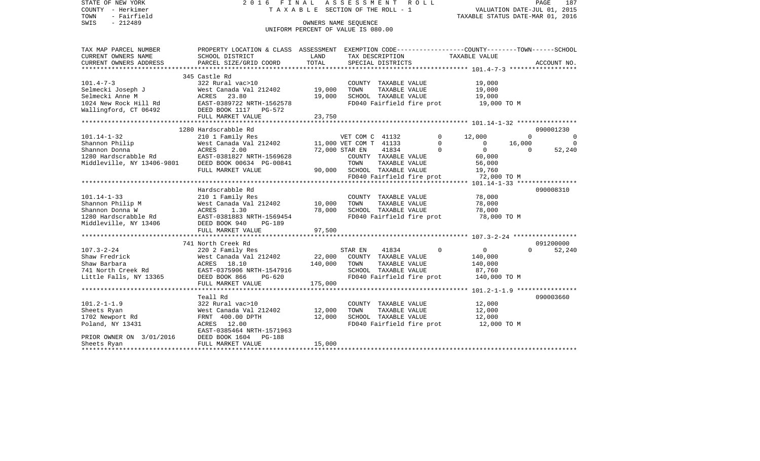| STATE OF NEW YORK<br>COUNTY - Herkimer<br>- Fairfield<br>TOWN<br>SWIS<br>$-212489$                        | 2016 FINAL                                                                                                                             | TAXABLE SECTION OF THE ROLL - 1<br>UNIFORM PERCENT OF VALUE IS 080.00 | ASSESSMENT<br>OWNERS NAME SEOUENCE                              |                        | R O L L                               | TAXABLE STATUS DATE-MAR 01, 2016                               | VALUATION DATE-JUL 01, 2015    | 187<br>PAGE                                 |
|-----------------------------------------------------------------------------------------------------------|----------------------------------------------------------------------------------------------------------------------------------------|-----------------------------------------------------------------------|-----------------------------------------------------------------|------------------------|---------------------------------------|----------------------------------------------------------------|--------------------------------|---------------------------------------------|
| TAX MAP PARCEL NUMBER<br>CURRENT OWNERS NAME                                                              | PROPERTY LOCATION & CLASS ASSESSMENT EXEMPTION CODE---------------COUNTY-------TOWN------SCHOOL<br>SCHOOL DISTRICT                     | LAND                                                                  | TAX DESCRIPTION                                                 |                        |                                       | TAXABLE VALUE                                                  |                                |                                             |
| CURRENT OWNERS ADDRESS                                                                                    | PARCEL SIZE/GRID COORD                                                                                                                 | TOTAL                                                                 | SPECIAL DISTRICTS                                               |                        |                                       |                                                                |                                | ACCOUNT NO.                                 |
|                                                                                                           | 345 Castle Rd                                                                                                                          |                                                                       |                                                                 |                        |                                       |                                                                |                                |                                             |
| $101.4 - 7 - 3$<br>Selmecki Joseph J<br>Selmecki Anne M<br>1024 New Rock Hill Rd<br>Wallingford, CT 06492 | 322 Rural vac>10<br>West Canada Val 212402<br>ACRES<br>23.80<br>EAST-0389722 NRTH-1562578<br>DEED BOOK 1117 PG-572                     | 19,000<br>19,000                                                      | COUNTY TAXABLE VALUE<br>TOWN<br>SCHOOL TAXABLE VALUE            | TAXABLE VALUE          | FD040 Fairfield fire prot             | 19,000<br>19,000<br>19,000<br>19,000 TO M                      |                                |                                             |
|                                                                                                           | FULL MARKET VALUE                                                                                                                      | 23,750                                                                |                                                                 |                        |                                       |                                                                |                                |                                             |
| **********************                                                                                    |                                                                                                                                        |                                                                       |                                                                 |                        |                                       |                                                                |                                |                                             |
| $101.14 - 1 - 32$<br>Shannon Philip<br>Shannon Donna                                                      | 1280 Hardscrabble Rd<br>210 1 Family Res<br>West Canada Val 212402<br>ACRES<br>2.00                                                    |                                                                       | VET COM C 41132<br>11,000 VET COM T 41133<br>72,000 STAR EN     | 41834                  | $\Omega$<br>$\Omega$<br>$\Omega$      | 12,000<br>$\circ$<br>$\overline{0}$                            | $\Omega$<br>16,000<br>$\Omega$ | 090001230<br>$\Omega$<br>$\Omega$<br>52,240 |
| 1280 Hardscrabble Rd EAST-0381827 NRTH-1569628<br>Middleville, NY 13406-9801 DEED BOOK 00634 PG-00841     | FULL MARKET VALUE                                                                                                                      | 90,000                                                                | COUNTY TAXABLE VALUE<br>TOWN<br>SCHOOL TAXABLE VALUE            | TAXABLE VALUE          | FD040 Fairfield fire prot             | 60,000<br>56,000<br>19,760<br>72,000 TO M                      |                                |                                             |
|                                                                                                           |                                                                                                                                        |                                                                       |                                                                 |                        |                                       |                                                                |                                |                                             |
|                                                                                                           | Hardscrabble Rd                                                                                                                        |                                                                       |                                                                 |                        |                                       |                                                                |                                | 090008310                                   |
| $101.14 - 1 - 33$                                                                                         | 210 1 Family Res                                                                                                                       |                                                                       | COUNTY TAXABLE VALUE                                            |                        |                                       | 78,000                                                         |                                |                                             |
| Shannon Philip M                                                                                          | West Canada Val 212402<br>ACRES<br>1.30                                                                                                | 10,000                                                                | TOWN<br>SCHOOL TAXABLE VALUE                                    | TAXABLE VALUE          |                                       | 78,000                                                         |                                |                                             |
| Shannon Donna W<br>1280 Hardscrabble Rd<br>Middleville, NY 13406                                          | EAST-0381883 NRTH-1569454<br>DEED BOOK 940<br>PG-189                                                                                   | 78,000                                                                |                                                                 |                        | FD040 Fairfield fire prot             | 78,000<br>78,000 TO M                                          |                                |                                             |
|                                                                                                           | FULL MARKET VALUE                                                                                                                      | 97,500                                                                |                                                                 |                        |                                       |                                                                |                                |                                             |
|                                                                                                           | 741 North Creek Rd                                                                                                                     |                                                                       |                                                                 |                        |                                       |                                                                |                                | 091200000                                   |
| $107.3 - 2 - 24$<br>Shaw Fredrick<br>Shaw Barbara<br>741 North Creek Rd<br>Little Falls, NY 13365         | 220 2 Family Res<br>West Canada Val 212402<br>ACRES 18.10<br>EAST-0375906 NRTH-1547916<br>DEED BOOK 866<br>PG-620<br>FULL MARKET VALUE | 22,000<br>140,000<br>175,000                                          | STAR EN<br>COUNTY TAXABLE VALUE<br>TOWN<br>SCHOOL TAXABLE VALUE | 41834<br>TAXABLE VALUE | $\Omega$<br>FD040 Fairfield fire prot | $\overline{0}$<br>140,000<br>140,000<br>87,760<br>140,000 TO M | $\Omega$                       | 52,240                                      |
|                                                                                                           | **********************                                                                                                                 |                                                                       |                                                                 |                        |                                       |                                                                |                                |                                             |
| $101.2 - 1 - 1.9$<br>Sheets Ryan<br>1702 Newport Rd<br>Poland, NY 13431                                   | Teall Rd<br>322 Rural vac>10<br>West Canada Val 212402<br>FRNT 400.00 DPTH<br>ACRES 12.00<br>EAST-0385464 NRTH-1571963                 | 12,000<br>12,000                                                      | COUNTY TAXABLE VALUE<br>TOWN<br>SCHOOL TAXABLE VALUE            | TAXABLE VALUE          | FD040 Fairfield fire prot             | 12,000<br>12,000<br>12,000<br>12,000 TO M                      |                                | 090003660                                   |
| PRIOR OWNER ON 3/01/2016<br>Sheets Ryan                                                                   | DEED BOOK 1604 PG-188<br>FULL MARKET VALUE                                                                                             | 15,000                                                                |                                                                 |                        |                                       |                                                                |                                |                                             |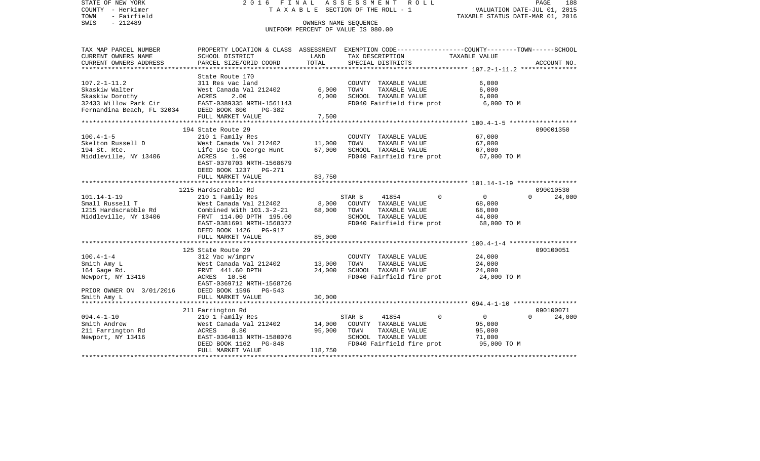| STATE OF NEW YORK<br>COUNTY - Herkimer<br>- Fairfield<br>TOWN<br>$-212489$<br>SWIS | 2 0 1 6<br>F I N A L                                  |                        | ASSESSMENT<br>R O L L<br>T A X A B L E SECTION OF THE ROLL - 1<br>OWNERS NAME SEQUENCE | VALUATION DATE-JUL 01, 2015<br>TAXABLE STATUS DATE-MAR 01, 2016 | PAGE<br>188        |
|------------------------------------------------------------------------------------|-------------------------------------------------------|------------------------|----------------------------------------------------------------------------------------|-----------------------------------------------------------------|--------------------|
|                                                                                    |                                                       |                        | UNIFORM PERCENT OF VALUE IS 080.00                                                     |                                                                 |                    |
|                                                                                    |                                                       |                        |                                                                                        |                                                                 |                    |
| TAX MAP PARCEL NUMBER                                                              | PROPERTY LOCATION & CLASS ASSESSMENT                  |                        | EXEMPTION CODE-----------------COUNTY-------TOWN------SCHOOL                           |                                                                 |                    |
| CURRENT OWNERS NAME<br>CURRENT OWNERS ADDRESS                                      | SCHOOL DISTRICT<br>PARCEL SIZE/GRID COORD             | LAND<br>TOTAL          | TAX DESCRIPTION<br>SPECIAL DISTRICTS                                                   | TAXABLE VALUE                                                   | ACCOUNT NO.        |
| *****************                                                                  |                                                       |                        |                                                                                        | ***************** 107.2-1-11.2 ***************                  |                    |
|                                                                                    | State Route 170                                       |                        |                                                                                        |                                                                 |                    |
| $107.2 - 1 - 11.2$                                                                 | 311 Res vac land                                      |                        | COUNTY TAXABLE VALUE                                                                   | 6,000                                                           |                    |
| Skaskiw Walter<br>Skaskiw Dorothy                                                  | West Canada Val 212402<br>ACRES<br>2.00               | 6,000<br>6.000         | TAXABLE VALUE<br>TOWN<br>SCHOOL TAXABLE VALUE                                          | 6,000<br>6,000                                                  |                    |
| 32433 Willow Park Cir                                                              | EAST-0389335 NRTH-1561143                             |                        | FD040 Fairfield fire prot                                                              | 6,000 TO M                                                      |                    |
| Fernandina Beach, FL 32034                                                         | DEED BOOK 800<br>$PG-382$                             |                        |                                                                                        |                                                                 |                    |
|                                                                                    | FULL MARKET VALUE                                     | 7,500                  |                                                                                        |                                                                 |                    |
|                                                                                    | 194 State Route 29                                    |                        |                                                                                        |                                                                 | 090001350          |
| $100.4 - 1 - 5$                                                                    | 210 1 Family Res                                      |                        | COUNTY TAXABLE VALUE                                                                   | 67,000                                                          |                    |
| Skelton Russell D                                                                  | West Canada Val 212402                                | 11,000                 | TOWN<br>TAXABLE VALUE                                                                  | 67,000                                                          |                    |
| 194 St. Rte.                                                                       | Life Use to George Hunt                               | 67,000                 | SCHOOL TAXABLE VALUE                                                                   | 67,000                                                          |                    |
| Middleville, NY 13406                                                              | ACRES<br>1.90                                         |                        | FD040 Fairfield fire prot                                                              | 67,000 TO M                                                     |                    |
|                                                                                    | EAST-0370703 NRTH-1568679<br>DEED BOOK 1237<br>PG-271 |                        |                                                                                        |                                                                 |                    |
|                                                                                    | FULL MARKET VALUE                                     | 83,750                 |                                                                                        |                                                                 |                    |
|                                                                                    | ********************                                  |                        |                                                                                        |                                                                 |                    |
|                                                                                    | 1215 Hardscrabble Rd                                  |                        |                                                                                        |                                                                 | 090010530          |
| $101.14 - 1 - 19$                                                                  | 210 1 Family Res                                      |                        | STAR B<br>41854<br>$\Omega$                                                            | $\overline{0}$                                                  | 24,000<br>$\Omega$ |
| Small Russell T<br>1215 Hardscrabble Rd                                            | West Canada Val 212402<br>Combined With 101.3-2-21    | 8,000<br>68,000        | COUNTY TAXABLE VALUE<br>TAXABLE VALUE<br>TOWN                                          | 68,000<br>68,000                                                |                    |
| Middleville, NY 13406                                                              | FRNT 114.00 DPTH 195.00                               |                        | SCHOOL TAXABLE VALUE                                                                   | 44,000                                                          |                    |
|                                                                                    | EAST-0381691 NRTH-1568372                             |                        | FD040 Fairfield fire prot                                                              | 68,000 TO M                                                     |                    |
|                                                                                    | DEED BOOK 1426<br><b>PG-917</b>                       |                        |                                                                                        |                                                                 |                    |
|                                                                                    | FULL MARKET VALUE<br>************************         | 85,000<br>************ |                                                                                        |                                                                 |                    |
|                                                                                    | 125 State Route 29                                    |                        |                                                                                        |                                                                 | 090100051          |
| $100.4 - 1 - 4$                                                                    | 312 Vac w/imprv                                       |                        | COUNTY TAXABLE VALUE                                                                   | 24,000                                                          |                    |
| Smith Amy L                                                                        | West Canada Val 212402                                | 13,000                 | TAXABLE VALUE<br>TOWN                                                                  | 24,000                                                          |                    |
| 164 Gage Rd.                                                                       | FRNT 441.60 DPTH                                      | 24,000                 | SCHOOL TAXABLE VALUE                                                                   | 24,000                                                          |                    |
| Newport, NY 13416                                                                  | ACRES 10.50<br>EAST-0369712 NRTH-1568726              |                        | FD040 Fairfield fire prot                                                              | 24,000 TO M                                                     |                    |
| PRIOR OWNER ON 3/01/2016                                                           | DEED BOOK 1596<br>$PG-543$                            |                        |                                                                                        |                                                                 |                    |
| Smith Amy L                                                                        | FULL MARKET VALUE                                     | 30,000                 |                                                                                        |                                                                 |                    |
|                                                                                    |                                                       | *********              |                                                                                        |                                                                 |                    |
|                                                                                    | 211 Farrington Rd                                     |                        |                                                                                        |                                                                 | 090100071          |
| $094.4 - 1 - 10$<br>Smith Andrew                                                   | 210 1 Family Res<br>West Canada Val 212402            | 14,000                 | STAR B<br>41854<br>0<br>COUNTY TAXABLE VALUE                                           | $\mathbf{0}$<br>95,000                                          | 24,000<br>$\Omega$ |
| 211 Farrington Rd                                                                  | ACRES<br>8.80                                         | 95,000                 | TAXABLE VALUE<br>TOWN                                                                  | 95,000                                                          |                    |
| Newport, NY 13416                                                                  | EAST-0364013 NRTH-1580076                             |                        | SCHOOL TAXABLE VALUE                                                                   | 71,000                                                          |                    |
|                                                                                    | DEED BOOK 1162<br>PG-848                              |                        |                                                                                        |                                                                 |                    |
|                                                                                    | FULL MARKET VALUE                                     | 118,750                | FD040 Fairfield fire prot                                                              | 95,000 TO M                                                     |                    |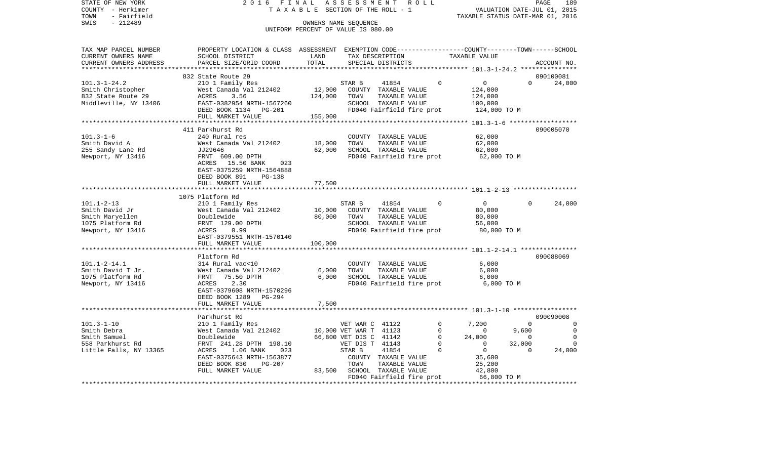| STATE OF NEW YORK<br>COUNTY - Herkimer<br>TOWN<br>- Fairfield            | 2 0 1 6<br>FINAL<br>TAXABLE                                                                     |                                                            | ASSESSMENT<br>SECTION OF THE ROLL - 1     |                                      | R O L L |                                                 | VALUATION DATE-JUL 01, 2015<br>TAXABLE STATUS DATE-MAR 01, 2016 | PAGE        | 189                           |
|--------------------------------------------------------------------------|-------------------------------------------------------------------------------------------------|------------------------------------------------------------|-------------------------------------------|--------------------------------------|---------|-------------------------------------------------|-----------------------------------------------------------------|-------------|-------------------------------|
| SWIS<br>$-212489$                                                        |                                                                                                 | OWNERS NAME SEQUENCE<br>UNIFORM PERCENT OF VALUE IS 080.00 |                                           |                                      |         |                                                 |                                                                 |             |                               |
| TAX MAP PARCEL NUMBER                                                    | PROPERTY LOCATION & CLASS ASSESSMENT EXEMPTION CODE---------------COUNTY-------TOWN------SCHOOL |                                                            |                                           |                                      |         |                                                 |                                                                 |             |                               |
| CURRENT OWNERS NAME<br>CURRENT OWNERS ADDRESS<br>*********************** | SCHOOL DISTRICT<br>PARCEL SIZE/GRID COORD                                                       | LAND<br>TOTAL                                              |                                           | TAX DESCRIPTION<br>SPECIAL DISTRICTS |         | TAXABLE VALUE                                   |                                                                 | ACCOUNT NO. |                               |
|                                                                          | 832 State Route 29                                                                              |                                                            |                                           |                                      |         |                                                 |                                                                 | 090100081   |                               |
| $101.3 - 1 - 24.2$                                                       | 210 1 Family Res                                                                                |                                                            | STAR B                                    | 41854                                |         | $\overline{0}$<br>$\Omega$                      | $\Omega$                                                        |             | 24,000                        |
| Smith Christopher                                                        | West Canada Val 212402                                                                          | 12,000                                                     |                                           | COUNTY TAXABLE VALUE                 |         | 124,000                                         |                                                                 |             |                               |
| 832 State Route 29                                                       | ACRES<br>3.56                                                                                   | 124,000                                                    | TOWN                                      | TAXABLE VALUE                        |         | 124,000                                         |                                                                 |             |                               |
| Middleville, NY 13406                                                    | EAST-0382954 NRTH-1567260                                                                       |                                                            |                                           | SCHOOL TAXABLE VALUE                 |         | 100,000                                         |                                                                 |             |                               |
|                                                                          | DEED BOOK 1134 PG-201                                                                           |                                                            |                                           | FD040 Fairfield fire prot            |         |                                                 | 124,000 TO M                                                    |             |                               |
|                                                                          | FULL MARKET VALUE                                                                               | 155,000                                                    |                                           |                                      |         |                                                 |                                                                 |             |                               |
|                                                                          | 411 Parkhurst Rd                                                                                |                                                            |                                           |                                      |         |                                                 |                                                                 | 090005070   |                               |
| $101.3 - 1 - 6$                                                          | 240 Rural res                                                                                   |                                                            |                                           | COUNTY TAXABLE VALUE                 |         | 62,000                                          |                                                                 |             |                               |
| Smith David A                                                            | West Canada Val 212402                                                                          | 18,000                                                     | TOWN                                      | TAXABLE VALUE                        |         | 62,000                                          |                                                                 |             |                               |
| 255 Sandy Lane Rd                                                        | JJ29646                                                                                         | 62,000                                                     |                                           | SCHOOL TAXABLE VALUE                 |         | 62,000                                          |                                                                 |             |                               |
| Newport, NY 13416                                                        | FRNT 609.00 DPTH                                                                                |                                                            |                                           | FD040 Fairfield fire prot            |         |                                                 | 62,000 TO M                                                     |             |                               |
|                                                                          | ACRES 15.50 BANK<br>023<br>EAST-0375259 NRTH-1564888<br>DEED BOOK 891<br>PG-138                 |                                                            |                                           |                                      |         |                                                 |                                                                 |             |                               |
|                                                                          | FULL MARKET VALUE                                                                               | 77,500                                                     |                                           |                                      |         |                                                 |                                                                 |             |                               |
|                                                                          | *********************                                                                           |                                                            |                                           |                                      |         |                                                 |                                                                 |             |                               |
|                                                                          | 1075 Platform Rd                                                                                |                                                            |                                           |                                      |         |                                                 |                                                                 |             |                               |
| $101.1 - 2 - 13$                                                         | 210 1 Family Res                                                                                |                                                            | STAR B                                    | 41854                                |         | $\overline{0}$<br>$\Omega$                      |                                                                 |             | 24,000                        |
| Smith David Jr                                                           | West Canada Val 212402                                                                          | 10,000                                                     |                                           | COUNTY TAXABLE VALUE                 |         | 80,000                                          |                                                                 |             |                               |
| Smith Maryellen                                                          | Doublewide                                                                                      | 80,000                                                     | TOWN                                      | TAXABLE VALUE                        |         | 80,000                                          |                                                                 |             |                               |
| 1075 Platform Rd                                                         | FRNT 129.00 DPTH                                                                                |                                                            |                                           | SCHOOL TAXABLE VALUE                 |         | 56,000                                          |                                                                 |             |                               |
| Newport, NY 13416                                                        | 0.99<br>ACRES<br>EAST-0379551 NRTH-1570140<br>FULL MARKET VALUE                                 | 100,000                                                    |                                           | FD040 Fairfield fire prot            |         |                                                 | 80,000 TO M                                                     |             |                               |
|                                                                          | *******************                                                                             |                                                            |                                           |                                      |         |                                                 |                                                                 |             |                               |
|                                                                          | Platform Rd                                                                                     |                                                            |                                           |                                      |         |                                                 |                                                                 | 090088069   |                               |
| $101.1 - 2 - 14.1$                                                       | 314 Rural vac<10                                                                                |                                                            |                                           | COUNTY TAXABLE VALUE                 |         | 6,000                                           |                                                                 |             |                               |
| Smith David T Jr.                                                        | West Canada Val 212402                                                                          | 6,000                                                      | TOWN                                      | TAXABLE VALUE                        |         | 6,000                                           |                                                                 |             |                               |
| 1075 Platform Rd                                                         | 75.50 DPTH<br>FRNT                                                                              | 6,000                                                      |                                           | SCHOOL TAXABLE VALUE                 |         | 6,000                                           |                                                                 |             |                               |
| Newport, NY 13416                                                        | ACRES<br>2.30                                                                                   |                                                            |                                           | FD040 Fairfield fire prot            |         |                                                 | 6,000 TO M                                                      |             |                               |
|                                                                          | EAST-0379608 NRTH-1570296                                                                       |                                                            |                                           |                                      |         |                                                 |                                                                 |             |                               |
|                                                                          | DEED BOOK 1289<br>PG-294                                                                        |                                                            |                                           |                                      |         |                                                 |                                                                 |             |                               |
|                                                                          | FULL MARKET VALUE                                                                               | 7,500                                                      |                                           |                                      |         |                                                 |                                                                 |             |                               |
|                                                                          |                                                                                                 |                                                            |                                           |                                      |         |                                                 |                                                                 |             |                               |
|                                                                          | Parkhurst Rd                                                                                    |                                                            |                                           |                                      |         |                                                 |                                                                 | 090090008   |                               |
| $101.3 - 1 - 10$                                                         | 210 1 Family Res                                                                                |                                                            | VET WAR C 41122                           |                                      |         | $\mathbf 0$<br>7,200                            | $\Omega$                                                        |             | 0                             |
| Smith Debra<br>Smith Samuel                                              | West Canada Val 212402<br>Doublewide                                                            |                                                            | 10,000 VET WAR T 41123                    |                                      |         | $\mathbf 0$<br>$\circ$<br>$\mathbf 0$<br>24,000 | 9,600<br>$\overline{0}$                                         |             | $\mathbf 0$<br>$\overline{0}$ |
| 558 Parkhurst Rd                                                         | FRNT 241.28 DPTH 198.10                                                                         |                                                            | 66,800 VET DIS C 41142<br>VET DIS T 41143 |                                      |         | $\mathbf 0$<br>$\overline{0}$                   | 32,000                                                          |             | 0                             |
| Little Falls, NY 13365                                                   | ACRES<br>1.06 BANK<br>023                                                                       |                                                            | STAR B                                    | 41854                                |         | $\Omega$<br>$\overline{0}$                      | $\Omega$                                                        |             | 24,000                        |
|                                                                          | EAST-0375643 NRTH-1563877                                                                       |                                                            |                                           | COUNTY TAXABLE VALUE                 |         | 35,600                                          |                                                                 |             |                               |
|                                                                          | DEED BOOK 830<br><b>PG-207</b>                                                                  |                                                            | TOWN                                      | TAXABLE VALUE                        |         | 25,200                                          |                                                                 |             |                               |
|                                                                          | FULL MARKET VALUE                                                                               |                                                            | 83,500 SCHOOL TAXABLE VALUE               |                                      |         | 42,800                                          |                                                                 |             |                               |
|                                                                          |                                                                                                 |                                                            |                                           | FD040 Fairfield fire prot            |         |                                                 | 66,800 TO M                                                     |             |                               |
|                                                                          |                                                                                                 |                                                            |                                           |                                      |         |                                                 |                                                                 |             |                               |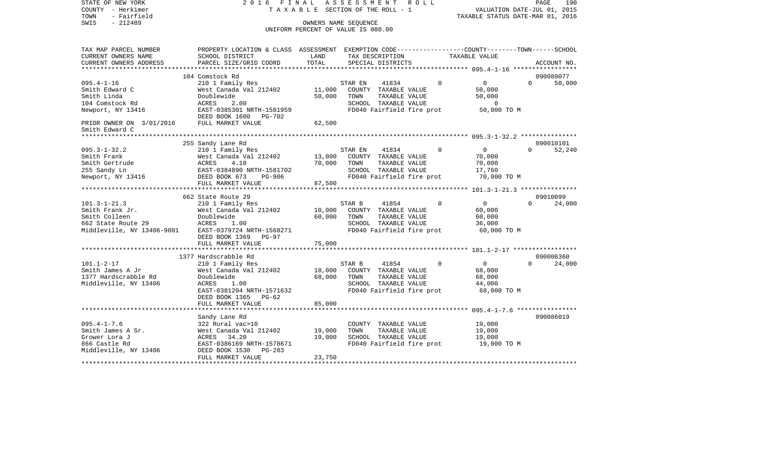| STATE OF NEW YORK<br>COUNTY - Herkimer<br>TOWN<br>- Fairfield<br>$-212489$<br>SWIS                                                      | 2016 FINAL<br>TAXABLE                                                                                                                                                      | OWNERS NAME SEQUENCE<br>UNIFORM PERCENT OF VALUE IS 080.00 | ASSESSMENT      | ROLL<br>SECTION OF THE ROLL - 1                                                                     |          | VALUATION DATE-JUL 01, 2015<br>TAXABLE STATUS DATE-MAR 01, 2016 | PAGE     | 190                 |
|-----------------------------------------------------------------------------------------------------------------------------------------|----------------------------------------------------------------------------------------------------------------------------------------------------------------------------|------------------------------------------------------------|-----------------|-----------------------------------------------------------------------------------------------------|----------|-----------------------------------------------------------------|----------|---------------------|
| TAX MAP PARCEL NUMBER<br>CURRENT OWNERS NAME<br>CURRENT OWNERS ADDRESS<br>**********************                                        | PROPERTY LOCATION & CLASS ASSESSMENT EXEMPTION CODE----------------COUNTY-------TOWN------SCHOOL<br>SCHOOL DISTRICT<br>PARCEL SIZE/GRID COORD                              | LAND<br>TOTAL                                              |                 | TAX DESCRIPTION<br>SPECIAL DISTRICTS                                                                |          | TAXABLE VALUE                                                   |          | ACCOUNT NO.         |
| $095.4 - 1 - 16$<br>Smith Edward C<br>Smith Linda<br>104 Comstock Rd<br>Newport, NY 13416<br>PRIOR OWNER ON 3/01/2016<br>Smith Edward C | 104 Comstock Rd<br>210 1 Family Res<br>West Canada Val 212402<br>Doublewide<br>ACRES<br>2.00<br>EAST-0385301 NRTH-1581959<br>DEED BOOK 1600<br>PG-702<br>FULL MARKET VALUE | 11,000<br>50,000<br>62,500                                 | STAR EN<br>TOWN | 41834<br>COUNTY TAXABLE VALUE<br>TAXABLE VALUE<br>SCHOOL TAXABLE VALUE<br>FD040 Fairfield fire prot | $\Omega$ | $\mathbf{0}$<br>50,000<br>50,000<br>$\mathbf 0$<br>50,000 TO M  | $\Omega$ | 090089077<br>50,000 |
|                                                                                                                                         |                                                                                                                                                                            |                                                            |                 |                                                                                                     |          |                                                                 |          |                     |
| $095.3 - 1 - 32.2$<br>Smith Frank<br>Smith Gertrude<br>255 Sandy Ln<br>Newport, NY 13416                                                | 255 Sandy Lane Rd<br>210 1 Family Res<br>West Canada Val 212402<br>4.10<br>ACRES<br>EAST-0384890 NRTH-1581702<br>DEED BOOK 673<br>PG-906<br>FULL MARKET VALUE              | 13,000<br>70,000<br>87,500                                 | STAR EN<br>TOWN | 41834<br>COUNTY TAXABLE VALUE<br>TAXABLE VALUE<br>SCHOOL TAXABLE VALUE<br>FD040 Fairfield fire prot | $\Omega$ | $\overline{0}$<br>70,000<br>70,000<br>17,760<br>70,000 TO M     | $\Omega$ | 090010101<br>52,240 |
|                                                                                                                                         | 662 State Route 29                                                                                                                                                         |                                                            |                 |                                                                                                     |          |                                                                 |          | 09010099            |
| $101.3 - 1 - 21.3$<br>Smith Frank Jr.<br>Smith Colleen<br>662 State Route 29<br>Middleville, NY 13406-9801                              | 210 1 Family Res<br>West Canada Val 212402<br>Doublewide<br>ACRES<br>1.00<br>EAST-0379724 NRTH-1568271<br>DEED BOOK 1369<br>$PG-97$                                        | 10,000<br>60,000                                           | STAR B<br>TOWN  | 41854<br>COUNTY TAXABLE VALUE<br>TAXABLE VALUE<br>SCHOOL TAXABLE VALUE<br>FD040 Fairfield fire prot | $\Omega$ | $\overline{0}$<br>60,000<br>60,000<br>36,000<br>60,000 TO M     | $\Omega$ | 24,000              |
|                                                                                                                                         | FULL MARKET VALUE                                                                                                                                                          | 75,000                                                     |                 |                                                                                                     |          |                                                                 |          |                     |
|                                                                                                                                         | 1377 Hardscrabble Rd                                                                                                                                                       | ********                                                   |                 |                                                                                                     |          | ******************* 101.1-2-17 ******************               |          | 090006360           |
| $101.1 - 2 - 17$<br>Smith James A Jr<br>1377 Hardscrabble Rd<br>Middleville, NY 13406                                                   | 210 1 Family Res<br>West Canada Val 212402<br>Doublewide<br>ACRES<br>1.00<br>EAST-0381204 NRTH-1571632                                                                     | 10,000<br>68,000                                           | STAR B<br>TOWN  | 41854<br>COUNTY TAXABLE VALUE<br>TAXABLE VALUE<br>SCHOOL TAXABLE VALUE<br>FD040 Fairfield fire prot | $\Omega$ | $\mathbf{0}$<br>68,000<br>68,000<br>44,000<br>68,000 TO M       | $\Omega$ | 24,000              |
|                                                                                                                                         | DEED BOOK 1365 PG-62<br>FULL MARKET VALUE                                                                                                                                  | 85,000                                                     |                 |                                                                                                     |          |                                                                 |          |                     |
| $095.4 - 1 - 7.6$<br>Smith James A Sr.<br>Grower Lora J<br>866 Castle Rd                                                                | Sandy Lane Rd<br>322 Rural vac>10<br>West Canada Val 212402<br>ACRES<br>34.20<br>EAST-0386169 NRTH-1578671                                                                 | 19,000<br>19,000                                           | TOWN            | COUNTY TAXABLE VALUE<br>TAXABLE VALUE<br>SCHOOL TAXABLE VALUE<br>FD040 Fairfield fire prot          |          | 19,000<br>19,000<br>19,000<br>19,000 TO M                       |          | 090086019           |
| Middleville, NY 13406                                                                                                                   | DEED BOOK 1530<br>$PG-283$<br>FULL MARKET VALUE                                                                                                                            | 23,750                                                     |                 |                                                                                                     |          |                                                                 |          |                     |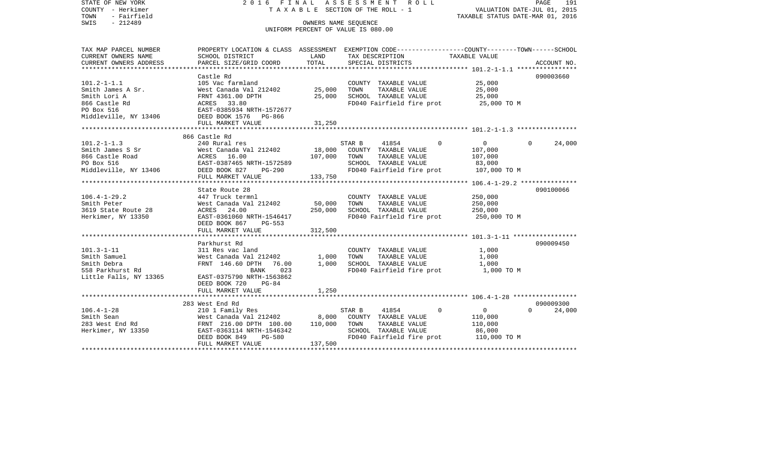STATE OF NEW YORK 2 0 1 6 F I N A L A S S E S S M E N T R O L L PAGE 191VALUATION DATE-JUL 01, 2015 COUNTY - Herkimer T A X A B L E SECTION OF THE ROLL - 1 TOWN - Fairfield TAXABLE STATUS DATE-MAR 01, 2016 SWIS - 212489 CONNERS NAME SEQUENCE UNIFORM PERCENT OF VALUE IS 080.00TAX MAP PARCEL NUMBER PROPERTY LOCATION & CLASS ASSESSMENT EXEMPTION CODE------------------COUNTY--------TOWN------SCHOOL CURRENT OWNERS NAME SCHOOL DISTRICT LAND TAX DESCRIPTION TAXABLE VALUECURRENT OWNERS ADDRESS PARCEL SIZE/GRID COORD TOTAL SPECIAL DISTRICTS ACCOUNT NO. \*\*\*\*\*\*\*\*\*\*\*\*\*\*\*\*\*\*\*\*\*\*\*\*\*\*\*\*\*\*\*\*\*\*\*\*\*\*\*\*\*\*\*\*\*\*\*\*\*\*\*\*\*\*\*\*\*\*\*\*\*\*\*\*\*\*\*\*\*\*\*\*\*\*\*\*\*\*\*\*\*\*\*\*\*\*\*\*\*\*\*\*\*\*\*\*\*\*\*\*\*\*\* 101.2-1-1.1 \*\*\*\*\*\*\*\*\*\*\*\*\*\*\*\* Castle Rd 090003660090003660 101.2-1-1.1 105 Vac farmland COUNTY TAXABLE VALUE 25,000 Smith James A Sr. West Canada Val 212402 25,000 TOWN TAXABLE VALUE 25,000 Smith Lori A **FRNT 4361.00 DPTH** 25,000 SCHOOL TAXABLE VALUE 25,000 866 Castle Rd ACRES 33.80 FD040 Fairfield fire prot 25,000 TO M EAST-0385934 NRTH-1572677 Middleville, NY 13406 DEED BOOK 1576 PG-866 FULL MARKET VALUE 31,250 \*\*\*\*\*\*\*\*\*\*\*\*\*\*\*\*\*\*\*\*\*\*\*\*\*\*\*\*\*\*\*\*\*\*\*\*\*\*\*\*\*\*\*\*\*\*\*\*\*\*\*\*\*\*\*\*\*\*\*\*\*\*\*\*\*\*\*\*\*\*\*\*\*\*\*\*\*\*\*\*\*\*\*\*\*\*\*\*\*\*\*\*\*\*\*\*\*\*\*\*\*\*\* 101.2-1-1.3 \*\*\*\*\*\*\*\*\*\*\*\*\*\*\*\* 866 Castle Rd101.2-1-1.3 240 Rural res STAR B 41854 0 0 0 24,000 Smith James S Sr **West Canada Val 212402** 18,000 COUNTY TAXABLE VALUE 107,000 866 Castle Road ACRES 16.00 107,000 TOWN TAXABLE VALUE 107,000 PO Box 516 EAST-0387465 NRTH-1572589 SCHOOL TAXABLE VALUE 83,000 Middleville, NY 13406 DEED BOOK 827 PG-290 FD040 Fairfield fire prot 107,000 TO M FULL MARKET VALUE 133,750 \*\*\*\*\*\*\*\*\*\*\*\*\*\*\*\*\*\*\*\*\*\*\*\*\*\*\*\*\*\*\*\*\*\*\*\*\*\*\*\*\*\*\*\*\*\*\*\*\*\*\*\*\*\*\*\*\*\*\*\*\*\*\*\*\*\*\*\*\*\*\*\*\*\*\*\*\*\*\*\*\*\*\*\*\*\*\*\*\*\*\*\*\*\*\*\*\*\*\*\*\*\*\* 106.4-1-29.2 \*\*\*\*\*\*\*\*\*\*\*\*\*\*\*State Route 28 090100066 106.4-1-29.2 447 Truck termnl COUNTY TAXABLE VALUE 250,000 Smith Peter **120 West Canada Val 212402** 50,000 TOWN TAXABLE VALUE 250,000 3619 State Route 28 ACRES 24.00 250,000 SCHOOL TAXABLE VALUE 250,000 Herkimer, NY 13350 EAST-0361060 NRTH-1546417 FD040 Fairfield fire prot 250,000 TO M DEED BOOK 867 PG-553FULL MARKET VALUE 312,500 \*\*\*\*\*\*\*\*\*\*\*\*\*\*\*\*\*\*\*\*\*\*\*\*\*\*\*\*\*\*\*\*\*\*\*\*\*\*\*\*\*\*\*\*\*\*\*\*\*\*\*\*\*\*\*\*\*\*\*\*\*\*\*\*\*\*\*\*\*\*\*\*\*\*\*\*\*\*\*\*\*\*\*\*\*\*\*\*\*\*\*\*\*\*\*\*\*\*\*\*\*\*\* 101.3-1-11 \*\*\*\*\*\*\*\*\*\*\*\*\*\*\*\*\* Parkhurst Rd 090009450101.3-1-11 311 Res vac land COUNTY TAXABLE VALUE 1,000 Smith Samuel West Canada Val 212402 1,000 TOWN TAXABLE VALUE 1,000 Smith Debra FRNT 146.60 DPTH 76.00 1,000 SCHOOL TAXABLE VALUE 1,000 558 Parkhurst Rd BANK 023 FD040 Fairfield fire prot 1,000 TO M Little Falls, NY 13365 EAST-0375790 NRTH-1563862 DEED BOOK 720 PG-84FULL MARKET VALUE 1,250 \*\*\*\*\*\*\*\*\*\*\*\*\*\*\*\*\*\*\*\*\*\*\*\*\*\*\*\*\*\*\*\*\*\*\*\*\*\*\*\*\*\*\*\*\*\*\*\*\*\*\*\*\*\*\*\*\*\*\*\*\*\*\*\*\*\*\*\*\*\*\*\*\*\*\*\*\*\*\*\*\*\*\*\*\*\*\*\*\*\*\*\*\*\*\*\*\*\*\*\*\*\*\* 106.4-1-28 \*\*\*\*\*\*\*\*\*\*\*\*\*\*\*\*\* 283 West End Rd 090009300106.4-1-28 210 1 Family Res STAR B 41854 0 0 0 24,000 Smith Sean West Canada Val 212402 8,000 COUNTY TAXABLE VALUE 110,000 283 West End Rd FRNT 216.00 DPTH 100.00 110,000 TOWN TAXABLE VALUE 110,000 Herkimer, NY 13350 EAST-0363114 NRTH-1546342 SCHOOL TAXABLE VALUE 86,000 DEED BOOK 849 PG-580 FD040 Fairfield fire prot 110,000 TO M FULL MARKET VALUE 137,500 \*\*\*\*\*\*\*\*\*\*\*\*\*\*\*\*\*\*\*\*\*\*\*\*\*\*\*\*\*\*\*\*\*\*\*\*\*\*\*\*\*\*\*\*\*\*\*\*\*\*\*\*\*\*\*\*\*\*\*\*\*\*\*\*\*\*\*\*\*\*\*\*\*\*\*\*\*\*\*\*\*\*\*\*\*\*\*\*\*\*\*\*\*\*\*\*\*\*\*\*\*\*\*\*\*\*\*\*\*\*\*\*\*\*\*\*\*\*\*\*\*\*\*\*\*\*\*\*\*\*\*\*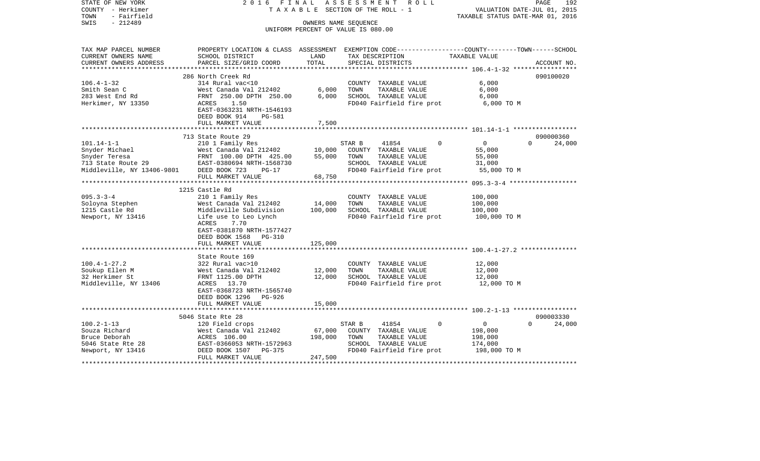| STATE OF NEW YORK<br>COUNTY - Herkimer<br>TOWN<br>- Fairfield<br>$-212489$<br>SWIS | 2 0 1 6<br>FINAL                                                                               | TAXABLE SECTION OF THE ROLL - 1<br>OWNERS NAME SEQUENCE | ASSESSMENT |                           | R O L L |             | VALUATION DATE-JUL 01, 2015<br>TAXABLE STATUS DATE-MAR 01, 2016 | PAGE               | 192         |
|------------------------------------------------------------------------------------|------------------------------------------------------------------------------------------------|---------------------------------------------------------|------------|---------------------------|---------|-------------|-----------------------------------------------------------------|--------------------|-------------|
|                                                                                    |                                                                                                | UNIFORM PERCENT OF VALUE IS 080.00                      |            |                           |         |             |                                                                 |                    |             |
|                                                                                    |                                                                                                |                                                         |            |                           |         |             |                                                                 |                    |             |
| TAX MAP PARCEL NUMBER                                                              | PROPERTY LOCATION & CLASS ASSESSMENT EXEMPTION CODE---------------COUNTY-------TOWN-----SCHOOL |                                                         |            |                           |         |             |                                                                 |                    |             |
| CURRENT OWNERS NAME                                                                | SCHOOL DISTRICT                                                                                | LAND                                                    |            | TAX DESCRIPTION           |         |             | TAXABLE VALUE                                                   |                    |             |
| CURRENT OWNERS ADDRESS<br>**********************                                   | PARCEL SIZE/GRID COORD                                                                         | TOTAL                                                   |            | SPECIAL DISTRICTS         |         |             |                                                                 |                    | ACCOUNT NO. |
|                                                                                    | 286 North Creek Rd                                                                             |                                                         |            |                           |         |             |                                                                 |                    | 090100020   |
| $106.4 - 1 - 32$                                                                   | 314 Rural vac<10                                                                               |                                                         |            | COUNTY TAXABLE VALUE      |         |             | 6,000                                                           |                    |             |
| Smith Sean C                                                                       | West Canada Val 212402                                                                         | 6,000                                                   | TOWN       | TAXABLE VALUE             |         |             | 6,000                                                           |                    |             |
| 283 West End Rd                                                                    | FRNT 250.00 DPTH 250.00                                                                        | 6,000                                                   |            | SCHOOL TAXABLE VALUE      |         |             | 6,000                                                           |                    |             |
| Herkimer, NY 13350                                                                 | ACRES<br>1.50                                                                                  |                                                         |            | FD040 Fairfield fire prot |         |             | 6,000 TO M                                                      |                    |             |
|                                                                                    | EAST-0363231 NRTH-1546193                                                                      |                                                         |            |                           |         |             |                                                                 |                    |             |
|                                                                                    | DEED BOOK 914<br>PG-581                                                                        |                                                         |            |                           |         |             |                                                                 |                    |             |
|                                                                                    | FULL MARKET VALUE                                                                              | 7,500                                                   |            |                           |         |             |                                                                 |                    |             |
|                                                                                    | 713 State Route 29                                                                             |                                                         |            |                           |         |             |                                                                 |                    | 090000360   |
| $101.14 - 1 - 1$                                                                   | 210 1 Family Res                                                                               |                                                         | STAR B     | 41854                     |         | 0           | $\overline{0}$                                                  | $\Omega$           | 24,000      |
| Snyder Michael                                                                     | West Canada Val 212402                                                                         | 10,000                                                  |            | COUNTY TAXABLE VALUE      |         |             | 55,000                                                          |                    |             |
| Snyder Teresa                                                                      | FRNT 100.00 DPTH 425.00                                                                        | 55,000                                                  | TOWN       | TAXABLE VALUE             |         |             | 55,000                                                          |                    |             |
| 713 State Route 29                                                                 | EAST-0380694 NRTH-1568730                                                                      |                                                         |            | SCHOOL TAXABLE VALUE      |         |             | 31,000                                                          |                    |             |
| Middleville, NY 13406-9801                                                         | DEED BOOK 723<br>$PG-17$                                                                       |                                                         |            | FD040 Fairfield fire prot |         |             | 55,000 TO M                                                     |                    |             |
|                                                                                    | FULL MARKET VALUE                                                                              | 68,750                                                  |            |                           |         |             |                                                                 |                    |             |
|                                                                                    | **************************                                                                     |                                                         |            |                           |         |             |                                                                 |                    |             |
|                                                                                    | 1215 Castle Rd                                                                                 |                                                         |            |                           |         |             |                                                                 |                    |             |
| $095.3 - 3 - 4$                                                                    | 210 1 Family Res                                                                               |                                                         |            | COUNTY TAXABLE VALUE      |         |             | 100,000                                                         |                    |             |
| Soloyna Stephen                                                                    | West Canada Val 212402                                                                         | 14,000                                                  | TOWN       | TAXABLE VALUE             |         |             | 100,000                                                         |                    |             |
| 1215 Castle Rd                                                                     | Middleville Subdivision                                                                        | 100,000                                                 |            | SCHOOL TAXABLE VALUE      |         |             | 100,000                                                         |                    |             |
| Newport, NY 13416                                                                  | Life use to Leo Lynch                                                                          |                                                         |            | FD040 Fairfield fire prot |         |             | 100,000 TO M                                                    |                    |             |
|                                                                                    | ACRES<br>7.70<br>EAST-0381870 NRTH-1577427                                                     |                                                         |            |                           |         |             |                                                                 |                    |             |
|                                                                                    | DEED BOOK 1568<br>PG-310                                                                       |                                                         |            |                           |         |             |                                                                 |                    |             |
|                                                                                    | FULL MARKET VALUE                                                                              | 125,000                                                 |            |                           |         |             |                                                                 |                    |             |
|                                                                                    |                                                                                                | **********                                              |            |                           |         |             |                                                                 |                    |             |
|                                                                                    | State Route 169                                                                                |                                                         |            |                           |         |             |                                                                 |                    |             |
| $100.4 - 1 - 27.2$                                                                 | 322 Rural vac>10                                                                               |                                                         |            | COUNTY TAXABLE VALUE      |         |             | 12,000                                                          |                    |             |
| Soukup Ellen M                                                                     | West Canada Val 212402                                                                         | 12,000                                                  | TOWN       | TAXABLE VALUE             |         |             | 12,000                                                          |                    |             |
| 32 Herkimer St                                                                     | FRNT 1125.00 DPTH                                                                              | 12,000                                                  |            | SCHOOL TAXABLE VALUE      |         |             | 12,000                                                          |                    |             |
| Middleville, NY 13406                                                              | ACRES 13.70                                                                                    |                                                         |            | FD040 Fairfield fire prot |         |             | 12,000 TO M                                                     |                    |             |
|                                                                                    | EAST-0368723 NRTH-1565740                                                                      |                                                         |            |                           |         |             |                                                                 |                    |             |
|                                                                                    | DEED BOOK 1296 PG-926                                                                          |                                                         |            |                           |         |             |                                                                 |                    |             |
|                                                                                    | FULL MARKET VALUE                                                                              | 15,000                                                  |            |                           |         |             |                                                                 |                    |             |
|                                                                                    | 5046 State Rte 28                                                                              |                                                         |            |                           |         |             |                                                                 |                    | 090003330   |
| $100.2 - 1 - 13$                                                                   | 120 Field crops                                                                                |                                                         | STAR B     | 41854                     |         | $\mathbf 0$ | $\mathbf 0$                                                     | $\Omega$           | 24,000      |
| Souza Richard                                                                      | West Canada Val 212402                                                                         | 67,000                                                  |            | COUNTY TAXABLE VALUE      |         |             | 198,000                                                         |                    |             |
| Bruce Deborah                                                                      | ACRES 106.00                                                                                   | 198,000                                                 | TOWN       | TAXABLE VALUE             |         |             | 198,000                                                         |                    |             |
| 5046 State Rte 28                                                                  | EAST-0366053 NRTH-1572963                                                                      |                                                         |            | SCHOOL TAXABLE VALUE      |         |             | 174,000                                                         |                    |             |
| Newport, NY 13416                                                                  | DEED BOOK 1507<br>PG-375                                                                       |                                                         |            | FD040 Fairfield fire prot |         |             | 198,000 TO M                                                    |                    |             |
|                                                                                    | FULL MARKET VALUE                                                                              | 247,500                                                 |            |                           |         |             |                                                                 |                    |             |
|                                                                                    |                                                                                                |                                                         |            |                           |         |             |                                                                 | ****************** |             |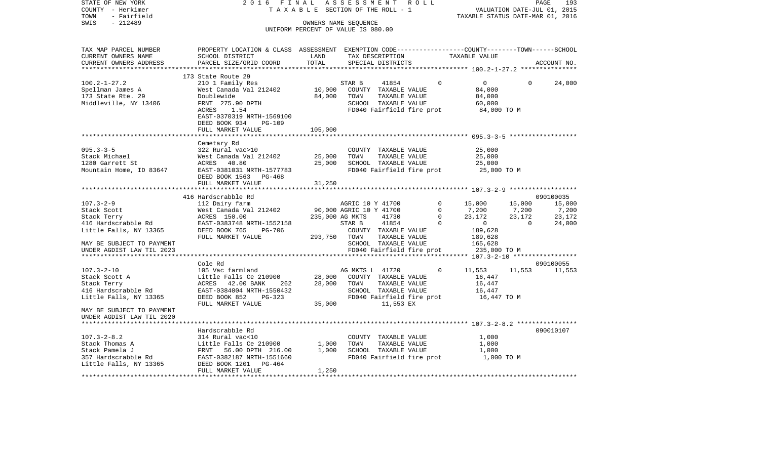| STATE OF NEW YORK<br>COUNTY - Herkimer<br>- Fairfield<br>TOWN | 2 0 1 6<br><b>FINAL</b><br>TAXABLE                                                              |                                    | ASSESSMENT<br>SECTION OF THE ROLL - 1 |                                        | R O L L |             | TAXABLE STATUS DATE-MAR 01, 2016                     |             | PAGE<br>193<br>VALUATION DATE-JUL 01, 2015 |
|---------------------------------------------------------------|-------------------------------------------------------------------------------------------------|------------------------------------|---------------------------------------|----------------------------------------|---------|-------------|------------------------------------------------------|-------------|--------------------------------------------|
| $-212489$<br>SWIS                                             |                                                                                                 | OWNERS NAME SEQUENCE               |                                       |                                        |         |             |                                                      |             |                                            |
|                                                               |                                                                                                 | UNIFORM PERCENT OF VALUE IS 080.00 |                                       |                                        |         |             |                                                      |             |                                            |
| TAX MAP PARCEL NUMBER                                         | PROPERTY LOCATION & CLASS ASSESSMENT EXEMPTION CODE---------------COUNTY-------TOWN------SCHOOL |                                    |                                       |                                        |         |             |                                                      |             |                                            |
| CURRENT OWNERS NAME                                           | SCHOOL DISTRICT                                                                                 | LAND                               |                                       | TAX DESCRIPTION                        |         |             | TAXABLE VALUE                                        |             |                                            |
| CURRENT OWNERS ADDRESS<br>***********************             | PARCEL SIZE/GRID COORD                                                                          | TOTAL                              |                                       | SPECIAL DISTRICTS                      |         |             |                                                      |             | ACCOUNT NO.                                |
|                                                               |                                                                                                 |                                    |                                       |                                        |         |             |                                                      |             |                                            |
| $100.2 - 1 - 27.2$                                            | 173 State Route 29<br>210 1 Family Res                                                          |                                    | STAR B                                | 41854                                  |         | $\mathbf 0$ | $\mathbf{0}$                                         | $\mathbf 0$ | 24,000                                     |
| Spellman James A                                              | West Canada Val 212402                                                                          | 10,000                             |                                       | COUNTY TAXABLE VALUE                   |         |             | 84,000                                               |             |                                            |
| 173 State Rte. 29                                             | Doublewide                                                                                      | 84,000                             | TOWN                                  | TAXABLE VALUE                          |         |             | 84,000                                               |             |                                            |
| Middleville, NY 13406                                         | FRNT 275.90 DPTH                                                                                |                                    |                                       | SCHOOL TAXABLE VALUE                   |         |             | 60,000                                               |             |                                            |
|                                                               | ACRES<br>1.54                                                                                   |                                    |                                       | FD040 Fairfield fire prot              |         |             | 84,000 TO M                                          |             |                                            |
|                                                               | EAST-0370319 NRTH-1569100                                                                       |                                    |                                       |                                        |         |             |                                                      |             |                                            |
|                                                               | DEED BOOK 934<br>$PG-109$                                                                       |                                    |                                       |                                        |         |             |                                                      |             |                                            |
|                                                               | FULL MARKET VALUE                                                                               | 105,000                            |                                       |                                        |         |             |                                                      |             |                                            |
|                                                               | ************************                                                                        |                                    |                                       |                                        |         |             |                                                      |             |                                            |
|                                                               | Cemetary Rd                                                                                     |                                    |                                       |                                        |         |             |                                                      |             |                                            |
| $095.3 - 3 - 5$                                               | 322 Rural vac>10                                                                                |                                    |                                       | COUNTY TAXABLE VALUE                   |         |             | 25,000                                               |             |                                            |
| Stack Michael                                                 | West Canada Val 212402                                                                          | 25,000                             | TOWN                                  | TAXABLE VALUE                          |         |             | 25,000                                               |             |                                            |
| 1280 Garrett St                                               | ACRES<br>40.80                                                                                  | 25,000                             |                                       | SCHOOL TAXABLE VALUE                   |         |             | 25,000                                               |             |                                            |
| Mountain Home, ID 83647                                       | EAST-0381031 NRTH-1577783                                                                       |                                    |                                       | FD040 Fairfield fire prot              |         |             | 25,000 TO M                                          |             |                                            |
|                                                               | DEED BOOK 1563<br>PG-468                                                                        |                                    |                                       |                                        |         |             |                                                      |             |                                            |
|                                                               | FULL MARKET VALUE<br>********************                                                       | 31,250<br>***********              |                                       |                                        |         |             | ********************** 107.3-2-9 ******************* |             |                                            |
|                                                               | 416 Hardscrabble Rd                                                                             |                                    |                                       |                                        |         |             |                                                      |             | 090100035                                  |
| $107.3 - 2 - 9$                                               | 112 Dairy farm                                                                                  |                                    | AGRIC 10 Y 41700                      |                                        |         | 0           | 15,000                                               | 15,000      | 15,000                                     |
| Stack Scott                                                   | West Canada Val 212402                                                                          |                                    | 90,000 AGRIC 10 Y 41700               |                                        |         | $\Omega$    | 7,200                                                | 7,200       | 7,200                                      |
| Stack Terry                                                   | ACRES 150.00                                                                                    |                                    | 235,000 AG MKTS                       | 41730                                  |         | $\mathbf 0$ | 23,172                                               | 23,172      | 23,172                                     |
| 416 Hardscrabble Rd                                           | EAST-0383748 NRTH-1552158                                                                       |                                    | STAR B                                | 41854                                  |         | $\Omega$    | $\mathbf{0}$                                         | $\Omega$    | 24,000                                     |
| Little Falls, NY 13365                                        | DEED BOOK 765<br><b>PG-706</b>                                                                  |                                    |                                       | COUNTY TAXABLE VALUE                   |         |             | 189,628                                              |             |                                            |
|                                                               | FULL MARKET VALUE                                                                               | 293,750                            | TOWN                                  | TAXABLE VALUE                          |         |             | 189,628                                              |             |                                            |
| MAY BE SUBJECT TO PAYMENT                                     |                                                                                                 |                                    |                                       | SCHOOL TAXABLE VALUE                   |         |             | 165,628                                              |             |                                            |
| UNDER AGDIST LAW TIL 2023                                     |                                                                                                 |                                    |                                       | FD040 Fairfield fire prot              |         |             | 235,000 TO M                                         |             |                                            |
| *********************                                         | *************************                                                                       |                                    |                                       |                                        |         |             | *********** 107.3-2-10                               |             | *****************                          |
|                                                               | Cole Rd                                                                                         |                                    |                                       |                                        |         |             |                                                      |             | 090100055                                  |
| $107.3 - 2 - 10$                                              | 105 Vac farmland                                                                                |                                    | AG MKTS L 41720                       |                                        |         | $\Omega$    | 11,553                                               | 11,553      | 11,553                                     |
| Stack Scott A                                                 | Little Falls Ce 210900                                                                          | 28,000                             |                                       | COUNTY TAXABLE VALUE                   |         |             | 16,447                                               |             |                                            |
| Stack Terry                                                   | ACRES 42.00 BANK<br>262                                                                         | 28,000                             | TOWN                                  | TAXABLE VALUE                          |         |             | 16,447                                               |             |                                            |
| 416 Hardscrabble Rd                                           | EAST-0384004 NRTH-1550432                                                                       |                                    |                                       | SCHOOL TAXABLE VALUE                   |         |             | 16,447                                               |             |                                            |
| Little Falls, NY 13365                                        | DEED BOOK 852<br>$PG-323$<br>FULL MARKET VALUE                                                  | 35,000                             |                                       | FD040 Fairfield fire prot<br>11,553 EX |         |             | 16,447 TO M                                          |             |                                            |
| MAY BE SUBJECT TO PAYMENT                                     |                                                                                                 |                                    |                                       |                                        |         |             |                                                      |             |                                            |
| UNDER AGDIST LAW TIL 2020                                     |                                                                                                 |                                    |                                       |                                        |         |             |                                                      |             |                                            |
| **************************                                    |                                                                                                 |                                    |                                       |                                        |         |             |                                                      |             |                                            |
|                                                               | Hardscrabble Rd                                                                                 |                                    |                                       |                                        |         |             |                                                      |             | 090010107                                  |
| $107.3 - 2 - 8.2$                                             | 314 Rural vac<10                                                                                |                                    |                                       | COUNTY TAXABLE VALUE                   |         |             | 1,000                                                |             |                                            |
| Stack Thomas A                                                | Little Falls Ce 210900                                                                          | 1,000                              | TOWN                                  | TAXABLE VALUE                          |         |             | 1,000                                                |             |                                            |
| Stack Pamela J                                                | FRNT<br>56.00 DPTH 216.00                                                                       | 1,000                              |                                       | SCHOOL TAXABLE VALUE                   |         |             | 1,000                                                |             |                                            |
| 357 Hardscrabble Rd                                           | EAST-0382187 NRTH-1551660                                                                       |                                    |                                       | FD040 Fairfield fire prot              |         |             | 1,000 TO M                                           |             |                                            |
| Little Falls, NY 13365                                        | DEED BOOK 1201<br>$PG-464$                                                                      |                                    |                                       |                                        |         |             |                                                      |             |                                            |
|                                                               | FULL MARKET VALUE                                                                               | 1,250                              |                                       |                                        |         |             |                                                      |             |                                            |
|                                                               |                                                                                                 |                                    |                                       |                                        |         |             |                                                      |             |                                            |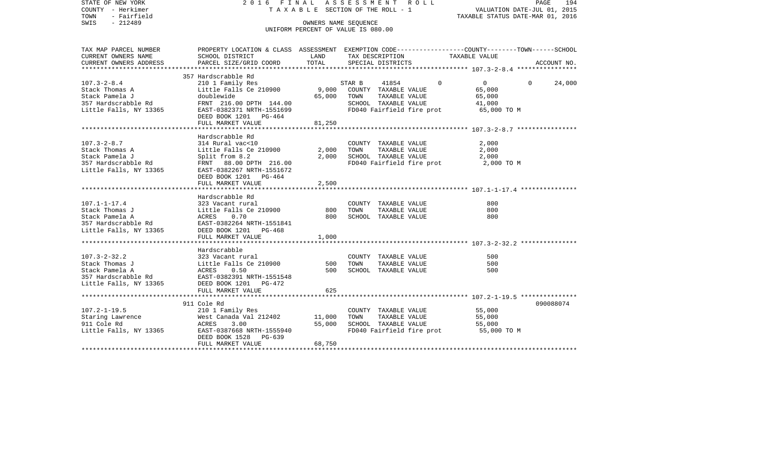VALUATION DATE-JUL 01, 2015 COUNTY - Herkimer T A X A B L E SECTION OF THE ROLL - 1 TOWN - Fairfield TAXABLE STATUS DATE-MAR 01, 2016 SWIS - 212489 OWNERS NAME SEQUENCE UNIFORM PERCENT OF VALUE IS 080.00TAX MAP PARCEL NUMBER PROPERTY LOCATION & CLASS ASSESSMENT EXEMPTION CODE------------------COUNTY--------TOWN------SCHOOL CURRENT OWNERS NAME SCHOOL DISTRICT LAND TAX DESCRIPTION TAXABLE VALUECURRENT OWNERS ADDRESS PARCEL SIZE/GRID COORD TOTAL SPECIAL DISTRICTS ACCOUNT NO. \*\*\*\*\*\*\*\*\*\*\*\*\*\*\*\*\*\*\*\*\*\*\*\*\*\*\*\*\*\*\*\*\*\*\*\*\*\*\*\*\*\*\*\*\*\*\*\*\*\*\*\*\*\*\*\*\*\*\*\*\*\*\*\*\*\*\*\*\*\*\*\*\*\*\*\*\*\*\*\*\*\*\*\*\*\*\*\*\*\*\*\*\*\*\*\*\*\*\*\*\*\*\* 107.3-2-8.4 \*\*\*\*\*\*\*\*\*\*\*\*\*\*\*\* 357 Hardscrabble Rd 107.3-2-8.4 210 1 Family Res STAR B 41854 0 0 0 24,000 Stack Thomas A Little Falls Ce 210900 9,000 COUNTY TAXABLE VALUE 65,000 Stack Pamela J doublewide 65,000 TOWN TAXABLE VALUE 65,000 357 Hardscrabble Rd FRNT 216.00 DPTH 144.00 SCHOOL TAXABLE VALUE 41,000 Little Falls, NY 13365 EAST-0382371 NRTH-1551699 FD040 Fairfield fire prot 65,000 TO M DEED BOOK 1201 PG-464FULL MARKET VALUE 81,250 \*\*\*\*\*\*\*\*\*\*\*\*\*\*\*\*\*\*\*\*\*\*\*\*\*\*\*\*\*\*\*\*\*\*\*\*\*\*\*\*\*\*\*\*\*\*\*\*\*\*\*\*\*\*\*\*\*\*\*\*\*\*\*\*\*\*\*\*\*\*\*\*\*\*\*\*\*\*\*\*\*\*\*\*\*\*\*\*\*\*\*\*\*\*\*\*\*\*\*\*\*\*\* 107.3-2-8.7 \*\*\*\*\*\*\*\*\*\*\*\*\*\*\*\* Hardscrabble Rd107.3-2-8.7 314 Rural vac<10 COUNTY TAXABLE VALUE 2,000 Stack Thomas A Little Falls Ce 210900 2,000 TOWN TAXABLE VALUE 2,000 Stack Pamela J 3,000 SCHOOL TAXABLE VALUE 2,000 357 Hardscrabble Rd FRNT 88.00 DPTH 216.00 FD040 Fairfield fire prot 2,000 TO M Little Falls, NY 13365 EAST-0382267 NRTH-1551672 DEED BOOK 1201 PG-464FULL MARKET VALUE 2,500 \*\*\*\*\*\*\*\*\*\*\*\*\*\*\*\*\*\*\*\*\*\*\*\*\*\*\*\*\*\*\*\*\*\*\*\*\*\*\*\*\*\*\*\*\*\*\*\*\*\*\*\*\*\*\*\*\*\*\*\*\*\*\*\*\*\*\*\*\*\*\*\*\*\*\*\*\*\*\*\*\*\*\*\*\*\*\*\*\*\*\*\*\*\*\*\*\*\*\*\*\*\*\* 107.1-1-17.4 \*\*\*\*\*\*\*\*\*\*\*\*\*\*\* Hardscrabble Rd107.1-1-17.4 323 Vacant rural COUNTY TAXABLE VALUE 800Stack Thomas J Little Falls Ce 210900 800 TOWN TAXABLE VALUE 800Stack Pamela A ACRES 0.70 800 SCHOOL TAXABLE VALUE 800 357 Hardscrabble Rd EAST-0382264 NRTH-1551841 Little Falls, NY 13365 DEED BOOK 1201 PG-468 FULL MARKET VALUE 1,000 \*\*\*\*\*\*\*\*\*\*\*\*\*\*\*\*\*\*\*\*\*\*\*\*\*\*\*\*\*\*\*\*\*\*\*\*\*\*\*\*\*\*\*\*\*\*\*\*\*\*\*\*\*\*\*\*\*\*\*\*\*\*\*\*\*\*\*\*\*\*\*\*\*\*\*\*\*\*\*\*\*\*\*\*\*\*\*\*\*\*\*\*\*\*\*\*\*\*\*\*\*\*\* 107.3-2-32.2 \*\*\*\*\*\*\*\*\*\*\*\*\*\*\* Hardscrabble107.3-2-32.2 323 Vacant rural COUNTY TAXABLE VALUE 500Stack Thomas J Little Falls Ce 210900 500 TOWN TAXABLE VALUE 500 500 Stack Pamela A ACRES 0.50 500 SCHOOL TAXABLE VALUE 500357 Hardscrabble Rd EAST-0382391 NRTH-1551548Little Falls, NY 13365 DEED BOOK 1201 PG-472 FULL MARKET VALUE 625 \*\*\*\*\*\*\*\*\*\*\*\*\*\*\*\*\*\*\*\*\*\*\*\*\*\*\*\*\*\*\*\*\*\*\*\*\*\*\*\*\*\*\*\*\*\*\*\*\*\*\*\*\*\*\*\*\*\*\*\*\*\*\*\*\*\*\*\*\*\*\*\*\*\*\*\*\*\*\*\*\*\*\*\*\*\*\*\*\*\*\*\*\*\*\*\*\*\*\*\*\*\*\* 107.2-1-19.5 \*\*\*\*\*\*\*\*\*\*\*\*\*\*\* 911 Cole Rd 090088074107.2-1-19.5 210 1 Family Res COUNTY TAXABLE VALUE 55,000 Nest Canada Val 212402 11,000 TOWN<br>ACRES 3.00 55,000 SCHOC 911 Cole Rd ACRES 3.00 55,000 SCHOOL TAXABLE VALUE 55,000 Little Falls, NY 13365 EAST-0387668 NRTH-1555940 FD040 Fairfield fire prot 55,000 TO M DEED BOOK 1528 PG-639FULL MARKET VALUE 68,750 \*\*\*\*\*\*\*\*\*\*\*\*\*\*\*\*\*\*\*\*\*\*\*\*\*\*\*\*\*\*\*\*\*\*\*\*\*\*\*\*\*\*\*\*\*\*\*\*\*\*\*\*\*\*\*\*\*\*\*\*\*\*\*\*\*\*\*\*\*\*\*\*\*\*\*\*\*\*\*\*\*\*\*\*\*\*\*\*\*\*\*\*\*\*\*\*\*\*\*\*\*\*\*\*\*\*\*\*\*\*\*\*\*\*\*\*\*\*\*\*\*\*\*\*\*\*\*\*\*\*\*\*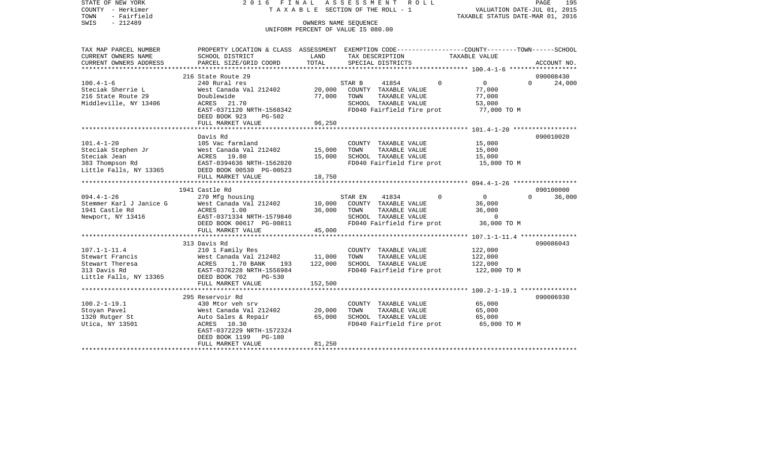| STATE OF NEW YORK       |                                      |                  | 2016 FINAL ASSESSMENT ROLL                 | 195<br>PAGE                                                                                     |
|-------------------------|--------------------------------------|------------------|--------------------------------------------|-------------------------------------------------------------------------------------------------|
| COUNTY - Herkimer       |                                      |                  | T A X A B L E SECTION OF THE ROLL - 1      | VALUATION DATE-JUL 01, 2015                                                                     |
| TOWN<br>- Fairfield     |                                      |                  |                                            | TAXABLE STATUS DATE-MAR 01, 2016                                                                |
| SWIS<br>$-212489$       |                                      |                  | OWNERS NAME SEOUENCE                       |                                                                                                 |
|                         |                                      |                  | UNIFORM PERCENT OF VALUE IS 080.00         |                                                                                                 |
|                         |                                      |                  |                                            |                                                                                                 |
| TAX MAP PARCEL NUMBER   |                                      |                  |                                            | PROPERTY LOCATION & CLASS ASSESSMENT EXEMPTION CODE---------------COUNTY-------TOWN------SCHOOL |
| CURRENT OWNERS NAME     | SCHOOL DISTRICT                      | LAND             | TAX DESCRIPTION                            | TAXABLE VALUE                                                                                   |
| CURRENT OWNERS ADDRESS  | PARCEL SIZE/GRID COORD               | TOTAL            | SPECIAL DISTRICTS                          | ACCOUNT NO.                                                                                     |
|                         |                                      |                  |                                            |                                                                                                 |
|                         | 216 State Route 29                   |                  |                                            | 090008430                                                                                       |
| $100.4 - 1 - 6$         | 240 Rural res                        |                  | STAR B<br>41854<br>$\circ$                 | $\overline{0}$<br>24,000<br>$\Omega$                                                            |
| Steciak Sherrie L       | West Canada Val 212402               | 20,000           | COUNTY TAXABLE VALUE                       | 77,000                                                                                          |
| 216 State Route 29      | Doublewide                           | 77,000           | TOWN<br>TAXABLE VALUE                      | 77,000                                                                                          |
| Middleville, NY 13406   | ACRES 21.70                          |                  | SCHOOL TAXABLE VALUE                       | 53,000                                                                                          |
|                         | EAST-0371120 NRTH-1568342            |                  | FD040 Fairfield fire prot                  | 77,000 TO M                                                                                     |
|                         | DEED BOOK 923<br>PG-502              |                  |                                            |                                                                                                 |
|                         | FULL MARKET VALUE                    | 96,250           |                                            |                                                                                                 |
|                         |                                      |                  |                                            |                                                                                                 |
|                         | Davis Rd                             |                  |                                            | 090010020                                                                                       |
| $101.4 - 1 - 20$        | 105 Vac farmland                     |                  | COUNTY TAXABLE VALUE                       | 15,000                                                                                          |
| Steciak Stephen Jr      | West Canada Val 212402               | 15,000           | TOWN<br>TAXABLE VALUE                      | 15,000                                                                                          |
| Steciak Jean            | ACRES 19.80                          | 15,000           | SCHOOL TAXABLE VALUE                       | 15,000                                                                                          |
| 383 Thompson Rd         | EAST-0394636 NRTH-1562020            |                  | FD040 Fairfield fire prot                  | 15,000 TO M                                                                                     |
| Little Falls, NY 13365  | DEED BOOK 00530 PG-00523             |                  |                                            |                                                                                                 |
|                         | FULL MARKET VALUE                    | 18,750           |                                            |                                                                                                 |
|                         |                                      |                  |                                            |                                                                                                 |
|                         | 1941 Castle Rd                       |                  |                                            | 090100000                                                                                       |
| $094.4 - 1 - 26$        | 270 Mfg housing                      |                  | STAR EN<br>41834<br>$\Omega$               | $\Omega$<br>$\Omega$<br>36,000                                                                  |
| Stemmer Karl J Janice G | West Canada Val 212402               | 10,000           | COUNTY TAXABLE VALUE                       | 36,000                                                                                          |
| 1941 Castle Rd          | ACRES<br>1.00                        | 36,000           |                                            | 36,000                                                                                          |
| Newport, NY 13416       | EAST-0371334 NRTH-1579840            |                  | TOWN TAXABLE VALUE<br>SCHOOL TAXABLE VALUE | $\sim$ 0                                                                                        |
|                         | DEED BOOK 00617 PG-00811             |                  | FD040 Fairfield fire prot                  | 36,000 TO M                                                                                     |
|                         | FULL MARKET VALUE                    | 45,000           |                                            |                                                                                                 |
|                         |                                      |                  |                                            |                                                                                                 |
|                         | 313 Davis Rd                         |                  |                                            | 090086043                                                                                       |
| $107.1 - 1 - 11.4$      | 210 1 Family Res                     |                  | COUNTY TAXABLE VALUE                       | 122,000                                                                                         |
| Stewart Francis         | West Canada Val 212402               | 11,000           | TAXABLE VALUE<br>TOWN                      | 122,000                                                                                         |
| Stewart Theresa         | ACRES<br>1.70 BANK<br>193            | 122,000          | SCHOOL TAXABLE VALUE                       | 122,000                                                                                         |
| 313 Davis Rd            | EAST-0376228 NRTH-1556984            |                  | FD040 Fairfield fire prot                  | 122,000 TO M                                                                                    |
| Little Falls, NY 13365  | DEED BOOK 702<br>$PG-530$            |                  |                                            |                                                                                                 |
|                         | FULL MARKET VALUE                    | 152,500          |                                            |                                                                                                 |
|                         |                                      |                  |                                            |                                                                                                 |
| $100.2 - 1 - 19.1$      | 295 Reservoir Rd<br>430 Mtor yeh srv |                  | COUNTY TAXABLE VALUE                       | 090006930<br>65,000                                                                             |
|                         |                                      |                  | TOWN<br>TAXABLE VALUE                      | 65,000                                                                                          |
| Stoyan Pavel            | West Canada Val 212402               | 20,000<br>65,000 |                                            |                                                                                                 |
| 1320 Rutger St          | Auto Sales & Repair<br>ACRES 10.30   |                  | SCHOOL TAXABLE VALUE                       | 65,000<br>65,000 TO M                                                                           |
| Utica, NY 13501         | EAST-0372229 NRTH-1572324            |                  | FD040 Fairfield fire prot                  |                                                                                                 |
|                         | DEED BOOK 1199 PG-180                |                  |                                            |                                                                                                 |
|                         | FULL MARKET VALUE                    | 81,250           |                                            |                                                                                                 |
|                         |                                      |                  |                                            |                                                                                                 |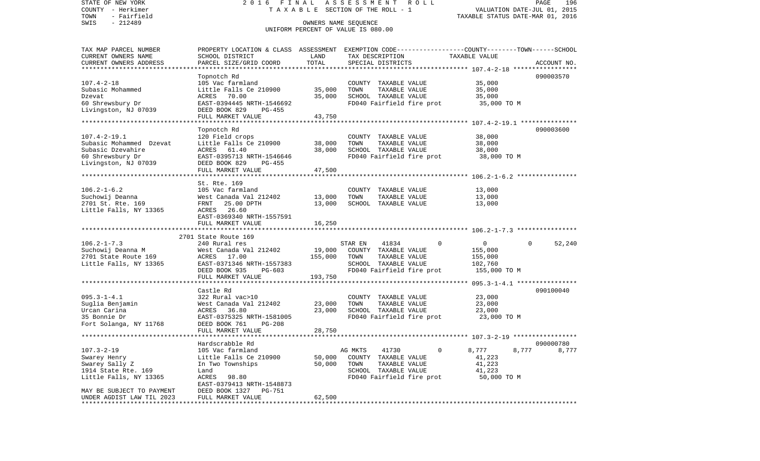COUNTY - Herkimer **T A X A B L E** SECTION OF THE ROLL - 1 VALUATION DATE-JUL 01, 2015 TOWN - Fairfield TAXABLE STATUS DATE-MAR 01, 2016 SWIS - 212489 OWNERS NAME SEQUENCE UNIFORM PERCENT OF VALUE IS 080.00TAX MAP PARCEL NUMBER PROPERTY LOCATION & CLASS ASSESSMENT EXEMPTION CODE------------------COUNTY--------TOWN------SCHOOL CURRENT OWNERS NAME SCHOOL DISTRICT LAND TAX DESCRIPTION TAXABLE VALUECURRENT OWNERS ADDRESS PARCEL SIZE/GRID COORD TOTAL SPECIAL DISTRICTS ACCOUNT NO. \*\*\*\*\*\*\*\*\*\*\*\*\*\*\*\*\*\*\*\*\*\*\*\*\*\*\*\*\*\*\*\*\*\*\*\*\*\*\*\*\*\*\*\*\*\*\*\*\*\*\*\*\*\*\*\*\*\*\*\*\*\*\*\*\*\*\*\*\*\*\*\*\*\*\*\*\*\*\*\*\*\*\*\*\*\*\*\*\*\*\*\*\*\*\*\*\*\*\*\*\*\*\* 107.4-2-18 \*\*\*\*\*\*\*\*\*\*\*\*\*\*\*\*\* Topnotch Rd 090003570 107.4-2-18 105 Vac farmland COUNTY TAXABLE VALUE 35,000 Subasic Mohammed  $L$ ittle Falls Ce 210900 35,000 TOWN TAXABLE VALUE 35,000 Dzevat ACRES 70.00 35,000 SCHOOL TAXABLE VALUE 35,000 60 Shrewsbury Dr EAST-0394445 NRTH-1546692 FD040 Fairfield fire prot 35,000 TO M<br>Livingston, NJ 07039 DEED BOOK 829 PG-455 DEED BOOK 829 PG-455 FULL MARKET VALUE 43,750 \*\*\*\*\*\*\*\*\*\*\*\*\*\*\*\*\*\*\*\*\*\*\*\*\*\*\*\*\*\*\*\*\*\*\*\*\*\*\*\*\*\*\*\*\*\*\*\*\*\*\*\*\*\*\*\*\*\*\*\*\*\*\*\*\*\*\*\*\*\*\*\*\*\*\*\*\*\*\*\*\*\*\*\*\*\*\*\*\*\*\*\*\*\*\*\*\*\*\*\*\*\*\* 107.4-2-19.1 \*\*\*\*\*\*\*\*\*\*\*\*\*\*\* Topnotch Rd 090003600 107.4-2-19.1 120 Field crops 18.000 COUNTY TAXABLE VALUE 38,000<br>Subasic Mohammed Dzevat 1.ittle Falls Ce 210900 38.000 TOWN TAXABLE VALUE 38.000 Subasic Mohammed Dzevat Little Falls Ce  $210900$  38,000 TOWN Subasic Dzevahire ACRES 61.40 38,000 SCHOOL TAXABLE VALUE 38,000 60 Shrewsbury Dr EAST-0395713 NRTH-1546646 FD040 Fairfield fire prot 38,000 TO M Livingston, NJ 07039 DEED BOOK 829 PG-455 FULL MARKET VALUE 47,500 \*\*\*\*\*\*\*\*\*\*\*\*\*\*\*\*\*\*\*\*\*\*\*\*\*\*\*\*\*\*\*\*\*\*\*\*\*\*\*\*\*\*\*\*\*\*\*\*\*\*\*\*\*\*\*\*\*\*\*\*\*\*\*\*\*\*\*\*\*\*\*\*\*\*\*\*\*\*\*\*\*\*\*\*\*\*\*\*\*\*\*\*\*\*\*\*\*\*\*\*\*\*\* 106.2-1-6.2 \*\*\*\*\*\*\*\*\*\*\*\*\*\*\*\* St. Rte. 169105 Vac farmland 106.2-1-6.2 105 Vac farmland COUNTY TAXABLE VALUE 13,000 Suchowij Deanna West Canada Val 212402 13,000 TOWN TAXABLE VALUE 13,000 2701 St. Rte. 169 FRNT 25.00 DPTH 13,000 SCHOOL TAXABLE VALUE 13,000 Little Falls, NY 13365 ACRES 26.60 EAST-0369340 NRTH-1557591FULL MARKET VALUE 16,250 \*\*\*\*\*\*\*\*\*\*\*\*\*\*\*\*\*\*\*\*\*\*\*\*\*\*\*\*\*\*\*\*\*\*\*\*\*\*\*\*\*\*\*\*\*\*\*\*\*\*\*\*\*\*\*\*\*\*\*\*\*\*\*\*\*\*\*\*\*\*\*\*\*\*\*\*\*\*\*\*\*\*\*\*\*\*\*\*\*\*\*\*\*\*\*\*\*\*\*\*\*\*\* 106.2-1-7.3 \*\*\*\*\*\*\*\*\*\*\*\*\*\*\*\* 2701 State Route 169106.2-1-7.3 240 Rural res STAR EN 41834 0 0 0 52,240 Suchowij Deanna M West Canada Val 212402 19,000 COUNTY TAXABLE VALUE 155,000 2701 State Route 169 ACRES 17.00 155,000 TOWN TAXABLE VALUE 155,000 Little Falls, NY 13365 EAST-0371346 NRTH-1557383 SCHOOL TAXABLE VALUE 102,760 DEED BOOK 935 PG-603 FDD40 Fairfield fire prot 155,000 TO M FULL MARKET VALUE 193,750 \*\*\*\*\*\*\*\*\*\*\*\*\*\*\*\*\*\*\*\*\*\*\*\*\*\*\*\*\*\*\*\*\*\*\*\*\*\*\*\*\*\*\*\*\*\*\*\*\*\*\*\*\*\*\*\*\*\*\*\*\*\*\*\*\*\*\*\*\*\*\*\*\*\*\*\*\*\*\*\*\*\*\*\*\*\*\*\*\*\*\*\*\*\*\*\*\*\*\*\*\*\*\* 095.3-1-4.1 \*\*\*\*\*\*\*\*\*\*\*\*\*\*\*\* Castle Rd 090100040095.3-1-4.1 322 Rural vac>10 COUNTY TAXABLE VALUE 23,000 Suglia Benjamin West Canada Val 212402 23,000 TOWN TAXABLE VALUE 23,000 Urcan Carina ACRES 36.80 23,000 SCHOOL TAXABLE VALUE 23,000 35 Bonnie Dr EAST-0375325 NRTH-1581005 FD040 Fairfield fire prot 23,000 TO M Fort Solanga, NY 11768 DEED BOOK 761 PG-208 FULL MARKET VALUE 28,750 \*\*\*\*\*\*\*\*\*\*\*\*\*\*\*\*\*\*\*\*\*\*\*\*\*\*\*\*\*\*\*\*\*\*\*\*\*\*\*\*\*\*\*\*\*\*\*\*\*\*\*\*\*\*\*\*\*\*\*\*\*\*\*\*\*\*\*\*\*\*\*\*\*\*\*\*\*\*\*\*\*\*\*\*\*\*\*\*\*\*\*\*\*\*\*\*\*\*\*\*\*\*\* 107.3-2-19 \*\*\*\*\*\*\*\*\*\*\*\*\*\*\*\*\* Hardscrabble Rd 090000780107.3-2-19 105 Vac farmland AG MKTS 41730 0 8,777 8,777 8,777 Swarey Henry **Example 2018** Little Falls Ce 210900 50,000 COUNTY TAXABLE VALUE 41,223 Swarey Sally Z In Two Townships 50,000 TOWN TAXABLE VALUE 41,223 1914 State Rte. 169 Land Land Communication SCHOOL TAXABLE VALUE 41,223 Little Falls, NY 13365 ACRES 98.80 ACRES FD040 Fairfield fire prot 50,000 TO M EAST-0379413 NRTH-1548873MAY BE SUBJECT TO PAYMENT DEED BOOK 1327 PG-751 UNDER AGDIST LAW TIL 2023 FULL MARKET VALUE 62,500 \*\*\*\*\*\*\*\*\*\*\*\*\*\*\*\*\*\*\*\*\*\*\*\*\*\*\*\*\*\*\*\*\*\*\*\*\*\*\*\*\*\*\*\*\*\*\*\*\*\*\*\*\*\*\*\*\*\*\*\*\*\*\*\*\*\*\*\*\*\*\*\*\*\*\*\*\*\*\*\*\*\*\*\*\*\*\*\*\*\*\*\*\*\*\*\*\*\*\*\*\*\*\*\*\*\*\*\*\*\*\*\*\*\*\*\*\*\*\*\*\*\*\*\*\*\*\*\*\*\*\*\*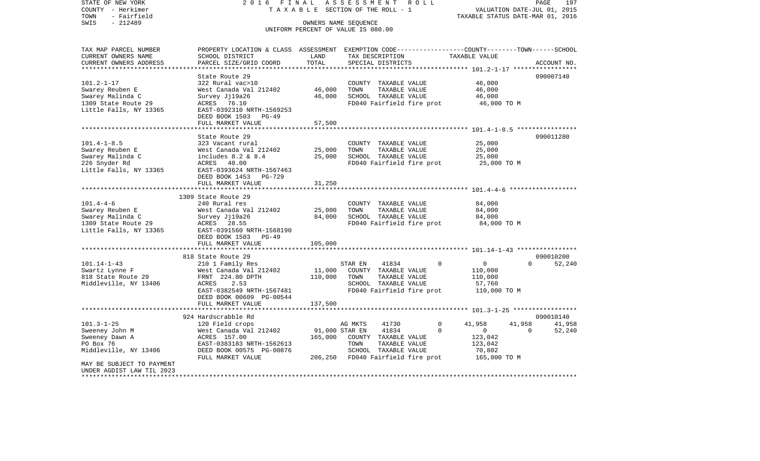COUNTY - Herkimer **T A X A B L E** SECTION OF THE ROLL - 1 VALUATION DATE-JUL 01, 2015 TOWN - Fairfield TAXABLE STATUS DATE-MAR 01, 2016 SWIS - 212489 OWNERS NAME SEQUENCE UNIFORM PERCENT OF VALUE IS 080.00TAX MAP PARCEL NUMBER PROPERTY LOCATION & CLASS ASSESSMENT EXEMPTION CODE------------------COUNTY--------TOWN------SCHOOL CURRENT OWNERS NAME SCHOOL DISTRICT LAND TAX DESCRIPTION TAXABLE VALUECURRENT OWNERS ADDRESS PARCEL SIZE/GRID COORD TOTAL SPECIAL DISTRICTS ACCOUNT NO. \*\*\*\*\*\*\*\*\*\*\*\*\*\*\*\*\*\*\*\*\*\*\*\*\*\*\*\*\*\*\*\*\*\*\*\*\*\*\*\*\*\*\*\*\*\*\*\*\*\*\*\*\*\*\*\*\*\*\*\*\*\*\*\*\*\*\*\*\*\*\*\*\*\*\*\*\*\*\*\*\*\*\*\*\*\*\*\*\*\*\*\*\*\*\*\*\*\*\*\*\*\*\* 101.2-1-17 \*\*\*\*\*\*\*\*\*\*\*\*\*\*\*\*\*State Route 29 090007140 101.2-1-17 322 Rural vac>10 COUNTY TAXABLE VALUE 46,000 Swarey Reuben E West Canada Val 212402 46,000 TOWN TAXABLE VALUE 46,000 Swarey Malinda C 6,000 Survey Jj19a26 46,000 SCHOOL TAXABLE VALUE 46,000 1309 State Route 29 ACRES 76.10 FD040 Fairfield fire prot 46,000 TO M EAST-0392310 NRTH-1569253 DEED BOOK 1503 PG-49FULL MARKET VALUE 57,500 \*\*\*\*\*\*\*\*\*\*\*\*\*\*\*\*\*\*\*\*\*\*\*\*\*\*\*\*\*\*\*\*\*\*\*\*\*\*\*\*\*\*\*\*\*\*\*\*\*\*\*\*\*\*\*\*\*\*\*\*\*\*\*\*\*\*\*\*\*\*\*\*\*\*\*\*\*\*\*\*\*\*\*\*\*\*\*\*\*\*\*\*\*\*\*\*\*\*\*\*\*\*\* 101.4-1-8.5 \*\*\*\*\*\*\*\*\*\*\*\*\*\*\*\*State Route 29 090011280 101.4-1-8.5 323 Vacant rural COUNTY TAXABLE VALUE 25,000 Swarey Reuben E West Canada Val 212402 25,000 TOWN TAXABLE VALUE 25,000 Swarey Malinda C 6 1ncludes 8.2 & 8.4 25,000 SCHOOL TAXABLE VALUE 226 Snyder Rd **ACRES** 40.00 **FD040 Fairfield fire prot** 25,000 TO M Little Falls, NY 13365 EAST-0393624 NRTH-1567463 DEED BOOK 1453 PG-729 FULL MARKET VALUE 31,250 \*\*\*\*\*\*\*\*\*\*\*\*\*\*\*\*\*\*\*\*\*\*\*\*\*\*\*\*\*\*\*\*\*\*\*\*\*\*\*\*\*\*\*\*\*\*\*\*\*\*\*\*\*\*\*\*\*\*\*\*\*\*\*\*\*\*\*\*\*\*\*\*\*\*\*\*\*\*\*\*\*\*\*\*\*\*\*\*\*\*\*\*\*\*\*\*\*\*\*\*\*\*\* 101.4-4-6 \*\*\*\*\*\*\*\*\*\*\*\*\*\*\*\*\*\* 1309 State Route 29240 Rural res 101.4-4-6 240 Rural res COUNTY TAXABLE VALUE 84,000 Swarey Reuben E West Canada Val 212402 25,000 TOWN TAXABLE VALUE 84,000 Swarey Malinda C 64,000 Survey Jj19a26 84,000 SCHOOL TAXABLE VALUE 84,000 1309 State Route 29 ACRES 28.55 FD040 Fairfield fire prot 84,000 TO M Little Falls, NY 13365 EAST-0391560 NRTH-1568190 DEED BOOK 1503 PG-49FULL MARKET VALUE 105,000 \*\*\*\*\*\*\*\*\*\*\*\*\*\*\*\*\*\*\*\*\*\*\*\*\*\*\*\*\*\*\*\*\*\*\*\*\*\*\*\*\*\*\*\*\*\*\*\*\*\*\*\*\*\*\*\*\*\*\*\*\*\*\*\*\*\*\*\*\*\*\*\*\*\*\*\*\*\*\*\*\*\*\*\*\*\*\*\*\*\*\*\*\*\*\*\*\*\*\*\*\*\*\* 101.14-1-43 \*\*\*\*\*\*\*\*\*\*\*\*\*\*\*\* 818 State Route 29 090010200101.14-1-43 210 1 Family Res STAR EN 41834 0 0 0 52,240 Swartz Lynne F West Canada Val 212402 11,000 COUNTY TAXABLE VALUE 110,000 818 State Route 29 FRNT 224.80 DPTH 110,000 TOWN TAXABLE VALUE 110,000 Middleville, NY 13406 ACRES 2.53 SCHOOL TAXABLE VALUE 57,760 EAST-0382549 NRTH-1567481 FD040 Fairfield fire prot 110,000 TO M DEED BOOK 00609 PG-00544 FULL MARKET VALUE 137,500 \*\*\*\*\*\*\*\*\*\*\*\*\*\*\*\*\*\*\*\*\*\*\*\*\*\*\*\*\*\*\*\*\*\*\*\*\*\*\*\*\*\*\*\*\*\*\*\*\*\*\*\*\*\*\*\*\*\*\*\*\*\*\*\*\*\*\*\*\*\*\*\*\*\*\*\*\*\*\*\*\*\*\*\*\*\*\*\*\*\*\*\*\*\*\*\*\*\*\*\*\*\*\* 101.3-1-25 \*\*\*\*\*\*\*\*\*\*\*\*\*\*\*\*\* 924 Hardscrabble Rd 090010140101.3-1-25 120 Field crops AG MKTS 41730 0 41,958 41,958 41,958 41,958 Sweeney John M **West Canada Val 212402** 91,000 STAR EN 41834 0 0 0 0 52,240 Sweeney Dawn A ACRES 157.00 165,000 COUNTY TAXABLE VALUE 123,042 PO Box 76 **EAST-0383183 NRTH-1562613** TOWN TAXABLE VALUE 123,042 Middleville, NY 13406 DEED BOOK 00575 PG-00876 SCHOOL TAXABLE VALUE 70,802 FULL MARKET VALUE 206,250 FD040 Fairfield fire prot 165,000 TO M MAY BE SUBJECT TO PAYMENTUNDER AGDIST LAW TIL 2023\*\*\*\*\*\*\*\*\*\*\*\*\*\*\*\*\*\*\*\*\*\*\*\*\*\*\*\*\*\*\*\*\*\*\*\*\*\*\*\*\*\*\*\*\*\*\*\*\*\*\*\*\*\*\*\*\*\*\*\*\*\*\*\*\*\*\*\*\*\*\*\*\*\*\*\*\*\*\*\*\*\*\*\*\*\*\*\*\*\*\*\*\*\*\*\*\*\*\*\*\*\*\*\*\*\*\*\*\*\*\*\*\*\*\*\*\*\*\*\*\*\*\*\*\*\*\*\*\*\*\*\*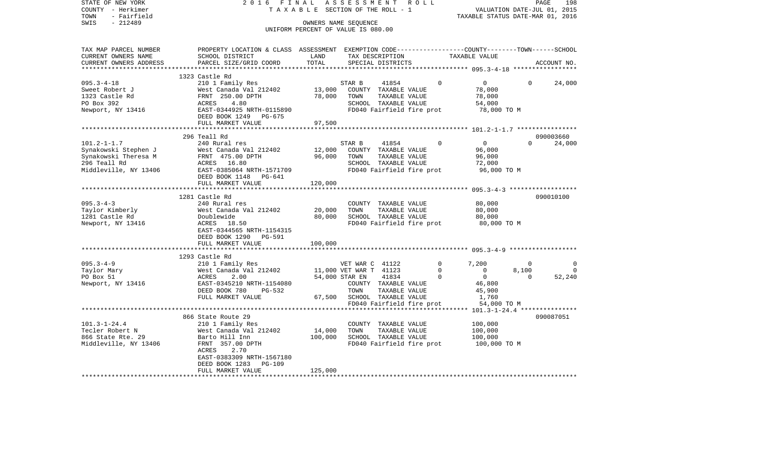| COUNTY - Herkimer<br>- Fairfield<br>TOWN     |                                                                                                 | T A X A B L E SECTION OF THE ROLL - 1 |                             |                      |                           |               | VALUATION DATE-JUL 01, 2015<br>TAXABLE STATUS DATE-MAR 01, 2016 |              |             |  |
|----------------------------------------------|-------------------------------------------------------------------------------------------------|---------------------------------------|-----------------------------|----------------------|---------------------------|---------------|-----------------------------------------------------------------|--------------|-------------|--|
| SWIS<br>$-212489$                            | OWNERS NAME SEOUENCE<br>UNIFORM PERCENT OF VALUE IS 080.00                                      |                                       |                             |                      |                           |               |                                                                 |              |             |  |
|                                              |                                                                                                 |                                       |                             |                      |                           |               |                                                                 |              |             |  |
| TAX MAP PARCEL NUMBER                        | PROPERTY LOCATION & CLASS ASSESSMENT EXEMPTION CODE---------------COUNTY-------TOWN------SCHOOL |                                       |                             |                      |                           |               |                                                                 |              |             |  |
| CURRENT OWNERS NAME                          | SCHOOL DISTRICT                                                                                 | LAND                                  |                             | TAX DESCRIPTION      |                           | TAXABLE VALUE |                                                                 |              |             |  |
| CURRENT OWNERS ADDRESS<br>****************** | PARCEL SIZE/GRID COORD                                                                          | TOTAL                                 |                             | SPECIAL DISTRICTS    |                           |               |                                                                 |              | ACCOUNT NO. |  |
|                                              |                                                                                                 |                                       |                             |                      |                           |               |                                                                 |              |             |  |
| $095.3 - 4 - 18$                             | 1323 Castle Rd<br>210 1 Family Res                                                              |                                       | STAR B                      |                      | 41854                     | $\Omega$      | $\overline{0}$                                                  | $\Omega$     | 24,000      |  |
| Sweet Robert J                               |                                                                                                 | 13,000                                |                             | COUNTY TAXABLE VALUE |                           |               | 78,000                                                          |              |             |  |
| 1323 Castle Rd                               |                                                                                                 | 78,000                                | TOWN                        | TAXABLE VALUE        |                           |               | 78,000                                                          |              |             |  |
| PO Box 392                                   |                                                                                                 |                                       |                             | SCHOOL TAXABLE VALUE |                           |               | 54,000                                                          |              |             |  |
| Newport, NY 13416                            | West Canada Val 212402<br>FRNT 250.00 DPTH<br>ACRES 4.80<br>EAST-0344925 NRTH-0115890           |                                       |                             |                      | FD040 Fairfield fire prot |               | 78,000 TO M                                                     |              |             |  |
|                                              | DEED BOOK 1249 PG-675                                                                           |                                       |                             |                      |                           |               |                                                                 |              |             |  |
|                                              | FULL MARKET VALUE                                                                               | 97,500                                |                             |                      |                           |               |                                                                 |              |             |  |
|                                              |                                                                                                 |                                       |                             |                      |                           |               |                                                                 |              |             |  |
|                                              | 296 Teall Rd                                                                                    |                                       |                             |                      |                           |               |                                                                 |              | 090003660   |  |
| $101.2 - 1 - 1.7$                            | 240 Rural res                                                                                   |                                       | STAR B                      | 41854                |                           | $\Omega$      | $\overline{0}$                                                  | $\Omega$     | 24,000      |  |
| Synakowski Stephen J                         | West Canada Val 212402                                                                          | 12,000                                |                             | COUNTY TAXABLE VALUE |                           |               | 96,000                                                          |              |             |  |
| Synakowski Theresa M                         | FRNT 475.00 DPTH                                                                                | 96,000                                | TOWN                        | TAXABLE VALUE        |                           |               | 96,000                                                          |              |             |  |
| 296 Teall Rd                                 | ACRES 16.80                                                                                     |                                       |                             | SCHOOL TAXABLE VALUE |                           |               | 72,000                                                          |              |             |  |
| Middleville, NY 13406                        | EAST-0385064 NRTH-1571709                                                                       |                                       |                             |                      | FD040 Fairfield fire prot |               | 96,000 TO M                                                     |              |             |  |
|                                              | DEED BOOK 1148 PG-641                                                                           |                                       |                             |                      |                           |               |                                                                 |              |             |  |
|                                              | FULL MARKET VALUE<br>************************                                                   | 120,000                               |                             |                      |                           |               |                                                                 |              |             |  |
|                                              | 1281 Castle Rd                                                                                  |                                       |                             |                      |                           |               |                                                                 |              | 090010100   |  |
| $095.3 - 4 - 3$                              | 240 Rural res                                                                                   |                                       |                             | COUNTY TAXABLE VALUE |                           |               | 80,000                                                          |              |             |  |
| Taylor Kimberly                              | West Canada Val 212402                                                                          | 20,000                                | TOWN                        | TAXABLE VALUE        |                           |               | 80,000                                                          |              |             |  |
| 1281 Castle Rd                               | Doublewide                                                                                      | 80,000                                |                             | SCHOOL TAXABLE VALUE |                           |               | 80,000                                                          |              |             |  |
| Newport, NY 13416                            | ACRES 18.50                                                                                     |                                       |                             |                      | FD040 Fairfield fire prot |               | 80,000 TO M                                                     |              |             |  |
|                                              | EAST-0344565 NRTH-1154315                                                                       |                                       |                             |                      |                           |               |                                                                 |              |             |  |
|                                              | DEED BOOK 1290 PG-591                                                                           |                                       |                             |                      |                           |               |                                                                 |              |             |  |
|                                              | FULL MARKET VALUE                                                                               | 100,000                               |                             |                      |                           |               |                                                                 |              |             |  |
|                                              |                                                                                                 |                                       |                             |                      |                           |               |                                                                 |              |             |  |
|                                              | 1293 Castle Rd                                                                                  |                                       |                             |                      |                           |               |                                                                 |              |             |  |
| $095.3 - 4 - 9$                              | 210 1 Family Res                                                                                |                                       | VET WAR C 41122             |                      |                           | $\mathbf{0}$  | 7,200                                                           | $\mathbf{0}$ | 0           |  |
| Taylor Mary                                  |                                                                                                 |                                       | 11,000 VET WAR T 41123      |                      |                           | $\Omega$      | $\overline{0}$                                                  | 8,100        | $\Omega$    |  |
| PO Box 51                                    | West Canada Val 212402<br>ACRES     2.00<br>EAST-0345210 NRTH-1154080                           |                                       | 54,000 STAR EN              | 41834                |                           | $\Omega$      | $\overline{0}$                                                  | $\Omega$     | 52,240      |  |
| Newport, NY 13416                            |                                                                                                 |                                       |                             |                      | COUNTY TAXABLE VALUE      |               | 46,800                                                          |              |             |  |
|                                              | DEED BOOK 780<br>PG-532                                                                         |                                       | TOWN                        | TAXABLE VALUE        |                           |               | 45,900                                                          |              |             |  |
|                                              | FULL MARKET VALUE                                                                               |                                       | 67,500 SCHOOL TAXABLE VALUE |                      |                           |               | 1,760                                                           |              |             |  |
|                                              |                                                                                                 |                                       |                             |                      | FD040 Fairfield fire prot |               | 54,000 TO M                                                     |              |             |  |
|                                              | 866 State Route 29                                                                              |                                       |                             |                      |                           |               |                                                                 |              | 090087051   |  |
| $101.3 - 1 - 24.4$                           | 210 1 Family Res                                                                                |                                       |                             | COUNTY TAXABLE VALUE |                           |               | 100,000                                                         |              |             |  |
| Tecler Robert N                              | West Canada Val 212402                                                                          | 14,000                                | TOWN                        | TAXABLE VALUE        |                           |               | 100,000                                                         |              |             |  |
| 866 State Rte. 29                            | Barto Hill Inn                                                                                  | 100,000                               |                             | SCHOOL TAXABLE VALUE |                           |               | 100,000                                                         |              |             |  |
| Middleville, NY 13406                        | FRNT 357.00 DPTH                                                                                |                                       |                             |                      | FD040 Fairfield fire prot |               | 100,000 TO M                                                    |              |             |  |
|                                              | ACRES<br>2.70                                                                                   |                                       |                             |                      |                           |               |                                                                 |              |             |  |
|                                              | EAST-0383309 NRTH-1567180                                                                       |                                       |                             |                      |                           |               |                                                                 |              |             |  |
|                                              | DEED BOOK 1283<br>PG-109                                                                        |                                       |                             |                      |                           |               |                                                                 |              |             |  |
|                                              | FULL MARKET VALUE                                                                               | 125,000                               |                             |                      |                           |               |                                                                 |              |             |  |
| *********************                        |                                                                                                 |                                       |                             |                      |                           |               |                                                                 |              |             |  |

PAGE 198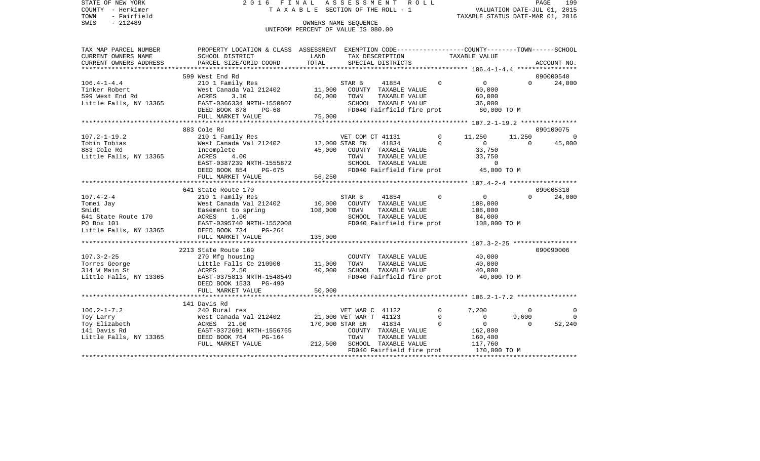| STATE OF NEW YORK<br>COUNTY - Herkimer<br>- Fairfield<br>TOWN<br>$-212489$<br>SWIS | 2016 FINAL ASSESSMENT ROLL<br>TAXABLE SECTION OF THE ROLL - 1<br>UNIFORM PERCENT OF VALUE IS 080.00                                                                                                                                             |                                                                                                                                 | VALUATION DATE-JUL 01, 2015<br>TAXABLE STATUS DATE-MAR 01, 2016 |                                                                           | PAGE<br>199    |                                                                                                              |                   |                    |
|------------------------------------------------------------------------------------|-------------------------------------------------------------------------------------------------------------------------------------------------------------------------------------------------------------------------------------------------|---------------------------------------------------------------------------------------------------------------------------------|-----------------------------------------------------------------|---------------------------------------------------------------------------|----------------|--------------------------------------------------------------------------------------------------------------|-------------------|--------------------|
| TAX MAP PARCEL NUMBER                                                              | PROPERTY LOCATION & CLASS ASSESSMENT EXEMPTION CODE---------------COUNTY-------TOWN-----SCHOOL                                                                                                                                                  |                                                                                                                                 |                                                                 |                                                                           |                |                                                                                                              |                   |                    |
| CURRENT OWNERS NAME<br>CURRENT OWNERS ADDRESS                                      | SCHOOL DISTRICT<br>PARCEL SIZE/GRID COORD                                                                                                                                                                                                       | <b>EXAMPLE SERVICE SERVICE SERVICE SERVICE SERVICE SERVICE SERVICE SERVICE SERVICE SERVICE SERVICE SERVICE SERVICE</b><br>TOTAL |                                                                 | SPECIAL DISTRICTS                                                         |                | TAX DESCRIPTION TAXABLE VALUE                                                                                |                   | ACCOUNT NO.        |
|                                                                                    |                                                                                                                                                                                                                                                 |                                                                                                                                 |                                                                 |                                                                           |                |                                                                                                              |                   |                    |
|                                                                                    | 599 West End Rd                                                                                                                                                                                                                                 |                                                                                                                                 |                                                                 |                                                                           | $\Omega$       |                                                                                                              |                   | 090000540          |
| $106.4 - 1 - 4.4$<br>Tinker Robert<br>599 West End Rd<br>Little Falls, NY 13365    | 210 1 Family Res<br>West Canada Val 212402 11,000 COUNTY TAXABLE VALUE<br>ACRES 3.10<br>EAST-0366334 NRTH-1550807<br>CAST CASE DG-68                                                                                                            |                                                                                                                                 |                                                                 | 41854<br>60,000 TOWN TAXABLE VALUE<br>SCHOOL TAXABLE VALUE                |                | $\overline{0}$<br>60,000<br>60,000<br>SCHOOL TAXABLE VALUE $36,000$<br>FD040 Fairfield fire prot 60,000 TO M | $0 \qquad \qquad$ | 24,000             |
|                                                                                    | FULL MARKET VALUE                                                                                                                                                                                                                               | 75,000                                                                                                                          |                                                                 |                                                                           |                |                                                                                                              |                   |                    |
|                                                                                    |                                                                                                                                                                                                                                                 |                                                                                                                                 |                                                                 |                                                                           |                |                                                                                                              |                   |                    |
|                                                                                    | 883 Cole Rd                                                                                                                                                                                                                                     |                                                                                                                                 |                                                                 |                                                                           |                |                                                                                                              |                   | 090100075          |
| $107.2 - 1 - 19.2$<br>Tobin Tobias                                                 | 210 1 Family Res 6 210 11,250                                                                                                                                                                                                                   |                                                                                                                                 |                                                                 |                                                                           |                |                                                                                                              | $\overline{0}$    | 11,250 0<br>45,000 |
| 883 Cole Rd<br>Little Falls, NY 13365                                              | West Canada Val 212402<br>Mest Canada Val 212402<br>Incomplete 45,000 STAR EN 41834 0 0<br>ACRES 4.00 11,250<br>ACRES 4.00 TOWN TAXABLE VALUE 33,750                                                                                            |                                                                                                                                 |                                                                 |                                                                           |                | TOWN TAXABLE VALUE 33,750<br>SCHOOL TAXABLE VALUE 33,750<br>FD040 Fairfield fire prot 45,000 TO M            |                   |                    |
|                                                                                    |                                                                                                                                                                                                                                                 |                                                                                                                                 |                                                                 |                                                                           |                |                                                                                                              |                   |                    |
|                                                                                    |                                                                                                                                                                                                                                                 |                                                                                                                                 |                                                                 |                                                                           |                |                                                                                                              |                   |                    |
|                                                                                    | 641 State Route 170                                                                                                                                                                                                                             |                                                                                                                                 |                                                                 |                                                                           |                |                                                                                                              |                   | 090005310          |
| $107.4 - 2 - 4$                                                                    | 210 1 Family Res                                                                                                                                                                                                                                |                                                                                                                                 | STAR B                                                          | 41854 0                                                                   |                | $\overline{0}$                                                                                               | $0 \qquad \qquad$ | 24,000             |
| Tomei Jay                                                                          | West Canada Val 212402 10,000 COUNTY TAXABLE VALUE                                                                                                                                                                                              | 108,000 TOWN                                                                                                                    |                                                                 |                                                                           |                | 108,000                                                                                                      |                   |                    |
|                                                                                    | Smidt<br>Smidt<br>641 State Route 170<br>PO Box 101<br>PO Box 101<br>PO Box 101<br>EAST-0395740 NRTH-1552008                                                                                                                                    |                                                                                                                                 |                                                                 | TAXABLE VALUE<br>SCHOOL TAXABLE VALUE                                     |                | 108,000<br>84,000                                                                                            |                   |                    |
|                                                                                    |                                                                                                                                                                                                                                                 |                                                                                                                                 |                                                                 |                                                                           |                | FD040 Fairfield fire prot 108,000 TO M                                                                       |                   |                    |
|                                                                                    | Little Falls, NY 13365 DEED BOOK 734 PG-264<br>FULL MARKET VALUE                                                                                                                                                                                | 135,000                                                                                                                         |                                                                 |                                                                           |                |                                                                                                              |                   |                    |
|                                                                                    |                                                                                                                                                                                                                                                 |                                                                                                                                 |                                                                 |                                                                           |                |                                                                                                              |                   |                    |
| Little Falls, NY 13365                                                             | 2213 State Route 169<br>EAST-0375813 NRTH-1548549<br>DEED BOOK 1533 PG-490                                                                                                                                                                      | 40,000                                                                                                                          |                                                                 | COUNTY TAXABLE VALUE<br>TOWN      TAXABLE VALUE<br>SCHOOL   TAXABLE VALUE |                | 40,000<br>40,000<br>40,000<br>FD040 Fairfield fire prot 40,000 TO M                                          |                   | 090090006          |
|                                                                                    | FULL MARKET VALUE                                                                                                                                                                                                                               | 50,000                                                                                                                          |                                                                 |                                                                           |                |                                                                                                              |                   |                    |
|                                                                                    | 141 Davis Rd                                                                                                                                                                                                                                    |                                                                                                                                 |                                                                 |                                                                           |                |                                                                                                              |                   |                    |
| $106.2 - 1 - 7.2$                                                                  | 240 Rural res                                                                                                                                                                                                                                   |                                                                                                                                 |                                                                 | VET WAR C 41122                                                           | $\overline{0}$ | 7,200                                                                                                        | $\overline{0}$    | $\circ$            |
| Toy Larry                                                                          |                                                                                                                                                                                                                                                 |                                                                                                                                 |                                                                 |                                                                           | $\Omega$       | $\overline{0}$                                                                                               | 9,600             | $\overline{0}$     |
| Toy Elizabeth                                                                      |                                                                                                                                                                                                                                                 |                                                                                                                                 |                                                                 |                                                                           | $\overline{0}$ | $\overline{0}$                                                                                               | $\Omega$          | 52,240             |
| 141 Davis Rd<br>Little Falls, NY 13365                                             | Vest Canada Val 212402 21,000 VET WAR T $41123$<br>Nest Canada Val 212402 21,000 VET WAR T 41123<br>ACRES 21.000 STAR T 41834<br>EAST-0372691 NRTH-1556765 COUNTY TAXABLE VALUI<br>DEED BOOK 764 PG-164 TOWN TAXABLE VALUI<br>FULL MARKET VALUE |                                                                                                                                 |                                                                 | 212,500 SCHOOL TAXABLE VALUE                                              |                | COUNTY TAXABLE VALUE 162,800<br>TOWN TAXABLE VALUE 160,400<br>117,760                                        |                   |                    |
|                                                                                    |                                                                                                                                                                                                                                                 |                                                                                                                                 |                                                                 |                                                                           |                | FD040 Fairfield fire prot 170,000 TO M                                                                       |                   |                    |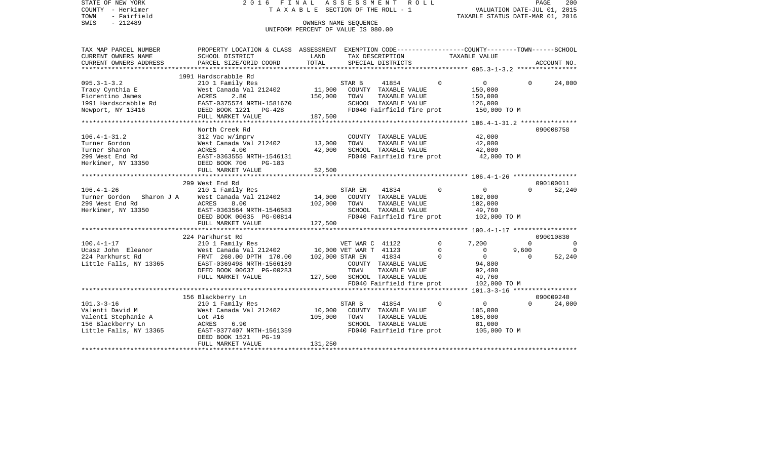| STATE OF NEW YORK<br>COUNTY - Herkimer<br>TOWN<br>- Fairfield<br>$-212489$<br>SWIS | ASSESSMENT<br>2016 FINAL<br>ROLL<br>T A X A B L E SECTION OF THE ROLL - 1<br>OWNERS NAME SEQUENCE                 |                                    |                        |                      |                           |                                               |                                | PAGE<br>200<br>VALUATION DATE-JUL 01, 2015<br>TAXABLE STATUS DATE-MAR 01, 2016 |
|------------------------------------------------------------------------------------|-------------------------------------------------------------------------------------------------------------------|------------------------------------|------------------------|----------------------|---------------------------|-----------------------------------------------|--------------------------------|--------------------------------------------------------------------------------|
|                                                                                    |                                                                                                                   | UNIFORM PERCENT OF VALUE IS 080.00 |                        |                      |                           |                                               |                                |                                                                                |
| TAX MAP PARCEL NUMBER<br>CURRENT OWNERS NAME                                       | PROPERTY LOCATION & CLASS ASSESSMENT EXEMPTION CODE---------------COUNTY-------TOWN-----SCHOOL<br>SCHOOL DISTRICT | LAND                               |                        | TAX DESCRIPTION      |                           | TAXABLE VALUE                                 |                                |                                                                                |
| CURRENT OWNERS ADDRESS                                                             | PARCEL SIZE/GRID COORD                                                                                            | TOTAL                              |                        | SPECIAL DISTRICTS    |                           |                                               |                                | ACCOUNT NO.                                                                    |
|                                                                                    | 1991 Hardscrabble Rd                                                                                              |                                    |                        |                      |                           |                                               |                                |                                                                                |
| $095.3 - 1 - 3.2$                                                                  | 210 1 Family Res                                                                                                  |                                    | STAR B                 | 41854                | $\Omega$                  | $\circ$                                       | $\Omega$                       | 24,000                                                                         |
| Tracy Cynthia E                                                                    | West Canada Val 212402                                                                                            | 11,000                             |                        | COUNTY TAXABLE VALUE |                           | 150,000                                       |                                |                                                                                |
| Fiorentino James                                                                   | ACRES<br>2.80                                                                                                     | 150,000                            | TOWN                   | TAXABLE VALUE        |                           | 150,000                                       |                                |                                                                                |
| 1991 Hardscrabble Rd                                                               | EAST-0375574 NRTH-1581670                                                                                         |                                    |                        | SCHOOL TAXABLE VALUE |                           | 126,000                                       |                                |                                                                                |
| Newport, NY 13416                                                                  | DEED BOOK 1221<br>PG-428                                                                                          |                                    |                        |                      | FD040 Fairfield fire prot | 150,000 TO M                                  |                                |                                                                                |
|                                                                                    | FULL MARKET VALUE                                                                                                 | 187,500                            |                        |                      |                           |                                               |                                |                                                                                |
| ******************                                                                 |                                                                                                                   |                                    |                        |                      |                           |                                               |                                |                                                                                |
|                                                                                    | North Creek Rd                                                                                                    |                                    |                        |                      |                           |                                               |                                | 090008758                                                                      |
| $106.4 - 1 - 31.2$                                                                 | 312 Vac w/imprv                                                                                                   |                                    |                        | COUNTY TAXABLE VALUE |                           | 42,000                                        |                                |                                                                                |
| Turner Gordon                                                                      | West Canada Val 212402                                                                                            | 13,000                             | TOWN                   | TAXABLE VALUE        |                           | 42,000                                        |                                |                                                                                |
| Turner Sharon                                                                      | ACRES<br>4.00                                                                                                     | 42,000                             |                        | SCHOOL TAXABLE VALUE |                           | 42,000                                        |                                |                                                                                |
| 299 West End Rd                                                                    | EAST-0363555 NRTH-1546131                                                                                         |                                    |                        |                      | FD040 Fairfield fire prot | 42,000 TO M                                   |                                |                                                                                |
| Herkimer, NY 13350                                                                 | DEED BOOK 706<br>$PG-183$                                                                                         |                                    |                        |                      |                           |                                               |                                |                                                                                |
|                                                                                    | FULL MARKET VALUE                                                                                                 | 52,500<br>*********                |                        |                      |                           | *************** 106.4-1-26 ****************** |                                |                                                                                |
|                                                                                    | 299 West End Rd                                                                                                   |                                    |                        |                      |                           |                                               |                                | 090100011                                                                      |
| $106.4 - 1 - 26$                                                                   | 210 1 Family Res                                                                                                  |                                    | STAR EN                | 41834                | $\Omega$                  | $\circ$                                       | $\Omega$                       | 52,240                                                                         |
| Turner Gordon<br>Sharon J A                                                        | West Canada Val 212402                                                                                            | 14,000                             |                        | COUNTY TAXABLE VALUE |                           | 102,000                                       |                                |                                                                                |
| 299 West End Rd                                                                    | ACRES<br>8.00                                                                                                     | 102,000                            | TOWN                   | TAXABLE VALUE        |                           | 102,000                                       |                                |                                                                                |
| Herkimer, NY 13350                                                                 | EAST-0363564 NRTH-1546583                                                                                         |                                    |                        | SCHOOL TAXABLE VALUE |                           | 49,760                                        |                                |                                                                                |
|                                                                                    | DEED BOOK 00635 PG-00814                                                                                          |                                    |                        |                      | FD040 Fairfield fire prot | 102,000 TO M                                  |                                |                                                                                |
|                                                                                    | FULL MARKET VALUE                                                                                                 | 127,500                            |                        |                      |                           |                                               |                                |                                                                                |
|                                                                                    |                                                                                                                   |                                    |                        |                      |                           |                                               |                                |                                                                                |
|                                                                                    | 224 Parkhurst Rd                                                                                                  |                                    |                        |                      |                           |                                               |                                | 090010830                                                                      |
| $100.4 - 1 - 17$                                                                   | 210 1 Family Res                                                                                                  |                                    | VET WAR C 41122        |                      | $\Omega$                  | 7,200                                         | $\Omega$                       | $\Omega$                                                                       |
| Ucasz John Eleanor                                                                 | West Canada Val 212402                                                                                            |                                    | 10,000 VET WAR T 41123 |                      | $\Omega$                  | $\mathbf 0$                                   | 9,600                          | $\Omega$                                                                       |
| 224 Parkhurst Rd                                                                   | FRNT 260.00 DPTH 170.00                                                                                           |                                    | 102,000 STAR EN        | 41834                | $\Omega$                  | $\overline{0}$                                | $\Omega$                       | 52,240                                                                         |
| Little Falls, NY 13365                                                             | EAST-0369498 NRTH-1566189                                                                                         |                                    |                        | COUNTY TAXABLE VALUE |                           | 94,800                                        |                                |                                                                                |
|                                                                                    | DEED BOOK 00637 PG-00283                                                                                          |                                    | TOWN                   | TAXABLE VALUE        |                           | 92,400                                        |                                |                                                                                |
|                                                                                    | FULL MARKET VALUE                                                                                                 | 127,500                            |                        | SCHOOL TAXABLE VALUE |                           | 49,760                                        |                                |                                                                                |
|                                                                                    |                                                                                                                   |                                    |                        |                      | FD040 Fairfield fire prot | 102,000 TO M                                  |                                |                                                                                |
|                                                                                    | ********************                                                                                              |                                    |                        |                      |                           |                                               | $101.3 - 3 - 16$ ************* |                                                                                |
|                                                                                    | 156 Blackberry Ln                                                                                                 |                                    |                        |                      |                           |                                               |                                | 090009240                                                                      |
| $101.3 - 3 - 16$                                                                   | 210 1 Family Res                                                                                                  |                                    | STAR B                 | 41854                | $\mathbf 0$               | $\overline{0}$                                | $\Omega$                       | 24,000                                                                         |
| Valenti David M                                                                    | West Canada Val 212402                                                                                            | 10,000                             |                        | COUNTY TAXABLE VALUE |                           | 105,000                                       |                                |                                                                                |
| Valenti Stephanie A                                                                | Lot $#16$                                                                                                         | 105,000                            | TOWN                   | TAXABLE VALUE        |                           | 105,000                                       |                                |                                                                                |
| 156 Blackberry Ln                                                                  | ACRES<br>6.90                                                                                                     |                                    |                        | SCHOOL TAXABLE VALUE |                           | 81,000                                        |                                |                                                                                |
| Little Falls, NY 13365                                                             | EAST-0377407 NRTH-1561359<br>DEED BOOK 1521<br>PG-19                                                              |                                    |                        |                      | FD040 Fairfield fire prot | 105,000 TO M                                  |                                |                                                                                |
|                                                                                    | FULL MARKET VALUE                                                                                                 | 131,250                            |                        |                      |                           |                                               |                                |                                                                                |
|                                                                                    |                                                                                                                   |                                    |                        |                      |                           |                                               |                                |                                                                                |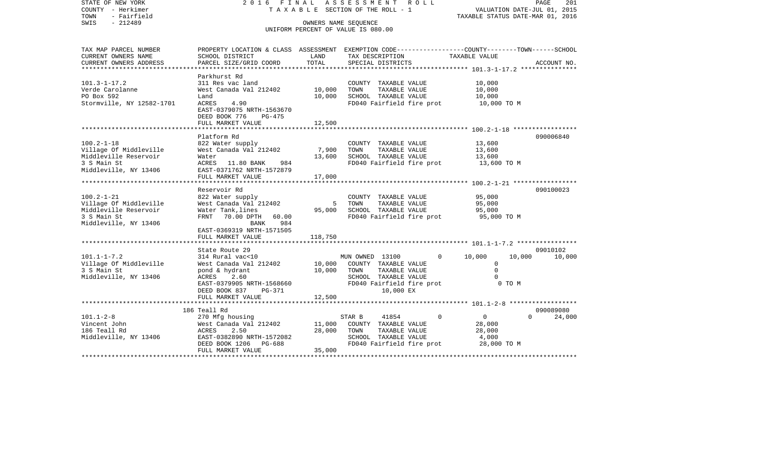| STATE OF NEW YORK<br>COUNTY - Herkimer<br>- Fairfield<br>TOWN | 2016 FINAL                                                                                     | TAXABLE SECTION OF THE ROLL - 1    | ASSESSMENT      |                                       | R O L L                   | TAXABLE STATUS DATE-MAR 01, 2016 | VALUATION DATE-JUL 01, 2015 | PAGE<br>201 |
|---------------------------------------------------------------|------------------------------------------------------------------------------------------------|------------------------------------|-----------------|---------------------------------------|---------------------------|----------------------------------|-----------------------------|-------------|
| SWIS<br>$-212489$                                             |                                                                                                | OWNERS NAME SEQUENCE               |                 |                                       |                           |                                  |                             |             |
|                                                               |                                                                                                | UNIFORM PERCENT OF VALUE IS 080.00 |                 |                                       |                           |                                  |                             |             |
|                                                               |                                                                                                |                                    |                 |                                       |                           |                                  |                             |             |
| TAX MAP PARCEL NUMBER                                         | PROPERTY LOCATION & CLASS ASSESSMENT EXEMPTION CODE---------------COUNTY-------TOWN-----SCHOOL |                                    |                 |                                       |                           |                                  |                             |             |
| CURRENT OWNERS NAME                                           | SCHOOL DISTRICT                                                                                | LAND                               |                 | TAX DESCRIPTION                       |                           | TAXABLE VALUE                    |                             |             |
| CURRENT OWNERS ADDRESS                                        | PARCEL SIZE/GRID COORD                                                                         | TOTAL                              |                 | SPECIAL DISTRICTS                     |                           |                                  |                             | ACCOUNT NO. |
|                                                               | Parkhurst Rd                                                                                   |                                    |                 |                                       |                           |                                  |                             |             |
| $101.3 - 1 - 17.2$                                            | 311 Res vac land                                                                               |                                    |                 | COUNTY TAXABLE VALUE                  |                           | 10,000                           |                             |             |
| Verde Carolanne                                               | West Canada Val 212402                                                                         | 10,000                             | TOWN            | TAXABLE VALUE                         |                           | 10,000                           |                             |             |
| PO Box 592                                                    | Land                                                                                           | 10,000                             |                 | SCHOOL TAXABLE VALUE                  |                           | 10,000                           |                             |             |
| Stormville, NY 12582-1701                                     | ACRES<br>4.90                                                                                  |                                    |                 |                                       | FD040 Fairfield fire prot | 10,000 TO M                      |                             |             |
|                                                               | EAST-0379075 NRTH-1563670                                                                      |                                    |                 |                                       |                           |                                  |                             |             |
|                                                               | DEED BOOK 776<br>$PG-475$                                                                      |                                    |                 |                                       |                           |                                  |                             |             |
|                                                               | FULL MARKET VALUE                                                                              | 12,500                             |                 |                                       |                           |                                  |                             |             |
|                                                               | Platform Rd                                                                                    |                                    |                 |                                       |                           |                                  |                             | 090006840   |
| $100.2 - 1 - 18$                                              | 822 Water supply                                                                               |                                    |                 | COUNTY TAXABLE VALUE                  |                           | 13,600                           |                             |             |
| Village Of Middleville                                        | West Canada Val 212402                                                                         | 7,900                              | TOWN            | TAXABLE VALUE                         |                           | 13,600                           |                             |             |
| Middleville Reservoir                                         | Water                                                                                          | 13,600                             |                 | SCHOOL TAXABLE VALUE                  |                           | 13,600                           |                             |             |
| 3 S Main St                                                   | ACRES 11.80 BANK<br>984                                                                        |                                    |                 |                                       | FD040 Fairfield fire prot | 13,600 TO M                      |                             |             |
| Middleville, NY 13406                                         | EAST-0371762 NRTH-1572879                                                                      |                                    |                 |                                       |                           |                                  |                             |             |
|                                                               | FULL MARKET VALUE                                                                              | 17,000                             |                 |                                       |                           |                                  |                             |             |
|                                                               |                                                                                                |                                    |                 |                                       |                           |                                  |                             |             |
| $100.2 - 1 - 21$                                              | Reservoir Rd<br>822 Water supply                                                               |                                    |                 | COUNTY TAXABLE VALUE                  |                           | 95,000                           |                             | 090100023   |
| Village Of Middleville                                        | West Canada Val 212402                                                                         | - 5                                | TOWN            | TAXABLE VALUE                         |                           | 95,000                           |                             |             |
| Middleville Reservoir                                         | Water Tank, lines                                                                              | 95,000                             |                 | SCHOOL TAXABLE VALUE                  |                           | 95,000                           |                             |             |
| 3 S Main St                                                   | FRNT 70.00 DPTH<br>60.00                                                                       |                                    |                 |                                       | FD040 Fairfield fire prot | 95,000 TO M                      |                             |             |
| Middleville, NY 13406                                         | 984<br>BANK                                                                                    |                                    |                 |                                       |                           |                                  |                             |             |
|                                                               | EAST-0369319 NRTH-1571505                                                                      |                                    |                 |                                       |                           |                                  |                             |             |
|                                                               | FULL MARKET VALUE                                                                              | 118,750                            |                 |                                       |                           |                                  |                             |             |
|                                                               |                                                                                                |                                    |                 |                                       |                           |                                  |                             |             |
|                                                               | State Route 29                                                                                 |                                    |                 |                                       |                           |                                  |                             | 09010102    |
| $101.1 - 1 - 7.2$<br>Village Of Middleville                   | 314 Rural vac<10<br>West Canada Val 212402                                                     | 10,000                             | MUN OWNED 13100 | COUNTY TAXABLE VALUE                  | $\Omega$                  | 10,000<br>$\mathbf 0$            | 10,000                      | 10,000      |
| 3 S Main St                                                   | pond & hydrant                                                                                 | 10,000                             | TOWN            | TAXABLE VALUE                         |                           | $\Omega$                         |                             |             |
| Middleville, NY 13406                                         | ACRES<br>2.60                                                                                  |                                    |                 | SCHOOL TAXABLE VALUE                  |                           | $\Omega$                         |                             |             |
|                                                               | EAST-0379905 NRTH-1568660                                                                      |                                    |                 |                                       | FD040 Fairfield fire prot |                                  | 0 TO M                      |             |
|                                                               | DEED BOOK 837<br>PG-371                                                                        |                                    |                 | 10,000 EX                             |                           |                                  |                             |             |
|                                                               | FULL MARKET VALUE                                                                              | 12,500                             |                 |                                       |                           |                                  |                             |             |
|                                                               |                                                                                                |                                    |                 |                                       |                           |                                  |                             |             |
|                                                               | 186 Teall Rd                                                                                   |                                    |                 |                                       |                           |                                  |                             | 090089080   |
| $101.1 - 2 - 8$                                               | 270 Mfg housing                                                                                |                                    | STAR B          | 41854                                 | 0                         | $\overline{0}$                   | $\Omega$                    | 24,000      |
| Vincent John<br>186 Teall Rd                                  | West Canada Val 212402<br>2.50<br>ACRES                                                        | 11,000<br>28,000                   | TOWN            | COUNTY TAXABLE VALUE<br>TAXABLE VALUE |                           | 28,000                           |                             |             |
| Middleville, NY 13406                                         | EAST-0382890 NRTH-1572082                                                                      |                                    |                 | SCHOOL TAXABLE VALUE                  |                           | 28,000<br>4,000                  |                             |             |
|                                                               | DEED BOOK 1206 PG-688                                                                          |                                    |                 |                                       | FD040 Fairfield fire prot | 28,000 TO M                      |                             |             |
|                                                               | FULL MARKET VALUE                                                                              | 35,000                             |                 |                                       |                           |                                  |                             |             |
|                                                               |                                                                                                |                                    |                 |                                       |                           |                                  |                             |             |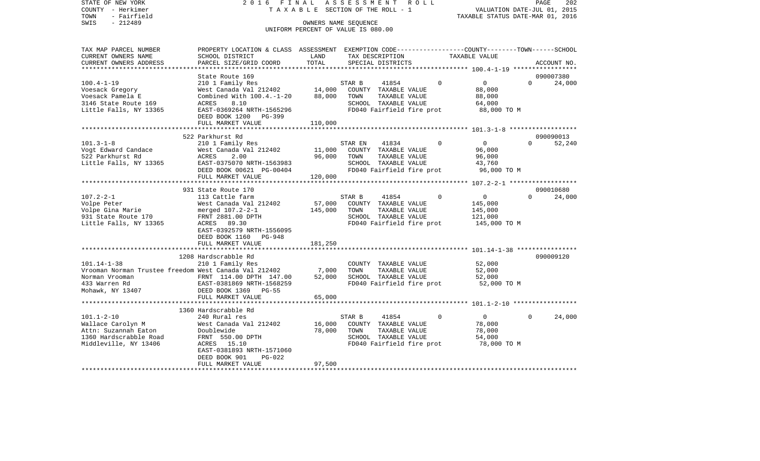STATE OF NEW YORK 2 0 1 6 F I N A L A S S E S S M E N T R O L L PAGE 202COUNTY - Herkimer **T A X A B L E** SECTION OF THE ROLL - 1 VALUATION DATE-JUL 01, 2015 TOWN - Fairfield TAXABLE STATUS DATE-MAR 01, 2016 SWIS - 212489 OWNERS NAME SEQUENCE UNIFORM PERCENT OF VALUE IS 080.00TAX MAP PARCEL NUMBER PROPERTY LOCATION & CLASS ASSESSMENT EXEMPTION CODE------------------COUNTY--------TOWN------SCHOOL CURRENT OWNERS NAME SCHOOL DISTRICT LAND TAX DESCRIPTION TAXABLE VALUECURRENT OWNERS ADDRESS PARCEL SIZE/GRID COORD TOTAL SPECIAL DISTRICTS ACCOUNT NO. \*\*\*\*\*\*\*\*\*\*\*\*\*\*\*\*\*\*\*\*\*\*\*\*\*\*\*\*\*\*\*\*\*\*\*\*\*\*\*\*\*\*\*\*\*\*\*\*\*\*\*\*\*\*\*\*\*\*\*\*\*\*\*\*\*\*\*\*\*\*\*\*\*\*\*\*\*\*\*\*\*\*\*\*\*\*\*\*\*\*\*\*\*\*\*\*\*\*\*\*\*\*\* 100.4-1-19 \*\*\*\*\*\*\*\*\*\*\*\*\*\*\*\*\*State Route 169 090007380  $24.000$ 100.4-1-19 210 1 Family Res STAR B 41854 0 0 Voesack Gregory West Canada Val 212402 14,000 COUNTY TAXABLE VALUE 88,000 Voesack Pamela E Combined With 100.4.-1-20 88,000 TOWN TAXABLE VALUE 88,000 3146 State Route 169 ACRES 8.10 SCHOOL TAXABLE VALUE 64,000 Little Falls, NY 13365 EAST-0369264 NRTH-1565296 FD040 Fairfield fire prot 88,000 TO M DEED BOOK 1200 PG-399FULL MARKET VALUE 110,000 \*\*\*\*\*\*\*\*\*\*\*\*\*\*\*\*\*\*\*\*\*\*\*\*\*\*\*\*\*\*\*\*\*\*\*\*\*\*\*\*\*\*\*\*\*\*\*\*\*\*\*\*\*\*\*\*\*\*\*\*\*\*\*\*\*\*\*\*\*\*\*\*\*\*\*\*\*\*\*\*\*\*\*\*\*\*\*\*\*\*\*\*\*\*\*\*\*\*\*\*\*\*\* 101.3-1-8 \*\*\*\*\*\*\*\*\*\*\*\*\*\*\*\*\*\* 522 Parkhurst Rd 09009001352.240 101.3-1-8 210 1 Family Res STAR EN 41834 0 0 0 0 Vogt Edward Candace West Canada Val 212402 11,000 COUNTY TAXABLE VALUE 96,000 522 Parkhurst Rd ACRES 2.00 96,000 TOWN TAXABLE VALUE 96,000 Little Falls, NY 13365 EAST-0375070 NRTH-1563983 SCHOOL TAXABLE VALUE 43,760 DEED BOOK 00621 PG-00404 FD040 Fairfield fire prot 96,000 TO M FULL MARKET VALUE 120,000 \*\*\*\*\*\*\*\*\*\*\*\*\*\*\*\*\*\*\*\*\*\*\*\*\*\*\*\*\*\*\*\*\*\*\*\*\*\*\*\*\*\*\*\*\*\*\*\*\*\*\*\*\*\*\*\*\*\*\*\*\*\*\*\*\*\*\*\*\*\*\*\*\*\*\*\*\*\*\*\*\*\*\*\*\*\*\*\*\*\*\*\*\*\*\*\*\*\*\*\*\*\*\* 107.2-2-1 \*\*\*\*\*\*\*\*\*\*\*\*\*\*\*\*\*\*931 State Route 170 090010680 107.2-2-1 113 Cattle farm STAR B 41854 0 0 0 24,000 Volpe Peter West Canada Val 212402 57,000 COUNTY TAXABLE VALUE 145,000 Volpe Gina Marie merged 107.2-2-1 145,000 TOWN TAXABLE VALUE 145,000 931 State Route 170 FRNT 2881.00 DPTH SCHOOL TAXABLE VALUE 121,000 Little Falls, NY 13365 ACRES 89.30 ACRES FD040 Fairfield fire prot 145,000 TO M EAST-0392579 NRTH-1556095 DEED BOOK 1160 PG-948FULL MARKET VALUE 181,250 \*\*\*\*\*\*\*\*\*\*\*\*\*\*\*\*\*\*\*\*\*\*\*\*\*\*\*\*\*\*\*\*\*\*\*\*\*\*\*\*\*\*\*\*\*\*\*\*\*\*\*\*\*\*\*\*\*\*\*\*\*\*\*\*\*\*\*\*\*\*\*\*\*\*\*\*\*\*\*\*\*\*\*\*\*\*\*\*\*\*\*\*\*\*\*\*\*\*\*\*\*\*\* 101.14-1-38 \*\*\*\*\*\*\*\*\*\*\*\*\*\*\*\* 1208 Hardscrabble Rd 090009120101.14-1-38 210 1 Family Res COUNTY TAXABLE VALUE 52,000 Vrooman Norman Trustee freedom West Canada Val 212402 7,000 TOWN TAXABLE VALUE 52,000 Norman Vrooman FRNT 114.00 DPTH 147.00 52,000 SCHOOL TAXABLE VALUE 52,000 433 Warren Rd EAST-0381869 NRTH-1568259 FD040 Fairfield fire prot 52,000 TO M Mohawk, NY 13407 DEED BOOK 1369 PG-55 FULL MARKET VALUE 65,000 \*\*\*\*\*\*\*\*\*\*\*\*\*\*\*\*\*\*\*\*\*\*\*\*\*\*\*\*\*\*\*\*\*\*\*\*\*\*\*\*\*\*\*\*\*\*\*\*\*\*\*\*\*\*\*\*\*\*\*\*\*\*\*\*\*\*\*\*\*\*\*\*\*\*\*\*\*\*\*\*\*\*\*\*\*\*\*\*\*\*\*\*\*\*\*\*\*\*\*\*\*\*\* 101.1-2-10 \*\*\*\*\*\*\*\*\*\*\*\*\*\*\*\*\* 1360 Hardscrabble Rd101.1-2-10 240 Rural res STAR B 41854 0 0 0 24,000 Wallace Carolyn M West Canada Val 212402 16,000 COUNTY TAXABLE VALUE 78,000 Attn: Suzannah Eaton Doublewide 78,000 TOWN TAXABLE VALUE 78,000 1360 Hardscrabble Road FRNT 550.00 DPTH SCHOOL TAXABLE VALUE 54,000 Middleville, NY 13406 ACRES 15.10 FD040 Fairfield fire prot 78,000 TO M EAST-0381893 NRTH-1571060 DEED BOOK 901 PG-022FULL MARKET VALUE 97,500 \*\*\*\*\*\*\*\*\*\*\*\*\*\*\*\*\*\*\*\*\*\*\*\*\*\*\*\*\*\*\*\*\*\*\*\*\*\*\*\*\*\*\*\*\*\*\*\*\*\*\*\*\*\*\*\*\*\*\*\*\*\*\*\*\*\*\*\*\*\*\*\*\*\*\*\*\*\*\*\*\*\*\*\*\*\*\*\*\*\*\*\*\*\*\*\*\*\*\*\*\*\*\*\*\*\*\*\*\*\*\*\*\*\*\*\*\*\*\*\*\*\*\*\*\*\*\*\*\*\*\*\*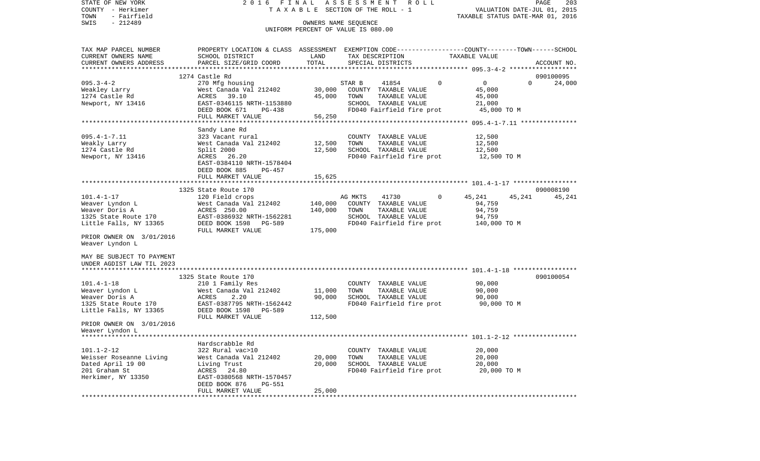| COUNTY - Herkimer                                      |                                 |         | T A X A B L E SECTION OF THE ROLL - 1                                                           | VALUATION DATE-JUL 01, 2015      |             |
|--------------------------------------------------------|---------------------------------|---------|-------------------------------------------------------------------------------------------------|----------------------------------|-------------|
| TOWN<br>- Fairfield                                    |                                 |         |                                                                                                 | TAXABLE STATUS DATE-MAR 01, 2016 |             |
| SWIS<br>$-212489$                                      |                                 |         | OWNERS NAME SEQUENCE                                                                            |                                  |             |
|                                                        |                                 |         | UNIFORM PERCENT OF VALUE IS 080.00                                                              |                                  |             |
|                                                        |                                 |         |                                                                                                 |                                  |             |
| TAX MAP PARCEL NUMBER                                  |                                 |         | PROPERTY LOCATION & CLASS ASSESSMENT EXEMPTION CODE---------------COUNTY-------TOWN------SCHOOL |                                  |             |
| CURRENT OWNERS NAME                                    | SCHOOL DISTRICT                 | LAND    | TAX DESCRIPTION                                                                                 | TAXABLE VALUE                    |             |
| CURRENT OWNERS ADDRESS                                 | PARCEL SIZE/GRID COORD          | TOTAL   | SPECIAL DISTRICTS                                                                               |                                  | ACCOUNT NO. |
|                                                        |                                 |         |                                                                                                 |                                  |             |
|                                                        | 1274 Castle Rd                  |         |                                                                                                 |                                  | 090100095   |
| $095.3 - 4 - 2$                                        | 270 Mfg housing                 |         | STAR B<br>41854<br>$\Omega$                                                                     | $\mathbf 0$<br>$\Omega$          | 24,000      |
| Weakley Larry                                          | West Canada Val 212402          | 30,000  | COUNTY TAXABLE VALUE                                                                            | 45,000                           |             |
| 1274 Castle Rd                                         | ACRES 39.10                     | 45,000  | TOWN<br>TAXABLE VALUE                                                                           | 45,000                           |             |
| Newport, NY 13416                                      | EAST-0346115 NRTH-1153880       |         | SCHOOL TAXABLE VALUE                                                                            | 21,000                           |             |
|                                                        | DEED BOOK 671<br>PG-438         |         | FD040 Fairfield fire prot                                                                       | 45,000 TO M                      |             |
|                                                        | FULL MARKET VALUE               | 56,250  |                                                                                                 |                                  |             |
|                                                        |                                 |         |                                                                                                 |                                  |             |
|                                                        | Sandy Lane Rd                   |         |                                                                                                 |                                  |             |
| $095.4 - 1 - 7.11$                                     | 323 Vacant rural                |         | COUNTY TAXABLE VALUE                                                                            | 12,500                           |             |
| Weakly Larry                                           | West Canada Val 212402          | 12,500  | TOWN<br>TAXABLE VALUE                                                                           | 12,500                           |             |
| 1274 Castle Rd                                         | Split 2000                      | 12,500  | SCHOOL TAXABLE VALUE                                                                            | 12,500                           |             |
| Newport, NY 13416                                      | 26.20<br>ACRES                  |         | FD040 Fairfield fire prot                                                                       | 12,500 TO M                      |             |
|                                                        | EAST-0384110 NRTH-1578404       |         |                                                                                                 |                                  |             |
|                                                        | DEED BOOK 885<br>$PG-457$       |         |                                                                                                 |                                  |             |
|                                                        | FULL MARKET VALUE               | 15,625  |                                                                                                 |                                  |             |
|                                                        |                                 |         |                                                                                                 |                                  |             |
|                                                        | 1325 State Route 170            |         |                                                                                                 |                                  | 090008190   |
| $101.4 - 1 - 17$                                       | 120 Field crops                 |         | AG MKTS<br>41730<br>$\Omega$                                                                    | 45,241<br>45,241                 | 45,241      |
| Weaver Lyndon L                                        | West Canada Val 212402          | 140,000 | COUNTY TAXABLE VALUE                                                                            | 94,759                           |             |
| Weaver Doris A                                         | ACRES 250.00                    | 140,000 | TAXABLE VALUE<br>TOWN                                                                           | 94,759                           |             |
| 1325 State Route 170                                   | EAST-0386932 NRTH-1562281       |         | SCHOOL TAXABLE VALUE                                                                            | 94,759                           |             |
| Little Falls, NY 13365                                 | DEED BOOK 1598<br>PG-589        |         | FD040 Fairfield fire prot                                                                       | 140,000 TO M                     |             |
|                                                        | FULL MARKET VALUE               | 175,000 |                                                                                                 |                                  |             |
| PRIOR OWNER ON 3/01/2016                               |                                 |         |                                                                                                 |                                  |             |
| Weaver Lyndon L                                        |                                 |         |                                                                                                 |                                  |             |
|                                                        |                                 |         |                                                                                                 |                                  |             |
| MAY BE SUBJECT TO PAYMENT<br>UNDER AGDIST LAW TIL 2023 |                                 |         |                                                                                                 |                                  |             |
|                                                        |                                 |         |                                                                                                 |                                  |             |
|                                                        | 1325 State Route 170            |         |                                                                                                 |                                  | 090100054   |
| $101.4 - 1 - 18$                                       | 210 1 Family Res                |         | COUNTY TAXABLE VALUE                                                                            | 90,000                           |             |
| Weaver Lyndon L                                        | West Canada Val 212402          | 11,000  | TAXABLE VALUE<br>TOWN                                                                           | 90,000                           |             |
| Weaver Doris A                                         | ACRES<br>2.20                   | 90,000  | SCHOOL TAXABLE VALUE                                                                            | 90,000                           |             |
| 1325 State Route 170                                   | EAST-0387795 NRTH-1562442       |         | FD040 Fairfield fire prot                                                                       | 90,000 TO M                      |             |
| Little Falls, NY 13365                                 | DEED BOOK 1598<br><b>PG-589</b> |         |                                                                                                 |                                  |             |
|                                                        | FULL MARKET VALUE               | 112,500 |                                                                                                 |                                  |             |
| PRIOR OWNER ON 3/01/2016                               |                                 |         |                                                                                                 |                                  |             |
| Weaver Lyndon L                                        |                                 |         |                                                                                                 |                                  |             |
|                                                        |                                 |         |                                                                                                 |                                  |             |
|                                                        | Hardscrabble Rd                 |         |                                                                                                 |                                  |             |
| $101.1 - 2 - 12$                                       | 322 Rural vac>10                |         | COUNTY TAXABLE VALUE                                                                            | 20,000                           |             |
| Weisser Roseanne Living                                | West Canada Val 212402          | 20,000  | TOWN<br>TAXABLE VALUE                                                                           | 20,000                           |             |
| Dated April 19 00                                      | Living Trust                    | 20,000  | SCHOOL TAXABLE VALUE                                                                            | 20,000                           |             |
| 201 Graham St                                          | ACRES<br>24.80                  |         | FD040 Fairfield fire prot                                                                       | 20,000 TO M                      |             |
| Herkimer, NY 13350                                     | EAST-0380568 NRTH-1570457       |         |                                                                                                 |                                  |             |
|                                                        | DEED BOOK 876<br><b>PG-551</b>  |         |                                                                                                 |                                  |             |
|                                                        | FULL MARKET VALUE               | 25,000  |                                                                                                 |                                  |             |
|                                                        |                                 |         |                                                                                                 |                                  |             |

PAGE 203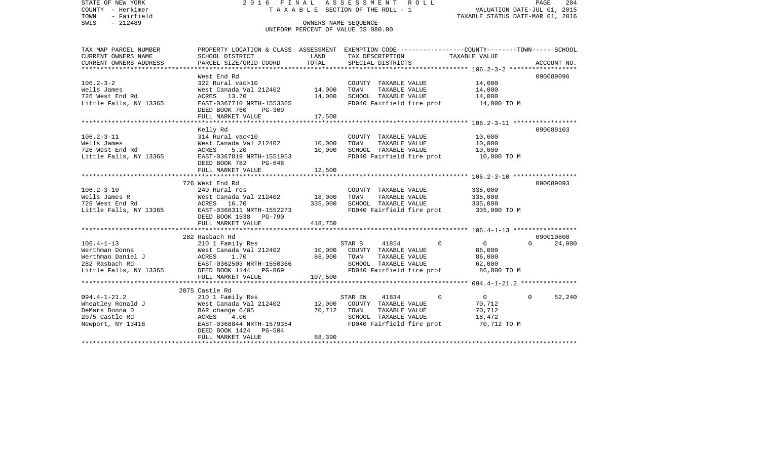STATE OF NEW YORK 2 0 1 6 F I N A L A S S E S S M E N T R O L L PAGE 204VALUATION DATE-JUL 01, 2015 COUNTY - Herkimer T A X A B L E SECTION OF THE ROLL - 1 TOWN - Fairfield TAXABLE STATUS DATE-MAR 01, 2016 SWIS - 212489 OWNERS NAME SEQUENCE UNIFORM PERCENT OF VALUE IS 080.00TAX MAP PARCEL NUMBER PROPERTY LOCATION & CLASS ASSESSMENT EXEMPTION CODE------------------COUNTY--------TOWN------SCHOOL CURRENT OWNERS NAME SCHOOL DISTRICT LAND TAX DESCRIPTION TAXABLE VALUECURRENT OWNERS ADDRESS PARCEL SIZE/GRID COORD TOTAL SPECIAL DISTRICTS ACCOUNT NO. \*\*\*\*\*\*\*\*\*\*\*\*\*\*\*\*\*\*\*\*\*\*\*\*\*\*\*\*\*\*\*\*\*\*\*\*\*\*\*\*\*\*\*\*\*\*\*\*\*\*\*\*\*\*\*\*\*\*\*\*\*\*\*\*\*\*\*\*\*\*\*\*\*\*\*\*\*\*\*\*\*\*\*\*\*\*\*\*\*\*\*\*\*\*\*\*\*\*\*\*\*\*\* 106.2-3-2 \*\*\*\*\*\*\*\*\*\*\*\*\*\*\*\*\*\*West End Rd 090089096 106.2-3-2 322 Rural vac>10 COUNTY TAXABLE VALUE 14,000 Wells James West Canada Val 212402 14,000 TOWN TAXABLE VALUE 14,000 726 West End Rd ACRES 13.70 14,000 SCHOOL TAXABLE VALUE 14,000 Little Falls, NY 13365 EAST-0367710 NRTH-1553365 FD040 Fairfield fire prot 14,000 TO M DEED BOOK 760 PG-309FULL MARKET VALUE 17,500 \*\*\*\*\*\*\*\*\*\*\*\*\*\*\*\*\*\*\*\*\*\*\*\*\*\*\*\*\*\*\*\*\*\*\*\*\*\*\*\*\*\*\*\*\*\*\*\*\*\*\*\*\*\*\*\*\*\*\*\*\*\*\*\*\*\*\*\*\*\*\*\*\*\*\*\*\*\*\*\*\*\*\*\*\*\*\*\*\*\*\*\*\*\*\*\*\*\*\*\*\*\*\* 106.2-3-11 \*\*\*\*\*\*\*\*\*\*\*\*\*\*\*\*\* Kelly Rd 090089103 106.2-3-11 314 Rural vac<10 COUNTY TAXABLE VALUE 10,000 Wells James West Canada Val 212402 10,000 TOWN TAXABLE VALUE 10,000 726 West End Rd ACRES 5.20 10,000 SCHOOL TAXABLE VALUE 10,000 Little Falls, NY 13365 EAST-0367819 NRTH-1551953 FD040 Fairfield fire prot 10,000 TO M DEED BOOK 782 PG-648FULL MARKET VALUE 12,500 \*\*\*\*\*\*\*\*\*\*\*\*\*\*\*\*\*\*\*\*\*\*\*\*\*\*\*\*\*\*\*\*\*\*\*\*\*\*\*\*\*\*\*\*\*\*\*\*\*\*\*\*\*\*\*\*\*\*\*\*\*\*\*\*\*\*\*\*\*\*\*\*\*\*\*\*\*\*\*\*\*\*\*\*\*\*\*\*\*\*\*\*\*\*\*\*\*\*\*\*\*\*\* 106.2-3-10 \*\*\*\*\*\*\*\*\*\*\*\*\*\*\*\*\* 726 West End Rd 090089093106.2-3-10 240 Rural res COUNTY TAXABLE VALUE 335,000 Wells James R West Canada Val 212402 18,000 TOWN TAXABLE VALUE 335,000 726 West End Rd ACRES 16.70 335,000 SCHOOL TAXABLE VALUE 335,000 Little Falls, NY 13365 EAST-0368311 NRTH-1552273 FD040 Fairfield fire prot 335,000 TO M DEED BOOK 1538 PG-790FULL MARKET VALUE 418,750 \*\*\*\*\*\*\*\*\*\*\*\*\*\*\*\*\*\*\*\*\*\*\*\*\*\*\*\*\*\*\*\*\*\*\*\*\*\*\*\*\*\*\*\*\*\*\*\*\*\*\*\*\*\*\*\*\*\*\*\*\*\*\*\*\*\*\*\*\*\*\*\*\*\*\*\*\*\*\*\*\*\*\*\*\*\*\*\*\*\*\*\*\*\*\*\*\*\*\*\*\*\*\* 106.4-1-13 \*\*\*\*\*\*\*\*\*\*\*\*\*\*\*\*\* 282 Rasbach Rd 090010800106.4-1-13 210 1 Family Res STAR B 41854 0 0 0 24,000 Werthman Donna West Canada Val 212402 10,000 COUNTY TAXABLE VALUE 86,000 Werthman Daniel J ACRES 1.70 86,000 TOWN TAXABLE VALUE 86,000 282 Rasbach Rd EAST-0362503 NRTH-1550366 SCHOOL TAXABLE VALUE 62,000 Little Falls, NY 13365 DEED BOOK 1144 PG-869 FD040 Fairfield fire prot 86,000 TO M FULL MARKET VALUE 107,500 \*\*\*\*\*\*\*\*\*\*\*\*\*\*\*\*\*\*\*\*\*\*\*\*\*\*\*\*\*\*\*\*\*\*\*\*\*\*\*\*\*\*\*\*\*\*\*\*\*\*\*\*\*\*\*\*\*\*\*\*\*\*\*\*\*\*\*\*\*\*\*\*\*\*\*\*\*\*\*\*\*\*\*\*\*\*\*\*\*\*\*\*\*\*\*\*\*\*\*\*\*\*\* 094.4-1-21.2 \*\*\*\*\*\*\*\*\*\*\*\*\*\*\* 2075 Castle Rd094.4-1-21.2 210 1 Family Res STAR EN 41834 0 0 0 52,240 Wheatley Ronald J West Canada Val 212402 12,000 COUNTY TAXABLE VALUE 70,712 DeMars Donna D BAR change 6/05 70,712 TOWN TAXABLE VALUE 70,712 SCHOOL TAXABLE VALUE Newport, NY 13416 EAST-0368844 NRTH-1579354 FD040 Fairfield fire prot 70,712 TO M DEED BOOK 1424 PG-504 FULL MARKET VALUE 88,390 \*\*\*\*\*\*\*\*\*\*\*\*\*\*\*\*\*\*\*\*\*\*\*\*\*\*\*\*\*\*\*\*\*\*\*\*\*\*\*\*\*\*\*\*\*\*\*\*\*\*\*\*\*\*\*\*\*\*\*\*\*\*\*\*\*\*\*\*\*\*\*\*\*\*\*\*\*\*\*\*\*\*\*\*\*\*\*\*\*\*\*\*\*\*\*\*\*\*\*\*\*\*\*\*\*\*\*\*\*\*\*\*\*\*\*\*\*\*\*\*\*\*\*\*\*\*\*\*\*\*\*\*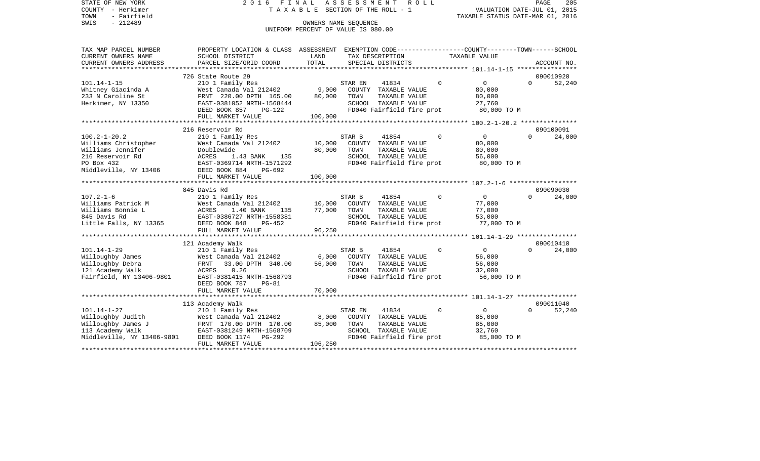STATE OF NEW YORK 2 0 1 6 F I N A L A S S E S S M E N T R O L L PAGE 205COUNTY - Herkimer T A X A B L E SECTION OF THE ROLL - 1 TOWN - Fairfield<br>TAXABLE STATUS DATE-MAR 01, 2016<br>SWIS - 212489 OWNERS NAME SEQUENCE UNIFORM PERCENT OF VALUE IS 080.00

| CURRENT OWNERS NAME        | SCHOOL DISTRICT                | LAND    | TAX DESCRIPTION                               |          | TAXABLE VALUE  |          |             |
|----------------------------|--------------------------------|---------|-----------------------------------------------|----------|----------------|----------|-------------|
| CURRENT OWNERS ADDRESS     | PARCEL SIZE/GRID COORD         | TOTAL   | SPECIAL DISTRICTS                             |          |                |          | ACCOUNT NO. |
| ************************   |                                |         |                                               |          |                |          |             |
|                            | 726 State Route 29             |         |                                               |          |                |          | 090010920   |
| $101.14 - 1 - 15$          | 210 1 Family Res               |         | STAR EN<br>41834                              | $\Omega$ | $\overline{0}$ | $\Omega$ | 52,240      |
| Whitney Giacinda A         | West Canada Val 212402         | 9,000   | COUNTY TAXABLE VALUE                          |          | 80,000         |          |             |
| 233 N Caroline St          | FRNT 220.00 DPTH 165.00        | 80,000  | TOWN<br>TAXABLE VALUE                         |          | 80,000         |          |             |
| Herkimer, NY 13350         | EAST-0381052 NRTH-1568444      |         | SCHOOL TAXABLE VALUE                          |          | 27,760         |          |             |
|                            | DEED BOOK 857<br><b>PG-122</b> |         | FD040 Fairfield fire prot                     |          | 80,000 TO M    |          |             |
|                            | FULL MARKET VALUE              | 100,000 |                                               |          |                |          |             |
|                            |                                |         |                                               |          |                |          |             |
|                            | 216 Reservoir Rd               |         |                                               |          |                |          | 090100091   |
| $100.2 - 1 - 20.2$         | 210 1 Family Res               |         | STAR B<br>41854                               | $\Omega$ | $\overline{0}$ | $\Omega$ | 24,000      |
| Williams Christopher       | West Canada Val 212402         | 10,000  | COUNTY TAXABLE VALUE                          |          | 80,000         |          |             |
| Williams Jennifer          | Doublewide                     | 80,000  | TOWN<br>TAXABLE VALUE                         |          | 80,000         |          |             |
| 216 Reservoir Rd           | ACRES<br>1.43 BANK<br>135      |         | SCHOOL TAXABLE VALUE                          |          | 56,000         |          |             |
| PO Box 432                 | EAST-0369714 NRTH-1571292      |         | FD040 Fairfield fire prot                     |          | 80,000 TO M    |          |             |
| Middleville, NY 13406      | DEED BOOK 884<br>PG-692        |         |                                               |          |                |          |             |
|                            | FULL MARKET VALUE              | 100,000 |                                               |          |                |          |             |
|                            |                                |         |                                               |          |                |          |             |
|                            | 845 Davis Rd                   |         |                                               |          |                |          | 090090030   |
| $107.2 - 1 - 6$            | 210 1 Family Res               |         | STAR B<br>41854                               | $\Omega$ | $\mathbf{0}$   | $\Omega$ | 24,000      |
| Williams Patrick M         | West Canada Val 212402         | 10,000  | COUNTY TAXABLE VALUE                          |          | 77,000         |          |             |
| Williams Bonnie L          | ACRES<br>1.40 BANK<br>135      | 77,000  | TOWN<br>TAXABLE VALUE                         |          | 77,000         |          |             |
| 845 Davis Rd               | EAST-0386727 NRTH-1558381      |         | SCHOOL TAXABLE VALUE                          |          | 53,000         |          |             |
| Little Falls, NY 13365     | DEED BOOK 848<br>PG-452        |         | FD040 Fairfield fire prot                     |          | 77,000 TO M    |          |             |
|                            | FULL MARKET VALUE              | 96,250  |                                               |          |                |          |             |
|                            |                                |         |                                               |          |                |          |             |
|                            | 121 Academy Walk               |         |                                               |          |                |          | 090010410   |
| $101.14 - 1 - 29$          | 210 1 Family Res               |         | STAR B<br>41854                               | $\Omega$ | $\overline{0}$ | $\Omega$ | 24,000      |
| Willoughby James           | West Canada Val 212402         | 6,000   | COUNTY TAXABLE VALUE                          |          | 56,000         |          |             |
| Willoughby Debra           | 33.00 DPTH 340.00<br>FRNT      | 56,000  | TOWN<br>TAXABLE VALUE                         |          | 56,000         |          |             |
| 121 Academy Walk           | <b>ACRES</b><br>0.26           |         | SCHOOL TAXABLE VALUE                          |          | 32,000         |          |             |
| Fairfield, NY 13406-9801   | EAST-0381415 NRTH-1568793      |         | FD040 Fairfield fire prot                     |          | 56,000 TO M    |          |             |
|                            | DEED BOOK 787<br>$PG-81$       |         |                                               |          |                |          |             |
|                            | FULL MARKET VALUE              | 70,000  |                                               |          |                |          |             |
|                            |                                |         |                                               |          |                |          |             |
|                            | 113 Academy Walk               |         |                                               |          |                |          | 090011040   |
| $101.14 - 1 - 27$          | 210 1 Family Res               |         | STAR EN<br>41834                              | $\Omega$ | $\mathbf{0}$   | $\Omega$ | 52,240      |
|                            | West Canada Val 212402         | 8,000   |                                               |          | 85,000         |          |             |
| Willoughby Judith          | FRNT 170.00 DPTH 170.00        | 85,000  | COUNTY TAXABLE VALUE<br>TOWN<br>TAXABLE VALUE |          |                |          |             |
| Willoughby James J         |                                |         |                                               |          | 85,000         |          |             |
| 113 Academy Walk           | EAST-0381249 NRTH-1568709      |         | SCHOOL TAXABLE VALUE                          |          | 32,760         |          |             |
| Middleville, NY 13406-9801 | DEED BOOK 1174 PG-292          | 106,250 | FD040 Fairfield fire prot                     |          | 85,000 TO M    |          |             |
|                            | FULL MARKET VALUE              |         |                                               |          |                |          |             |
|                            |                                |         |                                               |          |                |          |             |

TAX MAP PARCEL NUMBER PROPERTY LOCATION & CLASS ASSESSMENT EXEMPTION CODE------------------COUNTY--------TOWN------SCHOOL

PAGE 205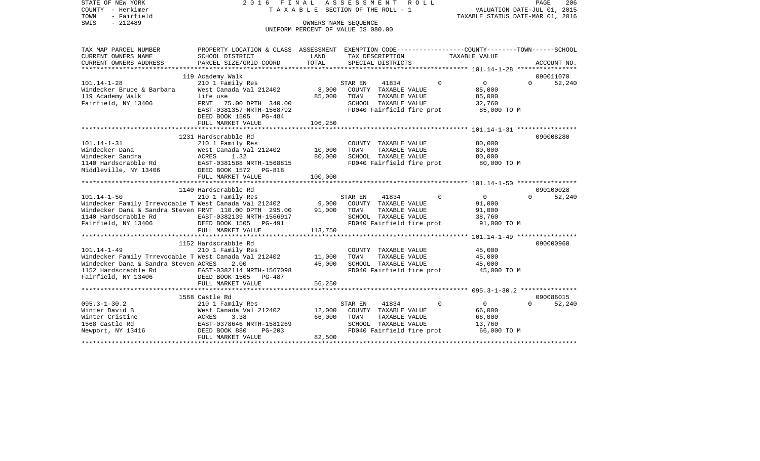STATE OF NEW YORK 2016 FINAL ASSESSMENT ROLL COUNTY - Herkimer T A X A B L E SECTION OF THE ROLL - 1 TOWN - Fairfield TAXABLE STATUS DATE-MAR 01, 2016 SWIS - Fairfield<br>
SWIS - 212489 OWNERS NAME SEQUENCE

UNIFORM PERCENT OF VALUE IS 080.00

| TAX MAP PARCEL NUMBER                                        | PROPERTY LOCATION & CLASS ASSESSMENT EXEMPTION CODE---------------COUNTY-------TOWN-----SCHOOL |         |         |                      |                           |                                       |          |             |
|--------------------------------------------------------------|------------------------------------------------------------------------------------------------|---------|---------|----------------------|---------------------------|---------------------------------------|----------|-------------|
| CURRENT OWNERS NAME                                          | SCHOOL DISTRICT                                                                                | LAND    |         | TAX DESCRIPTION      |                           | TAXABLE VALUE                         |          |             |
| CURRENT OWNERS ADDRESS                                       | PARCEL SIZE/GRID COORD                                                                         | TOTAL   |         | SPECIAL DISTRICTS    |                           |                                       |          | ACCOUNT NO. |
|                                                              |                                                                                                |         |         |                      |                           |                                       |          |             |
|                                                              | 119 Academy Walk                                                                               |         |         |                      |                           |                                       |          | 090011070   |
| $101.14 - 1 - 28$                                            | 210 1 Family Res                                                                               |         | STAR EN | 41834                | $\overline{0}$            | $0 \qquad \qquad$                     | $\Omega$ | 52,240      |
| Windecker Bruce & Barbara                                    | West Canada Val 212402                                                                         | 8,000   |         | COUNTY TAXABLE VALUE |                           | 85,000                                |          |             |
| 119 Academy Walk                                             | life use                                                                                       | 85,000  | TOWN    | TAXABLE VALUE        |                           | 85,000                                |          |             |
| Fairfield, NY 13406                                          | 75.00 DPTH 340.00<br>FRNT                                                                      |         |         | SCHOOL TAXABLE VALUE |                           | 32,760                                |          |             |
|                                                              | EAST-0381357 NRTH-1568792                                                                      |         |         |                      | FD040 Fairfield fire prot | 85,000 TO M                           |          |             |
|                                                              | DEED BOOK 1505 PG-484                                                                          |         |         |                      |                           |                                       |          |             |
|                                                              | FULL MARKET VALUE                                                                              | 106,250 |         |                      |                           |                                       |          |             |
|                                                              |                                                                                                |         |         |                      |                           |                                       |          |             |
|                                                              | 1231 Hardscrabble Rd                                                                           |         |         |                      |                           |                                       |          | 090008280   |
| $101.14 - 1 - 31$                                            | 210 1 Family Res                                                                               |         |         | COUNTY TAXABLE VALUE |                           | 80,000                                |          |             |
| Windecker Dana                                               | West Canada Val 212402                                                                         | 10,000  | TOWN    |                      | TAXABLE VALUE             | 80,000                                |          |             |
| West C<br>ACRES<br>Windecker Sandra                          | 1.32                                                                                           | 80,000  |         |                      | SCHOOL TAXABLE VALUE      | 80,000                                |          |             |
| 1140 Hardscrabble Rd EAST-0381588 NRTH-1568815               |                                                                                                |         |         |                      |                           | FD040 Fairfield fire prot 80,000 TO M |          |             |
| Middleville, NY 13406                                        | DEED BOOK 1572    PG-818                                                                       |         |         |                      |                           |                                       |          |             |
|                                                              | FULL MARKET VALUE                                                                              | 100,000 |         |                      |                           |                                       |          |             |
|                                                              |                                                                                                |         |         |                      |                           |                                       |          |             |
|                                                              | 1140 Hardscrabble Rd                                                                           |         |         |                      |                           |                                       |          | 090100028   |
| $101.14 - 1 - 50$                                            | 210 1 Family Res                                                                               |         | STAR EN | 41834                | $\Omega$                  | $\overline{0}$                        | $\Omega$ | 52,240      |
| Windecker Family Irrevocable T West Canada Val 212402 9,000  |                                                                                                |         |         | COUNTY TAXABLE VALUE |                           | 91,000                                |          |             |
| Windecker Dana & Sandra Steven FRNT 110.00 DPTH 295.00       |                                                                                                | 91,000  | TOWN    | TAXABLE VALUE        |                           | 91,000                                |          |             |
| 1140 Hardscrabble Rd                                         | EAST-0382139 NRTH-1566917                                                                      |         |         |                      | SCHOOL TAXABLE VALUE      | 38,760                                |          |             |
| Fairfield, NY 13406                                          | DEED BOOK 1505<br>PG-491                                                                       |         |         |                      |                           | FD040 Fairfield fire prot 91,000 TO M |          |             |
|                                                              | FULL MARKET VALUE                                                                              | 113,750 |         |                      |                           |                                       |          |             |
|                                                              |                                                                                                |         |         |                      |                           |                                       |          |             |
|                                                              | 1152 Hardscrabble Rd                                                                           |         |         |                      |                           |                                       |          | 090000960   |
| $101.14 - 1 - 49$                                            | 210 1 Family Res                                                                               |         |         |                      | COUNTY TAXABLE VALUE      | $45,000$<br>$45,000$                  |          |             |
| Windecker Family Trrevocable T West Canada Val 212402 11,000 |                                                                                                |         | TOWN    |                      | TAXABLE VALUE             | 45,000                                |          |             |
| Windecker Dana & Sandra Steven ACRES                         | 2.00                                                                                           | 45,000  |         | SCHOOL TAXABLE VALUE |                           | 45,000                                |          |             |
| 1152 Hardscrabble Rd                                         | EAST-0382114 NRTH-1567098                                                                      |         |         |                      | FD040 Fairfield fire prot | 45,000 TO M                           |          |             |
| Fairfield, NY 13406                                          | DEED BOOK 1505 PG-487                                                                          |         |         |                      |                           |                                       |          |             |
|                                                              | FULL MARKET VALUE                                                                              | 56,250  |         |                      |                           |                                       |          |             |
|                                                              |                                                                                                |         |         |                      |                           |                                       |          |             |
|                                                              | 1568 Castle Rd                                                                                 |         |         |                      |                           |                                       |          | 090086015   |
| $095.3 - 1 - 30.2$                                           | 210 1 Family Res                                                                               |         | STAR EN | 41834                | $\bigcirc$                | $\overline{0}$                        | $\Omega$ | 52,240      |
| Winter David B                                               | West Canada Val 212402                                                                         | 12,000  |         |                      | COUNTY TAXABLE VALUE      | 66,000                                |          |             |
| Winter Cristine                                              | ACRES<br>3.38                                                                                  | 66,000  | TOWN    |                      | TAXABLE VALUE             | 66,000                                |          |             |
| 1568 Castle Rd                                               | EAST-0378646 NRTH-1581269                                                                      |         |         | SCHOOL TAXABLE VALUE |                           | 13,760                                |          |             |
| Newport, NY 13416                                            | DEED BOOK 880<br>$PG-203$                                                                      |         |         |                      |                           | FD040 Fairfield fire prot 66,000 TO M |          |             |
|                                                              | FULL MARKET VALUE                                                                              | 82,500  |         |                      |                           |                                       |          |             |
|                                                              |                                                                                                |         |         |                      |                           |                                       |          |             |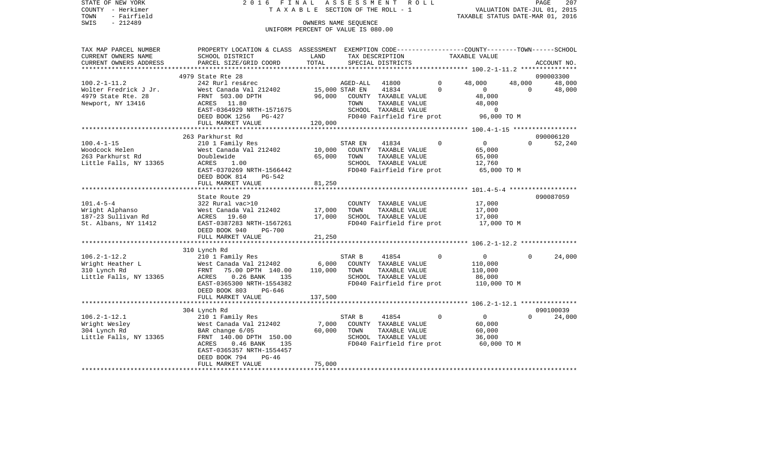| STATE OF NEW YORK<br>COUNTY - Herkimer<br>TOWN<br>- Fairfield | 2016 FINAL                                                                                                          | T A X A B L E SECTION OF THE ROLL - 1 | ASSESSMENT |                                       | R O L L                   | VALUATION DATE-JUL 01, 2015<br>TAXABLE STATUS DATE-MAR 01, 2016 |                | PAGE<br>207 |
|---------------------------------------------------------------|---------------------------------------------------------------------------------------------------------------------|---------------------------------------|------------|---------------------------------------|---------------------------|-----------------------------------------------------------------|----------------|-------------|
| $-212489$<br>SWIS                                             |                                                                                                                     | OWNERS NAME SEQUENCE                  |            |                                       |                           |                                                                 |                |             |
|                                                               |                                                                                                                     | UNIFORM PERCENT OF VALUE IS 080.00    |            |                                       |                           |                                                                 |                |             |
| TAX MAP PARCEL NUMBER<br>CURRENT OWNERS NAME                  | PROPERTY LOCATION & CLASS ASSESSMENT EXEMPTION CODE----------------COUNTY-------TOWN------SCHOOL<br>SCHOOL DISTRICT | LAND                                  |            |                                       | TAX DESCRIPTION           | TAXABLE VALUE                                                   |                |             |
| CURRENT OWNERS ADDRESS                                        | PARCEL SIZE/GRID COORD                                                                                              | TOTAL                                 |            | SPECIAL DISTRICTS                     |                           |                                                                 |                | ACCOUNT NO. |
|                                                               |                                                                                                                     |                                       |            |                                       |                           |                                                                 |                |             |
|                                                               | 4979 State Rte 28                                                                                                   |                                       |            |                                       |                           |                                                                 |                | 090003300   |
| $100.2 - 1 - 11.2$                                            | 242 Rurl res&rec                                                                                                    |                                       | AGED-ALL   | 41800                                 | $\mathbf{0}$              | 48,000                                                          | 48,000         | 48,000      |
| Wolter Fredrick J Jr.                                         | West Canada Val 212402                                                                                              | 15,000 STAR EN                        |            | 41834                                 | $\Omega$                  | $\overline{0}$                                                  | $\overline{0}$ | 48,000      |
| 4979 State Rte. 28                                            | FRNT 503.00 DPTH                                                                                                    | 96,000                                |            | COUNTY TAXABLE VALUE                  |                           | 48,000                                                          |                |             |
| Newport, NY 13416                                             | ACRES 11.80<br>EAST-0364929 NRTH-1571675                                                                            |                                       | TOWN       | TAXABLE VALUE<br>SCHOOL TAXABLE VALUE |                           | 48,000<br>$\mathbf 0$                                           |                |             |
|                                                               | DEED BOOK 1256 PG-427                                                                                               |                                       |            |                                       | FD040 Fairfield fire prot | 96,000 TO M                                                     |                |             |
|                                                               | FULL MARKET VALUE                                                                                                   | 120,000                               |            |                                       |                           |                                                                 |                |             |
|                                                               |                                                                                                                     |                                       |            |                                       |                           |                                                                 |                |             |
|                                                               | 263 Parkhurst Rd                                                                                                    |                                       |            |                                       |                           |                                                                 |                | 090006120   |
| $100.4 - 1 - 15$                                              | 210 1 Family Res                                                                                                    |                                       | STAR EN    | 41834                                 | $\Omega$                  | $\overline{0}$                                                  | $\Omega$       | 52,240      |
| Woodcock Helen                                                | West Canada Val 212402                                                                                              | 10,000                                |            | COUNTY TAXABLE VALUE                  |                           | 65,000                                                          |                |             |
| 263 Parkhurst Rd                                              | Doublewide                                                                                                          | 65,000                                | TOWN       | TAXABLE VALUE                         |                           | 65,000                                                          |                |             |
| Little Falls, NY 13365                                        | ACRES<br>1.00                                                                                                       |                                       |            | SCHOOL TAXABLE VALUE                  |                           | 12,760                                                          |                |             |
|                                                               | EAST-0370269 NRTH-1566442                                                                                           |                                       |            |                                       | FD040 Fairfield fire prot | 65,000 TO M                                                     |                |             |
|                                                               | DEED BOOK 814<br>PG-542                                                                                             |                                       |            |                                       |                           |                                                                 |                |             |
|                                                               | FULL MARKET VALUE                                                                                                   | 81,250                                |            |                                       |                           |                                                                 |                |             |
|                                                               | State Route 29                                                                                                      |                                       |            |                                       |                           |                                                                 |                | 090087059   |
| $101.4 - 5 - 4$                                               | 322 Rural vac>10                                                                                                    |                                       |            | COUNTY TAXABLE VALUE                  |                           | 17,000                                                          |                |             |
| Wright Alphanso                                               | West Canada Val 212402                                                                                              | 17,000                                | TOWN       | TAXABLE VALUE                         |                           | 17,000                                                          |                |             |
| 187-23 Sullivan Rd                                            | ACRES 19.60                                                                                                         | 17,000                                |            | SCHOOL TAXABLE VALUE                  |                           | 17,000                                                          |                |             |
| St. Albans, NY 11412                                          | EAST-0387283 NRTH-1567261                                                                                           |                                       |            |                                       | FD040 Fairfield fire prot | 17,000 TO M                                                     |                |             |
|                                                               | DEED BOOK 940<br><b>PG-700</b>                                                                                      |                                       |            |                                       |                           |                                                                 |                |             |
|                                                               | FULL MARKET VALUE                                                                                                   | 21,250                                |            |                                       |                           |                                                                 |                |             |
|                                                               |                                                                                                                     |                                       |            |                                       |                           |                                                                 |                |             |
|                                                               | 310 Lynch Rd                                                                                                        |                                       |            |                                       |                           |                                                                 |                |             |
| $106.2 - 1 - 12.2$                                            | 210 1 Family Res                                                                                                    |                                       | STAR B     | 41854                                 | $\Omega$                  | $\overline{0}$                                                  | $\Omega$       | 24,000      |
| Wright Heather L                                              | West Canada Val 212402<br>FRNT 75.00 DPTH 140.00                                                                    | 6,000<br>110,000                      | TOWN       | COUNTY TAXABLE VALUE<br>TAXABLE VALUE |                           | 110,000<br>110,000                                              |                |             |
| 310 Lynch Rd<br>Little Falls, NY 13365                        | $0.26$ BANK<br>ACRES<br>135                                                                                         |                                       |            | SCHOOL TAXABLE VALUE                  |                           | 86,000                                                          |                |             |
|                                                               | EAST-0365300 NRTH-1554382                                                                                           |                                       |            |                                       | FD040 Fairfield fire prot | 110,000 TO M                                                    |                |             |
|                                                               | DEED BOOK 803<br>PG-646                                                                                             |                                       |            |                                       |                           |                                                                 |                |             |
|                                                               | FULL MARKET VALUE                                                                                                   | 137,500                               |            |                                       |                           |                                                                 |                |             |
|                                                               |                                                                                                                     |                                       |            |                                       |                           |                                                                 |                |             |
|                                                               | 304 Lynch Rd                                                                                                        |                                       |            |                                       |                           |                                                                 |                | 090100039   |
| $106.2 - 1 - 12.1$                                            | 210 1 Family Res                                                                                                    |                                       | STAR B     | 41854                                 | $\Omega$                  | $\overline{0}$                                                  | $\Omega$       | 24,000      |
| Wright Wesley                                                 | West Canada Val 212402<br>West Canada Val<br>BAR change 6/05                                                        | 7,000                                 |            | COUNTY TAXABLE VALUE                  |                           | 60,000                                                          |                |             |
| 304 Lynch Rd                                                  |                                                                                                                     | 60,000                                | TOWN       | TAXABLE VALUE                         |                           | 60,000                                                          |                |             |
| Little Falls, NY 13365                                        | FRNT 140.00 DPTH 150.00                                                                                             |                                       |            | SCHOOL TAXABLE VALUE                  |                           | 36,000                                                          |                |             |
|                                                               | $0.46$ BANK<br>ACRES<br>135<br>EAST-0365357 NRTH-1554457                                                            |                                       |            |                                       | FD040 Fairfield fire prot | 60,000 TO M                                                     |                |             |
|                                                               | DEED BOOK 794<br>$PG-46$                                                                                            |                                       |            |                                       |                           |                                                                 |                |             |
|                                                               | FULL MARKET VALUE                                                                                                   | 75,000                                |            |                                       |                           |                                                                 |                |             |
|                                                               |                                                                                                                     |                                       |            |                                       |                           |                                                                 |                |             |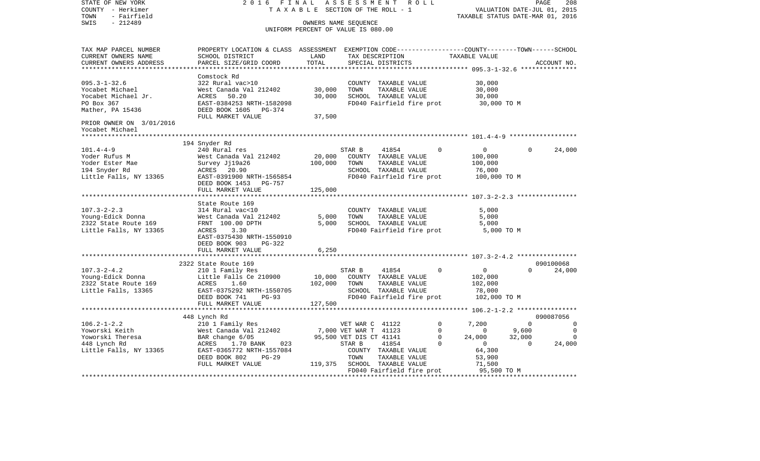STATE OF NEW YORK 2 0 1 6 F I N A L A S S E S S M E N T R O L L PAGE 208COUNTY - Herkimer **T A X A B L E SECTION OF THE ROLL - 1** VALUATION DATE-JUL 01, 2015 TOWN - Fairfield TAXABLE STATUS DATE-MAR 01, 2016 SWIS - 212489 OWNERS NAME SEQUENCE UNIFORM PERCENT OF VALUE IS 080.00TAX MAP PARCEL NUMBER PROPERTY LOCATION & CLASS ASSESSMENT EXEMPTION CODE------------------COUNTY--------TOWN------SCHOOL CURRENT OWNERS NAME SCHOOL DISTRICT LAND TAX DESCRIPTION TAXABLE VALUECURRENT OWNERS ADDRESS PARCEL SIZE/GRID COORD TOTAL SPECIAL DISTRICTS ACCOUNT NO. \*\*\*\*\*\*\*\*\*\*\*\*\*\*\*\*\*\*\*\*\*\*\*\*\*\*\*\*\*\*\*\*\*\*\*\*\*\*\*\*\*\*\*\*\*\*\*\*\*\*\*\*\*\*\*\*\*\*\*\*\*\*\*\*\*\*\*\*\*\*\*\*\*\*\*\*\*\*\*\*\*\*\*\*\*\*\*\*\*\*\*\*\*\*\*\*\*\*\*\*\*\*\* 095.3-1-32.6 \*\*\*\*\*\*\*\*\*\*\*\*\*\*\* Comstock Rd095.3-1-32.6 322 Rural vac>10 COUNTY TAXABLE VALUE 30,000 Yocabet Michael West Canada Val 212402 30,000 TOWN TAXABLE VALUE 30,000 Yocabet Michael Jr. ACRES 50.20 30,000 SCHOOL TAXABLE VALUE 30,000 PO Box 367 THE RAST-0384253 NRTH-1582098 FD040 Fairfield fire prot 30,000 TO M Mather, PA 15436 **DEED BOOK 1605** PG-374 FULL MARKET VALUE 37,500 PRIOR OWNER ON 3/01/2016 Yocabet Michael \*\*\*\*\*\*\*\*\*\*\*\*\*\*\*\*\*\*\*\*\*\*\*\*\*\*\*\*\*\*\*\*\*\*\*\*\*\*\*\*\*\*\*\*\*\*\*\*\*\*\*\*\*\*\*\*\*\*\*\*\*\*\*\*\*\*\*\*\*\*\*\*\*\*\*\*\*\*\*\*\*\*\*\*\*\*\*\*\*\*\*\*\*\*\*\*\*\*\*\*\*\*\* 101.4-4-9 \*\*\*\*\*\*\*\*\*\*\*\*\*\*\*\*\*\* 194 Snyder Rd 101.4-4-9 240 Rural res STAR B 41854 0 0 0 24,000 Yoder Rufus M West Canada Val 212402 20,000 COUNTY TAXABLE VALUE 100,000 Yoder Ester Mae Survey Jj19a26 100,000 TOWN TAXABLE VALUE 100,000 194 Snyder Rd ACRES 20.90 SCHOOL TAXABLE VALUE 76,000 Little Falls, NY 13365 EAST-0391900 NRTH-1565854 FD040 Fairfield fire prot 100,000 TO M DEED BOOK 1453 PG-757FULL MARKET VALUE 125,000 \*\*\*\*\*\*\*\*\*\*\*\*\*\*\*\*\*\*\*\*\*\*\*\*\*\*\*\*\*\*\*\*\*\*\*\*\*\*\*\*\*\*\*\*\*\*\*\*\*\*\*\*\*\*\*\*\*\*\*\*\*\*\*\*\*\*\*\*\*\*\*\*\*\*\*\*\*\*\*\*\*\*\*\*\*\*\*\*\*\*\*\*\*\*\*\*\*\*\*\*\*\*\* 107.3-2-2.3 \*\*\*\*\*\*\*\*\*\*\*\*\*\*\*\* State Route 169 107.3-2-2.3 314 Rural vac<10 COUNTY TAXABLE VALUE 5,000 Young-Edick Donna West Canada Val 212402 5,000 TOWN TAXABLE VALUE 5,000 2322 State Route 169 FRNT 100.00 DPTH 5,000 SCHOOL TAXABLE VALUE 5,000 Little Falls, NY 13365 ACRES 3.30 ACRES FD040 Fairfield fire prot 5,000 TO M EAST-0375430 NRTH-1550910 DEED BOOK 903 PG-322FULL MARKET VALUE 6,250 \*\*\*\*\*\*\*\*\*\*\*\*\*\*\*\*\*\*\*\*\*\*\*\*\*\*\*\*\*\*\*\*\*\*\*\*\*\*\*\*\*\*\*\*\*\*\*\*\*\*\*\*\*\*\*\*\*\*\*\*\*\*\*\*\*\*\*\*\*\*\*\*\*\*\*\*\*\*\*\*\*\*\*\*\*\*\*\*\*\*\*\*\*\*\*\*\*\*\*\*\*\*\* 107.3-2-4.2 \*\*\*\*\*\*\*\*\*\*\*\*\*\*\*\* 2322 State Route 169 090100068107.3-2-4.2 210 1 Family Res STAR B 41854 0 0 0 24,000 Young-Edick Donna 
Little Falls Ce 210900 10,000 COUNTY TAXABLE VALUE 102,000 2322 State Route 169 ACRES 1.60 102,000 TOWN TAXABLE VALUE 102,000 Little Falls, 13365 EAST-0375292 NRTH-1550705 SCHOOL TAXABLE VALUE 78,000 DEED BOOK 741 PG-93 FD040 Fairfield fire prot 102,000 TO M FULL MARKET VALUE 127,500 \*\*\*\*\*\*\*\*\*\*\*\*\*\*\*\*\*\*\*\*\*\*\*\*\*\*\*\*\*\*\*\*\*\*\*\*\*\*\*\*\*\*\*\*\*\*\*\*\*\*\*\*\*\*\*\*\*\*\*\*\*\*\*\*\*\*\*\*\*\*\*\*\*\*\*\*\*\*\*\*\*\*\*\*\*\*\*\*\*\*\*\*\*\*\*\*\*\*\*\*\*\*\* 106.2-1-2.2 \*\*\*\*\*\*\*\*\*\*\*\*\*\*\*\* 448 Lynch Rd 090087056 106.2-1-2.2 210 1 Family Res VET WAR C 41122 0 7,200 0 0 Yoworski Keith **West Canada Val 212402** 7,000 VET WAR T 41123 0 0 9,600 0 Yoworski Theresa BAR change 6/05 95,500 VET DIS CT 41141 0 24,000 32,000 0 448 Lynch Rd ACRES 1.70 BANK 023 STAR B 41854 0 0 24,000 Little Falls, NY 13365 EAST-0365772 NRTH-1557084 COUNTY TAXABLE VALUE 64,300 DEED BOOK 802 PG-29 TOWN TAXABLE VALUE 53,900 FULL MARKET VALUE 119,375 SCHOOL TAXABLE VALUE 71,500 FD040 Fairfield fire prot 95,500 TO M \*\*\*\*\*\*\*\*\*\*\*\*\*\*\*\*\*\*\*\*\*\*\*\*\*\*\*\*\*\*\*\*\*\*\*\*\*\*\*\*\*\*\*\*\*\*\*\*\*\*\*\*\*\*\*\*\*\*\*\*\*\*\*\*\*\*\*\*\*\*\*\*\*\*\*\*\*\*\*\*\*\*\*\*\*\*\*\*\*\*\*\*\*\*\*\*\*\*\*\*\*\*\*\*\*\*\*\*\*\*\*\*\*\*\*\*\*\*\*\*\*\*\*\*\*\*\*\*\*\*\*\*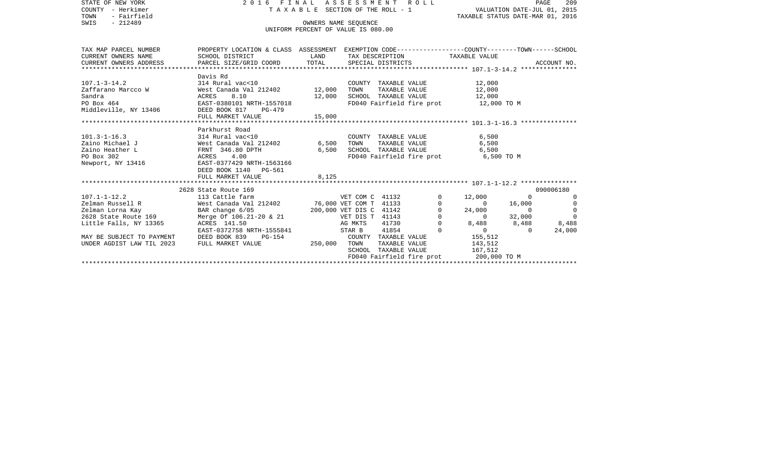| STATE OF NEW YORK<br>COUNTY - Herkimer                                                                                                                                                                                                                   | 2016 FINAL ASSESSMENT ROLL                                                                                                                                                                                                                                                             |                                    |                      |                      |                           | TAXABLE SECTION OF THE ROLL - 1 VALUATION DATE-JUL 01, 2015 |                | PAGE      | 209            |
|----------------------------------------------------------------------------------------------------------------------------------------------------------------------------------------------------------------------------------------------------------|----------------------------------------------------------------------------------------------------------------------------------------------------------------------------------------------------------------------------------------------------------------------------------------|------------------------------------|----------------------|----------------------|---------------------------|-------------------------------------------------------------|----------------|-----------|----------------|
| TOWN<br>- Fairfield                                                                                                                                                                                                                                      |                                                                                                                                                                                                                                                                                        | TAXABLE STATUS DATE-MAR 01, 2016   |                      |                      |                           |                                                             |                |           |                |
| SWIS<br>$-212489$                                                                                                                                                                                                                                        |                                                                                                                                                                                                                                                                                        | OWNERS NAME SEOUENCE               |                      |                      |                           |                                                             |                |           |                |
|                                                                                                                                                                                                                                                          |                                                                                                                                                                                                                                                                                        | UNIFORM PERCENT OF VALUE IS 080.00 |                      |                      |                           |                                                             |                |           |                |
|                                                                                                                                                                                                                                                          |                                                                                                                                                                                                                                                                                        |                                    |                      |                      |                           |                                                             |                |           |                |
| TAX MAP PARCEL NUMBER                                                                                                                                                                                                                                    | PROPERTY LOCATION & CLASS ASSESSMENT EXEMPTION CODE---------------COUNTY-------TOWN------SCHOOL                                                                                                                                                                                        |                                    |                      |                      |                           |                                                             |                |           |                |
| CURRENT OWNERS NAME                                                                                                                                                                                                                                      | SCHOOL DISTRICT                                                                                                                                                                                                                                                                        | <b>LAND</b>                        |                      |                      |                           | TAX DESCRIPTION TAXABLE VALUE                               |                |           |                |
| CURRENT OWNERS ADDRESS                                                                                                                                                                                                                                   |                                                                                                                                                                                                                                                                                        |                                    |                      |                      |                           |                                                             |                |           |                |
|                                                                                                                                                                                                                                                          |                                                                                                                                                                                                                                                                                        |                                    |                      |                      |                           |                                                             |                |           |                |
|                                                                                                                                                                                                                                                          | Davis Rd                                                                                                                                                                                                                                                                               |                                    |                      |                      |                           |                                                             |                |           |                |
| $107.1 - 3 - 14.2$                                                                                                                                                                                                                                       | 314 Rural vac<10                                                                                                                                                                                                                                                                       |                                    |                      |                      |                           | COUNTY TAXABLE VALUE 12,000                                 |                |           |                |
| Zaffarano Marcco W                                                                                                                                                                                                                                       | West Canada Val 212402 12,000                                                                                                                                                                                                                                                          |                                    | TOWN                 |                      | TAXABLE VALUE             | 12,000                                                      |                |           |                |
| Sandra                                                                                                                                                                                                                                                   | ACRES 8.10                                                                                                                                                                                                                                                                             | 12,000                             |                      |                      | SCHOOL TAXABLE VALUE      | 12,000                                                      |                |           |                |
| PO Box 464                                                                                                                                                                                                                                               | EAST-0380101 NRTH-1557018                                                                                                                                                                                                                                                              |                                    |                      |                      |                           | FD040 Fairfield fire prot 12,000 TO M                       |                |           |                |
| Middleville, NY 13406                                                                                                                                                                                                                                    | DEED BOOK 817 PG-479                                                                                                                                                                                                                                                                   |                                    |                      |                      |                           |                                                             |                |           |                |
|                                                                                                                                                                                                                                                          | FULL MARKET VALUE                                                                                                                                                                                                                                                                      | 15,000                             |                      |                      |                           |                                                             |                |           |                |
|                                                                                                                                                                                                                                                          |                                                                                                                                                                                                                                                                                        |                                    |                      |                      |                           |                                                             |                |           |                |
|                                                                                                                                                                                                                                                          | Parkhurst Road                                                                                                                                                                                                                                                                         |                                    |                      |                      |                           |                                                             |                |           |                |
|                                                                                                                                                                                                                                                          |                                                                                                                                                                                                                                                                                        |                                    |                      |                      | COUNTY TAXABLE VALUE      | 6,500                                                       |                |           |                |
|                                                                                                                                                                                                                                                          |                                                                                                                                                                                                                                                                                        |                                    | TOWN                 |                      | TAXABLE VALUE             | 6,500                                                       |                |           |                |
| 101.3-1-16.3<br>2aino Michael J<br>2aino Heather L<br>2aino Heather L<br>2aino Heather L<br>2aino Heather L<br>2aino Heather L<br>2aino Heather L<br>2aino Heather L<br>2aino Heather L<br>2aino Heather L<br>2aino Heather L<br>2aino Heather L<br>2ain |                                                                                                                                                                                                                                                                                        |                                    |                      |                      | SCHOOL TAXABLE VALUE      | 6,500                                                       |                |           |                |
| Newport, NY 13416                                                                                                                                                                                                                                        |                                                                                                                                                                                                                                                                                        |                                    |                      |                      |                           | FD040 Fairfield fire prot 6,500 TO M                        |                |           |                |
|                                                                                                                                                                                                                                                          | DEED BOOK 1140 PG-561                                                                                                                                                                                                                                                                  |                                    |                      |                      |                           |                                                             |                |           |                |
|                                                                                                                                                                                                                                                          | FULL MARKET VALUE                                                                                                                                                                                                                                                                      | 8,125                              |                      |                      |                           |                                                             |                |           |                |
|                                                                                                                                                                                                                                                          |                                                                                                                                                                                                                                                                                        |                                    |                      |                      |                           |                                                             |                |           |                |
|                                                                                                                                                                                                                                                          | 2628 State Route 169<br>X<br>X<br>X<br>X<br>State Route 169<br>113 Cattle farm<br>West Canada Val 212402<br>The Case of Constant Canada Val 212402<br>200,000 VET DIS C 41142<br>X<br>The Canada Val 212402<br>200,000 VET DIS C 41142<br>X<br>The C 41143<br>X<br>AG MKTS 41730<br>20 |                                    |                      |                      |                           |                                                             |                | 090006180 |                |
| $107.1 - 1 - 12.2$                                                                                                                                                                                                                                       |                                                                                                                                                                                                                                                                                        |                                    |                      |                      | $\circ$                   | 12,000                                                      | $\overline{0}$ |           | $\Omega$       |
| 107.1-1-12.2<br>Zelman Russell R                                                                                                                                                                                                                         |                                                                                                                                                                                                                                                                                        |                                    |                      |                      | $\mathsf 0$               | $\overline{0}$                                              | 16,000         |           | $\overline{0}$ |
| Zelman Russell R<br>Zelman Lorna Kay<br>2628 State Route 169                                                                                                                                                                                             |                                                                                                                                                                                                                                                                                        |                                    |                      |                      | 0                         | 24,000                                                      | $\overline{0}$ |           | $\mathbf 0$    |
|                                                                                                                                                                                                                                                          |                                                                                                                                                                                                                                                                                        |                                    |                      |                      | $\mathbf 0$               | $\overline{0}$                                              | 32,000         |           | $\Omega$       |
| Little Falls, NY 13365                                                                                                                                                                                                                                   |                                                                                                                                                                                                                                                                                        |                                    |                      |                      | $\Omega$                  | 8,488 8,488 8,488                                           |                |           |                |
|                                                                                                                                                                                                                                                          | EAST-0372758 NRTH-1555841 STAR B                                                                                                                                                                                                                                                       |                                    |                      | 41854                | $\Omega$                  | $0 \qquad \qquad$                                           | $\overline{0}$ |           | 24,000         |
| MAY BE SUBJECT TO PAYMENT                                                                                                                                                                                                                                | DEED BOOK 839<br>PG-154                                                                                                                                                                                                                                                                |                                    | COUNTY TAXABLE VALUE |                      |                           | 155,512                                                     |                |           |                |
| UNDER AGDIST LAW TIL 2023                                                                                                                                                                                                                                | FULL MARKET VALUE                                                                                                                                                                                                                                                                      | 250,000 TOWN                       |                      | TAXABLE VALUE        |                           | 143,512                                                     |                |           |                |
|                                                                                                                                                                                                                                                          |                                                                                                                                                                                                                                                                                        |                                    |                      | SCHOOL TAXABLE VALUE |                           | 167,512                                                     |                |           |                |
|                                                                                                                                                                                                                                                          |                                                                                                                                                                                                                                                                                        |                                    |                      |                      | FD040 Fairfield fire prot | 200,000 TO M                                                |                |           |                |
|                                                                                                                                                                                                                                                          |                                                                                                                                                                                                                                                                                        |                                    |                      |                      |                           |                                                             |                |           |                |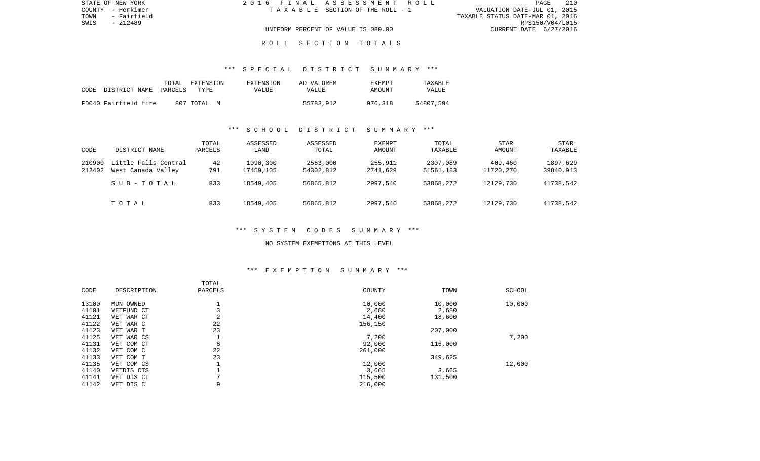| STATE OF NEW YORK   | 2016 FINAL ASSESSMENT ROLL         | 210<br>PAGE                      |
|---------------------|------------------------------------|----------------------------------|
| COUNTY - Herkimer   | TAXABLE SECTION OF THE ROLL - 1    | VALUATION DATE-JUL 01, 2015      |
| TOWN<br>- Fairfield |                                    | TAXABLE STATUS DATE-MAR 01, 2016 |
| SWIS<br>- 212489    |                                    | RPS150/V04/L015                  |
|                     | UNIFORM PERCENT OF VALUE IS 080.00 | CURRENT DATE 6/27/2016           |
|                     |                                    |                                  |

#### R O L L S E C T I O N T O T A L S

#### \*\*\* S P E C I A L D I S T R I C T S U M M A R Y \*\*\*

| CODE DISTRICT NAME PARCELS | TOTAL | EXTENSION<br>TYPE. | EXTENSION<br>VALUE | AD VALOREM<br><b>VALUE</b> | EXEMPT<br>AMOUNT | TAXABLE<br><b>VALUE</b> |
|----------------------------|-------|--------------------|--------------------|----------------------------|------------------|-------------------------|
| FD040 Fairfield fire       |       | 807 TOTAL<br>M     |                    | 55783,912                  | 976,318          | 54807,594               |

### \*\*\* S C H O O L D I S T R I C T S U M M A R Y \*\*\*

| CODE             | DISTRICT NAME                              | TOTAL<br>PARCELS | ASSESSED<br>LAND      | ASSESSED<br>TOTAL     | EXEMPT<br>AMOUNT    | TOTAL<br>TAXABLE      | STAR<br>AMOUNT       | STAR<br>TAXABLE       |
|------------------|--------------------------------------------|------------------|-----------------------|-----------------------|---------------------|-----------------------|----------------------|-----------------------|
| 210900<br>212402 | Little Falls Central<br>West Canada Valley | 42<br>791        | 1090,300<br>17459,105 | 2563,000<br>54302,812 | 255,911<br>2741,629 | 2307,089<br>51561,183 | 409,460<br>11720,270 | 1897,629<br>39840,913 |
|                  | SUB-TOTAL                                  | 833              | 18549,405             | 56865,812             | 2997,540            | 53868,272             | 12129,730            | 41738,542             |
|                  | TOTAL                                      | 833              | 18549,405             | 56865,812             | 2997,540            | 53868,272             | 12129,730            | 41738,542             |

## \*\*\* S Y S T E M C O D E S S U M M A R Y \*\*\*

#### NO SYSTEM EXEMPTIONS AT THIS LEVEL

# \*\*\* E X E M P T I O N S U M M A R Y \*\*\*

|       |             | TOTAL          |         |         |        |
|-------|-------------|----------------|---------|---------|--------|
| CODE  | DESCRIPTION | PARCELS        | COUNTY  | TOWN    | SCHOOL |
| 13100 | MUN OWNED   |                | 10,000  | 10,000  | 10,000 |
| 41101 | VETFUND CT  |                | 2,680   | 2,680   |        |
| 41121 | VET WAR CT  | 2              | 14,400  | 18,600  |        |
| 41122 | VET WAR C   | 22             | 156,150 |         |        |
| 41123 | VET WAR T   | 23             |         | 207,000 |        |
| 41125 | VET WAR CS  |                | 7,200   |         | 7,200  |
| 41131 | VET COM CT  | 8              | 92,000  | 116,000 |        |
| 41132 | VET COM C   | 22             | 261,000 |         |        |
| 41133 | VET COM T   | 23             |         | 349,625 |        |
| 41135 | VET COM CS  |                | 12,000  |         | 12,000 |
| 41140 | VETDIS CTS  |                | 3,665   | 3,665   |        |
| 41141 | VET DIS CT  | $\overline{ }$ | 115,500 | 131,500 |        |
| 41142 | VET DIS C   | 9              | 216,000 |         |        |
|       |             |                |         |         |        |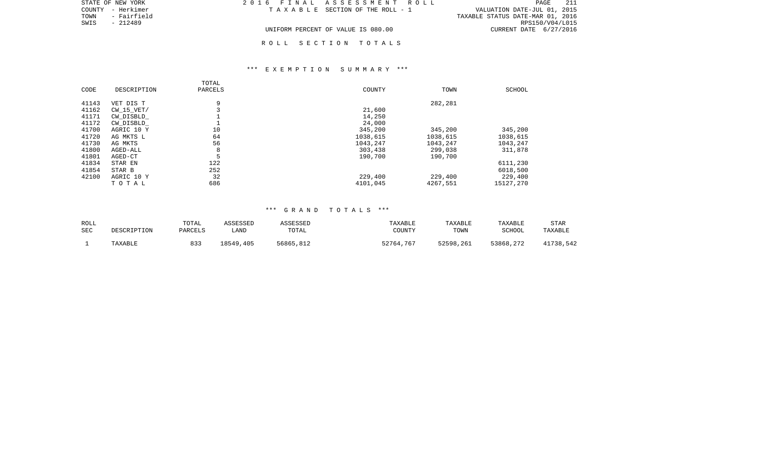|      | STATE OF NEW YORK | 2016 FINAL ASSESSMENT ROLL         |                                       |                                  | PAGE            | -211 |
|------|-------------------|------------------------------------|---------------------------------------|----------------------------------|-----------------|------|
|      | COUNTY - Herkimer |                                    | T A X A B L E SECTION OF THE ROLL - 1 | VALUATION DATE-JUL 01, 2015      |                 |      |
| TOWN | - Fairfield       |                                    |                                       | TAXABLE STATUS DATE-MAR 01, 2016 |                 |      |
| SWIS | - 212489          |                                    |                                       |                                  | RPS150/V04/L015 |      |
|      |                   | UNIFORM PERCENT OF VALUE IS 080.00 |                                       | CURRENT DATE 6/27/2016           |                 |      |

R O L L S E C T I O N T O T A L S

### \*\*\* E X E M P T I O N S U M M A R Y \*\*\*

| CODE  | DESCRIPTION    | TOTAL<br>PARCELS | COUNTY   | TOWN     | SCHOOL    |
|-------|----------------|------------------|----------|----------|-----------|
| 41143 | VET DIS T      | 9                |          | 282,281  |           |
| 41162 | $CW$ 15 $VET/$ | 3                | 21,600   |          |           |
| 41171 | CW DISBLD      |                  | 14,250   |          |           |
| 41172 | CW DISBLD      |                  | 24,000   |          |           |
| 41700 | AGRIC 10 Y     | 10               | 345,200  | 345,200  | 345,200   |
| 41720 | AG MKTS L      | 64               | 1038,615 | 1038,615 | 1038,615  |
| 41730 | AG MKTS        | 56               | 1043,247 | 1043,247 | 1043,247  |
| 41800 | AGED-ALL       | 8                | 303,438  | 299,038  | 311,878   |
| 41801 | AGED-CT        | 5                | 190,700  | 190,700  |           |
| 41834 | STAR EN        | 122              |          |          | 6111,230  |
| 41854 | STAR B         | 252              |          |          | 6018,500  |
| 42100 | AGRIC 10 Y     | 32               | 229,400  | 229,400  | 229,400   |
|       | TOTAL          | 686              | 4101,045 | 4267,551 | 15127,270 |

### \*\*\* G R A N D T O T A L S \*\*\*

| ROLL | DESCRIPTION | TOTAL   | ASSESSED  | ASSESSED  | TAXABLE   | TAXABLE   | TAXABLE   | <b>STAR</b> |
|------|-------------|---------|-----------|-----------|-----------|-----------|-----------|-------------|
| SEC  |             | PARCELS | LAND      | TOTAL     | COUNTY    | TOWN      | SCHOOL    | TAXABLE     |
|      | TAXABLE     | 833     | 18549,405 | 56865,812 | 52764,767 | 52598,261 | 53868,272 | 41738,542   |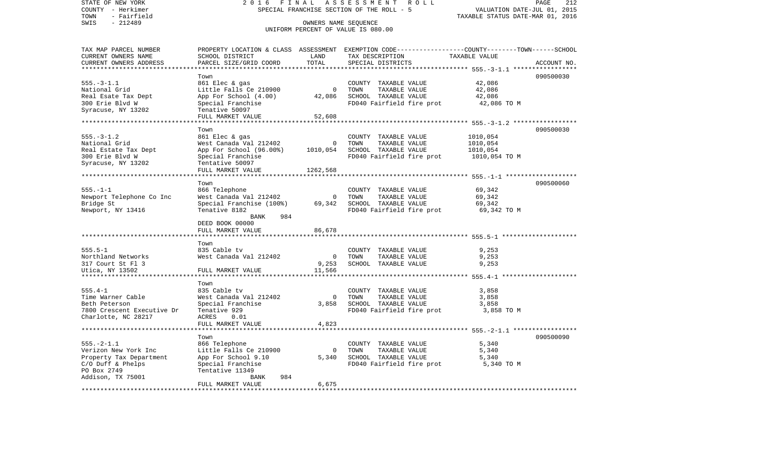| STATE OF NEW YORK<br>COUNTY - Herkimer<br>- Fairfield<br>TOWN | 2016                                 | FINAL                | ASSESSMENT<br>ROLL<br>SPECIAL FRANCHISE SECTION OF THE ROLL - 5                                                    | VALUATION DATE-JUL 01, 2015<br>TAXABLE STATUS DATE-MAR 01, 2016 | PAGE<br>212 |
|---------------------------------------------------------------|--------------------------------------|----------------------|--------------------------------------------------------------------------------------------------------------------|-----------------------------------------------------------------|-------------|
| $-212489$<br>SWIS                                             |                                      | OWNERS NAME SEQUENCE | UNIFORM PERCENT OF VALUE IS 080.00                                                                                 |                                                                 |             |
| TAX MAP PARCEL NUMBER<br>CURRENT OWNERS NAME                  | SCHOOL DISTRICT                      | LAND                 | PROPERTY LOCATION & CLASS ASSESSMENT EXEMPTION CODE---------------COUNTY-------TOWN------SCHOOL<br>TAX DESCRIPTION | TAXABLE VALUE                                                   |             |
| CURRENT OWNERS ADDRESS                                        | PARCEL SIZE/GRID COORD               | TOTAL                | SPECIAL DISTRICTS                                                                                                  |                                                                 | ACCOUNT NO. |
| ********************                                          |                                      | ********             |                                                                                                                    | ********** 555. - 3 - 1.1 ****                                  |             |
|                                                               | Town                                 |                      |                                                                                                                    |                                                                 | 090500030   |
| $555. - 3 - 1.1$                                              | 861 Elec & gas                       |                      | COUNTY TAXABLE VALUE                                                                                               | 42,086                                                          |             |
| National Grid                                                 | Little Falls Ce 210900               | $\mathbf 0$          | TOWN<br>TAXABLE VALUE                                                                                              | 42,086                                                          |             |
| Real Esate Tax Dept                                           | App For School (4.00)                | 42,086               | SCHOOL TAXABLE VALUE                                                                                               | 42,086                                                          |             |
| 300 Erie Blvd W<br>Syracuse, NY 13202                         | Special Franchise<br>Tenative 50097  |                      | FD040 Fairfield fire prot                                                                                          | 42,086 TO M                                                     |             |
|                                                               | FULL MARKET VALUE                    | 52,608               |                                                                                                                    |                                                                 |             |
|                                                               | ******************                   |                      |                                                                                                                    | ********************** 555.-3-1.2 *****************             |             |
|                                                               | Town                                 |                      |                                                                                                                    |                                                                 | 090500030   |
| $555. - 3 - 1.2$                                              | 861 Elec & gas                       |                      | COUNTY<br>TAXABLE VALUE                                                                                            | 1010,054                                                        |             |
| National Grid                                                 | West Canada Val 212402               | 0                    | TOWN<br>TAXABLE VALUE                                                                                              | 1010,054                                                        |             |
| Real Estate Tax Dept                                          | App For School (96.00%)              | 1010,054             | SCHOOL TAXABLE VALUE                                                                                               | 1010,054                                                        |             |
| 300 Erie Blvd W                                               | Special Franchise                    |                      | FD040 Fairfield fire prot                                                                                          | 1010,054 TO M                                                   |             |
| Syracuse, NY 13202                                            | Tentative 50097<br>FULL MARKET VALUE | 1262,568             |                                                                                                                    |                                                                 |             |
| ************************                                      |                                      |                      |                                                                                                                    |                                                                 |             |
|                                                               | Town                                 |                      |                                                                                                                    |                                                                 | 090500060   |
| $555. - 1 - 1$                                                | 866 Telephone                        |                      | COUNTY TAXABLE VALUE                                                                                               | 69,342                                                          |             |
| Newport Telephone Co Inc                                      | West Canada Val 212402               | 0                    | TOWN<br>TAXABLE VALUE                                                                                              | 69,342                                                          |             |
| Bridge St                                                     | Special Franchise (100%)             | 69,342               | SCHOOL TAXABLE VALUE                                                                                               | 69,342                                                          |             |
| Newport, NY 13416                                             | Tenative 8182                        |                      | FD040 Fairfield fire prot                                                                                          | 69,342 TO M                                                     |             |
|                                                               | 984<br>BANK<br>DEED BOOK 00000       |                      |                                                                                                                    |                                                                 |             |
|                                                               | FULL MARKET VALUE                    | 86,678               |                                                                                                                    |                                                                 |             |
|                                                               |                                      |                      |                                                                                                                    |                                                                 |             |
|                                                               | Town                                 |                      |                                                                                                                    |                                                                 |             |
| $555.5 - 1$                                                   | 835 Cable tv                         |                      | COUNTY TAXABLE VALUE                                                                                               | 9,253                                                           |             |
| Northland Networks                                            | West Canada Val 212402               | $\mathbf 0$          | TOWN<br>TAXABLE VALUE                                                                                              | 9,253                                                           |             |
| 317 Court St Fl 3<br>Utica, NY 13502                          | FULL MARKET VALUE                    | 9,253<br>11,566      | SCHOOL TAXABLE VALUE                                                                                               | 9,253                                                           |             |
|                                                               |                                      |                      |                                                                                                                    |                                                                 |             |
|                                                               | Town                                 |                      |                                                                                                                    |                                                                 |             |
| $555.4 - 1$                                                   | 835 Cable tv                         |                      | COUNTY TAXABLE VALUE                                                                                               | 3,858                                                           |             |
| Time Warner Cable                                             | West Canada Val 212402               | $\Omega$             | TOWN<br>TAXABLE VALUE                                                                                              | 3,858                                                           |             |
| Beth Peterson                                                 | Special Franchise                    | 3,858                | SCHOOL TAXABLE VALUE                                                                                               | 3,858                                                           |             |
| 7800 Crescent Executive Dr                                    | Tenative 929                         |                      | FD040 Fairfield fire prot                                                                                          | 3,858 TO M                                                      |             |
| Charlotte, NC 28217                                           | ACRES<br>0.01<br>FULL MARKET VALUE   | 4,823                |                                                                                                                    |                                                                 |             |
| ******************************                                | *********************                |                      |                                                                                                                    |                                                                 |             |
|                                                               | Town                                 |                      |                                                                                                                    |                                                                 | 090500090   |
| $555. - 2 - 1.1$                                              | 866 Telephone                        |                      | COUNTY TAXABLE VALUE                                                                                               | 5,340                                                           |             |
| Verizon New York Inc                                          | Little Falls Ce 210900               | $\Omega$             | TAXABLE VALUE<br>TOWN                                                                                              | 5,340                                                           |             |
| Property Tax Department                                       | App For School 9.10                  | 5,340                | SCHOOL TAXABLE VALUE                                                                                               | 5,340                                                           |             |
| $C/O$ Duff & Phelps                                           | Special Franchise                    |                      | FD040 Fairfield fire prot                                                                                          | 5,340 TO M                                                      |             |
| PO Box 2749                                                   | Tentative 11349                      |                      |                                                                                                                    |                                                                 |             |
| Addison, TX 75001                                             | 984<br>BANK<br>FULL MARKET VALUE     | 6,675                |                                                                                                                    |                                                                 |             |
|                                                               | ********************                 |                      |                                                                                                                    |                                                                 |             |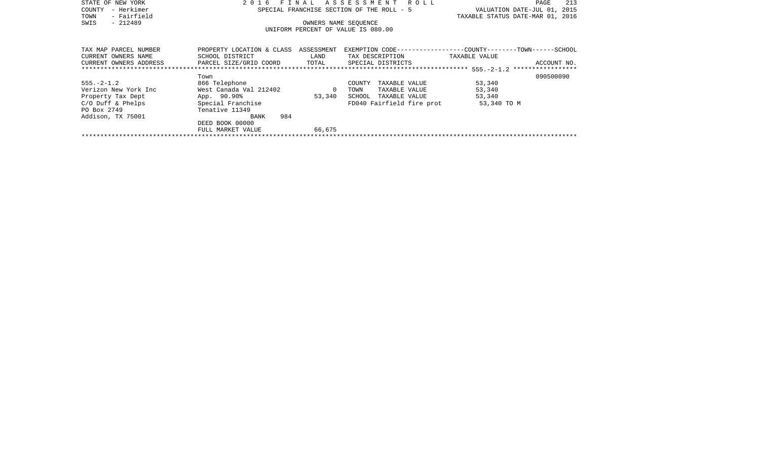| STATE OF NEW YORK      | 2 0 1 6<br>FTN                                       | A L        | ROLL<br>ASSESSMENT                        | 213<br>PAGE                                                   |  |  |  |
|------------------------|------------------------------------------------------|------------|-------------------------------------------|---------------------------------------------------------------|--|--|--|
| – Herkimer<br>COUNTY   |                                                      |            | SPECIAL FRANCHISE SECTION OF THE ROLL - 5 | VALUATION DATE-JUL 01,<br>2015                                |  |  |  |
| - Fairfield<br>TOWN    |                                                      |            |                                           | TAXABLE STATUS DATE-MAR 01, 2016                              |  |  |  |
| $-212489$<br>SWIS      |                                                      |            | OWNERS NAME SEQUENCE                      |                                                               |  |  |  |
|                        |                                                      |            | UNIFORM PERCENT OF VALUE IS 080.00        |                                                               |  |  |  |
|                        |                                                      |            |                                           |                                                               |  |  |  |
|                        |                                                      |            |                                           |                                                               |  |  |  |
| TAX MAP PARCEL NUMBER  | PROPERTY LOCATION & CLASS                            | ASSESSMENT |                                           | EXEMPTION CODE-----------------COUNTY--------TOWN------SCHOOL |  |  |  |
| CURRENT OWNERS NAME    | SCHOOL DISTRICT                                      | LAND       | TAX DESCRIPTION TAXABLE VALUE             |                                                               |  |  |  |
| CURRENT OWNERS ADDRESS | PARCEL SIZE/GRID COORD<br>TOTAL<br>SPECIAL DISTRICTS |            |                                           |                                                               |  |  |  |
|                        |                                                      |            |                                           |                                                               |  |  |  |
|                        | Town                                                 |            |                                           | 090500090                                                     |  |  |  |
| $555. - 2 - 1.2$       | 866 Telephone                                        |            | COUNTY<br>TAXABLE VALUE                   | 53,340                                                        |  |  |  |
| Verizon New York Inc   | West Canada Val 212402                               | $\Omega$   | TOWN<br>TAXABLE VALUE                     | 53,340                                                        |  |  |  |
| Property Tax Dept      | App. 90.90%                                          | 53,340     | SCHOOL<br>TAXABLE VALUE                   | 53,340                                                        |  |  |  |
| $C/O$ Duff & Phelps    | Special Franchise                                    |            | FD040 Fairfield fire prot                 | 53,340 TO M                                                   |  |  |  |
| PO Box 2749            | Tenative 11349                                       |            |                                           |                                                               |  |  |  |
| Addison, TX 75001      | 984<br>BANK                                          |            |                                           |                                                               |  |  |  |
|                        | DEED BOOK 00000                                      |            |                                           |                                                               |  |  |  |
|                        | FULL MARKET VALUE                                    | 66,675     |                                           |                                                               |  |  |  |
|                        |                                                      |            |                                           |                                                               |  |  |  |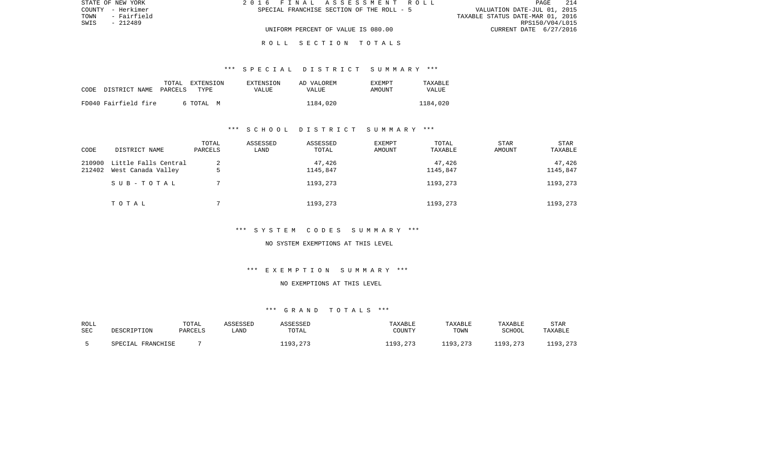| STATE OF NEW YORK   |                                           | 2016 FINAL ASSESSMENT ROLL | <b>PAGE</b>                      | 214 |
|---------------------|-------------------------------------------|----------------------------|----------------------------------|-----|
| COUNTY - Herkimer   | SPECIAL FRANCHISE SECTION OF THE ROLL - 5 |                            | VALUATION DATE-JUL 01, 2015      |     |
| TOWN<br>- Fairfield |                                           |                            | TAXABLE STATUS DATE-MAR 01, 2016 |     |
| SWIS<br>- 212489    |                                           |                            | RPS150/V04/L015                  |     |
|                     | UNIFORM PERCENT OF VALUE IS 080.00        |                            | CURRENT DATE 6/27/2016           |     |

#### R O L L S E C T I O N T O T A L S

#### \*\*\* S P E C I A L D I S T R I C T S U M M A R Y \*\*\*

| CODE | DISTRICT NAME PARCELS | TOTAL | EXTENSION<br>TYPE | EXTENSION<br>VALUE | AD VALOREM<br><b>VALUE</b> | <b>EXEMPT</b><br>AMOUNT | TAXARLE<br>VALUE |
|------|-----------------------|-------|-------------------|--------------------|----------------------------|-------------------------|------------------|
|      | FD040 Fairfield fire  |       | 6 ТОТАЬ М         |                    | 1184,020                   |                         | 1184,020         |

#### \*\*\* S C H O O L D I S T R I C T S U M M A R Y \*\*\*

| CODE             | DISTRICT NAME                              | TOTAL<br>PARCELS | ASSESSED<br>LAND | ASSESSED<br>TOTAL  | <b>EXEMPT</b><br>AMOUNT | TOTAL<br>TAXABLE   | STAR<br>AMOUNT | <b>STAR</b><br>TAXABLE |
|------------------|--------------------------------------------|------------------|------------------|--------------------|-------------------------|--------------------|----------------|------------------------|
| 210900<br>212402 | Little Falls Central<br>West Canada Valley | ∠                |                  | 47,426<br>1145,847 |                         | 47,426<br>1145,847 |                | 47,426<br>1145,847     |
|                  | SUB-TOTAL                                  |                  |                  | 1193,273           |                         | 1193,273           |                | 1193,273               |
|                  | TOTAL                                      |                  |                  | 1193,273           |                         | 1193,273           |                | 1193,273               |

## \*\*\* S Y S T E M C O D E S S U M M A R Y \*\*\*

#### NO SYSTEM EXEMPTIONS AT THIS LEVEL

# \*\*\* E X E M P T I O N S U M M A R Y \*\*\*

## NO EXEMPTIONS AT THIS LEVEL

## \*\*\* G R A N D T O T A L S \*\*\*

| ROLL       | DESCRIPTION       | TOTAL   | ASSESSED | <i><b>ASSESSED</b></i> | TAXABLE  | TAXABLE  | TAXABLE       | <b>STAR</b> |
|------------|-------------------|---------|----------|------------------------|----------|----------|---------------|-------------|
| <b>SEC</b> |                   | PARCELS | _AND     | TOTAL                  | COUNTY   | TOWN     | <b>SCHOOL</b> | TAXABLE     |
|            | SPECIAL FRANCHISE |         |          | 1193,273               | 1193,273 | 1193,273 | 1193,273      | 1193,273    |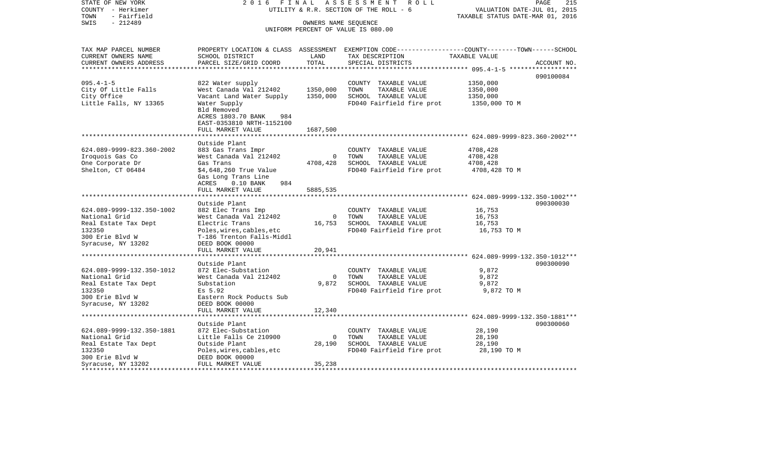| STATE OF NEW YORK<br>COUNTY - Herkimer | 2016 FINAL                                 |                | ASSESSMENT<br>R O L L<br>UTILITY & R.R. SECTION OF THE ROLL - 6                                 | VALUATION DATE-JUL 01, 2015      | PAGE<br>215 |
|----------------------------------------|--------------------------------------------|----------------|-------------------------------------------------------------------------------------------------|----------------------------------|-------------|
| - Fairfield<br>TOWN                    |                                            |                |                                                                                                 | TAXABLE STATUS DATE-MAR 01, 2016 |             |
| $-212489$<br>SWIS                      |                                            |                | OWNERS NAME SEQUENCE                                                                            |                                  |             |
|                                        |                                            |                | UNIFORM PERCENT OF VALUE IS 080.00                                                              |                                  |             |
|                                        |                                            |                |                                                                                                 |                                  |             |
| TAX MAP PARCEL NUMBER                  |                                            |                | PROPERTY LOCATION & CLASS ASSESSMENT EXEMPTION CODE---------------COUNTY-------TOWN------SCHOOL |                                  |             |
| CURRENT OWNERS NAME                    | SCHOOL DISTRICT                            | LAND           | TAX DESCRIPTION                                                                                 | TAXABLE VALUE                    |             |
| CURRENT OWNERS ADDRESS                 | PARCEL SIZE/GRID COORD                     | TOTAL          | SPECIAL DISTRICTS                                                                               |                                  | ACCOUNT NO. |
|                                        |                                            |                |                                                                                                 |                                  |             |
|                                        |                                            |                |                                                                                                 |                                  | 090100084   |
| $095.4 - 1 - 5$                        | 822 Water supply                           |                | COUNTY TAXABLE VALUE                                                                            | 1350,000                         |             |
| City Of Little Falls                   | West Canada Val 212402                     | 1350,000       | TOWN<br>TAXABLE VALUE                                                                           | 1350,000                         |             |
| City Office                            | Vacant Land Water Supply                   | 1350,000       | SCHOOL TAXABLE VALUE                                                                            | 1350,000                         |             |
| Little Falls, NY 13365                 | Water Supply                               |                | FD040 Fairfield fire prot                                                                       | 1350,000 TO M                    |             |
|                                        | Bld Removed                                |                |                                                                                                 |                                  |             |
|                                        | ACRES 1803.70 BANK<br>984                  |                |                                                                                                 |                                  |             |
|                                        | EAST-0353810 NRTH-1152100                  |                |                                                                                                 |                                  |             |
|                                        | FULL MARKET VALUE<br>********************* | 1687,500       |                                                                                                 |                                  |             |
|                                        | Outside Plant                              |                |                                                                                                 |                                  |             |
| 624.089-9999-823.360-2002              | 883 Gas Trans Impr                         |                | COUNTY TAXABLE VALUE                                                                            | 4708,428                         |             |
| Iroquois Gas Co                        | West Canada Val 212402                     | $\mathbf{0}$   | TAXABLE VALUE<br>TOWN                                                                           | 4708,428                         |             |
| One Corporate Dr                       | Gas Trans                                  | 4708,428       | SCHOOL TAXABLE VALUE                                                                            | 4708,428                         |             |
| Shelton, CT 06484                      | \$4,648,260 True Value                     |                | FD040 Fairfield fire prot                                                                       | 4708,428 TO M                    |             |
|                                        | Gas Long Trans Line                        |                |                                                                                                 |                                  |             |
|                                        | ACRES<br>$0.10$ BANK<br>984                |                |                                                                                                 |                                  |             |
|                                        | FULL MARKET VALUE                          | 5885,535       |                                                                                                 |                                  |             |
|                                        |                                            |                |                                                                                                 |                                  |             |
|                                        | Outside Plant                              |                |                                                                                                 |                                  | 090300030   |
| 624.089-9999-132.350-1002              | 882 Elec Trans Imp                         |                | COUNTY TAXABLE VALUE                                                                            | 16,753                           |             |
| National Grid                          | West Canada Val 212402                     | $\overline{0}$ | TOWN<br>TAXABLE VALUE                                                                           | 16,753                           |             |
| Real Estate Tax Dept                   | Electric Trans                             | 16,753         | SCHOOL TAXABLE VALUE                                                                            | 16,753                           |             |
| 132350                                 | Poles, wires, cables, etc                  |                | FD040 Fairfield fire prot                                                                       | 16,753 TO M                      |             |
| 300 Erie Blvd W                        | T-186 Trenton Falls-Middl                  |                |                                                                                                 |                                  |             |
| Syracuse, NY 13202                     | DEED BOOK 00000<br>FULL MARKET VALUE       | 20,941         |                                                                                                 |                                  |             |
|                                        | *********************                      |                | ******************************* 624.089-9999-132.350-1012***                                    |                                  |             |
|                                        | Outside Plant                              |                |                                                                                                 |                                  | 090300090   |
| 624.089-9999-132.350-1012              | 872 Elec-Substation                        |                | COUNTY TAXABLE VALUE                                                                            | 9,872                            |             |
| National Grid                          | West Canada Val 212402                     | $\mathbf 0$    | TOWN<br>TAXABLE VALUE                                                                           | 9,872                            |             |
| Real Estate Tax Dept                   | Substation                                 | 9,872          | SCHOOL TAXABLE VALUE                                                                            | 9,872                            |             |
| 132350                                 | Es 5.92                                    |                | FD040 Fairfield fire prot                                                                       | 9,872 TO M                       |             |
| 300 Erie Blvd W                        | Eastern Rock Poducts Sub                   |                |                                                                                                 |                                  |             |
| Syracuse, NY 13202                     | DEED BOOK 00000                            |                |                                                                                                 |                                  |             |
|                                        | FULL MARKET VALUE                          | 12,340         |                                                                                                 |                                  |             |
|                                        | *************************                  |                |                                                                                                 |                                  |             |
|                                        | Outside Plant                              |                |                                                                                                 |                                  | 090300060   |
| 624.089-9999-132.350-1881              | 872 Elec-Substation                        |                | COUNTY TAXABLE VALUE                                                                            | 28,190                           |             |
| National Grid                          | Little Falls Ce 210900                     | $\Omega$       | TOWN<br>TAXABLE VALUE                                                                           | 28,190                           |             |
| Real Estate Tax Dept                   | Outside Plant                              | 28,190         | SCHOOL TAXABLE VALUE                                                                            | 28,190                           |             |
| 132350                                 | Poles, wires, cables, etc                  |                | FD040 Fairfield fire prot                                                                       | 28,190 TO M                      |             |
| 300 Erie Blvd W                        | DEED BOOK 00000<br>FULL MARKET VALUE       | 35,238         |                                                                                                 |                                  |             |
| Syracuse, NY 13202                     |                                            |                |                                                                                                 |                                  |             |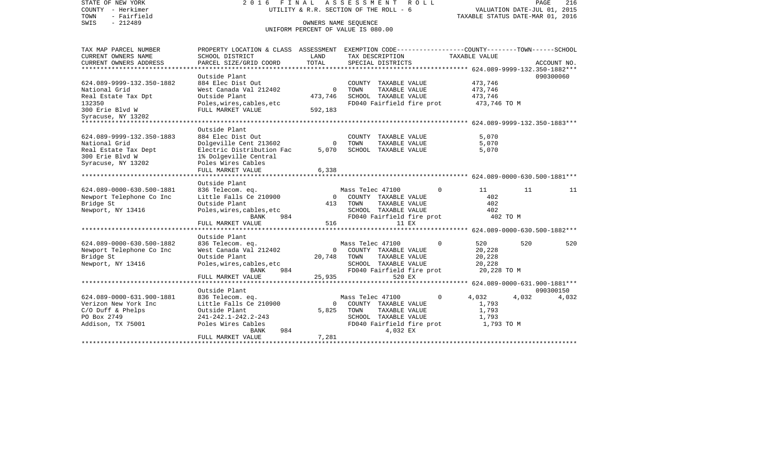| STATE OF NEW YORK<br>COUNTY - Herkimer<br>- Fairfield<br>TOWN | 2016                                                                                            | FINAL                | ASSESSMENT<br>R O L L<br>UTILITY & R.R. SECTION OF THE ROLL - 6                     |             | PAGE<br>216<br>VALUATION DATE-JUL 01, 2015<br>TAXABLE STATUS DATE-MAR 01, 2016 |       |             |  |
|---------------------------------------------------------------|-------------------------------------------------------------------------------------------------|----------------------|-------------------------------------------------------------------------------------|-------------|--------------------------------------------------------------------------------|-------|-------------|--|
| $-212489$<br>SWIS                                             |                                                                                                 | OWNERS NAME SEQUENCE | UNIFORM PERCENT OF VALUE IS 080.00                                                  |             |                                                                                |       |             |  |
|                                                               |                                                                                                 |                      |                                                                                     |             |                                                                                |       |             |  |
| TAX MAP PARCEL NUMBER                                         | PROPERTY LOCATION & CLASS ASSESSMENT EXEMPTION CODE---------------COUNTY-------TOWN------SCHOOL |                      |                                                                                     |             |                                                                                |       |             |  |
| CURRENT OWNERS NAME                                           | SCHOOL DISTRICT                                                                                 | LAND                 | TAX DESCRIPTION                                                                     |             | TAXABLE VALUE                                                                  |       |             |  |
| CURRENT OWNERS ADDRESS<br>**********************              | PARCEL SIZE/GRID COORD<br>*******************                                                   | TOTAL<br>*********** | SPECIAL DISTRICTS<br>********************************* 624.089-9999-132.350-1882*** |             |                                                                                |       | ACCOUNT NO. |  |
|                                                               | Outside Plant                                                                                   |                      |                                                                                     |             |                                                                                |       | 090300060   |  |
| 624.089-9999-132.350-1882                                     | 884 Elec Dist Out                                                                               |                      | COUNTY TAXABLE VALUE                                                                |             | 473,746                                                                        |       |             |  |
| National Grid                                                 | West Canada Val 212402                                                                          | $\Omega$             | TOWN<br>TAXABLE VALUE                                                               |             | 473,746                                                                        |       |             |  |
| Real Estate Tax Dpt                                           | Outside Plant                                                                                   | 473,746              | SCHOOL TAXABLE VALUE                                                                |             | 473,746                                                                        |       |             |  |
| 132350                                                        | Poles, wires, cables, etc                                                                       |                      | FD040 Fairfield fire prot                                                           |             | 473,746 TO M                                                                   |       |             |  |
| 300 Erie Blvd W                                               | FULL MARKET VALUE                                                                               | 592,183              |                                                                                     |             |                                                                                |       |             |  |
| Syracuse, NY 13202                                            |                                                                                                 |                      |                                                                                     |             |                                                                                |       |             |  |
|                                                               |                                                                                                 |                      |                                                                                     |             | ********* 624.089-9999-132.350-1883***                                         |       |             |  |
| 624.089-9999-132.350-1883                                     | Outside Plant<br>884 Elec Dist Out                                                              |                      | COUNTY TAXABLE VALUE                                                                |             | 5,070                                                                          |       |             |  |
| National Grid                                                 | Dolgeville Cent 213602                                                                          | $\Omega$             | TAXABLE VALUE<br>TOWN                                                               |             | 5,070                                                                          |       |             |  |
| Real Estate Tax Dept                                          | Electric Distribution Fac                                                                       | 5,070                | SCHOOL TAXABLE VALUE                                                                |             | 5,070                                                                          |       |             |  |
| 300 Erie Blvd W                                               | 1% Dolgeville Central                                                                           |                      |                                                                                     |             |                                                                                |       |             |  |
| Syracuse, NY 13202                                            | Poles Wires Cables                                                                              |                      |                                                                                     |             |                                                                                |       |             |  |
|                                                               | FULL MARKET VALUE                                                                               | 6,338                |                                                                                     |             |                                                                                |       |             |  |
|                                                               |                                                                                                 |                      |                                                                                     |             | *************** 624.089-0000-630.500-1881***                                   |       |             |  |
|                                                               | Outside Plant                                                                                   |                      |                                                                                     |             |                                                                                |       |             |  |
| 624.089-0000-630.500-1881                                     | 836 Telecom. eq.                                                                                |                      | Mass Telec 47100                                                                    | 0           | 11                                                                             | 11    | 11          |  |
| Newport Telephone Co Inc                                      | Little Falls Ce 210900                                                                          | $\Omega$             | COUNTY TAXABLE VALUE                                                                |             | 402                                                                            |       |             |  |
| Bridge St                                                     | Outside Plant                                                                                   | 413                  | TOWN<br>TAXABLE VALUE                                                               |             | 402                                                                            |       |             |  |
| Newport, NY 13416                                             | Poles, wires, cables, etc<br><b>BANK</b><br>984                                                 |                      | SCHOOL TAXABLE VALUE<br>FD040 Fairfield fire prot                                   |             | 402<br>402 TO M                                                                |       |             |  |
|                                                               | FULL MARKET VALUE                                                                               | 516                  | 11 EX                                                                               |             |                                                                                |       |             |  |
|                                                               |                                                                                                 |                      |                                                                                     |             | ******************** 624.089-0000-630.500-1882***                              |       |             |  |
|                                                               | Outside Plant                                                                                   |                      |                                                                                     |             |                                                                                |       |             |  |
| 624.089-0000-630.500-1882                                     | 836 Telecom. eq.                                                                                |                      | Mass Telec 47100                                                                    | $\Omega$    | 520                                                                            | 520   | 520         |  |
| Newport Telephone Co Inc                                      | West Canada Val 212402                                                                          | $\Omega$             | COUNTY TAXABLE VALUE                                                                |             | 20,228                                                                         |       |             |  |
| Bridge St                                                     | Outside Plant                                                                                   | 20,748               | TOWN<br>TAXABLE VALUE                                                               |             | 20,228                                                                         |       |             |  |
| Newport, NY 13416                                             | Poles, wires, cables, etc                                                                       |                      | SCHOOL TAXABLE VALUE                                                                |             | 20,228                                                                         |       |             |  |
|                                                               | <b>BANK</b><br>984                                                                              |                      | FD040 Fairfield fire prot                                                           |             | 20,228 TO M                                                                    |       |             |  |
|                                                               | FULL MARKET VALUE<br>******************                                                         | 25,935               | 520 EX                                                                              |             |                                                                                |       |             |  |
|                                                               | Outside Plant                                                                                   |                      |                                                                                     |             | 624.089-0000-631.900-1881***                                                   |       | 090300150   |  |
| 624.089-0000-631.900-1881                                     | 836 Telecom. eq.                                                                                |                      | Mass Telec 47100                                                                    | $\mathbf 0$ | 4,032                                                                          | 4,032 | 4,032       |  |
| Verizon New York Inc                                          | Little Falls Ce 210900                                                                          | $\Omega$             | COUNTY TAXABLE VALUE                                                                |             | 1,793                                                                          |       |             |  |
| C/O Duff & Phelps                                             | Outside Plant                                                                                   | 5,825                | TOWN<br>TAXABLE VALUE                                                               |             | 1,793                                                                          |       |             |  |
| PO Box 2749                                                   | 241-242.1-242.2-243                                                                             |                      | SCHOOL TAXABLE VALUE                                                                |             | 1,793                                                                          |       |             |  |
| Addison, TX 75001                                             | Poles Wires Cables                                                                              |                      | FD040 Fairfield fire prot                                                           |             | 1,793 TO M                                                                     |       |             |  |
|                                                               | 984<br><b>BANK</b>                                                                              |                      | 4,032 EX                                                                            |             |                                                                                |       |             |  |
|                                                               | FULL MARKET VALUE                                                                               | 7,281                |                                                                                     |             |                                                                                |       |             |  |
|                                                               |                                                                                                 |                      |                                                                                     |             |                                                                                |       |             |  |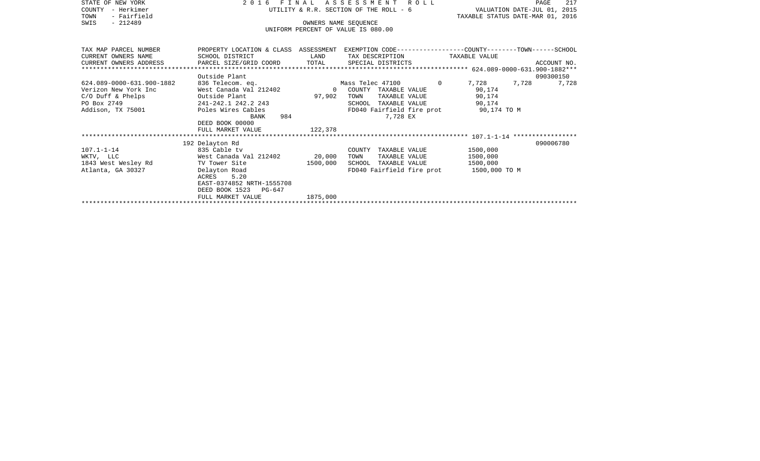| STATE OF NEW YORK         | FINAL<br>2016                                              |                                  | A S S E S S M E N T<br>R O L L                                                                  | PAGE                        | 217         |  |  |  |  |
|---------------------------|------------------------------------------------------------|----------------------------------|-------------------------------------------------------------------------------------------------|-----------------------------|-------------|--|--|--|--|
| - Herkimer<br>COUNTY      |                                                            |                                  | UTILITY & R.R. SECTION OF THE ROLL - 6                                                          | VALUATION DATE-JUL 01, 2015 |             |  |  |  |  |
| - Fairfield<br>TOWN       |                                                            | TAXABLE STATUS DATE-MAR 01, 2016 |                                                                                                 |                             |             |  |  |  |  |
| $-212489$<br>SWIS         | OWNERS NAME SEQUENCE<br>UNIFORM PERCENT OF VALUE IS 080.00 |                                  |                                                                                                 |                             |             |  |  |  |  |
|                           |                                                            |                                  |                                                                                                 |                             |             |  |  |  |  |
|                           |                                                            |                                  |                                                                                                 |                             |             |  |  |  |  |
| TAX MAP PARCEL NUMBER     |                                                            |                                  | PROPERTY LOCATION & CLASS ASSESSMENT EXEMPTION CODE---------------COUNTY-------TOWN------SCHOOL |                             |             |  |  |  |  |
| CURRENT OWNERS NAME       | SCHOOL DISTRICT<br><b>LAND</b>                             |                                  | TAX DESCRIPTION TAXABLE VALUE                                                                   |                             |             |  |  |  |  |
| CURRENT OWNERS ADDRESS    | PARCEL SIZE/GRID COORD TOTAL                               |                                  | SPECIAL DISTRICTS                                                                               |                             | ACCOUNT NO. |  |  |  |  |
| *******************       |                                                            |                                  |                                                                                                 |                             |             |  |  |  |  |
|                           | Outside Plant                                              |                                  |                                                                                                 |                             | 090300150   |  |  |  |  |
| 624.089-0000-631.900-1882 | 836 Telecom. eq.                                           |                                  | $\overline{0}$<br>Mass Telec 47100                                                              | 7,728<br>7,728              | 7,728       |  |  |  |  |
| Verizon New York Inc      | West Canada Val 212402                                     |                                  | 0 COUNTY TAXABLE VALUE                                                                          | 90,174                      |             |  |  |  |  |
| $C/O$ Duff & Phelps       | Outside Plant                                              | 97,902                           | TOWN<br>TAXABLE VALUE                                                                           | 90,174                      |             |  |  |  |  |
| PO Box 2749               | 241-242.1 242.2 243                                        |                                  | SCHOOL TAXABLE VALUE                                                                            | 90,174                      |             |  |  |  |  |
| Addison, TX 75001         | Poles Wires Cables                                         |                                  | FD040 Fairfield fire prot 90,174 TO M                                                           |                             |             |  |  |  |  |
|                           | BANK                                                       | 984                              | 7,728 EX                                                                                        |                             |             |  |  |  |  |
|                           | DEED BOOK 00000<br>FULL MARKET VALUE                       | 122,378                          |                                                                                                 |                             |             |  |  |  |  |
|                           |                                                            |                                  |                                                                                                 |                             |             |  |  |  |  |
|                           | 192 Delayton Rd                                            |                                  |                                                                                                 |                             | 090006780   |  |  |  |  |
| $107.1 - 1 - 14$          | 835 Cable tv                                               |                                  | COUNTY TAXABLE VALUE                                                                            | 1500,000                    |             |  |  |  |  |
| WKTV, LLC                 | West Canada Val 212402 20,000                              |                                  | TOWN<br>TAXABLE VALUE                                                                           | 1500,000                    |             |  |  |  |  |
| 1843 West Wesley Rd       | TV Tower Site                                              | 1500,000                         | SCHOOL TAXABLE VALUE                                                                            | 1500,000                    |             |  |  |  |  |
| Atlanta, GA 30327         | Delayton Road                                              |                                  | FD040 Fairfield fire prot 1500,000 TO M                                                         |                             |             |  |  |  |  |
|                           | ACRES 5.20                                                 |                                  |                                                                                                 |                             |             |  |  |  |  |
|                           | EAST-0374852 NRTH-1555708                                  |                                  |                                                                                                 |                             |             |  |  |  |  |
|                           | DEED BOOK 1523<br>PG-647                                   |                                  |                                                                                                 |                             |             |  |  |  |  |

\*\*\*\*\*\*\*\*\*\*\*\*\*\*\*\*\*\*\*\*\*\*\*\*\*\*\*\*\*\*\*\*\*\*\*\*\*\*\*\*\*\*\*\*\*\*\*\*\*\*\*\*\*\*\*\*\*\*\*\*\*\*\*\*\*\*\*\*\*\*\*\*\*\*\*\*\*\*\*\*\*\*\*\*\*\*\*\*\*\*\*\*\*\*\*\*\*\*\*\*\*\*\*\*\*\*\*\*\*\*\*\*\*\*\*\*\*\*\*\*\*\*\*\*\*\*\*\*\*\*\*\*

FULL MARKET VALUE 1875,000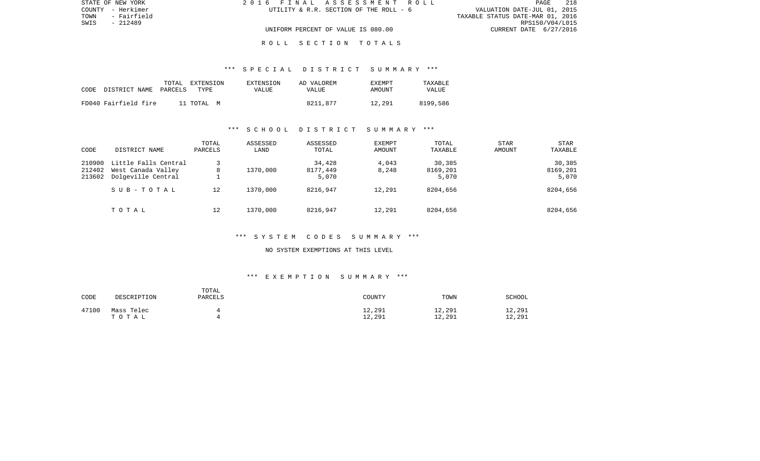| STATE OF NEW YORK   | 2016 FINAL ASSESSMENT ROLL             | 218<br><b>PAGE</b>               |
|---------------------|----------------------------------------|----------------------------------|
| COUNTY - Herkimer   | UTILITY & R.R. SECTION OF THE ROLL - 6 | VALUATION DATE-JUL 01, 2015      |
| TOWN<br>- Fairfield |                                        | TAXABLE STATUS DATE-MAR 01, 2016 |
| SWIS<br>- 212489    |                                        | RPS150/V04/L015                  |
|                     | UNIFORM PERCENT OF VALUE IS 080.00     | CURRENT DATE 6/27/2016           |
|                     |                                        |                                  |

R O L L S E C T I O N T O T A L S

## \*\*\* S P E C I A L D I S T R I C T S U M M A R Y \*\*\*

| CODE | DISTRICT NAME        | TOTAL<br>PARCELS | EXTENSION<br>TYPE. | EXTENSION<br>VALUE | AD VALOREM<br><b>VALUE</b> | <b>EXEMPT</b><br>AMOUNT | TAXABLE<br>VALUE |
|------|----------------------|------------------|--------------------|--------------------|----------------------------|-------------------------|------------------|
|      | FD040 Fairfield fire |                  | 11 TOTAL M         |                    | 8211,877                   | 12,291                  | 8199,586         |

## \*\*\* S C H O O L D I S T R I C T S U M M A R Y \*\*\*

| CODE                       | DISTRICT NAME                                                    | TOTAL<br>PARCELS | ASSESSED<br>LAND | ASSESSED<br>TOTAL           | <b>EXEMPT</b><br>AMOUNT | TOTAL<br>TAXABLE            | <b>STAR</b><br>AMOUNT | <b>STAR</b><br>TAXABLE      |
|----------------------------|------------------------------------------------------------------|------------------|------------------|-----------------------------|-------------------------|-----------------------------|-----------------------|-----------------------------|
| 210900<br>212402<br>213602 | Little Falls Central<br>West Canada Valley<br>Dolgeville Central | 8                | 1370,000         | 34,428<br>8177,449<br>5,070 | 4,043<br>8,248          | 30,385<br>8169,201<br>5,070 |                       | 30,385<br>8169,201<br>5,070 |
|                            | SUB-TOTAL                                                        | 12               | 1370,000         | 8216,947                    | 12,291                  | 8204,656                    |                       | 8204,656                    |
|                            | TOTAL                                                            | 12               | 1370,000         | 8216,947                    | 12,291                  | 8204,656                    |                       | 8204,656                    |

## \*\*\* S Y S T E M C O D E S S U M M A R Y \*\*\*

#### NO SYSTEM EXEMPTIONS AT THIS LEVEL

| CODE  | DESCRIPTION         | TOTAL<br>PARCELS | COUNTY           | TOWN             | <b>SCHOOL</b>    |
|-------|---------------------|------------------|------------------|------------------|------------------|
| 47100 | Mass Telec<br>TOTAL |                  | 12,291<br>12,291 | 12,291<br>12,291 | 12,291<br>12,291 |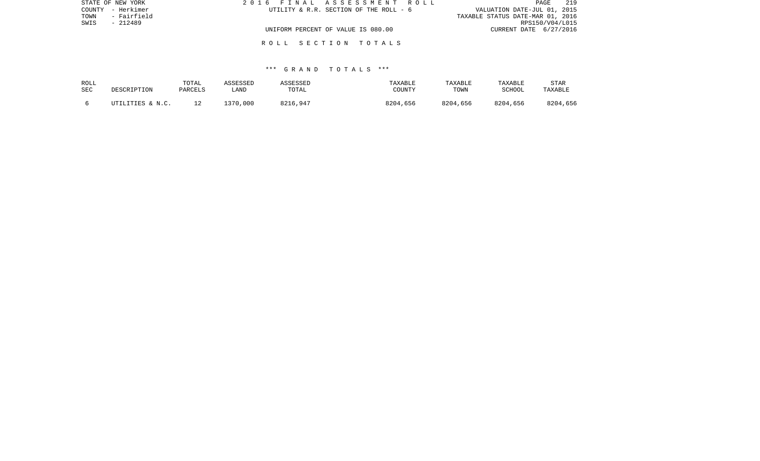| STATE OF NEW YORK   | 2016 FINAL ASSESSMENT ROLL             | 219<br>PAGE                      |
|---------------------|----------------------------------------|----------------------------------|
| COUNTY - Herkimer   | UTILITY & R.R. SECTION OF THE ROLL - 6 | VALUATION DATE-JUL 01, 2015      |
| - Fairfield<br>TOWN |                                        | TAXABLE STATUS DATE-MAR 01, 2016 |
| SWIS<br>- 212489    |                                        | RPS150/V04/L015                  |
|                     | UNIFORM PERCENT OF VALUE IS 080.00     | CURRENT DATE 6/27/2016           |
|                     |                                        |                                  |

R O L L S E C T I O N T O T A L S

## \*\*\* G R A N D T O T A L S \*\*\*

| ROLL<br>SEC | DESCRIPTION      | TOTAL<br>PARCELS | ASSESSED<br>_AND | ASSESSED<br>TOTAL | TAXABLE<br>COUNTY | TAXABLE<br>TOWN | TAXABLE<br>SCHOOL | STAR<br>TAXABLE |
|-------------|------------------|------------------|------------------|-------------------|-------------------|-----------------|-------------------|-----------------|
|             | UTILITIES & N.C. |                  | 1370,000         | 8216,947          | 8204,656          | 8204,656        | 8204,656          | 8204,656        |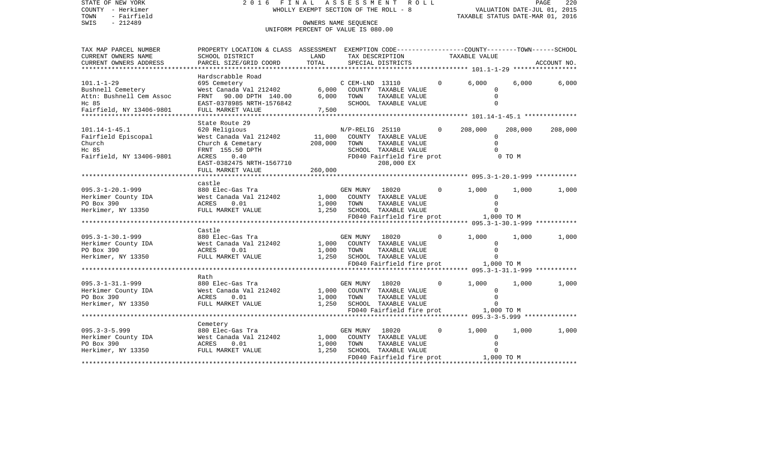| STATE OF NEW YORK<br>COUNTY - Herkimer | 2016 FINAL ASSESSMENT ROLL                                                                       | WHOLLY EXEMPT SECTION OF THE ROLL - 8 |                |                                              |              | PAGE 220<br>VALUATION DATE-JUL 01, 2015 |         |             |
|----------------------------------------|--------------------------------------------------------------------------------------------------|---------------------------------------|----------------|----------------------------------------------|--------------|-----------------------------------------|---------|-------------|
| - Fairfield<br>TOWN                    |                                                                                                  |                                       |                |                                              |              | TAXABLE STATUS DATE-MAR 01, 2016        |         |             |
| $-212489$<br>SWIS                      |                                                                                                  | OWNERS NAME SEQUENCE                  |                |                                              |              |                                         |         |             |
|                                        |                                                                                                  | UNIFORM PERCENT OF VALUE IS 080.00    |                |                                              |              |                                         |         |             |
|                                        |                                                                                                  |                                       |                |                                              |              |                                         |         |             |
| TAX MAP PARCEL NUMBER                  | PROPERTY LOCATION & CLASS ASSESSMENT EXEMPTION CODE----------------COUNTY-------TOWN------SCHOOL |                                       |                |                                              |              |                                         |         |             |
| CURRENT OWNERS NAME                    | SCHOOL DISTRICT                                                                                  | LAND                                  |                | TAX DESCRIPTION                              |              | TAXABLE VALUE                           |         |             |
| CURRENT OWNERS ADDRESS                 | PARCEL SIZE/GRID COORD                                                                           | TOTAL                                 |                | SPECIAL DISTRICTS                            |              |                                         |         | ACCOUNT NO. |
| ***********************                |                                                                                                  |                                       |                |                                              |              |                                         |         |             |
|                                        | Hardscrabble Road                                                                                |                                       |                |                                              |              |                                         |         |             |
| $101.1 - 1 - 29$                       | 695 Cemetery                                                                                     |                                       |                | C CEM-LND 13110                              | $\Omega$     | 6.000                                   | 6.000   | 6,000       |
| Bushnell Cemetery                      | West Canada Val 212402 6,000 COUNTY TAXABLE VALUE                                                |                                       |                |                                              |              | $\Omega$                                |         |             |
| Attn: Bushnell Cem Assoc               | FRNT 90.00 DPTH 140.00 6,000 TOWN                                                                |                                       |                | TAXABLE VALUE                                |              | $\Omega$                                |         |             |
| Hc 85                                  | EAST-0378985 NRTH-1576842                                                                        |                                       |                | SCHOOL TAXABLE VALUE                         |              |                                         |         |             |
| Fairfield, NY 13406-9801               | FULL MARKET VALUE                                                                                | 7,500                                 |                |                                              |              |                                         |         |             |
|                                        | State Route 29                                                                                   |                                       |                |                                              |              |                                         |         |             |
| 101.14-1-45.1                          | 620 Religious                                                                                    |                                       |                | N/P-RELIG 25110                              | $\mathbf{0}$ | 208,000                                 | 208,000 | 208,000     |
| Fairfield Episcopal                    | West Canada Val 212402                                                                           | 11,000                                |                | COUNTY TAXABLE VALUE                         |              | $\circ$                                 |         |             |
| Church                                 |                                                                                                  | 208,000                               | TOWN           | TAXABLE VALUE                                |              | $\Omega$                                |         |             |
| Hc 85                                  | Church & Cemetary                                                                                |                                       |                | SCHOOL TAXABLE VALUE                         |              |                                         |         |             |
|                                        | FRNT 155.50 DPTH                                                                                 |                                       |                |                                              |              |                                         |         |             |
| Fairfield, NY 13406-9801               | ACRES 0.40                                                                                       |                                       |                | FD040 Fairfield fire prot                    |              |                                         | 0 TO M  |             |
|                                        | EAST-0382475 NRTH-1567710                                                                        |                                       |                | 208,000 EX                                   |              |                                         |         |             |
|                                        | FULL MARKET VALUE                                                                                | 260,000                               |                |                                              |              |                                         |         |             |
|                                        | castle                                                                                           |                                       |                |                                              |              |                                         |         |             |
| 095.3-1-20.1-999                       | 880 Elec-Gas Tra                                                                                 |                                       | GEN MUNY 18020 |                                              | $\mathbf{0}$ | 1,000                                   | 1,000   | 1,000       |
|                                        | boot here and the west can be controlled by the Mest Canada Val 212402                           |                                       |                | 1,000 COUNTY TAXABLE VALUE                   |              | $\Omega$                                |         |             |
| PO Box 390                             | ACRES<br>0.01                                                                                    |                                       | 1,000 TOWN     | TAXABLE VALUE                                |              | $\Omega$                                |         |             |
| Herkimer, NY 13350                     | FULL MARKET VALUE                                                                                |                                       |                | SCHOOL TAXABLE VALUE                         |              |                                         |         |             |
|                                        |                                                                                                  | 1,250                                 |                |                                              |              | FD040 Fairfield fire prot 1,000 TO M    |         |             |
|                                        |                                                                                                  |                                       |                |                                              |              |                                         |         |             |
|                                        | Castle                                                                                           |                                       |                |                                              |              |                                         |         |             |
| 095.3-1-30.1-999                       | 880 Elec-Gas Tra                                                                                 |                                       | GEN MUNY       | 18020                                        | $\Omega$     | 1,000                                   | 1,000   | 1,000       |
|                                        |                                                                                                  |                                       |                | 1,000 COUNTY TAXABLE VALUE                   |              | $\mathbf{0}$                            |         |             |
|                                        |                                                                                                  |                                       | 1,000 TOWN     | TAXABLE VALUE                                |              | $\Omega$                                |         |             |
| Herkimer, NY 13350                     | ACRES<br>FULI M<br>FULL MARKET VALUE                                                             |                                       |                | 1,250 SCHOOL TAXABLE VALUE                   |              | $\Omega$                                |         |             |
|                                        |                                                                                                  |                                       |                | FD040 Fairfield fire prot                    |              | 1,000 TO M                              |         |             |
|                                        |                                                                                                  |                                       |                |                                              |              |                                         |         |             |
|                                        | Rath                                                                                             |                                       |                |                                              |              |                                         |         |             |
| 095.3-1-31.1-999                       | 880 Elec-Gas Tra                                                                                 |                                       |                | GEN MUNY 18020<br>1,000 COUNTY TAXABLE VALUE | $\mathbf{0}$ | 1,000                                   | 1,000   | 1,000       |
| Herkimer County IDA                    | 880 Elec-Gas Tra<br>West Canada Val 212402                                                       |                                       |                |                                              |              | $\Omega$                                |         |             |
| PO Box 390                             | ACRES 0.01                                                                                       | 1,000                                 | TOWN           | TAXABLE VALUE                                |              | $\Omega$                                |         |             |
| Herkimer, NY 13350                     | FULL MARKET VALUE                                                                                | 1,250                                 |                | SCHOOL TAXABLE VALUE                         |              |                                         |         |             |
|                                        |                                                                                                  |                                       |                |                                              |              | FD040 Fairfield fire prot 1,000 TO M    |         |             |
|                                        |                                                                                                  |                                       |                |                                              |              |                                         |         |             |
|                                        | Cemetery                                                                                         |                                       |                |                                              |              |                                         |         |             |
| $095.3 - 3 - 5.999$                    | 880 Elec-Gas Tra                                                                                 |                                       | GEN MUNY       | 18020                                        | $\mathbf{0}$ | 1,000                                   | 1,000   | 1,000       |
| Herkimer County IDA                    | West Canada Val 212402<br>ACRES 0.01                                                             | 1,000                                 |                | COUNTY TAXABLE VALUE                         |              | 0                                       |         |             |
| PO Box 390                             |                                                                                                  | 1,000                                 | TOWN           | TAXABLE VALUE                                |              | $\Omega$                                |         |             |
| Herkimer, NY 13350                     | FULL MARKET VALUE                                                                                | 1,250                                 |                | SCHOOL TAXABLE VALUE                         |              | $\Omega$                                |         |             |
|                                        |                                                                                                  |                                       |                |                                              |              | FD040 Fairfield fire prot 1,000 TO M    |         |             |
|                                        |                                                                                                  |                                       |                |                                              |              |                                         |         |             |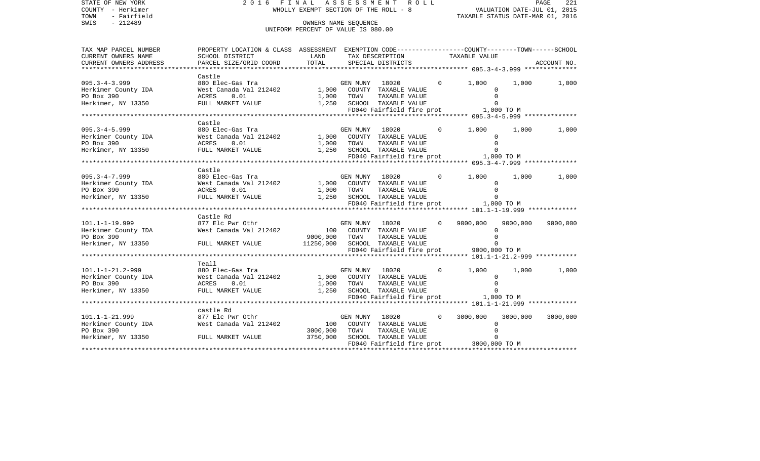| STATE OF NEW YORK<br>COUNTY - Herkimer<br>TOWN<br>- Fairfield<br>$-212489$<br>SWIS                           | 2016 FINAL ASSESSMENT ROLL<br>WHOLLY EXEMPT SECTION OF THE ROLL - 8                                               | PAGE<br>221<br>VALUATION DATE-JUL 01, 2015<br>TAXABLE STATUS DATE-MAR 01, 2016   |                |                            |  |                |                                         |          |             |
|--------------------------------------------------------------------------------------------------------------|-------------------------------------------------------------------------------------------------------------------|----------------------------------------------------------------------------------|----------------|----------------------------|--|----------------|-----------------------------------------|----------|-------------|
|                                                                                                              |                                                                                                                   | UNIFORM PERCENT OF VALUE IS 080.00                                               |                |                            |  |                |                                         |          |             |
| TAX MAP PARCEL NUMBER<br>CURRENT OWNERS NAME                                                                 | PROPERTY LOCATION & CLASS ASSESSMENT EXEMPTION CODE---------------COUNTY-------TOWN-----SCHOOL<br>SCHOOL DISTRICT | LAND                                                                             |                | TAX DESCRIPTION            |  | TAXABLE VALUE  |                                         |          |             |
| CURRENT OWNERS ADDRESS                                                                                       | PARCEL SIZE/GRID COORD                                                                                            | TOTAL                                                                            |                | SPECIAL DISTRICTS          |  |                |                                         |          | ACCOUNT NO. |
|                                                                                                              |                                                                                                                   |                                                                                  |                |                            |  |                |                                         |          |             |
| $095.3 - 4 - 3.999$                                                                                          | Castle                                                                                                            |                                                                                  |                |                            |  | $0 \t 1,000$   |                                         | 1,000    | 1,000       |
|                                                                                                              |                                                                                                                   |                                                                                  |                |                            |  |                | $\Omega$                                |          |             |
| Herkimer County IDA<br>PO Box 390                                                                            |                                                                                                                   |                                                                                  |                |                            |  |                | $\Omega$                                |          |             |
| Herkimer, NY 13350                                                                                           |                                                                                                                   |                                                                                  |                |                            |  |                | $\Omega$                                |          |             |
|                                                                                                              |                                                                                                                   |                                                                                  |                |                            |  |                | FD040 Fairfield fire prot 1,000 TO M    |          |             |
|                                                                                                              |                                                                                                                   |                                                                                  |                |                            |  |                |                                         |          |             |
|                                                                                                              | Castle                                                                                                            |                                                                                  |                |                            |  |                |                                         |          |             |
| $095.3 - 4 - 5.999$<br>095.3-4-5.999<br>Herkimer County IDA<br>PO Box 390<br>Herkimer, NY 13350              | 880 Elec-Gas Tra                                                                                                  |                                                                                  |                | GEN MUNY 18020             |  | $\Omega$       | 1,000                                   | 1,000    | 1,000       |
|                                                                                                              | West Canada Val 212402 1,000 COUNTY TAXABLE VALUE                                                                 |                                                                                  |                |                            |  |                |                                         |          |             |
|                                                                                                              | ACRES<br>0.01                                                                                                     |                                                                                  |                |                            |  |                | $\Omega$                                |          |             |
| Herkimer, NY 13350                                                                                           | FULL MARKET VALUE                                                                                                 | 1,000 TOWN TAXABLE VALUE<br>1,250 SCHOOL TAXABLE VALUE<br>FD040 Fairfield fire p |                |                            |  |                | $\Omega$                                |          |             |
|                                                                                                              |                                                                                                                   |                                                                                  |                |                            |  |                | FD040 Fairfield fire prot 1,000 TO M    |          |             |
|                                                                                                              | Castle                                                                                                            |                                                                                  |                |                            |  |                |                                         |          |             |
| $095.3 - 4 - 7.999$                                                                                          | 880 Elec-Gas Tra                                                                                                  |                                                                                  |                | GEN MUNY 18020             |  | $\overline{0}$ | 1,000                                   | 1,000    | 1,000       |
|                                                                                                              | 880 Elec-Gas Tra<br>West Canada Val 212402 1,000 COUNTY TAXABLE VALUE                                             |                                                                                  |                |                            |  |                | 0                                       |          |             |
|                                                                                                              | ACRES<br>0.01                                                                                                     |                                                                                  |                |                            |  |                | $\Omega$                                |          |             |
| 095.3-4-7.999<br>Herkimer County IDA<br>PO Box 390<br>Herkimer, NY 13350                                     | FULL MARKET VALUE                                                                                                 | 1,000 TOWN TAXABLE VALUE<br>1,250 SCHOOL TAXABLE VALUE                           |                |                            |  |                | $\Omega$                                |          |             |
|                                                                                                              |                                                                                                                   |                                                                                  |                |                            |  |                | FD040 Fairfield fire prot 1,000 TO M    |          |             |
|                                                                                                              |                                                                                                                   |                                                                                  |                |                            |  |                |                                         |          |             |
|                                                                                                              | Castle Rd                                                                                                         |                                                                                  |                |                            |  |                |                                         |          |             |
| $101.1 - 1 - 19.999$<br>Herkimer County IDA<br>Herkimer County IDA<br>PO Box 390                             |                                                                                                                   |                                                                                  |                | GEN MUNY 18020             |  | $\Omega$       | 9000,000                                | 9000,000 | 9000,000    |
|                                                                                                              |                                                                                                                   |                                                                                  |                |                            |  |                | $\Omega$                                |          |             |
| PO Box 390                                                                                                   |                                                                                                                   | 9000,000                                                                         | TOWN           | TAXABLE VALUE              |  |                | $\Omega$                                |          |             |
| Herkimer, NY 13350                                                                                           | FULL MARKET VALUE                                                                                                 | 11250,000 SCHOOL TAXABLE VALUE                                                   |                |                            |  |                |                                         |          |             |
|                                                                                                              |                                                                                                                   |                                                                                  |                |                            |  |                | FD040 Fairfield fire prot 9000,000 TO M |          |             |
|                                                                                                              | Teall                                                                                                             |                                                                                  |                |                            |  |                |                                         |          |             |
|                                                                                                              | 880 Elec-Gas Tra                                                                                                  |                                                                                  | GEN MUNY 18020 |                            |  | $\Omega$       | 1,000                                   | 1,000    | 1,000       |
| 101.1-1-21.2-999<br>Herkimer County IDA<br>PO Box 390<br>Herkimer, NY 13350                                  | West Canada Val 212402                                                                                            |                                                                                  |                | 1,000 COUNTY TAXABLE VALUE |  |                | $\mathbf 0$                             |          |             |
|                                                                                                              | ACRES<br>0.01                                                                                                     | 1,000                                                                            | TOWN           | TAXABLE VALUE              |  |                | $\Omega$                                |          |             |
|                                                                                                              | FULL MARKET VALUE                                                                                                 |                                                                                  |                | 1,250 SCHOOL TAXABLE VALUE |  |                | $\Omega$                                |          |             |
|                                                                                                              |                                                                                                                   |                                                                                  |                |                            |  |                | FD040 Fairfield fire prot 1,000 TO M    |          |             |
|                                                                                                              |                                                                                                                   |                                                                                  |                |                            |  |                |                                         |          |             |
| 101.1-1-21.999<br>Herkimer County IDA 877 Elc Pwr Othr<br>Nest Canada Val 212402<br>PO Box 390<br>PO Box 390 |                                                                                                                   |                                                                                  |                |                            |  |                |                                         |          |             |
|                                                                                                              |                                                                                                                   | $\begin{array}{c} \text{GE} \\ 100 \end{array}$                                  | GEN MUNY 18020 |                            |  | $\Omega$       | 3000,000                                | 3000,000 | 3000,000    |
|                                                                                                              |                                                                                                                   |                                                                                  |                | COUNTY TAXABLE VALUE       |  |                | $\Omega$                                |          |             |
|                                                                                                              |                                                                                                                   | 3000,000                                                                         | TOWN           | TAXABLE VALUE              |  |                | $\mathbf 0$                             |          |             |
| Herkimer, NY 13350 FULL MARKET VALUE                                                                         |                                                                                                                   | 3750,000                                                                         |                | SCHOOL TAXABLE VALUE       |  |                | $\mathbf 0$                             |          |             |
|                                                                                                              |                                                                                                                   |                                                                                  |                |                            |  |                | FD040 Fairfield fire prot 3000,000 TO M |          |             |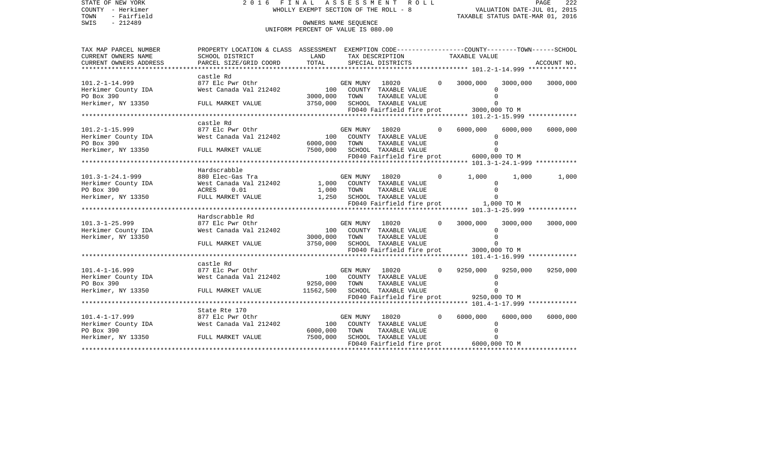| $-212489$<br>SWIS<br>OWNERS NAME SEQUENCE<br>UNIFORM PERCENT OF VALUE IS 080.00<br>PROPERTY LOCATION & CLASS ASSESSMENT EXEMPTION CODE---------------COUNTY-------TOWN-----SCHOOL<br>TAXABLE VALUE<br>CURRENT OWNERS NAME<br>SCHOOL DISTRICT<br>LAND<br>TAX DESCRIPTION<br>TOTAL<br>CURRENT OWNERS ADDRESS<br>PARCEL SIZE/GRID COORD<br>SPECIAL DISTRICTS<br>ACCOUNT NO.<br>castle Rd<br>3000,000<br>877 Elc Pwr Othr<br>GEN MUNY 18020<br>$\Omega$<br>3000,000<br>3000,000<br>West Canada Val 212402 100<br>Herkimer County IDA<br>COUNTY TAXABLE VALUE<br>$\Omega$<br>3000,000<br>TOWN<br>TAXABLE VALUE<br>$\Omega$<br>Herkimer, NY 13350<br>3750,000<br>SCHOOL TAXABLE VALUE<br>FULL MARKET VALUE<br>$\Omega$<br>FD040 Fairfield fire prot 3000,000 TO M<br>castle Rd<br>$101.2 - 1 - 15.999$<br>877 Elc Pwr Othr<br>6000,000<br>6000,000<br>GEN MUNY 18020<br>6000,000<br>Herkimer County IDA<br>100 COUNTY TAXABLE VALUE<br>West Canada Val 212402<br>$\Omega$<br>PO Box 390<br>6000,000 TOWN<br>TAXABLE VALUE<br>$\mathbf 0$<br>Herkimer, NY 13350<br>7500,000<br>SCHOOL TAXABLE VALUE<br>FULL MARKET VALUE<br>$\Omega$<br>FD040 Fairfield fire prot 6000,000 TO M<br>Hardscrabble<br>880 Elec-Gas Tra<br>18020<br>1,000<br>GEN MUNY<br>$\circ$<br>1,000<br>1,000<br>101.3-1-24.1-999<br>Herkimer County IDA<br>West Canada Val 212402 1,000 COUNTY TAXABLE VALUE<br>0<br>0.01<br>1,000 TOWN TAXABLE VALUE<br>1,250 SCHOOL TAXABLE VALUE<br>$\mathbf 0$<br>ACRES<br>Herkimer, NY 13350<br>FULL MARKET VALUE<br>$\Omega$<br>FD040 Fairfield fire prot 1,000 TO M<br>Hardscrabble Rd<br>$101.3 - 1 - 25.999$<br>877 Elc Pwr Othr<br>GEN MUNY 18020<br>3000,000<br>3000,000<br>$\Omega$<br>3000,000<br>100 COUNTY TAXABLE VALUE<br>Herkimer County IDA<br>West Canada Val 212402<br>$\mathbf 0$<br>3000,000<br>$\Omega$<br>TOWN<br>TAXABLE VALUE<br>3750,000 SCHOOL TAXABLE VALUE<br>FULL MARKET VALUE<br>$\Omega$<br>FD040 Fairfield fire prot 3000,000 TO M<br>castle Rd<br>$101.4 - 1 - 16.999$<br>877 Elc Pwr Othr<br>18020<br>9250,000<br>9250,000<br>9250,000<br>GEN MUNY<br>$\Omega$<br>100 COUNTY TAXABLE VALUE<br>Herkimer County IDA<br>West Canada Val 212402<br>$\Omega$<br>PO Box 390<br>9250,000 TOWN<br>TAXABLE VALUE<br>$\Omega$<br>FULL MARKET VALUE 11562,500 SCHOOL TAXABLE VALUE<br>Herkimer, NY 13350<br>$\Omega$<br>State Rte 170<br>6000,000<br>877 Elc Pwr Othr<br>18020 1802<br>$\Omega$<br>6000,000<br>6000,000<br>GEN MUNY<br>Herkimer County IDA West Canada Val 212402<br>100<br>COUNTY TAXABLE VALUE<br>$\Omega$<br>6000,000<br>TOWN<br>TAXABLE VALUE<br>$\Omega$<br>7500,000<br>Herkimer, NY 13350 FULL MARKET VALUE<br>SCHOOL TAXABLE VALUE<br>$\Omega$<br>FD040 Fairfield fire prot 6000,000 TO M | STATE OF NEW YORK<br>COUNTY - Herkimer<br>TOWN<br>- Fairfield | 2016 FINAL ASSESSMENT ROLL<br>WHOLLY EXEMPT SECTION OF THE ROLL - 8 |  |  |  |  |  | PAGE<br>222<br>VALUATION DATE-JUL 01, 2015<br>TAXABLE STATUS DATE-MAR 01, 2016 |  |  |  |
|---------------------------------------------------------------------------------------------------------------------------------------------------------------------------------------------------------------------------------------------------------------------------------------------------------------------------------------------------------------------------------------------------------------------------------------------------------------------------------------------------------------------------------------------------------------------------------------------------------------------------------------------------------------------------------------------------------------------------------------------------------------------------------------------------------------------------------------------------------------------------------------------------------------------------------------------------------------------------------------------------------------------------------------------------------------------------------------------------------------------------------------------------------------------------------------------------------------------------------------------------------------------------------------------------------------------------------------------------------------------------------------------------------------------------------------------------------------------------------------------------------------------------------------------------------------------------------------------------------------------------------------------------------------------------------------------------------------------------------------------------------------------------------------------------------------------------------------------------------------------------------------------------------------------------------------------------------------------------------------------------------------------------------------------------------------------------------------------------------------------------------------------------------------------------------------------------------------------------------------------------------------------------------------------------------------------------------------------------------------------------------------------------------------------------------------------------------------------------------------------------------------------------------------------------------------------------------------------------------------------------------------------------------------------------------------------------------------------------------------|---------------------------------------------------------------|---------------------------------------------------------------------|--|--|--|--|--|--------------------------------------------------------------------------------|--|--|--|
|                                                                                                                                                                                                                                                                                                                                                                                                                                                                                                                                                                                                                                                                                                                                                                                                                                                                                                                                                                                                                                                                                                                                                                                                                                                                                                                                                                                                                                                                                                                                                                                                                                                                                                                                                                                                                                                                                                                                                                                                                                                                                                                                                                                                                                                                                                                                                                                                                                                                                                                                                                                                                                                                                                                                       |                                                               |                                                                     |  |  |  |  |  |                                                                                |  |  |  |
|                                                                                                                                                                                                                                                                                                                                                                                                                                                                                                                                                                                                                                                                                                                                                                                                                                                                                                                                                                                                                                                                                                                                                                                                                                                                                                                                                                                                                                                                                                                                                                                                                                                                                                                                                                                                                                                                                                                                                                                                                                                                                                                                                                                                                                                                                                                                                                                                                                                                                                                                                                                                                                                                                                                                       |                                                               |                                                                     |  |  |  |  |  |                                                                                |  |  |  |
|                                                                                                                                                                                                                                                                                                                                                                                                                                                                                                                                                                                                                                                                                                                                                                                                                                                                                                                                                                                                                                                                                                                                                                                                                                                                                                                                                                                                                                                                                                                                                                                                                                                                                                                                                                                                                                                                                                                                                                                                                                                                                                                                                                                                                                                                                                                                                                                                                                                                                                                                                                                                                                                                                                                                       | TAX MAP PARCEL NUMBER                                         |                                                                     |  |  |  |  |  |                                                                                |  |  |  |
|                                                                                                                                                                                                                                                                                                                                                                                                                                                                                                                                                                                                                                                                                                                                                                                                                                                                                                                                                                                                                                                                                                                                                                                                                                                                                                                                                                                                                                                                                                                                                                                                                                                                                                                                                                                                                                                                                                                                                                                                                                                                                                                                                                                                                                                                                                                                                                                                                                                                                                                                                                                                                                                                                                                                       |                                                               |                                                                     |  |  |  |  |  |                                                                                |  |  |  |
|                                                                                                                                                                                                                                                                                                                                                                                                                                                                                                                                                                                                                                                                                                                                                                                                                                                                                                                                                                                                                                                                                                                                                                                                                                                                                                                                                                                                                                                                                                                                                                                                                                                                                                                                                                                                                                                                                                                                                                                                                                                                                                                                                                                                                                                                                                                                                                                                                                                                                                                                                                                                                                                                                                                                       |                                                               |                                                                     |  |  |  |  |  |                                                                                |  |  |  |
|                                                                                                                                                                                                                                                                                                                                                                                                                                                                                                                                                                                                                                                                                                                                                                                                                                                                                                                                                                                                                                                                                                                                                                                                                                                                                                                                                                                                                                                                                                                                                                                                                                                                                                                                                                                                                                                                                                                                                                                                                                                                                                                                                                                                                                                                                                                                                                                                                                                                                                                                                                                                                                                                                                                                       |                                                               |                                                                     |  |  |  |  |  |                                                                                |  |  |  |
|                                                                                                                                                                                                                                                                                                                                                                                                                                                                                                                                                                                                                                                                                                                                                                                                                                                                                                                                                                                                                                                                                                                                                                                                                                                                                                                                                                                                                                                                                                                                                                                                                                                                                                                                                                                                                                                                                                                                                                                                                                                                                                                                                                                                                                                                                                                                                                                                                                                                                                                                                                                                                                                                                                                                       | $101.2 - 1 - 14.999$                                          |                                                                     |  |  |  |  |  |                                                                                |  |  |  |
|                                                                                                                                                                                                                                                                                                                                                                                                                                                                                                                                                                                                                                                                                                                                                                                                                                                                                                                                                                                                                                                                                                                                                                                                                                                                                                                                                                                                                                                                                                                                                                                                                                                                                                                                                                                                                                                                                                                                                                                                                                                                                                                                                                                                                                                                                                                                                                                                                                                                                                                                                                                                                                                                                                                                       |                                                               |                                                                     |  |  |  |  |  |                                                                                |  |  |  |
|                                                                                                                                                                                                                                                                                                                                                                                                                                                                                                                                                                                                                                                                                                                                                                                                                                                                                                                                                                                                                                                                                                                                                                                                                                                                                                                                                                                                                                                                                                                                                                                                                                                                                                                                                                                                                                                                                                                                                                                                                                                                                                                                                                                                                                                                                                                                                                                                                                                                                                                                                                                                                                                                                                                                       | PO Box 390                                                    |                                                                     |  |  |  |  |  |                                                                                |  |  |  |
|                                                                                                                                                                                                                                                                                                                                                                                                                                                                                                                                                                                                                                                                                                                                                                                                                                                                                                                                                                                                                                                                                                                                                                                                                                                                                                                                                                                                                                                                                                                                                                                                                                                                                                                                                                                                                                                                                                                                                                                                                                                                                                                                                                                                                                                                                                                                                                                                                                                                                                                                                                                                                                                                                                                                       |                                                               |                                                                     |  |  |  |  |  |                                                                                |  |  |  |
|                                                                                                                                                                                                                                                                                                                                                                                                                                                                                                                                                                                                                                                                                                                                                                                                                                                                                                                                                                                                                                                                                                                                                                                                                                                                                                                                                                                                                                                                                                                                                                                                                                                                                                                                                                                                                                                                                                                                                                                                                                                                                                                                                                                                                                                                                                                                                                                                                                                                                                                                                                                                                                                                                                                                       |                                                               |                                                                     |  |  |  |  |  |                                                                                |  |  |  |
|                                                                                                                                                                                                                                                                                                                                                                                                                                                                                                                                                                                                                                                                                                                                                                                                                                                                                                                                                                                                                                                                                                                                                                                                                                                                                                                                                                                                                                                                                                                                                                                                                                                                                                                                                                                                                                                                                                                                                                                                                                                                                                                                                                                                                                                                                                                                                                                                                                                                                                                                                                                                                                                                                                                                       |                                                               |                                                                     |  |  |  |  |  |                                                                                |  |  |  |
|                                                                                                                                                                                                                                                                                                                                                                                                                                                                                                                                                                                                                                                                                                                                                                                                                                                                                                                                                                                                                                                                                                                                                                                                                                                                                                                                                                                                                                                                                                                                                                                                                                                                                                                                                                                                                                                                                                                                                                                                                                                                                                                                                                                                                                                                                                                                                                                                                                                                                                                                                                                                                                                                                                                                       |                                                               |                                                                     |  |  |  |  |  |                                                                                |  |  |  |
|                                                                                                                                                                                                                                                                                                                                                                                                                                                                                                                                                                                                                                                                                                                                                                                                                                                                                                                                                                                                                                                                                                                                                                                                                                                                                                                                                                                                                                                                                                                                                                                                                                                                                                                                                                                                                                                                                                                                                                                                                                                                                                                                                                                                                                                                                                                                                                                                                                                                                                                                                                                                                                                                                                                                       |                                                               |                                                                     |  |  |  |  |  |                                                                                |  |  |  |
|                                                                                                                                                                                                                                                                                                                                                                                                                                                                                                                                                                                                                                                                                                                                                                                                                                                                                                                                                                                                                                                                                                                                                                                                                                                                                                                                                                                                                                                                                                                                                                                                                                                                                                                                                                                                                                                                                                                                                                                                                                                                                                                                                                                                                                                                                                                                                                                                                                                                                                                                                                                                                                                                                                                                       |                                                               |                                                                     |  |  |  |  |  |                                                                                |  |  |  |
|                                                                                                                                                                                                                                                                                                                                                                                                                                                                                                                                                                                                                                                                                                                                                                                                                                                                                                                                                                                                                                                                                                                                                                                                                                                                                                                                                                                                                                                                                                                                                                                                                                                                                                                                                                                                                                                                                                                                                                                                                                                                                                                                                                                                                                                                                                                                                                                                                                                                                                                                                                                                                                                                                                                                       |                                                               |                                                                     |  |  |  |  |  |                                                                                |  |  |  |
|                                                                                                                                                                                                                                                                                                                                                                                                                                                                                                                                                                                                                                                                                                                                                                                                                                                                                                                                                                                                                                                                                                                                                                                                                                                                                                                                                                                                                                                                                                                                                                                                                                                                                                                                                                                                                                                                                                                                                                                                                                                                                                                                                                                                                                                                                                                                                                                                                                                                                                                                                                                                                                                                                                                                       |                                                               |                                                                     |  |  |  |  |  |                                                                                |  |  |  |
|                                                                                                                                                                                                                                                                                                                                                                                                                                                                                                                                                                                                                                                                                                                                                                                                                                                                                                                                                                                                                                                                                                                                                                                                                                                                                                                                                                                                                                                                                                                                                                                                                                                                                                                                                                                                                                                                                                                                                                                                                                                                                                                                                                                                                                                                                                                                                                                                                                                                                                                                                                                                                                                                                                                                       |                                                               |                                                                     |  |  |  |  |  |                                                                                |  |  |  |
|                                                                                                                                                                                                                                                                                                                                                                                                                                                                                                                                                                                                                                                                                                                                                                                                                                                                                                                                                                                                                                                                                                                                                                                                                                                                                                                                                                                                                                                                                                                                                                                                                                                                                                                                                                                                                                                                                                                                                                                                                                                                                                                                                                                                                                                                                                                                                                                                                                                                                                                                                                                                                                                                                                                                       |                                                               |                                                                     |  |  |  |  |  |                                                                                |  |  |  |
|                                                                                                                                                                                                                                                                                                                                                                                                                                                                                                                                                                                                                                                                                                                                                                                                                                                                                                                                                                                                                                                                                                                                                                                                                                                                                                                                                                                                                                                                                                                                                                                                                                                                                                                                                                                                                                                                                                                                                                                                                                                                                                                                                                                                                                                                                                                                                                                                                                                                                                                                                                                                                                                                                                                                       |                                                               |                                                                     |  |  |  |  |  |                                                                                |  |  |  |
|                                                                                                                                                                                                                                                                                                                                                                                                                                                                                                                                                                                                                                                                                                                                                                                                                                                                                                                                                                                                                                                                                                                                                                                                                                                                                                                                                                                                                                                                                                                                                                                                                                                                                                                                                                                                                                                                                                                                                                                                                                                                                                                                                                                                                                                                                                                                                                                                                                                                                                                                                                                                                                                                                                                                       |                                                               |                                                                     |  |  |  |  |  |                                                                                |  |  |  |
|                                                                                                                                                                                                                                                                                                                                                                                                                                                                                                                                                                                                                                                                                                                                                                                                                                                                                                                                                                                                                                                                                                                                                                                                                                                                                                                                                                                                                                                                                                                                                                                                                                                                                                                                                                                                                                                                                                                                                                                                                                                                                                                                                                                                                                                                                                                                                                                                                                                                                                                                                                                                                                                                                                                                       |                                                               |                                                                     |  |  |  |  |  |                                                                                |  |  |  |
|                                                                                                                                                                                                                                                                                                                                                                                                                                                                                                                                                                                                                                                                                                                                                                                                                                                                                                                                                                                                                                                                                                                                                                                                                                                                                                                                                                                                                                                                                                                                                                                                                                                                                                                                                                                                                                                                                                                                                                                                                                                                                                                                                                                                                                                                                                                                                                                                                                                                                                                                                                                                                                                                                                                                       |                                                               |                                                                     |  |  |  |  |  |                                                                                |  |  |  |
|                                                                                                                                                                                                                                                                                                                                                                                                                                                                                                                                                                                                                                                                                                                                                                                                                                                                                                                                                                                                                                                                                                                                                                                                                                                                                                                                                                                                                                                                                                                                                                                                                                                                                                                                                                                                                                                                                                                                                                                                                                                                                                                                                                                                                                                                                                                                                                                                                                                                                                                                                                                                                                                                                                                                       |                                                               |                                                                     |  |  |  |  |  |                                                                                |  |  |  |
|                                                                                                                                                                                                                                                                                                                                                                                                                                                                                                                                                                                                                                                                                                                                                                                                                                                                                                                                                                                                                                                                                                                                                                                                                                                                                                                                                                                                                                                                                                                                                                                                                                                                                                                                                                                                                                                                                                                                                                                                                                                                                                                                                                                                                                                                                                                                                                                                                                                                                                                                                                                                                                                                                                                                       |                                                               |                                                                     |  |  |  |  |  |                                                                                |  |  |  |
|                                                                                                                                                                                                                                                                                                                                                                                                                                                                                                                                                                                                                                                                                                                                                                                                                                                                                                                                                                                                                                                                                                                                                                                                                                                                                                                                                                                                                                                                                                                                                                                                                                                                                                                                                                                                                                                                                                                                                                                                                                                                                                                                                                                                                                                                                                                                                                                                                                                                                                                                                                                                                                                                                                                                       |                                                               |                                                                     |  |  |  |  |  |                                                                                |  |  |  |
|                                                                                                                                                                                                                                                                                                                                                                                                                                                                                                                                                                                                                                                                                                                                                                                                                                                                                                                                                                                                                                                                                                                                                                                                                                                                                                                                                                                                                                                                                                                                                                                                                                                                                                                                                                                                                                                                                                                                                                                                                                                                                                                                                                                                                                                                                                                                                                                                                                                                                                                                                                                                                                                                                                                                       |                                                               |                                                                     |  |  |  |  |  |                                                                                |  |  |  |
|                                                                                                                                                                                                                                                                                                                                                                                                                                                                                                                                                                                                                                                                                                                                                                                                                                                                                                                                                                                                                                                                                                                                                                                                                                                                                                                                                                                                                                                                                                                                                                                                                                                                                                                                                                                                                                                                                                                                                                                                                                                                                                                                                                                                                                                                                                                                                                                                                                                                                                                                                                                                                                                                                                                                       | Herkimer, NY 13350                                            |                                                                     |  |  |  |  |  |                                                                                |  |  |  |
|                                                                                                                                                                                                                                                                                                                                                                                                                                                                                                                                                                                                                                                                                                                                                                                                                                                                                                                                                                                                                                                                                                                                                                                                                                                                                                                                                                                                                                                                                                                                                                                                                                                                                                                                                                                                                                                                                                                                                                                                                                                                                                                                                                                                                                                                                                                                                                                                                                                                                                                                                                                                                                                                                                                                       |                                                               |                                                                     |  |  |  |  |  |                                                                                |  |  |  |
|                                                                                                                                                                                                                                                                                                                                                                                                                                                                                                                                                                                                                                                                                                                                                                                                                                                                                                                                                                                                                                                                                                                                                                                                                                                                                                                                                                                                                                                                                                                                                                                                                                                                                                                                                                                                                                                                                                                                                                                                                                                                                                                                                                                                                                                                                                                                                                                                                                                                                                                                                                                                                                                                                                                                       |                                                               |                                                                     |  |  |  |  |  |                                                                                |  |  |  |
|                                                                                                                                                                                                                                                                                                                                                                                                                                                                                                                                                                                                                                                                                                                                                                                                                                                                                                                                                                                                                                                                                                                                                                                                                                                                                                                                                                                                                                                                                                                                                                                                                                                                                                                                                                                                                                                                                                                                                                                                                                                                                                                                                                                                                                                                                                                                                                                                                                                                                                                                                                                                                                                                                                                                       |                                                               |                                                                     |  |  |  |  |  |                                                                                |  |  |  |
|                                                                                                                                                                                                                                                                                                                                                                                                                                                                                                                                                                                                                                                                                                                                                                                                                                                                                                                                                                                                                                                                                                                                                                                                                                                                                                                                                                                                                                                                                                                                                                                                                                                                                                                                                                                                                                                                                                                                                                                                                                                                                                                                                                                                                                                                                                                                                                                                                                                                                                                                                                                                                                                                                                                                       |                                                               |                                                                     |  |  |  |  |  |                                                                                |  |  |  |
|                                                                                                                                                                                                                                                                                                                                                                                                                                                                                                                                                                                                                                                                                                                                                                                                                                                                                                                                                                                                                                                                                                                                                                                                                                                                                                                                                                                                                                                                                                                                                                                                                                                                                                                                                                                                                                                                                                                                                                                                                                                                                                                                                                                                                                                                                                                                                                                                                                                                                                                                                                                                                                                                                                                                       |                                                               |                                                                     |  |  |  |  |  |                                                                                |  |  |  |
|                                                                                                                                                                                                                                                                                                                                                                                                                                                                                                                                                                                                                                                                                                                                                                                                                                                                                                                                                                                                                                                                                                                                                                                                                                                                                                                                                                                                                                                                                                                                                                                                                                                                                                                                                                                                                                                                                                                                                                                                                                                                                                                                                                                                                                                                                                                                                                                                                                                                                                                                                                                                                                                                                                                                       |                                                               |                                                                     |  |  |  |  |  |                                                                                |  |  |  |
|                                                                                                                                                                                                                                                                                                                                                                                                                                                                                                                                                                                                                                                                                                                                                                                                                                                                                                                                                                                                                                                                                                                                                                                                                                                                                                                                                                                                                                                                                                                                                                                                                                                                                                                                                                                                                                                                                                                                                                                                                                                                                                                                                                                                                                                                                                                                                                                                                                                                                                                                                                                                                                                                                                                                       |                                                               |                                                                     |  |  |  |  |  |                                                                                |  |  |  |
|                                                                                                                                                                                                                                                                                                                                                                                                                                                                                                                                                                                                                                                                                                                                                                                                                                                                                                                                                                                                                                                                                                                                                                                                                                                                                                                                                                                                                                                                                                                                                                                                                                                                                                                                                                                                                                                                                                                                                                                                                                                                                                                                                                                                                                                                                                                                                                                                                                                                                                                                                                                                                                                                                                                                       |                                                               |                                                                     |  |  |  |  |  |                                                                                |  |  |  |
|                                                                                                                                                                                                                                                                                                                                                                                                                                                                                                                                                                                                                                                                                                                                                                                                                                                                                                                                                                                                                                                                                                                                                                                                                                                                                                                                                                                                                                                                                                                                                                                                                                                                                                                                                                                                                                                                                                                                                                                                                                                                                                                                                                                                                                                                                                                                                                                                                                                                                                                                                                                                                                                                                                                                       |                                                               |                                                                     |  |  |  |  |  |                                                                                |  |  |  |
|                                                                                                                                                                                                                                                                                                                                                                                                                                                                                                                                                                                                                                                                                                                                                                                                                                                                                                                                                                                                                                                                                                                                                                                                                                                                                                                                                                                                                                                                                                                                                                                                                                                                                                                                                                                                                                                                                                                                                                                                                                                                                                                                                                                                                                                                                                                                                                                                                                                                                                                                                                                                                                                                                                                                       |                                                               |                                                                     |  |  |  |  |  |                                                                                |  |  |  |
|                                                                                                                                                                                                                                                                                                                                                                                                                                                                                                                                                                                                                                                                                                                                                                                                                                                                                                                                                                                                                                                                                                                                                                                                                                                                                                                                                                                                                                                                                                                                                                                                                                                                                                                                                                                                                                                                                                                                                                                                                                                                                                                                                                                                                                                                                                                                                                                                                                                                                                                                                                                                                                                                                                                                       | $101.4 - 1 - 17.999$                                          |                                                                     |  |  |  |  |  |                                                                                |  |  |  |
|                                                                                                                                                                                                                                                                                                                                                                                                                                                                                                                                                                                                                                                                                                                                                                                                                                                                                                                                                                                                                                                                                                                                                                                                                                                                                                                                                                                                                                                                                                                                                                                                                                                                                                                                                                                                                                                                                                                                                                                                                                                                                                                                                                                                                                                                                                                                                                                                                                                                                                                                                                                                                                                                                                                                       |                                                               |                                                                     |  |  |  |  |  |                                                                                |  |  |  |
|                                                                                                                                                                                                                                                                                                                                                                                                                                                                                                                                                                                                                                                                                                                                                                                                                                                                                                                                                                                                                                                                                                                                                                                                                                                                                                                                                                                                                                                                                                                                                                                                                                                                                                                                                                                                                                                                                                                                                                                                                                                                                                                                                                                                                                                                                                                                                                                                                                                                                                                                                                                                                                                                                                                                       | PO Box 390                                                    |                                                                     |  |  |  |  |  |                                                                                |  |  |  |
|                                                                                                                                                                                                                                                                                                                                                                                                                                                                                                                                                                                                                                                                                                                                                                                                                                                                                                                                                                                                                                                                                                                                                                                                                                                                                                                                                                                                                                                                                                                                                                                                                                                                                                                                                                                                                                                                                                                                                                                                                                                                                                                                                                                                                                                                                                                                                                                                                                                                                                                                                                                                                                                                                                                                       |                                                               |                                                                     |  |  |  |  |  |                                                                                |  |  |  |
|                                                                                                                                                                                                                                                                                                                                                                                                                                                                                                                                                                                                                                                                                                                                                                                                                                                                                                                                                                                                                                                                                                                                                                                                                                                                                                                                                                                                                                                                                                                                                                                                                                                                                                                                                                                                                                                                                                                                                                                                                                                                                                                                                                                                                                                                                                                                                                                                                                                                                                                                                                                                                                                                                                                                       |                                                               |                                                                     |  |  |  |  |  |                                                                                |  |  |  |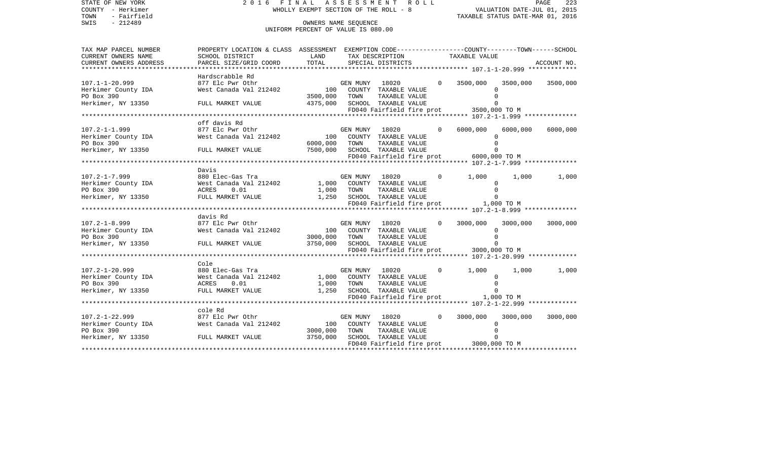| STATE OF NEW YORK<br>COUNTY - Herkimer<br>TOWN<br>- Fairfield                                  | 2016 FINAL ASSESSMENT ROLL<br>WHOLLY EXEMPT SECTION OF THE ROLL - 8                                                                                                            |                                                            | PAGE<br>223<br>VALUATION DATE-JUL 01, 2015<br>TAXABLE STATUS DATE-MAR 01, 2016 |                                                        |          |                                         |               |             |
|------------------------------------------------------------------------------------------------|--------------------------------------------------------------------------------------------------------------------------------------------------------------------------------|------------------------------------------------------------|--------------------------------------------------------------------------------|--------------------------------------------------------|----------|-----------------------------------------|---------------|-------------|
| SWIS<br>$-212489$                                                                              |                                                                                                                                                                                | OWNERS NAME SEOUENCE<br>UNIFORM PERCENT OF VALUE IS 080.00 |                                                                                |                                                        |          |                                         |               |             |
| TAX MAP PARCEL NUMBER<br>CURRENT OWNERS NAME                                                   | PROPERTY LOCATION & CLASS ASSESSMENT EXEMPTION CODE---------------COUNTY-------TOWN-----SCHOOL<br>SCHOOL DISTRICT                                                              | LAND                                                       |                                                                                | TAX DESCRIPTION                                        |          | TAXABLE VALUE                           |               |             |
| CURRENT OWNERS ADDRESS                                                                         | PARCEL SIZE/GRID COORD                                                                                                                                                         | TOTAL                                                      |                                                                                | SPECIAL DISTRICTS                                      |          |                                         |               | ACCOUNT NO. |
|                                                                                                |                                                                                                                                                                                |                                                            |                                                                                |                                                        |          |                                         |               |             |
|                                                                                                | Hardscrabble Rd                                                                                                                                                                |                                                            |                                                                                |                                                        |          |                                         |               |             |
| $107.1 - 1 - 20.999$                                                                           | EN TRANSPORT OF THE REAL AGE OF THE REAL REAL WAS MEST CAN ASSAULT MENT COUNTY TAXABLE VALUE<br>West Canada Val 212402 100 COUNTY TAXABLE VALUE<br>3500,000 TOWN TAXABLE VALUE |                                                            |                                                                                |                                                        |          | $0\qquad 3500,000$                      | 3500,000      | 3500,000    |
| Herkimer County IDA                                                                            |                                                                                                                                                                                |                                                            |                                                                                |                                                        |          |                                         | $\Omega$      |             |
| PO Box 390                                                                                     |                                                                                                                                                                                |                                                            |                                                                                |                                                        |          | $\Omega$                                |               |             |
| Herkimer, NY 13350                                                                             | FULL MARKET VALUE                                                                                                                                                              |                                                            |                                                                                | 4375,000 SCHOOL TAXABLE VALUE                          |          | FD040 Fairfield fire prot 3500,000 TO M | $\Omega$      |             |
|                                                                                                |                                                                                                                                                                                |                                                            |                                                                                |                                                        |          |                                         |               |             |
|                                                                                                | off davis Rd                                                                                                                                                                   |                                                            |                                                                                |                                                        |          |                                         |               |             |
| $107.2 - 1 - 1.999$                                                                            |                                                                                                                                                                                |                                                            |                                                                                |                                                        | $\circ$  | 6000,000                                | 6000,000      | 6000,000    |
| Herkimer County IDA                                                                            | 877 Elc Pwr Othr<br>West Canada Val 212402 100 COUNTY TAXABLE VALUE<br>COUNTY TAXABLE VALUE                                                                                    |                                                            |                                                                                |                                                        |          |                                         | $\Omega$      |             |
| PO Box 390                                                                                     |                                                                                                                                                                                | 6000,000                                                   | TOWN                                                                           | TAXABLE VALUE                                          |          | $\Omega$                                |               |             |
| Herkimer, NY 13350                                                                             | FULL MARKET VALUE                                                                                                                                                              |                                                            |                                                                                | 7500,000 SCHOOL TAXABLE VALUE                          |          |                                         | $\Omega$      |             |
|                                                                                                |                                                                                                                                                                                |                                                            |                                                                                |                                                        |          | FD040 Fairfield fire prot 6000,000 TO M |               |             |
|                                                                                                |                                                                                                                                                                                |                                                            |                                                                                |                                                        |          |                                         |               |             |
|                                                                                                | Davis                                                                                                                                                                          |                                                            |                                                                                |                                                        |          |                                         |               |             |
| $107.2 - 1 - 7.999$                                                                            | 880 Elec-Gas Tra                                                                                                                                                               |                                                            |                                                                                | GEN MUNY 18020                                         | $\circ$  | 1,000                                   | 1,000         | 1,000       |
|                                                                                                | West Canada Val 212402 1,000 COUNTY TAXABLE VALUE<br>0.01<br>ACRES                                                                                                             |                                                            |                                                                                |                                                        |          |                                         | 0<br>$\Omega$ |             |
| 107.2-1-7.999<br>Herkimer County IDA<br>EO Box 390<br>Herkimer, NY 13350<br>Herkimer, NY 13350 | FULL MARKET VALUE                                                                                                                                                              |                                                            |                                                                                | 1,000 TOWN TAXABLE VALUE<br>1,250 SCHOOL TAXABLE VALUE |          | $\Omega$                                |               |             |
|                                                                                                |                                                                                                                                                                                |                                                            |                                                                                |                                                        |          | FD040 Fairfield fire prot 1,000 TO M    |               |             |
|                                                                                                |                                                                                                                                                                                |                                                            |                                                                                |                                                        |          |                                         |               |             |
|                                                                                                | davis Rd                                                                                                                                                                       |                                                            |                                                                                |                                                        |          |                                         |               |             |
| $107.2 - 1 - 8.999$                                                                            |                                                                                                                                                                                |                                                            |                                                                                |                                                        | $\Omega$ | 3000,000                                | 3000,000      | 3000,000    |
| Herkimer County IDA                                                                            |                                                                                                                                                                                |                                                            |                                                                                |                                                        |          |                                         | $\Omega$      |             |
| PO Box 390                                                                                     |                                                                                                                                                                                | 3000,000 TOWN                                              |                                                                                | TAXABLE VALUE                                          |          | $\Omega$                                |               |             |
| Herkimer, NY 13350 FULL MARKET VALUE                                                           |                                                                                                                                                                                |                                                            |                                                                                | 3750,000 SCHOOL TAXABLE VALUE                          |          | $\Omega$                                |               |             |
|                                                                                                |                                                                                                                                                                                |                                                            |                                                                                |                                                        |          |                                         |               |             |
|                                                                                                | Cole                                                                                                                                                                           |                                                            |                                                                                |                                                        |          |                                         |               |             |
|                                                                                                |                                                                                                                                                                                |                                                            |                                                                                |                                                        | $\circ$  | 1,000                                   | 1,000         | 1,000       |
|                                                                                                |                                                                                                                                                                                |                                                            |                                                                                |                                                        |          |                                         | 0             |             |
|                                                                                                | ACRES<br>0.01                                                                                                                                                                  |                                                            |                                                                                |                                                        |          | $\Omega$                                |               |             |
| 107.2-1-20.999<br>Herkimer County IDA<br>PO Box 390<br>Herkimer, NY 13350                      | FULL MARKET VALUE                                                                                                                                                              |                                                            |                                                                                | 1,000 TOWN TAXABLE VALUE<br>1,250 SCHOOL TAXABLE VALUE |          | $\Omega$                                |               |             |
|                                                                                                |                                                                                                                                                                                |                                                            |                                                                                |                                                        |          |                                         |               |             |
|                                                                                                |                                                                                                                                                                                |                                                            |                                                                                |                                                        |          |                                         |               |             |
|                                                                                                | cole Rd                                                                                                                                                                        |                                                            |                                                                                |                                                        |          |                                         |               |             |
| $107.2 - 1 - 22.999$                                                                           | 877 Elc Pwr Othr                                                                                                                                                               |                                                            |                                                                                | GEN MUNY 18020                                         | $\Omega$ | 3000,000                                | 3000,000      | 3000,000    |
| Herkimer County IDA<br>PO Box 390                                                              | West Canada Val 212402                                                                                                                                                         |                                                            |                                                                                | 100 COUNTY TAXABLE VALUE                               |          |                                         | $\Omega$      |             |
| Herkimer, NY 13350 FULL MARKET VALUE                                                           |                                                                                                                                                                                | 3000,000<br>3750,000                                       | TOWN                                                                           | TAXABLE VALUE<br>SCHOOL TAXABLE VALUE                  |          | $\Omega$                                |               |             |
|                                                                                                |                                                                                                                                                                                |                                                            |                                                                                |                                                        |          | FD040 Fairfield fire prot 3000,000 TO M |               |             |
|                                                                                                |                                                                                                                                                                                |                                                            |                                                                                |                                                        |          |                                         |               |             |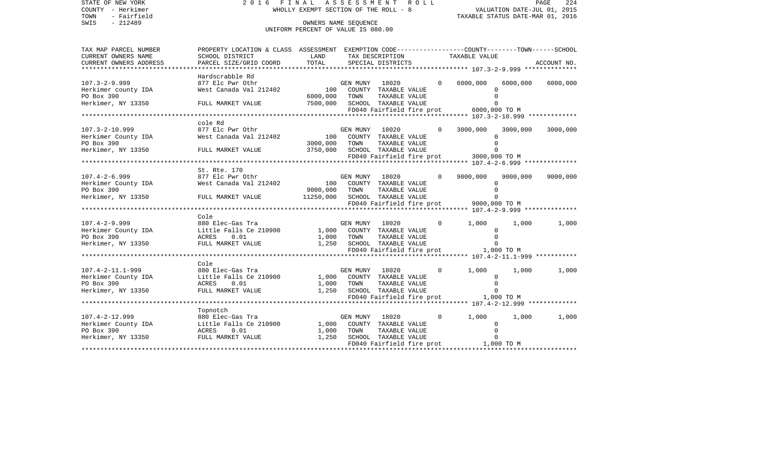| STATE OF NEW YORK<br>COUNTY - Herkimer<br>TOWN<br>- Fairfield | 2016 FINAL ASSESSMENT ROLL                                                                                                                                                                                                                                                                                                                                                                                                                                                                           |                                                            | FINAL ASSESSMENT ROLL MEDIATION DATE-JUL 01, 2015<br>WHOLLY EXEMPT SECTION OF THE ROLL - 8 TAXABLE STATUS DATE-MAR 01, 2016 |                               |          |                                         |          |             |
|---------------------------------------------------------------|------------------------------------------------------------------------------------------------------------------------------------------------------------------------------------------------------------------------------------------------------------------------------------------------------------------------------------------------------------------------------------------------------------------------------------------------------------------------------------------------------|------------------------------------------------------------|-----------------------------------------------------------------------------------------------------------------------------|-------------------------------|----------|-----------------------------------------|----------|-------------|
| $-212489$<br>SWIS                                             |                                                                                                                                                                                                                                                                                                                                                                                                                                                                                                      | OWNERS NAME SEQUENCE<br>UNIFORM PERCENT OF VALUE IS 080.00 |                                                                                                                             |                               |          |                                         |          |             |
| TAX MAP PARCEL NUMBER<br>CURRENT OWNERS NAME                  | PROPERTY LOCATION & CLASS ASSESSMENT EXEMPTION CODE---------------COUNTY-------TOWN------SCHOOL<br>SCHOOL DISTRICT                                                                                                                                                                                                                                                                                                                                                                                   | LAND                                                       |                                                                                                                             | TAX DESCRIPTION               |          | TAXABLE VALUE                           |          |             |
| CURRENT OWNERS ADDRESS                                        | PARCEL SIZE/GRID COORD                                                                                                                                                                                                                                                                                                                                                                                                                                                                               | TOTAL                                                      |                                                                                                                             | SPECIAL DISTRICTS             |          |                                         |          | ACCOUNT NO. |
|                                                               |                                                                                                                                                                                                                                                                                                                                                                                                                                                                                                      |                                                            |                                                                                                                             |                               |          |                                         |          |             |
|                                                               | Hardscrabble Rd                                                                                                                                                                                                                                                                                                                                                                                                                                                                                      |                                                            |                                                                                                                             |                               |          |                                         |          |             |
| $107.3 - 2 - 9.999$                                           | 877 Elc Pwr Othr                                                                                                                                                                                                                                                                                                                                                                                                                                                                                     |                                                            |                                                                                                                             | GEN MUNY 18020                |          | 0 6000,000                              | 6000,000 | 6000,000    |
| Herkimer county IDA                                           | 877 Elc Pwr Othr المدين المستوى السابقة المستوى المستوى المستوى المستوى المستوى المستوى المستوى المستوى المست<br>2000 COUNTY TAXABLE VALUE المستوى المستوى المستوى المستوى المستوى المستوى المستوى المستوى المستوى المستوى المس<br>                                                                                                                                                                                                                                                                  |                                                            |                                                                                                                             |                               |          | $\Omega$                                |          |             |
| PO Box 390                                                    |                                                                                                                                                                                                                                                                                                                                                                                                                                                                                                      | 6000,000                                                   | TOWN                                                                                                                        | TAXABLE VALUE                 |          | $\Omega$                                |          |             |
| Herkimer, NY 13350                                            | FULL MARKET VALUE                                                                                                                                                                                                                                                                                                                                                                                                                                                                                    | 7500,000                                                   |                                                                                                                             | SCHOOL TAXABLE VALUE          |          | $\Omega$                                |          |             |
|                                                               |                                                                                                                                                                                                                                                                                                                                                                                                                                                                                                      |                                                            |                                                                                                                             |                               |          | FD040 Fairfield fire prot 6000,000 TO M |          |             |
|                                                               | cole Rd                                                                                                                                                                                                                                                                                                                                                                                                                                                                                              |                                                            |                                                                                                                             |                               |          |                                         |          |             |
| $107.3 - 2 - 10.999$                                          | 877 Elc Pwr Othr                                                                                                                                                                                                                                                                                                                                                                                                                                                                                     |                                                            |                                                                                                                             | GEN MUNY 18020                |          | 3000,000                                | 3000,000 | 3000,000    |
|                                                               | 107.3-2-10.999 877 Elc Pwr Othr GEN MUNY 18020<br>Herkimer County IDA West Canada Val 212402 100 COUNTY TAXABLE VALUE                                                                                                                                                                                                                                                                                                                                                                                |                                                            |                                                                                                                             |                               |          | $\Omega$                                |          |             |
| PO Box 390                                                    |                                                                                                                                                                                                                                                                                                                                                                                                                                                                                                      | 3000,000 TOWN                                              |                                                                                                                             | TAXABLE VALUE                 |          | $\mathbf{0}$                            |          |             |
|                                                               | Herkimer, NY 13350 FULL MARKET VALUE                                                                                                                                                                                                                                                                                                                                                                                                                                                                 |                                                            |                                                                                                                             | 3750,000 SCHOOL TAXABLE VALUE |          | $\Omega$                                |          |             |
|                                                               |                                                                                                                                                                                                                                                                                                                                                                                                                                                                                                      |                                                            |                                                                                                                             |                               |          | FD040 Fairfield fire prot 3000,000 TO M |          |             |
|                                                               |                                                                                                                                                                                                                                                                                                                                                                                                                                                                                                      |                                                            |                                                                                                                             |                               |          |                                         |          |             |
|                                                               | St. Rte. 170                                                                                                                                                                                                                                                                                                                                                                                                                                                                                         |                                                            |                                                                                                                             |                               |          |                                         |          |             |
|                                                               |                                                                                                                                                                                                                                                                                                                                                                                                                                                                                                      |                                                            |                                                                                                                             |                               | $\Omega$ | 9000,000 9000,000                       |          | 9000,000    |
|                                                               |                                                                                                                                                                                                                                                                                                                                                                                                                                                                                                      |                                                            |                                                                                                                             |                               |          | $\Omega$                                |          |             |
| PO Box 390                                                    |                                                                                                                                                                                                                                                                                                                                                                                                                                                                                                      | 9000,000 TOWN                                              |                                                                                                                             | TAXABLE VALUE                 |          | $\Omega$                                |          |             |
|                                                               | Herkimer, NY 13350 FULL MARKET VALUE $11250,000$ SCHOOL TAXABLE VALUE                                                                                                                                                                                                                                                                                                                                                                                                                                |                                                            |                                                                                                                             |                               |          | $\Omega$                                |          |             |
|                                                               |                                                                                                                                                                                                                                                                                                                                                                                                                                                                                                      |                                                            |                                                                                                                             |                               |          | FD040 Fairfield fire prot 9000,000 TO M |          |             |
|                                                               | Cole                                                                                                                                                                                                                                                                                                                                                                                                                                                                                                 |                                                            |                                                                                                                             |                               |          |                                         |          |             |
|                                                               |                                                                                                                                                                                                                                                                                                                                                                                                                                                                                                      |                                                            |                                                                                                                             |                               | $\Omega$ | 1,000                                   | 1,000    | 1,000       |
|                                                               |                                                                                                                                                                                                                                                                                                                                                                                                                                                                                                      |                                                            |                                                                                                                             |                               |          | 0                                       |          |             |
|                                                               |                                                                                                                                                                                                                                                                                                                                                                                                                                                                                                      |                                                            |                                                                                                                             |                               |          | $\Omega$                                |          |             |
|                                                               |                                                                                                                                                                                                                                                                                                                                                                                                                                                                                                      |                                                            |                                                                                                                             |                               |          | $\Omega$                                |          |             |
|                                                               |                                                                                                                                                                                                                                                                                                                                                                                                                                                                                                      |                                                            |                                                                                                                             |                               |          |                                         |          |             |
|                                                               |                                                                                                                                                                                                                                                                                                                                                                                                                                                                                                      |                                                            |                                                                                                                             |                               |          |                                         |          |             |
|                                                               | Cole                                                                                                                                                                                                                                                                                                                                                                                                                                                                                                 |                                                            |                                                                                                                             |                               |          |                                         |          |             |
|                                                               | 880 Elec-Gas Tra                                                                                                                                                                                                                                                                                                                                                                                                                                                                                     |                                                            | GEN MUNY 18020                                                                                                              |                               | $\Omega$ | 1,000                                   | 1,000    | 1,000       |
| 107.4-2-11.1-999<br>Herkimer County IDA<br>PO Box 390         | Little Falls Ce 210900                                                                                                                                                                                                                                                                                                                                                                                                                                                                               |                                                            |                                                                                                                             | 1,000 COUNTY TAXABLE VALUE    |          | $\mathbf 0$                             |          |             |
|                                                               |                                                                                                                                                                                                                                                                                                                                                                                                                                                                                                      |                                                            |                                                                                                                             |                               |          | $\Omega$<br>$\Omega$                    |          |             |
| Herkimer, NY 13350                                            |                                                                                                                                                                                                                                                                                                                                                                                                                                                                                                      |                                                            |                                                                                                                             |                               |          |                                         |          |             |
|                                                               |                                                                                                                                                                                                                                                                                                                                                                                                                                                                                                      |                                                            |                                                                                                                             |                               |          |                                         |          |             |
|                                                               | Topnotch                                                                                                                                                                                                                                                                                                                                                                                                                                                                                             |                                                            |                                                                                                                             |                               |          |                                         |          |             |
|                                                               |                                                                                                                                                                                                                                                                                                                                                                                                                                                                                                      |                                                            |                                                                                                                             | GEN MUNY 18020                | $\Omega$ | 1,000                                   | 1,000    | 1,000       |
|                                                               |                                                                                                                                                                                                                                                                                                                                                                                                                                                                                                      |                                                            |                                                                                                                             |                               |          | $\Omega$                                |          |             |
|                                                               |                                                                                                                                                                                                                                                                                                                                                                                                                                                                                                      |                                                            |                                                                                                                             |                               |          | $\Omega$                                |          |             |
|                                                               | $\begin{array}{lllllllllllllllllllll} \end{array} \begin{array}{lllllllllllllll} \begin{array}{lllllllllllllllllll} \begin{array}{lllllllllllllllllll} \begin{array}{lllllllllllllllll} \begin{array}{lllllllllllllllll} \begin{array}{lllllllllllllllllll} \begin{array}{lllllllllllllllllllll} \begin{array}{lllllllllllllllllllllll} \begin{array}{lllllllllllllllllllllllllllllll \end{array} & \begin{array}{lllllllllllllllllllllllllllll} \begin{array}{llllllllllllllllllllllllllllllllllll$ |                                                            |                                                                                                                             |                               |          | $\Omega$                                |          |             |
|                                                               |                                                                                                                                                                                                                                                                                                                                                                                                                                                                                                      |                                                            |                                                                                                                             |                               |          | FD040 Fairfield fire prot 1,000 TO M    |          |             |
|                                                               |                                                                                                                                                                                                                                                                                                                                                                                                                                                                                                      |                                                            |                                                                                                                             |                               |          |                                         |          |             |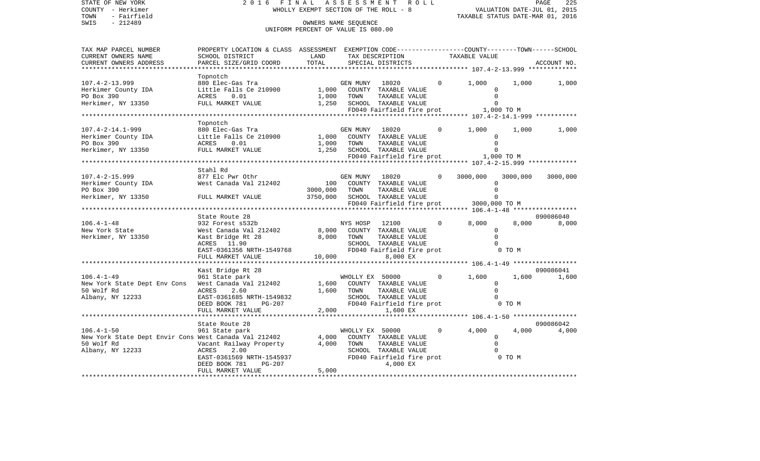| COUNTY - Herkimer                                                                                                                                                                                                                                      |                                                                                                                                                                                                                        | WHOLLY EXEMPT SECTION OF THE ROLL - 8 VALUATION DATE-JUL 01, 2015<br>TAXABLE STATUS DATE-MAR 01, 2016 |                 |                                               |  |                                                              |           |             |
|--------------------------------------------------------------------------------------------------------------------------------------------------------------------------------------------------------------------------------------------------------|------------------------------------------------------------------------------------------------------------------------------------------------------------------------------------------------------------------------|-------------------------------------------------------------------------------------------------------|-----------------|-----------------------------------------------|--|--------------------------------------------------------------|-----------|-------------|
| TOWN<br>- Fairfield                                                                                                                                                                                                                                    |                                                                                                                                                                                                                        |                                                                                                       |                 |                                               |  |                                                              |           |             |
| SWIS<br>$-212489$                                                                                                                                                                                                                                      |                                                                                                                                                                                                                        | OWNERS NAME SEOUENCE                                                                                  |                 |                                               |  |                                                              |           |             |
|                                                                                                                                                                                                                                                        |                                                                                                                                                                                                                        | UNIFORM PERCENT OF VALUE IS 080.00                                                                    |                 |                                               |  |                                                              |           |             |
|                                                                                                                                                                                                                                                        |                                                                                                                                                                                                                        |                                                                                                       |                 |                                               |  |                                                              |           |             |
| TAX MAP PARCEL NUMBER                                                                                                                                                                                                                                  | PROPERTY LOCATION & CLASS ASSESSMENT EXEMPTION CODE---------------COUNTY-------TOWN-----SCHOOL                                                                                                                         |                                                                                                       |                 |                                               |  |                                                              |           |             |
| CURRENT OWNERS NAME                                                                                                                                                                                                                                    | SCHOOL DISTRICT                                                                                                                                                                                                        | LAND                                                                                                  |                 | TAX DESCRIPTION                               |  | TAXABLE VALUE                                                |           |             |
| CURRENT OWNERS ADDRESS                                                                                                                                                                                                                                 | PARCEL SIZE/GRID COORD                                                                                                                                                                                                 | TOTAL                                                                                                 |                 | SPECIAL DISTRICTS                             |  |                                                              |           | ACCOUNT NO. |
| ***********************                                                                                                                                                                                                                                |                                                                                                                                                                                                                        |                                                                                                       |                 |                                               |  | ******************** 107.4-2-13.999 *************            |           |             |
|                                                                                                                                                                                                                                                        | Topnotch                                                                                                                                                                                                               |                                                                                                       |                 |                                               |  |                                                              |           |             |
| Examples to the the set of the set of the set of the set of the set of the set of the set of the set of the set of the set of the set of the set of the set of the set of the set of the set of the set of the set of the set                          |                                                                                                                                                                                                                        |                                                                                                       |                 |                                               |  | $0 \qquad \qquad$<br>1,000                                   | 1,000     | 1,000       |
|                                                                                                                                                                                                                                                        |                                                                                                                                                                                                                        |                                                                                                       |                 |                                               |  |                                                              | $\Omega$  |             |
|                                                                                                                                                                                                                                                        |                                                                                                                                                                                                                        |                                                                                                       |                 |                                               |  |                                                              | $\Omega$  |             |
| Herkimer, NY 13350                                                                                                                                                                                                                                     | FULL MARKET VALUE                                                                                                                                                                                                      |                                                                                                       |                 |                                               |  |                                                              | $\Omega$  |             |
|                                                                                                                                                                                                                                                        |                                                                                                                                                                                                                        | 1,250 SCHOOL TAXABLE VALUE<br>FD040 Fairfield fire p                                                  |                 |                                               |  | FD040 Fairfield fire prot 1,000 TO M                         |           |             |
|                                                                                                                                                                                                                                                        |                                                                                                                                                                                                                        |                                                                                                       |                 |                                               |  |                                                              |           |             |
|                                                                                                                                                                                                                                                        | Topnotch                                                                                                                                                                                                               |                                                                                                       |                 |                                               |  |                                                              |           |             |
| $107.4 - 2 - 14.1 - 999$                                                                                                                                                                                                                               | 880 Elec-Gas Tra                                                                                                                                                                                                       |                                                                                                       |                 | GEN MUNY 18020                                |  | $\overline{0}$<br>1,000                                      | 1,000     | 1,000       |
| Herkimer County IDA<br>PO Box 390<br>Herkimer, NY 13350<br>Herkimer, NY 13350<br>Herkimer, NY 13350<br>Herkimer, NY 13350<br>PULL MARKET VALUE<br>PO BOX 390<br>PULL MARKET VALUE<br>PO BOX 390<br>PULL MARKET VALUE<br>PO 1, 250<br>SCHOOL TAXABLE VA |                                                                                                                                                                                                                        |                                                                                                       |                 |                                               |  |                                                              | $\Omega$  |             |
|                                                                                                                                                                                                                                                        |                                                                                                                                                                                                                        |                                                                                                       |                 | IAAADDE VALUE<br>TAXABLE VALUE                |  |                                                              | $\Omega$  |             |
|                                                                                                                                                                                                                                                        |                                                                                                                                                                                                                        |                                                                                                       |                 |                                               |  |                                                              | $\bigcap$ |             |
|                                                                                                                                                                                                                                                        |                                                                                                                                                                                                                        |                                                                                                       |                 |                                               |  | FD040 Fairfield fire prot 1,000 TO M                         |           |             |
|                                                                                                                                                                                                                                                        |                                                                                                                                                                                                                        |                                                                                                       |                 |                                               |  |                                                              |           |             |
|                                                                                                                                                                                                                                                        | Stahl Rd                                                                                                                                                                                                               |                                                                                                       |                 |                                               |  |                                                              |           |             |
| $107.4 - 2 - 15.999$                                                                                                                                                                                                                                   | 877 Elc Pwr Othr                                                                                                                                                                                                       |                                                                                                       | GEN MUNY        | 18020 1802                                    |  | 3000,000<br>$\Omega$                                         | 3000,000  | 3000,000    |
| Herkimer County IDA 677 BIC IWI COIL COUNTY TAXABLE VALUE                                                                                                                                                                                              |                                                                                                                                                                                                                        |                                                                                                       |                 |                                               |  |                                                              |           |             |
| PO Box 390                                                                                                                                                                                                                                             |                                                                                                                                                                                                                        | 3000,000                                                                                              | TOWN            | TAXABLE VALUE                                 |  |                                                              | $\Omega$  |             |
| Herkimer, NY 13350 FULL MARKET VALUE                                                                                                                                                                                                                   |                                                                                                                                                                                                                        |                                                                                                       |                 | 3750,000 SCHOOL TAXABLE VALUE                 |  |                                                              | $\Omega$  |             |
|                                                                                                                                                                                                                                                        |                                                                                                                                                                                                                        |                                                                                                       |                 |                                               |  | FD040 Fairfield fire prot 3000,000 TO M                      |           |             |
|                                                                                                                                                                                                                                                        |                                                                                                                                                                                                                        |                                                                                                       |                 |                                               |  |                                                              |           |             |
|                                                                                                                                                                                                                                                        | State Route 28                                                                                                                                                                                                         |                                                                                                       |                 |                                               |  |                                                              |           | 090086040   |
| $106.4 - 1 - 48$                                                                                                                                                                                                                                       | State About 15<br>932 Forest s532b<br>West Canada Val 212402<br>Kast Bridge Rt 28<br>Kast Bridge Rt 28<br>11.90<br>2000 COUNTY TAXABLE VALUE<br>SCHOOL TAXABLE VALUE<br>SCHOOL TAXABLE VALUE<br>FD040 Fairfield fire p |                                                                                                       |                 | NYS HOSP 12100                                |  | 8,000<br>$\overline{0}$                                      | 8,000 500 | 8,000       |
| New York State                                                                                                                                                                                                                                         |                                                                                                                                                                                                                        |                                                                                                       |                 |                                               |  |                                                              |           |             |
| Herkimer, NY 13350                                                                                                                                                                                                                                     |                                                                                                                                                                                                                        |                                                                                                       |                 |                                               |  |                                                              | $\Omega$  |             |
|                                                                                                                                                                                                                                                        |                                                                                                                                                                                                                        |                                                                                                       |                 | SCHOOL TAXABLE VALUE                          |  |                                                              | $\Omega$  |             |
|                                                                                                                                                                                                                                                        | ACRES 11.90<br>EAST-0361356 NRTH-1549768                                                                                                                                                                               |                                                                                                       |                 |                                               |  |                                                              |           |             |
|                                                                                                                                                                                                                                                        | FULL MARKET VALUE                                                                                                                                                                                                      |                                                                                                       | 10,000 000      | 8,000 EX                                      |  |                                                              |           |             |
|                                                                                                                                                                                                                                                        |                                                                                                                                                                                                                        |                                                                                                       |                 |                                               |  |                                                              |           |             |
|                                                                                                                                                                                                                                                        | Kast Bridge Rt 28                                                                                                                                                                                                      |                                                                                                       |                 |                                               |  |                                                              |           | 090086041   |
|                                                                                                                                                                                                                                                        |                                                                                                                                                                                                                        |                                                                                                       |                 |                                               |  | $\overline{0}$<br>1,600                                      | 1,600     | 1,600       |
| 106.4-1-49<br>961 State park<br>New York State Dept Env Cons West Canada Val 212402                                                                                                                                                                    |                                                                                                                                                                                                                        |                                                                                                       |                 | WHOLLY EX 50000<br>1,600 COUNTY TAXABLE VALUE |  |                                                              | $\Omega$  |             |
| 50 Wolf Rd                                                                                                                                                                                                                                             | 2.60<br>ACRES                                                                                                                                                                                                          | 1,600                                                                                                 | TOWN            | TAXABLE VALUE                                 |  |                                                              | $\Omega$  |             |
| Albany, NY 12233                                                                                                                                                                                                                                       | EAST-0361685 NRTH-1549832                                                                                                                                                                                              |                                                                                                       |                 |                                               |  |                                                              |           |             |
|                                                                                                                                                                                                                                                        | DEED BOOK 781 PG-207                                                                                                                                                                                                   |                                                                                                       |                 |                                               |  |                                                              |           |             |
|                                                                                                                                                                                                                                                        | FULL MARKET VALUE                                                                                                                                                                                                      | 2,000                                                                                                 |                 | 1,600 EX                                      |  |                                                              |           |             |
|                                                                                                                                                                                                                                                        | ********************                                                                                                                                                                                                   |                                                                                                       |                 |                                               |  | ******************* 106.4-1-50 ******************            |           |             |
|                                                                                                                                                                                                                                                        | State Route 28                                                                                                                                                                                                         |                                                                                                       |                 |                                               |  |                                                              |           | 090086042   |
| $106.4 - 1 - 50$                                                                                                                                                                                                                                       | 961 State park                                                                                                                                                                                                         |                                                                                                       | WHOLLY EX 50000 |                                               |  | $0 \qquad \qquad$<br>4,000                                   |           | 4,000 4,000 |
| New York State Dept Envir Cons West Canada Val 212402 4,000                                                                                                                                                                                            |                                                                                                                                                                                                                        |                                                                                                       |                 | COUNTY TAXABLE VALUE                          |  |                                                              | $\Omega$  |             |
| 50 Wolf Rd                                                                                                                                                                                                                                             |                                                                                                                                                                                                                        | 4,000                                                                                                 | TOWN            | TAXABLE VALUE                                 |  |                                                              | $\Omega$  |             |
|                                                                                                                                                                                                                                                        | Vacant Railway Property<br>ACRES 2.00                                                                                                                                                                                  |                                                                                                       |                 |                                               |  |                                                              |           |             |
| Albany, NY 12233                                                                                                                                                                                                                                       | ACRES 2.00<br>EAST-0361569 NRTH-1545937                                                                                                                                                                                |                                                                                                       |                 |                                               |  | SCHOOL TAXABLE VALUE<br>FD040 Fairfield fire prot 60 0 0 0 M |           |             |
|                                                                                                                                                                                                                                                        | PG-207                                                                                                                                                                                                                 |                                                                                                       |                 | 4,000 EX                                      |  |                                                              |           |             |
|                                                                                                                                                                                                                                                        | DEED BOOK 781<br>FULL MARKET VALUE                                                                                                                                                                                     | 5,000                                                                                                 |                 |                                               |  |                                                              |           |             |
|                                                                                                                                                                                                                                                        |                                                                                                                                                                                                                        |                                                                                                       |                 |                                               |  |                                                              |           |             |

PAGE 225

STATE OF NEW YORK 2 0 1 6 F I N A L A S S E S S M E N T R O L L PAGE 225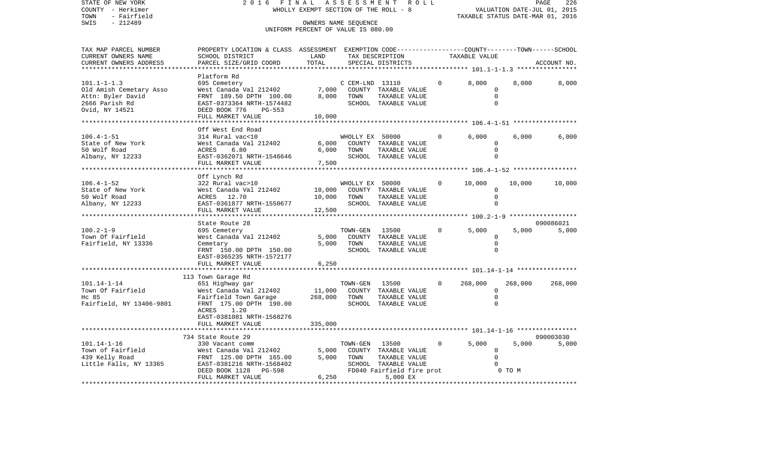STATE OF NEW YORK 2016 FINAL ASSESSMENT ROLL COUNTY - Herkimer<br>TOWN - Fairfield<br>SWIS - 212489 - 212489 TOWN - Fairfield TAXABLE STATUS DATE-MAR 01, 2016 OWNERS NAME SEQUENCE

## UNIFORM PERCENT OF VALUE IS 080.00

| TAX MAP PARCEL NUMBER    | PROPERTY LOCATION & CLASS ASSESSMENT EXEMPTION CODE---------------COUNTY-------TOWN------SCHOOL |         |                 |                                                          |          |               |         |             |
|--------------------------|-------------------------------------------------------------------------------------------------|---------|-----------------|----------------------------------------------------------|----------|---------------|---------|-------------|
| CURRENT OWNERS NAME      | SCHOOL DISTRICT                                                                                 | LAND    |                 | TAX DESCRIPTION                                          |          | TAXABLE VALUE |         |             |
| CURRENT OWNERS ADDRESS   | PARCEL SIZE/GRID COORD                                                                          | TOTAL   |                 | SPECIAL DISTRICTS                                        |          |               |         | ACCOUNT NO. |
|                          |                                                                                                 |         |                 |                                                          |          |               |         |             |
|                          | Platform Rd                                                                                     |         |                 |                                                          |          |               |         |             |
| $101.1 - 1 - 1.3$        | 695 Cemetery                                                                                    |         | C CEM-LND 13110 |                                                          | $\Omega$ | 8,000         | 8,000   | 8,000       |
| Old Amish Cemetary Asso  | West Canada Val 212402                                                                          | 7,000   |                 | COUNTY TAXABLE VALUE                                     |          | $\Omega$      |         |             |
| Attn: Byler David        | FRNT 189.50 DPTH 100.00                                                                         | 8,000   | TOWN            | TAXABLE VALUE                                            |          | $\Omega$      |         |             |
| 2666 Parish Rd           | EAST-0373364 NRTH-1574482                                                                       |         |                 | SCHOOL TAXABLE VALUE                                     |          | $\Omega$      |         |             |
| Ovid, NY 14521           | PG-553                                                                                          |         |                 |                                                          |          |               |         |             |
|                          | DEED BOOK 776                                                                                   |         |                 |                                                          |          |               |         |             |
|                          | FULL MARKET VALUE                                                                               | 10,000  |                 |                                                          |          |               |         |             |
|                          |                                                                                                 |         |                 |                                                          |          |               |         |             |
|                          | Off West End Road                                                                               |         |                 |                                                          |          |               |         |             |
| $106.4 - 1 - 51$         | 314 Rural vac<10                                                                                |         | WHOLLY EX 50000 |                                                          | $\Omega$ | 6,000         | 6.000   | 6,000       |
| State of New York        | West Canada Val 212402                                                                          | 6,000   |                 | COUNTY TAXABLE VALUE                                     |          | 0             |         |             |
| 50 Wolf Road             | ACRES<br>6.80                                                                                   | 6,000   | TOWN            | TAXABLE VALUE                                            |          | $\Omega$      |         |             |
| Albany, NY 12233         | EAST-0362071 NRTH-1546646                                                                       |         |                 | SCHOOL TAXABLE VALUE                                     |          | $\Omega$      |         |             |
|                          | FULL MARKET VALUE                                                                               | 7,500   |                 |                                                          |          |               |         |             |
|                          |                                                                                                 |         |                 |                                                          |          |               |         |             |
|                          | Off Lynch Rd                                                                                    |         |                 |                                                          |          |               |         |             |
| $106.4 - 1 - 52$         | 322 Rural vac>10                                                                                |         | WHOLLY EX 50000 |                                                          | $\Omega$ | 10,000        | 10,000  | 10,000      |
| State of New York        | West Canada Val 212402                                                                          | 10,000  |                 | COUNTY TAXABLE VALUE                                     |          | $\Omega$      |         |             |
| 50 Wolf Road             | ACRES 12.70                                                                                     | 10,000  | TOWN            | TAXABLE VALUE                                            |          | $\Omega$      |         |             |
| Albany, NY 12233         | EAST-0361877 NRTH-1550677                                                                       |         |                 | SCHOOL TAXABLE VALUE                                     |          | $\Omega$      |         |             |
|                          | FULL MARKET VALUE                                                                               | 12,500  |                 |                                                          |          |               |         |             |
|                          | *****************                                                                               |         |                 |                                                          |          |               |         |             |
|                          | State Route 28                                                                                  |         |                 |                                                          |          |               |         | 090086021   |
|                          |                                                                                                 |         |                 |                                                          |          |               |         |             |
| $100.2 - 1 - 9$          | 695 Cemetery                                                                                    |         | TOWN-GEN        | 13500                                                    | $\circ$  | 5,000         | 5,000   | 5,000       |
| Town Of Fairfield        | West Canada Val 212402                                                                          | 5,000   |                 | COUNTY TAXABLE VALUE                                     |          | $\Omega$      |         |             |
| Fairfield, NY 13336      | Cemetary                                                                                        | 5,000   | TOWN            | TAXABLE VALUE                                            |          | $\Omega$      |         |             |
|                          | FRNT 150.00 DPTH 150.00                                                                         |         |                 | SCHOOL TAXABLE VALUE                                     |          |               |         |             |
|                          | EAST-0365235 NRTH-1572177                                                                       |         |                 |                                                          |          |               |         |             |
|                          | FULL MARKET VALUE                                                                               | 6,250   |                 |                                                          |          |               |         |             |
|                          |                                                                                                 |         |                 |                                                          |          |               |         |             |
|                          | 113 Town Garage Rd                                                                              |         |                 |                                                          |          |               |         |             |
| $101.14 - 1 - 14$        | 651 Highway gar                                                                                 |         | TOWN-GEN        | 13500                                                    | $\circ$  | 268,000       | 268,000 | 268,000     |
| Town Of Fairfield        | West Canada Val 212402                                                                          | 11,000  |                 | COUNTY TAXABLE VALUE                                     |          | $\Omega$      |         |             |
| Hc 85                    | Fairfield Town Garage                                                                           | 268,000 | TOWN            | TAXABLE VALUE                                            |          | $\Omega$      |         |             |
| Fairfield, NY 13406-9801 | FRNT 175.00 DPTH 190.00                                                                         |         |                 | SCHOOL TAXABLE VALUE                                     |          | $\Omega$      |         |             |
|                          | ACRES<br>1.20                                                                                   |         |                 |                                                          |          |               |         |             |
|                          | EAST-0381081 NRTH-1568276                                                                       |         |                 |                                                          |          |               |         |             |
|                          |                                                                                                 |         |                 |                                                          |          |               |         |             |
|                          | FULL MARKET VALUE<br>***********************                                                    | 335,000 |                 | ******************************** 101.14-1-16 *********** |          |               |         |             |
|                          |                                                                                                 |         |                 |                                                          |          |               |         |             |
|                          | 734 State Route 29                                                                              |         |                 |                                                          |          |               |         | 090003030   |
| $101.14 - 1 - 16$        | 330 Vacant comm                                                                                 |         | TOWN-GEN        | 13500                                                    | $\circ$  | 5,000         | 5,000   | 5,000       |
| Town of Fairfield        | West Canada Val 212402                                                                          | 5,000   |                 | COUNTY TAXABLE VALUE                                     |          | $\Omega$      |         |             |
| 439 Kelly Road           | FRNT 125.00 DPTH 165.00                                                                         | 5,000   | TOWN            | TAXABLE VALUE                                            |          |               |         |             |
| Little Falls, NY 13365   | EAST-0381216 NRTH-1568402                                                                       |         |                 | SCHOOL TAXABLE VALUE                                     |          |               |         |             |
|                          | PG-598<br>DEED BOOK 1128                                                                        |         |                 | FD040 Fairfield fire prot                                |          |               | 0 TO M  |             |
|                          | FULL MARKET VALUE                                                                               | 6,250   |                 | 5,000 EX                                                 |          |               |         |             |
|                          |                                                                                                 |         |                 |                                                          |          |               |         |             |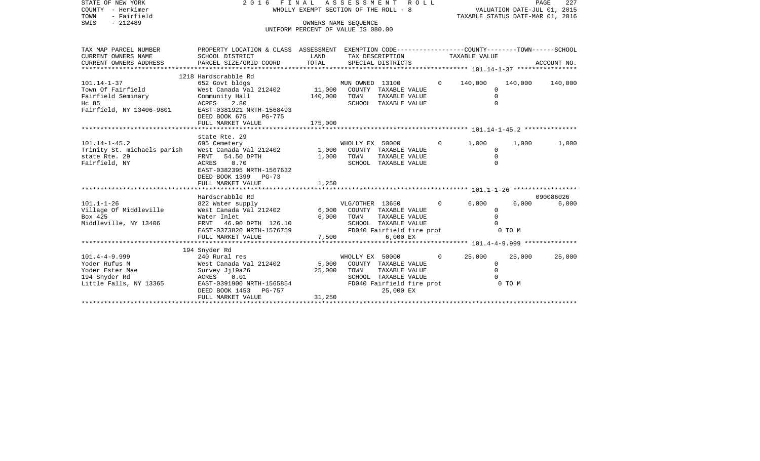| STATE OF NEW YORK                                                   | 2016 FINAL ASSESSMENT                                                                           | R O L L                                                    | PAGE<br>227     |                                        |  |                |                                  |         |             |
|---------------------------------------------------------------------|-------------------------------------------------------------------------------------------------|------------------------------------------------------------|-----------------|----------------------------------------|--|----------------|----------------------------------|---------|-------------|
| COUNTY - Herkimer                                                   |                                                                                                 | WHOLLY EXEMPT SECTION OF THE ROLL - 8                      |                 |                                        |  |                | VALUATION DATE-JUL 01, 2015      |         |             |
| TOWN<br>- Fairfield                                                 |                                                                                                 |                                                            |                 |                                        |  |                | TAXABLE STATUS DATE-MAR 01, 2016 |         |             |
| $-212489$<br>SWIS                                                   |                                                                                                 | OWNERS NAME SEOUENCE<br>UNIFORM PERCENT OF VALUE IS 080.00 |                 |                                        |  |                |                                  |         |             |
|                                                                     |                                                                                                 |                                                            |                 |                                        |  |                |                                  |         |             |
| TAX MAP PARCEL NUMBER                                               | PROPERTY LOCATION & CLASS ASSESSMENT EXEMPTION CODE---------------COUNTY-------TOWN------SCHOOL |                                                            |                 |                                        |  |                |                                  |         |             |
| CURRENT OWNERS NAME                                                 | SCHOOL DISTRICT                                                                                 | LAND                                                       |                 |                                        |  |                | TAX DESCRIPTION TAXABLE VALUE    |         |             |
| CURRENT OWNERS ADDRESS                                              | PARCEL SIZE/GRID COORD                                                                          | TOTAL                                                      |                 | SPECIAL DISTRICTS                      |  |                |                                  |         | ACCOUNT NO. |
|                                                                     |                                                                                                 |                                                            |                 |                                        |  |                |                                  |         |             |
| 101.14-1-37                                                         | 1218 Hardscrabble Rd<br>652 Govt bldgs                                                          |                                                            | MUN OWNED 13100 |                                        |  | $\Omega$       | 140,000                          | 140,000 |             |
| Town Of Fairfield                                                   | West Canada Val 212402                                                                          | 11,000                                                     |                 | COUNTY TAXABLE VALUE                   |  |                | $\Omega$                         |         | 140,000     |
| Fairfield Seminary                                                  | Community Hall                                                                                  | 140,000                                                    | TOWN            | TAXABLE VALUE                          |  |                | $\mathbf 0$                      |         |             |
| Hc 85                                                               | ACRES 2.80                                                                                      |                                                            |                 | SCHOOL TAXABLE VALUE                   |  |                | $\Omega$                         |         |             |
| Fairfield, NY 13406-9801                                            | EAST-0381921 NRTH-1568493                                                                       |                                                            |                 |                                        |  |                |                                  |         |             |
|                                                                     | DEED BOOK 675<br>PG-775                                                                         |                                                            |                 |                                        |  |                |                                  |         |             |
|                                                                     | FULL MARKET VALUE                                                                               | 175,000                                                    |                 |                                        |  |                |                                  |         |             |
|                                                                     |                                                                                                 |                                                            |                 |                                        |  |                |                                  |         |             |
|                                                                     | state Rte. 29                                                                                   |                                                            |                 |                                        |  |                |                                  |         |             |
| 101.14-1-45.2                                                       | 695 Cemetery                                                                                    |                                                            | WHOLLY EX 50000 |                                        |  | $\Omega$       | 1,000                            | 1,000   | 1,000       |
| Trinity St. michaels parish West Canada Val 212402<br>state Rte. 29 | FRNT<br>54.50 DPTH                                                                              | 1,000<br>1,000                                             | TOWN            | COUNTY TAXABLE VALUE<br>TAXABLE VALUE  |  |                | 0<br>$\Omega$                    |         |             |
| Fairfield, NY                                                       | ACRES<br>0.70                                                                                   |                                                            |                 | SCHOOL TAXABLE VALUE                   |  |                | $\Omega$                         |         |             |
|                                                                     | EAST-0382395 NRTH-1567632                                                                       |                                                            |                 |                                        |  |                |                                  |         |             |
|                                                                     | DEED BOOK 1399<br>PG-73                                                                         |                                                            |                 |                                        |  |                |                                  |         |             |
|                                                                     | FULL MARKET VALUE                                                                               | 1,250                                                      |                 |                                        |  |                |                                  |         |             |
|                                                                     |                                                                                                 |                                                            |                 |                                        |  |                |                                  |         |             |
|                                                                     | Hardscrabble Rd                                                                                 |                                                            |                 |                                        |  |                |                                  |         | 090086026   |
| $101.1 - 1 - 26$                                                    | 822 Water supply                                                                                |                                                            | VLG/OTHER 13650 |                                        |  | $\Omega$       | 6.000                            | 6,000   | 6,000       |
| Village Of Middleville                                              | West Canada Val 212402                                                                          | 6,000                                                      |                 | COUNTY TAXABLE VALUE                   |  |                | $\Omega$                         |         |             |
| Box 425<br>Middleville, NY 13406                                    | Water Inlet<br>FRNT 46.90 DPTH 126.10                                                           | 6,000                                                      | TOWN            | TAXABLE VALUE<br>SCHOOL TAXABLE VALUE  |  |                | $\Omega$                         |         |             |
|                                                                     | EAST-0373820 NRTH-1576759                                                                       |                                                            |                 | FD040 Fairfield fire prot              |  |                |                                  | 0 TO M  |             |
|                                                                     | FULL MARKET VALUE                                                                               | 7,500                                                      |                 | 6,000 EX                               |  |                |                                  |         |             |
|                                                                     |                                                                                                 |                                                            |                 |                                        |  |                |                                  |         |             |
|                                                                     | 194 Snyder Rd                                                                                   |                                                            |                 |                                        |  |                |                                  |         |             |
| 101.4-4-9.999                                                       | 240 Rural res                                                                                   |                                                            | WHOLLY EX 50000 |                                        |  | $\overline{0}$ | 25,000                           | 25,000  | 25,000      |
| Yoder Rufus M                                                       | West Canada Val 212402                                                                          | 5,000                                                      |                 | COUNTY TAXABLE VALUE                   |  |                | $\mathbf{0}$                     |         |             |
| Yoder Ester Mae                                                     | Survey Jj19a26                                                                                  | 25,000                                                     | TOWN            | TAXABLE VALUE                          |  |                | $\Omega$                         |         |             |
| 194 Snyder Rd                                                       | ACRES<br>0.01                                                                                   |                                                            |                 | SCHOOL TAXABLE VALUE                   |  |                |                                  |         |             |
| Little Falls, NY 13365                                              | EAST-0391900 NRTH-1565854<br>DEED BOOK 1453 PG-757                                              |                                                            |                 | FD040 Fairfield fire prot<br>25,000 EX |  |                |                                  | 0 TO M  |             |
|                                                                     | FULL MARKET VALUE                                                                               | 31,250                                                     |                 |                                        |  |                |                                  |         |             |
|                                                                     |                                                                                                 |                                                            |                 |                                        |  |                |                                  |         |             |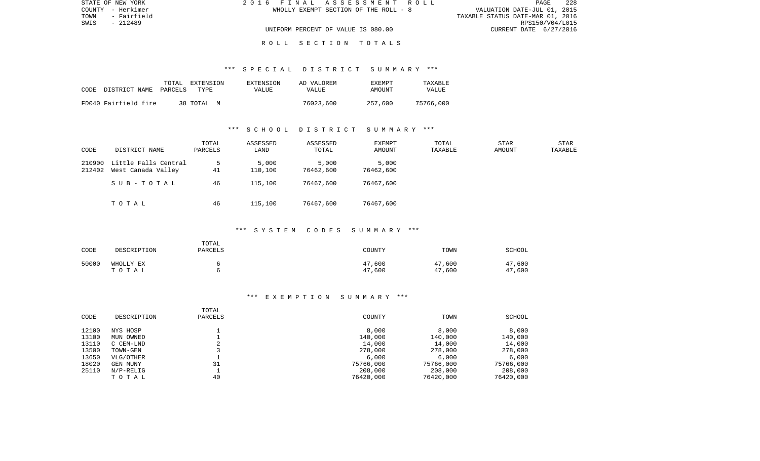| STATE OF NEW YORK   | 2016 FINAL ASSESSMENT ROLL            | - 228<br><b>PAGE</b>             |
|---------------------|---------------------------------------|----------------------------------|
| COUNTY - Herkimer   | WHOLLY EXEMPT SECTION OF THE ROLL - 8 | VALUATION DATE-JUL 01, 2015      |
| TOWN<br>- Fairfield |                                       | TAXABLE STATUS DATE-MAR 01, 2016 |
| SWIS<br>- 212489    |                                       | RPS150/V04/L015                  |
|                     | UNIFORM PERCENT OF VALUE IS 080.00    | CURRENT DATE 6/27/2016           |
|                     |                                       |                                  |

#### R O L L S E C T I O N T O T A L S

#### \*\*\* S P E C I A L D I S T R I C T S U M M A R Y \*\*\*

| CODE | DISTRICT NAME PARCELS | TOTAL | EXTENSION<br>TYPE. | EXTENSION<br>VALUE | AD VALOREM<br>VALUE | <b>EXEMPT</b><br>AMOUNT | TAXABLE<br>VALUE |
|------|-----------------------|-------|--------------------|--------------------|---------------------|-------------------------|------------------|
|      | FD040 Fairfield fire  |       | 38 TOTAL<br>M      |                    | 76023,600           | 257,600                 | 75766,000        |

#### \*\*\* S C H O O L D I S T R I C T S U M M A R Y \*\*\*

| CODE             | DISTRICT NAME                              | TOTAL<br>PARCELS | ASSESSED<br>LAND | ASSESSED<br>TOTAL  | <b>EXEMPT</b><br>AMOUNT | TOTAL<br>TAXABLE | <b>STAR</b><br>AMOUNT | STAR<br>TAXABLE |
|------------------|--------------------------------------------|------------------|------------------|--------------------|-------------------------|------------------|-----------------------|-----------------|
| 210900<br>212402 | Little Falls Central<br>West Canada Valley | 41               | 5,000<br>110,100 | 5,000<br>76462,600 | 5,000<br>76462,600      |                  |                       |                 |
|                  | SUB-TOTAL                                  | 46               | 115,100          | 76467,600          | 76467,600               |                  |                       |                 |
|                  | TOTAL                                      | 46               | 115,100          | 76467,600          | 76467,600               |                  |                       |                 |

## \*\*\* S Y S T E M C O D E S S U M M A R Y \*\*\*

| CODE  | DESCRIPTION        | TOTAL<br><b>PARCELS</b> | COUNTY           | TOWN             | SCHOOL           |
|-------|--------------------|-------------------------|------------------|------------------|------------------|
| 50000 | WHOLLY EX<br>TOTAL |                         | 47,600<br>47,600 | 47,600<br>47,600 | 47,600<br>47,600 |

| CODE  | DESCRIPTION | TOTAL<br>PARCELS | COUNTY    | TOWN      | SCHOOL    |
|-------|-------------|------------------|-----------|-----------|-----------|
| 12100 | NYS HOSP    |                  | 8,000     | 8,000     | 8,000     |
| 13100 | MUN OWNED   |                  | 140,000   | 140,000   | 140,000   |
| 13110 | C CEM-LND   |                  | 14,000    | 14,000    | 14,000    |
| 13500 | TOWN-GEN    |                  | 278,000   | 278,000   | 278,000   |
| 13650 | VLG/OTHER   |                  | 6,000     | 6,000     | 6,000     |
| 18020 | GEN MUNY    | 31               | 75766,000 | 75766,000 | 75766,000 |
| 25110 | $N/P-RELIG$ |                  | 208,000   | 208,000   | 208,000   |
|       | TOTAL       | 40               | 76420,000 | 76420,000 | 76420,000 |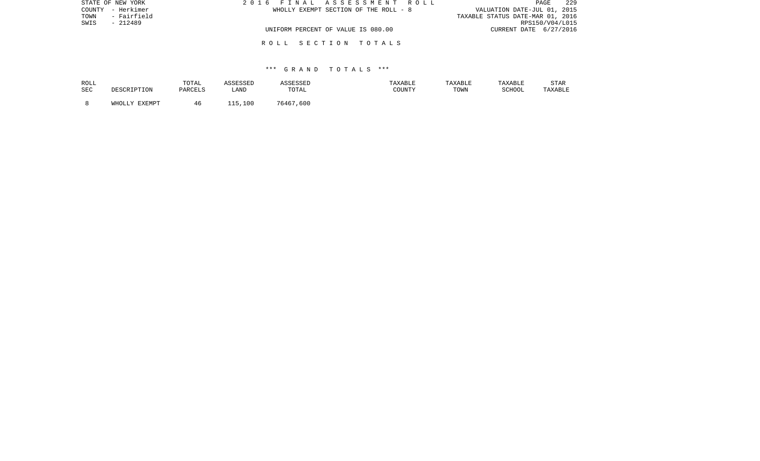| STATE OF NEW YORK   | 2016 FINAL ASSESSMENT ROLL            | -229<br>PAGE                     |
|---------------------|---------------------------------------|----------------------------------|
| COUNTY - Herkimer   | WHOLLY EXEMPT SECTION OF THE ROLL - 8 | VALUATION DATE-JUL 01, 2015      |
| - Fairfield<br>TOWN |                                       | TAXABLE STATUS DATE-MAR 01, 2016 |
| SWIS<br>$-212489$   |                                       | RPS150/V04/L015                  |
|                     | UNIFORM PERCENT OF VALUE IS 080.00    | CURRENT DATE 6/27/2016           |
|                     | ROLL SECTION TOTALS                   |                                  |

## \*\*\* G R A N D T O T A L S \*\*\*

| ROLL       | DESCRIPTION   | TOTAL   | ASSESSED | ASSESSED  | TAXABLE | TAXABLE | TAXABLE | STAR    |
|------------|---------------|---------|----------|-----------|---------|---------|---------|---------|
| <b>SEC</b> |               | PARCELS | LAND     | TOTAL     | COUNTY  | TOWN    | SCHOOL  | TAXABLE |
|            | WHOLLY EXEMPT | 46      | 115,100  | 76467,600 |         |         |         |         |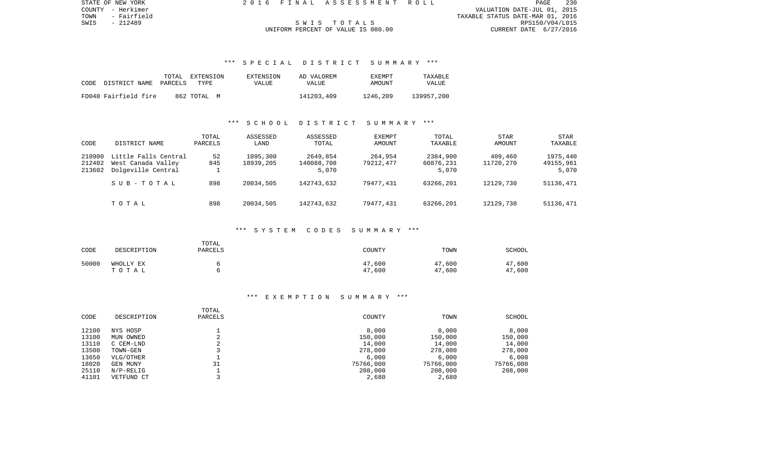PAGE 230 COUNTY - Herkimer VALUATION DATE-JUL 01, 2015 TOWN - Fairfield TAXABLE STATUS DATE-MAR 01, 2016 SWIS - 212489 S W I S T O T A L S RPS150/V04/L015

STATE OF NEW YORK 2 0 1 6 F I N A L A S S E S S M E N T R O L L PAGE 230

# UNIFORM PERCENT OF VALUE IS 080.00

## \*\*\* S P E C I A L D I S T R I C T S U M M A R Y \*\*\*

|      |                      | TOTAL   | EXTENSION   | EXTENSION | AD VALOREM | EXEMPT   | TAXABLE    |
|------|----------------------|---------|-------------|-----------|------------|----------|------------|
| CODE | DISTRICT NAME        | PARCELS | TYPE        | VALUE     | VALUE      | AMOUNT   | VALUE      |
|      | FD040 Fairfield fire |         | 862 TOTAL M |           | 141203,409 | 1246,209 | 139957,200 |

## \*\*\* S C H O O L D I S T R I C T S U M M A R Y \*\*\*

| CODE                       | DISTRICT NAME                                                    | TOTAL<br>PARCELS | ASSESSED<br>LAND      | ASSESSED<br>TOTAL               | <b>EXEMPT</b><br>AMOUNT | TOTAL<br>TAXABLE               | <b>STAR</b><br>AMOUNT | <b>STAR</b><br>TAXABLE         |
|----------------------------|------------------------------------------------------------------|------------------|-----------------------|---------------------------------|-------------------------|--------------------------------|-----------------------|--------------------------------|
| 210900<br>212402<br>213602 | Little Falls Central<br>West Canada Valley<br>Dolgeville Central | 52<br>845        | 1095,300<br>18939,205 | 2649,854<br>140088,708<br>5,070 | 264,954<br>79212,477    | 2384,900<br>60876,231<br>5,070 | 409,460<br>11720,270  | 1975,440<br>49155,961<br>5,070 |
|                            | SUB-TOTAL                                                        | 898              | 20034,505             | 142743,632                      | 79477,431               | 63266,201                      | 12129,730             | 51136,471                      |
|                            | TOTAL                                                            | 898              | 20034,505             | 142743,632                      | 79477,431               | 63266,201                      | 12129,730             | 51136,471                      |

## \*\*\* S Y S T E M C O D E S S U M M A R Y \*\*\*

| CODE  | DESCRIPTION        | TOTAL<br><b>PARCELS</b> | COUNTY           | TOWN             | SCHOOL           |
|-------|--------------------|-------------------------|------------------|------------------|------------------|
| 50000 | WHOLLY EX<br>TOTAL |                         | 47,600<br>47,600 | 47,600<br>47,600 | 47,600<br>47,600 |

| CODE  | DESCRIPTION | TOTAL<br>PARCELS | COUNTY    | TOWN      | SCHOOL    |
|-------|-------------|------------------|-----------|-----------|-----------|
| 12100 | NYS HOSP    |                  | 8,000     | 8,000     | 8,000     |
| 13100 | MUN OWNED   | $\Omega$         | 150,000   | 150,000   | 150,000   |
| 13110 | C CEM-LND   | ৴                | 14,000    | 14,000    | 14,000    |
| 13500 | TOWN-GEN    |                  | 278,000   | 278,000   | 278,000   |
| 13650 | VLG/OTHER   |                  | 6.000     | 6.000     | 6,000     |
| 18020 | GEN MUNY    | 31               | 75766,000 | 75766,000 | 75766,000 |
| 25110 | $N/P-RELIG$ |                  | 208,000   | 208,000   | 208,000   |
| 41101 | VETFUND CT  |                  | 2,680     | 2,680     |           |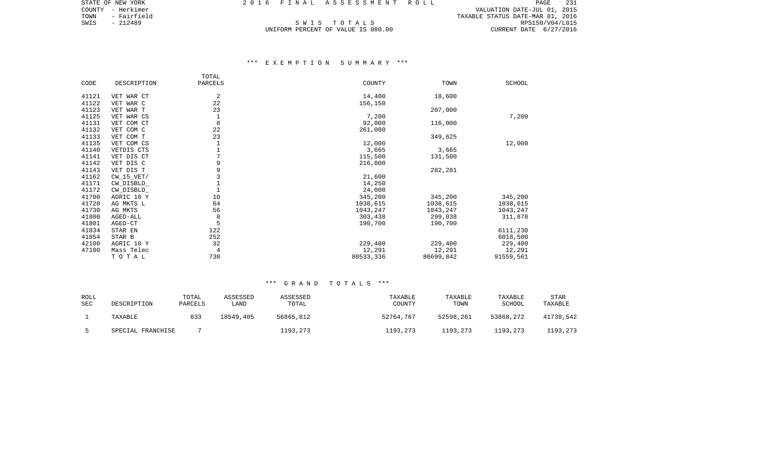COUNTY - Herkimer VALUATION DATE-JUL 01, 2015 TOWN - Fairfield TAXABLE STATUS DATE-MAR 01, 2016 S WE I STATE AND TOWN - Fairfield (1, 2016)<br>S W I S T O T A L S RANABLE STATUS DATE-MAR 01, 2016<br>UNIFORM PERCENT OF VALUE IS 080.00 (URRENT DATE 6/27/2016) (2016)<br>UNIFORM PERCENT OF VALUE IS 080.00

STATE OF NEW YORK 2016 FINAL ASSESSMENT ROLL

# UNIFORM PERCENT OF VALUE IS 080.00

## \*\*\* E X E M P T I O N S U M M A R Y \*\*\*

|       |              | TOTAL        |           |           |               |
|-------|--------------|--------------|-----------|-----------|---------------|
| CODE  | DESCRIPTION  | PARCELS      | COUNTY    | TOWN      | <b>SCHOOL</b> |
|       |              | 2            |           |           |               |
| 41121 | VET WAR CT   |              | 14,400    | 18,600    |               |
| 41122 | VET WAR C    | 22           | 156,150   |           |               |
| 41123 | VET WAR T    | 23           |           | 207,000   |               |
| 41125 | VET WAR CS   | $\mathbf{1}$ | 7,200     |           | 7,200         |
| 41131 | VET COM CT   | 8            | 92,000    | 116,000   |               |
| 41132 | VET COM C    | 22           | 261,000   |           |               |
| 41133 | VET COM T    | 23           |           | 349,625   |               |
| 41135 | VET COM CS   | $\mathbf{1}$ | 12,000    |           | 12,000        |
| 41140 | VETDIS CTS   |              | 3,665     | 3,665     |               |
| 41141 | VET DIS CT   | 7            | 115,500   | 131,500   |               |
| 41142 | VET DIS C    | 9            | 216,000   |           |               |
| 41143 | VET DIS T    | 9            |           | 282,281   |               |
| 41162 | $CW_15_VET/$ | 3            | 21,600    |           |               |
| 41171 | CW_DISBLD_   | $\mathbf{1}$ | 14,250    |           |               |
| 41172 | CW_DISBLD_   | $\mathbf{1}$ | 24,000    |           |               |
| 41700 | AGRIC 10 Y   | 10           | 345,200   | 345,200   | 345,200       |
| 41720 | AG MKTS L    | 64           | 1038,615  | 1038,615  | 1038,615      |
| 41730 | AG MKTS      | 56           | 1043,247  | 1043,247  | 1043,247      |
| 41800 | AGED-ALL     | 8            | 303,438   | 299,038   | 311,878       |
| 41801 | AGED-CT      | 5            | 190,700   | 190,700   |               |
| 41834 | STAR EN      | 122          |           |           | 6111,230      |
| 41854 | STAR B       | 252          |           |           | 6018,500      |
| 42100 | AGRIC 10 Y   | 32           | 229,400   | 229,400   | 229,400       |
| 47100 | Mass Telec   | 4            | 12,291    | 12,291    | 12,291        |
|       | TOTAL        | 730          | 80533,336 | 80699,842 | 91559,561     |
|       |              |              |           |           |               |

## \*\*\* G R A N D T O T A L S \*\*\*

| ROLL<br><b>SEC</b> | DESCRIPTION       | TOTAL<br>PARCELS | ASSESSED<br>LAND | ASSESSED<br>TOTAL | TAXABLE<br>COUNTY | TAXABLE<br>TOWN | TAXABLE<br>SCHOOL | STAR<br>TAXABLE |
|--------------------|-------------------|------------------|------------------|-------------------|-------------------|-----------------|-------------------|-----------------|
|                    | TAXABLE           | 833              | 18549,405        | 56865,812         | 52764,767         | 52598,261       | 53868,272         | 41738.542       |
|                    | SPECIAL FRANCHISE |                  |                  | 1193,273          | 1193,273          | 1193,273        | 1193,273          | 1193,273        |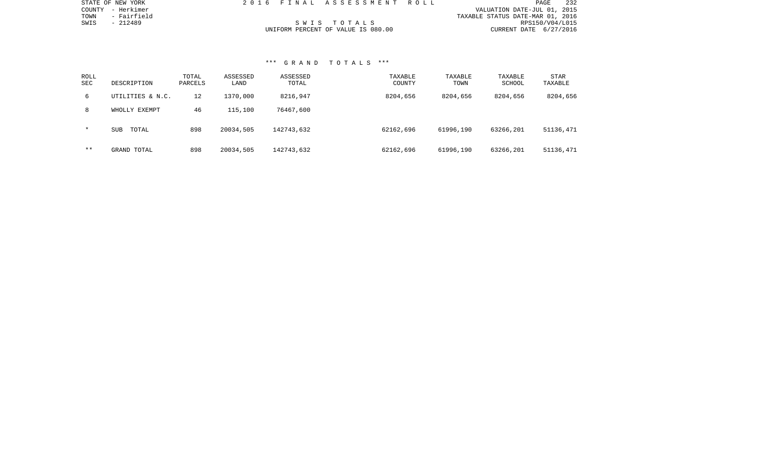| STATE OF NEW YORK   | 2016 FINAL ASSESSMENT ROLL         | PAGE                             | 232 |
|---------------------|------------------------------------|----------------------------------|-----|
| COUNTY - Herkimer   |                                    | VALUATION DATE-JUL 01, 2015      |     |
| - Fairfield<br>TOWN |                                    | TAXABLE STATUS DATE-MAR 01, 2016 |     |
| SWIS<br>- 212489    | SWIS TOTALS                        | RPS150/V04/L015                  |     |
|                     | UNIFORM PERCENT OF VALUE IS 080.00 | CURRENT DATE 6/27/2016           |     |

## \*\*\* G R A N D T O T A L S \*\*\*

STATE OF NEW YORK

| ROLL<br>SEC | DESCRIPTION         | TOTAL<br>PARCELS | ASSESSED<br>LAND | ASSESSED<br>TOTAL | TAXABLE<br>COUNTY | TAXABLE<br>TOWN | TAXABLE<br>SCHOOL | STAR<br>TAXABLE |
|-------------|---------------------|------------------|------------------|-------------------|-------------------|-----------------|-------------------|-----------------|
| 6           | UTILITIES & N.C.    | 12               | 1370,000         | 8216,947          | 8204,656          | 8204,656        | 8204,656          | 8204,656        |
| 8           | WHOLLY EXEMPT       | 46               | 115,100          | 76467,600         |                   |                 |                   |                 |
| $\star$     | <b>SUB</b><br>TOTAL | 898              | 20034,505        | 142743,632        | 62162,696         | 61996,190       | 63266,201         | 51136,471       |
| $* *$       | GRAND TOTAL         | 898              | 20034,505        | 142743,632        | 62162,696         | 61996,190       | 63266,201         | 51136,471       |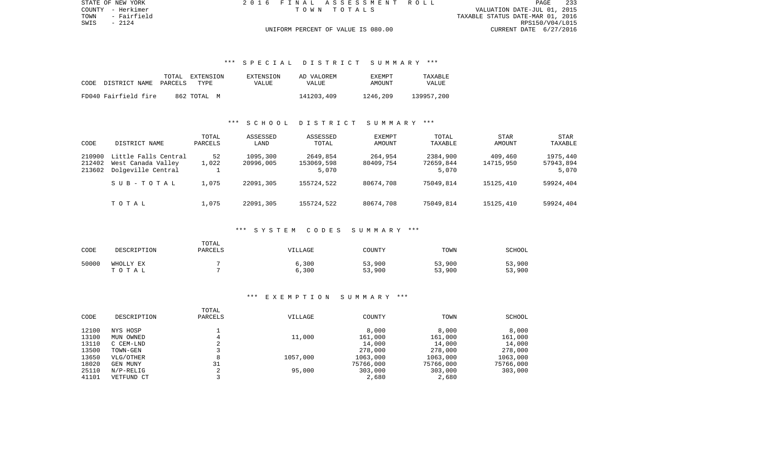TOWN - Fairfield TAXABLE STATUS DATE-MAR 01, 2016 RPS150/V04/L015 UNIFORM PERCENT OF VALUE IS 080.00 CURRENT DATE 6/27/2016

## \*\*\* S P E C I A L D I S T R I C T S U M M A R Y \*\*\*

|      |                      | TOTAL   | EXTENSION   | EXTENSION | AD VALOREM | <b>EXEMPT</b> | TAXARLE    |
|------|----------------------|---------|-------------|-----------|------------|---------------|------------|
| CODE | DISTRICT NAME        | PARCELS | TYPE        | VALUE     | VALUE      | AMOUNT        | VALUE      |
|      |                      |         |             |           |            |               |            |
|      | FD040 Fairfield fire |         | 862 ТОТАЬ М |           | 141203,409 | 1246,209      | 139957,200 |

#### \*\*\* S C H O O L D I S T R I C T S U M M A R Y \*\*\*

| CODE                       | DISTRICT NAME                                                    | TOTAL<br>PARCELS | ASSESSED<br>LAND      | ASSESSED<br>TOTAL               | <b>EXEMPT</b><br>AMOUNT | TOTAL<br>TAXABLE               | <b>STAR</b><br>AMOUNT | <b>STAR</b><br>TAXABLE         |
|----------------------------|------------------------------------------------------------------|------------------|-----------------------|---------------------------------|-------------------------|--------------------------------|-----------------------|--------------------------------|
| 210900<br>212402<br>213602 | Little Falls Central<br>West Canada Valley<br>Dolgeville Central | 52<br>1,022      | 1095,300<br>20996,005 | 2649,854<br>153069,598<br>5,070 | 264,954<br>80409,754    | 2384,900<br>72659,844<br>5,070 | 409,460<br>14715,950  | 1975,440<br>57943,894<br>5,070 |
|                            | SUB-TOTAL                                                        | 1,075            | 22091,305             | 155724,522                      | 80674,708               | 75049,814                      | 15125,410             | 59924,404                      |
|                            | TOTAL                                                            | 1,075            | 22091,305             | 155724,522                      | 80674,708               | 75049,814                      | 15125,410             | 59924,404                      |

## \*\*\* S Y S T E M C O D E S S U M M A R Y \*\*\*

| CODE  | DESCRIPTION        | TOTAL<br>PARCELS | VILLAGE        | COUNTY           | TOWN             | SCHOOL           |
|-------|--------------------|------------------|----------------|------------------|------------------|------------------|
| 50000 | WHOLLY EX<br>TOTAL |                  | 6,300<br>6,300 | 53,900<br>53,900 | 53,900<br>53,900 | 53,900<br>53,900 |

|       |             | TOTAL        |          |           |           |           |
|-------|-------------|--------------|----------|-----------|-----------|-----------|
| CODE  | DESCRIPTION | PARCELS      | VILLAGE  | COUNTY    | TOWN      | SCHOOL    |
| 12100 | NYS HOSP    |              |          | 8,000     | 8,000     | 8,000     |
| 13100 | MUN OWNED   |              | 11,000   | 161,000   | 161,000   | 161,000   |
| 13110 | C CEM-LND   | z.           |          | 14,000    | 14,000    | 14,000    |
| 13500 | TOWN-GEN    |              |          | 278,000   | 278,000   | 278,000   |
| 13650 | VLG/OTHER   | 8            | 1057,000 | 1063,000  | 1063,000  | 1063,000  |
| 18020 | GEN MUNY    | 31           |          | 75766,000 | 75766,000 | 75766,000 |
| 25110 | $N/P-RELIG$ | $\sim$<br>z. | 95,000   | 303,000   | 303,000   | 303,000   |
| 41101 | VETFUND CT  |              |          | 2,680     | 2,680     |           |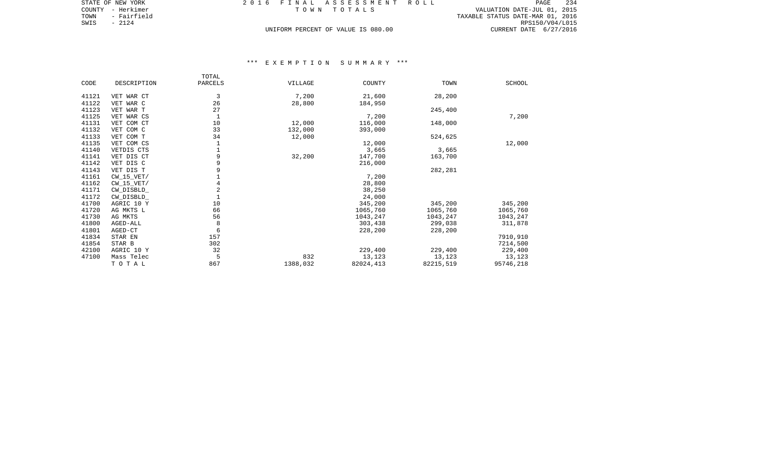| STATE OF NEW YORK   | 2016 FINAL ASSESSMENT ROLL         | 234<br>PAGE                      |
|---------------------|------------------------------------|----------------------------------|
| COUNTY - Herkimer   | TOWN TOTALS                        | VALUATION DATE-JUL 01, 2015      |
| - Fairfield<br>TOWN |                                    | TAXABLE STATUS DATE-MAR 01, 2016 |
| SWIS<br>- 2124      |                                    | RPS150/V04/L015                  |
|                     | UNIFORM PERCENT OF VALUE IS 080.00 | CURRENT DATE 6/27/2016           |

|       |                | TOTAL       |          |           |           |               |
|-------|----------------|-------------|----------|-----------|-----------|---------------|
| CODE  | DESCRIPTION    | PARCELS     | VILLAGE  | COUNTY    | TOWN      | <b>SCHOOL</b> |
|       |                |             |          |           |           |               |
| 41121 | VET WAR CT     | 3           | 7,200    | 21,600    | 28,200    |               |
| 41122 | VET WAR C      | 26          | 28,800   | 184,950   |           |               |
| 41123 | VET WAR T      | 27          |          |           | 245,400   |               |
| 41125 | VET WAR CS     | $\mathbf 1$ |          | 7,200     |           | 7,200         |
| 41131 | VET COM CT     | 10          | 12,000   | 116,000   | 148,000   |               |
| 41132 | VET COM C      | 33          | 132,000  | 393,000   |           |               |
| 41133 | VET COM T      | 34          | 12,000   |           | 524,625   |               |
| 41135 | VET COM CS     |             |          | 12,000    |           | 12,000        |
| 41140 | VETDIS CTS     |             |          | 3,665     | 3,665     |               |
| 41141 | VET DIS CT     | 9           | 32,200   | 147,700   | 163,700   |               |
| 41142 | VET DIS C      | 9           |          | 216,000   |           |               |
| 41143 | VET DIS T      | 9           |          |           | 282,281   |               |
| 41161 | $CW_15_VET/$   |             |          | 7,200     |           |               |
| 41162 | $CW$ 15 $VET/$ | 4           |          | 28,800    |           |               |
| 41171 | CW DISBLD      | 2           |          | 38,250    |           |               |
| 41172 | CW_DISBLD_     |             |          | 24,000    |           |               |
| 41700 | AGRIC 10 Y     | 10          |          | 345,200   | 345,200   | 345,200       |
| 41720 | AG MKTS L      | 66          |          | 1065,760  | 1065,760  | 1065,760      |
| 41730 | AG MKTS        | 56          |          | 1043,247  | 1043,247  | 1043,247      |
| 41800 | AGED-ALL       | 8           |          | 303,438   | 299,038   | 311,878       |
| 41801 | AGED-CT        | 6           |          | 228,200   | 228,200   |               |
| 41834 | STAR EN        | 157         |          |           |           | 7910,910      |
| 41854 | STAR B         | 302         |          |           |           | 7214,500      |
| 42100 | AGRIC 10 Y     | 32          |          | 229,400   | 229,400   | 229,400       |
| 47100 | Mass Telec     | 5           | 832      | 13,123    | 13,123    | 13,123        |
|       | TO TAL         | 867         | 1388,032 | 82024,413 | 82215,519 | 95746,218     |
|       |                |             |          |           |           |               |